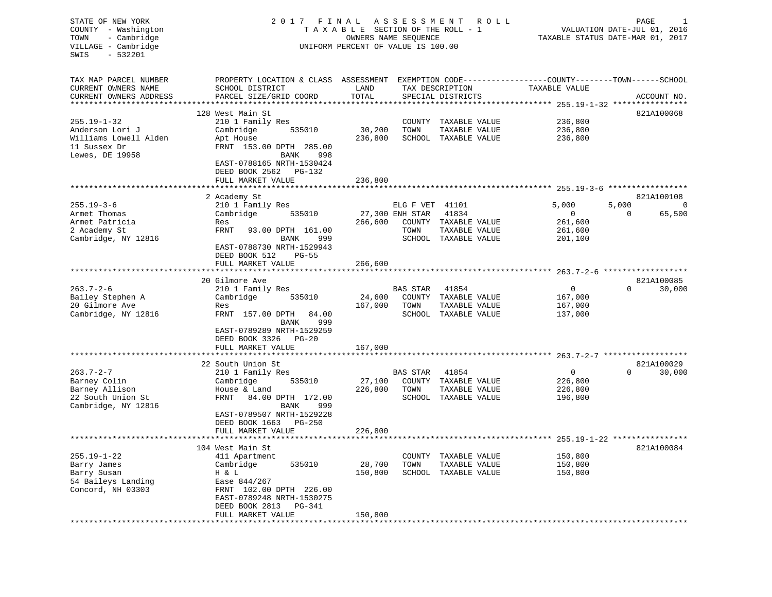STATE OF NEW YORK 2 0 1 7 F I N A L A S S E S S M E N T R O L L PAGE 1 COUNTY - Washington T A X A B L E SECTION OF THE ROLL - 1 VALUATION DATE-JUL 01, 2016 TOWN - Cambridge **OWNERS NAME SEQUENCE TAXABLE STATUS DATE-MAR 01, 2017** VILLAGE - Cambridge UNIFORM PERCENT OF VALUE IS 100.00 SWIS - 532201TAX MAP PARCEL NUMBER PROPERTY LOCATION & CLASS ASSESSMENT EXEMPTION CODE------------------COUNTY--------TOWN------SCHOOL CURRENT OWNERS NAME SCHOOL DISTRICT LAND TAX DESCRIPTION TAXABLE VALUECURRENT OWNERS ADDRESS PARCEL SIZE/GRID COORD TOTAL SPECIAL DISTRICTS ACCOUNT NO. \*\*\*\*\*\*\*\*\*\*\*\*\*\*\*\*\*\*\*\*\*\*\*\*\*\*\*\*\*\*\*\*\*\*\*\*\*\*\*\*\*\*\*\*\*\*\*\*\*\*\*\*\*\*\*\*\*\*\*\*\*\*\*\*\*\*\*\*\*\*\*\*\*\*\*\*\*\*\*\*\*\*\*\*\*\*\*\*\*\*\*\*\*\*\*\*\*\*\*\*\*\*\* 255.19-1-32 \*\*\*\*\*\*\*\*\*\*\*\*\*\*\*\* 128 West Main St. 6821A100068 255.19-1-32 210 1 Family Res COUNTY TAXABLE VALUE 236,800 Anderson Lori J Cambridge 535010 30,200 TOWN TAXABLE VALUE 236,800 Williams Lowell Alden Apt House 236,800 SCHOOL TAXABLE VALUE 236,800 11 Sussex Dr FRNT 153.00 DPTH 285.00Lewes, DE 19958 BANK 998 EAST-0788165 NRTH-1530424 DEED BOOK 2562 PG-132 FULL MARKET VALUE 236,800 \*\*\*\*\*\*\*\*\*\*\*\*\*\*\*\*\*\*\*\*\*\*\*\*\*\*\*\*\*\*\*\*\*\*\*\*\*\*\*\*\*\*\*\*\*\*\*\*\*\*\*\*\*\*\*\*\*\*\*\*\*\*\*\*\*\*\*\*\*\*\*\*\*\*\*\*\*\*\*\*\*\*\*\*\*\*\*\*\*\*\*\*\*\*\*\*\*\*\*\*\*\*\* 255.19-3-6 \*\*\*\*\*\*\*\*\*\*\*\*\*\*\*\*\*821A100108 2 Academy St<br>210 1 Family Res 255.19-3-6 210 1 Family Res ELG F VET 41101 5 ,000 5 ,000 0 Armet Thomas Cambridge 535010 27,300 ENH STAR 41834 0 0 65,500 Armet Patricia Res 266,600 COUNTY TAXABLE VALUE 261,600 2 Academy St FRNT 93.00 DPTH 161.00 TOWN TAXABLE VALUE 261,600 Cambridge, NY 12816 BANK 999 SCHOOL TAXABLE VALUE 201,100 EAST-0788730 NRTH-1529943 DEED BOOK 512 PG-55FULL MARKET VALUE 266,600 \*\*\*\*\*\*\*\*\*\*\*\*\*\*\*\*\*\*\*\*\*\*\*\*\*\*\*\*\*\*\*\*\*\*\*\*\*\*\*\*\*\*\*\*\*\*\*\*\*\*\*\*\*\*\*\*\*\*\*\*\*\*\*\*\*\*\*\*\*\*\*\*\*\*\*\*\*\*\*\*\*\*\*\*\*\*\*\*\*\*\*\*\*\*\*\*\*\*\*\*\*\*\* 263.7-2-6 \*\*\*\*\*\*\*\*\*\*\*\*\*\*\*\*\*\*20 Gilmore Ave 821A100085 263.7-2-6 210 1 Family Res BAS STAR 41854 0 0 30,000 Bailey Stephen A Cambridge 535010 24,600 COUNTY TAXABLE VALUE 167,000 20 Gilmore Ave Res 167,000 TOWN TAXABLE VALUE 167,000 Cambridge, NY 12816 FRNT 157.00 DPTH 84.00 SCHOOL TAXABLE VALUE 137,000 BANK 999 EAST-0789289 NRTH-1529259 DEED BOOK 3326 PG-20FULL MARKET VALUE 167,000 \*\*\*\*\*\*\*\*\*\*\*\*\*\*\*\*\*\*\*\*\*\*\*\*\*\*\*\*\*\*\*\*\*\*\*\*\*\*\*\*\*\*\*\*\*\*\*\*\*\*\*\*\*\*\*\*\*\*\*\*\*\*\*\*\*\*\*\*\*\*\*\*\*\*\*\*\*\*\*\*\*\*\*\*\*\*\*\*\*\*\*\*\*\*\*\*\*\*\*\*\*\*\* 263.7-2-7 \*\*\*\*\*\*\*\*\*\*\*\*\*\*\*\*\*\* 22 South Union St 821A100029263.7-2-7 210 1 Family Res BAS STAR 41854 0 0 30,000 Barney Colin Cambridge 535010 27,100 COUNTY TAXABLE VALUE 226,800 Barney Allison House & Land 226,800 TOWN TAXABLE VALUE 226,800 22 South Union St FRNT 84.00 DPTH 172.00 SCHOOL TAXABLE VALUE 196,800 Cambridge, NY 12816 BANK 999 EAST-0789507 NRTH-1529228 DEED BOOK 1663 PG-250FULL MARKET VALUE 226,800 \*\*\*\*\*\*\*\*\*\*\*\*\*\*\*\*\*\*\*\*\*\*\*\*\*\*\*\*\*\*\*\*\*\*\*\*\*\*\*\*\*\*\*\*\*\*\*\*\*\*\*\*\*\*\*\*\*\*\*\*\*\*\*\*\*\*\*\*\*\*\*\*\*\*\*\*\*\*\*\*\*\*\*\*\*\*\*\*\*\*\*\*\*\*\*\*\*\*\*\*\*\*\* 255.19-1-22 \*\*\*\*\*\*\*\*\*\*\*\*\*\*\*\* 104 West Main St 821A100084255.19-1-22 411 Apartment COUNTY TAXABLE VALUE 150,800 Barry James Cambridge 535010 28,700 TOWN TAXABLE VALUE 150,800 Barry Susan H & L 150,800 SCHOOL TAXABLE VALUE 150,800 54 Baileys Landing EXTREM 102.00 DPTH 226.00<br>
S4 Baileys Landing<br>
Concord, NH 03303 FRNT 102.00 DPTH 226.00 EAST-0789248 NRTH-1530275 DEED BOOK 2813 PG-341FULL MARKET VALUE 150,800 \*\*\*\*\*\*\*\*\*\*\*\*\*\*\*\*\*\*\*\*\*\*\*\*\*\*\*\*\*\*\*\*\*\*\*\*\*\*\*\*\*\*\*\*\*\*\*\*\*\*\*\*\*\*\*\*\*\*\*\*\*\*\*\*\*\*\*\*\*\*\*\*\*\*\*\*\*\*\*\*\*\*\*\*\*\*\*\*\*\*\*\*\*\*\*\*\*\*\*\*\*\*\*\*\*\*\*\*\*\*\*\*\*\*\*\*\*\*\*\*\*\*\*\*\*\*\*\*\*\*\*\*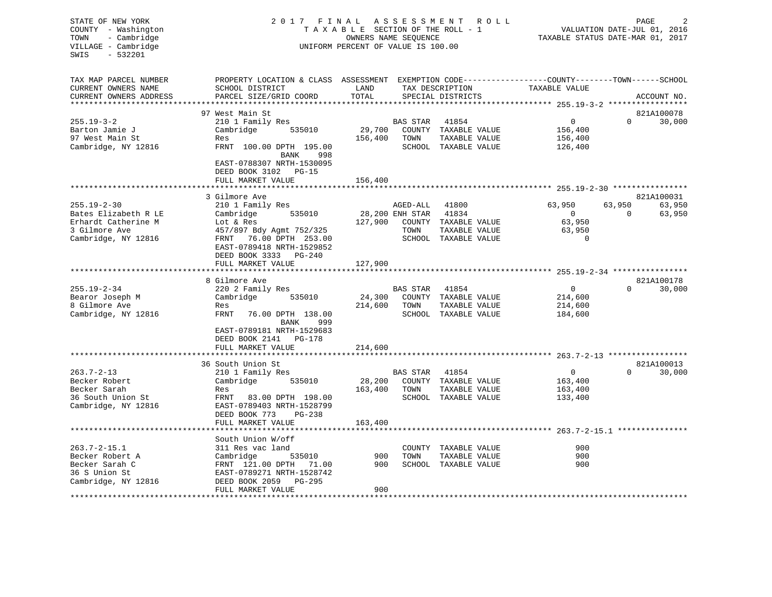| STATE OF NEW YORK<br>COUNTY - Washington<br>- Cambridge<br>TOWN<br>VILLAGE - Cambridge<br>$-532201$<br>SWIS | A S S E S S M E N T<br>2017 FINAL<br>R O L L<br>TAXABLE SECTION OF THE ROLL - 1<br>OWNERS NAME SEQUENCE<br>UNIFORM PERCENT OF VALUE IS 100.00 |               |                 |                                               |                  |          | PAGE<br>VALUATION DATE-JUL 01, 2016<br>TAXABLE STATUS DATE-MAR 01, 2017 |  |  |  |
|-------------------------------------------------------------------------------------------------------------|-----------------------------------------------------------------------------------------------------------------------------------------------|---------------|-----------------|-----------------------------------------------|------------------|----------|-------------------------------------------------------------------------|--|--|--|
| TAX MAP PARCEL NUMBER<br>CURRENT OWNERS NAME<br>CURRENT OWNERS ADDRESS                                      | PROPERTY LOCATION & CLASS ASSESSMENT EXEMPTION CODE---------------COUNTY-------TOWN------SCHOOL<br>SCHOOL DISTRICT<br>PARCEL SIZE/GRID COORD  | LAND<br>TOTAL |                 | TAX DESCRIPTION<br>SPECIAL DISTRICTS          | TAXABLE VALUE    |          | ACCOUNT NO.                                                             |  |  |  |
|                                                                                                             |                                                                                                                                               |               |                 |                                               |                  |          |                                                                         |  |  |  |
|                                                                                                             | 97 West Main St                                                                                                                               |               |                 |                                               |                  |          | 821A100078                                                              |  |  |  |
| $255.19 - 3 - 2$                                                                                            | 210 1 Family Res                                                                                                                              |               | BAS STAR        | 41854                                         | $\overline{0}$   | $\Omega$ | 30,000                                                                  |  |  |  |
| Barton Jamie J                                                                                              | Cambridge<br>535010                                                                                                                           | 29,700        |                 | COUNTY TAXABLE VALUE                          | 156,400          |          |                                                                         |  |  |  |
| 97 West Main St                                                                                             | Res                                                                                                                                           | 156,400       | TOWN            | TAXABLE VALUE                                 | 156,400          |          |                                                                         |  |  |  |
| Cambridge, NY 12816                                                                                         | FRNT 100.00 DPTH 195.00<br>998<br>BANK                                                                                                        |               |                 | SCHOOL TAXABLE VALUE                          | 126,400          |          |                                                                         |  |  |  |
|                                                                                                             | EAST-0788307 NRTH-1530095<br>DEED BOOK 3102 PG-15<br>FULL MARKET VALUE                                                                        | 156,400       |                 |                                               |                  |          |                                                                         |  |  |  |
|                                                                                                             |                                                                                                                                               |               |                 |                                               |                  |          |                                                                         |  |  |  |
|                                                                                                             | 3 Gilmore Ave                                                                                                                                 |               |                 |                                               |                  |          | 821A100031                                                              |  |  |  |
| $255.19 - 2 - 30$                                                                                           | 210 1 Family Res                                                                                                                              |               | AGED-ALL        | 41800                                         | 63,950           | 63,950   | 63,950                                                                  |  |  |  |
| Bates Elizabeth R LE                                                                                        | Cambridge<br>535010                                                                                                                           |               | 28,200 ENH STAR | 41834                                         | $\sim$ 0         | $\Omega$ | 63,950                                                                  |  |  |  |
| Erhardt Catherine M<br>3 Gilmore Ave                                                                        | Lot & Res                                                                                                                                     |               | TOWN            | 127,900 COUNTY TAXABLE VALUE<br>TAXABLE VALUE | 63,950<br>63,950 |          |                                                                         |  |  |  |
| Cambridge, NY 12816                                                                                         | 457/897 Bdy Agmt 752/325<br>FRNT 76.00 DPTH 253.00                                                                                            |               |                 | SCHOOL TAXABLE VALUE                          | $\mathbf 0$      |          |                                                                         |  |  |  |
|                                                                                                             | EAST-0789418 NRTH-1529852<br>DEED BOOK 3333 PG-240                                                                                            |               |                 |                                               |                  |          |                                                                         |  |  |  |
|                                                                                                             | FULL MARKET VALUE<br>*********************                                                                                                    | 127,900       |                 |                                               |                  |          |                                                                         |  |  |  |
|                                                                                                             | 8 Gilmore Ave                                                                                                                                 |               |                 |                                               |                  |          | 821A100178                                                              |  |  |  |
| $255.19 - 2 - 34$                                                                                           | 220 2 Family Res                                                                                                                              |               | BAS STAR        | 41854                                         | $\overline{0}$   | $\Omega$ | 30,000                                                                  |  |  |  |
| Bearor Joseph M                                                                                             | Cambridge<br>535010                                                                                                                           | 24,300        |                 | COUNTY TAXABLE VALUE                          | 214,600          |          |                                                                         |  |  |  |
| 8 Gilmore Ave                                                                                               | Res                                                                                                                                           | 214,600       | TOWN            | TAXABLE VALUE                                 | 214,600          |          |                                                                         |  |  |  |
| Cambridge, NY 12816                                                                                         | FRNT<br>76.00 DPTH 138.00<br>999<br>BANK                                                                                                      |               |                 | SCHOOL TAXABLE VALUE                          | 184,600          |          |                                                                         |  |  |  |
|                                                                                                             | EAST-0789181 NRTH-1529683<br>DEED BOOK 2141 PG-178                                                                                            |               |                 |                                               |                  |          |                                                                         |  |  |  |
|                                                                                                             | FULL MARKET VALUE                                                                                                                             | 214,600       |                 |                                               |                  |          |                                                                         |  |  |  |
|                                                                                                             | 36 South Union St                                                                                                                             |               |                 |                                               |                  |          | 821A100013                                                              |  |  |  |
| $263.7 - 2 - 13$                                                                                            | 210 1 Family Res                                                                                                                              |               | <b>BAS STAR</b> | 41854                                         | $\mathbf{0}$     | $\Omega$ | 30,000                                                                  |  |  |  |
| Becker Robert                                                                                               | Cambridge<br>535010                                                                                                                           | 28,200        |                 | COUNTY TAXABLE VALUE                          | 163,400          |          |                                                                         |  |  |  |
| Becker Sarah                                                                                                | Res                                                                                                                                           | 163,400       | TOWN            | TAXABLE VALUE                                 | 163,400          |          |                                                                         |  |  |  |
| 36 South Union St                                                                                           | FRNT 83.00 DPTH 198.00                                                                                                                        |               |                 | SCHOOL TAXABLE VALUE                          | 133,400          |          |                                                                         |  |  |  |
| Cambridge, NY 12816                                                                                         | EAST-0789403 NRTH-1528799                                                                                                                     |               |                 |                                               |                  |          |                                                                         |  |  |  |
|                                                                                                             | DEED BOOK 773<br>PG-238                                                                                                                       |               |                 |                                               |                  |          |                                                                         |  |  |  |
|                                                                                                             | FULL MARKET VALUE                                                                                                                             | 163,400       |                 |                                               |                  |          |                                                                         |  |  |  |
|                                                                                                             |                                                                                                                                               |               |                 |                                               |                  |          |                                                                         |  |  |  |
|                                                                                                             | South Union W/off                                                                                                                             |               |                 |                                               |                  |          |                                                                         |  |  |  |
| $263.7 - 2 - 15.1$                                                                                          | 311 Res vac land                                                                                                                              |               |                 | COUNTY TAXABLE VALUE                          | 900              |          |                                                                         |  |  |  |
| Becker Robert A                                                                                             | Cambridge<br>535010                                                                                                                           | 900           | TOWN            | TAXABLE VALUE                                 | 900              |          |                                                                         |  |  |  |
| Becker Sarah C                                                                                              | FRNT 121.00 DPTH 71.00                                                                                                                        | 900           |                 | SCHOOL TAXABLE VALUE                          | 900              |          |                                                                         |  |  |  |
| 36 S Union St                                                                                               | EAST-0789271 NRTH-1528742                                                                                                                     |               |                 |                                               |                  |          |                                                                         |  |  |  |
| Cambridge, NY 12816<br>***********                                                                          | DEED BOOK 2059<br>PG-295<br>FULL MARKET VALUE                                                                                                 | 900           |                 |                                               |                  |          |                                                                         |  |  |  |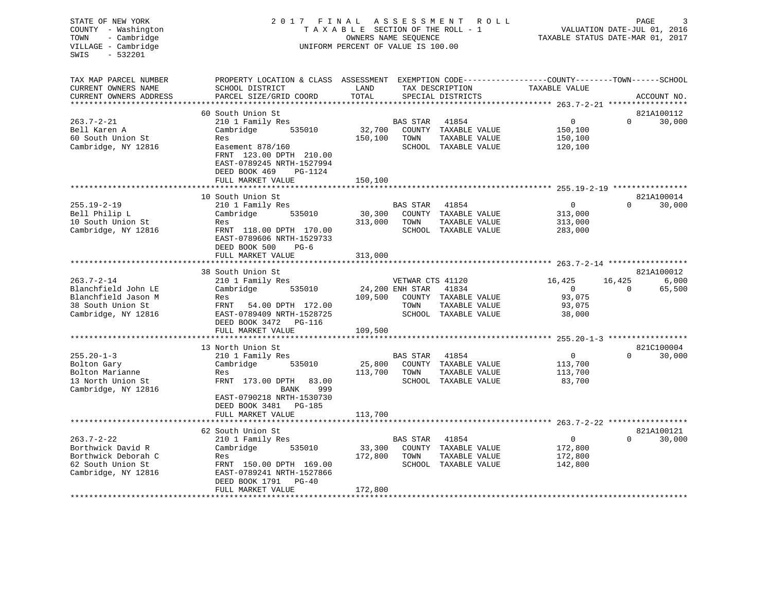| STATE OF NEW YORK<br>COUNTY - Washington<br>- Cambridge<br>TOWN<br>VILLAGE - Cambridge<br>$-532201$<br>SWIS | FINAL<br>2017<br>UNIFORM PERCENT OF VALUE IS 100.00    | ASSESSMENT<br>R O L L<br>TAXABLE SECTION OF THE ROLL - 1<br>OWNERS NAME SEQUENCE | PAGE<br>VALUATION DATE-JUL 01, 2016<br>TAXABLE STATUS DATE-MAR 01, 2017 |                                       |                                                              |          |                      |
|-------------------------------------------------------------------------------------------------------------|--------------------------------------------------------|----------------------------------------------------------------------------------|-------------------------------------------------------------------------|---------------------------------------|--------------------------------------------------------------|----------|----------------------|
|                                                                                                             |                                                        |                                                                                  |                                                                         |                                       |                                                              |          |                      |
| TAX MAP PARCEL NUMBER                                                                                       | PROPERTY LOCATION & CLASS ASSESSMENT                   |                                                                                  |                                                                         |                                       | EXEMPTION CODE-----------------COUNTY-------TOWN------SCHOOL |          |                      |
| CURRENT OWNERS NAME                                                                                         | SCHOOL DISTRICT                                        | LAND                                                                             |                                                                         | TAX DESCRIPTION                       | TAXABLE VALUE                                                |          |                      |
| CURRENT OWNERS ADDRESS<br>***********************                                                           | PARCEL SIZE/GRID COORD                                 | TOTAL                                                                            |                                                                         | SPECIAL DISTRICTS                     |                                                              |          | ACCOUNT NO.          |
|                                                                                                             | 60 South Union St                                      |                                                                                  |                                                                         |                                       |                                                              |          | 821A100112           |
| $263.7 - 2 - 21$                                                                                            | 210 1 Family Res                                       |                                                                                  | <b>BAS STAR</b>                                                         | 41854                                 | 0                                                            | $\Omega$ | 30,000               |
| Bell Karen A                                                                                                | Cambridge<br>535010                                    | 32,700                                                                           |                                                                         | COUNTY TAXABLE VALUE                  | 150,100                                                      |          |                      |
| 60 South Union St                                                                                           | Res                                                    | 150,100                                                                          | TOWN                                                                    | TAXABLE VALUE                         | 150,100                                                      |          |                      |
| Cambridge, NY 12816                                                                                         | Easement 878/160<br>FRNT 123.00 DPTH 210.00            |                                                                                  |                                                                         | SCHOOL TAXABLE VALUE                  | 120,100                                                      |          |                      |
|                                                                                                             | EAST-0789245 NRTH-1527994                              |                                                                                  |                                                                         |                                       |                                                              |          |                      |
|                                                                                                             | DEED BOOK 469<br>PG-1124                               |                                                                                  |                                                                         |                                       |                                                              |          |                      |
|                                                                                                             | FULL MARKET VALUE                                      | 150,100                                                                          |                                                                         |                                       |                                                              |          |                      |
|                                                                                                             |                                                        |                                                                                  |                                                                         |                                       |                                                              |          |                      |
| $255.19 - 2 - 19$                                                                                           | 10 South Union St<br>210 1 Family Res                  |                                                                                  | <b>BAS STAR</b>                                                         | 41854                                 | $\Omega$                                                     | $\Omega$ | 821A100014<br>30,000 |
| Bell Philip L                                                                                               | Cambridge<br>535010                                    | 30,300                                                                           |                                                                         | COUNTY TAXABLE VALUE                  | 313,000                                                      |          |                      |
| 10 South Union St                                                                                           | Res                                                    | 313,000                                                                          | TOWN                                                                    | TAXABLE VALUE                         | 313,000                                                      |          |                      |
| Cambridge, NY 12816                                                                                         | FRNT 118.00 DPTH 170.00                                |                                                                                  |                                                                         | SCHOOL TAXABLE VALUE                  | 283,000                                                      |          |                      |
|                                                                                                             | EAST-0789606 NRTH-1529733                              |                                                                                  |                                                                         |                                       |                                                              |          |                      |
|                                                                                                             | DEED BOOK 500<br>$PG-6$                                |                                                                                  |                                                                         |                                       |                                                              |          |                      |
|                                                                                                             | FULL MARKET VALUE                                      | 313,000                                                                          |                                                                         |                                       |                                                              |          |                      |
|                                                                                                             | 38 South Union St                                      |                                                                                  |                                                                         |                                       |                                                              |          | 821A100012           |
| $263.7 - 2 - 14$                                                                                            | 210 1 Family Res                                       |                                                                                  | VETWAR CTS 41120                                                        |                                       | 16,425                                                       | 16,425   | 6,000                |
| Blanchfield John LE                                                                                         | Cambridge<br>535010                                    |                                                                                  | 24,200 ENH STAR                                                         | 41834                                 | 0                                                            | 0        | 65,500               |
| Blanchfield Jason M                                                                                         | Res                                                    | 109,500                                                                          |                                                                         | COUNTY TAXABLE VALUE                  | 93,075                                                       |          |                      |
| 38 South Union St<br>Cambridge, NY 12816                                                                    | FRNT<br>54.00 DPTH 172.00<br>EAST-0789409 NRTH-1528725 |                                                                                  | TOWN                                                                    | TAXABLE VALUE<br>SCHOOL TAXABLE VALUE | 93,075<br>38,000                                             |          |                      |
|                                                                                                             | DEED BOOK 3472<br>PG-116                               |                                                                                  |                                                                         |                                       |                                                              |          |                      |
|                                                                                                             | FULL MARKET VALUE                                      | 109,500                                                                          |                                                                         |                                       |                                                              |          |                      |
|                                                                                                             |                                                        |                                                                                  |                                                                         |                                       |                                                              |          |                      |
|                                                                                                             | 13 North Union St                                      |                                                                                  |                                                                         |                                       |                                                              |          | 821C100004           |
| $255.20 - 1 - 3$                                                                                            | 210 1 Family Res                                       |                                                                                  | BAS STAR                                                                | 41854                                 | $\mathbf{0}$                                                 | $\Omega$ | 30,000               |
| Bolton Gary<br>Bolton Marianne                                                                              | 535010<br>Cambridge<br>Res                             | 25,800<br>113,700                                                                | TOWN                                                                    | COUNTY TAXABLE VALUE<br>TAXABLE VALUE | 113,700<br>113,700                                           |          |                      |
| 13 North Union St                                                                                           | FRNT 173.00 DPTH<br>83.00                              |                                                                                  |                                                                         | SCHOOL TAXABLE VALUE                  | 83,700                                                       |          |                      |
| Cambridge, NY 12816                                                                                         | BANK<br>999                                            |                                                                                  |                                                                         |                                       |                                                              |          |                      |
|                                                                                                             | EAST-0790218 NRTH-1530730                              |                                                                                  |                                                                         |                                       |                                                              |          |                      |
|                                                                                                             | DEED BOOK 3481<br><b>PG-185</b>                        |                                                                                  |                                                                         |                                       |                                                              |          |                      |
|                                                                                                             | FULL MARKET VALUE<br>***********************           | 113,700                                                                          |                                                                         |                                       |                                                              |          |                      |
|                                                                                                             | 62 South Union St                                      |                                                                                  |                                                                         |                                       |                                                              |          | 821A100121           |
| $263.7 - 2 - 22$                                                                                            | 210 1 Family Res                                       |                                                                                  | BAS STAR                                                                | 41854                                 | 0                                                            | $\Omega$ | 30,000               |
| Borthwick David R                                                                                           | Cambridge<br>535010                                    | 33,300                                                                           |                                                                         | COUNTY TAXABLE VALUE                  | 172,800                                                      |          |                      |
| Borthwick Deborah C                                                                                         | Res                                                    | 172,800                                                                          | TOWN                                                                    | TAXABLE VALUE                         | 172,800                                                      |          |                      |
| 62 South Union St                                                                                           | FRNT 150.00 DPTH 169.00                                |                                                                                  |                                                                         | SCHOOL TAXABLE VALUE                  | 142,800                                                      |          |                      |
| Cambridge, NY 12816                                                                                         | EAST-0789241 NRTH-1527866                              |                                                                                  |                                                                         |                                       |                                                              |          |                      |
|                                                                                                             | DEED BOOK 1791<br>$PG-40$<br>FULL MARKET VALUE         | 172,800                                                                          |                                                                         |                                       |                                                              |          |                      |
| ***********************                                                                                     | *************************                              | ************                                                                     |                                                                         |                                       |                                                              |          |                      |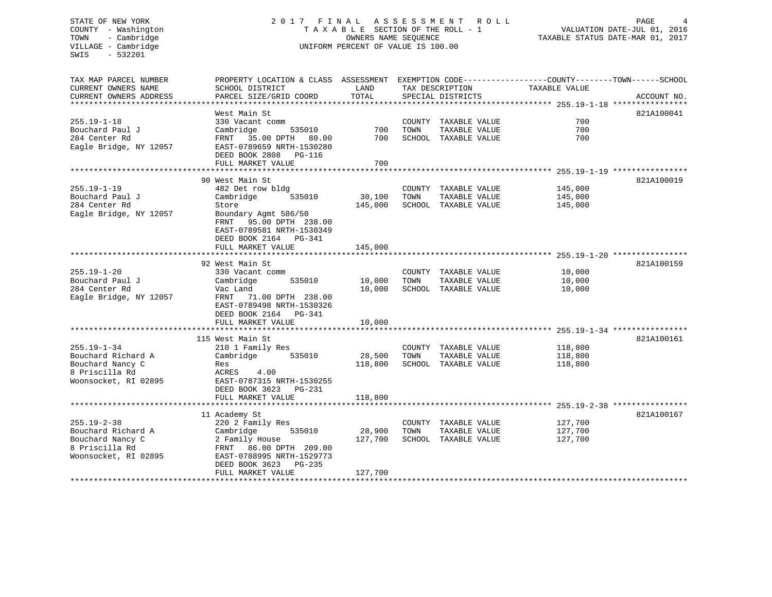# STATE OF NEW YORK 2 0 1 7 F I N A L A S S E S S M E N T R O L L PAGE 4 COUNTY - Washington T A X A B L E SECTION OF THE ROLL - 1 VALUATION DATE-JUL 01, 2016 TOWN - Cambridge OWNERS NAME SEQUENCE TAXABLE STATUS DATE-MAR 01, 2017 UNIFORM PERCENT OF VALUE IS 100.00

| TAX MAP PARCEL NUMBER<br>CURRENT OWNERS NAME<br>CURRENT OWNERS ADDRESS                                | PROPERTY LOCATION & CLASS ASSESSMENT EXEMPTION CODE----------------COUNTY-------TOWN------SCHOOL<br>SCHOOL DISTRICT<br>PARCEL SIZE/GRID COORD                                                       | LAND<br>TOTAL                |      | TAX DESCRIPTION<br>SPECIAL DISTRICTS                                                                | TAXABLE VALUE                 | ACCOUNT NO. |
|-------------------------------------------------------------------------------------------------------|-----------------------------------------------------------------------------------------------------------------------------------------------------------------------------------------------------|------------------------------|------|-----------------------------------------------------------------------------------------------------|-------------------------------|-------------|
| $255.19 - 1 - 18$<br>Bouchard Paul J<br>284 Center Rd<br>Eagle Bridge, NY 12057                       | West Main St<br>330 Vacant comm<br>Cambridge<br>535010<br>FRNT 35.00 DPTH 80.00<br>EAST-0789659 NRTH-1530280<br>DEED BOOK 2808 PG-116<br>FULL MARKET VALUE                                          | 700<br>700<br>700            | TOWN | COUNTY TAXABLE VALUE<br>TAXABLE VALUE<br>SCHOOL TAXABLE VALUE                                       | 700<br>700<br>700             | 821A100041  |
| $255.19 - 1 - 19$<br>Bouchard Paul J<br>284 Center Rd<br>Eagle Bridge, NY 12057                       | 90 West Main St<br>482 Det row bldg<br>Cambridge<br>535010<br>Store<br>Boundary Agmt 586/50<br>FRNT<br>95.00 DPTH 238.00<br>EAST-0789581 NRTH-1530349<br>DEED BOOK 2164 PG-341<br>FULL MARKET VALUE | 30,100<br>145,000<br>145,000 | TOWN | COUNTY TAXABLE VALUE<br>TAXABLE VALUE<br>SCHOOL TAXABLE VALUE                                       | 145,000<br>145,000<br>145,000 | 821A100019  |
| $255.19 - 1 - 20$<br>Bouchard Paul J<br>284 Center Rd<br>Eagle Bridge, NY 12057                       | 92 West Main St<br>330 Vacant comm<br>Cambridge<br>535010<br>Vac Land<br>FRNT<br>71.00 DPTH 238.00<br>EAST-0789498 NRTH-1530326<br>DEED BOOK 2164<br>PG-341<br>FULL MARKET VALUE                    | 10,000<br>10,000<br>10,000   | TOWN | COUNTY TAXABLE VALUE<br>TAXABLE VALUE<br>SCHOOL TAXABLE VALUE                                       | 10,000<br>10,000<br>10,000    | 821A100159  |
| $255.19 - 1 - 34$<br>Bouchard Richard A<br>Bouchard Nancy C<br>8 Priscilla Rd<br>Woonsocket, RI 02895 | 115 West Main St<br>210 1 Family Res<br>Cambridge<br>535010<br>Res<br>ACRES<br>4.00<br>EAST-0787315 NRTH-1530255<br>DEED BOOK 3623 PG-231<br>FULL MARKET VALUE                                      | 28,500<br>118,800<br>118,800 | TOWN | COUNTY TAXABLE VALUE<br>TAXABLE VALUE<br>SCHOOL TAXABLE VALUE                                       | 118,800<br>118,800<br>118,800 | 821A100161  |
| $255.19 - 2 - 38$<br>Bouchard Richard A<br>Bouchard Nancy C<br>8 Priscilla Rd<br>Woonsocket, RI 02895 | 11 Academy St<br>220 2 Family Res<br>Cambridge<br>535010<br>2 Family House<br>86.00 DPTH 209.00<br>FRNT<br>EAST-0788995 NRTH-1529773<br>DEED BOOK 3623<br>PG-235<br>FULL MARKET VALUE               | 28,900<br>127,700<br>127,700 | TOWN | COUNTY TAXABLE VALUE<br>TAXABLE VALUE<br>SCHOOL TAXABLE VALUE<br>********************************** | 127,700<br>127,700<br>127,700 | 821A100167  |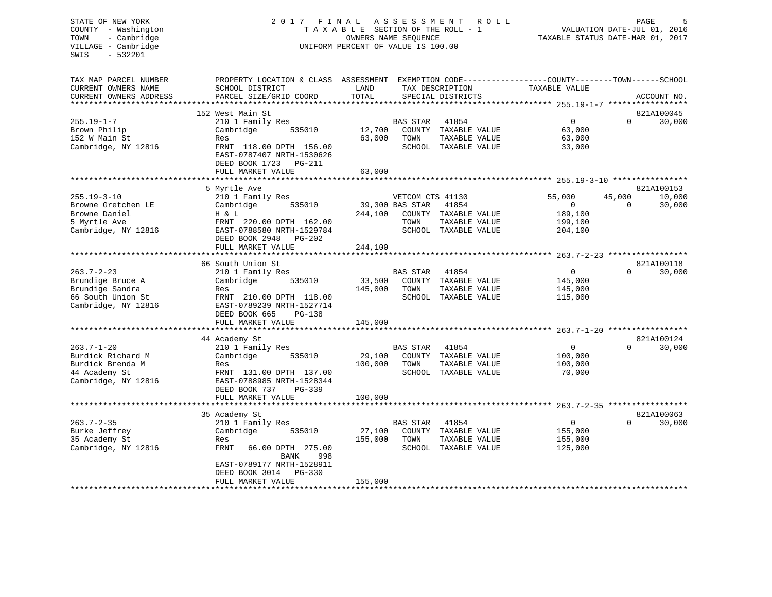# STATE OF NEW YORK 2 0 1 7 F I N A L A S S E S S M E N T R O L L PAGE 5 COUNTY - Washington T A X A B L E SECTION OF THE ROLL - 1 VALUATION DATE-JUL 01, 2016 TOWN - Cambridge OWNERS NAME SEQUENCE TAXABLE STATUS DATE-MAR 01, 2017 UNIFORM PERCENT OF VALUE IS 100.00

| TAX MAP PARCEL NUMBER                   | PROPERTY LOCATION & CLASS ASSESSMENT                                                    |         |                                     |                                       | EXEMPTION CODE-----------------COUNTY-------TOWN------SCHOOL |                    |                      |
|-----------------------------------------|-----------------------------------------------------------------------------------------|---------|-------------------------------------|---------------------------------------|--------------------------------------------------------------|--------------------|----------------------|
| CURRENT OWNERS NAME                     | SCHOOL DISTRICT                                                                         | LAND    |                                     | TAX DESCRIPTION                       | TAXABLE VALUE                                                |                    |                      |
| CURRENT OWNERS ADDRESS                  | PARCEL SIZE/GRID COORD                                                                  | TOTAL   |                                     | SPECIAL DISTRICTS                     |                                                              |                    | ACCOUNT NO.          |
|                                         |                                                                                         |         |                                     |                                       |                                                              |                    |                      |
| $255.19 - 1 - 7$<br>Brown Philip        | 152 West Main St<br>210 1 Family Res<br>Cambridge<br>535010                             | 12,700  | <b>BAS STAR</b>                     | 41854<br>COUNTY TAXABLE VALUE         | $\overline{0}$<br>63,000                                     | $\Omega$           | 821A100045<br>30,000 |
| 152 W Main St<br>Cambridge, NY 12816    | Res<br>FRNT 118.00 DPTH 156.00<br>EAST-0787407 NRTH-1530626<br>DEED BOOK 1723<br>PG-211 | 63,000  | TOWN                                | TAXABLE VALUE<br>SCHOOL TAXABLE VALUE | 63,000<br>33,000                                             |                    |                      |
|                                         | FULL MARKET VALUE                                                                       | 63,000  |                                     |                                       |                                                              |                    |                      |
|                                         |                                                                                         |         |                                     |                                       |                                                              |                    |                      |
|                                         | 5 Myrtle Ave                                                                            |         |                                     |                                       |                                                              |                    | 821A100153           |
| $255.19 - 3 - 10$<br>Browne Gretchen LE | 210 1 Family Res<br>Cambridge<br>535010                                                 |         | VETCOM CTS 41130<br>39,300 BAS STAR | 41854                                 | 55,000<br>$\overline{0}$                                     | 45,000<br>$\Omega$ | 10,000<br>30,000     |
| Browne Daniel                           | H & L                                                                                   | 244,100 |                                     | COUNTY TAXABLE VALUE                  | 189,100                                                      |                    |                      |
| 5 Myrtle Ave                            | FRNT 220.00 DPTH 162.00                                                                 |         | TOWN                                | TAXABLE VALUE                         | 199,100                                                      |                    |                      |
| Cambridge, NY 12816                     | EAST-0788580 NRTH-1529784<br>DEED BOOK 2948<br>$PG-202$                                 |         |                                     | SCHOOL TAXABLE VALUE                  | 204,100                                                      |                    |                      |
|                                         | FULL MARKET VALUE                                                                       | 244,100 |                                     |                                       |                                                              |                    |                      |
|                                         |                                                                                         |         |                                     |                                       |                                                              |                    |                      |
|                                         | 66 South Union St                                                                       |         |                                     |                                       |                                                              | $\Omega$           | 821A100118           |
| $263.7 - 2 - 23$<br>Brundige Bruce A    | 210 1 Family Res<br>Cambridge<br>535010                                                 | 33,500  | <b>BAS STAR</b><br>COUNTY           | 41854<br>TAXABLE VALUE                | $\mathbf{0}$<br>145,000                                      |                    | 30,000               |
| Brundige Sandra                         | Res                                                                                     | 145,000 | TOWN                                | TAXABLE VALUE                         | 145,000                                                      |                    |                      |
| 66 South Union St                       | FRNT 210.00 DPTH 118.00                                                                 |         |                                     | SCHOOL TAXABLE VALUE                  | 115,000                                                      |                    |                      |
| Cambridge, NY 12816                     | EAST-0789239 NRTH-1527714<br>DEED BOOK 665<br>$PG-138$                                  |         |                                     |                                       |                                                              |                    |                      |
|                                         | FULL MARKET VALUE                                                                       | 145,000 |                                     |                                       |                                                              |                    |                      |
|                                         |                                                                                         |         |                                     |                                       |                                                              |                    |                      |
|                                         | 44 Academy St                                                                           |         |                                     |                                       |                                                              |                    | 821A100124           |
| $263.7 - 1 - 20$                        | 210 1 Family Res                                                                        |         | BAS STAR                            | 41854                                 | $\Omega$                                                     | $\Omega$           | 30,000               |
| Burdick Richard M                       | Cambridge<br>535010                                                                     | 29,100  |                                     | COUNTY TAXABLE VALUE                  | 100,000                                                      |                    |                      |
| Burdick Brenda M                        | Res                                                                                     | 100,000 | TOWN                                | TAXABLE VALUE                         | 100,000                                                      |                    |                      |
| 44 Academy St<br>Cambridge, NY 12816    | FRNT 131.00 DPTH 137.00<br>EAST-0788985 NRTH-1528344                                    |         |                                     | SCHOOL TAXABLE VALUE                  | 70,000                                                       |                    |                      |
|                                         | DEED BOOK 737<br>PG-339                                                                 |         |                                     |                                       |                                                              |                    |                      |
|                                         | FULL MARKET VALUE<br>*********************************                                  | 100,000 |                                     |                                       |                                                              |                    |                      |
|                                         | 35 Academy St                                                                           |         |                                     |                                       |                                                              |                    | 821A100063           |
| $263.7 - 2 - 35$                        | 210 1 Family Res                                                                        |         | BAS STAR                            | 41854                                 | $\overline{0}$                                               | $\Omega$           | 30,000               |
| Burke Jeffrey                           | Cambridge<br>535010                                                                     | 27,100  |                                     | COUNTY TAXABLE VALUE                  | 155,000                                                      |                    |                      |
| 35 Academy St                           | Res                                                                                     | 155,000 | TOWN                                | TAXABLE VALUE                         | 155,000                                                      |                    |                      |
| Cambridge, NY 12816                     | FRNT<br>66.00 DPTH 275.00<br>998<br>BANK                                                |         |                                     | SCHOOL TAXABLE VALUE                  | 125,000                                                      |                    |                      |
|                                         | EAST-0789177 NRTH-1528911<br>DEED BOOK 3014<br>$PG-330$                                 |         |                                     |                                       |                                                              |                    |                      |
|                                         | FULL MARKET VALUE                                                                       | 155,000 |                                     |                                       |                                                              |                    |                      |
|                                         |                                                                                         |         |                                     |                                       |                                                              |                    |                      |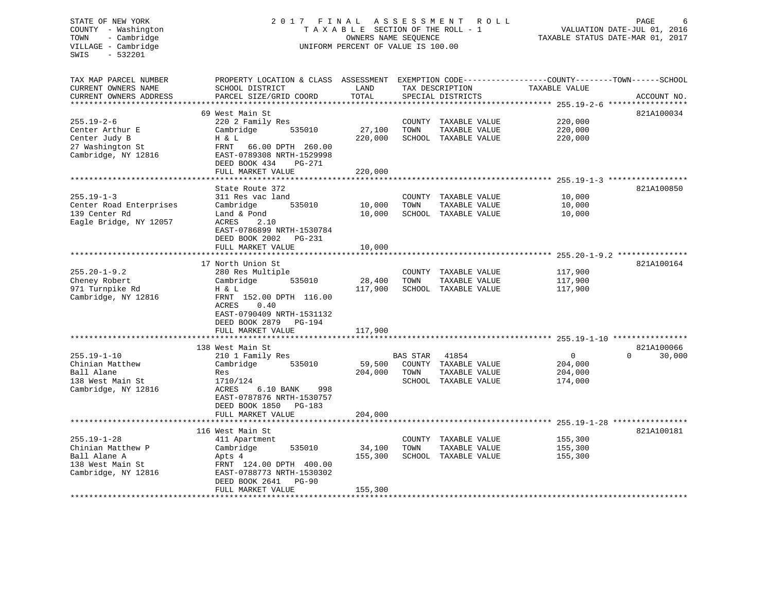### STATE OF NEW YORK 2 0 1 7 F I N A L A S S E S S M E N T R O L L PAGE 6 COUNTY - Washington T A X A B L E SECTION OF THE ROLL - 1 VALUATION DATE-JUL 01, 2016 TOWN - Cambridge OWNERS NAME SEQUENCE TAXABLE STATUS DATE-MAR 01, 2017 VILLAGE - Cambridge UNIFORM PERCENT OF VALUE IS 100.00

| TAX MAP PARCEL NUMBER   | PROPERTY LOCATION & CLASS ASSESSMENT EXEMPTION CODE-----------------COUNTY-------TOWN------SCHOOL |         |          |                      |                |                    |
|-------------------------|---------------------------------------------------------------------------------------------------|---------|----------|----------------------|----------------|--------------------|
| CURRENT OWNERS NAME     | SCHOOL DISTRICT                                                                                   | LAND    |          | TAX DESCRIPTION      | TAXABLE VALUE  |                    |
| CURRENT OWNERS ADDRESS  | PARCEL SIZE/GRID COORD                                                                            | TOTAL   |          | SPECIAL DISTRICTS    |                | ACCOUNT NO.        |
|                         |                                                                                                   |         |          |                      |                |                    |
|                         | 69 West Main St                                                                                   |         |          |                      |                | 821A100034         |
| $255.19 - 2 - 6$        | 220 2 Family Res                                                                                  |         |          | COUNTY TAXABLE VALUE | 220,000        |                    |
| Center Arthur E         | 535010<br>Cambridge                                                                               | 27,100  | TOWN     | TAXABLE VALUE        | 220,000        |                    |
|                         |                                                                                                   |         |          |                      |                |                    |
| Center Judy B           | H & L                                                                                             | 220,000 |          | SCHOOL TAXABLE VALUE | 220,000        |                    |
| 27 Washington St        | FRNT 66.00 DPTH 260.00                                                                            |         |          |                      |                |                    |
| Cambridge, NY 12816     | EAST-0789308 NRTH-1529998                                                                         |         |          |                      |                |                    |
|                         | DEED BOOK 434<br>$PG-271$                                                                         |         |          |                      |                |                    |
|                         | FULL MARKET VALUE                                                                                 | 220,000 |          |                      |                |                    |
|                         |                                                                                                   |         |          |                      |                |                    |
|                         | State Route 372                                                                                   |         |          |                      |                | 821A100850         |
| $255.19 - 1 - 3$        | 311 Res vac land                                                                                  |         |          | COUNTY TAXABLE VALUE | 10,000         |                    |
| Center Road Enterprises | 535010<br>Cambridge                                                                               | 10,000  | TOWN     | TAXABLE VALUE        | 10,000         |                    |
| 139 Center Rd           | Land & Pond                                                                                       | 10,000  |          | SCHOOL TAXABLE VALUE | 10,000         |                    |
| Eagle Bridge, NY 12057  | ACRES<br>2.10                                                                                     |         |          |                      |                |                    |
|                         | EAST-0786899 NRTH-1530784                                                                         |         |          |                      |                |                    |
|                         |                                                                                                   |         |          |                      |                |                    |
|                         | DEED BOOK 2002<br>PG-231                                                                          |         |          |                      |                |                    |
|                         | FULL MARKET VALUE                                                                                 | 10,000  |          |                      |                |                    |
|                         |                                                                                                   |         |          |                      |                |                    |
|                         | 17 North Union St.                                                                                |         |          |                      |                | 821A100164         |
| $255.20 - 1 - 9.2$      | 280 Res Multiple                                                                                  |         |          | COUNTY TAXABLE VALUE | 117,900        |                    |
| Cheney Robert           | Cambridge<br>535010                                                                               | 28,400  | TOWN     | TAXABLE VALUE        | 117,900        |                    |
| 971 Turnpike Rd         | H & L                                                                                             | 117,900 |          | SCHOOL TAXABLE VALUE | 117,900        |                    |
| Cambridge, NY 12816     | FRNT 152.00 DPTH 116.00                                                                           |         |          |                      |                |                    |
|                         | 0.40<br>ACRES                                                                                     |         |          |                      |                |                    |
|                         | EAST-0790409 NRTH-1531132                                                                         |         |          |                      |                |                    |
|                         | DEED BOOK 2879<br>PG-194                                                                          |         |          |                      |                |                    |
|                         | FULL MARKET VALUE                                                                                 | 117,900 |          |                      |                |                    |
|                         |                                                                                                   |         |          |                      |                |                    |
|                         |                                                                                                   |         |          |                      |                |                    |
|                         | 138 West Main St                                                                                  |         |          |                      |                | 821A100066         |
| $255.19 - 1 - 10$       | 210 1 Family Res                                                                                  |         | BAS STAR | 41854                | $\overline{0}$ | $\Omega$<br>30,000 |
| Chinian Matthew         | 535010<br>Cambridge                                                                               | 59,500  |          | COUNTY TAXABLE VALUE | 204,000        |                    |
| Ball Alane              | Res                                                                                               | 204,000 | TOWN     | TAXABLE VALUE        | 204,000        |                    |
| 138 West Main St        | 1710/124                                                                                          |         |          | SCHOOL TAXABLE VALUE | 174,000        |                    |
| Cambridge, NY 12816     | 6.10 BANK<br>ACRES<br>998                                                                         |         |          |                      |                |                    |
|                         | EAST-0787876 NRTH-1530757                                                                         |         |          |                      |                |                    |
|                         | DEED BOOK 1850<br>PG-183                                                                          |         |          |                      |                |                    |
|                         | FULL MARKET VALUE                                                                                 | 204,000 |          |                      |                |                    |
|                         |                                                                                                   |         |          |                      |                |                    |
|                         | 116 West Main St                                                                                  |         |          |                      |                | 821A100181         |
| $255.19 - 1 - 28$       | 411 Apartment                                                                                     |         |          | COUNTY TAXABLE VALUE | 155,300        |                    |
|                         |                                                                                                   |         |          |                      |                |                    |
| Chinian Matthew P       | Cambridge<br>535010                                                                               | 34,100  | TOWN     | TAXABLE VALUE        | 155,300        |                    |
| Ball Alane A            | Apts 4                                                                                            | 155,300 |          | SCHOOL TAXABLE VALUE | 155,300        |                    |
| 138 West Main St        | FRNT 124.00 DPTH 400.00                                                                           |         |          |                      |                |                    |
|                         |                                                                                                   |         |          |                      |                |                    |
| Cambridge, NY 12816     | EAST-0788773 NRTH-1530302                                                                         |         |          |                      |                |                    |
|                         | DEED BOOK 2641<br><b>PG-90</b>                                                                    |         |          |                      |                |                    |
|                         | FULL MARKET VALUE                                                                                 | 155,300 |          |                      |                |                    |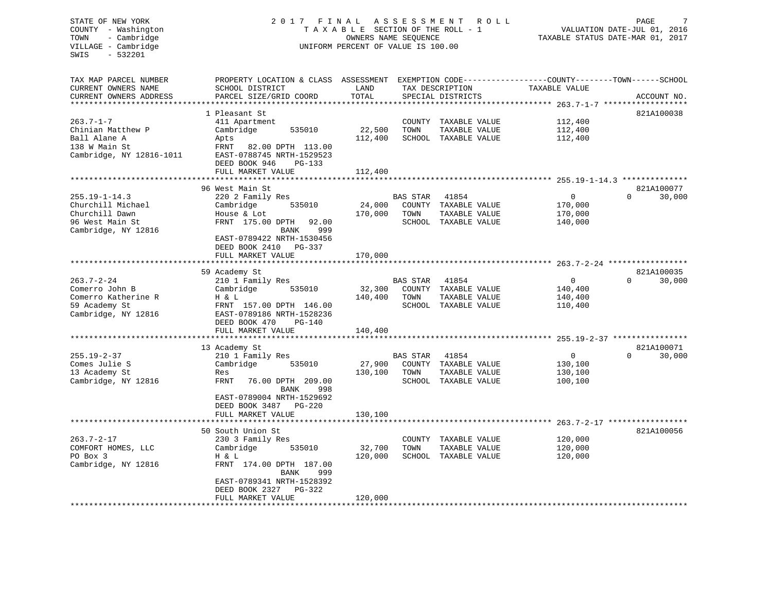### STATE OF NEW YORK 2017 FINAL ASSESSMENT ROLL PAGE 7 COUNTY - Washington  $T A X A B L E$  SECTION OF THE ROLL - 1<br>TOWN - Cambridge  $\sim$  000NERS NAME SEQUENCE TOWN - Cambridge OWNERS NAME SEQUENCE TAXABLE STATUS DATE-MAR 01, 2017 UNIFORM PERCENT OF VALUE IS 100.00

| TAX MAP PARCEL NUMBER<br>CURRENT OWNERS NAME        | PROPERTY LOCATION & CLASS ASSESSMENT EXEMPTION CODE---------------COUNTY-------TOWN-----SCHOOL<br>SCHOOL DISTRICT   | LAND                      |                 | TAX DESCRIPTION                       | TAXABLE VALUE      |                    |
|-----------------------------------------------------|---------------------------------------------------------------------------------------------------------------------|---------------------------|-----------------|---------------------------------------|--------------------|--------------------|
| CURRENT OWNERS ADDRESS<br>************************* | PARCEL SIZE/GRID COORD                                                                                              | TOTAL                     |                 | SPECIAL DISTRICTS                     |                    | ACCOUNT NO.        |
|                                                     |                                                                                                                     |                           |                 |                                       |                    |                    |
| $263.7 - 1 - 7$                                     | 1 Pleasant St                                                                                                       |                           |                 |                                       |                    | 821A100038         |
| Chinian Matthew P                                   | 411 Apartment                                                                                                       |                           |                 | COUNTY TAXABLE VALUE                  | 112,400            |                    |
| Ball Alane A                                        | Cambridge<br>535010                                                                                                 | 22,500<br>112,400         | TOWN            | TAXABLE VALUE<br>SCHOOL TAXABLE VALUE | 112,400<br>112,400 |                    |
| 138 W Main St<br>Cambridge, NY 12816-1011           | Apts<br>FRNT<br>82.00 DPTH 113.00<br>EAST-0788745 NRTH-1529523<br>DEED BOOK 946<br>PG-133                           |                           |                 |                                       |                    |                    |
|                                                     | FULL MARKET VALUE                                                                                                   | 112,400                   |                 |                                       |                    |                    |
|                                                     |                                                                                                                     |                           |                 |                                       |                    |                    |
|                                                     | 96 West Main St                                                                                                     |                           |                 |                                       |                    | 821A100077         |
| $255.19 - 1 - 14.3$                                 | 220 2 Family Res                                                                                                    |                           | <b>BAS STAR</b> | 41854                                 | 0                  | $\Omega$<br>30,000 |
| Churchill Michael                                   | 535010<br>Cambridge                                                                                                 | 24,000                    |                 | COUNTY TAXABLE VALUE                  | 170,000            |                    |
| Churchill Dawn                                      | House & Lot                                                                                                         | 170,000                   | TOWN            | TAXABLE VALUE                         | 170,000            |                    |
| 96 West Main St<br>Cambridge, NY 12816              | FRNT 175.00 DPTH<br>92.00<br>BANK<br>999<br>EAST-0789422 NRTH-1530456<br>DEED BOOK 2410 PG-337<br>FULL MARKET VALUE | 170,000                   |                 | SCHOOL TAXABLE VALUE                  | 140,000            |                    |
|                                                     |                                                                                                                     |                           |                 |                                       |                    |                    |
|                                                     | 59 Academy St                                                                                                       |                           |                 |                                       |                    | 821A100035         |
| $263.7 - 2 - 24$                                    | 210 1 Family Res                                                                                                    |                           | <b>BAS STAR</b> | 41854                                 | $\mathbf 0$        | $\Omega$<br>30,000 |
| Comerro John B                                      | Cambridge<br>535010                                                                                                 | 32,300                    | COUNTY          | TAXABLE VALUE                         | 140,400            |                    |
| Comerro Katherine R                                 | H & L                                                                                                               | 140,400                   | TOWN            | TAXABLE VALUE                         | 140,400            |                    |
| 59 Academy St<br>Cambridge, NY 12816                | FRNT 157.00 DPTH 146.00<br>EAST-0789186 NRTH-1528236<br>DEED BOOK 470<br><b>PG-140</b><br>FULL MARKET VALUE         |                           |                 | SCHOOL TAXABLE VALUE                  | 110,400            |                    |
|                                                     |                                                                                                                     | 140,400                   |                 |                                       |                    |                    |
|                                                     | 13 Academy St                                                                                                       |                           |                 |                                       |                    | 821A100071         |
| $255.19 - 2 - 37$                                   | 210 1 Family Res                                                                                                    |                           | BAS STAR        | 41854                                 | $\mathbf 0$        | $\Omega$<br>30,000 |
| Comes Julie S                                       | Cambridge<br>535010                                                                                                 | 27,900                    |                 | COUNTY TAXABLE VALUE                  | 130,100            |                    |
| 13 Academy St                                       | Res                                                                                                                 | 130,100                   | TOWN            | TAXABLE VALUE                         | 130,100            |                    |
| Cambridge, NY 12816                                 | FRNT<br>76.00 DPTH 209.00                                                                                           |                           |                 | SCHOOL TAXABLE VALUE                  | 100,100            |                    |
|                                                     | BANK<br>998<br>EAST-0789004 NRTH-1529692<br>DEED BOOK 3487<br>PG-220                                                |                           |                 |                                       |                    |                    |
|                                                     | FULL MARKET VALUE                                                                                                   | 130,100                   |                 |                                       |                    |                    |
|                                                     | *******************                                                                                                 | * * * * * * * * * * * * * |                 |                                       |                    |                    |
|                                                     | 50 South Union St                                                                                                   |                           |                 |                                       |                    | 821A100056         |
| $263.7 - 2 - 17$                                    | 230 3 Family Res                                                                                                    |                           | COUNTY          | TAXABLE VALUE                         | 120,000            |                    |
| COMFORT HOMES, LLC                                  | Cambridge<br>535010                                                                                                 | 32,700                    | TOWN            | TAXABLE VALUE                         | 120,000            |                    |
| PO Box 3                                            | H & L                                                                                                               | 120,000                   |                 | SCHOOL TAXABLE VALUE                  | 120,000            |                    |
| Cambridge, NY 12816                                 | FRNT 174.00 DPTH 187.00<br>BANK<br>999<br>EAST-0789341 NRTH-1528392                                                 |                           |                 |                                       |                    |                    |
|                                                     | DEED BOOK 2327<br>PG-322<br>FULL MARKET VALUE                                                                       |                           |                 |                                       |                    |                    |
|                                                     |                                                                                                                     | 120,000                   |                 |                                       |                    |                    |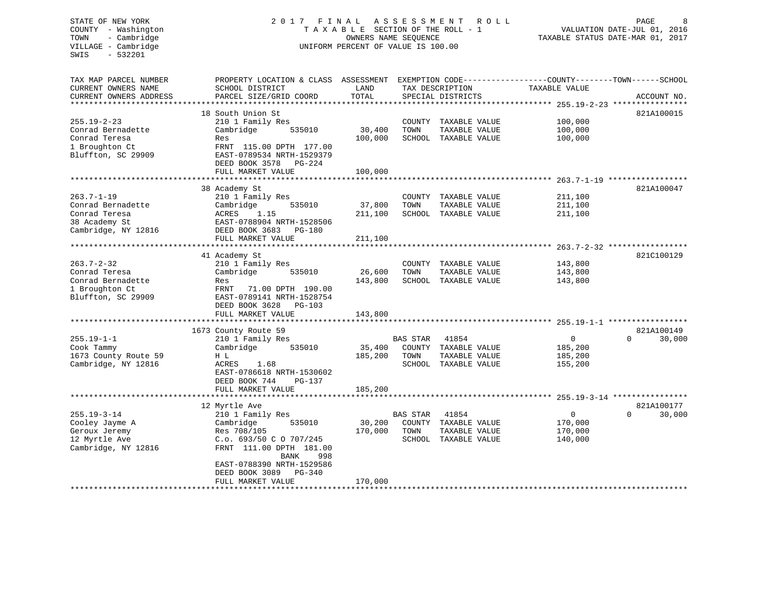# STATE OF NEW YORK 2 0 1 7 F I N A L A S S E S S M E N T R O L L PAGE 8 COUNTY - Washington T A X A B L E SECTION OF THE ROLL - 1 VALUATION DATE-JUL 01, 2016 TOWN - Cambridge OWNERS NAME SEQUENCE TAXABLE STATUS DATE-MAR 01, 2017 UNIFORM PERCENT OF VALUE IS 100.00

| TAX MAP PARCEL NUMBER<br>CURRENT OWNERS NAME<br>CURRENT OWNERS ADDRESS                          | PROPERTY LOCATION & CLASS ASSESSMENT<br>SCHOOL DISTRICT<br>PARCEL SIZE/GRID COORD                                                                                                                            | LAND<br>TOTAL                      |                                   | TAX DESCRIPTION<br>SPECIAL DISTRICTS                                   | TAXABLE VALUE                                   | EXEMPTION CODE-----------------COUNTY-------TOWN------SCHOOL<br>ACCOUNT NO. |  |
|-------------------------------------------------------------------------------------------------|--------------------------------------------------------------------------------------------------------------------------------------------------------------------------------------------------------------|------------------------------------|-----------------------------------|------------------------------------------------------------------------|-------------------------------------------------|-----------------------------------------------------------------------------|--|
| *******************                                                                             | ********************                                                                                                                                                                                         |                                    |                                   |                                                                        |                                                 |                                                                             |  |
| $255.19 - 2 - 23$<br>Conrad Bernadette<br>Conrad Teresa<br>1 Broughton Ct<br>Bluffton, SC 29909 | 18 South Union St<br>210 1 Family Res<br>Cambridge<br>535010<br>Res<br>FRNT 115.00 DPTH 177.00<br>EAST-0789534 NRTH-1529379                                                                                  | 30,400<br>100,000                  | TOWN                              | COUNTY TAXABLE VALUE<br>TAXABLE VALUE<br>SCHOOL TAXABLE VALUE          | 100,000<br>100,000<br>100,000                   | 821A100015                                                                  |  |
|                                                                                                 | DEED BOOK 3578<br>PG-224                                                                                                                                                                                     |                                    |                                   |                                                                        |                                                 |                                                                             |  |
|                                                                                                 | FULL MARKET VALUE                                                                                                                                                                                            | 100,000<br>* * * * * * * * * * * * |                                   |                                                                        |                                                 |                                                                             |  |
|                                                                                                 | 38 Academy St                                                                                                                                                                                                |                                    |                                   |                                                                        |                                                 | 821A100047                                                                  |  |
| $263.7 - 1 - 19$<br>Conrad Bernadette<br>Conrad Teresa<br>38 Academy St<br>Cambridge, NY 12816  | 210 1 Family Res<br>Cambridge<br>535010<br>1.15<br>ACRES<br>EAST-0788904 NRTH-1528506<br>DEED BOOK 3683<br>PG-180                                                                                            | 37,800<br>211,100                  | TOWN                              | COUNTY TAXABLE VALUE<br>TAXABLE VALUE<br>SCHOOL TAXABLE VALUE          | 211,100<br>211,100<br>211,100                   |                                                                             |  |
|                                                                                                 | FULL MARKET VALUE                                                                                                                                                                                            | 211,100                            |                                   |                                                                        |                                                 |                                                                             |  |
|                                                                                                 | 41 Academy St                                                                                                                                                                                                |                                    |                                   |                                                                        |                                                 | 821C100129                                                                  |  |
| $263.7 - 2 - 32$<br>Conrad Teresa<br>Conrad Bernadette<br>1 Broughton Ct<br>Bluffton, SC 29909  | 210 1 Family Res<br>Cambridge<br>535010<br>Res<br>71.00 DPTH 190.00<br>FRNT<br>EAST-0789141 NRTH-1528754<br>DEED BOOK 3628<br><b>PG-103</b>                                                                  | 26,600<br>143,800                  | TOWN                              | COUNTY TAXABLE VALUE<br>TAXABLE VALUE<br>SCHOOL TAXABLE VALUE          | 143,800<br>143,800<br>143,800                   |                                                                             |  |
|                                                                                                 | FULL MARKET VALUE                                                                                                                                                                                            | 143,800                            |                                   |                                                                        |                                                 |                                                                             |  |
| $255.19 - 1 - 1$<br>Cook Tammy<br>1673 County Route 59<br>Cambridge, NY 12816                   | 1673 County Route 59<br>210 1 Family Res<br>Cambridge<br>535010<br>H L<br>ACRES<br>1.68<br>EAST-0786618 NRTH-1530602                                                                                         | 35,400<br>185,200                  | BAS STAR<br>TOWN                  | 41854<br>COUNTY TAXABLE VALUE<br>TAXABLE VALUE<br>SCHOOL TAXABLE VALUE | 0<br>185,200<br>185,200<br>155,200              | 821A100149<br>30,000<br>0                                                   |  |
|                                                                                                 | DEED BOOK 744<br>$PG-137$<br>FULL MARKET VALUE                                                                                                                                                               | 185,200                            |                                   |                                                                        |                                                 |                                                                             |  |
|                                                                                                 |                                                                                                                                                                                                              |                                    |                                   |                                                                        |                                                 |                                                                             |  |
| $255.19 - 3 - 14$<br>Cooley Jayme A<br>Geroux Jeremy<br>12 Myrtle Ave<br>Cambridge, NY 12816    | 12 Myrtle Ave<br>210 1 Family Res<br>535010<br>Cambridge<br>Res 708/105<br>C.o. 693/50 C O 707/245<br>FRNT 111.00 DPTH 181.00<br><b>BANK</b><br>998<br>EAST-0788390 NRTH-1529586<br>DEED BOOK 3089<br>PG-340 | 30,200<br>170,000                  | <b>BAS STAR</b><br>COUNTY<br>TOWN | 41854<br>TAXABLE VALUE<br>TAXABLE VALUE<br>SCHOOL TAXABLE VALUE        | $\overline{0}$<br>170,000<br>170,000<br>140,000 | 821A100177<br>30,000<br>$\Omega$                                            |  |
|                                                                                                 | FULL MARKET VALUE                                                                                                                                                                                            | 170,000                            |                                   |                                                                        |                                                 |                                                                             |  |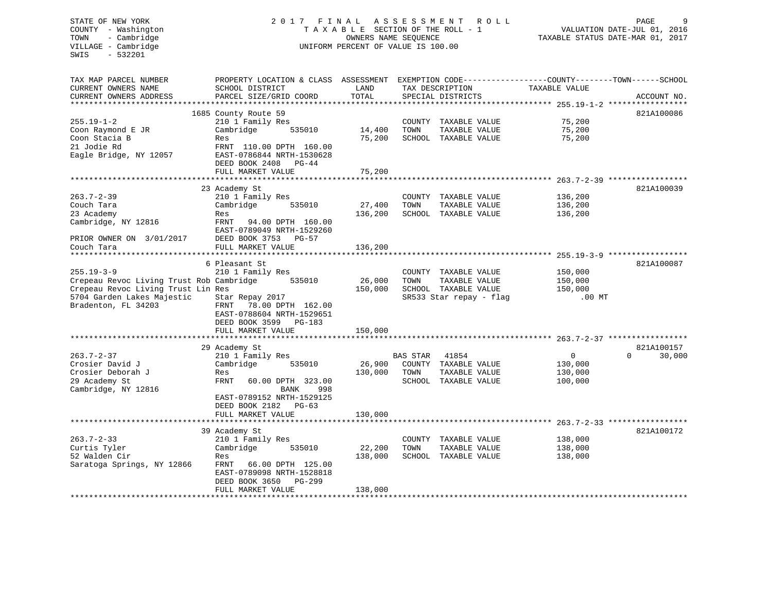# STATE OF NEW YORK 2 0 1 7 F I N A L A S S E S S M E N T R O L L PAGE 9 COUNTY - Washington T A X A B L E SECTION OF THE ROLL - 1 VALUATION DATE-JUL 01, 2016 TOWN - Cambridge OWNERS NAME SEQUENCE TAXABLE STATUS DATE-MAR 01, 2017 UNIFORM PERCENT OF VALUE IS 100.00

| TAX MAP PARCEL NUMBER<br>CURRENT OWNERS NAME | PROPERTY LOCATION & CLASS ASSESSMENT<br>SCHOOL DISTRICT | LAND    | TAX DESCRIPTION |                         | EXEMPTION CODE-----------------COUNTY-------TOWN------SCHOOL<br>TAXABLE VALUE |                    |
|----------------------------------------------|---------------------------------------------------------|---------|-----------------|-------------------------|-------------------------------------------------------------------------------|--------------------|
| CURRENT OWNERS ADDRESS                       | PARCEL SIZE/GRID COORD                                  | TOTAL   |                 | SPECIAL DISTRICTS       |                                                                               | ACCOUNT NO.        |
| *********************                        | ***************************                             |         |                 |                         |                                                                               |                    |
|                                              | 1685 County Route 59                                    |         |                 |                         |                                                                               | 821A100086         |
| $255.19 - 1 - 2$                             | 210 1 Family Res                                        |         |                 | COUNTY TAXABLE VALUE    | 75,200                                                                        |                    |
| Coon Raymond E JR                            | Cambridge<br>535010                                     | 14,400  | TOWN            | TAXABLE VALUE           | 75,200                                                                        |                    |
| Coon Stacia B                                | Res                                                     | 75,200  |                 | SCHOOL TAXABLE VALUE    | 75,200                                                                        |                    |
| 21 Jodie Rd                                  | FRNT 110.00 DPTH 160.00                                 |         |                 |                         |                                                                               |                    |
| Eagle Bridge, NY 12057                       | EAST-0786844 NRTH-1530628                               |         |                 |                         |                                                                               |                    |
|                                              | DEED BOOK 2408 PG-44                                    |         |                 |                         |                                                                               |                    |
|                                              | FULL MARKET VALUE                                       | 75,200  |                 |                         |                                                                               |                    |
|                                              |                                                         |         |                 |                         |                                                                               |                    |
|                                              | 23 Academy St                                           |         |                 |                         |                                                                               | 821A100039         |
| $263.7 - 2 - 39$                             | 210 1 Family Res                                        |         |                 | COUNTY TAXABLE VALUE    | 136,200                                                                       |                    |
| Couch Tara                                   | Cambridge<br>535010                                     | 27,400  | TOWN            | TAXABLE VALUE           | 136,200                                                                       |                    |
| 23 Academy                                   | Res                                                     | 136,200 |                 | SCHOOL TAXABLE VALUE    | 136,200                                                                       |                    |
| Cambridge, NY 12816                          | FRNT<br>94.00 DPTH 160.00                               |         |                 |                         |                                                                               |                    |
|                                              | EAST-0789049 NRTH-1529260                               |         |                 |                         |                                                                               |                    |
| PRIOR OWNER ON 3/01/2017                     | DEED BOOK 3753 PG-57                                    |         |                 |                         |                                                                               |                    |
| Couch Tara                                   | FULL MARKET VALUE                                       | 136,200 |                 |                         |                                                                               |                    |
|                                              |                                                         |         |                 |                         |                                                                               |                    |
|                                              | 6 Pleasant St                                           |         |                 |                         |                                                                               | 821A100087         |
| $255.19 - 3 - 9$                             | 210 1 Family Res                                        |         |                 | COUNTY TAXABLE VALUE    | 150,000                                                                       |                    |
| Crepeau Revoc Living Trust Rob Cambridge     | 535010                                                  | 26,000  | TOWN            | TAXABLE VALUE           | 150,000                                                                       |                    |
| Crepeau Revoc Living Trust Lin Res           |                                                         | 150,000 |                 | SCHOOL TAXABLE VALUE    | 150,000                                                                       |                    |
| 5704 Garden Lakes Majestic                   | Star Repay 2017                                         |         |                 | SR533 Star repay - flag | $.00$ MT                                                                      |                    |
| Bradenton, FL 34203                          | FRNT<br>78.00 DPTH 162.00                               |         |                 |                         |                                                                               |                    |
|                                              | EAST-0788604 NRTH-1529651                               |         |                 |                         |                                                                               |                    |
|                                              | DEED BOOK 3599 PG-183                                   |         |                 |                         |                                                                               |                    |
|                                              | FULL MARKET VALUE                                       | 150,000 |                 |                         |                                                                               |                    |
|                                              |                                                         |         |                 |                         |                                                                               |                    |
|                                              | 29 Academy St                                           |         |                 |                         |                                                                               | 821A100157         |
| $263.7 - 2 - 37$                             | 210 1 Family Res                                        |         | BAS STAR        | 41854                   | $\overline{0}$                                                                | $\Omega$<br>30,000 |
| Crosier David J                              | Cambridge<br>535010                                     | 26,900  |                 | COUNTY TAXABLE VALUE    | 130,000                                                                       |                    |
| Crosier Deborah J                            | Res                                                     | 130,000 | TOWN            | TAXABLE VALUE           | 130,000                                                                       |                    |
| 29 Academy St                                | FRNT<br>60.00 DPTH 323.00                               |         |                 | SCHOOL TAXABLE VALUE    | 100,000                                                                       |                    |
| Cambridge, NY 12816                          | BANK<br>998                                             |         |                 |                         |                                                                               |                    |
|                                              | EAST-0789152 NRTH-1529125                               |         |                 |                         |                                                                               |                    |
|                                              | DEED BOOK 2182 PG-63                                    |         |                 |                         |                                                                               |                    |
|                                              | FULL MARKET VALUE                                       | 130,000 |                 |                         |                                                                               |                    |
|                                              |                                                         |         |                 |                         |                                                                               |                    |
|                                              | 39 Academy St                                           |         |                 |                         |                                                                               | 821A100172         |
| $263.7 - 2 - 33$                             | 210 1 Family Res                                        |         |                 | COUNTY TAXABLE VALUE    | 138,000                                                                       |                    |
| Curtis Tyler                                 | Cambridge<br>535010                                     | 22,200  | TOWN            | TAXABLE VALUE           | 138,000                                                                       |                    |
| 52 Walden Cir                                | Res                                                     | 138,000 |                 | SCHOOL TAXABLE VALUE    | 138,000                                                                       |                    |
| Saratoga Springs, NY 12866                   | FRNT<br>66.00 DPTH 125.00                               |         |                 |                         |                                                                               |                    |
|                                              | EAST-0789098 NRTH-1528818                               |         |                 |                         |                                                                               |                    |
|                                              | DEED BOOK 3650<br>PG-299<br>FULL MARKET VALUE           |         |                 |                         |                                                                               |                    |
|                                              |                                                         | 138,000 |                 |                         |                                                                               |                    |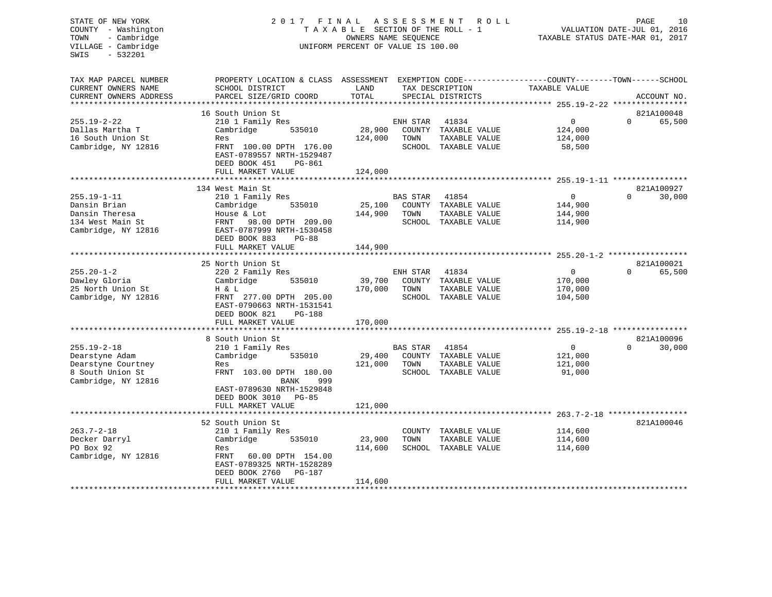### STATE OF NEW YORK 2 0 1 7 F I N A L A S S E S S M E N T R O L L PAGE 10COUNTY - Washington  $T A X A B L E$  SECTION OF THE ROLL - 1<br>TOWN - Cambridge  $\qquad$  OWNERS NAME SEQUENCE TOWN - Cambridge OWNERS NAME SEQUENCE TAXABLE STATUS DATE-MAR 01, 2017 UNIFORM PERCENT OF VALUE IS 100.00

VALUATION DATE-JUL 01, 2016

| TAX MAP PARCEL NUMBER<br>CURRENT OWNERS NAME<br>CURRENT OWNERS ADDRESS                               | PROPERTY LOCATION & CLASS ASSESSMENT EXEMPTION CODE---------------COUNTY-------TOWN-----SCHOOL<br>SCHOOL DISTRICT<br>PARCEL SIZE/GRID COORD                                            | LAND<br>TOTAL                |                         | TAX DESCRIPTION<br>SPECIAL DISTRICTS                                   | TAXABLE VALUE                                   |          | ACCOUNT NO.          |
|------------------------------------------------------------------------------------------------------|----------------------------------------------------------------------------------------------------------------------------------------------------------------------------------------|------------------------------|-------------------------|------------------------------------------------------------------------|-------------------------------------------------|----------|----------------------|
| $255.19 - 2 - 22$<br>Dallas Martha T<br>16 South Union St<br>Cambridge, NY 12816                     | 16 South Union St<br>210 1 Family Res<br>Cambridge<br>535010<br>Res<br>FRNT 100.00 DPTH 176.00<br>EAST-0789557 NRTH-1529487<br>DEED BOOK 451<br>PG-861<br>FULL MARKET VALUE            | 28,900<br>124,000<br>124,000 | ENH STAR<br>TOWN        | 41834<br>COUNTY TAXABLE VALUE<br>TAXABLE VALUE<br>SCHOOL TAXABLE VALUE | $\overline{0}$<br>124,000<br>124,000<br>58,500  | $\Omega$ | 821A100048<br>65,500 |
| $255.19 - 1 - 11$<br>Dansin Brian<br>Dansin Theresa<br>134 West Main St<br>Cambridge, NY 12816       | 134 West Main St<br>210 1 Family Res<br>535010<br>Cambridge<br>House & Lot<br>FRNT 98.00 DPTH 209.00<br>EAST-0787999 NRTH-1530458<br>DEED BOOK 883<br>$PG-88$<br>FULL MARKET VALUE     | 25,100<br>144,900<br>144,900 | BAS STAR<br>TOWN        | 41854<br>COUNTY TAXABLE VALUE<br>TAXABLE VALUE<br>SCHOOL TAXABLE VALUE | $\overline{0}$<br>144,900<br>144,900<br>114,900 | $\Omega$ | 821A100927<br>30,000 |
| $255.20 - 1 - 2$<br>Dawley Gloria<br>25 North Union St<br>Cambridge, NY 12816                        | 25 North Union St<br>220 2 Family Res<br>Cambridge<br>535010<br>H & L<br>FRNT 277.00 DPTH 205.00<br>EAST-0790663 NRTH-1531541<br>DEED BOOK 821<br><b>PG-188</b><br>FULL MARKET VALUE   | 39,700<br>170,000<br>170,000 | ENH STAR<br>TOWN        | 41834<br>COUNTY TAXABLE VALUE<br>TAXABLE VALUE<br>SCHOOL TAXABLE VALUE | $\mathbf 0$<br>170,000<br>170,000<br>104,500    | $\Omega$ | 821A100021<br>65,500 |
| $255.19 - 2 - 18$<br>Dearstyne Adam<br>Dearstyne Courtney<br>8 South Union St<br>Cambridge, NY 12816 | 8 South Union St<br>210 1 Family Res<br>Cambridge<br>535010<br>Res<br>FRNT 103.00 DPTH 180.00<br>BANK<br>999<br>EAST-0789630 NRTH-1529848<br>DEED BOOK 3010 PG-85<br>FULL MARKET VALUE | 29,400<br>121,000<br>121,000 | <b>BAS STAR</b><br>TOWN | 41854<br>COUNTY TAXABLE VALUE<br>TAXABLE VALUE<br>SCHOOL TAXABLE VALUE | $\overline{0}$<br>121,000<br>121,000<br>91,000  | $\Omega$ | 821A100096<br>30,000 |
| $263.7 - 2 - 18$<br>Decker Darryl<br>PO Box 92<br>Cambridge, NY 12816                                | 52 South Union St<br>210 1 Family Res<br>Cambridge<br>535010<br>Res<br>60.00 DPTH 154.00<br>FRNT<br>EAST-0789325 NRTH-1528289<br>DEED BOOK 2760<br>PG-187<br>FULL MARKET VALUE         | 23,900<br>114,600<br>114,600 | TOWN                    | COUNTY TAXABLE VALUE<br>TAXABLE VALUE<br>SCHOOL TAXABLE VALUE          | 114,600<br>114,600<br>114,600                   |          | 821A100046           |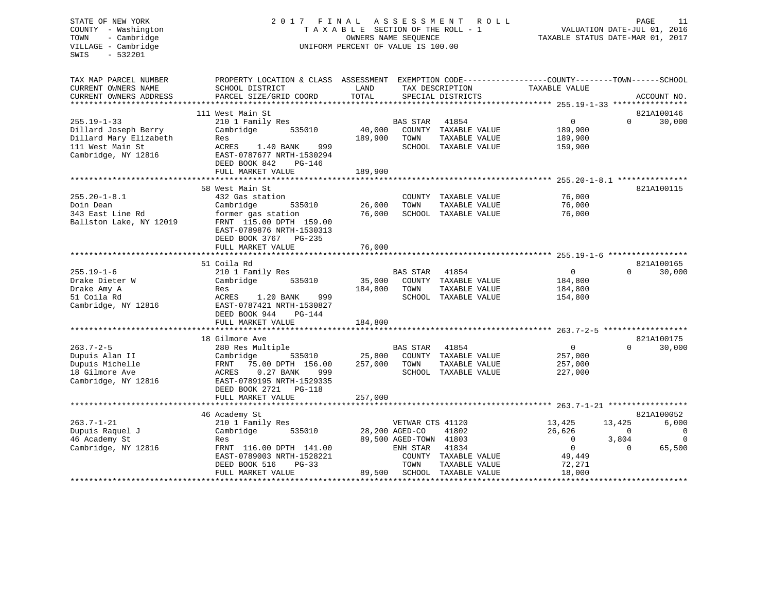# STATE OF NEW YORK 2 0 1 7 F I N A L A S S E S S M E N T R O L L PAGE 11 COUNTY - Washington T A X A B L E SECTION OF THE ROLL - 1 VALUATION DATE-JUL 01, 2016 TOWN - Cambridge OWNERS NAME SEQUENCE TAXABLE STATUS DATE-MAR 01, 2017 VILLAGE - Cambridge  $U = U \cdot U \cdot U$  UNIFORM PERCENT OF VALUE IS 100.00

| TAX MAP PARCEL NUMBER<br>CURRENT OWNERS NAME<br>CURRENT OWNERS ADDRESS<br>*************************            | PROPERTY LOCATION & CLASS ASSESSMENT<br>SCHOOL DISTRICT<br>PARCEL SIZE/GRID COORD                                                                                                                                      | LAND<br>TOTAL                |                                                                                  | TAX DESCRIPTION<br>SPECIAL DISTRICTS                                                                 | EXEMPTION CODE-----------------COUNTY-------TOWN------SCHOOL<br>TAXABLE VALUE |                                         | ACCOUNT NO.                                    |
|----------------------------------------------------------------------------------------------------------------|------------------------------------------------------------------------------------------------------------------------------------------------------------------------------------------------------------------------|------------------------------|----------------------------------------------------------------------------------|------------------------------------------------------------------------------------------------------|-------------------------------------------------------------------------------|-----------------------------------------|------------------------------------------------|
| $255.19 - 1 - 33$<br>Dillard Joseph Berry<br>Dillard Mary Elizabeth<br>111 West Main St<br>Cambridge, NY 12816 | 111 West Main St<br>210 1 Family Res<br>Cambridge<br>535010<br>Res<br>ACRES<br>1.40 BANK<br>999<br>EAST-0787677 NRTH-1530294<br>DEED BOOK 842<br>PG-146<br>FULL MARKET VALUE                                           | 40,000<br>189,900<br>189,900 | <b>BAS STAR</b><br>TOWN                                                          | 41854<br>COUNTY TAXABLE VALUE<br>TAXABLE VALUE<br>SCHOOL TAXABLE VALUE                               | $\overline{0}$<br>189,900<br>189,900<br>159,900                               | 821A100146<br>$\Omega$                  | 30,000                                         |
| $255.20 - 1 - 8.1$<br>Doin Dean<br>343 East Line Rd<br>Ballston Lake, NY 12019                                 | **************************<br>58 West Main St<br>432 Gas station<br>Cambridge<br>535010<br>former gas station<br>FRNT 115.00 DPTH 159.00<br>EAST-0789876 NRTH-1530313<br>DEED BOOK 3767<br>PG-235<br>FULL MARKET VALUE | 26,000<br>76,000<br>76,000   | TOWN                                                                             | ***********************************<br>COUNTY TAXABLE VALUE<br>TAXABLE VALUE<br>SCHOOL TAXABLE VALUE | ********* 255.20-1-8.1<br>76,000<br>76,000<br>76,000                          | 821A100115                              |                                                |
| $255.19 - 1 - 6$<br>Drake Dieter W<br>Drake Amy A<br>51 Coila Rd<br>Cambridge, NY 12816                        | 51 Coila Rd<br>210 1 Family Res<br>Cambridge<br>535010<br>Res<br>ACRES<br>1.20 BANK<br>999<br>EAST-0787421 NRTH-1530827<br>DEED BOOK 944<br>PG-144<br>FULL MARKET VALUE                                                | 35,000<br>184,800<br>184,800 | <b>BAS STAR</b><br>TOWN                                                          | 41854<br>COUNTY TAXABLE VALUE<br>TAXABLE VALUE<br>SCHOOL TAXABLE VALUE                               | $\mathbf{0}$<br>184,800<br>184,800<br>154,800                                 | 821A100165<br>$\Omega$                  | 30,000                                         |
| $263.7 - 2 - 5$<br>Dupuis Alan II<br>Dupuis Michelle<br>18 Gilmore Ave<br>Cambridge, NY 12816                  | 18 Gilmore Ave<br>280 Res Multiple<br>535010<br>Cambridge<br>FRNT<br>75.00 DPTH 156.00<br>$0.27$ BANK<br>ACRES<br>999<br>EAST-0789195 NRTH-1529335<br>DEED BOOK 2721<br><b>PG-118</b><br>FULL MARKET VALUE             | 25,800<br>257,000<br>257,000 | <b>BAS STAR</b><br>TOWN                                                          | 41854<br>COUNTY TAXABLE VALUE<br>TAXABLE VALUE<br>SCHOOL TAXABLE VALUE                               | $\overline{0}$<br>257,000<br>257,000<br>227,000                               | $\Omega$                                | 821A100175<br>30,000                           |
| $263.7 - 1 - 21$<br>Dupuis Raquel J<br>46 Academy St<br>Cambridge, NY 12816                                    | 46 Academy St<br>210 1 Family Res<br>Cambridge<br>535010<br>Res<br>FRNT 116.00 DPTH 141.00<br>EAST-0789003 NRTH-1528221<br>DEED BOOK 516<br>$PG-33$<br>FULL MARKET VALUE                                               | 89,500                       | VETWAR CTS 41120<br>28,200 AGED-CO<br>89,500 AGED-TOWN 41803<br>ENH STAR<br>TOWN | 41802<br>41834<br>COUNTY TAXABLE VALUE<br>TAXABLE VALUE<br>SCHOOL TAXABLE VALUE                      | 13,425<br>26,626<br>$\mathbf{0}$<br>$\Omega$<br>49,449<br>72,271<br>18,000    | 13,425<br>$\Omega$<br>3,804<br>$\Omega$ | 821A100052<br>6,000<br>0<br>$\Omega$<br>65,500 |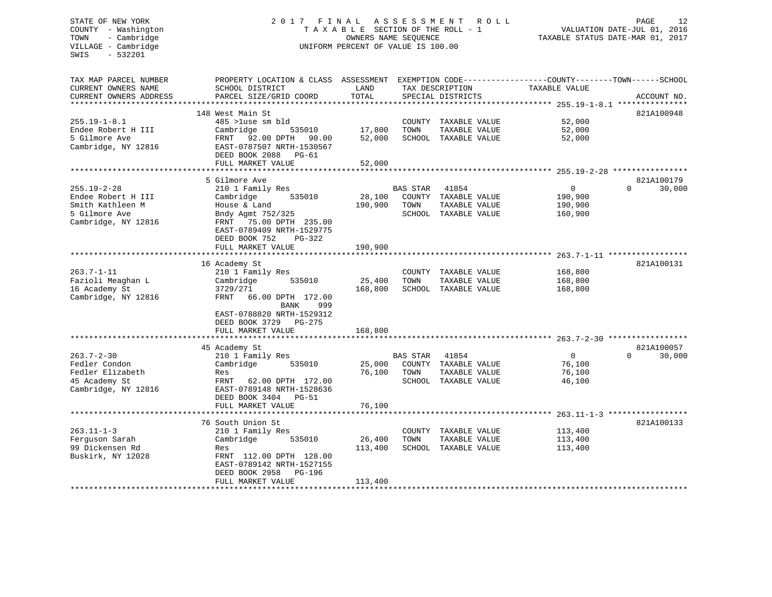### STATE OF NEW YORK 2017 FINAL ASSESSMENT ROLL PAGE 12 COUNTY - Washington  $T A X A B L E$  SECTION OF THE ROLL - 1<br>TOWN - Cambridge  $\sim$  000NERS NAME SEQUENCE TOWN - Cambridge OWNERS NAME SEQUENCE TAXABLE STATUS DATE-MAR 01, 2017 UNIFORM PERCENT OF VALUE IS 100.00

| TAX MAP PARCEL NUMBER<br>CURRENT OWNERS NAME<br>CURRENT OWNERS ADDRESS | PROPERTY LOCATION & CLASS ASSESSMENT<br>SCHOOL DISTRICT<br>PARCEL SIZE/GRID COORD                          | LAND<br>TOTAL    |                 | TAX DESCRIPTION<br>SPECIAL DISTRICTS | EXEMPTION CODE-----------------COUNTY-------TOWN------SCHOOL<br>TAXABLE VALUE | ACCOUNT NO.        |
|------------------------------------------------------------------------|------------------------------------------------------------------------------------------------------------|------------------|-----------------|--------------------------------------|-------------------------------------------------------------------------------|--------------------|
|                                                                        |                                                                                                            |                  |                 |                                      |                                                                               |                    |
|                                                                        | 148 West Main St                                                                                           |                  |                 |                                      |                                                                               | 821A100948         |
| $255.19 - 1 - 8.1$                                                     | 485 >luse sm bld                                                                                           |                  |                 | COUNTY TAXABLE VALUE                 | 52,000                                                                        |                    |
| Endee Robert H III                                                     | Cambridge<br>535010                                                                                        | 17,800           | TOWN            | TAXABLE VALUE                        | 52,000                                                                        |                    |
| 5 Gilmore Ave<br>Cambridge, NY 12816                                   | 92.00 DPTH<br>FRNT<br>90.00<br>EAST-0787507 NRTH-1530567<br>DEED BOOK 2088<br>$PG-61$<br>FULL MARKET VALUE | 52,000<br>52,000 |                 | SCHOOL TAXABLE VALUE                 | 52,000                                                                        |                    |
|                                                                        |                                                                                                            |                  |                 |                                      |                                                                               |                    |
|                                                                        | 5 Gilmore Ave                                                                                              |                  |                 |                                      |                                                                               | 821A100179         |
| $255.19 - 2 - 28$                                                      | 210 1 Family Res                                                                                           |                  | <b>BAS STAR</b> | 41854                                | $\overline{0}$                                                                | 30,000<br>$\Omega$ |
| Endee Robert H III                                                     | Cambridge<br>535010                                                                                        | 28,100           |                 | COUNTY TAXABLE VALUE                 | 190,900                                                                       |                    |
| Smith Kathleen M                                                       | House & Land                                                                                               | 190,900          | TOWN            | TAXABLE VALUE                        | 190,900                                                                       |                    |
| 5 Gilmore Ave                                                          | Bndy Agmt 752/325                                                                                          |                  |                 | SCHOOL TAXABLE VALUE                 | 160,900                                                                       |                    |
| Cambridge, NY 12816                                                    | 75.00 DPTH 235.00<br>FRNT<br>EAST-0789409 NRTH-1529775<br>DEED BOOK 752<br>$PG-322$                        |                  |                 |                                      |                                                                               |                    |
|                                                                        | FULL MARKET VALUE                                                                                          | 190,900          |                 |                                      |                                                                               |                    |
|                                                                        |                                                                                                            |                  |                 |                                      |                                                                               |                    |
|                                                                        | 16 Academy St                                                                                              |                  |                 |                                      |                                                                               | 821A100131         |
| $263.7 - 1 - 11$<br>Fazioli Meaghan L                                  | 210 1 Family Res<br>Cambridge<br>535010                                                                    | 25,400           | COUNTY<br>TOWN  | TAXABLE VALUE<br>TAXABLE VALUE       | 168,800<br>168,800                                                            |                    |
| 16 Academy St                                                          | 3729/271                                                                                                   | 168,800          |                 | SCHOOL TAXABLE VALUE                 | 168,800                                                                       |                    |
| Cambridge, NY 12816                                                    | FRNT<br>66.00 DPTH 172.00<br>999<br>BANK<br>EAST-0788820 NRTH-1529312                                      |                  |                 |                                      |                                                                               |                    |
|                                                                        | DEED BOOK 3729 PG-275                                                                                      |                  |                 |                                      |                                                                               |                    |
|                                                                        | FULL MARKET VALUE                                                                                          | 168,800          |                 |                                      |                                                                               |                    |
|                                                                        | 45 Academy St                                                                                              |                  |                 |                                      |                                                                               | 821A100057         |
| $263.7 - 2 - 30$                                                       | 210 1 Family Res                                                                                           |                  | <b>BAS STAR</b> | 41854                                | $\mathbf{0}$                                                                  | $\Omega$<br>30,000 |
| Fedler Condon                                                          | Cambridge<br>535010                                                                                        | 25,000           |                 | COUNTY TAXABLE VALUE                 | 76,100                                                                        |                    |
| Fedler Elizabeth                                                       | Res                                                                                                        | 76,100           | TOWN            | TAXABLE VALUE                        | 76,100                                                                        |                    |
| 45 Academy St                                                          | FRNT<br>62.00 DPTH 172.00                                                                                  |                  |                 | SCHOOL TAXABLE VALUE                 | 46,100                                                                        |                    |
| Cambridge, NY 12816                                                    | EAST-0789148 NRTH-1528636<br>DEED BOOK 3404<br>PG-51                                                       |                  |                 |                                      |                                                                               |                    |
|                                                                        | FULL MARKET VALUE                                                                                          | 76,100           |                 |                                      |                                                                               |                    |
|                                                                        | 76 South Union St                                                                                          |                  |                 |                                      |                                                                               | 821A100133         |
| $263.11 - 1 - 3$                                                       | 210 1 Family Res                                                                                           |                  |                 | COUNTY TAXABLE VALUE                 | 113,400                                                                       |                    |
| Ferguson Sarah                                                         | Cambridge<br>535010                                                                                        | 26,400           | TOWN            | TAXABLE VALUE                        | 113,400                                                                       |                    |
| 99 Dickensen Rd                                                        | Res                                                                                                        | 113,400          |                 | SCHOOL TAXABLE VALUE                 | 113,400                                                                       |                    |
| Buskirk, NY 12028                                                      | FRNT 112.00 DPTH 128.00<br>EAST-0789142 NRTH-1527155<br>DEED BOOK 2958<br><b>PG-196</b>                    |                  |                 |                                      |                                                                               |                    |
|                                                                        | FULL MARKET VALUE<br>************************                                                              | 113,400          |                 | ****************************         |                                                                               |                    |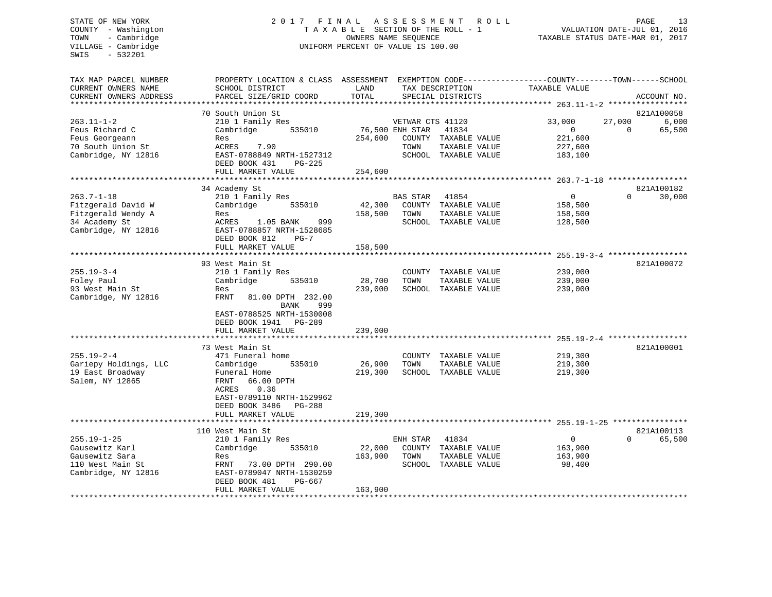# STATE OF NEW YORK 2 0 1 7 F I N A L A S S E S S M E N T R O L L PAGE 13 COUNTY - Washington T A X A B L E SECTION OF THE ROLL - 1 VALUATION DATE-JUL 01, 2016 TOWN - Cambridge OWNERS NAME SEQUENCE TAXABLE STATUS DATE-MAR 01, 2017 VILLAGE - Cambridge UNIFORM PERCENT OF VALUE IS 100.00

| TAX MAP PARCEL NUMBER<br>CURRENT OWNERS NAME<br>CURRENT OWNERS ADDRESS                               | PROPERTY LOCATION & CLASS ASSESSMENT<br>SCHOOL DISTRICT<br>PARCEL SIZE/GRID COORD                                                                                                                  | LAND<br>TOTAL                |                                             | TAX DESCRIPTION<br>SPECIAL DISTRICTS                                   | EXEMPTION CODE-----------------COUNTY-------TOWN------SCHOOL<br>TAXABLE VALUE |                    | ACCOUNT NO.          |
|------------------------------------------------------------------------------------------------------|----------------------------------------------------------------------------------------------------------------------------------------------------------------------------------------------------|------------------------------|---------------------------------------------|------------------------------------------------------------------------|-------------------------------------------------------------------------------|--------------------|----------------------|
| ********************                                                                                 |                                                                                                                                                                                                    |                              |                                             |                                                                        |                                                                               |                    |                      |
|                                                                                                      | 70 South Union St                                                                                                                                                                                  |                              |                                             |                                                                        |                                                                               |                    | 821A100058           |
| $263.11 - 1 - 2$<br>Feus Richard C<br>Feus Georgeann<br>70 South Union St<br>Cambridge, NY 12816     | 210 1 Family Res<br>Cambridge<br>535010<br>Res<br><b>ACRES</b><br>7.90<br>EAST-0788849 NRTH-1527312<br>DEED BOOK 431<br>PG-225<br>FULL MARKET VALUE                                                | 254,600<br>254,600           | VETWAR CTS 41120<br>76,500 ENH STAR<br>TOWN | 41834<br>COUNTY TAXABLE VALUE<br>TAXABLE VALUE<br>SCHOOL TAXABLE VALUE | 33,000<br>$\Omega$<br>221,600<br>227,600<br>183,100                           | 27,000<br>$\Omega$ | 6,000<br>65,500      |
|                                                                                                      |                                                                                                                                                                                                    |                              |                                             |                                                                        |                                                                               |                    |                      |
| $263.7 - 1 - 18$<br>Fitzgerald David W<br>Fitzgerald Wendy A<br>34 Academy St<br>Cambridge, NY 12816 | 34 Academy St<br>210 1 Family Res<br>Cambridge<br>535010<br>Res<br>ACRES<br>1.05 BANK<br>999<br>EAST-0788857 NRTH-1528685<br>DEED BOOK 812<br>$PG-7$<br>FULL MARKET VALUE                          | 42,300<br>158,500<br>158,500 | <b>BAS STAR</b><br>TOWN                     | 41854<br>COUNTY TAXABLE VALUE<br>TAXABLE VALUE<br>SCHOOL TAXABLE VALUE | $\mathbf 0$<br>158,500<br>158,500<br>128,500                                  | $\Omega$           | 821A100182<br>30,000 |
|                                                                                                      |                                                                                                                                                                                                    |                              |                                             |                                                                        |                                                                               |                    |                      |
| $255.19 - 3 - 4$<br>Foley Paul<br>93 West Main St<br>Cambridge, NY 12816                             | 93 West Main St<br>210 1 Family Res<br>Cambridge<br>535010<br>Res<br><b>FRNT</b><br>81.00 DPTH 232.00<br>999<br>BANK<br>EAST-0788525 NRTH-1530008<br>DEED BOOK 1941<br>PG-289<br>FULL MARKET VALUE | 28,700<br>239,000<br>239,000 | TOWN                                        | COUNTY TAXABLE VALUE<br>TAXABLE VALUE<br>SCHOOL TAXABLE VALUE          | 239,000<br>239,000<br>239,000                                                 |                    | 821A100072           |
|                                                                                                      |                                                                                                                                                                                                    |                              |                                             |                                                                        |                                                                               |                    |                      |
| $255.19 - 2 - 4$<br>Gariepy Holdings, LLC<br>19 East Broadway<br>Salem, NY 12865                     | 73 West Main St<br>471 Funeral home<br>Cambridge<br>535010<br>Funeral Home<br>FRNT<br>66.00 DPTH<br>0.36<br>ACRES<br>EAST-0789110 NRTH-1529962<br>DEED BOOK 3486<br>PG-288<br>FULL MARKET VALUE    | 26,900<br>219,300<br>219,300 | TOWN                                        | COUNTY TAXABLE VALUE<br>TAXABLE VALUE<br>SCHOOL TAXABLE VALUE          | 219,300<br>219,300<br>219,300                                                 |                    | 821A100001           |
|                                                                                                      | <b>+++++++++++++++++++</b>                                                                                                                                                                         |                              |                                             |                                                                        | ******************************** 255.19-1-25 *****************                |                    |                      |
|                                                                                                      | 110 West Main St                                                                                                                                                                                   |                              |                                             |                                                                        |                                                                               |                    | 821A100113           |
| $255.19 - 1 - 25$<br>Gausewitz Karl<br>Gausewitz Sara<br>110 West Main St<br>Cambridge, NY 12816     | 210 1 Family Res<br>Cambridge<br>535010<br>Res<br>FRNT<br>73.00 DPTH 290.00<br>EAST-0789047 NRTH-1530259<br>DEED BOOK 481<br>$PG-667$<br>FULL MARKET VALUE                                         | 22,000<br>163,900<br>163,900 | ENH STAR<br>TOWN                            | 41834<br>COUNTY TAXABLE VALUE<br>TAXABLE VALUE<br>SCHOOL TAXABLE VALUE | $\mathbf 0$<br>163,900<br>163,900<br>98,400                                   | $\Omega$           | 65,500               |
|                                                                                                      |                                                                                                                                                                                                    |                              |                                             |                                                                        |                                                                               |                    |                      |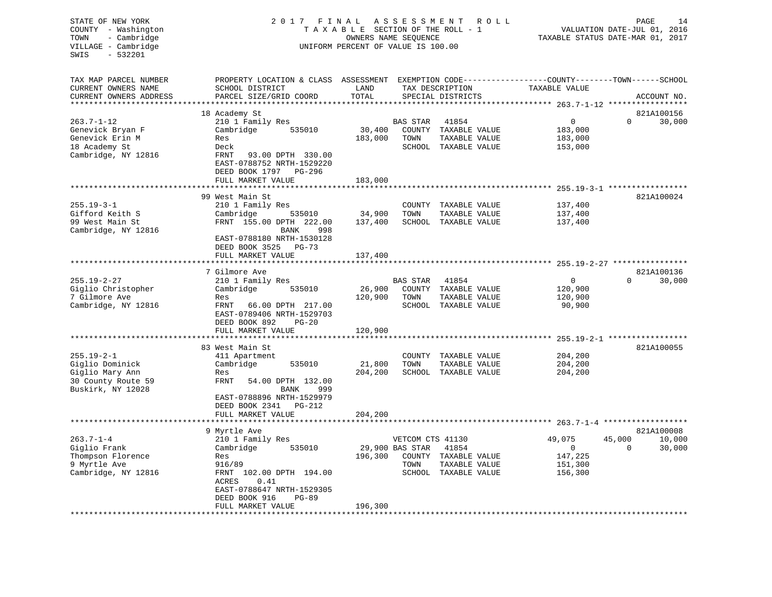| STATE OF NEW YORK<br>COUNTY - Washington<br>TOWN<br>- Cambridge<br>VILLAGE - Cambridge<br>$-532201$<br>SWIS | 2017 FINAL                                                                                                                                                    | TAXABLE SECTION OF THE ROLL - 1<br>OWNERS NAME SEQUENCE<br>UNIFORM PERCENT OF VALUE IS 100.00 | ASSESSMENT                                  | R O L L                                                                | PAGE<br>14<br>VALUATION DATE-JUL 01, 2016<br>TAXABLE STATUS DATE-MAR 01, 2017 |                                    |                  |
|-------------------------------------------------------------------------------------------------------------|---------------------------------------------------------------------------------------------------------------------------------------------------------------|-----------------------------------------------------------------------------------------------|---------------------------------------------|------------------------------------------------------------------------|-------------------------------------------------------------------------------|------------------------------------|------------------|
| TAX MAP PARCEL NUMBER<br>CURRENT OWNERS NAME<br>CURRENT OWNERS ADDRESS                                      | PROPERTY LOCATION & CLASS ASSESSMENT<br>SCHOOL DISTRICT<br>PARCEL SIZE/GRID COORD                                                                             | LAND<br>TOTAL                                                                                 |                                             | TAX DESCRIPTION<br>SPECIAL DISTRICTS                                   | EXEMPTION CODE-----------------COUNTY-------TOWN------SCHOOL<br>TAXABLE VALUE |                                    | ACCOUNT NO.      |
|                                                                                                             |                                                                                                                                                               |                                                                                               |                                             |                                                                        | *********** 263.7-1-12 *****                                                  |                                    |                  |
|                                                                                                             | 18 Academy St                                                                                                                                                 |                                                                                               |                                             |                                                                        |                                                                               |                                    | 821A100156       |
| $263.7 - 1 - 12$<br>Genevick Bryan F<br>Genevick Erin M                                                     | 210 1 Family Res<br>535010<br>Cambridge<br>Res                                                                                                                | 30,400<br>183,000                                                                             | BAS STAR<br>TOWN                            | 41854<br>COUNTY TAXABLE VALUE<br>TAXABLE VALUE                         | 0<br>183,000<br>183,000                                                       | $\Omega$                           | 30,000           |
| 18 Academy St<br>Cambridge, NY 12816                                                                        | Deck<br>FRNT<br>93.00 DPTH 330.00<br>EAST-0788752 NRTH-1529220<br>DEED BOOK 1797 PG-296                                                                       |                                                                                               |                                             | SCHOOL TAXABLE VALUE                                                   | 153,000                                                                       |                                    |                  |
|                                                                                                             | FULL MARKET VALUE                                                                                                                                             | 183,000                                                                                       |                                             |                                                                        |                                                                               |                                    |                  |
|                                                                                                             | 99 West Main St                                                                                                                                               |                                                                                               |                                             |                                                                        |                                                                               | $255.19 - 3 - 1$ ***************** | 821A100024       |
| $255.19 - 3 - 1$<br>Gifford Keith S<br>99 West Main St<br>Cambridge, NY 12816                               | 210 1 Family Res<br>Cambridge<br>535010<br>FRNT 155.00 DPTH 222.00<br>BANK<br>998                                                                             | 34,900<br>137,400                                                                             | TOWN                                        | COUNTY TAXABLE VALUE<br>TAXABLE VALUE<br>SCHOOL TAXABLE VALUE          | 137,400<br>137,400<br>137,400                                                 |                                    |                  |
|                                                                                                             | EAST-0788180 NRTH-1530128<br>DEED BOOK 3525<br><b>PG-73</b><br>FULL MARKET VALUE<br>*******************                                                       | 137,400                                                                                       |                                             |                                                                        |                                                                               |                                    |                  |
|                                                                                                             | 7 Gilmore Ave                                                                                                                                                 |                                                                                               |                                             |                                                                        |                                                                               |                                    | 821A100136       |
| $255.19 - 2 - 27$<br>Giglio Christopher<br>7 Gilmore Ave<br>Cambridge, NY 12816                             | 210 1 Family Res<br>Cambridge<br>535010<br>Res<br>FRNT<br>66.00 DPTH 217.00<br>EAST-0789406 NRTH-1529703<br>DEED BOOK 892<br>$PG-20$                          | 26,900<br>120,900                                                                             | <b>BAS STAR</b><br>TOWN                     | 41854<br>COUNTY TAXABLE VALUE<br>TAXABLE VALUE<br>SCHOOL TAXABLE VALUE | 0<br>120,900<br>120,900<br>90,900                                             | $\Omega$                           | 30,000           |
|                                                                                                             | FULL MARKET VALUE<br>**************                                                                                                                           | 120,900                                                                                       |                                             |                                                                        |                                                                               |                                    |                  |
|                                                                                                             | 83 West Main St                                                                                                                                               |                                                                                               |                                             |                                                                        |                                                                               | $255.19 - 2 - 1$ ***************** | 821A100055       |
| $255.19 - 2 - 1$<br>Giglio Dominick<br>Giglio Mary Ann<br>30 County Route 59<br>Buskirk, NY 12028           | 411 Apartment<br>Cambridge<br>535010<br>Res<br>FRNT<br>54.00 DPTH 132.00<br>BANK<br>999<br>EAST-0788896 NRTH-1529979<br>DEED BOOK 2341<br>PG-212              | 21,800<br>204,200                                                                             | TOWN                                        | COUNTY TAXABLE VALUE<br>TAXABLE VALUE<br>SCHOOL TAXABLE VALUE          | 204,200<br>204,200<br>204,200                                                 |                                    |                  |
|                                                                                                             | FULL MARKET VALUE                                                                                                                                             | 204,200                                                                                       |                                             |                                                                        |                                                                               |                                    |                  |
|                                                                                                             | 9 Myrtle Ave                                                                                                                                                  |                                                                                               |                                             |                                                                        |                                                                               |                                    | 821A100008       |
| $263.7 - 1 - 4$<br>Giglio Frank<br>Thompson Florence<br>9 Myrtle Ave<br>Cambridge, NY 12816                 | 210 1 Family Res<br>Cambridge<br>535010<br>Res<br>916/89<br>FRNT 102.00 DPTH 194.00<br>0.41<br>ACRES<br>EAST-0788647 NRTH-1529305<br>DEED BOOK 916<br>$PG-89$ | 196,300                                                                                       | VETCOM CTS 41130<br>29,900 BAS STAR<br>TOWN | 41854<br>COUNTY TAXABLE VALUE<br>TAXABLE VALUE<br>SCHOOL TAXABLE VALUE | 49,075<br>$\overline{0}$<br>147,225<br>151,300<br>156,300                     | 45,000<br>$\Omega$                 | 10,000<br>30,000 |
|                                                                                                             | FULL MARKET VALUE<br>*******************                                                                                                                      | 196,300                                                                                       |                                             |                                                                        |                                                                               |                                    |                  |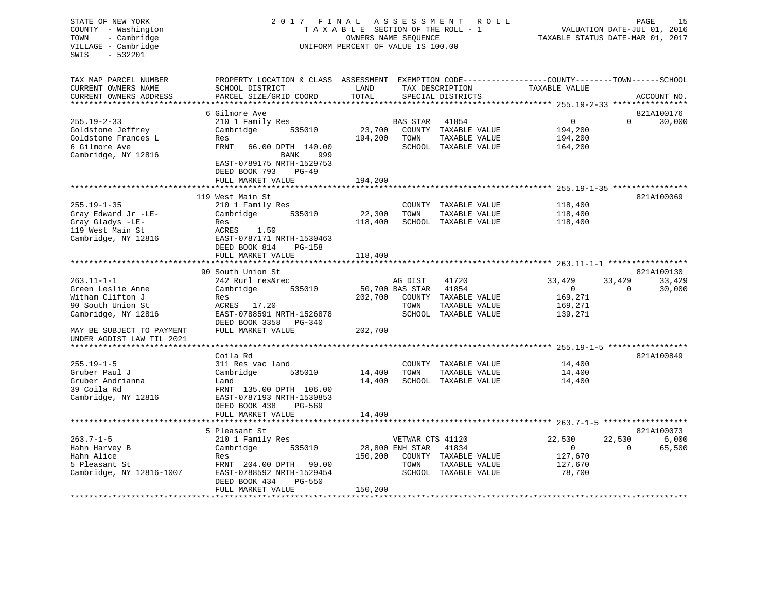| STATE OF NEW YORK<br>COUNTY<br>- Washington<br>- Cambridge<br>TOWN<br>VILLAGE - Cambridge<br>$-532201$<br>SWIS | 2017 FINAL                                                                                                                                    | TAXABLE SECTION OF THE ROLL - 1<br>OWNERS NAME SEOUENCE<br>UNIFORM PERCENT OF VALUE IS 100.00 | ASSESSMENT<br>R O L L | 15<br>PAGE<br>VALUATION DATE-JUL 01, 2016<br>TAXABLE STATUS DATE-MAR 01, 2017 |                                              |                    |             |
|----------------------------------------------------------------------------------------------------------------|-----------------------------------------------------------------------------------------------------------------------------------------------|-----------------------------------------------------------------------------------------------|-----------------------|-------------------------------------------------------------------------------|----------------------------------------------|--------------------|-------------|
| TAX MAP PARCEL NUMBER<br>CURRENT OWNERS NAME<br>CURRENT OWNERS ADDRESS                                         | PROPERTY LOCATION & CLASS ASSESSMENT EXEMPTION CODE----------------COUNTY-------TOWN------SCHOOL<br>SCHOOL DISTRICT<br>PARCEL SIZE/GRID COORD | LAND<br>TOTAL                                                                                 |                       | TAX DESCRIPTION<br>SPECIAL DISTRICTS                                          | TAXABLE VALUE                                |                    | ACCOUNT NO. |
|                                                                                                                |                                                                                                                                               |                                                                                               |                       |                                                                               |                                              |                    |             |
|                                                                                                                | 6 Gilmore Ave                                                                                                                                 |                                                                                               |                       |                                                                               |                                              |                    | 821A100176  |
| $255.19 - 2 - 33$                                                                                              | 210 1 Family Res                                                                                                                              |                                                                                               | <b>BAS STAR</b>       | 41854                                                                         | 0                                            | $\Omega$           | 30,000      |
| Goldstone Jeffrey                                                                                              | Cambridge<br>535010<br>Res                                                                                                                    | 23,700                                                                                        | COUNTY<br>TOWN        | TAXABLE VALUE                                                                 | 194,200                                      |                    |             |
| Goldstone Frances L<br>6 Gilmore Ave                                                                           | FRNT<br>66.00 DPTH 140.00                                                                                                                     | 194,200                                                                                       |                       | TAXABLE VALUE<br>SCHOOL TAXABLE VALUE                                         | 194,200<br>164,200                           |                    |             |
| Cambridge, NY 12816                                                                                            | 999<br>BANK                                                                                                                                   |                                                                                               |                       |                                                                               |                                              |                    |             |
|                                                                                                                | EAST-0789175 NRTH-1529753<br>DEED BOOK 793<br>$PG-49$                                                                                         |                                                                                               |                       |                                                                               |                                              |                    |             |
|                                                                                                                | FULL MARKET VALUE                                                                                                                             | 194,200                                                                                       |                       |                                                                               |                                              |                    |             |
|                                                                                                                | 119 West Main St                                                                                                                              |                                                                                               |                       |                                                                               |                                              |                    | 821A100069  |
| $255.19 - 1 - 35$                                                                                              | 210 1 Family Res                                                                                                                              |                                                                                               |                       | COUNTY TAXABLE VALUE                                                          | 118,400                                      |                    |             |
| Gray Edward Jr -LE-                                                                                            | Cambridge<br>535010                                                                                                                           | 22,300                                                                                        | TOWN                  | TAXABLE VALUE                                                                 | 118,400                                      |                    |             |
| Gray Gladys -LE-                                                                                               | Res                                                                                                                                           | 118,400                                                                                       |                       | SCHOOL TAXABLE VALUE                                                          | 118,400                                      |                    |             |
| 119 West Main St                                                                                               | ACRES<br>1.50                                                                                                                                 |                                                                                               |                       |                                                                               |                                              |                    |             |
| Cambridge, NY 12816                                                                                            | EAST-0787171 NRTH-1530463                                                                                                                     |                                                                                               |                       |                                                                               |                                              |                    |             |
|                                                                                                                | DEED BOOK 814<br>$PG-158$                                                                                                                     |                                                                                               |                       |                                                                               |                                              |                    |             |
|                                                                                                                | FULL MARKET VALUE                                                                                                                             | 118,400                                                                                       |                       |                                                                               |                                              |                    |             |
|                                                                                                                | *******************                                                                                                                           |                                                                                               |                       |                                                                               |                                              |                    |             |
|                                                                                                                | 90 South Union St                                                                                                                             |                                                                                               |                       |                                                                               |                                              |                    | 821A100130  |
| $263.11 - 1 - 1$                                                                                               | 242 Rurl res&rec                                                                                                                              |                                                                                               | AG DIST               | 41720                                                                         | 33,429                                       | 33,429             | 33,429      |
| Green Leslie Anne                                                                                              | Cambridge<br>535010                                                                                                                           |                                                                                               | 50,700 BAS STAR       | 41854                                                                         | $\overline{0}$                               | $\Omega$           | 30,000      |
| Witham Clifton J<br>90 South Union St                                                                          | Res<br>ACRES 17.20                                                                                                                            | 202,700                                                                                       | COUNTY<br>TOWN        | TAXABLE VALUE                                                                 | 169,271                                      |                    |             |
| Cambridge, NY 12816                                                                                            | EAST-0788591 NRTH-1526878                                                                                                                     |                                                                                               | SCHOOL                | TAXABLE VALUE<br>TAXABLE VALUE                                                | 169,271<br>139,271                           |                    |             |
|                                                                                                                | DEED BOOK 3358<br>PG-340                                                                                                                      |                                                                                               |                       |                                                                               |                                              |                    |             |
| MAY BE SUBJECT TO PAYMENT                                                                                      | FULL MARKET VALUE                                                                                                                             | 202,700                                                                                       |                       |                                                                               |                                              |                    |             |
| UNDER AGDIST LAW TIL 2021                                                                                      |                                                                                                                                               |                                                                                               |                       |                                                                               |                                              |                    |             |
| **************************                                                                                     |                                                                                                                                               |                                                                                               |                       |                                                                               | *************** 255.19-1-5 ***************** |                    |             |
|                                                                                                                | Coila Rd                                                                                                                                      |                                                                                               |                       |                                                                               |                                              |                    | 821A100849  |
| $255.19 - 1 - 5$                                                                                               | 311 Res vac land                                                                                                                              |                                                                                               | COUNTY                | TAXABLE VALUE                                                                 | 14,400                                       |                    |             |
| Gruber Paul J                                                                                                  | Cambridge<br>535010                                                                                                                           | 14,400                                                                                        | TOWN                  | TAXABLE VALUE                                                                 | 14,400                                       |                    |             |
| Gruber Andrianna                                                                                               | Land                                                                                                                                          | 14,400                                                                                        |                       | SCHOOL TAXABLE VALUE                                                          | 14,400                                       |                    |             |
| 39 Coila Rd                                                                                                    | FRNT 135.00 DPTH 106.00                                                                                                                       |                                                                                               |                       |                                                                               |                                              |                    |             |
| Cambridge, NY 12816                                                                                            | EAST-0787193 NRTH-1530853                                                                                                                     |                                                                                               |                       |                                                                               |                                              |                    |             |
|                                                                                                                | DEED BOOK 438<br>PG-569                                                                                                                       |                                                                                               |                       |                                                                               |                                              |                    |             |
|                                                                                                                | FULL MARKET VALUE                                                                                                                             | 14,400                                                                                        |                       |                                                                               |                                              |                    |             |
|                                                                                                                | *****************                                                                                                                             |                                                                                               |                       |                                                                               |                                              |                    |             |
|                                                                                                                | 5 Pleasant St                                                                                                                                 |                                                                                               |                       |                                                                               |                                              |                    | 821A100073  |
| $263.7 - 1 - 5$                                                                                                | 210 1 Family Res                                                                                                                              |                                                                                               | VETWAR CTS 41120      |                                                                               | 22,530                                       | 22,530<br>$\Omega$ | 6,000       |
| Hahn Harvey B<br>Hahn Alice                                                                                    | 535010<br>Cambridge<br>Res                                                                                                                    | 150,200                                                                                       | 28,800 ENH STAR       | 41834                                                                         | $\overline{0}$<br>127,670                    |                    | 65,500      |
| 5 Pleasant St                                                                                                  | FRNT 204.00 DPTH<br>90.00                                                                                                                     |                                                                                               | TOWN                  | COUNTY TAXABLE VALUE<br>TAXABLE VALUE                                         | 127,670                                      |                    |             |
| Cambridge, NY 12816-1007                                                                                       | EAST-0788592 NRTH-1529454                                                                                                                     |                                                                                               |                       | SCHOOL TAXABLE VALUE                                                          | 78,700                                       |                    |             |
|                                                                                                                | DEED BOOK 434<br><b>PG-550</b>                                                                                                                |                                                                                               |                       |                                                                               |                                              |                    |             |
|                                                                                                                | FULL MARKET VALUE                                                                                                                             | 150,200                                                                                       |                       |                                                                               |                                              |                    |             |
|                                                                                                                |                                                                                                                                               |                                                                                               |                       |                                                                               |                                              |                    |             |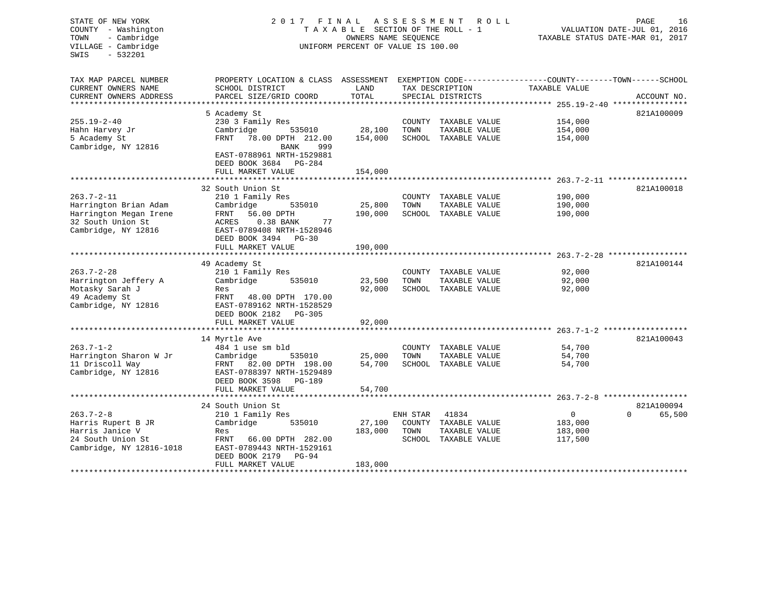| STATE OF NEW YORK<br>COUNTY - Washington<br>- Cambridge<br>TOWN<br>VILLAGE - Cambridge<br>SWIS<br>$-532201$ | 2017 FINAL ASSESSMENT                                                                            | TAXABLE SECTION OF THE ROLL - 1<br>OWNERS NAME SEOUENCE<br>UNIFORM PERCENT OF VALUE IS 100.00 |          | R O L L                               |                    | PAGE<br>16<br>VALUATION DATE-JUL 01, 2016<br>TAXABLE STATUS DATE-MAR 01, 2017 |
|-------------------------------------------------------------------------------------------------------------|--------------------------------------------------------------------------------------------------|-----------------------------------------------------------------------------------------------|----------|---------------------------------------|--------------------|-------------------------------------------------------------------------------|
| TAX MAP PARCEL NUMBER                                                                                       | PROPERTY LOCATION & CLASS ASSESSMENT EXEMPTION CODE----------------COUNTY-------TOWN------SCHOOL |                                                                                               |          |                                       |                    |                                                                               |
| CURRENT OWNERS NAME                                                                                         | SCHOOL DISTRICT                                                                                  | LAND                                                                                          |          | TAX DESCRIPTION                       | TAXABLE VALUE      |                                                                               |
| CURRENT OWNERS ADDRESS                                                                                      | PARCEL SIZE/GRID COORD                                                                           | TOTAL                                                                                         |          | SPECIAL DISTRICTS                     |                    | ACCOUNT NO.                                                                   |
|                                                                                                             |                                                                                                  |                                                                                               |          |                                       |                    | 821A100009                                                                    |
| $255.19 - 2 - 40$                                                                                           | 5 Academy St<br>230 3 Family Res                                                                 |                                                                                               |          | COUNTY TAXABLE VALUE                  | 154,000            |                                                                               |
| Hahn Harvey Jr                                                                                              | Cambridge<br>535010                                                                              | 28,100                                                                                        | TOWN     | TAXABLE VALUE                         | 154,000            |                                                                               |
| 5 Academy St                                                                                                | FRNT 78.00 DPTH 212.00                                                                           | 154,000                                                                                       |          | SCHOOL TAXABLE VALUE                  | 154,000            |                                                                               |
| Cambridge, NY 12816                                                                                         | BANK<br>999                                                                                      |                                                                                               |          |                                       |                    |                                                                               |
|                                                                                                             | EAST-0788961 NRTH-1529881<br>DEED BOOK 3684 PG-284                                               |                                                                                               |          |                                       |                    |                                                                               |
|                                                                                                             | FULL MARKET VALUE                                                                                | 154,000                                                                                       |          |                                       |                    |                                                                               |
|                                                                                                             |                                                                                                  |                                                                                               |          |                                       |                    |                                                                               |
| $263.7 - 2 - 11$                                                                                            | 32 South Union St                                                                                |                                                                                               |          |                                       |                    | 821A100018                                                                    |
| Harrington Brian Adam                                                                                       | 210 1 Family Res<br>Cambridge<br>535010                                                          | 25,800                                                                                        | TOWN     | COUNTY TAXABLE VALUE<br>TAXABLE VALUE | 190,000<br>190,000 |                                                                               |
| Harrington Megan Irene                                                                                      | 56.00 DPTH<br>FRNT                                                                               | 190,000                                                                                       |          | SCHOOL TAXABLE VALUE                  | 190,000            |                                                                               |
| 32 South Union St                                                                                           | ACRES<br>$0.38$ BANK<br>77                                                                       |                                                                                               |          |                                       |                    |                                                                               |
| Cambridge, NY 12816                                                                                         | EAST-0789408 NRTH-1528946                                                                        |                                                                                               |          |                                       |                    |                                                                               |
|                                                                                                             | DEED BOOK 3494 PG-30                                                                             |                                                                                               |          |                                       |                    |                                                                               |
|                                                                                                             | FULL MARKET VALUE                                                                                | 190,000                                                                                       |          |                                       |                    |                                                                               |
| *****************                                                                                           | ********************************                                                                 |                                                                                               |          |                                       |                    |                                                                               |
|                                                                                                             | 49 Academy St                                                                                    |                                                                                               |          |                                       |                    | 821A100144                                                                    |
| 263.7-2-28                                                                                                  | 210 1 Family Res                                                                                 |                                                                                               |          | COUNTY TAXABLE VALUE                  | 92,000             |                                                                               |
| Harrington Jeffery A                                                                                        | Cambridge<br>535010                                                                              | 23,500                                                                                        | TOWN     | TAXABLE VALUE                         | 92,000             |                                                                               |
| Motasky Sarah J                                                                                             | Res                                                                                              | 92,000                                                                                        |          | SCHOOL TAXABLE VALUE                  | 92,000             |                                                                               |
| 49 Academy St                                                                                               | FRNT 48.00 DPTH 170.00                                                                           |                                                                                               |          |                                       |                    |                                                                               |
| Cambridge, NY 12816                                                                                         | EAST-0789162 NRTH-1528529                                                                        |                                                                                               |          |                                       |                    |                                                                               |
|                                                                                                             | DEED BOOK 2182    PG-305                                                                         |                                                                                               |          |                                       |                    |                                                                               |
|                                                                                                             | FULL MARKET VALUE                                                                                | 92,000                                                                                        |          |                                       |                    |                                                                               |
|                                                                                                             |                                                                                                  |                                                                                               |          |                                       |                    | 821A100043                                                                    |
| $263.7 - 1 - 2$                                                                                             | 14 Myrtle Ave<br>484 1 use sm bld                                                                |                                                                                               |          | COUNTY TAXABLE VALUE                  | 54,700             |                                                                               |
| Harrington Sharon W Jr                                                                                      | 535010<br>Cambridge                                                                              | 25,000                                                                                        | TOWN     | TAXABLE VALUE                         | 54,700             |                                                                               |
| 11 Driscoll Way                                                                                             | FRNT 82.00 DPTH 198.00                                                                           | 54,700                                                                                        |          | SCHOOL TAXABLE VALUE                  | 54,700             |                                                                               |
| Cambridge, NY 12816                                                                                         | EAST-0788397 NRTH-1529489                                                                        |                                                                                               |          |                                       |                    |                                                                               |
|                                                                                                             | DEED BOOK 3598<br>PG-189                                                                         |                                                                                               |          |                                       |                    |                                                                               |
|                                                                                                             | FULL MARKET VALUE                                                                                | 54,700                                                                                        |          |                                       |                    |                                                                               |
|                                                                                                             |                                                                                                  |                                                                                               |          |                                       |                    |                                                                               |
|                                                                                                             | 24 South Union St                                                                                |                                                                                               |          |                                       |                    | 821A100094                                                                    |
| 263.7-2-8                                                                                                   | 210 1 Family Res                                                                                 |                                                                                               | ENH STAR | 41834                                 | $\mathbf{0}$       | $\Omega$<br>65,500                                                            |
| Harris Rupert B JR                                                                                          | 535010<br>Cambridge                                                                              | 27,100                                                                                        |          | COUNTY TAXABLE VALUE                  | 183,000            |                                                                               |
| Harris Janice V                                                                                             | Res                                                                                              | 183,000                                                                                       | TOWN     | TAXABLE VALUE                         | 183,000            |                                                                               |
| 24 South Union St                                                                                           | FRNT 66.00 DPTH 282.00                                                                           |                                                                                               |          | SCHOOL TAXABLE VALUE                  | 117,500            |                                                                               |
| Cambridge, NY 12816-1018                                                                                    | EAST-0789443 NRTH-1529161                                                                        |                                                                                               |          |                                       |                    |                                                                               |
|                                                                                                             | DEED BOOK 2179<br><b>PG-94</b>                                                                   |                                                                                               |          |                                       |                    |                                                                               |
|                                                                                                             | FULL MARKET VALUE                                                                                | 183,000                                                                                       |          |                                       |                    |                                                                               |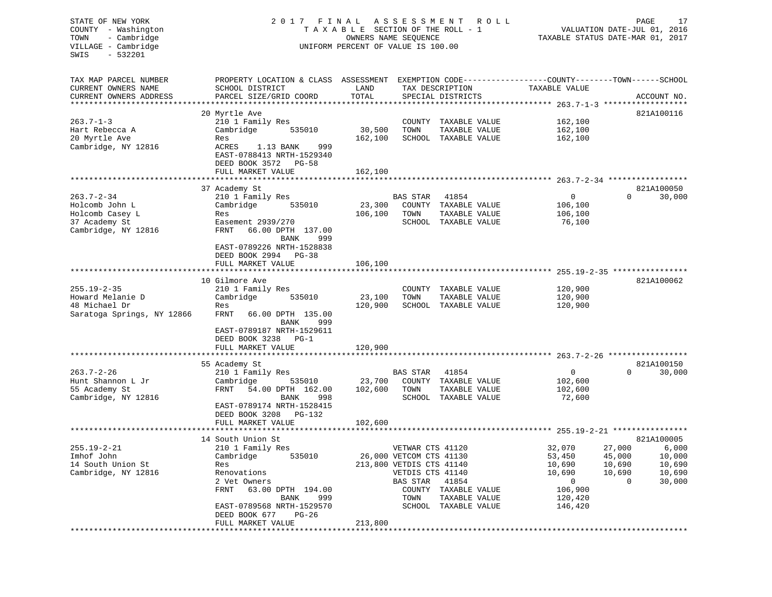| STATE OF NEW YORK<br>COUNTY - Washington<br>- Cambridge<br>TOWN<br>VILLAGE - Cambridge<br>$-532201$<br>SWIS | 2017 FINAL<br>TAXABLE SECTION OF THE ROLL - 1<br>UNIFORM PERCENT OF VALUE IS 100.00                                    | PAGE<br>17<br>R O L L<br>VALUATION DATE-JUL 01, 2016<br>TAXABLE STATUS DATE-MAR 01, 2017 |                                      |                                                                        |                                              |          |             |
|-------------------------------------------------------------------------------------------------------------|------------------------------------------------------------------------------------------------------------------------|------------------------------------------------------------------------------------------|--------------------------------------|------------------------------------------------------------------------|----------------------------------------------|----------|-------------|
| TAX MAP PARCEL NUMBER                                                                                       | PROPERTY LOCATION & CLASS ASSESSMENT EXEMPTION CODE---------------COUNTY-------TOWN-----SCHOOL                         |                                                                                          |                                      |                                                                        |                                              |          |             |
| CURRENT OWNERS NAME<br>CURRENT OWNERS ADDRESS<br>**********************                                     | SCHOOL DISTRICT<br>PARCEL SIZE/GRID COORD                                                                              | LAND<br>TOTAL                                                                            | TAX DESCRIPTION<br>SPECIAL DISTRICTS |                                                                        | TAXABLE VALUE                                |          | ACCOUNT NO. |
|                                                                                                             | 20 Myrtle Ave                                                                                                          |                                                                                          |                                      |                                                                        |                                              |          | 821A100116  |
| $263.7 - 1 - 3$                                                                                             | 210 1 Family Res                                                                                                       |                                                                                          |                                      | COUNTY TAXABLE VALUE                                                   | 162,100                                      |          |             |
| Hart Rebecca A                                                                                              | Cambridge<br>535010                                                                                                    | 30,500                                                                                   | TOWN                                 | TAXABLE VALUE                                                          | 162,100                                      |          |             |
| 20 Myrtle Ave                                                                                               | Res                                                                                                                    | 162,100                                                                                  |                                      | SCHOOL TAXABLE VALUE                                                   | 162,100                                      |          |             |
| Cambridge, NY 12816                                                                                         | ACRES<br>1.13 BANK<br>999<br>EAST-0788413 NRTH-1529340<br>DEED BOOK 3572 PG-58                                         |                                                                                          |                                      |                                                                        |                                              |          |             |
|                                                                                                             | FULL MARKET VALUE                                                                                                      | 162,100                                                                                  |                                      |                                                                        |                                              |          |             |
|                                                                                                             |                                                                                                                        |                                                                                          |                                      |                                                                        |                                              |          |             |
|                                                                                                             | 37 Academy St                                                                                                          |                                                                                          |                                      |                                                                        |                                              |          | 821A100050  |
| $263.7 - 2 - 34$<br>Holcomb John L                                                                          | 210 1 Family Res<br>535010                                                                                             | 23,300                                                                                   | BAS STAR                             | 41854<br>COUNTY TAXABLE VALUE                                          | $\mathbf{0}$<br>106,100                      | $\Omega$ | 30,000      |
| Holcomb Casey L                                                                                             | Cambridge<br>Res                                                                                                       | 106,100                                                                                  | TOWN                                 | TAXABLE VALUE                                                          | 106,100                                      |          |             |
| 37 Academy St                                                                                               | Easement 2939/270                                                                                                      |                                                                                          |                                      | SCHOOL TAXABLE VALUE                                                   | 76,100                                       |          |             |
| Cambridge, NY 12816                                                                                         | 66.00 DPTH 137.00<br>FRNT<br>BANK<br>999<br>EAST-0789226 NRTH-1528838                                                  |                                                                                          |                                      |                                                                        |                                              |          |             |
|                                                                                                             | DEED BOOK 2994 PG-38<br>FULL MARKET VALUE                                                                              | 106,100                                                                                  |                                      |                                                                        |                                              |          |             |
|                                                                                                             |                                                                                                                        |                                                                                          |                                      |                                                                        |                                              |          |             |
|                                                                                                             | 10 Gilmore Ave                                                                                                         |                                                                                          |                                      |                                                                        |                                              |          | 821A100062  |
| $255.19 - 2 - 35$                                                                                           | 210 1 Family Res                                                                                                       |                                                                                          |                                      | COUNTY TAXABLE VALUE                                                   | 120,900                                      |          |             |
| Howard Melanie D                                                                                            | Cambridge<br>535010                                                                                                    | 23,100                                                                                   | TOWN                                 | TAXABLE VALUE                                                          | 120,900                                      |          |             |
| 48 Michael Dr                                                                                               | Res                                                                                                                    | 120,900                                                                                  |                                      | SCHOOL TAXABLE VALUE                                                   | 120,900                                      |          |             |
| Saratoga Springs, NY 12866                                                                                  | FRNT<br>66.00 DPTH 135.00<br>999<br>BANK<br>EAST-0789187 NRTH-1529611<br>DEED BOOK 3238<br>$PG-1$<br>FULL MARKET VALUE | 120,900                                                                                  |                                      |                                                                        |                                              |          |             |
|                                                                                                             |                                                                                                                        |                                                                                          |                                      |                                                                        |                                              |          |             |
|                                                                                                             | 55 Academy St                                                                                                          |                                                                                          |                                      |                                                                        |                                              |          | 821A100150  |
| $263.7 - 2 - 26$                                                                                            | 210 1 Family Res                                                                                                       |                                                                                          | BAS STAR                             | 41854                                                                  | 0                                            | $\Omega$ | 30,000      |
| Hunt Shannon L Jr                                                                                           | Cambridge<br>535010                                                                                                    | 23,700                                                                                   |                                      | COUNTY TAXABLE VALUE                                                   | 102,600                                      |          |             |
| 55 Academy St                                                                                               | <b>FRNT</b><br>54.00 DPTH 162.00                                                                                       | 102,600                                                                                  | TOWN                                 | TAXABLE VALUE                                                          | 102,600                                      |          |             |
| Cambridge, NY 12816                                                                                         | BANK<br>998<br>EAST-0789174 NRTH-1528415<br>DEED BOOK 3208 PG-132                                                      |                                                                                          |                                      | SCHOOL TAXABLE VALUE                                                   | 72,600                                       |          |             |
|                                                                                                             | FULL MARKET VALUE                                                                                                      | 102,600                                                                                  |                                      |                                                                        |                                              |          |             |
|                                                                                                             |                                                                                                                        |                                                                                          |                                      |                                                                        |                                              |          |             |
|                                                                                                             | 14 South Union St                                                                                                      |                                                                                          |                                      |                                                                        |                                              |          | 821A100005  |
| $255.19 - 2 - 21$                                                                                           | 210 1 Family Res                                                                                                       |                                                                                          | VETWAR CTS 41120                     |                                                                        | 32,070                                       | 27,000   | 6,000       |
| Imhof John                                                                                                  | 535010<br>Cambridge                                                                                                    |                                                                                          | 26,000 VETCOM CTS 41130              |                                                                        | 53,450                                       | 45,000   | 10,000      |
| 14 South Union St                                                                                           | Res                                                                                                                    |                                                                                          | 213,800 VETDIS CTS 41140             |                                                                        | 10,690                                       | 10,690   | 10,690      |
| Cambridge, NY 12816                                                                                         | Renovations                                                                                                            |                                                                                          | VETDIS CTS 41140                     |                                                                        | 10,690                                       | 10,690   | 10,690      |
|                                                                                                             | 2 Vet Owners<br>FRNT<br>63.00 DPTH 194.00<br>BANK<br>999<br>EAST-0789568 NRTH-1529570                                  |                                                                                          | BAS STAR<br>TOWN                     | 41854<br>COUNTY TAXABLE VALUE<br>TAXABLE VALUE<br>SCHOOL TAXABLE VALUE | $\mathbf 0$<br>106,900<br>120,420<br>146,420 | 0        | 30,000      |
|                                                                                                             | $PG-26$<br>DEED BOOK 677<br>FULL MARKET VALUE                                                                          | 213,800                                                                                  |                                      |                                                                        |                                              |          |             |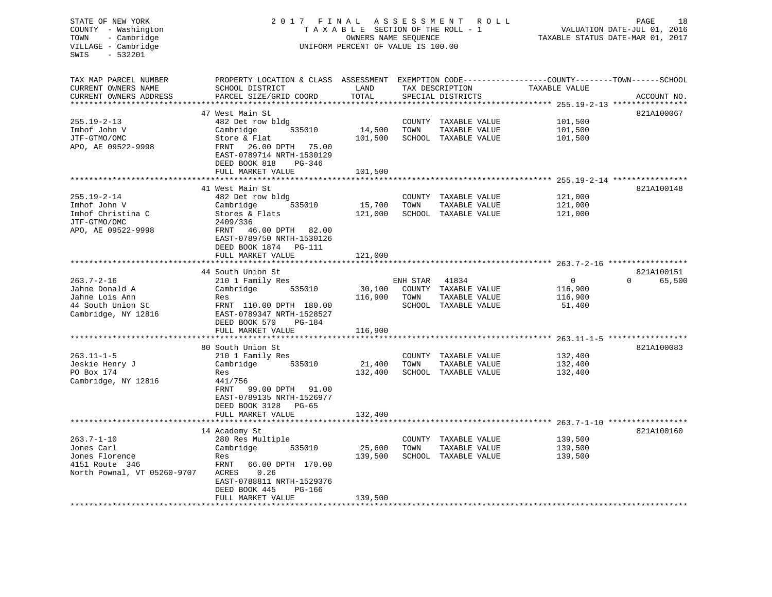| STATE OF NEW YORK<br>COUNTY - Washington<br>- Cambridge<br>TOWN<br>VILLAGE - Cambridge<br>- 532201<br>SWIS               | FINAL<br>2 0 1 7<br>TAXABLE SECTION OF THE ROLL - 1<br>UNIFORM PERCENT OF VALUE IS 100.00                                                                                                              | 18<br>R O L L<br>PAGE<br>VALUATION DATE-JUL 01, 2016<br>TAXABLE STATUS DATE-MAR 01, 2017 |                  |                                                                        |                                                                           |                                  |
|--------------------------------------------------------------------------------------------------------------------------|--------------------------------------------------------------------------------------------------------------------------------------------------------------------------------------------------------|------------------------------------------------------------------------------------------|------------------|------------------------------------------------------------------------|---------------------------------------------------------------------------|----------------------------------|
| TAX MAP PARCEL NUMBER<br>CURRENT OWNERS NAME<br>CURRENT OWNERS ADDRESS                                                   | PROPERTY LOCATION & CLASS ASSESSMENT EXEMPTION CODE----------------COUNTY-------TOWN------SCHOOL<br>SCHOOL DISTRICT<br>PARCEL SIZE/GRID COORD                                                          | LAND<br>TOTAL<br>*******                                                                 |                  | TAX DESCRIPTION<br>SPECIAL DISTRICTS                                   | TAXABLE VALUE                                                             | ACCOUNT NO.                      |
| $255.19 - 2 - 13$<br>Imhof John V<br>JTF-GTMO/OMC<br>APO, AE 09522-9998                                                  | 47 West Main St<br>482 Det row bldg<br>Cambridge<br>535010<br>Store & Flat<br>26.00 DPTH 75.00<br>FRNT<br>EAST-0789714 NRTH-1530129<br>DEED BOOK 818<br>PG-346<br>FULL MARKET VALUE                    | 14,500<br>101,500<br>101,500                                                             | TOWN             | COUNTY TAXABLE VALUE<br>TAXABLE VALUE<br>SCHOOL TAXABLE VALUE          | *********** 255.19-2-13 ****************<br>101,500<br>101,500<br>101,500 | 821A100067                       |
|                                                                                                                          |                                                                                                                                                                                                        | ************                                                                             |                  |                                                                        | *********************************** 255.19-2-14 *****************         |                                  |
| $255.19 - 2 - 14$<br>Imhof John V<br>Imhof Christina C<br>JTF-GTMO/OMC<br>APO, AE 09522-9998                             | 41 West Main St<br>482 Det row bldg<br>535010<br>Cambridge<br>Stores & Flats<br>2409/336<br>46.00 DPTH 82.00<br>FRNT<br>EAST-0789750 NRTH-1530126<br>DEED BOOK 1874 PG-111<br>FULL MARKET VALUE        | 15,700<br>121,000<br>121,000                                                             | TOWN             | COUNTY TAXABLE VALUE<br>TAXABLE VALUE<br>SCHOOL TAXABLE VALUE          | 121,000<br>121,000<br>121,000                                             | 821A100148                       |
|                                                                                                                          | **********************                                                                                                                                                                                 | * * * * * * * * * * * * *                                                                |                  |                                                                        |                                                                           |                                  |
| $263.7 - 2 - 16$<br>Jahne Donald A<br>Jahne Lois Ann<br>44 South Union St<br>Cambridge, NY 12816<br>******************** | 44 South Union St<br>210 1 Family Res<br>Cambridge<br>535010<br>Res<br>FRNT 110.00 DPTH 180.00<br>EAST-0789347 NRTH-1528527<br>DEED BOOK 570<br>PG-184<br>FULL MARKET VALUE<br>*********************** | 30,100<br>116,900<br>116,900                                                             | ENH STAR<br>TOWN | 41834<br>COUNTY TAXABLE VALUE<br>TAXABLE VALUE<br>SCHOOL TAXABLE VALUE | $\mathbf{0}$<br>116,900<br>116,900<br>51,400                              | 821A100151<br>$\Omega$<br>65,500 |
|                                                                                                                          | 80 South Union St                                                                                                                                                                                      |                                                                                          |                  |                                                                        |                                                                           | 821A100083                       |
| $263.11 - 1 - 5$<br>Jeskie Henry J<br>PO Box 174<br>Cambridge, NY 12816                                                  | 210 1 Family Res<br>535010<br>Cambridge<br>Res<br>441/756<br>FRNT<br>99.00 DPTH<br>91.00<br>EAST-0789135 NRTH-1526977<br>DEED BOOK 3128<br>PG-65                                                       | 21,400<br>132,400                                                                        | TOWN             | COUNTY TAXABLE VALUE<br>TAXABLE VALUE<br>SCHOOL TAXABLE VALUE          | 132,400<br>132,400<br>132,400                                             |                                  |
|                                                                                                                          | FULL MARKET VALUE                                                                                                                                                                                      | 132,400                                                                                  |                  |                                                                        |                                                                           |                                  |
| $263.7 - 1 - 10$<br>Jones Carl<br>Jones Florence<br>4151 Route 346<br>North Pownal, VT 05260-9707                        | 14 Academy St<br>280 Res Multiple<br>535010<br>Cambridge<br>Res<br>FRNT<br>66.00 DPTH 170.00<br>0.26<br>ACRES<br>EAST-0788811 NRTH-1529376<br>DEED BOOK 445<br>PG-166<br>FULL MARKET VALUE             | 25,600<br>139,500                                                                        | TOWN             | COUNTY TAXABLE VALUE<br>TAXABLE VALUE<br>SCHOOL TAXABLE VALUE          | 139,500<br>139,500<br>139,500                                             | 821A100160                       |
| * * * * * * * * * * * * * * * * * * *                                                                                    | ******************                                                                                                                                                                                     | 139,500                                                                                  |                  |                                                                        |                                                                           |                                  |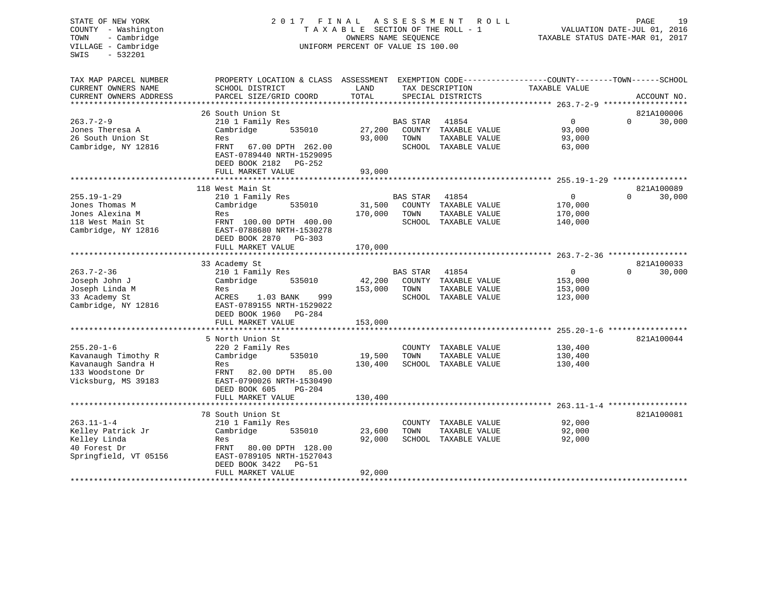# STATE OF NEW YORK 2 0 1 7 F I N A L A S S E S S M E N T R O L L PAGE 19 COUNTY - Washington T A X A B L E SECTION OF THE ROLL - 1 VALUATION DATE-JUL 01, 2016 TOWN - Cambridge OWNERS NAME SEQUENCE TAXABLE STATUS DATE-MAR 01, 2017 UNIFORM PERCENT OF VALUE IS 100.00

| SCHOOL DISTRICT<br>LAND<br>TAX DESCRIPTION<br>TAXABLE VALUE<br>TOTAL<br>CURRENT OWNERS ADDRESS<br>PARCEL SIZE/GRID COORD<br>SPECIAL DISTRICTS<br>ACCOUNT NO.<br>821A100006<br>26 South Union St<br>$263.7 - 2 - 9$<br>210 1 Family Res<br>$\mathbf{0}$<br>30,000<br><b>BAS STAR</b><br>41854<br>$\Omega$<br>Jones Theresa A<br>Cambridge<br>535010<br>27,200<br>COUNTY TAXABLE VALUE<br>93,000<br>26 South Union St<br>93,000<br>TOWN<br>TAXABLE VALUE<br>93,000<br>Res<br>Cambridge, NY 12816<br>SCHOOL TAXABLE VALUE<br>FRNT 67.00 DPTH 262.00<br>63,000<br>EAST-0789440 NRTH-1529095<br>DEED BOOK 2182<br>PG-252<br>FULL MARKET VALUE<br>93,000<br>821A100089<br>118 West Main St<br>$\Omega$<br>30,000<br>210 1 Family Res<br><b>BAS STAR</b><br>41854<br>$\Omega$<br>31,500<br>Cambridge<br>535010<br>COUNTY TAXABLE VALUE<br>170,000<br>Jones Alexina M<br>170,000<br>TOWN<br>TAXABLE VALUE<br>170,000<br>Res<br>118 West Main St<br>FRNT 100.00 DPTH 400.00<br>SCHOOL TAXABLE VALUE<br>140,000<br>Cambridge, NY 12816<br>EAST-0788680 NRTH-1530278<br>DEED BOOK 2870 PG-303<br>FULL MARKET VALUE<br>170,000<br>821A100033<br>33 Academy St<br>$263.7 - 2 - 36$<br>210 1 Family Res<br>$\mathbf{0}$<br>30,000<br>BAS STAR<br>41854<br>$\Omega$<br>42,200<br>Joseph John J<br>Cambridge<br>535010<br>COUNTY TAXABLE VALUE<br>153,000<br>Joseph Linda M<br>153,000<br>TAXABLE VALUE<br>TOWN<br>153,000<br>Res<br>999<br>1.03 BANK<br>SCHOOL TAXABLE VALUE<br>ACRES<br>123,000<br>EAST-0789155 NRTH-1529022<br>DEED BOOK 1960<br>PG-284<br>FULL MARKET VALUE<br>153,000<br>821A100044<br>5 North Union St<br>$255.20 - 1 - 6$<br>220 2 Family Res<br>COUNTY TAXABLE VALUE<br>130,400<br>19,500<br>TOWN<br>TAXABLE VALUE<br>Kavanaugh Timothy R<br>Cambridge<br>535010<br>130,400<br>Kavanaugh Sandra H<br>130,400<br>SCHOOL TAXABLE VALUE<br>130,400<br>Res<br>133 Woodstone Dr<br>82.00 DPTH<br>85.00<br>FRNT<br>Vicksburg, MS 39183<br>EAST-0790026 NRTH-1530490<br>DEED BOOK 605<br>$PG-204$<br>130,400<br>FULL MARKET VALUE<br>78 South Union St<br>821A100081<br>92,000<br>210 1 Family Res<br>COUNTY TAXABLE VALUE<br>23,600<br>92,000<br>Cambridge<br>535010<br>TOWN<br>TAXABLE VALUE<br>Kelley Linda<br>92,000<br>SCHOOL TAXABLE VALUE<br>92,000<br>Res<br>40 Forest Dr<br>FRNT<br>80.00 DPTH 128.00<br>Springfield, VT 05156<br>EAST-0789105 NRTH-1527043<br>DEED BOOK 3422<br>$PG-51$<br>FULL MARKET VALUE<br>92,000 | TAX MAP PARCEL NUMBER | PROPERTY LOCATION & CLASS | ASSESSMENT |  | EXEMPTION CODE-----------------COUNTY-------TOWN------SCHOOL |  |
|-----------------------------------------------------------------------------------------------------------------------------------------------------------------------------------------------------------------------------------------------------------------------------------------------------------------------------------------------------------------------------------------------------------------------------------------------------------------------------------------------------------------------------------------------------------------------------------------------------------------------------------------------------------------------------------------------------------------------------------------------------------------------------------------------------------------------------------------------------------------------------------------------------------------------------------------------------------------------------------------------------------------------------------------------------------------------------------------------------------------------------------------------------------------------------------------------------------------------------------------------------------------------------------------------------------------------------------------------------------------------------------------------------------------------------------------------------------------------------------------------------------------------------------------------------------------------------------------------------------------------------------------------------------------------------------------------------------------------------------------------------------------------------------------------------------------------------------------------------------------------------------------------------------------------------------------------------------------------------------------------------------------------------------------------------------------------------------------------------------------------------------------------------------------------------------------------------------------------------------------------------------------------------------------------------------------------------------------------------------------------------------------------------------------------------------|-----------------------|---------------------------|------------|--|--------------------------------------------------------------|--|
|                                                                                                                                                                                                                                                                                                                                                                                                                                                                                                                                                                                                                                                                                                                                                                                                                                                                                                                                                                                                                                                                                                                                                                                                                                                                                                                                                                                                                                                                                                                                                                                                                                                                                                                                                                                                                                                                                                                                                                                                                                                                                                                                                                                                                                                                                                                                                                                                                                   | CURRENT OWNERS NAME   |                           |            |  |                                                              |  |
|                                                                                                                                                                                                                                                                                                                                                                                                                                                                                                                                                                                                                                                                                                                                                                                                                                                                                                                                                                                                                                                                                                                                                                                                                                                                                                                                                                                                                                                                                                                                                                                                                                                                                                                                                                                                                                                                                                                                                                                                                                                                                                                                                                                                                                                                                                                                                                                                                                   |                       |                           |            |  |                                                              |  |
|                                                                                                                                                                                                                                                                                                                                                                                                                                                                                                                                                                                                                                                                                                                                                                                                                                                                                                                                                                                                                                                                                                                                                                                                                                                                                                                                                                                                                                                                                                                                                                                                                                                                                                                                                                                                                                                                                                                                                                                                                                                                                                                                                                                                                                                                                                                                                                                                                                   |                       |                           |            |  |                                                              |  |
|                                                                                                                                                                                                                                                                                                                                                                                                                                                                                                                                                                                                                                                                                                                                                                                                                                                                                                                                                                                                                                                                                                                                                                                                                                                                                                                                                                                                                                                                                                                                                                                                                                                                                                                                                                                                                                                                                                                                                                                                                                                                                                                                                                                                                                                                                                                                                                                                                                   |                       |                           |            |  |                                                              |  |
|                                                                                                                                                                                                                                                                                                                                                                                                                                                                                                                                                                                                                                                                                                                                                                                                                                                                                                                                                                                                                                                                                                                                                                                                                                                                                                                                                                                                                                                                                                                                                                                                                                                                                                                                                                                                                                                                                                                                                                                                                                                                                                                                                                                                                                                                                                                                                                                                                                   |                       |                           |            |  |                                                              |  |
|                                                                                                                                                                                                                                                                                                                                                                                                                                                                                                                                                                                                                                                                                                                                                                                                                                                                                                                                                                                                                                                                                                                                                                                                                                                                                                                                                                                                                                                                                                                                                                                                                                                                                                                                                                                                                                                                                                                                                                                                                                                                                                                                                                                                                                                                                                                                                                                                                                   |                       |                           |            |  |                                                              |  |
|                                                                                                                                                                                                                                                                                                                                                                                                                                                                                                                                                                                                                                                                                                                                                                                                                                                                                                                                                                                                                                                                                                                                                                                                                                                                                                                                                                                                                                                                                                                                                                                                                                                                                                                                                                                                                                                                                                                                                                                                                                                                                                                                                                                                                                                                                                                                                                                                                                   |                       |                           |            |  |                                                              |  |
|                                                                                                                                                                                                                                                                                                                                                                                                                                                                                                                                                                                                                                                                                                                                                                                                                                                                                                                                                                                                                                                                                                                                                                                                                                                                                                                                                                                                                                                                                                                                                                                                                                                                                                                                                                                                                                                                                                                                                                                                                                                                                                                                                                                                                                                                                                                                                                                                                                   |                       |                           |            |  |                                                              |  |
|                                                                                                                                                                                                                                                                                                                                                                                                                                                                                                                                                                                                                                                                                                                                                                                                                                                                                                                                                                                                                                                                                                                                                                                                                                                                                                                                                                                                                                                                                                                                                                                                                                                                                                                                                                                                                                                                                                                                                                                                                                                                                                                                                                                                                                                                                                                                                                                                                                   |                       |                           |            |  |                                                              |  |
|                                                                                                                                                                                                                                                                                                                                                                                                                                                                                                                                                                                                                                                                                                                                                                                                                                                                                                                                                                                                                                                                                                                                                                                                                                                                                                                                                                                                                                                                                                                                                                                                                                                                                                                                                                                                                                                                                                                                                                                                                                                                                                                                                                                                                                                                                                                                                                                                                                   |                       |                           |            |  |                                                              |  |
|                                                                                                                                                                                                                                                                                                                                                                                                                                                                                                                                                                                                                                                                                                                                                                                                                                                                                                                                                                                                                                                                                                                                                                                                                                                                                                                                                                                                                                                                                                                                                                                                                                                                                                                                                                                                                                                                                                                                                                                                                                                                                                                                                                                                                                                                                                                                                                                                                                   |                       |                           |            |  |                                                              |  |
|                                                                                                                                                                                                                                                                                                                                                                                                                                                                                                                                                                                                                                                                                                                                                                                                                                                                                                                                                                                                                                                                                                                                                                                                                                                                                                                                                                                                                                                                                                                                                                                                                                                                                                                                                                                                                                                                                                                                                                                                                                                                                                                                                                                                                                                                                                                                                                                                                                   |                       |                           |            |  |                                                              |  |
|                                                                                                                                                                                                                                                                                                                                                                                                                                                                                                                                                                                                                                                                                                                                                                                                                                                                                                                                                                                                                                                                                                                                                                                                                                                                                                                                                                                                                                                                                                                                                                                                                                                                                                                                                                                                                                                                                                                                                                                                                                                                                                                                                                                                                                                                                                                                                                                                                                   |                       |                           |            |  |                                                              |  |
|                                                                                                                                                                                                                                                                                                                                                                                                                                                                                                                                                                                                                                                                                                                                                                                                                                                                                                                                                                                                                                                                                                                                                                                                                                                                                                                                                                                                                                                                                                                                                                                                                                                                                                                                                                                                                                                                                                                                                                                                                                                                                                                                                                                                                                                                                                                                                                                                                                   |                       |                           |            |  |                                                              |  |
|                                                                                                                                                                                                                                                                                                                                                                                                                                                                                                                                                                                                                                                                                                                                                                                                                                                                                                                                                                                                                                                                                                                                                                                                                                                                                                                                                                                                                                                                                                                                                                                                                                                                                                                                                                                                                                                                                                                                                                                                                                                                                                                                                                                                                                                                                                                                                                                                                                   | $255.19 - 1 - 29$     |                           |            |  |                                                              |  |
|                                                                                                                                                                                                                                                                                                                                                                                                                                                                                                                                                                                                                                                                                                                                                                                                                                                                                                                                                                                                                                                                                                                                                                                                                                                                                                                                                                                                                                                                                                                                                                                                                                                                                                                                                                                                                                                                                                                                                                                                                                                                                                                                                                                                                                                                                                                                                                                                                                   | Jones Thomas M        |                           |            |  |                                                              |  |
|                                                                                                                                                                                                                                                                                                                                                                                                                                                                                                                                                                                                                                                                                                                                                                                                                                                                                                                                                                                                                                                                                                                                                                                                                                                                                                                                                                                                                                                                                                                                                                                                                                                                                                                                                                                                                                                                                                                                                                                                                                                                                                                                                                                                                                                                                                                                                                                                                                   |                       |                           |            |  |                                                              |  |
|                                                                                                                                                                                                                                                                                                                                                                                                                                                                                                                                                                                                                                                                                                                                                                                                                                                                                                                                                                                                                                                                                                                                                                                                                                                                                                                                                                                                                                                                                                                                                                                                                                                                                                                                                                                                                                                                                                                                                                                                                                                                                                                                                                                                                                                                                                                                                                                                                                   |                       |                           |            |  |                                                              |  |
|                                                                                                                                                                                                                                                                                                                                                                                                                                                                                                                                                                                                                                                                                                                                                                                                                                                                                                                                                                                                                                                                                                                                                                                                                                                                                                                                                                                                                                                                                                                                                                                                                                                                                                                                                                                                                                                                                                                                                                                                                                                                                                                                                                                                                                                                                                                                                                                                                                   |                       |                           |            |  |                                                              |  |
|                                                                                                                                                                                                                                                                                                                                                                                                                                                                                                                                                                                                                                                                                                                                                                                                                                                                                                                                                                                                                                                                                                                                                                                                                                                                                                                                                                                                                                                                                                                                                                                                                                                                                                                                                                                                                                                                                                                                                                                                                                                                                                                                                                                                                                                                                                                                                                                                                                   |                       |                           |            |  |                                                              |  |
|                                                                                                                                                                                                                                                                                                                                                                                                                                                                                                                                                                                                                                                                                                                                                                                                                                                                                                                                                                                                                                                                                                                                                                                                                                                                                                                                                                                                                                                                                                                                                                                                                                                                                                                                                                                                                                                                                                                                                                                                                                                                                                                                                                                                                                                                                                                                                                                                                                   |                       |                           |            |  |                                                              |  |
|                                                                                                                                                                                                                                                                                                                                                                                                                                                                                                                                                                                                                                                                                                                                                                                                                                                                                                                                                                                                                                                                                                                                                                                                                                                                                                                                                                                                                                                                                                                                                                                                                                                                                                                                                                                                                                                                                                                                                                                                                                                                                                                                                                                                                                                                                                                                                                                                                                   |                       |                           |            |  |                                                              |  |
|                                                                                                                                                                                                                                                                                                                                                                                                                                                                                                                                                                                                                                                                                                                                                                                                                                                                                                                                                                                                                                                                                                                                                                                                                                                                                                                                                                                                                                                                                                                                                                                                                                                                                                                                                                                                                                                                                                                                                                                                                                                                                                                                                                                                                                                                                                                                                                                                                                   |                       |                           |            |  |                                                              |  |
|                                                                                                                                                                                                                                                                                                                                                                                                                                                                                                                                                                                                                                                                                                                                                                                                                                                                                                                                                                                                                                                                                                                                                                                                                                                                                                                                                                                                                                                                                                                                                                                                                                                                                                                                                                                                                                                                                                                                                                                                                                                                                                                                                                                                                                                                                                                                                                                                                                   |                       |                           |            |  |                                                              |  |
|                                                                                                                                                                                                                                                                                                                                                                                                                                                                                                                                                                                                                                                                                                                                                                                                                                                                                                                                                                                                                                                                                                                                                                                                                                                                                                                                                                                                                                                                                                                                                                                                                                                                                                                                                                                                                                                                                                                                                                                                                                                                                                                                                                                                                                                                                                                                                                                                                                   |                       |                           |            |  |                                                              |  |
|                                                                                                                                                                                                                                                                                                                                                                                                                                                                                                                                                                                                                                                                                                                                                                                                                                                                                                                                                                                                                                                                                                                                                                                                                                                                                                                                                                                                                                                                                                                                                                                                                                                                                                                                                                                                                                                                                                                                                                                                                                                                                                                                                                                                                                                                                                                                                                                                                                   |                       |                           |            |  |                                                              |  |
|                                                                                                                                                                                                                                                                                                                                                                                                                                                                                                                                                                                                                                                                                                                                                                                                                                                                                                                                                                                                                                                                                                                                                                                                                                                                                                                                                                                                                                                                                                                                                                                                                                                                                                                                                                                                                                                                                                                                                                                                                                                                                                                                                                                                                                                                                                                                                                                                                                   |                       |                           |            |  |                                                              |  |
|                                                                                                                                                                                                                                                                                                                                                                                                                                                                                                                                                                                                                                                                                                                                                                                                                                                                                                                                                                                                                                                                                                                                                                                                                                                                                                                                                                                                                                                                                                                                                                                                                                                                                                                                                                                                                                                                                                                                                                                                                                                                                                                                                                                                                                                                                                                                                                                                                                   | 33 Academy St         |                           |            |  |                                                              |  |
|                                                                                                                                                                                                                                                                                                                                                                                                                                                                                                                                                                                                                                                                                                                                                                                                                                                                                                                                                                                                                                                                                                                                                                                                                                                                                                                                                                                                                                                                                                                                                                                                                                                                                                                                                                                                                                                                                                                                                                                                                                                                                                                                                                                                                                                                                                                                                                                                                                   | Cambridge, NY 12816   |                           |            |  |                                                              |  |
|                                                                                                                                                                                                                                                                                                                                                                                                                                                                                                                                                                                                                                                                                                                                                                                                                                                                                                                                                                                                                                                                                                                                                                                                                                                                                                                                                                                                                                                                                                                                                                                                                                                                                                                                                                                                                                                                                                                                                                                                                                                                                                                                                                                                                                                                                                                                                                                                                                   |                       |                           |            |  |                                                              |  |
|                                                                                                                                                                                                                                                                                                                                                                                                                                                                                                                                                                                                                                                                                                                                                                                                                                                                                                                                                                                                                                                                                                                                                                                                                                                                                                                                                                                                                                                                                                                                                                                                                                                                                                                                                                                                                                                                                                                                                                                                                                                                                                                                                                                                                                                                                                                                                                                                                                   |                       |                           |            |  |                                                              |  |
|                                                                                                                                                                                                                                                                                                                                                                                                                                                                                                                                                                                                                                                                                                                                                                                                                                                                                                                                                                                                                                                                                                                                                                                                                                                                                                                                                                                                                                                                                                                                                                                                                                                                                                                                                                                                                                                                                                                                                                                                                                                                                                                                                                                                                                                                                                                                                                                                                                   |                       |                           |            |  |                                                              |  |
|                                                                                                                                                                                                                                                                                                                                                                                                                                                                                                                                                                                                                                                                                                                                                                                                                                                                                                                                                                                                                                                                                                                                                                                                                                                                                                                                                                                                                                                                                                                                                                                                                                                                                                                                                                                                                                                                                                                                                                                                                                                                                                                                                                                                                                                                                                                                                                                                                                   |                       |                           |            |  |                                                              |  |
|                                                                                                                                                                                                                                                                                                                                                                                                                                                                                                                                                                                                                                                                                                                                                                                                                                                                                                                                                                                                                                                                                                                                                                                                                                                                                                                                                                                                                                                                                                                                                                                                                                                                                                                                                                                                                                                                                                                                                                                                                                                                                                                                                                                                                                                                                                                                                                                                                                   |                       |                           |            |  |                                                              |  |
|                                                                                                                                                                                                                                                                                                                                                                                                                                                                                                                                                                                                                                                                                                                                                                                                                                                                                                                                                                                                                                                                                                                                                                                                                                                                                                                                                                                                                                                                                                                                                                                                                                                                                                                                                                                                                                                                                                                                                                                                                                                                                                                                                                                                                                                                                                                                                                                                                                   |                       |                           |            |  |                                                              |  |
|                                                                                                                                                                                                                                                                                                                                                                                                                                                                                                                                                                                                                                                                                                                                                                                                                                                                                                                                                                                                                                                                                                                                                                                                                                                                                                                                                                                                                                                                                                                                                                                                                                                                                                                                                                                                                                                                                                                                                                                                                                                                                                                                                                                                                                                                                                                                                                                                                                   |                       |                           |            |  |                                                              |  |
|                                                                                                                                                                                                                                                                                                                                                                                                                                                                                                                                                                                                                                                                                                                                                                                                                                                                                                                                                                                                                                                                                                                                                                                                                                                                                                                                                                                                                                                                                                                                                                                                                                                                                                                                                                                                                                                                                                                                                                                                                                                                                                                                                                                                                                                                                                                                                                                                                                   |                       |                           |            |  |                                                              |  |
|                                                                                                                                                                                                                                                                                                                                                                                                                                                                                                                                                                                                                                                                                                                                                                                                                                                                                                                                                                                                                                                                                                                                                                                                                                                                                                                                                                                                                                                                                                                                                                                                                                                                                                                                                                                                                                                                                                                                                                                                                                                                                                                                                                                                                                                                                                                                                                                                                                   |                       |                           |            |  |                                                              |  |
|                                                                                                                                                                                                                                                                                                                                                                                                                                                                                                                                                                                                                                                                                                                                                                                                                                                                                                                                                                                                                                                                                                                                                                                                                                                                                                                                                                                                                                                                                                                                                                                                                                                                                                                                                                                                                                                                                                                                                                                                                                                                                                                                                                                                                                                                                                                                                                                                                                   |                       |                           |            |  |                                                              |  |
|                                                                                                                                                                                                                                                                                                                                                                                                                                                                                                                                                                                                                                                                                                                                                                                                                                                                                                                                                                                                                                                                                                                                                                                                                                                                                                                                                                                                                                                                                                                                                                                                                                                                                                                                                                                                                                                                                                                                                                                                                                                                                                                                                                                                                                                                                                                                                                                                                                   |                       |                           |            |  |                                                              |  |
|                                                                                                                                                                                                                                                                                                                                                                                                                                                                                                                                                                                                                                                                                                                                                                                                                                                                                                                                                                                                                                                                                                                                                                                                                                                                                                                                                                                                                                                                                                                                                                                                                                                                                                                                                                                                                                                                                                                                                                                                                                                                                                                                                                                                                                                                                                                                                                                                                                   |                       |                           |            |  |                                                              |  |
|                                                                                                                                                                                                                                                                                                                                                                                                                                                                                                                                                                                                                                                                                                                                                                                                                                                                                                                                                                                                                                                                                                                                                                                                                                                                                                                                                                                                                                                                                                                                                                                                                                                                                                                                                                                                                                                                                                                                                                                                                                                                                                                                                                                                                                                                                                                                                                                                                                   |                       |                           |            |  |                                                              |  |
|                                                                                                                                                                                                                                                                                                                                                                                                                                                                                                                                                                                                                                                                                                                                                                                                                                                                                                                                                                                                                                                                                                                                                                                                                                                                                                                                                                                                                                                                                                                                                                                                                                                                                                                                                                                                                                                                                                                                                                                                                                                                                                                                                                                                                                                                                                                                                                                                                                   |                       |                           |            |  |                                                              |  |
|                                                                                                                                                                                                                                                                                                                                                                                                                                                                                                                                                                                                                                                                                                                                                                                                                                                                                                                                                                                                                                                                                                                                                                                                                                                                                                                                                                                                                                                                                                                                                                                                                                                                                                                                                                                                                                                                                                                                                                                                                                                                                                                                                                                                                                                                                                                                                                                                                                   | $263.11 - 1 - 4$      |                           |            |  |                                                              |  |
|                                                                                                                                                                                                                                                                                                                                                                                                                                                                                                                                                                                                                                                                                                                                                                                                                                                                                                                                                                                                                                                                                                                                                                                                                                                                                                                                                                                                                                                                                                                                                                                                                                                                                                                                                                                                                                                                                                                                                                                                                                                                                                                                                                                                                                                                                                                                                                                                                                   | Kelley Patrick Jr     |                           |            |  |                                                              |  |
|                                                                                                                                                                                                                                                                                                                                                                                                                                                                                                                                                                                                                                                                                                                                                                                                                                                                                                                                                                                                                                                                                                                                                                                                                                                                                                                                                                                                                                                                                                                                                                                                                                                                                                                                                                                                                                                                                                                                                                                                                                                                                                                                                                                                                                                                                                                                                                                                                                   |                       |                           |            |  |                                                              |  |
|                                                                                                                                                                                                                                                                                                                                                                                                                                                                                                                                                                                                                                                                                                                                                                                                                                                                                                                                                                                                                                                                                                                                                                                                                                                                                                                                                                                                                                                                                                                                                                                                                                                                                                                                                                                                                                                                                                                                                                                                                                                                                                                                                                                                                                                                                                                                                                                                                                   |                       |                           |            |  |                                                              |  |
|                                                                                                                                                                                                                                                                                                                                                                                                                                                                                                                                                                                                                                                                                                                                                                                                                                                                                                                                                                                                                                                                                                                                                                                                                                                                                                                                                                                                                                                                                                                                                                                                                                                                                                                                                                                                                                                                                                                                                                                                                                                                                                                                                                                                                                                                                                                                                                                                                                   |                       |                           |            |  |                                                              |  |
|                                                                                                                                                                                                                                                                                                                                                                                                                                                                                                                                                                                                                                                                                                                                                                                                                                                                                                                                                                                                                                                                                                                                                                                                                                                                                                                                                                                                                                                                                                                                                                                                                                                                                                                                                                                                                                                                                                                                                                                                                                                                                                                                                                                                                                                                                                                                                                                                                                   |                       |                           |            |  |                                                              |  |
|                                                                                                                                                                                                                                                                                                                                                                                                                                                                                                                                                                                                                                                                                                                                                                                                                                                                                                                                                                                                                                                                                                                                                                                                                                                                                                                                                                                                                                                                                                                                                                                                                                                                                                                                                                                                                                                                                                                                                                                                                                                                                                                                                                                                                                                                                                                                                                                                                                   |                       |                           |            |  |                                                              |  |
|                                                                                                                                                                                                                                                                                                                                                                                                                                                                                                                                                                                                                                                                                                                                                                                                                                                                                                                                                                                                                                                                                                                                                                                                                                                                                                                                                                                                                                                                                                                                                                                                                                                                                                                                                                                                                                                                                                                                                                                                                                                                                                                                                                                                                                                                                                                                                                                                                                   |                       |                           |            |  |                                                              |  |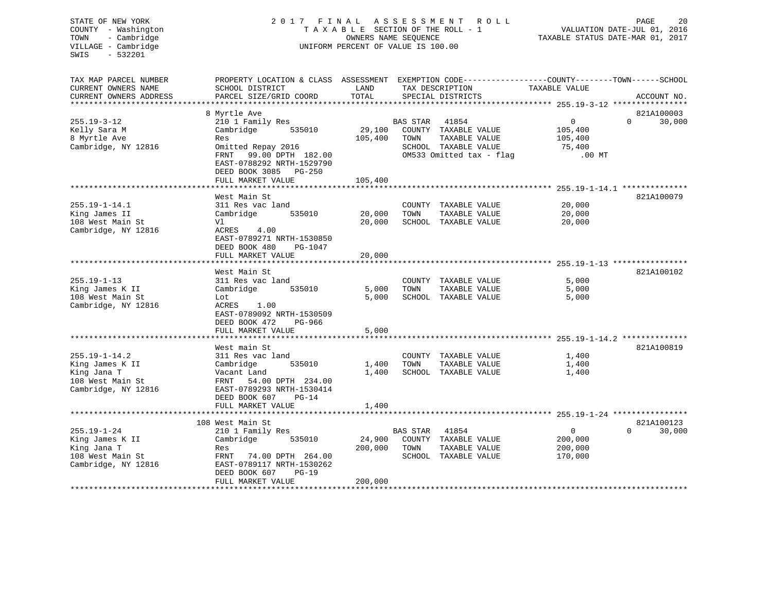| STATE OF NEW YORK<br>COUNTY - Washington<br>- Cambridge<br>TOWN<br>VILLAGE - Cambridge<br>$-532201$<br>SWIS | 2017 FINAL ASSESSMENT                                                             | TAXABLE SECTION OF THE ROLL - 1<br>OWNERS NAME SEQUENCE<br>UNIFORM PERCENT OF VALUE IS 100.00 |                 | R O L L                              | 20<br>PAGE<br>VALUATION DATE-JUL 01, 2016<br>TAXABLE STATUS DATE-MAR 01, 2017 |                    |
|-------------------------------------------------------------------------------------------------------------|-----------------------------------------------------------------------------------|-----------------------------------------------------------------------------------------------|-----------------|--------------------------------------|-------------------------------------------------------------------------------|--------------------|
| TAX MAP PARCEL NUMBER<br>CURRENT OWNERS NAME<br>CURRENT OWNERS ADDRESS                                      | PROPERTY LOCATION & CLASS ASSESSMENT<br>SCHOOL DISTRICT<br>PARCEL SIZE/GRID COORD | LAND<br>TOTAL                                                                                 |                 | TAX DESCRIPTION<br>SPECIAL DISTRICTS | EXEMPTION CODE-----------------COUNTY-------TOWN------SCHOOL<br>TAXABLE VALUE | ACCOUNT NO.        |
| **********************                                                                                      | ***********************                                                           |                                                                                               |                 |                                      |                                                                               |                    |
|                                                                                                             | 8 Myrtle Ave                                                                      |                                                                                               |                 |                                      |                                                                               | 821A100003         |
| $255.19 - 3 - 12$                                                                                           | 210 1 Family Res                                                                  |                                                                                               | <b>BAS STAR</b> | 41854                                | $\overline{0}$                                                                | $\Omega$<br>30,000 |
| Kelly Sara M                                                                                                | Cambridge<br>535010                                                               | 29,100                                                                                        |                 | COUNTY TAXABLE VALUE                 | 105,400                                                                       |                    |
| 8 Myrtle Ave                                                                                                | Res                                                                               | 105,400                                                                                       | TOWN            | TAXABLE VALUE                        | 105,400                                                                       |                    |
| Cambridge, NY 12816                                                                                         | Omitted Repay 2016                                                                |                                                                                               |                 | SCHOOL TAXABLE VALUE                 | 75,400                                                                        |                    |
|                                                                                                             | FRNT<br>99.00 DPTH 182.00                                                         |                                                                                               |                 | OM533 Omitted tax - flag             | $.00$ MT                                                                      |                    |
|                                                                                                             | EAST-0788292 NRTH-1529790                                                         |                                                                                               |                 |                                      |                                                                               |                    |
|                                                                                                             | DEED BOOK 3085 PG-250                                                             |                                                                                               |                 |                                      |                                                                               |                    |
|                                                                                                             | FULL MARKET VALUE                                                                 | 105,400                                                                                       |                 |                                      |                                                                               |                    |
|                                                                                                             |                                                                                   |                                                                                               |                 |                                      |                                                                               |                    |
|                                                                                                             | West Main St                                                                      |                                                                                               |                 |                                      |                                                                               | 821A100079         |
| $255.19 - 1 - 14.1$                                                                                         | 311 Res vac land                                                                  |                                                                                               | COUNTY          | TAXABLE VALUE                        | 20,000                                                                        |                    |
| King James II                                                                                               | 535010<br>Cambridge                                                               | 20,000                                                                                        | TOWN            | TAXABLE VALUE                        | 20,000                                                                        |                    |
| 108 West Main St                                                                                            | Vl                                                                                | 20,000                                                                                        |                 | SCHOOL TAXABLE VALUE                 | 20,000                                                                        |                    |
| Cambridge, NY 12816                                                                                         | ACRES<br>4.00<br>EAST-0789271 NRTH-1530850                                        |                                                                                               |                 |                                      |                                                                               |                    |
|                                                                                                             | DEED BOOK 480<br>PG-1047                                                          |                                                                                               |                 |                                      |                                                                               |                    |
|                                                                                                             | FULL MARKET VALUE                                                                 | 20,000                                                                                        |                 |                                      |                                                                               |                    |
|                                                                                                             | *******************                                                               |                                                                                               |                 |                                      |                                                                               |                    |
|                                                                                                             | West Main St                                                                      |                                                                                               |                 |                                      |                                                                               | 821A100102         |
| $255.19 - 1 - 13$                                                                                           | 311 Res vac land                                                                  |                                                                                               |                 | COUNTY TAXABLE VALUE                 | 5,000                                                                         |                    |
| King James K II                                                                                             | 535010<br>Cambridge                                                               | 5,000                                                                                         | TOWN            | TAXABLE VALUE                        | 5,000                                                                         |                    |
| 108 West Main St                                                                                            | Lot                                                                               | 5,000                                                                                         |                 | SCHOOL TAXABLE VALUE                 | 5,000                                                                         |                    |
| Cambridge, NY 12816                                                                                         | ACRES<br>1.00                                                                     |                                                                                               |                 |                                      |                                                                               |                    |
|                                                                                                             | EAST-0789092 NRTH-1530509                                                         |                                                                                               |                 |                                      |                                                                               |                    |
|                                                                                                             | DEED BOOK 472<br>PG-966                                                           |                                                                                               |                 |                                      |                                                                               |                    |
|                                                                                                             | FULL MARKET VALUE                                                                 | 5,000                                                                                         |                 |                                      |                                                                               |                    |
|                                                                                                             |                                                                                   |                                                                                               |                 |                                      | ********************************* 255.19-1-14.2 **************                |                    |
|                                                                                                             | West main St                                                                      |                                                                                               |                 |                                      |                                                                               | 821A100819         |
| $255.19 - 1 - 14.2$                                                                                         | 311 Res vac land                                                                  |                                                                                               | COUNTY          | TAXABLE VALUE                        | 1,400                                                                         |                    |
| King James K II                                                                                             | 535010<br>Cambridge                                                               | 1,400                                                                                         | TOWN            | TAXABLE VALUE                        | 1,400                                                                         |                    |
| King Jana T                                                                                                 | Vacant Land                                                                       | 1,400                                                                                         |                 | SCHOOL TAXABLE VALUE                 | 1,400                                                                         |                    |
| 108 West Main St                                                                                            | FRNT<br>54.00 DPTH 234.00                                                         |                                                                                               |                 |                                      |                                                                               |                    |
| Cambridge, NY 12816                                                                                         | EAST-0789293 NRTH-1530414                                                         |                                                                                               |                 |                                      |                                                                               |                    |
|                                                                                                             | DEED BOOK 607<br>$PG-14$                                                          |                                                                                               |                 |                                      |                                                                               |                    |
|                                                                                                             | FULL MARKET VALUE                                                                 | 1,400                                                                                         |                 |                                      |                                                                               |                    |
|                                                                                                             |                                                                                   |                                                                                               |                 |                                      |                                                                               |                    |
|                                                                                                             | 108 West Main St                                                                  |                                                                                               |                 |                                      |                                                                               | 821A100123         |
| $255.19 - 1 - 24$                                                                                           | 210 1 Family Res<br>535010                                                        |                                                                                               | <b>BAS STAR</b> | 41854                                | $\overline{0}$                                                                | 30,000<br>$\Omega$ |
| King James K II<br>King Jana T                                                                              | Cambridge                                                                         | 24,900<br>200,000                                                                             | COUNTY<br>TOWN  | TAXABLE VALUE                        | 200,000<br>200,000                                                            |                    |
| 108 West Main St                                                                                            | Res<br>FRNT<br>74.00 DPTH 264.00                                                  |                                                                                               | SCHOOL          | TAXABLE VALUE<br>TAXABLE VALUE       | 170,000                                                                       |                    |
| Cambridge, NY 12816                                                                                         | EAST-0789117 NRTH-1530262                                                         |                                                                                               |                 |                                      |                                                                               |                    |
|                                                                                                             | DEED BOOK 607<br>$PG-19$                                                          |                                                                                               |                 |                                      |                                                                               |                    |
|                                                                                                             | FULL MARKET VALUE                                                                 | 200,000                                                                                       |                 |                                      |                                                                               |                    |
|                                                                                                             |                                                                                   |                                                                                               |                 |                                      |                                                                               |                    |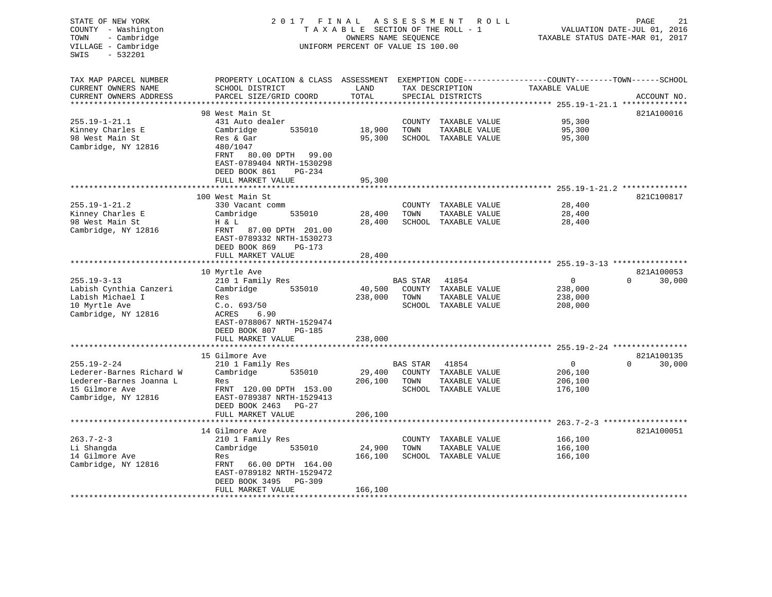| STATE OF NEW YORK<br>COUNTY - Washington<br>- Cambridge<br>TOWN<br>VILLAGE - Cambridge<br>$-532201$<br>SWIS | 2017 FINAL ASSESSMENT<br>TAXABLE SECTION OF THE ROLL - 1<br>UNIFORM PERCENT OF VALUE IS 100.00                                                | ROLL ROLL<br>TAXABLE STATUS DATE-MAR 01, 2017 | PAGE<br>21<br>VALUATION DATE-JUL 01, 2016 |                                                                        |                                              |                                  |
|-------------------------------------------------------------------------------------------------------------|-----------------------------------------------------------------------------------------------------------------------------------------------|-----------------------------------------------|-------------------------------------------|------------------------------------------------------------------------|----------------------------------------------|----------------------------------|
| TAX MAP PARCEL NUMBER<br>CURRENT OWNERS NAME<br>CURRENT OWNERS ADDRESS                                      | PROPERTY LOCATION & CLASS ASSESSMENT EXEMPTION CODE----------------COUNTY-------TOWN------SCHOOL<br>SCHOOL DISTRICT<br>PARCEL SIZE/GRID COORD | LAND<br>TOTAL                                 |                                           | TAX DESCRIPTION<br>SPECIAL DISTRICTS                                   | TAXABLE VALUE                                | ACCOUNT NO.                      |
| **********************                                                                                      | *****************************                                                                                                                 |                                               |                                           |                                                                        |                                              |                                  |
| $255.19 - 1 - 21.1$                                                                                         | 98 West Main St<br>431 Auto dealer                                                                                                            |                                               |                                           | COUNTY TAXABLE VALUE                                                   | 95,300                                       | 821A100016                       |
| Kinney Charles E                                                                                            | Cambridge<br>535010                                                                                                                           | 18,900                                        | TOWN                                      | TAXABLE VALUE                                                          | 95,300                                       |                                  |
| 98 West Main St<br>Cambridge, NY 12816                                                                      | Res & Gar<br>480/1047<br>FRNT<br>80.00 DPTH 99.00<br>EAST-0789404 NRTH-1530298<br>DEED BOOK 861<br>PG-234                                     | 95,300                                        |                                           | SCHOOL TAXABLE VALUE                                                   | 95,300                                       |                                  |
|                                                                                                             | FULL MARKET VALUE                                                                                                                             | 95,300                                        |                                           |                                                                        |                                              |                                  |
|                                                                                                             | ***********************                                                                                                                       |                                               |                                           |                                                                        |                                              |                                  |
|                                                                                                             | 100 West Main St                                                                                                                              |                                               |                                           |                                                                        |                                              | 821C100817                       |
| $255.19 - 1 - 21.2$                                                                                         | 330 Vacant comm                                                                                                                               |                                               |                                           | COUNTY TAXABLE VALUE                                                   | 28,400                                       |                                  |
| Kinney Charles E                                                                                            | Cambridge<br>535010                                                                                                                           | 28,400                                        | TOWN                                      | TAXABLE VALUE                                                          | 28,400                                       |                                  |
| 98 West Main St<br>Cambridge, NY 12816                                                                      | H & L<br>FRNT<br>87.00 DPTH 201.00<br>EAST-0789332 NRTH-1530273<br>DEED BOOK 869<br>PG-173                                                    | 28,400                                        |                                           | SCHOOL TAXABLE VALUE                                                   | 28,400                                       |                                  |
|                                                                                                             | FULL MARKET VALUE                                                                                                                             | 28,400                                        |                                           |                                                                        |                                              |                                  |
|                                                                                                             | *******************                                                                                                                           |                                               |                                           |                                                                        |                                              |                                  |
| $255.19 - 3 - 13$<br>Labish Cynthia Canzeri<br>Labish Michael I<br>10 Myrtle Ave<br>Cambridge, NY 12816     | 10 Myrtle Ave<br>210 1 Family Res<br>Cambridge<br>535010<br>Res<br>C.o. 693/50<br>ACRES<br>6.90<br>EAST-0788067 NRTH-1529474                  | 40,500<br>238,000                             | <b>BAS STAR</b><br>TOWN                   | 41854<br>COUNTY TAXABLE VALUE<br>TAXABLE VALUE<br>SCHOOL TAXABLE VALUE | $\mathbf 0$<br>238,000<br>238,000<br>208,000 | 821A100053<br>$\Omega$<br>30,000 |
|                                                                                                             | DEED BOOK 807<br>PG-185<br>FULL MARKET VALUE                                                                                                  | 238,000                                       |                                           |                                                                        |                                              |                                  |
|                                                                                                             |                                                                                                                                               |                                               |                                           |                                                                        | ********** 255.19-2-24 *****************     |                                  |
|                                                                                                             | 15 Gilmore Ave                                                                                                                                |                                               |                                           |                                                                        |                                              | 821A100135                       |
| $255.19 - 2 - 24$                                                                                           | 210 1 Family Res                                                                                                                              |                                               | <b>BAS STAR</b>                           | 41854                                                                  | $\mathbf 0$                                  | $\Omega$<br>30,000               |
| Lederer-Barnes Richard W                                                                                    | Cambridge<br>535010                                                                                                                           | 29,400                                        |                                           | COUNTY TAXABLE VALUE                                                   | 206,100                                      |                                  |
| Lederer-Barnes Joanna L                                                                                     | Res                                                                                                                                           | 206,100                                       | TOWN                                      | TAXABLE VALUE                                                          | 206,100                                      |                                  |
| 15 Gilmore Ave<br>Cambridge, NY 12816                                                                       | FRNT 120.00 DPTH 153.00<br>EAST-0789387 NRTH-1529413<br>DEED BOOK 2463 PG-27                                                                  |                                               |                                           | SCHOOL TAXABLE VALUE                                                   | 176,100                                      |                                  |
|                                                                                                             | FULL MARKET VALUE<br>*********************                                                                                                    | 206,100                                       |                                           |                                                                        |                                              |                                  |
|                                                                                                             |                                                                                                                                               |                                               |                                           |                                                                        |                                              |                                  |
| $263.7 - 2 - 3$                                                                                             | 14 Gilmore Ave<br>210 1 Family Res                                                                                                            |                                               |                                           | COUNTY TAXABLE VALUE                                                   | 166,100                                      | 821A100051                       |
| Li Shangda                                                                                                  | Cambridge<br>535010                                                                                                                           | 24,900                                        | TOWN                                      | TAXABLE VALUE                                                          | 166,100                                      |                                  |
| 14 Gilmore Ave                                                                                              | Res                                                                                                                                           | 166,100                                       |                                           | SCHOOL TAXABLE VALUE                                                   | 166,100                                      |                                  |
| Cambridge, NY 12816                                                                                         | FRNT<br>66.00 DPTH 164.00<br>EAST-0789182 NRTH-1529472<br>DEED BOOK 3495<br>$PG-309$<br>FULL MARKET VALUE                                     | 166,100                                       |                                           |                                                                        |                                              |                                  |
|                                                                                                             |                                                                                                                                               |                                               |                                           |                                                                        |                                              |                                  |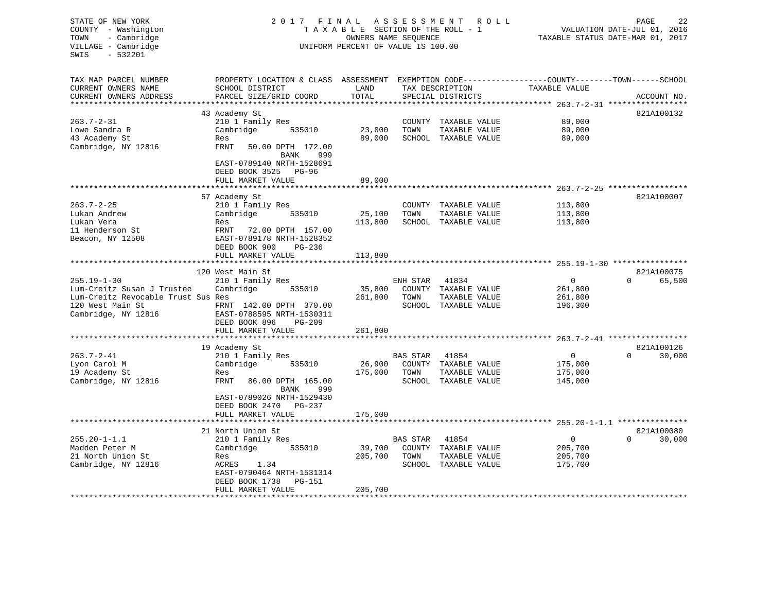| STATE OF NEW YORK<br>COUNTY - Washington<br>- Cambridge<br>TOWN<br>VILLAGE - Cambridge<br>SWIS<br>$-532201$ | 2017 FINAL<br>A S S E S S M E N T<br>PAGE<br>R O L L<br>TAXABLE SECTION OF THE ROLL - 1<br>VALUATION DATE-JUL 01, 2016<br>OWNERS NAME SEQUENCE<br>TAXABLE STATUS DATE-MAR 01, 2017<br>UNIFORM PERCENT OF VALUE IS 100.00 |                            |                 |                      |                                                |                       |  |  |
|-------------------------------------------------------------------------------------------------------------|--------------------------------------------------------------------------------------------------------------------------------------------------------------------------------------------------------------------------|----------------------------|-----------------|----------------------|------------------------------------------------|-----------------------|--|--|
| TAX MAP PARCEL NUMBER<br>CURRENT OWNERS NAME                                                                | PROPERTY LOCATION & CLASS ASSESSMENT EXEMPTION CODE----------------COUNTY-------TOWN-----SCHOOL<br>SCHOOL DISTRICT                                                                                                       | LAND                       |                 | TAX DESCRIPTION      | TAXABLE VALUE                                  |                       |  |  |
| CURRENT OWNERS ADDRESS                                                                                      | PARCEL SIZE/GRID COORD                                                                                                                                                                                                   | TOTAL<br>* * * * * * * * * |                 | SPECIAL DISTRICTS    |                                                | ACCOUNT NO.           |  |  |
|                                                                                                             | 43 Academy St                                                                                                                                                                                                            |                            |                 |                      | **************** 263.7-2-31 ****************** | 821A100132            |  |  |
| $263.7 - 2 - 31$                                                                                            | 210 1 Family Res                                                                                                                                                                                                         |                            |                 | COUNTY TAXABLE VALUE | 89,000                                         |                       |  |  |
| Lowe Sandra R                                                                                               | Cambridge<br>535010                                                                                                                                                                                                      | 23,800                     | TOWN            | TAXABLE VALUE        | 89,000                                         |                       |  |  |
| 43 Academy St                                                                                               | Res                                                                                                                                                                                                                      | 89,000                     |                 | SCHOOL TAXABLE VALUE | 89,000                                         |                       |  |  |
| Cambridge, NY 12816                                                                                         | FRNT<br>50.00 DPTH 172.00<br>BANK<br>999                                                                                                                                                                                 |                            |                 |                      |                                                |                       |  |  |
|                                                                                                             | EAST-0789140 NRTH-1528691<br>DEED BOOK 3525 PG-96                                                                                                                                                                        |                            |                 |                      |                                                |                       |  |  |
|                                                                                                             | FULL MARKET VALUE                                                                                                                                                                                                        | 89,000                     |                 |                      |                                                |                       |  |  |
|                                                                                                             |                                                                                                                                                                                                                          |                            |                 |                      |                                                |                       |  |  |
| $263.7 - 2 - 25$                                                                                            | 57 Academy St<br>210 1 Family Res                                                                                                                                                                                        |                            |                 | COUNTY TAXABLE VALUE | 113,800                                        | 821A100007            |  |  |
| Lukan Andrew                                                                                                | Cambridge<br>535010                                                                                                                                                                                                      | 25,100                     | TOWN            | TAXABLE VALUE        | 113,800                                        |                       |  |  |
| Lukan Vera                                                                                                  | Res                                                                                                                                                                                                                      | 113,800                    |                 | SCHOOL TAXABLE VALUE | 113,800                                        |                       |  |  |
| 11 Henderson St                                                                                             | FRNT<br>72.00 DPTH 157.00                                                                                                                                                                                                |                            |                 |                      |                                                |                       |  |  |
| Beacon, NY 12508                                                                                            | EAST-0789178 NRTH-1528352                                                                                                                                                                                                |                            |                 |                      |                                                |                       |  |  |
|                                                                                                             | DEED BOOK 900<br>PG-236                                                                                                                                                                                                  |                            |                 |                      |                                                |                       |  |  |
|                                                                                                             | FULL MARKET VALUE                                                                                                                                                                                                        | 113,800                    |                 |                      |                                                |                       |  |  |
|                                                                                                             |                                                                                                                                                                                                                          |                            |                 |                      |                                                |                       |  |  |
|                                                                                                             | 120 West Main St                                                                                                                                                                                                         |                            |                 |                      |                                                | 821A100075            |  |  |
| $255.19 - 1 - 30$                                                                                           | 210 1 Family Res                                                                                                                                                                                                         |                            | ENH STAR        | 41834                | 0                                              | $\Omega$<br>65,500    |  |  |
| Lum-Creitz Susan J Trustee                                                                                  | Cambridge<br>535010                                                                                                                                                                                                      | 35,800                     | COUNTY          | TAXABLE VALUE        | 261,800                                        |                       |  |  |
| Lum-Creitz Revocable Trust Sus Res                                                                          |                                                                                                                                                                                                                          | 261,800                    | TOWN            | TAXABLE VALUE        | 261,800                                        |                       |  |  |
| 120 West Main St<br>Cambridge, NY 12816                                                                     | FRNT 142.00 DPTH 370.00<br>EAST-0788595 NRTH-1530311                                                                                                                                                                     |                            |                 | SCHOOL TAXABLE VALUE | 196,300                                        |                       |  |  |
|                                                                                                             | DEED BOOK 896<br>PG-209                                                                                                                                                                                                  |                            |                 |                      |                                                |                       |  |  |
|                                                                                                             | FULL MARKET VALUE                                                                                                                                                                                                        | 261,800                    |                 |                      |                                                |                       |  |  |
|                                                                                                             |                                                                                                                                                                                                                          |                            |                 |                      |                                                |                       |  |  |
|                                                                                                             | 19 Academy St                                                                                                                                                                                                            |                            |                 |                      |                                                | 821A100126            |  |  |
| $263.7 - 2 - 41$                                                                                            | 210 1 Family Res                                                                                                                                                                                                         |                            | BAS STAR        | 41854                | 0                                              | 30,000<br>0           |  |  |
| Lyon Carol M                                                                                                | Cambridge<br>535010                                                                                                                                                                                                      | 26,900                     | COUNTY          | TAXABLE VALUE        | 175,000                                        |                       |  |  |
| 19 Academy St                                                                                               | Res                                                                                                                                                                                                                      | 175,000                    | TOWN            | TAXABLE VALUE        | 175,000                                        |                       |  |  |
| Cambridge, NY 12816                                                                                         | FRNT<br>86.00 DPTH 165.00                                                                                                                                                                                                |                            |                 | SCHOOL TAXABLE VALUE | 145,000                                        |                       |  |  |
|                                                                                                             | BANK<br>999                                                                                                                                                                                                              |                            |                 |                      |                                                |                       |  |  |
|                                                                                                             | EAST-0789026 NRTH-1529430                                                                                                                                                                                                |                            |                 |                      |                                                |                       |  |  |
|                                                                                                             | DEED BOOK 2470 PG-237<br>FULL MARKET VALUE                                                                                                                                                                               | 175,000                    |                 |                      |                                                |                       |  |  |
|                                                                                                             |                                                                                                                                                                                                                          |                            |                 |                      |                                                |                       |  |  |
|                                                                                                             | 21 North Union St                                                                                                                                                                                                        |                            |                 |                      |                                                | 821A100080            |  |  |
| $255.20 - 1 - 1.1$                                                                                          | 210 1 Family Res                                                                                                                                                                                                         |                            | <b>BAS STAR</b> | 41854                | 0                                              | $\mathbf 0$<br>30,000 |  |  |
| Madden Peter M                                                                                              | Cambridge<br>535010                                                                                                                                                                                                      | 39,700                     | COUNTY          | TAXABLE VALUE        | 205,700                                        |                       |  |  |
| 21 North Union St                                                                                           | Res                                                                                                                                                                                                                      | 205,700                    | TOWN            | TAXABLE VALUE        | 205,700                                        |                       |  |  |
| Cambridge, NY 12816                                                                                         | ACRES<br>1.34                                                                                                                                                                                                            |                            |                 | SCHOOL TAXABLE VALUE | 175,700                                        |                       |  |  |
|                                                                                                             | EAST-0790464 NRTH-1531314                                                                                                                                                                                                |                            |                 |                      |                                                |                       |  |  |
|                                                                                                             | DEED BOOK 1738<br>PG-151                                                                                                                                                                                                 |                            |                 |                      |                                                |                       |  |  |
|                                                                                                             | FULL MARKET VALUE                                                                                                                                                                                                        | 205,700                    |                 |                      |                                                |                       |  |  |
|                                                                                                             |                                                                                                                                                                                                                          |                            |                 |                      |                                                |                       |  |  |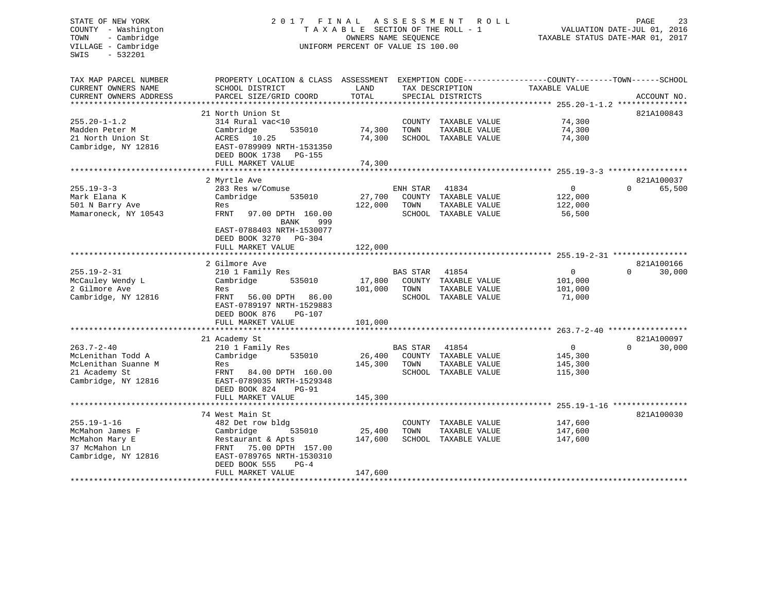# STATE OF NEW YORK 2 0 1 7 F I N A L A S S E S S M E N T R O L L PAGE 23 COUNTY - Washington T A X A B L E SECTION OF THE ROLL - 1 VALUATION DATE-JUL 01, 2016 TOWN - Cambridge OWNERS NAME SEQUENCE TAXABLE STATUS DATE-MAR 01, 2017 UNIFORM PERCENT OF VALUE IS 100.00

| TAX MAP PARCEL NUMBER  | PROPERTY LOCATION & CLASS ASSESSMENT EXEMPTION CODE----------------COUNTY-------TOWN------SCHOOL |         |                |                      |                |          |             |
|------------------------|--------------------------------------------------------------------------------------------------|---------|----------------|----------------------|----------------|----------|-------------|
| CURRENT OWNERS NAME    | SCHOOL DISTRICT                                                                                  | LAND    |                | TAX DESCRIPTION      | TAXABLE VALUE  |          |             |
| CURRENT OWNERS ADDRESS | PARCEL SIZE/GRID COORD                                                                           | TOTAL   |                | SPECIAL DISTRICTS    |                |          | ACCOUNT NO. |
|                        |                                                                                                  |         |                |                      |                |          |             |
|                        | 21 North Union St                                                                                |         |                |                      |                |          | 821A100843  |
| 255.20-1-1.2           | 314 Rural vac<10                                                                                 |         |                | COUNTY TAXABLE VALUE | 74,300         |          |             |
| Madden Peter M         | Cambridge<br>535010                                                                              | 74,300  | TOWN           | TAXABLE VALUE        | 74,300         |          |             |
| 21 North Union St      | ACRES 10.25                                                                                      | 74,300  |                | SCHOOL TAXABLE VALUE | 74,300         |          |             |
| Cambridge, NY 12816    | EAST-0789909 NRTH-1531350                                                                        |         |                |                      |                |          |             |
|                        | DEED BOOK 1738 PG-155                                                                            |         |                |                      |                |          |             |
|                        | FULL MARKET VALUE                                                                                | 74,300  |                |                      |                |          |             |
|                        |                                                                                                  |         |                |                      |                |          |             |
|                        |                                                                                                  |         |                |                      |                |          | 821A100037  |
|                        | 2 Myrtle Ave                                                                                     |         |                |                      |                |          |             |
| 255.19-3-3             | 283 Res w/Comuse                                                                                 |         | ENH STAR 41834 |                      | $\overline{0}$ | $\Omega$ | 65,500      |
| Mark Elana K           | Cambridge<br>535010                                                                              | 27,700  |                | COUNTY TAXABLE VALUE | 122,000        |          |             |
| 501 N Barry Ave        | Res                                                                                              | 122,000 | TOWN           | TAXABLE VALUE        | 122,000        |          |             |
| Mamaroneck, NY 10543   | FRNT<br>97.00 DPTH 160.00                                                                        |         |                | SCHOOL TAXABLE VALUE | 56,500         |          |             |
|                        | BANK<br>999                                                                                      |         |                |                      |                |          |             |
|                        | EAST-0788403 NRTH-1530077                                                                        |         |                |                      |                |          |             |
|                        | DEED BOOK 3270 PG-304                                                                            |         |                |                      |                |          |             |
|                        | FULL MARKET VALUE                                                                                | 122,000 |                |                      |                |          |             |
|                        |                                                                                                  |         |                |                      |                |          |             |
|                        | 2 Gilmore Ave                                                                                    |         |                |                      |                |          | 821A100166  |
| $255.19 - 2 - 31$      | 210 1 Family Res                                                                                 |         | BAS STAR       | 41854                | $\Omega$       | $\Omega$ | 30,000      |
| McCauley Wendy L       | 535010<br>Cambridge                                                                              | 17,800  |                | COUNTY TAXABLE VALUE | 101,000        |          |             |
| 2 Gilmore Ave          | Res                                                                                              | 101,000 | TOWN           | TAXABLE VALUE        | 101,000        |          |             |
| Cambridge, NY 12816    | FRNT 56.00 DPTH 86.00                                                                            |         |                | SCHOOL TAXABLE VALUE | 71,000         |          |             |
|                        | EAST-0789197 NRTH-1529883                                                                        |         |                |                      |                |          |             |
|                        | DEED BOOK 876<br>PG-107                                                                          |         |                |                      |                |          |             |
|                        | FULL MARKET VALUE                                                                                | 101,000 |                |                      |                |          |             |
|                        |                                                                                                  |         |                |                      |                |          |             |
|                        |                                                                                                  |         |                |                      |                |          |             |
|                        | 21 Academy St                                                                                    |         |                |                      |                | $\Omega$ | 821A100097  |
| 263.7-2-40             | 210 1 Family Res                                                                                 |         | BAS STAR       | 41854                | $\overline{0}$ |          | 30,000      |
| McLenithan Todd A      | Cambridge<br>535010                                                                              | 26,400  |                | COUNTY TAXABLE VALUE | 145,300        |          |             |
| McLenithan Suanne M    | Res                                                                                              | 145,300 | TOWN           | TAXABLE VALUE        | 145,300        |          |             |
| 21 Academy St          | FRNT 84.00 DPTH 160.00                                                                           |         |                | SCHOOL TAXABLE VALUE | 115,300        |          |             |
| Cambridge, NY 12816    | EAST-0789035 NRTH-1529348                                                                        |         |                |                      |                |          |             |
|                        | DEED BOOK 824<br>PG-91                                                                           |         |                |                      |                |          |             |
|                        | FULL MARKET VALUE                                                                                | 145,300 |                |                      |                |          |             |
|                        |                                                                                                  |         |                |                      |                |          |             |
|                        | 74 West Main St                                                                                  |         |                |                      |                |          | 821A100030  |
| 255.19-1-16            | 482 Det row bldg                                                                                 |         |                | COUNTY TAXABLE VALUE | 147,600        |          |             |
| McMahon James F        | Cambridge<br>535010                                                                              | 25,400  | TOWN           | TAXABLE VALUE        | 147,600        |          |             |
| McMahon Mary E         | Restaurant & Apts                                                                                | 147,600 |                | SCHOOL TAXABLE VALUE | 147,600        |          |             |
| 37 McMahon Ln          | FRNT 75.00 DPTH 157.00                                                                           |         |                |                      |                |          |             |
| Cambridge, NY 12816    | EAST-0789765 NRTH-1530310                                                                        |         |                |                      |                |          |             |
|                        | DEED BOOK 555<br>$PG-4$                                                                          |         |                |                      |                |          |             |
|                        | FULL MARKET VALUE                                                                                | 147,600 |                |                      |                |          |             |
|                        |                                                                                                  |         |                |                      |                |          |             |
|                        |                                                                                                  |         |                |                      |                |          |             |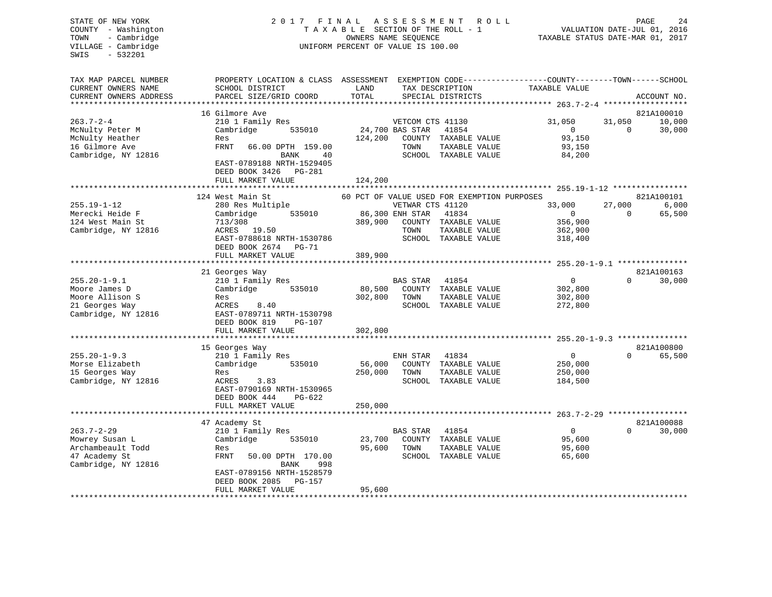# STATE OF NEW YORK 2 0 1 7 F I N A L A S S E S S M E N T R O L L PAGE 24 COUNTY - Washington T A X A B L E SECTION OF THE ROLL - 1 VALUATION DATE-JUL 01, 2016 TOWN - Cambridge OWNERS NAME SEQUENCE TAXABLE STATUS DATE-MAR 01, 2017 UNIFORM PERCENT OF VALUE IS 100.00

| TAX MAP PARCEL NUMBER  | PROPERTY LOCATION & CLASS ASSESSMENT |         |                  |                                             | EXEMPTION CODE-----------------COUNTY-------TOWN------SCHOOL |          |             |
|------------------------|--------------------------------------|---------|------------------|---------------------------------------------|--------------------------------------------------------------|----------|-------------|
| CURRENT OWNERS NAME    | SCHOOL DISTRICT                      | LAND    |                  | TAX DESCRIPTION                             | TAXABLE VALUE                                                |          |             |
| CURRENT OWNERS ADDRESS | PARCEL SIZE/GRID COORD               | TOTAL   |                  | SPECIAL DISTRICTS                           |                                                              |          | ACCOUNT NO. |
| ********************** |                                      |         |                  |                                             |                                                              |          |             |
|                        | 16 Gilmore Ave                       |         |                  |                                             |                                                              |          | 821A100010  |
| $263.7 - 2 - 4$        | 210 1 Family Res                     |         | VETCOM CTS 41130 |                                             | 31,050                                                       | 31,050   | 10,000      |
| McNulty Peter M        | Cambridge<br>535010                  |         | 24,700 BAS STAR  | 41854                                       | $\overline{0}$                                               | $\Omega$ | 30,000      |
| McNulty Heather        | Res                                  | 124,200 |                  | COUNTY TAXABLE VALUE                        | 93,150                                                       |          |             |
| 16 Gilmore Ave         | <b>FRNT</b><br>66.00 DPTH 159.00     |         | TOWN             | TAXABLE VALUE                               | 93,150                                                       |          |             |
| Cambridge, NY 12816    | <b>BANK</b><br>40                    |         |                  | SCHOOL TAXABLE VALUE                        | 84,200                                                       |          |             |
|                        | EAST-0789188 NRTH-1529405            |         |                  |                                             |                                                              |          |             |
|                        | DEED BOOK 3426<br>PG-281             |         |                  |                                             |                                                              |          |             |
|                        | FULL MARKET VALUE                    | 124,200 |                  |                                             |                                                              |          |             |
|                        |                                      |         |                  |                                             |                                                              |          |             |
|                        | 124 West Main St                     |         |                  | 60 PCT OF VALUE USED FOR EXEMPTION PURPOSES |                                                              |          | 821A100101  |
| $255.19 - 1 - 12$      | 280 Res Multiple                     |         | VETWAR CTS 41120 |                                             | 33,000                                                       | 27,000   | 6,000       |
| Merecki Heide F        | 535010<br>Cambridge                  |         | 86,300 ENH STAR  | 41834                                       | $\mathbf{0}$                                                 | $\Omega$ | 65,500      |
| 124 West Main St       | 713/308                              | 389,900 |                  | COUNTY TAXABLE VALUE                        | 356,900                                                      |          |             |
| Cambridge, NY 12816    | ACRES 19.50                          |         | TOWN             | TAXABLE VALUE                               | 362,900                                                      |          |             |
|                        | EAST-0788618 NRTH-1530786            |         |                  | SCHOOL TAXABLE VALUE                        | 318,400                                                      |          |             |
|                        | DEED BOOK 2674 PG-71                 |         |                  |                                             |                                                              |          |             |
|                        | FULL MARKET VALUE                    | 389,900 |                  |                                             |                                                              |          |             |
|                        | 21 Georges Way                       |         |                  |                                             |                                                              |          | 821A100163  |
| $255.20 - 1 - 9.1$     | 210 1 Family Res                     |         | <b>BAS STAR</b>  | 41854                                       | $\mathbf{0}$                                                 | $\Omega$ | 30,000      |
| Moore James D          | Cambridge<br>535010                  | 80,500  |                  | COUNTY TAXABLE VALUE                        | 302,800                                                      |          |             |
| Moore Allison S        | Res                                  | 302,800 | TOWN             | TAXABLE VALUE                               | 302,800                                                      |          |             |
| 21 Georges Way         | ACRES<br>8.40                        |         |                  | SCHOOL TAXABLE VALUE                        | 272,800                                                      |          |             |
| Cambridge, NY 12816    | EAST-0789711 NRTH-1530798            |         |                  |                                             |                                                              |          |             |
|                        | DEED BOOK 819<br>PG-107              |         |                  |                                             |                                                              |          |             |
|                        | FULL MARKET VALUE                    | 302,800 |                  |                                             |                                                              |          |             |
|                        |                                      |         |                  |                                             |                                                              |          |             |
|                        | 15 Georges Way                       |         |                  |                                             |                                                              |          | 821A100800  |
| $255.20 - 1 - 9.3$     | 210 1 Family Res                     |         | ENH STAR         | 41834                                       | $\mathbf 0$                                                  | $\Omega$ | 65,500      |
| Morse Elizabeth        | Cambridge<br>535010                  | 56,000  |                  | COUNTY TAXABLE VALUE                        | 250,000                                                      |          |             |
| 15 Georges Way         | Res                                  | 250,000 | TOWN             | TAXABLE VALUE                               | 250,000                                                      |          |             |
| Cambridge, NY 12816    | 3.83<br>ACRES                        |         |                  | SCHOOL TAXABLE VALUE                        | 184,500                                                      |          |             |
|                        | EAST-0790169 NRTH-1530965            |         |                  |                                             |                                                              |          |             |
|                        | DEED BOOK 444<br>PG-622              |         |                  |                                             |                                                              |          |             |
|                        | FULL MARKET VALUE                    | 250,000 |                  |                                             |                                                              |          |             |
|                        |                                      |         |                  |                                             |                                                              |          |             |
|                        | 47 Academy St                        |         |                  |                                             |                                                              |          | 821A100088  |
| $263.7 - 2 - 29$       | 210 1 Family Res                     |         | BAS STAR         | 41854                                       | $\overline{0}$                                               | $\Omega$ | 30,000      |
| Mowrey Susan L         | Cambridge<br>535010                  | 23,700  |                  | COUNTY TAXABLE VALUE                        | 95,600                                                       |          |             |
| Archambeault Todd      | Res                                  | 95,600  | TOWN             | TAXABLE VALUE                               | 95,600                                                       |          |             |
| 47 Academy St          | FRNT<br>50.00 DPTH 170.00            |         |                  | SCHOOL TAXABLE VALUE                        | 65,600                                                       |          |             |
| Cambridge, NY 12816    | <b>BANK</b><br>998                   |         |                  |                                             |                                                              |          |             |
|                        | EAST-0789156 NRTH-1528579            |         |                  |                                             |                                                              |          |             |
|                        | DEED BOOK 2085<br>PG-157             |         |                  |                                             |                                                              |          |             |
|                        | FULL MARKET VALUE                    | 95,600  |                  |                                             |                                                              |          |             |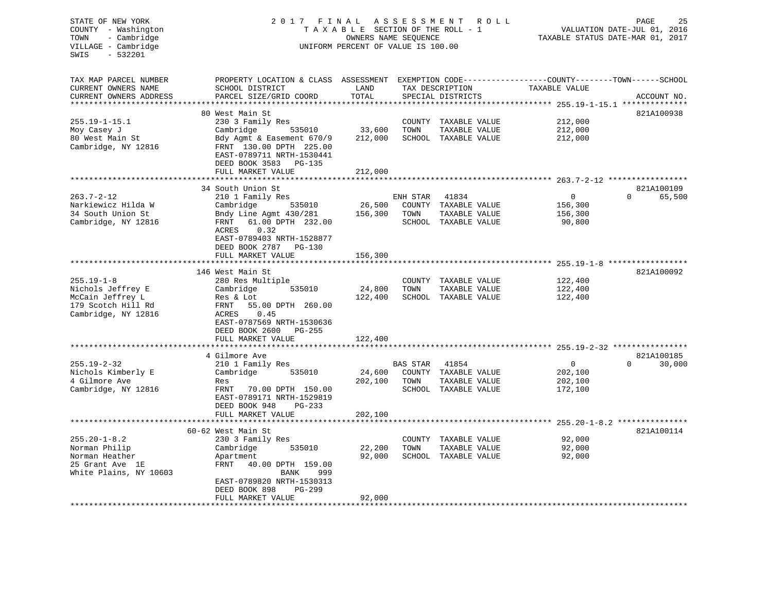| STATE OF NEW YORK<br>COUNTY - Washington<br>- Cambridge<br>TOWN<br>VILLAGE - Cambridge<br>$-532201$<br>SWIS | 2017<br>FINAL<br>ASSESSMENT<br>ROLL<br>TAXABLE SECTION OF THE ROLL - 1<br>OWNERS NAME SEQUENCE<br>UNIFORM PERCENT OF VALUE IS 100.00 |                  |                    |                        |                                                   |                        |
|-------------------------------------------------------------------------------------------------------------|--------------------------------------------------------------------------------------------------------------------------------------|------------------|--------------------|------------------------|---------------------------------------------------|------------------------|
| TAX MAP PARCEL NUMBER<br>CURRENT OWNERS NAME                                                                | PROPERTY LOCATION & CLASS ASSESSMENT EXEMPTION CODE-----------------COUNTY-------TOWN------SCHOOL<br>SCHOOL DISTRICT                 | LAND             |                    | TAX DESCRIPTION        | TAXABLE VALUE                                     |                        |
| CURRENT OWNERS ADDRESS<br>********************                                                              | PARCEL SIZE/GRID COORD                                                                                                               | TOTAL<br>******* |                    | SPECIAL DISTRICTS      | ************ 255.19-1-15.1 **************         | ACCOUNT NO.            |
|                                                                                                             | 80 West Main St                                                                                                                      |                  |                    |                        |                                                   | 821A100938             |
| $255.19 - 1 - 15.1$                                                                                         | 230 3 Family Res                                                                                                                     |                  | COUNTY             | TAXABLE VALUE          | 212,000                                           |                        |
| Moy Casey J                                                                                                 | Cambridge<br>535010                                                                                                                  | 33,600           | TOWN               | TAXABLE VALUE          | 212,000                                           |                        |
| 80 West Main St<br>Cambridge, NY 12816                                                                      | Bdy Agmt & Easement 670/9<br>FRNT 130.00 DPTH 225.00<br>EAST-0789711 NRTH-1530441                                                    | 212,000          |                    | SCHOOL TAXABLE VALUE   | 212,000                                           |                        |
|                                                                                                             | DEED BOOK 3583<br>PG-135                                                                                                             |                  |                    |                        |                                                   |                        |
|                                                                                                             | FULL MARKET VALUE                                                                                                                    | 212,000          |                    |                        |                                                   |                        |
|                                                                                                             | **************************                                                                                                           |                  |                    |                        |                                                   |                        |
|                                                                                                             | 34 South Union St                                                                                                                    |                  |                    |                        | 0                                                 | 821A100109<br>$\Omega$ |
| $263.7 - 2 - 12$<br>Narkiewicz Hilda W                                                                      | 210 1 Family Res<br>Cambridge<br>535010                                                                                              | 26,500           | ENH STAR<br>COUNTY | 41834<br>TAXABLE VALUE | 156,300                                           | 65,500                 |
| 34 South Union St                                                                                           | Bndy Line Agmt 430/281                                                                                                               | 156,300          | TOWN               | TAXABLE VALUE          | 156,300                                           |                        |
| Cambridge, NY 12816                                                                                         | 61.00 DPTH 232.00<br>FRNT                                                                                                            |                  |                    | SCHOOL TAXABLE VALUE   | 90,800                                            |                        |
|                                                                                                             | 0.32<br><b>ACRES</b>                                                                                                                 |                  |                    |                        |                                                   |                        |
|                                                                                                             | EAST-0789403 NRTH-1528877                                                                                                            |                  |                    |                        |                                                   |                        |
|                                                                                                             | DEED BOOK 2787 PG-130                                                                                                                |                  |                    |                        |                                                   |                        |
|                                                                                                             | FULL MARKET VALUE                                                                                                                    | 156,300          |                    |                        |                                                   |                        |
|                                                                                                             |                                                                                                                                      |                  |                    |                        | ******************* 255.19-1-8 ****************** |                        |
| $255.19 - 1 - 8$                                                                                            | 146 West Main St<br>280 Res Multiple                                                                                                 |                  | COUNTY             | TAXABLE VALUE          | 122,400                                           | 821A100092             |
| Nichols Jeffrey E                                                                                           | Cambridge<br>535010                                                                                                                  | 24,800           | TOWN               | TAXABLE VALUE          | 122,400                                           |                        |
| McCain Jeffrey L                                                                                            | Res & Lot                                                                                                                            | 122,400          |                    | SCHOOL TAXABLE VALUE   | 122,400                                           |                        |
| 179 Scotch Hill Rd                                                                                          | FRNT<br>55.00 DPTH 260.00                                                                                                            |                  |                    |                        |                                                   |                        |
| Cambridge, NY 12816                                                                                         | ACRES<br>0.45                                                                                                                        |                  |                    |                        |                                                   |                        |
|                                                                                                             | EAST-0787569 NRTH-1530636                                                                                                            |                  |                    |                        |                                                   |                        |
|                                                                                                             | DEED BOOK 2600<br>PG-255                                                                                                             |                  |                    |                        |                                                   |                        |
|                                                                                                             | FULL MARKET VALUE<br>* * * * * * * * * * * * * * * * * * * *                                                                         | 122,400          |                    |                        |                                                   |                        |
|                                                                                                             | 4 Gilmore Ave                                                                                                                        |                  |                    |                        |                                                   | 821A100185             |
| $255.19 - 2 - 32$                                                                                           | 210 1 Family Res                                                                                                                     |                  | BAS STAR           | 41854                  | $\mathbf{0}$                                      | 30,000<br>$\Omega$     |
| Nichols Kimberly E                                                                                          | Cambridge<br>535010                                                                                                                  | 24,600           | COUNTY             | TAXABLE VALUE          | 202,100                                           |                        |
| 4 Gilmore Ave                                                                                               | Res                                                                                                                                  | 202,100          | TOWN               | TAXABLE VALUE          | 202,100                                           |                        |
| Cambridge, NY 12816                                                                                         | FRNT<br>70.00 DPTH 150.00                                                                                                            |                  |                    | SCHOOL TAXABLE VALUE   | 172,100                                           |                        |
|                                                                                                             | EAST-0789171 NRTH-1529819<br>DEED BOOK 948<br>$PG-233$                                                                               |                  |                    |                        |                                                   |                        |
|                                                                                                             | FULL MARKET VALUE                                                                                                                    | 202,100          |                    |                        |                                                   |                        |
|                                                                                                             | *****************************                                                                                                        |                  |                    |                        |                                                   |                        |
|                                                                                                             | 60-62 West Main St                                                                                                                   |                  |                    |                        |                                                   | 821A100114             |
| $255.20 - 1 - 8.2$                                                                                          | 230 3 Family Res                                                                                                                     |                  | COUNTY             | TAXABLE VALUE          | 92,000                                            |                        |
| Norman Philip                                                                                               | Cambridge<br>535010                                                                                                                  | 22,200           | TOWN               | TAXABLE VALUE          | 92,000                                            |                        |
| Norman Heather                                                                                              | Apartment                                                                                                                            | 92,000           |                    | SCHOOL TAXABLE VALUE   | 92,000                                            |                        |
| 25 Grant Ave 1E                                                                                             | <b>FRNT</b><br>40.00 DPTH 159.00<br>999                                                                                              |                  |                    |                        |                                                   |                        |
| White Plains, NY 10603                                                                                      | BANK<br>EAST-0789820 NRTH-1530313                                                                                                    |                  |                    |                        |                                                   |                        |
|                                                                                                             | DEED BOOK 898<br>PG-299                                                                                                              |                  |                    |                        |                                                   |                        |
|                                                                                                             | FULL MARKET VALUE                                                                                                                    | 92,000           |                    |                        |                                                   |                        |
|                                                                                                             |                                                                                                                                      |                  |                    |                        |                                                   |                        |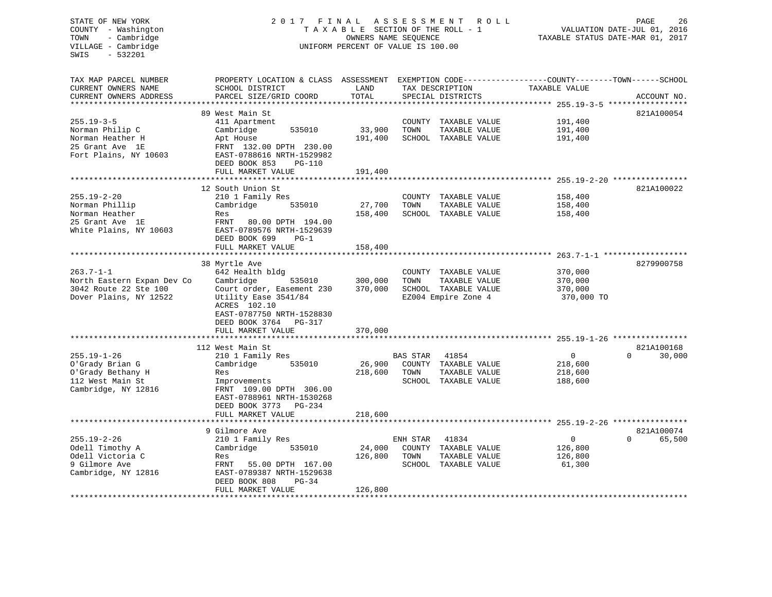### STATE OF NEW YORK 2017 FINAL ASSESSMENT ROLL PAGE 26 COUNTY - Washington  $T A X A B L E$  SECTION OF THE ROLL - 1<br>TOWN - Cambridge  $\sim$  000NERS NAME SEQUENCE TOWN - Cambridge OWNERS NAME SEQUENCE TAXABLE STATUS DATE-MAR 01, 2017 UNIFORM PERCENT OF VALUE IS 100.00

| TAX MAP PARCEL NUMBER                 | PROPERTY LOCATION & CLASS ASSESSMENT EXEMPTION CODE----------------COUNTY-------TOWN------SCHOOL |                         |          |                      |                                                            |                    |
|---------------------------------------|--------------------------------------------------------------------------------------------------|-------------------------|----------|----------------------|------------------------------------------------------------|--------------------|
| CURRENT OWNERS NAME                   | SCHOOL DISTRICT                                                                                  | LAND<br>TAX DESCRIPTION |          |                      | TAXABLE VALUE                                              |                    |
| CURRENT OWNERS ADDRESS                | PARCEL SIZE/GRID COORD                                                                           | TOTAL                   |          | SPECIAL DISTRICTS    |                                                            | ACCOUNT NO.        |
|                                       |                                                                                                  |                         |          |                      |                                                            |                    |
|                                       | 89 West Main St                                                                                  |                         |          |                      |                                                            | 821A100054         |
| $255.19 - 3 - 5$                      | 411 Apartment                                                                                    |                         |          | COUNTY TAXABLE VALUE | 191,400                                                    |                    |
| Norman Philip C                       | Cambridge<br>535010                                                                              | 33,900                  | TOWN     | TAXABLE VALUE        | 191,400                                                    |                    |
| Norman Heather H                      | Apt House                                                                                        | 191,400                 |          | SCHOOL TAXABLE VALUE | 191,400                                                    |                    |
| 25 Grant Ave 1E                       | FRNT 132.00 DPTH 230.00                                                                          |                         |          |                      |                                                            |                    |
| Fort Plains, NY 10603                 | EAST-0788616 NRTH-1529982                                                                        |                         |          |                      |                                                            |                    |
|                                       | DEED BOOK 853<br>$PG-110$                                                                        |                         |          |                      |                                                            |                    |
|                                       | FULL MARKET VALUE                                                                                | 191,400                 |          |                      |                                                            |                    |
|                                       | *********************                                                                            | **********              |          |                      | ***************************** 255.19-2-20 **************** |                    |
|                                       | 12 South Union St                                                                                |                         |          |                      |                                                            | 821A100022         |
| $255.19 - 2 - 20$                     | 210 1 Family Res                                                                                 |                         |          | COUNTY TAXABLE VALUE | 158,400                                                    |                    |
| Norman Phillip                        | 535010<br>Cambridge                                                                              | 27,700                  | TOWN     | TAXABLE VALUE        | 158,400                                                    |                    |
| Norman Heather                        | Res                                                                                              | 158,400                 |          | SCHOOL TAXABLE VALUE | 158,400                                                    |                    |
| 25 Grant Ave 1E                       | FRNT<br>80.00 DPTH 194.00                                                                        |                         |          |                      |                                                            |                    |
| White Plains, NY 10603                | EAST-0789576 NRTH-1529639                                                                        |                         |          |                      |                                                            |                    |
|                                       | DEED BOOK 699<br>$PG-1$                                                                          |                         |          |                      |                                                            |                    |
|                                       | FULL MARKET VALUE                                                                                | 158,400                 |          |                      |                                                            |                    |
|                                       |                                                                                                  |                         |          |                      |                                                            |                    |
|                                       | 38 Myrtle Ave                                                                                    |                         |          |                      |                                                            | 8279900758         |
| $263.7 - 1 - 1$                       | 642 Health bldg                                                                                  |                         |          | COUNTY TAXABLE VALUE | 370,000                                                    |                    |
| North Eastern Expan Dev Co            | Cambridge<br>535010                                                                              | 300,000                 | TOWN     | TAXABLE VALUE        | 370,000                                                    |                    |
| 3042 Route 22 Ste 100                 | Court order, Easement 230                                                                        | 370,000                 |          | SCHOOL TAXABLE VALUE | 370,000                                                    |                    |
| Dover Plains, NY 12522                | Utility Ease 3541/84                                                                             |                         |          | EZ004 Empire Zone 4  | 370,000 TO                                                 |                    |
|                                       | ACRES 102.10                                                                                     |                         |          |                      |                                                            |                    |
|                                       | EAST-0787750 NRTH-1528830                                                                        |                         |          |                      |                                                            |                    |
|                                       | DEED BOOK 3764<br>PG-317                                                                         |                         |          |                      |                                                            |                    |
|                                       | FULL MARKET VALUE                                                                                | 370,000                 |          |                      |                                                            |                    |
|                                       | ****************************                                                                     |                         |          |                      |                                                            |                    |
|                                       | 112 West Main St                                                                                 |                         |          |                      |                                                            | 821A100168         |
| $255.19 - 1 - 26$                     | 210 1 Family Res                                                                                 |                         | BAS STAR | 41854                | $\mathbf 0$                                                | $\Omega$<br>30,000 |
| O'Grady Brian G                       | Cambridge<br>535010                                                                              | 26,900                  | COUNTY   | TAXABLE VALUE        | 218,600                                                    |                    |
| O'Grady Bethany H                     | Res                                                                                              | 218,600                 | TOWN     | TAXABLE VALUE        | 218,600                                                    |                    |
| 112 West Main St                      | Improvements                                                                                     |                         |          | SCHOOL TAXABLE VALUE | 188,600                                                    |                    |
| Cambridge, NY 12816                   | FRNT 109.00 DPTH 306.00                                                                          |                         |          |                      |                                                            |                    |
|                                       | EAST-0788961 NRTH-1530268                                                                        |                         |          |                      |                                                            |                    |
|                                       | DEED BOOK 3773<br>PG-234                                                                         |                         |          |                      |                                                            |                    |
|                                       | FULL MARKET VALUE                                                                                | 218,600                 |          |                      |                                                            |                    |
|                                       |                                                                                                  |                         |          |                      |                                                            |                    |
|                                       | 9 Gilmore Ave                                                                                    |                         |          |                      |                                                            | 821A100074         |
| $255.19 - 2 - 26$                     | 210 1 Family Res                                                                                 |                         | ENH STAR | 41834                | $\mathbf 0$                                                | 65,500<br>$\Omega$ |
| Odell Timothy A                       | Cambridge<br>535010                                                                              | 24,000                  |          | COUNTY TAXABLE VALUE | 126,800                                                    |                    |
| Odell Victoria C                      | Res                                                                                              | 126,800                 | TOWN     | TAXABLE VALUE        | 126,800                                                    |                    |
| 9 Gilmore Ave                         | FRNT<br>55.00 DPTH 167.00                                                                        |                         |          | SCHOOL TAXABLE VALUE | 61,300                                                     |                    |
| Cambridge, NY 12816                   | EAST-0789387 NRTH-1529638                                                                        |                         |          |                      |                                                            |                    |
|                                       | DEED BOOK 808<br>$PG-34$                                                                         |                         |          |                      |                                                            |                    |
|                                       | FULL MARKET VALUE                                                                                | 126,800                 |          |                      |                                                            |                    |
| * * * * * * * * * * * * * * * * * * * |                                                                                                  |                         |          |                      |                                                            |                    |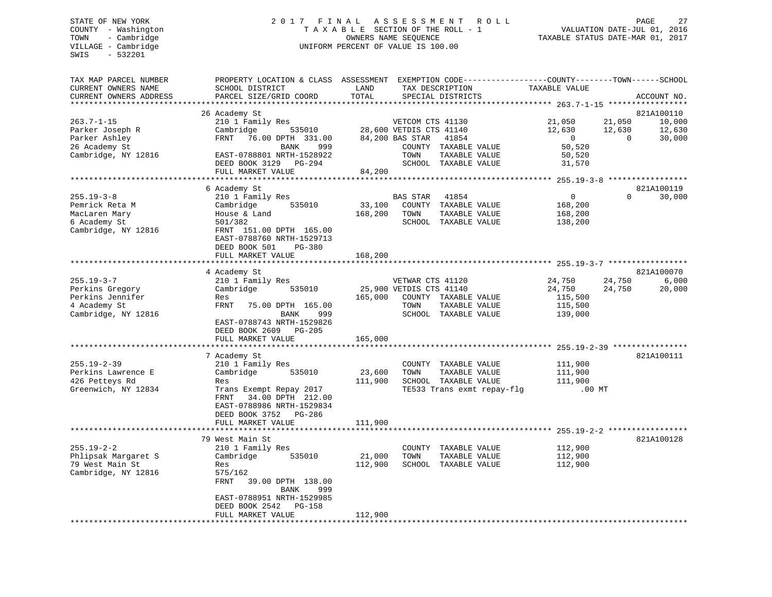# STATE OF NEW YORK 2 0 1 7 F I N A L A S S E S S M E N T R O L L PAGE 27 COUNTY - Washington T A X A B L E SECTION OF THE ROLL - 1 VALUATION DATE-JUL 01, 2016 TOWN - Cambridge OWNERS NAME SEQUENCE TAXABLE STATUS DATE-MAR 01, 2017 UNIFORM PERCENT OF VALUE IS 100.00

| TAX MAP PARCEL NUMBER<br>CURRENT OWNERS NAME | PROPERTY LOCATION & CLASS ASSESSMENT<br>SCHOOL DISTRICT | LAND    | EXEMPTION CODE-----------------COUNTY-------TOWN------SCHOOL<br>TAX DESCRIPTION | TAXABLE VALUE                                         |          |             |
|----------------------------------------------|---------------------------------------------------------|---------|---------------------------------------------------------------------------------|-------------------------------------------------------|----------|-------------|
| CURRENT OWNERS ADDRESS                       | PARCEL SIZE/GRID COORD                                  | TOTAL   | SPECIAL DISTRICTS                                                               |                                                       |          | ACCOUNT NO. |
|                                              |                                                         |         |                                                                                 |                                                       |          |             |
|                                              | 26 Academy St                                           |         |                                                                                 |                                                       |          | 821A100110  |
| $263.7 - 1 - 15$                             | 210 1 Family Res                                        |         | VETCOM CTS 41130                                                                | 21,050                                                | 21,050   | 10,000      |
| Parker Joseph R                              | Cambridge<br>535010                                     |         | 28,600 VETDIS CTS 41140                                                         | 12,630                                                | 12,630   | 12,630      |
| Parker Ashley                                | FRNT<br>76.00 DPTH 331.00                               |         | 84,200 BAS STAR<br>41854                                                        | $\Omega$                                              | $\Omega$ | 30,000      |
| 26 Academy St                                | BANK<br>999                                             |         | COUNTY TAXABLE VALUE                                                            | 50,520                                                |          |             |
| Cambridge, NY 12816                          | EAST-0788801 NRTH-1528922                               |         | TOWN<br>TAXABLE VALUE                                                           | 50,520                                                |          |             |
|                                              | DEED BOOK 3129 PG-294                                   |         | SCHOOL TAXABLE VALUE                                                            | 31,570                                                |          |             |
|                                              | FULL MARKET VALUE                                       | 84,200  |                                                                                 |                                                       |          |             |
|                                              | *******************                                     |         |                                                                                 |                                                       |          |             |
|                                              | 6 Academy St                                            |         |                                                                                 |                                                       |          | 821A100119  |
| $255.19 - 3 - 8$                             | 210 1 Family Res                                        |         | <b>BAS STAR</b><br>41854                                                        | $\mathbf{0}$                                          | $\Omega$ | 30,000      |
| Pemrick Reta M                               | 535010<br>Cambridge                                     | 33,100  | COUNTY TAXABLE VALUE                                                            | 168,200                                               |          |             |
| MacLaren Mary                                | House & Land                                            | 168,200 | TOWN<br>TAXABLE VALUE                                                           | 168,200                                               |          |             |
| 6 Academy St                                 | 501/382                                                 |         | SCHOOL TAXABLE VALUE                                                            | 138,200                                               |          |             |
| Cambridge, NY 12816                          | FRNT 151.00 DPTH 165.00                                 |         |                                                                                 |                                                       |          |             |
|                                              | EAST-0788760 NRTH-1529713                               |         |                                                                                 |                                                       |          |             |
|                                              | DEED BOOK 501<br><b>PG-380</b>                          |         |                                                                                 |                                                       |          |             |
|                                              | FULL MARKET VALUE                                       | 168,200 |                                                                                 |                                                       |          |             |
|                                              |                                                         |         |                                                                                 | ********************** 255 19 3 - 7 ***************** |          |             |
|                                              | 4 Academy St                                            |         |                                                                                 |                                                       |          | 821A100070  |
| $255.19 - 3 - 7$                             | 210 1 Family Res                                        |         | VETWAR CTS 41120                                                                | 24,750                                                | 24,750   | 6,000       |
| Perkins Gregory                              | Cambridge<br>535010                                     |         | 25,900 VETDIS CTS 41140                                                         | 24,750                                                | 24,750   | 20,000      |
| Perkins Jennifer                             | Res                                                     | 165,000 | COUNTY TAXABLE VALUE                                                            | 115,500                                               |          |             |
| 4 Academy St                                 | FRNT<br>75.00 DPTH 165.00                               |         | TOWN<br>TAXABLE VALUE                                                           | 115,500                                               |          |             |
| Cambridge, NY 12816                          | 999<br>BANK                                             |         | SCHOOL TAXABLE VALUE                                                            | 139,000                                               |          |             |
|                                              | EAST-0788743 NRTH-1529826                               |         |                                                                                 |                                                       |          |             |
|                                              | DEED BOOK 2609<br><b>PG-205</b>                         |         |                                                                                 |                                                       |          |             |
|                                              | FULL MARKET VALUE                                       | 165,000 |                                                                                 |                                                       |          |             |
|                                              | 7 Academy St                                            |         |                                                                                 |                                                       |          | 821A100111  |
| $255.19 - 2 - 39$                            |                                                         |         |                                                                                 |                                                       |          |             |
| Perkins Lawrence E                           | 210 1 Family Res<br>Cambridge<br>535010                 | 23,600  | COUNTY TAXABLE VALUE<br>TOWN<br>TAXABLE VALUE                                   | 111,900<br>111,900                                    |          |             |
| 426 Petteys Rd                               | Res                                                     | 111,900 | SCHOOL TAXABLE VALUE                                                            | 111,900                                               |          |             |
| Greenwich, NY 12834                          | Trans Exempt Repay 2017                                 |         | TE533 Trans exmt repay-flg                                                      | $.00$ MT                                              |          |             |
|                                              | FRNT<br>34.00 DPTH 212.00                               |         |                                                                                 |                                                       |          |             |
|                                              | EAST-0788986 NRTH-1529834                               |         |                                                                                 |                                                       |          |             |
|                                              | DEED BOOK 3752 PG-286                                   |         |                                                                                 |                                                       |          |             |
|                                              | FULL MARKET VALUE                                       | 111,900 |                                                                                 |                                                       |          |             |
|                                              |                                                         |         |                                                                                 |                                                       |          |             |
|                                              | 79 West Main St                                         |         |                                                                                 |                                                       |          | 821A100128  |
| $255.19 - 2 - 2$                             | 210 1 Family Res                                        |         | COUNTY TAXABLE VALUE                                                            | 112,900                                               |          |             |
| Phlipsak Margaret S                          | Cambridge<br>535010                                     | 21,000  | TOWN<br>TAXABLE VALUE                                                           | 112,900                                               |          |             |
| 79 West Main St                              | Res                                                     | 112,900 | SCHOOL TAXABLE VALUE                                                            | 112,900                                               |          |             |
| Cambridge, NY 12816                          | 575/162                                                 |         |                                                                                 |                                                       |          |             |
|                                              | FRNT<br>39.00 DPTH 138.00                               |         |                                                                                 |                                                       |          |             |
|                                              | BANK<br>999                                             |         |                                                                                 |                                                       |          |             |
|                                              | EAST-0788951 NRTH-1529985                               |         |                                                                                 |                                                       |          |             |
|                                              | DEED BOOK 2542<br>PG-158                                |         |                                                                                 |                                                       |          |             |
|                                              | FULL MARKET VALUE                                       | 112,900 |                                                                                 |                                                       |          |             |
|                                              |                                                         |         |                                                                                 |                                                       |          |             |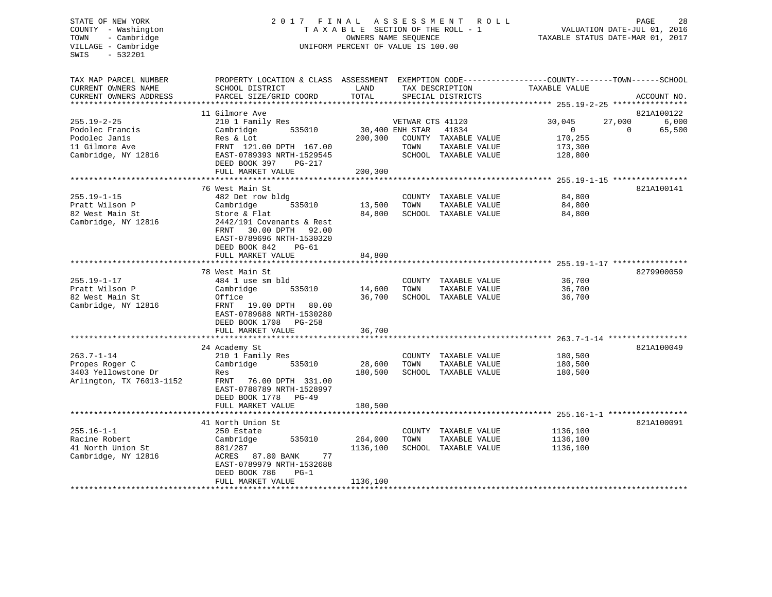# STATE OF NEW YORK 2 0 1 7 F I N A L A S S E S S M E N T R O L L PAGE 28 COUNTY - Washington T A X A B L E SECTION OF THE ROLL - 1 VALUATION DATE-JUL 01, 2016 TOWN - Cambridge OWNERS NAME SEQUENCE TAXABLE STATUS DATE-MAR 01, 2017 VILLAGE - Cambridge  $U = U \cdot U \cdot U$  UNIFORM PERCENT OF VALUE IS 100.00

| TAX MAP PARCEL NUMBER<br>CURRENT OWNERS NAME<br>CURRENT OWNERS ADDRESS<br>************************* | PROPERTY LOCATION & CLASS ASSESSMENT EXEMPTION CODE----------------COUNTY-------TOWN------SCHOOL<br>SCHOOL DISTRICT<br>PARCEL SIZE/GRID COORD                                                 | LAND<br>TOTAL                      |                                             | TAX DESCRIPTION<br>SPECIAL DISTRICTS                                   | TAXABLE VALUE                                           | ACCOUNT NO.                                                         |
|-----------------------------------------------------------------------------------------------------|-----------------------------------------------------------------------------------------------------------------------------------------------------------------------------------------------|------------------------------------|---------------------------------------------|------------------------------------------------------------------------|---------------------------------------------------------|---------------------------------------------------------------------|
| $255.19 - 2 - 25$<br>Podolec Francis<br>Podolec Janis<br>11 Gilmore Ave<br>Cambridge, NY 12816      | 11 Gilmore Ave<br>210 1 Family Res<br>Cambridge<br>535010<br>Res & Lot<br>FRNT 121.00 DPTH 167.00<br>EAST-0789393 NRTH-1529545<br>DEED BOOK 397<br>$PG-217$<br>FULL MARKET VALUE              | 200,300<br>200,300<br>************ | VETWAR CTS 41120<br>30,400 ENH STAR<br>TOWN | 41834<br>COUNTY TAXABLE VALUE<br>TAXABLE VALUE<br>SCHOOL TAXABLE VALUE | 30,045<br>$\mathbf{0}$<br>170,255<br>173,300<br>128,800 | 821A100122<br>6,000<br>27,000<br>65,500<br>$\Omega$                 |
| $255.19 - 1 - 15$<br>Pratt Wilson P<br>82 West Main St<br>Cambridge, NY 12816                       | 76 West Main St<br>482 Det row bldg<br>535010<br>Cambridge<br>Store & Flat<br>2442/191 Covenants & Rest<br>30.00 DPTH<br>FRNT<br>92.00<br>EAST-0789696 NRTH-1530320<br>DEED BOOK 842<br>PG-61 | 13,500<br>84,800                   | COUNTY<br>TOWN                              | TAXABLE VALUE<br>TAXABLE VALUE<br>SCHOOL TAXABLE VALUE                 | 84,800<br>84,800<br>84,800                              | ************************ 255.19-1-15 ****************<br>821A100141 |
|                                                                                                     | FULL MARKET VALUE                                                                                                                                                                             | 84,800                             |                                             |                                                                        |                                                         |                                                                     |
| $255.19 - 1 - 17$<br>Pratt Wilson P<br>82 West Main St<br>Cambridge, NY 12816                       | 78 West Main St<br>484 1 use sm bld<br>Cambridge<br>535010<br>Office<br>FRNT<br>19.00 DPTH 80.00<br>EAST-0789688 NRTH-1530280<br>DEED BOOK 1708 PG-258<br>FULL MARKET VALUE                   | 14,600<br>36,700<br>36,700         | COUNTY<br>TOWN                              | TAXABLE VALUE<br>TAXABLE VALUE<br>SCHOOL TAXABLE VALUE                 | 36,700<br>36,700<br>36,700                              | 8279900059                                                          |
|                                                                                                     | 24 Academy St                                                                                                                                                                                 |                                    |                                             |                                                                        |                                                         | 821A100049                                                          |
| $263.7 - 1 - 14$<br>Propes Roger C<br>3403 Yellowstone Dr<br>Arlington, TX 76013-1152               | 210 1 Family Res<br>Cambridge<br>535010<br>Res<br>FRNT<br>76.00 DPTH 331.00<br>EAST-0788789 NRTH-1528997<br>DEED BOOK 1778<br>$PG-49$<br>FULL MARKET VALUE                                    | 28,600<br>180,500<br>180,500       | TOWN                                        | COUNTY TAXABLE VALUE<br>TAXABLE VALUE<br>SCHOOL TAXABLE VALUE          | 180,500<br>180,500<br>180,500                           |                                                                     |
|                                                                                                     | *********************                                                                                                                                                                         |                                    |                                             |                                                                        |                                                         | ************************* 255.16-1-1 *****************              |
| $255.16 - 1 - 1$<br>Racine Robert<br>41 North Union St<br>Cambridge, NY 12816                       | 41 North Union St<br>250 Estate<br>Cambridge<br>535010<br>881/287<br>ACRES<br>87.80 BANK<br>77<br>EAST-0789979 NRTH-1532688<br>DEED BOOK 786<br>$PG-1$<br>FULL MARKET VALUE                   | 264,000<br>1136,100<br>1136,100    | COUNTY<br>TOWN                              | TAXABLE VALUE<br>TAXABLE VALUE<br>SCHOOL TAXABLE VALUE                 | 1136,100<br>1136,100<br>1136,100                        | 821A100091                                                          |
|                                                                                                     |                                                                                                                                                                                               |                                    |                                             |                                                                        |                                                         |                                                                     |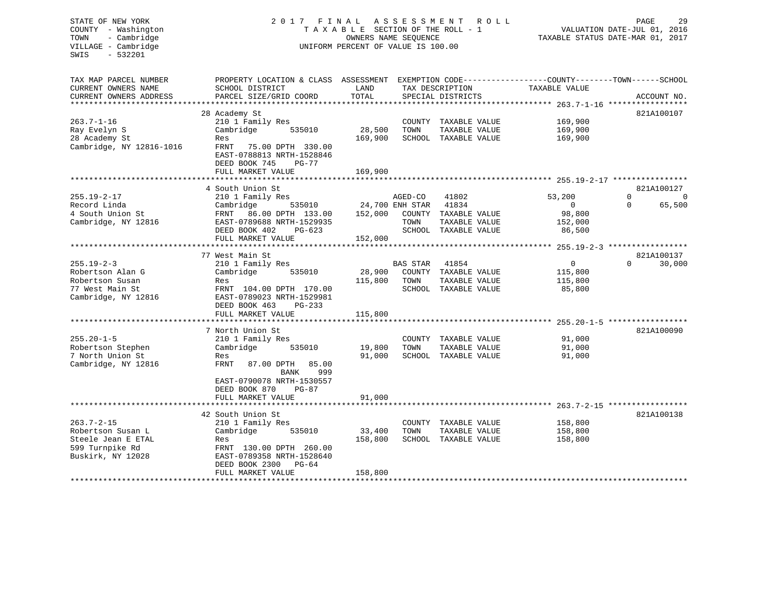# STATE OF NEW YORK 2 0 1 7 F I N A L A S S E S S M E N T R O L L PAGE 29 COUNTY - Washington T A X A B L E SECTION OF THE ROLL - 1 VALUATION DATE-JUL 01, 2016 TOWN - Cambridge OWNERS NAME SEQUENCE TAXABLE STATUS DATE-MAR 01, 2017 VILLAGE - Cambridge **UNIFORM PERCENT OF VALUE** IS 100.00

| TAX MAP PARCEL NUMBER    | PROPERTY LOCATION & CLASS ASSESSMENT                   |         |                 |                                       | EXEMPTION CODE-----------------COUNTY-------TOWN------SCHOOL |                    |
|--------------------------|--------------------------------------------------------|---------|-----------------|---------------------------------------|--------------------------------------------------------------|--------------------|
| CURRENT OWNERS NAME      | SCHOOL DISTRICT                                        | LAND    |                 | TAX DESCRIPTION                       | TAXABLE VALUE                                                |                    |
| CURRENT OWNERS ADDRESS   | PARCEL SIZE/GRID COORD                                 | TOTAL   |                 | SPECIAL DISTRICTS                     |                                                              | ACCOUNT NO.        |
| **********************   |                                                        |         |                 |                                       |                                                              |                    |
|                          | 28 Academy St                                          |         |                 |                                       |                                                              | 821A100107         |
| $263.7 - 1 - 16$         | 210 1 Family Res                                       |         | COUNTY          | TAXABLE VALUE                         | 169,900                                                      |                    |
| Ray Evelyn S             | Cambridge<br>535010                                    | 28,500  | TOWN            |                                       | 169,900                                                      |                    |
| 28 Academy St            | Res                                                    | 169,900 |                 | TAXABLE VALUE<br>SCHOOL TAXABLE VALUE | 169,900                                                      |                    |
|                          |                                                        |         |                 |                                       |                                                              |                    |
| Cambridge, NY 12816-1016 | FRNT<br>75.00 DPTH 330.00<br>EAST-0788813 NRTH-1528846 |         |                 |                                       |                                                              |                    |
|                          | DEED BOOK 745<br>$PG-77$                               |         |                 |                                       |                                                              |                    |
|                          |                                                        | 169,900 |                 |                                       |                                                              |                    |
|                          | FULL MARKET VALUE                                      |         |                 |                                       |                                                              |                    |
|                          | 4 South Union St                                       |         |                 |                                       |                                                              | 821A100127         |
| $255.19 - 2 - 17$        | 210 1 Family Res                                       |         | AGED-CO         | 41802                                 | 53,200                                                       | $\Omega$<br>0      |
| Record Linda             | Cambridge<br>535010                                    |         | 24,700 ENH STAR | 41834                                 | $\overline{0}$                                               | 65,500<br>$\Omega$ |
| 4 South Union St         | FRNT 86.00 DPTH 133.00                                 | 152,000 |                 | COUNTY TAXABLE VALUE                  | 98,800                                                       |                    |
| Cambridge, NY 12816      | EAST-0789688 NRTH-1529935                              |         | TOWN            | TAXABLE VALUE                         | 152,000                                                      |                    |
|                          | DEED BOOK 402<br>$PG-623$                              |         |                 | SCHOOL TAXABLE VALUE                  | 86,500                                                       |                    |
|                          | FULL MARKET VALUE                                      | 152,000 |                 |                                       |                                                              |                    |
|                          |                                                        |         |                 |                                       |                                                              |                    |
|                          | 77 West Main St                                        |         |                 |                                       |                                                              | 821A100137         |
| $255.19 - 2 - 3$         | 210 1 Family Res                                       |         | <b>BAS STAR</b> | 41854                                 | $\overline{0}$                                               | $\Omega$<br>30,000 |
| Robertson Alan G         | Cambridge<br>535010                                    | 28,900  |                 | COUNTY TAXABLE VALUE                  | 115,800                                                      |                    |
| Robertson Susan          | Res                                                    | 115,800 | TOWN            | TAXABLE VALUE                         | 115,800                                                      |                    |
| 77 West Main St          | FRNT 104.00 DPTH 170.00                                |         |                 | SCHOOL TAXABLE VALUE                  | 85,800                                                       |                    |
| Cambridge, NY 12816      | EAST-0789023 NRTH-1529981                              |         |                 |                                       |                                                              |                    |
|                          | DEED BOOK 463<br>$PG-233$                              |         |                 |                                       |                                                              |                    |
|                          | FULL MARKET VALUE                                      | 115,800 |                 |                                       |                                                              |                    |
|                          |                                                        |         |                 |                                       | ********* 255.20-1-5                                         |                    |
|                          | 7 North Union St                                       |         |                 |                                       |                                                              | 821A100090         |
| $255.20 - 1 - 5$         | 210 1 Family Res                                       |         |                 | COUNTY TAXABLE VALUE                  | 91,000                                                       |                    |
| Robertson Stephen        | Cambridge<br>535010                                    | 19,800  | TOWN            | TAXABLE VALUE                         | 91,000                                                       |                    |
| 7 North Union St         | Res                                                    | 91,000  |                 | SCHOOL TAXABLE VALUE                  | 91,000                                                       |                    |
| Cambridge, NY 12816      | FRNT<br>87.00 DPTH<br>85.00                            |         |                 |                                       |                                                              |                    |
|                          | <b>BANK</b><br>999                                     |         |                 |                                       |                                                              |                    |
|                          | EAST-0790078 NRTH-1530557                              |         |                 |                                       |                                                              |                    |
|                          | DEED BOOK 870<br>$PG-87$                               |         |                 |                                       |                                                              |                    |
|                          | FULL MARKET VALUE                                      | 91,000  |                 |                                       |                                                              |                    |
|                          |                                                        |         |                 |                                       |                                                              |                    |
|                          | 42 South Union St                                      |         |                 |                                       |                                                              | 821A100138         |
| $263.7 - 2 - 15$         | 210 1 Family Res                                       |         |                 | COUNTY TAXABLE VALUE                  | 158,800                                                      |                    |
| Robertson Susan L        | Cambridge<br>535010                                    | 33,400  | TOWN            | TAXABLE VALUE                         | 158,800                                                      |                    |
| Steele Jean E ETAL       | Res                                                    | 158,800 |                 | SCHOOL TAXABLE VALUE                  | 158,800                                                      |                    |
| 599 Turnpike Rd          | FRNT 130.00 DPTH 260.00                                |         |                 |                                       |                                                              |                    |
| Buskirk, NY 12028        | EAST-0789358 NRTH-1528640                              |         |                 |                                       |                                                              |                    |
|                          | DEED BOOK 2300<br>PG-64                                |         |                 |                                       |                                                              |                    |
|                          | FULL MARKET VALUE                                      | 158,800 |                 |                                       |                                                              |                    |
|                          |                                                        |         |                 |                                       |                                                              |                    |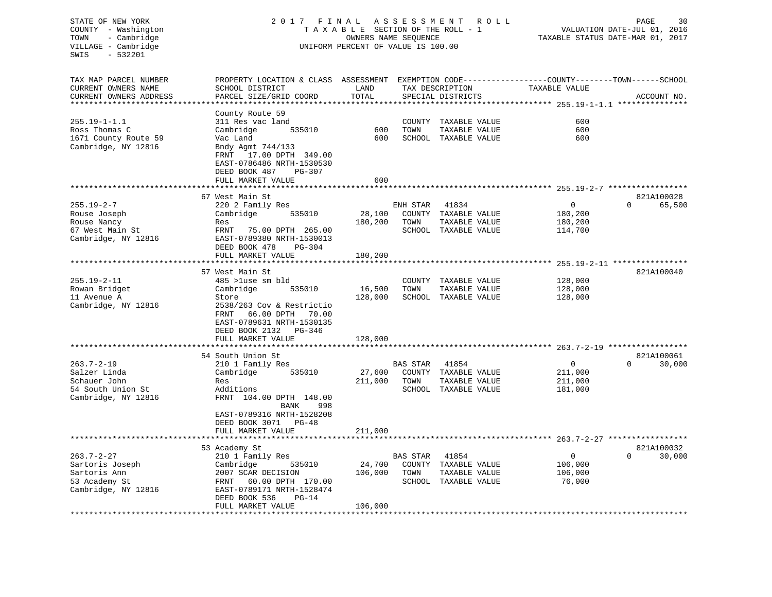# STATE OF NEW YORK 2 0 1 7 F I N A L A S S E S S M E N T R O L L PAGE 30 COUNTY - Washington T A X A B L E SECTION OF THE ROLL - 1 VALUATION DATE-JUL 01, 2016 TOWN - Cambridge OWNERS NAME SEQUENCE TAXABLE STATUS DATE-MAR 01, 2017 VILLAGE - Cambridge  $U$  UNIFORM PERCENT OF VALUE IS 100.00

| TAX MAP PARCEL NUMBER<br>CURRENT OWNERS NAME<br>CURRENT OWNERS ADDRESS                       | PROPERTY LOCATION & CLASS ASSESSMENT<br>SCHOOL DISTRICT<br>PARCEL SIZE/GRID COORD                                                                                                                     | LAND<br>TOTAL                |                                   | TAX DESCRIPTION<br>SPECIAL DISTRICTS                            | EXEMPTION CODE-----------------COUNTY-------TOWN------SCHOOL<br>TAXABLE VALUE | ACCOUNT NO.                      |
|----------------------------------------------------------------------------------------------|-------------------------------------------------------------------------------------------------------------------------------------------------------------------------------------------------------|------------------------------|-----------------------------------|-----------------------------------------------------------------|-------------------------------------------------------------------------------|----------------------------------|
| $255.19 - 1 - 1.1$<br>Ross Thomas C<br>1671 County Route 59<br>Cambridge, NY 12816           | County Route 59<br>311 Res vac land<br>535010<br>Cambridge<br>Vac Land<br>Bndy Agmt 744/133<br>17.00 DPTH 349.00<br>FRNT<br>EAST-0786486 NRTH-1530530<br>DEED BOOK 487<br>PG-307<br>FULL MARKET VALUE | 600<br>600<br>600            | TOWN                              | COUNTY TAXABLE VALUE<br>TAXABLE VALUE<br>SCHOOL TAXABLE VALUE   | 600<br>600<br>600                                                             |                                  |
|                                                                                              | 67 West Main St                                                                                                                                                                                       |                              |                                   |                                                                 |                                                                               | 821A100028                       |
| $255.19 - 2 - 7$<br>Rouse Joseph<br>Rouse Nancy<br>67 West Main St<br>Cambridge, NY 12816    | 220 2 Family Res<br>Cambridge<br>535010<br>Res<br>FRNT<br>75.00 DPTH 265.00<br>EAST-0789380 NRTH-1530013<br>DEED BOOK 478<br>PG-304<br>FULL MARKET VALUE                                              | 28,100<br>180,200<br>180,200 | ENH STAR<br>TOWN<br>SCHOOL        | 41834<br>COUNTY TAXABLE VALUE<br>TAXABLE VALUE<br>TAXABLE VALUE | 0<br>180,200<br>180,200<br>114,700                                            | $\Omega$<br>65,500               |
|                                                                                              | 57 West Main St                                                                                                                                                                                       |                              |                                   |                                                                 |                                                                               | 821A100040                       |
| $255.19 - 2 - 11$<br>Rowan Bridget<br>11 Avenue A<br>Cambridge, NY 12816                     | 485 >luse sm bld<br>535010<br>Cambridge<br>Store<br>2538/263 Cov & Restrictio<br>66.00 DPTH<br>FRNT<br>70.00<br>EAST-0789631 NRTH-1530135<br>DEED BOOK 2132<br>PG-346<br>FULL MARKET VALUE            | 16,500<br>128,000<br>128,000 | COUNTY<br>TOWN                    | TAXABLE VALUE<br>TAXABLE VALUE<br>SCHOOL TAXABLE VALUE          | 128,000<br>128,000<br>128,000                                                 |                                  |
|                                                                                              | 54 South Union St                                                                                                                                                                                     |                              |                                   |                                                                 |                                                                               | 821A100061                       |
| $263.7 - 2 - 19$<br>Salzer Linda<br>Schauer John<br>54 South Union St<br>Cambridge, NY 12816 | 210 1 Family Res<br>Cambridge<br>535010<br>Res<br>Additions<br>FRNT 104.00 DPTH 148.00<br>998<br>BANK<br>EAST-0789316 NRTH-1528208<br>DEED BOOK 3071 PG-48                                            | 27,600<br>211,000            | <b>BAS STAR</b><br>COUNTY<br>TOWN | 41854<br>TAXABLE VALUE<br>TAXABLE VALUE<br>SCHOOL TAXABLE VALUE | 0<br>211,000<br>211,000<br>181,000                                            | $\Omega$<br>30,000               |
|                                                                                              | FULL MARKET VALUE                                                                                                                                                                                     | 211,000                      |                                   |                                                                 |                                                                               |                                  |
| $263.7 - 2 - 27$<br>Sartoris Joseph<br>Sartoris Ann<br>53 Academy St<br>Cambridge, NY 12816  | 53 Academy St<br>210 1 Family Res<br>Cambridge<br>535010<br>2007 SCAR DECISION<br>60.00 DPTH 170.00<br>FRNT<br>EAST-0789171 NRTH-1528474<br>DEED BOOK 536<br>$PG-14$                                  | 24,700<br>106,000            | BAS STAR<br>COUNTY<br>TOWN        | 41854<br>TAXABLE VALUE<br>TAXABLE VALUE<br>SCHOOL TAXABLE VALUE | 0<br>106,000<br>106,000<br>76,000                                             | 821A100032<br>30,000<br>$\Omega$ |
| ******************                                                                           | FULL MARKET VALUE                                                                                                                                                                                     | 106,000                      |                                   |                                                                 |                                                                               |                                  |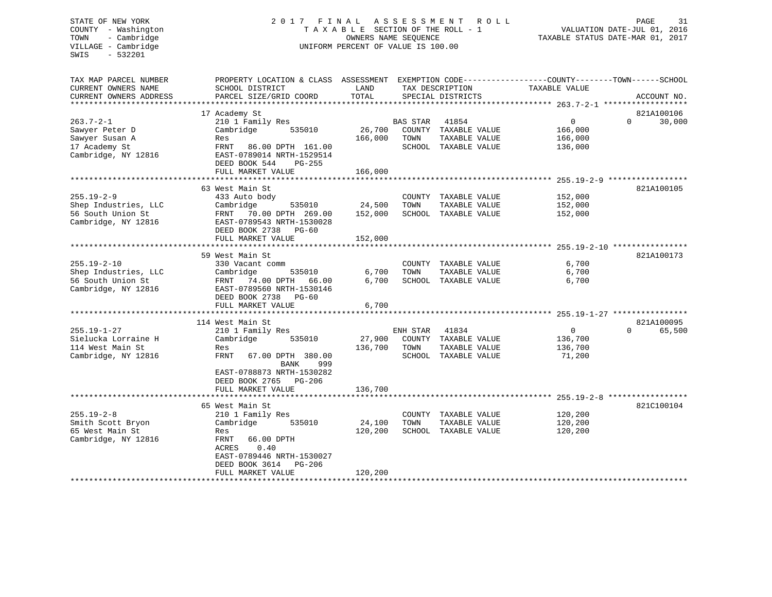# STATE OF NEW YORK 2 0 1 7 F I N A L A S S E S S M E N T R O L L PAGE 31 COUNTY - Washington T A X A B L E SECTION OF THE ROLL - 1 VALUATION DATE-JUL 01, 2016 TOWN - Cambridge OWNERS NAME SEQUENCE TAXABLE STATUS DATE-MAR 01, 2017 VILLAGE - Cambridge **UNIFORM PERCENT OF VALUE** IS 100.00

| TAX MAP PARCEL NUMBER   | PROPERTY LOCATION & CLASS ASSESSMENT |         |                 |                      | EXEMPTION CODE-----------------COUNTY-------TOWN------SCHOOL |          |             |
|-------------------------|--------------------------------------|---------|-----------------|----------------------|--------------------------------------------------------------|----------|-------------|
| CURRENT OWNERS NAME     | SCHOOL DISTRICT                      | LAND    | TAX DESCRIPTION |                      | TAXABLE VALUE                                                |          |             |
| CURRENT OWNERS ADDRESS  | PARCEL SIZE/GRID COORD               | TOTAL   |                 | SPECIAL DISTRICTS    |                                                              |          | ACCOUNT NO. |
| *********************** |                                      |         |                 |                      |                                                              |          |             |
|                         | 17 Academy St                        |         |                 |                      |                                                              |          | 821A100106  |
| $263.7 - 2 - 1$         | 210 1 Family Res                     |         | BAS STAR        | 41854                | $\mathbf{0}$                                                 | $\Omega$ | 30,000      |
| Sawyer Peter D          | Cambridge<br>535010                  | 26,700  |                 | COUNTY TAXABLE VALUE | 166,000                                                      |          |             |
| Sawyer Susan A          | Res                                  | 166,000 | TOWN            | TAXABLE VALUE        | 166,000                                                      |          |             |
| 17 Academy St           | FRNT 86.00 DPTH 161.00               |         |                 | SCHOOL TAXABLE VALUE | 136,000                                                      |          |             |
| Cambridge, NY 12816     | EAST-0789014 NRTH-1529514            |         |                 |                      |                                                              |          |             |
|                         | DEED BOOK 544<br>PG-255              |         |                 |                      |                                                              |          |             |
|                         | FULL MARKET VALUE                    | 166,000 |                 |                      |                                                              |          |             |
|                         |                                      |         |                 |                      |                                                              |          |             |
|                         | 63 West Main St                      |         |                 |                      |                                                              |          | 821A100105  |
| $255.19 - 2 - 9$        | 433 Auto body                        |         |                 | COUNTY TAXABLE VALUE | 152,000                                                      |          |             |
| Shep Industries, LLC    | Cambridge<br>535010                  | 24,500  | TOWN            | TAXABLE VALUE        | 152,000                                                      |          |             |
|                         |                                      |         |                 |                      |                                                              |          |             |
| 56 South Union St       | FRNT 70.00 DPTH 269.00               | 152,000 |                 | SCHOOL TAXABLE VALUE | 152,000                                                      |          |             |
| Cambridge, NY 12816     | EAST-0789543 NRTH-1530028            |         |                 |                      |                                                              |          |             |
|                         | DEED BOOK 2738<br>$PG-60$            |         |                 |                      |                                                              |          |             |
|                         | FULL MARKET VALUE                    | 152,000 |                 |                      |                                                              |          |             |
|                         |                                      |         |                 |                      |                                                              |          |             |
|                         | 59 West Main St                      |         |                 |                      |                                                              |          | 821A100173  |
| $255.19 - 2 - 10$       | 330 Vacant comm                      |         |                 | COUNTY TAXABLE VALUE | 6,700                                                        |          |             |
| Shep Industries, LLC    | Cambridge<br>535010                  | 6,700   | TOWN            | TAXABLE VALUE        | 6,700                                                        |          |             |
| 56 South Union St       | FRNT 74.00 DPTH<br>66.00             | 6,700   |                 | SCHOOL TAXABLE VALUE | 6,700                                                        |          |             |
| Cambridge, NY 12816     | EAST-0789560 NRTH-1530146            |         |                 |                      |                                                              |          |             |
|                         | DEED BOOK 2738<br>$PG-60$            |         |                 |                      |                                                              |          |             |
|                         | FULL MARKET VALUE                    | 6,700   |                 |                      |                                                              |          |             |
|                         |                                      |         |                 |                      |                                                              |          |             |
|                         | 114 West Main St                     |         |                 |                      |                                                              |          | 821A100095  |
| $255.19 - 1 - 27$       | 210 1 Family Res                     |         | ENH STAR        | 41834                | $\overline{0}$                                               | $\Omega$ | 65,500      |
| Sielucka Lorraine H     | Cambridge<br>535010                  | 27,900  |                 | COUNTY TAXABLE VALUE | 136,700                                                      |          |             |
| 114 West Main St        | Res                                  | 136,700 | TOWN            | TAXABLE VALUE        | 136,700                                                      |          |             |
| Cambridge, NY 12816     | FRNT<br>67.00 DPTH 380.00            |         | SCHOOL          | TAXABLE VALUE        | 71,200                                                       |          |             |
|                         | BANK<br>999                          |         |                 |                      |                                                              |          |             |
|                         | EAST-0788873 NRTH-1530282            |         |                 |                      |                                                              |          |             |
|                         | DEED BOOK 2765<br>$PG-206$           |         |                 |                      |                                                              |          |             |
|                         | FULL MARKET VALUE                    | 136,700 |                 |                      |                                                              |          |             |
|                         |                                      |         |                 |                      |                                                              |          |             |
|                         | 65 West Main St                      |         |                 |                      |                                                              |          | 821C100104  |
| $255.19 - 2 - 8$        | 210 1 Family Res                     |         |                 | COUNTY TAXABLE VALUE | 120,200                                                      |          |             |
| Smith Scott Bryon       | Cambridge<br>535010                  | 24,100  | TOWN            | TAXABLE VALUE        | 120,200                                                      |          |             |
|                         |                                      |         |                 |                      |                                                              |          |             |
| 65 West Main St         | Res                                  | 120,200 |                 | SCHOOL TAXABLE VALUE | 120,200                                                      |          |             |
| Cambridge, NY 12816     | 66.00 DPTH<br>FRNT                   |         |                 |                      |                                                              |          |             |
|                         | 0.40<br>ACRES                        |         |                 |                      |                                                              |          |             |
|                         | EAST-0789446 NRTH-1530027            |         |                 |                      |                                                              |          |             |
|                         | DEED BOOK 3614<br>PG-206             |         |                 |                      |                                                              |          |             |
|                         | FULL MARKET VALUE                    | 120,200 |                 |                      |                                                              |          |             |
|                         | ***********************************  |         |                 |                      |                                                              |          |             |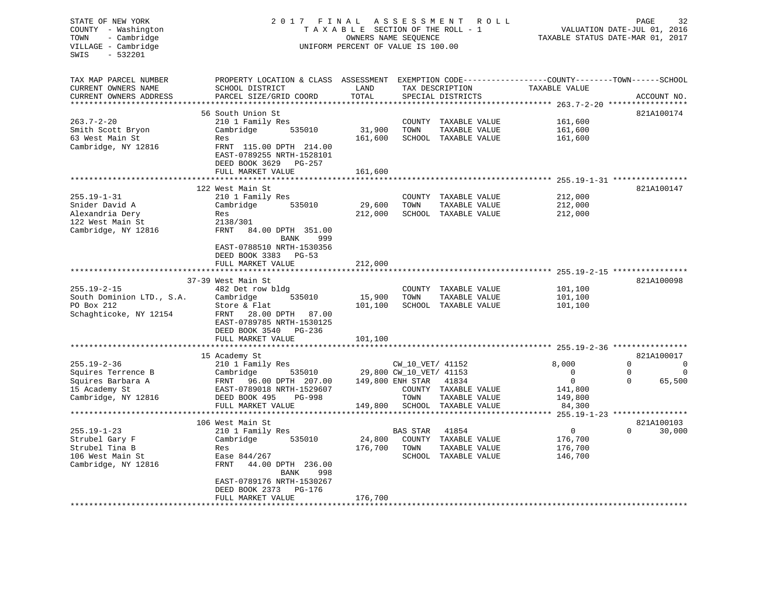| STATE OF NEW YORK                             | 2017                                                                                            | FINAL                                                   | A S S E S S M E N T     | R O L L                              |                                                                 | PAGE     | 32          |
|-----------------------------------------------|-------------------------------------------------------------------------------------------------|---------------------------------------------------------|-------------------------|--------------------------------------|-----------------------------------------------------------------|----------|-------------|
| COUNTY - Washington<br>- Cambridge<br>TOWN    |                                                                                                 | TAXABLE SECTION OF THE ROLL - 1<br>OWNERS NAME SEQUENCE |                         |                                      | VALUATION DATE-JUL 01, 2016<br>TAXABLE STATUS DATE-MAR 01, 2017 |          |             |
| VILLAGE - Cambridge                           |                                                                                                 | UNIFORM PERCENT OF VALUE IS 100.00                      |                         |                                      |                                                                 |          |             |
| SWIS<br>$-532201$                             |                                                                                                 |                                                         |                         |                                      |                                                                 |          |             |
|                                               |                                                                                                 |                                                         |                         |                                      |                                                                 |          |             |
|                                               |                                                                                                 |                                                         |                         |                                      |                                                                 |          |             |
| TAX MAP PARCEL NUMBER                         | PROPERTY LOCATION & CLASS ASSESSMENT EXEMPTION CODE----------------COUNTY-------TOWN-----SCHOOL |                                                         |                         |                                      |                                                                 |          |             |
| CURRENT OWNERS NAME<br>CURRENT OWNERS ADDRESS | SCHOOL DISTRICT<br>PARCEL SIZE/GRID COORD                                                       | LAND<br>TOTAL                                           |                         | TAX DESCRIPTION<br>SPECIAL DISTRICTS | TAXABLE VALUE                                                   |          | ACCOUNT NO. |
|                                               |                                                                                                 |                                                         |                         |                                      |                                                                 |          |             |
|                                               | 56 South Union St                                                                               |                                                         |                         |                                      |                                                                 |          | 821A100174  |
| $263.7 - 2 - 20$                              | 210 1 Family Res                                                                                |                                                         | COUNTY                  | TAXABLE VALUE                        | 161,600                                                         |          |             |
| Smith Scott Bryon                             | Cambridge<br>535010                                                                             | 31,900                                                  | TOWN                    | TAXABLE VALUE                        | 161,600                                                         |          |             |
| 63 West Main St                               | Res                                                                                             | 161,600                                                 |                         | SCHOOL TAXABLE VALUE                 | 161,600                                                         |          |             |
| Cambridge, NY 12816                           | FRNT 115.00 DPTH 214.00                                                                         |                                                         |                         |                                      |                                                                 |          |             |
|                                               | EAST-0789255 NRTH-1528101                                                                       |                                                         |                         |                                      |                                                                 |          |             |
|                                               | DEED BOOK 3629<br>PG-257                                                                        |                                                         |                         |                                      |                                                                 |          |             |
|                                               | FULL MARKET VALUE                                                                               | 161,600                                                 |                         |                                      |                                                                 |          |             |
|                                               |                                                                                                 |                                                         |                         |                                      |                                                                 |          |             |
|                                               | 122 West Main St                                                                                |                                                         |                         |                                      |                                                                 |          | 821A100147  |
| $255.19 - 1 - 31$                             | 210 1 Family Res                                                                                |                                                         |                         | COUNTY TAXABLE VALUE                 | 212,000                                                         |          |             |
| Snider David A                                | Cambridge<br>535010                                                                             | 29,600                                                  | TOWN                    | TAXABLE VALUE                        | 212,000                                                         |          |             |
| Alexandria Dery<br>122 West Main St           | Res                                                                                             | 212,000                                                 |                         | SCHOOL TAXABLE VALUE                 | 212,000                                                         |          |             |
| Cambridge, NY 12816                           | 2138/301<br>FRNT<br>84.00 DPTH 351.00                                                           |                                                         |                         |                                      |                                                                 |          |             |
|                                               | 999<br>BANK                                                                                     |                                                         |                         |                                      |                                                                 |          |             |
|                                               | EAST-0788510 NRTH-1530356                                                                       |                                                         |                         |                                      |                                                                 |          |             |
|                                               | DEED BOOK 3383<br><b>PG-53</b>                                                                  |                                                         |                         |                                      |                                                                 |          |             |
|                                               | FULL MARKET VALUE                                                                               | 212,000                                                 |                         |                                      |                                                                 |          |             |
|                                               |                                                                                                 |                                                         |                         |                                      |                                                                 |          |             |
|                                               | 37-39 West Main St                                                                              |                                                         |                         |                                      |                                                                 |          | 821A100098  |
| $255.19 - 2 - 15$                             | 482 Det row bldg                                                                                |                                                         |                         | COUNTY TAXABLE VALUE                 | 101,100                                                         |          |             |
| South Dominion LTD., S.A.                     | Cambridge<br>535010                                                                             | 15,900                                                  | TOWN                    | TAXABLE VALUE                        | 101,100                                                         |          |             |
| PO Box 212                                    | Store & Flat                                                                                    | 101,100                                                 |                         | SCHOOL TAXABLE VALUE                 | 101,100                                                         |          |             |
| Schaghticoke, NY 12154                        | 28.00 DPTH 87.00<br>FRNT                                                                        |                                                         |                         |                                      |                                                                 |          |             |
|                                               | EAST-0789785 NRTH-1530125                                                                       |                                                         |                         |                                      |                                                                 |          |             |
|                                               | DEED BOOK 3540<br>PG-236                                                                        |                                                         |                         |                                      |                                                                 |          |             |
|                                               | FULL MARKET VALUE                                                                               | 101,100                                                 |                         |                                      |                                                                 |          |             |
|                                               | 15 Academy St                                                                                   |                                                         |                         |                                      |                                                                 |          | 821A100017  |
| $255.19 - 2 - 36$                             | 210 1 Family Res                                                                                |                                                         | CW_10_VET/ 41152        |                                      | 8,000                                                           | $\Omega$ | $\Omega$    |
| Squires Terrence B                            | 535010<br>Cambridge                                                                             |                                                         | 29,800 CW_10_VET/ 41153 |                                      | $\mathbf 0$                                                     | 0        | $\mathbf 0$ |
| Squires Barbara A                             | FRNT 96.00 DPTH 207.00                                                                          |                                                         | 149,800 ENH STAR        | 41834                                | 0                                                               | $\Omega$ | 65,500      |
| 15 Academy St                                 | EAST-0789018 NRTH-1529607                                                                       |                                                         |                         | COUNTY TAXABLE VALUE                 | 141,800                                                         |          |             |
| Cambridge, NY 12816                           | DEED BOOK 495<br>PG-998                                                                         |                                                         | TOWN                    | TAXABLE VALUE                        | 149,800                                                         |          |             |
|                                               | FULL MARKET VALUE                                                                               | 149,800                                                 | SCHOOL                  | TAXABLE VALUE                        | 84,300                                                          |          |             |
|                                               |                                                                                                 | * * * * * * * * * *                                     |                         |                                      | ***** 255.19-1-23 ****************                              |          |             |
|                                               | 106 West Main St                                                                                |                                                         |                         |                                      |                                                                 |          | 821A100103  |
| $255.19 - 1 - 23$                             | 210 1 Family Res                                                                                |                                                         | BAS STAR                | 41854                                | $\overline{0}$                                                  | $\Omega$ | 30,000      |
| Strubel Gary F                                | Cambridge<br>535010                                                                             | 24,800                                                  | COUNTY                  | TAXABLE VALUE                        | 176,700                                                         |          |             |
| Strubel Tina B                                | Res                                                                                             | 176,700                                                 | TOWN                    | TAXABLE VALUE                        | 176,700                                                         |          |             |
| 106 West Main St                              | Ease 844/267                                                                                    |                                                         |                         | SCHOOL TAXABLE VALUE                 | 146,700                                                         |          |             |
| Cambridge, NY 12816                           | FRNT<br>44.00 DPTH 236.00                                                                       |                                                         |                         |                                      |                                                                 |          |             |
|                                               | <b>BANK</b><br>998                                                                              |                                                         |                         |                                      |                                                                 |          |             |
|                                               | EAST-0789176 NRTH-1530267<br>DEED BOOK 2373<br>PG-176                                           |                                                         |                         |                                      |                                                                 |          |             |
|                                               | FULL MARKET VALUE                                                                               | 176,700                                                 |                         |                                      |                                                                 |          |             |
|                                               | * * * * * * * * * * * * * * * * * *                                                             |                                                         |                         |                                      |                                                                 |          |             |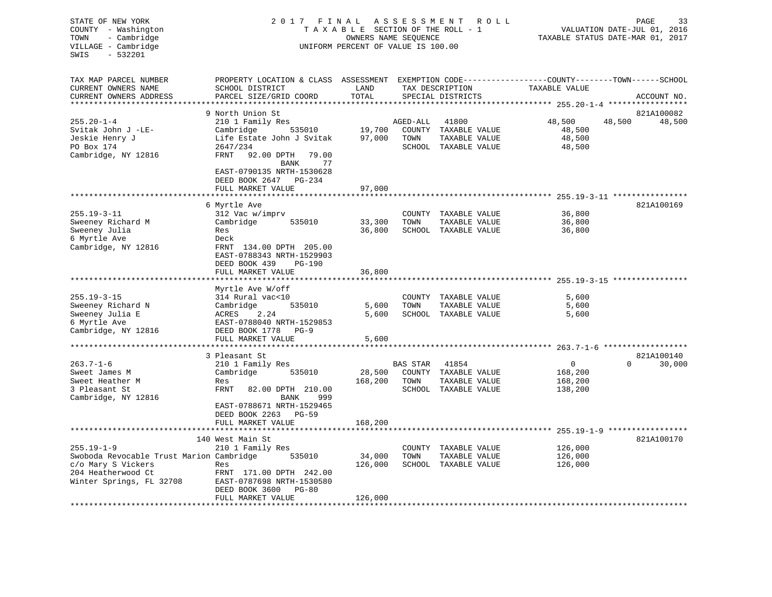| STATE OF NEW YORK<br>COUNTY - Washington<br>TOWN<br>- Cambridge<br>VILLAGE - Cambridge<br>$-532201$<br>SWIS | 2017 FINAL                                                                                                                                   | TAXABLE SECTION OF THE ROLL - 1<br>OWNERS NAME SEQUENCE<br>UNIFORM PERCENT OF VALUE IS 100.00 | A S S E S S M E N T | R O L L                                                       |                                          | PAGE<br>33<br>VALUATION DATE-JUL 01, 2016<br>TAXABLE STATUS DATE-MAR 01, 2017 |
|-------------------------------------------------------------------------------------------------------------|----------------------------------------------------------------------------------------------------------------------------------------------|-----------------------------------------------------------------------------------------------|---------------------|---------------------------------------------------------------|------------------------------------------|-------------------------------------------------------------------------------|
| TAX MAP PARCEL NUMBER<br>CURRENT OWNERS NAME<br>CURRENT OWNERS ADDRESS                                      | PROPERTY LOCATION & CLASS ASSESSMENT EXEMPTION CODE---------------COUNTY-------TOWN------SCHOOL<br>SCHOOL DISTRICT<br>PARCEL SIZE/GRID COORD | LAND<br>TOTAL                                                                                 |                     | TAX DESCRIPTION<br>SPECIAL DISTRICTS                          | TAXABLE VALUE                            | ACCOUNT NO.                                                                   |
|                                                                                                             | 9 North Union St                                                                                                                             |                                                                                               |                     |                                                               |                                          | 821A100082                                                                    |
| $255.20 - 1 - 4$                                                                                            | 210 1 Family Res                                                                                                                             |                                                                                               | AGED-ALL            | 41800                                                         | 48,500                                   | 48,500<br>48,500                                                              |
| Svitak John J -LE-<br>Jeskie Henry J<br>PO Box 174                                                          | Cambridge<br>535010<br>Life Estate John J Svitak<br>2647/234                                                                                 | 19,700<br>97,000                                                                              | TOWN                | COUNTY TAXABLE VALUE<br>TAXABLE VALUE<br>SCHOOL TAXABLE VALUE | 48,500<br>48,500<br>48,500               |                                                                               |
| Cambridge, NY 12816                                                                                         | FRNT<br>92.00 DPTH<br>79.00<br>77<br>BANK<br>EAST-0790135 NRTH-1530628<br>DEED BOOK 2647 PG-234<br>FULL MARKET VALUE                         | 97,000                                                                                        |                     |                                                               |                                          |                                                                               |
|                                                                                                             | ***************************                                                                                                                  |                                                                                               |                     |                                                               |                                          |                                                                               |
| $255.19 - 3 - 11$                                                                                           | 6 Myrtle Ave<br>312 Vac w/imprv                                                                                                              |                                                                                               |                     | COUNTY TAXABLE VALUE                                          | 36,800                                   | 821A100169                                                                    |
| Sweeney Richard M                                                                                           | Cambridge<br>535010                                                                                                                          | 33,300                                                                                        | TOWN                | TAXABLE VALUE                                                 | 36,800                                   |                                                                               |
| Sweeney Julia                                                                                               | Res                                                                                                                                          | 36,800                                                                                        |                     | SCHOOL TAXABLE VALUE                                          | 36,800                                   |                                                                               |
| 6 Myrtle Ave                                                                                                | Deck                                                                                                                                         |                                                                                               |                     |                                                               |                                          |                                                                               |
| Cambridge, NY 12816                                                                                         | FRNT 134.00 DPTH 205.00<br>EAST-0788343 NRTH-1529903<br>DEED BOOK 439<br>PG-190                                                              |                                                                                               |                     |                                                               |                                          |                                                                               |
|                                                                                                             | FULL MARKET VALUE                                                                                                                            | 36,800                                                                                        |                     |                                                               |                                          |                                                                               |
|                                                                                                             |                                                                                                                                              |                                                                                               |                     |                                                               | ********************** 255.19-3-15 ***** |                                                                               |
| $255.19 - 3 - 15$                                                                                           | Myrtle Ave W/off<br>314 Rural vac<10                                                                                                         |                                                                                               |                     | COUNTY TAXABLE VALUE                                          | 5,600                                    |                                                                               |
| Sweeney Richard N                                                                                           | Cambridge<br>535010                                                                                                                          | 5,600                                                                                         | TOWN                | TAXABLE VALUE                                                 | 5,600                                    |                                                                               |
| Sweeney Julia E                                                                                             | ACRES<br>2.24                                                                                                                                | 5,600                                                                                         |                     | SCHOOL TAXABLE VALUE                                          | 5,600                                    |                                                                               |
| 6 Myrtle Ave                                                                                                | EAST-0788040 NRTH-1529853                                                                                                                    |                                                                                               |                     |                                                               |                                          |                                                                               |
| Cambridge, NY 12816                                                                                         | DEED BOOK 1778 PG-9                                                                                                                          |                                                                                               |                     |                                                               |                                          |                                                                               |
|                                                                                                             | FULL MARKET VALUE                                                                                                                            | 5,600                                                                                         |                     |                                                               |                                          |                                                                               |
|                                                                                                             | *****************************                                                                                                                |                                                                                               |                     |                                                               |                                          |                                                                               |
|                                                                                                             | 3 Pleasant St                                                                                                                                |                                                                                               |                     |                                                               |                                          | 821A100140                                                                    |
| $263.7 - 1 - 6$                                                                                             | 210 1 Family Res                                                                                                                             |                                                                                               | BAS STAR            | 41854                                                         | $\overline{0}$                           | $\Omega$<br>30,000                                                            |
| Sweet James M                                                                                               | Cambridge<br>535010                                                                                                                          | 28,500                                                                                        |                     | COUNTY TAXABLE VALUE                                          | 168,200                                  |                                                                               |
| Sweet Heather M                                                                                             | Res                                                                                                                                          | 168,200                                                                                       | TOWN                | TAXABLE VALUE                                                 | 168,200                                  |                                                                               |
| 3 Pleasant St<br>Cambridge, NY 12816                                                                        | FRNT<br>82.00 DPTH 210.00<br>BANK<br>999<br>EAST-0788671 NRTH-1529465                                                                        |                                                                                               |                     | SCHOOL TAXABLE VALUE                                          | 138,200                                  |                                                                               |
|                                                                                                             | DEED BOOK 2263 PG-59                                                                                                                         |                                                                                               |                     |                                                               |                                          |                                                                               |
|                                                                                                             | FULL MARKET VALUE                                                                                                                            | 168,200                                                                                       |                     |                                                               |                                          |                                                                               |
|                                                                                                             |                                                                                                                                              |                                                                                               |                     |                                                               |                                          |                                                                               |
|                                                                                                             | 140 West Main St                                                                                                                             |                                                                                               |                     |                                                               |                                          | 821A100170                                                                    |
| $255.19 - 1 - 9$                                                                                            | 210 1 Family Res                                                                                                                             |                                                                                               |                     | COUNTY TAXABLE VALUE                                          | 126,000                                  |                                                                               |
| Swoboda Revocable Trust Marion Cambridge                                                                    | 535010                                                                                                                                       | 34,000                                                                                        | TOWN                | TAXABLE VALUE                                                 | 126,000                                  |                                                                               |
| c/o Mary S Vickers                                                                                          | Res                                                                                                                                          | 126,000                                                                                       |                     | SCHOOL TAXABLE VALUE                                          | 126,000                                  |                                                                               |
| 204 Heatherwood Ct<br>Winter Springs, FL 32708                                                              | FRNT 171.00 DPTH 242.00<br>EAST-0787698 NRTH-1530580<br>DEED BOOK 3600<br>$PG-80$                                                            |                                                                                               |                     |                                                               |                                          |                                                                               |
|                                                                                                             | FULL MARKET VALUE                                                                                                                            | 126,000                                                                                       |                     |                                                               |                                          |                                                                               |
|                                                                                                             |                                                                                                                                              |                                                                                               |                     |                                                               |                                          |                                                                               |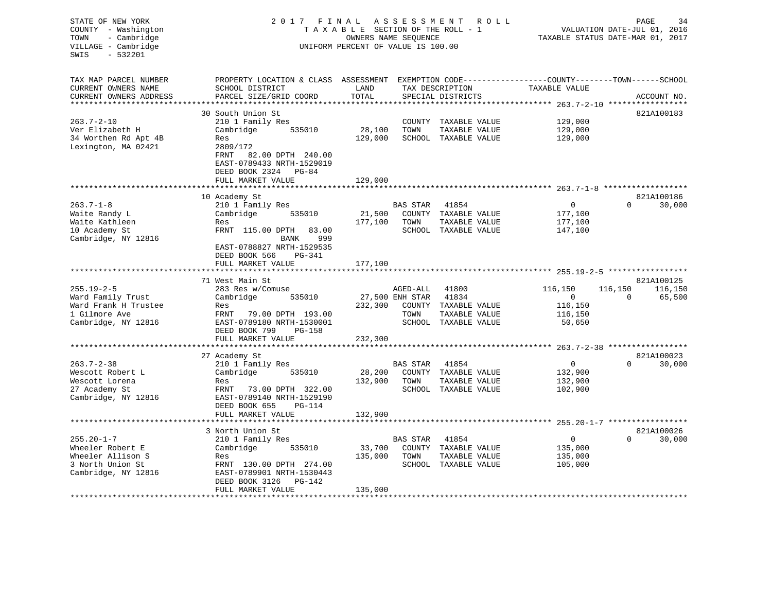| STATE OF NEW YORK<br>COUNTY - Washington<br>- Cambridge<br>TOWN<br>VILLAGE - Cambridge<br>SWIS<br>$-532201$ | 2017                                                                      | FINAL<br>TAXABLE SECTION OF THE ROLL - 1<br>OWNERS NAME SEQUENCE<br>UNIFORM PERCENT OF VALUE IS 100.00 | A S S E S S M E N T | R O L L                               | TAXABLE STATUS DATE-MAR 01, 2017                                  | PAGE<br>VALUATION DATE-JUL 01, 2016 | 34                   |
|-------------------------------------------------------------------------------------------------------------|---------------------------------------------------------------------------|--------------------------------------------------------------------------------------------------------|---------------------|---------------------------------------|-------------------------------------------------------------------|-------------------------------------|----------------------|
| TAX MAP PARCEL NUMBER                                                                                       | PROPERTY LOCATION & CLASS ASSESSMENT                                      | LAND                                                                                                   |                     |                                       | EXEMPTION CODE-----------------COUNTY-------TOWN------SCHOOL      |                                     |                      |
| CURRENT OWNERS NAME<br>CURRENT OWNERS ADDRESS                                                               | SCHOOL DISTRICT<br>PARCEL SIZE/GRID COORD                                 | TOTAL                                                                                                  |                     | TAX DESCRIPTION<br>SPECIAL DISTRICTS  | TAXABLE VALUE                                                     |                                     | ACCOUNT NO.          |
| *********************                                                                                       | ************************                                                  |                                                                                                        |                     |                                       |                                                                   |                                     |                      |
|                                                                                                             | 30 South Union St                                                         |                                                                                                        |                     |                                       |                                                                   |                                     | 821A100183           |
| $263.7 - 2 - 10$                                                                                            | 210 1 Family Res                                                          |                                                                                                        | COUNTY              | TAXABLE VALUE                         | 129,000                                                           |                                     |                      |
| Ver Elizabeth H                                                                                             | Cambridge<br>535010                                                       | 28,100                                                                                                 | TOWN                | TAXABLE VALUE                         | 129,000                                                           |                                     |                      |
| 34 Worthen Rd Apt 4B<br>Lexington, MA 02421                                                                 | Res<br>2809/172<br>FRNT<br>82.00 DPTH 240.00<br>EAST-0789433 NRTH-1529019 | 129,000                                                                                                |                     | SCHOOL TAXABLE VALUE                  | 129,000                                                           |                                     |                      |
|                                                                                                             | DEED BOOK 2324 PG-84                                                      |                                                                                                        |                     |                                       |                                                                   |                                     |                      |
|                                                                                                             | FULL MARKET VALUE                                                         | 129,000                                                                                                |                     |                                       |                                                                   |                                     |                      |
|                                                                                                             |                                                                           |                                                                                                        |                     |                                       |                                                                   |                                     |                      |
|                                                                                                             | 10 Academy St                                                             |                                                                                                        |                     |                                       |                                                                   |                                     | 821A100186           |
| $263.7 - 1 - 8$                                                                                             | 210 1 Family Res                                                          |                                                                                                        | <b>BAS STAR</b>     | 41854                                 | $\mathbf{0}$                                                      | $\Omega$                            | 30,000               |
| Waite Randy L                                                                                               | Cambridge<br>535010                                                       | 21,500                                                                                                 |                     | COUNTY TAXABLE VALUE                  | 177,100                                                           |                                     |                      |
| Waite Kathleen<br>10 Academy St                                                                             | Res<br>FRNT 115.00 DPTH<br>83.00                                          | 177,100                                                                                                | TOWN                | TAXABLE VALUE<br>SCHOOL TAXABLE VALUE | 177,100<br>147,100                                                |                                     |                      |
| Cambridge, NY 12816                                                                                         | 999<br>BANK                                                               |                                                                                                        |                     |                                       |                                                                   |                                     |                      |
|                                                                                                             | EAST-0788827 NRTH-1529535<br>DEED BOOK 566<br>PG-341                      |                                                                                                        |                     |                                       |                                                                   |                                     |                      |
|                                                                                                             | FULL MARKET VALUE                                                         | 177,100                                                                                                |                     |                                       |                                                                   |                                     |                      |
|                                                                                                             | *******************                                                       | ***********                                                                                            |                     |                                       | *********************************** 255.19-2-5 ****************** |                                     |                      |
|                                                                                                             | 71 West Main St                                                           |                                                                                                        |                     |                                       |                                                                   |                                     | 821A100125           |
| $255.19 - 2 - 5$                                                                                            | 283 Res w/Comuse                                                          |                                                                                                        | AGED-ALL            | 41800                                 | 116,150                                                           | 116,150                             | 116,150              |
| Ward Family Trust<br>Ward Frank H Trustee                                                                   | Cambridge<br>535010<br>Res                                                | 232,300                                                                                                | 27,500 ENH STAR     | 41834<br>COUNTY TAXABLE VALUE         | $\mathbf{0}$<br>116,150                                           | $\Omega$                            | 65,500               |
| 1 Gilmore Ave                                                                                               | FRNT<br>79.00 DPTH 193.00                                                 |                                                                                                        | TOWN                | TAXABLE VALUE                         | 116,150                                                           |                                     |                      |
| Cambridge, NY 12816                                                                                         | EAST-0789180 NRTH-1530001                                                 |                                                                                                        |                     | SCHOOL TAXABLE VALUE                  | 50,650                                                            |                                     |                      |
|                                                                                                             | DEED BOOK 799<br>$PG-158$                                                 |                                                                                                        |                     |                                       |                                                                   |                                     |                      |
|                                                                                                             | FULL MARKET VALUE                                                         | 232,300                                                                                                |                     |                                       |                                                                   |                                     |                      |
|                                                                                                             |                                                                           |                                                                                                        |                     |                                       |                                                                   |                                     |                      |
|                                                                                                             | 27 Academy St                                                             |                                                                                                        |                     |                                       |                                                                   | $\Omega$                            | 821A100023           |
| $263.7 - 2 - 38$<br>Wescott Robert L                                                                        | 210 1 Family Res<br>Cambridge<br>535010                                   | 28,200                                                                                                 | BAS STAR            | 41854<br>COUNTY TAXABLE VALUE         | $\mathbf 0$<br>132,900                                            |                                     | 30,000               |
| Wescott Lorena                                                                                              | Res                                                                       | 132,900                                                                                                | TOWN                | TAXABLE VALUE                         | 132,900                                                           |                                     |                      |
| 27 Academy St                                                                                               | FRNT<br>73.00 DPTH 322.00                                                 |                                                                                                        |                     | SCHOOL TAXABLE VALUE                  | 102,900                                                           |                                     |                      |
| Cambridge, NY 12816                                                                                         | EAST-0789140 NRTH-1529190                                                 |                                                                                                        |                     |                                       |                                                                   |                                     |                      |
|                                                                                                             | DEED BOOK 655<br>PG-114                                                   |                                                                                                        |                     |                                       |                                                                   |                                     |                      |
|                                                                                                             | FULL MARKET VALUE                                                         | 132,900                                                                                                |                     |                                       |                                                                   |                                     |                      |
| *********************                                                                                       |                                                                           |                                                                                                        |                     |                                       |                                                                   |                                     |                      |
| $255.20 - 1 - 7$                                                                                            | 3 North Union St<br>210 1 Family Res                                      |                                                                                                        | <b>BAS STAR</b>     | 41854                                 | $\mathbf 0$                                                       | $\cap$                              | 821A100026<br>30,000 |
| Wheeler Robert E                                                                                            | Cambridge<br>535010                                                       | 33,700                                                                                                 |                     | COUNTY TAXABLE VALUE                  | 135,000                                                           |                                     |                      |
| Wheeler Allison S                                                                                           | Res                                                                       | 135,000                                                                                                | TOWN                | TAXABLE VALUE                         | 135,000                                                           |                                     |                      |
| 3 North Union St                                                                                            | FRNT 130.00 DPTH 274.00                                                   |                                                                                                        |                     | SCHOOL TAXABLE VALUE                  | 105,000                                                           |                                     |                      |
| Cambridge, NY 12816                                                                                         | EAST-0789901 NRTH-1530443<br>DEED BOOK 3126<br>PG-142                     |                                                                                                        |                     |                                       |                                                                   |                                     |                      |
|                                                                                                             | FULL MARKET VALUE                                                         | 135,000                                                                                                |                     |                                       |                                                                   |                                     |                      |
| ******************                                                                                          | * * * * * * * * * * * * * * * * * * * *                                   |                                                                                                        |                     |                                       |                                                                   |                                     |                      |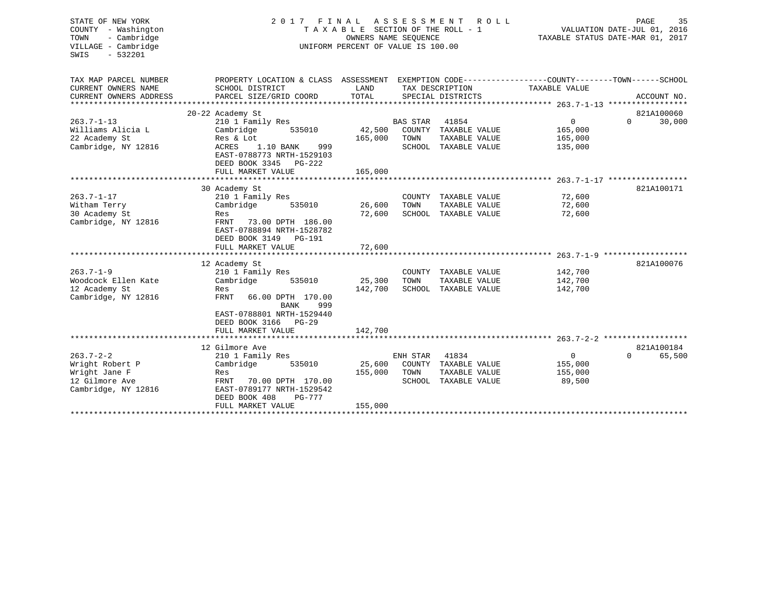| 2017<br>A S S E S S M E N T<br>STATE OF NEW YORK<br>FINAL<br>R O L L<br>COUNTY - Washington<br>TAXABLE SECTION OF THE ROLL - 1<br>- Cambridge<br>OWNERS NAME SEOUENCE<br>TOWN<br>VILLAGE - Cambridge<br>UNIFORM PERCENT OF VALUE IS 100.00<br>$-532201$<br>SWIS |                                                                                                                                     |                   | 35<br>PAGE<br>VALUATION DATE-JUL 01, 2016<br>TAXABLE STATUS DATE-MAR 01, 2017 |                                                                        |                                   |          |             |
|-----------------------------------------------------------------------------------------------------------------------------------------------------------------------------------------------------------------------------------------------------------------|-------------------------------------------------------------------------------------------------------------------------------------|-------------------|-------------------------------------------------------------------------------|------------------------------------------------------------------------|-----------------------------------|----------|-------------|
| TAX MAP PARCEL NUMBER                                                                                                                                                                                                                                           | PROPERTY LOCATION & CLASS ASSESSMENT EXEMPTION CODE---------------COUNTY-------TOWN------SCHOOL                                     |                   |                                                                               |                                                                        |                                   |          |             |
| CURRENT OWNERS NAME<br>CURRENT OWNERS ADDRESS                                                                                                                                                                                                                   | SCHOOL DISTRICT<br>PARCEL SIZE/GRID COORD                                                                                           | LAND<br>TOTAL     |                                                                               | TAX DESCRIPTION<br>SPECIAL DISTRICTS                                   | TAXABLE VALUE                     |          | ACCOUNT NO. |
|                                                                                                                                                                                                                                                                 |                                                                                                                                     |                   |                                                                               |                                                                        |                                   |          |             |
|                                                                                                                                                                                                                                                                 | 20-22 Academy St                                                                                                                    |                   |                                                                               |                                                                        |                                   |          | 821A100060  |
| $263.7 - 1 - 13$                                                                                                                                                                                                                                                | 210 1 Family Res                                                                                                                    |                   | <b>BAS STAR</b>                                                               | 41854                                                                  | $\Omega$                          | $\Omega$ | 30,000      |
| Williams Alicia L                                                                                                                                                                                                                                               | Cambridge<br>535010                                                                                                                 | 42,500            |                                                                               | COUNTY TAXABLE VALUE                                                   | 165,000                           |          |             |
| 22 Academy St                                                                                                                                                                                                                                                   | Res & Lot                                                                                                                           | 165,000           | TOWN                                                                          | TAXABLE VALUE                                                          | 165,000                           |          |             |
| Cambridge, NY 12816                                                                                                                                                                                                                                             | 1.10 BANK<br>999<br>ACRES<br>EAST-0788773 NRTH-1529103<br>DEED BOOK 3345<br>PG-222                                                  |                   |                                                                               | SCHOOL TAXABLE VALUE                                                   | 135,000                           |          |             |
|                                                                                                                                                                                                                                                                 | FULL MARKET VALUE                                                                                                                   | 165,000           |                                                                               |                                                                        |                                   |          |             |
|                                                                                                                                                                                                                                                                 |                                                                                                                                     |                   |                                                                               |                                                                        |                                   |          |             |
|                                                                                                                                                                                                                                                                 | 30 Academy St                                                                                                                       |                   |                                                                               |                                                                        |                                   |          | 821A100171  |
| $263.7 - 1 - 17$                                                                                                                                                                                                                                                | 210 1 Family Res<br>535010                                                                                                          |                   |                                                                               | COUNTY TAXABLE VALUE                                                   | 72,600                            |          |             |
| Witham Terry<br>30 Academy St                                                                                                                                                                                                                                   | Cambridge<br>Res                                                                                                                    | 26,600<br>72,600  | TOWN                                                                          | TAXABLE VALUE<br>SCHOOL TAXABLE VALUE                                  | 72,600<br>72,600                  |          |             |
| Cambridge, NY 12816                                                                                                                                                                                                                                             | FRNT<br>73.00 DPTH 186.00<br>EAST-0788894 NRTH-1528782<br>DEED BOOK 3149<br>PG-191                                                  |                   |                                                                               |                                                                        |                                   |          |             |
|                                                                                                                                                                                                                                                                 | FULL MARKET VALUE                                                                                                                   | 72,600            |                                                                               |                                                                        |                                   |          |             |
|                                                                                                                                                                                                                                                                 |                                                                                                                                     |                   |                                                                               |                                                                        |                                   |          |             |
|                                                                                                                                                                                                                                                                 | 12 Academy St                                                                                                                       |                   |                                                                               |                                                                        |                                   |          | 821A100076  |
| $263.7 - 1 - 9$                                                                                                                                                                                                                                                 | 210 1 Family Res                                                                                                                    |                   |                                                                               | COUNTY TAXABLE VALUE                                                   | 142,700                           |          |             |
| Woodcock Ellen Kate                                                                                                                                                                                                                                             | 535010<br>Cambridge                                                                                                                 | 25,300<br>142,700 | TOWN                                                                          | TAXABLE VALUE<br>SCHOOL TAXABLE VALUE                                  | 142,700<br>142,700                |          |             |
| 12 Academy St<br>Cambridge, NY 12816                                                                                                                                                                                                                            | Res<br>FRNT<br>66.00 DPTH 170.00<br>999<br>BANK<br>EAST-0788801 NRTH-1529440<br>DEED BOOK 3166<br>PG-29                             |                   |                                                                               |                                                                        |                                   |          |             |
|                                                                                                                                                                                                                                                                 | FULL MARKET VALUE                                                                                                                   | 142,700           |                                                                               |                                                                        |                                   |          |             |
|                                                                                                                                                                                                                                                                 |                                                                                                                                     |                   |                                                                               |                                                                        |                                   |          |             |
|                                                                                                                                                                                                                                                                 | 12 Gilmore Ave                                                                                                                      |                   |                                                                               |                                                                        |                                   |          | 821A100184  |
| $263.7 - 2 - 2$<br>Wright Robert P<br>Wright Jane F<br>12 Gilmore Ave<br>Cambridge, NY 12816                                                                                                                                                                    | 210 1 Family Res<br>535010<br>Cambridge<br>Res<br>FRNT<br>70.00 DPTH 170.00<br>EAST-0789177 NRTH-1529542<br>DEED BOOK 408<br>PG-777 | 25,600<br>155,000 | ENH STAR<br>TOWN                                                              | 41834<br>COUNTY TAXABLE VALUE<br>TAXABLE VALUE<br>SCHOOL TAXABLE VALUE | 0<br>155,000<br>155,000<br>89,500 | $\Omega$ | 65,500      |
|                                                                                                                                                                                                                                                                 | FULL MARKET VALUE                                                                                                                   | 155,000           |                                                                               |                                                                        |                                   |          |             |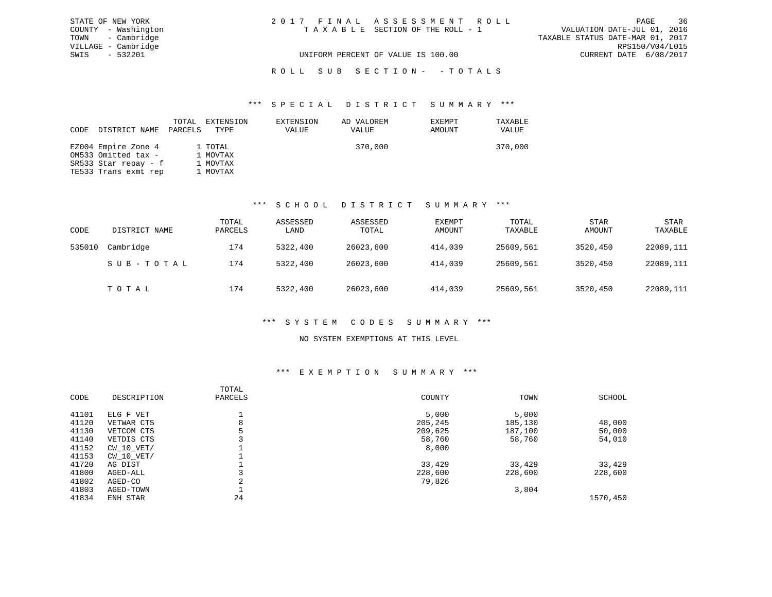| STATE OF NEW YORK   | 2017 FINAL ASSESSMENT ROLL         | 36<br>PAGE                       |
|---------------------|------------------------------------|----------------------------------|
| COUNTY - Washington | TAXABLE SECTION OF THE ROLL - 1    | VALUATION DATE-JUL 01, 2016      |
| TOWN - Cambridge    |                                    | TAXABLE STATUS DATE-MAR 01, 2017 |
| VILLAGE - Cambridge |                                    | RPS150/V04/L015                  |
| SWIS - 532201       | UNIFORM PERCENT OF VALUE IS 100.00 | CURRENT DATE 6/08/2017           |
|                     |                                    |                                  |

### ROLL SUB SECTION - - TOTALS

#### \*\*\* S P E C I A L D I S T R I C T S U M M A R Y \*\*\*

|                      | TOTAL   | EXTENSION | EXTENSION | AD VALOREM | EXEMPT | TAXABLE |
|----------------------|---------|-----------|-----------|------------|--------|---------|
| CODE DISTRICT NAME   | PARCELS | TYPE      | VALUE     | VALUE      | AMOUNT | VALUE   |
|                      |         |           |           |            |        |         |
| EZ004 Empire Zone 4  |         | 1 TOTAL   |           | 370,000    |        | 370,000 |
| OM533 Omitted tax -  |         | 1 MOVTAX  |           |            |        |         |
| SR533 Star repay - f |         | 1 MOVTAX  |           |            |        |         |
| TE533 Trans exmt rep |         | 1 MOVTAX  |           |            |        |         |

### \*\*\* S C H O O L D I S T R I C T S U M M A R Y \*\*\*

| CODE   | DISTRICT NAME | TOTAL<br>PARCELS | ASSESSED<br>LAND | ASSESSED<br>TOTAL | EXEMPT<br>AMOUNT | TOTAL<br>TAXABLE | <b>STAR</b><br>AMOUNT | <b>STAR</b><br>TAXABLE |
|--------|---------------|------------------|------------------|-------------------|------------------|------------------|-----------------------|------------------------|
| 535010 | Cambridge     | 174              | 5322,400         | 26023,600         | 414,039          | 25609,561        | 3520,450              | 22089,111              |
|        | SUB-TOTAL     | 174              | 5322,400         | 26023,600         | 414,039          | 25609,561        | 3520,450              | 22089,111              |
|        | TOTAL         | 174              | 5322,400         | 26023,600         | 414,039          | 25609,561        | 3520,450              | 22089,111              |

#### \*\*\* S Y S T E M C O D E S S U M M A R Y \*\*\*

#### NO SYSTEM EXEMPTIONS AT THIS LEVEL

#### \*\*\* E X E M P T I O N S U M M A R Y \*\*\*

| CODE  | DESCRIPTION    | TOTAL<br>PARCELS | COUNTY  | TOWN    | SCHOOL   |
|-------|----------------|------------------|---------|---------|----------|
| 41101 | ELG F VET      |                  | 5,000   | 5,000   |          |
| 41120 | VETWAR CTS     | 8                | 205,245 | 185,130 | 48,000   |
| 41130 | VETCOM CTS     |                  | 209,625 | 187,100 | 50,000   |
| 41140 | VETDIS CTS     |                  | 58,760  | 58,760  | 54,010   |
| 41152 | $CW$ 10 $VET/$ |                  | 8,000   |         |          |
| 41153 | $CW$ 10 $VET/$ |                  |         |         |          |
| 41720 | AG DIST        |                  | 33,429  | 33,429  | 33,429   |
| 41800 | AGED-ALL       |                  | 228,600 | 228,600 | 228,600  |
| 41802 | AGED-CO        | ◠                | 79,826  |         |          |
| 41803 | AGED-TOWN      |                  |         | 3,804   |          |
| 41834 | ENH STAR       | 24               |         |         | 1570,450 |
|       |                |                  |         |         |          |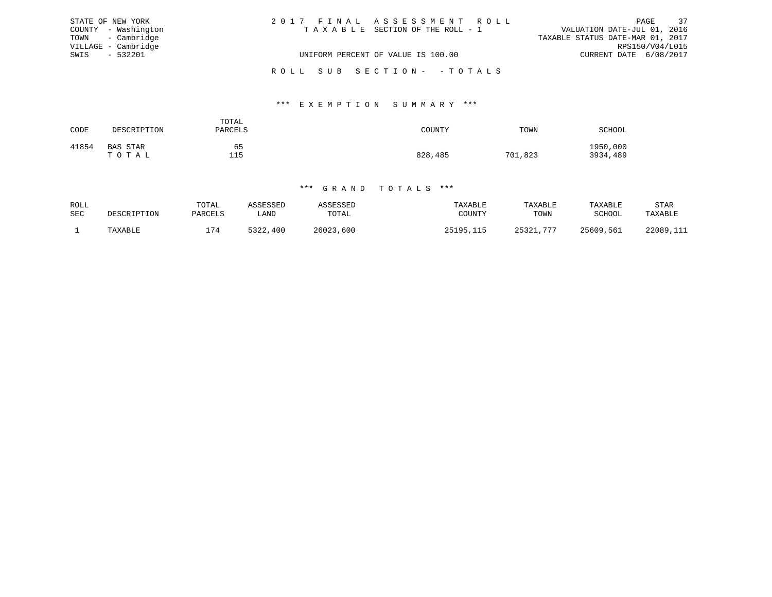|      | STATE OF NEW YORK   | 2017 FINAL ASSESSMENT ROLL         | PAGE                             | 37 |
|------|---------------------|------------------------------------|----------------------------------|----|
|      | COUNTY - Washington | TAXABLE SECTION OF THE ROLL - 1    | VALUATION DATE-JUL 01, 2016      |    |
|      | TOWN - Cambridge    |                                    | TAXABLE STATUS DATE-MAR 01, 2017 |    |
|      | VILLAGE - Cambridge |                                    | RPS150/V04/L015                  |    |
| SWIS | $-532201$           | UNIFORM PERCENT OF VALUE IS 100.00 | CURRENT DATE 6/08/2017           |    |
|      |                     | ROLL SUB SECTION- - TOTALS         |                                  |    |

#### \*\*\* E X E M P T I O N S U M M A R Y \*\*\*

| CODE  | DESCRIPTION              | TOTAL<br>PARCELS | COUNTY  | TOWN    | SCHOOL               |
|-------|--------------------------|------------------|---------|---------|----------------------|
| 41854 | <b>BAS STAR</b><br>TOTAL | 65<br>115        | 828,485 | 701,823 | 1950,000<br>3934,489 |

| ROLL |             | TOTAL   | ASSESSEL            | <b>ASSED</b> | TAXABLE   | TAXABLE      | TAXABLE   | STAR      |
|------|-------------|---------|---------------------|--------------|-----------|--------------|-----------|-----------|
| SEC  | DESCRIPTION | PARCELS | LAND                | TOTAL        | TOUNTY    | TOWN         | SCHOOL    | TAXABLE   |
|      | TAXABLE     | 174     | につつつ<br>400<br>2244 | 26023,600    | 25195,115 | 25321<br>777 | 25609,561 | 22089,111 |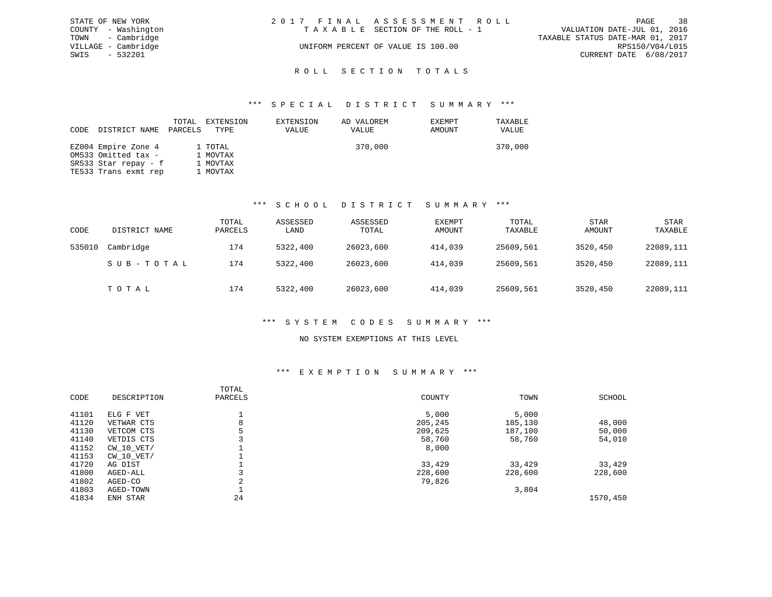|      | STATE OF NEW YORK   | 2017 FINAL ASSESSMENT ROLL         | -38<br>PAGE                      |
|------|---------------------|------------------------------------|----------------------------------|
|      | COUNTY - Washington | TAXABLE SECTION OF THE ROLL - 1    | VALUATION DATE-JUL 01, 2016      |
|      | TOWN - Cambridge    |                                    | TAXABLE STATUS DATE-MAR 01, 2017 |
|      | VILLAGE - Cambridge | UNIFORM PERCENT OF VALUE IS 100.00 | RPS150/V04/L015                  |
| SWIS | - 532201            |                                    | CURRENT DATE 6/08/2017           |
|      |                     |                                    |                                  |
|      |                     | ROLL SECTION TOTALS                |                                  |

| CODE | DISTRICT NAME        | TOTAL<br>PARCELS | EXTENSION<br>TYPE | EXTENSION<br>VALUE | AD VALOREM<br>VALUE | EXEMPT<br>AMOUNT | TAXABLE<br>VALUE |
|------|----------------------|------------------|-------------------|--------------------|---------------------|------------------|------------------|
|      | EZ004 Empire Zone 4  |                  | 1 TOTAL           |                    | 370,000             |                  | 370,000          |
|      | OM533 Omitted tax -  |                  | 1 MOVTAX          |                    |                     |                  |                  |
|      | SR533 Star repay - f |                  | 1 MOVTAX          |                    |                     |                  |                  |
|      | TE533 Trans exmt rep |                  | 1 MOVTAX          |                    |                     |                  |                  |

#### \*\*\* S C H O O L D I S T R I C T S U M M A R Y \*\*\*

| CODE   | DISTRICT NAME | TOTAL<br>PARCELS | ASSESSED<br>LAND | ASSESSED<br>TOTAL | EXEMPT<br>AMOUNT | TOTAL<br>TAXABLE | <b>STAR</b><br>AMOUNT | <b>STAR</b><br>TAXABLE |
|--------|---------------|------------------|------------------|-------------------|------------------|------------------|-----------------------|------------------------|
| 535010 | Cambridge     | 174              | 5322,400         | 26023,600         | 414,039          | 25609,561        | 3520,450              | 22089,111              |
|        | SUB-TOTAL     | 174              | 5322,400         | 26023,600         | 414,039          | 25609,561        | 3520,450              | 22089,111              |
|        | TOTAL         | 174              | 5322,400         | 26023,600         | 414,039          | 25609,561        | 3520,450              | 22089,111              |

### \*\*\* S Y S T E M C O D E S S U M M A R Y \*\*\*

#### NO SYSTEM EXEMPTIONS AT THIS LEVEL

#### \*\*\* E X E M P T I O N S U M M A R Y \*\*\*

|       |                | TOTAL       |         |         |          |
|-------|----------------|-------------|---------|---------|----------|
| CODE  | DESCRIPTION    | PARCELS     | COUNTY  | TOWN    | SCHOOL   |
| 41101 | ELG F VET      |             | 5,000   | 5,000   |          |
| 41120 | VETWAR CTS     | 8           | 205,245 | 185,130 | 48,000   |
| 41130 | VETCOM CTS     |             | 209,625 | 187,100 | 50,000   |
| 41140 | VETDIS CTS     |             | 58,760  | 58,760  | 54,010   |
| 41152 | CW 10 VET/     |             | 8,000   |         |          |
| 41153 | $CW$ 10 $VET/$ |             |         |         |          |
| 41720 | AG DIST        |             | 33,429  | 33,429  | 33,429   |
| 41800 | AGED-ALL       |             | 228,600 | 228,600 | 228,600  |
| 41802 | AGED-CO        | $\sim$<br>z | 79,826  |         |          |
| 41803 | AGED-TOWN      |             |         | 3,804   |          |
| 41834 | ENH STAR       | 24          |         |         | 1570,450 |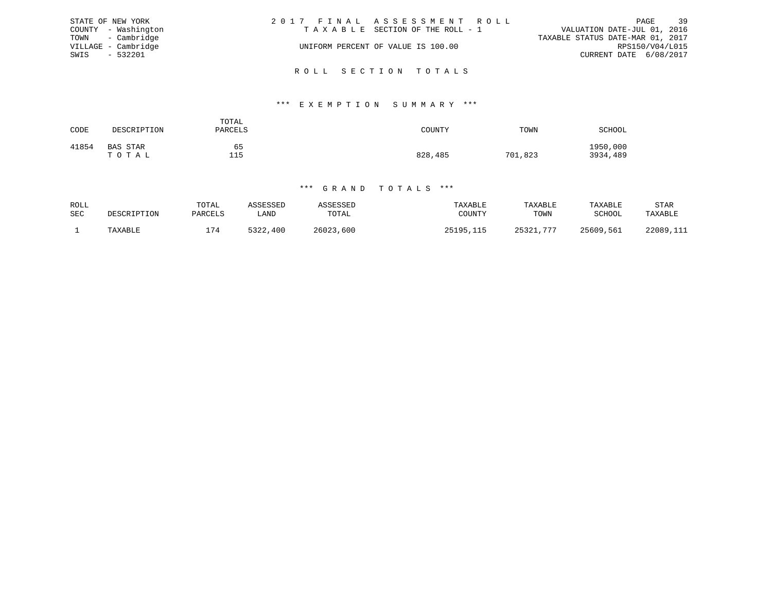|      | STATE OF NEW YORK   | 2017 FINAL ASSESSMENT ROLL |                                    |                                  | PAGE            | 39 |
|------|---------------------|----------------------------|------------------------------------|----------------------------------|-----------------|----|
|      | COUNTY - Washington |                            | TAXABLE SECTION OF THE ROLL - 1    | VALUATION DATE-JUL 01, 2016      |                 |    |
|      | TOWN - Cambridge    |                            |                                    | TAXABLE STATUS DATE-MAR 01, 2017 |                 |    |
|      | VILLAGE - Cambridge |                            | UNIFORM PERCENT OF VALUE IS 100.00 |                                  | RPS150/V04/L015 |    |
| SWIS | - 532201            |                            |                                    | CURRENT DATE 6/08/2017           |                 |    |
|      |                     |                            |                                    |                                  |                 |    |

R O L L S E C T I O N T O T A L S

#### \*\*\* E X E M P T I O N S U M M A R Y \*\*\*

| CODE  | DESCRIPTION       | TOTAL<br>PARCELS | COUNTY  | TOWN    | <b>SCHOOL</b>        |
|-------|-------------------|------------------|---------|---------|----------------------|
| 41854 | BAS STAR<br>TOTAL | 65<br>115        | 828,485 | 701,823 | 1950,000<br>3934,489 |

| ROLL       |             | TOTAL   | <b>\SSESSED</b> | ASSESSED  | TAXABLE   | TAXABLE       | TAXABLE   | STAR      |
|------------|-------------|---------|-----------------|-----------|-----------|---------------|-----------|-----------|
| <b>SEC</b> | DESCRIPTION | PARCELS | LAND            | TOTAL     | COUNTY    | TOWN          | SCHOOL    | TAXABLE   |
|            | TAXABLE     | .74     | 5322<br>,400    | 26023,600 | 25195,115 | 25321.<br>775 | 25609,561 | 22089,111 |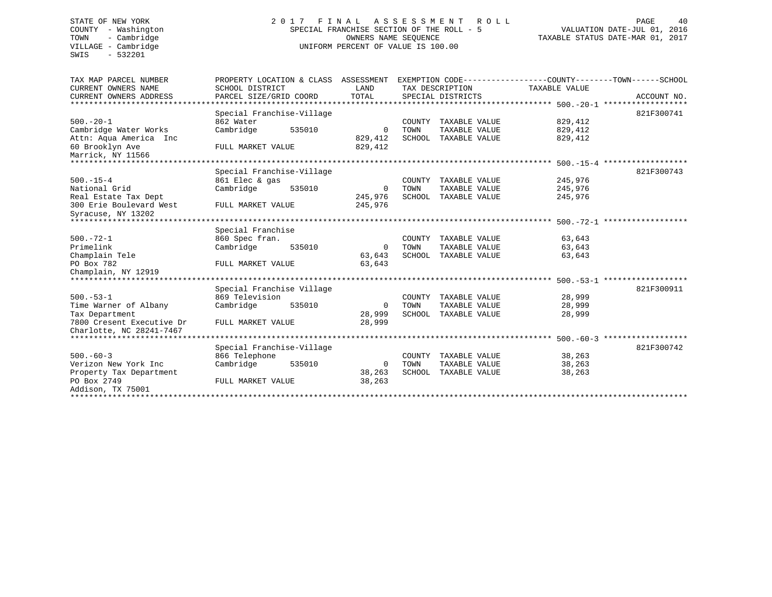SWIS - 532201

### STATE OF NEW YORK 2017 FINAL ASSESSMENT ROLL COUNTY - Washington SPECIAL FRANCHISE SECTION OF THE ROLL - 5<br>TOWN - Cambridge COUNTY - Cambridge TOWN - Cambridge OWNERS NAME SEQUENCE TAXABLE STATUS DATE-MAR 01, 2017 UNIFORM PERCENT OF VALUE IS 100.00

| TAX MAP PARCEL NUMBER          | PROPERTY LOCATION & CLASS | ASSESSMENT     |        |                      | EXEMPTION CODE----------------COUNTY-------TOWN------SCHOOL |             |
|--------------------------------|---------------------------|----------------|--------|----------------------|-------------------------------------------------------------|-------------|
| CURRENT OWNERS NAME            | SCHOOL DISTRICT           | LAND           |        | TAX DESCRIPTION      | TAXABLE VALUE                                               |             |
| CURRENT OWNERS ADDRESS         | PARCEL SIZE/GRID COORD    | TOTAL          |        | SPECIAL DISTRICTS    |                                                             | ACCOUNT NO. |
| ************************       |                           |                |        |                      |                                                             |             |
|                                | Special Franchise-Village |                |        |                      |                                                             | 821F300741  |
| $500. - 20 - 1$                | 862 Water                 |                | COUNTY | TAXABLE VALUE        | 829,412                                                     |             |
| Cambridge Water Works          | Cambridge<br>535010       | 0              | TOWN   | TAXABLE VALUE        | 829,412                                                     |             |
| Attn: Aqua America Inc         |                           | 829,412        | SCHOOL | TAXABLE VALUE        | 829,412                                                     |             |
| 60 Brooklyn Ave                | FULL MARKET VALUE         | 829,412        |        |                      |                                                             |             |
| Marrick, NY 11566              |                           |                |        |                      |                                                             |             |
|                                |                           |                |        |                      |                                                             |             |
|                                | Special Franchise-Village |                |        |                      |                                                             | 821F300743  |
| $500. - 15 - 4$                | 861 Elec & gas            |                | COUNTY | TAXABLE VALUE        | 245,976                                                     |             |
| National Grid                  | Cambridge<br>535010       | 0              | TOWN   | TAXABLE VALUE        | 245,976                                                     |             |
| Real Estate Tax Dept           |                           | 245,976        | SCHOOL | TAXABLE VALUE        | 245,976                                                     |             |
| 300 Erie Boulevard West        | FULL MARKET VALUE         | 245,976        |        |                      |                                                             |             |
| Syracuse, NY 13202             |                           |                |        |                      |                                                             |             |
|                                |                           |                |        |                      |                                                             |             |
|                                | Special Franchise         |                |        |                      |                                                             |             |
| $500. - 72 - 1$                | 860 Spec fran.            |                |        | COUNTY TAXABLE VALUE | 63,643                                                      |             |
| Primelink                      | Cambridge<br>535010       | $\overline{0}$ | TOWN   | TAXABLE VALUE        | 63,643                                                      |             |
| Champlain Tele                 |                           | 63,643         |        | SCHOOL TAXABLE VALUE | 63,643                                                      |             |
| PO Box 782                     | FULL MARKET VALUE         | 63,643         |        |                      |                                                             |             |
| Champlain, NY 12919            |                           |                |        |                      |                                                             |             |
| ************************       |                           |                |        |                      |                                                             |             |
|                                | Special Franchise Village |                |        |                      |                                                             | 821F300911  |
| $500. - 53 - 1$                | 869 Television            |                | COUNTY | TAXABLE VALUE        | 28,999                                                      |             |
| Time Warner of Albany          | Cambridge<br>535010       | $\mathbf 0$    | TOWN   | TAXABLE VALUE        | 28,999                                                      |             |
| Tax Department                 |                           | 28,999         |        | SCHOOL TAXABLE VALUE | 28,999                                                      |             |
| 7800 Cresent Executive Dr      | FULL MARKET VALUE         | 28,999         |        |                      |                                                             |             |
| Charlotte, NC 28241-7467       |                           |                |        |                      |                                                             |             |
| ****************************** |                           |                |        |                      |                                                             |             |
|                                | Special Franchise-Village |                |        |                      |                                                             | 821F300742  |
| $500 - 60 - 3$                 | 866 Telephone             |                | COUNTY | TAXABLE VALUE        | 38,263                                                      |             |
| Verizon New York Inc           | Cambridge<br>535010       | $\overline{0}$ | TOWN   | TAXABLE VALUE        | 38,263                                                      |             |
| Property Tax Department        |                           | 38,263         |        | SCHOOL TAXABLE VALUE | 38,263                                                      |             |
| PO Box 2749                    | FULL MARKET VALUE         | 38,263         |        |                      |                                                             |             |
| Addison, TX 75001              |                           |                |        |                      |                                                             |             |
|                                |                           |                |        |                      |                                                             |             |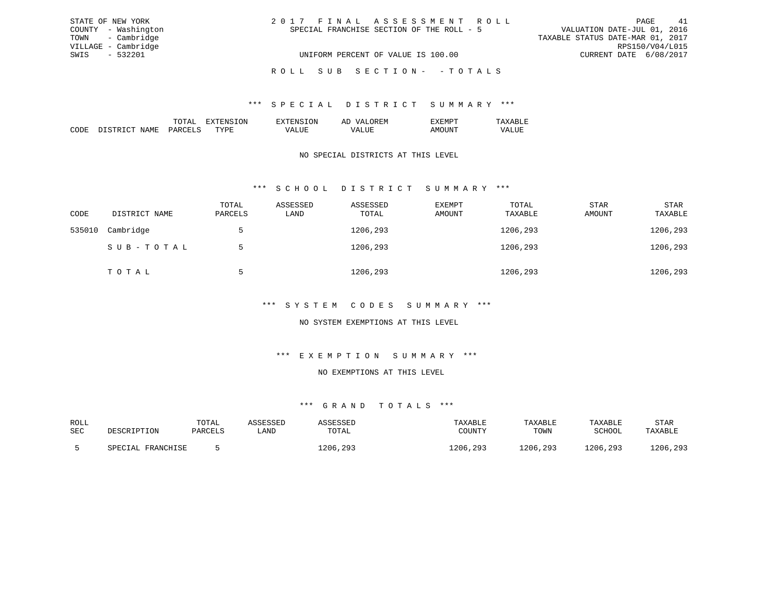| STATE OF NEW YORK   | 2017 FINAL ASSESSMENT ROLL                | 41<br>PAGE                       |
|---------------------|-------------------------------------------|----------------------------------|
| COUNTY - Washington | SPECIAL FRANCHISE SECTION OF THE ROLL - 5 | VALUATION DATE-JUL 01, 2016      |
| TOWN - Cambridge    |                                           | TAXABLE STATUS DATE-MAR 01, 2017 |
| VILLAGE - Cambridge |                                           | RPS150/V04/L015                  |
| SWIS - 532201       | UNIFORM PERCENT OF VALUE IS 100.00        | CURRENT DATE 6/08/2017           |
|                     | ROLL SUB SECTION- - TOTALS                |                                  |

|  | 1N | ЛN | . . |  |
|--|----|----|-----|--|
|  |    |    |     |  |

### NO SPECIAL DISTRICTS AT THIS LEVEL

### \*\*\* S C H O O L D I S T R I C T S U M M A R Y \*\*\*

| CODE   | DISTRICT NAME | TOTAL<br>PARCELS | ASSESSED<br>LAND | ASSESSED<br>TOTAL | EXEMPT<br>AMOUNT | TOTAL<br>TAXABLE | <b>STAR</b><br>AMOUNT | STAR<br>TAXABLE |
|--------|---------------|------------------|------------------|-------------------|------------------|------------------|-----------------------|-----------------|
| 535010 | Cambridge     |                  |                  | 1206,293          |                  | 1206,293         |                       | 1206,293        |
|        | SUB-TOTAL     |                  |                  | 1206,293          |                  | 1206,293         |                       | 1206,293        |
|        | TOTAL         | 5                |                  | 1206,293          |                  | 1206,293         |                       | 1206,293        |

#### \*\*\* S Y S T E M C O D E S S U M M A R Y \*\*\*

### NO SYSTEM EXEMPTIONS AT THIS LEVEL

### \*\*\* E X E M P T I O N S U M M A R Y \*\*\*

#### NO EXEMPTIONS AT THIS LEVEL

| ROLL |                   | TOTAL   | ASSESSED | ASSESSED | TAXABLE  | TAXABLE  | TAXABLE  | STAR     |
|------|-------------------|---------|----------|----------|----------|----------|----------|----------|
| SEC  | DESCRIPTION       | PARCELS | LAND     | TOTAL    | COUNTY   | TOWN     | SCHOOL   | TAXABLE  |
|      | SPECIAL FRANCHISE |         |          | 1206,293 | 1206,293 | 1206,293 | 1206,293 | 1206,293 |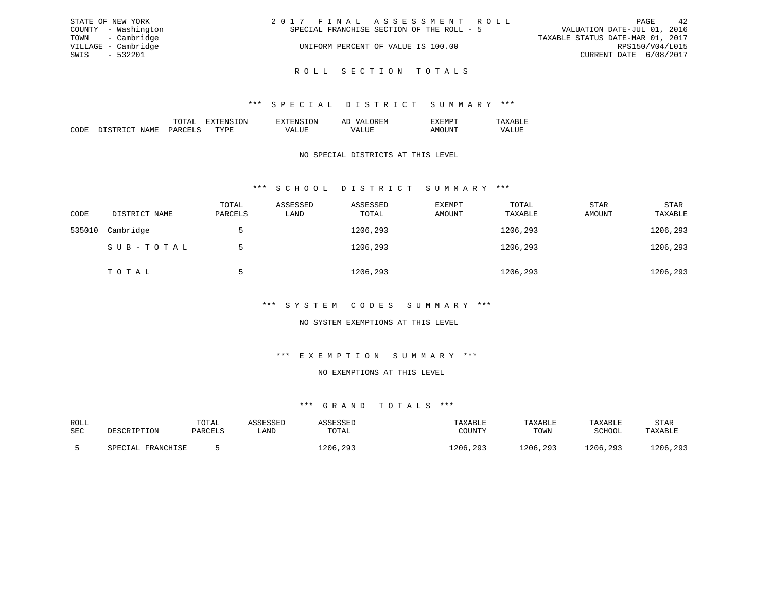| STATE OF NEW YORK   | 2017 FINAL ASSESSMENT ROLL                | 42<br>PAGE                       |
|---------------------|-------------------------------------------|----------------------------------|
| COUNTY - Washington | SPECIAL FRANCHISE SECTION OF THE ROLL - 5 | VALUATION DATE-JUL 01, 2016      |
| TOWN - Cambridge    |                                           | TAXABLE STATUS DATE-MAR 01, 2017 |
| VILLAGE - Cambridge | UNIFORM PERCENT OF VALUE IS 100.00        | RPS150/V04/L015                  |
| SWIS - 532201       |                                           | CURRENT DATE 6/08/2017           |
|                     |                                           |                                  |

R O L L S E C T I O N T O T A L S

|                                                                                                                 | 'NN | €NI<br>. . |  |
|-----------------------------------------------------------------------------------------------------------------|-----|------------|--|
| the contract of the contract of the contract of the contract of the contract of the contract of the contract of | m   |            |  |

### NO SPECIAL DISTRICTS AT THIS LEVEL

### \*\*\* S C H O O L D I S T R I C T S U M M A R Y \*\*\*

| CODE   | DISTRICT NAME | TOTAL<br>PARCELS | ASSESSED<br>LAND | ASSESSED<br>TOTAL | EXEMPT<br>AMOUNT | TOTAL<br>TAXABLE | STAR<br>AMOUNT | STAR<br>TAXABLE |
|--------|---------------|------------------|------------------|-------------------|------------------|------------------|----------------|-----------------|
| 535010 | Cambridge     |                  |                  | 1206,293          |                  | 1206,293         |                | 1206,293        |
|        | SUB-TOTAL     | 5                |                  | 1206,293          |                  | 1206,293         |                | 1206,293        |
|        | TOTAL         | 5                |                  | 1206,293          |                  | 1206,293         |                | 1206,293        |

### \*\*\* S Y S T E M C O D E S S U M M A R Y \*\*\*

### NO SYSTEM EXEMPTIONS AT THIS LEVEL

### \*\*\* E X E M P T I O N S U M M A R Y \*\*\*

#### NO EXEMPTIONS AT THIS LEVEL

| ROLL |                      | TOTAL   | <b>ACCECCEP</b> |          | TAXABLE  | TAXABLE  | TAXABLE  | STAR     |
|------|----------------------|---------|-----------------|----------|----------|----------|----------|----------|
| SEC  | DESCRIPTION          | PARCELS | LAND            | TOTAL    | COUNTY   | TOWN     | SCHOOI   | TAXABLE  |
|      | FRANCHISE<br>SPECIAL |         |                 | 1206,293 | 1206,293 | 1206,293 | .206.293 | 1206,293 |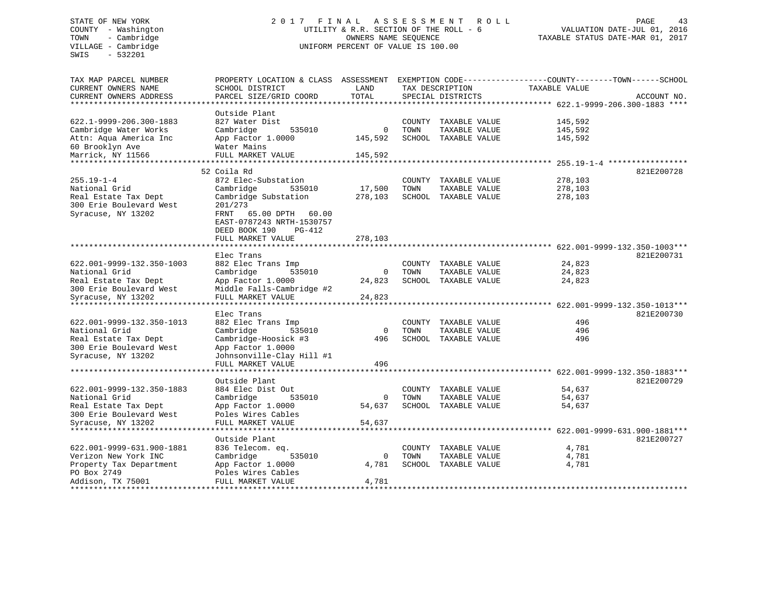SWIS - 532201

# COUNTY - Washington UTILITY & R.R. SECTION OF THE ROLL - 6 VALUATION DATE-JUL 01, 2016 TOWN - Cambridge OWNERS NAME SEQUENCE TAXABLE STATUS DATE-MAR 01, 2017 UNIFORM PERCENT OF VALUE IS 100.00

| TAX MAP PARCEL NUMBER<br>CURRENT OWNERS NAME     | PROPERTY LOCATION & CLASS ASSESSMENT<br>SCHOOL DISTRICT | LAND        |        | TAX DESCRIPTION      | EXEMPTION CODE-----------------COUNTY-------TOWN------SCHOOL<br>TAXABLE VALUE |             |
|--------------------------------------------------|---------------------------------------------------------|-------------|--------|----------------------|-------------------------------------------------------------------------------|-------------|
| CURRENT OWNERS ADDRESS<br>********************** | PARCEL SIZE/GRID COORD                                  | TOTAL       |        | SPECIAL DISTRICTS    |                                                                               | ACCOUNT NO. |
|                                                  | Outside Plant                                           |             |        |                      |                                                                               |             |
| 622.1-9999-206.300-1883                          | 827 Water Dist                                          |             |        | COUNTY TAXABLE VALUE | 145,592                                                                       |             |
| Cambridge Water Works                            | Cambridge<br>535010                                     | $\Omega$    | TOWN   | TAXABLE VALUE        | 145,592                                                                       |             |
| Attn: Aqua America Inc                           | App Factor 1.0000                                       | 145,592     |        | SCHOOL TAXABLE VALUE | 145,592                                                                       |             |
| 60 Brooklyn Ave                                  | Water Mains                                             |             |        |                      |                                                                               |             |
| Marrick, NY 11566                                | FULL MARKET VALUE                                       | 145,592     |        |                      |                                                                               |             |
| *********************                            |                                                         |             |        |                      |                                                                               |             |
|                                                  | 52 Coila Rd                                             |             |        |                      |                                                                               | 821E200728  |
| $255.19 - 1 - 4$                                 | 872 Elec-Substation                                     |             |        | COUNTY TAXABLE VALUE | 278,103                                                                       |             |
| National Grid                                    | Cambridge<br>535010                                     | 17,500      | TOWN   | TAXABLE VALUE        | 278,103                                                                       |             |
| Real Estate Tax Dept                             | Cambridge Substation                                    | 278,103     |        | SCHOOL TAXABLE VALUE | 278,103                                                                       |             |
| 300 Erie Boulevard West                          | 201/273                                                 |             |        |                      |                                                                               |             |
| Syracuse, NY 13202                               | FRNT<br>65.00 DPTH<br>60.00                             |             |        |                      |                                                                               |             |
|                                                  | EAST-0787243 NRTH-1530757                               |             |        |                      |                                                                               |             |
|                                                  | DEED BOOK 190<br>PG-412                                 |             |        |                      |                                                                               |             |
|                                                  | FULL MARKET VALUE                                       | 278,103     |        |                      |                                                                               |             |
|                                                  |                                                         |             |        |                      |                                                                               |             |
|                                                  | Elec Trans                                              |             |        |                      |                                                                               | 821E200731  |
| 622.001-9999-132.350-1003                        | 882 Elec Trans Imp                                      |             | COUNTY | TAXABLE VALUE        | 24,823                                                                        |             |
| National Grid                                    | 535010<br>Cambridge                                     | 0           | TOWN   | TAXABLE VALUE        | 24,823                                                                        |             |
| Real Estate Tax Dept                             | App Factor 1.0000                                       | 24,823      |        | SCHOOL TAXABLE VALUE | 24,823                                                                        |             |
| 300 Erie Boulevard West                          | Middle Falls-Cambridge #2                               |             |        |                      |                                                                               |             |
| Syracuse, NY 13202                               | FULL MARKET VALUE                                       | 24,823      |        |                      |                                                                               |             |
| *************************                        |                                                         |             |        |                      |                                                                               |             |
|                                                  | Elec Trans                                              |             |        |                      |                                                                               | 821E200730  |
| 622.001-9999-132.350-1013                        | 882 Elec Trans Imp                                      |             |        | COUNTY TAXABLE VALUE | 496                                                                           |             |
| National Grid                                    | Cambridge<br>535010                                     | $\mathbf 0$ | TOWN   | TAXABLE VALUE        | 496                                                                           |             |
| Real Estate Tax Dept                             | Cambridge-Hoosick #3                                    | 496         |        | SCHOOL TAXABLE VALUE | 496                                                                           |             |
| 300 Erie Boulevard West                          | App Factor 1.0000                                       |             |        |                      |                                                                               |             |
| Syracuse, NY 13202                               | Johnsonville-Clay Hill #1                               |             |        |                      |                                                                               |             |
|                                                  | FULL MARKET VALUE                                       | 496         |        |                      |                                                                               |             |
|                                                  | Outside Plant                                           |             |        |                      |                                                                               | 821E200729  |
| 622.001-9999-132.350-1883                        | 884 Elec Dist Out                                       |             |        | COUNTY TAXABLE VALUE | 54,637                                                                        |             |
| National Grid                                    | Cambridge<br>535010                                     | 0           | TOWN   | TAXABLE VALUE        | 54,637                                                                        |             |
| Real Estate Tax Dept                             | App Factor 1.0000                                       | 54,637      |        | SCHOOL TAXABLE VALUE | 54,637                                                                        |             |
| 300 Erie Boulevard West                          | Poles Wires Cables                                      |             |        |                      |                                                                               |             |
| Syracuse, NY 13202                               | FULL MARKET VALUE                                       | 54,637      |        |                      |                                                                               |             |
|                                                  | *******************                                     |             |        |                      | ********* 622.001-9999-631.900-1881***                                        |             |
|                                                  | Outside Plant                                           |             |        |                      |                                                                               | 821E200727  |
| 622.001-9999-631.900-1881                        | 836 Telecom. eq.                                        |             | COUNTY | TAXABLE VALUE        | 4,781                                                                         |             |
| Verizon New York INC                             | Cambridge<br>535010                                     | 0           | TOWN   | TAXABLE VALUE        | 4,781                                                                         |             |
| Property Tax Department                          | App Factor 1.0000                                       | 4,781       |        | SCHOOL TAXABLE VALUE | 4,781                                                                         |             |
| PO Box 2749                                      | Poles Wires Cables                                      |             |        |                      |                                                                               |             |
| Addison, TX 75001                                | FULL MARKET VALUE                                       | 4,781       |        |                      |                                                                               |             |
|                                                  |                                                         |             |        |                      |                                                                               |             |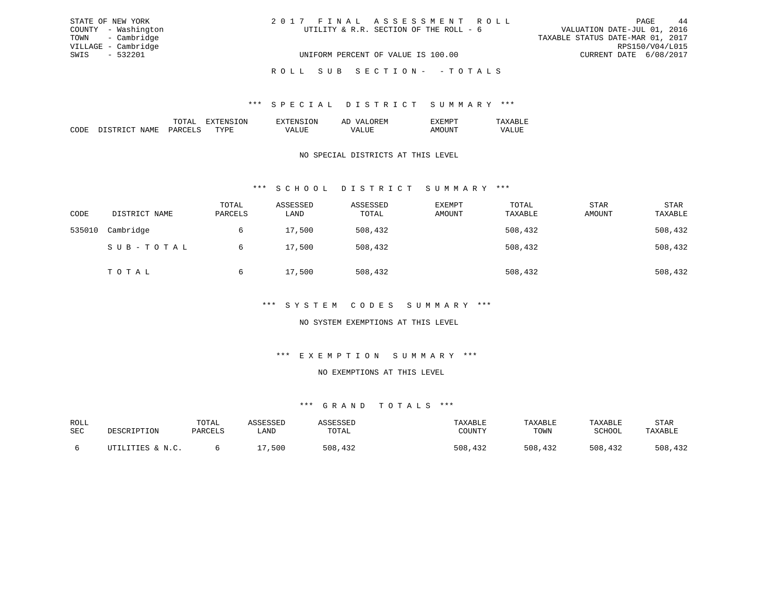| STATE OF NEW YORK   | 2017 FINAL ASSESSMENT ROLL             | 44<br>PAGE                       |
|---------------------|----------------------------------------|----------------------------------|
| COUNTY - Washington | UTILITY & R.R. SECTION OF THE ROLL - 6 | VALUATION DATE-JUL 01, 2016      |
| TOWN - Cambridge    |                                        | TAXABLE STATUS DATE-MAR 01, 2017 |
| VILLAGE - Cambridge |                                        | RPS150/V04/L015                  |
| SWIS - 532201       | UNIFORM PERCENT OF VALUE IS 100.00     | CURRENT DATE 6/08/2017           |
|                     | ROLL SUB SECTION- - TOTALS             |                                  |

|  | лv | . IV<br>. . |  |
|--|----|-------------|--|
|  | .  |             |  |

### NO SPECIAL DISTRICTS AT THIS LEVEL

### \*\*\* S C H O O L D I S T R I C T S U M M A R Y \*\*\*

| CODE   | DISTRICT NAME | TOTAL<br>PARCELS | ASSESSED<br>LAND | ASSESSED<br>TOTAL | EXEMPT<br>AMOUNT | TOTAL<br>TAXABLE | <b>STAR</b><br>AMOUNT | <b>STAR</b><br>TAXABLE |
|--------|---------------|------------------|------------------|-------------------|------------------|------------------|-----------------------|------------------------|
| 535010 | Cambridge     | 6                | 17,500           | 508,432           |                  | 508,432          |                       | 508,432                |
|        | SUB-TOTAL     | 6                | 17,500           | 508,432           |                  | 508,432          |                       | 508,432                |
|        | TOTAL         | 6                | 17,500           | 508,432           |                  | 508,432          |                       | 508,432                |

#### \*\*\* S Y S T E M C O D E S S U M M A R Y \*\*\*

### NO SYSTEM EXEMPTIONS AT THIS LEVEL

### \*\*\* E X E M P T I O N S U M M A R Y \*\*\*

#### NO EXEMPTIONS AT THIS LEVEL

| ROLL |                  | TOTAL   | <i><b>\SSESSED</b></i> |         | TAXABLE | TAXABLE     | TAXABLE     | STAR    |
|------|------------------|---------|------------------------|---------|---------|-------------|-------------|---------|
| SEC  | DESCRIPTION      | PARCELS | LAND                   | TOTAL   | COUNTY  | TOWN        | SCHOOL      | TAXABLE |
|      |                  |         |                        |         |         |             |             |         |
|      | UTILITIES & N.C. |         | 500                    | 508,432 | 508,432 | 508<br>,432 | 508<br>.432 | 508,432 |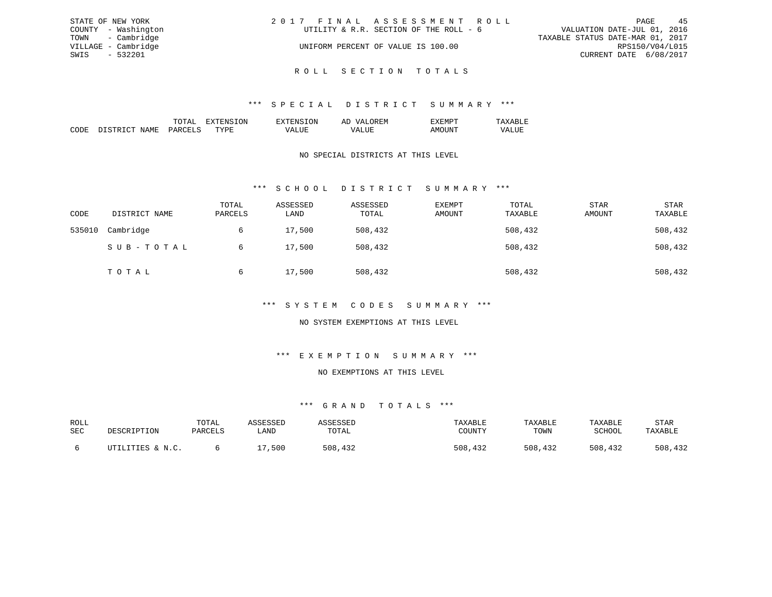| STATE OF NEW YORK   | 2017 FINAL ASSESSMENT ROLL             | 45<br>PAGE                       |
|---------------------|----------------------------------------|----------------------------------|
| COUNTY - Washington | UTILITY & R.R. SECTION OF THE ROLL - 6 | VALUATION DATE-JUL 01, 2016      |
| TOWN - Cambridge    |                                        | TAXABLE STATUS DATE-MAR 01, 2017 |
| VILLAGE - Cambridge | UNIFORM PERCENT OF VALUE IS 100.00     | RPS150/V04/L015                  |
| SWIS - 532201       |                                        | CURRENT DATE 6/08/2017           |
|                     |                                        |                                  |

R O L L S E C T I O N T O T A L S

|  |   | . IV<br>. . |  |
|--|---|-------------|--|
|  | . |             |  |

### NO SPECIAL DISTRICTS AT THIS LEVEL

### \*\*\* S C H O O L D I S T R I C T S U M M A R Y \*\*\*

| CODE   | DISTRICT NAME | TOTAL<br>PARCELS | ASSESSED<br>LAND | ASSESSED<br>TOTAL | <b>EXEMPT</b><br>AMOUNT | TOTAL<br>TAXABLE | <b>STAR</b><br>AMOUNT | STAR<br>TAXABLE |
|--------|---------------|------------------|------------------|-------------------|-------------------------|------------------|-----------------------|-----------------|
| 535010 | Cambridge     | 6                | 17,500           | 508,432           |                         | 508,432          |                       | 508,432         |
|        | SUB-TOTAL     | 6                | 17,500           | 508,432           |                         | 508,432          |                       | 508,432         |
|        | TOTAL         | 6                | 17,500           | 508,432           |                         | 508,432          |                       | 508,432         |

### \*\*\* S Y S T E M C O D E S S U M M A R Y \*\*\*

### NO SYSTEM EXEMPTIONS AT THIS LEVEL

### \*\*\* E X E M P T I O N S U M M A R Y \*\*\*

#### NO EXEMPTIONS AT THIS LEVEL

| ROLL |                  | TOTAL   | <i><b>\SSESSED</b></i> |         | TAXABLE | TAXABLE     | TAXABLE     | STAR    |
|------|------------------|---------|------------------------|---------|---------|-------------|-------------|---------|
| SEC  | DESCRIPTION      | PARCELS | LAND                   | TOTAL   | COUNTY  | TOWN        | SCHOOL      | TAXABLE |
|      |                  |         |                        |         |         |             |             |         |
|      | UTILITIES & N.C. |         | 500                    | 508,432 | 508,432 | 508<br>,432 | 508<br>.432 | 508,432 |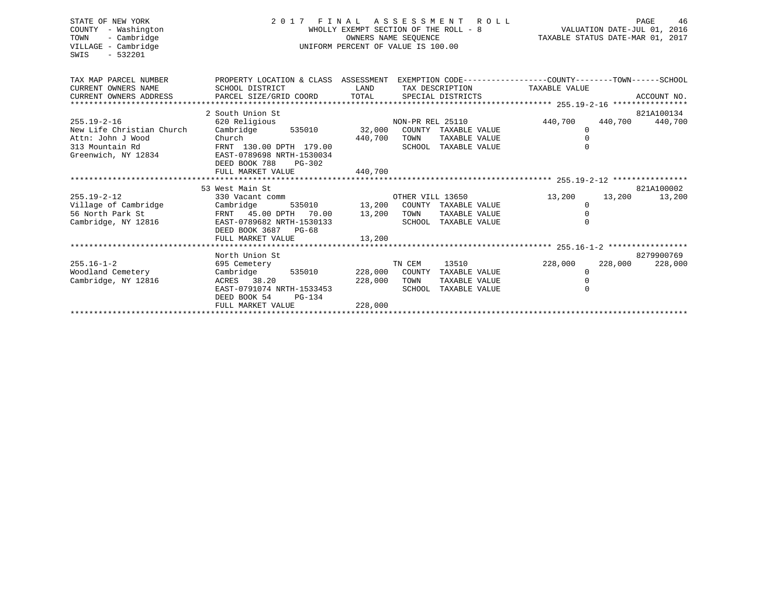| STATE OF NEW YORK<br>COUNTY - Washington<br>TOWN<br>- Cambridge<br>VILLAGE - Cambridge<br>$-532201$<br>SWIS |                                                                                                  | WHOLLY EXEMPT SECTION OF THE ROLL - 8<br>OWNERS NAME SEOUENCE<br>UNIFORM PERCENT OF VALUE IS 100.00 |                  | 2017 FINAL ASSESSMENT ROLL                           | 46 PAGE 46<br>VALUATION DATE-JUL 01, 2016<br>TAXABLE STATUS DATE-MAR 01, 2017 |         | PAGE<br>46      |
|-------------------------------------------------------------------------------------------------------------|--------------------------------------------------------------------------------------------------|-----------------------------------------------------------------------------------------------------|------------------|------------------------------------------------------|-------------------------------------------------------------------------------|---------|-----------------|
| TAX MAP PARCEL NUMBER                                                                                       | PROPERTY LOCATION & CLASS ASSESSMENT EXEMPTION CODE----------------COUNTY--------TOWN-----SCHOOL |                                                                                                     |                  |                                                      |                                                                               |         |                 |
| CURRENT OWNERS NAME<br>CURRENT OWNERS ADDRESS PARCEL SIZE/GRID COORD TOTAL SPECIAL DISTRICTS                | SCHOOL DISTRICT<br><b>LAND</b>                                                                   |                                                                                                     |                  |                                                      | TAX DESCRIPTION TAXABLE VALUE                                                 |         | ACCOUNT NO.     |
|                                                                                                             |                                                                                                  |                                                                                                     |                  |                                                      |                                                                               |         |                 |
|                                                                                                             | 2 South Union St                                                                                 |                                                                                                     |                  |                                                      |                                                                               |         | 821A100134      |
| $255.19 - 2 - 16$                                                                                           | 620 Religious                                                                                    |                                                                                                     | NON-PR REL 25110 |                                                      | 440,700                                                                       |         | 440,700 440,700 |
| New Life Christian Church                                                                                   | Cambridge                                                                                        |                                                                                                     |                  | 535010 32,000 COUNTY TAXABLE VALUE                   | 0                                                                             |         |                 |
| Attn: John J Wood                                                                                           | Church                                                                                           | 440,700                                                                                             | TOWN             | TAXABLE VALUE                                        | $\mathbf 0$                                                                   |         |                 |
| 313 Mountain Rd                                                                                             | FRNT 130.00 DPTH 179.00                                                                          |                                                                                                     |                  | SCHOOL TAXABLE VALUE                                 | $\Omega$                                                                      |         |                 |
| Greenwich, NY 12834 EAST-0789698 NRTH-1530034                                                               |                                                                                                  |                                                                                                     |                  |                                                      |                                                                               |         |                 |
|                                                                                                             | DEED BOOK 788<br>$PG-302$                                                                        |                                                                                                     |                  |                                                      |                                                                               |         |                 |
|                                                                                                             | FULL MARKET VALUE                                                                                | 440,700                                                                                             |                  |                                                      |                                                                               |         |                 |
|                                                                                                             |                                                                                                  |                                                                                                     |                  |                                                      |                                                                               |         |                 |
|                                                                                                             | 53 West Main St                                                                                  |                                                                                                     |                  |                                                      |                                                                               |         | 821A100002      |
| $255.19 - 2 - 12$                                                                                           | 330 Vacant comm                                                                                  |                                                                                                     | OTHER VILL 13650 | 535010 13,200 COUNTY TAXABLE VALUE                   | 13,200                                                                        |         | 13,200 13,200   |
| Village of Cambridge Cambridge 535010 13,200<br>56 North Park St RENT 45.00 DPTH 70.00 13,200               |                                                                                                  |                                                                                                     |                  |                                                      | 0                                                                             |         |                 |
|                                                                                                             |                                                                                                  |                                                                                                     | TOWN             | TAXABLE VALUE                                        | $\mathbf 0$                                                                   |         |                 |
| Cambridge, NY 12816                                                                                         | EAST-0789682 NRTH-1530133                                                                        |                                                                                                     |                  | SCHOOL TAXABLE VALUE                                 | $\Omega$                                                                      |         |                 |
|                                                                                                             | DEED BOOK 3687 PG-68                                                                             |                                                                                                     |                  |                                                      |                                                                               |         |                 |
|                                                                                                             | FULL MARKET VALUE                                                                                | 13,200                                                                                              |                  |                                                      |                                                                               |         |                 |
|                                                                                                             |                                                                                                  |                                                                                                     |                  |                                                      |                                                                               |         | 8279900769      |
|                                                                                                             | North Union St                                                                                   |                                                                                                     |                  |                                                      |                                                                               | 228,000 |                 |
| $255.16 - 1 - 2$                                                                                            | 695 Cemetery                                                                                     |                                                                                                     | TN CEM           | 13510 72.7                                           | 228,000                                                                       |         | 228,000         |
| Woodland Cemetery<br>Cambridge, NY 12816                                                                    | Cambridge<br>ACRES 38.20 228,000                                                                 |                                                                                                     | TOWN             | 535010 228,000 COUNTY TAXABLE VALUE<br>TAXABLE VALUE | $\mathbf 0$                                                                   |         |                 |
|                                                                                                             | EAST-0791074 NRTH-1533453                                                                        |                                                                                                     |                  | SCHOOL TAXABLE VALUE                                 |                                                                               |         |                 |
|                                                                                                             | DEED BOOK 54<br>$PG-134$                                                                         |                                                                                                     |                  |                                                      |                                                                               |         |                 |
|                                                                                                             | FULL MARKET VALUE                                                                                | 228,000                                                                                             |                  |                                                      |                                                                               |         |                 |
|                                                                                                             |                                                                                                  |                                                                                                     |                  |                                                      |                                                                               |         |                 |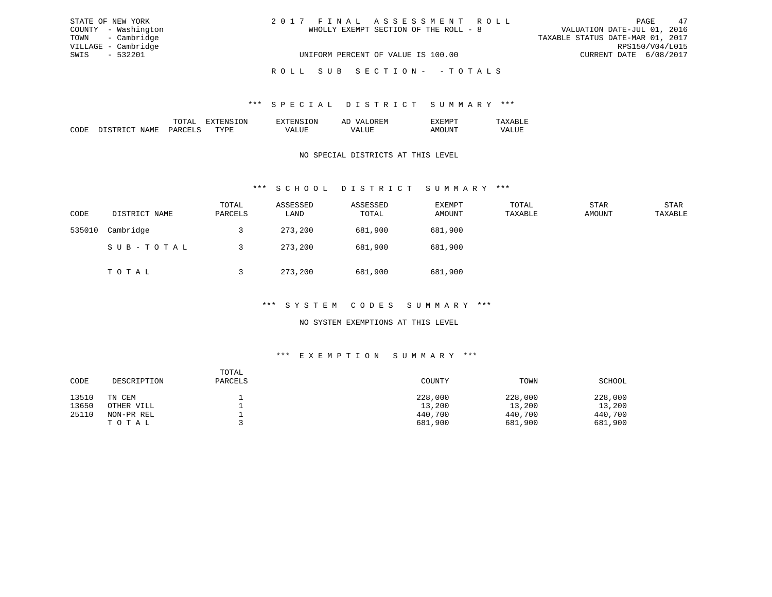| STATE OF NEW YORK   | 2017 FINAL ASSESSMENT ROLL            | 47<br>PAGE                       |
|---------------------|---------------------------------------|----------------------------------|
| COUNTY - Washington | WHOLLY EXEMPT SECTION OF THE ROLL - 8 | VALUATION DATE-JUL 01, 2016      |
| TOWN - Cambridge    |                                       | TAXABLE STATUS DATE-MAR 01, 2017 |
| VILLAGE - Cambridge |                                       | RPS150/V04/L015                  |
| SWIS - 532201       | UNIFORM PERCENT OF VALUE IS 100.00    | CURRENT DATE 6/08/2017           |
|                     | ROLL SUB SECTION- - TOTALS            |                                  |

|             | ж<br>. А    | . . | . |  |
|-------------|-------------|-----|---|--|
| ┑╓<br>,,,,, | <b>FF13</b> |     |   |  |

### NO SPECIAL DISTRICTS AT THIS LEVEL

### \*\*\* S C H O O L D I S T R I C T S U M M A R Y \*\*\*

| CODE   | DISTRICT NAME | TOTAL<br>PARCELS | ASSESSED<br>LAND | ASSESSED<br>TOTAL | EXEMPT<br>AMOUNT | TOTAL<br>TAXABLE | <b>STAR</b><br>AMOUNT | STAR<br>TAXABLE |
|--------|---------------|------------------|------------------|-------------------|------------------|------------------|-----------------------|-----------------|
| 535010 | Cambridge     |                  | 273,200          | 681,900           | 681,900          |                  |                       |                 |
|        | SUB-TOTAL     |                  | 273,200          | 681,900           | 681,900          |                  |                       |                 |
|        | TOTAL         |                  | 273,200          | 681,900           | 681,900          |                  |                       |                 |

#### \*\*\* S Y S T E M C O D E S S U M M A R Y \*\*\*

### NO SYSTEM EXEMPTIONS AT THIS LEVEL

### \*\*\* E X E M P T I O N S U M M A R Y \*\*\*

| CODE  | DESCRIPTION | TOTAL<br>PARCELS | COUNTY  | TOWN    | SCHOOL  |
|-------|-------------|------------------|---------|---------|---------|
| 13510 | TN CEM      |                  | 228,000 | 228,000 | 228,000 |
| 13650 | OTHER VILL  |                  | 13,200  | 13,200  | 13,200  |
| 25110 | NON-PR REL  |                  | 440,700 | 440,700 | 440,700 |
|       | TOTAL       |                  | 681,900 | 681,900 | 681,900 |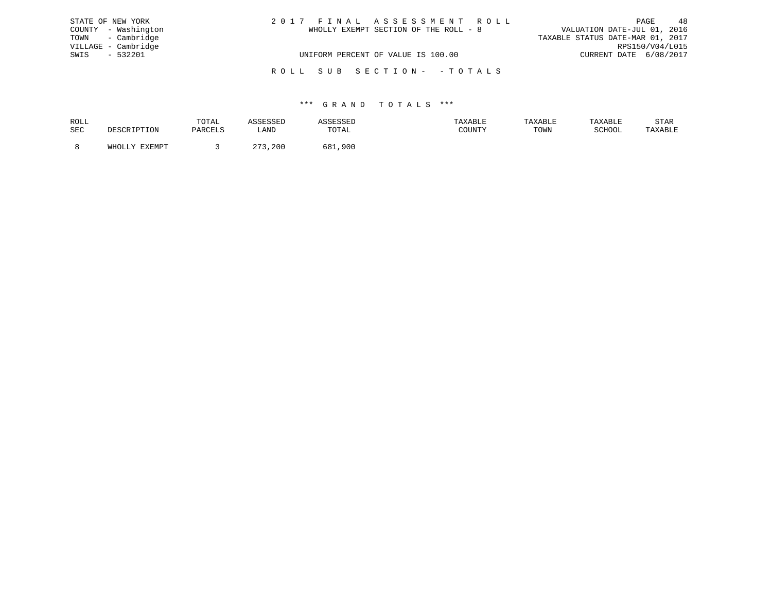| STATE OF NEW YORK   |  | 2017 FINAL ASSESSMENT ROLL            |                                  | PAGE            | 48 |
|---------------------|--|---------------------------------------|----------------------------------|-----------------|----|
| COUNTY - Washington |  | WHOLLY EXEMPT SECTION OF THE ROLL - 8 | VALUATION DATE-JUL 01, 2016      |                 |    |
| TOWN - Cambridge    |  |                                       | TAXABLE STATUS DATE-MAR 01, 2017 |                 |    |
| VILLAGE - Cambridge |  |                                       |                                  | RPS150/V04/L015 |    |
| $-532201$<br>SWIS   |  | UNIFORM PERCENT OF VALUE IS 100.00    | CURRENT DATE 6/08/2017           |                 |    |
|                     |  | ROLL SUB SECTION- - TOTALS            |                                  |                 |    |

| ROLL |        | TOTAL   |                       | דים כיכיו  | AXABLF | TAXABLı | TAXABLE | STAR    |
|------|--------|---------|-----------------------|------------|--------|---------|---------|---------|
| SEC  |        | PARCELS | LAND                  | TOTAL      |        | TOWN    | SCHOOL  | TAXABLE |
|      | FYFMDT |         | $\cap$ $\cap$<br>,200 | 681<br>900 |        |         |         |         |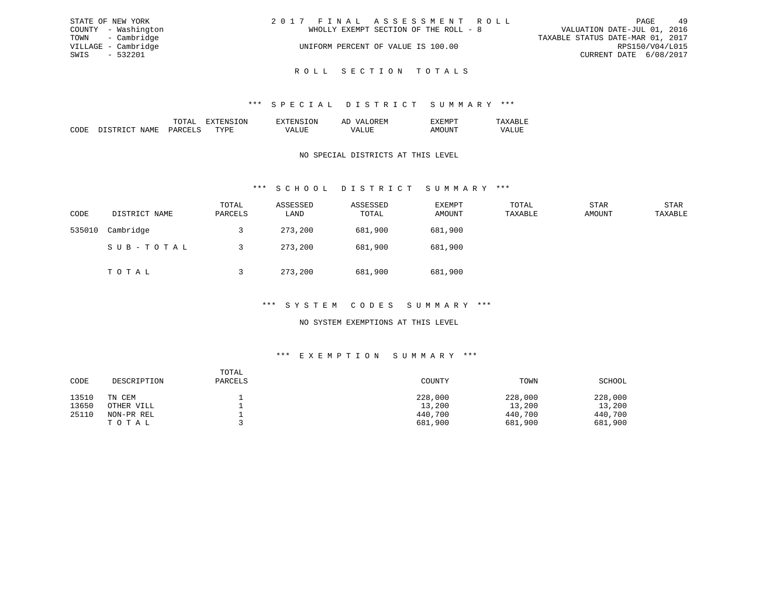| STATE OF NEW YORK   | 2017 FINAL ASSESSMENT ROLL            | 49<br>PAGE                       |
|---------------------|---------------------------------------|----------------------------------|
| COUNTY - Washington | WHOLLY EXEMPT SECTION OF THE ROLL - 8 | VALUATION DATE-JUL 01, 2016      |
| TOWN - Cambridge    |                                       | TAXABLE STATUS DATE-MAR 01, 2017 |
| VILLAGE - Cambridge | UNIFORM PERCENT OF VALUE IS 100.00    | RPS150/V04/L015                  |
| $-532201$<br>SWIS   |                                       | CURRENT DATE 6/08/2017           |
|                     |                                       |                                  |

R O L L S E C T I O N T O T A L S

|                 |       | ON | 51 |  |
|-----------------|-------|----|----|--|
| יחי<br>л п<br>w | ג דרי | ш  |    |  |

### NO SPECIAL DISTRICTS AT THIS LEVEL

### \*\*\* S C H O O L D I S T R I C T S U M M A R Y \*\*\*

| CODE   | DISTRICT NAME | TOTAL<br>PARCELS | ASSESSED<br>LAND | ASSESSED<br>TOTAL | EXEMPT<br>AMOUNT | TOTAL<br>TAXABLE | STAR<br>AMOUNT | STAR<br>TAXABLE |
|--------|---------------|------------------|------------------|-------------------|------------------|------------------|----------------|-----------------|
| 535010 | Cambridge     |                  | 273,200          | 681,900           | 681,900          |                  |                |                 |
|        | SUB-TOTAL     |                  | 273,200          | 681,900           | 681,900          |                  |                |                 |
|        | TOTAL         |                  | 273,200          | 681,900           | 681,900          |                  |                |                 |

### \*\*\* S Y S T E M C O D E S S U M M A R Y \*\*\*

### NO SYSTEM EXEMPTIONS AT THIS LEVEL

### \*\*\* E X E M P T I O N S U M M A R Y \*\*\*

| CODE  | DESCRIPTION | TOTAL<br>PARCELS | COUNTY  | TOWN    | SCHOOL  |
|-------|-------------|------------------|---------|---------|---------|
| 13510 | TN CEM      |                  | 228,000 | 228,000 | 228,000 |
| 13650 | OTHER VILL  |                  | 13,200  | 13,200  | 13,200  |
| 25110 | NON-PR REL  |                  | 440,700 | 440,700 | 440,700 |
|       | TOTAL       |                  | 681,900 | 681,900 | 681,900 |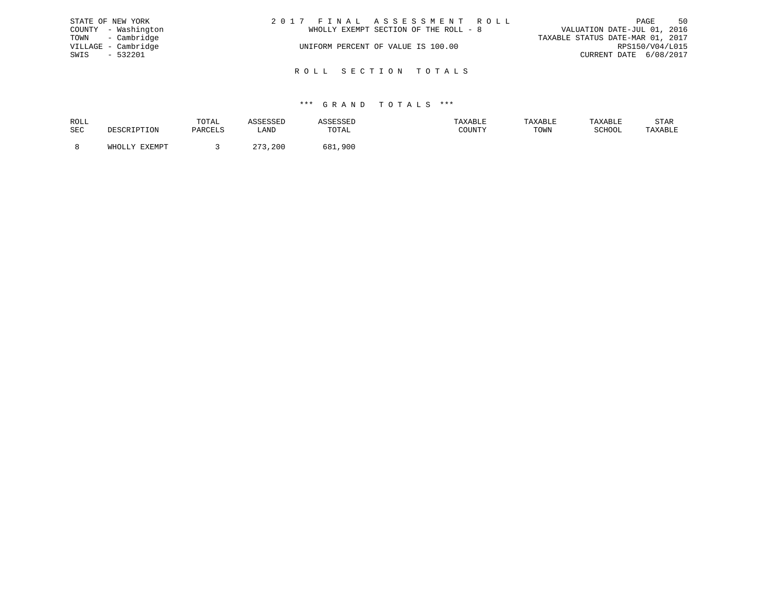| 2017 FINAL ASSESSMENT ROLL            | 50<br>PAGE                       |
|---------------------------------------|----------------------------------|
| WHOLLY EXEMPT SECTION OF THE ROLL - 8 | VALUATION DATE-JUL 01, 2016      |
|                                       | TAXABLE STATUS DATE-MAR 01, 2017 |
| UNIFORM PERCENT OF VALUE IS 100.00    | RPS150/V04/L015                  |
|                                       | CURRENT DATE 6/08/2017           |
|                                       |                                  |
|                                       | ROLL SECTION TOTALS              |

| ROLL       | TOTAL     |                      | عقادونهم          | :ABLI  | TAXABLE | TAXABLE    | STAR    |
|------------|-----------|----------------------|-------------------|--------|---------|------------|---------|
| <b>SEC</b> | DA DA TIC | ∟AND                 | <b>TOTAL</b>      | COUNTY | TOWN    | $CCLLOC^*$ | TAXABLE |
|            |           |                      |                   |        |         |            |         |
|            |           | 200<br>$\sim$ $\sim$ | ,900<br>۰ ص<br>הי |        |         |            |         |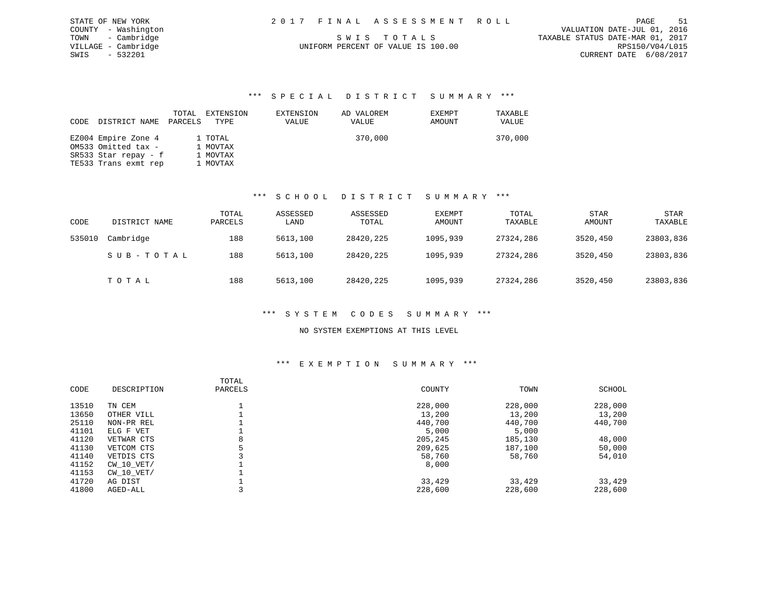| STATE OF NEW YORK   | 2017 FINAL ASSESSMENT ROLL         | 51<br>PAGE                       |
|---------------------|------------------------------------|----------------------------------|
| COUNTY - Washington |                                    | VALUATION DATE-JUL 01, 2016      |
| TOWN - Cambridge    | SWIS TOTALS                        | TAXABLE STATUS DATE-MAR 01, 2017 |
| VILLAGE - Cambridge | UNIFORM PERCENT OF VALUE IS 100.00 | RPS150/V04/L015                  |

CURRENT DATE 6/08/2017

STATE OF NEW YORK  $2017$ VILLAGE - Cambridge<br>SWIS - 532201

#### \*\*\* S P E C I A L D I S T R I C T S U M M A R Y \*\*\*

| CODE DISTRICT NAME   | TOTAL<br>PARCELS | EXTENSION<br>TYPE | EXTENSION<br>VALUE | AD VALOREM<br>VALUE | <b>EXEMPT</b><br>AMOUNT | TAXABLE<br>VALUE |
|----------------------|------------------|-------------------|--------------------|---------------------|-------------------------|------------------|
| EZ004 Empire Zone 4  |                  | 1 TOTAL           |                    | 370,000             |                         | 370,000          |
| OM533 Omitted tax -  |                  | 1 MOVTAX          |                    |                     |                         |                  |
| SR533 Star repay - f |                  | 1 MOVTAX          |                    |                     |                         |                  |
| TE533 Trans exmt rep |                  | 1 MOVTAX          |                    |                     |                         |                  |

#### \*\*\* S C H O O L D I S T R I C T S U M M A R Y \*\*\*

| CODE   | DISTRICT NAME | TOTAL<br>PARCELS | ASSESSED<br>LAND | ASSESSED<br>TOTAL | EXEMPT<br>AMOUNT | TOTAL<br>TAXABLE | <b>STAR</b><br>AMOUNT | <b>STAR</b><br>TAXABLE |
|--------|---------------|------------------|------------------|-------------------|------------------|------------------|-----------------------|------------------------|
| 535010 | Cambridge     | 188              | 5613,100         | 28420,225         | 1095,939         | 27324,286        | 3520,450              | 23803,836              |
|        | SUB-TOTAL     | 188              | 5613,100         | 28420,225         | 1095,939         | 27324,286        | 3520,450              | 23803,836              |
|        | тотаь         | 188              | 5613,100         | 28420,225         | 1095,939         | 27324,286        | 3520,450              | 23803,836              |

#### \*\*\* S Y S T E M C O D E S S U M M A R Y \*\*\*

#### NO SYSTEM EXEMPTIONS AT THIS LEVEL

#### \*\*\* E X E M P T I O N S U M M A R Y \*\*\*

| CODE  | DESCRIPTION | TOTAL<br>PARCELS | COUNTY  | TOWN    | SCHOOL  |
|-------|-------------|------------------|---------|---------|---------|
| 13510 | TN CEM      |                  | 228,000 | 228,000 | 228,000 |
| 13650 | OTHER VILL  |                  | 13,200  | 13,200  | 13,200  |
| 25110 | NON-PR REL  |                  | 440,700 | 440,700 | 440,700 |
| 41101 | ELG F VET   |                  | 5,000   | 5,000   |         |
| 41120 | VETWAR CTS  | 8                | 205,245 | 185,130 | 48,000  |
| 41130 | VETCOM CTS  | 5                | 209,625 | 187,100 | 50,000  |
| 41140 | VETDIS CTS  |                  | 58,760  | 58,760  | 54,010  |
| 41152 | CW 10 VET/  |                  | 8,000   |         |         |
| 41153 | CW 10 VET/  |                  |         |         |         |
| 41720 | AG DIST     |                  | 33,429  | 33,429  | 33,429  |
| 41800 | AGED-ALL    |                  | 228,600 | 228,600 | 228,600 |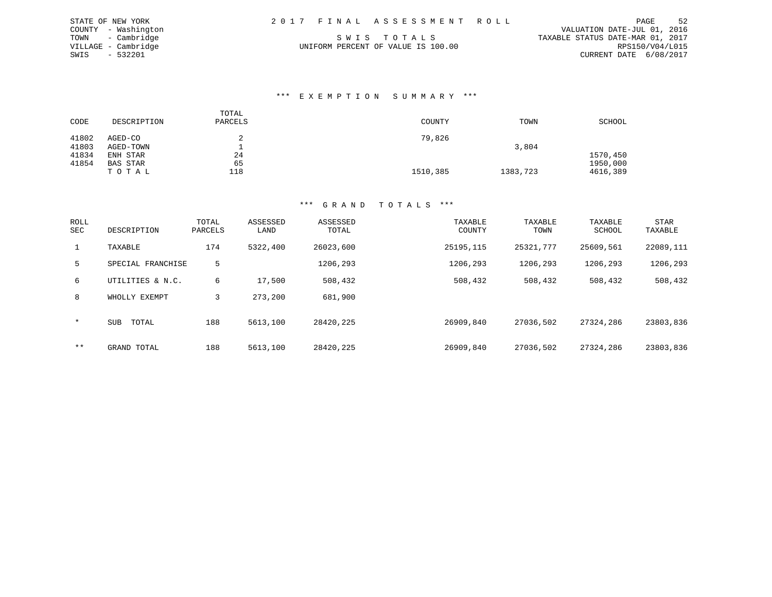| 2017 FINAL ASSESSMENT ROLL |  |  |  |  |  |  |  |  |  |  |  |  |  |  |  |  |  |  |  |  |  |  |  |
|----------------------------|--|--|--|--|--|--|--|--|--|--|--|--|--|--|--|--|--|--|--|--|--|--|--|
|----------------------------|--|--|--|--|--|--|--|--|--|--|--|--|--|--|--|--|--|--|--|--|--|--|--|

STATE OF NEW YORK 2017 FINAL ASSESSMENT ROLL PAGE 52 COUNTY - Washington VALUATION DATE-JUL 01, 2016 TOWN - Cambridge S W I S T O T A L S TAXABLE STATUS DATE-MAR 01, 2017 CURRENT DATE 6/08/2017

#### \*\*\* E X E M P T I O N S U M M A R Y \*\*\*

| CODE  | DESCRIPTION | TOTAL<br>PARCELS | COUNTY   | TOWN     | SCHOOL   |
|-------|-------------|------------------|----------|----------|----------|
| 41802 | AGED-CO     |                  | 79,826   |          |          |
| 41803 | AGED-TOWN   |                  |          | 3,804    |          |
| 41834 | ENH STAR    | 24               |          |          | 1570,450 |
| 41854 | BAS STAR    | 65               |          |          | 1950,000 |
|       | TOTAL       | 118              | 1510,385 | 1383,723 | 4616,389 |

### \*\*\* G R A N D T O T A L S \*\*\*

| ROLL<br><b>SEC</b> | DESCRIPTION         | TOTAL<br>PARCELS | ASSESSED<br>LAND | ASSESSED<br>TOTAL | TAXABLE<br>COUNTY | TAXABLE<br>TOWN | TAXABLE<br>SCHOOL | STAR<br>TAXABLE |
|--------------------|---------------------|------------------|------------------|-------------------|-------------------|-----------------|-------------------|-----------------|
| $\mathbf{1}$       | TAXABLE             | 174              | 5322,400         | 26023,600         | 25195,115         | 25321,777       | 25609,561         | 22089,111       |
| 5                  | SPECIAL FRANCHISE   | 5                |                  | 1206,293          | 1206,293          | 1206,293        | 1206,293          | 1206,293        |
| 6                  | UTILITIES & N.C.    | 6                | 17,500           | 508,432           | 508,432           | 508,432         | 508,432           | 508,432         |
| 8                  | WHOLLY EXEMPT       | 3                | 273,200          | 681,900           |                   |                 |                   |                 |
| $\star$            | <b>SUB</b><br>TOTAL | 188              | 5613,100         | 28420,225         | 26909,840         | 27036,502       | 27324,286         | 23803,836       |
| $***$              | GRAND TOTAL         | 188              | 5613,100         | 28420,225         | 26909,840         | 27036,502       | 27324,286         | 23803,836       |

VILLAGE - Cambridge UNIFORM PERCENT OF VALUE IS 100.00 SWIS - 532201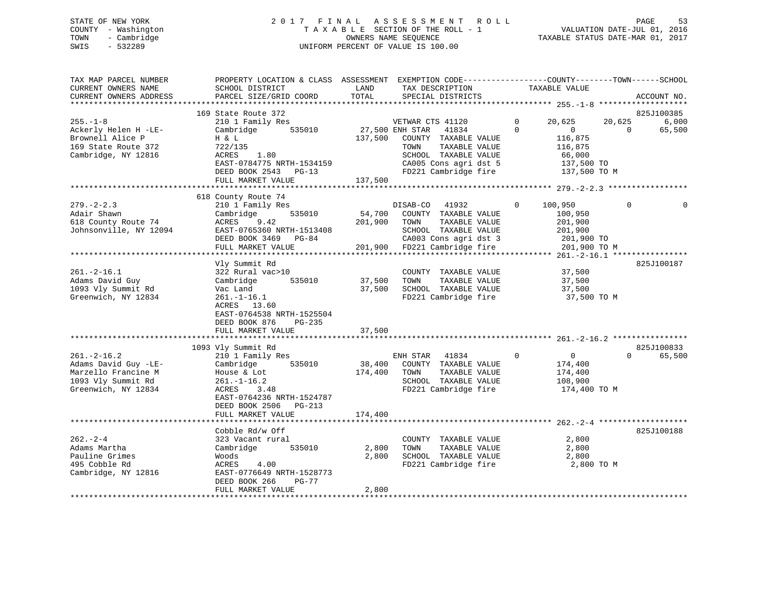# STATE OF NEW YORK 2 0 1 7 F I N A L A S S E S S M E N T R O L L PAGE 53 COUNTY - Washington T A X A B L E SECTION OF THE ROLL - 1 VALUATION DATE-JUL 01, 2016 TOWN - Cambridge OWNERS NAME SEQUENCE TAXABLE STATUS DATE-MAR 01, 2017 SWIS - 532289 UNIFORM PERCENT OF VALUE IS 100.00

| TAX MAP PARCEL NUMBER<br>CURRENT OWNERS NAME<br>CURRENT OWNERS ADDRESS<br>***********************        | PROPERTY LOCATION & CLASS ASSESSMENT<br>SCHOOL DISTRICT<br>PARCEL SIZE/GRID COORD                                                                                  | LAND<br>TOTAL      | EXEMPTION CODE-----------------COUNTY-------TOWN------SCHOOL<br>TAX DESCRIPTION<br>SPECIAL DISTRICTS                                                | TAXABLE VALUE                                                                      | ACCOUNT NO.                           |
|----------------------------------------------------------------------------------------------------------|--------------------------------------------------------------------------------------------------------------------------------------------------------------------|--------------------|-----------------------------------------------------------------------------------------------------------------------------------------------------|------------------------------------------------------------------------------------|---------------------------------------|
|                                                                                                          | 169 State Route 372                                                                                                                                                |                    |                                                                                                                                                     |                                                                                    | 825J100385                            |
| $255. - 1 - 8$<br>Ackerly Helen H -LE-<br>Brownell Alice P<br>169 State Route 372<br>Cambridge, NY 12816 | 210 1 Family Res<br>535010<br>Cambridge<br>H & L<br>722/135<br>1.80<br>ACRES                                                                                       | 137,500            | VETWAR CTS 41120<br>27,500 ENH STAR<br>41834<br>COUNTY TAXABLE VALUE<br>TAXABLE VALUE<br>TOWN<br>SCHOOL TAXABLE VALUE                               | $\mathbf 0$<br>20,625<br>$\Omega$<br>$\Omega$<br>116,875<br>116,875<br>66,000      | 6,000<br>20,625<br>65,500<br>$\Omega$ |
|                                                                                                          | EAST-0784775 NRTH-1534159<br>DEED BOOK 2543 PG-13<br>FULL MARKET VALUE                                                                                             | 137,500            | CA005 Cons agri dst 5<br>FD221 Cambridge fire                                                                                                       | 137,500 TO<br>137,500 TO M                                                         |                                       |
|                                                                                                          |                                                                                                                                                                    |                    |                                                                                                                                                     |                                                                                    |                                       |
| $279. - 2 - 2.3$<br>Adair Shawn<br>618 County Route 74<br>Johnsonville, NY 12094                         | 618 County Route 74<br>210 1 Family Res<br>Cambridge<br>535010<br>ACRES<br>9.42<br>EAST-0765360 NRTH-1513408<br>DEED BOOK 3469 PG-84<br>FULL MARKET VALUE          | 54,700<br>201,900  | DISAB-CO<br>41932<br>COUNTY TAXABLE VALUE<br>TOWN<br>TAXABLE VALUE<br>SCHOOL TAXABLE VALUE<br>CA003 Cons agri dst 3<br>201,900 FD221 Cambridge fire | $\Omega$<br>100,950<br>100,950<br>201,900<br>201,900<br>201,900 TO<br>201,900 TO M | $\Omega$                              |
|                                                                                                          |                                                                                                                                                                    |                    |                                                                                                                                                     |                                                                                    |                                       |
| $261. -2 - 16.1$<br>Adams David Guy<br>1093 Vly Summit Rd<br>Greenwich, NY 12834                         | Vly Summit Rd<br>322 Rural vac>10<br>535010<br>Cambridge<br>Vac Land<br>$261. - 1 - 16.1$<br>ACRES 13.60<br>EAST-0764538 NRTH-1525504<br>DEED BOOK 876<br>$PG-235$ | 37,500<br>37,500   | COUNTY TAXABLE VALUE<br>TAXABLE VALUE<br>TOWN<br>SCHOOL TAXABLE VALUE<br>FD221 Cambridge fire                                                       | 37,500<br>37,500<br>37,500<br>37,500 TO M                                          | 825J100187                            |
|                                                                                                          | FULL MARKET VALUE                                                                                                                                                  | 37,500             |                                                                                                                                                     |                                                                                    |                                       |
| $261. - 2 - 16.2$<br>Adams David Guy -LE-                                                                | 1093 Vly Summit Rd<br>210 1 Family Res<br>Cambridge<br>535010                                                                                                      | 38,400             | ENH STAR<br>41834<br>COUNTY TAXABLE VALUE                                                                                                           | $\mathbf{0}$<br>$\overline{0}$<br>174,400                                          | 825J100833<br>65,500<br>$\Omega$      |
| Marzello Francine M<br>1093 Vly Summit Rd<br>Greenwich, NY 12834                                         | House & Lot<br>$261. - 1 - 16.2$<br>ACRES<br>3.48<br>EAST-0764236 NRTH-1524787<br>DEED BOOK 2506<br>$PG-213$<br>FULL MARKET VALUE                                  | 174,400<br>174,400 | TOWN<br>TAXABLE VALUE<br>SCHOOL TAXABLE VALUE<br>FD221 Cambridge fire                                                                               | 174,400<br>108,900<br>174,400 TO M                                                 |                                       |
|                                                                                                          |                                                                                                                                                                    |                    |                                                                                                                                                     |                                                                                    |                                       |
| $262 - 2 - 4$<br>Adams Martha                                                                            | Cobble Rd/w Off<br>323 Vacant rural<br>Cambridge<br>535010                                                                                                         | 2,800              | COUNTY TAXABLE VALUE<br>TAXABLE VALUE<br>TOWN                                                                                                       | 2,800<br>2,800                                                                     | 825J100188                            |
| Pauline Grimes<br>495 Cobble Rd<br>Cambridge, NY 12816                                                   | Woods<br>4.00<br>ACRES<br>EAST-0776649 NRTH-1528773<br>DEED BOOK 266<br>PG-77                                                                                      | 2,800              | SCHOOL TAXABLE VALUE<br>FD221 Cambridge fire                                                                                                        | 2,800<br>2,800 TO M                                                                |                                       |
|                                                                                                          | FULL MARKET VALUE                                                                                                                                                  | 2,800              |                                                                                                                                                     |                                                                                    |                                       |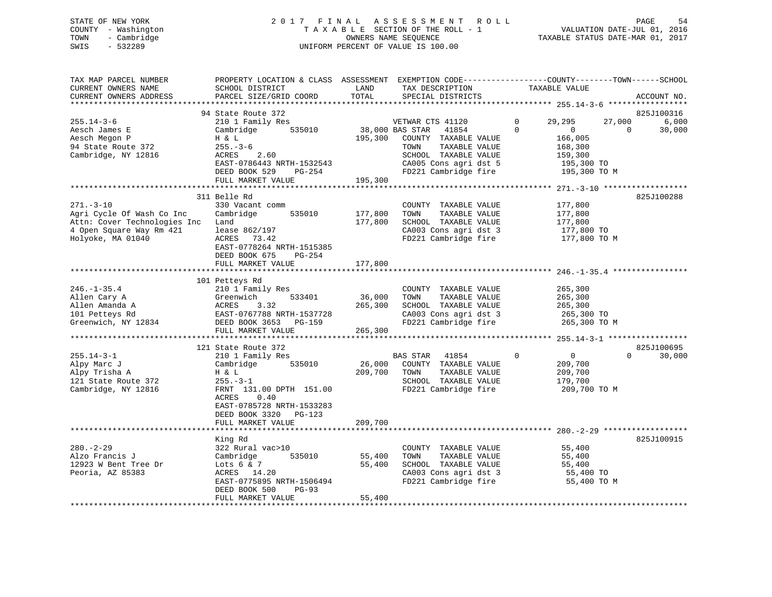# STATE OF NEW YORK 2 0 1 7 F I N A L A S S E S S M E N T R O L L PAGE 54 COUNTY - Washington T A X A B L E SECTION OF THE ROLL - 1 VALUATION DATE-JUL 01, 2016 TOWN - Cambridge OWNERS NAME SEQUENCE TAXABLE STATUS DATE-MAR 01, 2017 SWIS - 532289 UNIFORM PERCENT OF VALUE IS 100.00

| TAX MAP PARCEL NUMBER<br>CURRENT OWNERS NAME<br>CURRENT OWNERS ADDRESS                                                        | PROPERTY LOCATION & CLASS ASSESSMENT<br>SCHOOL DISTRICT<br>PARCEL SIZE/GRID COORD                                                                                                            | LAND<br>TOTAL                | EXEMPTION CODE-----------------COUNTY-------TOWN------SCHOOL<br>TAX DESCRIPTION<br>SPECIAL DISTRICTS                                                                   | TAXABLE VALUE |                                                                                            | ACCOUNT NO.                 |
|-------------------------------------------------------------------------------------------------------------------------------|----------------------------------------------------------------------------------------------------------------------------------------------------------------------------------------------|------------------------------|------------------------------------------------------------------------------------------------------------------------------------------------------------------------|---------------|--------------------------------------------------------------------------------------------|-----------------------------|
| ***********************                                                                                                       |                                                                                                                                                                                              |                              |                                                                                                                                                                        |               |                                                                                            |                             |
|                                                                                                                               | 94 State Route 372                                                                                                                                                                           |                              |                                                                                                                                                                        | $\Omega$      |                                                                                            | 825J100316                  |
| $255.14 - 3 - 6$<br>Aesch James E<br>Aesch Megon P<br>94 State Route 372<br>Cambridge, NY 12816                               | 210 1 Family Res<br>535010<br>Cambridge<br>H & L<br>$255. - 3 - 6$<br>2.60<br>ACRES<br>EAST-0786443 NRTH-1532543<br>DEED BOOK 529<br>PG-254                                                  | 195,300                      | VETWAR CTS 41120<br>38,000 BAS STAR<br>41854<br>COUNTY TAXABLE VALUE<br>TOWN<br>TAXABLE VALUE<br>SCHOOL TAXABLE VALUE<br>CA005 Cons agri dst 5<br>FD221 Cambridge fire | $\Omega$      | 27,000<br>29,295<br>$\circ$<br>166,005<br>168,300<br>159,300<br>195,300 TO<br>195,300 TO M | 6,000<br>$\Omega$<br>30,000 |
|                                                                                                                               | FULL MARKET VALUE                                                                                                                                                                            | 195,300                      |                                                                                                                                                                        |               |                                                                                            |                             |
|                                                                                                                               |                                                                                                                                                                                              |                              |                                                                                                                                                                        |               |                                                                                            |                             |
|                                                                                                                               | 311 Belle Rd                                                                                                                                                                                 |                              |                                                                                                                                                                        |               |                                                                                            | 825J100288                  |
| $271. - 3 - 10$<br>Agri Cycle Of Wash Co Inc<br>Attn: Cover Technologies Inc<br>4 Open Square Way Rm 421<br>Holyoke, MA 01040 | 330 Vacant comm<br>Cambridge<br>535010<br>Land<br>lease 862/197<br>ACRES<br>73.42<br>EAST-0778264 NRTH-1515385<br>DEED BOOK 675<br>PG-254                                                    | 177,800<br>177,800           | COUNTY TAXABLE VALUE<br>TOWN<br>TAXABLE VALUE<br>SCHOOL TAXABLE VALUE<br>CA003 Cons agri dst 3<br>FD221 Cambridge fire                                                 |               | 177,800<br>177,800<br>177,800<br>177,800 TO<br>177,800 TO M                                |                             |
|                                                                                                                               | FULL MARKET VALUE                                                                                                                                                                            | 177,800                      |                                                                                                                                                                        |               |                                                                                            |                             |
|                                                                                                                               |                                                                                                                                                                                              |                              | *********************************** 246.-1-35.4 **                                                                                                                     |               |                                                                                            |                             |
|                                                                                                                               | 101 Petteys Rd                                                                                                                                                                               |                              |                                                                                                                                                                        |               |                                                                                            |                             |
| $246. - 1 - 35.4$<br>Allen Cary A<br>Allen Amanda A<br>101 Petteys Rd<br>Greenwich, NY 12834                                  | 210 1 Family Res<br>533401<br>Greenwich<br>ACRES<br>3.32<br>EAST-0767788 NRTH-1537728<br>DEED BOOK 3653 PG-159<br>FULL MARKET VALUE                                                          | 36,000<br>265,300<br>265,300 | COUNTY TAXABLE VALUE<br>TAXABLE VALUE<br>TOWN<br>SCHOOL TAXABLE VALUE<br>CA003 Cons agri dst 3<br>FD221 Cambridge fire                                                 |               | 265,300<br>265,300<br>265,300<br>265,300 TO<br>265,300 TO M                                |                             |
|                                                                                                                               |                                                                                                                                                                                              |                              |                                                                                                                                                                        |               |                                                                                            |                             |
|                                                                                                                               | 121 State Route 372                                                                                                                                                                          |                              |                                                                                                                                                                        |               |                                                                                            | 825J100695                  |
| $255.14 - 3 - 1$<br>Alpy Marc J<br>Alpy Trisha A<br>121 State Route 372<br>Cambridge, NY 12816                                | 210 1 Family Res<br>535010<br>Cambridge<br>H & L<br>$255. - 3 - 1$<br>FRNT 131.00 DPTH 151.00<br>ACRES<br>0.40<br>EAST-0785728 NRTH-1533283<br>DEED BOOK 3320<br>PG-123<br>FULL MARKET VALUE | 26,000<br>209,700<br>209,700 | BAS STAR<br>41854<br>COUNTY TAXABLE VALUE<br>TAXABLE VALUE<br>TOWN<br>SCHOOL TAXABLE VALUE<br>FD221 Cambridge fire                                                     | $\mathbf 0$   | $\overline{0}$<br>209,700<br>209,700<br>179,700<br>209,700 TO M                            | 30,000<br>$\Omega$          |
|                                                                                                                               |                                                                                                                                                                                              |                              |                                                                                                                                                                        |               |                                                                                            |                             |
|                                                                                                                               | King Rd                                                                                                                                                                                      |                              |                                                                                                                                                                        |               |                                                                                            | 825J100915                  |
| $280. - 2 - 29$<br>Alzo Francis J<br>12923 W Bent Tree Dr<br>Peoria, AZ 85383                                                 | 322 Rural vac>10<br>535010<br>Cambridge<br>Lots $6 & 7$<br>ACRES 14.20<br>EAST-0775895 NRTH-1506494<br>DEED BOOK 500<br>$PG-93$<br>FULL MARKET VALUE                                         | 55,400<br>55,400<br>55,400   | COUNTY TAXABLE VALUE<br>TOWN<br>TAXABLE VALUE<br>SCHOOL TAXABLE VALUE<br>CA003 Cons agri dst 3<br>FD221 Cambridge fire                                                 |               | 55,400<br>55,400<br>55,400<br>55,400 TO<br>55,400 TO M                                     |                             |
|                                                                                                                               |                                                                                                                                                                                              |                              |                                                                                                                                                                        |               |                                                                                            |                             |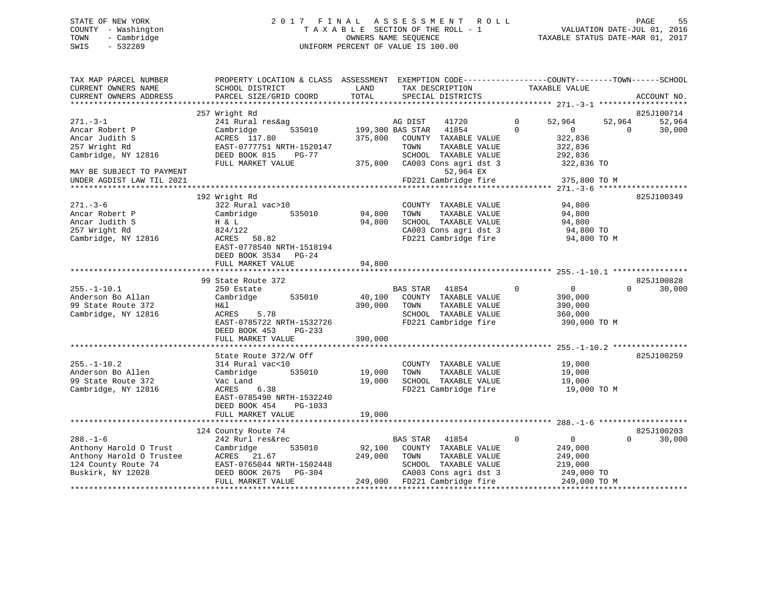# STATE OF NEW YORK 2 0 1 7 F I N A L A S S E S S M E N T R O L L PAGE 55 COUNTY - Washington T A X A B L E SECTION OF THE ROLL - 1 VALUATION DATE-JUL 01, 2016 TOWN - Cambridge OWNERS NAME SEQUENCE TAXABLE STATUS DATE-MAR 01, 2017 SWIS - 532289 UNIFORM PERCENT OF VALUE IS 100.00

| 257 Wright Rd<br>825J100714<br>$271. - 3 - 1$<br>241 Rural res&ag<br>$\Omega$<br>52,964<br>52,964<br>AG DIST<br>41720<br>52,964<br>199,300 BAS STAR<br>$\Omega$<br>30,000<br>Ancar Robert P<br>Cambridge<br>535010<br>41854<br>$\overline{0}$<br>$\Omega$<br>322,836<br>Ancar Judith S<br>ACRES 117.80<br>375,800<br>COUNTY TAXABLE VALUE<br>257 Wright Rd<br>EAST-0777751 NRTH-1520147<br>TOWN<br>TAXABLE VALUE<br>322,836<br>Cambridge, NY 12816<br>SCHOOL TAXABLE VALUE<br>DEED BOOK 815<br>PG-77<br>292,836<br>375,800<br>CA003 Cons agri dst 3<br>FULL MARKET VALUE<br>322,836 TO<br>MAY BE SUBJECT TO PAYMENT<br>52,964 EX<br>FD221 Cambridge fire<br>UNDER AGDIST LAW TIL 2021<br>375,800 TO M<br>********************************** 271.-3-6<br>192 Wright Rd<br>825J100349<br>$271. - 3 - 6$<br>322 Rural vac>10<br>94,800<br>COUNTY TAXABLE VALUE<br>94,800<br>TAXABLE VALUE<br>Ancar Robert P<br>Cambridge<br>535010<br>TOWN<br>94,800<br>Ancar Judith S<br>94,800<br>SCHOOL TAXABLE VALUE<br>H & L<br>94,800<br>CA003 Cons agri dst 3<br>257 Wright Rd<br>824/122<br>94,800 TO<br>FD221 Cambridge fire<br>Cambridge, NY 12816<br>ACRES 58.82<br>94,800 TO M<br>EAST-0778540 NRTH-1518194<br>DEED BOOK 3534 PG-24<br>94,800<br>FULL MARKET VALUE<br>99 State Route 372<br>825J100828<br>BAS STAR 41854<br>$\Omega$<br>250 Estate<br>$\overline{0}$<br>$\Omega$<br>30,000<br>Cambridge<br>535010<br>40,100<br>COUNTY TAXABLE VALUE<br>390,000<br>H&l<br>390,000<br>TOWN<br>TAXABLE VALUE<br>390,000<br>Cambridge, NY 12816<br>ACRES<br>5.78<br>SCHOOL TAXABLE VALUE<br>360,000<br>EAST-0785722 NRTH-1532726<br>FD221 Cambridge fire<br>390,000 TO M<br>DEED BOOK 453<br>$PG-233$<br>390,000<br>FULL MARKET VALUE<br>825J100259<br>State Route 372/W Off<br>314 Rural vac<10<br>COUNTY TAXABLE VALUE<br>19,000<br>535010<br>19,000<br>TOWN<br>TAXABLE VALUE<br>Cambridge<br>19,000<br>19,000<br>SCHOOL TAXABLE VALUE<br>Vac Land<br>19,000<br>6.38<br>FD221 Cambridge fire<br>ACRES<br>19,000 TO M<br>EAST-0785490 NRTH-1532240<br>DEED BOOK 454<br>PG-1033<br>FULL MARKET VALUE<br>19,000<br>825J100203<br>124 County Route 74<br>242 Rurl res&rec<br>$\Omega$<br>$\overline{0}$<br>30,000<br>BAS STAR<br>41854<br>$\cap$<br>92,100<br>COUNTY TAXABLE VALUE<br>Cambridge<br>535010<br>249,000<br>Anthony Harold O Trustee<br>249,000<br>ACRES 21.67<br>TOWN<br>TAXABLE VALUE<br>249,000<br>EAST-0765044 NRTH-1502448<br>SCHOOL TAXABLE VALUE<br>219,000<br>DEED BOOK 2675<br>$PG-304$<br>CA003 Cons agri dst 3<br>249,000 TO<br>FULL MARKET VALUE<br>249,000 FD221 Cambridge fire<br>249,000 TO M | TAX MAP PARCEL NUMBER<br>CURRENT OWNERS NAME<br>CURRENT OWNERS ADDRESS | PROPERTY LOCATION & CLASS ASSESSMENT EXEMPTION CODE----------------COUNTY-------TOWN------SCHOOL<br>SCHOOL DISTRICT<br>PARCEL SIZE/GRID COORD | LAND<br>TOTAL | TAX DESCRIPTION<br>SPECIAL DISTRICTS | TAXABLE VALUE | ACCOUNT NO. |
|-------------------------------------------------------------------------------------------------------------------------------------------------------------------------------------------------------------------------------------------------------------------------------------------------------------------------------------------------------------------------------------------------------------------------------------------------------------------------------------------------------------------------------------------------------------------------------------------------------------------------------------------------------------------------------------------------------------------------------------------------------------------------------------------------------------------------------------------------------------------------------------------------------------------------------------------------------------------------------------------------------------------------------------------------------------------------------------------------------------------------------------------------------------------------------------------------------------------------------------------------------------------------------------------------------------------------------------------------------------------------------------------------------------------------------------------------------------------------------------------------------------------------------------------------------------------------------------------------------------------------------------------------------------------------------------------------------------------------------------------------------------------------------------------------------------------------------------------------------------------------------------------------------------------------------------------------------------------------------------------------------------------------------------------------------------------------------------------------------------------------------------------------------------------------------------------------------------------------------------------------------------------------------------------------------------------------------------------------------------------------------------------------------------------------------------------------------------------------------------------------------------------------------------------------------------------------------------------------------------|------------------------------------------------------------------------|-----------------------------------------------------------------------------------------------------------------------------------------------|---------------|--------------------------------------|---------------|-------------|
|                                                                                                                                                                                                                                                                                                                                                                                                                                                                                                                                                                                                                                                                                                                                                                                                                                                                                                                                                                                                                                                                                                                                                                                                                                                                                                                                                                                                                                                                                                                                                                                                                                                                                                                                                                                                                                                                                                                                                                                                                                                                                                                                                                                                                                                                                                                                                                                                                                                                                                                                                                                                             |                                                                        |                                                                                                                                               |               |                                      |               |             |
|                                                                                                                                                                                                                                                                                                                                                                                                                                                                                                                                                                                                                                                                                                                                                                                                                                                                                                                                                                                                                                                                                                                                                                                                                                                                                                                                                                                                                                                                                                                                                                                                                                                                                                                                                                                                                                                                                                                                                                                                                                                                                                                                                                                                                                                                                                                                                                                                                                                                                                                                                                                                             |                                                                        |                                                                                                                                               |               |                                      |               |             |
|                                                                                                                                                                                                                                                                                                                                                                                                                                                                                                                                                                                                                                                                                                                                                                                                                                                                                                                                                                                                                                                                                                                                                                                                                                                                                                                                                                                                                                                                                                                                                                                                                                                                                                                                                                                                                                                                                                                                                                                                                                                                                                                                                                                                                                                                                                                                                                                                                                                                                                                                                                                                             |                                                                        |                                                                                                                                               |               |                                      |               |             |
|                                                                                                                                                                                                                                                                                                                                                                                                                                                                                                                                                                                                                                                                                                                                                                                                                                                                                                                                                                                                                                                                                                                                                                                                                                                                                                                                                                                                                                                                                                                                                                                                                                                                                                                                                                                                                                                                                                                                                                                                                                                                                                                                                                                                                                                                                                                                                                                                                                                                                                                                                                                                             |                                                                        |                                                                                                                                               |               |                                      |               |             |
|                                                                                                                                                                                                                                                                                                                                                                                                                                                                                                                                                                                                                                                                                                                                                                                                                                                                                                                                                                                                                                                                                                                                                                                                                                                                                                                                                                                                                                                                                                                                                                                                                                                                                                                                                                                                                                                                                                                                                                                                                                                                                                                                                                                                                                                                                                                                                                                                                                                                                                                                                                                                             |                                                                        |                                                                                                                                               |               |                                      |               |             |
|                                                                                                                                                                                                                                                                                                                                                                                                                                                                                                                                                                                                                                                                                                                                                                                                                                                                                                                                                                                                                                                                                                                                                                                                                                                                                                                                                                                                                                                                                                                                                                                                                                                                                                                                                                                                                                                                                                                                                                                                                                                                                                                                                                                                                                                                                                                                                                                                                                                                                                                                                                                                             |                                                                        |                                                                                                                                               |               |                                      |               |             |
|                                                                                                                                                                                                                                                                                                                                                                                                                                                                                                                                                                                                                                                                                                                                                                                                                                                                                                                                                                                                                                                                                                                                                                                                                                                                                                                                                                                                                                                                                                                                                                                                                                                                                                                                                                                                                                                                                                                                                                                                                                                                                                                                                                                                                                                                                                                                                                                                                                                                                                                                                                                                             |                                                                        |                                                                                                                                               |               |                                      |               |             |
|                                                                                                                                                                                                                                                                                                                                                                                                                                                                                                                                                                                                                                                                                                                                                                                                                                                                                                                                                                                                                                                                                                                                                                                                                                                                                                                                                                                                                                                                                                                                                                                                                                                                                                                                                                                                                                                                                                                                                                                                                                                                                                                                                                                                                                                                                                                                                                                                                                                                                                                                                                                                             |                                                                        |                                                                                                                                               |               |                                      |               |             |
|                                                                                                                                                                                                                                                                                                                                                                                                                                                                                                                                                                                                                                                                                                                                                                                                                                                                                                                                                                                                                                                                                                                                                                                                                                                                                                                                                                                                                                                                                                                                                                                                                                                                                                                                                                                                                                                                                                                                                                                                                                                                                                                                                                                                                                                                                                                                                                                                                                                                                                                                                                                                             |                                                                        |                                                                                                                                               |               |                                      |               |             |
|                                                                                                                                                                                                                                                                                                                                                                                                                                                                                                                                                                                                                                                                                                                                                                                                                                                                                                                                                                                                                                                                                                                                                                                                                                                                                                                                                                                                                                                                                                                                                                                                                                                                                                                                                                                                                                                                                                                                                                                                                                                                                                                                                                                                                                                                                                                                                                                                                                                                                                                                                                                                             |                                                                        |                                                                                                                                               |               |                                      |               |             |
|                                                                                                                                                                                                                                                                                                                                                                                                                                                                                                                                                                                                                                                                                                                                                                                                                                                                                                                                                                                                                                                                                                                                                                                                                                                                                                                                                                                                                                                                                                                                                                                                                                                                                                                                                                                                                                                                                                                                                                                                                                                                                                                                                                                                                                                                                                                                                                                                                                                                                                                                                                                                             |                                                                        |                                                                                                                                               |               |                                      |               |             |
|                                                                                                                                                                                                                                                                                                                                                                                                                                                                                                                                                                                                                                                                                                                                                                                                                                                                                                                                                                                                                                                                                                                                                                                                                                                                                                                                                                                                                                                                                                                                                                                                                                                                                                                                                                                                                                                                                                                                                                                                                                                                                                                                                                                                                                                                                                                                                                                                                                                                                                                                                                                                             |                                                                        |                                                                                                                                               |               |                                      |               |             |
|                                                                                                                                                                                                                                                                                                                                                                                                                                                                                                                                                                                                                                                                                                                                                                                                                                                                                                                                                                                                                                                                                                                                                                                                                                                                                                                                                                                                                                                                                                                                                                                                                                                                                                                                                                                                                                                                                                                                                                                                                                                                                                                                                                                                                                                                                                                                                                                                                                                                                                                                                                                                             |                                                                        |                                                                                                                                               |               |                                      |               |             |
|                                                                                                                                                                                                                                                                                                                                                                                                                                                                                                                                                                                                                                                                                                                                                                                                                                                                                                                                                                                                                                                                                                                                                                                                                                                                                                                                                                                                                                                                                                                                                                                                                                                                                                                                                                                                                                                                                                                                                                                                                                                                                                                                                                                                                                                                                                                                                                                                                                                                                                                                                                                                             |                                                                        |                                                                                                                                               |               |                                      |               |             |
|                                                                                                                                                                                                                                                                                                                                                                                                                                                                                                                                                                                                                                                                                                                                                                                                                                                                                                                                                                                                                                                                                                                                                                                                                                                                                                                                                                                                                                                                                                                                                                                                                                                                                                                                                                                                                                                                                                                                                                                                                                                                                                                                                                                                                                                                                                                                                                                                                                                                                                                                                                                                             |                                                                        |                                                                                                                                               |               |                                      |               |             |
|                                                                                                                                                                                                                                                                                                                                                                                                                                                                                                                                                                                                                                                                                                                                                                                                                                                                                                                                                                                                                                                                                                                                                                                                                                                                                                                                                                                                                                                                                                                                                                                                                                                                                                                                                                                                                                                                                                                                                                                                                                                                                                                                                                                                                                                                                                                                                                                                                                                                                                                                                                                                             |                                                                        |                                                                                                                                               |               |                                      |               |             |
|                                                                                                                                                                                                                                                                                                                                                                                                                                                                                                                                                                                                                                                                                                                                                                                                                                                                                                                                                                                                                                                                                                                                                                                                                                                                                                                                                                                                                                                                                                                                                                                                                                                                                                                                                                                                                                                                                                                                                                                                                                                                                                                                                                                                                                                                                                                                                                                                                                                                                                                                                                                                             |                                                                        |                                                                                                                                               |               |                                      |               |             |
|                                                                                                                                                                                                                                                                                                                                                                                                                                                                                                                                                                                                                                                                                                                                                                                                                                                                                                                                                                                                                                                                                                                                                                                                                                                                                                                                                                                                                                                                                                                                                                                                                                                                                                                                                                                                                                                                                                                                                                                                                                                                                                                                                                                                                                                                                                                                                                                                                                                                                                                                                                                                             |                                                                        |                                                                                                                                               |               |                                      |               |             |
|                                                                                                                                                                                                                                                                                                                                                                                                                                                                                                                                                                                                                                                                                                                                                                                                                                                                                                                                                                                                                                                                                                                                                                                                                                                                                                                                                                                                                                                                                                                                                                                                                                                                                                                                                                                                                                                                                                                                                                                                                                                                                                                                                                                                                                                                                                                                                                                                                                                                                                                                                                                                             |                                                                        |                                                                                                                                               |               |                                      |               |             |
|                                                                                                                                                                                                                                                                                                                                                                                                                                                                                                                                                                                                                                                                                                                                                                                                                                                                                                                                                                                                                                                                                                                                                                                                                                                                                                                                                                                                                                                                                                                                                                                                                                                                                                                                                                                                                                                                                                                                                                                                                                                                                                                                                                                                                                                                                                                                                                                                                                                                                                                                                                                                             |                                                                        |                                                                                                                                               |               |                                      |               |             |
|                                                                                                                                                                                                                                                                                                                                                                                                                                                                                                                                                                                                                                                                                                                                                                                                                                                                                                                                                                                                                                                                                                                                                                                                                                                                                                                                                                                                                                                                                                                                                                                                                                                                                                                                                                                                                                                                                                                                                                                                                                                                                                                                                                                                                                                                                                                                                                                                                                                                                                                                                                                                             |                                                                        |                                                                                                                                               |               |                                      |               |             |
|                                                                                                                                                                                                                                                                                                                                                                                                                                                                                                                                                                                                                                                                                                                                                                                                                                                                                                                                                                                                                                                                                                                                                                                                                                                                                                                                                                                                                                                                                                                                                                                                                                                                                                                                                                                                                                                                                                                                                                                                                                                                                                                                                                                                                                                                                                                                                                                                                                                                                                                                                                                                             | $255. - 1 - 10.1$                                                      |                                                                                                                                               |               |                                      |               |             |
|                                                                                                                                                                                                                                                                                                                                                                                                                                                                                                                                                                                                                                                                                                                                                                                                                                                                                                                                                                                                                                                                                                                                                                                                                                                                                                                                                                                                                                                                                                                                                                                                                                                                                                                                                                                                                                                                                                                                                                                                                                                                                                                                                                                                                                                                                                                                                                                                                                                                                                                                                                                                             | Anderson Bo Allan                                                      |                                                                                                                                               |               |                                      |               |             |
|                                                                                                                                                                                                                                                                                                                                                                                                                                                                                                                                                                                                                                                                                                                                                                                                                                                                                                                                                                                                                                                                                                                                                                                                                                                                                                                                                                                                                                                                                                                                                                                                                                                                                                                                                                                                                                                                                                                                                                                                                                                                                                                                                                                                                                                                                                                                                                                                                                                                                                                                                                                                             | 99 State Route 372                                                     |                                                                                                                                               |               |                                      |               |             |
|                                                                                                                                                                                                                                                                                                                                                                                                                                                                                                                                                                                                                                                                                                                                                                                                                                                                                                                                                                                                                                                                                                                                                                                                                                                                                                                                                                                                                                                                                                                                                                                                                                                                                                                                                                                                                                                                                                                                                                                                                                                                                                                                                                                                                                                                                                                                                                                                                                                                                                                                                                                                             |                                                                        |                                                                                                                                               |               |                                      |               |             |
|                                                                                                                                                                                                                                                                                                                                                                                                                                                                                                                                                                                                                                                                                                                                                                                                                                                                                                                                                                                                                                                                                                                                                                                                                                                                                                                                                                                                                                                                                                                                                                                                                                                                                                                                                                                                                                                                                                                                                                                                                                                                                                                                                                                                                                                                                                                                                                                                                                                                                                                                                                                                             |                                                                        |                                                                                                                                               |               |                                      |               |             |
|                                                                                                                                                                                                                                                                                                                                                                                                                                                                                                                                                                                                                                                                                                                                                                                                                                                                                                                                                                                                                                                                                                                                                                                                                                                                                                                                                                                                                                                                                                                                                                                                                                                                                                                                                                                                                                                                                                                                                                                                                                                                                                                                                                                                                                                                                                                                                                                                                                                                                                                                                                                                             |                                                                        |                                                                                                                                               |               |                                      |               |             |
|                                                                                                                                                                                                                                                                                                                                                                                                                                                                                                                                                                                                                                                                                                                                                                                                                                                                                                                                                                                                                                                                                                                                                                                                                                                                                                                                                                                                                                                                                                                                                                                                                                                                                                                                                                                                                                                                                                                                                                                                                                                                                                                                                                                                                                                                                                                                                                                                                                                                                                                                                                                                             |                                                                        |                                                                                                                                               |               |                                      |               |             |
|                                                                                                                                                                                                                                                                                                                                                                                                                                                                                                                                                                                                                                                                                                                                                                                                                                                                                                                                                                                                                                                                                                                                                                                                                                                                                                                                                                                                                                                                                                                                                                                                                                                                                                                                                                                                                                                                                                                                                                                                                                                                                                                                                                                                                                                                                                                                                                                                                                                                                                                                                                                                             |                                                                        |                                                                                                                                               |               |                                      |               |             |
|                                                                                                                                                                                                                                                                                                                                                                                                                                                                                                                                                                                                                                                                                                                                                                                                                                                                                                                                                                                                                                                                                                                                                                                                                                                                                                                                                                                                                                                                                                                                                                                                                                                                                                                                                                                                                                                                                                                                                                                                                                                                                                                                                                                                                                                                                                                                                                                                                                                                                                                                                                                                             |                                                                        |                                                                                                                                               |               |                                      |               |             |
|                                                                                                                                                                                                                                                                                                                                                                                                                                                                                                                                                                                                                                                                                                                                                                                                                                                                                                                                                                                                                                                                                                                                                                                                                                                                                                                                                                                                                                                                                                                                                                                                                                                                                                                                                                                                                                                                                                                                                                                                                                                                                                                                                                                                                                                                                                                                                                                                                                                                                                                                                                                                             | $255. - 1 - 10.2$                                                      |                                                                                                                                               |               |                                      |               |             |
|                                                                                                                                                                                                                                                                                                                                                                                                                                                                                                                                                                                                                                                                                                                                                                                                                                                                                                                                                                                                                                                                                                                                                                                                                                                                                                                                                                                                                                                                                                                                                                                                                                                                                                                                                                                                                                                                                                                                                                                                                                                                                                                                                                                                                                                                                                                                                                                                                                                                                                                                                                                                             | Anderson Bo Allen                                                      |                                                                                                                                               |               |                                      |               |             |
|                                                                                                                                                                                                                                                                                                                                                                                                                                                                                                                                                                                                                                                                                                                                                                                                                                                                                                                                                                                                                                                                                                                                                                                                                                                                                                                                                                                                                                                                                                                                                                                                                                                                                                                                                                                                                                                                                                                                                                                                                                                                                                                                                                                                                                                                                                                                                                                                                                                                                                                                                                                                             | 99 State Route 372                                                     |                                                                                                                                               |               |                                      |               |             |
|                                                                                                                                                                                                                                                                                                                                                                                                                                                                                                                                                                                                                                                                                                                                                                                                                                                                                                                                                                                                                                                                                                                                                                                                                                                                                                                                                                                                                                                                                                                                                                                                                                                                                                                                                                                                                                                                                                                                                                                                                                                                                                                                                                                                                                                                                                                                                                                                                                                                                                                                                                                                             | Cambridge, NY 12816                                                    |                                                                                                                                               |               |                                      |               |             |
|                                                                                                                                                                                                                                                                                                                                                                                                                                                                                                                                                                                                                                                                                                                                                                                                                                                                                                                                                                                                                                                                                                                                                                                                                                                                                                                                                                                                                                                                                                                                                                                                                                                                                                                                                                                                                                                                                                                                                                                                                                                                                                                                                                                                                                                                                                                                                                                                                                                                                                                                                                                                             |                                                                        |                                                                                                                                               |               |                                      |               |             |
|                                                                                                                                                                                                                                                                                                                                                                                                                                                                                                                                                                                                                                                                                                                                                                                                                                                                                                                                                                                                                                                                                                                                                                                                                                                                                                                                                                                                                                                                                                                                                                                                                                                                                                                                                                                                                                                                                                                                                                                                                                                                                                                                                                                                                                                                                                                                                                                                                                                                                                                                                                                                             |                                                                        |                                                                                                                                               |               |                                      |               |             |
|                                                                                                                                                                                                                                                                                                                                                                                                                                                                                                                                                                                                                                                                                                                                                                                                                                                                                                                                                                                                                                                                                                                                                                                                                                                                                                                                                                                                                                                                                                                                                                                                                                                                                                                                                                                                                                                                                                                                                                                                                                                                                                                                                                                                                                                                                                                                                                                                                                                                                                                                                                                                             |                                                                        |                                                                                                                                               |               |                                      |               |             |
|                                                                                                                                                                                                                                                                                                                                                                                                                                                                                                                                                                                                                                                                                                                                                                                                                                                                                                                                                                                                                                                                                                                                                                                                                                                                                                                                                                                                                                                                                                                                                                                                                                                                                                                                                                                                                                                                                                                                                                                                                                                                                                                                                                                                                                                                                                                                                                                                                                                                                                                                                                                                             |                                                                        |                                                                                                                                               |               |                                      |               |             |
|                                                                                                                                                                                                                                                                                                                                                                                                                                                                                                                                                                                                                                                                                                                                                                                                                                                                                                                                                                                                                                                                                                                                                                                                                                                                                                                                                                                                                                                                                                                                                                                                                                                                                                                                                                                                                                                                                                                                                                                                                                                                                                                                                                                                                                                                                                                                                                                                                                                                                                                                                                                                             |                                                                        |                                                                                                                                               |               |                                      |               |             |
|                                                                                                                                                                                                                                                                                                                                                                                                                                                                                                                                                                                                                                                                                                                                                                                                                                                                                                                                                                                                                                                                                                                                                                                                                                                                                                                                                                                                                                                                                                                                                                                                                                                                                                                                                                                                                                                                                                                                                                                                                                                                                                                                                                                                                                                                                                                                                                                                                                                                                                                                                                                                             | $288. - 1 - 6$                                                         |                                                                                                                                               |               |                                      |               |             |
|                                                                                                                                                                                                                                                                                                                                                                                                                                                                                                                                                                                                                                                                                                                                                                                                                                                                                                                                                                                                                                                                                                                                                                                                                                                                                                                                                                                                                                                                                                                                                                                                                                                                                                                                                                                                                                                                                                                                                                                                                                                                                                                                                                                                                                                                                                                                                                                                                                                                                                                                                                                                             | Anthony Harold O Trust                                                 |                                                                                                                                               |               |                                      |               |             |
|                                                                                                                                                                                                                                                                                                                                                                                                                                                                                                                                                                                                                                                                                                                                                                                                                                                                                                                                                                                                                                                                                                                                                                                                                                                                                                                                                                                                                                                                                                                                                                                                                                                                                                                                                                                                                                                                                                                                                                                                                                                                                                                                                                                                                                                                                                                                                                                                                                                                                                                                                                                                             |                                                                        |                                                                                                                                               |               |                                      |               |             |
|                                                                                                                                                                                                                                                                                                                                                                                                                                                                                                                                                                                                                                                                                                                                                                                                                                                                                                                                                                                                                                                                                                                                                                                                                                                                                                                                                                                                                                                                                                                                                                                                                                                                                                                                                                                                                                                                                                                                                                                                                                                                                                                                                                                                                                                                                                                                                                                                                                                                                                                                                                                                             | 124 County Route 74                                                    |                                                                                                                                               |               |                                      |               |             |
|                                                                                                                                                                                                                                                                                                                                                                                                                                                                                                                                                                                                                                                                                                                                                                                                                                                                                                                                                                                                                                                                                                                                                                                                                                                                                                                                                                                                                                                                                                                                                                                                                                                                                                                                                                                                                                                                                                                                                                                                                                                                                                                                                                                                                                                                                                                                                                                                                                                                                                                                                                                                             | Buskirk, NY 12028                                                      |                                                                                                                                               |               |                                      |               |             |
|                                                                                                                                                                                                                                                                                                                                                                                                                                                                                                                                                                                                                                                                                                                                                                                                                                                                                                                                                                                                                                                                                                                                                                                                                                                                                                                                                                                                                                                                                                                                                                                                                                                                                                                                                                                                                                                                                                                                                                                                                                                                                                                                                                                                                                                                                                                                                                                                                                                                                                                                                                                                             |                                                                        |                                                                                                                                               |               |                                      |               |             |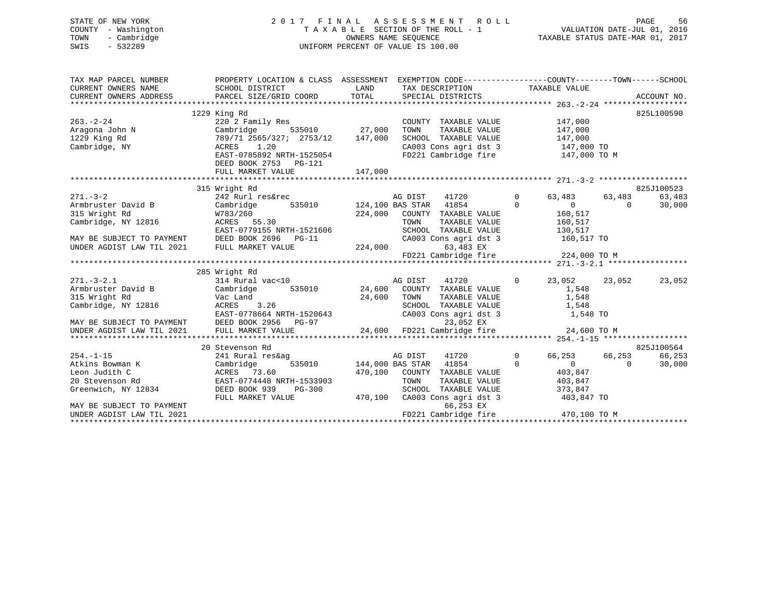# STATE OF NEW YORK 2 0 1 7 F I N A L A S S E S S M E N T R O L L PAGE 56 COUNTY - Washington T A X A B L E SECTION OF THE ROLL - 1 VALUATION DATE-JUL 01, 2016 TOWN - Cambridge OWNERS NAME SEQUENCE TAXABLE STATUS DATE-MAR 01, 2017 SWIS - 532289 UNIFORM PERCENT OF VALUE IS 100.00

| TAX MAP PARCEL NUMBER                                              | PROPERTY LOCATION & CLASS ASSESSMENT EXEMPTION CODE---------------COUNTY-------TOWN------SCHOOL                                                                                                                                                                                                                                                          | TAX DESCRIPTION TAXABLE VALUE                                                                                                                                                            |                                  |                                                                     |          | ACCOUNT NO.      |
|--------------------------------------------------------------------|----------------------------------------------------------------------------------------------------------------------------------------------------------------------------------------------------------------------------------------------------------------------------------------------------------------------------------------------------------|------------------------------------------------------------------------------------------------------------------------------------------------------------------------------------------|----------------------------------|---------------------------------------------------------------------|----------|------------------|
| $263. - 2 - 24$<br>Aragona John N<br>1229 King Rd<br>Cambridge, NY | 1229 King Rd<br>220 <sup>3</sup> Family Res<br>Cambridge 535010 27,000<br>789/71 2565/327; 2753/12 147,000<br>ACRES 1.20<br>EAST-0785892 NRTH-1525054                                                                                                                                                                                                    | COUNTY TAXABLE VALUE<br>TOWN TAXABLE VALUE 147,000<br>SCHOOL TAXABLE VALUE 147,000<br>CA003 Cons agri dst 3 147,000 TO<br>FD221 Cambridge fire 147,000 TO M                              |                                  | 147,000                                                             |          | 825L100590       |
|                                                                    | DEED BOOK 2753 PG-121                                                                                                                                                                                                                                                                                                                                    |                                                                                                                                                                                          |                                  |                                                                     |          |                  |
|                                                                    | 315 Wright Rd                                                                                                                                                                                                                                                                                                                                            |                                                                                                                                                                                          |                                  |                                                                     |          | 825J100523       |
|                                                                    | 271.-3-2<br>Armbruster David B<br>242 Rurl res&rec<br>242 Rurl res&rec<br>255010<br>224,000 EOUNTY TAXABLE VALUE<br>224,000 COUNTY TAXABLE VALUE<br>Cambridge, NY 12816<br>224,000 COUNTY TAXABLE VALUE<br>224,000 COUNTY TAXABLE VALUE<br>EAST-0779155 NRTH-1521606                                                                                     | $224,000 \qquad \text{COUNTY} \qquad \text{TXABLE} \qquad \qquad 160,517 \\ \text{TOWN} \qquad \text{TAXABLE} \qquad \text{VALUE} \qquad \qquad 160,517$<br>SCHOOL TAXABLE VALUE 130,517 | 41720 0                          | 63,483 63,483<br>$0$<br>160,517                                     | $\Omega$ | 63,483<br>30,000 |
|                                                                    | MAY BE SUBJECT TO PAYMENT DEED BOOK 2696 PG-11 CA00:<br>UNDER AGDIST LAW TIL 2021 FULL MARKET VALUE 224,000 FD221                                                                                                                                                                                                                                        | CA003 Cons agri dst 3 160,517 TO<br>63,483 EX                                                                                                                                            |                                  |                                                                     |          |                  |
|                                                                    |                                                                                                                                                                                                                                                                                                                                                          |                                                                                                                                                                                          |                                  |                                                                     |          |                  |
|                                                                    | 285 Wright Rd<br>271.-3-2.1<br>285 Wright Kd<br>314 Rural vac<10<br>314 Rural vac<10<br>314 Rural vac<10<br>24,600 COUNTY TAXABLE VALUE<br>24,600 TOWN TAXABLE VALUE<br>24,600 TOWN TAXABLE VALUE<br>24,600 TOWN TAXABLE VALUE<br>24,600 TOWN TAXABLE VALUE<br>24,6                                                                                      |                                                                                                                                                                                          |                                  | 23,052 23,052                                                       |          | 23,052           |
|                                                                    |                                                                                                                                                                                                                                                                                                                                                          |                                                                                                                                                                                          |                                  |                                                                     |          |                  |
|                                                                    |                                                                                                                                                                                                                                                                                                                                                          |                                                                                                                                                                                          |                                  |                                                                     |          |                  |
|                                                                    | 20 Stevenson Rd                                                                                                                                                                                                                                                                                                                                          |                                                                                                                                                                                          |                                  |                                                                     |          | 825J100564       |
| Greenwich, NY 12834 DEED BOOK 939<br>MAY BE SUBJECT TO PAYMENT     | 254.-1-15<br>Atkins Bowman K<br>Leon Judith C<br>20 Stevenson Rd<br>20 Stevenson Rd<br>20 Stevenson Rd<br>20 Stevenson Rd<br>20 Stevenson Rd<br>20 Stevenson Rd<br>20 Stevenson Rd<br>20 Stevenson Rd<br>20 Stevenson Rd<br>20 Stevenson Rd<br>20 Steven<br>DEED BOOK 939 PG-300 SCHOOL TAXABLE VALUE<br>FULL MARKET VALUE 470,100 CA003 Cons agri dst 3 | Mag bist 11720<br>535010 144,000 BAS STAR 41854<br>41720<br>41854<br>470,100 COUNTY TAXABLE VALUE 403,847<br>TOWN<br>TAXABLE VALUE<br>66,253 EX                                          | $\overline{0}$<br>$\overline{0}$ | 66,253 66,253<br>$\overline{0}$<br>403,847<br>373,847<br>403,847 TO | $\Omega$ | 66,253<br>30,000 |
| UNDER AGDIST LAW TIL 2021                                          |                                                                                                                                                                                                                                                                                                                                                          |                                                                                                                                                                                          |                                  |                                                                     |          |                  |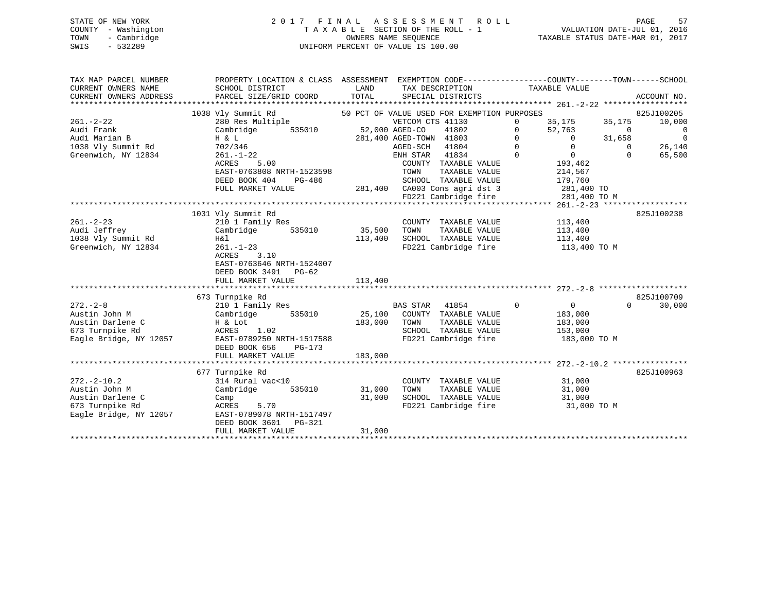|      | STATE OF NEW YORK   | 2017 FINAL ASSESSMENT ROLL         | -57<br>PAGE                      |
|------|---------------------|------------------------------------|----------------------------------|
|      | COUNTY - Washington | TAXABLE SECTION OF THE ROLL - 1    | VALUATION DATE-JUL 01, 2016      |
| TOWN | - Cambridge         | OWNERS NAME SEOUENCE               | TAXABLE STATUS DATE-MAR 01, 2017 |
| SWIS | - 532289            | UNIFORM PERCENT OF VALUE IS 100.00 |                                  |

| TAX MAP PARCEL NUMBER<br>CURRENT OWNERS NAME<br>CURRENT OWNERS ADDRESS | PROPERTY LOCATION & CLASS ASSESSMENT<br>SCHOOL DISTRICT<br>PARCEL SIZE/GRID COORD                 | LAND<br>TOTAL | EXEMPTION CODE----------------COUNTY-------TOWN------SCHOOL<br>TAX DESCRIPTION<br>SPECIAL DISTRICTS |              | TAXABLE VALUE  |             | ACCOUNT NO.    |
|------------------------------------------------------------------------|---------------------------------------------------------------------------------------------------|---------------|-----------------------------------------------------------------------------------------------------|--------------|----------------|-------------|----------------|
|                                                                        | 1038 Vly Summit Rd                                                                                |               | 50 PCT OF VALUE USED FOR EXEMPTION PURPOSES                                                         |              |                |             | 825J100205     |
| $261. - 2 - 22$                                                        | 280 Res Multiple                                                                                  |               | VETCOM CTS 41130                                                                                    | $\mathbf{0}$ | 35,175         | 35,175      | 10,000         |
| Audi Frank                                                             | Cambridge<br>535010                                                                               |               | 52,000 AGED-CO<br>41802                                                                             | $\mathbf 0$  | 52,763         | $\mathbf 0$ | $\mathbf 0$    |
| Audi Marian B                                                          | H & L                                                                                             |               | 281,400 AGED-TOWN 41803                                                                             | $\mathbf 0$  | $\Omega$       | 31,658      | $\overline{0}$ |
|                                                                        |                                                                                                   |               |                                                                                                     |              |                |             |                |
| 1038 Vly Summit Rd                                                     | 702/346                                                                                           |               | AGED-SCH 41804                                                                                      | $\Omega$     | $\Omega$       | $\Omega$    | 26,140         |
| Greenwich, NY 12834                                                    | $261. - 1 - 22$                                                                                   |               | ENH STAR 41834                                                                                      | $\Omega$     | $\Omega$       | $\Omega$    | 65,500         |
|                                                                        | ACRES<br>5.00                                                                                     |               | COUNTY TAXABLE VALUE                                                                                |              | 193,462        |             |                |
|                                                                        | EAST-0763808 NRTH-1523598                                                                         |               | TOWN<br>TAXABLE VALUE                                                                               |              | 214,567        |             |                |
|                                                                        | DEED BOOK 404<br>PG-486                                                                           |               | SCHOOL TAXABLE VALUE                                                                                |              | 179,760        |             |                |
|                                                                        | FULL MARKET VALUE                                                                                 |               | 281,400 CA003 Cons agri dst 3                                                                       |              | 281,400 TO     |             |                |
|                                                                        |                                                                                                   |               | FD221 Cambridge fire                                                                                |              | 281,400 TO M   |             |                |
|                                                                        |                                                                                                   |               |                                                                                                     |              |                |             |                |
|                                                                        | 1031 Vly Summit Rd                                                                                |               |                                                                                                     |              |                |             | 825J100238     |
| $261. - 2 - 23$                                                        | 210 1 Family Res                                                                                  |               | COUNTY TAXABLE VALUE                                                                                |              | 113,400        |             |                |
| Audi Jeffrey                                                           | Cambridge<br>535010                                                                               | 35,500        | TOWN<br>TAXABLE VALUE                                                                               |              | 113,400        |             |                |
| 1038 Vly Summit Rd                                                     | H&l                                                                                               | 113,400       | SCHOOL TAXABLE VALUE                                                                                |              | 113,400        |             |                |
| Greenwich, NY 12834                                                    | $261. - 1 - 23$                                                                                   |               | FD221 Cambridge fire                                                                                |              | 113,400 TO M   |             |                |
|                                                                        | <b>ACRES</b><br>3.10<br>EAST-0763646 NRTH-1524007<br>DEED BOOK 3491<br>PG-62<br>FULL MARKET VALUE | 113,400       |                                                                                                     |              |                |             |                |
|                                                                        |                                                                                                   |               |                                                                                                     |              |                |             |                |
|                                                                        | 673 Turnpike Rd                                                                                   |               |                                                                                                     |              |                |             | 825J100709     |
| $272 - 2 - 8$                                                          | 210 1 Family Res                                                                                  |               | <b>BAS STAR</b><br>41854                                                                            | $\mathbf 0$  | $\overline{0}$ | $\Omega$    | 30,000         |
| Austin John M                                                          | Cambridge<br>535010                                                                               | 25,100        | COUNTY TAXABLE VALUE                                                                                |              | 183,000        |             |                |
| Austin Darlene C                                                       | H & Lot                                                                                           | 183,000       | TOWN<br>TAXABLE VALUE                                                                               |              | 183,000        |             |                |
| 673 Turnpike Rd                                                        | 1.02<br>ACRES                                                                                     |               | SCHOOL TAXABLE VALUE                                                                                |              | 153,000        |             |                |
| Eagle Bridge, NY 12057                                                 | EAST-0789250 NRTH-1517588                                                                         |               | FD221 Cambridge fire                                                                                |              | 183,000 TO M   |             |                |
|                                                                        | DEED BOOK 656<br>$PG-173$                                                                         |               |                                                                                                     |              |                |             |                |
|                                                                        | FULL MARKET VALUE                                                                                 | 183,000       |                                                                                                     |              |                |             |                |
|                                                                        |                                                                                                   |               |                                                                                                     |              |                |             |                |
|                                                                        |                                                                                                   |               |                                                                                                     |              |                |             |                |
|                                                                        | 677 Turnpike Rd                                                                                   |               |                                                                                                     |              |                |             | 825J100963     |
| $272 - 2 - 10.2$                                                       | 314 Rural vac<10                                                                                  |               | COUNTY TAXABLE VALUE                                                                                |              | 31,000         |             |                |
| Austin John M                                                          | Cambridge<br>535010                                                                               | 31,000        | TOWN<br>TAXABLE VALUE                                                                               |              | 31,000         |             |                |
| Austin Darlene C                                                       | Camp                                                                                              | 31,000        | SCHOOL TAXABLE VALUE                                                                                |              | 31,000         |             |                |
| 673 Turnpike Rd                                                        | 5.70<br>ACRES                                                                                     |               | FD221 Cambridge fire                                                                                |              | 31,000 TO M    |             |                |
| Eagle Bridge, NY 12057                                                 | EAST-0789078 NRTH-1517497                                                                         |               |                                                                                                     |              |                |             |                |
|                                                                        | DEED BOOK 3601<br>PG-321                                                                          |               |                                                                                                     |              |                |             |                |
|                                                                        | FULL MARKET VALUE                                                                                 | 31,000        |                                                                                                     |              |                |             |                |
|                                                                        |                                                                                                   |               |                                                                                                     |              |                |             |                |
|                                                                        |                                                                                                   |               |                                                                                                     |              |                |             |                |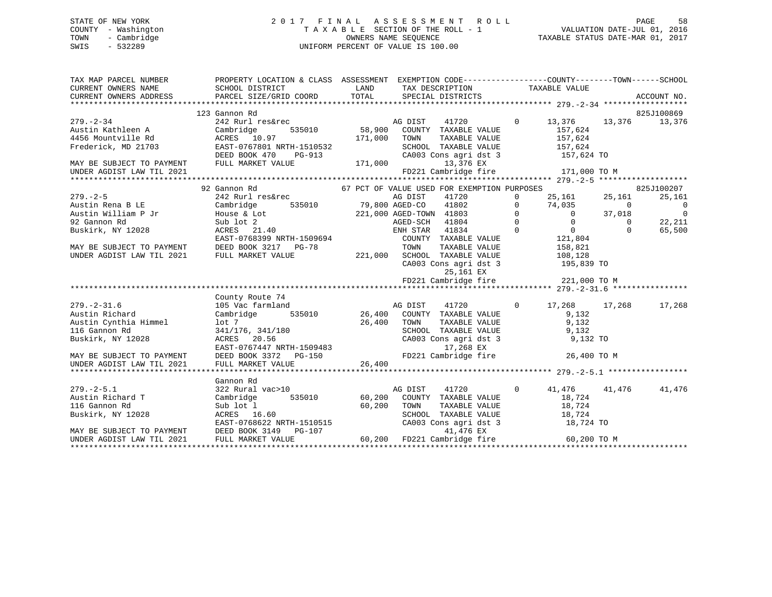# STATE OF NEW YORK 2 0 1 7 F I N A L A S S E S S M E N T R O L L PAGE 58 COUNTY - Washington T A X A B L E SECTION OF THE ROLL - 1 VALUATION DATE-JUL 01, 2016 TOWN - Cambridge OWNERS NAME SEQUENCE TAXABLE STATUS DATE-MAR 01, 2017 SWIS - 532289 UNIFORM PERCENT OF VALUE IS 100.00UNIFORM PERCENT OF VALUE IS 100.00

| TAX MAP PARCEL NUMBER                                                                      | PROPERTY LOCATION & CLASS ASSESSMENT EXEMPTION CODE----------------COUNTY-------TOWN------SCHOOL                                                                                                                                                  |  |                                                |                        |                                  |
|--------------------------------------------------------------------------------------------|---------------------------------------------------------------------------------------------------------------------------------------------------------------------------------------------------------------------------------------------------|--|------------------------------------------------|------------------------|----------------------------------|
|                                                                                            | 123 Gannon Rd                                                                                                                                                                                                                                     |  |                                                |                        | 825J100869                       |
|                                                                                            | 123 Gannon Rd<br>242 Rurl res&rec<br>Austin Kathleen A Cambridge 535010<br>4456 Mountville Rd<br>Frederick, MD 21703<br>21703<br>21703<br>21707801 NRTH-1510532                                                                                   |  |                                                | 0 13,376 13,376 13,376 |                                  |
|                                                                                            |                                                                                                                                                                                                                                                   |  |                                                | 157,624                |                                  |
|                                                                                            |                                                                                                                                                                                                                                                   |  |                                                |                        |                                  |
|                                                                                            | Frederick, MD 21703<br>Frederick, MD 21703<br>MAY BE SUBJECT TO PAYMENT<br>MAY BE SUBJECT TO PAYMENT<br>FULL MARKET VALUE<br>TULL MARKET VALUE<br>TULL MARKET VALUE<br>TULL MARKET VALUE<br>TULL MARKET VALUE<br>TULL MARKET VALUE<br>TULL MARKET |  |                                                |                        |                                  |
|                                                                                            |                                                                                                                                                                                                                                                   |  | CA003 Cons agri dst 3 157,624 TO               |                        |                                  |
|                                                                                            |                                                                                                                                                                                                                                                   |  | 13,376 EX<br>FD221 Cambridge fire 171,000 TO M |                        |                                  |
|                                                                                            |                                                                                                                                                                                                                                                   |  |                                                |                        |                                  |
|                                                                                            |                                                                                                                                                                                                                                                   |  |                                                |                        |                                  |
|                                                                                            |                                                                                                                                                                                                                                                   |  |                                                |                        | 825J100207                       |
|                                                                                            |                                                                                                                                                                                                                                                   |  |                                                |                        | 25,161                           |
|                                                                                            |                                                                                                                                                                                                                                                   |  |                                                |                        | $\overline{0}$<br>$\overline{0}$ |
|                                                                                            |                                                                                                                                                                                                                                                   |  |                                                |                        |                                  |
|                                                                                            |                                                                                                                                                                                                                                                   |  |                                                |                        | 22,211                           |
|                                                                                            |                                                                                                                                                                                                                                                   |  |                                                |                        | 65,500                           |
|                                                                                            |                                                                                                                                                                                                                                                   |  |                                                |                        |                                  |
|                                                                                            |                                                                                                                                                                                                                                                   |  |                                                |                        |                                  |
| UNDER AGDIST LAW TIL 2021 FULL MARKET VALUE                                                |                                                                                                                                                                                                                                                   |  | 221,000 SCHOOL TAXABLE VALUE 108,128           |                        |                                  |
|                                                                                            |                                                                                                                                                                                                                                                   |  | CA003 Cons agri dst 3 195,839 TO               |                        |                                  |
|                                                                                            |                                                                                                                                                                                                                                                   |  | 25,161 EX                                      |                        |                                  |
|                                                                                            |                                                                                                                                                                                                                                                   |  | FD221 Cambridge fire 221,000 TO M              |                        |                                  |
|                                                                                            |                                                                                                                                                                                                                                                   |  |                                                |                        |                                  |
|                                                                                            | County Route 74                                                                                                                                                                                                                                   |  |                                                |                        |                                  |
|                                                                                            |                                                                                                                                                                                                                                                   |  |                                                | 0 17,268 17,268        | 17,268                           |
|                                                                                            |                                                                                                                                                                                                                                                   |  |                                                |                        |                                  |
|                                                                                            |                                                                                                                                                                                                                                                   |  |                                                |                        |                                  |
|                                                                                            |                                                                                                                                                                                                                                                   |  |                                                |                        |                                  |
| 277. 271.<br>Austin Richard<br>Austin Cynthia Himmel<br>116 Gannon Rd<br>Buskirk, NY 12028 |                                                                                                                                                                                                                                                   |  |                                                |                        |                                  |
|                                                                                            |                                                                                                                                                                                                                                                   |  |                                                |                        |                                  |
|                                                                                            |                                                                                                                                                                                                                                                   |  |                                                |                        |                                  |
| UNDER AGDIST LAW TIL 2021                                                                  |                                                                                                                                                                                                                                                   |  |                                                |                        |                                  |
|                                                                                            |                                                                                                                                                                                                                                                   |  |                                                |                        |                                  |
|                                                                                            |                                                                                                                                                                                                                                                   |  |                                                |                        |                                  |
|                                                                                            |                                                                                                                                                                                                                                                   |  |                                                | 0 41,476 41,476 41,476 |                                  |
|                                                                                            |                                                                                                                                                                                                                                                   |  |                                                |                        |                                  |
|                                                                                            |                                                                                                                                                                                                                                                   |  |                                                |                        |                                  |
|                                                                                            |                                                                                                                                                                                                                                                   |  |                                                |                        |                                  |
|                                                                                            |                                                                                                                                                                                                                                                   |  |                                                |                        |                                  |
|                                                                                            |                                                                                                                                                                                                                                                   |  |                                                |                        |                                  |
|                                                                                            | 322 Rural vac>10<br>Austin Richard T<br>279.-2-5.1 Gannon Rd<br>279.-2-5.1 Gannon Rd<br>279.-2-5.1 (2022 Rural vac>10<br>279.-2-5.1 (2022 Rural vac>10<br>28 Rural vac>10 (200 COUNTY TAXABLE VALUE 18,724<br>28.724 (2023 ACRES 16.60 TOWN       |  |                                                |                        |                                  |
|                                                                                            |                                                                                                                                                                                                                                                   |  |                                                |                        |                                  |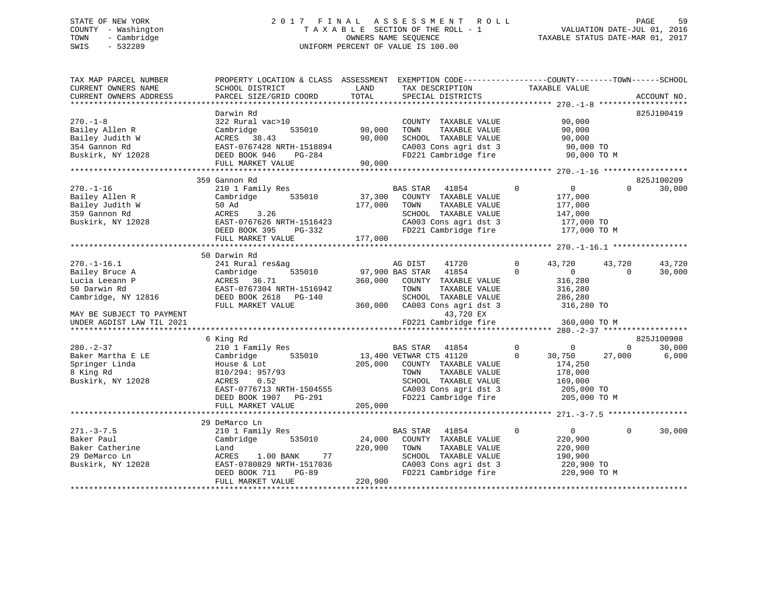# STATE OF NEW YORK 2 0 1 7 F I N A L A S S E S S M E N T R O L L PAGE 59 COUNTY - Washington T A X A B L E SECTION OF THE ROLL - 1 VALUATION DATE-JUL 01, 2016 TOWN - Cambridge OWNERS NAME SEQUENCE TAXABLE STATUS DATE-MAR 01, 2017 SWIS - 532289 UNIFORM PERCENT OF VALUE IS 100.00

| TAX MAP PARCEL NUMBER<br>CURRENT OWNERS NAME<br>CURRENT OWNERS ADDRESS | PROPERTY LOCATION & CLASS ASSESSMENT<br>SCHOOL DISTRICT<br>PARCEL SIZE/GRID COORD | LAND<br>TOTAL                                      | EXEMPTION CODE-----------------COUNTY-------TOWN------SCHOOL<br>TAX DESCRIPTION<br>SPECIAL DISTRICTS | TAXABLE VALUE                           | ACCOUNT NO.              |
|------------------------------------------------------------------------|-----------------------------------------------------------------------------------|----------------------------------------------------|------------------------------------------------------------------------------------------------------|-----------------------------------------|--------------------------|
| ***********************                                                |                                                                                   |                                                    |                                                                                                      |                                         |                          |
|                                                                        | Darwin Rd                                                                         |                                                    |                                                                                                      |                                         | 825J100419               |
| $270. - 1 - 8$                                                         | 322 Rural vac>10                                                                  |                                                    | COUNTY TAXABLE VALUE                                                                                 | 90,000                                  |                          |
| Bailey Allen R                                                         | Cambridge<br>535010                                                               | 90,000                                             | TOWN<br>TAXABLE VALUE                                                                                | 90,000                                  |                          |
| Bailey Judith W                                                        | ACRES 38.43                                                                       | 90,000                                             | SCHOOL TAXABLE VALUE                                                                                 | 90,000                                  |                          |
| 354 Gannon Rd                                                          | EAST-0767428 NRTH-1518894                                                         |                                                    | CA003 Cons agri dst 3                                                                                | 90,000 TO                               |                          |
| Buskirk, NY 12028                                                      | DEED BOOK 946<br>PG-284                                                           |                                                    | FD221 Cambridge fire                                                                                 | 90,000 TO M                             |                          |
|                                                                        | FULL MARKET VALUE                                                                 | 90,000                                             |                                                                                                      |                                         |                          |
|                                                                        |                                                                                   |                                                    |                                                                                                      |                                         |                          |
|                                                                        | 359 Gannon Rd                                                                     |                                                    |                                                                                                      |                                         | 825J100209               |
| $270. - 1 - 16$                                                        | 210 1 Family Res                                                                  |                                                    | 41854<br><b>BAS STAR</b>                                                                             | $\mathbf 0$<br>$\mathbf{0}$             | 30,000<br>$\Omega$       |
| Bailey Allen R                                                         | Cambridge<br>535010                                                               | 37,300                                             | COUNTY TAXABLE VALUE                                                                                 | 177,000                                 |                          |
| Bailey Judith W                                                        | 50 Ad                                                                             | 177,000                                            | TOWN<br>TAXABLE VALUE                                                                                | 177,000                                 |                          |
| 359 Gannon Rd                                                          | ACRES<br>3.26                                                                     |                                                    | SCHOOL TAXABLE VALUE                                                                                 | 147,000                                 |                          |
| Buskirk, NY 12028                                                      | EAST-0767626 NRTH-1516423                                                         |                                                    | CA003 Cons agri dst 3                                                                                | 177,000 TO                              |                          |
|                                                                        | DEED BOOK 395<br>PG-332                                                           |                                                    | FD221 Cambridge fire                                                                                 | 177,000 TO M                            |                          |
|                                                                        | FULL MARKET VALUE<br>*********************                                        | 177,000<br>* * * * * * * * * * * * * * * * * * * * |                                                                                                      | *************** 270.-1-16.1 *********** |                          |
|                                                                        | 50 Darwin Rd                                                                      |                                                    |                                                                                                      |                                         |                          |
| $270. - 1 - 16.1$                                                      |                                                                                   |                                                    | AG DIST                                                                                              | 0                                       | 43,720                   |
|                                                                        | 241 Rural res&ag<br>535010                                                        |                                                    | 41720<br>97,900 BAS STAR<br>41854                                                                    | 43,720<br>$\Omega$<br>$\overline{0}$    | 43,720<br>$\Omega$       |
| Bailey Bruce A<br>Lucia Leeann P                                       | Cambridge<br>ACRES 36.71                                                          | 360,000                                            | COUNTY TAXABLE VALUE                                                                                 | 316,280                                 | 30,000                   |
| 50 Darwin Rd                                                           | EAST-0767304 NRTH-1516942                                                         |                                                    | TOWN<br>TAXABLE VALUE                                                                                | 316,280                                 |                          |
| Cambridge, NY 12816                                                    | DEED BOOK 2618 PG-140                                                             |                                                    | SCHOOL TAXABLE VALUE                                                                                 | 286,280                                 |                          |
|                                                                        | FULL MARKET VALUE                                                                 | 360,000                                            | CA003 Cons agri dst 3                                                                                | 316,280 TO                              |                          |
| MAY BE SUBJECT TO PAYMENT                                              |                                                                                   |                                                    | 43,720 EX                                                                                            |                                         |                          |
| UNDER AGDIST LAW TIL 2021                                              |                                                                                   |                                                    | FD221 Cambridge fire                                                                                 | 360,000 TO M                            |                          |
|                                                                        | *******************************                                                   |                                                    |                                                                                                      | ********* 280.-2-37 *************       |                          |
|                                                                        | 6 King Rd                                                                         |                                                    |                                                                                                      |                                         | 825J100908               |
| $280 - 2 - 37$                                                         | 210 1 Family Res                                                                  |                                                    | <b>BAS STAR</b><br>41854                                                                             | $\mathbf{0}$<br>$\mathbf 0$             | 30,000<br>$\overline{0}$ |
| Baker Martha E LE                                                      | Cambridge<br>535010                                                               |                                                    | 13,400 VETWAR CTS 41120                                                                              | $\mathbf 0$<br>30,750                   | 6,000<br>27,000          |
| Springer Linda                                                         | House & Lot                                                                       | 205,000                                            | COUNTY TAXABLE VALUE                                                                                 | 174,250                                 |                          |
| 8 King Rd                                                              | 810/294: 957/93                                                                   |                                                    | TOWN<br>TAXABLE VALUE                                                                                | 178,000                                 |                          |
| Buskirk, NY 12028                                                      | <b>ACRES</b><br>0.52                                                              |                                                    | SCHOOL TAXABLE VALUE                                                                                 | 169,000                                 |                          |
|                                                                        | EAST-0776713 NRTH-1504555                                                         |                                                    | CA003 Cons agri dst 3                                                                                | 205,000 TO                              |                          |
|                                                                        | DEED BOOK 1907 PG-291                                                             |                                                    | FD221 Cambridge fire                                                                                 | 205,000 TO M                            |                          |
|                                                                        | FULL MARKET VALUE                                                                 | 205,000                                            |                                                                                                      |                                         |                          |
|                                                                        | *********************                                                             |                                                    |                                                                                                      | ****************** 271.-3-7.5 *****     |                          |
|                                                                        | 29 DeMarco Ln                                                                     |                                                    |                                                                                                      |                                         |                          |
| $271. - 3 - 7.5$                                                       | 210 1 Family Res                                                                  |                                                    | <b>BAS STAR</b><br>41854                                                                             | $\mathbf 0$<br>$\overline{0}$           | 30,000<br>$\Omega$       |
| Baker Paul                                                             | Cambridge<br>535010                                                               | 24,000                                             | COUNTY TAXABLE VALUE                                                                                 | 220,900                                 |                          |
| Baker Catherine                                                        | Land                                                                              | 220,900                                            | TOWN<br>TAXABLE VALUE                                                                                | 220,900                                 |                          |
| 29 DeMarco Ln                                                          | ACRES<br>1.00 BANK<br>77                                                          |                                                    | SCHOOL TAXABLE VALUE                                                                                 | 190,900                                 |                          |
| Buskirk, NY 12028                                                      | EAST-0780829 NRTH-1517036                                                         |                                                    | CA003 Cons agri dst 3                                                                                | 220,900 TO                              |                          |
|                                                                        | DEED BOOK 711<br>$PG-89$                                                          |                                                    | FD221 Cambridge fire                                                                                 | 220,900 TO M                            |                          |
|                                                                        | FULL MARKET VALUE                                                                 | 220,900                                            |                                                                                                      |                                         |                          |
|                                                                        |                                                                                   |                                                    |                                                                                                      |                                         |                          |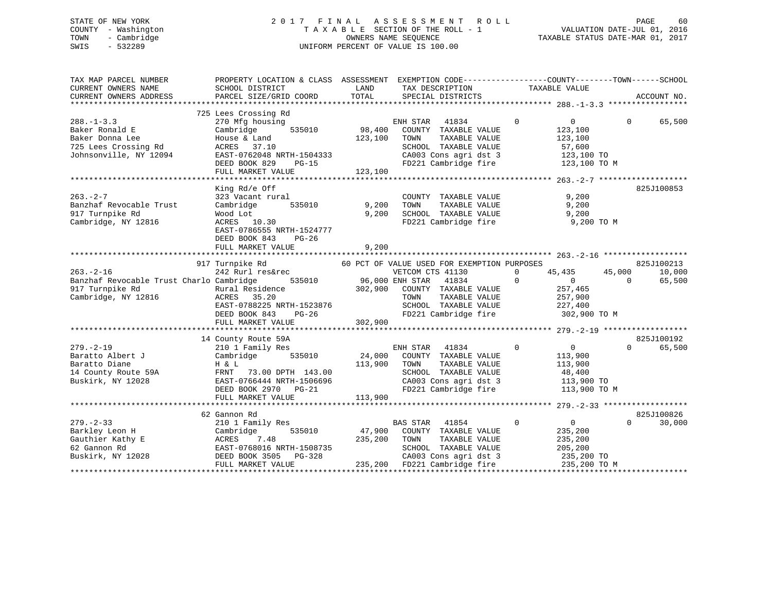# STATE OF NEW YORK 2 0 1 7 F I N A L A S S E S S M E N T R O L L PAGE 60 COUNTY - Washington T A X A B L E SECTION OF THE ROLL - 1 VALUATION DATE-JUL 01, 2016 TOWN - Cambridge OWNERS NAME SEQUENCE TAXABLE STATUS DATE-MAR 01, 2017 SWIS - 532289 UNIFORM PERCENT OF VALUE IS 100.00

| TAX MAP PARCEL NUMBER<br>CURRENT OWNERS NAME<br>CURRENT OWNERS ADDRESS                                  | PROPERTY LOCATION & CLASS ASSESSMENT EXEMPTION CODE---------------COUNTY-------TOWN-----SCHOOL<br>SCHOOL DISTRICT<br>PARCEL SIZE/GRID COORD                                 | LAND<br>TOTAL                     | TAX DESCRIPTION<br>SPECIAL DISTRICTS                                                                                                                                          | TAXABLE VALUE                                                                                      | ACCOUNT NO.                                          |
|---------------------------------------------------------------------------------------------------------|-----------------------------------------------------------------------------------------------------------------------------------------------------------------------------|-----------------------------------|-------------------------------------------------------------------------------------------------------------------------------------------------------------------------------|----------------------------------------------------------------------------------------------------|------------------------------------------------------|
|                                                                                                         |                                                                                                                                                                             |                                   |                                                                                                                                                                               |                                                                                                    |                                                      |
| $288. - 1 - 3.3$<br>Baker Ronald E<br>Baker Donna Lee<br>725 Lees Crossing Rd<br>Johnsonville, NY 12094 | 725 Lees Crossing Rd<br>270 Mfg housing<br>Cambridge<br>535010<br>House & Land<br>ACRES 37.10<br>EAST-0762048 NRTH-1504333<br>DEED BOOK 829<br>$PG-15$<br>FULL MARKET VALUE | 98,400<br>123,100<br>123,100      | ENH STAR 41834<br>COUNTY TAXABLE VALUE<br>TOWN<br>TAXABLE VALUE<br>SCHOOL TAXABLE VALUE<br>CA003 Cons agri dst 3<br>FD221 Cambridge fire                                      | $\overline{0}$<br>$\overline{0}$<br>123,100<br>123,100<br>57,600<br>123,100 TO<br>123,100 TO M     | $\Omega$<br>65,500                                   |
|                                                                                                         |                                                                                                                                                                             |                                   |                                                                                                                                                                               |                                                                                                    |                                                      |
| $263. - 2 - 7$<br>Banzhaf Revocable Trust<br>917 Turnpike Rd<br>Cambridge, NY 12816                     | King Rd/e Off<br>323 Vacant rural<br>535010<br>Cambridge<br>Wood Lot<br>ACRES 10.30<br>EAST-0786555 NRTH-1524777<br>DEED BOOK 843<br>$PG-26$<br>FULL MARKET VALUE           | 9,200<br>9,200<br>9,200           | COUNTY TAXABLE VALUE<br>TOWN<br>TAXABLE VALUE<br>SCHOOL TAXABLE VALUE<br>FD221 Cambridge fire                                                                                 | 9,200<br>9,200<br>9,200<br>9,200 TO M                                                              | 825J100853                                           |
|                                                                                                         |                                                                                                                                                                             |                                   |                                                                                                                                                                               |                                                                                                    |                                                      |
| $263. - 2 - 16$<br>Banzhaf Revocable Trust Charlo Cambridge<br>917 Turnpike Rd<br>Cambridge, NY 12816   | 917 Turnpike Rd<br>242 Rurl res&rec<br>Rural Residence<br>ACRES 35.20<br>EAST-0788225 NRTH-1523876<br>DEED BOOK 843<br>PG-26<br>FULL MARKET VALUE                           | 535010 96,000 ENH STAR<br>302,900 | 60 PCT OF VALUE USED FOR EXEMPTION PURPOSES<br>VETCOM CTS 41130<br>41834<br>$\sim$ 0<br>302,900 COUNTY TAXABLE VALUE<br>TAXABLE VALUE<br>TOWN<br>SCHOOL TAXABLE VALUE 227,400 | $\mathbf 0$<br>45,435<br>$\overline{0}$<br>257,465<br>257,900<br>FD221 Cambridge fire 302,900 TO M | 825J100213<br>45,000<br>10,000<br>65,500<br>$\Omega$ |
|                                                                                                         |                                                                                                                                                                             |                                   |                                                                                                                                                                               |                                                                                                    |                                                      |
| $279. - 2 - 19$<br>Baratto Albert J<br>Baratto Diane<br>14 County Route 59A<br>Buskirk, NY 12028        | 14 County Route 59A<br>210 1 Family Res<br>535010<br>Cambridge<br>H & L<br>FRNT 73.00 DPTH 143.00<br>EAST-0766444 NRTH-1506696<br>DEED BOOK 2970 PG-21<br>FULL MARKET VALUE | 24,000<br>113,900<br>113,900      | ENH STAR<br>41834<br>COUNTY TAXABLE VALUE<br>TOWN<br>TAXABLE VALUE<br>SCHOOL TAXABLE VALUE<br>SCHOOL TAXABLE VALUE<br>CA003 Cons agri dst 3<br>FD221 Cambridge fire           | $\Omega$<br>$\overline{0}$<br>113,900<br>113,900<br>48,400<br>113,900 TO<br>113,900 TO M           | 825J100192<br>$\Omega$<br>65,500                     |
|                                                                                                         |                                                                                                                                                                             |                                   |                                                                                                                                                                               |                                                                                                    |                                                      |
| $279. - 2 - 33$<br>Barkley Leon H<br>Gauthier Kathy E<br>62 Gannon Rd<br>Buskirk, NY 12028              | 62 Gannon Rd<br>210 1 Family Res<br>535010<br>Cambridge<br>ACRES<br>7.48<br>EAST-0768016 NRTH-1508735<br>DEED BOOK 3505 PG-328<br>FULL MARKET VALUE                         | 47,900<br>235,200                 | <b>BAS STAR</b><br>41854<br>COUNTY TAXABLE VALUE<br>TOWN<br>TAXABLE VALUE<br>SCHOOL TAXABLE VALUE<br>CA003 Cons agri dst 3<br>235,200 FD221 Cambridge fire                    | $\overline{0}$<br>$\Omega$<br>235,200<br>235,200<br>205,200<br>235,200 TO<br>235,200 TO M          | 825J100826<br>$\Omega$<br>30,000                     |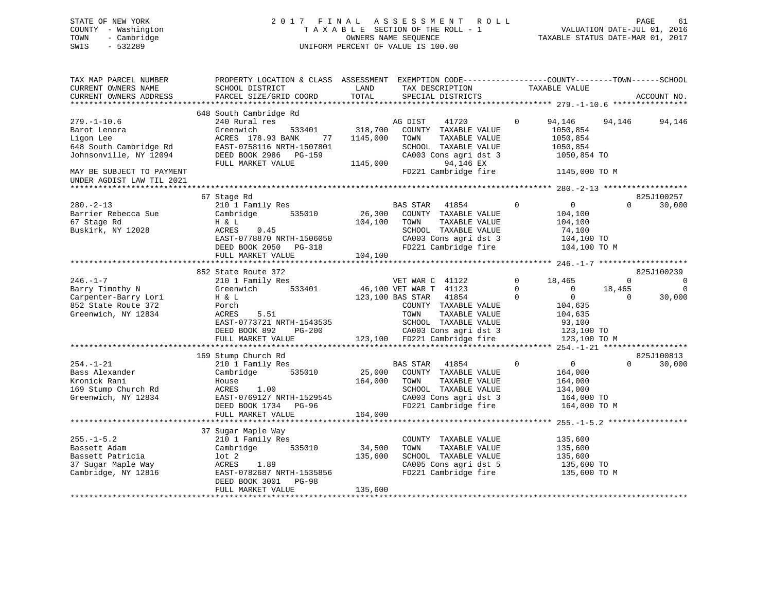# STATE OF NEW YORK 2 0 1 7 F I N A L A S S E S S M E N T R O L L PAGE 61 COUNTY - Washington T A X A B L E SECTION OF THE ROLL - 1 VALUATION DATE-JUL 01, 2016 TOWN - Cambridge OWNERS NAME SEQUENCE TAXABLE STATUS DATE-MAR 01, 2017 SWIS - 532289 UNIFORM PERCENT OF VALUE IS 100.00

| TAX MAP PARCEL NUMBER<br>CURRENT OWNERS NAME<br>CURRENT OWNERS ADDRESS                                  | PROPERTY LOCATION & CLASS ASSESSMENT<br>SCHOOL DISTRICT<br>PARCEL SIZE/GRID COORD                                                                                           | LAND<br>TOTAL                   | EXEMPTION CODE-----------------COUNTY--------TOWN------SCHOOL<br>TAX DESCRIPTION<br>SPECIAL DISTRICTS                                                                                                    |                                  | TAXABLE VALUE                                                                                    |                                   | ACCOUNT NO.                          |
|---------------------------------------------------------------------------------------------------------|-----------------------------------------------------------------------------------------------------------------------------------------------------------------------------|---------------------------------|----------------------------------------------------------------------------------------------------------------------------------------------------------------------------------------------------------|----------------------------------|--------------------------------------------------------------------------------------------------|-----------------------------------|--------------------------------------|
| $279. - 1 - 10.6$<br>Barot Lenora<br>Ligon Lee<br>648 South Cambridge Rd<br>Johnsonville, NY 12094      | 648 South Cambridge Rd<br>240 Rural res<br>Greenwich<br>533401<br>ACRES 178.93 BANK<br>77<br>EAST-0758116 NRTH-1507801<br>DEED BOOK 2986 PG-159<br>FULL MARKET VALUE        | 318,700<br>1145,000<br>1145,000 | 41720<br>AG DIST<br>COUNTY TAXABLE VALUE<br>TAXABLE VALUE<br>TOWN<br>SCHOOL TAXABLE VALUE<br>CA003 Cons agri dst 3<br>94,146 EX                                                                          | $\mathbf 0$                      | 94,146<br>1050,854<br>1050,854<br>1050,854<br>1050,854 TO                                        | 94,146                            | 94,146                               |
| MAY BE SUBJECT TO PAYMENT<br>UNDER AGDIST LAW TIL 2021<br>***************************                   |                                                                                                                                                                             |                                 | FD221 Cambridge fire                                                                                                                                                                                     |                                  | 1145,000 TO M                                                                                    |                                   |                                      |
| $280. - 2 - 13$<br>Barrier Rebecca Sue<br>67 Stage Rd<br>Buskirk, NY 12028                              | 67 Stage Rd<br>210 1 Family Res<br>Cambridge<br>535010<br>H & L<br>ACRES<br>0.45<br>EAST-0778870 NRTH-1506050<br>DEED BOOK 2050<br>PG-318<br>FULL MARKET VALUE              | 26,300<br>104,100<br>104,100    | BAS STAR<br>41854<br>COUNTY TAXABLE VALUE<br>TAXABLE VALUE<br>TOWN<br>SCHOOL TAXABLE VALUE<br>CA003 Cons agri dst 3<br>FD221 Cambridge fire                                                              | $\mathbf{0}$                     | $\overline{0}$<br>104,100<br>104,100<br>74,100<br>104,100 TO<br>104,100 TO M                     | $\Omega$                          | 825J100257<br>30,000                 |
|                                                                                                         | 852 State Route 372                                                                                                                                                         |                                 |                                                                                                                                                                                                          |                                  |                                                                                                  |                                   | 825J100239                           |
| $246. - 1 - 7$<br>Barry Timothy N<br>Carpenter-Barry Lori<br>852 State Route 372<br>Greenwich, NY 12834 | 210 1 Family Res<br>533401<br>Greenwich<br>H & L<br>Porch<br>ACRES<br>5.51<br>EAST-0773721 NRTH-1543535<br>DEED BOOK 892<br>PG-200<br>FULL MARKET VALUE                     |                                 | VET WAR C 41122<br>46,100 VET WAR T 41123<br>41854<br>123,100 BAS STAR<br>COUNTY TAXABLE VALUE<br>TAXABLE VALUE<br>TOWN<br>SCHOOL TAXABLE VALUE<br>CA003 Cons agri dst 3<br>123,100 FD221 Cambridge fire | $\Omega$<br>$\Omega$<br>$\Omega$ | 18,465<br>$\Omega$<br>$\mathbf{0}$<br>104,635<br>104,635<br>93,100<br>123,100 TO<br>123,100 TO M | $\mathbf 0$<br>18,465<br>$\Omega$ | $\overline{0}$<br>$\Omega$<br>30,000 |
|                                                                                                         | 169 Stump Church Rd                                                                                                                                                         |                                 |                                                                                                                                                                                                          |                                  |                                                                                                  |                                   | 825J100813                           |
| $254. - 1 - 21$<br>Bass Alexander<br>Kronick Rani<br>169 Stump Church Rd<br>Greenwich, NY 12834         | 210 1 Family Res<br>Cambridge<br>535010<br>House<br>ACRES<br>1.00<br>EAST-0769127 NRTH-1529545<br>DEED BOOK 1734<br>PG-96<br>FULL MARKET VALUE                              | 25,000<br>164,000<br>164,000    | BAS STAR<br>41854<br>COUNTY TAXABLE VALUE<br>TOWN<br>TAXABLE VALUE<br>SCHOOL TAXABLE VALUE<br>CA003 Cons agri dst 3<br>FD221 Cambridge fire                                                              | $\Omega$                         | $0 \qquad \qquad$<br>164,000<br>164,000<br>134,000<br>164,000 TO<br>164,000 TO M                 | $\Omega$                          | 30,000                               |
|                                                                                                         | ***********************                                                                                                                                                     |                                 |                                                                                                                                                                                                          |                                  | *************** 255.-1-5.2 ***                                                                   |                                   |                                      |
| $255. - 1 - 5.2$<br>Bassett Adam<br>Bassett Patricia<br>37 Sugar Maple Way<br>Cambridge, NY 12816       | 37 Sugar Maple Way<br>210 1 Family Res<br>Cambridge<br>535010<br>lot 2<br>ACRES<br>1.89<br>EAST-0782687 NRTH-1535856<br>DEED BOOK 3001<br><b>PG-98</b><br>FULL MARKET VALUE | 34,500<br>135,600<br>135,600    | COUNTY TAXABLE VALUE<br>TOWN<br>TAXABLE VALUE<br>SCHOOL TAXABLE VALUE<br>CA005 Cons agri dst 5<br>FD221 Cambridge fire                                                                                   |                                  | 135,600<br>135,600<br>135,600<br>135,600 TO<br>135,600 TO M                                      |                                   |                                      |
|                                                                                                         |                                                                                                                                                                             |                                 |                                                                                                                                                                                                          |                                  |                                                                                                  |                                   |                                      |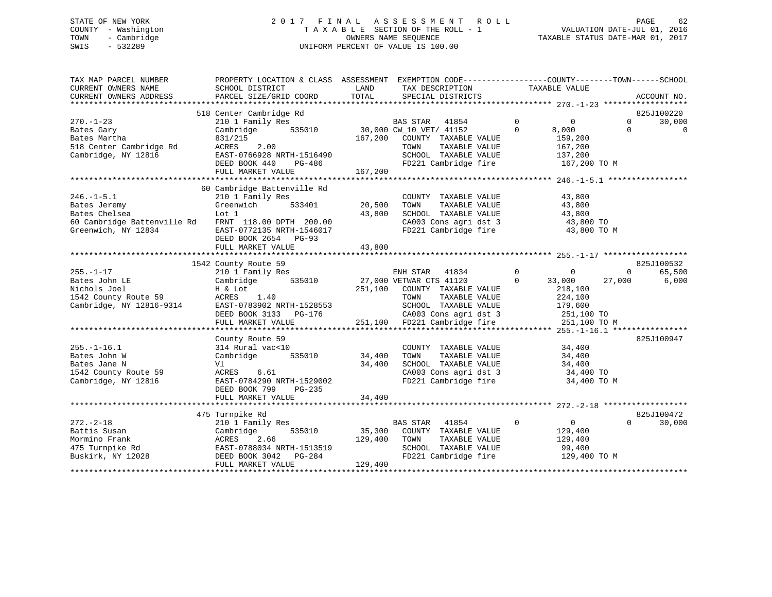# STATE OF NEW YORK 2 0 1 7 F I N A L A S S E S S M E N T R O L L PAGE 62 COUNTY - Washington T A X A B L E SECTION OF THE ROLL - 1 VALUATION DATE-JUL 01, 2016 TOWN - Cambridge OWNERS NAME SEQUENCE TAXABLE STATUS DATE-MAR 01, 2017 SWIS - 532289 UNIFORM PERCENT OF VALUE IS 100.00

| TAX MAP PARCEL NUMBER<br>CURRENT OWNERS NAME<br>CURRENT OWNERS ADDRESS                                 | PROPERTY LOCATION & CLASS ASSESSMENT EXEMPTION CODE----------------COUNTY-------TOWN------SCHOOL<br>SCHOOL DISTRICT<br>PARCEL SIZE/GRID COORD               | LAND<br>TOTAL                | TAX DESCRIPTION TAXABLE VALUE<br>SPECIAL DISTRICTS                                                                                                                                                           |                      |                                                                |                    | ACCOUNT NO.          |
|--------------------------------------------------------------------------------------------------------|-------------------------------------------------------------------------------------------------------------------------------------------------------------|------------------------------|--------------------------------------------------------------------------------------------------------------------------------------------------------------------------------------------------------------|----------------------|----------------------------------------------------------------|--------------------|----------------------|
| $270. - 1 - 23$                                                                                        | 518 Center Cambridge Rd<br>210 1 Family Res                                                                                                                 |                              |                                                                                                                                                                                                              | $\mathbf 0$          | $\overline{0}$                                                 | $\mathbf{0}$       | 825J100220<br>30,000 |
| Bates Gary<br>Bates Martha<br>518 Center Cambridge Rd<br>Cambridge, NY 12816                           | 535010<br>Cambridge<br>831/215<br>2.00<br>ACRES<br>EAST-0766928 NRTH-1516490<br>DEED BOOK 440<br>PG-486                                                     |                              | BAS STAR 41854<br>10 30,000 CW_10_VET/ 41152<br>2011 COURTY TAXABLE VA<br>167,200 COUNTY TAXABLE VALUE<br>TOWN<br>TAXABLE VALUE<br>SCHOOL TAXABLE VALUE                                                      | $\Omega$             | 8,000<br>159,200<br>167,200<br>137,200                         | $\Omega$           | $\Omega$             |
|                                                                                                        | FULL MARKET VALUE                                                                                                                                           | 167,200                      | FD221 Cambridge fire 167,200 TO M                                                                                                                                                                            |                      |                                                                |                    |                      |
|                                                                                                        | 60 Cambridge Battenville Rd                                                                                                                                 |                              |                                                                                                                                                                                                              |                      |                                                                |                    |                      |
| $246. -1 - 5.1$<br>Bates Jeremy<br>Bates Chelsea<br>60 Cambridge Battenville Rd<br>Greenwich, NY 12834 | 210 1 Family Res<br>Greenwich<br>533401<br>Lot 1<br>FRNT 118.00 DPTH 200.00<br>EAST-0772135 NRTH-1546017<br>DEED BOOK 2654 PG-93                            | 20,500<br>43,800             | COUNTY TAXABLE VALUE<br>TOWN<br>TAXABLE VALUE<br>SCHOOL TAXABLE VALUE<br>CA003 Cons agri dst 3<br>FD221 Cambridge fire                                                                                       |                      | 43,800<br>43,800<br>43,800<br>43,800 TO<br>43,800 TO M         |                    |                      |
|                                                                                                        | FULL MARKET VALUE                                                                                                                                           | 43,800                       |                                                                                                                                                                                                              |                      |                                                                |                    |                      |
|                                                                                                        | 1542 County Route 59                                                                                                                                        |                              |                                                                                                                                                                                                              |                      |                                                                |                    | 825J100532           |
| $255. - 1 - 17$<br>Bates John LE<br>Nichols Joel<br>1542 County Route 59<br>Cambridge, NY 12816-9314   | 210 1 Family Res<br>535010<br>Cambridge<br>H & Lot<br>ACRES 1.40<br>EAST-0783902 NRTH-1528553<br>DEED BOOK 3133 PG-176                                      |                              | ENH STAR<br>41834<br>27,000 VETWAR CTS 41120<br>251,100 COUNTY TAXABLE VALUE<br>TOWN<br>TAXABLE VALUE<br>SCHOOL TAXABLE VALUE<br>CA003 Cons agri dst 3 251,100 TO<br>251,100 FD221 Cambridge fire 251,100 TO | $\Omega$<br>$\Omega$ | $\mathbf{0}$<br>33,000<br>218,100<br>224,100<br>179,600        | $\Omega$<br>27,000 | 65,500<br>6,000      |
|                                                                                                        | FULL MARKET VALUE                                                                                                                                           |                              |                                                                                                                                                                                                              |                      | 251,100 TO M                                                   |                    |                      |
| $255. - 1 - 16.1$<br>Bates John W<br>Bates Jane N<br>1542 County Route 59<br>Cambridge, NY 12816       | County Route 59<br>314 Rural vac<10<br>535010<br>Cambridge<br>Vl<br>ACRES 6.61<br>EAST-0784290 NRTH-1529002<br>DEED BOOK 799<br>PG-235<br>FULL MARKET VALUE | 34,400<br>34,400<br>34,400   | COUNTY TAXABLE VALUE<br>TAXABLE VALUE<br>TOWN<br>SCHOOL TAXABLE VALUE<br>CA003 Cons agri dst 3<br>CA003 Cons agri dst 3<br>FD221 Cambridge fire                                                              |                      | 34,400<br>34,400<br>34,400<br>34,400 TO<br>34,400 TO M         |                    | 825J100947           |
|                                                                                                        |                                                                                                                                                             |                              |                                                                                                                                                                                                              |                      |                                                                |                    |                      |
| $272 - 2 - 18$<br>Battis Susan<br>Mormino Frank<br>475 Turnpike Rd<br>Buskirk, NY 12028                | 475 Turnpike Rd<br>210 1 Family Res<br>535010<br>Cambridge<br>2.66<br>ACRES<br>EAST-0788034 NRTH-1513519<br>DEED BOOK 3042 PG-284<br>FULL MARKET VALUE      | 35,300<br>129,400<br>129,400 | <b>BAS STAR</b><br>41854<br>COUNTY TAXABLE VALUE<br>TOWN<br>TAXABLE VALUE<br>SCHOOL TAXABLE VALUE<br>FD221 Cambridge fire                                                                                    | $\overline{0}$       | $\overline{0}$<br>129,400<br>129,400<br>99,400<br>129,400 TO M | $\Omega$           | 825J100472<br>30,000 |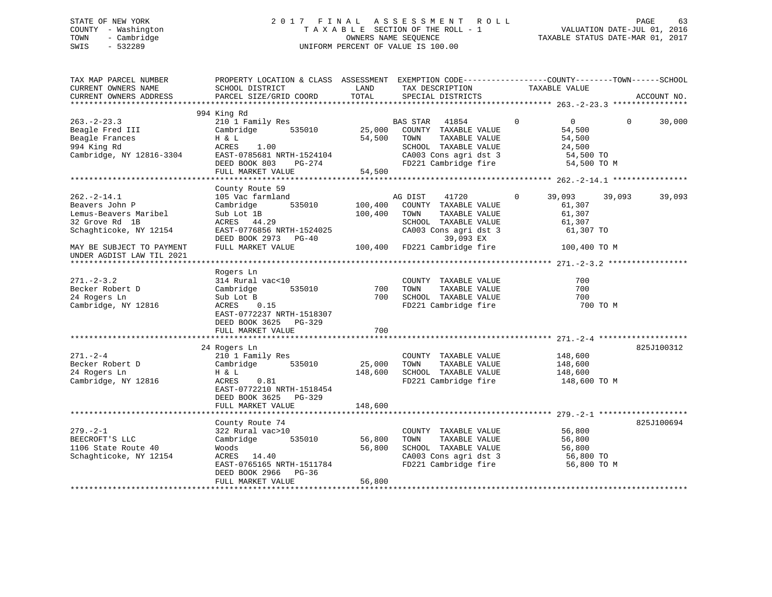# STATE OF NEW YORK 2 0 1 7 F I N A L A S S E S S M E N T R O L L PAGE 63 COUNTY - Washington T A X A B L E SECTION OF THE ROLL - 1 VALUATION DATE-JUL 01, 2016 TOWN - Cambridge OWNERS NAME SEQUENCE TAXABLE STATUS DATE-MAR 01, 2017 SWIS - 532289 UNIFORM PERCENT OF VALUE IS 100.00

| TAX MAP PARCEL NUMBER<br>CURRENT OWNERS NAME<br>CURRENT OWNERS ADDRESS                                  | PROPERTY LOCATION & CLASS ASSESSMENT EXEMPTION CODE----------------COUNTY-------TOWN------SCHOOL<br>SCHOOL DISTRICT<br>PARCEL SIZE/GRID COORD                 | LAND<br>TOTAL                | TAX DESCRIPTION<br>SPECIAL DISTRICTS                                                                                                     | TAXABLE VALUE                                                                            | ACCOUNT NO.        |
|---------------------------------------------------------------------------------------------------------|---------------------------------------------------------------------------------------------------------------------------------------------------------------|------------------------------|------------------------------------------------------------------------------------------------------------------------------------------|------------------------------------------------------------------------------------------|--------------------|
|                                                                                                         |                                                                                                                                                               |                              |                                                                                                                                          |                                                                                          |                    |
| $263 - 2 - 23.3$<br>Beagle Fred III<br>Beagle Frances<br>994 King Rd<br>Cambridge, NY 12816-3304        | 994 King Rd<br>210 1 Family Res<br>535010<br>Cambridge<br>H & L<br>ACRES<br>1.00<br>EAST-0785681 NRTH-1524104<br>DEED BOOK 803<br>PG-274<br>FULL MARKET VALUE | 25,000<br>54,500<br>54,500   | BAS STAR 41854<br>COUNTY TAXABLE VALUE<br>TAXABLE VALUE<br>TOWN<br>SCHOOL TAXABLE VALUE<br>CA003 Cons agri dst 3<br>FD221 Cambridge fire | $\mathbf{0}$<br>$\overline{0}$<br>54,500<br>54,500<br>24,500<br>54,500 TO<br>54,500 TO M | 30,000<br>$\Omega$ |
|                                                                                                         | County Route 59                                                                                                                                               |                              |                                                                                                                                          |                                                                                          |                    |
| $262 - 2 - 14.1$<br>Beavers John P<br>Lemus-Beavers Maribel<br>32 Grove Rd 1B<br>Schaghticoke, NY 12154 | 105 Vac farmland<br>Cambridge<br>535010<br>Sub Lot 1B<br>ACRES 44.29<br>EAST-0776856 NRTH-1524025<br>DEED BOOK 2973 PG-40                                     | 100,400<br>100,400           | AG DIST<br>41720<br>COUNTY TAXABLE VALUE<br>TOWN<br>TAXABLE VALUE<br>SCHOOL TAXABLE VALUE<br>CA003 Cons agri dst 3<br>39,093 EX          | 39,093<br>$\mathbf 0$<br>61,307<br>61,307<br>61,307<br>61,307 TO                         | 39,093<br>39,093   |
| MAY BE SUBJECT TO PAYMENT<br>UNDER AGDIST LAW TIL 2021                                                  | FULL MARKET VALUE                                                                                                                                             |                              | 100,400 FD221 Cambridge fire                                                                                                             | 100,400 TO M                                                                             |                    |
| $271. - 2 - 3.2$<br>Becker Robert D<br>24 Rogers Ln<br>Cambridge, NY 12816                              | Rogers Ln<br>314 Rural vac<10<br>535010<br>Cambridge<br>Sub Lot B<br>ACRES<br>0.15<br>EAST-0772237 NRTH-1518307<br>DEED BOOK 3625 PG-329<br>FULL MARKET VALUE | 700<br>700<br>700            | COUNTY TAXABLE VALUE<br>TAXABLE VALUE<br>TOWN<br>SCHOOL TAXABLE VALUE<br>FD221 Cambridge fire                                            | 700<br>700<br>700<br>700 TO M                                                            |                    |
|                                                                                                         |                                                                                                                                                               |                              |                                                                                                                                          |                                                                                          |                    |
| $271. - 2 - 4$<br>Becker Robert D<br>24 Rogers Ln<br>Cambridge, NY 12816                                | 24 Rogers Ln<br>210 1 Family Res<br>Cambridge<br>535010<br>H & L<br>ACRES<br>0.81<br>EAST-0772210 NRTH-1518454<br>DEED BOOK 3625 PG-329<br>FULL MARKET VALUE  | 25,000<br>148,600<br>148,600 | COUNTY TAXABLE VALUE<br>TOWN<br>TAXABLE VALUE<br>SCHOOL TAXABLE VALUE<br>FD221 Cambridge fire                                            | 148,600<br>148,600<br>148,600<br>148,600 TO M                                            | 825J100312         |
|                                                                                                         | ******************************                                                                                                                                |                              |                                                                                                                                          |                                                                                          |                    |
| $279. - 2 - 1$<br>BEECROFT'S LLC<br>1106 State Route 40<br>Schaghticoke, NY 12154                       | County Route 74<br>322 Rural vac>10<br>Cambridge<br>535010<br>Woods<br>ACRES 14.40<br>EAST-0765165 NRTH-1511784<br>DEED BOOK 2966 PG-36                       | 56,800<br>56,800             | COUNTY TAXABLE VALUE<br>TAXABLE VALUE<br>TOWN<br>SCHOOL TAXABLE VALUE<br>CA003 Cons agri dst 3<br>FD221 Cambridge fire                   | 56,800<br>56,800<br>56,800<br>56,800 TO<br>56,800 TO M                                   | 825J100694         |
|                                                                                                         | FULL MARKET VALUE                                                                                                                                             | 56,800                       |                                                                                                                                          |                                                                                          |                    |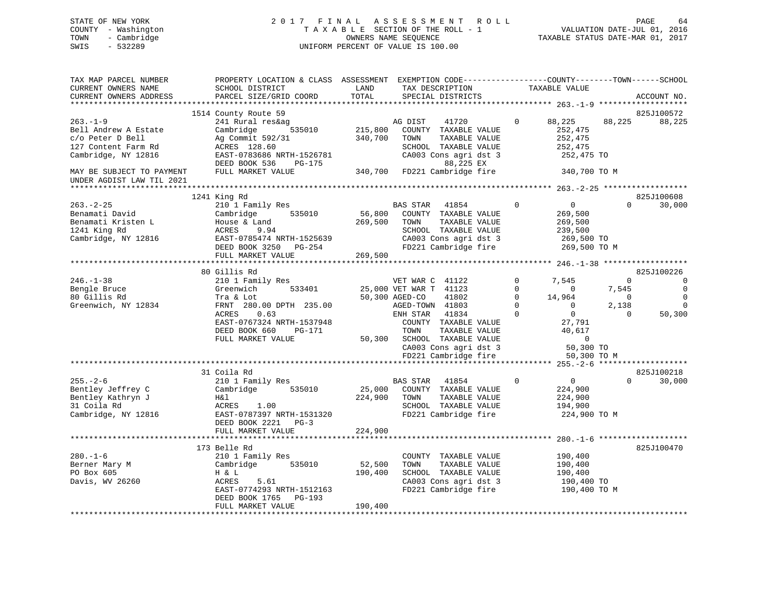# STATE OF NEW YORK 2 0 1 7 F I N A L A S S E S S M E N T R O L L PAGE 64 COUNTY - Washington T A X A B L E SECTION OF THE ROLL - 1 VALUATION DATE-JUL 01, 2016 TOWN - Cambridge OWNERS NAME SEQUENCE TAXABLE STATUS DATE-MAR 01, 2017 SWIS - 532289 UNIFORM PERCENT OF VALUE IS 100.00

| TAX MAP PARCEL NUMBER     | PROPERTY LOCATION & CLASS ASSESSMENT EXEMPTION CODE----------------COUNTY-------TOWN------SCHOOL |         |                             |             |                |                |             |
|---------------------------|--------------------------------------------------------------------------------------------------|---------|-----------------------------|-------------|----------------|----------------|-------------|
| CURRENT OWNERS NAME       | SCHOOL DISTRICT                                                                                  | LAND    | TAX DESCRIPTION             |             | TAXABLE VALUE  |                |             |
| CURRENT OWNERS ADDRESS    | PARCEL SIZE/GRID COORD                                                                           | TOTAL   | SPECIAL DISTRICTS           |             |                |                | ACCOUNT NO. |
|                           |                                                                                                  |         |                             |             |                |                |             |
|                           | 1514 County Route 59                                                                             |         |                             |             |                |                | 825J100572  |
| $263. - 1 - 9$            | 241 Rural res&ag                                                                                 |         | AG DIST<br>41720            | 0           | 88,225         | 88,225         | 88,225      |
| Bell Andrew A Estate      | Cambridge<br>535010                                                                              | 215,800 | COUNTY TAXABLE VALUE        |             | 252,475        |                |             |
| c/o Peter D Bell          | Ag Commit 592/31                                                                                 | 340,700 | TOWN<br>TAXABLE VALUE       |             | 252,475        |                |             |
| 127 Content Farm Rd       | ACRES 128.60                                                                                     |         | SCHOOL TAXABLE VALUE        |             | 252,475        |                |             |
| Cambridge, NY 12816       | EAST-0783686 NRTH-1526781                                                                        |         | CA003 Cons agri dst 3       |             | 252,475 TO     |                |             |
|                           | DEED BOOK 536<br>PG-175                                                                          |         | 88,225 EX                   |             |                |                |             |
|                           | FULL MARKET VALUE                                                                                | 340,700 | FD221 Cambridge fire        |             |                |                |             |
| MAY BE SUBJECT TO PAYMENT |                                                                                                  |         |                             |             | 340,700 TO M   |                |             |
| UNDER AGDIST LAW TIL 2021 |                                                                                                  |         |                             |             |                |                |             |
|                           |                                                                                                  |         |                             |             |                |                |             |
|                           | 1241 King Rd                                                                                     |         |                             |             |                |                | 825J100608  |
| $263. - 2 - 25$           | 210 1 Family Res                                                                                 |         | BAS STAR<br>41854           | $\Omega$    | $\mathbf 0$    | $\Omega$       | 30,000      |
| Benamati David            | Cambridge<br>535010                                                                              | 56,800  | COUNTY TAXABLE VALUE        |             | 269,500        |                |             |
| Benamati Kristen L        | House & Land                                                                                     | 269,500 | TOWN<br>TAXABLE VALUE       |             | 269,500        |                |             |
| 1241 King Rd              | ACRES<br>9.94                                                                                    |         | SCHOOL TAXABLE VALUE        |             | 239,500        |                |             |
| Cambridge, NY 12816       | EAST-0785474 NRTH-1525639                                                                        |         | CA003 Cons agri dst 3       |             | 269,500 TO     |                |             |
|                           | DEED BOOK 3250 PG-254                                                                            |         | FD221 Cambridge fire        |             | 269,500 TO M   |                |             |
|                           | FULL MARKET VALUE                                                                                | 269,500 |                             |             |                |                |             |
|                           |                                                                                                  |         |                             |             |                |                |             |
|                           | 80 Gillis Rd                                                                                     |         |                             |             |                |                | 825J100226  |
| $246. - 1 - 38$           | 210 1 Family Res                                                                                 |         | VET WAR C 41122             | $\mathbf 0$ | 7,545          | 0              | 0           |
| Bengle Bruce              | 533401<br>Greenwich                                                                              |         | 25,000 VET WAR T 41123      | 0           | $\circ$        | 7,545          |             |
| 80 Gillis Rd              | Tra & Lot                                                                                        |         | 41802<br>50,300 AGED-CO     | $\Omega$    | 14,964         | $\overline{0}$ | 0           |
| Greenwich, NY 12834       | FRNT 280.00 DPTH 235.00                                                                          |         | AGED-TOWN 41803             | $\Omega$    | $\Omega$       | 2,138          | $\Omega$    |
|                           | ACRES<br>0.63                                                                                    |         | 41834<br>ENH STAR           | $\Omega$    | $\overline{0}$ | $\Omega$       | 50,300      |
|                           | EAST-0767324 NRTH-1537948                                                                        |         | COUNTY TAXABLE VALUE        |             | 27,791         |                |             |
|                           |                                                                                                  |         |                             |             |                |                |             |
|                           | DEED BOOK 660<br>PG-171                                                                          |         | TOWN<br>TAXABLE VALUE       |             | 40,617         |                |             |
|                           | FULL MARKET VALUE                                                                                |         | 50,300 SCHOOL TAXABLE VALUE |             | $\Omega$       |                |             |
|                           |                                                                                                  |         | CA003 Cons agri dst 3       |             | 50,300 TO      |                |             |
|                           |                                                                                                  |         | FD221 Cambridge fire        |             | 50,300 TO M    |                |             |
|                           |                                                                                                  |         |                             |             |                |                |             |
|                           | 31 Coila Rd                                                                                      |         |                             |             |                |                | 825J100218  |
| $255. - 2 - 6$            | 210 1 Family Res                                                                                 |         | BAS STAR<br>41854           | $\Omega$    | $\overline{0}$ | $\Omega$       | 30,000      |
| Bentley Jeffrey C         | Cambridge<br>535010                                                                              | 25,000  | COUNTY TAXABLE VALUE        |             | 224,900        |                |             |
| Bentley Kathryn J         | H&l                                                                                              | 224,900 | TAXABLE VALUE<br>TOWN       |             | 224,900        |                |             |
| 31 Coila Rd               | ACRES<br>1.00                                                                                    |         | SCHOOL TAXABLE VALUE        |             | 194,900        |                |             |
| Cambridge, NY 12816       | EAST-0787397 NRTH-1531320                                                                        |         | FD221 Cambridge fire        |             | 224,900 TO M   |                |             |
|                           | DEED BOOK 2221 PG-3                                                                              |         |                             |             |                |                |             |
|                           | FULL MARKET VALUE                                                                                | 224,900 |                             |             |                |                |             |
|                           |                                                                                                  |         |                             |             |                |                |             |
|                           | 173 Belle Rd                                                                                     |         |                             |             |                |                | 825J100470  |
| $280. - 1 - 6$            | 210 1 Family Res                                                                                 |         | COUNTY TAXABLE VALUE        |             | 190,400        |                |             |
| Berner Mary M             | Cambridge<br>535010                                                                              | 52,500  | TAXABLE VALUE<br>TOWN       |             | 190,400        |                |             |
| PO Box 605                | H & L                                                                                            | 190,400 | SCHOOL TAXABLE VALUE        |             | 190,400        |                |             |
| Davis, WV 26260           | 5.61<br>ACRES                                                                                    |         | CA003 Cons agri dst 3       |             | 190,400 TO     |                |             |
|                           | EAST-0774293 NRTH-1512163                                                                        |         | FD221 Cambridge fire        |             | 190,400 TO M   |                |             |
|                           | DEED BOOK 1765<br>PG-193                                                                         |         |                             |             |                |                |             |
|                           | FULL MARKET VALUE                                                                                | 190,400 |                             |             |                |                |             |
|                           |                                                                                                  |         |                             |             |                |                |             |
|                           |                                                                                                  |         |                             |             |                |                |             |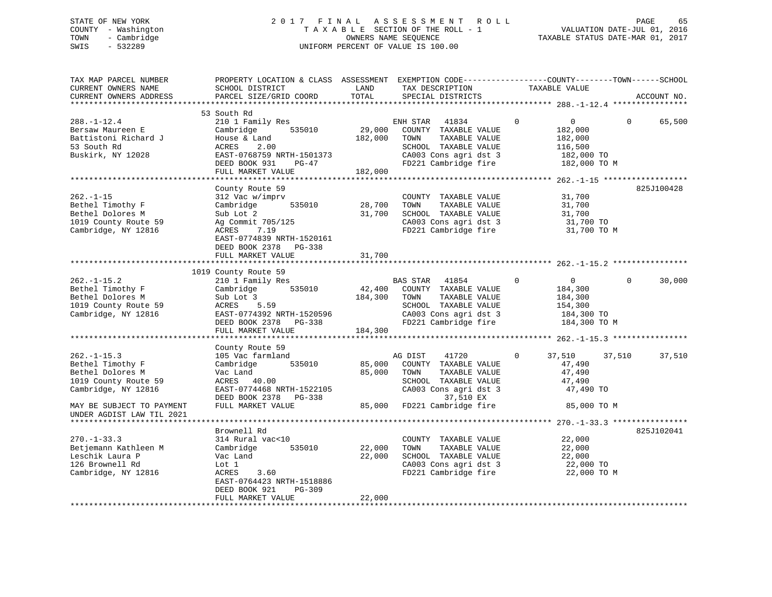# STATE OF NEW YORK 2 0 1 7 F I N A L A S S E S S M E N T R O L L PAGE 65 COUNTY - Washington T A X A B L E SECTION OF THE ROLL - 1 VALUATION DATE-JUL 01, 2016 TOWN - Cambridge OWNERS NAME SEQUENCE TAXABLE STATUS DATE-MAR 01, 2017 SWIS - 532289 UNIFORM PERCENT OF VALUE IS 100.00

| TAX MAP PARCEL NUMBER<br>CURRENT OWNERS NAME<br>CURRENT OWNERS ADDRESS                                                               | PROPERTY LOCATION & CLASS ASSESSMENT EXEMPTION CODE----------------COUNTY-------TOWN------SCHOOL<br>SCHOOL DISTRICT<br>PARCEL SIZE/GRID COORD                                           | LAND<br>TOTAL                | TAX DESCRIPTION<br>SPECIAL DISTRICTS                                                                                                                        | TAXABLE VALUE                                                                             | ACCOUNT NO.        |
|--------------------------------------------------------------------------------------------------------------------------------------|-----------------------------------------------------------------------------------------------------------------------------------------------------------------------------------------|------------------------------|-------------------------------------------------------------------------------------------------------------------------------------------------------------|-------------------------------------------------------------------------------------------|--------------------|
|                                                                                                                                      |                                                                                                                                                                                         |                              |                                                                                                                                                             |                                                                                           |                    |
| $288. - 1 - 12.4$<br>Bersaw Maureen E<br>Battistoni Richard J<br>53 South Rd<br>Buskirk, NY 12028                                    | 53 South Rd<br>210 1 Family Res<br>535010<br>Cambridge<br>House & Land<br>ACRES<br>2.00<br>EAST-0768759 NRTH-1501373<br>DEED BOOK 931<br>$PG-47$<br>FULL MARKET VALUE                   | 29,000<br>182,000<br>182,000 | ENH STAR<br>41834<br>COUNTY TAXABLE VALUE<br>TOWN<br>TAXABLE VALUE<br>SCHOOL TAXABLE VALUE<br>CA003 Cons agri dst 3<br>FD221 Cambridge fire                 | $\Omega$<br>$\overline{0}$<br>182,000<br>182,000<br>116,500<br>182,000 TO<br>182,000 TO M | 65,500<br>$\Omega$ |
|                                                                                                                                      |                                                                                                                                                                                         |                              |                                                                                                                                                             |                                                                                           |                    |
| $262. -1 - 15$<br>Bethel Timothy F<br>Bethel Dolores M<br>1019 County Route 59<br>Cambridge, NY 12816                                | County Route 59<br>312 Vac w/imprv<br>535010<br>Cambridge<br>Sub Lot 2<br>Ag Commit 705/125<br>ACRES<br>7.19<br>EAST-0774839 NRTH-1520161<br>DEED BOOK 2378 PG-338<br>FULL MARKET VALUE | 28,700<br>31,700<br>31,700   | COUNTY TAXABLE VALUE<br>TOWN<br>TAXABLE VALUE<br>SCHOOL TAXABLE VALUE<br>CA003 Cons agri dst 3<br>FD221 Cambridge fire                                      | 31,700<br>31,700<br>31,700<br>31,700 TO<br>31,700 TO M                                    | 825J100428         |
|                                                                                                                                      |                                                                                                                                                                                         |                              |                                                                                                                                                             |                                                                                           |                    |
| $262. - 1 - 15.2$<br>Bethel Timothy F<br>Bethel Dolores M<br>1019 County Route 59<br>Cambridge, NY 12816                             | 1019 County Route 59<br>210 1 Family Res<br>535010<br>Cambridge<br>Sub Lot 3<br>5.59<br>ACRES<br>EAST-0774392 NRTH-1520596<br>DEED BOOK 2378 PG-338<br>FULL MARKET VALUE                | 42,400<br>184,300<br>184,300 | BAS STAR 41854<br>COUNTY TAXABLE VALUE<br>TOWN<br>TAXABLE VALUE<br>SCHOOL TAXABLE VALUE<br>CA003 Cons agri dst 3<br>FD221 Cambridge fire                    | $\Omega$<br>$\overline{0}$<br>184,300<br>184,300<br>154,300<br>184,300 TO<br>184,300 TO M | $\Omega$<br>30,000 |
|                                                                                                                                      |                                                                                                                                                                                         |                              |                                                                                                                                                             |                                                                                           |                    |
| $262. -1 - 15.3$<br>Bethel Timothy F<br>Bethel Dolores M<br>1019 County Route 59<br>Cambridge, NY 12816<br>MAY BE SUBJECT TO PAYMENT | County Route 59<br>105 Vac farmland<br>535010<br>Cambridge<br>Vac Land<br>ACRES 40.00<br>EAST-0774468 NRTH-1522105<br>DEED BOOK 2378 PG-338<br>FULL MARKET VALUE                        | 85,000<br>85,000             | AG DIST 41720<br>COUNTY TAXABLE VALUE<br>TOWN<br>TAXABLE VALUE<br>SCHOOL TAXABLE VALUE<br>CA003 Cons agri dst 3<br>37,510 EX<br>85,000 FD221 Cambridge fire | $\mathbf{0}$<br>37,510<br>47,490<br>47,490<br>47,490<br>47,490 TO<br>85,000 TO M          | 37,510<br>37,510   |
| UNDER AGDIST LAW TIL 2021                                                                                                            |                                                                                                                                                                                         |                              |                                                                                                                                                             |                                                                                           |                    |
|                                                                                                                                      |                                                                                                                                                                                         |                              |                                                                                                                                                             |                                                                                           |                    |
| $270. - 1 - 33.3$<br>Betjemann Kathleen M<br>Leschik Laura P<br>126 Brownell Rd<br>Cambridge, NY 12816                               | Brownell Rd<br>314 Rural vac<10<br>Cambridge<br>535010<br>Vac Land<br>Lot 1<br>3.60<br>ACRES<br>EAST-0764423 NRTH-1518886<br>DEED BOOK 921<br>PG-309                                    | 22,000<br>22,000             | COUNTY TAXABLE VALUE<br>TOWN<br>TAXABLE VALUE<br>SCHOOL TAXABLE VALUE<br>CA003 Cons agri dst 3<br>FD221 Cambridge fire                                      | 22,000<br>22,000<br>22,000<br>22,000 TO<br>22,000 TO M                                    | 825J102041         |
|                                                                                                                                      | FULL MARKET VALUE                                                                                                                                                                       | 22,000                       |                                                                                                                                                             |                                                                                           |                    |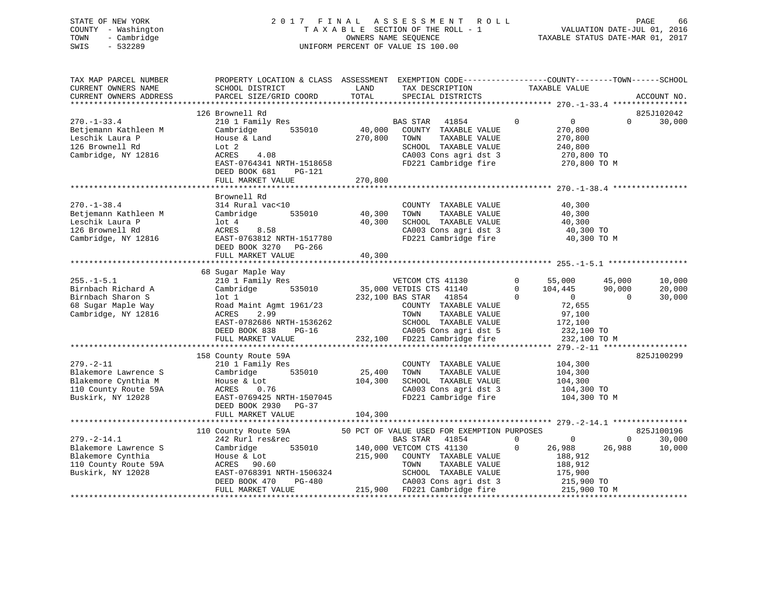# STATE OF NEW YORK 2 0 1 7 F I N A L A S S E S S M E N T R O L L PAGE 66 COUNTY - Washington T A X A B L E SECTION OF THE ROLL - 1 VALUATION DATE-JUL 01, 2016 TOWN - Cambridge OWNERS NAME SEQUENCE TAXABLE STATUS DATE-MAR 01, 2017 SWIS - 532289 UNIFORM PERCENT OF VALUE IS 100.00

| TAX MAP PARCEL NUMBER<br>CURRENT OWNERS NAME<br>CURRENT OWNERS ADDRESS                                      | PROPERTY LOCATION & CLASS ASSESSMENT EXEMPTION CODE----------------COUNTY-------TOWN------SCHOOL<br>SCHOOL DISTRICT<br>PARCEL SIZE/GRID COORD                                                    | LAND<br>TOTAL                | TAX DESCRIPTION<br>SPECIAL DISTRICTS                                                                                                                                                                                                                          | TAXABLE VALUE                                                                                                                                                                            |                              | ACCOUNT NO.                    |
|-------------------------------------------------------------------------------------------------------------|--------------------------------------------------------------------------------------------------------------------------------------------------------------------------------------------------|------------------------------|---------------------------------------------------------------------------------------------------------------------------------------------------------------------------------------------------------------------------------------------------------------|------------------------------------------------------------------------------------------------------------------------------------------------------------------------------------------|------------------------------|--------------------------------|
| $270. - 1 - 33.4$<br>Betjemann Kathleen M<br>Leschik Laura P<br>126 Brownell Rd<br>Cambridge, NY 12816      | 126 Brownell Rd<br>210 1 Family Res<br>535010<br>Cambridge<br>House & Land<br>Lot <sub>2</sub><br>4.08<br>ACRES<br>EAST-0764341 NRTH-1518658<br>DEED BOOK 681<br>PG-121<br>FULL MARKET VALUE     | 270,800<br>270,800           | BAS STAR<br>41854<br>40,000 COUNTY TAXABLE VALUE<br>TAXABLE VALUE<br>TOWN<br>SCHOOL TAXABLE VALUE<br>CA003 Cons agri dst 3<br>FD221 Cambridge fire                                                                                                            | $\mathbf 0$<br>$\overline{0}$<br>270,800<br>270,800<br>240,800<br>270,800 TO<br>270,800 TO M                                                                                             | $\Omega$                     | 825J102042<br>30,000           |
| $270. - 1 - 38.4$<br>Betjemann Kathleen M<br>Leschik Laura P<br>126 Brownell Rd<br>Cambridge, NY 12816      | Brownell Rd<br>314 Rural vac<10<br>535010<br>Cambridge<br>lot 4<br>ACRES<br>8.58<br>EAST-0763812 NRTH-1517780<br>DEED BOOK 3270 PG-266<br>FULL MARKET VALUE                                      | 40,300<br>40,300<br>40,300   | COUNTY TAXABLE VALUE<br>TAXABLE VALUE<br>TOWN<br>SCHOOL TAXABLE VALUE<br>SCHOOL TAXABLE VALUE<br>CA003 Cons agri dst 3<br>FD221 Cambridge fire                                                                                                                | 40,300<br>40,300<br>40,300<br>40,300 TO<br>40,300 TO M                                                                                                                                   |                              |                                |
| $255. - 1 - 5.1$<br>Birnbach Richard A<br>Birnbach Sharon S<br>68 Sugar Maple Way<br>Cambridge, NY 12816    | 68 Sugar Maple Way<br>210 1 Family Res<br>Cambridge<br>535010<br>lot 1<br>Road Maint Agmt 1961/23<br>ACRES<br>2.99<br>EAST-0782686 NRTH-1536262<br>DEED BOOK 838<br>$PG-16$<br>FULL MARKET VALUE |                              | VETCOM CTS 41130<br>35,000 VETDIS CTS 41140<br>232,100 BAS STAR 41854<br>COUNTY TAXABLE VALUE<br>TOWN<br>TAXABLE VALUE<br>SCHOOL TAXABLE VALUE<br>CA005 Cons agri dst 5<br>232,100 FD221 Cambridge fire 232,100 TO 232,100 TO                                 | $\begin{array}{ccc} 0 & \quad & 55\,,000 \\ 0 & \quad & 104\,,445 \\ 0 & \quad & 0 \end{array}$<br>$\begin{array}{c} 0 \\ 20 \end{array}$<br>72,655<br>97,100<br>172,100<br>232,100 TO M | 45,000<br>90,000<br>$\Omega$ | 10,000<br>20,000<br>30,000     |
| $279. - 2 - 11$<br>Blakemore Lawrence S<br>Blakemore Cynthia M<br>110 County Route 59A<br>Buskirk, NY 12028 | 158 County Route 59A<br>210 1 Family Res<br>535010<br>Cambridge<br>House & Lot<br>ACRES<br>0.76<br>EAST-0769425 NRTH-1507045<br>DEED BOOK 2930 PG-37<br>FULL MARKET VALUE                        | 25,400<br>104,300<br>104,300 | COUNTY TAXABLE VALUE<br>TOWN<br>TAXABLE VALUE<br>SCHOOL TAXABLE VALUE<br>CA003 Cons agri dst 3<br>FD221 Cambridge fire                                                                                                                                        | 104,300<br>104,300<br>104,300<br>104,300 TO<br>104,300 TO M                                                                                                                              |                              | 825J100299                     |
| $279. - 2 - 14.1$<br>Blakemore Lawrence S<br>Blakemore Cynthia<br>110 County Route 59A<br>Buskirk, NY 12028 | 110 County Route 59A<br>242 Rurl res&rec<br>535010<br>Cambridge<br>House & Lot<br>ACRES<br>90.60<br>EAST-0768391 NRTH-1506324<br>$PG-480$<br>DEED BOOK 470<br>FULL MARKET VALUE                  | 215,900                      | 50 PCT OF VALUE USED FOR EXEMPTION PURPOSES<br><b>BAS STAR</b><br>41854<br>140,000 VETCOM CTS 41130<br>COUNTY TAXABLE VALUE<br>TAXABLE VALUE<br>TOWN<br>SCHOOL TAXABLE VALUE<br>SCHOOL TAXABLE VALUE<br>CA003 Cons agri dst 3<br>215,900 FD221 Cambridge fire | $\mathbf{0}$<br>$\overline{0}$<br>26,988<br>$\mathbf{0}$<br>188,912<br>188,912<br>175,900<br>215,900 TO<br>215,900 TO M                                                                  | $\overline{0}$<br>26,988     | 825J100196<br>30,000<br>10,000 |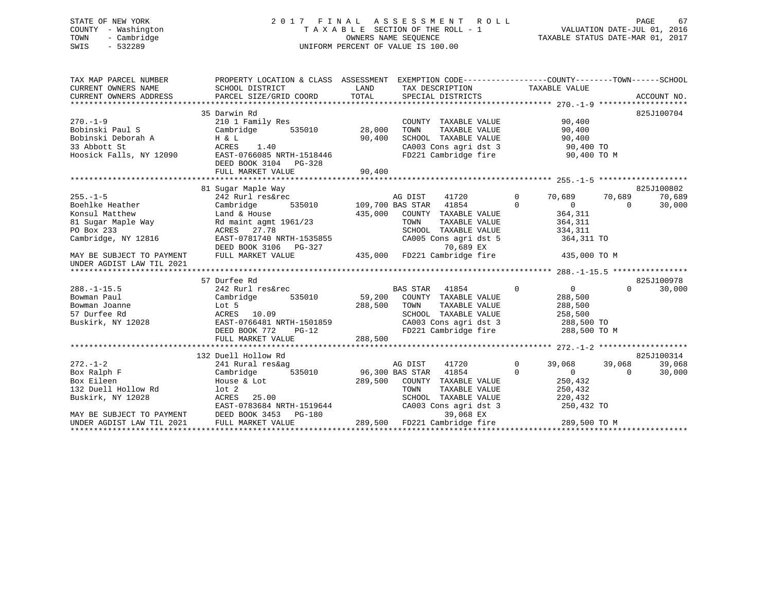# STATE OF NEW YORK 2 0 1 7 F I N A L A S S E S S M E N T R O L L PAGE 67 COUNTY - Washington T A X A B L E SECTION OF THE ROLL - 1 VALUATION DATE-JUL 01, 2016 TOWN - Cambridge OWNERS NAME SEQUENCE TAXABLE STATUS DATE-MAR 01, 2017 SWIS - 532289 UNIFORM PERCENT OF VALUE IS 100.00

| TAX MAP PARCEL NUMBER<br>CURRENT OWNERS NAME                                                                          | PROPERTY LOCATION & CLASS ASSESSMENT EXEMPTION CODE----------------COUNTY-------TOWN------SCHOOL<br>SCHOOL DISTRICT                                                  | LAND                                               | TAX DESCRIPTION TAXABLE VALUE<br>SPECIAL DISTRICTS                                                                                                                                                       |                                                                                                            | ACCOUNT NO.                                          |
|-----------------------------------------------------------------------------------------------------------------------|----------------------------------------------------------------------------------------------------------------------------------------------------------------------|----------------------------------------------------|----------------------------------------------------------------------------------------------------------------------------------------------------------------------------------------------------------|------------------------------------------------------------------------------------------------------------|------------------------------------------------------|
| $270 - 1 - 9$<br>Bobinski Paul S<br>Bobinski Deborah A<br>33 Abbott St<br>Hoosick Falls, NY 12090                     | 35 Darwin Rd<br>210 1 Family Res<br>H & L<br>ACRES<br>1.40<br>EAST-0766085 NRTH-1518446<br>DEED BOOK 3104 PG-328                                                     | 90,400                                             | COUNTY TAXABLE VALUE<br>TAXABLE VALUE<br>TOWN<br>SCHOOL TAXABLE VALUE 90,400<br>CA003 Cons agri dst 3 90,400 TO<br>FD221 Cambridge fire 90,400 TO M                                                      | 90,400<br>90,400                                                                                           | 825J100704                                           |
|                                                                                                                       |                                                                                                                                                                      |                                                    |                                                                                                                                                                                                          |                                                                                                            |                                                      |
| $255. - 1 - 5$<br>Boehlke Heather<br>Konsul Matthew<br>PO Box 233<br>Cambridge, NY 12816<br>MAY BE SUBJECT TO PAYMENT | 81 Sugar Maple Way<br>242 Rurl res&rec<br>Cambridge<br>Land & House<br>ACRES 27.78<br>EAST-0781740 NRTH-1535855<br>DEED BOOK 3106<br>$PG-327$<br>FULL MARKET VALUE   | 435,000                                            | 41720<br>E AG DIST 41720<br>535010 109,700 BAS STAR 41854<br>COUNTY TAXABLE VALUE<br>TAXABLE VALUE<br>TOWN<br>SCHOOL TAXABLE VALUE<br>CA005 Cons agri dst 5<br>70,689 EX<br>435,000 FD221 Cambridge fire | $\Omega$<br>70,689<br>$\Omega$<br>$\Omega$<br>364,311<br>364, 311<br>334,311<br>364,311 TO<br>435,000 TO M | 825J100802<br>70,689<br>70,689<br>30,000<br>$\Omega$ |
| UNDER AGDIST LAW TIL 2021                                                                                             |                                                                                                                                                                      |                                                    |                                                                                                                                                                                                          |                                                                                                            |                                                      |
|                                                                                                                       |                                                                                                                                                                      |                                                    |                                                                                                                                                                                                          |                                                                                                            |                                                      |
| $288. - 1 - 15.5$<br>Bowman Paul<br>Bowman Joanne<br>57 Durfee Rd                                                     | 57 Durfee Rd<br>242 Rurl res&rec<br>Cambridge<br>535010<br>Lot 5<br>ACRES 10.09<br>Buskirk, NY 12028 EAST-0766481 NRTH-1501859<br>DEED BOOK 772<br>FULL MARKET VALUE | 59,200<br>288,500<br>H-1501859<br>PG-12<br>288,500 | $\overline{0}$<br>BAS STAR 41854<br>COUNTY TAXABLE VALUE<br>TOWN<br>TAXABLE VALUE<br>SCHOOL TAXABLE VALUE<br>CA003 Cons agri dst 3 288,500 TO<br>FD221 Cambridge fire                                    | $\overline{0}$<br>288,500<br>288,500<br>258,500<br>288,500 TO M                                            | 825J100978<br>$\Omega$<br>30,000                     |
|                                                                                                                       | 132 Duell Hollow Rd                                                                                                                                                  |                                                    |                                                                                                                                                                                                          |                                                                                                            | 825J100314                                           |
| $272 - 1 - 2$<br>Box Ralph F<br>Box Eileen<br>132 Duell Hollow Rd<br>Buskirk, NY 12028<br>MAY BE SUBJECT TO PAYMENT   | 241 Rural res&ag<br>Cambridge 535010 96,300 BAS STAR 41854<br>House & Lot<br>lot 2<br>ACRES 25.00<br>EAST-0783684 NRTH-1519644<br>DEED BOOK 3453<br>PG-180           | 289,500                                            | 41720 0<br>AG DIST<br>COUNTY TAXABLE VALUE<br>TOWN<br>TAXABLE VALUE<br>SCHOOL TAXABLE VALUE<br>CA003 Cons agri dst 3<br>39,068 EX                                                                        | 39,068<br>$0 \qquad \qquad$<br>$\Omega$<br>250,432<br>250,432<br>220,432<br>250,432 TO                     | 39,068<br>39,068<br>30,000<br>$\Omega$               |
| UNDER AGDIST LAW TIL 2021                                                                                             | FULL MARKET VALUE                                                                                                                                                    |                                                    | 289,500 FD221 Cambridge fire                                                                                                                                                                             | 289,500 TO M                                                                                               |                                                      |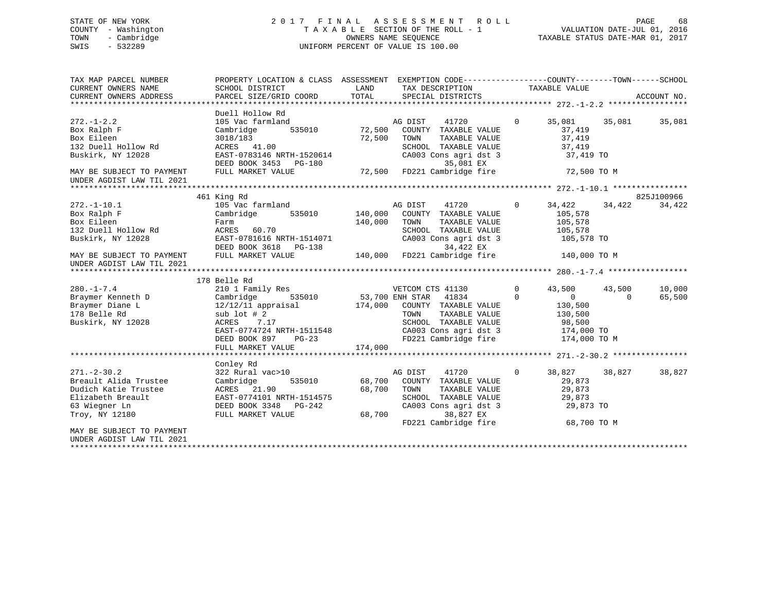# STATE OF NEW YORK 2 0 1 7 F I N A L A S S E S S M E N T R O L L PAGE 68 COUNTY - Washington T A X A B L E SECTION OF THE ROLL - 1 VALUATION DATE-JUL 01, 2016 TOWN - Cambridge OWNERS NAME SEQUENCE TAXABLE STATUS DATE-MAR 01, 2017 SWIS - 532289 UNIFORM PERCENT OF VALUE IS 100.00

| TAX MAP PARCEL NUMBER<br>CURRENT OWNERS NAME                                                                               | PROPERTY LOCATION & CLASS ASSESSMENT EXEMPTION CODE---------------COUNTY-------TOWN-----SCHOOL<br>SCHOOL DISTRICT                                                                                               | LAND                    | TAX DESCRIPTION TAXABLE VALUE                                                                                                                                                                   |                          |                                                                  |                          |                  |
|----------------------------------------------------------------------------------------------------------------------------|-----------------------------------------------------------------------------------------------------------------------------------------------------------------------------------------------------------------|-------------------------|-------------------------------------------------------------------------------------------------------------------------------------------------------------------------------------------------|--------------------------|------------------------------------------------------------------|--------------------------|------------------|
| CURRENT OWNERS ADDRESS                                                                                                     | PARCEL SIZE/GRID COORD                                                                                                                                                                                          | TOTAL                   | SPECIAL DISTRICTS                                                                                                                                                                               |                          |                                                                  |                          | ACCOUNT NO.      |
|                                                                                                                            | Duell Hollow Rd                                                                                                                                                                                                 |                         |                                                                                                                                                                                                 |                          |                                                                  |                          |                  |
| $272. - 1 - 2.2$<br>Box Ralph F<br>Box Eileen<br>132 Duell Hollow Rd<br>Buskirk, NY 12028                                  | 105 Vac farmland<br>Cambridge<br>3018/183<br>ACRES 41.00<br>EAST-0783146 NRTH-1520614                                                                                                                           | 535010 72,500<br>72,500 | 41720<br>AG DIST<br>COUNTY TAXABLE VALUE<br>TAXABLE VALUE<br>TOWN<br>SCHOOL TAXABLE VALUE<br>CA003 Cons agri dst 3                                                                              | $\overline{0}$           | 35,081<br>37,419<br>37,419<br>37,419<br>37,419 TO                | 35,081                   | 35,081           |
| MAY BE SUBJECT TO PAYMENT<br>UNDER AGDIST LAW TIL 2021                                                                     | DEED BOOK 3453 PG-180<br>FULL MARKET VALUE                                                                                                                                                                      |                         | 35,081 EX<br>35,081 EX<br>72,500 FD221 Cambridge fire                                                                                                                                           |                          | 72,500 TO M                                                      |                          |                  |
|                                                                                                                            | 461 King Rd                                                                                                                                                                                                     |                         |                                                                                                                                                                                                 |                          |                                                                  |                          | 825J100966       |
| $272. - 1 - 10.1$<br>Box Ralph F<br>Box Eileen<br>132 Duell Hollow Rd<br>Buskirk, NY 12028                                 | 105 Vac farmland<br>Cambridge 535010 140,000 COUNTY TAXABLE VALUE<br>Farm<br>ACRES 60.70<br>EAST-0781616 NRTH-1514071<br>DEED BOOK 3618 PG-138                                                                  | 140,000                 | 41720<br>AG DIST<br>TAXABLE VALUE<br>TOWN<br>SCHOOL TAXABLE VALUE<br>CA003 Cons agri dst 3<br>34,422 EX<br>140,000 FD221 Cambridge fire                                                         | $\overline{0}$           | 34,422 34,422<br>105,578<br>105,578<br>105,578<br>105,578 TO     |                          | 34,422           |
| MAY BE SUBJECT TO PAYMENT<br>UNDER AGDIST LAW TIL 2021                                                                     | FULL MARKET VALUE                                                                                                                                                                                               |                         |                                                                                                                                                                                                 |                          | 140,000 TO M                                                     |                          |                  |
|                                                                                                                            |                                                                                                                                                                                                                 |                         |                                                                                                                                                                                                 |                          |                                                                  |                          |                  |
| $280. -1 - 7.4$<br>Braymer Kenneth D<br>Braymer Diane L<br>178 Belle Rd<br>Buskirk, NY 12028                               | 178 Belle Rd<br>210 1 Family Res<br>Cambridge<br>12/12/11 appraisal 174,000 COUNTY TAXABLE VALUE<br>sub $1$ ot $#2$<br>ACRES 7.17<br>EAST-0774724 NRTH-1511548<br>DEED BOOK 897<br>$PG-23$<br>FULL MARKET VALUE | $3-23$ $174,000$        | y Res<br>535010 53,700 ENH STAR 41834<br>VETCOM CTS 41130<br>TOWN TAXABLE VALUE 130,500<br>SCHOOL TAXABLE VALUE 98,500<br>CA003 Cons agri dst 3 174,000 TO<br>FD221 Cambridge fire 174,000 TO M | $\mathbf{0}$<br>$\Omega$ | 43,500<br>$\sim$ 0<br>130,500<br>130,500                         | 43,500<br>$\overline{0}$ | 10,000<br>65,500 |
|                                                                                                                            |                                                                                                                                                                                                                 |                         |                                                                                                                                                                                                 |                          |                                                                  |                          |                  |
| $271. - 2 - 30.2$<br>Breault Alida Trustee<br>Dudich Katie Trustee<br>Elizabeth Breault<br>63 Wiegner Ln<br>Troy, NY 12180 | Conley Rd<br>322 Rural vac>10<br>Cambridge<br>ACRES 21.90<br>ACRES 21.90<br>EAST-0774101 NRTH-1514575<br>DEED BOOK 3348 PG-242<br>FULL MARKET VALUE                                                             | 68,700<br>68,700        | 41720<br>AG DIST<br>535010 68,700 COUNTY TAXABLE VALUE<br>TOWN<br>TAXABLE VALUE<br>SCHOOL TAXABLE VALUE<br>CA003 Cons agri dst 3<br>38,827 EX<br>FD221 Cambridge fire                           | $\overline{0}$           | 38,827<br>29,873<br>29,873<br>29,873<br>29,873 TO<br>68,700 TO M | 38,827                   | 38,827           |
| MAY BE SUBJECT TO PAYMENT<br>UNDER AGDIST LAW TIL 2021                                                                     |                                                                                                                                                                                                                 |                         |                                                                                                                                                                                                 |                          |                                                                  |                          |                  |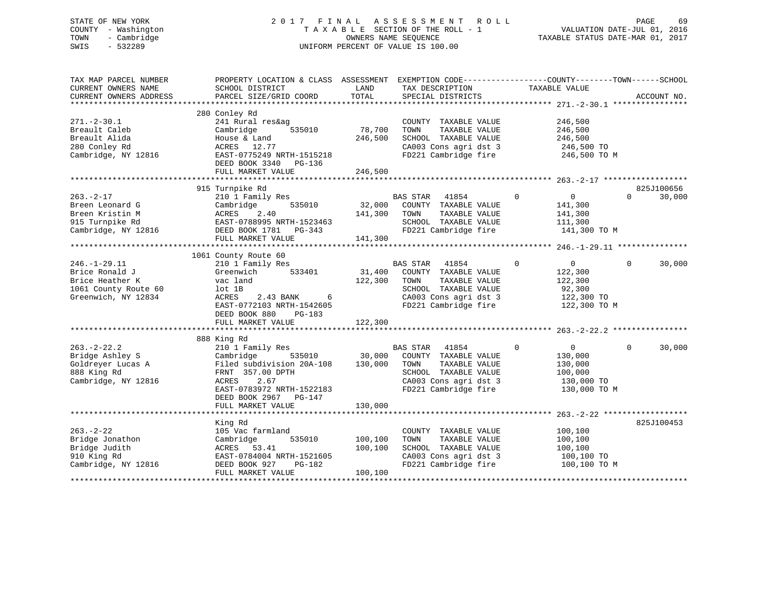# STATE OF NEW YORK 2 0 1 7 F I N A L A S S E S S M E N T R O L L PAGE 69 COUNTY - Washington T A X A B L E SECTION OF THE ROLL - 1 VALUATION DATE-JUL 01, 2016 TOWN - Cambridge OWNERS NAME SEQUENCE TAXABLE STATUS DATE-MAR 01, 2017 SWIS - 532289 UNIFORM PERCENT OF VALUE IS 100.00

| TAX MAP PARCEL NUMBER<br>CURRENT OWNERS NAME<br>CURRENT OWNERS ADDRESS                                 | PROPERTY LOCATION & CLASS ASSESSMENT<br>SCHOOL DISTRICT<br>PARCEL SIZE/GRID COORD                                                                                                    | LAND<br>TOTAL                 | EXEMPTION CODE-----------------COUNTY-------TOWN------SCHOOL<br>TAX DESCRIPTION<br>SPECIAL DISTRICTS                                        | TAXABLE VALUE                                                                               | ACCOUNT NO.            |
|--------------------------------------------------------------------------------------------------------|--------------------------------------------------------------------------------------------------------------------------------------------------------------------------------------|-------------------------------|---------------------------------------------------------------------------------------------------------------------------------------------|---------------------------------------------------------------------------------------------|------------------------|
| $271. - 2 - 30.1$<br>Breault Caleb<br>Breault Alida<br>280 Conley Rd<br>Cambridge, NY 12816            | 280 Conley Rd<br>241 Rural res&ag<br>535010<br>Cambridge<br>House & Land<br>ACRES 12.77<br>EAST-0775249 NRTH-1515218<br>DEED BOOK 3340 PG-136<br>FULL MARKET VALUE                   | 78,700<br>246,500<br>246,500  | COUNTY TAXABLE VALUE<br>TOWN<br>TAXABLE VALUE<br>SCHOOL TAXABLE VALUE<br>CA003 Cons agri dst 3<br>FD221 Cambridge fire                      | 246,500<br>246,500<br>246,500<br>246,500 TO<br>246,500 TO M                                 |                        |
|                                                                                                        | 915 Turnpike Rd                                                                                                                                                                      |                               |                                                                                                                                             |                                                                                             | 825J100656             |
| $263. - 2 - 17$<br>Breen Leonard G<br>Breen Kristin M<br>915 Turnpike Rd<br>Cambridge, NY 12816        | 210 1 Family Res<br>535010<br>Cambridge<br>2.40<br>ACRES<br>EAST-0788995 NRTH-1523463<br>DEED BOOK 1781 PG-343<br>FULL MARKET VALUE                                                  | 141,300<br>141,300            | BAS STAR 41854<br>32,000 COUNTY TAXABLE VALUE<br>TOWN<br>TAXABLE VALUE<br>SCHOOL TAXABLE VALUE<br>FD221 Cambridge fire                      | $\overline{0}$<br>$\overline{0}$<br>141,300<br>141,300<br>111,300<br>141,300 TO M           | 30,000<br>$\Omega$     |
|                                                                                                        | 1061 County Route 60                                                                                                                                                                 |                               |                                                                                                                                             |                                                                                             |                        |
| $246. - 1 - 29.11$<br>Brice Ronald J<br>Brice Heather K<br>1061 County Route 60<br>Greenwich, NY 12834 | 210 1 Family Res<br>Greenwich<br>533401<br>vac land<br>$lot$ $1B$<br>2.43 BANK 6<br>ACRES<br>EAST-0772103 NRTH-1542605<br>DEED BOOK 880<br>PG-183                                    | 31,400<br>122,300             | BAS STAR 41854<br>COUNTY TAXABLE VALUE<br>TAXABLE VALUE<br>TOWN<br>SCHOOL TAXABLE VALUE<br>CA003 Cons agri dst 3<br>FD221 Cambridge fire    | $\overline{0}$<br>$\mathbf 0$<br>122,300<br>122,300<br>92,300<br>122,300 TO<br>122,300 TO M | $\Omega$<br>30,000     |
|                                                                                                        | FULL MARKET VALUE                                                                                                                                                                    | 122,300                       |                                                                                                                                             |                                                                                             |                        |
|                                                                                                        | 888 King Rd                                                                                                                                                                          |                               |                                                                                                                                             |                                                                                             |                        |
| $263. - 2 - 22.2$<br>Bridge Ashley S<br>Goldreyer Lucas A<br>888 King Rd<br>Cambridge, NY 12816        | 210 1 Family Res<br>Cambridge<br>535010<br>Filed subdivision 20A-108<br>FRNT 357.00 DPTH<br>2.67<br>ACRES<br>EAST-0783972 NRTH-1522183<br>DEED BOOK 2967 PG-147<br>FULL MARKET VALUE | 30,000<br>130,000<br>130,000  | BAS STAR<br>41854<br>COUNTY TAXABLE VALUE<br>TOWN<br>TAXABLE VALUE<br>SCHOOL TAXABLE VALUE<br>CA003 Cons agri dst 3<br>FD221 Cambridge fire | 0<br>$\overline{0}$<br>130,000<br>130,000<br>100,000<br>130,000 TO<br>130,000 TO M          | $\mathbf{0}$<br>30,000 |
|                                                                                                        |                                                                                                                                                                                      |                               |                                                                                                                                             |                                                                                             |                        |
| $263. - 2 - 22$<br>Bridge Jonathon<br>Bridge Judith<br>910 King Rd<br>Cambridge, NY 12816              | King Rd<br>105 Vac farmland<br>535010<br>Cambridge<br>53.41<br>ACRES<br>EAST-0784004 NRTH-1521605<br>PG-182<br>DEED BOOK 927<br>FULL MARKET VALUE                                    | 100,100<br>100,100<br>100,100 | COUNTY TAXABLE VALUE<br>TAXABLE VALUE<br>TOWN<br>SCHOOL TAXABLE VALUE<br>CA003 Cons agri dst 3<br>FD221 Cambridge fire                      | 100,100<br>100,100<br>100,100<br>100,100 TO<br>100,100 TO M                                 | 825J100453             |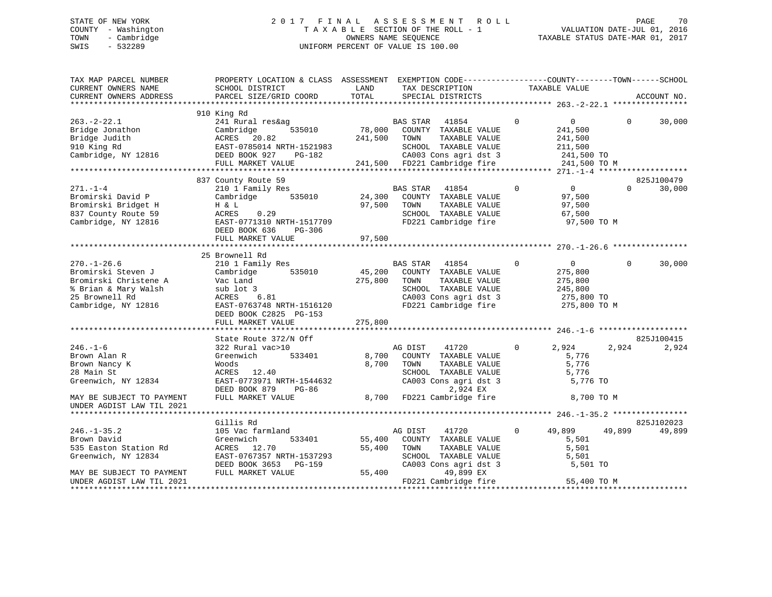# STATE OF NEW YORK 2 0 1 7 F I N A L A S S E S S M E N T R O L L PAGE 70 COUNTY - Washington T A X A B L E SECTION OF THE ROLL - 1 VALUATION DATE-JUL 01, 2016 TOWN - Cambridge OWNERS NAME SEQUENCE TAXABLE STATUS DATE-MAR 01, 2017 SWIS - 532289 UNIFORM PERCENT OF VALUE IS 100.00

| TAX MAP PARCEL NUMBER<br>CURRENT OWNERS NAME<br>CURRENT OWNERS ADDRESS                                                                         | PROPERTY LOCATION & CLASS ASSESSMENT EXEMPTION CODE----------------COUNTY-------TOWN------SCHOOL<br>SCHOOL DISTRICT<br>PARCEL SIZE/GRID COORD                                          | LAND<br>TOTAL                | TAX DESCRIPTION<br>SPECIAL DISTRICTS                                                                                                                                                     |             | TAXABLE VALUE                                                                 |          | ACCOUNT NO.          |
|------------------------------------------------------------------------------------------------------------------------------------------------|----------------------------------------------------------------------------------------------------------------------------------------------------------------------------------------|------------------------------|------------------------------------------------------------------------------------------------------------------------------------------------------------------------------------------|-------------|-------------------------------------------------------------------------------|----------|----------------------|
|                                                                                                                                                |                                                                                                                                                                                        |                              |                                                                                                                                                                                          |             |                                                                               |          |                      |
| $263. - 2 - 22.1$<br>Bridge Jonathon<br>Bridge Judith<br>910 King Rd<br>Cambridge, NY 12816                                                    | 910 King Rd<br>241 Rural res&ag<br>535010<br>Cambridge<br>ACRES<br>20.82<br>EAST-0785014 NRTH-1521983<br>DEED BOOK 927<br>PG-182<br>FULL MARKET VALUE                                  | 78,000<br>241,500<br>241,500 | BAS STAR<br>41854<br>COUNTY TAXABLE VALUE<br>TOWN<br>TAXABLE VALUE<br>SCHOOL TAXABLE VALUE<br>CA003 Cons agri dst 3<br>FD221 Cambridge fire                                              | $\mathbf 0$ | $\overline{0}$<br>241,500<br>241,500<br>211,500<br>241,500 TO<br>241,500 TO M | $\Omega$ | 30,000               |
|                                                                                                                                                |                                                                                                                                                                                        |                              |                                                                                                                                                                                          |             |                                                                               |          |                      |
| $271. - 1 - 4$<br>Bromirski David P<br>Bromirski Bridget H<br>837 County Route 59<br>Cambridge, NY 12816                                       | 837 County Route 59<br>210 1 Family Res<br>535010<br>Cambridge<br>H & L<br>0.29<br>ACRES<br>EAST-0771310 NRTH-1517709<br>DEED BOOK 636<br>PG-306                                       | 24,300<br>97,500             | 41854<br>BAS STAR<br>COUNTY TAXABLE VALUE<br>TOWN<br>TAXABLE VALUE<br>SCHOOL TAXABLE VALUE<br>FD221 Cambridge fire                                                                       | $\mathbf 0$ | $\overline{0}$<br>97,500<br>97,500<br>67,500<br>97,500 TO M                   | $\Omega$ | 825J100479<br>30,000 |
|                                                                                                                                                | FULL MARKET VALUE                                                                                                                                                                      | 97,500                       |                                                                                                                                                                                          |             |                                                                               |          |                      |
|                                                                                                                                                | 25 Brownell Rd                                                                                                                                                                         |                              |                                                                                                                                                                                          |             |                                                                               |          |                      |
| $270. - 1 - 26.6$<br>Bromirski Steven J<br>Bromirski Christene A<br>% Brian & Mary Walsh<br>25 Brownell Rd<br>Cambridge, NY 12816              | 210 1 Family Res<br>Cambridge<br>535010<br>Vac Land<br>sub lot 3<br>6.81<br>ACRES<br>EAST-0763748 NRTH-1516120<br>DEED BOOK C2825 PG-153<br>FULL MARKET VALUE                          | 45,200<br>275,800<br>275,800 | <b>BAS STAR</b><br>41854<br>COUNTY TAXABLE VALUE<br>TAXABLE VALUE<br>TOWN<br>SCHOOL TAXABLE VALUE<br>CA003 Cons agri dst 3<br>FD221 Cambridge fire                                       | 0           | $\overline{0}$<br>275,800<br>275,800<br>245,800<br>275,800 TO<br>275,800 TO M | $\Omega$ | 30,000               |
|                                                                                                                                                |                                                                                                                                                                                        |                              |                                                                                                                                                                                          |             |                                                                               |          |                      |
| $246. - 1 - 6$<br>Brown Alan R<br>Brown Nancy K<br>28 Main St<br>Greenwich, NY 12834<br>MAY BE SUBJECT TO PAYMENT<br>UNDER AGDIST LAW TIL 2021 | State Route 372/N Off<br>322 Rural vac>10<br>Greenwich<br>533401<br>Woods<br>ACRES<br>12.40<br>EAST-0773971 NRTH-1544632<br>DEED BOOK 879<br><b>PG-86</b><br>FULL MARKET VALUE         | 8,700<br>8,700<br>8,700      | AG DIST<br>41720<br>COUNTY TAXABLE VALUE<br>TAXABLE VALUE<br>TOWN<br>SCHOOL TAXABLE VALUE<br>CA003 Cons agri dst 3<br>2,924 EX<br>FD221 Cambridge fire                                   | $\Omega$    | 2,924<br>5,776<br>5,776<br>5,776<br>5,776 TO<br>8,700 TO M                    | 2,924    | 825J100415<br>2,924  |
|                                                                                                                                                |                                                                                                                                                                                        |                              |                                                                                                                                                                                          |             |                                                                               |          |                      |
| $246. - 1 - 35.2$<br>Brown David<br>535 Easton Station Rd<br>Greenwich, NY 12834<br>MAY BE SUBJECT TO PAYMENT<br>UNDER AGDIST LAW TIL 2021     | Gillis Rd<br>105 Vac farmland<br>Greenwich<br>533401<br>ACRES 12.70<br>EAST-0767357 NRTH-1537293<br>DEED BOOK 3653<br>PG-159<br>FULL MARKET VALUE<br>********************************* | 55,400<br>55,400<br>55,400   | AG DIST<br>41720<br>COUNTY TAXABLE VALUE<br>TAXABLE VALUE<br>TOWN<br>SCHOOL TAXABLE VALUE<br>CA003 Cons agri dst 3<br>49,899 EX<br>FD221 Cambridge fire<br>***************************** | $\Omega$    | 49,899<br>5,501<br>5,501<br>5,501<br>5,501 TO<br>55,400 TO M                  | 49,899   | 825J102023<br>49,899 |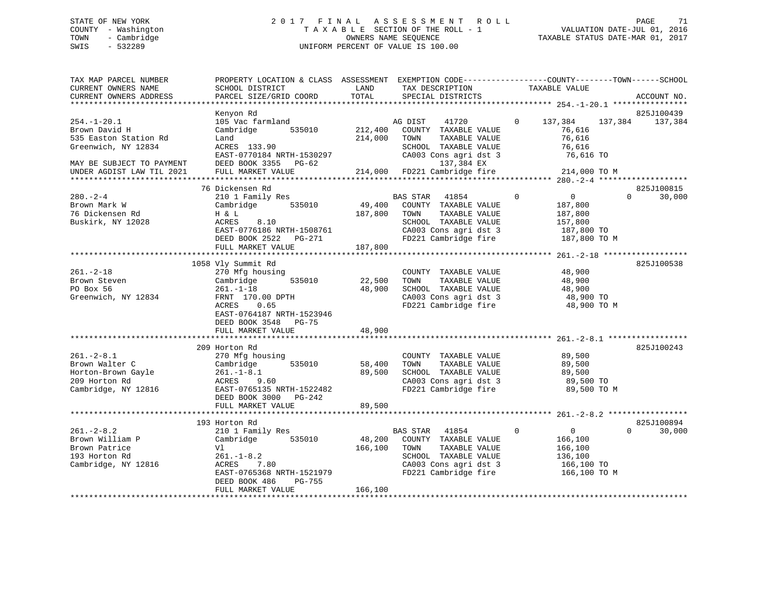# STATE OF NEW YORK 2 0 1 7 F I N A L A S S E S S M E N T R O L L PAGE 71 COUNTY - Washington T A X A B L E SECTION OF THE ROLL - 1 VALUATION DATE-JUL 01, 2016 TOWN - Cambridge OWNERS NAME SEQUENCE TAXABLE STATUS DATE-MAR 01, 2017 SWIS - 532289 UNIFORM PERCENT OF VALUE IS 100.00

| TAX MAP PARCEL NUMBER<br>CURRENT OWNERS NAME<br>CURRENT OWNERS ADDRESS                                                                       | PROPERTY LOCATION & CLASS ASSESSMENT<br>SCHOOL DISTRICT<br>PARCEL SIZE/GRID COORD                                                                                                               | LAND<br>TOTAL                 | TAX DESCRIPTION<br>SPECIAL DISTRICTS                                                                                                                     | EXEMPTION CODE-----------------COUNTY-------TOWN------SCHOOL<br>TAXABLE VALUE                         | ACCOUNT NO.           |
|----------------------------------------------------------------------------------------------------------------------------------------------|-------------------------------------------------------------------------------------------------------------------------------------------------------------------------------------------------|-------------------------------|----------------------------------------------------------------------------------------------------------------------------------------------------------|-------------------------------------------------------------------------------------------------------|-----------------------|
| **********************                                                                                                                       |                                                                                                                                                                                                 |                               |                                                                                                                                                          |                                                                                                       |                       |
| $254. - 1 - 20.1$<br>Brown David H<br>535 Easton Station Rd<br>Greenwich, NY 12834<br>MAY BE SUBJECT TO PAYMENT<br>UNDER AGDIST LAW TIL 2021 | Kenyon Rd<br>105 Vac farmland<br>535010<br>Cambridge<br>Land<br>ACRES 133.90<br>EAST-0770184 NRTH-1530297<br>DEED BOOK 3355 PG-62<br>FULL MARKET VALUE                                          | 212,400<br>214,000<br>214,000 | 41720<br>AG DIST<br>COUNTY TAXABLE VALUE<br>TOWN<br>TAXABLE VALUE<br>SCHOOL TAXABLE VALUE<br>CA003 Cons agri dst 3<br>137,384 EX<br>FD221 Cambridge fire | $\mathbf{0}$<br>137,384<br>137,384<br>76,616<br>76,616<br>76,616<br>76,616 TO<br>214,000 TO M         | 825J100439<br>137,384 |
|                                                                                                                                              |                                                                                                                                                                                                 |                               |                                                                                                                                                          |                                                                                                       |                       |
| $280 - 2 - 4$<br>Brown Mark W<br>76 Dickensen Rd<br>Buskirk, NY 12028                                                                        | 76 Dickensen Rd<br>210 1 Family Res<br>Cambridge<br>535010<br>H & L<br>ACRES<br>8.10<br>EAST-0776186 NRTH-1508761<br>DEED BOOK 2522 PG-271<br>FULL MARKET VALUE<br>**************************** | 49,400<br>187,800<br>187,800  | <b>BAS STAR</b><br>41854<br>COUNTY TAXABLE VALUE<br>TOWN<br>TAXABLE VALUE<br>SCHOOL TAXABLE VALUE<br>CA003 Cons agri dst 3<br>FD221 Cambridge fire       | $\Omega$<br>$\mathbf 0$<br>$\Omega$<br>187,800<br>187,800<br>157,800<br>187,800 TO<br>187,800 TO M    | 825J100815<br>30,000  |
|                                                                                                                                              | 1058 Vly Summit Rd                                                                                                                                                                              |                               |                                                                                                                                                          |                                                                                                       | 825J100538            |
| $261. - 2 - 18$<br>Brown Steven<br>PO Box 56<br>Greenwich, NY 12834                                                                          | 270 Mfg housing<br>535010<br>Cambridge<br>$261. - 1 - 18$<br>FRNT 170.00 DPTH<br>ACRES<br>0.65<br>EAST-0764187 NRTH-1523946<br>DEED BOOK 3548<br>PG-75<br>FULL MARKET VALUE                     | 22,500<br>48,900<br>48,900    | COUNTY TAXABLE VALUE<br>TOWN<br>TAXABLE VALUE<br>SCHOOL TAXABLE VALUE<br>CA003 Cons agri dst 3<br>FD221 Cambridge fire                                   | 48,900<br>48,900<br>48,900<br>48,900 TO<br>48,900 TO M                                                |                       |
|                                                                                                                                              |                                                                                                                                                                                                 |                               |                                                                                                                                                          |                                                                                                       |                       |
| $261 - 2 - 8.1$<br>Brown Walter C<br>Horton-Brown Gayle<br>209 Horton Rd<br>Cambridge, NY 12816                                              | 209 Horton Rd<br>270 Mfg housing<br>535010<br>Cambridge<br>$261. - 1 - 8.1$<br>9.60<br>ACRES<br>EAST-0765135 NRTH-1522482<br>DEED BOOK 3000 PG-242                                              | 58,400<br>89,500              | COUNTY TAXABLE VALUE<br>TOWN<br>TAXABLE VALUE<br>SCHOOL TAXABLE VALUE<br>CA003 Cons agri dst 3<br>FD221 Cambridge fire                                   | 89,500<br>89,500<br>89,500<br>89,500 TO<br>89,500 TO M                                                | 825J100243            |
|                                                                                                                                              | FULL MARKET VALUE                                                                                                                                                                               | 89,500                        |                                                                                                                                                          |                                                                                                       |                       |
| $261. - 2 - 8.2$<br>Brown William P<br>Brown Patrice<br>193 Horton Rd<br>Cambridge, NY 12816                                                 | 193 Horton Rd<br>210 1 Family Res<br>Cambridge<br>535010<br>V1<br>$261. - 1 - 8.2$<br>ACRES<br>7.80<br>EAST-0765368 NRTH-1521979<br>DEED BOOK 486<br>PG-755                                     | 48,200<br>166,100             | BAS STAR 41854<br>COUNTY TAXABLE VALUE<br>TOWN<br>TAXABLE VALUE<br>SCHOOL TAXABLE VALUE<br>CA003 Cons agri dst 3<br>FD221 Cambridge fire                 | $\Omega$<br>$\overline{0}$<br>$\Omega$<br>166,100<br>166,100<br>136,100<br>166,100 TO<br>166,100 TO M | 825J100894<br>30,000  |
|                                                                                                                                              | FULL MARKET VALUE                                                                                                                                                                               | 166,100                       |                                                                                                                                                          |                                                                                                       |                       |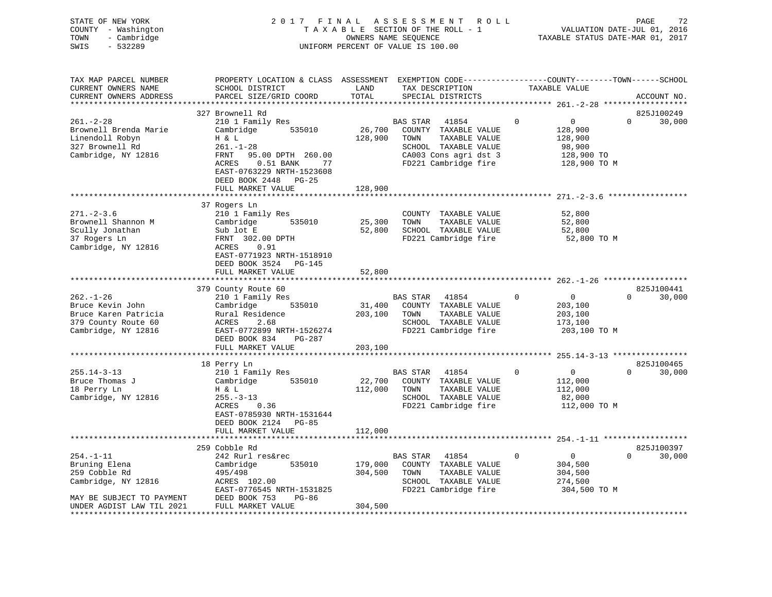| STATE OF NEW YORK<br>COUNTY - Washington<br>- Cambridge<br>TOWN<br>SWIS<br>$-532289$                                               |                                                                                                                                                                                          |                                        | 2017 FINAL ASSESSMENT ROLL<br>TAXABLE SECTION OF THE ROLL - 1<br>OWNERS NAME SEQUENCE<br>UNIFORM PERCENT OF VALUE IS 100.00    | VALUATION DATE-JUL 01, 2016<br>TAXABLE STATUS DATE-MAR 01, 2017                 | PAGE<br>72                                |
|------------------------------------------------------------------------------------------------------------------------------------|------------------------------------------------------------------------------------------------------------------------------------------------------------------------------------------|----------------------------------------|--------------------------------------------------------------------------------------------------------------------------------|---------------------------------------------------------------------------------|-------------------------------------------|
| TAX MAP PARCEL NUMBER<br>CURRENT OWNERS NAME<br>CURRENT OWNERS ADDRESS<br>**********************                                   | PROPERTY LOCATION & CLASS ASSESSMENT EXEMPTION CODE---------------COUNTY-------TOWN-----SCHOOL<br>SCHOOL DISTRICT<br>PARCEL SIZE/GRID COORD                                              | LAND<br>TOTAL                          | TAX DESCRIPTION TAXABLE VALUE<br>SPECIAL DISTRICTS                                                                             |                                                                                 | ACCOUNT NO.                               |
| $261. - 2 - 28$<br>Brownell Brenda Marie<br>Linendoll Robyn<br>327 Brownell Rd<br>Cambridge, NY 12816                              | 327 Brownell Rd<br>210 1 Family Res<br>Cambridge 535010<br>H & L<br>$261. - 1 - 28$<br>FRNT 95.00 DPTH 260.00<br>ACRES 0.51 BANK 77<br>EAST-0763229 NRTH-1523608<br>DEED BOOK 2448 PG-25 | 128,900 TOWN                           | BAS STAR 41854<br>26,700 COUNTY TAXABLE VALUE<br>TAXABLE VALUE<br>SCHOOL TAXABLE VALUE                                         | $\Omega$<br>$\overline{0}$<br>128,900<br>128,900<br>98,900                      | 825J100249<br>$0 \t 30,000$               |
|                                                                                                                                    | FULL MARKET VALUE                                                                                                                                                                        | 128,900                                |                                                                                                                                |                                                                                 |                                           |
| $271. - 2 - 3.6$<br>Brownell Shannon M<br>Scully Jonathan<br>37 Rogers Ln<br>Cambridge, NY 12816                                   | 37 Rogers Ln<br>210 1 Family Res<br>Cambridge 535010<br>Sub lot E<br>FRNT 302.00 DPTH<br>ACRES 0.91<br>EAST-0771923 NRTH-1518910<br>DEED BOOK 3524 PG-145                                |                                        | COUNTY TAXABLE VALUE<br>25,300 TOWN<br>TAXABLE VALUE<br>52,800 SCHOOL TAXABLE VALUE                                            | 52,800<br>52,800<br>52,800<br>FD221 Cambridge fire 52,800 TO M                  |                                           |
|                                                                                                                                    | FULL MARKET VALUE                                                                                                                                                                        | 52,800                                 |                                                                                                                                |                                                                                 |                                           |
| $262. - 1 - 26$<br>Bruce Kevin John<br>Bruce Karen Patricia<br>379 County Route 60<br>Cambridge, NY 12816                          | 379 County Route 60<br>210 1 Family Res<br>Cambridge 535010<br>EAST-0772899 NRTH-1526274<br>DEED BOOK 834<br>PG-287                                                                      |                                        | BAS STAR 41854<br>31,400 COUNTY TAXABLE VALUE<br>203,100 TOWN<br>TAXABLE VALUE<br>SCHOOL TAXABLE VALUE<br>FD221 Cambridge fire | $\overline{0}$<br>$\Omega$<br>203,100<br>203,100<br>173,100<br>203,100 TO M     | 825J100441<br>$0 \qquad \qquad$<br>30,000 |
|                                                                                                                                    | FULL MARKET VALUE                                                                                                                                                                        | 203,100                                |                                                                                                                                |                                                                                 |                                           |
| 255.14-3-13<br>Bruce Thomas J<br>18 Perry Ln<br>Cambridge, NY 12816                                                                | 18 Perry Ln<br>210 1 Family Res<br>Cambridge 535010<br>H & L<br>$255. - 3 - 13$<br>ACRES<br>0.36<br>EAST-0785930 NRTH-1531644<br>DEED BOOK 2124 PG-85                                    | 22,700                                 | BAS STAR 41854<br>COUNTY TAXABLE VALUE<br>112,000 TOWN<br>TAXABLE VALUE<br>SCHOOL TAXABLE VALUE<br>FD221 Cambridge fire        | $\overline{0}$<br>$\mathbf{0}$<br>112,000<br>112,000<br>82,000<br>112,000 TO M  | 825J100465<br>$0 \t 30,000$               |
|                                                                                                                                    | FULL MARKET VALUE                                                                                                                                                                        | 112,000                                |                                                                                                                                |                                                                                 |                                           |
| $254. - 1 - 11$<br>Bruning Elena<br>259 Cobble Rd<br>Cambridge, NY 12816<br>MAY BE SUBJECT TO PAYMENT<br>UNDER AGDIST LAW TIL 2021 | 259 Cobble Rd<br>242 Rurl res&rec<br>535010<br>Cambridge<br>495/498<br>495/498<br>ACRES 102.00<br>TICT 1<br>EAST-0776545 NRTH-1531825<br>PG-86<br>DEED BOOK 753<br>FULL MARKET VALUE     | ***********<br>304,500 TOWN<br>304,500 | BAS STAR 41854<br>179,000 COUNTY TAXABLE VALUE<br>TAXABLE VALUE<br>SCHOOL TAXABLE VALUE<br>FD221 Cambridge fire                | $\overline{0}$<br>$\mathbf{0}$<br>304,500<br>304,500<br>274,500<br>304,500 TO M | 825J100397<br>$0 \qquad \qquad$<br>30,000 |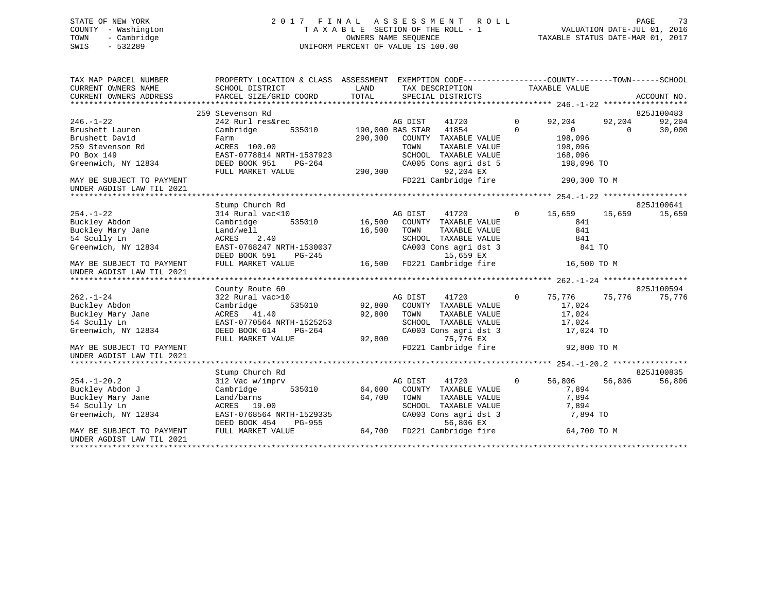# STATE OF NEW YORK 2 0 1 7 F I N A L A S S E S S M E N T R O L L PAGE 73 COUNTY - Washington T A X A B L E SECTION OF THE ROLL - 1 VALUATION DATE-JUL 01, 2016 TOWN - Cambridge OWNERS NAME SEQUENCE TAXABLE STATUS DATE-MAR 01, 2017 SWIS - 532289 UNIFORM PERCENT OF VALUE IS 100.00

| TAX MAP PARCEL NUMBER     | PROPERTY LOCATION & CLASS ASSESSMENT EXEMPTION CODE----------------COUNTY-------TOWN-----SCHOOL |         |                           |              |                |          |             |
|---------------------------|-------------------------------------------------------------------------------------------------|---------|---------------------------|--------------|----------------|----------|-------------|
| CURRENT OWNERS NAME       | SCHOOL DISTRICT                                                                                 | LAND    | TAX DESCRIPTION           |              | TAXABLE VALUE  |          |             |
| CURRENT OWNERS ADDRESS    | PARCEL SIZE/GRID COORD                                                                          | TOTAL   | SPECIAL DISTRICTS         |              |                |          | ACCOUNT NO. |
|                           |                                                                                                 |         |                           |              |                |          |             |
|                           | 259 Stevenson Rd                                                                                |         |                           |              |                |          | 825J100483  |
| $246. - 1 - 22$           | 242 Rurl res&rec                                                                                |         | AG DIST<br>41720          | $\Omega$     | 92,204         | 92,204   | 92,204      |
| Brushett Lauren           | Cambridge<br>535010                                                                             |         | 41854<br>190,000 BAS STAR | $\Omega$     | $\overline{0}$ | $\Omega$ | 30,000      |
| Brushett David            | Farm                                                                                            | 290,300 | COUNTY TAXABLE VALUE      |              | 198,096        |          |             |
| 259 Stevenson Rd          | ACRES 100.00                                                                                    |         | TOWN<br>TAXABLE VALUE     |              | 198,096        |          |             |
| PO Box 149                | EAST-0778814 NRTH-1537923                                                                       |         | SCHOOL TAXABLE VALUE      |              | 168,096        |          |             |
| Greenwich, NY 12834       | DEED BOOK 951<br>PG-264                                                                         |         | CA005 Cons agri dst 5     |              | 198,096 TO     |          |             |
|                           | FULL MARKET VALUE                                                                               | 290,300 | 92,204 EX                 |              |                |          |             |
| MAY BE SUBJECT TO PAYMENT |                                                                                                 |         | FD221 Cambridge fire      |              | 290,300 TO M   |          |             |
| UNDER AGDIST LAW TIL 2021 |                                                                                                 |         |                           |              |                |          |             |
|                           |                                                                                                 |         |                           |              |                |          |             |
|                           | Stump Church Rd                                                                                 |         |                           |              |                |          | 825J100641  |
| $254. -1 - 22$            | 314 Rural vac<10                                                                                |         | AG DIST<br>41720          | $\mathbf{0}$ | 15,659         | 15,659   | 15,659      |
| Buckley Abdon             | 535010                                                                                          | 16,500  |                           |              | 841            |          |             |
| Buckley Mary Jane         | Cambridge                                                                                       |         | COUNTY TAXABLE VALUE      |              | 841            |          |             |
|                           | Land/well                                                                                       | 16,500  | TOWN<br>TAXABLE VALUE     |              |                |          |             |
| 54 Scully Ln              | ACRES<br>2.40                                                                                   |         | SCHOOL TAXABLE VALUE      |              | 841            |          |             |
| Greenwich, NY 12834       | EAST-0768247 NRTH-1530037                                                                       |         | CA003 Cons agri dst 3     |              | 841 TO         |          |             |
|                           | DEED BOOK 591<br>PG-245                                                                         |         | 15,659 EX                 |              |                |          |             |
| MAY BE SUBJECT TO PAYMENT | FULL MARKET VALUE                                                                               | 16,500  | FD221 Cambridge fire      |              | 16,500 TO M    |          |             |
| UNDER AGDIST LAW TIL 2021 |                                                                                                 |         |                           |              |                |          |             |
|                           |                                                                                                 |         |                           |              |                |          |             |
|                           | County Route 60                                                                                 |         |                           |              |                |          | 825J100594  |
| $262. - 1 - 24$           | 322 Rural vac>10                                                                                |         | AG DIST<br>41720          | $\Omega$     | 75,776         | 75,776   | 75,776      |
| Buckley Abdon             | Cambridge<br>535010                                                                             | 92,800  | COUNTY TAXABLE VALUE      |              | 17,024         |          |             |
| Buckley Mary Jane         | ACRES 41.40                                                                                     | 92,800  | TOWN<br>TAXABLE VALUE     |              | 17,024         |          |             |
| 54 Scully Ln              | EAST-0770564 NRTH-1525253                                                                       |         | SCHOOL TAXABLE VALUE      |              | 17,024         |          |             |
| Greenwich, NY 12834       | DEED BOOK 614<br>$PG-264$                                                                       |         | CA003 Cons agri dst 3     |              | 17,024 TO      |          |             |
|                           | FULL MARKET VALUE                                                                               | 92,800  | 75,776 EX                 |              |                |          |             |
| MAY BE SUBJECT TO PAYMENT |                                                                                                 |         | FD221 Cambridge fire      |              | 92,800 TO M    |          |             |
| UNDER AGDIST LAW TIL 2021 |                                                                                                 |         |                           |              |                |          |             |
|                           |                                                                                                 |         |                           |              |                |          |             |
|                           | Stump Church Rd                                                                                 |         |                           |              |                |          | 825J100835  |
| $254. - 1 - 20.2$         | 312 Vac w/imprv                                                                                 |         | AG DIST<br>41720          | $\mathbf 0$  | 56,806         | 56,806   | 56,806      |
| Buckley Abdon J           | Cambridge<br>535010                                                                             | 64,600  | COUNTY TAXABLE VALUE      |              | 7,894          |          |             |
| Buckley Mary Jane         | Land/barns                                                                                      | 64,700  | TOWN<br>TAXABLE VALUE     |              | 7,894          |          |             |
| 54 Scully Ln              | ACRES 19.00                                                                                     |         | SCHOOL<br>TAXABLE VALUE   |              | 7,894          |          |             |
| Greenwich, NY 12834       | EAST-0768564 NRTH-1529335                                                                       |         | CA003 Cons agri dst 3     |              | 7,894 TO       |          |             |
|                           | DEED BOOK 454<br>PG-955                                                                         |         | 56,806 EX                 |              |                |          |             |
| MAY BE SUBJECT TO PAYMENT | FULL MARKET VALUE                                                                               | 64,700  | FD221 Cambridge fire      |              | 64,700 TO M    |          |             |
| UNDER AGDIST LAW TIL 2021 |                                                                                                 |         |                           |              |                |          |             |
| **********************    |                                                                                                 |         |                           |              |                |          |             |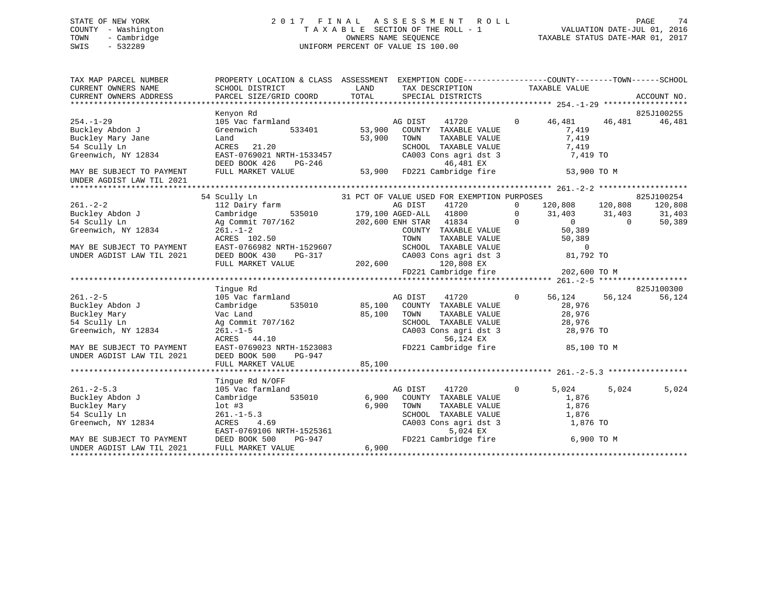# STATE OF NEW YORK 2 0 1 7 F I N A L A S S E S S M E N T R O L L PAGE 74 COUNTY - Washington T A X A B L E SECTION OF THE ROLL - 1 VALUATION DATE-JUL 01, 2016 TOWN - Cambridge OWNERS NAME SEQUENCE TAXABLE STATUS DATE-MAR 01, 2017 SWIS - 532289 UNIFORM PERCENT OF VALUE IS 100.00

| TAX MAP PARCEL NUMBER<br>CURRENT OWNERS NAME<br>CURRENT OWNERS ADDRESS | PROPERTY LOCATION & CLASS ASSESSMENT EXEMPTION CODE----------------COUNTY-------TOWN------SCHOOL<br>SCHOOL DISTRICT<br>PARCEL SIZE/GRID COORD | <b>LAND</b><br>TOTAL | TAX DESCRIPTION TAXABLE VALUE SPECIAL DISTRICTS                                        |                   |                            | ACCOUNT NO. |
|------------------------------------------------------------------------|-----------------------------------------------------------------------------------------------------------------------------------------------|----------------------|----------------------------------------------------------------------------------------|-------------------|----------------------------|-------------|
|                                                                        |                                                                                                                                               |                      |                                                                                        |                   |                            |             |
|                                                                        | Kenyon Rd                                                                                                                                     |                      |                                                                                        |                   |                            | 825J100255  |
| $254. - 1 - 29$                                                        | 105 Vac farmland                                                                                                                              |                      | AG DIST<br>41720                                                                       | 0 46,481 46,481   |                            | 46,481      |
| Buckley Abdon J                                                        | Greenwich<br>533401                                                                                                                           | 53,900               | COUNTY TAXABLE VALUE                                                                   |                   | 7,419                      |             |
| Buckley Mary Jane                                                      | Land                                                                                                                                          | 53,900               | TOWN<br>TAXABLE VALUE                                                                  |                   | 7,419                      |             |
| 54 Scully Ln                                                           | ACRES 21.20                                                                                                                                   |                      | SCHOOL TAXABLE VALUE                                                                   | 7,419             |                            |             |
| Greenwich, NY 12834                                                    |                                                                                                                                               |                      |                                                                                        |                   | 7,419 TO                   |             |
|                                                                        |                                                                                                                                               |                      |                                                                                        |                   |                            |             |
| MAY BE SUBJECT TO PAYMENT<br>UNDER AGDIST LAW TIL 2021                 | ACRES 21.20<br>EAST-0769021 NRTH-1533457 CA003 Cons agri dst 3<br>DEED BOOK 426 PG-246 45<br>FULL MARKET VALUE 53,900 FD221 Cambridge fire    |                      |                                                                                        |                   | 53,900 TO M                |             |
|                                                                        |                                                                                                                                               |                      |                                                                                        |                   |                            |             |
|                                                                        | 54 Scully Ln<br>SCULLY Ln<br>31 PCT OF VALUE USED FOR EXEMPTION PURPOSES<br>20 DIET - 11200                                                   |                      |                                                                                        |                   | SES 825<br>120,808 120,808 | 825J100254  |
| $261 - 2 - 2$                                                          |                                                                                                                                               |                      |                                                                                        |                   |                            | 120,808     |
| Buckley Abdon J                                                        | Cambridge                                                                                                                                     |                      | 535010 179,100 AGED-ALL 41800                                                          | $\overline{0}$    | 31,403 31,403              | 31,403      |
| 54 Scully Ln                                                           | Ag Commit 707/162                                                                                                                             |                      | 202,600 ENH STAR 41834 0                                                               |                   | $0$<br>50,389              | 50,389      |
| Greenwich, NY 12834                                                    |                                                                                                                                               |                      | COUNTY TAXABLE VALUE                                                                   |                   |                            |             |
|                                                                        |                                                                                                                                               |                      | TOWN TAXABLE VALUE 50,389<br>SCHOOL TAXABLE VALUE 0<br>CA003 Cons agri dst 3 81,792 TO |                   |                            |             |
| MAY BE SUBJECT TO PAYMENT                                              |                                                                                                                                               |                      |                                                                                        |                   |                            |             |
| UNDER AGDIST LAW TIL 2021                                              |                                                                                                                                               |                      |                                                                                        |                   |                            |             |
|                                                                        | 261.-1-2<br>261.-1-2<br>EAST-0766982 NRTH-1529607<br>DEED BOOK 430 PG-317 CA00<br>FIILL MARKET VALUE 202,600 FD2                              |                      | 120,808 EX<br>120,808 EX<br>FD221 Cambridge fire 202,600 TO M                          |                   |                            |             |
|                                                                        |                                                                                                                                               |                      |                                                                                        |                   |                            |             |
|                                                                        |                                                                                                                                               |                      |                                                                                        |                   |                            |             |
|                                                                        | Tinque Rd                                                                                                                                     |                      |                                                                                        |                   |                            | 825J100300  |
| $261. - 2 - 5$                                                         | 105 Vac farmland                                                                                                                              |                      | AG DIST<br>41720                                                                       | $\overline{0}$    | 56,124 56,124              | 56,124      |
| Buckley Abdon J                                                        | 535010 85,100<br>Cambridge                                                                                                                    |                      | COUNTY TAXABLE VALUE                                                                   | 28,976            |                            |             |
| Buckley Mary                                                           | Vac Land                                                                                                                                      | 85,100               | TOWN<br>TAXABLE VALUE                                                                  | 28,976            |                            |             |
| 54 Scully Ln                                                           | Ag Commit 707/162<br>261.-1-5<br>ACRES 44.10<br>EAST-0769023 NRTH-1523083                                                                     |                      | SCHOOL TAXABLE VALUE                                                                   | 28,976            |                            |             |
| Greenwich, NY 12834                                                    |                                                                                                                                               |                      | CA003 Cons agri dst 3 28,976 TO                                                        |                   |                            |             |
|                                                                        |                                                                                                                                               |                      | 56,124 EX                                                                              |                   |                            |             |
| MAY BE SUBJECT TO PAYMENT                                              |                                                                                                                                               |                      | FD221 Cambridge fire 35,100 TO M                                                       |                   |                            |             |
| UNDER AGDIST LAW TIL 2021                                              | DEED BOOK 500<br>PG-947                                                                                                                       |                      |                                                                                        |                   |                            |             |
|                                                                        |                                                                                                                                               |                      |                                                                                        |                   |                            |             |
|                                                                        |                                                                                                                                               |                      |                                                                                        |                   |                            |             |
|                                                                        | Tinque Rd N/OFF                                                                                                                               |                      |                                                                                        |                   |                            |             |
| $261 - 2 - 5.3$                                                        | 105 Vac farmland                                                                                                                              |                      | 41720<br>AG DIST                                                                       | $\sim$ 0<br>5,024 | 5,024                      | 5,024       |
| Buckley Abdon J                                                        | Cambridge 535010 6,900                                                                                                                        |                      | COUNTY TAXABLE VALUE                                                                   |                   | 1,876                      |             |
| Buckley Mary<br>54 Scully Ln                                           | $1$ ot #3                                                                                                                                     | 6,900                | TOWN<br>TAXABLE VALUE<br>SCHOOL TAXABLE VALUE                                          |                   | 1,876<br>1,876             |             |
|                                                                        | $261 - 1 - 5.3$                                                                                                                               |                      |                                                                                        |                   |                            |             |
| Greenwch, NY 12834                                                     |                                                                                                                                               |                      | CA003 Cons agri dst 3<br>5,024 EX                                                      |                   | 1,876 TO                   |             |
| MAY BE SUBJECT TO PAYMENT                                              | 261.-1-5.3<br>ACRES 4.69<br>EAST-0769106 NRTH-1525361<br>DEED BOOK 500 PG-947                                                                 |                      | FD221 Cambridge fire 6,900 TO M                                                        |                   |                            |             |
| UNDER AGDIST LAW TIL 2021                                              | FULL MARKET VALUE                                                                                                                             | 6,900                |                                                                                        |                   |                            |             |
|                                                                        |                                                                                                                                               |                      |                                                                                        |                   |                            |             |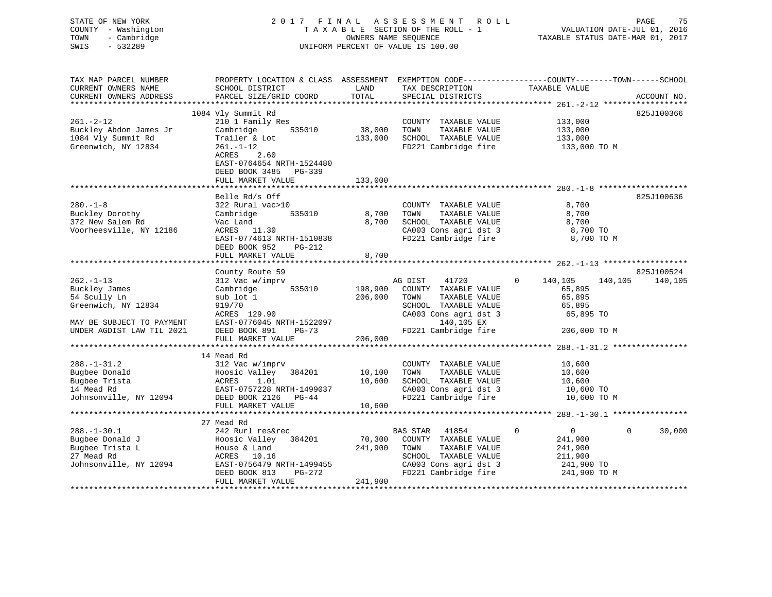| STATE OF NEW YORK<br>COUNTY - Washington<br>- Cambridge<br>TOWN<br>SWIS<br>$-532289$ |                                                                     |               | 2017 FINAL ASSESSMENT ROLL<br>TAXABLE SECTION OF THE ROLL - 1<br>OWNERS NAME SEQUENCE<br>UNIFORM PERCENT OF VALUE IS 100.00 | PAGE<br>75<br>VALUATION DATE-JUL 01, 2016<br>TAXABLE STATUS DATE-MAR 01, 2017                                                  |
|--------------------------------------------------------------------------------------|---------------------------------------------------------------------|---------------|-----------------------------------------------------------------------------------------------------------------------------|--------------------------------------------------------------------------------------------------------------------------------|
| TAX MAP PARCEL NUMBER<br>CURRENT OWNERS NAME<br>CURRENT OWNERS ADDRESS               | SCHOOL DISTRICT<br>PARCEL SIZE/GRID COORD                           | LAND<br>TOTAL | TAX DESCRIPTION<br>SPECIAL DISTRICTS                                                                                        | PROPERTY LOCATION & CLASS ASSESSMENT EXEMPTION CODE---------------COUNTY-------TOWN-----SCHOOL<br>TAXABLE VALUE<br>ACCOUNT NO. |
|                                                                                      |                                                                     |               |                                                                                                                             |                                                                                                                                |
|                                                                                      | 1084 Vly Summit Rd                                                  |               |                                                                                                                             | 825J100366                                                                                                                     |
| $261. -2 - 12$<br>Buckley Abdon James Jr                                             | 210 1 Family Res<br>Cambridge 535010                                | 38,000 TOWN   | COUNTY TAXABLE VALUE<br>TAXABLE VALUE                                                                                       | 133,000<br>133,000                                                                                                             |
| 1084 Vly Summit Rd                                                                   | Trailer & Lot                                                       |               | 133,000 SCHOOL TAXABLE VALUE                                                                                                |                                                                                                                                |
| Greenwich, NY 12834                                                                  | $261. - 1 - 12$                                                     |               | FD221 Cambridge fire                                                                                                        | 133,000<br>133,000 TO M                                                                                                        |
|                                                                                      | ACRES<br>2.60<br>EAST-0764654 NRTH-1524480<br>DEED BOOK 3485 PG-339 |               |                                                                                                                             |                                                                                                                                |
|                                                                                      | FULL MARKET VALUE                                                   | 133,000       |                                                                                                                             |                                                                                                                                |
|                                                                                      | Belle Rd/s Off                                                      |               |                                                                                                                             | 825J100636                                                                                                                     |
| $280. - 1 - 8$                                                                       | 322 Rural vac>10                                                    |               | COUNTY TAXABLE VALUE                                                                                                        | 8,700                                                                                                                          |
| Buckley Dorothy                                                                      | 535010<br>Cambridge                                                 | 8,700         | TOWN<br>TAXABLE VALUE                                                                                                       | 8,700                                                                                                                          |
| 372 New Salem Rd                                                                     |                                                                     |               | 8,700 SCHOOL TAXABLE VALUE                                                                                                  | 8,700                                                                                                                          |
| Voorheesville, NY 12186                                                              | Vac Land<br>ACRES 11.30<br>FACT 2551111                             |               |                                                                                                                             |                                                                                                                                |
|                                                                                      | EAST-0774613 NRTH-1510838                                           |               |                                                                                                                             | CA003 Cons agri dst 3 8,700 TO<br>FD221 Cambridge fire 8,700 TO M                                                              |
|                                                                                      | DEED BOOK 952<br>PG-212                                             |               |                                                                                                                             |                                                                                                                                |
|                                                                                      | FULL MARKET VALUE                                                   | 8,700         |                                                                                                                             |                                                                                                                                |
|                                                                                      |                                                                     |               |                                                                                                                             |                                                                                                                                |
|                                                                                      | County Route 59                                                     |               |                                                                                                                             | 825J100524                                                                                                                     |
| $262. - 1 - 13$                                                                      | 312 Vac w/imprv                                                     |               | AG DIST 41720                                                                                                               | 140,105<br>140,105 140,105<br>$\overline{0}$                                                                                   |
| Buckley James                                                                        | 535010<br>Cambridge                                                 |               | 198,900 COUNTY TAXABLE VALUE                                                                                                | 65,895                                                                                                                         |
| 54 Scully Ln<br>Greenwich, NY 12834                                                  | sub lot 1<br>919/70                                                 | 206,000       | TOWN<br>TAXABLE VALUE<br>SCHOOL TAXABLE VALUE                                                                               | 65,895<br>65,895                                                                                                               |
|                                                                                      | $ACRES$ 129.90                                                      |               | CA003 Cons agri dst 3                                                                                                       | 65,895 TO                                                                                                                      |
| MAY BE SUBJECT TO PAYMENT                                                            | EAST-0776045 NRTH-1522097                                           |               | 140,105 EX                                                                                                                  |                                                                                                                                |
| UNDER AGDIST LAW TIL 2021                                                            | DEED BOOK 891 PG-73                                                 |               | FD221 Cambridge fire                                                                                                        | 206,000 TO M                                                                                                                   |
|                                                                                      | FULL MARKET VALUE                                                   | 206,000       |                                                                                                                             |                                                                                                                                |
|                                                                                      | ************************                                            |               |                                                                                                                             |                                                                                                                                |
|                                                                                      | 14 Mead Rd                                                          |               |                                                                                                                             |                                                                                                                                |
| $288. - 1 - 31.2$                                                                    | 312 Vac w/imprv                                                     |               | COUNTY TAXABLE VALUE                                                                                                        | 10,600                                                                                                                         |
| Bugbee Donald                                                                        | Hoosic Valley 384201                                                | 10,100        | TOWN<br>TAXABLE VALUE                                                                                                       | 10,600                                                                                                                         |
|                                                                                      | Hoosic<br>ACRES<br>1.01                                             |               | 10,600 SCHOOL TAXABLE VALUE                                                                                                 | 10,600<br>10,600                                                                                                               |
| Bugbec Lessen<br>Bugbee Trista<br>11 Moad Rd                                         | EAST-0757228 NRTH-1499037                                           |               | CA003 Cons agri dst 3                                                                                                       | 10,600 TO                                                                                                                      |
| Johnsonville, NY 12094 DEED BOOK 2126 PG-44                                          |                                                                     |               | FD221 Cambridge fire                                                                                                        | 10,600 TO M                                                                                                                    |
|                                                                                      | FULL MARKET VALUE                                                   | 10,600        |                                                                                                                             |                                                                                                                                |
|                                                                                      |                                                                     |               |                                                                                                                             |                                                                                                                                |
|                                                                                      | 27 Mead Rd                                                          |               |                                                                                                                             |                                                                                                                                |
|                                                                                      | 242 Rurl res&rec                                                    |               | BAS STAR 41854                                                                                                              | $\mathbf 0$<br>$\overline{0}$<br>0<br>30,000                                                                                   |
| 288.-1-30.1<br>Bugbee Donald J<br>Cos Trista L                                       | Hoosic Valley 384201                                                |               | 70,300 COUNTY TAXABLE VALUE                                                                                                 | 241,900                                                                                                                        |
|                                                                                      | House & Land<br>ACRES 10.16                                         |               | 241,900 TOWN<br>TAXABLE VALUE                                                                                               | 241,900                                                                                                                        |
|                                                                                      | ACRES 10.16                                                         |               | SCHOOL TAXABLE VALUE                                                                                                        | 211,900                                                                                                                        |
| Johnsonville, NY 12094                                                               | EAST-0756479 NRTH-1499455<br>DEED BOOK 813<br>PG-272                |               | CA003 Cons agri dst 3<br>FD221 Cambridge fire                                                                               | 241,900 TO<br>241,900 TO M                                                                                                     |
|                                                                                      | FULL MARKET VALUE                                                   | 241,900       |                                                                                                                             |                                                                                                                                |
|                                                                                      |                                                                     |               |                                                                                                                             |                                                                                                                                |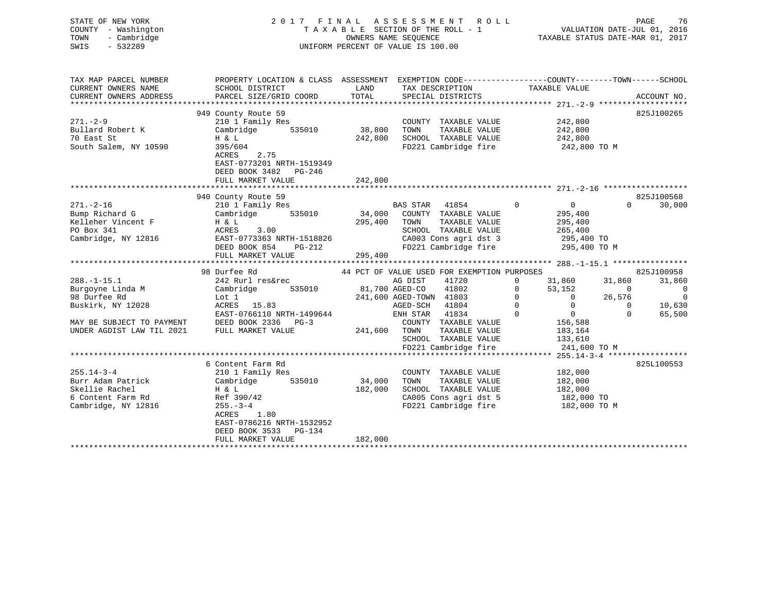| STATE OF NEW YORK<br>COUNTY - Washington<br>- Cambridge<br>TOWN<br>$-532289$<br>SWIS                                                 |                                                                                                                                                          | 2017 FINAL ASSESSMENT ROLL<br>TAXABLE SECTION OF THE ROLL - 1<br>OWNERS NAME SEOUENCE<br>UNIFORM PERCENT OF VALUE IS 100.00                                                                                                                                              | PAGE<br>76<br>ROLL - 1<br>TAXABLE STATUS DATE-MAR 01, 2017<br>TAXABLE STATUS DATE-MAR 01, 2017                                                                                                                                                                                                                |
|--------------------------------------------------------------------------------------------------------------------------------------|----------------------------------------------------------------------------------------------------------------------------------------------------------|--------------------------------------------------------------------------------------------------------------------------------------------------------------------------------------------------------------------------------------------------------------------------|---------------------------------------------------------------------------------------------------------------------------------------------------------------------------------------------------------------------------------------------------------------------------------------------------------------|
| TAX MAP PARCEL NUMBER<br>CURRENT OWNERS NAME<br>CURRENT OWNERS ADDRESS                                                               | SCHOOL DISTRICT<br>PARCEL SIZE/GRID COORD                                                                                                                | LAND<br>TAX DESCRIPTION<br>SPECIAL DISTRICTS<br>TOTAL                                                                                                                                                                                                                    | PROPERTY LOCATION & CLASS ASSESSMENT EXEMPTION CODE---------------COUNTY-------TOWN------SCHOOL<br>TAXABLE VALUE<br>ACCOUNT NO.                                                                                                                                                                               |
| $271. - 2 - 9$<br>Bullard Robert K<br>70 East St<br>South Salem, NY 10590                                                            | 949 County Route 59<br>210 1 Family Res<br>Cambridge<br>H & L<br>395/604<br>2.75<br>ACRES<br>EAST-0773201 NRTH-1519349<br>DEED BOOK 3482<br>PG-246       | COUNTY TAXABLE VALUE<br>535010 38,800<br>TAXABLE VALUE<br>TOWN<br>SCHOOL TAXABLE VALUE<br>242,800<br>FD221 Cambridge fire                                                                                                                                                | 825J100265<br>242,800<br>242,800<br>242,800<br>242,800 TO M                                                                                                                                                                                                                                                   |
|                                                                                                                                      | FULL MARKET VALUE                                                                                                                                        | 242,800                                                                                                                                                                                                                                                                  |                                                                                                                                                                                                                                                                                                               |
| $271. - 2 - 16$<br>Bump Richard G<br>Kelleher Vincent F<br>PO Box 341<br>Cambridge, NY 12816                                         | 940 County Route 59<br>210 1 Family Res<br>Cambridge<br>535010<br>H & L<br>ACRES<br>3.00<br>EAST-0773363 NRTH-1518826<br>DEED BOOK 854 PG-212            | $\overline{0}$<br>BAS STAR 41854<br>34,000 COUNTY TAXABLE VALUE<br>295,400 TOWN<br>TAXABLE VALUE<br>SCHOOL TAXABLE VALUE<br>CA003 Cons agri dst 3 1995,400 TO<br>FD221 Cambridge fire 1995,400 TO                                                                        | 825J100568<br>30,000<br>$\overline{0}$<br>$\Omega$<br>295,400<br>295,400<br>265,400<br>295,400 TO M                                                                                                                                                                                                           |
|                                                                                                                                      | FULL MARKET VALUE                                                                                                                                        | 295,400                                                                                                                                                                                                                                                                  |                                                                                                                                                                                                                                                                                                               |
| $288. - 1 - 15.1$<br>Burgoyne Linda M<br>98 Durfee Rd<br>Buskirk, NY 12028<br>MAY BE SUBJECT TO PAYMENT<br>UNDER AGDIST LAW TIL 2021 | 98 Durfee Rd<br>242 Rurl res&rec<br>Cambridge<br>535010<br>Lot 1<br>ACRES 15.83<br>EAST-0766110 NRTH-1499644<br>DEED BOOK 2336 PG-3<br>FULL MARKET VALUE | 44 PCT OF VALUE USED FOR EXEMPTION PURPOSES<br>41720<br>AG DIST<br>81,700 AGED-CO<br>41802<br>241,600 AGED-TOWN 41803<br>AGED-SCH<br>41804<br>41834<br>ENH STAR<br>COUNTY TAXABLE VALUE<br>241,600 TOWN<br>TAXABLE VALUE<br>SCHOOL TAXABLE VALUE<br>FD221 Cambridge fire | 825J100958<br>$0 \qquad \qquad$<br>31,860<br>31,860<br>31,860<br>$\overline{0}$<br>53,152<br>$\overline{0}$<br>$\Omega$<br>$\overline{0}$<br>26,576<br>$\begin{matrix} 0&&&&0\\ &&&0\\ 0&&&&0\\ &&&0 \end{matrix}$<br>$\Omega$<br>10,630<br>65,500<br>$\cap$<br>156,588<br>183,164<br>133,610<br>241,600 TO M |
|                                                                                                                                      |                                                                                                                                                          |                                                                                                                                                                                                                                                                          |                                                                                                                                                                                                                                                                                                               |
| $255.14 - 3 - 4$                                                                                                                     | 6 Content Farm Rd<br>210 1 Family Res                                                                                                                    | COUNTY TAXABLE VALUE                                                                                                                                                                                                                                                     | 825L100553<br>182,000                                                                                                                                                                                                                                                                                         |

| $255.14 - 3 - 4$    | 210 1 Family Res          |         | TAXABLE VALUE<br>COUNTY | 182,000      |
|---------------------|---------------------------|---------|-------------------------|--------------|
| Burr Adam Patrick   | Cambridge<br>535010       | 34,000  | TOWN<br>TAXABLE VALUE   | 182,000      |
| Skellie Rachel      | H & L                     | 182,000 | TAXABLE VALUE<br>SCHOOL | 182,000      |
| 6 Content Farm Rd   | Ref 390/42                |         | CA005 Cons agri dst 5   | 182,000 TO   |
| Cambridge, NY 12816 | $255. - 3 - 4$            |         | FD221 Cambridge fire    | 182,000 TO M |
|                     | 1.80<br>ACRES             |         |                         |              |
|                     | EAST-0786216 NRTH-1532952 |         |                         |              |
|                     | DEED BOOK 3533<br>PG-134  |         |                         |              |
|                     | FULL MARKET VALUE         | 182,000 |                         |              |
|                     |                           |         |                         |              |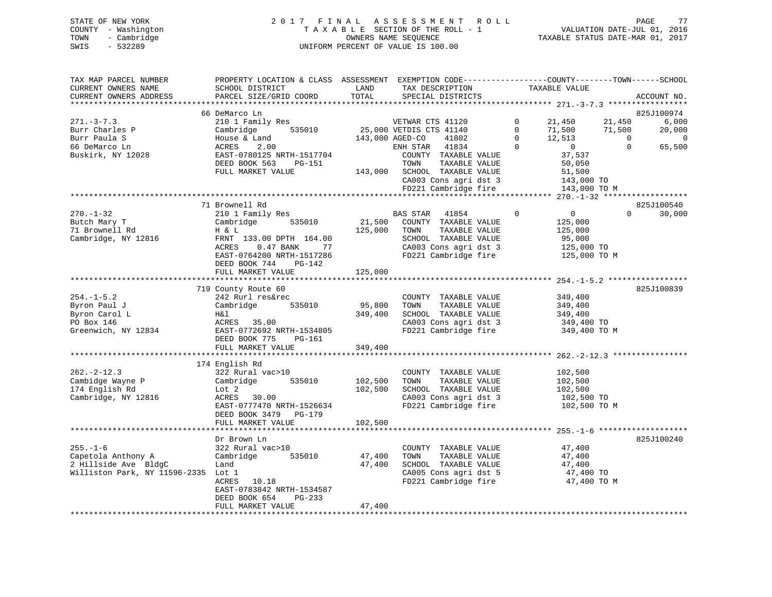| STATE OF NEW YORK   | 2017 FINAL ASSESSMENT ROLL         | 77<br>PAGE                       |
|---------------------|------------------------------------|----------------------------------|
| COUNTY - Washington | TAXABLE SECTION OF THE ROLL - 1    | VALUATION DATE-JUL 01, 2016      |
| TOWN<br>- Cambridge | OWNERS NAME SEOUENCE               | TAXABLE STATUS DATE-MAR 01, 2017 |
| SWIS<br>- 532289    | UNIFORM PERCENT OF VALUE IS 100.00 |                                  |
|                     |                                    |                                  |

| TAX MAP PARCEL NUMBER               | PROPERTY LOCATION & CLASS ASSESSMENT EXEMPTION CODE----------------COUNTY-------TOWN-----SCHOOL |         |                                   |              |                                                                              |                |                |
|-------------------------------------|-------------------------------------------------------------------------------------------------|---------|-----------------------------------|--------------|------------------------------------------------------------------------------|----------------|----------------|
| CURRENT OWNERS NAME                 | SCHOOL DISTRICT                                                                                 | LAND    | TAX DESCRIPTION                   |              | TAXABLE VALUE                                                                |                |                |
| CURRENT OWNERS ADDRESS              | PARCEL SIZE/GRID COORD                                                                          | TOTAL   | SPECIAL DISTRICTS                 |              |                                                                              |                | ACCOUNT NO.    |
|                                     |                                                                                                 |         |                                   |              |                                                                              |                |                |
|                                     | 66 DeMarco Ln                                                                                   |         |                                   |              |                                                                              |                | 825J100974     |
| $271 - 3 - 7.3$                     | 210 1 Family Res                                                                                |         | VETWAR CTS 41120                  |              | $0 \qquad \qquad$<br>21,450 21,450                                           |                | 6,000          |
| Burr Charles P                      | Cambridge                                                                                       |         |                                   | $\Omega$     | 71,500 71,500                                                                |                | 20,000         |
| Burr Paula S                        | House & Land                                                                                    |         |                                   | $\mathbf{0}$ | 12,513                                                                       | $\overline{0}$ | $\overline{0}$ |
| 66 DeMarco Ln                       | ACRES<br>2.00                                                                                   |         |                                   | $\bigcirc$   | $\overline{0}$                                                               | $\Omega$       | 65,500         |
| Buskirk, NY 12028                   | EAST-0780125 NRTH-1517704                                                                       |         | COUNTY TAXABLE VALUE              |              | 37,537                                                                       |                |                |
|                                     | DEED BOOK 563<br>PG-151                                                                         |         | TOWN<br>TAXABLE VALUE             |              | 50,050                                                                       |                |                |
|                                     | FULL MARKET VALUE                                                                               |         | 143,000 SCHOOL TAXABLE VALUE      |              | 51,500                                                                       |                |                |
|                                     |                                                                                                 |         |                                   |              | CA003 Cons agri dst 3<br>The 143,000 TO<br>FD221 Cambridge fire 143,000 TO M |                |                |
|                                     |                                                                                                 |         |                                   |              |                                                                              |                |                |
|                                     |                                                                                                 |         |                                   |              |                                                                              |                |                |
|                                     | 71 Brownell Rd                                                                                  |         |                                   |              |                                                                              |                | 825J100540     |
| $270. - 1 - 32$                     | 210 1 Family Res                                                                                |         | BAS STAR 41854                    | $\mathbf 0$  | $\overline{0}$                                                               | $\Omega$       | 30,000         |
| Butch Mary T                        | 535010                                                                                          |         | 21,500 COUNTY TAXABLE VALUE       |              |                                                                              |                |                |
|                                     | Cambridge                                                                                       |         |                                   |              | 125,000                                                                      |                |                |
| 71 Brownell Rd                      | H & L                                                                                           |         | 125,000 TOWN<br>TAXABLE VALUE     |              | 125,000                                                                      |                |                |
| Cambridge, NY 12816                 | FRNT 133.00 DPTH 164.00                                                                         |         | SCHOOL TAXABLE VALUE              |              | 95,000<br>125,000 TO                                                         |                |                |
|                                     | 0.47 BANK 77<br>ACRES                                                                           |         | CA003 Cons agri dst 3             |              |                                                                              |                |                |
|                                     | EAST-0764200 NRTH-1517286                                                                       |         | FD221 Cambridge fire 125,000 TO M |              |                                                                              |                |                |
|                                     | DEED BOOK 744<br>PG-142                                                                         |         |                                   |              |                                                                              |                |                |
|                                     | FULL MARKET VALUE                                                                               | 125,000 |                                   |              |                                                                              |                |                |
|                                     |                                                                                                 |         |                                   |              |                                                                              |                |                |
|                                     | 719 County Route 60                                                                             |         |                                   |              |                                                                              |                | 825J100839     |
| $254. - 1 - 5.2$                    | 242 Rurl res&rec                                                                                |         | COUNTY TAXABLE VALUE              |              | 349,400                                                                      |                |                |
| Byron Paul J                        | Cambridge 535010                                                                                | 95,800  | TAXABLE VALUE<br>TOWN             |              | 349,400                                                                      |                |                |
| Byron Carol L                       | H&l                                                                                             | 349,400 | SCHOOL TAXABLE VALUE              |              | 349,400                                                                      |                |                |
| PO Box 146                          | ACRES 35.00                                                                                     |         | CA003 Cons agri dst 3             |              | 349,400 TO                                                                   |                |                |
| Greenwich, NY 12834                 | EAST-0772692 NRTH-1534805                                                                       |         | FD221 Cambridge fire              |              | 349,400 TO M                                                                 |                |                |
|                                     | DEED BOOK 775<br>$PG-161$                                                                       |         |                                   |              |                                                                              |                |                |
|                                     | FULL MARKET VALUE                                                                               | 349,400 |                                   |              |                                                                              |                |                |
|                                     |                                                                                                 |         |                                   |              |                                                                              |                |                |
|                                     | 174 English Rd                                                                                  |         |                                   |              |                                                                              |                |                |
| $262 - 2 - 12.3$                    | 322 Rural vac>10                                                                                |         | COUNTY TAXABLE VALUE              |              | 102,500                                                                      |                |                |
| Cambidge Wayne P                    | Cambridge 535010                                                                                | 102,500 | TAXABLE VALUE<br>TOWN             |              | 102,500                                                                      |                |                |
| 174 English Rd                      | Lot 2                                                                                           | 102,500 | SCHOOL TAXABLE VALUE              |              | 102,500                                                                      |                |                |
| Cambridge, NY 12816                 | ACRES 30.00                                                                                     |         | CA003 Cons agri dst 3             |              | 102,500 TO                                                                   |                |                |
|                                     | EAST-0777470 NRTH-1526634                                                                       |         | FD221 Cambridge fire              |              | 102,500 TO M                                                                 |                |                |
|                                     | DEED BOOK 3479 PG-179                                                                           |         |                                   |              |                                                                              |                |                |
|                                     | FULL MARKET VALUE                                                                               | 102,500 |                                   |              |                                                                              |                |                |
|                                     |                                                                                                 |         |                                   |              |                                                                              |                |                |
|                                     | Dr Brown Ln                                                                                     |         |                                   |              |                                                                              |                | 825J100240     |
| $255. - 1 - 6$                      | 322 Rural vac>10                                                                                |         | COUNTY TAXABLE VALUE 47,400       |              |                                                                              |                |                |
| Capetola Anthony A                  | Cambridge 535010                                                                                | 47,400  | TOWN<br>TAXABLE VALUE             |              | 47,400                                                                       |                |                |
|                                     |                                                                                                 |         |                                   |              |                                                                              |                |                |
| 2 Hillside Ave BldgC                | Land                                                                                            | 47,400  | SCHOOL TAXABLE VALUE 47,400       |              |                                                                              |                |                |
| Williston Park, NY 11596-2335 Lot 1 |                                                                                                 |         | CA005 Cons agri dst 5             |              | 47,400 TO<br>FD221 Cambridge fire 47,400 TO M                                |                |                |
|                                     | ACRES 10.18                                                                                     |         |                                   |              |                                                                              |                |                |
|                                     | EAST-0783842 NRTH-1534587                                                                       |         |                                   |              |                                                                              |                |                |
|                                     | PG-233<br>DEED BOOK 654                                                                         |         |                                   |              |                                                                              |                |                |
|                                     | FULL MARKET VALUE                                                                               | 47,400  |                                   |              |                                                                              |                |                |
|                                     |                                                                                                 |         |                                   |              |                                                                              |                |                |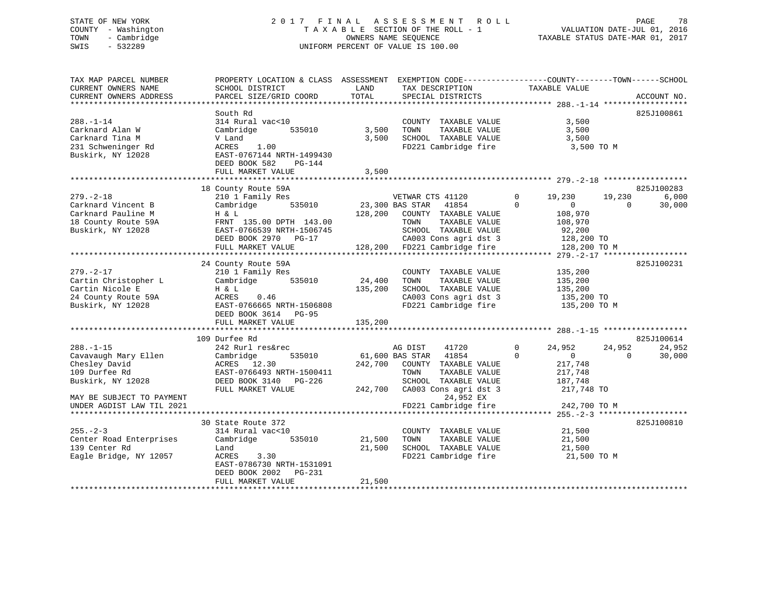# STATE OF NEW YORK 2 0 1 7 F I N A L A S S E S S M E N T R O L L PAGE 78 COUNTY - Washington T A X A B L E SECTION OF THE ROLL - 1 VALUATION DATE-JUL 01, 2016 TOWN - Cambridge OWNERS NAME SEQUENCE TAXABLE STATUS DATE-MAR 01, 2017 SWIS - 532289 UNIFORM PERCENT OF VALUE IS 100.00

| TAX MAP PARCEL NUMBER<br>CURRENT OWNERS NAME<br>CURRENT OWNERS ADDRESS                                                                                   | PROPERTY LOCATION & CLASS ASSESSMENT EXEMPTION CODE----------------COUNTY-------TOWN-----SCHOOL<br>SCHOOL DISTRICT<br>PARCEL SIZE/GRID COORD                                                   | LAND<br>TOTAL                           | TAX DESCRIPTION<br>SPECIAL DISTRICTS                                                                                                                                                        | TAXABLE VALUE                                                                                            | ACCOUNT NO.                            |
|----------------------------------------------------------------------------------------------------------------------------------------------------------|------------------------------------------------------------------------------------------------------------------------------------------------------------------------------------------------|-----------------------------------------|---------------------------------------------------------------------------------------------------------------------------------------------------------------------------------------------|----------------------------------------------------------------------------------------------------------|----------------------------------------|
| $288. - 1 - 14$<br>Carknard Alan W<br>Carknard Tina M<br>231 Schweninger Rd<br>Buskirk, NY 12028                                                         | South Rd<br>314 Rural vac<10<br>Cambridge<br>535010<br>V Land<br>ACRES<br>1.00<br>EAST-0767144 NRTH-1499430<br>DEED BOOK 582<br>$PG-144$<br>FULL MARKET VALUE<br>***************************** | 3,500<br>3,500<br>3,500<br>************ | COUNTY TAXABLE VALUE<br>TAXABLE VALUE<br>TOWN<br>SCHOOL TAXABLE VALUE<br>FD221 Cambridge fire                                                                                               | 3,500<br>3,500<br>3,500<br>3,500 TO M                                                                    | 825J100861                             |
|                                                                                                                                                          | 18 County Route 59A                                                                                                                                                                            |                                         |                                                                                                                                                                                             |                                                                                                          | 825J100283                             |
| $279. - 2 - 18$<br>Carknard Vincent B<br>Carknard Pauline M<br>18 County Route 59A<br>Buskirk, NY 12028                                                  | 210 1 Family Res<br>535010<br>Cambridge<br>H & L<br>FRNT 135.00 DPTH 143.00<br>EAST-0766539 NRTH-1506745<br>DEED BOOK 2970 PG-17<br>FULL MARKET VALUE                                          | 128,200                                 | VETWAR CTS 41120<br>23,300 BAS STAR<br>41854<br>COUNTY TAXABLE VALUE<br>TAXABLE VALUE<br>TOWN<br>SCHOOL TAXABLE VALUE<br>CA003 Cons agri dst 3<br>128,200 FD221 Cambridge fire              | 19,230<br>0<br>$\Omega$<br>$\overline{0}$<br>108,970<br>108,970<br>92,200<br>128,200 TO<br>128,200 TO M  | 19,230<br>6,000<br>30,000<br>$\Omega$  |
|                                                                                                                                                          |                                                                                                                                                                                                |                                         |                                                                                                                                                                                             |                                                                                                          | ******* 279. -2-17 *****************   |
| $279. - 2 - 17$<br>Cartin Christopher L<br>Cartin Nicole E<br>24 County Route 59A<br>Buskirk, NY 12028                                                   | 24 County Route 59A<br>210 1 Family Res<br>Cambridge<br>535010<br>H & L<br>ACRES<br>0.46<br>EAST-0766665 NRTH-1506808<br>DEED BOOK 3614 PG-95<br>FULL MARKET VALUE                             | 24,400<br>135,200<br>135,200            | COUNTY TAXABLE VALUE<br>TOWN<br>TAXABLE VALUE<br>SCHOOL TAXABLE VALUE<br>CA003 Cons agri dst 3<br>FD221 Cambridge fire                                                                      | 135,200<br>135,200<br>135,200<br>135,200 TO<br>135,200 TO M                                              | 825J100231                             |
|                                                                                                                                                          | 109 Durfee Rd                                                                                                                                                                                  |                                         |                                                                                                                                                                                             |                                                                                                          | 825J100614                             |
| $288. - 1 - 15$<br>Cavavaugh Mary Ellen<br>Chesley David<br>109 Durfee Rd<br>Buskirk, NY 12028<br>MAY BE SUBJECT TO PAYMENT<br>UNDER AGDIST LAW TIL 2021 | 242 Rurl res&rec<br>Cambridge<br>535010<br>ACRES 12.30<br>EAST-0766493 NRTH-1500411<br>DEED BOOK 3140 PG-226<br>FULL MARKET VALUE                                                              | 242,700                                 | AG DIST<br>41720<br>61,600 BAS STAR<br>41854<br>COUNTY TAXABLE VALUE<br>TOWN<br>TAXABLE VALUE<br>SCHOOL TAXABLE VALUE<br>242,700 CA003 Cons agri dst 3<br>24,952 EX<br>FD221 Cambridge fire | 24,952<br>0<br>$\Omega$<br>$\overline{0}$<br>217,748<br>217,748<br>187,748<br>217,748 TO<br>242,700 TO M | 24,952<br>24,952<br>30,000<br>$\Omega$ |
|                                                                                                                                                          | 30 State Route 372                                                                                                                                                                             |                                         |                                                                                                                                                                                             |                                                                                                          | 825J100810                             |
| $255. - 2 - 3$<br>Center Road Enterprises<br>139 Center Rd<br>Eagle Bridge, NY 12057                                                                     | 314 Rural vac<10<br>Cambridge<br>535010<br>Land<br>ACRES<br>3.30<br>EAST-0786730 NRTH-1531091<br>DEED BOOK 2002<br>PG-231<br>FULL MARKET VALUE                                                 | 21,500<br>21,500<br>21,500              | COUNTY TAXABLE VALUE<br>TOWN<br>TAXABLE VALUE<br>SCHOOL TAXABLE VALUE<br>FD221 Cambridge fire                                                                                               | 21,500<br>21,500<br>21,500<br>21,500 TO M                                                                |                                        |
|                                                                                                                                                          |                                                                                                                                                                                                |                                         | ***************************                                                                                                                                                                 |                                                                                                          |                                        |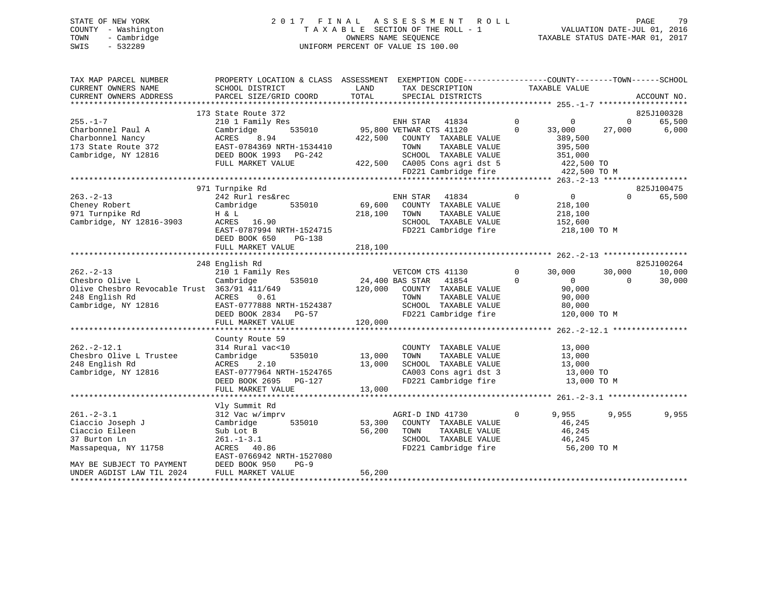# STATE OF NEW YORK 2 0 1 7 F I N A L A S S E S S M E N T R O L L PAGE 79 COUNTY - Washington T A X A B L E SECTION OF THE ROLL - 1 VALUATION DATE-JUL 01, 2016 TOWN - Cambridge OWNERS NAME SEQUENCE TAXABLE STATUS DATE-MAR 01, 2017 SWIS - 532289 UNIFORM PERCENT OF VALUE IS 100.00

| TAX MAP PARCEL NUMBER<br>CURRENT OWNERS NAME                                                                               | PROPERTY LOCATION & CLASS ASSESSMENT<br>SCHOOL DISTRICT                                                                              | LAND              | EXEMPTION CODE-----------------COUNTY-------TOWN------SCHOOL<br>TAX DESCRIPTION                                                            |                         | TAXABLE VALUE                                                          |                    |                      |
|----------------------------------------------------------------------------------------------------------------------------|--------------------------------------------------------------------------------------------------------------------------------------|-------------------|--------------------------------------------------------------------------------------------------------------------------------------------|-------------------------|------------------------------------------------------------------------|--------------------|----------------------|
| CURRENT OWNERS ADDRESS                                                                                                     | PARCEL SIZE/GRID COORD                                                                                                               | TOTAL             | SPECIAL DISTRICTS                                                                                                                          |                         |                                                                        |                    | ACCOUNT NO.          |
|                                                                                                                            |                                                                                                                                      |                   |                                                                                                                                            |                         |                                                                        |                    |                      |
| $255. - 1 - 7$                                                                                                             | 173 State Route 372<br>210 1 Family Res                                                                                              |                   | ENH STAR 41834                                                                                                                             | $\overline{0}$          | $\mathbf{0}$                                                           | $\mathbf{0}$       | 825J100328<br>65,500 |
| Charbonnel Paul A<br>Charbonnel Nancy<br>173 State Route 372                                                               | Cambridge<br>535010<br>ACRES<br>8.94<br>EAST-0784369 NRTH-1534410                                                                    | 422,500           | 95,800 VETWAR CTS 41120<br>COUNTY TAXABLE VALUE<br>TAXABLE VALUE<br>TOWN                                                                   | $\Omega$                | 33,000<br>389,500<br>395,500                                           | 27,000             | 6,000                |
| Cambridge, NY 12816                                                                                                        | DEED BOOK 1993 PG-242<br>FULL MARKET VALUE                                                                                           |                   | SCHOOL TAXABLE VALUE<br>422,500 CA005 Cons agri dst 5                                                                                      |                         | 351,000<br>422,500 TO                                                  |                    |                      |
|                                                                                                                            |                                                                                                                                      |                   | FD221 Cambridge fire                                                                                                                       |                         | 422,500 TO M                                                           |                    |                      |
|                                                                                                                            |                                                                                                                                      |                   |                                                                                                                                            |                         |                                                                        |                    |                      |
|                                                                                                                            | 971 Turnpike Rd                                                                                                                      |                   |                                                                                                                                            |                         |                                                                        |                    | 825J100475           |
| $263 - 2 - 13$<br>Cheney Robert<br>971 Turnpike Rd<br>Cambridge, NY 12816-3903                                             | 242 Rurl res&rec<br>535010<br>Cambridge<br>H & L<br>ACRES 16.90<br>EAST-0787994 NRTH-1524715<br>DEED BOOK 650<br><b>PG-138</b>       | 69,600<br>218,100 | 41834<br>ENH STAR<br>COUNTY TAXABLE VALUE<br>TAXABLE VALUE<br>TOWN<br>SCHOOL TAXABLE VALUE<br>FD221 Cambridge fire                         | $\overline{0}$          | $\overline{0}$<br>218,100<br>218,100<br>152,600<br>218,100 TO M        | $\Omega$           | 65,500               |
|                                                                                                                            | FULL MARKET VALUE                                                                                                                    | 218,100           |                                                                                                                                            |                         |                                                                        |                    |                      |
|                                                                                                                            | ***************************                                                                                                          | *************     |                                                                                                                                            |                         |                                                                        |                    |                      |
|                                                                                                                            | 248 English Rd                                                                                                                       |                   |                                                                                                                                            |                         |                                                                        |                    | 825J100264           |
| $262 - 2 - 13$<br>Chesbro Olive L<br>Olive Chesbro Revocable Trust 363/91 411/649<br>248 English Rd<br>Cambridge, NY 12816 | 210 1 Family Res<br>535010<br>Cambridge<br>ACRES<br>0.61<br>EAST-0777888 NRTH-1524387<br>DEED BOOK 2834 PG-57                        | 120,000           | VETCOM CTS 41130<br>24,400 BAS STAR 41854<br>COUNTY TAXABLE VALUE<br>TAXABLE VALUE<br>TOWN<br>SCHOOL TAXABLE VALUE<br>FD221 Cambridge fire | $\mathbf 0$<br>$\Omega$ | 30,000<br>$\overline{0}$<br>90,000<br>90,000<br>80,000<br>120,000 TO M | 30,000<br>$\Omega$ | 10,000<br>30,000     |
|                                                                                                                            | FULL MARKET VALUE                                                                                                                    | 120,000           |                                                                                                                                            |                         |                                                                        |                    |                      |
|                                                                                                                            |                                                                                                                                      |                   |                                                                                                                                            |                         |                                                                        |                    |                      |
| $262 - 2 - 12.1$<br>Chesbro Olive L Trustee<br>248 English Rd<br>Cambridge, NY 12816                                       | County Route 59<br>314 Rural vac<10<br>535010<br>Cambridge<br>ACRES<br>2.10<br>EAST-0777964 NRTH-1524765<br>DEED BOOK 2695<br>PG-127 | 13,000<br>13,000  | COUNTY TAXABLE VALUE<br>TAXABLE VALUE<br>TOWN<br>SCHOOL TAXABLE VALUE<br>CA003 Cons agri dst 3<br>FD221 Cambridge fire                     |                         | 13,000<br>13,000<br>13,000<br>13,000 TO<br>13,000 TO M                 |                    |                      |
|                                                                                                                            | FULL MARKET VALUE                                                                                                                    | 13,000            |                                                                                                                                            |                         |                                                                        |                    |                      |
|                                                                                                                            |                                                                                                                                      |                   |                                                                                                                                            |                         |                                                                        |                    |                      |
| $261 - 2 - 3.1$<br>Ciaccio Joseph J<br>Ciaccio Eileen<br>37 Burton Ln<br>Massapequa, NY 11758                              | Vly Summit Rd<br>312 Vac w/imprv<br>Cambridge<br>535010<br>Sub Lot B<br>$261. - 1 - 3.1$<br>ACRES 40.86<br>EAST-0766942 NRTH-1527080 | 53,300<br>56,200  | AGRI-D IND 41730<br>COUNTY TAXABLE VALUE<br>TAXABLE VALUE<br>TOWN<br>SCHOOL TAXABLE VALUE<br>FD221 Cambridge fire                          | $\Omega$                | 9,955<br>46,245<br>46,245<br>46,245<br>56,200 TO M                     | 9,955              | 9,955                |
| MAY BE SUBJECT TO PAYMENT                                                                                                  | DEED BOOK 950<br>$PG-9$                                                                                                              |                   |                                                                                                                                            |                         |                                                                        |                    |                      |
| UNDER AGDIST LAW TIL 2024                                                                                                  | FULL MARKET VALUE                                                                                                                    | 56,200            |                                                                                                                                            |                         |                                                                        |                    |                      |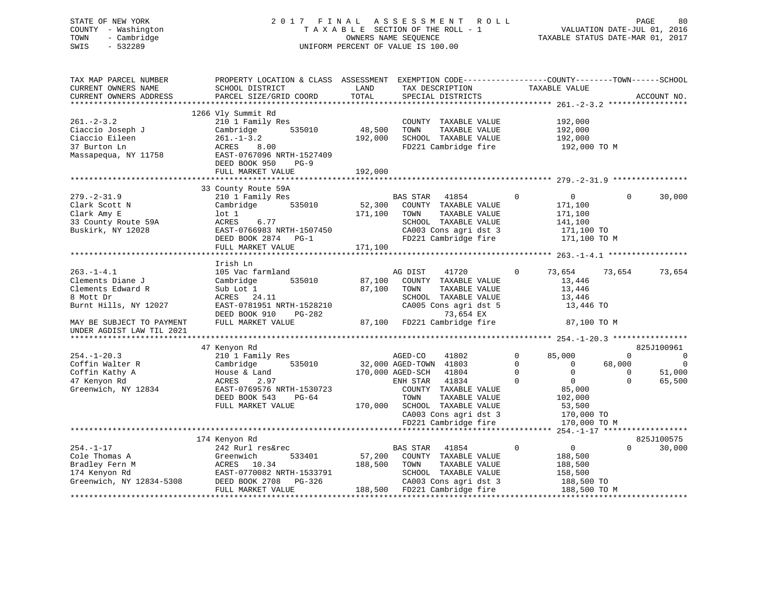# STATE OF NEW YORK 2 0 1 7 F I N A L A S S E S S M E N T R O L L PAGE 80 COUNTY - Washington T A X A B L E SECTION OF THE ROLL - 1 VALUATION DATE-JUL 01, 2016 TOWN - Cambridge OWNERS NAME SEQUENCE TAXABLE STATUS DATE-MAR 01, 2017 SWIS - 532289 UNIFORM PERCENT OF VALUE IS 100.00

| TAX MAP PARCEL NUMBER<br>CURRENT OWNERS NAME<br>CURRENT OWNERS ADDRESS | PROPERTY LOCATION & CLASS ASSESSMENT EXEMPTION CODE----------------COUNTY-------TOWN------SCHOOL<br>SCHOOL DISTRICT<br>PARCEL SIZE/GRID COORD | LAND<br>TOTAL | TAX DESCRIPTION<br>SPECIAL DISTRICTS | TAXABLE VALUE                 |             | ACCOUNT NO.    |
|------------------------------------------------------------------------|-----------------------------------------------------------------------------------------------------------------------------------------------|---------------|--------------------------------------|-------------------------------|-------------|----------------|
|                                                                        |                                                                                                                                               |               |                                      |                               |             |                |
|                                                                        | 1266 Vly Summit Rd                                                                                                                            |               |                                      |                               |             |                |
| $261 - 2 - 3.2$                                                        | 210 1 Family Res                                                                                                                              |               | COUNTY TAXABLE VALUE                 | 192,000                       |             |                |
| Ciaccio Joseph J                                                       | 535010<br>Cambridge                                                                                                                           | 48,500        | TOWN<br>TAXABLE VALUE                | 192,000                       |             |                |
| Ciaccio Eileen                                                         | $261. - 1 - 3.2$                                                                                                                              | 192,000       | SCHOOL TAXABLE VALUE                 | 192,000                       |             |                |
| 37 Burton Ln                                                           | ACRES<br>8.00                                                                                                                                 |               | FD221 Cambridge fire                 | 192,000 TO M                  |             |                |
| Massapequa, NY 11758                                                   | EAST-0767096 NRTH-1527409                                                                                                                     |               |                                      |                               |             |                |
|                                                                        | DEED BOOK 950<br>$PG-9$                                                                                                                       |               |                                      |                               |             |                |
|                                                                        | FULL MARKET VALUE                                                                                                                             | 192,000       |                                      |                               |             |                |
|                                                                        |                                                                                                                                               |               |                                      |                               |             |                |
|                                                                        | 33 County Route 59A                                                                                                                           |               |                                      |                               |             |                |
| $279. - 2 - 31.9$                                                      | 210 1 Family Res                                                                                                                              |               | BAS STAR<br>41854                    | $\overline{0}$<br>$\Omega$    | $\Omega$    | 30,000         |
| Clark Scott N                                                          | Cambridge<br>535010                                                                                                                           | 52,300        | COUNTY TAXABLE VALUE                 | 171,100                       |             |                |
| Clark Amy E                                                            | $1$ ot $1$                                                                                                                                    | 171,100       | TAXABLE VALUE<br>TOWN                | 171,100                       |             |                |
| 33 County Route 59A                                                    | ACRES<br>6.77                                                                                                                                 |               | SCHOOL TAXABLE VALUE                 | 141,100                       |             |                |
| Buskirk, NY 12028                                                      | EAST-0766983 NRTH-1507450                                                                                                                     |               | CA003 Cons agri dst 3                | 171,100 TO                    |             |                |
|                                                                        | DEED BOOK 2874 PG-1                                                                                                                           |               | FD221 Cambridge fire                 | 171,100 TO M                  |             |                |
|                                                                        | FULL MARKET VALUE                                                                                                                             | 171,100       |                                      |                               |             |                |
|                                                                        |                                                                                                                                               |               |                                      |                               |             |                |
|                                                                        | Irish Ln                                                                                                                                      |               |                                      |                               |             |                |
| $263. - 1 - 4.1$                                                       | 105 Vac farmland                                                                                                                              |               | AG DIST<br>41720                     | $\Omega$<br>73,654            | 73,654      | 73,654         |
| Clements Diane J                                                       | Cambridge<br>535010                                                                                                                           | 87,100        | COUNTY TAXABLE VALUE                 | 13,446                        |             |                |
| Clements Edward R                                                      | Sub Lot 1                                                                                                                                     | 87,100        | TAXABLE VALUE<br>TOWN                | 13,446                        |             |                |
| 8 Mott Dr                                                              | ACRES 24.11                                                                                                                                   |               | SCHOOL TAXABLE VALUE                 | 13,446                        |             |                |
| Burnt Hills, NY 12027                                                  | EAST-0781951 NRTH-1528210                                                                                                                     |               | CA005 Cons agri dst 5                | 13,446 TO                     |             |                |
|                                                                        | DEED BOOK 910<br>PG-282                                                                                                                       |               | 73,654 EX                            |                               |             |                |
| MAY BE SUBJECT TO PAYMENT                                              | FULL MARKET VALUE                                                                                                                             |               | 87,100 FD221 Cambridge fire          | 87,100 TO M                   |             |                |
| UNDER AGDIST LAW TIL 2021                                              |                                                                                                                                               |               |                                      |                               |             |                |
|                                                                        |                                                                                                                                               |               |                                      |                               |             |                |
|                                                                        | 47 Kenyon Rd                                                                                                                                  |               |                                      |                               |             | 825J100961     |
| $254. - 1 - 20.3$                                                      | 210 1 Family Res                                                                                                                              |               | AGED-CO<br>41802                     | $\mathbf 0$<br>85,000         | $\mathbf 0$ | $\overline{0}$ |
| Coffin Walter R                                                        | Cambridge<br>535010                                                                                                                           |               | 32,000 AGED-TOWN 41803               | $\mathbf 0$<br>$\overline{0}$ | 68,000      | $\overline{0}$ |
| Coffin Kathy A                                                         | House & Land                                                                                                                                  |               | 170,000 AGED-SCH<br>41804            | $\mathbf 0$<br>$\overline{0}$ | $\Omega$    | 51,000         |
| 47 Kenyon Rd                                                           | ACRES<br>2.97                                                                                                                                 |               | ENH STAR<br>41834                    | $\mathbf 0$<br>$\overline{0}$ | $\Omega$    | 65,500         |
| Greenwich, NY 12834                                                    | EAST-0769576 NRTH-1530723                                                                                                                     |               | COUNTY TAXABLE VALUE                 | 85,000                        |             |                |
|                                                                        | $PG-64$<br>DEED BOOK 543                                                                                                                      |               | TAXABLE VALUE<br>TOWN                | 102,000                       |             |                |
|                                                                        | FULL MARKET VALUE                                                                                                                             | 170,000       | SCHOOL TAXABLE VALUE                 | 53,500                        |             |                |
|                                                                        |                                                                                                                                               |               | CA003 Cons agri dst 3                | 170,000 TO                    |             |                |
|                                                                        |                                                                                                                                               |               | FD221 Cambridge fire                 | 170,000 TO M                  |             |                |
|                                                                        |                                                                                                                                               |               |                                      |                               |             |                |
|                                                                        | 174 Kenyon Rd                                                                                                                                 |               |                                      |                               |             | 825J100575     |
| $254. - 1 - 17$                                                        | 242 Rurl res&rec                                                                                                                              |               | BAS STAR<br>41854                    | 0<br>$\overline{0}$           | $\Omega$    | 30,000         |
| Cole Thomas A                                                          | Greenwich<br>533401                                                                                                                           | 57,200        | COUNTY TAXABLE VALUE                 | 188,500                       |             |                |
| Bradley Fern M                                                         | ACRES 10.34                                                                                                                                   | 188,500       | TOWN<br>TAXABLE VALUE                | 188,500                       |             |                |
| 174 Kenyon Rd                                                          | EAST-0770082 NRTH-1533791                                                                                                                     |               | SCHOOL TAXABLE VALUE                 | 158,500                       |             |                |
| Greenwich, NY 12834-5308                                               | DEED BOOK 2708<br>PG-326                                                                                                                      |               | CA003 Cons agri dst 3                | 188,500 TO                    |             |                |
|                                                                        | FULL MARKET VALUE                                                                                                                             | 188,500       | FD221 Cambridge fire                 | 188,500 TO M                  |             |                |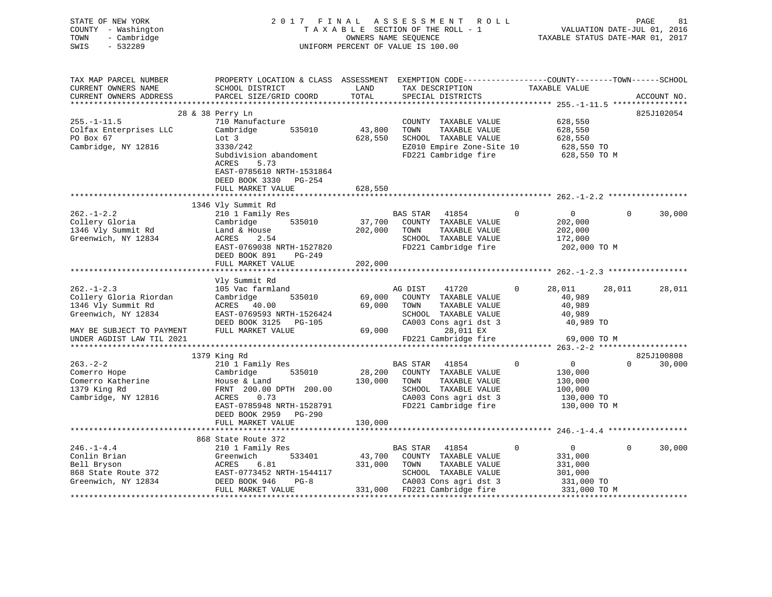| STATE OF NEW YORK<br>COUNTY - Washington<br>TOWN<br>- Cambridge<br>$-532289$<br>SWIS                                                              |                                                                                                                                                                                                |                              | 2017 FINAL ASSESSMENT ROLL<br>TAXABLE SECTION OF THE ROLL - 1<br>OWNERS NAME SEQUENCE<br>UNIFORM PERCENT OF VALUE IS 100.00                                           |                | VALUATION DATE-JUL 01, 2016<br>TAXABLE STATUS DATE-MAR 01, 2017               | PAGE     | 81                   |
|---------------------------------------------------------------------------------------------------------------------------------------------------|------------------------------------------------------------------------------------------------------------------------------------------------------------------------------------------------|------------------------------|-----------------------------------------------------------------------------------------------------------------------------------------------------------------------|----------------|-------------------------------------------------------------------------------|----------|----------------------|
| TAX MAP PARCEL NUMBER<br>CURRENT OWNERS NAME<br>CURRENT OWNERS ADDRESS                                                                            | PROPERTY LOCATION & CLASS ASSESSMENT EXEMPTION CODE----------------COUNTY-------TOWN------SCHOOL<br>SCHOOL DISTRICT<br>PARCEL SIZE/GRID COORD                                                  | LAND<br>TOTAL                | TAX DESCRIPTION<br>SPECIAL DISTRICTS                                                                                                                                  |                | TAXABLE VALUE                                                                 |          | ACCOUNT NO.          |
|                                                                                                                                                   | 28 & 38 Perry Ln                                                                                                                                                                               |                              |                                                                                                                                                                       |                |                                                                               |          | 825J102054           |
| $255. - 1 - 11.5$<br>Colfax Enterprises LLC<br>PO Box 67<br>Cambridge, NY 12816                                                                   | 710 Manufacture<br>Cambridge<br>535010<br>Lot 3<br>3330/242<br>Subdivision abandoment<br>ACRES<br>5.73<br>EAST-0785610 NRTH-1531864                                                            | 43,800<br>628,550            | COUNTY TAXABLE VALUE<br>TOWN<br>TAXABLE VALUE<br>SCHOOL TAXABLE VALUE<br>EZ010 Empire Zone-Site 10<br>FD221 Cambridge fire                                            |                | 628,550<br>628,550<br>628,550<br>628,550 TO<br>628,550 TO M                   |          |                      |
|                                                                                                                                                   | DEED BOOK 3330 PG-254                                                                                                                                                                          |                              |                                                                                                                                                                       |                |                                                                               |          |                      |
|                                                                                                                                                   | FULL MARKET VALUE                                                                                                                                                                              | 628,550                      |                                                                                                                                                                       |                |                                                                               |          |                      |
|                                                                                                                                                   |                                                                                                                                                                                                |                              |                                                                                                                                                                       |                |                                                                               |          |                      |
| $262. - 1 - 2.2$<br>Collery Gloria<br>1346 Vly Summit Rd<br>Greenwich, NY 12834                                                                   | 1346 Vly Summit Rd<br>210 1 Family Res<br>535010<br>Cambridge<br>Land & House<br>ACRES<br>2.54<br>EAST-0769038 NRTH-1527820<br>DEED BOOK 891<br>PG-249<br>FULL MARKET VALUE                    | 202,000<br>202,000           | BAS STAR 41854<br>37,700 COUNTY TAXABLE VALUE<br>TOWN<br>TAXABLE VALUE<br>SCHOOL TAXABLE VALUE<br>FD221 Cambridge fire                                                | $\overline{0}$ | $\overline{0}$<br>202,000<br>202,000<br>172,000<br>202,000 TO M               | $\Omega$ | 30,000               |
|                                                                                                                                                   |                                                                                                                                                                                                |                              |                                                                                                                                                                       |                |                                                                               |          |                      |
| $262. - 1 - 2.3$<br>Collery Gloria Riordan<br>1346 Vly Summit Rd<br>Greenwich, NY 12834<br>MAY BE SUBJECT TO PAYMENT<br>UNDER AGDIST LAW TIL 2021 | Vly Summit Rd<br>105 Vac farmland<br>Cambridge<br>ACRES 40.00<br>EAST-0769593 NRTH-1526424<br>DEED BOOK 3125 PG-105<br>FULL MARKET VALUE                                                       | 535010 69,000<br>69,000      | AG DIST<br>41720<br>COUNTY TAXABLE VALUE<br>TOWN<br>TAXABLE VALUE<br>SCHOOL TAXABLE VALUE<br>CA003 Cons agri dst 3<br>69,000 000<br>28,011 EX<br>FD221 Cambridge fire | $\mathbf 0$    | 28,011<br>40,989<br>40,989<br>40,989<br>40,989 TO<br>69,000 TO M              | 28,011   | 28,011               |
|                                                                                                                                                   |                                                                                                                                                                                                |                              |                                                                                                                                                                       |                |                                                                               |          |                      |
| $263. - 2 - 2$<br>Comerro Hope<br>Comerro Katherine<br>1379 King Rd<br>Cambridge, NY 12816                                                        | 1379 King Rd<br>210 1 Family Res<br>Cambridge<br>535010<br>House & Land<br>FRNT 200.00 DPTH 200.00<br>ACRES<br>0.73<br>EAST-0785948 NRTH-1528791<br>DEED BOOK 2959 PG-290<br>FULL MARKET VALUE | 28,200<br>130,000<br>130,000 | BAS STAR 41854<br>COUNTY TAXABLE VALUE<br>TOWN<br>TAXABLE VALUE<br>SCHOOL TAXABLE VALUE<br>CA003 Cons agri dst 3<br>FD221 Cambridge fire                              | $\Omega$       | $\overline{0}$<br>130,000<br>130,000<br>100,000<br>130,000 TO<br>130,000 TO M | $\Omega$ | 825J100808<br>30,000 |
|                                                                                                                                                   | **************************                                                                                                                                                                     |                              |                                                                                                                                                                       |                |                                                                               |          |                      |
| $246. - 1 - 4.4$<br>Conlin Brian<br>Bell Bryson<br>868 State Route 372<br>Greenwich, NY 12834                                                     | 868 State Route 372<br>210 1 Family Res<br>533401<br>Greenwich<br>ACRES<br>6.81<br>EAST-0773452 NRTH-1544117<br>DEED BOOK 946<br>$PG-8$<br>FULL MARKET VALUE                                   | 43,700<br>331,000            | BAS STAR 41854<br>COUNTY TAXABLE VALUE<br>TOWN<br>TAXABLE VALUE<br>SCHOOL TAXABLE VALUE<br>CA003 Cons agri dst 3<br>331,000 FD221 Cambridge fire                      | $\mathbf{0}$   | $\overline{0}$<br>331,000<br>331,000<br>301,000<br>331,000 TO<br>331,000 TO M | $\Omega$ | 30,000               |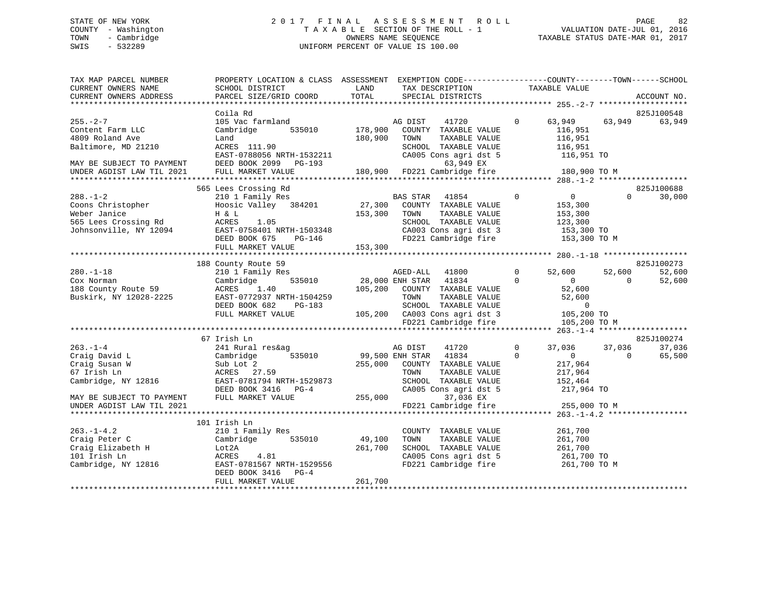# STATE OF NEW YORK 2 0 1 7 F I N A L A S S E S S M E N T R O L L PAGE 82 COUNTY - Washington T A X A B L E SECTION OF THE ROLL - 1 VALUATION DATE-JUL 01, 2016 TOWN - Cambridge OWNERS NAME SEQUENCE TAXABLE STATUS DATE-MAR 01, 2017 SWIS - 532289 UNIFORM PERCENT OF VALUE IS 100.00

| TAX MAP PARCEL NUMBER            | PROPERTY LOCATION & CLASS ASSESSMENT                  |         | EXEMPTION CODE-----------------COUNTY-------TOWN------SCHOOL |             |                    |          |             |
|----------------------------------|-------------------------------------------------------|---------|--------------------------------------------------------------|-------------|--------------------|----------|-------------|
| CURRENT OWNERS NAME              | SCHOOL DISTRICT                                       | LAND    | TAX DESCRIPTION                                              |             | TAXABLE VALUE      |          |             |
| CURRENT OWNERS ADDRESS           | PARCEL SIZE/GRID COORD                                | TOTAL   | SPECIAL DISTRICTS                                            |             |                    |          | ACCOUNT NO. |
|                                  | Coila Rd                                              |         |                                                              |             |                    |          | 825J100548  |
| $255. - 2 - 7$                   | 105 Vac farmland                                      |         | AG DIST<br>41720                                             | $\Omega$    | 63,949             | 63,949   | 63,949      |
| Content Farm LLC                 | Cambridge<br>535010                                   | 178,900 | COUNTY TAXABLE VALUE                                         |             | 116,951            |          |             |
| 4809 Roland Ave                  | Land                                                  | 180,900 | TAXABLE VALUE<br>TOWN                                        |             | 116,951            |          |             |
| Baltimore, MD 21210              | ACRES 111.90                                          |         | SCHOOL TAXABLE VALUE                                         |             | 116,951            |          |             |
|                                  | EAST-0788056 NRTH-1532211                             |         | CA005 Cons agri dst 5                                        |             | 116,951 TO         |          |             |
| MAY BE SUBJECT TO PAYMENT        | DEED BOOK 2099 PG-193                                 |         | 63,949 EX                                                    |             |                    |          |             |
| UNDER AGDIST LAW TIL 2021        | FULL MARKET VALUE                                     | 180,900 | FD221 Cambridge fire                                         |             | 180,900 TO M       |          |             |
|                                  |                                                       |         |                                                              |             |                    |          |             |
|                                  | 565 Lees Crossing Rd                                  |         |                                                              |             |                    |          | 825J100688  |
| $288. - 1 - 2$                   | 210 1 Family Res                                      |         | BAS STAR<br>41854                                            | $\mathbf 0$ | $\overline{0}$     | $\Omega$ | 30,000      |
| Coons Christopher                | Hoosic Valley 384201                                  | 27,300  | COUNTY TAXABLE VALUE                                         |             | 153,300            |          |             |
| Weber Janice                     | H & L                                                 | 153,300 | TOWN<br>TAXABLE VALUE                                        |             | 153,300            |          |             |
| 565 Lees Crossing Rd             | ACRES<br>1.05                                         |         | SCHOOL TAXABLE VALUE                                         |             | 123,300            |          |             |
| Johnsonville, NY 12094           | EAST-0758401 NRTH-1503348                             |         | CA003 Cons agri dst 3                                        |             | 153,300 TO         |          |             |
|                                  | DEED BOOK 675<br>PG-146                               |         | FD221 Cambridge fire                                         |             | 153,300 TO M       |          |             |
|                                  | FULL MARKET VALUE                                     | 153,300 |                                                              |             |                    |          |             |
|                                  |                                                       |         |                                                              |             |                    |          |             |
|                                  | 188 County Route 59                                   |         |                                                              |             |                    |          | 825J100273  |
| $280. -1 - 18$                   | 210 1 Family Res                                      |         | AGED-ALL<br>41800                                            | $\Omega$    | 52,600             | 52,600   | 52,600      |
| Cox Norman                       | 535010<br>Cambridge                                   |         | 28,000 ENH STAR<br>41834                                     | $\Omega$    | $\Omega$           | $\Omega$ | 52,600      |
| 188 County Route 59              | ACRES<br>1.40                                         | 105,200 | COUNTY TAXABLE VALUE                                         |             | 52,600             |          |             |
| Buskirk, NY 12028-2225           | EAST-0772937 NRTH-1504259                             |         | TOWN<br>TAXABLE VALUE                                        |             | 52,600             |          |             |
|                                  | DEED BOOK 682<br>PG-183                               |         | SCHOOL TAXABLE VALUE                                         |             | $\mathbf 0$        |          |             |
|                                  | FULL MARKET VALUE                                     |         | 105,200 CA003 Cons agri dst 3                                |             | 105,200 TO         |          |             |
|                                  |                                                       |         | FD221 Cambridge fire                                         |             | 105,200 TO M       |          |             |
|                                  |                                                       |         |                                                              |             |                    |          |             |
|                                  | 67 Irish Ln                                           |         |                                                              |             |                    |          | 825J100274  |
| $263. - 1 - 4$                   | 241 Rural res&ag                                      |         | AG DIST<br>41720                                             | $\mathbf 0$ | 37,036             | 37,036   | 37,036      |
| Craig David L                    | 535010<br>Cambridge                                   |         | 99,500 ENH STAR<br>41834                                     | $\Omega$    | $\overline{0}$     | $\Omega$ | 65,500      |
| Craig Susan W                    | Sub Lot 2                                             | 255,000 | COUNTY TAXABLE VALUE                                         |             | 217,964            |          |             |
| 67 Irish Ln                      | ACRES 27.59                                           |         | TOWN<br>TAXABLE VALUE                                        |             | 217,964            |          |             |
| Cambridge, NY 12816              | EAST-0781794 NRTH-1529873                             |         | SCHOOL TAXABLE VALUE                                         |             | 152,464            |          |             |
|                                  | DEED BOOK 3416<br>$PG-4$                              |         | CA005 Cons agri dst 5                                        |             | 217,964 TO         |          |             |
| MAY BE SUBJECT TO PAYMENT        | FULL MARKET VALUE                                     | 255,000 | 37,036 EX                                                    |             |                    |          |             |
| UNDER AGDIST LAW TIL 2021        |                                                       |         | FD221 Cambridge fire                                         |             | 255,000 TO M       |          |             |
|                                  | 101 Irish Ln                                          |         |                                                              |             |                    |          |             |
|                                  |                                                       |         |                                                              |             |                    |          |             |
| $263. -1 - 4.2$<br>Craig Peter C | 210 1 Family Res<br>Cambridge<br>535010               | 49,100  | COUNTY TAXABLE VALUE<br>TOWN<br>TAXABLE VALUE                |             | 261,700<br>261,700 |          |             |
| Craig Elizabeth H                |                                                       | 261,700 |                                                              |             |                    |          |             |
|                                  | Lot2A                                                 |         | SCHOOL TAXABLE VALUE                                         |             | 261,700            |          |             |
| 101 Irish Ln                     | ACRES<br>4.81                                         |         | CA005 Cons agri dst 5                                        |             | 261,700 TO         |          |             |
| Cambridge, NY 12816              | EAST-0781567 NRTH-1529556<br>DEED BOOK 3416<br>$PG-4$ |         | FD221 Cambridge fire                                         |             | 261,700 TO M       |          |             |
|                                  | FULL MARKET VALUE                                     | 261,700 |                                                              |             |                    |          |             |
|                                  |                                                       |         |                                                              |             |                    |          |             |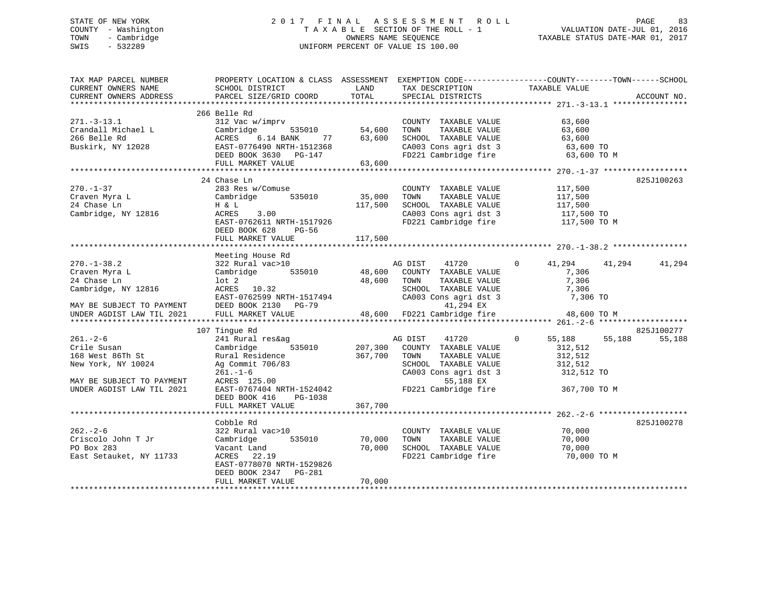# STATE OF NEW YORK 2 0 1 7 F I N A L A S S E S S M E N T R O L L PAGE 83 COUNTY - Washington T A X A B L E SECTION OF THE ROLL - 1 VALUATION DATE-JUL 01, 2016 TOWN - Cambridge OWNERS NAME SEQUENCE TAXABLE STATUS DATE-MAR 01, 2017 SWIS - 532289 UNIFORM PERCENT OF VALUE IS 100.00

| TAX MAP PARCEL NUMBER     |                                            |           |                              | PROPERTY LOCATION & CLASS ASSESSMENT EXEMPTION CODE---------------COUNTY-------TOWN------SCHOOL |             |
|---------------------------|--------------------------------------------|-----------|------------------------------|-------------------------------------------------------------------------------------------------|-------------|
| CURRENT OWNERS NAME       | SCHOOL DISTRICT                            | LAND      | TAX DESCRIPTION              | TAXABLE VALUE                                                                                   |             |
| CURRENT OWNERS ADDRESS    | PARCEL SIZE/GRID COORD                     | TOTAL     | SPECIAL DISTRICTS            |                                                                                                 | ACCOUNT NO. |
|                           |                                            |           |                              |                                                                                                 |             |
|                           | 266 Belle Rd                               |           |                              |                                                                                                 |             |
| $271. - 3 - 13.1$         | 312 Vac w/imprv                            |           | COUNTY TAXABLE VALUE 63,600  |                                                                                                 |             |
| Crandall Michael L        | Cambridge 535010 54,600                    |           | TOWN<br>TAXABLE VALUE        | 63,600                                                                                          |             |
| 266 Belle Rd              | ACRES<br>$6.14$ BANK                       | 77 63,600 | SCHOOL TAXABLE VALUE         | 63,600                                                                                          |             |
| Buskirk, NY 12028         | EAST-0776490 NRTH-1512368                  |           | CA003 Cons agri dst 3        | 63,600 TO                                                                                       |             |
|                           | DEED BOOK 3630 PG-147                      |           |                              | FD221 Cambridge fire 63,600 TO M                                                                |             |
|                           | FULL MARKET VALUE                          | 63,600    |                              |                                                                                                 |             |
|                           |                                            |           |                              |                                                                                                 |             |
|                           | 24 Chase Ln                                |           |                              |                                                                                                 | 825J100263  |
| $270. - 1 - 37$           | 283 Res w/Comuse                           |           | COUNTY TAXABLE VALUE         | 117,500                                                                                         |             |
| Craven Myra L             | Cambridge 535010                           | 35,000    | TOWN<br>TAXABLE VALUE        | 117,500                                                                                         |             |
| 24 Chase Ln               | H & L                                      | 117,500   | SCHOOL TAXABLE VALUE         |                                                                                                 |             |
| Cambridge, NY 12816       | ACRES 3.00                                 |           | CA003 Cons agri dst 3        | 117,500<br>117,500 TO                                                                           |             |
|                           | EAST-0762611 NRTH-1517926                  |           |                              | FD221 Cambridge fire 117,500 TO M                                                               |             |
|                           | DEED BOOK 628<br>PG-56                     |           |                              |                                                                                                 |             |
|                           | FULL MARKET VALUE                          | 117,500   |                              |                                                                                                 |             |
|                           |                                            |           |                              |                                                                                                 |             |
|                           | Meeting House Rd                           |           |                              |                                                                                                 |             |
| $270. - 1 - 38.2$         | 322 Rural vac>10                           |           | AG DIST<br>41720             | $0 \qquad \qquad$<br>41,294<br>41,294                                                           | 41,294      |
| Craven Myra L             | 535010<br>Cambridge                        | 48,600    | COUNTY TAXABLE VALUE         | 7,306                                                                                           |             |
| 24 Chase Ln               | $1$ ot $2$                                 | 48,600    | TOWN<br>TAXABLE VALUE        | 7,306                                                                                           |             |
| Cambridge, NY 12816       | ACRES 10.32<br>EAST-0762599 NRTH-1517494   |           | SCHOOL TAXABLE VALUE         | 7,306                                                                                           |             |
|                           |                                            |           | CA003 Cons agri dst 3        | 7,306 TO                                                                                        |             |
| MAY BE SUBJECT TO PAYMENT |                                            |           | 41,294 EX                    |                                                                                                 |             |
| UNDER AGDIST LAW TIL 2021 | DEED BOOK 2130 PG-79<br>FULL MARKET VALUE  |           | 48,600 FD221 Cambridge fire  | 48,600 TO M                                                                                     |             |
|                           |                                            |           |                              |                                                                                                 |             |
|                           | 107 Tingue Rd                              |           |                              |                                                                                                 | 825J100277  |
| $261. - 2 - 6$            | 241 Rural res&ag                           |           | AG DIST<br>41720             | 55,188 55,188<br>$\overline{0}$                                                                 | 55,188      |
| Crile Susan               | 535010<br>Cambridge                        | 207,300   | COUNTY TAXABLE VALUE         | 312,512                                                                                         |             |
| 168 West 86Th St          | Rural Residence                            | 367,700   | TOWN<br>TAXABLE VALUE        | 312,512                                                                                         |             |
| New York, NY 10024        | Ag Commit 706/83                           |           | SCHOOL TAXABLE VALUE         | 312,512                                                                                         |             |
|                           | $261. - 1 - 6$                             |           |                              | CA003 Cons agri dst 3 312,512 TO                                                                |             |
| MAY BE SUBJECT TO PAYMENT | ACRES 125.00                               |           | 55,188 EX                    |                                                                                                 |             |
| UNDER AGDIST LAW TIL 2021 |                                            |           |                              | FD221 Cambridge fire 367,700 TO M                                                               |             |
|                           | EAST-0767404 NRTH-1524042                  |           |                              |                                                                                                 |             |
|                           | DEED BOOK 416 PG-1038<br>FULL MARKET VALUE | 367,700   |                              |                                                                                                 |             |
|                           |                                            |           |                              |                                                                                                 |             |
|                           | Cobble Rd                                  |           |                              |                                                                                                 | 825J100278  |
| $262 - 2 - 6$             | 322 Rural vac>10                           |           |                              | 70,000                                                                                          |             |
| Criscolo John T Jr        | 535010                                     | 70,000    | COUNTY TAXABLE VALUE<br>TOWN |                                                                                                 |             |
| PO Box 283                | Cambridge                                  |           | TAXABLE VALUE                | 70,000                                                                                          |             |
|                           | Vacant Land                                | 70,000    | SCHOOL TAXABLE VALUE         | 70,000                                                                                          |             |
| East Setauket, NY 11733   | ACRES 22.19                                |           |                              | FD221 Cambridge fire 70,000 TO M                                                                |             |
|                           | EAST-0778070 NRTH-1529826                  |           |                              |                                                                                                 |             |
|                           | DEED BOOK 2347 PG-281                      |           |                              |                                                                                                 |             |
|                           | FULL MARKET VALUE                          | 70,000    |                              |                                                                                                 |             |
|                           |                                            |           |                              |                                                                                                 |             |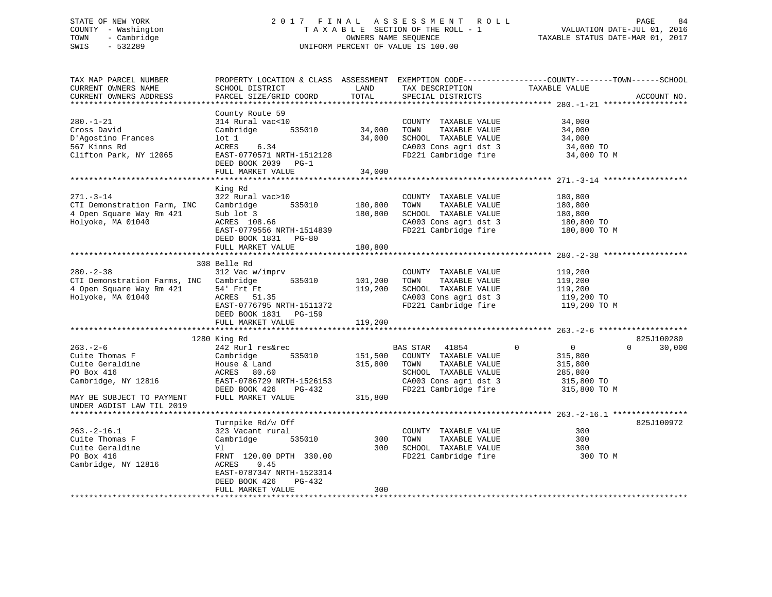# STATE OF NEW YORK 2 0 1 7 F I N A L A S S E S S M E N T R O L L PAGE 84 COUNTY - Washington T A X A B L E SECTION OF THE ROLL - 1 VALUATION DATE-JUL 01, 2016 TOWN - Cambridge OWNERS NAME SEQUENCE TAXABLE STATUS DATE-MAR 01, 2017 SWIS - 532289 UNIFORM PERCENT OF VALUE IS 100.00

| TAX MAP PARCEL NUMBER<br>CURRENT OWNERS NAME<br>CURRENT OWNERS ADDRESS                                    | SCHOOL DISTRICT<br>PARCEL SIZE/GRID COORD                                                                                                            | LAND<br>TOTAL                 | TAX DESCRIPTION<br>SPECIAL DISTRICTS                                                                                                        | PROPERTY LOCATION & CLASS ASSESSMENT EXEMPTION CODE----------------COUNTY-------TOWN------SCHOOL<br>TAXABLE VALUE | ACCOUNT NO.          |
|-----------------------------------------------------------------------------------------------------------|------------------------------------------------------------------------------------------------------------------------------------------------------|-------------------------------|---------------------------------------------------------------------------------------------------------------------------------------------|-------------------------------------------------------------------------------------------------------------------|----------------------|
|                                                                                                           |                                                                                                                                                      |                               |                                                                                                                                             |                                                                                                                   |                      |
| $280. - 1 - 21$<br>Cross David<br>D'Agostino Frances<br>567 Kinns Rd<br>Clifton Park, NY 12065            | County Route 59<br>314 Rural vac<10<br>Cambridge<br>535010<br>$1$ ot $1$<br>ACRES<br>6.34<br>EAST-0770571 NRTH-1512128                               | 34,000<br>34,000              | COUNTY TAXABLE VALUE<br>TOWN<br>TAXABLE VALUE<br>SCHOOL TAXABLE VALUE<br>CA003 Cons agri dst 3<br>FD221 Cambridge fire                      | 34,000<br>34,000<br>34,000<br>34,000 TO<br>34,000 TO M                                                            |                      |
|                                                                                                           | DEED BOOK 2039 PG-1<br>FULL MARKET VALUE                                                                                                             | 34,000                        |                                                                                                                                             |                                                                                                                   |                      |
|                                                                                                           |                                                                                                                                                      |                               |                                                                                                                                             |                                                                                                                   |                      |
| $271. - 3 - 14$<br>CTI Demonstration Farm, INC<br>4 Open Square Way Rm 421<br>Holyoke, MA 01040           | King Rd<br>322 Rural vac>10<br>Cambridge<br>535010<br>Sub lot 3<br>ACRES 108.66<br>EAST-0779556 NRTH-1514839<br>DEED BOOK 1831 PG-80                 | 180,800<br>180,800            | COUNTY TAXABLE VALUE<br>TAXABLE VALUE<br>TOWN<br>SCHOOL TAXABLE VALUE<br>CA003 Cons agri dst 3<br>FD221 Cambridge fire                      | 180,800<br>180,800<br>180,800<br>180,800 TO<br>180,800 TO M                                                       |                      |
|                                                                                                           | FULL MARKET VALUE                                                                                                                                    | 180,800                       |                                                                                                                                             |                                                                                                                   |                      |
| $280 - 2 - 38$<br>CTI Demonstration Farms, INC Cambridge<br>4 Open Square Way Rm 421<br>Holyoke, MA 01040 | 308 Belle Rd<br>312 Vac w/imprv<br>535010<br>54' Frt Ft<br>ACRES<br>51.35<br>EAST-0776795 NRTH-1511372<br>DEED BOOK 1831 PG-159<br>FULL MARKET VALUE | 101,200<br>119,200<br>119,200 | COUNTY TAXABLE VALUE<br>TOWN<br>TAXABLE VALUE<br>SCHOOL TAXABLE VALUE<br>CA003 Cons agri dst 3<br>FD221 Cambridge fire                      | 119,200<br>119,200<br>119,200<br>119,200 TO<br>119,200 TO M                                                       |                      |
|                                                                                                           |                                                                                                                                                      |                               |                                                                                                                                             |                                                                                                                   |                      |
| $263. - 2 - 6$<br>Cuite Thomas F<br>Cuite Geraldine<br>PO Box 416<br>Cambridge, NY 12816                  | 1280 King Rd<br>242 Rurl res&rec<br>Cambridge<br>535010<br>House & Land<br>ACRES<br>80.60<br>EAST-0786729 NRTH-1526153<br>DEED BOOK 426<br>PG-432    | 151,500<br>315,800            | BAS STAR<br>41854<br>COUNTY TAXABLE VALUE<br>TOWN<br>TAXABLE VALUE<br>SCHOOL TAXABLE VALUE<br>CA003 Cons agri dst 3<br>FD221 Cambridge fire | $\mathbf 0$<br>$\mathbf 0$<br>$\Omega$<br>315,800<br>315,800<br>285,800<br>315,800 TO<br>315,800 TO M             | 825J100280<br>30,000 |
| MAY BE SUBJECT TO PAYMENT<br>UNDER AGDIST LAW TIL 2019                                                    | FULL MARKET VALUE                                                                                                                                    | 315,800                       |                                                                                                                                             |                                                                                                                   |                      |
|                                                                                                           | Turnpike Rd/w Off                                                                                                                                    |                               |                                                                                                                                             |                                                                                                                   | 825J100972           |
| $263. - 2 - 16.1$<br>Cuite Thomas F<br>Cuite Geraldine<br>PO Box 416<br>Cambridge, NY 12816               | 323 Vacant rural<br>Cambridge<br>535010<br>Vl<br>FRNT 120.00 DPTH 330.00<br>ACRES<br>0.45<br>EAST-0787347 NRTH-1523314                               | 300<br>300                    | COUNTY TAXABLE VALUE<br>TOWN<br>TAXABLE VALUE<br>SCHOOL TAXABLE VALUE<br>FD221 Cambridge fire                                               | 300<br>300<br>300<br>300 TO M                                                                                     |                      |
|                                                                                                           | DEED BOOK 426<br>PG-432<br>FULL MARKET VALUE                                                                                                         | 300                           |                                                                                                                                             |                                                                                                                   |                      |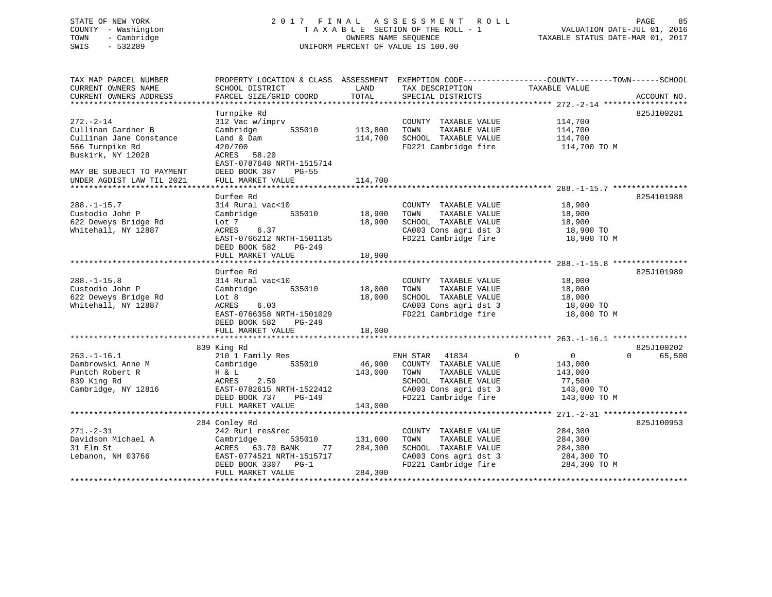### STATE OF NEW YORK 2 0 1 7 F I N A L A S S E S S M E N T R O L L PAGE 85COUNTY - Washington  $T A X A B L E$  SECTION OF THE ROLL - 1<br>TOWN - Cambridge  $\qquad$  OWNERS NAME SEQUENCE TOWN - Cambridge OWNERS NAME SEQUENCE TAXABLE STATUS DATE-MAR 01, 2017 SWIS - 532289 UNIFORM PERCENT OF VALUE IS 100.00

| TAX MAP PARCEL NUMBER<br>CURRENT OWNERS NAME                      | PROPERTY LOCATION & CLASS ASSESSMENT<br>SCHOOL DISTRICT                              | LAND               | TAX DESCRIPTION                                                       | EXEMPTION CODE-----------------COUNTY-------TOWN------SCHOOL<br>TAXABLE VALUE |             |
|-------------------------------------------------------------------|--------------------------------------------------------------------------------------|--------------------|-----------------------------------------------------------------------|-------------------------------------------------------------------------------|-------------|
| CURRENT OWNERS ADDRESS                                            | PARCEL SIZE/GRID COORD                                                               | TOTAL              | SPECIAL DISTRICTS                                                     |                                                                               | ACCOUNT NO. |
|                                                                   | Turnpike Rd                                                                          |                    |                                                                       |                                                                               | 825J100281  |
| $272. - 2 - 14$<br>Cullinan Gardner B<br>Cullinan Jane Constance  | 312 Vac w/imprv<br>535010<br>Cambridge<br>Land & Dam                                 | 113,800<br>114,700 | COUNTY TAXABLE VALUE<br>TAXABLE VALUE<br>TOWN<br>SCHOOL TAXABLE VALUE | 114,700<br>114,700<br>114,700                                                 |             |
| 566 Turnpike Rd<br>Buskirk, NY 12028<br>MAY BE SUBJECT TO PAYMENT | 420/700<br>ACRES 58.20<br>EAST-0787648 NRTH-1515714<br>DEED BOOK 387<br><b>PG-55</b> |                    | FD221 Cambridge fire                                                  | 114,700 TO M                                                                  |             |
| UNDER AGDIST LAW TIL 2021                                         | FULL MARKET VALUE                                                                    | 114,700            |                                                                       |                                                                               |             |
|                                                                   |                                                                                      |                    |                                                                       |                                                                               |             |
|                                                                   | Durfee Rd                                                                            |                    |                                                                       |                                                                               | 8254101988  |
| $288. - 1 - 15.7$                                                 | 314 Rural vac<10                                                                     |                    | COUNTY TAXABLE VALUE                                                  | 18,900                                                                        |             |
| Custodio John P                                                   | Cambridge<br>535010                                                                  | 18,900             | TAXABLE VALUE<br>TOWN                                                 | 18,900                                                                        |             |
| 622 Deweys Bridge Rd                                              | Lot 7                                                                                | 18,900             | SCHOOL TAXABLE VALUE                                                  | 18,900                                                                        |             |
| Whitehall, NY 12887                                               | <b>ACRES</b><br>6.37                                                                 |                    | CA003 Cons agri dst 3                                                 | 18,900 TO                                                                     |             |
|                                                                   | EAST-0766212 NRTH-1501135                                                            |                    | FD221 Cambridge fire                                                  | 18,900 TO M                                                                   |             |
|                                                                   | DEED BOOK 582<br>PG-249                                                              |                    |                                                                       |                                                                               |             |
|                                                                   | FULL MARKET VALUE                                                                    | 18,900             |                                                                       |                                                                               |             |
|                                                                   |                                                                                      |                    |                                                                       |                                                                               |             |
|                                                                   | Durfee Rd                                                                            |                    |                                                                       |                                                                               | 825J101989  |
| $288. - 1 - 15.8$                                                 | 314 Rural vac<10                                                                     |                    | COUNTY TAXABLE VALUE                                                  | 18,000                                                                        |             |
| Custodio John P                                                   | 535010<br>Cambridge                                                                  | 18,000             | TAXABLE VALUE<br>TOWN                                                 | 18,000                                                                        |             |
| 622 Deweys Bridge Rd                                              | Lot 8                                                                                | 18,000             | SCHOOL TAXABLE VALUE                                                  | 18,000                                                                        |             |
| Whitehall, NY 12887                                               | ACRES<br>6.03                                                                        |                    | CA003 Cons agri dst 3                                                 | 18,000 TO                                                                     |             |
|                                                                   | EAST-0766358 NRTH-1501029<br>DEED BOOK 582<br>PG-249<br>FULL MARKET VALUE            | 18,000             | FD221 Cambridge fire                                                  | 18,000 TO M                                                                   |             |
|                                                                   |                                                                                      |                    |                                                                       |                                                                               |             |
|                                                                   | 839 King Rd                                                                          |                    |                                                                       |                                                                               | 825J100202  |
| $263. - 1 - 16.1$                                                 | 210 1 Family Res                                                                     |                    | ENH STAR 41834                                                        | $\mathbf{0}$<br>$\overline{0}$<br>$\Omega$                                    | 65,500      |
| Dambrowski Anne M                                                 | Cambridge<br>535010                                                                  | 46,900             | COUNTY TAXABLE VALUE                                                  | 143,000                                                                       |             |
| Puntch Robert R                                                   | H & L                                                                                | 143,000            | TAXABLE VALUE<br>TOWN                                                 | 143,000                                                                       |             |
| 839 King Rd                                                       | ACRES<br>2.59                                                                        |                    | SCHOOL TAXABLE VALUE                                                  | 77,500                                                                        |             |
| Cambridge, NY 12816                                               | EAST-0782615 NRTH-1522412                                                            |                    | CA003 Cons agri dst 3                                                 | 143,000 TO                                                                    |             |
|                                                                   | DEED BOOK 737<br>PG-149                                                              |                    | FD221 Cambridge fire                                                  | 143,000 TO M                                                                  |             |
|                                                                   | FULL MARKET VALUE                                                                    | 143,000            |                                                                       |                                                                               |             |
|                                                                   |                                                                                      |                    |                                                                       |                                                                               |             |
|                                                                   | 284 Conley Rd                                                                        |                    |                                                                       |                                                                               | 825J100953  |
| $271. - 2 - 31$                                                   | 242 Rurl res&rec                                                                     |                    | COUNTY TAXABLE VALUE                                                  | 284,300                                                                       |             |
| Davidson Michael A                                                | Cambridge<br>535010                                                                  | 131,600            | TOWN<br>TAXABLE VALUE                                                 | 284,300                                                                       |             |
| 31 Elm St                                                         | ACRES 63.70 BANK<br>77                                                               | 284,300            | SCHOOL TAXABLE VALUE                                                  | 284,300                                                                       |             |
| Lebanon, NH 03766                                                 | EAST-0774521 NRTH-1515717                                                            |                    | CA003 Cons agri dst 3                                                 | 284,300 TO                                                                    |             |
|                                                                   | DEED BOOK 3307 PG-1                                                                  |                    | FD221 Cambridge fire                                                  | 284,300 TO M                                                                  |             |
|                                                                   | FULL MARKET VALUE                                                                    | 284,300            |                                                                       |                                                                               |             |
|                                                                   |                                                                                      |                    |                                                                       |                                                                               |             |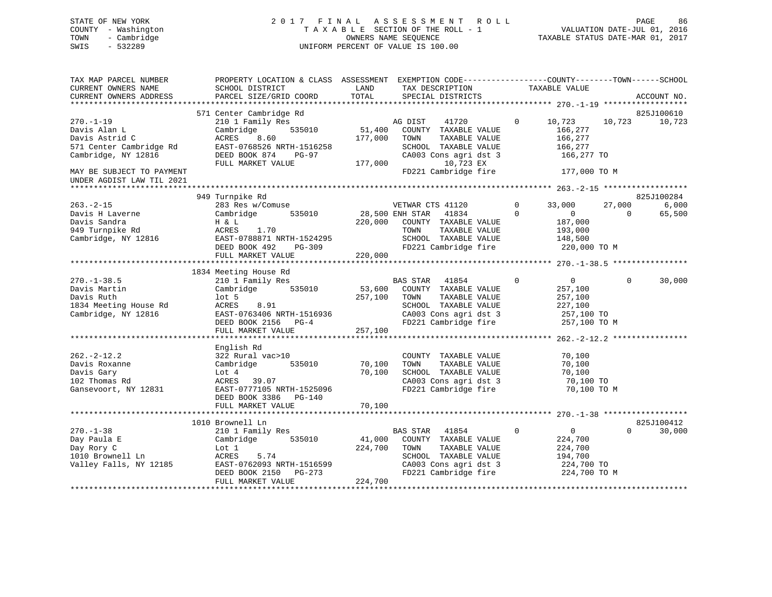# STATE OF NEW YORK 2 0 1 7 F I N A L A S S E S S M E N T R O L L PAGE 86 COUNTY - Washington T A X A B L E SECTION OF THE ROLL - 1 VALUATION DATE-JUL 01, 2016 TOWN - Cambridge OWNERS NAME SEQUENCE TAXABLE STATUS DATE-MAR 01, 2017 SWIS - 532289 UNIFORM PERCENT OF VALUE IS 100.00

| TAX MAP PARCEL NUMBER<br>CURRENT OWNERS NAME<br>CURRENT OWNERS ADDRESS                          | PROPERTY LOCATION & CLASS ASSESSMENT EXEMPTION CODE----------------COUNTY-------TOWN------SCHOOL<br>SCHOOL DISTRICT<br>PARCEL SIZE/GRID COORD     | LAND<br>TOTAL                | TAX DESCRIPTION<br>SPECIAL DISTRICTS                                                                                                               | TAXABLE VALUE                                                                                | ACCOUNT NO.                           |
|-------------------------------------------------------------------------------------------------|---------------------------------------------------------------------------------------------------------------------------------------------------|------------------------------|----------------------------------------------------------------------------------------------------------------------------------------------------|----------------------------------------------------------------------------------------------|---------------------------------------|
|                                                                                                 |                                                                                                                                                   |                              |                                                                                                                                                    |                                                                                              |                                       |
|                                                                                                 | 571 Center Cambridge Rd                                                                                                                           |                              |                                                                                                                                                    |                                                                                              | 825J100610                            |
| $270. - 1 - 19$<br>Davis Alan L<br>Davis Astrid C<br>571 Center Cambridge Rd                    | 210 1 Family Res<br>Cambridge<br>535010<br>ACRES<br>8.60<br>EAST-0768526 NRTH-1516258                                                             | 51,400<br>177,000            | 41720<br>AG DIST<br>COUNTY TAXABLE VALUE<br>TOWN<br>TAXABLE VALUE<br>SCHOOL TAXABLE VALUE                                                          | $\mathbf 0$<br>10,723<br>166,277<br>166,277<br>166,277                                       | 10,723<br>10,723                      |
| Cambridge, NY 12816                                                                             | DEED BOOK 874<br>PG-97<br>FULL MARKET VALUE                                                                                                       | 177,000                      | CA003 Cons agri dst 3<br>10,723 EX                                                                                                                 | 166,277 TO                                                                                   |                                       |
| MAY BE SUBJECT TO PAYMENT<br>UNDER AGDIST LAW TIL 2021                                          |                                                                                                                                                   |                              | FD221 Cambridge fire                                                                                                                               | 177,000 TO M                                                                                 |                                       |
|                                                                                                 |                                                                                                                                                   |                              |                                                                                                                                                    |                                                                                              |                                       |
|                                                                                                 | 949 Turnpike Rd                                                                                                                                   |                              |                                                                                                                                                    |                                                                                              | 825J100284                            |
| $263. -2 - 15$<br>Davis H Laverne<br>Davis Sandra<br>949 Turnpike Rd<br>Cambridge, NY 12816     | 283 Res w/Comuse<br>Cambridge<br>535010<br>H & L<br>ACRES<br>1.70<br>EAST-0788871 NRTH-1524295<br>DEED BOOK 492<br>PG-309                         | 28,500 ENH STAR<br>220,000   | VETWAR CTS 41120<br>41834<br>COUNTY TAXABLE VALUE<br>TOWN<br>TAXABLE VALUE<br>SCHOOL TAXABLE VALUE<br>FD221 Cambridge fire                         | 0<br>33,000<br>$\Omega$<br>$\overline{0}$<br>187,000<br>193,000<br>148,500<br>220,000 TO M   | 27,000<br>6,000<br>65,500<br>$\Omega$ |
|                                                                                                 | FULL MARKET VALUE                                                                                                                                 | 220,000                      |                                                                                                                                                    |                                                                                              |                                       |
|                                                                                                 |                                                                                                                                                   |                              |                                                                                                                                                    |                                                                                              |                                       |
| $270. - 1 - 38.5$<br>Davis Martin<br>Davis Ruth<br>1834 Meeting House Rd<br>Cambridge, NY 12816 | 1834 Meeting House Rd<br>210 1 Family Res<br>535010<br>Cambridge<br>$1$ ot 5<br>ACRES<br>8.91<br>EAST-0763406 NRTH-1516936<br>DEED BOOK 2156 PG-4 | 53,600<br>257,100            | <b>BAS STAR</b><br>41854<br>COUNTY TAXABLE VALUE<br>TAXABLE VALUE<br>TOWN<br>SCHOOL TAXABLE VALUE<br>CA003 Cons agri dst 3<br>FD221 Cambridge fire | $\overline{0}$<br>$\mathbf 0$<br>257,100<br>257,100<br>227,100<br>257,100 TO<br>257,100 TO M | 30,000<br>$\Omega$                    |
|                                                                                                 | FULL MARKET VALUE                                                                                                                                 | 257,100                      |                                                                                                                                                    |                                                                                              |                                       |
|                                                                                                 |                                                                                                                                                   |                              |                                                                                                                                                    |                                                                                              |                                       |
| $262 - 2 - 12.2$<br>Davis Roxanne<br>Davis Gary<br>102 Thomas Rd<br>Gansevoort, NY 12831        | English Rd<br>322 Rural vac>10<br>535010<br>Cambridge<br>Lot 4<br>ACRES<br>39.07<br>EAST-0777105 NRTH-1525096<br>DEED BOOK 3386<br>PG-140         | 70,100<br>70,100             | COUNTY TAXABLE VALUE<br>TOWN<br>TAXABLE VALUE<br>SCHOOL TAXABLE VALUE<br>CA003 Cons agri dst 3<br>FD221 Cambridge fire                             | 70,100<br>70,100<br>70,100<br>70,100 TO                                                      | 70,100 TO M                           |
|                                                                                                 | FULL MARKET VALUE                                                                                                                                 | 70,100                       |                                                                                                                                                    |                                                                                              |                                       |
|                                                                                                 |                                                                                                                                                   |                              |                                                                                                                                                    |                                                                                              |                                       |
|                                                                                                 | 1010 Brownell Ln                                                                                                                                  |                              |                                                                                                                                                    |                                                                                              | 825J100412                            |
| $270. - 1 - 38$<br>Day Paula E<br>Day Rory C<br>1010 Brownell Ln<br>Valley Falls, NY 12185      | 210 1 Family Res<br>Cambridge<br>535010<br>Lot 1<br>5.74<br>ACRES<br>EAST-0762093 NRTH-1516599<br>DEED BOOK 2150<br>$PG-273$<br>FULL MARKET VALUE | 41,000<br>224,700<br>224,700 | BAS STAR<br>41854<br>COUNTY TAXABLE VALUE<br>TAXABLE VALUE<br>TOWN<br>SCHOOL TAXABLE VALUE<br>CA003 Cons agri dst 3<br>FD221 Cambridge fire        | $\overline{0}$<br>$\mathbf 0$<br>224,700<br>224,700<br>194,700<br>224,700 TO<br>224,700 TO M | $\Omega$<br>30,000                    |
|                                                                                                 |                                                                                                                                                   |                              |                                                                                                                                                    |                                                                                              |                                       |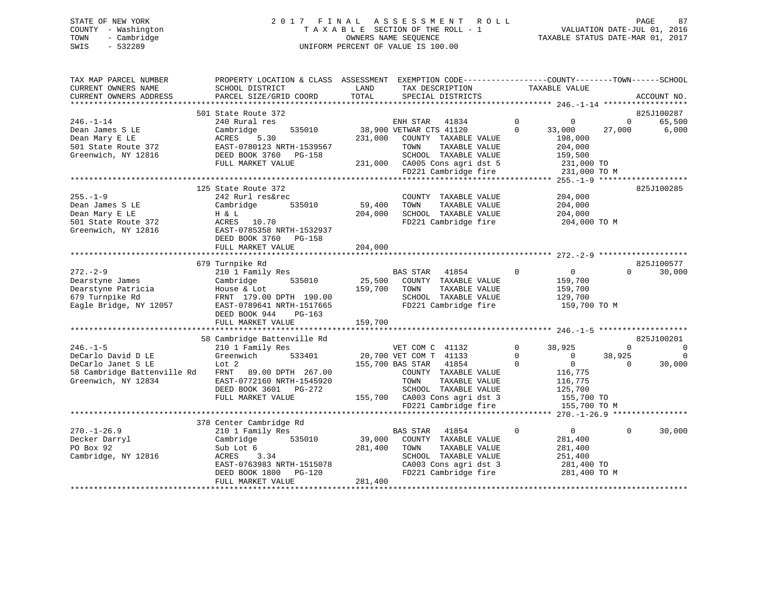# STATE OF NEW YORK 2 0 1 7 F I N A L A S S E S S M E N T R O L L PAGE 87 COUNTY - Washington T A X A B L E SECTION OF THE ROLL - 1 VALUATION DATE-JUL 01, 2016 TOWN - Cambridge OWNERS NAME SEQUENCE TAXABLE STATUS DATE-MAR 01, 2017 SWIS - 532289 UNIFORM PERCENT OF VALUE IS 100.00

| TAX MAP PARCEL NUMBER<br>CURRENT OWNERS NAME<br>CURRENT OWNERS ADDRESS | PROPERTY LOCATION & CLASS ASSESSMENT EXEMPTION CODE---------------COUNTY-------TOWN------SCHOOL<br>SCHOOL DISTRICT<br>PARCEL SIZE/GRID COORD | LAND<br>TOTAL | TAX DESCRIPTION<br>SPECIAL DISTRICTS |             | TAXABLE VALUE                          |              | ACCOUNT NO. |
|------------------------------------------------------------------------|----------------------------------------------------------------------------------------------------------------------------------------------|---------------|--------------------------------------|-------------|----------------------------------------|--------------|-------------|
|                                                                        |                                                                                                                                              |               |                                      |             |                                        |              |             |
|                                                                        | 501 State Route 372                                                                                                                          |               |                                      |             |                                        |              | 825J100287  |
| $246. - 1 - 14$                                                        | 240 Rural res                                                                                                                                |               | ENH STAR<br>41834                    | $\mathbf 0$ | $\mathbf 0$                            | $\mathbf{0}$ | 65,500      |
| Dean James S LE                                                        | 535010<br>Cambridge                                                                                                                          |               | 38,900 VETWAR CTS 41120              | $\Omega$    | 33,000                                 | 27,000       | 6,000       |
| Dean Mary E LE                                                         | ACRES<br>5.30                                                                                                                                |               | 231,000 COUNTY TAXABLE VALUE         |             | 198,000                                |              |             |
| 501 State Route 372                                                    | EAST-0780123 NRTH-1539567                                                                                                                    |               | TOWN<br>TAXABLE VALUE                |             | 204,000                                |              |             |
| Greenwich, NY 12816                                                    | DEED BOOK 3760 PG-158                                                                                                                        |               | SCHOOL TAXABLE VALUE                 |             | 159,500                                |              |             |
|                                                                        | FULL MARKET VALUE                                                                                                                            |               | 231,000 CA005 Cons agri dst 5        |             | 231,000 TO                             |              |             |
|                                                                        |                                                                                                                                              |               | FD221 Cambridge fire                 |             | 231,000 TO M                           |              |             |
|                                                                        |                                                                                                                                              |               |                                      |             |                                        |              |             |
|                                                                        | 125 State Route 372                                                                                                                          |               |                                      |             |                                        |              | 825J100285  |
| $255. - 1 - 9$                                                         | 242 Rurl res&rec                                                                                                                             |               | COUNTY TAXABLE VALUE                 |             | 204,000                                |              |             |
| Dean James S LE                                                        | 535010<br>Cambridge                                                                                                                          | 59,400        | TOWN<br>TAXABLE VALUE                |             | 204,000                                |              |             |
| Dean Mary E LE                                                         | H & L                                                                                                                                        | 204,000       | SCHOOL TAXABLE VALUE                 |             | 204,000                                |              |             |
| 501 State Route 372                                                    | ACRES 10.70                                                                                                                                  |               | FD221 Cambridge fire                 |             | 204,000 TO M                           |              |             |
| Greenwich, NY 12816                                                    | EAST-0785358 NRTH-1532937                                                                                                                    |               |                                      |             |                                        |              |             |
|                                                                        | DEED BOOK 3760 PG-158                                                                                                                        |               |                                      |             |                                        |              |             |
|                                                                        | FULL MARKET VALUE                                                                                                                            | 204,000       |                                      |             |                                        |              |             |
|                                                                        |                                                                                                                                              |               |                                      |             |                                        |              |             |
|                                                                        | 679 Turnpike Rd                                                                                                                              |               |                                      |             |                                        |              | 825J100577  |
| $272 - 2 - 9$                                                          | 210 1 Family Res                                                                                                                             |               | BAS STAR<br>41854                    | $\Omega$    | $\overline{0}$                         | $\Omega$     | 30,000      |
| Dearstyne James                                                        | 535010<br>Cambridge                                                                                                                          | 25,500        | COUNTY TAXABLE VALUE                 |             | 159,700                                |              |             |
| Dearstyne Patricia                                                     | House & Lot                                                                                                                                  | 159,700       | TAXABLE VALUE<br>TOWN                |             | 159,700                                |              |             |
| 679 Turnpike Rd                                                        | FRNT 179.00 DPTH 190.00                                                                                                                      |               | SCHOOL TAXABLE VALUE                 |             | 129,700                                |              |             |
| Eagle Bridge, NY 12057                                                 | EAST-0789641 NRTH-1517665                                                                                                                    |               | FD221 Cambridge fire                 |             | 159,700 TO M                           |              |             |
|                                                                        | DEED BOOK 944<br>PG-163                                                                                                                      |               |                                      |             |                                        |              |             |
|                                                                        |                                                                                                                                              |               |                                      |             |                                        |              |             |
|                                                                        |                                                                                                                                              |               |                                      |             |                                        |              |             |
|                                                                        | 58 Cambridge Battenville Rd                                                                                                                  |               |                                      |             |                                        |              | 825J100201  |
| $246. - 1 - 5$                                                         | 210 1 Family Res                                                                                                                             |               | VET COM C 41132                      | $\mathbf 0$ | 38,925                                 | $\Omega$     | $\mathbf 0$ |
| DeCarlo David D LE                                                     | Greenwich<br>533401                                                                                                                          |               | 20,700 VET COM T 41133               | $\mathbf 0$ | $\overline{0}$                         | 38,925       | $\mathbf 0$ |
| DeCarlo Janet S LE                                                     | Lot 2                                                                                                                                        |               | 155,700 BAS STAR<br>41854            | $\Omega$    | $\Omega$                               | $\Omega$     | 30,000      |
| 58 Cambridge Battenville Rd                                            | FRNT 89.00 DPTH 267.00                                                                                                                       |               | COUNTY TAXABLE VALUE                 |             | 116,775                                |              |             |
| Greenwich, NY 12834                                                    | EAST-0772160 NRTH-1545920                                                                                                                    |               | TAXABLE VALUE<br>TOWN                |             | 116,775                                |              |             |
|                                                                        | DEED BOOK 3601 PG-272                                                                                                                        |               | SCHOOL TAXABLE VALUE                 |             | 125,700                                |              |             |
|                                                                        | FULL MARKET VALUE                                                                                                                            |               | 155,700 CA003 Cons agri dst 3        |             | 155,700 TO                             |              |             |
|                                                                        |                                                                                                                                              |               | FD221 Cambridge fire                 |             | 155,700 TO M                           |              |             |
|                                                                        |                                                                                                                                              |               | *****************************        |             | ********* 270.-1-26.9 **************** |              |             |
|                                                                        | 378 Center Cambridge Rd                                                                                                                      |               |                                      |             |                                        |              |             |
| $270. - 1 - 26.9$                                                      | 210 1 Family Res                                                                                                                             |               | <b>BAS STAR</b><br>41854             | $\mathbf 0$ | $\overline{0}$                         | $\Omega$     | 30,000      |
| Decker Darryl                                                          | 535010<br>Cambridge                                                                                                                          | 39,000        | COUNTY TAXABLE VALUE                 |             | 281,400                                |              |             |
| PO Box 92                                                              | Sub Lot 6                                                                                                                                    | 281,400       | TOWN<br>TAXABLE VALUE                |             | 281,400                                |              |             |
| Cambridge, NY 12816                                                    | <b>ACRES</b><br>3.34                                                                                                                         |               | SCHOOL TAXABLE VALUE                 |             | 251,400                                |              |             |
|                                                                        | EAST-0763983 NRTH-1515078                                                                                                                    |               | CA003 Cons agri dst 3                |             | 281,400 TO                             |              |             |
|                                                                        | DEED BOOK 1800<br>PG-120                                                                                                                     |               | FD221 Cambridge fire                 |             | 281,400 TO M                           |              |             |
|                                                                        | FULL MARKET VALUE                                                                                                                            | 281,400       |                                      |             |                                        |              |             |
|                                                                        |                                                                                                                                              |               |                                      |             |                                        |              |             |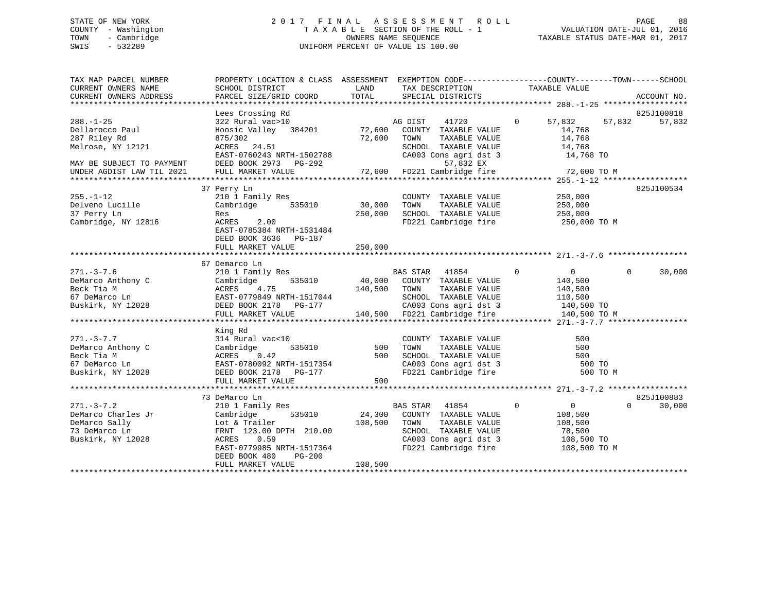# STATE OF NEW YORK 2 0 1 7 F I N A L A S S E S S M E N T R O L L PAGE 88 COUNTY - Washington T A X A B L E SECTION OF THE ROLL - 1 VALUATION DATE-JUL 01, 2016 TOWN - Cambridge OWNERS NAME SEQUENCE TAXABLE STATUS DATE-MAR 01, 2017 SWIS - 532289 UNIFORM PERCENT OF VALUE IS 100.00

| TAX MAP PARCEL NUMBER               | PROPERTY LOCATION & CLASS ASSESSMENT EXEMPTION CODE---------------COUNTY-------TOWN------SCHOOL                                                                                                                                                |              |                                                 |                                                               |                    |
|-------------------------------------|------------------------------------------------------------------------------------------------------------------------------------------------------------------------------------------------------------------------------------------------|--------------|-------------------------------------------------|---------------------------------------------------------------|--------------------|
|                                     |                                                                                                                                                                                                                                                |              |                                                 |                                                               |                    |
|                                     |                                                                                                                                                                                                                                                |              |                                                 |                                                               |                    |
|                                     |                                                                                                                                                                                                                                                |              |                                                 |                                                               |                    |
|                                     | Lees Crossing Rd                                                                                                                                                                                                                               |              |                                                 |                                                               | 825J100818         |
| $288. - 1 - 25$                     | 322 Rural vac>10<br>Hoosic Valley 384201 72,600 COUNTY TAXABLE VALUE                                                                                                                                                                           |              | 41720                                           | $0 \t 57,832$                                                 | 57,832<br>57,832   |
| Dellarocco Paul                     |                                                                                                                                                                                                                                                |              |                                                 |                                                               |                    |
| 287 Riley Rd                        | 875/302                                                                                                                                                                                                                                        | 72,600 TOWN  | TAXABLE VALUE                                   | $\frac{14}{14}$ , 768<br>14,768                               |                    |
| Melrose, NY 12121                   |                                                                                                                                                                                                                                                |              |                                                 | 14,768                                                        |                    |
|                                     | ACRES 24.51 SCHOOL TAXABLE VALUE<br>EAST-0760243 NRTH-1502788 CA003 Cons agri dst 3<br>DEED BOOK 2973 PG-292 57,832 EX<br>FULL MARKET VALUE 72,600 FD221 Cambridge fire                                                                        |              |                                                 | 14,768 TO                                                     |                    |
|                                     |                                                                                                                                                                                                                                                |              |                                                 |                                                               |                    |
| MAY BE SUBJECT TO PAYMENT           |                                                                                                                                                                                                                                                |              |                                                 |                                                               |                    |
| UNDER AGDIST LAW TIL 2021           |                                                                                                                                                                                                                                                |              |                                                 | 72,600 TO M                                                   |                    |
|                                     |                                                                                                                                                                                                                                                |              |                                                 |                                                               |                    |
|                                     | 37 Perry Ln                                                                                                                                                                                                                                    |              |                                                 |                                                               | 825J100534         |
| $255. - 1 - 12$                     | 210 1 Family Res                                                                                                                                                                                                                               |              | COUNTY TAXABLE VALUE 250,000                    |                                                               |                    |
| Delveno Lucille                     | Cambridge 535010                                                                                                                                                                                                                               | 30,000       | TOWN<br>TAXABLE VALUE                           |                                                               |                    |
| 37 Perry Ln                         | Res                                                                                                                                                                                                                                            |              | 250,000 SCHOOL TAXABLE VALUE                    | $250,000$<br>$250,000$                                        |                    |
| Cambridge, NY 12816                 | 2.00<br>ACRES                                                                                                                                                                                                                                  |              |                                                 | FD221 Cambridge fire 250,000 TO M                             |                    |
|                                     | EAST-0785384 NRTH-1531484                                                                                                                                                                                                                      |              |                                                 |                                                               |                    |
|                                     | DEED BOOK 3636 PG-187                                                                                                                                                                                                                          |              |                                                 |                                                               |                    |
|                                     | FULL MARKET VALUE                                                                                                                                                                                                                              | 250,000      |                                                 |                                                               |                    |
|                                     |                                                                                                                                                                                                                                                |              |                                                 |                                                               |                    |
|                                     | 67 Demarco Ln                                                                                                                                                                                                                                  |              |                                                 |                                                               |                    |
| $271. - 3 - 7.6$                    |                                                                                                                                                                                                                                                |              |                                                 | $\begin{array}{ccc} & & 0 & \quad & 0 \end{array}$            | $\Omega$<br>30,000 |
|                                     |                                                                                                                                                                                                                                                |              |                                                 |                                                               |                    |
|                                     |                                                                                                                                                                                                                                                |              |                                                 |                                                               |                    |
|                                     |                                                                                                                                                                                                                                                |              |                                                 |                                                               |                    |
|                                     |                                                                                                                                                                                                                                                |              |                                                 |                                                               |                    |
|                                     |                                                                                                                                                                                                                                                |              |                                                 |                                                               |                    |
|                                     |                                                                                                                                                                                                                                                |              |                                                 |                                                               |                    |
|                                     | 271.-3-7.6<br>DeMarco Anthony C Cambridge 535010<br>Beck Tia M ACRES 4.75<br>26 Town TAXABLE VALUE 110,500<br>27 DeMarco Ln EAST-0779849 NRTH-1517044<br>27 DEED BOOK 2178 PG-177<br>27 CA003 Cons agri dst 3<br>271.-3-7.7 140,500<br>28 DEED |              |                                                 |                                                               |                    |
|                                     | King Rd                                                                                                                                                                                                                                        |              |                                                 |                                                               |                    |
| $271. - 3 - 7.7$                    | 314 Rural vac<10                                                                                                                                                                                                                               |              | COUNTY TAXABLE VALUE                            | 500                                                           |                    |
| DeMarco Anthony C                   | 535010 500 TOWN<br>Cambridge                                                                                                                                                                                                                   |              | TAXABLE VALUE<br>TAXABLE VALUE<br>TAXABLE VALUE | 500                                                           |                    |
| Beck Tia M                          |                                                                                                                                                                                                                                                |              |                                                 | 500                                                           |                    |
| 67 DeMarco Ln                       |                                                                                                                                                                                                                                                |              |                                                 |                                                               |                    |
| Buskirk, NY 12028                   | ACRES 0.42<br>EAST-0780092 NRTH-1517354<br>DEED BOOK 2178 PG-177 PG-177 FD221 Cambridge fire                                                                                                                                                   |              |                                                 | CA003 Cons agri dst 3 500 TO<br>FD221 Cambridge fire 500 TO M |                    |
|                                     | FULL MARKET VALUE                                                                                                                                                                                                                              | 500          |                                                 |                                                               |                    |
|                                     |                                                                                                                                                                                                                                                |              |                                                 |                                                               |                    |
|                                     | 73 DeMarco Ln                                                                                                                                                                                                                                  |              |                                                 |                                                               | 825J100883         |
| $271. - 3 - 7.2$                    | 210 1 Family Res                                                                                                                                                                                                                               |              | BAS STAR 41854                                  | $\circ$<br>$\overline{0}$                                     | $\Omega$<br>30,000 |
|                                     | Cambridge                                                                                                                                                                                                                                      |              | 535010 24,300 COUNTY TAXABLE VALUE              | 108,500                                                       |                    |
| DeMarco Charles Jr<br>DeMarco Sally | Lot & Trailer                                                                                                                                                                                                                                  | 108,500 TOWN | TAXABLE VALUE                                   | 108,500                                                       |                    |
|                                     |                                                                                                                                                                                                                                                |              |                                                 |                                                               |                    |
| 73 DeMarco Ln                       | FRNT 123.00 DPTH 210.00                                                                                                                                                                                                                        |              | SCHOOL TAXABLE VALUE                            | 78,500                                                        |                    |
| Buskirk, NY 12028                   | ACRES 0.59                                                                                                                                                                                                                                     |              | CA003 Cons agri dst 3<br>FD221 Cambridge fire   | 108,500 TO                                                    |                    |
|                                     | EAST-0779985 NRTH-1517364                                                                                                                                                                                                                      |              |                                                 | 108,500 TO M                                                  |                    |
|                                     | DEED BOOK 480<br>PG-200                                                                                                                                                                                                                        |              |                                                 |                                                               |                    |
|                                     | FULL MARKET VALUE                                                                                                                                                                                                                              | 108,500      |                                                 |                                                               |                    |
|                                     |                                                                                                                                                                                                                                                |              |                                                 |                                                               |                    |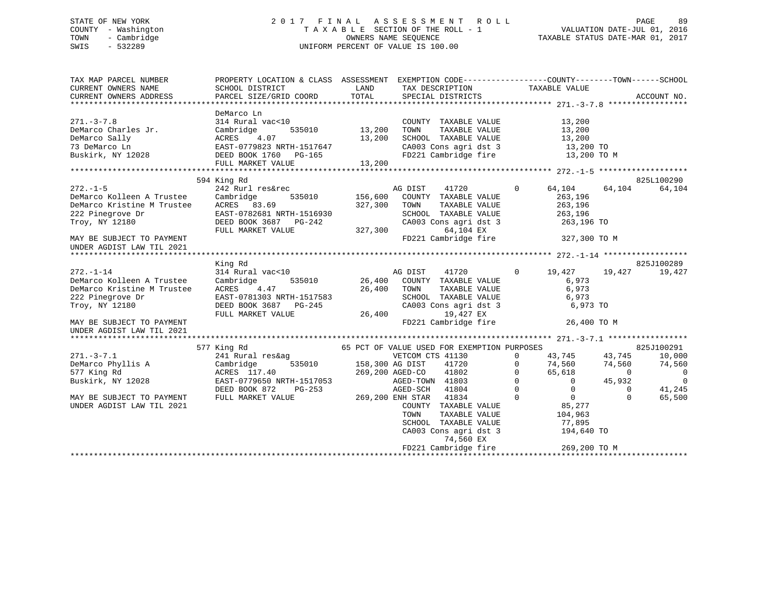# STATE OF NEW YORK 2 0 1 7 F I N A L A S S E S S M E N T R O L L PAGE 89 COUNTY - Washington T A X A B L E SECTION OF THE ROLL - 1 VALUATION DATE-JUL 01, 2016 TOWN - Cambridge OWNERS NAME SEQUENCE TAXABLE STATUS DATE-MAR 01, 2017 SWIS - 532289 UNIFORM PERCENT OF VALUE IS 100.00

| TAX MAP PARCEL NUMBER<br>CURRENT OWNERS NAME<br>CURRENT OWNERS ADDRESS                                                                        | PROPERTY LOCATION & CLASS ASSESSMENT EXEMPTION CODE----------------COUNTY-------TOWN------SCHOOL<br>SCHOOL DISTRICT<br>PARCEL SIZE/GRID COORD  | LAND<br>TOTAL                              |                                                                                                                                                                                       | TAX DESCRIPTION TAXABLE VALUE SPECIAL DISTRICTS                                                                                                    |                                                                     | ACCOUNT NO.                                                           |
|-----------------------------------------------------------------------------------------------------------------------------------------------|------------------------------------------------------------------------------------------------------------------------------------------------|--------------------------------------------|---------------------------------------------------------------------------------------------------------------------------------------------------------------------------------------|----------------------------------------------------------------------------------------------------------------------------------------------------|---------------------------------------------------------------------|-----------------------------------------------------------------------|
| $271. - 3 - 7.8$<br>DeMarco Charles Jr.<br>DeMarco Sally<br>73 DeMarco Ln<br>Buskirk, NY 12028                                                | DeMarco Ln<br>314 Rural vac<10<br>Cambridge<br>ACRES<br>4.07<br>EAST-0779823 NRTH-1517647<br>DEED BOOK 1760 PG-165<br>FULL MARKET VALUE        | 535010 13,200<br>13,200<br>13,200          | COUNTY TAXABLE VALUE<br>TOWN<br>TAXABLE VALUE<br>SCHOOL TAXABLE VALUE<br>CA003 Cons agri dst 3                                                                                        | 13,200<br>13,200<br>13,200<br>13,200 TO<br>FD221 Cambridge fire 13,200 TO M                                                                        |                                                                     |                                                                       |
|                                                                                                                                               | 594 King Rd                                                                                                                                    |                                            |                                                                                                                                                                                       |                                                                                                                                                    |                                                                     | 825L100290                                                            |
| $272. - 1 - 5$<br>DeMarco Kolleen A Trustee<br>DeMarco Kristine M Trustee<br>222 Pinegrove Dr<br>Troy, NY 12180                               | 242 Rurl res&rec<br>Cambridge<br>535010<br>ACRES 83.69<br>EAST-0782681 NRTH-1516930<br>DEED BOOK 3687 PG-242<br>FULL MARKET VALUE              | 156,600<br>327,300<br>327,300              | AG DIST<br>41720<br>COUNTY TAXABLE VALUE<br>TOWN<br>TAXABLE VALUE<br>SCHOOL TAXABLE VALUE<br>64,104 EX                                                                                | $\circ$<br>64,104<br>263,196<br>263,196<br>263,196<br>CA003 Cons agri dst 3 263,196 TO                                                             | 64,104                                                              | 64,104                                                                |
| MAY BE SUBJECT TO PAYMENT<br>UNDER AGDIST LAW TIL 2021                                                                                        |                                                                                                                                                |                                            | FD221 Cambridge fire                                                                                                                                                                  | 327,300 TO M                                                                                                                                       |                                                                     |                                                                       |
| $272. - 1 - 14$<br>DeMarco Kolleen A Trustee<br>DeMarco Kristine M Trustee<br>222 Pinegrove Dr<br>Troy, NY 12180<br>MAY BE SUBJECT TO PAYMENT | King Rd<br>314 Rural vac<10<br>Cambridge<br>535010<br>ACRES<br>4.47<br>EAST-0781303 NRTH-1517583<br>DEED BOOK 3687 PG-245<br>FULL MARKET VALUE | 26,400 TOWN<br>26,400                      | AG DIST<br>41720<br>26,400 COUNTY TAXABLE VALUE<br>TAXABLE VALUE<br>TOWN      TAXABLE  VALUE<br>SCHOOL   TAXABLE  VALUE<br>CA003 Cons agri dst 3<br>19,427 EX<br>FD221 Cambridge fire | $\overline{0}$<br>19,427<br>6,973<br>6,973<br>6,973<br>6,973 TO                                                                                    | 19,427<br>26,400 TO M                                               | 825J100289<br>19,427                                                  |
| UNDER AGDIST LAW TIL 2021                                                                                                                     |                                                                                                                                                |                                            |                                                                                                                                                                                       |                                                                                                                                                    |                                                                     |                                                                       |
|                                                                                                                                               | 577 King Rd                                                                                                                                    |                                            | 65 PCT OF VALUE USED FOR EXEMPTION PURPOSES                                                                                                                                           |                                                                                                                                                    |                                                                     | 825J100291                                                            |
| $271. - 3 - 7.1$<br>DeMarco Phyllis A<br>577 King Rd<br>Buskirk, NY 12028<br>MAY BE SUBJECT TO PAYMENT                                        | 241 Rural res&ag<br>Cambridge<br>ACRES 117.40<br>EAST-0779650 NRTH-1517053<br>DEED BOOK 872<br>PG-253<br>FULL MARKET VALUE                     | 535010 158,300 AG DIST<br>269,200 ENH STAR | VETCOM CTS 41130<br>41720<br>269,200 AGED-CO<br>41802<br>AGED-TOWN 41803<br>AGED-SCH<br>41804<br>41834                                                                                | $\Omega$<br>43,745<br>$\Omega$<br>74,560<br>65,618<br>$\Omega$<br>$\Omega$<br>$\overline{0}$<br>$\Omega$<br>$\overline{0}$<br>$\Omega$<br>$\Omega$ | 43,745<br>74,560<br>$\bigcirc$<br>45,932<br>$\mathbf 0$<br>$\Omega$ | 10,000<br>74,560<br>$\mathbf 0$<br>$\overline{0}$<br>41,245<br>65,500 |
| UNDER AGDIST LAW TIL 2021                                                                                                                     |                                                                                                                                                |                                            | COUNTY TAXABLE VALUE<br>TOWN<br>TAXABLE VALUE<br>SCHOOL TAXABLE VALUE<br>CA003 Cons agri dst 3<br>74,560 EX<br>FD221 Cambridge fire                                                   | 85,277<br>104,963<br>77,895<br>194,640 TO<br>269,200 TO M                                                                                          |                                                                     |                                                                       |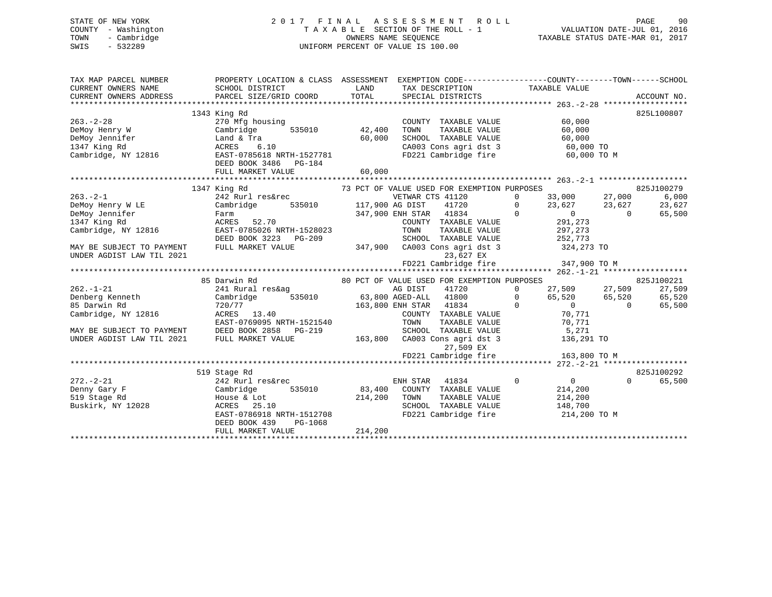# STATE OF NEW YORK 2 0 1 7 F I N A L A S S E S S M E N T R O L L PAGE 90 COUNTY - Washington T A X A B L E SECTION OF THE ROLL - 1 VALUATION DATE-JUL 01, 2016 TOWN - Cambridge OWNERS NAME SEQUENCE TAXABLE STATUS DATE-MAR 01, 2017 SWIS - 532289 UNIFORM PERCENT OF VALUE IS 100.00

| TAX MAP PARCEL NUMBER<br>CURRENT OWNERS NAME<br>CURRENT OWNERS ADDRESS                    | PROPERTY LOCATION & CLASS ASSESSMENT EXEMPTION CODE----------------COUNTY-------TOWN-----SCHOOL<br>SCHOOL DISTRICT<br>PARCEL SIZE/GRID COORD TOTAL | LAND    | TAX DESCRIPTION TAXABLE VALUE<br>SPECIAL DISTRICTS                                                                     |                                                               | ACCOUNT NO.              |
|-------------------------------------------------------------------------------------------|----------------------------------------------------------------------------------------------------------------------------------------------------|---------|------------------------------------------------------------------------------------------------------------------------|---------------------------------------------------------------|--------------------------|
| $263. - 2 - 28$<br>DeMoy Henry W<br>DeMoy Jennifer<br>1347 King Rd<br>Cambridge, NY 12816 | 1343 King Rd<br>270 Mfg housing<br>Cambridge<br>Land & Tra<br>ACRES 6.10<br>EAST-0785618 NRTH-1527781                                              | 60,000  | COUNTY TAXABLE VALUE<br>TOWN<br>TAXABLE VALUE<br>SCHOOL TAXABLE VALUE<br>CA003 Cons agri dst 3<br>FD221 Cambridge fire | 60,000<br>60,000<br>$60,000$ TO<br>$60,000$ TO<br>60,000 TO M | 825L100807               |
|                                                                                           | DEED BOOK 3486 PG-184<br>FULL MARKET VALUE                                                                                                         | 60,000  |                                                                                                                        |                                                               |                          |
|                                                                                           |                                                                                                                                                    |         |                                                                                                                        |                                                               |                          |
|                                                                                           | 1347 King Rd                                                                                                                                       |         | 73 PCT OF VALUE USED FOR EXEMPTION PURPOSES                                                                            |                                                               | 825J100279               |
| $263 - 2 - 1$                                                                             | 242 Rurl res&rec                                                                                                                                   |         | VETWAR CTS 41120                                                                                                       | $\Omega$<br>33,000                                            | 6,000                    |
| DeMoy Henry W LE                                                                          | 535010 117,900 AG DIST<br>Cambridge                                                                                                                |         | 41720                                                                                                                  | $33,000$ $27,000$<br>$23,627$ $23,627$<br>$\Omega$            | 23,627                   |
| DeMoy Jennifer                                                                            | Farm                                                                                                                                               |         | 347,900 ENH STAR 41834                                                                                                 | $\Omega$<br>$\overline{0}$                                    | 65,500<br>$\Omega$       |
| 1347 King Rd                                                                              | ACRES 52.70                                                                                                                                        |         | COUNTY TAXABLE VALUE                                                                                                   | 291,273                                                       |                          |
| Cambridge, NY 12816                                                                       | EAST-0785026 NRTH-1528023                                                                                                                          |         | TAXABLE VALUE<br>TOWN                                                                                                  | 297,273                                                       |                          |
|                                                                                           |                                                                                                                                                    |         |                                                                                                                        | 252,773                                                       |                          |
|                                                                                           | DEED BOOK 3223 PG-209                                                                                                                              |         | SCHOOL TAXABLE VALUE                                                                                                   |                                                               |                          |
| MAY BE SUBJECT TO PAYMENT<br>UNDER AGDIST LAW TIL 2021                                    | FULL MARKET VALUE                                                                                                                                  |         | 347,900 CA003 Cons agri dst 3<br>23,627 EX                                                                             | 324,273 TO                                                    |                          |
|                                                                                           |                                                                                                                                                    |         | FD221 Cambridge fire                                                                                                   | 347,900 TO M                                                  |                          |
|                                                                                           |                                                                                                                                                    |         |                                                                                                                        |                                                               |                          |
|                                                                                           | 85 Darwin Rd                                                                                                                                       |         | 80 PCT OF VALUE USED FOR EXEMPTION PURPOSES                                                                            |                                                               | 825J100221               |
| $262. - 1 - 21$                                                                           | 241 Rural res&ag                                                                                                                                   |         | AG DIST<br>41720                                                                                                       | $27,509$ $27,509$<br>$\Omega$                                 | 27,509                   |
| Denberg Kenneth                                                                           | Cambridge                                                                                                                                          |         | 535010 63,800 AGED-ALL 41800                                                                                           | 65,520 65,520<br>$\Omega$                                     | 65,520                   |
| 85 Darwin Rd                                                                              | 720/77                                                                                                                                             |         | 163,800 ENH STAR 41834                                                                                                 | $\mathbf 0$<br>$\begin{array}{c}\n0 \\ 0\n\end{array}$        | $\overline{0}$<br>65,500 |
|                                                                                           | ACRES 13.40                                                                                                                                        |         |                                                                                                                        | 70,771                                                        |                          |
| Cambridge, NY 12816                                                                       |                                                                                                                                                    |         | COUNTY TAXABLE VALUE                                                                                                   |                                                               |                          |
|                                                                                           | EAST-0769095 NRTH-1521540                                                                                                                          |         | TOWN<br>TAXABLE VALUE                                                                                                  | 70,771                                                        |                          |
| MAY BE SUBJECT TO PAYMENT                                                                 | DEED BOOK 2858 PG-219                                                                                                                              |         | SCHOOL TAXABLE VALUE                                                                                                   | 5,271<br>136,291                                              |                          |
| UNDER AGDIST LAW TIL 2021                                                                 | FULL MARKET VALUE                                                                                                                                  |         | 163,800 CA003 Cons agri dst 3<br>27,509 EX                                                                             | 136,291 TO                                                    |                          |
|                                                                                           |                                                                                                                                                    |         | FD221 Cambridge fire 163,800 TO M                                                                                      |                                                               |                          |
|                                                                                           |                                                                                                                                                    |         |                                                                                                                        |                                                               |                          |
|                                                                                           | 519 Stage Rd                                                                                                                                       |         |                                                                                                                        |                                                               | 825J100292               |
| $272. - 2 - 21$                                                                           | 242 Rurl res&rec                                                                                                                                   |         | ENH STAR<br>41834                                                                                                      | $\mathbf 0$<br>$\overline{0}$                                 | $\Omega$<br>65,500       |
| Denny Gary F                                                                              | 535010<br>Cambridge                                                                                                                                |         | 83,400 COUNTY TAXABLE VALUE                                                                                            | 214,200                                                       |                          |
|                                                                                           |                                                                                                                                                    |         |                                                                                                                        |                                                               |                          |
| 519 Stage Rd                                                                              | House & Lot                                                                                                                                        | 214,200 | TOWN<br>TAXABLE VALUE                                                                                                  | 214,200                                                       |                          |
| Buskirk, NY 12028                                                                         | ACRES 25.10                                                                                                                                        |         | SCHOOL TAXABLE VALUE                                                                                                   | 148,700                                                       |                          |
|                                                                                           | ACRES 25.10<br>EAST-0786918 NRTH-1512708<br>DEED BOOK 439<br>PG-1068                                                                               |         | FD221 Cambridge fire                                                                                                   | 214,200 TO M                                                  |                          |
|                                                                                           | FULL MARKET VALUE                                                                                                                                  | 214,200 |                                                                                                                        |                                                               |                          |
|                                                                                           |                                                                                                                                                    |         |                                                                                                                        |                                                               |                          |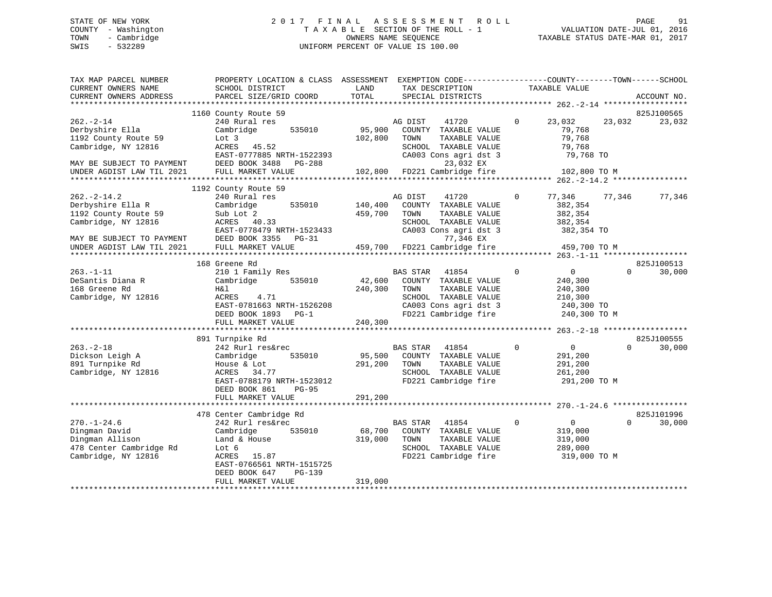# STATE OF NEW YORK 2 0 1 7 F I N A L A S S E S S M E N T R O L L PAGE 91 COUNTY - Washington T A X A B L E SECTION OF THE ROLL - 1 VALUATION DATE-JUL 01, 2016 TOWN - Cambridge OWNERS NAME SEQUENCE TAXABLE STATUS DATE-MAR 01, 2017 SWIS - 532289 UNIFORM PERCENT OF VALUE IS 100.00

| TAX MAP PARCEL NUMBER<br>CURRENT OWNERS NAME<br>CURRENT OWNERS ADDRESS                                            | PROPERTY LOCATION & CLASS ASSESSMENT<br>SCHOOL DISTRICT<br>PARCEL SIZE/GRID COORD                                                                                  | LAND<br>TOTAL                | EXEMPTION CODE-----------------COUNTY-------TOWN------SCHOOL<br>TAX DESCRIPTION<br>SPECIAL DISTRICTS                                               | TAXABLE VALUE                                                                             | ACCOUNT NO.                                                |
|-------------------------------------------------------------------------------------------------------------------|--------------------------------------------------------------------------------------------------------------------------------------------------------------------|------------------------------|----------------------------------------------------------------------------------------------------------------------------------------------------|-------------------------------------------------------------------------------------------|------------------------------------------------------------|
|                                                                                                                   |                                                                                                                                                                    |                              |                                                                                                                                                    |                                                                                           |                                                            |
|                                                                                                                   | 1160 County Route 59                                                                                                                                               |                              |                                                                                                                                                    |                                                                                           | 825J100565                                                 |
| $262 - 2 - 14$<br>Derbyshire Ella<br>1192 County Route 59<br>Cambridge, NY 12816<br>MAY BE SUBJECT TO PAYMENT     | 240 Rural res<br>535010<br>Cambridge<br>Lot 3<br>ACRES<br>45.52<br>EAST-0777885 NRTH-1522393<br>DEED BOOK 3488<br>PG-288                                           | 95,900<br>102,800            | AG DIST<br>41720<br>COUNTY TAXABLE VALUE<br>TAXABLE VALUE<br>TOWN<br>SCHOOL TAXABLE VALUE<br>CA003 Cons agri dst 3<br>23,032 EX                    | 23,032<br>$\Omega$<br>79,768<br>79,768<br>79,768<br>79,768 TO                             | 23,032<br>23,032                                           |
| UNDER AGDIST LAW TIL 2021                                                                                         | FULL MARKET VALUE                                                                                                                                                  | 102,800                      | FD221 Cambridge fire                                                                                                                               | 102,800 TO M                                                                              |                                                            |
|                                                                                                                   |                                                                                                                                                                    |                              |                                                                                                                                                    |                                                                                           |                                                            |
| $262 - 2 - 14.2$<br>Derbyshire Ella R<br>1192 County Route 59<br>Cambridge, NY 12816<br>MAY BE SUBJECT TO PAYMENT | 1192 County Route 59<br>240 Rural res<br>535010<br>Cambridge<br>Sub Lot 2<br>ACRES 40.33<br>EAST-0778479 NRTH-1523433<br>DEED BOOK 3355 PG-31                      | 140,400<br>459,700           | AG DIST<br>41720<br>COUNTY TAXABLE VALUE<br>TAXABLE VALUE<br>TOWN<br>SCHOOL TAXABLE VALUE<br>CA003 Cons agri dst 3<br>77,346 EX                    | 77,346<br>0<br>382,354<br>382,354<br>382,354<br>382,354 TO                                | 77,346<br>77,346                                           |
| UNDER AGDIST LAW TIL 2021                                                                                         | FULL MARKET VALUE                                                                                                                                                  | 459,700                      | FD221 Cambridge fire                                                                                                                               | 459,700 TO M                                                                              |                                                            |
|                                                                                                                   | ***************************<br>168 Greene Rd                                                                                                                       |                              |                                                                                                                                                    |                                                                                           | ************** 263.-1-11 *******************<br>825J100513 |
| $263. -1 - 11$<br>DeSantis Diana R<br>168 Greene Rd<br>Cambridge, NY 12816                                        | 210 1 Family Res<br>Cambridge<br>535010<br>H&l<br>ACRES<br>4.71<br>EAST-0781663 NRTH-1526208<br>DEED BOOK 1893 PG-1<br>FULL MARKET VALUE                           | 42,600<br>240,300<br>240,300 | <b>BAS STAR</b><br>41854<br>COUNTY TAXABLE VALUE<br>TOWN<br>TAXABLE VALUE<br>SCHOOL TAXABLE VALUE<br>CA003 Cons agri dst 3<br>FD221 Cambridge fire | $\overline{0}$<br>$\Omega$<br>240,300<br>240,300<br>210,300<br>240,300 TO<br>240,300 TO M | 30,000<br>$\Omega$                                         |
|                                                                                                                   | 891 Turnpike Rd                                                                                                                                                    |                              |                                                                                                                                                    |                                                                                           | 825J100555                                                 |
| $263. - 2 - 18$<br>Dickson Leigh A<br>891 Turnpike Rd<br>Cambridge, NY 12816                                      | 242 Rurl res&rec<br>535010<br>Cambridge<br>House & Lot<br>ACRES<br>34.77<br>EAST-0788179 NRTH-1523012<br>DEED BOOK 861<br>$PG-95$                                  | 95,500<br>291,200            | BAS STAR<br>41854<br>COUNTY TAXABLE VALUE<br>TOWN<br>TAXABLE VALUE<br>SCHOOL TAXABLE VALUE<br>FD221 Cambridge fire                                 | $\overline{0}$<br>$\Omega$<br>291,200<br>291,200<br>261,200<br>291,200 TO M               | 30,000<br>$\Omega$                                         |
|                                                                                                                   | FULL MARKET VALUE                                                                                                                                                  | 291,200                      |                                                                                                                                                    |                                                                                           |                                                            |
| $270. - 1 - 24.6$<br>Dingman David<br>Dingman Allison<br>478 Center Cambridge Rd<br>Cambridge, NY 12816           | 478 Center Cambridge Rd<br>242 Rurl res&rec<br>Cambridge<br>535010<br>Land & House<br>Lot 6<br>ACRES 15.87<br>EAST-0766561 NRTH-1515725<br>DEED BOOK 647<br>PG-139 | 68,700<br>319,000            | BAS STAR<br>41854<br>COUNTY TAXABLE VALUE<br>TAXABLE VALUE<br>TOWN<br>SCHOOL TAXABLE VALUE<br>FD221 Cambridge fire                                 | $\Omega$<br>$\overline{0}$<br>319,000<br>319,000<br>289,000<br>319,000 TO M               | 825J101996<br>$\Omega$<br>30,000                           |
|                                                                                                                   | FULL MARKET VALUE<br>***********************                                                                                                                       | 319,000                      |                                                                                                                                                    |                                                                                           |                                                            |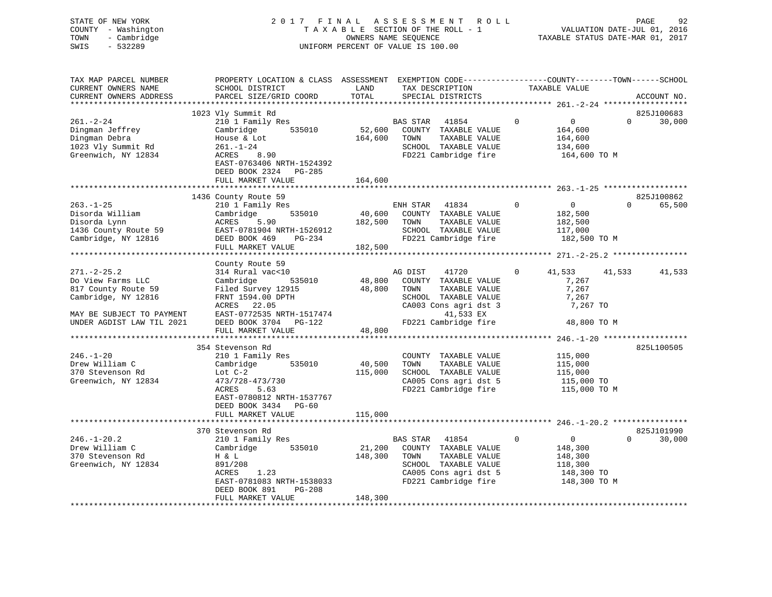STATE OF NEW YORK 2 0 1 7 F I N A L A S S E S S M E N T R O L L PAGE 92 COUNTY - Washington T A X A B L E SECTION OF THE ROLL - 1 VALUATION DATE-JUL 01, 2016 TOWN - Cambridge OWNERS NAME SEQUENCE TAXABLE STATUS DATE-MAR 01, 2017 SWIS - 532289 UNIFORM PERCENT OF VALUE IS 100.00

| TAX MAP PARCEL NUMBER<br>CURRENT OWNERS NAME<br>CURRENT OWNERS ADDRESS | PROPERTY LOCATION & CLASS ASSESSMENT EXEMPTION CODE----------------COUNTY-------TOWN------SCHOOL<br>SCHOOL DISTRICT<br>PARCEL SIZE/GRID COORD | LAND<br>TOTAL     | TAX DESCRIPTION<br>SPECIAL DISTRICTS                               |                | TAXABLE VALUE                        |          | ACCOUNT NO. |
|------------------------------------------------------------------------|-----------------------------------------------------------------------------------------------------------------------------------------------|-------------------|--------------------------------------------------------------------|----------------|--------------------------------------|----------|-------------|
|                                                                        |                                                                                                                                               |                   |                                                                    |                |                                      |          |             |
|                                                                        | 1023 Vly Summit Rd                                                                                                                            |                   |                                                                    |                |                                      |          | 825J100683  |
| $261. - 2 - 24$<br>Dingman Jeffrey<br>Dingman Debra                    | 210 1 Family Res<br>Cambridge<br>535010<br>House & Lot                                                                                        | 52,600<br>164,600 | BAS STAR<br>41854<br>COUNTY TAXABLE VALUE<br>TOWN<br>TAXABLE VALUE | $\Omega$       | $\overline{0}$<br>164,600<br>164,600 | $\Omega$ | 30,000      |
| 1023 Vly Summit Rd<br>Greenwich, NY 12834                              | $261. - 1 - 24$<br>ACRES<br>8.90<br>EAST-0763406 NRTH-1524392                                                                                 |                   | SCHOOL TAXABLE VALUE<br>FD221 Cambridge fire                       |                | 134,600<br>164,600 TO M              |          |             |
|                                                                        | DEED BOOK 2324 PG-285<br>FULL MARKET VALUE                                                                                                    | 164,600           |                                                                    |                |                                      |          |             |
|                                                                        | 1436 County Route 59                                                                                                                          |                   |                                                                    |                |                                      |          | 825J100862  |
| $263. - 1 - 25$<br>Disorda William                                     | 210 1 Family Res<br>535010<br>Cambridge                                                                                                       |                   | ENH STAR<br>41834<br>40,600 COUNTY TAXABLE VALUE                   | $\overline{0}$ | $\overline{0}$<br>182,500            | $\Omega$ | 65,500      |
| Disorda Lynn<br>1436 County Route 59                                   | ACRES<br>5.90<br>EAST-0781904 NRTH-1526912                                                                                                    | 182,500           | TOWN<br>TAXABLE VALUE<br>SCHOOL TAXABLE VALUE                      |                | 182,500<br>117,000                   |          |             |
| Cambridge, NY 12816                                                    | DEED BOOK 469<br>PG-234<br>FULL MARKET VALUE                                                                                                  | 182,500           | FD221 Cambridge fire                                               |                | 182,500 TO M                         |          |             |
|                                                                        |                                                                                                                                               |                   |                                                                    |                |                                      |          |             |
|                                                                        | County Route 59                                                                                                                               |                   |                                                                    |                |                                      |          |             |
| $271. - 2 - 25.2$<br>Do View Farms LLC                                 | 314 Rural vac<10<br>535010<br>Cambridge                                                                                                       | 48,800            | AG DIST<br>41720<br>COUNTY TAXABLE VALUE                           | $\mathbf{0}$   | 41,533<br>7,267                      | 41,533   | 41,533      |
| 817 County Route 59<br>Cambridge, NY 12816                             | Filed Survey 12915<br>FRNT 1594.00 DPTH                                                                                                       | 48,800            | TOWN<br>TAXABLE VALUE<br>SCHOOL TAXABLE VALUE                      |                | 7,267<br>7,267                       |          |             |
|                                                                        | ACRES 22.05                                                                                                                                   |                   | CA003 Cons agri dst 3                                              |                | 7,267 TO                             |          |             |
| MAY BE SUBJECT TO PAYMENT<br>UNDER AGDIST LAW TIL 2021                 | EAST-0772535 NRTH-1517474<br>DEED BOOK 3704 PG-122                                                                                            |                   | 41,533 EX<br>FD221 Cambridge fire                                  |                | 48,800 TO M                          |          |             |
|                                                                        | FULL MARKET VALUE                                                                                                                             | 48,800            |                                                                    |                |                                      |          |             |
|                                                                        |                                                                                                                                               |                   |                                                                    |                |                                      |          |             |
|                                                                        | 354 Stevenson Rd                                                                                                                              |                   |                                                                    |                |                                      |          | 825L100505  |
| $246. - 1 - 20$<br>Drew William C                                      | 210 1 Family Res<br>535010                                                                                                                    |                   | COUNTY TAXABLE VALUE<br>TOWN                                       |                | 115,000                              |          |             |
| 370 Stevenson Rd                                                       | Cambridge                                                                                                                                     | 40,500<br>115,000 | TAXABLE VALUE<br>SCHOOL TAXABLE VALUE                              |                | 115,000<br>115,000                   |          |             |
|                                                                        | Lot $C-2$                                                                                                                                     |                   |                                                                    |                |                                      |          |             |
| Greenwich, NY 12834                                                    | 473/728-473/730<br>ACRES                                                                                                                      |                   | CA005 Cons agri dst 5                                              |                | 115,000 TO                           |          |             |
|                                                                        | 5.63<br>EAST-0780812 NRTH-1537767<br>DEED BOOK 3434 PG-60                                                                                     |                   | FD221 Cambridge fire                                               |                | 115,000 TO M                         |          |             |
|                                                                        | FULL MARKET VALUE                                                                                                                             | 115,000           |                                                                    |                |                                      |          |             |
|                                                                        |                                                                                                                                               |                   |                                                                    |                |                                      |          |             |
|                                                                        | 370 Stevenson Rd                                                                                                                              |                   |                                                                    |                |                                      |          | 825J101990  |
| $246. - 1 - 20.2$                                                      | 210 1 Family Res                                                                                                                              |                   | BAS STAR 41854                                                     | $\mathbf 0$    | $\overline{0}$                       | $\Omega$ | 30,000      |
| Drew William C                                                         | Cambridge<br>535010                                                                                                                           | 21,200            | COUNTY TAXABLE VALUE                                               |                | 148,300                              |          |             |
| 370 Stevenson Rd                                                       | H & L                                                                                                                                         | 148,300           | TAXABLE VALUE<br>TOWN                                              |                | 148,300                              |          |             |
| Greenwich, NY 12834                                                    | 891/208                                                                                                                                       |                   | SCHOOL TAXABLE VALUE                                               |                | 118,300                              |          |             |
|                                                                        | 1.23<br>ACRES                                                                                                                                 |                   | CA005 Cons agri dst 5                                              |                | 148,300 TO                           |          |             |
|                                                                        | EAST-0781083 NRTH-1538033<br>DEED BOOK 891<br>PG-208                                                                                          |                   | FD221 Cambridge fire                                               |                | 148,300 TO M                         |          |             |
|                                                                        | FULL MARKET VALUE                                                                                                                             | 148,300           |                                                                    |                |                                      |          |             |
|                                                                        |                                                                                                                                               |                   |                                                                    |                |                                      |          |             |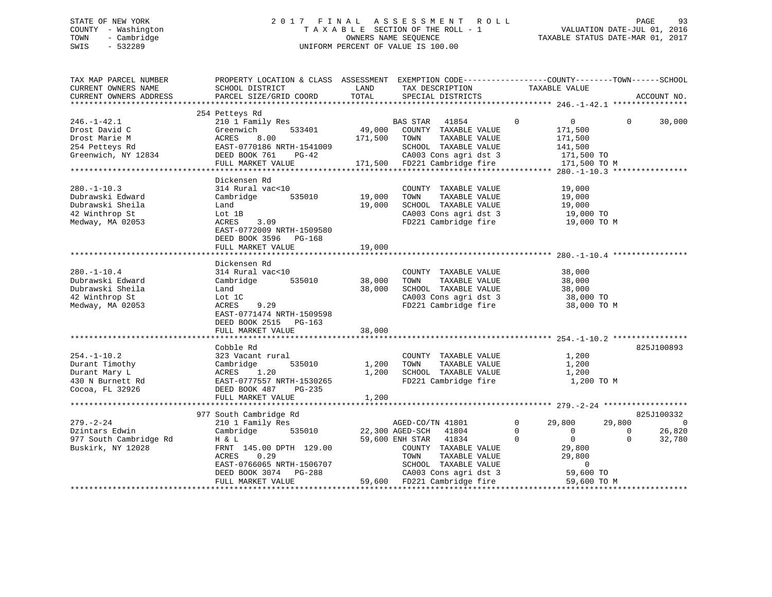# STATE OF NEW YORK 2 0 1 7 F I N A L A S S E S S M E N T R O L L PAGE 93 COUNTY - Washington T A X A B L E SECTION OF THE ROLL - 1 VALUATION DATE-JUL 01, 2016 TOWN - Cambridge OWNERS NAME SEQUENCE TAXABLE STATUS DATE-MAR 01, 2017 SWIS - 532289 UNIFORM PERCENT OF VALUE IS 100.00

| TAX MAP PARCEL NUMBER<br>CURRENT OWNERS NAME<br>CURRENT OWNERS ADDRESS                          | PROPERTY LOCATION & CLASS ASSESSMENT EXEMPTION CODE---------------COUNTY-------TOWN------SCHOOL<br>SCHOOL DISTRICT<br>PARCEL SIZE/GRID COORD                            | LAND<br>TOTAL              | TAX DESCRIPTION<br>SPECIAL DISTRICTS                                                                                                                                                                | TAXABLE VALUE                                                                                                                                       | ACCOUNT NO.                                                          |
|-------------------------------------------------------------------------------------------------|-------------------------------------------------------------------------------------------------------------------------------------------------------------------------|----------------------------|-----------------------------------------------------------------------------------------------------------------------------------------------------------------------------------------------------|-----------------------------------------------------------------------------------------------------------------------------------------------------|----------------------------------------------------------------------|
|                                                                                                 |                                                                                                                                                                         |                            |                                                                                                                                                                                                     |                                                                                                                                                     |                                                                      |
| $246. - 1 - 42.1$<br>Drost David C<br>Drost Marie M<br>254 Petteys Rd<br>Greenwich, NY 12834    | 254 Petteys Rd<br>210 1 Family Res<br>533401<br>Greenwich<br>ACRES<br>8.00<br>EAST-0770186 NRTH-1541009<br>DEED BOOK 761<br>$PG-42$<br>FULL MARKET VALUE                | 171,500 TOWN               | BAS STAR 41854<br>49,000 COUNTY TAXABLE VALUE<br>TAXABLE VALUE<br>SCHOOL TAXABLE VALUE<br>CA003 Cons agri dst 3<br>171,500 FD221 Cambridge fire                                                     | $\mathbf 0$<br>$\overline{0}$<br>171,500<br>171,500<br>141,500<br>171,500 TO<br>171,500 TO M                                                        | $\Omega$<br>30,000                                                   |
|                                                                                                 |                                                                                                                                                                         |                            |                                                                                                                                                                                                     |                                                                                                                                                     |                                                                      |
| $280. - 1 - 10.3$<br>Dubrawski Edward<br>Dubrawski Sheila<br>42 Winthrop St<br>Medway, MA 02053 | Dickensen Rd<br>314 Rural vac<10<br>535010<br>Cambridge<br>Land<br>Lot 1B<br>3.09<br>ACRES<br>EAST-0772009 NRTH-1509580<br>DEED BOOK 3596 PG-168<br>FULL MARKET VALUE   | 19,000<br>19,000<br>19,000 | COUNTY TAXABLE VALUE<br>TOWN<br>TAXABLE VALUE<br>SCHOOL TAXABLE VALUE<br>CA003 Cons agri dst 3<br>FD221 Cambridge fire                                                                              | 19,000<br>19,000<br>19,000<br>19,000 TO<br>19,000 TO M                                                                                              |                                                                      |
|                                                                                                 |                                                                                                                                                                         |                            |                                                                                                                                                                                                     |                                                                                                                                                     |                                                                      |
| $280. - 1 - 10.4$<br>Dubrawski Edward<br>Dubrawski Sheila<br>42 Winthrop St<br>Medway, MA 02053 | Dickensen Rd<br>314 Rural vac<10<br>535010<br>Cambridge<br>Land<br>Lot 1C<br>ACRES<br>9.29<br>EAST-0771474 NRTH-1509598<br>DEED BOOK 2515 PG-163                        | 38,000<br>38,000           | COUNTY TAXABLE VALUE<br>TOWN<br>TAXABLE VALUE<br>SCHOOL TAXABLE VALUE<br>CA003 Cons agri dst 3<br>FD221 Cambridge fire                                                                              | 38,000<br>38,000<br>38,000<br>38,000 TO<br>38,000 TO M                                                                                              |                                                                      |
|                                                                                                 | FULL MARKET VALUE                                                                                                                                                       | 38,000                     |                                                                                                                                                                                                     |                                                                                                                                                     |                                                                      |
| $254. - 1 - 10.2$<br>Durant Timothy<br>Durant Mary L<br>430 N Burnett Rd<br>Cocoa, FL 32926     | Cobble Rd<br>323 Vacant rural<br>535010<br>Cambridge<br>ACRES 1.20<br>EAST-0777557 NRTH-1530265<br>DEED BOOK 487 PG-235                                                 | 1,200<br>1,200             | COUNTY TAXABLE VALUE<br>TAXABLE VALUE<br>TOWN<br>SCHOOL TAXABLE VALUE<br>FD221 Cambridge fire                                                                                                       | 1,200<br>1,200<br>1,200<br>1,200 TO M                                                                                                               | 825J100893                                                           |
|                                                                                                 | FULL MARKET VALUE                                                                                                                                                       | 1,200                      |                                                                                                                                                                                                     |                                                                                                                                                     |                                                                      |
|                                                                                                 | 977 South Cambridge Rd                                                                                                                                                  |                            |                                                                                                                                                                                                     |                                                                                                                                                     | 825J100332                                                           |
| $279. - 2 - 24$<br>Dzintars Edwin<br>977 South Cambridge Rd<br>Buskirk, NY 12028                | 210 1 Family Res<br>535010<br>Cambridge<br>H & L<br>FRNT 145.00 DPTH 129.00<br>ACRES<br>0.29<br>EAST-0766065 NRTH-1506707<br>DEED BOOK 3074 PG-288<br>FULL MARKET VALUE |                            | AGED-CO/TN 41801<br>22,300 AGED-SCH 41804<br>59,600 ENH STAR 41834<br>COUNTY TAXABLE VALUE<br>TOWN<br>TAXABLE VALUE<br>SCHOOL TAXABLE VALUE<br>CA003 Cons agri dst 3<br>59,600 FD221 Cambridge fire | $\mathbf 0$<br>29,800<br>$\Omega$<br>$\overline{0}$<br>$\Omega$<br>$\overline{0}$<br>29,800<br>29,800<br>$\overline{0}$<br>59,600 TO<br>59,600 TO M | 29,800<br>$\overline{0}$<br>26,820<br>$\Omega$<br>$\Omega$<br>32,780 |
|                                                                                                 |                                                                                                                                                                         |                            |                                                                                                                                                                                                     |                                                                                                                                                     |                                                                      |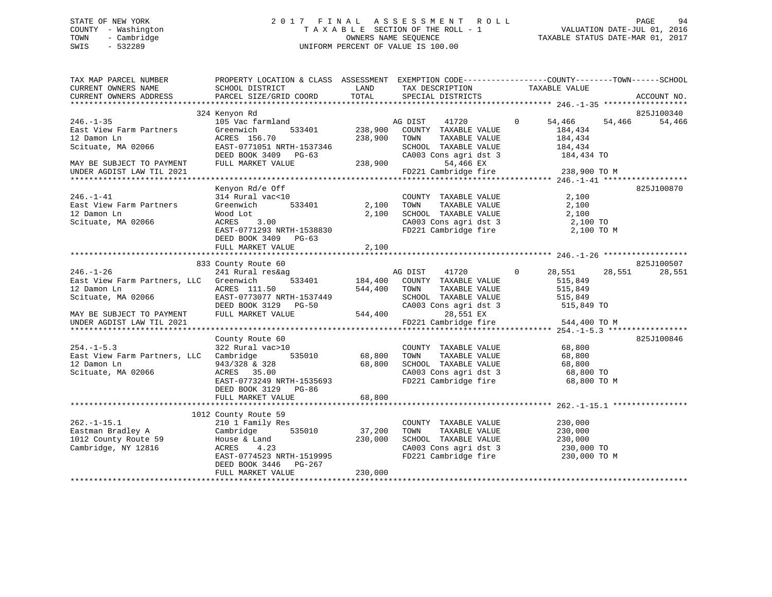# STATE OF NEW YORK 2 0 1 7 F I N A L A S S E S S M E N T R O L L PAGE 94 COUNTY - Washington T A X A B L E SECTION OF THE ROLL - 1 VALUATION DATE-JUL 01, 2016 TOWN - Cambridge OWNERS NAME SEQUENCE TAXABLE STATUS DATE-MAR 01, 2017 SWIS - 532289 UNIFORM PERCENT OF VALUE IS 100.00

| TAX MAP PARCEL NUMBER<br>CURRENT OWNERS NAME<br>CURRENT OWNERS ADDRESS              | SCHOOL DISTRICT<br><b>EXAMPLE STATE STATE</b><br>PARCEL SIZE/GRID COORD     | TOTAL        | IAA DESCRIPTION TAXABLE VALUE TAXABLE VALUE           | PROPERTY LOCATION & CLASS ASSESSMENT EXEMPTION CODE----------------COUNTY-------TOWN------SCHOOL                | ACCOUNT NO. |
|-------------------------------------------------------------------------------------|-----------------------------------------------------------------------------|--------------|-------------------------------------------------------|-----------------------------------------------------------------------------------------------------------------|-------------|
|                                                                                     |                                                                             |              |                                                       |                                                                                                                 |             |
|                                                                                     | 324 Kenyon Rd                                                               |              |                                                       |                                                                                                                 | 825J100340  |
| $246. -1 - 35$                                                                      | 105 Vac farmland                                                            |              |                                                       | AG DIST 41720 0 54,466 54,466                                                                                   | 54,466      |
| East View Farm Partners                                                             | Greenwich                                                                   |              | 533401 238,900 COUNTY TAXABLE VALUE                   | 184,434                                                                                                         |             |
| 12 Damon Ln                                                                         | ACRES 156.70                                                                |              | 238,900 TOWN<br>TAXABLE VALUE                         | 184,434                                                                                                         |             |
| Scituate, MA 02066                                                                  | EAST-0771051 NRTH-1537346                                                   |              | SCHOOL TAXABLE VALUE 184,434                          |                                                                                                                 |             |
|                                                                                     | DEED BOOK 3409 PG-63                                                        |              |                                                       | CA003 Cons agri dst 3 184,434 TO                                                                                |             |
| MAY BE SUBJECT TO PAYMENT                                                           | FULL MARKET VALUE                                                           | 238,900      | 54,466 EX                                             |                                                                                                                 |             |
| UNDER AGDIST LAW TIL 2021                                                           |                                                                             |              | FD221 Cambridge fire                                  | 238,900 TO M                                                                                                    |             |
|                                                                                     |                                                                             |              |                                                       |                                                                                                                 |             |
|                                                                                     | Kenyon Rd/e Off                                                             |              |                                                       |                                                                                                                 | 825J100870  |
| $246. - 1 - 41$                                                                     | 314 Rural vac<10                                                            |              | COUNTY TAXABLE VALUE 2,100                            |                                                                                                                 |             |
| East View Farm Partners                                                             | Greenwich 533401                                                            | 2,100        |                                                       | 2,100                                                                                                           |             |
| 12 Damon Ln                                                                         | Wood Lot                                                                    | 2,100        | TOWN       TAXABLE  VALUE<br>SCHOOL    TAXABLE  VALUE | 2,100                                                                                                           |             |
| Scituate, MA 02066                                                                  | ACRES 3.00                                                                  |              | CA003 Cons agri dst 3<br>FD221 Cambridge fire         | 2,100 TO                                                                                                        |             |
|                                                                                     | EAST-0771293 NRTH-1538830                                                   |              |                                                       | 2,100 TO M                                                                                                      |             |
|                                                                                     | DEED BOOK 3409 PG-63                                                        |              |                                                       |                                                                                                                 |             |
|                                                                                     | FULL MARKET VALUE                                                           | 2,100        |                                                       |                                                                                                                 |             |
|                                                                                     |                                                                             |              |                                                       |                                                                                                                 |             |
|                                                                                     | 833 County Route 60                                                         |              |                                                       |                                                                                                                 | 825J100507  |
| $246. - 1 - 26$                                                                     | 241 Rural res&ag<br>241 Rural res&ag<br>333401 184,400 COUNTY TAXABLE VALUE |              | 41720 0                                               | 28,551 28,551                                                                                                   | 28,551      |
| East View Farm Partners, LLC Greenwich                                              |                                                                             |              |                                                       | 515,849                                                                                                         |             |
| 12 Damon Ln                                                                         | ACRES 111.50                                                                | 544,400 TOWN | TAXABLE VALUE                                         |                                                                                                                 |             |
| Scituate, MA 02066                                                                  | EAST-0773077 NRTH-1537449                                                   |              | SCHOOL TAXABLE VALUE                                  | 515,849                                                                                                         |             |
|                                                                                     |                                                                             |              |                                                       | 515,849                                                                                                         |             |
|                                                                                     | DEED BOOK 3129 PG-50                                                        |              |                                                       |                                                                                                                 |             |
| MAY BE SUBJECT TO PAYMENT                                                           | FULL MARKET VALUE                                                           | 544,400      | 28,551 EX<br>ED221 Cambridge fire                     |                                                                                                                 |             |
| UNDER AGDIST LAW TIL 2021                                                           |                                                                             |              |                                                       | 544,400 TO M                                                                                                    |             |
|                                                                                     |                                                                             |              |                                                       |                                                                                                                 |             |
|                                                                                     | County Route 60                                                             |              |                                                       |                                                                                                                 | 825J100846  |
| 254.-1-5.3 322 Rural vac>10<br>East View Farm Partners, LLC Cambridge 535010 68,800 |                                                                             |              | COUNTY TAXABLE VALUE<br>TOWN      TAXABLE VALUE       | 68,800                                                                                                          |             |
|                                                                                     |                                                                             |              |                                                       | 68,800                                                                                                          |             |
| 12 Damon Ln                                                                         | 943/328 & 328                                                               | 68,800       |                                                       |                                                                                                                 |             |
| Scituate, MA 02066                                                                  | ACRES 35.00                                                                 |              |                                                       |                                                                                                                 |             |
|                                                                                     | EAST-0773249 NRTH-1535693                                                   |              |                                                       | SCHOOL TAXABLE VALUE 68,800<br>CA003 Cons agri dst 3 68,800 TO<br>FD221 Cambridge fire 68,800 TO<br>68,800 TO M |             |
|                                                                                     | DEED BOOK 3129 PG-86                                                        |              |                                                       |                                                                                                                 |             |
|                                                                                     | FULL MARKET VALUE                                                           | 68,800       |                                                       |                                                                                                                 |             |
|                                                                                     |                                                                             |              |                                                       |                                                                                                                 |             |
|                                                                                     | 1012 County Route 59                                                        |              |                                                       |                                                                                                                 |             |
| $262. -1 - 15.1$                                                                    | 210 1 Family Res                                                            |              | COUNTY TAXABLE VALUE                                  | 230,000                                                                                                         |             |
| Eastman Bradley A                                                                   | $535010$ 37,200<br>Cambridge                                                |              | TOWN<br>TAXABLE VALUE                                 | 230,000                                                                                                         |             |
| 1012 County Route 59                                                                | House & Land                                                                | 230,000      |                                                       |                                                                                                                 |             |
| Cambridge, NY 12816                                                                 | ACRES<br>4.23                                                               |              |                                                       | SCHOOL TAXABLE VALUE 230,000<br>CA003 Cons agri dst 3 230,000 TO                                                |             |
|                                                                                     | EAST-0774523 NRTH-1519995                                                   |              |                                                       | FD221 Cambridge fire 230,000 TO M                                                                               |             |
|                                                                                     | DEED BOOK 3446 PG-267                                                       |              |                                                       |                                                                                                                 |             |
|                                                                                     | FULL MARKET VALUE                                                           | 230,000      |                                                       |                                                                                                                 |             |
|                                                                                     |                                                                             |              |                                                       |                                                                                                                 |             |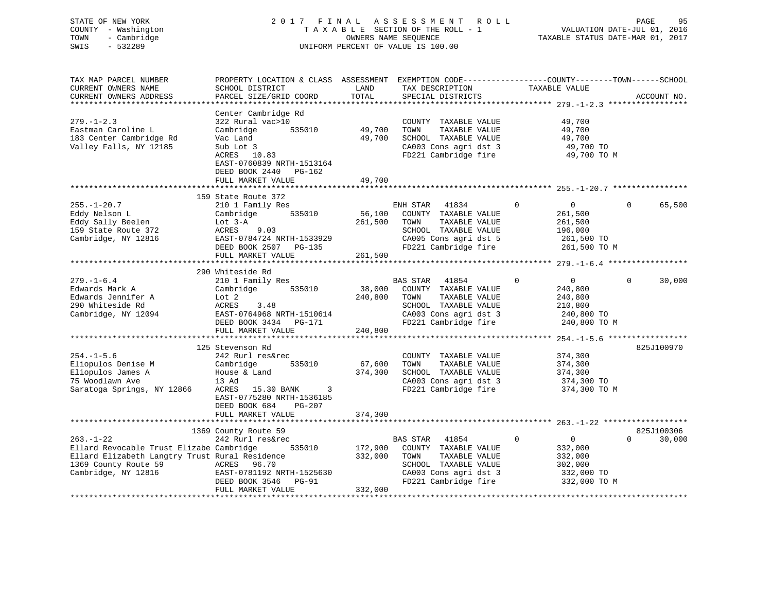# STATE OF NEW YORK 2 0 1 7 F I N A L A S S E S S M E N T R O L L PAGE 95 COUNTY - Washington T A X A B L E SECTION OF THE ROLL - 1 VALUATION DATE-JUL 01, 2016 TOWN - Cambridge OWNERS NAME SEQUENCE TAXABLE STATUS DATE-MAR 01, 2017 SWIS - 532289 UNIFORM PERCENT OF VALUE IS 100.00

| TAX MAP PARCEL NUMBER                          | PROPERTY LOCATION & CLASS ASSESSMENT EXEMPTION CODE----------------COUNTY-------TOWN-----SCHOOL |         |                |                                               |                |                |          |             |
|------------------------------------------------|-------------------------------------------------------------------------------------------------|---------|----------------|-----------------------------------------------|----------------|----------------|----------|-------------|
| CURRENT OWNERS NAME                            | SCHOOL DISTRICT                                                                                 | LAND    |                | TAX DESCRIPTION                               |                | TAXABLE VALUE  |          |             |
| CURRENT OWNERS ADDRESS                         | PARCEL SIZE/GRID COORD                                                                          | TOTAL   |                | SPECIAL DISTRICTS                             |                |                |          | ACCOUNT NO. |
|                                                |                                                                                                 |         |                |                                               |                |                |          |             |
|                                                | Center Cambridge Rd                                                                             |         |                |                                               |                |                |          |             |
| $279. - 1 - 2.3$                               | 322 Rural vac>10                                                                                |         |                | COUNTY TAXABLE VALUE                          |                | 49,700         |          |             |
| Eastman Caroline L                             | Cambridge<br>535010                                                                             | 49,700  | TOWN           | TAXABLE VALUE                                 |                | 49,700         |          |             |
| 183 Center Cambridge Rd                        | Vac Land                                                                                        | 49,700  |                | SCHOOL TAXABLE VALUE                          |                | 49,700         |          |             |
| Valley Falls, NY 12185                         | Sub Lot 3                                                                                       |         |                | CA003 Cons agri dst 3                         |                | 49,700 TO      |          |             |
|                                                | ACRES 10.83                                                                                     |         |                | FD221 Cambridge fire                          |                | 49,700 TO M    |          |             |
|                                                | EAST-0760839 NRTH-1513164                                                                       |         |                |                                               |                |                |          |             |
|                                                | DEED BOOK 2440 PG-162                                                                           |         |                |                                               |                |                |          |             |
|                                                | FULL MARKET VALUE                                                                               | 49,700  |                |                                               |                |                |          |             |
|                                                |                                                                                                 |         |                |                                               |                |                |          |             |
|                                                | 159 State Route 372                                                                             |         |                |                                               |                |                |          |             |
| $255. - 1 - 20.7$                              | 210 1 Family Res                                                                                |         | ENH STAR 41834 |                                               | $\overline{0}$ | $\overline{0}$ | $\Omega$ | 65,500      |
| Eddy Nelson L                                  | 535010<br>Cambridge                                                                             |         |                | 56,100 COUNTY TAXABLE VALUE                   |                | 261,500        |          |             |
| Eddy Sally Beelen                              | Lot 3-A                                                                                         | 261,500 | TOWN           | TAXABLE VALUE                                 |                | 261,500        |          |             |
| 159 State Route 372                            | 9.03<br>ACRES                                                                                   |         |                | SCHOOL TAXABLE VALUE                          |                | 196,000        |          |             |
| Cambridge, NY 12816                            | EAST-0784724 NRTH-1533929                                                                       |         |                | CA005 Cons agri dst 5                         |                | 261,500 TO     |          |             |
|                                                | DEED BOOK 2507 PG-135                                                                           |         |                | FD221 Cambridge fire 261,500 TO M             |                |                |          |             |
|                                                | FULL MARKET VALUE                                                                               | 261,500 |                |                                               |                |                |          |             |
|                                                |                                                                                                 |         |                |                                               |                |                |          |             |
|                                                | 290 Whiteside Rd                                                                                |         |                |                                               |                |                |          |             |
| $279. - 1 - 6.4$                               | 210 1 Family Res                                                                                |         | BAS STAR 41854 |                                               | $\Omega$       | $\overline{0}$ | $\Omega$ | 30,000      |
| Edwards Mark A                                 | Cambridge<br>535010                                                                             | 38,000  |                | COUNTY TAXABLE VALUE                          |                | 240,800        |          |             |
| Edwards Jennifer A                             | Lot 2                                                                                           | 240,800 | TOWN           | TAXABLE VALUE                                 |                | 240,800        |          |             |
| 290 Whiteside Rd                               | ACRES<br>3.48                                                                                   |         |                | SCHOOL TAXABLE VALUE                          |                | 210,800        |          |             |
| Cambridge, NY 12094                            | EAST-0764968 NRTH-1510614                                                                       |         |                | CA003 Cons agri dst 3<br>FD221 Cambridge fire |                | 240,800 TO     |          |             |
|                                                | EAST-0764968 NRTH-1510614<br>DEED BOOK 3434 PG-171                                              |         |                |                                               |                | 240,800 TO M   |          |             |
|                                                | FULL MARKET VALUE                                                                               | 240,800 |                |                                               |                |                |          |             |
|                                                |                                                                                                 |         |                |                                               |                |                |          |             |
|                                                | 125 Stevenson Rd                                                                                |         |                |                                               |                |                |          | 825J100970  |
| $254. - 1 - 5.6$                               | 242 Rurl res&rec                                                                                |         |                | COUNTY TAXABLE VALUE                          |                | 374,300        |          |             |
| Eliopulos Denise M                             | 535010<br>Cambridge                                                                             | 67,600  | TOWN           | TAXABLE VALUE                                 |                | 374,300        |          |             |
| Eliopulos James A                              | House & Land<br>13 Ad                                                                           | 374,300 |                | SCHOOL TAXABLE VALUE                          |                | 374,300        |          |             |
| 75 Woodlawn Ave                                |                                                                                                 |         |                | CA003 Cons agri dst 3                         |                | 374,300 TO     |          |             |
| Saratoga Springs, NY 12866                     | ACRES 15.30 BANK 3                                                                              |         |                | FD221 Cambridge fire                          |                | 374,300 TO M   |          |             |
|                                                | EAST-0775280 NRTH-1536185                                                                       |         |                |                                               |                |                |          |             |
|                                                | PG-207<br>DEED BOOK 684                                                                         |         |                |                                               |                |                |          |             |
|                                                | FULL MARKET VALUE                                                                               | 374,300 |                |                                               |                |                |          |             |
|                                                |                                                                                                 |         |                |                                               |                |                |          |             |
|                                                | 1369 County Route 59                                                                            |         |                |                                               |                |                |          | 825J100306  |
| $263. - 1 - 22$                                | 242 Rurl res&rec                                                                                |         | BAS STAR       | 41854                                         | $\overline{0}$ | $\sim$ 0       | $\Omega$ | 30,000      |
| Ellard Revocable Trust Elizabe Cambridge       | 535010                                                                                          | 172,900 |                | COUNTY TAXABLE VALUE                          |                | 332,000        |          |             |
| Ellard Elizabeth Langtry Trust Rural Residence |                                                                                                 | 332,000 | TOWN           | TAXABLE VALUE                                 |                | 332,000        |          |             |
| 1369 County Route 59                           |                                                                                                 |         |                | SCHOOL TAXABLE VALUE                          |                | 302,000        |          |             |
| Cambridge, NY 12816                            | ACRES 96.70<br>EAST-0781192 NRTH-1525630                                                        |         |                | CA003 Cons agri dst 3<br>FD221 Cambridge fire |                | 332,000 TO     |          |             |
|                                                | DEED BOOK 3546<br>PG-91                                                                         |         |                |                                               |                | 332,000 TO M   |          |             |
|                                                | FULL MARKET VALUE                                                                               | 332,000 |                |                                               |                |                |          |             |
|                                                |                                                                                                 |         |                |                                               |                |                |          |             |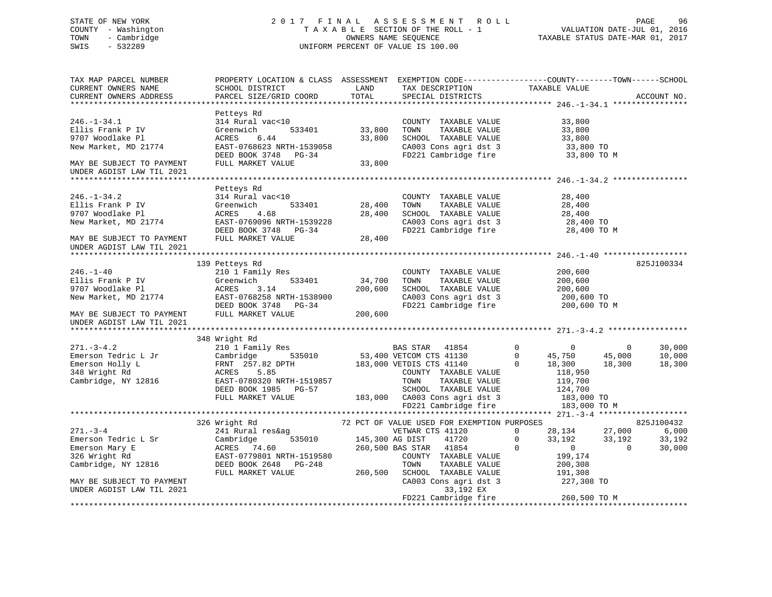# STATE OF NEW YORK 2 0 1 7 F I N A L A S S E S S M E N T R O L L PAGE 96 COUNTY - Washington T A X A B L E SECTION OF THE ROLL - 1 VALUATION DATE-JUL 01, 2016 TOWN - Cambridge OWNERS NAME SEQUENCE TAXABLE STATUS DATE-MAR 01, 2017 SWIS - 532289 UNIFORM PERCENT OF VALUE IS 100.00

| TAX MAP PARCEL NUMBER<br>CURRENT OWNERS NAME<br>CURRENT OWNERS ADDRESS      | PROPERTY LOCATION & CLASS ASSESSMENT EXEMPTION CODE-----------------COUNTY--------TOWN------SCHOOL                                                                                                                                                                                                                                                    |           |                                   | ACCOUNT NO. |
|-----------------------------------------------------------------------------|-------------------------------------------------------------------------------------------------------------------------------------------------------------------------------------------------------------------------------------------------------------------------------------------------------------------------------------------------------|-----------|-----------------------------------|-------------|
|                                                                             |                                                                                                                                                                                                                                                                                                                                                       |           |                                   |             |
|                                                                             |                                                                                                                                                                                                                                                                                                                                                       |           |                                   |             |
|                                                                             |                                                                                                                                                                                                                                                                                                                                                       |           |                                   |             |
| 246.-1-34.1<br>Ellis Frank P IV                                             |                                                                                                                                                                                                                                                                                                                                                       |           |                                   |             |
| 9707 Woodlake Pl                                                            |                                                                                                                                                                                                                                                                                                                                                       |           |                                   |             |
| New Market, MD 21774                                                        |                                                                                                                                                                                                                                                                                                                                                       |           |                                   |             |
|                                                                             |                                                                                                                                                                                                                                                                                                                                                       |           |                                   |             |
| MAY BE SUBJECT TO PAYMENT                                                   | 314 Kural vac<10<br>Greenwich 533401 33,800 TOWNTY TAXABLE VALUE 33,800<br>ACRES 6.44 33,800 SCHOOL TAXABLE VALUE 33,800<br>EAST-0768623 NRTH-1539058 33,800 SCHOOL TAXABLE VALUE 33,800<br>DEED BOOK 3748 PG-34 FU221 Cambridge fire                                                                                                                 |           |                                   |             |
| UNDER AGDIST LAW TIL 2021                                                   |                                                                                                                                                                                                                                                                                                                                                       |           |                                   |             |
|                                                                             |                                                                                                                                                                                                                                                                                                                                                       |           |                                   |             |
|                                                                             | Petteys Rd                                                                                                                                                                                                                                                                                                                                            |           |                                   |             |
| 246.-1-34.2<br>Ellis Frank P IV                                             |                                                                                                                                                                                                                                                                                                                                                       |           |                                   |             |
|                                                                             |                                                                                                                                                                                                                                                                                                                                                       |           |                                   |             |
|                                                                             |                                                                                                                                                                                                                                                                                                                                                       |           |                                   |             |
| 246.-1-34.2<br>Ellis Frank P IV<br>9707 Woodlake Pl<br>New Market, MD 21774 |                                                                                                                                                                                                                                                                                                                                                       |           |                                   |             |
|                                                                             |                                                                                                                                                                                                                                                                                                                                                       |           |                                   |             |
| MAY BE SUBJECT TO PAYMENT                                                   |                                                                                                                                                                                                                                                                                                                                                       |           |                                   |             |
| UNDER AGDIST LAW TIL 2021                                                   |                                                                                                                                                                                                                                                                                                                                                       |           |                                   |             |
|                                                                             |                                                                                                                                                                                                                                                                                                                                                       |           |                                   |             |
|                                                                             | 139 Petteys Rd                                                                                                                                                                                                                                                                                                                                        |           |                                   | 825J100334  |
|                                                                             |                                                                                                                                                                                                                                                                                                                                                       |           |                                   |             |
|                                                                             |                                                                                                                                                                                                                                                                                                                                                       |           |                                   |             |
|                                                                             |                                                                                                                                                                                                                                                                                                                                                       |           |                                   |             |
|                                                                             |                                                                                                                                                                                                                                                                                                                                                       |           |                                   |             |
|                                                                             |                                                                                                                                                                                                                                                                                                                                                       |           |                                   |             |
|                                                                             | 139 Petteys Rd<br>Ellis Frank P IV (17 Greenwich 1978)<br>TOWN TAXABLE VALUE 200,600<br>9707 Woodlake Pl<br>New Market, MD 21774 EAST-0768258 NRTH-1538900<br>MAY BE SUBJECT TO PAYMENT FULL MARKET VALUE PULL MARKET VALUE<br>TEED BOOK 3                                                                                                            |           |                                   |             |
| UNDER AGDIST LAW TIL 2021                                                   |                                                                                                                                                                                                                                                                                                                                                       |           |                                   |             |
|                                                                             |                                                                                                                                                                                                                                                                                                                                                       |           |                                   |             |
|                                                                             | 348 Wright Rd                                                                                                                                                                                                                                                                                                                                         |           |                                   |             |
|                                                                             |                                                                                                                                                                                                                                                                                                                                                       |           |                                   | 30,000      |
|                                                                             |                                                                                                                                                                                                                                                                                                                                                       |           |                                   | 10,000      |
|                                                                             |                                                                                                                                                                                                                                                                                                                                                       |           |                                   | 18,300      |
|                                                                             |                                                                                                                                                                                                                                                                                                                                                       |           |                                   |             |
|                                                                             |                                                                                                                                                                                                                                                                                                                                                       |           |                                   |             |
|                                                                             |                                                                                                                                                                                                                                                                                                                                                       |           |                                   |             |
|                                                                             |                                                                                                                                                                                                                                                                                                                                                       |           |                                   |             |
|                                                                             |                                                                                                                                                                                                                                                                                                                                                       |           |                                   |             |
|                                                                             |                                                                                                                                                                                                                                                                                                                                                       |           |                                   |             |
|                                                                             | $\begin{array}{ccccccccc} 271.-3-4 & 326 \text{ Wright Rd} & 72 PCT OF VALUE USD FOR EXEMENTION PURPOSES & 825J100432 \\\hline \texttt{Emerson Tedric L Sr} & \texttt{Cambridge} & 535010 & 145,300 AG DIST & 41720 & 0 & 33,192 & 33,192 & 33,192 & 33,192 & 33,192 & 33,192 & 33,192 & 33,192 & 33,192 & 33,192 & 33,192 & 33,192 & 33,192 & 33,19$ |           |                                   |             |
|                                                                             |                                                                                                                                                                                                                                                                                                                                                       |           |                                   |             |
|                                                                             |                                                                                                                                                                                                                                                                                                                                                       |           |                                   |             |
|                                                                             |                                                                                                                                                                                                                                                                                                                                                       |           |                                   |             |
|                                                                             |                                                                                                                                                                                                                                                                                                                                                       |           |                                   |             |
|                                                                             |                                                                                                                                                                                                                                                                                                                                                       |           |                                   |             |
|                                                                             | FULL MARKET VALUE 7 260,500 SCHOOL TAXABLE VALUE 191,308<br>CA003 Cons agri dst 3 227,308 TO                                                                                                                                                                                                                                                          |           |                                   |             |
| MAY BE SUBJECT TO PAYMENT                                                   |                                                                                                                                                                                                                                                                                                                                                       |           |                                   |             |
| UNDER AGDIST LAW TIL 2021                                                   |                                                                                                                                                                                                                                                                                                                                                       | 33,192 EX |                                   |             |
|                                                                             |                                                                                                                                                                                                                                                                                                                                                       |           | FD221 Cambridge fire 260,500 TO M |             |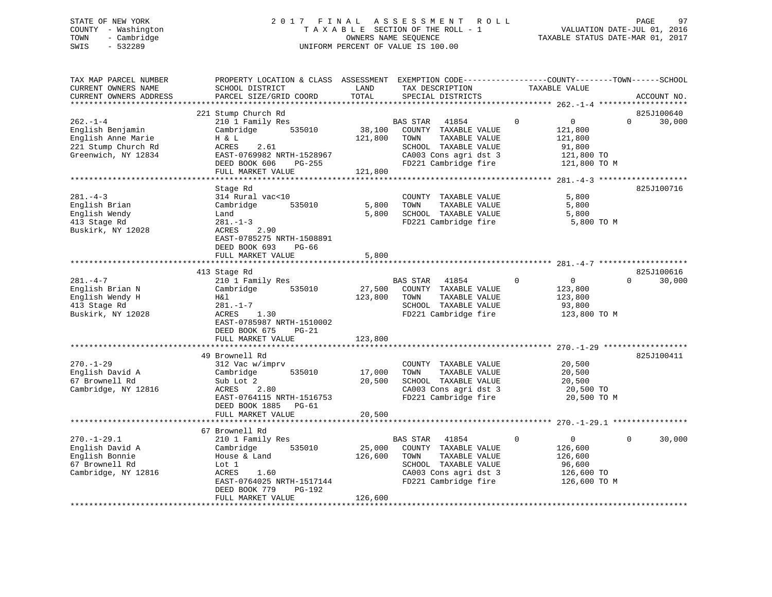# STATE OF NEW YORK 2 0 1 7 F I N A L A S S E S S M E N T R O L L PAGE 97 COUNTY - Washington T A X A B L E SECTION OF THE ROLL - 1 VALUATION DATE-JUL 01, 2016 TOWN - Cambridge OWNERS NAME SEQUENCE TAXABLE STATUS DATE-MAR 01, 2017 SWIS - 532289 UNIFORM PERCENT OF VALUE IS 100.00

| TAX MAP PARCEL NUMBER<br>CURRENT OWNERS NAME<br>CURRENT OWNERS ADDRESS                                     | PROPERTY LOCATION & CLASS ASSESSMENT<br>SCHOOL DISTRICT<br>PARCEL SIZE/GRID COORD                                                                                                                                    | LAND<br>TOTAL                              | EXEMPTION CODE-----------------COUNTY-------TOWN------SCHOOL<br>TAX DESCRIPTION<br>SPECIAL DISTRICTS                                        | TAXABLE VALUE                                                                               | ACCOUNT NO.                                    |
|------------------------------------------------------------------------------------------------------------|----------------------------------------------------------------------------------------------------------------------------------------------------------------------------------------------------------------------|--------------------------------------------|---------------------------------------------------------------------------------------------------------------------------------------------|---------------------------------------------------------------------------------------------|------------------------------------------------|
| ***********************                                                                                    |                                                                                                                                                                                                                      |                                            |                                                                                                                                             |                                                                                             |                                                |
| $262. - 1 - 4$<br>English Benjamin<br>English Anne Marie<br>221 Stump Church Rd<br>Greenwich, NY 12834     | 221 Stump Church Rd<br>210 1 Family Res<br>535010<br>Cambridge<br>H & L<br>ACRES<br>2.61<br>EAST-0769982 NRTH-1528967<br>DEED BOOK 606<br>PG-255<br>FULL MARKET VALUE                                                | 38,100<br>121,800<br>121,800               | BAS STAR<br>41854<br>COUNTY TAXABLE VALUE<br>TAXABLE VALUE<br>TOWN<br>SCHOOL TAXABLE VALUE<br>CA003 Cons agri dst 3<br>FD221 Cambridge fire | $\mathbf 0$<br>$\overline{0}$<br>121,800<br>121,800<br>91,800<br>121,800 TO<br>121,800 TO M | 825J100640<br>30,000<br>$\Omega$               |
|                                                                                                            |                                                                                                                                                                                                                      |                                            |                                                                                                                                             |                                                                                             |                                                |
| $281 - 4 - 3$<br>English Brian<br>English Wendy<br>413 Stage Rd<br>Buskirk, NY 12028                       | Stage Rd<br>314 Rural vac<10<br>535010<br>Cambridge<br>Land<br>$281. - 1 - 3$<br>ACRES<br>2.90<br>EAST-0785275 NRTH-1508891<br>DEED BOOK 693<br>$PG-66$<br>FULL MARKET VALUE                                         | 5,800<br>5,800<br>5,800                    | COUNTY TAXABLE VALUE<br>TAXABLE VALUE<br>TOWN<br>SCHOOL TAXABLE VALUE<br>FD221 Cambridge fire                                               | 5,800<br>5,800<br>5,800<br>5,800 TO M                                                       | 825J100716                                     |
|                                                                                                            |                                                                                                                                                                                                                      |                                            |                                                                                                                                             |                                                                                             |                                                |
| $281. -4 -7$<br>English Brian N<br>English Wendy H<br>413 Stage Rd<br>Buskirk, NY 12028<br>$270. - 1 - 29$ | 413 Stage Rd<br>210 1 Family Res<br>535010<br>Cambridge<br>H&l<br>$281. - 1 - 7$<br>ACRES<br>1.30<br>EAST-0785987 NRTH-1510002<br>DEED BOOK 675<br>$PG-21$<br>FULL MARKET VALUE<br>49 Brownell Rd<br>312 Vac w/imprv | 27,500<br>123,800<br>123,800<br>********** | BAS STAR 41854<br>COUNTY TAXABLE VALUE<br>TAXABLE VALUE<br>TOWN<br>SCHOOL TAXABLE VALUE<br>FD221 Cambridge fire<br>COUNTY TAXABLE VALUE     | 0<br>$\overline{0}$<br>123,800<br>123,800<br>93,800<br>123,800 TO M<br>20,500               | 825J100616<br>30,000<br>$\Omega$<br>825J100411 |
| English David A<br>67 Brownell Rd<br>Cambridge, NY 12816                                                   | 535010<br>Cambridge<br>Sub Lot 2<br>ACRES<br>2.80<br>EAST-0764115 NRTH-1516753<br>DEED BOOK 1885 PG-61<br>FULL MARKET VALUE                                                                                          | 17,000<br>20,500<br>20,500                 | TAXABLE VALUE<br>TOWN<br>SCHOOL TAXABLE VALUE<br>CA003 Cons agri dst 3<br>FD221 Cambridge fire                                              | 20,500<br>20,500<br>20,500 TO<br>20,500 TO M                                                |                                                |
|                                                                                                            | 67 Brownell Rd                                                                                                                                                                                                       |                                            |                                                                                                                                             |                                                                                             |                                                |
| $270. - 1 - 29.1$<br>English David A<br>English Bonnie<br>67 Brownell Rd<br>Cambridge, NY 12816            | 210 1 Family Res<br>535010<br>Cambridge<br>House & Land<br>Lot 1<br>ACRES<br>1.60<br>EAST-0764025 NRTH-1517144<br>DEED BOOK 779<br>PG-192                                                                            | 25,000<br>126,600                          | BAS STAR<br>41854<br>COUNTY TAXABLE VALUE<br>TAXABLE VALUE<br>TOWN<br>SCHOOL TAXABLE VALUE<br>CA003 Cons agri dst 3<br>FD221 Cambridge fire | $\mathbf 0$<br>$\mathbf{0}$<br>126,600<br>126,600<br>96,600<br>126,600 TO<br>126,600 TO M   | 30,000<br>$\Omega$                             |
|                                                                                                            | FULL MARKET VALUE                                                                                                                                                                                                    | 126,600                                    |                                                                                                                                             |                                                                                             |                                                |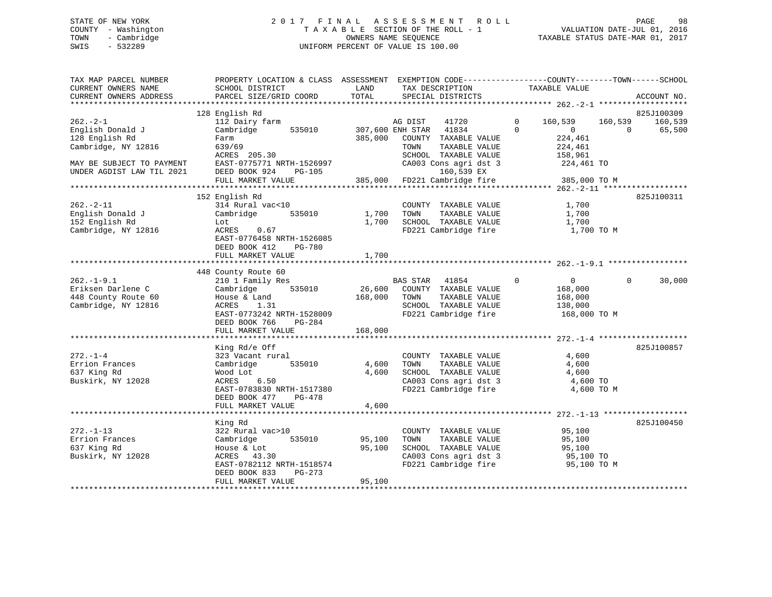# STATE OF NEW YORK 2 0 1 7 F I N A L A S S E S S M E N T R O L L PAGE 98 COUNTY - Washington T A X A B L E SECTION OF THE ROLL - 1 VALUATION DATE-JUL 01, 2016 TOWN - Cambridge OWNERS NAME SEQUENCE TAXABLE STATUS DATE-MAR 01, 2017 SWIS - 532289 UNIFORM PERCENT OF VALUE IS 100.00

| TAX MAP PARCEL NUMBER<br>CURRENT OWNERS NAME<br>CURRENT OWNERS ADDRESS<br>************************* | PROPERTY LOCATION & CLASS ASSESSMENT<br>SCHOOL DISTRICT<br>PARCEL SIZE/GRID COORD | LAND<br>TOTAL | EXEMPTION CODE-----------------COUNTY-------TOWN------SCHOOL<br>TAX DESCRIPTION<br>SPECIAL DISTRICTS | TAXABLE VALUE              | ACCOUNT NO.                      |
|-----------------------------------------------------------------------------------------------------|-----------------------------------------------------------------------------------|---------------|------------------------------------------------------------------------------------------------------|----------------------------|----------------------------------|
|                                                                                                     | 128 English Rd                                                                    |               |                                                                                                      |                            |                                  |
| $262 - 2 - 1$                                                                                       | 112 Dairy farm                                                                    |               | AG DIST<br>41720                                                                                     | $\mathbf 0$<br>160,539     | 825J100309<br>160,539<br>160,539 |
| English Donald J                                                                                    | Cambridge<br>535010                                                               |               | 307,600 ENH STAR<br>41834                                                                            | $\Omega$<br>$\overline{0}$ | 65,500<br>$\Omega$               |
| 128 English Rd                                                                                      | Farm                                                                              | 385,000       | COUNTY TAXABLE VALUE                                                                                 | 224,461                    |                                  |
| Cambridge, NY 12816                                                                                 | 639/69                                                                            |               | TOWN<br>TAXABLE VALUE                                                                                | 224,461                    |                                  |
|                                                                                                     | ACRES 205.30                                                                      |               | SCHOOL TAXABLE VALUE                                                                                 | 158,961                    |                                  |
| MAY BE SUBJECT TO PAYMENT                                                                           | EAST-0775771 NRTH-1526997                                                         |               | CA003 Cons agri dst 3                                                                                | 224,461 TO                 |                                  |
| UNDER AGDIST LAW TIL 2021                                                                           | DEED BOOK 924<br>PG-105                                                           |               | 160,539 EX                                                                                           |                            |                                  |
|                                                                                                     | FULL MARKET VALUE                                                                 | 385,000       | FD221 Cambridge fire                                                                                 | 385,000 TO M               |                                  |
|                                                                                                     |                                                                                   |               |                                                                                                      |                            |                                  |
|                                                                                                     | 152 English Rd                                                                    |               |                                                                                                      |                            | 825J100311                       |
| $262 - 2 - 11$                                                                                      | 314 Rural vac<10                                                                  |               | COUNTY TAXABLE VALUE                                                                                 | 1,700                      |                                  |
| English Donald J                                                                                    | 535010<br>Cambridge                                                               | 1,700         | TAXABLE VALUE<br>TOWN                                                                                | 1,700                      |                                  |
| 152 English Rd                                                                                      | Lot                                                                               | 1,700         | SCHOOL TAXABLE VALUE                                                                                 | 1,700                      |                                  |
| Cambridge, NY 12816                                                                                 | ACRES<br>0.67                                                                     |               | FD221 Cambridge fire                                                                                 | 1,700 TO M                 |                                  |
|                                                                                                     | EAST-0776458 NRTH-1526085                                                         |               |                                                                                                      |                            |                                  |
|                                                                                                     | <b>PG-780</b><br>DEED BOOK 412                                                    |               |                                                                                                      |                            |                                  |
|                                                                                                     | FULL MARKET VALUE                                                                 | 1,700         |                                                                                                      |                            |                                  |
|                                                                                                     |                                                                                   |               |                                                                                                      |                            |                                  |
| $262. - 1 - 9.1$                                                                                    | 448 County Route 60                                                               |               |                                                                                                      | $\mathbf 0$<br>$\Omega$    | $\Omega$                         |
| Eriksen Darlene C                                                                                   | 210 1 Family Res<br>Cambridge<br>535010                                           | 26,600        | BAS STAR<br>41854<br>COUNTY TAXABLE VALUE                                                            | 168,000                    | 30,000                           |
| 448 County Route 60                                                                                 | House & Land                                                                      | 168,000       | TAXABLE VALUE<br>TOWN                                                                                | 168,000                    |                                  |
| Cambridge, NY 12816                                                                                 | 1.31<br>ACRES                                                                     |               | SCHOOL TAXABLE VALUE                                                                                 | 138,000                    |                                  |
|                                                                                                     | EAST-0773242 NRTH-1528009                                                         |               | FD221 Cambridge fire                                                                                 | 168,000 TO M               |                                  |
|                                                                                                     | DEED BOOK 766<br>$PG-284$                                                         |               |                                                                                                      |                            |                                  |
|                                                                                                     | FULL MARKET VALUE                                                                 | 168,000       |                                                                                                      |                            |                                  |
|                                                                                                     |                                                                                   |               |                                                                                                      |                            |                                  |
|                                                                                                     | King Rd/e Off                                                                     |               |                                                                                                      |                            | 825J100857                       |
| $272. - 1 - 4$                                                                                      | 323 Vacant rural                                                                  |               | COUNTY TAXABLE VALUE                                                                                 | 4,600                      |                                  |
| Errion Frances                                                                                      | Cambridge<br>535010                                                               | 4,600         | TOWN<br>TAXABLE VALUE                                                                                | 4,600                      |                                  |
| 637 King Rd                                                                                         | Wood Lot                                                                          | 4,600         | SCHOOL TAXABLE VALUE                                                                                 | 4,600                      |                                  |
| Buskirk, NY 12028                                                                                   | 6.50<br>ACRES                                                                     |               | CA003 Cons agri dst 3                                                                                | 4,600 TO                   |                                  |
|                                                                                                     | EAST-0783830 NRTH-1517380                                                         |               | FD221 Cambridge fire                                                                                 | 4,600 TO M                 |                                  |
|                                                                                                     | DEED BOOK 477<br>PG-478                                                           |               |                                                                                                      |                            |                                  |
|                                                                                                     | FULL MARKET VALUE                                                                 | 4,600         |                                                                                                      |                            |                                  |
|                                                                                                     | ***********************                                                           |               |                                                                                                      |                            |                                  |
|                                                                                                     | King Rd                                                                           |               |                                                                                                      |                            | 825J100450                       |
| $272. - 1 - 13$                                                                                     | 322 Rural vac>10                                                                  |               | COUNTY TAXABLE VALUE                                                                                 | 95,100                     |                                  |
| Errion Frances                                                                                      | Cambridge<br>535010                                                               | 95,100        | TAXABLE VALUE<br>TOWN                                                                                | 95,100                     |                                  |
| 637 King Rd                                                                                         | House & Lot                                                                       | 95,100        | SCHOOL TAXABLE VALUE<br>CA003 Cons agri dst 3                                                        | 95,100                     |                                  |
| Buskirk, NY 12028                                                                                   | ACRES<br>43.30<br>EAST-0782112 NRTH-1518574                                       |               | FD221 Cambridge fire                                                                                 | 95,100 TO<br>95,100 TO M   |                                  |
|                                                                                                     | DEED BOOK 833<br>$PG-273$                                                         |               |                                                                                                      |                            |                                  |
|                                                                                                     | FULL MARKET VALUE                                                                 | 95,100        |                                                                                                      |                            |                                  |
|                                                                                                     |                                                                                   |               |                                                                                                      |                            |                                  |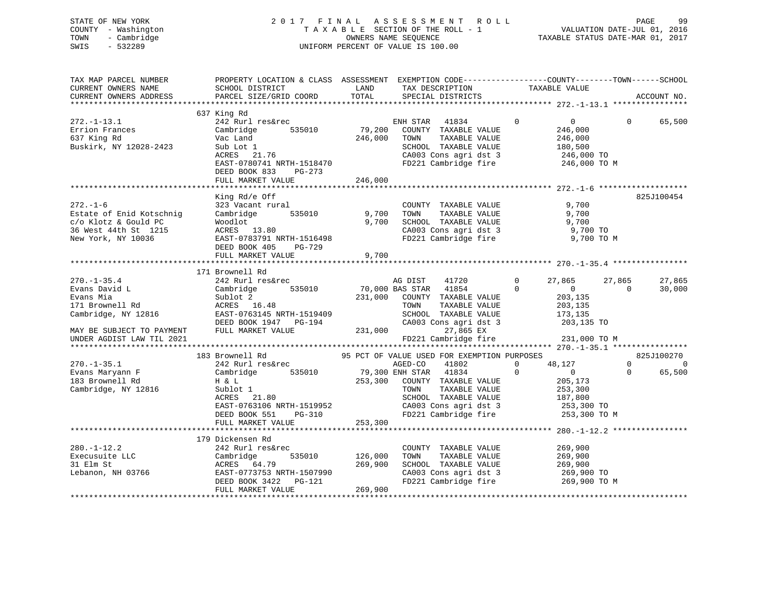STATE OF NEW YORK 2 0 1 7 F I N A L A S S E S S M E N T R O L L PAGE 99 COUNTY - Washington T A X A B L E SECTION OF THE ROLL - 1 VALUATION DATE-JUL 01, 2016 TOWN - Cambridge OWNERS NAME SEQUENCE TAXABLE STATUS DATE-MAR 01, 2017 SWIS - 532289 UNIFORM PERCENT OF VALUE IS 100.00 TAX MAP PARCEL NUMBER PROPERTY LOCATION & CLASS ASSESSMENT EXEMPTION CODE------------------COUNTY--------TOWN------SCHOOL

| CURRENT OWNERS NAME<br>CURRENT OWNERS ADDRESS                                                                                                                                                                                                                                                                                                                                                                                                      | SCHOOL DISTRICT<br>PARCEL SIZE/GRID COORD TOTAL                                                                                                                                                                                                                                                                                                                                     | LAND    | TAX DESCRIPTION<br>SPECIAL DISTRICTS                                                                                                                                                                                                                                                                                                                                                                | TAXABLE VALUE                                       | ACCOUNT NO.                                  |
|----------------------------------------------------------------------------------------------------------------------------------------------------------------------------------------------------------------------------------------------------------------------------------------------------------------------------------------------------------------------------------------------------------------------------------------------------|-------------------------------------------------------------------------------------------------------------------------------------------------------------------------------------------------------------------------------------------------------------------------------------------------------------------------------------------------------------------------------------|---------|-----------------------------------------------------------------------------------------------------------------------------------------------------------------------------------------------------------------------------------------------------------------------------------------------------------------------------------------------------------------------------------------------------|-----------------------------------------------------|----------------------------------------------|
|                                                                                                                                                                                                                                                                                                                                                                                                                                                    |                                                                                                                                                                                                                                                                                                                                                                                     |         |                                                                                                                                                                                                                                                                                                                                                                                                     |                                                     |                                              |
|                                                                                                                                                                                                                                                                                                                                                                                                                                                    | 637 King Rd                                                                                                                                                                                                                                                                                                                                                                         |         |                                                                                                                                                                                                                                                                                                                                                                                                     |                                                     |                                              |
| $272. - 1 - 13.1$<br>Errion Frances<br>637 King Rd<br>Buskirk, NY 12028-2423                                                                                                                                                                                                                                                                                                                                                                       | 242 Rurl res&rec<br>Cambridge<br>Vac Land<br>Sub Lot 1<br>ACRES 21.76                                                                                                                                                                                                                                                                                                               |         | ENH STAR 41834 0<br>535010 79,200 COUNTY TAXABLE VALUE<br>246,000 TOWN<br>TOWN TAXABLE VALUE<br>SCHOOL TAXABLE VALUE 180,500<br>180,000 TO 100 TO 100 TO 246,000 TO<br>CA003 Cons agri dst 3 246,000 TO<br>FD221 Cambridge fire 246,000 TO M                                                                                                                                                        | 246,000                                             | $0 \qquad \qquad 0 \qquad \qquad 65,500$     |
|                                                                                                                                                                                                                                                                                                                                                                                                                                                    | EAST-0780741 NRTH-1518470<br>DEED BOOK 833 PG-273                                                                                                                                                                                                                                                                                                                                   |         |                                                                                                                                                                                                                                                                                                                                                                                                     |                                                     |                                              |
|                                                                                                                                                                                                                                                                                                                                                                                                                                                    | FULL MARKET VALUE                                                                                                                                                                                                                                                                                                                                                                   | 246,000 |                                                                                                                                                                                                                                                                                                                                                                                                     |                                                     |                                              |
|                                                                                                                                                                                                                                                                                                                                                                                                                                                    | King Rd/e Off                                                                                                                                                                                                                                                                                                                                                                       |         |                                                                                                                                                                                                                                                                                                                                                                                                     |                                                     | 825J100454                                   |
| $272. - 1 - 6$<br>Estate of Enid Kotschnig<br>c/o Klotz & Gould PC<br>36 West 44th St 1215<br>New York, NY 10036                                                                                                                                                                                                                                                                                                                                   | 323 Vacant rural<br>535010 9,700<br>Cambridge<br>Woodlot<br>ACRES 13.80<br>EAST-0783791 NRTH-1516498<br>DEED BOOK 405 PG-729<br>DEED BOOK 405 PG-729<br>FULL MARKET VALUE 9,700                                                                                                                                                                                                     |         | COUNTY TAXABLE VALUE<br>TOWN<br>SCHOOL TAXABLE VALUE<br>$\frac{1}{2}$ $\frac{1}{2}$ $\frac{1}{2}$ $\frac{1}{2}$ $\frac{1}{2}$ $\frac{1}{2}$ $\frac{1}{2}$ $\frac{1}{2}$ $\frac{1}{2}$ $\frac{1}{2}$ $\frac{1}{2}$ $\frac{1}{2}$ $\frac{1}{2}$ $\frac{1}{2}$ $\frac{1}{2}$ $\frac{1}{2}$ $\frac{1}{2}$ $\frac{1}{2}$ $\frac{1}{2}$ $\frac{1}{2}$ $\frac{1}{2}$ $\frac{1}{2}$<br>FD221 Cambridge fire | 9,700<br>TAXABLE VALUE 9,700<br>9,700<br>9,700 TO M |                                              |
|                                                                                                                                                                                                                                                                                                                                                                                                                                                    |                                                                                                                                                                                                                                                                                                                                                                                     |         |                                                                                                                                                                                                                                                                                                                                                                                                     |                                                     |                                              |
|                                                                                                                                                                                                                                                                                                                                                                                                                                                    | 171 Brownell Rd                                                                                                                                                                                                                                                                                                                                                                     |         |                                                                                                                                                                                                                                                                                                                                                                                                     |                                                     |                                              |
|                                                                                                                                                                                                                                                                                                                                                                                                                                                    | 242 Rurl res&rec<br>Cambridge 535010 70,000 BAS STAR 41854 0<br>Sublot 2 231,000 COUNTY TAXABLE VALUE<br>COUNTY TAXABLE VALUE                                                                                                                                                                                                                                                       |         |                                                                                                                                                                                                                                                                                                                                                                                                     | 27,865                                              | 27,865<br>27,865<br>30,000<br>$\overline{0}$ |
|                                                                                                                                                                                                                                                                                                                                                                                                                                                    |                                                                                                                                                                                                                                                                                                                                                                                     |         | FD221 Cambridge fire 231,000 TO M                                                                                                                                                                                                                                                                                                                                                                   | 203,135 TO                                          |                                              |
|                                                                                                                                                                                                                                                                                                                                                                                                                                                    | 183 Brownell Rd                                                                                                                                                                                                                                                                                                                                                                     |         | 95 PCT OF VALUE USED FOR EXEMPTION PURPOSES                                                                                                                                                                                                                                                                                                                                                         |                                                     | 825J100270                                   |
| $270. - 1 - 35.1$<br>Evans Maryann F<br>183 Brownell Rd<br>Cambridge, NY 12816                                                                                                                                                                                                                                                                                                                                                                     | 242 Rurl res&rec 235010 AGED-CO 41802<br>Cambridge 535010 79,300 ENH STAR 41834 0<br>H & L 253,300 COUNTY TAXABLE VALUE<br>H & L<br>H & L<br>Sublot 1<br>COUNTY TAXABLE VALUE<br>COUNTY TAXABLE VALUE<br>TOWN TAXABLE VALUE<br>CHOOL TAXABLE VALUE<br>CHOOL TAXABLE VALUE<br>253,300<br>SCHOOL TAXABLE VALUE<br>187,800<br>EAST-0763106 NRTH-1519952<br>DEED BOOK 551 PG-310<br>DEE |         | 41802 0                                                                                                                                                                                                                                                                                                                                                                                             | 48,127<br>$\overline{0}$<br>205, 173                | $\Omega$<br>$\Omega$<br>65,500<br>$\Omega$   |
|                                                                                                                                                                                                                                                                                                                                                                                                                                                    | FULL MARKET VALUE                                                                                                                                                                                                                                                                                                                                                                   | 253,300 |                                                                                                                                                                                                                                                                                                                                                                                                     |                                                     |                                              |
| $\begin{tabular}{lllllllll} & $\quad \text{L1C} \text{Kensen }\text{Rd}$ \\ & $\quad \text{L1C} \text{Elm } \text{St}$ \\ & $\quad \text{L2C} \text{Lembridge}$ \\ & $\quad \text{Lebanon, NH}$ 03766 \\ & $\quad \text{EAST-077375} \text{ } \text{C} \text{S} \text{L}}$ \\ & $\quad \text{L2C} \text{EAST-077375} \text{ } \text{C} \text{L}}$ \\ & $\quad \text{L3C} \text{EAST-077375} \text{ } \text{C} \text{L}}$ \\ & $\quad \text{L4C} \$ | 242 Rurl res&rec<br>535010 126,000<br>Cambridge 535010 120,000<br>ACRES 64.79 269,900<br>EAST-0773753 NRTH-1507990<br>DEED BOOK 3422 PG-121<br>FIILL MARKET VALUE 269,900                                                                                                                                                                                                           |         | COUNTY TAXABLE VALUE<br>TAXABLE VALUE<br>TOWN<br>SCHOOL TAXABLE VALUE 269,900<br>CA003 Cons agri dst 3 269,900 TO<br>FD221 Cambridge fire 269,900 TO M                                                                                                                                                                                                                                              | 269,900<br>269,900                                  |                                              |
|                                                                                                                                                                                                                                                                                                                                                                                                                                                    |                                                                                                                                                                                                                                                                                                                                                                                     |         |                                                                                                                                                                                                                                                                                                                                                                                                     |                                                     |                                              |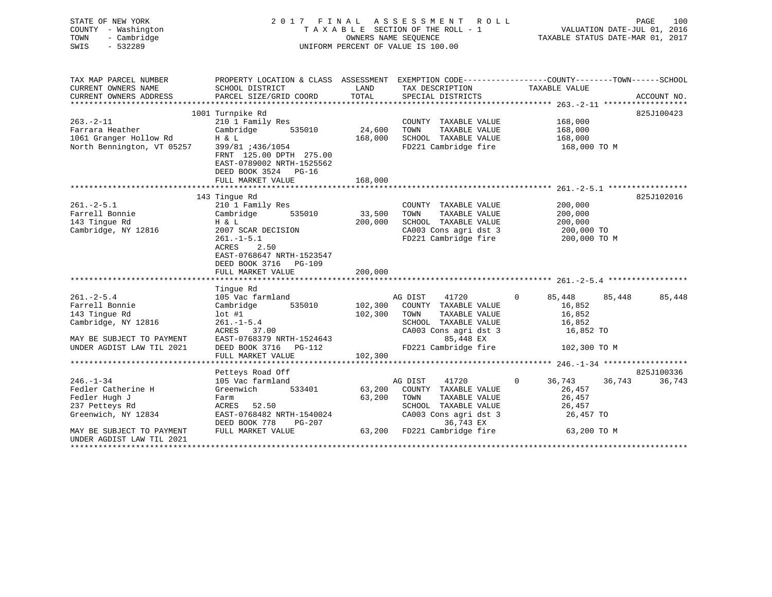| STATE OF NEW YORK<br>COUNTY - Washington<br>- Cambridge<br>TOWN<br>SWIS<br>$-532289$ | 2017 FINAL                                                                                                          |         | A S S E S S M E N T<br>ROLL<br>TAXABLE SECTION OF THE ROLL - 1<br>OWNERS NAME SEQUENCE<br>UNIFORM PERCENT OF VALUE IS 100.00 |                    | PAGE<br>100<br>VALUATION DATE-JUL 01, 2016<br>TAXABLE STATUS DATE-MAR 01, 2017 |
|--------------------------------------------------------------------------------------|---------------------------------------------------------------------------------------------------------------------|---------|------------------------------------------------------------------------------------------------------------------------------|--------------------|--------------------------------------------------------------------------------|
| TAX MAP PARCEL NUMBER<br>CURRENT OWNERS NAME                                         | PROPERTY LOCATION & CLASS ASSESSMENT EXEMPTION CODE----------------COUNTY-------TOWN------SCHOOL<br>SCHOOL DISTRICT | LAND    | TAX DESCRIPTION                                                                                                              | TAXABLE VALUE      |                                                                                |
| CURRENT OWNERS ADDRESS                                                               | PARCEL SIZE/GRID COORD                                                                                              | TOTAL   | SPECIAL DISTRICTS                                                                                                            |                    | ACCOUNT NO.                                                                    |
|                                                                                      |                                                                                                                     |         |                                                                                                                              |                    |                                                                                |
| $263. - 2 - 11$                                                                      | 1001 Turnpike Rd<br>210 1 Family Res                                                                                |         | COUNTY TAXABLE VALUE                                                                                                         | 168,000            | 825J100423                                                                     |
| Farrara Heather                                                                      | Cambridge<br>535010                                                                                                 | 24,600  | TOWN<br>TAXABLE VALUE                                                                                                        | 168,000            |                                                                                |
| 1061 Granger Hollow Rd                                                               | H & L                                                                                                               | 168,000 | SCHOOL TAXABLE VALUE                                                                                                         | 168,000            |                                                                                |
| North Bennington, VT 05257                                                           | 399/81 :436/1054                                                                                                    |         | FD221 Cambridge fire                                                                                                         | 168,000 TO M       |                                                                                |
|                                                                                      | FRNT 125.00 DPTH 275.00<br>EAST-0789002 NRTH-1525562<br>DEED BOOK 3524 PG-16                                        |         |                                                                                                                              |                    |                                                                                |
|                                                                                      | FULL MARKET VALUE                                                                                                   | 168,000 |                                                                                                                              |                    |                                                                                |
|                                                                                      |                                                                                                                     |         |                                                                                                                              |                    | $261, -2 - 5, 1$ *****************                                             |
|                                                                                      | 143 Tingue Rd                                                                                                       |         |                                                                                                                              |                    | 825J102016                                                                     |
| $261 - 2 - 5.1$                                                                      | 210 1 Family Res                                                                                                    |         | COUNTY TAXABLE VALUE                                                                                                         | 200,000            |                                                                                |
| Farrell Bonnie                                                                       | 535010<br>Cambridge                                                                                                 | 33,500  | TOWN<br>TAXABLE VALUE                                                                                                        | 200,000            |                                                                                |
| 143 Tingue Rd                                                                        | H & L                                                                                                               | 200,000 | SCHOOL TAXABLE VALUE                                                                                                         | 200,000            |                                                                                |
| Cambridge, NY 12816                                                                  | 2007 SCAR DECISION                                                                                                  |         | CA003 Cons agri dst 3                                                                                                        | 200,000 TO         |                                                                                |
|                                                                                      | $261. -1 - 5.1$<br><b>ACRES</b><br>2.50<br>EAST-0768647 NRTH-1523547<br>DEED BOOK 3716 PG-109<br>FULL MARKET VALUE  | 200,000 | FD221 Cambridge fire                                                                                                         | 200,000 TO M       |                                                                                |
|                                                                                      | ***********************                                                                                             |         |                                                                                                                              |                    |                                                                                |
|                                                                                      | Tingue Rd                                                                                                           |         |                                                                                                                              |                    |                                                                                |
| $261 - 2 - 5.4$                                                                      | 105 Vac farmland                                                                                                    |         | AG DIST<br>41720                                                                                                             | $\Omega$<br>85,448 | 85,448<br>85,448                                                               |
| Farrell Bonnie                                                                       | Cambridge<br>535010                                                                                                 | 102,300 | COUNTY TAXABLE VALUE                                                                                                         | 16,852             |                                                                                |
| 143 Tingue Rd                                                                        | $lot$ #1                                                                                                            | 102,300 | TOWN<br>TAXABLE VALUE                                                                                                        | 16,852             |                                                                                |
| Cambridge, NY 12816                                                                  | $261. - 1 - 5.4$                                                                                                    |         | SCHOOL TAXABLE VALUE                                                                                                         | 16,852             |                                                                                |
|                                                                                      | ACRES 37.00                                                                                                         |         | CA003 Cons agri dst 3                                                                                                        | 16,852 TO          |                                                                                |
| MAY BE SUBJECT TO PAYMENT                                                            | EAST-0768379 NRTH-1524643                                                                                           |         | 85,448 EX                                                                                                                    |                    |                                                                                |
| UNDER AGDIST LAW TIL 2021                                                            | DEED BOOK 3716 PG-112                                                                                               |         | FD221 Cambridge fire                                                                                                         | 102,300 TO M       |                                                                                |
|                                                                                      | FULL MARKET VALUE                                                                                                   | 102,300 |                                                                                                                              |                    |                                                                                |
|                                                                                      |                                                                                                                     |         |                                                                                                                              |                    |                                                                                |
|                                                                                      | Petteys Road Off                                                                                                    |         |                                                                                                                              |                    | 825J100336                                                                     |
| $246. - 1 - 34$                                                                      | 105 Vac farmland                                                                                                    |         | 41720<br>AG DIST                                                                                                             | $\Omega$<br>36,743 | 36,743<br>36,743                                                               |
| Fedler Catherine H                                                                   | Greenwich<br>533401                                                                                                 | 63,200  | COUNTY TAXABLE VALUE                                                                                                         | 26,457             |                                                                                |
| Fedler Hugh J                                                                        | Farm                                                                                                                | 63,200  | TAXABLE VALUE<br>TOWN                                                                                                        | 26,457             |                                                                                |
| 237 Petteys Rd                                                                       | ACRES<br>52.50                                                                                                      |         | SCHOOL TAXABLE VALUE                                                                                                         | 26,457             |                                                                                |
| Greenwich, NY 12834                                                                  | EAST-0768482 NRTH-1540024<br>DEED BOOK 778<br>PG-207                                                                |         | CA003 Cons agri dst 3<br>36,743 EX                                                                                           | 26,457 TO          |                                                                                |
| MAY BE SUBJECT TO PAYMENT<br>UNDER AGDIST LAW TIL 2021<br>************************** | FULL MARKET VALUE                                                                                                   | 63,200  | FD221 Cambridge fire                                                                                                         | 63,200 TO M        |                                                                                |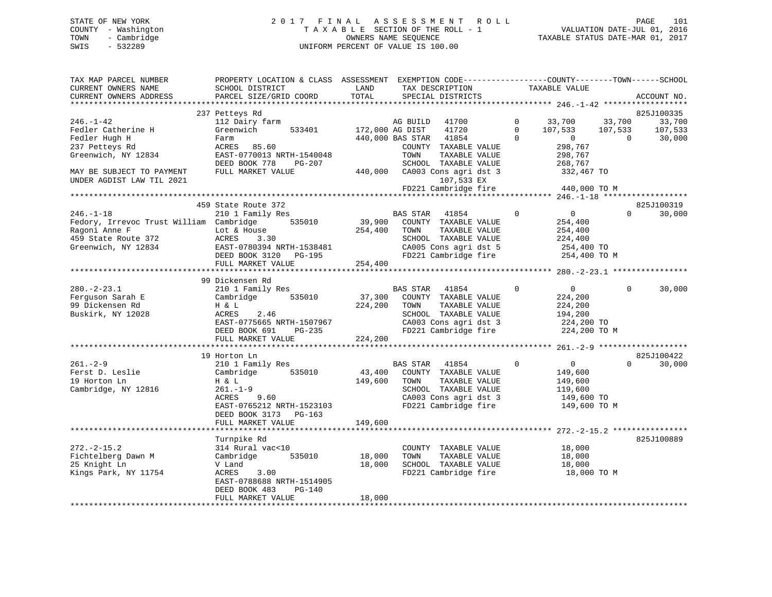# STATE OF NEW YORK 2 0 1 7 F I N A L A S S E S S M E N T R O L L PAGE 101 COUNTY - Washington T A X A B L E SECTION OF THE ROLL - 1 VALUATION DATE-JUL 01, 2016 TOWN - Cambridge OWNERS NAME SEQUENCE TAXABLE STATUS DATE-MAR 01, 2017 SWIS - 532289 UNIFORM PERCENT OF VALUE IS 100.00

| TAX MAP PARCEL NUMBER<br>CURRENT OWNERS NAME<br>CURRENT OWNERS ADDRESS                                                    | PROPERTY LOCATION & CLASS ASSESSMENT EXEMPTION CODE----------------COUNTY-------TOWN------SCHOOL<br>SCHOOL DISTRICT<br>PARCEL SIZE/GRID COORD               | LAND<br>TOTAL                | TAX DESCRIPTION<br>SPECIAL DISTRICTS                                                                                                                            |                                      | TAXABLE VALUE                                                                 |                                     | ACCOUNT NO.                 |
|---------------------------------------------------------------------------------------------------------------------------|-------------------------------------------------------------------------------------------------------------------------------------------------------------|------------------------------|-----------------------------------------------------------------------------------------------------------------------------------------------------------------|--------------------------------------|-------------------------------------------------------------------------------|-------------------------------------|-----------------------------|
|                                                                                                                           |                                                                                                                                                             |                              |                                                                                                                                                                 |                                      |                                                                               |                                     |                             |
|                                                                                                                           | 237 Petteys Rd                                                                                                                                              |                              |                                                                                                                                                                 |                                      |                                                                               |                                     | 825J100335                  |
| $246. - 1 - 42$<br>Fedler Catherine H<br>Fedler Hugh H                                                                    | 112 Dairy farm<br>Greenwich<br>533401<br>Farm                                                                                                               |                              | AG BUILD 41700<br>172,000 AG DIST<br>41720<br>440,000 BAS STAR 41854                                                                                            | $\mathbf{0}$<br>$\Omega$<br>$\Omega$ | 33,700<br>107,533<br>$\sim$ 0                                                 | 33,700<br>107,533<br>$\overline{0}$ | 33,700<br>107,533<br>30,000 |
| 237 Petteys Rd<br>Greenwich, NY 12834                                                                                     | ACRES 85.60<br>EAST-0770013 NRTH-1540048<br>DEED BOOK 778<br>PG-207                                                                                         |                              | COUNTY TAXABLE VALUE<br>TOWN<br>TAXABLE VALUE<br>SCHOOL TAXABLE VALUE                                                                                           |                                      | 298,767<br>298,767<br>268,767                                                 |                                     |                             |
| MAY BE SUBJECT TO PAYMENT<br>UNDER AGDIST LAW TIL 2021                                                                    | FULL MARKET VALUE                                                                                                                                           |                              | 440,000 CA003 Cons agri dst 3<br>107,533 EX<br>FD221 Cambridge fire                                                                                             |                                      | 332,467 TO<br>440,000 TO M                                                    |                                     |                             |
|                                                                                                                           |                                                                                                                                                             |                              |                                                                                                                                                                 |                                      |                                                                               |                                     |                             |
|                                                                                                                           | 459 State Route 372                                                                                                                                         |                              |                                                                                                                                                                 |                                      |                                                                               |                                     | 825J100319                  |
| $246. - 1 - 18$<br>Fedory, Irrevoc Trust William Cambridge<br>Ragoni Anne F<br>459 State Route 372<br>Greenwich, NY 12834 | 210 1 Family Res<br>535010<br>Lot & House<br>ACRES<br>3.30<br>EAST-0780394 NRTH-1538481<br>DEED BOOK 3120 PG-195                                            | 254,400                      | BAS STAR<br>41854<br>39,900 COUNTY TAXABLE VALUE<br>TAXABLE VALUE<br>TOWN<br>SCHOOL TAXABLE VALUE<br>CA005 Cons agri dst 5<br>FD221 Cambridge fire 254,400 TO M | $\Omega$                             | $\overline{0}$<br>254,400<br>254,400<br>224,400<br>254,400 TO                 | $\Omega$                            | 30,000                      |
|                                                                                                                           | FULL MARKET VALUE                                                                                                                                           | 254,400                      |                                                                                                                                                                 |                                      |                                                                               |                                     |                             |
|                                                                                                                           |                                                                                                                                                             |                              |                                                                                                                                                                 |                                      |                                                                               |                                     |                             |
| $280. - 2 - 23.1$<br>Ferguson Sarah E                                                                                     | 99 Dickensen Rd<br>210 1 Family Res<br>535010<br>Cambridge                                                                                                  |                              | BAS STAR 41854<br>37,300 COUNTY TAXABLE VALUE                                                                                                                   | $\mathbf 0$                          | $\overline{0}$<br>224,200                                                     | $\Omega$                            | 30,000                      |
| 99 Dickensen Rd<br>Buskirk, NY 12028                                                                                      | H & L<br>ACRES<br>2.46<br>EAST-0775665 NRTH-1507967<br>PG-235<br>DEED BOOK 691                                                                              | 224,200 TOWN                 | TAXABLE VALUE<br>SCHOOL TAXABLE VALUE<br>CA003 Cons agri dst 3<br>FD221 Cambridge fire                                                                          |                                      | 224,200<br>194,200<br>224,200 TO<br>224,200 TO M                              |                                     |                             |
|                                                                                                                           | FULL MARKET VALUE                                                                                                                                           | 224,200                      |                                                                                                                                                                 |                                      |                                                                               |                                     |                             |
|                                                                                                                           |                                                                                                                                                             |                              |                                                                                                                                                                 |                                      |                                                                               |                                     |                             |
|                                                                                                                           | 19 Horton Ln                                                                                                                                                |                              |                                                                                                                                                                 |                                      |                                                                               |                                     | 825J100422                  |
| $261 - 2 - 9$<br>Ferst D. Leslie<br>19 Horton Ln<br>Cambridge, NY 12816                                                   | 210 1 Family Res<br>Cambridge 535010<br>H & L<br>$261. - 1 - 9$<br>ACRES<br>9.60<br>EAST-0765212 NRTH-1523103<br>DEED BOOK 3173 PG-163<br>FULL MARKET VALUE | 43,400<br>149,600<br>149,600 | BAS STAR 41854<br>COUNTY TAXABLE VALUE<br>TOWN<br>TAXABLE VALUE<br>SCHOOL TAXABLE VALUE<br>CA003 Cons agri dst 3<br>FD221 Cambridge fire                        | $\mathbf 0$                          | $\overline{0}$<br>149,600<br>149,600<br>119,600<br>149,600 TO<br>149,600 TO M | $\Omega$                            | 30,000                      |
|                                                                                                                           | ************************                                                                                                                                    | * * * * * * * * * * * * *    |                                                                                                                                                                 |                                      |                                                                               |                                     |                             |
| $272. - 2 - 15.2$                                                                                                         | Turnpike Rd<br>314 Rural vac<10                                                                                                                             |                              | COUNTY TAXABLE VALUE                                                                                                                                            |                                      | 18,000                                                                        |                                     | 825J100889                  |
| Fichtelberg Dawn M<br>25 Knight Ln<br>Kings Park, NY 11754                                                                | Cambridge<br>535010<br>V Land<br>ACRES<br>3.00<br>EAST-0788688 NRTH-1514905<br>DEED BOOK 483<br>PG-140                                                      | 18,000<br>18,000             | TOWN<br>TAXABLE VALUE<br>SCHOOL TAXABLE VALUE<br>FD221 Cambridge fire                                                                                           |                                      | 18,000<br>18,000<br>18,000 TO M                                               |                                     |                             |
|                                                                                                                           | FULL MARKET VALUE                                                                                                                                           | 18,000                       |                                                                                                                                                                 |                                      |                                                                               |                                     |                             |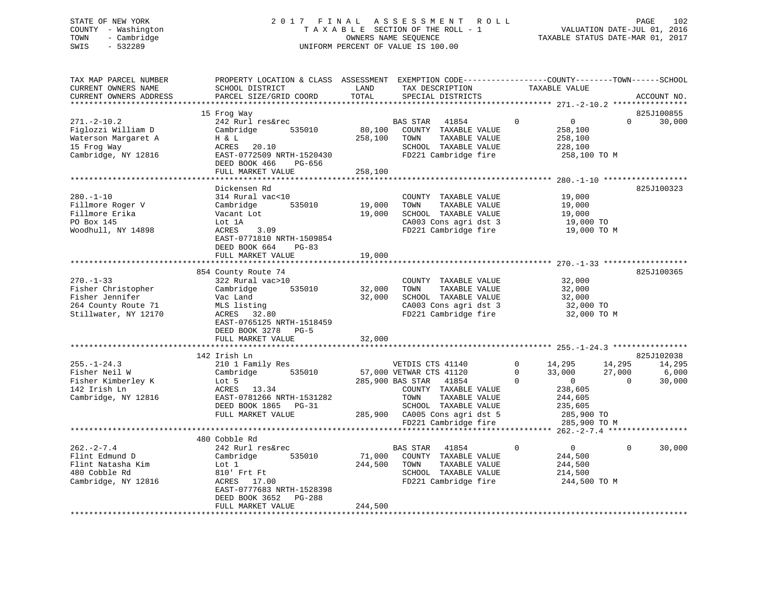# STATE OF NEW YORK 2 0 1 7 F I N A L A S S E S S M E N T R O L L PAGE 102 COUNTY - Washington T A X A B L E SECTION OF THE ROLL - 1 VALUATION DATE-JUL 01, 2016 TOWN - Cambridge OWNERS NAME SEQUENCE TAXABLE STATUS DATE-MAR 01, 2017 SWIS - 532289 UNIFORM PERCENT OF VALUE IS 100.00

| TAX MAP PARCEL NUMBER<br>CURRENT OWNERS NAME<br>CURRENT OWNERS ADDRESS                                  | PROPERTY LOCATION & CLASS ASSESSMENT EXEMPTION CODE----------------COUNTY-------TOWN-----SCHOOL<br>SCHOOL DISTRICT<br>PARCEL SIZE/GRID COORD                                      | LAND<br>TOTAL                | TAX DESCRIPTION<br>SPECIAL DISTRICTS                                                                                                                                                            | TAXABLE VALUE                                                                                                                         | ACCOUNT NO.                                               |
|---------------------------------------------------------------------------------------------------------|-----------------------------------------------------------------------------------------------------------------------------------------------------------------------------------|------------------------------|-------------------------------------------------------------------------------------------------------------------------------------------------------------------------------------------------|---------------------------------------------------------------------------------------------------------------------------------------|-----------------------------------------------------------|
| ***********************                                                                                 | *******************************                                                                                                                                                   |                              |                                                                                                                                                                                                 |                                                                                                                                       |                                                           |
| $271. - 2 - 10.2$                                                                                       | 15 Frog Way<br>242 Rurl res&rec                                                                                                                                                   |                              | BAS STAR<br>41854                                                                                                                                                                               | $\overline{0}$<br>$\Omega$                                                                                                            | 825J100855<br>$\Omega$<br>30,000                          |
| Figlozzi William D<br>Waterson Margaret A<br>15 Frog Way<br>Cambridge, NY 12816                         | Cambridge<br>535010<br>H & L<br>ACRES<br>20.10<br>EAST-0772509 NRTH-1520430<br>DEED BOOK 466<br>PG-656<br>FULL MARKET VALUE                                                       | 80,100<br>258,100<br>258,100 | COUNTY TAXABLE VALUE<br>TOWN<br>TAXABLE VALUE<br>SCHOOL TAXABLE VALUE<br>FD221 Cambridge fire                                                                                                   | 258,100<br>258,100<br>228,100<br>258,100 TO M                                                                                         |                                                           |
|                                                                                                         |                                                                                                                                                                                   |                              |                                                                                                                                                                                                 |                                                                                                                                       |                                                           |
| $280. - 1 - 10$<br>Fillmore Roger V<br>Fillmore Erika<br>PO Box 145<br>Woodhull, NY 14898               | Dickensen Rd<br>314 Rural vac<10<br>535010<br>Cambridge<br>Vacant Lot<br>Lot 1A<br>ACRES<br>3.09<br>EAST-0771810 NRTH-1509854<br>DEED BOOK 664<br>$PG-83$<br>FULL MARKET VALUE    | 19,000<br>19,000<br>19,000   | COUNTY TAXABLE VALUE<br>TOWN<br>TAXABLE VALUE<br>SCHOOL TAXABLE VALUE<br>CA003 Cons agri dst 3<br>FD221 Cambridge fire                                                                          | 19,000<br>19,000<br>19,000<br>19,000 TO<br>19,000 TO M                                                                                | 825J100323                                                |
|                                                                                                         |                                                                                                                                                                                   |                              |                                                                                                                                                                                                 |                                                                                                                                       |                                                           |
| $270. - 1 - 33$<br>Fisher Christopher<br>Fisher Jennifer<br>264 County Route 71<br>Stillwater, NY 12170 | 854 County Route 74<br>322 Rural vac>10<br>535010<br>Cambridge<br>Vac Land<br>MLS listing<br>ACRES 32.80<br>EAST-0765125 NRTH-1518459<br>DEED BOOK 3278 PG-5<br>FULL MARKET VALUE | 32,000<br>32,000<br>32,000   | COUNTY TAXABLE VALUE<br>TAXABLE VALUE<br>TOWN<br>SCHOOL TAXABLE VALUE<br>CA003 Cons agri dst 3<br>FD221 Cambridge fire                                                                          | 32,000<br>32,000<br>32,000<br>32,000 TO<br>32,000 TO M                                                                                | 825J100365                                                |
|                                                                                                         | 142 Irish Ln                                                                                                                                                                      |                              |                                                                                                                                                                                                 |                                                                                                                                       | 825J102038                                                |
| $255. - 1 - 24.3$<br>Fisher Neil W<br>Fisher Kimberley K<br>142 Irish Ln<br>Cambridge, NY 12816         | 210 1 Family Res<br>535010<br>Cambridge<br>Lot 5<br>ACRES 13.34<br>EAST-0781266 NRTH-1531282<br>DEED BOOK 1865 PG-31<br>FULL MARKET VALUE                                         | 285,900                      | VETDIS CTS 41140<br>57,000 VETWAR CTS 41120<br>285,900 BAS STAR 41854<br>COUNTY TAXABLE VALUE<br>TOWN<br>TAXABLE VALUE<br>SCHOOL TAXABLE VALUE<br>CA005 Cons agri dst 5<br>FD221 Cambridge fire | $\Omega$<br>14,295<br>33,000<br>$\Omega$<br>$\overline{0}$<br>$\Omega$<br>238,605<br>244,605<br>235,605<br>285,900 TO<br>285,900 TO M | 14,295<br>14,295<br>27,000<br>6,000<br>$\Omega$<br>30,000 |
|                                                                                                         |                                                                                                                                                                                   |                              |                                                                                                                                                                                                 |                                                                                                                                       |                                                           |
| $262 - 2 - 7.4$<br>Flint Edmund D<br>Flint Natasha Kim<br>480 Cobble Rd<br>Cambridge, NY 12816          | 480 Cobble Rd<br>242 Rurl res&rec<br>535010<br>Cambridge<br>Lot 1<br>810' Frt Ft<br>ACRES 17.00<br>EAST-0777683 NRTH-1528398<br>DEED BOOK 3652<br>PG-288                          | 71,000<br>244,500            | BAS STAR<br>41854<br>COUNTY TAXABLE VALUE<br>TOWN<br>TAXABLE VALUE<br>SCHOOL TAXABLE VALUE<br>FD221 Cambridge fire                                                                              | $\Omega$<br>$\overline{0}$<br>244,500<br>244,500<br>214,500<br>244,500 TO M                                                           | $\Omega$<br>30,000                                        |
|                                                                                                         | FULL MARKET VALUE                                                                                                                                                                 | 244,500                      |                                                                                                                                                                                                 |                                                                                                                                       |                                                           |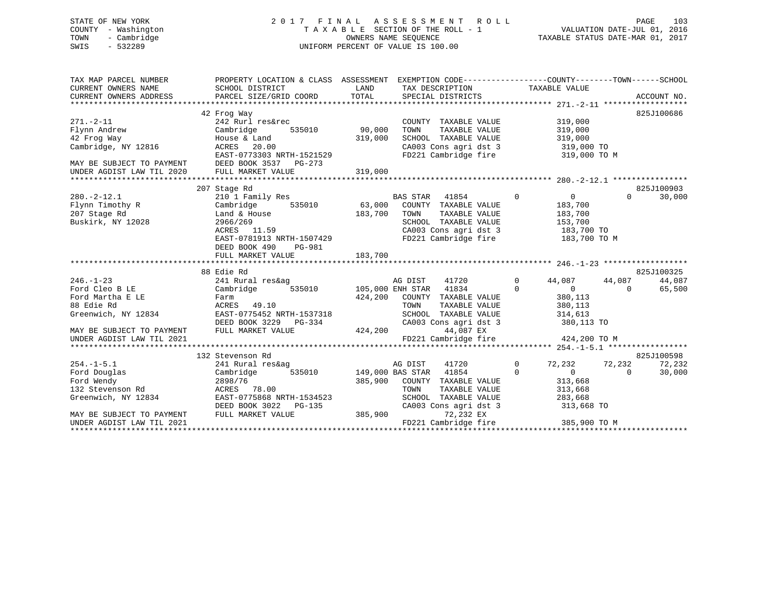# STATE OF NEW YORK 2 0 1 7 F I N A L A S S E S S M E N T R O L L PAGE 103 COUNTY - Washington T A X A B L E SECTION OF THE ROLL - 1 VALUATION DATE-JUL 01, 2016 TOWN - Cambridge OWNERS NAME SEQUENCE TAXABLE STATUS DATE-MAR 01, 2017 SWIS - 532289 UNIFORM PERCENT OF VALUE IS 100.00

| TAX MAP PARCEL NUMBER<br>CURRENT OWNERS NAME<br>CURRENT OWNERS ADDRESS                             | PROPERTY LOCATION & CLASS ASSESSMENT EXEMPTION CODE----------------COUNTY-------TOWN------SCHOOL<br>SCHOOL DISTRICT<br>PARCEL SIZE/GRID COORD | LAND<br>TOTAL                      | TAX DESCRIPTION TAXABLE VALUE<br>SPECIAL DISTRICTS                                                                                                               |                                                                                                           |                    | ACCOUNT NO.      |
|----------------------------------------------------------------------------------------------------|-----------------------------------------------------------------------------------------------------------------------------------------------|------------------------------------|------------------------------------------------------------------------------------------------------------------------------------------------------------------|-----------------------------------------------------------------------------------------------------------|--------------------|------------------|
| $271. - 2 - 11$<br>Flynn Andrew<br>42 Frog Way<br>Cambridge, NY 12816<br>MAY BE SUBJECT TO PAYMENT | 42 Frog Way<br>242 Rurl res&rec<br>535010<br>Cambridge<br>House & Land<br>ACRES 20.00<br>EAST-0773303 NRTH-1521529<br>DEED BOOK 3537 PG-273   | 90,000<br>319,000                  | COUNTY TAXABLE VALUE<br>TAXABLE VALUE<br>TOWN<br>SCHOOL TAXABLE VALUE<br>CA003 Cons agri dst 3 319,000 TO<br>FD221 Cambridge fire 319,000 TO M                   | 319,000<br>319,000<br>319,000                                                                             |                    | 825J100686       |
| UNDER AGDIST LAW TIL 2020                                                                          | FULL MARKET VALUE                                                                                                                             | 319,000                            |                                                                                                                                                                  |                                                                                                           |                    |                  |
|                                                                                                    | 207 Stage Rd                                                                                                                                  |                                    |                                                                                                                                                                  |                                                                                                           |                    | 825J100903       |
| $280. - 2 - 12.1$<br>Flynn Timothy R<br>207 Stage Rd<br>Buskirk, NY 12028                          | 210 1 Family Res<br>Cambridge<br>Land & House<br>2966/269<br>ACRES 11.59<br>EAST-0781913 NRTH-1507429<br>DEED BOOK 490<br>PG-981              | 183,700                            | <b>BAS STAR</b><br>41854<br>535010 63,000 COUNTY TAXABLE VALUE<br>TOWN<br>TAXABLE VALUE<br>SCHOOL TAXABLE VALUE<br>CA003 Cons agri dst 3<br>FD221 Cambridge fire | $\Omega$<br>$\overline{0}$<br>183,700<br>183,700<br>153,700<br>$133,700$ TO<br>183,700 TO<br>183,700 TO M | $\Omega$           | 30,000           |
|                                                                                                    | FULL MARKET VALUE                                                                                                                             | 183,700                            |                                                                                                                                                                  |                                                                                                           |                    |                  |
|                                                                                                    |                                                                                                                                               |                                    |                                                                                                                                                                  |                                                                                                           |                    |                  |
|                                                                                                    | 88 Edie Rd                                                                                                                                    |                                    |                                                                                                                                                                  |                                                                                                           |                    | 825J100325       |
| $246. - 1 - 23$<br>Ford Cleo B LE<br>Ford Martha E LE<br>88 Edie Rd<br>Greenwich, NY 12834         | 241 Rural res&ag<br>Cambridge<br>535010<br>Farm<br>ACRES 49.10<br>EAST-0775452 NRTH-1537318<br>DEED BOOK 3229 PG-334                          | 424,200                            | AG DIST<br>41720<br>105,000 ENH STAR 41834<br>COUNTY TAXABLE VALUE<br>TOWN<br>TAXABLE VALUE<br>SCHOOL TAXABLE VALUE<br>CA003 Cons agri dst 3                     | $\Omega$<br>44,087<br>$\overline{0}$<br>$\Omega$<br>380,113<br>380,113<br>314,613<br>380,113 TO           | 44,087<br>$\Omega$ | 44,087<br>65,500 |
| MAY BE SUBJECT TO PAYMENT                                                                          | FULL MARKET VALUE                                                                                                                             | 424,200                            | 44,087 EX                                                                                                                                                        |                                                                                                           |                    |                  |
| UNDER AGDIST LAW TIL 2021                                                                          |                                                                                                                                               |                                    | FD221 Cambridge fire                                                                                                                                             | 424,200 TO M                                                                                              |                    |                  |
|                                                                                                    | 132 Stevenson Rd                                                                                                                              |                                    |                                                                                                                                                                  |                                                                                                           |                    | 825J100598       |
| $254. -1 - 5.1$<br>Ford Douglas<br>Ford Wendy<br>132 Stevenson Rd<br>Greenwich, NY 12834           | 241 Rural res&ag<br>Cambridge<br>2898/76<br>ACRES 78.00<br>EAST-0775868 NRTH-1534523                                                          | 535010 149,000 BAS STAR<br>385,900 | AG DIST<br>41720<br>41854<br>COUNTY TAXABLE VALUE<br>TOWN<br>TAXABLE VALUE<br>SCHOOL TAXABLE VALUE                                                               | $\mathbf{0}$<br>72,232<br>$\Omega$<br>$\overline{0}$<br>313,668<br>313,668<br>283,668                     | 72,232<br>$\Omega$ | 72,232<br>30,000 |
| MAY BE SUBJECT TO PAYMENT<br>UNDER AGDIST LAW TIL 2021                                             | DEED BOOK 3022<br>PG-135<br>FULL MARKET VALUE                                                                                                 | 385,900                            | CA003 Cons agri dst 3<br>72,232 EX<br>FD221 Cambridge fire                                                                                                       | 313,668 TO<br>385,900 TO M                                                                                |                    |                  |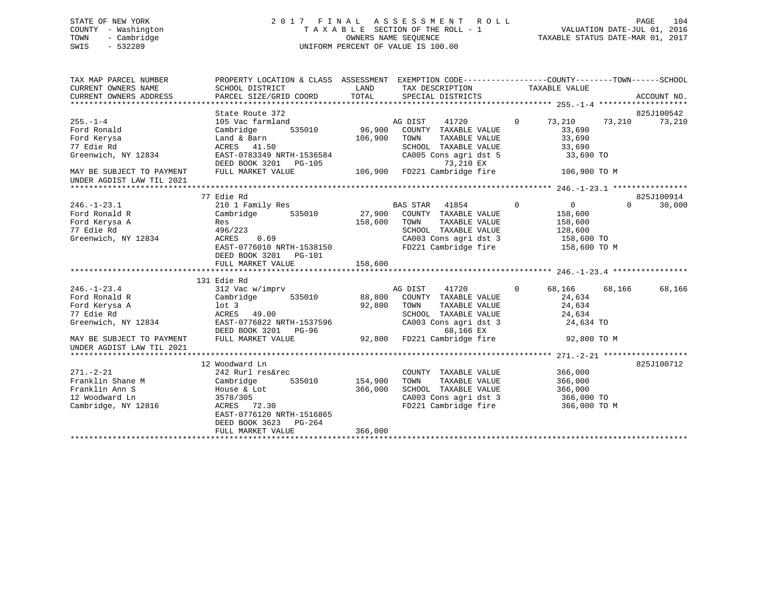# STATE OF NEW YORK 2 0 1 7 F I N A L A S S E S S M E N T R O L L PAGE 104 COUNTY - Washington T A X A B L E SECTION OF THE ROLL - 1 VALUATION DATE-JUL 01, 2016 TOWN - Cambridge OWNERS NAME SEQUENCE TAXABLE STATUS DATE-MAR 01, 2017 SWIS - 532289 UNIFORM PERCENT OF VALUE IS 100.00

| TAX MAP PARCEL NUMBER<br>CURRENT OWNERS NAME<br>CURRENT OWNERS ADDRESS | PROPERTY LOCATION & CLASS ASSESSMENT<br>SCHOOL DISTRICT<br>PARCEL SIZE/GRID COORD | LAND<br>TOTAL | EXEMPTION CODE-----------------COUNTY-------TOWN------SCHOOL<br>TAX DESCRIPTION TAXABLE VALUE<br>SPECIAL DISTRICTS |                |                |          | ACCOUNT NO. |
|------------------------------------------------------------------------|-----------------------------------------------------------------------------------|---------------|--------------------------------------------------------------------------------------------------------------------|----------------|----------------|----------|-------------|
|                                                                        | State Route 372                                                                   |               |                                                                                                                    |                |                |          | 825J100542  |
| $255. - 1 - 4$                                                         | 105 Vac farmland                                                                  |               | AG DIST<br>41720                                                                                                   | $\Omega$       | 73,210         | 73,210   | 73,210      |
| Ford Ronald                                                            | 535010<br>Cambridge                                                               | 96,900        | COUNTY TAXABLE VALUE                                                                                               |                | 33,690         |          |             |
| Ford Kerysa                                                            | Land & Barn                                                                       | 106,900       | TOWN<br>TAXABLE VALUE                                                                                              |                | 33,690         |          |             |
| 77 Edie Rd                                                             | ACRES 41.50                                                                       |               | SCHOOL TAXABLE VALUE                                                                                               |                | 33,690         |          |             |
| Greenwich, NY 12834                                                    | EAST-0783349 NRTH-1536584<br>DEED BOOK 3201 PG-105                                |               | CA005 Cons agri dst 5<br>73,210 EX                                                                                 |                | 33,690 TO      |          |             |
| MAY BE SUBJECT TO PAYMENT                                              | FULL MARKET VALUE                                                                 |               | 106,900 FD221 Cambridge fire                                                                                       |                | 106,900 TO M   |          |             |
| UNDER AGDIST LAW TIL 2021                                              |                                                                                   |               |                                                                                                                    |                |                |          |             |
|                                                                        |                                                                                   |               |                                                                                                                    |                |                |          |             |
|                                                                        | 77 Edie Rd                                                                        |               |                                                                                                                    |                |                |          | 825J100914  |
| $246. - 1 - 23.1$                                                      | 210 1 Family Res                                                                  |               | BAS STAR 41854                                                                                                     | $\Omega$       | $\overline{0}$ | $\Omega$ | 30,000      |
| Ford Ronald R                                                          | 535010<br>Cambridge                                                               | 27,900        | COUNTY TAXABLE VALUE                                                                                               |                | 158,600        |          |             |
| Ford Kerysa A                                                          | Res                                                                               | 158,600       | TOWN<br>TAXABLE VALUE                                                                                              |                | 158,600        |          |             |
| 77 Edie Rd                                                             | 496/223                                                                           |               | SCHOOL TAXABLE VALUE                                                                                               |                | 128,600        |          |             |
| Greenwich, NY 12834                                                    | 0.69<br>ACRES                                                                     |               | CA003 Cons agri dst 3                                                                                              |                | 158,600 TO     |          |             |
|                                                                        | EAST-0776010 NRTH-1538150                                                         |               | FD221 Cambridge fire                                                                                               |                | 158,600 TO M   |          |             |
|                                                                        | DEED BOOK 3201 PG-101                                                             |               |                                                                                                                    |                |                |          |             |
|                                                                        | FULL MARKET VALUE                                                                 | 158,600       |                                                                                                                    |                |                |          |             |
|                                                                        |                                                                                   |               |                                                                                                                    |                |                |          |             |
|                                                                        | 131 Edie Rd                                                                       |               |                                                                                                                    |                |                |          |             |
| $246. - 1 - 23.4$                                                      | 312 Vac w/imprv                                                                   |               | AG DIST<br>41720                                                                                                   | $\overline{0}$ | 68,166         | 68,166   | 68,166      |
| Ford Ronald R                                                          | 535010<br>Cambridge                                                               |               | 88,800 COUNTY TAXABLE VALUE                                                                                        |                | 24,634         |          |             |
| Ford Kerysa A                                                          | $1$ ot $3$                                                                        | 92,800        | TOWN<br>TAXABLE VALUE                                                                                              |                | 24,634         |          |             |
| 77 Edie Rd                                                             | ACRES 49.00                                                                       |               | SCHOOL TAXABLE VALUE                                                                                               |                | 24,634         |          |             |
| Greenwich, NY 12834                                                    | EAST-0776822 NRTH-1537596                                                         |               | CA003 Cons agri dst 3                                                                                              |                | 24,634 TO      |          |             |
|                                                                        | DEED BOOK 3201 PG-96                                                              |               | 68,166 EX                                                                                                          |                |                |          |             |
| MAY BE SUBJECT TO PAYMENT<br>UNDER AGDIST LAW TIL 2021                 | FULL MARKET VALUE                                                                 | 92,800        | FD221 Cambridge fire                                                                                               |                | 92,800 TO M    |          |             |
|                                                                        |                                                                                   |               |                                                                                                                    |                |                |          |             |
|                                                                        | 12 Woodward Ln                                                                    |               |                                                                                                                    |                |                |          | 825J100712  |
| $271. - 2 - 21$                                                        | 242 Rurl res&rec                                                                  |               | COUNTY TAXABLE VALUE                                                                                               |                | 366,000        |          |             |
| Franklin Shane M                                                       | Cambridge<br>535010                                                               | 154,900       | TOWN<br>TAXABLE VALUE                                                                                              |                | 366,000        |          |             |
| Franklin Ann S                                                         | House & Lot                                                                       | 366,000       | SCHOOL TAXABLE VALUE                                                                                               |                | 366,000        |          |             |
| 12 Woodward Ln                                                         | 3578/305                                                                          |               | CA003 Cons agri dst 3                                                                                              |                | 366,000 TO     |          |             |
| Cambridge, NY 12816                                                    | ACRES 72.30                                                                       |               | FD221 Cambridge fire                                                                                               |                | 366,000 TO M   |          |             |
|                                                                        | EAST-0776120 NRTH-1516865                                                         |               |                                                                                                                    |                |                |          |             |
|                                                                        | DEED BOOK 3623<br>PG-264                                                          |               |                                                                                                                    |                |                |          |             |
|                                                                        | FULL MARKET VALUE                                                                 | 366,000       |                                                                                                                    |                |                |          |             |
|                                                                        |                                                                                   |               |                                                                                                                    |                |                |          |             |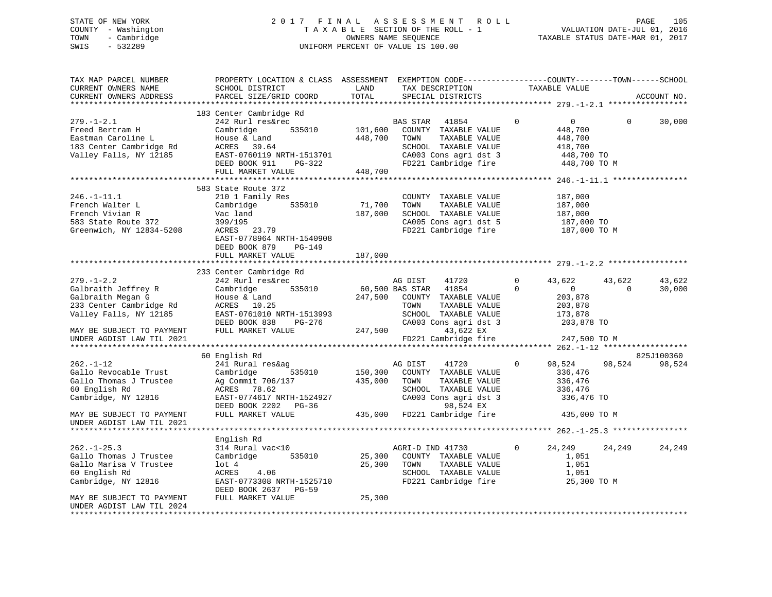# STATE OF NEW YORK 2 0 1 7 F I N A L A S S E S S M E N T R O L L PAGE 105 COUNTY - Washington T A X A B L E SECTION OF THE ROLL - 1 VALUATION DATE-JUL 01, 2016 TOWN - Cambridge OWNERS NAME SEQUENCE TAXABLE STATUS DATE-MAR 01, 2017 SWIS - 532289 UNIFORM PERCENT OF VALUE IS 100.00

| TAX MAP PARCEL NUMBER<br>CURRENT OWNERS NAME<br>CURRENT OWNERS ADDRESS                                                                                                      | PROPERTY LOCATION & CLASS ASSESSMENT EXEMPTION CODE----------------COUNTY-------TOWN------SCHOOL<br>SCHOOL DISTRICT<br>PARCEL SIZE/GRID COORD                                                                 | LAND<br>TOTAL                 | TAX DESCRIPTION<br>SPECIAL DISTRICTS                                                                                                                                                               | TAXABLE VALUE                                                                                                                               | ACCOUNT NO.          |                  |
|-----------------------------------------------------------------------------------------------------------------------------------------------------------------------------|---------------------------------------------------------------------------------------------------------------------------------------------------------------------------------------------------------------|-------------------------------|----------------------------------------------------------------------------------------------------------------------------------------------------------------------------------------------------|---------------------------------------------------------------------------------------------------------------------------------------------|----------------------|------------------|
| $279. - 1 - 2.1$<br>Freed Bertram H<br>Eastman Caroline L<br>183 Center Cambridge Rd<br>Valley Falls, NY 12185                                                              | 183 Center Cambridge Rd<br>242 Rurl res&rec<br>Cambridge<br>535010<br>House & Land<br>ACRES 39.64<br>EAST-0760119 NRTH-1513701<br>DEED BOOK 911<br>PG-322<br>FULL MARKET VALUE                                | 101,600<br>448,700<br>448,700 | BAS STAR<br>41854<br>COUNTY TAXABLE VALUE<br>TOWN<br>TAXABLE VALUE<br>SCHOOL TAXABLE VALUE<br>CA003 Cons agri dst 3 448,700 TO<br>FD221 Cambridge fire 448,700 TO M                                | $\mathbf{0}$<br>0<br>448,700<br>448,700<br>418,700                                                                                          | $\Omega$             | 30,000           |
| $246. - 1 - 11.1$<br>French Walter L<br>French Vivian R<br>583 State Route 372<br>Greenwich, NY 12834-5208                                                                  | 583 State Route 372<br>210 1 Family Res<br>535010<br>Cambridge<br>Vac land<br>399/195<br>ACRES 23.79<br>EAST-0778964 NRTH-1540908<br>DEED BOOK 879<br>PG-149<br>FULL MARKET VALUE                             | 71,700<br>187,000<br>187,000  | COUNTY TAXABLE VALUE<br>TAXABLE VALUE<br>TOWN<br>SCHOOL TAXABLE VALUE<br>CA005 Cons agri dst 5<br>FD221 Cambridge fire                                                                             | 187,000<br>187,000<br>187,000<br>187,000 TO<br>187,000 TO M                                                                                 |                      |                  |
| $279. - 1 - 2.2$<br>Galbraith Jeffrey R<br>Galbraith Megan G<br>233 Center Cambridge Rd<br>Valley Falls, NY 12185<br>MAY BE SUBJECT TO PAYMENT<br>UNDER AGDIST LAW TIL 2021 | 233 Center Cambridge Rd<br>242 Rurl res&rec<br>Cambridge<br>House & Land<br>ACRES 10.25<br>EAST-0761010 NRTH-1513993<br>DEED BOOK 838<br>PG-276<br>FULL MARKET VALUE<br>************************************* | 247,500                       | AG DIST<br>41720<br>535010 60,500 BAS STAR<br>41854<br>247,500 COUNTY TAXABLE VALUE<br>TOWN<br>TAXABLE VALUE<br>SCHOOL TAXABLE VALUE<br>CA003 Cons agri dst 3<br>43,622 EX<br>FD221 Cambridge fire | 43,622<br>0<br>$\Omega$<br>$\overline{0}$<br>203,878<br>203,878<br>173,878<br>203,878 TO<br>247,500 TO M<br>********* 262.-1-12 *********** | 43,622<br>$\Omega$   | 43,622<br>30,000 |
| $262. - 1 - 12$<br>Gallo Revocable Trust<br>Gallo Thomas J Trustee<br>60 English Rd<br>Cambridge, NY 12816<br>MAY BE SUBJECT TO PAYMENT<br>UNDER AGDIST LAW TIL 2021        | 60 English Rd<br>241 Rural res&ag<br>Cambridge<br>535010<br>Ag Commit 706/137<br>ACRES 78.62<br>EAST-0774617 NRTH-1524927<br>DEED BOOK 2202 PG-36<br>FULL MARKET VALUE                                        | 150,300<br>435,000            | AG DIST<br>41720<br>COUNTY TAXABLE VALUE<br>TOWN<br>TAXABLE VALUE<br>SCHOOL TAXABLE VALUE<br>CA003 Cons agri dst 3<br>98,524 EX<br>435,000 FD221 Cambridge fire                                    | 98,524<br>$\mathbf{0}$<br>336,476<br>336,476<br>336,476<br>336,476 TO<br>435,000 TO M                                                       | 825J100360<br>98,524 | 98,524           |
| $262. - 1 - 25.3$<br>Gallo Thomas J Trustee<br>Gallo Marisa V Trustee<br>60 English Rd<br>Cambridge, NY 12816<br>MAY BE SUBJECT TO PAYMENT<br>UNDER AGDIST LAW TIL 2024     | English Rd<br>314 Rural vac<10<br>Cambridge<br>535010<br>lot 4<br>ACRES<br>4.06<br>EAST-0773308 NRTH-1525710<br>DEED BOOK 2637 PG-59<br>FULL MARKET VALUE                                                     | 25,300<br>25,300<br>25,300    | AGRI-D IND 41730<br>COUNTY TAXABLE VALUE<br>TOWN<br>TAXABLE VALUE<br>SCHOOL TAXABLE VALUE<br>FD221 Cambridge fire                                                                                  | 24,249<br>$\mathbf{0}$<br>1,051<br>1,051<br>1,051<br>25,300 TO M                                                                            | 24,249               | 24,249           |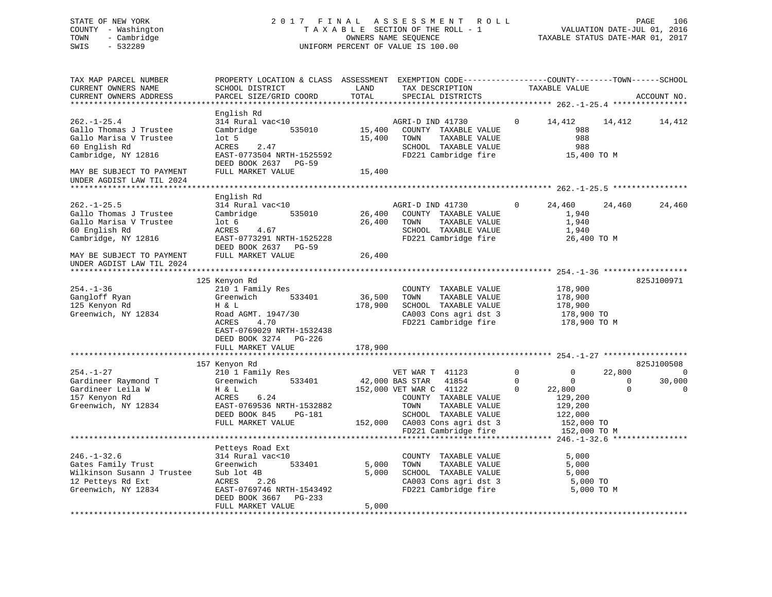STATE OF NEW YORK 2 0 1 7 F I N A L A S S E S S M E N T R O L L PAGE 106 COUNTY - Washington T A X A B L E SECTION OF THE ROLL - 1 VALUATION DATE-JUL 01, 2016 TOWN - Cambridge OWNERS NAME SEQUENCE TAXABLE STATUS DATE-MAR 01, 2017 SWIS - 532289 UNIFORM PERCENT OF VALUE IS 100.00 TAX MAP PARCEL NUMBER PROPERTY LOCATION & CLASS ASSESSMENT EXEMPTION CODE------------------COUNTY--------TOWN------SCHOOL CURRENT OWNERS NAME SCHOOL DISTRICT THE LAND TAX DESCRIPTION TAXABLE VALUE CURRENT OWNERS ADDRESS PARCEL SIZE/GRID COORD TOTAL SPECIAL DISTRICTS ACCOUNT NO. \*\*\*\*\*\*\*\*\*\*\*\*\*\*\*\*\*\*\*\*\*\*\*\*\*\*\*\*\*\*\*\*\*\*\*\*\*\*\*\*\*\*\*\*\*\*\*\*\*\*\*\*\*\*\*\*\*\*\*\*\*\*\*\*\*\*\*\*\*\*\*\*\*\*\*\*\*\*\*\*\*\*\*\*\*\*\*\*\*\*\*\*\*\*\*\*\*\*\*\*\*\*\* 262.-1-25.4 \*\*\*\*\*\*\*\*\*\*\*\*\*\*\*\* English Rd<br>314 Rural vac<10 262.-1-25.4 314 Rural vac<10 AGRI-D IND 41730 0 14,412 14,412 14,412 Gallo Thomas J Trustee Cambridge 535010 15,400 COUNTY TAXABLE VALUE 988 Gallo Marisa V Trustee lot 5 15,400 TOWN TAXABLE VALUE 988 60 English Rd ACRES 2.47 SCHOOL TAXABLE VALUE 988 ERRAND MORRES 1.47 SCHOOL TAXABLE VALUE 988<br>Cambridge, NY 12816 EAST-0773504 NRTH-1525592 FD221 Cambridge fire 15,400 TO M DEED BOOK 2637 PG-59 MAY BE SUBJECT TO PAYMENT FULL MARKET VALUE UNDER AGDIST LAW TIL 2024 \*\*\*\*\*\*\*\*\*\*\*\*\*\*\*\*\*\*\*\*\*\*\*\*\*\*\*\*\*\*\*\*\*\*\*\*\*\*\*\*\*\*\*\*\*\*\*\*\*\*\*\*\*\*\*\*\*\*\*\*\*\*\*\*\*\*\*\*\*\*\*\*\*\*\*\*\*\*\*\*\*\*\*\*\*\*\*\*\*\*\*\*\*\*\*\*\*\*\*\*\*\*\* 262.-1-25.5 \*\*\*\*\*\*\*\*\*\*\*\*\*\*\*\* English Rd 262.-1-25.5 314 Rural vac<10 AGRI-D IND 41730 0 24,460 24,460 24,460 Gallo Thomas J Trustee Cambridge 535010 26,400 COUNTY TAXABLE VALUE 1,940 Gallo Marisa V Trustee lot 6 26,400 TOWN TAXABLE VALUE 1,940 60 English Rd ACRES 4.67 SCHOOL TAXABLE VALUE 1,940 Cambridge, NY 12816 EAST-0773291 NRTH-1525228 FD221 Cambridge fire 26,400 TO M Cambridge, NY 12816 EAST-0773291 NRTH-1525228<br>DEED BOOK 2637 PG-59 MAY BE SUBJECT TO PAYMENT FULL MARKET VALUE 26,400 UNDER AGDIST LAW TIL 2024 \*\*\*\*\*\*\*\*\*\*\*\*\*\*\*\*\*\*\*\*\*\*\*\*\*\*\*\*\*\*\*\*\*\*\*\*\*\*\*\*\*\*\*\*\*\*\*\*\*\*\*\*\*\*\*\*\*\*\*\*\*\*\*\*\*\*\*\*\*\*\*\*\*\*\*\*\*\*\*\*\*\*\*\*\*\*\*\*\*\*\*\*\*\*\*\*\*\*\*\*\*\*\* 254.-1-36 \*\*\*\*\*\*\*\*\*\*\*\*\*\*\*\*\*\* 125 Kenyon Rd 825J100971 254.-1-36 210 1 Family Res COUNTY TAXABLE VALUE 178,900 Gangloff Ryan Greenwich 533401 36,500 TOWN TAXABLE VALUE 178,900 125 Kenyon Rd H & L 178,900 SCHOOL TAXABLE VALUE 178,900 Greenwich, NY 12834 Road AGMT. 1947/30 CA003 Cons agri dst 3 178,900 TO ACRES 4.70 FD221 Cambridge fire 178,900 TO M EAST-0769029 NRTH-1532438 DEED BOOK 3274 PG-226FULL MARKET VALUE 178,900 \*\*\*\*\*\*\*\*\*\*\*\*\*\*\*\*\*\*\*\*\*\*\*\*\*\*\*\*\*\*\*\*\*\*\*\*\*\*\*\*\*\*\*\*\*\*\*\*\*\*\*\*\*\*\*\*\*\*\*\*\*\*\*\*\*\*\*\*\*\*\*\*\*\*\*\*\*\*\*\*\*\*\*\*\*\*\*\*\*\*\*\*\*\*\*\*\*\*\*\*\*\*\* 254.-1-27 \*\*\*\*\*\*\*\*\*\*\*\*\*\*\*\*\*\* 157 Kenyon Rd 825J100508 254.-1-27 210 1 Family Res VET WAR T 41123 0 0 22,800 0 Gardineer Raymond T Greenwich 533401 42,000 BAS STAR 41854 0 0 0 30,000 Gardineer Leila W H & L 152,000 VET WAR C 41122 0 22,800 0 0 157 Kenyon Rd ACRES 6.24 COUNTY TAXABLE VALUE 129,200 Greenwich, NY 12834 EAST-0769536 NRTH-1532882 TOWN TAXABLE VALUE 129,200 DEED BOOK 845 PG-181 SCHOOL TAXABLE VALUE 122,000 FULL MARKET VALUE 152,000 CA003 Cons agri dst 3 152,000 TO FULL MARKET VALUE 152,000 CA003 Cons agri dst 3 152,000 TO M<br>FD221 Cambridge fire 152,000 TO M \*\*\*\*\*\*\*\*\*\*\*\*\*\*\*\*\*\*\*\*\*\*\*\*\*\*\*\*\*\*\*\*\*\*\*\*\*\*\*\*\*\*\*\*\*\*\*\*\*\*\*\*\*\*\*\*\*\*\*\*\*\*\*\*\*\*\*\*\*\*\*\*\*\*\*\*\*\*\*\*\*\*\*\*\*\*\*\*\*\*\*\*\*\*\*\*\*\*\*\*\*\*\* 246.-1-32.6 \*\*\*\*\*\*\*\*\*\*\*\*\*\*\*\*

|                            | Petteys Road Ext          |       |                         |            |
|----------------------------|---------------------------|-------|-------------------------|------------|
| $246. - 1 - 32.6$          | 314 Rural vac<10          |       | TAXABLE VALUE<br>COUNTY | 5,000      |
| Gates Family Trust         | Greenwich<br>533401       | 5,000 | TAXABLE VALUE<br>TOWN   | 5,000      |
| Wilkinson Susann J Trustee | Sub lot 4B                | 5,000 | TAXABLE VALUE<br>SCHOOL | 5,000      |
| 12 Petteys Rd Ext          | 2.26<br>ACRES             |       | CA003 Cons agri dst 3   | 5,000 TO   |
| Greenwich, NY 12834        | EAST-0769746 NRTH-1543492 |       | FD221 Cambridge fire    | 5,000 TO M |
|                            | DEED BOOK 3667 PG-233     |       |                         |            |
|                            | FULL MARKET VALUE         | 5,000 |                         |            |
|                            |                           |       |                         |            |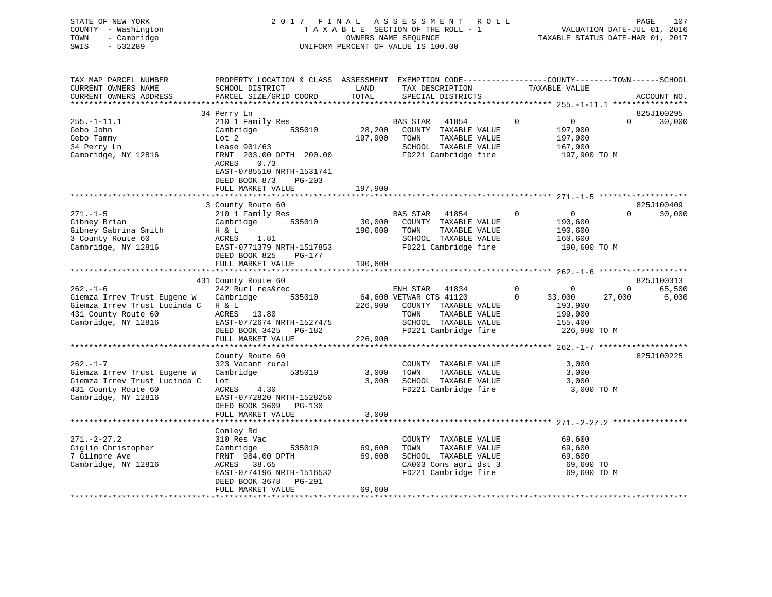| 2017 FINAL ASSESSMENT ROLL         | 107<br>PAGE                      |
|------------------------------------|----------------------------------|
| TAXABLE SECTION OF THE ROLL - 1    | VALUATION DATE-JUL 01, 2016      |
| OWNERS NAME SEOUENCE               | TAXABLE STATUS DATE-MAR 01, 2017 |
| UNIFORM PERCENT OF VALUE IS 100.00 |                                  |
|                                    |                                  |
|                                    |                                  |
|                                    |                                  |

| TAX MAP PARCEL NUMBER<br>CURRENT OWNERS NAME<br>CURRENT OWNERS ADDRESS                                                     | PROPERTY LOCATION & CLASS ASSESSMENT EXEMPTION CODE---------------COUNTY-------TOWN------SCHOOL<br>SCHOOL DISTRICT<br>PARCEL SIZE/GRID COORD                        | LAND<br>TOTAL              | TAX DESCRIPTION<br>SPECIAL DISTRICTS                                                                                      | TAXABLE VALUE                                                                   | ACCOUNT NO.            |
|----------------------------------------------------------------------------------------------------------------------------|---------------------------------------------------------------------------------------------------------------------------------------------------------------------|----------------------------|---------------------------------------------------------------------------------------------------------------------------|---------------------------------------------------------------------------------|------------------------|
|                                                                                                                            |                                                                                                                                                                     |                            |                                                                                                                           |                                                                                 |                        |
|                                                                                                                            | 34 Perry Ln                                                                                                                                                         |                            |                                                                                                                           |                                                                                 | 825J100295             |
| $255. - 1 - 11.1$<br>Gebo John<br>Gebo Tammy<br>34 Perry Ln<br>Cambridge, NY 12816                                         | 210 1 Family Res<br>Cambridge 535010<br>Lot 2<br>Lease 901/63<br>FRNT 203.00 DPTH 200.00<br>0.73<br>ACRES<br>EAST-0785510 NRTH-1531741<br>DEED BOOK 873<br>$PG-203$ | 28,200<br>197,900          | BAS STAR<br>41854<br>COUNTY TAXABLE VALUE<br>TOWN<br>TAXABLE VALUE<br>SCHOOL TAXABLE VALUE<br>FD221 Cambridge fire        | $\mathbf{0}$<br>$\overline{0}$<br>197,900<br>197,900<br>167,900<br>197,900 TO M | $\Omega$<br>30,000     |
|                                                                                                                            | FULL MARKET VALUE                                                                                                                                                   | 197,900                    |                                                                                                                           |                                                                                 |                        |
|                                                                                                                            |                                                                                                                                                                     |                            |                                                                                                                           |                                                                                 |                        |
|                                                                                                                            | 3 County Route 60                                                                                                                                                   |                            |                                                                                                                           |                                                                                 | 825J100409             |
| $271. - 1 - 5$<br>Gibney Brian<br>Gibney Sabrina Smith<br>3 County Route 60<br>Cambridge, NY 12816                         | 210 1 Family Res<br>Cambridge 535010<br>H & L<br>1.81<br>ACRES<br>EAST-0771379 NRTH-1517853<br>DEED BOOK 825<br>PG-177                                              | 190,600                    | BAS STAR<br>41854<br>30,000 COUNTY TAXABLE VALUE<br>TAXABLE VALUE<br>TOWN<br>SCHOOL TAXABLE VALUE<br>FD221 Cambridge fire | $\Omega$<br>$\overline{0}$<br>190,600<br>190,600<br>160,600<br>190,600 TO M     | $\Omega$<br>30,000     |
|                                                                                                                            | FULL MARKET VALUE                                                                                                                                                   | 190,600                    |                                                                                                                           |                                                                                 |                        |
|                                                                                                                            |                                                                                                                                                                     |                            |                                                                                                                           |                                                                                 |                        |
|                                                                                                                            | 431 County Route 60                                                                                                                                                 |                            |                                                                                                                           |                                                                                 | 825J100313             |
| $262. - 1 - 6$                                                                                                             | 242 Rurl res&rec                                                                                                                                                    |                            | ENH STAR 41834                                                                                                            | $\mathbf 0$<br>$\mathbf 0$                                                      | 65,500<br>$\mathbf{0}$ |
| Giemza Irrev Trust Eugene W<br>Giemza Irrev Trust Lucinda C<br>431 County Route 60<br>Cambridge, NY 12816                  | 535010<br>Cambridge<br>H & L<br>ACRES 13.80<br>EAST-0772674 NRTH-1527475<br>DEED BOOK 3425 PG-182                                                                   | 226,900                    | 64,600 VETWAR CTS 41120<br>COUNTY TAXABLE VALUE<br>TOWN<br>TAXABLE VALUE<br>SCHOOL TAXABLE VALUE<br>FD221 Cambridge fire  | $\Omega$<br>33,000<br>193,900<br>199,900<br>155,400<br>226,900 TO M             | 6,000<br>27,000        |
|                                                                                                                            | FULL MARKET VALUE                                                                                                                                                   | 226,900                    |                                                                                                                           |                                                                                 |                        |
|                                                                                                                            |                                                                                                                                                                     |                            |                                                                                                                           |                                                                                 |                        |
| $262 - 1 - 7$<br>Giemza Irrev Trust Eugene W<br>Giemza Irrev Trust Lucinda C<br>431 County Route 60<br>Cambridge, NY 12816 | County Route 60<br>323 Vacant rural<br>Cambridge<br>535010<br>Lot<br>ACRES<br>4.30<br>EAST-0772820 NRTH-1528250<br>DEED BOOK 3609 PG-130<br>FULL MARKET VALUE       | 3,000<br>3,000<br>3,000    | COUNTY TAXABLE VALUE<br>TAXABLE VALUE<br>TOWN<br>SCHOOL TAXABLE VALUE<br>FD221 Cambridge fire                             | 3,000<br>3,000<br>3,000<br>3,000 TO M                                           | 825J100225             |
|                                                                                                                            |                                                                                                                                                                     |                            |                                                                                                                           |                                                                                 |                        |
| $271. - 2 - 27.2$<br>Giglio Christopher<br>7 Gilmore Ave<br>Cambridge, NY 12816                                            | Conley Rd<br>310 Res Vac<br>535010<br>Cambridge<br>FRNT 984.00 DPTH<br>ACRES 38.65<br>EAST-0774196 NRTH-1516532<br>DEED BOOK 3678 PG-291<br>FULL MARKET VALUE       | 69,600<br>69,600<br>69,600 | COUNTY TAXABLE VALUE<br>TOWN<br>TAXABLE VALUE<br>SCHOOL TAXABLE VALUE<br>CA003 Cons agri dst 3<br>FD221 Cambridge fire    | 69,600<br>69,600<br>69,600<br>69,600 TO<br>69,600 TO M                          |                        |
|                                                                                                                            |                                                                                                                                                                     |                            |                                                                                                                           |                                                                                 |                        |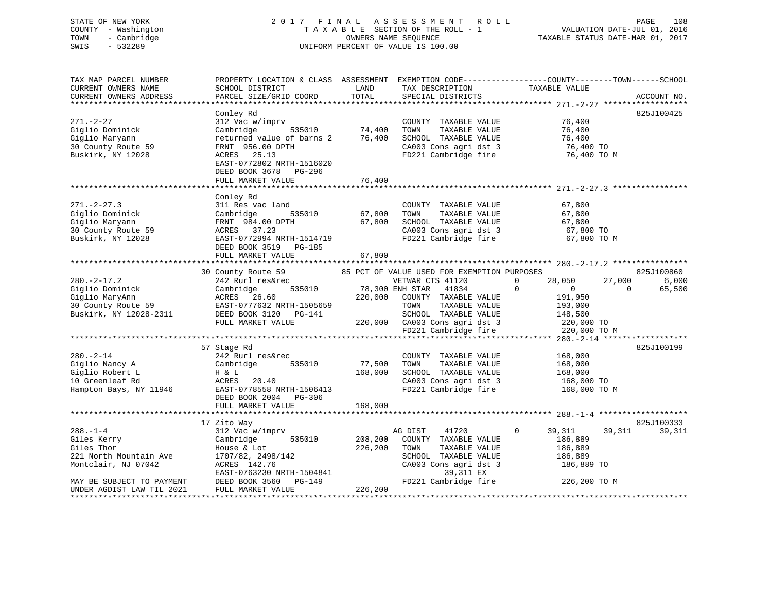### STATE OF NEW YORK 2 0 1 7 F I N A L A S S E S S M E N T R O L L PAGE 108COUNTY - Washington  $T A X A B L E$  SECTION OF THE ROLL - 1<br>TOWN - Cambridge  $\qquad$  OWNERS NAME SEQUENCE TOWN - Cambridge OWNERS NAME SEQUENCE TAXABLE STATUS DATE-MAR 01, 2017 SWIS - 532289 UNIFORM PERCENT OF VALUE IS 100.00

VALUATION DATE-JUL 01, 2016

| TAX MAP PARCEL NUMBER     | PROPERTY LOCATION & CLASS ASSESSMENT EXEMPTION CODE----------------COUNTY-------TOWN-----SCHOOL |         |                                                                     |                               |                    |
|---------------------------|-------------------------------------------------------------------------------------------------|---------|---------------------------------------------------------------------|-------------------------------|--------------------|
| CURRENT OWNERS NAME       | SCHOOL DISTRICT                                                                                 | LAND    | TAX DESCRIPTION                                                     | TAXABLE VALUE                 |                    |
| CURRENT OWNERS ADDRESS    | PARCEL SIZE/GRID COORD                                                                          | TOTAL   | SPECIAL DISTRICTS                                                   |                               | ACCOUNT NO.        |
|                           |                                                                                                 |         |                                                                     |                               |                    |
|                           | Conley Rd                                                                                       |         |                                                                     |                               | 825J100425         |
| $271. - 2 - 27$           | 312 Vac w/imprv                                                                                 |         | COUNTY TAXABLE VALUE                                                | 76,400                        |                    |
| Giglio Dominick           | Cambridge<br>535010                                                                             | 74,400  | TOWN<br>TAXABLE VALUE                                               | 76,400                        |                    |
| Giglio Maryann            | returned value of barns 2                                                                       | 76,400  | SCHOOL TAXABLE VALUE                                                | 76,400                        |                    |
| 30 County Route 59        | FRNT 956.00 DPTH                                                                                |         | CA003 Cons agri dst 3                                               | 76,400 TO                     |                    |
| Buskirk, NY 12028         | ACRES 25.13                                                                                     |         | cours agri dst 3 FD221 Cambridge fire                               | 76,400 TO M                   |                    |
|                           | EAST-0772802 NRTH-1516020                                                                       |         |                                                                     |                               |                    |
|                           | DEED BOOK 3678 PG-296                                                                           |         |                                                                     |                               |                    |
|                           | FULL MARKET VALUE                                                                               | 76,400  |                                                                     |                               |                    |
|                           |                                                                                                 |         |                                                                     |                               |                    |
|                           | Conley Rd                                                                                       |         |                                                                     |                               |                    |
| $271. - 2 - 27.3$         | 311 Res vac land                                                                                |         | COUNTY TAXABLE VALUE                                                | 67,800                        |                    |
| Giglio Dominick           | 535010<br>Cambridge                                                                             | 67,800  | TAXABLE VALUE<br>TOWN                                               | 67,800                        |                    |
| Giglio Maryann            | FRNT 984.00 DPTH                                                                                | 67,800  | SCHOOL TAXABLE VALUE                                                | 67,800                        |                    |
| 30 County Route 59        | ACRES 37.23                                                                                     |         |                                                                     |                               |                    |
| Buskirk, NY 12028         | EAST-0772994 NRTH-1514719                                                                       |         | CA003 Cons agri dst 3 67,800 TO<br>FD221 Cambridge fire 67,800 TO M |                               |                    |
|                           | DEED BOOK 3519 PG-185                                                                           |         |                                                                     |                               |                    |
|                           | FULL MARKET VALUE                                                                               | 67,800  |                                                                     |                               |                    |
|                           |                                                                                                 |         |                                                                     |                               |                    |
|                           | 30 County Route 59                                                                              |         | 85 PCT OF VALUE USED FOR EXEMPTION PURPOSES                         |                               | 825J100860         |
| $280. - 2 - 17.2$         | --www woule 59<br>242 Rurl res&rec<br>Combut 1                                                  |         | VETWAR CTS 41120                                                    | 28,050<br>$\Omega$            | 27,000<br>6,000    |
| Giglio Dominick           | Cambridge                                                                                       |         | 535010 78,300 ENH STAR 41834                                        | $\mathbf 0$<br>$\overline{0}$ | $\Omega$<br>65,500 |
| Giglio MaryAnn            | ACRES 26.60                                                                                     | 220,000 | COUNTY TAXABLE VALUE                                                | 191,950                       |                    |
| 30 County Route 59        | EAST-0777632 NRTH-1505659                                                                       |         | TAXABLE VALUE<br>TOWN                                               | 193,000                       |                    |
| Buskirk, NY 12028-2311    | DEED BOOK 3120 PG-141                                                                           |         |                                                                     | 148,500                       |                    |
|                           | FULL MARKET VALUE                                                                               |         |                                                                     | 220,000 TO                    |                    |
|                           |                                                                                                 |         |                                                                     | 220,000 TO M                  |                    |
|                           |                                                                                                 |         |                                                                     |                               |                    |
|                           | 57 Stage Rd                                                                                     |         |                                                                     |                               | 825J100199         |
| $280. - 2 - 14$           | 242 Rurl res&rec                                                                                |         | COUNTY TAXABLE VALUE                                                | 168,000                       |                    |
| Giglio Nancy A            | Cambridge<br>535010                                                                             | 77,500  | TAXABLE VALUE<br>TOWN                                               | 168,000                       |                    |
| Giglio Robert L           | H & L                                                                                           | 168,000 | SCHOOL TAXABLE VALUE                                                | 168,000                       |                    |
| 10 Greenleaf Rd           | ACRES<br>20.40                                                                                  |         |                                                                     | 168,000 TO                    |                    |
| Hampton Bays, NY 11946    | EAST-0778558 NRTH-1506413                                                                       |         | CA003 Cons agri dst 3<br>FD221 Cambridge fire                       | 168,000 TO M                  |                    |
|                           | DEED BOOK 2004 PG-306                                                                           |         |                                                                     |                               |                    |
|                           | FULL MARKET VALUE                                                                               | 168,000 |                                                                     |                               |                    |
|                           |                                                                                                 |         |                                                                     |                               |                    |
|                           | 17 Zito Way                                                                                     |         |                                                                     |                               | 825J100333         |
| $288. - 1 - 4$            | 312 Vac w/imprv                                                                                 |         | 41720<br>AG DIST                                                    | $\Omega$<br>39,311            | 39,311<br>39,311   |
| Giles Kerry               | 535010<br>Cambridge                                                                             | 208,200 | COUNTY TAXABLE VALUE                                                | 186,889                       |                    |
| Giles Thor                | House & Lot                                                                                     | 226,200 | TOWN<br>TAXABLE VALUE                                               | 186,889                       |                    |
| 221 North Mountain Ave    | 1707/82, 2498/142                                                                               |         | SCHOOL TAXABLE VALUE                                                | 186,889                       |                    |
| Montclair, NJ 07042       | ACRES 142.76                                                                                    |         | CA003 Cons agri dst 3                                               | 186,889 TO                    |                    |
|                           | EAST-0763230 NRTH-1504841                                                                       |         | 39,311 EX                                                           |                               |                    |
| MAY BE SUBJECT TO PAYMENT | DEED BOOK 3560<br>PG-149                                                                        |         | FD221 Cambridge fire                                                | 226,200 TO M                  |                    |
| UNDER AGDIST LAW TIL 2021 | FULL MARKET VALUE                                                                               | 226,200 |                                                                     |                               |                    |
| *********************     |                                                                                                 |         |                                                                     |                               |                    |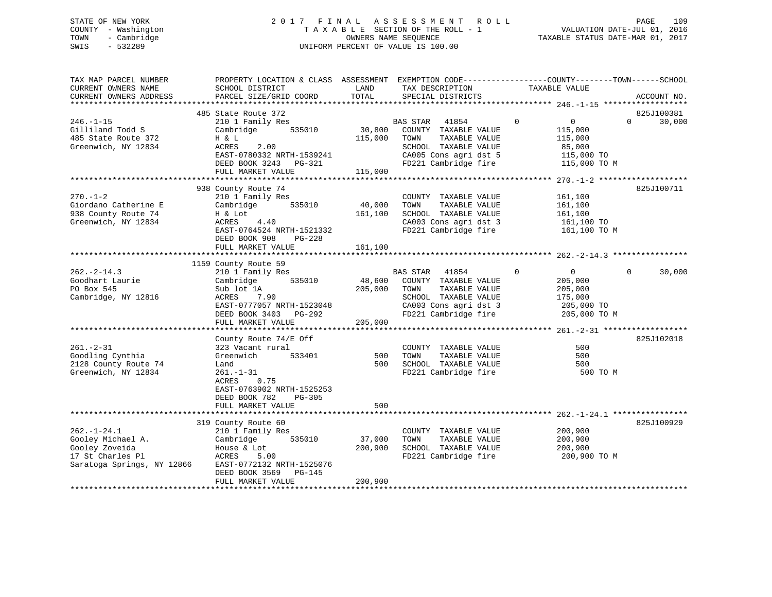# STATE OF NEW YORK 2 0 1 7 F I N A L A S S E S S M E N T R O L L PAGE 109 COUNTY - Washington T A X A B L E SECTION OF THE ROLL - 1 VALUATION DATE-JUL 01, 2016 TOWN - Cambridge OWNERS NAME SEQUENCE TAXABLE STATUS DATE-MAR 01, 2017 SWIS - 532289 UNIFORM PERCENT OF VALUE IS 100.00

| TAX MAP PARCEL NUMBER<br>CURRENT OWNERS NAME<br>CURRENT OWNERS ADDRESS | PROPERTY LOCATION & CLASS ASSESSMENT EXEMPTION CODE----------------COUNTY-------TOWN-----SCHOOL<br>SCHOOL DISTRICT<br>PARCEL SIZE/GRID COORD | LAND<br>TOTAL | TAX DESCRIPTION<br>SPECIAL DISTRICTS | TAXABLE VALUE                     | ACCOUNT NO.        |
|------------------------------------------------------------------------|----------------------------------------------------------------------------------------------------------------------------------------------|---------------|--------------------------------------|-----------------------------------|--------------------|
|                                                                        |                                                                                                                                              |               |                                      |                                   |                    |
|                                                                        | 485 State Route 372                                                                                                                          |               |                                      |                                   | 825J100381         |
| $246. - 1 - 15$                                                        | 210 1 Family Res                                                                                                                             |               | BAS STAR 41854                       | $\mathbf 0$<br>$\overline{0}$     | 30,000<br>$\Omega$ |
| Gilliland Todd S                                                       | 535010<br>Cambridge                                                                                                                          | 30,800        | COUNTY TAXABLE VALUE                 | 115,000                           |                    |
| 485 State Route 372                                                    | H & L                                                                                                                                        | 115,000       | TOWN<br>TAXABLE VALUE                | 115,000                           |                    |
| Greenwich, NY 12834                                                    | ACRES<br>2.00                                                                                                                                |               | SCHOOL TAXABLE VALUE                 | 85,000                            |                    |
|                                                                        | EAST-0780332 NRTH-1539241                                                                                                                    |               | CA005 Cons agri dst 5                | 115,000 TO                        |                    |
|                                                                        | DEED BOOK 3243 PG-321                                                                                                                        |               | FD221 Cambridge fire                 | 115,000 TO M                      |                    |
|                                                                        | FULL MARKET VALUE                                                                                                                            | 115,000       |                                      |                                   |                    |
|                                                                        |                                                                                                                                              |               |                                      |                                   |                    |
|                                                                        | 938 County Route 74                                                                                                                          |               |                                      |                                   | 825J100711         |
| $270. - 1 - 2$                                                         | 210 1 Family Res                                                                                                                             |               | COUNTY TAXABLE VALUE                 | 161,100                           |                    |
| Giordano Catherine E                                                   | Cambridge 535010                                                                                                                             | 40,000        | TOWN<br>TAXABLE VALUE                | 161,100                           |                    |
| 938 County Route 74                                                    | H & Lot                                                                                                                                      | 161,100       | SCHOOL TAXABLE VALUE                 | 161,100                           |                    |
| Greenwich, NY 12834                                                    | ACRES 4.40                                                                                                                                   |               | CA003 Cons agri dst 3                | 161,100 TO                        |                    |
|                                                                        | EAST-0764524 NRTH-1521332                                                                                                                    |               |                                      | FD221 Cambridge fire 161,100 TO M |                    |
|                                                                        | DEED BOOK 908<br>PG-228                                                                                                                      |               |                                      |                                   |                    |
|                                                                        | FULL MARKET VALUE                                                                                                                            | 161,100       |                                      |                                   |                    |
|                                                                        |                                                                                                                                              |               |                                      |                                   |                    |
|                                                                        | 1159 County Route 59                                                                                                                         |               |                                      |                                   |                    |
| $262 - 2 - 14.3$                                                       | 210 1 Family Res                                                                                                                             |               | BAS STAR 41854                       | $\overline{0}$<br>$\Omega$        | $\Omega$<br>30,000 |
| Goodhart Laurie                                                        | 535010<br>Cambridge                                                                                                                          | 48,600        | COUNTY TAXABLE VALUE                 | 205,000                           |                    |
| PO Box 545                                                             | Sub lot 1A                                                                                                                                   | 205,000       | TOWN<br>TAXABLE VALUE                | 205,000                           |                    |
| Cambridge, NY 12816                                                    | ACRES 7.90                                                                                                                                   |               | SCHOOL TAXABLE VALUE                 | 175,000                           |                    |
|                                                                        | EAST-0777057 NRTH-1523048                                                                                                                    |               | CA003 Cons agri dst 3                | 205,000 TO                        |                    |
|                                                                        | DEED BOOK 3403 PG-292                                                                                                                        |               | FD221 Cambridge fire                 | 205,000 TO M                      |                    |
|                                                                        | FULL MARKET VALUE                                                                                                                            | 205,000       |                                      |                                   |                    |
|                                                                        |                                                                                                                                              |               |                                      |                                   |                    |
|                                                                        | County Route 74/E Off                                                                                                                        |               |                                      |                                   | 825J102018         |
| $261. - 2 - 31$                                                        | 323 Vacant rural                                                                                                                             |               | COUNTY TAXABLE VALUE                 | 500                               |                    |
| Goodling Cynthia                                                       | Greenwich<br>533401                                                                                                                          | 500           | TAXABLE VALUE<br>TOWN                | 500                               |                    |
| 2128 County Route 74                                                   | Land                                                                                                                                         | 500           | SCHOOL TAXABLE VALUE                 | 500                               |                    |
| Greenwich, NY 12834                                                    | $261. - 1 - 31$                                                                                                                              |               | FD221 Cambridge fire                 | 500 TO M                          |                    |
|                                                                        | ACRES<br>0.75                                                                                                                                |               |                                      |                                   |                    |
|                                                                        | EAST-0763902 NRTH-1525253                                                                                                                    |               |                                      |                                   |                    |
|                                                                        | DEED BOOK 782<br>PG-305                                                                                                                      |               |                                      |                                   |                    |
|                                                                        | FULL MARKET VALUE                                                                                                                            | 500           |                                      |                                   |                    |
|                                                                        |                                                                                                                                              |               |                                      |                                   |                    |
|                                                                        | 319 County Route 60                                                                                                                          |               |                                      |                                   | 825J100929         |
| $262. - 1 - 24.1$                                                      | 210 1 Family Res                                                                                                                             |               | COUNTY TAXABLE VALUE                 | 200,900                           |                    |
| Gooley Michael A.                                                      | Cambridge<br>535010                                                                                                                          | 37,000        | TOWN<br>TAXABLE VALUE                | 200,900                           |                    |
| Gooley Zoveida                                                         | House & Lot                                                                                                                                  | 200,900       | SCHOOL TAXABLE VALUE                 | 200,900                           |                    |
| 17 St Charles Pl                                                       | ACRES 5.00                                                                                                                                   |               | FD221 Cambridge fire                 | 200,900 TO M                      |                    |
| Saratoga Springs, NY 12866                                             | EAST-0772132 NRTH-1525076                                                                                                                    |               |                                      |                                   |                    |
|                                                                        | DEED BOOK 3569 PG-145                                                                                                                        |               |                                      |                                   |                    |
|                                                                        | FULL MARKET VALUE                                                                                                                            | 200,900       |                                      |                                   |                    |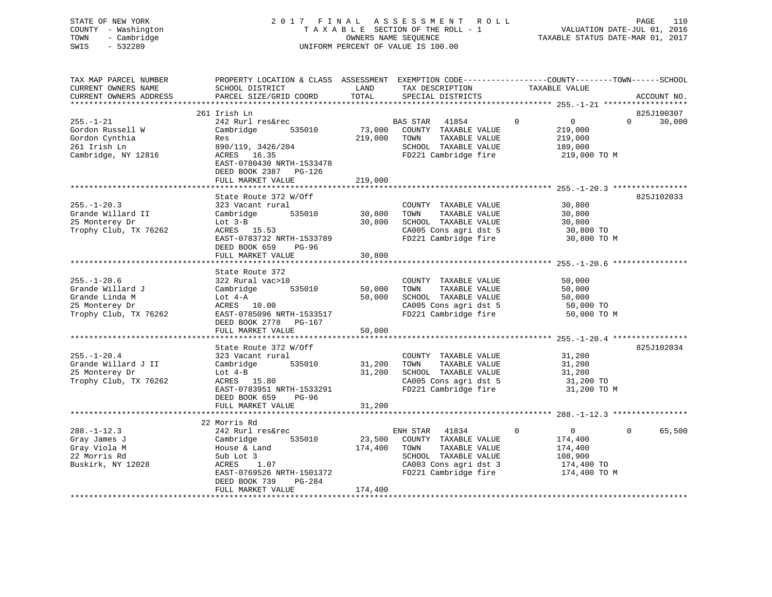# STATE OF NEW YORK 2 0 1 7 F I N A L A S S E S S M E N T R O L L PAGE 110 COUNTY - Washington T A X A B L E SECTION OF THE ROLL - 1 VALUATION DATE-JUL 01, 2016 TOWN - Cambridge OWNERS NAME SEQUENCE TAXABLE STATUS DATE-MAR 01, 2017 SWIS - 532289 UNIFORM PERCENT OF VALUE IS 100.00

| TAX MAP PARCEL NUMBER<br>CURRENT OWNERS NAME<br>CURRENT OWNERS ADDRESS                             | PROPERTY LOCATION & CLASS ASSESSMENT EXEMPTION CODE---------------COUNTY-------TOWN-----SCHOOL<br>SCHOOL DISTRICT<br>PARCEL SIZE/GRID COORD                                   | LAND<br>TOTAL                | TAX DESCRIPTION<br>SPECIAL DISTRICTS                                                                                                     | TAXABLE VALUE                                                                                 | ACCOUNT NO.                      |
|----------------------------------------------------------------------------------------------------|-------------------------------------------------------------------------------------------------------------------------------------------------------------------------------|------------------------------|------------------------------------------------------------------------------------------------------------------------------------------|-----------------------------------------------------------------------------------------------|----------------------------------|
|                                                                                                    |                                                                                                                                                                               |                              |                                                                                                                                          |                                                                                               |                                  |
| $255. - 1 - 21$<br>Gordon Russell W<br>Gordon Cynthia<br>261 Irish Ln<br>Cambridge, NY 12816       | 261 Irish Ln<br>242 Rurl res&rec<br>Cambridge<br>535010<br>Res<br>890/119, 3426/204<br>ACRES 16.35<br>EAST-0780430 NRTH-1533478<br>DEED BOOK 2387 PG-126<br>FULL MARKET VALUE | 73,000<br>219,000<br>219,000 | BAS STAR<br>41854<br>COUNTY TAXABLE VALUE<br>TOWN<br>TAXABLE VALUE<br>SCHOOL TAXABLE VALUE<br>FD221 Cambridge fire                       | $\mathbf{0}$<br>$\overline{0}$<br>219,000<br>219,000<br>189,000<br>219,000 TO M               | 825J100307<br>$\Omega$<br>30,000 |
|                                                                                                    |                                                                                                                                                                               |                              |                                                                                                                                          |                                                                                               |                                  |
| $255. - 1 - 20.3$<br>Grande Willard II<br>25 Monterey Dr<br>Trophy Club, TX 76262                  | State Route 372 W/Off<br>323 Vacant rural<br>535010<br>Cambridge<br>Lot $3-B$<br>ACRES 15.53<br>EAST-0783732 NRTH-1533789<br>DEED BOOK 659<br>PG-96<br>FULL MARKET VALUE      | 30,800<br>30,800<br>30,800   | COUNTY TAXABLE VALUE<br>TOWN<br>TAXABLE VALUE<br>SCHOOL TAXABLE VALUE<br>CA005 Cons agri dst 5<br>FD221 Cambridge fire                   | 30,800<br>30,800<br>30,800<br>30,800 TO<br>30,800 TO M                                        | 825J102033                       |
|                                                                                                    |                                                                                                                                                                               |                              |                                                                                                                                          |                                                                                               |                                  |
| $255. - 1 - 20.6$<br>Grande Willard J<br>Grande Linda M<br>25 Monterey Dr<br>Trophy Club, TX 76262 | State Route 372<br>322 Rural vac>10<br>535010<br>Cambridge<br>Lot $4-A$<br>ACRES 10.00<br>EAST-0785096 NRTH-1533517<br>DEED BOOK 2778 PG-167<br>FULL MARKET VALUE             | 50,000<br>50,000<br>50,000   | COUNTY TAXABLE VALUE<br>TAXABLE VALUE<br>TOWN<br>SCHOOL TAXABLE VALUE<br>CA005 Cons agri dst 5<br>FD221 Cambridge fire                   | 50,000<br>50,000<br>50,000<br>50,000 TO<br>50,000 TO M                                        |                                  |
|                                                                                                    | State Route 372 W/Off                                                                                                                                                         |                              |                                                                                                                                          |                                                                                               | 825J102034                       |
| $255. - 1 - 20.4$<br>Grande Willard J II<br>25 Monterey Dr<br>Trophy Club, TX 76262                | 323 Vacant rural<br>535010<br>Cambridge<br>Lot $4-B$<br>ACRES 15.80<br>EAST-0783951 NRTH-1533291                                                                              | 31,200<br>31,200             | COUNTY TAXABLE VALUE<br>TAXABLE VALUE<br>TOWN<br>SCHOOL TAXABLE VALUE<br>CA005 Cons agri dst 5<br>FD221 Cambridge fire                   | 31,200<br>31,200<br>31,200<br>31,200 TO<br>31,200 TO M                                        |                                  |
|                                                                                                    | DEED BOOK 659<br>PG-96<br>FULL MARKET VALUE                                                                                                                                   | 31,200                       |                                                                                                                                          |                                                                                               |                                  |
|                                                                                                    |                                                                                                                                                                               |                              |                                                                                                                                          |                                                                                               |                                  |
| $288. - 1 - 12.3$<br>Gray James J<br>Gray Viola M<br>22 Morris Rd<br>Buskirk, NY 12028             | 22 Morris Rd<br>242 Rurl res&rec<br>535010<br>Cambridge<br>House & Land<br>Sub Lot 3<br>1.07<br>ACRES<br>EAST-0769526 NRTH-1501372<br>DEED BOOK 739<br>PG-284                 | 23,500<br>174,400            | ENH STAR 41834<br>COUNTY TAXABLE VALUE<br>TOWN<br>TAXABLE VALUE<br>SCHOOL TAXABLE VALUE<br>CA003 Cons agri dst 3<br>FD221 Cambridge fire | $\overline{0}$<br>$\mathbf{0}$<br>174,400<br>174,400<br>108,900<br>174,400 TO<br>174,400 TO M | $\Omega$<br>65,500               |
|                                                                                                    | FULL MARKET VALUE                                                                                                                                                             | 174,400                      |                                                                                                                                          |                                                                                               |                                  |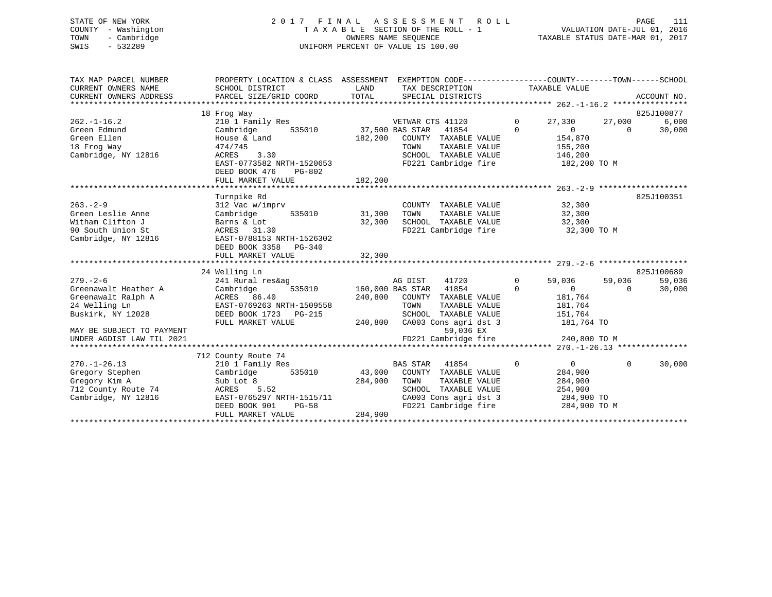# STATE OF NEW YORK 2 0 1 7 F I N A L A S S E S S M E N T R O L L PAGE 111 COUNTY - Washington T A X A B L E SECTION OF THE ROLL - 1 VALUATION DATE-JUL 01, 2016 TOWN - Cambridge OWNERS NAME SEQUENCE TAXABLE STATUS DATE-MAR 01, 2017 SWIS - 532289 UNIFORM PERCENT OF VALUE IS 100.00

| SCHOOL DISTRICT<br>PARCEL SIZE/GRID COORD                                                                                                                      | LAND<br>TAX DESCRIPTION<br>TOTAL<br>SPECIAL DISTRICTS                                                                                                                              | EXEMPTION CODE-----------------COUNTY-------TOWN------SCHOOL<br>TAXABLE VALUE<br>ACCOUNT NO.                                                          |
|----------------------------------------------------------------------------------------------------------------------------------------------------------------|------------------------------------------------------------------------------------------------------------------------------------------------------------------------------------|-------------------------------------------------------------------------------------------------------------------------------------------------------|
| 210 1 Family Res<br>Cambridge<br>535010<br>House & Land<br>474/745<br>3.30<br>ACRES<br>EAST-0773582 NRTH-1520653<br>DEED BOOK 476<br>PG-802                    | VETWAR CTS 41120<br>37,500 BAS STAR<br>41854<br>182,200<br>COUNTY TAXABLE VALUE<br>TOWN<br>TAXABLE VALUE<br>SCHOOL TAXABLE VALUE<br>FD221 Cambridge fire                           | 825J100877<br>$\mathbf 0$<br>27,330<br>27,000<br>6.000<br>$\Omega$<br>30,000<br>$\Omega$<br>$\Omega$<br>154,870<br>155,200<br>146,200<br>182,200 TO M |
|                                                                                                                                                                |                                                                                                                                                                                    |                                                                                                                                                       |
| Turnpike Rd<br>312 Vac w/imprv<br>535010<br>Cambridge<br>Barns & Lot<br>ACRES 31.30<br>EAST-0788153 NRTH-1526302<br>DEED BOOK 3358 PG-340<br>FULL MARKET VALUE | COUNTY TAXABLE VALUE<br>31,300<br>TAXABLE VALUE<br>TOWN<br>32,300<br>SCHOOL TAXABLE VALUE<br>FD221 Cambridge fire<br>32,300                                                        | 825J100351<br>32,300<br>32,300<br>32,300<br>32,300 TO M                                                                                               |
|                                                                                                                                                                |                                                                                                                                                                                    | 825J100689                                                                                                                                            |
| 241 Rural res&ag<br>Cambridge<br>535010<br>ACRES 86.40<br>EAST-0769263 NRTH-1509558<br>DEED BOOK 1723 PG-215                                                   | AG DIST<br>41720<br>160,000 BAS STAR<br>41854<br>240,800<br>COUNTY TAXABLE VALUE<br>TOWN<br>TAXABLE VALUE<br>SCHOOL TAXABLE VALUE                                                  | $\mathbf{0}$<br>59,036<br>59,036<br>59,036<br>$\Omega$<br>$\overline{0}$<br>30,000<br>$\Omega$<br>181,764<br>181,764<br>151,764<br>181,764 TO         |
|                                                                                                                                                                | 59,036 EX<br>FD221 Cambridge fire                                                                                                                                                  | 240,800 TO M                                                                                                                                          |
|                                                                                                                                                                |                                                                                                                                                                                    |                                                                                                                                                       |
| 210 1 Family Res<br>535010<br>Cambridge<br>Sub Lot 8<br>5.52<br>ACRES<br>EAST-0765297 NRTH-1515711<br>DEED BOOK 901<br>$PG-58$<br>FULL MARKET VALUE            | <b>BAS STAR</b><br>41854<br>43,000<br>COUNTY TAXABLE VALUE<br>284,900<br>TOWN<br>TAXABLE VALUE<br>SCHOOL TAXABLE VALUE<br>CA003 Cons agri dst 3<br>FD221 Cambridge fire<br>284,900 | $\mathbf 0$<br>$\overline{0}$<br>$\mathbf{0}$<br>30,000<br>284,900<br>284,900<br>254,900<br>284,900 TO<br>284,900 TO M                                |
|                                                                                                                                                                | 18 Frog Way<br>FULL MARKET VALUE<br>24 Welling Ln<br>FULL MARKET VALUE<br>712 County Route 74                                                                                      | PROPERTY LOCATION & CLASS ASSESSMENT<br>182,200<br>240,800<br>CA003 Cons agri dst 3                                                                   |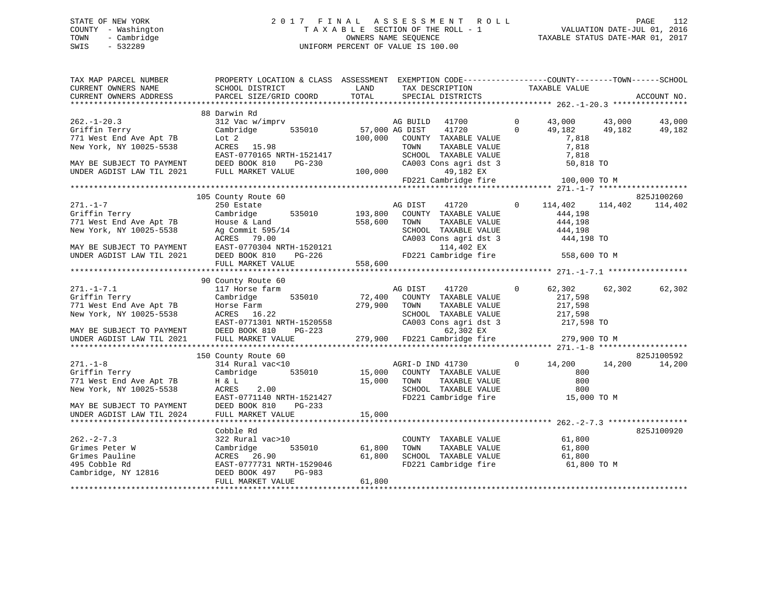# STATE OF NEW YORK 2 0 1 7 F I N A L A S S E S S M E N T R O L L PAGE 112 COUNTY - Washington T A X A B L E SECTION OF THE ROLL - 1 VALUATION DATE-JUL 01, 2016 TOWN - Cambridge OWNERS NAME SEQUENCE TAXABLE STATUS DATE-MAR 01, 2017 SWIS - 532289 UNIFORM PERCENT OF VALUE IS 100.00

| TAX MAP PARCEL NUMBER<br>CURRENT OWNERS NAME<br>CURRENT OWNERS ADDRESS | PROPERTY LOCATION & CLASS ASSESSMENT EXEMPTION CODE----------------COUNTY-------TOWN------SCHOOL<br>SCHOOL DISTRICT<br>PARCEL SIZE/GRID COORD | LAND<br>TOTAL    | TAX DESCRIPTION<br>SPECIAL DISTRICTS          | TAXABLE VALUE            |              | ACCOUNT NO. |
|------------------------------------------------------------------------|-----------------------------------------------------------------------------------------------------------------------------------------------|------------------|-----------------------------------------------|--------------------------|--------------|-------------|
|                                                                        |                                                                                                                                               |                  |                                               |                          |              |             |
|                                                                        | 88 Darwin Rd                                                                                                                                  |                  |                                               |                          |              |             |
| $262. - 1 - 20.3$                                                      | 312 Vac w/imprv                                                                                                                               |                  | 41700<br>AG BUILD                             | $\mathbf 0$<br>43,000    | 43,000       | 43,000      |
| Griffin Terry                                                          | 535010<br>Cambridge                                                                                                                           | 57,000 AG DIST   | 41720                                         | $\Omega$<br>49,182       | 49,182       | 49,182      |
| 771 West End Ave Apt 7B                                                | Lot <sub>2</sub>                                                                                                                              | 100,000          | COUNTY TAXABLE VALUE                          | 7,818                    |              |             |
| New York, NY 10025-5538                                                | ACRES 15.98                                                                                                                                   |                  | TOWN<br>TAXABLE VALUE                         | 7,818                    |              |             |
|                                                                        | EAST-0770165 NRTH-1521417                                                                                                                     |                  | SCHOOL TAXABLE VALUE                          | 7,818                    |              |             |
| MAY BE SUBJECT TO PAYMENT                                              | DEED BOOK 810<br>PG-230                                                                                                                       |                  | CA003 Cons agri dst 3                         |                          | 50,818 TO    |             |
| UNDER AGDIST LAW TIL 2021                                              | FULL MARKET VALUE                                                                                                                             | 100,000          | 49,182 EX                                     |                          |              |             |
|                                                                        |                                                                                                                                               |                  | FD221 Cambridge fire                          |                          | 100,000 TO M |             |
|                                                                        |                                                                                                                                               |                  |                                               |                          |              |             |
|                                                                        | 105 County Route 60                                                                                                                           |                  |                                               |                          |              | 825J100260  |
| $271. - 1 - 7$                                                         | 250 Estate                                                                                                                                    |                  | AG DIST<br>41720                              | 114,402<br>$\circ$       | 114,402      | 114,402     |
| Griffin Terry                                                          | Cambridge<br>535010                                                                                                                           | 193,800          | COUNTY TAXABLE VALUE                          | 444,198                  |              |             |
| 771 West End Ave Apt 7B<br>New York, NY 10025-5538                     | House & Land                                                                                                                                  | 558,600          | TOWN<br>TAXABLE VALUE<br>SCHOOL TAXABLE VALUE | 444,198                  |              |             |
|                                                                        | Ag Commit 595/14<br>ACRES 79.00                                                                                                               |                  | CA003 Cons agri dst 3                         | 444,198                  | 444,198 TO   |             |
| MAY BE SUBJECT TO PAYMENT                                              | EAST-0770304 NRTH-1520121                                                                                                                     |                  | 114,402 EX                                    |                          |              |             |
| UNDER AGDIST LAW TIL 2021                                              | DEED BOOK 810<br>$PG-226$                                                                                                                     |                  | FD221 Cambridge fire                          |                          | 558,600 TO M |             |
|                                                                        | FULL MARKET VALUE                                                                                                                             | 558,600          |                                               |                          |              |             |
|                                                                        |                                                                                                                                               |                  |                                               |                          |              |             |
|                                                                        | 90 County Route 60                                                                                                                            |                  |                                               |                          |              |             |
| $271. - 1 - 7.1$                                                       | 117 Horse farm                                                                                                                                |                  | AG DIST<br>41720                              | 62,302<br>$\mathbf{0}$   | 62,302       | 62,302      |
| Griffin Terry                                                          | 535010<br>Cambridge                                                                                                                           | 72,400           | COUNTY TAXABLE VALUE                          | 217,598                  |              |             |
| 771 West End Ave Apt 7B                                                | Horse Farm                                                                                                                                    | 279,900          | TAXABLE VALUE<br>TOWN                         | 217,598                  |              |             |
| New York, NY 10025-5538                                                | ACRES 16.22                                                                                                                                   |                  | SCHOOL TAXABLE VALUE                          | 217,598                  |              |             |
|                                                                        | EAST-0771301 NRTH-1520558                                                                                                                     |                  | CA003 Cons agri dst 3                         |                          | 217,598 TO   |             |
| MAY BE SUBJECT TO PAYMENT                                              | DEED BOOK 810<br>PG-223                                                                                                                       |                  | 62,302 EX                                     |                          |              |             |
| UNDER AGDIST LAW TIL 2021                                              | FULL MARKET VALUE                                                                                                                             | 279,900          | FD221 Cambridge fire                          |                          | 279,900 TO M |             |
|                                                                        |                                                                                                                                               |                  |                                               |                          |              |             |
|                                                                        | 150 County Route 60                                                                                                                           |                  |                                               |                          |              | 825J100592  |
| $271. - 1 - 8$                                                         | 314 Rural vac<10                                                                                                                              |                  | AGRI-D IND 41730                              | $\overline{0}$<br>14,200 | 14,200       | 14,200      |
| Griffin Terry                                                          | Cambridge<br>535010                                                                                                                           | 15,000           | COUNTY TAXABLE VALUE                          |                          | 800          |             |
| 771 West End Ave Apt 7B                                                | H & L                                                                                                                                         | 15,000           | TAXABLE VALUE<br>TOWN                         |                          | 800          |             |
| New York, NY 10025-5538                                                | ACRES<br>2.00                                                                                                                                 |                  | SCHOOL TAXABLE VALUE                          |                          | 800          |             |
|                                                                        | EAST-0771140 NRTH-1521427                                                                                                                     |                  | FD221 Cambridge fire                          |                          | 15,000 TO M  |             |
| MAY BE SUBJECT TO PAYMENT                                              | DEED BOOK 810<br>$PG-233$                                                                                                                     |                  |                                               |                          |              |             |
| UNDER AGDIST LAW TIL 2024                                              | FULL MARKET VALUE                                                                                                                             | 15,000           |                                               |                          |              |             |
|                                                                        |                                                                                                                                               |                  |                                               |                          |              |             |
|                                                                        | Cobble Rd                                                                                                                                     |                  |                                               |                          |              | 825J100920  |
| $262 - 2 - 7.3$                                                        | 322 Rural vac>10                                                                                                                              |                  | COUNTY TAXABLE VALUE                          | 61,800                   |              |             |
| Grimes Peter W<br>Grimes Pauline                                       | Cambridge<br>535010<br>ACRES 26.90                                                                                                            | 61,800<br>61,800 | TOWN<br>TAXABLE VALUE<br>SCHOOL TAXABLE VALUE | 61,800                   |              |             |
| 495 Cobble Rd                                                          | EAST-0777731 NRTH-1529046                                                                                                                     |                  | FD221 Cambridge fire                          | 61,800                   |              |             |
| Cambridge, NY 12816                                                    | DEED BOOK 497<br>PG-983                                                                                                                       |                  |                                               |                          | 61,800 TO M  |             |
|                                                                        | FULL MARKET VALUE                                                                                                                             | 61,800           |                                               |                          |              |             |
|                                                                        | ******************                                                                                                                            |                  |                                               |                          |              |             |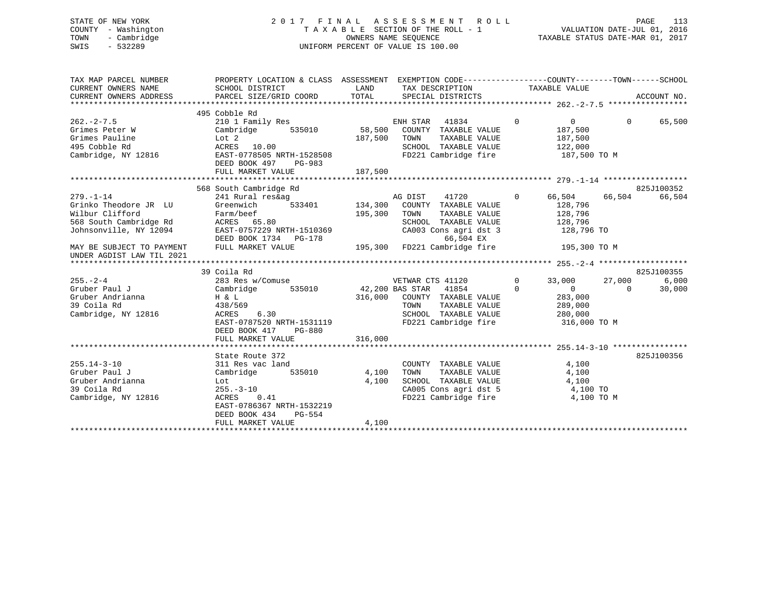# STATE OF NEW YORK 2 0 1 7 F I N A L A S S E S S M E N T R O L L PAGE 113 COUNTY - Washington T A X A B L E SECTION OF THE ROLL - 1 VALUATION DATE-JUL 01, 2016 TOWN - Cambridge OWNERS NAME SEQUENCE TAXABLE STATUS DATE-MAR 01, 2017 SWIS - 532289 UNIFORM PERCENT OF VALUE IS 100.00

| TAX MAP PARCEL NUMBER                                                    | PROPERTY LOCATION & CLASS ASSESSMENT EXEMPTION CODE---------------COUNTY-------TOWN-----SCHOOL |                                                                                         |                |                                                              |                |                         |          |             |
|--------------------------------------------------------------------------|------------------------------------------------------------------------------------------------|-----------------------------------------------------------------------------------------|----------------|--------------------------------------------------------------|----------------|-------------------------|----------|-------------|
| CURRENT OWNERS NAME                                                      | SCHOOL DISTRICT                                                                                | <b>EXAMPLE THE STATE OF STATE OF STATE OF STATE OF STATE OF STATE OF STATE OF STATE</b> |                | TAX DESCRIPTION                                              |                | TAXABLE VALUE           |          |             |
| CURRENT OWNERS ADDRESS                                                   | PARCEL SIZE/GRID COORD                                                                         | TOTAL                                                                                   |                | SPECIAL DISTRICTS                                            |                |                         |          | ACCOUNT NO. |
|                                                                          |                                                                                                |                                                                                         |                |                                                              |                |                         |          |             |
|                                                                          | 495 Cobble Rd                                                                                  |                                                                                         |                |                                                              |                |                         |          |             |
| $262 - 2 - 7.5$                                                          | 210 1 Family Res                                                                               |                                                                                         | ENH STAR 41834 |                                                              | $\overline{0}$ | $\overline{0}$          | $\Omega$ | 65,500      |
|                                                                          | Grimes Peter W Cambridge 535010 58,500 COUNTY TAXABLE VALUE                                    |                                                                                         |                |                                                              |                | 187,500                 |          |             |
| Grimes Pauline                                                           |                                                                                                | 187,500 TOWN                                                                            |                | TAXABLE VALUE 187,500                                        |                |                         |          |             |
| 495 Cobble Rd                                                            | Lot 2<br>ACRES 10.00<br>EAST-0778505 NRTH-1528508                                              |                                                                                         |                | SCHOOL TAXABLE VALUE<br>FD221 Cambridge fire                 |                | 122,000<br>187,500 TO M |          |             |
| Cambridge, NY 12816                                                      |                                                                                                |                                                                                         |                |                                                              |                |                         |          |             |
|                                                                          | DEED BOOK 497<br>PG-983                                                                        |                                                                                         |                |                                                              |                |                         |          |             |
|                                                                          | FULL MARKET VALUE                                                                              | 187,500                                                                                 |                |                                                              |                |                         |          |             |
|                                                                          |                                                                                                |                                                                                         |                |                                                              |                |                         |          |             |
|                                                                          | 568 South Cambridge Rd                                                                         |                                                                                         |                |                                                              |                |                         |          | 825J100352  |
| $279. - 1 - 14$                                                          | 241 Rural res&ag                                                                               |                                                                                         | AG DIST        | 41720                                                        |                | 0 66,504 66,504         |          | 66,504      |
| Grinko Theodore JR LU                                                    | 533401 134,300 COUNTY TAXABLE VALUE<br>Greenwich                                               |                                                                                         |                |                                                              |                | 128,796                 |          |             |
| Wilbur Clifford                                                          | Farm/beef<br>ACRES 65.80<br>EAST-0757229 NRTH-1510369                                          | 195,300                                                                                 | TOWN           | TOWN      TAXABLE VALUE<br>SCHOOL   TAXABLE VALUE            |                | 128,796<br>128,796      |          |             |
| 568 South Cambridge Rd                                                   |                                                                                                |                                                                                         |                | CA003 Cons agri dst 3 128,796 TO                             |                |                         |          |             |
| Johnsonville, NY 12094                                                   |                                                                                                |                                                                                         |                |                                                              |                |                         |          |             |
|                                                                          |                                                                                                |                                                                                         |                |                                                              |                |                         |          |             |
| MAY BE SUBJECT TO PAYMENT FULL MARKET VALUE<br>UNDER AGDIST LAW TIL 2021 |                                                                                                |                                                                                         |                |                                                              |                |                         |          |             |
|                                                                          |                                                                                                |                                                                                         |                |                                                              |                |                         |          |             |
|                                                                          | 39 Coila Rd                                                                                    |                                                                                         |                |                                                              |                |                         |          | 825J100355  |
| $255. - 2 - 4$                                                           |                                                                                                |                                                                                         |                |                                                              | $\overline{0}$ | 33,000                  | 27,000   | 6,000       |
| Gruber Paul J                                                            |                                                                                                |                                                                                         |                |                                                              | $\Omega$       | $\overline{0}$          | $\sim$ 0 | 30,000      |
| Gruber Andrianna                                                         | H & L                                                                                          |                                                                                         |                | 316,000 COUNTY TAXABLE VALUE 283,000                         |                |                         |          |             |
| 39 Coila Rd                                                              | 438/569                                                                                        |                                                                                         | TOWN           | TAXABLE VALUE 289,000                                        |                |                         |          |             |
| Cambridge, NY 12816                                                      | 6.30<br>ACRES 6.30                                                                             |                                                                                         |                | SCHOOL TAXABLE VALUE 280,000                                 |                |                         |          |             |
|                                                                          | EAST-0787520 NRTH-1531119                                                                      |                                                                                         |                | FD221 Cambridge fire                                         |                | 316,000 TO M            |          |             |
|                                                                          | DEED BOOK 417<br>PG-880                                                                        |                                                                                         |                |                                                              |                |                         |          |             |
|                                                                          | FULL MARKET VALUE                                                                              | 316,000                                                                                 |                |                                                              |                |                         |          |             |
|                                                                          |                                                                                                |                                                                                         |                |                                                              |                |                         |          |             |
|                                                                          | State Route 372                                                                                |                                                                                         |                |                                                              |                |                         |          | 825J100356  |
| $255.14 - 3 - 10$                                                        | 311 Res vac land                                                                               |                                                                                         |                | COUNTY TAXABLE VALUE 4,100                                   |                |                         |          |             |
| Gruber Paul J                                                            | Cambridge 535010 4,100                                                                         |                                                                                         | TOWN           | TAXABLE VALUE                                                |                | 4,100                   |          |             |
| Gruber Andrianna                                                         | Lot<br>255.-3-10<br>ACRES 0.41                                                                 | 4,100                                                                                   |                | SCHOOL TAXABLE VALUE 4,100<br>CA005 Cons agri dst 5 4,100 TO |                |                         |          |             |
| 39 Coila Rd                                                              |                                                                                                |                                                                                         |                | CA005 Cons agri dst 5<br>FD221 Cambridge fire                |                |                         |          |             |
| Cambridge, NY 12816                                                      | 0.41                                                                                           |                                                                                         |                |                                                              |                | 4,100 TO M              |          |             |
|                                                                          | EAST-0786367 NRTH-1532219                                                                      |                                                                                         |                |                                                              |                |                         |          |             |
|                                                                          | DEED BOOK 434<br>PG-554                                                                        |                                                                                         |                |                                                              |                |                         |          |             |
|                                                                          | FULL MARKET VALUE                                                                              | 4,100                                                                                   |                |                                                              |                |                         |          |             |
|                                                                          |                                                                                                |                                                                                         |                |                                                              |                |                         |          |             |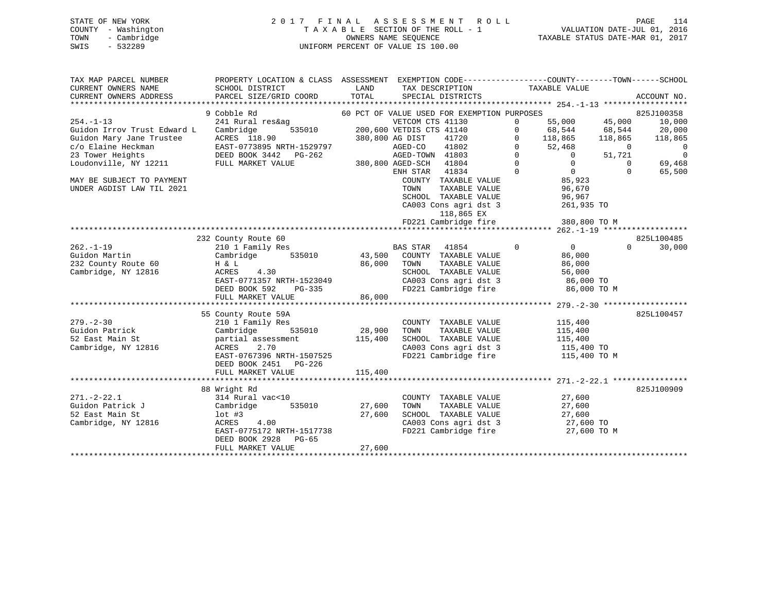# STATE OF NEW YORK 2 0 1 7 F I N A L A S S E S S M E N T R O L L PAGE 114 COUNTY - Washington T A X A B L E SECTION OF THE ROLL - 1 VALUATION DATE-JUL 01, 2016 TOWN - Cambridge OWNERS NAME SEQUENCE TAXABLE STATUS DATE-MAR 01, 2017 SWIS - 532289 UNIFORM PERCENT OF VALUE IS 100.00

| TAX MAP PARCEL NUMBER<br>CURRENT OWNERS NAME<br>CURRENT OWNERS ADDRESS | PROPERTY LOCATION & CLASS ASSESSMENT EXEMPTION CODE----------------COUNTY-------TOWN-----SCHOOL<br>SCHOOL DISTRICT<br>PARCEL SIZE/GRID COORD | LAND<br>TOTAL                               |                                                          | TAX DESCRIPTION<br>SPECIAL DISTRICTS             |                | TAXABLE VALUE                                   |                | ACCOUNT NO.              |
|------------------------------------------------------------------------|----------------------------------------------------------------------------------------------------------------------------------------------|---------------------------------------------|----------------------------------------------------------|--------------------------------------------------|----------------|-------------------------------------------------|----------------|--------------------------|
|                                                                        |                                                                                                                                              |                                             |                                                          |                                                  |                |                                                 |                |                          |
|                                                                        | 9 Cobble Rd                                                                                                                                  | 60 PCT OF VALUE USED FOR EXEMPTION PURPOSES |                                                          |                                                  |                |                                                 |                | 825J100358               |
| $254. -1 - 13$                                                         | 241 Rural res&ag                                                                                                                             |                                             | VETCOM CTS 41130                                         |                                                  | $\Omega$       | 55,000                                          | 45,000         | 10,000                   |
| Guidon Irrov Trust Edward L                                            | ,<br>535010<br>Cambridge                                                                                                                     |                                             | 200,600 VETDIS CTS 41140                                 |                                                  | $\Omega$       | 68,544 68,544                                   |                | 20,000                   |
| Guidon Mary Jane Trustee                                               | ACRES 118.90                                                                                                                                 |                                             | 380,800 AG DIST                                          | 41720                                            | $\Omega$       | 118,865                                         | 118,865        | 118,865                  |
| c/o Elaine Heckman                                                     | EAST-0773895 NRTH-1529797<br>DEED BOOK 3442 PG-262                                                                                           |                                             |                                                          |                                                  |                | $0 \t 52,468$                                   | $\overline{0}$ | $\overline{\phantom{0}}$ |
| 23 Tower Heights                                                       |                                                                                                                                              |                                             | AGED-CO 41802 0<br>AGED-TOWN 41803 0<br>AGED-SCH 41804 0 |                                                  |                | $\overline{0}$                                  | 51,721         | $\overline{0}$           |
| Loudonville, NY 12211 FULL MARKET VALUE                                |                                                                                                                                              | 380,800 AGED-SCH 41804                      |                                                          |                                                  |                | $\Omega$                                        | $\Omega$       | 69,468                   |
|                                                                        |                                                                                                                                              |                                             | ENH STAR 41834                                           |                                                  | $\overline{0}$ | $85,923$<br>$35,923$                            | $\Omega$       | 65,500                   |
| MAY BE SUBJECT TO PAYMENT                                              |                                                                                                                                              |                                             |                                                          | COUNTY TAXABLE VALUE                             |                |                                                 |                |                          |
| UNDER AGDIST LAW TIL 2021                                              |                                                                                                                                              |                                             | TOWN                                                     | TAXABLE VALUE                                    |                | 96,670                                          |                |                          |
|                                                                        |                                                                                                                                              |                                             |                                                          | SCHOOL TAXABLE VALUE                             |                | 96,967                                          |                |                          |
|                                                                        |                                                                                                                                              |                                             |                                                          | CA003 Cons agri dst 3                            |                | 261,935 TO                                      |                |                          |
|                                                                        |                                                                                                                                              |                                             |                                                          | 118,865 EX<br>II8,805 EX<br>FD221 Cambridge fire |                |                                                 |                |                          |
|                                                                        |                                                                                                                                              |                                             |                                                          |                                                  |                | 380,800 TO M                                    |                |                          |
|                                                                        |                                                                                                                                              |                                             |                                                          |                                                  |                |                                                 |                |                          |
|                                                                        | 232 County Route 60                                                                                                                          |                                             |                                                          |                                                  |                |                                                 |                | 825L100485               |
| $262. -1 - 19$                                                         | 210 1 Family Res                                                                                                                             |                                             | BAS STAR 41854                                           |                                                  | $\Omega$       | $\overline{0}$                                  | $\Omega$       | 30,000                   |
| Guidon Martin                                                          | Cambridge 535010 43,500                                                                                                                      |                                             |                                                          | COUNTY TAXABLE VALUE                             |                | 86,000                                          |                |                          |
| 232 County Route 60                                                    | H & L                                                                                                                                        | 86,000                                      | TOWN                                                     | TAXABLE VALUE                                    |                | 86,000                                          |                |                          |
| Cambridge, NY 12816                                                    | 4.30<br>ACRES<br>EAST-0771357 NRTH-1523049                                                                                                   |                                             |                                                          | SCHOOL TAXABLE VALUE                             |                | 56,000                                          |                |                          |
|                                                                        | DEED BOOK 592<br>PG-335                                                                                                                      |                                             |                                                          | FD221 Cambridge fire                             |                | CA003 Cons agri dst 3 66,000 TO<br>86,000 TO M  |                |                          |
|                                                                        | FULL MARKET VALUE                                                                                                                            | 86,000                                      |                                                          |                                                  |                |                                                 |                |                          |
|                                                                        |                                                                                                                                              |                                             |                                                          |                                                  |                |                                                 |                |                          |
|                                                                        | 55 County Route 59A                                                                                                                          |                                             |                                                          |                                                  |                |                                                 |                | 825L100457               |
| $279. - 2 - 30$                                                        | 210 1 Family Res                                                                                                                             |                                             |                                                          | COUNTY TAXABLE VALUE                             |                | 115,400                                         |                |                          |
| Guidon Patrick                                                         | Cambridge 535010                                                                                                                             | 28,900                                      | TOWN                                                     | TAXABLE VALUE                                    |                | 115,400                                         |                |                          |
| 52 East Main St                                                        | partial assessment                                                                                                                           | 115,400                                     |                                                          | SCHOOL TAXABLE VALUE                             |                | 115,400                                         |                |                          |
| Cambridge, NY 12816                                                    | ACRES<br>2.70                                                                                                                                |                                             |                                                          |                                                  |                | CA003 Cons agri dst 3 115,400 TO                |                |                          |
|                                                                        | EAST-0767396 NRTH-1507525                                                                                                                    |                                             |                                                          | FD221 Cambridge fire                             |                | 115,400 TO M                                    |                |                          |
|                                                                        | DEED BOOK 2451 PG-226                                                                                                                        |                                             |                                                          |                                                  |                |                                                 |                |                          |
|                                                                        | FULL MARKET VALUE                                                                                                                            | 115,400                                     |                                                          |                                                  |                |                                                 |                |                          |
|                                                                        |                                                                                                                                              |                                             |                                                          |                                                  |                |                                                 |                |                          |
|                                                                        | 88 Wright Rd                                                                                                                                 |                                             |                                                          |                                                  |                |                                                 |                | 825J100909               |
| $271. - 2 - 22.1$                                                      | 314 Rural vac<10                                                                                                                             |                                             |                                                          | COUNTY TAXABLE VALUE                             |                | 27,600                                          |                |                          |
| Guidon Patrick J                                                       | Cambridge<br>535010                                                                                                                          | 27,600                                      | TOWN                                                     | TAXABLE VALUE                                    |                | 27,600                                          |                |                          |
| 52 East Main St                                                        | $1$ ot #3                                                                                                                                    | 27,600                                      |                                                          | SCHOOL TAXABLE VALUE                             |                |                                                 |                |                          |
| Cambridge, NY 12816                                                    | ACRES 4.00                                                                                                                                   |                                             |                                                          |                                                  |                |                                                 |                |                          |
|                                                                        | EAST-0775172 NRTH-1517738                                                                                                                    |                                             |                                                          | CA003 Cons agri dst 3<br>FD221 Cambridge fire    |                | 27,000<br>27,600 TO<br>27,600 TO<br>27,600 TO M |                |                          |
|                                                                        | DEED BOOK 2928<br>PG-65                                                                                                                      |                                             |                                                          |                                                  |                |                                                 |                |                          |
|                                                                        | FULL MARKET VALUE                                                                                                                            | 27,600                                      |                                                          |                                                  |                |                                                 |                |                          |
|                                                                        |                                                                                                                                              |                                             |                                                          |                                                  |                |                                                 |                |                          |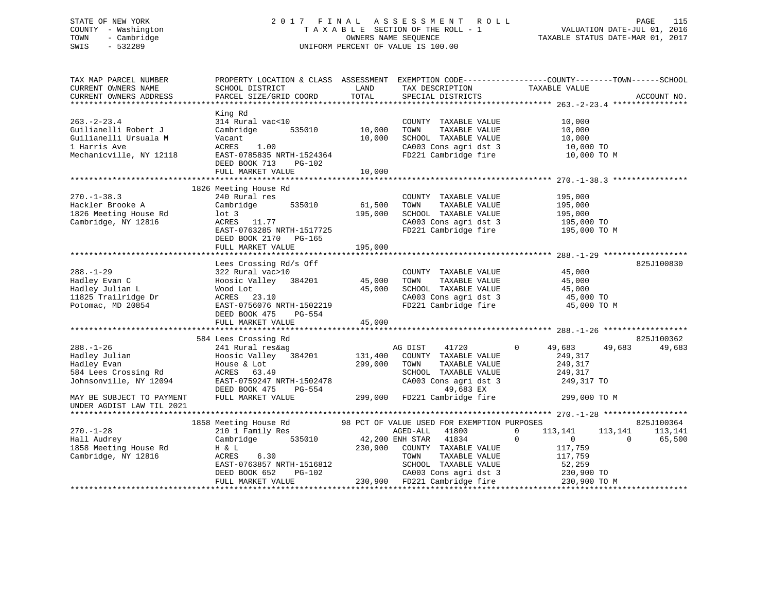# STATE OF NEW YORK 2 0 1 7 F I N A L A S S E S S M E N T R O L L PAGE 115 COUNTY - Washington T A X A B L E SECTION OF THE ROLL - 1 VALUATION DATE-JUL 01, 2016 TOWN - Cambridge OWNERS NAME SEQUENCE TAXABLE STATUS DATE-MAR 01, 2017 SWIS - 532289 UNIFORM PERCENT OF VALUE IS 100.00

| TAX MAP PARCEL NUMBER<br>CURRENT OWNERS NAME<br>CURRENT OWNERS ADDRESS                                                                                                   | PROPERTY LOCATION & CLASS ASSESSMENT EXEMPTION CODE---------------COUNTY-------TOWN-----SCHOOL<br>SCHOOL DISTRICT<br>PARCEL SIZE/GRID COORD                                                                                                       | LAND<br>TOTAL                     | TAX DESCRIPTION TAXABLE VALUE SPECIAL DISTRICTS<br>SPECIAL DISTRICTS                                                                                                                                                                                                                                                |                                                                        | ACCOUNT NO.                                            |
|--------------------------------------------------------------------------------------------------------------------------------------------------------------------------|---------------------------------------------------------------------------------------------------------------------------------------------------------------------------------------------------------------------------------------------------|-----------------------------------|---------------------------------------------------------------------------------------------------------------------------------------------------------------------------------------------------------------------------------------------------------------------------------------------------------------------|------------------------------------------------------------------------|--------------------------------------------------------|
| $263. - 2 - 23.4$<br>Guilianelli Robert J<br>Guilianelli Ursuala M<br>1 Harris Ave<br>Mechanicville, NY 12118                                                            | King Rd<br>314 Rural vac<10<br>Cambridge<br>Vacant<br>1.00<br>ACRES<br>EAST-0785835 NRTH-1524364<br>DEED BOOK 713<br>PG-102<br>FULL MARKET VALUE                                                                                                  | 535010 10,000<br>10,000<br>10,000 | COUNTY TAXABLE VALUE<br>TAXABLE VALUE<br>TOWN<br>$\begin{tabular}{lllllllllll} \multicolumn{2}{c}{\textbf{SCHODL}} & \textbf{TAXABLE} & \textbf{VALUE} & \textbf{10,000} \\ \multicolumn{2}{c}{\textbf{CA003} & \textbf{Cons} & \textbf{agri} & \textbf{dst} & 3 & & 10,000} \end{tabular}$<br>FD221 Cambridge fire | 10,000<br>10,000<br>10,000 TO M                                        |                                                        |
| $270. - 1 - 38.3$<br>Hackler Brooke A<br>1826 Meeting House Rd<br>Cambridge, NY 12816                                                                                    | 1826 Meeting House Rd<br>240 Rural res<br>Cambridge 535010<br>$1$ ot 3<br>ACRES 11.77<br>EAST-0763285 NRTH-1517725<br>DEED BOOK 2170 PG-165<br>FULL MARKET VALUE                                                                                  | 61,500<br>195,000<br>195,000      | COUNTY TAXABLE VALUE<br>TOWN TAXABLE VALUE<br>SCHOOL TAXABLE VALUE 195,000<br>TIAS Cars arri dst 3 195,000 TO<br>CA003 Cons agri dst 3 195,000 TO<br>FD221 Cambridge fire 195,000 TO M                                                                                                                              | 195,000                                                                |                                                        |
| $288. - 1 - 29$<br>Hadley Evan C<br>Hadley Julian L<br>11825 Trailridge Dr<br>Potomac, MD 20854                                                                          | Lees Crossing Rd/s Off<br>322 Rural vac>10<br>Hoosic Valley 384201 45,000<br>Wood Lot<br>ACRES 23.10<br>EAST-0756076 NRTH-1502219<br>DEED BOOK 475 PG-554<br>FULL MARKET VALUE                                                                    | 45,000<br>45,000                  | COUNTY TAXABLE VALUE<br>TAXABLE VALUE<br>TOWN<br>SCHOOL TAXABLE VALUE<br>SCHOOL TAXABLE VALUE 45,000<br>CA003 Cons agri dst 3 45,000 TO<br>FD221 Cambridge fire                                                                                                                                                     | 45,000<br>45,000<br>45,000<br>45,000 TO M                              | 825J100830                                             |
| $288. - 1 - 26$<br>288.-1-26<br>Hadley Julian<br>Hadley Evan<br>584 Lees Crossing Rd<br>Johnsonville, NY 12094<br>MAY BE SUBJECT TO PAYMENT<br>UNDER AGDIST LAW TIL 2021 | 584 Lees Crossing Rd<br>241 Rural res&ag<br>Hoosic Valley 384201 131,400<br>House & Lot<br>ACRES 63.49<br>EAST-0759247 NRTH-1502478<br>DEED BOOK 475<br>PG-554<br>FULL MARKET VALUE                                                               | 299,000                           | 41720<br>AG DIST<br>COUNTY TAXABLE VALUE<br>TOWN<br>TAXABLE VALUE<br>SCHOOL TAXABLE VALUE<br>CA003 Cons agri dst 3 249,317 TO<br>49,683 EX<br>299,000 FD221 Cambridge fire                                                                                                                                          | $\mathbf 0$<br>49,683<br>249,317<br>249,317<br>249,317<br>299,000 TO M | 825J100362<br>49,683<br>49,683                         |
| $270. - 1 - 28$<br>Hall Audrey<br>1858 Meeting House Rd<br>Cambridge, NY 12816                                                                                           | 1858 Meeting House Rd<br>210 1 Family Res<br>Cambridge 535010 42,200 ENH STAR 41834 0<br>H & L 230,900 COUNTY TAXABLE VALUE<br>ACRES<br>6.30<br>EAST-0763857 NRTH-1516812<br>DEED BOOK 652 DG-102<br>DEED BOOK 652<br>PG-102<br>FULL MARKET VALUE |                                   | 98 PCT OF VALUE USED FOR EXEMPTION PURPOSES<br>TAXABLE VALUE<br>TOWN<br>-102<br>CA003 Cons agri dst 3<br>230,900 FD221 Cambridge fire<br>the state of the 230,900 FD221 Cambridge fire<br>230.900 FD221 Cambridge fire                                                                                              | 113,141<br>$\overline{0}$<br>117,759<br>117,759<br>230,900 TO M        | 825J100364<br>113,141<br>113,141<br>$\Omega$<br>65,500 |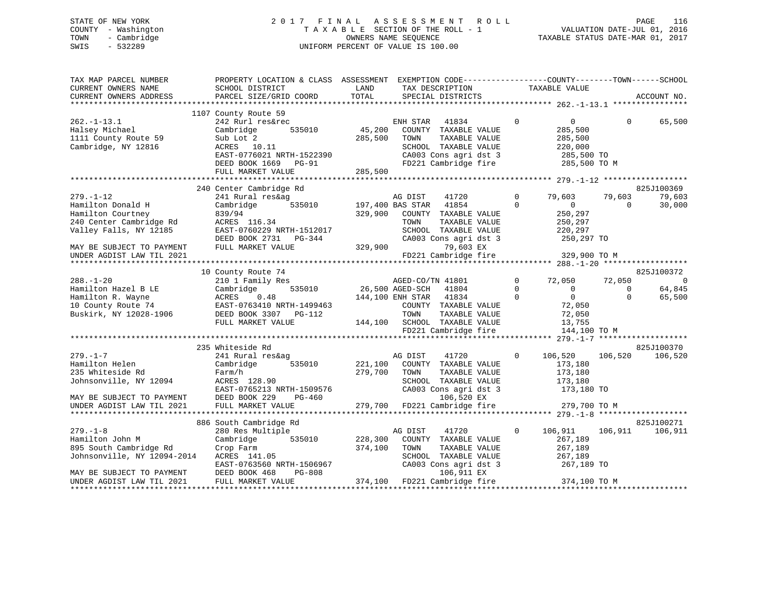# STATE OF NEW YORK 2 0 1 7 F I N A L A S S E S S M E N T R O L L PAGE 116 COUNTY - Washington T A X A B L E SECTION OF THE ROLL - 1 VALUATION DATE-JUL 01, 2016 TOWN - Cambridge OWNERS NAME SEQUENCE TAXABLE STATUS DATE-MAR 01, 2017 SWIS - 532289 UNIFORM PERCENT OF VALUE IS 100.00

| TAX MAP PARCEL NUMBER                                  | PROPERTY LOCATION & CLASS ASSESSMENT EXEMPTION CODE----------------COUNTY-------TOWN------SCHOOL |                         |                        |                              |              |                |          |                |
|--------------------------------------------------------|--------------------------------------------------------------------------------------------------|-------------------------|------------------------|------------------------------|--------------|----------------|----------|----------------|
| CURRENT OWNERS NAME                                    | SCHOOL DISTRICT                                                                                  | LAND                    |                        | TAX DESCRIPTION              |              | TAXABLE VALUE  |          |                |
| CURRENT OWNERS ADDRESS                                 | PARCEL SIZE/GRID COORD                                                                           | TOTAL                   |                        | SPECIAL DISTRICTS            |              |                |          | ACCOUNT NO.    |
|                                                        |                                                                                                  |                         |                        |                              |              |                |          |                |
|                                                        | 1107 County Route 59                                                                             |                         |                        |                              |              |                |          |                |
| $262. - 1 - 13.1$                                      | 242 Rurl res&rec                                                                                 |                         | ENH STAR               | 41834                        | $\mathbf 0$  | $\overline{0}$ | $\Omega$ | 65,500         |
| Halsey Michael                                         | Cambridge<br>535010                                                                              | 45,200                  |                        | COUNTY TAXABLE VALUE         |              | 285,500        |          |                |
| 1111 County Route 59                                   | Sub Lot 2                                                                                        | 285,500                 | TOWN                   | TAXABLE VALUE                |              | 285,500        |          |                |
| Cambridge, NY 12816                                    | ACRES 10.11                                                                                      |                         |                        | SCHOOL TAXABLE VALUE         |              | 220,000        |          |                |
|                                                        | EAST-0776021 NRTH-1522390                                                                        |                         |                        | CA003 Cons agri dst 3        |              | 285,500 TO     |          |                |
|                                                        | DEED BOOK 1669 PG-91                                                                             |                         |                        | FD221 Cambridge fire         |              | 285,500 TO M   |          |                |
|                                                        | FULL MARKET VALUE                                                                                | 285,500                 |                        |                              |              |                |          |                |
|                                                        |                                                                                                  |                         |                        |                              |              |                |          |                |
|                                                        | 240 Center Cambridge Rd                                                                          |                         |                        |                              |              |                |          | 825J100369     |
| $279. - 1 - 12$                                        | 241 Rural res&ag                                                                                 |                         | AG DIST                | 41720                        | $\Omega$     | 79,603         | 79,603   | 79,603         |
| Hamilton Donald H                                      |                                                                                                  | 535010 197,400 BAS STAR |                        | 41854                        | $\Omega$     | $\overline{0}$ | $\Omega$ | 30,000         |
|                                                        | Cambridge                                                                                        |                         |                        |                              |              |                |          |                |
| Hamilton Courtney                                      | 839/94                                                                                           | 329,900                 |                        | COUNTY TAXABLE VALUE         |              | 250,297        |          |                |
| 240 Center Cambridge Rd                                | ACRES 116.34                                                                                     |                         | TOWN                   | TAXABLE VALUE                |              | 250,297        |          |                |
| Valley Falls, NY 12185                                 | EAST-0760229 NRTH-1512017                                                                        |                         |                        | SCHOOL TAXABLE VALUE         |              | 220,297        |          |                |
|                                                        | DEED BOOK 2731 PG-344                                                                            |                         |                        | CA003 Cons agri dst 3        |              | 250,297 TO     |          |                |
| MAY BE SUBJECT TO PAYMENT                              | FULL MARKET VALUE                                                                                | 329,900                 |                        | 79,603 EX                    |              |                |          |                |
| UNDER AGDIST LAW TIL 2021                              |                                                                                                  |                         |                        | FD221 Cambridge fire         |              | 329,900 TO M   |          |                |
|                                                        |                                                                                                  |                         |                        |                              |              |                |          |                |
|                                                        | 10 County Route 74                                                                               |                         |                        |                              |              |                |          | 825J100372     |
| $288. - 1 - 20$                                        | 210 1 Family Res                                                                                 |                         | AGED-CO/TN 41801       |                              | $\Omega$     | 72,050         | 72,050   | $\overline{0}$ |
| Hamilton Hazel B LE                                    | 535010<br>Cambridge                                                                              | 26,500 AGED-SCH         |                        | 41804                        | $\Omega$     | $\Omega$       | $\Omega$ | 64,845         |
| Hamilton R. Wayne                                      | 0.48<br>ACRES                                                                                    |                         | 144,100 ENH STAR 41834 |                              | $\Omega$     | $\overline{0}$ | $\Omega$ | 65,500         |
| 10 County Route 74                                     | EAST-0763410 NRTH-1499463                                                                        |                         |                        | COUNTY TAXABLE VALUE         |              | 72,050         |          |                |
| Buskirk, NY 12028-1906                                 | DEED BOOK 3307 PG-112                                                                            |                         | TOWN                   | TAXABLE VALUE                |              | 72,050         |          |                |
|                                                        | FULL MARKET VALUE                                                                                |                         |                        | 144,100 SCHOOL TAXABLE VALUE |              | 13,755         |          |                |
|                                                        |                                                                                                  |                         |                        | FD221 Cambridge fire         |              | 144,100 TO M   |          |                |
|                                                        |                                                                                                  |                         |                        |                              |              |                |          |                |
|                                                        | 235 Whiteside Rd                                                                                 |                         |                        |                              |              |                |          | 825J100370     |
| $279. - 1 - 7$                                         | 241 Rural res&ag                                                                                 |                         | AG DIST                | 41720                        | $\circ$      | 106,520        | 106,520  | 106,520        |
| Hamilton Helen                                         | Cambridge<br>535010                                                                              |                         |                        | 221,100 COUNTY TAXABLE VALUE |              | 173,180        |          |                |
| 235 Whiteside Rd                                       | Farm/h                                                                                           | 279,700                 | TOWN                   | TAXABLE VALUE                |              | 173,180        |          |                |
|                                                        |                                                                                                  |                         |                        |                              |              |                |          |                |
| Johnsonville, NY 12094                                 | ACRES 128.90                                                                                     |                         |                        | SCHOOL TAXABLE VALUE         |              | 173,180        |          |                |
|                                                        | EAST-0765213 NRTH-1509576                                                                        |                         |                        | CA003 Cons agri dst 3        |              | 173,180 TO     |          |                |
| MAY BE SUBJECT TO PAYMENT<br>UNDER AGDIST LAW TIL 2021 | DEED BOOK 229<br>PG-460                                                                          |                         |                        | 106,520 EX                   |              |                |          |                |
|                                                        | FULL MARKET VALUE                                                                                |                         |                        | 279,700 FD221 Cambridge fire |              | 279,700 TO M   |          |                |
|                                                        |                                                                                                  |                         |                        |                              |              |                |          |                |
|                                                        | 886 South Cambridge Rd                                                                           |                         |                        |                              |              |                |          | 825J100271     |
| $279. - 1 - 8$                                         | 280 Res Multiple                                                                                 |                         | AG DIST                | 41720                        | $\mathbf{0}$ | 106,911        | 106,911  | 106,911        |
| Hamilton John M                                        | Cambridge<br>535010                                                                              | 228,300                 |                        | COUNTY TAXABLE VALUE         |              | 267,189        |          |                |
| 895 South Cambridge Rd                                 | Crop Farm                                                                                        | 374,100                 | TOWN                   | TAXABLE VALUE                |              | 267,189        |          |                |
| Johnsonville, NY 12094-2014                            | ACRES 141.05                                                                                     |                         |                        | SCHOOL TAXABLE VALUE         |              | 267,189        |          |                |
|                                                        | EAST-0763560 NRTH-1506967                                                                        |                         |                        | CA003 Cons agri dst 3        |              | 267,189 TO     |          |                |
| MAY BE SUBJECT TO PAYMENT                              | PG-808<br>DEED BOOK 468                                                                          |                         |                        | 106,911 EX                   |              |                |          |                |
| UNDER AGDIST LAW TIL 2021                              | FULL MARKET VALUE                                                                                |                         |                        | 374,100 FD221 Cambridge fire |              | 374,100 TO M   |          |                |
|                                                        |                                                                                                  |                         |                        |                              |              |                |          |                |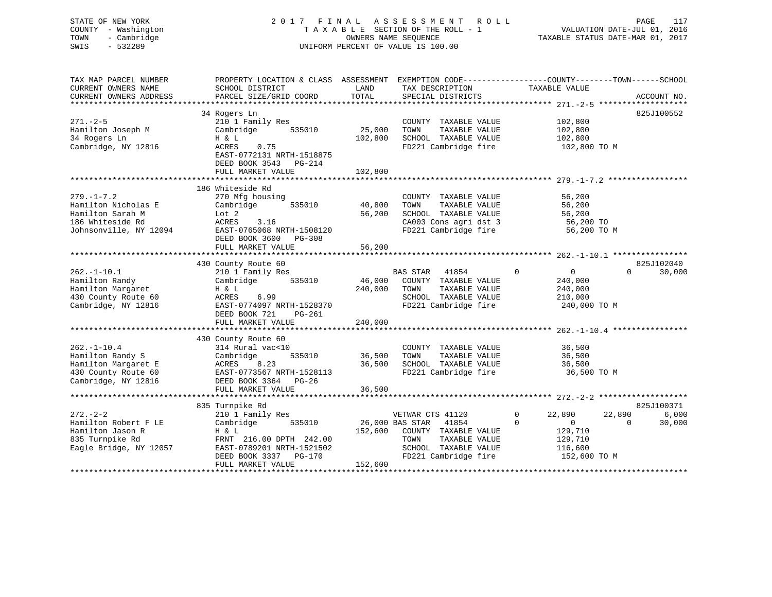# STATE OF NEW YORK 2 0 1 7 F I N A L A S S E S S M E N T R O L L PAGE 117 COUNTY - Washington T A X A B L E SECTION OF THE ROLL - 1 VALUATION DATE-JUL 01, 2016 TOWN - Cambridge OWNERS NAME SEQUENCE TAXABLE STATUS DATE-MAR 01, 2017 SWIS - 532289 UNIFORM PERCENT OF VALUE IS 100.00

| TAX MAP PARCEL NUMBER  | PROPERTY LOCATION & CLASS ASSESSMENT |         | EXEMPTION CODE-----------------COUNTY-------TOWN------SCHOOL |                             |                    |
|------------------------|--------------------------------------|---------|--------------------------------------------------------------|-----------------------------|--------------------|
| CURRENT OWNERS NAME    | SCHOOL DISTRICT                      | LAND    | TAX DESCRIPTION                                              | TAXABLE VALUE               |                    |
| CURRENT OWNERS ADDRESS | PARCEL SIZE/GRID COORD               | TOTAL   | SPECIAL DISTRICTS                                            |                             | ACCOUNT NO.        |
| *******************    |                                      |         |                                                              |                             |                    |
|                        | 34 Rogers Ln                         |         |                                                              |                             | 825J100552         |
| $271. - 2 - 5$         | 210 1 Family Res                     |         | COUNTY<br>TAXABLE VALUE                                      | 102,800                     |                    |
| Hamilton Joseph M      | Cambridge<br>535010                  | 25,000  | TAXABLE VALUE<br>TOWN                                        | 102,800                     |                    |
| 34 Rogers Ln           | H & L                                | 102,800 | SCHOOL TAXABLE VALUE                                         | 102,800                     |                    |
| Cambridge, NY 12816    | 0.75<br>ACRES                        |         | FD221 Cambridge fire                                         | 102,800 TO M                |                    |
|                        | EAST-0772131 NRTH-1518875            |         |                                                              |                             |                    |
|                        | DEED BOOK 3543<br>$PG-214$           |         |                                                              |                             |                    |
|                        | FULL MARKET VALUE                    | 102,800 |                                                              |                             |                    |
|                        |                                      |         |                                                              |                             |                    |
|                        | 186 Whiteside Rd                     |         |                                                              |                             |                    |
| $279. - 1 - 7.2$       | 270 Mfg housing                      |         | COUNTY TAXABLE VALUE                                         | 56,200                      |                    |
| Hamilton Nicholas E    | 535010<br>Cambridge                  | 40,800  | TOWN<br>TAXABLE VALUE                                        | 56,200                      |                    |
| Hamilton Sarah M       | Lot 2                                | 56,200  | SCHOOL TAXABLE VALUE                                         | 56,200                      |                    |
| 186 Whiteside Rd       | ACRES<br>3.16                        |         | CA003 Cons agri dst 3                                        | 56,200 TO                   |                    |
| Johnsonville, NY 12094 | EAST-0765068 NRTH-1508120            |         | FD221 Cambridge fire                                         | 56,200 TO M                 |                    |
|                        | DEED BOOK 3600<br>$PG-308$           |         |                                                              |                             |                    |
|                        | FULL MARKET VALUE                    | 56,200  |                                                              |                             |                    |
|                        |                                      |         |                                                              |                             |                    |
|                        | 430 County Route 60                  |         |                                                              |                             | 825J102040         |
| $262. -1 - 10.1$       | 210 1 Family Res                     |         | <b>BAS STAR</b><br>41854                                     | $\mathbf 0$<br>$\Omega$     | $\Omega$<br>30,000 |
| Hamilton Randy         | 535010<br>Cambridge                  | 46,000  | COUNTY TAXABLE VALUE                                         | 240,000                     |                    |
| Hamilton Margaret      | H & L                                | 240,000 | TAXABLE VALUE<br>TOWN                                        | 240,000                     |                    |
| 430 County Route 60    | ACRES<br>6.99                        |         | SCHOOL TAXABLE VALUE                                         | 210,000                     |                    |
| Cambridge, NY 12816    | EAST-0774097 NRTH-1528370            |         | FD221 Cambridge fire                                         | 240,000 TO M                |                    |
|                        | DEED BOOK 721<br>PG-261              |         |                                                              |                             |                    |
|                        | FULL MARKET VALUE                    | 240,000 |                                                              |                             |                    |
|                        |                                      |         |                                                              |                             |                    |
|                        | 430 County Route 60                  |         |                                                              |                             |                    |
| $262. - 1 - 10.4$      | 314 Rural vac<10                     |         | COUNTY TAXABLE VALUE                                         | 36,500                      |                    |
| Hamilton Randy S       | Cambridge<br>535010                  | 36,500  | TOWN<br>TAXABLE VALUE                                        | 36,500                      |                    |
| Hamilton Margaret E    | 8.23<br>ACRES                        | 36,500  | SCHOOL TAXABLE VALUE                                         | 36,500                      |                    |
| 430 County Route 60    | EAST-0773567 NRTH-1528113            |         | FD221 Cambridge fire                                         | 36,500 TO M                 |                    |
| Cambridge, NY 12816    | DEED BOOK 3364<br>$PG-26$            |         |                                                              |                             |                    |
|                        | FULL MARKET VALUE                    | 36,500  |                                                              |                             |                    |
|                        |                                      |         |                                                              |                             |                    |
|                        | 835 Turnpike Rd                      |         |                                                              |                             | 825J100371         |
| $272 - 2 - 2$          | 210 1 Family Res                     |         | VETWAR CTS 41120                                             | 22,890<br>0                 | 22,890<br>6,000    |
| Hamilton Robert F LE   | Cambridge<br>535010                  |         | 26,000 BAS STAR<br>41854                                     | $\mathbf 0$<br>$\mathbf{0}$ | 30,000<br>$\Omega$ |
| Hamilton Jason R       | H & L                                | 152,600 | COUNTY TAXABLE VALUE                                         | 129,710                     |                    |
| 835 Turnpike Rd        | FRNT 216.00 DPTH 242.00              |         | TOWN<br>TAXABLE VALUE                                        | 129,710                     |                    |
| Eagle Bridge, NY 12057 | EAST-0789201 NRTH-1521502            |         | SCHOOL TAXABLE VALUE                                         | 116,600                     |                    |
|                        | DEED BOOK 3337<br>PG-170             |         | FD221 Cambridge fire                                         | 152,600 TO M                |                    |
|                        | FULL MARKET VALUE                    | 152,600 |                                                              |                             |                    |
|                        |                                      |         |                                                              |                             |                    |
|                        |                                      |         |                                                              |                             |                    |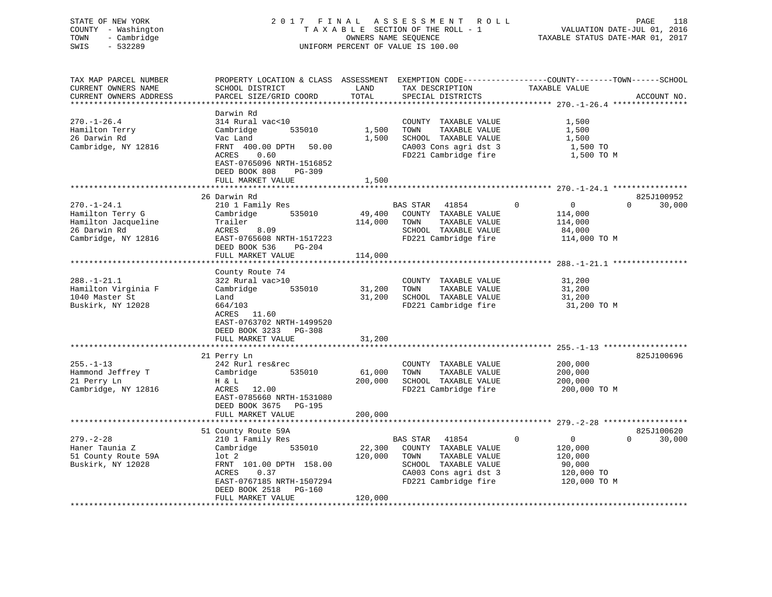# STATE OF NEW YORK 2 0 1 7 F I N A L A S S E S S M E N T R O L L PAGE 118 COUNTY - Washington T A X A B L E SECTION OF THE ROLL - 1 VALUATION DATE-JUL 01, 2016 TOWN - Cambridge OWNERS NAME SEQUENCE TAXABLE STATUS DATE-MAR 01, 2017 SWIS - 532289 UNIFORM PERCENT OF VALUE IS 100.00

| TAX MAP PARCEL NUMBER<br>CURRENT OWNERS NAME<br>CURRENT OWNERS ADDRESS                               | PROPERTY LOCATION & CLASS ASSESSMENT<br>SCHOOL DISTRICT<br>PARCEL SIZE/GRID COORD                                                                                                                      | LAND<br>TOTAL                | TAX DESCRIPTION<br>SPECIAL DISTRICTS                                                                                                        | EXEMPTION CODE-----------------COUNTY-------TOWN------SCHOOL<br>TAXABLE VALUE               | ACCOUNT NO.                         |
|------------------------------------------------------------------------------------------------------|--------------------------------------------------------------------------------------------------------------------------------------------------------------------------------------------------------|------------------------------|---------------------------------------------------------------------------------------------------------------------------------------------|---------------------------------------------------------------------------------------------|-------------------------------------|
| **********************<br>$270. - 1 - 26.4$<br>Hamilton Terry<br>26 Darwin Rd<br>Cambridge, NY 12816 | Darwin Rd<br>314 Rural vac<10<br>Cambridge<br>535010<br>Vac Land<br>FRNT 400.00 DPTH<br>50.00<br>ACRES<br>0.60<br>EAST-0765096 NRTH-1516852<br>DEED BOOK 808<br>PG-309<br>FULL MARKET VALUE            | 1,500<br>1,500<br>1,500      | COUNTY TAXABLE VALUE<br>TOWN<br>TAXABLE VALUE<br>SCHOOL TAXABLE VALUE<br>CA003 Cons agri dst 3<br>FD221 Cambridge fire                      | 1,500<br>1,500<br>1,500<br>1,500 TO<br>1,500 TO M                                           |                                     |
| $270. - 1 - 24.1$<br>Hamilton Terry G<br>Hamilton Jacqueline<br>26 Darwin Rd<br>Cambridge, NY 12816  | 26 Darwin Rd<br>210 1 Family Res<br>Cambridge<br>535010<br>Trailer<br>ACRES<br>8.09<br>EAST-0765608 NRTH-1517223<br>DEED BOOK 536<br>PG-204<br>FULL MARKET VALUE                                       | 49,400<br>114,000<br>114,000 | 41854<br>BAS STAR<br>COUNTY TAXABLE VALUE<br>TAXABLE VALUE<br>TOWN<br>SCHOOL TAXABLE VALUE<br>FD221 Cambridge fire                          | $\mathbf 0$<br>$\overline{0}$<br>114,000<br>114,000<br>84,000<br>114,000 TO M               | 825J100952<br>30,000<br>$\mathbf 0$ |
| $288. - 1 - 21.1$<br>Hamilton Virginia F<br>1040 Master St<br>Buskirk, NY 12028                      | County Route 74<br>322 Rural vac>10<br>Cambridge<br>535010<br>Land<br>664/103<br>ACRES 11.60<br>EAST-0763702 NRTH-1499520<br>DEED BOOK 3233<br>PG-308<br>FULL MARKET VALUE                             | 31,200<br>31,200<br>31,200   | COUNTY TAXABLE VALUE<br>TOWN<br>TAXABLE VALUE<br>SCHOOL TAXABLE VALUE<br>FD221 Cambridge fire                                               | 31,200<br>31,200<br>31,200<br>31,200 TO M                                                   |                                     |
| $255. - 1 - 13$<br>Hammond Jeffrey T<br>21 Perry Ln<br>Cambridge, NY 12816                           | ************************<br>21 Perry Ln<br>242 Rurl res&rec<br>Cambridge<br>535010<br>H & L<br>ACRES<br>12.00<br>EAST-0785660 NRTH-1531080<br>DEED BOOK 3675<br>$PG-195$<br>FULL MARKET VALUE          | 61,000<br>200,000<br>200,000 | COUNTY TAXABLE VALUE<br>TAXABLE VALUE<br>TOWN<br>SCHOOL TAXABLE VALUE<br>FD221 Cambridge fire<br>**********************************         | 200,000<br>200,000<br>200,000<br>200,000 TO M<br>*********** 279.-2-28 ********             | 825J100696                          |
| $279. - 2 - 28$<br>Haner Taunia Z<br>51 County Route 59A<br>Buskirk, NY 12028                        | 51 County Route 59A<br>210 1 Family Res<br>Cambridge<br>535010<br>$1$ ot $2$<br>FRNT 101.00 DPTH 158.00<br>0.37<br>ACRES<br>EAST-0767185 NRTH-1507294<br>DEED BOOK 2518<br>PG-160<br>FULL MARKET VALUE | 22,300<br>120,000<br>120,000 | BAS STAR<br>41854<br>COUNTY TAXABLE VALUE<br>TAXABLE VALUE<br>TOWN<br>SCHOOL TAXABLE VALUE<br>CA003 Cons agri dst 3<br>FD221 Cambridge fire | $\mathbf 0$<br>$\overline{0}$<br>120,000<br>120,000<br>90,000<br>120,000 TO<br>120,000 TO M | 825J100620<br>$\Omega$<br>30,000    |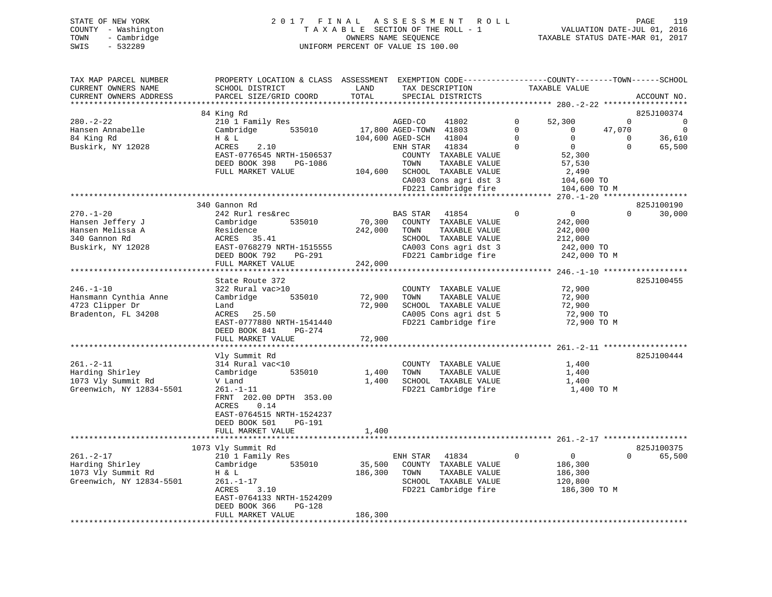### STATE OF NEW YORK 2017 FINAL ASSESSMENT ROLL PAGE 119 COUNTY - Washington T A X A B L E SECTION OF THE ROLL - 1 VALUATION DATE-JUL 01, 2016 TOWN - Cambridge OWNERS NAME SEQUENCE TAXABLE STATUS DATE-MAR 01, 2017 SWIS - 532289 UNIFORM PERCENT OF VALUE IS 100.00

VALUATION DATE-JUL  $01$ , 2016

| TAX MAP PARCEL NUMBER<br>CURRENT OWNERS NAME     | PROPERTY LOCATION & CLASS ASSESSMENT EXEMPTION CODE----------------COUNTY-------TOWN------SCHOOL<br>SCHOOL DISTRICT | LAND    | TAX DESCRIPTION              |             | TAXABLE VALUE            |                    |
|--------------------------------------------------|---------------------------------------------------------------------------------------------------------------------|---------|------------------------------|-------------|--------------------------|--------------------|
| CURRENT OWNERS ADDRESS<br>********************** | PARCEL SIZE/GRID COORD                                                                                              | TOTAL   | SPECIAL DISTRICTS            |             |                          | ACCOUNT NO.        |
|                                                  | 84 King Rd                                                                                                          |         |                              |             |                          | 825J100374         |
| $280. - 2 - 22$                                  | 210 1 Family Res                                                                                                    |         | AGED-CO<br>41802             | 0           | 52,300                   | $\Omega$<br>0      |
| Hansen Annabelle                                 | 535010<br>Cambridge                                                                                                 |         | 17,800 AGED-TOWN 41803       | $\Omega$    | 47,070<br>$\overline{0}$ | $\overline{0}$     |
| 84 King Rd                                       | H & L                                                                                                               |         | 104,600 AGED-SCH<br>41804    | $\Omega$    | $\Omega$                 | 36,610<br>$\Omega$ |
| Buskirk, NY 12028                                | ACRES<br>2.10                                                                                                       |         | 41834<br>ENH STAR            | $\Omega$    | $\overline{0}$           | $\Omega$<br>65,500 |
|                                                  | EAST-0776545 NRTH-1506537                                                                                           |         | COUNTY TAXABLE VALUE         |             | 52,300                   |                    |
|                                                  | DEED BOOK 398<br>PG-1086                                                                                            |         | TOWN<br>TAXABLE VALUE        |             | 57,530                   |                    |
|                                                  | FULL MARKET VALUE                                                                                                   |         | 104,600 SCHOOL TAXABLE VALUE |             | 2,490                    |                    |
|                                                  |                                                                                                                     |         | CA003 Cons agri dst 3        |             | 104,600 TO               |                    |
|                                                  |                                                                                                                     |         | FD221 Cambridge fire         |             | 104,600 TO M             |                    |
|                                                  |                                                                                                                     |         |                              |             |                          |                    |
|                                                  | 340 Gannon Rd                                                                                                       |         |                              |             |                          | 825J100190         |
| $270. - 1 - 20$                                  | 242 Rurl res&rec                                                                                                    |         | <b>BAS STAR</b><br>41854     | $\Omega$    | $\overline{0}$           | $\Omega$<br>30,000 |
| Hansen Jeffery J                                 | 535010<br>Cambridge                                                                                                 | 70,300  | COUNTY TAXABLE VALUE         |             | 242,000                  |                    |
| Hansen Melissa A                                 | Residence                                                                                                           | 242,000 | TOWN<br>TAXABLE VALUE        |             | 242,000                  |                    |
| 340 Gannon Rd                                    | ACRES 35.41                                                                                                         |         | SCHOOL TAXABLE VALUE         |             | 212,000                  |                    |
| Buskirk, NY 12028                                | EAST-0768279 NRTH-1515555                                                                                           |         | CA003 Cons agri dst 3        |             | 242,000 TO               |                    |
|                                                  | DEED BOOK 792<br>PG-291                                                                                             |         | FD221 Cambridge fire         |             | 242,000 TO M             |                    |
|                                                  | FULL MARKET VALUE                                                                                                   | 242,000 |                              |             |                          |                    |
|                                                  |                                                                                                                     |         |                              |             |                          |                    |
|                                                  | State Route 372                                                                                                     |         |                              |             |                          | 825J100455         |
| $246. - 1 - 10$                                  | 322 Rural vac>10                                                                                                    |         | COUNTY TAXABLE VALUE         |             | 72,900                   |                    |
| Hansmann Cynthia Anne                            | Cambridge<br>535010                                                                                                 | 72,900  | TOWN<br>TAXABLE VALUE        |             | 72,900                   |                    |
| 4723 Clipper Dr                                  | Land                                                                                                                | 72,900  | SCHOOL TAXABLE VALUE         |             | 72,900                   |                    |
| Bradenton, FL 34208                              | ACRES 25.50                                                                                                         |         | CA005 Cons agri dst 5        |             | 72,900 TO                |                    |
|                                                  | EAST-0777880 NRTH-1541440                                                                                           |         | FD221 Cambridge fire         |             | 72,900 TO M              |                    |
|                                                  | DEED BOOK 841<br>PG-274                                                                                             |         |                              |             |                          |                    |
|                                                  | FULL MARKET VALUE                                                                                                   | 72,900  |                              |             |                          |                    |
|                                                  |                                                                                                                     |         |                              |             |                          |                    |
|                                                  | Vly Summit Rd                                                                                                       |         |                              |             |                          | 825J100444         |
| $261. - 2 - 11$                                  | 314 Rural vac<10                                                                                                    |         | COUNTY TAXABLE VALUE         |             | 1,400                    |                    |
| Harding Shirley                                  | Cambridge<br>535010                                                                                                 | 1,400   | TOWN<br>TAXABLE VALUE        |             | 1,400                    |                    |
| 1073 Vly Summit Rd                               | V Land                                                                                                              | 1,400   | SCHOOL TAXABLE VALUE         |             | 1,400                    |                    |
| Greenwich, NY 12834-5501                         | $261. - 1 - 11$                                                                                                     |         | FD221 Cambridge fire         |             | 1,400 TO M               |                    |
|                                                  | FRNT 202.00 DPTH 353.00                                                                                             |         |                              |             |                          |                    |
|                                                  | ACRES<br>0.14                                                                                                       |         |                              |             |                          |                    |
|                                                  | EAST-0764515 NRTH-1524237                                                                                           |         |                              |             |                          |                    |
|                                                  | DEED BOOK 501<br>PG-191                                                                                             |         |                              |             |                          |                    |
|                                                  | FULL MARKET VALUE                                                                                                   | 1,400   |                              |             |                          |                    |
|                                                  | *************************                                                                                           |         |                              |             |                          |                    |
|                                                  | 1073 Vly Summit Rd                                                                                                  |         |                              |             |                          | 825J100375         |
| $261. - 2 - 17$                                  | 210 1 Family Res                                                                                                    |         | 41834<br>ENH STAR            | $\mathbf 0$ | $\mathsf{O}$             | $\Omega$<br>65,500 |
| Harding Shirley                                  | Cambridge<br>535010                                                                                                 | 35,500  | COUNTY TAXABLE VALUE         |             | 186,300                  |                    |
| 1073 Vly Summit Rd                               | H & L                                                                                                               | 186,300 | TOWN<br>TAXABLE VALUE        |             | 186,300                  |                    |
| Greenwich, NY 12834-5501                         | 261.-1-17                                                                                                           |         | SCHOOL TAXABLE VALUE         |             | 120,800                  |                    |
|                                                  | 3.10<br>ACRES                                                                                                       |         | FD221 Cambridge fire         |             | 186,300 TO M             |                    |
|                                                  | EAST-0764133 NRTH-1524209                                                                                           |         |                              |             |                          |                    |
|                                                  | DEED BOOK 366<br>$PG-128$                                                                                           |         |                              |             |                          |                    |
|                                                  | FULL MARKET VALUE                                                                                                   | 186,300 |                              |             |                          |                    |
|                                                  |                                                                                                                     |         |                              |             |                          |                    |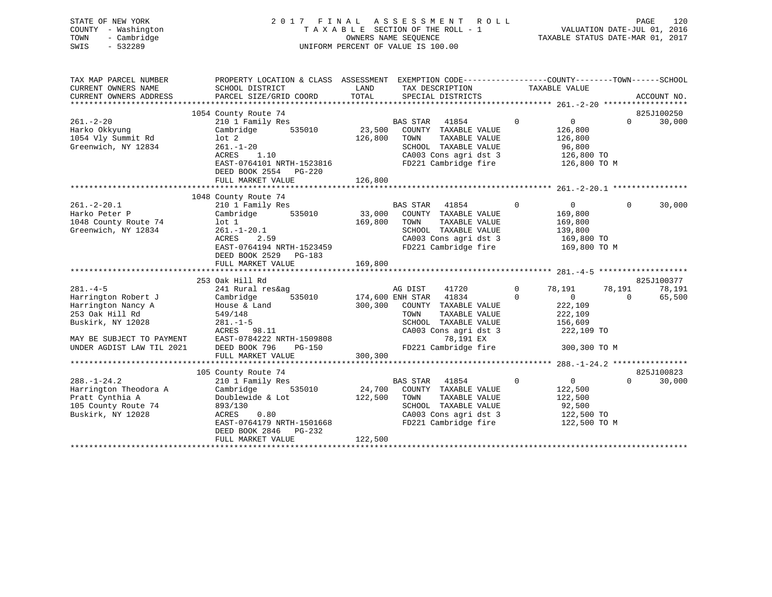|      | STATE OF NEW YORK   | 2017 FINAL ASSESSMENT ROLL                               | PAGE                        | 120 |
|------|---------------------|----------------------------------------------------------|-----------------------------|-----|
|      | COUNTY - Washington | TAXABLE SECTION OF THE ROLL - 1                          | VALUATION DATE-JUL 01, 2016 |     |
| TOWN | - Cambridge         | TAXABLE STATUS DATE-MAR 01, 2017<br>OWNERS NAME SEOUENCE |                             |     |
| SWIS | $-532289$           | UNIFORM PERCENT OF VALUE IS 100.00                       |                             |     |
|      |                     |                                                          |                             |     |
|      |                     |                                                          |                             |     |

| TAX MAP PARCEL NUMBER<br>CURRENT OWNERS NAME | PROPERTY LOCATION & CLASS ASSESSMENT EXEMPTION CODE----------------COUNTY-------TOWN------SCHOOL<br>SCHOOL DISTRICT | LAND          | TAX DESCRIPTION                  |                | TAXABLE VALUE     |          |             |
|----------------------------------------------|---------------------------------------------------------------------------------------------------------------------|---------------|----------------------------------|----------------|-------------------|----------|-------------|
| CURRENT OWNERS ADDRESS                       | PARCEL SIZE/GRID COORD                                                                                              | TOTAL         | SPECIAL DISTRICTS                |                |                   |          | ACCOUNT NO. |
|                                              |                                                                                                                     |               |                                  |                |                   |          |             |
|                                              | 1054 County Route 74                                                                                                |               |                                  |                |                   |          | 825J100250  |
| $261. - 2 - 20$                              | 210 1 Family Res                                                                                                    |               | BAS STAR 41854                   | $\overline{0}$ | $0 \qquad \qquad$ | $\Omega$ | 30,000      |
| Harko Okkyung                                | 535010<br>Cambridge                                                                                                 | 23,500        | COUNTY TAXABLE VALUE             |                | 126,800           |          |             |
| 1054 Vly Summit Rd                           | $1$ ot $2$                                                                                                          | 126,800       | TOWN<br>TAXABLE VALUE            |                | 126,800           |          |             |
| Greenwich, NY 12834                          | $261. - 1 - 20$                                                                                                     |               | SCHOOL TAXABLE VALUE             |                | 96,800            |          |             |
|                                              | 1.10<br>ACRES                                                                                                       |               | CA003 Cons agri dst 3            |                | 126,800 TO        |          |             |
|                                              | EAST-0764101 NRTH-1523816                                                                                           |               | FD221 Cambridge fire             |                | 126,800 TO M      |          |             |
|                                              | DEED BOOK 2554 PG-220                                                                                               |               |                                  |                |                   |          |             |
|                                              | FULL MARKET VALUE                                                                                                   | 126,800       |                                  |                |                   |          |             |
|                                              |                                                                                                                     |               |                                  |                |                   |          |             |
|                                              | 1048 County Route 74                                                                                                |               |                                  |                |                   |          |             |
| $261 - 2 - 20.1$                             | 210 1 Family Res                                                                                                    |               | BAS STAR 41854                   | $\Omega$       | $\overline{0}$    | $\Omega$ | 30,000      |
| Harko Peter P                                | 535010<br>Cambridge                                                                                                 | 33,000        | COUNTY TAXABLE VALUE             |                | 169,800           |          |             |
| 1048 County Route 74                         | lot 1                                                                                                               | 169,800       | TOWN<br>TAXABLE VALUE            |                | 169,800           |          |             |
| Greenwich, NY 12834                          | $261. - 1 - 20.1$                                                                                                   |               | SCHOOL TAXABLE VALUE             |                | 139,800           |          |             |
|                                              | ACRES<br>2.59                                                                                                       |               | CA003 Cons agri dst 3            |                | 169,800 TO        |          |             |
|                                              | EAST-0764194 NRTH-1523459                                                                                           |               | FD221 Cambridge fire             |                | 169,800 TO M      |          |             |
|                                              | DEED BOOK 2529 PG-183                                                                                               |               |                                  |                |                   |          |             |
|                                              | FULL MARKET VALUE                                                                                                   | 169,800       |                                  |                |                   |          |             |
|                                              |                                                                                                                     |               |                                  |                |                   |          |             |
|                                              | 253 Oak Hill Rd                                                                                                     |               |                                  |                |                   |          | 825J100377  |
| $281. -4-5$                                  | 241 Rural res&ag                                                                                                    |               | AG DIST<br>41720                 | $\mathbf{0}$   | 78,191            | 78,191   | 78,191      |
| Harrington Robert J                          | 535010<br>Cambridge                                                                                                 |               | 174,600 ENH STAR 41834           | $\Omega$       | $\Omega$          | $\Omega$ | 65,500      |
| Harrington Nancy A                           | House & Land                                                                                                        | 300,300       | COUNTY TAXABLE VALUE             |                | 222,109           |          |             |
| 253 Oak Hill Rd                              | 549/148                                                                                                             |               | TAXABLE VALUE<br>TOWN            |                | 222,109           |          |             |
| Buskirk, NY 12028                            | $281. - 1 - 5$                                                                                                      |               | SCHOOL TAXABLE VALUE             |                | 156,609           |          |             |
|                                              | ACRES 98.11                                                                                                         |               | CA003 Cons agri dst 3            |                | 222,109 TO        |          |             |
| MAY BE SUBJECT TO PAYMENT                    | EAST-0784222 NRTH-1509808                                                                                           |               | 78,191 EX                        |                |                   |          |             |
| UNDER AGDIST LAW TIL 2021                    | DEED BOOK 796<br>PG-150                                                                                             |               | FD221 Cambridge fire             |                | 300,300 TO M      |          |             |
|                                              | FULL MARKET VALUE                                                                                                   | 300,300       |                                  |                |                   |          |             |
|                                              |                                                                                                                     |               |                                  |                |                   |          |             |
|                                              | 105 County Route 74                                                                                                 |               |                                  |                |                   |          | 825J100823  |
| $288. - 1 - 24.2$                            | 210 1 Family Res                                                                                                    |               | BAS STAR 41854                   | $\overline{0}$ | $\overline{0}$    | $\Omega$ | 30,000      |
| Harrington Theodora A                        | Cambridge                                                                                                           | 535010 24,700 | COUNTY TAXABLE VALUE             |                | 122,500           |          |             |
| Pratt Cynthia A                              | Doublewide & Lot                                                                                                    | 122,500       | TAXABLE VALUE<br>TOWN            |                | 122,500           |          |             |
| 105 County Route 74                          | 893/130                                                                                                             |               | SCHOOL TAXABLE VALUE             |                | 92,500            |          |             |
| Buskirk, NY 12028                            | 0.80<br>ACRES                                                                                                       |               | CA003 Cons agri dst 3 122,500 TO |                |                   |          |             |
|                                              | EAST-0764179 NRTH-1501668                                                                                           |               | FD221 Cambridge fire             |                | 122,500 TO M      |          |             |
|                                              | DEED BOOK 2846 PG-232                                                                                               |               |                                  |                |                   |          |             |
|                                              | FULL MARKET VALUE                                                                                                   | 122,500       |                                  |                |                   |          |             |
|                                              |                                                                                                                     |               |                                  |                |                   |          |             |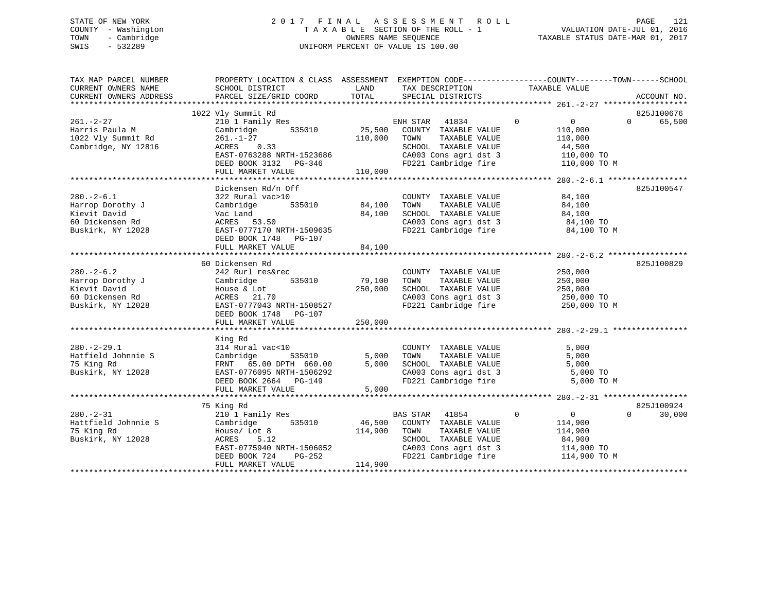# STATE OF NEW YORK 2 0 1 7 F I N A L A S S E S S M E N T R O L L PAGE 121 COUNTY - Washington T A X A B L E SECTION OF THE ROLL - 1 VALUATION DATE-JUL 01, 2016 TOWN - Cambridge OWNERS NAME SEQUENCE TAXABLE STATUS DATE-MAR 01, 2017 SWIS - 532289 UNIFORM PERCENT OF VALUE IS 100.00

| TAX MAP PARCEL NUMBER<br>CURRENT OWNERS NAME<br>CURRENT OWNERS ADDRESS | PROPERTY LOCATION & CLASS ASSESSMENT EXEMPTION CODE---------------COUNTY-------TOWN-----SCHOOL<br>SCHOOL DISTRICT<br>PARCEL SIZE/GRID COORD | LAND<br>TOTAL | TAX DESCRIPTION<br>SPECIAL DISTRICTS | TAXABLE VALUE                    | ACCOUNT NO.        |
|------------------------------------------------------------------------|---------------------------------------------------------------------------------------------------------------------------------------------|---------------|--------------------------------------|----------------------------------|--------------------|
|                                                                        |                                                                                                                                             |               |                                      |                                  |                    |
|                                                                        | 1022 Vly Summit Rd                                                                                                                          |               |                                      |                                  | 825J100676         |
| $261. - 2 - 27$                                                        | 210 1 Family Res                                                                                                                            |               | ENH STAR<br>41834                    | $\mathbf 0$<br>$0 \qquad \qquad$ | 65,500<br>$\Omega$ |
| Harris Paula M                                                         | 535010<br>Cambridge                                                                                                                         | 25,500        | COUNTY TAXABLE VALUE                 | 110,000                          |                    |
| 1022 Vly Summit Rd                                                     | $261. - 1 - 27$                                                                                                                             | 110,000       | TOWN<br>TAXABLE VALUE                | 110,000                          |                    |
| Cambridge, NY 12816                                                    | ACRES 0.33                                                                                                                                  |               | SCHOOL TAXABLE VALUE                 | 44,500                           |                    |
|                                                                        | EAST-0763288 NRTH-1523686                                                                                                                   |               | CA003 Cons agri dst 3                | 110,000 TO                       |                    |
|                                                                        | DEED BOOK 3132 PG-346                                                                                                                       |               | FD221 Cambridge fire                 | 110,000 TO M                     |                    |
|                                                                        | FULL MARKET VALUE                                                                                                                           | 110,000       |                                      |                                  |                    |
|                                                                        |                                                                                                                                             |               |                                      |                                  |                    |
|                                                                        | Dickensen Rd/n Off                                                                                                                          |               |                                      |                                  | 825J100547         |
| $280. - 2 - 6.1$                                                       | 322 Rural vac>10                                                                                                                            |               | COUNTY TAXABLE VALUE                 | 84,100                           |                    |
| Harrop Dorothy J                                                       | 535010<br>Cambridge                                                                                                                         | 84,100        | TOWN<br>TAXABLE VALUE                | 84,100                           |                    |
| Kievit David                                                           | Vac Land                                                                                                                                    | 84,100        | SCHOOL TAXABLE VALUE                 | 84,100                           |                    |
| 60 Dickensen Rd                                                        | ACRES 53.50                                                                                                                                 |               | CA003 Cons agri dst 3                | 84,100 TO                        |                    |
| Buskirk, NY 12028                                                      | EAST-0777170 NRTH-1509635                                                                                                                   |               | FD221 Cambridge fire                 | 84,100 TO M                      |                    |
|                                                                        | DEED BOOK 1748 PG-107                                                                                                                       |               |                                      |                                  |                    |
|                                                                        | FULL MARKET VALUE                                                                                                                           | 84,100        |                                      |                                  |                    |
|                                                                        |                                                                                                                                             |               |                                      |                                  |                    |
|                                                                        |                                                                                                                                             |               |                                      |                                  |                    |
|                                                                        | 60 Dickensen Rd                                                                                                                             |               |                                      |                                  | 825J100829         |
| $280. - 2 - 6.2$                                                       | 242 Rurl res&rec                                                                                                                            |               | COUNTY TAXABLE VALUE                 | 250,000                          |                    |
| Harrop Dorothy J                                                       | Cambridge<br>535010                                                                                                                         | 79,100        | TOWN<br>TAXABLE VALUE                | 250,000                          |                    |
| Kievit David                                                           | House & Lot                                                                                                                                 | 250,000       | SCHOOL TAXABLE VALUE                 | 250,000                          |                    |
| 60 Dickensen Rd                                                        | ACRES 21.70                                                                                                                                 |               | CA003 Cons agri dst 3                | 250,000 TO                       |                    |
| Buskirk, NY 12028                                                      | EAST-0777043 NRTH-1508527                                                                                                                   |               | FD221 Cambridge fire                 | 250,000 TO M                     |                    |
|                                                                        | DEED BOOK 1748 PG-107                                                                                                                       |               |                                      |                                  |                    |
|                                                                        | FULL MARKET VALUE                                                                                                                           | 250,000       |                                      |                                  |                    |
|                                                                        |                                                                                                                                             |               |                                      |                                  |                    |
|                                                                        | King Rd                                                                                                                                     |               |                                      |                                  |                    |
| $280. -2 - 29.1$                                                       | 314 Rural vac<10                                                                                                                            |               | COUNTY TAXABLE VALUE                 | 5,000                            |                    |
| Hatfield Johnnie S                                                     | Cambridge<br>535010                                                                                                                         | 5,000         | TAXABLE VALUE<br>TOWN                | 5,000                            |                    |
| 75 King Rd                                                             | FRNT 65.00 DPTH 660.00                                                                                                                      | 5,000         | SCHOOL TAXABLE VALUE                 | 5,000                            |                    |
| Buskirk, NY 12028                                                      | EAST-0776095 NRTH-1506292                                                                                                                   |               | CA003 Cons agri dst 3                | 5,000 TO                         |                    |
|                                                                        | DEED BOOK 2664 PG-149                                                                                                                       |               | FD221 Cambridge fire                 | 5,000 TO M                       |                    |
|                                                                        | FULL MARKET VALUE                                                                                                                           | 5,000         |                                      |                                  |                    |
|                                                                        |                                                                                                                                             |               |                                      |                                  |                    |
|                                                                        | 75 King Rd                                                                                                                                  |               |                                      |                                  | 825J100924         |
| $280. - 2 - 31$                                                        | 210 1 Family Res                                                                                                                            |               | BAS STAR 41854                       | $\Omega$<br>$\overline{0}$       | 30,000<br>$\Omega$ |
| Hattfield Johnnie S                                                    | 535010<br>Cambridge                                                                                                                         | 46,500        | COUNTY TAXABLE VALUE                 | 114,900                          |                    |
| 75 King Rd                                                             | House/ Lot 8                                                                                                                                | 114,900       | TAXABLE VALUE<br>TOWN                | 114,900                          |                    |
| Buskirk, NY 12028                                                      | ACRES<br>5.12                                                                                                                               |               | SCHOOL TAXABLE VALUE                 | 84,900                           |                    |
|                                                                        | EAST-0775940 NRTH-1506052                                                                                                                   |               | CA003 Cons agri dst 3                | 114,900 TO                       |                    |
|                                                                        | PG-252<br>DEED BOOK 724                                                                                                                     |               |                                      | 114,900 TO M                     |                    |
|                                                                        | FULL MARKET VALUE                                                                                                                           | 114,900       | FD221 Cambridge fire                 |                                  |                    |
|                                                                        |                                                                                                                                             |               |                                      |                                  |                    |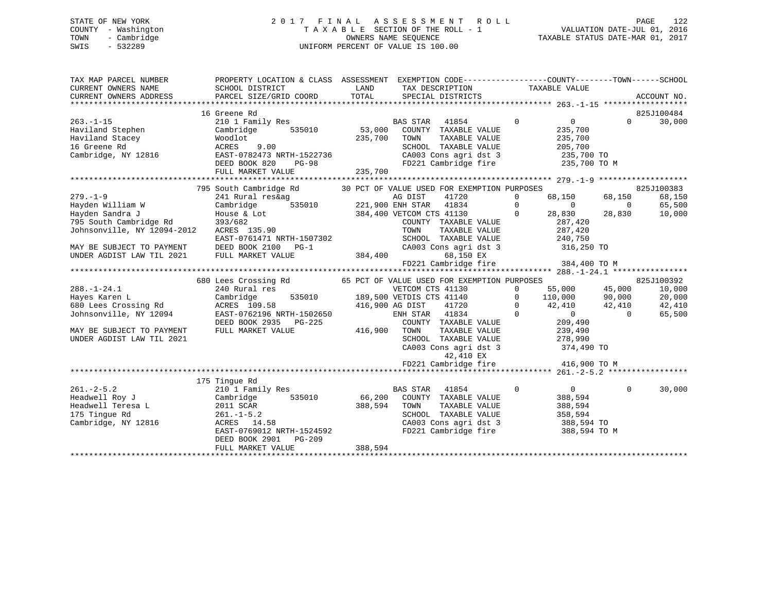# STATE OF NEW YORK 2 0 1 7 F I N A L A S S E S S M E N T R O L L PAGE 122 COUNTY - Washington T A X A B L E SECTION OF THE ROLL - 1 VALUATION DATE-JUL 01, 2016 TOWN - Cambridge OWNERS NAME SEQUENCE TAXABLE STATUS DATE-MAR 01, 2017 SWIS - 532289 UNIFORM PERCENT OF VALUE IS 100.00

| TAX MAP PARCEL NUMBER                                                                                                                                                                                                                            | PROPERTY LOCATION & CLASS ASSESSMENT EXEMPTION CODE----------------COUNTY-------TOWN------SCHOOL |             |                                                                                                                                                                                                                                                          |                         |                    |
|--------------------------------------------------------------------------------------------------------------------------------------------------------------------------------------------------------------------------------------------------|--------------------------------------------------------------------------------------------------|-------------|----------------------------------------------------------------------------------------------------------------------------------------------------------------------------------------------------------------------------------------------------------|-------------------------|--------------------|
| CURRENT OWNERS NAME                                                                                                                                                                                                                              | SCHOOL DISTRICT                                                                                  | <b>LAND</b> | TAX DESCRIPTION TAXABLE VALUE                                                                                                                                                                                                                            |                         |                    |
|                                                                                                                                                                                                                                                  |                                                                                                  |             |                                                                                                                                                                                                                                                          |                         |                    |
|                                                                                                                                                                                                                                                  |                                                                                                  |             |                                                                                                                                                                                                                                                          |                         |                    |
|                                                                                                                                                                                                                                                  | 16 Greene Rd                                                                                     |             |                                                                                                                                                                                                                                                          |                         | 825J100484         |
| $263 - 1 - 15$                                                                                                                                                                                                                                   | 210 1 Family Res                                                                                 |             | BAS STAR 41854 0 0 0 30,000                                                                                                                                                                                                                              |                         |                    |
| Haviland Stephen                                                                                                                                                                                                                                 | Cambridge 535010 53,000 COUNTY TAXABLE VALUE                                                     |             |                                                                                                                                                                                                                                                          | 235,700                 |                    |
|                                                                                                                                                                                                                                                  |                                                                                                  |             |                                                                                                                                                                                                                                                          |                         |                    |
|                                                                                                                                                                                                                                                  | $235,700$ TOWN<br>9.00 $235,700$ TOWN                                                            |             |                                                                                                                                                                                                                                                          |                         |                    |
|                                                                                                                                                                                                                                                  |                                                                                                  |             |                                                                                                                                                                                                                                                          |                         |                    |
|                                                                                                                                                                                                                                                  |                                                                                                  |             |                                                                                                                                                                                                                                                          |                         |                    |
|                                                                                                                                                                                                                                                  |                                                                                                  |             |                                                                                                                                                                                                                                                          |                         |                    |
| 16 Archives and Moodlet 235,700 CONN TAXABLE VALUE<br>Haviland Stephen Woodlet 235,700 2005,700 CADES 9.00<br>16 Greene Rd acres 9.00 EAST-0782473 NRTH-1522736 20003 Cons agri dst 3 235,700 TO<br>Lembridge, NY 12816 EAST-0782473             |                                                                                                  |             |                                                                                                                                                                                                                                                          |                         |                    |
|                                                                                                                                                                                                                                                  |                                                                                                  |             | res&ag<br>FORES<br>FORE THE SISTER ASSESS AG DIST 41720<br>FORE THE SISTER 41834<br>221,900 ENH STAR 41834<br>28,830<br>384,400 VETCOM CTS 41130<br>COUNTY TAXABLE VALUE<br>TOWN TAXABLE VALUE<br>TOWN TAXABLE VALUE<br>28,830<br>28,830<br>28,830<br>28 |                         |                    |
|                                                                                                                                                                                                                                                  |                                                                                                  |             |                                                                                                                                                                                                                                                          |                         |                    |
|                                                                                                                                                                                                                                                  |                                                                                                  |             |                                                                                                                                                                                                                                                          |                         |                    |
|                                                                                                                                                                                                                                                  |                                                                                                  |             |                                                                                                                                                                                                                                                          |                         |                    |
|                                                                                                                                                                                                                                                  |                                                                                                  |             |                                                                                                                                                                                                                                                          |                         |                    |
|                                                                                                                                                                                                                                                  |                                                                                                  |             |                                                                                                                                                                                                                                                          |                         |                    |
|                                                                                                                                                                                                                                                  |                                                                                                  |             |                                                                                                                                                                                                                                                          |                         |                    |
|                                                                                                                                                                                                                                                  |                                                                                                  |             |                                                                                                                                                                                                                                                          |                         |                    |
|                                                                                                                                                                                                                                                  |                                                                                                  |             |                                                                                                                                                                                                                                                          |                         |                    |
|                                                                                                                                                                                                                                                  |                                                                                                  |             |                                                                                                                                                                                                                                                          |                         |                    |
|                                                                                                                                                                                                                                                  |                                                                                                  |             |                                                                                                                                                                                                                                                          |                         |                    |
|                                                                                                                                                                                                                                                  |                                                                                                  |             |                                                                                                                                                                                                                                                          |                         |                    |
|                                                                                                                                                                                                                                                  |                                                                                                  |             |                                                                                                                                                                                                                                                          |                         |                    |
|                                                                                                                                                                                                                                                  |                                                                                                  |             |                                                                                                                                                                                                                                                          |                         |                    |
|                                                                                                                                                                                                                                                  |                                                                                                  |             |                                                                                                                                                                                                                                                          |                         |                    |
| Example 116,900 Aren L<br>Fayes Karen L<br>535010 189,500 VETDIS CTS<br>535010 189,500 VETDIS CTS<br>416,900 AG DIST<br>535010 189,500 VETDIS CTS<br>416,900 AG DIST<br>ENH STAR<br>MAY BE SUBJECT TO PAYMENT FULL MARKET VALUE<br>FULL MARKET V |                                                                                                  |             | 0 110,000 139,500 VETCOM CTS 41130<br>535010 189,500 VETDIS CTS 41140<br>58 416,900 AG DIST 41720 0 42,410 42,410 42,410<br>96 NRTH-1502650 ENH STAR 41834 0 0 65,500<br>96 NRTH-1502650 ENH STAR 41834 0 0 65,500                                       |                         |                    |
|                                                                                                                                                                                                                                                  |                                                                                                  |             | COUNTY TAXABLE VALUE 209,490<br>TOWN TAXABLE VALUE 239,490<br>SCHOOL TAXABLE VALUE 278,990                                                                                                                                                               |                         |                    |
|                                                                                                                                                                                                                                                  |                                                                                                  |             |                                                                                                                                                                                                                                                          |                         |                    |
| UNDER AGDIST LAW TIL 2021                                                                                                                                                                                                                        |                                                                                                  |             |                                                                                                                                                                                                                                                          |                         |                    |
|                                                                                                                                                                                                                                                  |                                                                                                  |             | CA003 Cons agri dst 3 374,490 TO                                                                                                                                                                                                                         |                         |                    |
|                                                                                                                                                                                                                                                  |                                                                                                  |             | 42,410 EX                                                                                                                                                                                                                                                |                         |                    |
|                                                                                                                                                                                                                                                  |                                                                                                  |             | FD221 Cambridge fire 416,900 TO M                                                                                                                                                                                                                        |                         |                    |
|                                                                                                                                                                                                                                                  |                                                                                                  |             |                                                                                                                                                                                                                                                          |                         |                    |
|                                                                                                                                                                                                                                                  | 175 Tingue Rd                                                                                    |             |                                                                                                                                                                                                                                                          |                         |                    |
|                                                                                                                                                                                                                                                  | 210 1 Family Res                                                                                 |             | $\overline{0}$<br>BAS STAR<br>41854                                                                                                                                                                                                                      | 0<br>388,594<br>388,594 | 30,000<br>$\Omega$ |
|                                                                                                                                                                                                                                                  | Cambridge 535010 66,200 COUNTY TAXABLE VALUE<br>2011 SCAR 388,594 TOWN TAXABLE VALUE             |             |                                                                                                                                                                                                                                                          |                         |                    |
|                                                                                                                                                                                                                                                  |                                                                                                  |             |                                                                                                                                                                                                                                                          |                         |                    |
|                                                                                                                                                                                                                                                  |                                                                                                  |             |                                                                                                                                                                                                                                                          |                         |                    |
|                                                                                                                                                                                                                                                  | 58<br>ACRES 14.58                                                                                |             |                                                                                                                                                                                                                                                          |                         |                    |
|                                                                                                                                                                                                                                                  | EAST-0769012 NRTH-1524592                                                                        |             | SCHOOL TAXABLE VALUE 358,594<br>CA003 Cons agri dst 3 388,594 TO<br>FD221 Cambridge fire 388,594 TO M                                                                                                                                                    |                         |                    |
|                                                                                                                                                                                                                                                  | DEED BOOK 2901 PG-209                                                                            |             |                                                                                                                                                                                                                                                          |                         |                    |
|                                                                                                                                                                                                                                                  | FULL MARKET VALUE                                                                                | 388,594     |                                                                                                                                                                                                                                                          |                         |                    |
|                                                                                                                                                                                                                                                  |                                                                                                  |             |                                                                                                                                                                                                                                                          |                         |                    |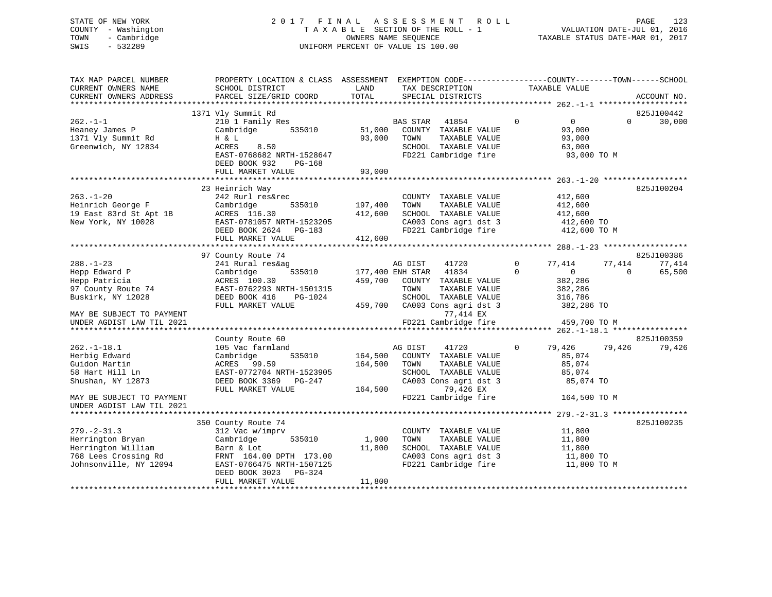# STATE OF NEW YORK 2 0 1 7 F I N A L A S S E S S M E N T R O L L PAGE 123 COUNTY - Washington T A X A B L E SECTION OF THE ROLL - 1 VALUATION DATE-JUL 01, 2016 TOWN - Cambridge OWNERS NAME SEQUENCE TAXABLE STATUS DATE-MAR 01, 2017 SWIS - 532289 UNIFORM PERCENT OF VALUE IS 100.00

| TAX MAP PARCEL NUMBER<br>CURRENT OWNERS NAME<br>CURRENT OWNERS ADDRESS | PROPERTY LOCATION & CLASS ASSESSMENT<br>SCHOOL DISTRICT<br>PARCEL SIZE/GRID COORD | LAND<br>TOTAL    | EXEMPTION CODE-----------------COUNTY-------TOWN------SCHOOL<br>TAX DESCRIPTION<br>SPECIAL DISTRICTS | TAXABLE VALUE                                     | ACCOUNT NO.        |
|------------------------------------------------------------------------|-----------------------------------------------------------------------------------|------------------|------------------------------------------------------------------------------------------------------|---------------------------------------------------|--------------------|
|                                                                        |                                                                                   |                  |                                                                                                      |                                                   | *****              |
|                                                                        | 1371 Vly Summit Rd                                                                |                  |                                                                                                      |                                                   | 825J100442         |
| $262. -1 - 1$<br>Heaney James P<br>1371 Vly Summit Rd                  | 210 1 Family Res<br>535010<br>Cambridge<br>H & L                                  | 51,000<br>93,000 | <b>BAS STAR</b><br>41854<br>COUNTY TAXABLE VALUE<br>TOWN<br>TAXABLE VALUE                            | $\mathbf 0$<br>$\overline{0}$<br>93,000<br>93,000 | 30,000<br>$\Omega$ |
| Greenwich, NY 12834                                                    | ACRES<br>8.50<br>EAST-0768682 NRTH-1528647<br>DEED BOOK 932<br>PG-168             |                  | SCHOOL TAXABLE VALUE<br>FD221 Cambridge fire                                                         | 63,000<br>93,000 TO M                             |                    |
|                                                                        | FULL MARKET VALUE                                                                 | 93,000           |                                                                                                      |                                                   |                    |
|                                                                        |                                                                                   |                  |                                                                                                      |                                                   |                    |
|                                                                        | 23 Heinrich Way                                                                   |                  |                                                                                                      |                                                   | 825J100204         |
| $263. - 1 - 20$<br>Heinrich George F                                   | 242 Rurl res&rec<br>Cambridge<br>535010                                           | 197,400          | COUNTY TAXABLE VALUE<br>TOWN<br>TAXABLE VALUE                                                        | 412,600<br>412,600                                |                    |
| 19 East 83rd St Apt 1B                                                 | ACRES 116.30                                                                      | 412,600          | SCHOOL TAXABLE VALUE                                                                                 | 412,600                                           |                    |
| New York, NY 10028                                                     | EAST-0781057 NRTH-1523205                                                         |                  | CA003 Cons agri dst 3                                                                                | 412,600 TO                                        |                    |
|                                                                        | DEED BOOK 2624<br>PG-183                                                          |                  | FD221 Cambridge fire                                                                                 | 412,600 TO M                                      |                    |
|                                                                        | FULL MARKET VALUE                                                                 | 412,600          |                                                                                                      |                                                   |                    |
|                                                                        |                                                                                   |                  |                                                                                                      |                                                   |                    |
|                                                                        | 97 County Route 74                                                                |                  |                                                                                                      |                                                   | 825J100386         |
| $288. - 1 - 23$                                                        | 241 Rural res&ag                                                                  |                  | AG DIST<br>41720                                                                                     | 77,414<br>0                                       | 77,414<br>77,414   |
| Hepp Edward P                                                          | 535010<br>Cambridge                                                               |                  | 41834<br>177,400 ENH STAR                                                                            | $\overline{0}$<br>$\Omega$                        | $\Omega$<br>65,500 |
| Hepp Patricia                                                          | ACRES 100.30                                                                      | 459,700          | COUNTY TAXABLE VALUE                                                                                 | 382,286                                           |                    |
| 97 County Route 74                                                     | EAST-0762293 NRTH-1501315                                                         |                  | TAXABLE VALUE<br>TOWN                                                                                | 382,286                                           |                    |
| Buskirk, NY 12028                                                      | DEED BOOK 416<br>PG-1024                                                          |                  | SCHOOL TAXABLE VALUE                                                                                 | 316,786                                           |                    |
| MAY BE SUBJECT TO PAYMENT                                              | FULL MARKET VALUE                                                                 | 459,700          | CA003 Cons agri dst 3<br>77,414 EX                                                                   | 382,286 TO                                        |                    |
| UNDER AGDIST LAW TIL 2021                                              |                                                                                   |                  | FD221 Cambridge fire                                                                                 | 459,700 TO M                                      |                    |
|                                                                        |                                                                                   |                  |                                                                                                      |                                                   |                    |
|                                                                        | County Route 60                                                                   |                  |                                                                                                      |                                                   | 825J100359         |
| $262. -1 - 18.1$                                                       | 105 Vac farmland                                                                  |                  | AG DIST<br>41720                                                                                     | 79,426<br>0                                       | 79,426<br>79,426   |
| Herbig Edward                                                          | 535010<br>Cambridge                                                               | 164,500          | COUNTY TAXABLE VALUE                                                                                 | 85,074                                            |                    |
| Guidon Martin                                                          | ACRES 99.59                                                                       | 164,500          | TOWN<br>TAXABLE VALUE                                                                                | 85,074                                            |                    |
| 58 Hart Hill Ln                                                        | EAST-0772704 NRTH-1523905                                                         |                  | SCHOOL TAXABLE VALUE                                                                                 | 85,074                                            |                    |
| Shushan, NY 12873                                                      | DEED BOOK 3369 PG-247                                                             |                  | CA003 Cons agri dst 3                                                                                | 85,074 TO                                         |                    |
|                                                                        | FULL MARKET VALUE                                                                 | 164,500          | 79,426 EX                                                                                            |                                                   |                    |
| MAY BE SUBJECT TO PAYMENT                                              |                                                                                   |                  | FD221 Cambridge fire                                                                                 | 164,500 TO M                                      |                    |
| UNDER AGDIST LAW TIL 2021                                              |                                                                                   |                  |                                                                                                      |                                                   |                    |
|                                                                        | 350 County Route 74                                                               |                  |                                                                                                      |                                                   | 825J100235         |
| $279. - 2 - 31.3$                                                      | 312 Vac w/imprv                                                                   |                  | COUNTY TAXABLE VALUE                                                                                 | 11,800                                            |                    |
| Herrington Bryan                                                       | Cambridge<br>535010                                                               | 1,900            | TOWN<br>TAXABLE VALUE                                                                                | 11,800                                            |                    |
| Herrington William                                                     | Barn & Lot                                                                        | 11,800           | SCHOOL TAXABLE VALUE                                                                                 | 11,800                                            |                    |
| 768 Lees Crossing Rd                                                   | FRNT 164.00 DPTH 173.00                                                           |                  | CA003 Cons agri dst 3                                                                                | 11,800 TO                                         |                    |
| Johnsonville, NY 12094                                                 | EAST-0766475 NRTH-1507125                                                         |                  | FD221 Cambridge fire                                                                                 | 11,800 TO M                                       |                    |
|                                                                        | PG-324<br>DEED BOOK 3023                                                          |                  |                                                                                                      |                                                   |                    |
|                                                                        | FULL MARKET VALUE                                                                 | 11,800           |                                                                                                      |                                                   |                    |
| ********************                                                   |                                                                                   |                  |                                                                                                      |                                                   |                    |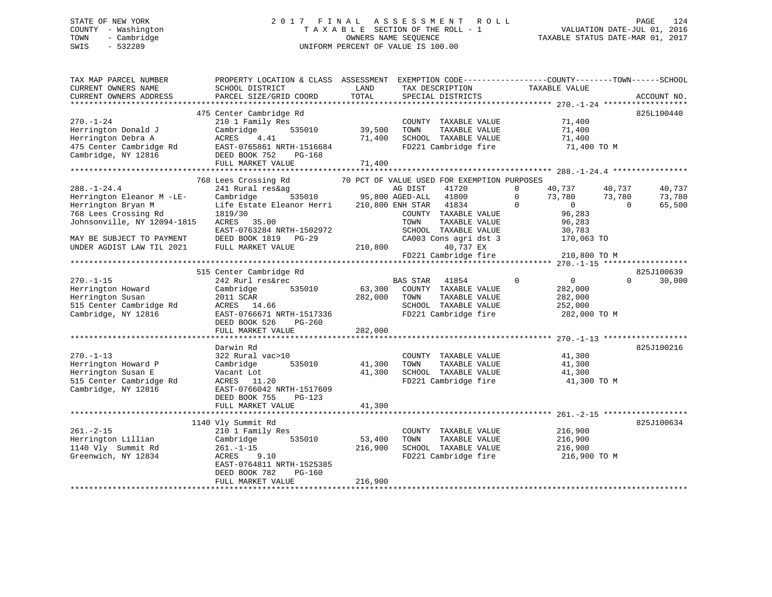# STATE OF NEW YORK 2 0 1 7 F I N A L A S S E S S M E N T R O L L PAGE 124 COUNTY - Washington T A X A B L E SECTION OF THE ROLL - 1 VALUATION DATE-JUL 01, 2016 TOWN - Cambridge OWNERS NAME SEQUENCE TAXABLE STATUS DATE-MAR 01, 2017 SWIS - 532289 UNIFORM PERCENT OF VALUE IS 100.00

| TAX MAP PARCEL NUMBER<br>CURRENT OWNERS NAME<br>CURRENT OWNERS ADDRESS                                                                                                                | PROPERTY LOCATION & CLASS ASSESSMENT<br>SCHOOL DISTRICT<br>PARCEL SIZE/GRID COORD                                                                                             | LAND<br>TOTAL                | EXEMPTION CODE-----------------COUNTY-------TOWN------SCHOOL<br>TAX DESCRIPTION<br>SPECIAL DISTRICTS                                                                                                             | TAXABLE VALUE                                                                                                                              | ACCOUNT NO.                                                |
|---------------------------------------------------------------------------------------------------------------------------------------------------------------------------------------|-------------------------------------------------------------------------------------------------------------------------------------------------------------------------------|------------------------------|------------------------------------------------------------------------------------------------------------------------------------------------------------------------------------------------------------------|--------------------------------------------------------------------------------------------------------------------------------------------|------------------------------------------------------------|
| *************************                                                                                                                                                             |                                                                                                                                                                               |                              |                                                                                                                                                                                                                  |                                                                                                                                            |                                                            |
| $270. - 1 - 24$<br>Herrington Donald J<br>Herrington Debra A<br>475 Center Cambridge Rd<br>Cambridge, NY 12816                                                                        | 475 Center Cambridge Rd<br>210 1 Family Res<br>Cambridge<br>535010<br>4.41<br>ACRES<br>EAST-0765861 NRTH-1516684<br>DEED BOOK 752<br>PG-168<br>FULL MARKET VALUE              | 39,500<br>71,400<br>71,400   | COUNTY TAXABLE VALUE<br>TAXABLE VALUE<br>TOWN<br>SCHOOL TAXABLE VALUE<br>FD221 Cambridge fire                                                                                                                    | 71,400<br>71,400<br>71,400<br>71,400 TO M                                                                                                  | 825L100440                                                 |
|                                                                                                                                                                                       | 768 Lees Crossing Rd                                                                                                                                                          |                              | 70 PCT OF VALUE USED FOR EXEMPTION PURPOSES                                                                                                                                                                      |                                                                                                                                            |                                                            |
| $288. - 1 - 24.4$<br>Herrington Eleanor M -LE-<br>Herrington Bryan M<br>768 Lees Crossing Rd<br>Johnsonville, NY 12094-1815<br>MAY BE SUBJECT TO PAYMENT<br>UNDER AGDIST LAW TIL 2021 | 241 Rural res&ag<br>Cambridge<br>535010<br>Life Estate Eleanor Herri<br>1819/30<br>ACRES 35.00<br>EAST-0763284 NRTH-1502972<br>DEED BOOK 1819 PG-29<br>FULL MARKET VALUE      | 210,800                      | AG DIST<br>41720<br>95,800 AGED-ALL<br>41800<br>41834<br>210,800 ENH STAR<br>COUNTY TAXABLE VALUE<br>TOWN<br>TAXABLE VALUE<br>SCHOOL TAXABLE VALUE<br>CA003 Cons agri dst 3<br>40,737 EX<br>FD221 Cambridge fire | $\mathbf{0}$<br>40,737<br>73,780<br>$\mathbf{0}$<br>$\overline{0}$<br>$\Omega$<br>96,283<br>96,283<br>30,783<br>170,063 TO<br>210,800 TO M | 40,737<br>40,737<br>73,780<br>73,780<br>65,500<br>$\Omega$ |
|                                                                                                                                                                                       |                                                                                                                                                                               |                              |                                                                                                                                                                                                                  |                                                                                                                                            |                                                            |
| $270. - 1 - 15$<br>Herrington Howard<br>Herrington Susan<br>515 Center Cambridge Rd<br>Cambridge, NY 12816                                                                            | 515 Center Cambridge Rd<br>242 Rurl res&rec<br>Cambridge<br>535010<br>2011 SCAR<br>ACRES 14.66<br>EAST-0766671 NRTH-1517336<br>DEED BOOK 526<br>$PG-260$<br>FULL MARKET VALUE | 63,300<br>282,000<br>282,000 | BAS STAR<br>41854<br>COUNTY TAXABLE VALUE<br>TOWN<br>TAXABLE VALUE<br>SCHOOL TAXABLE VALUE<br>FD221 Cambridge fire                                                                                               | $\Omega$<br>$\overline{0}$<br>282,000<br>282,000<br>252,000<br>282,000 TO M                                                                | 825J100639<br>30,000<br>$\Omega$                           |
|                                                                                                                                                                                       | Darwin Rd                                                                                                                                                                     |                              |                                                                                                                                                                                                                  |                                                                                                                                            | 825J100216                                                 |
| $270. -1 - 13$<br>Herrington Howard P<br>Herrington Susan E<br>515 Center Cambridge Rd<br>Cambridge, NY 12816                                                                         | 322 Rural vac>10<br>535010<br>Cambridge<br>Vacant Lot<br>ACRES 11.20<br>EAST-0766042 NRTH-1517609                                                                             | 41,300<br>41,300             | COUNTY TAXABLE VALUE<br>TOWN<br>TAXABLE VALUE<br>SCHOOL TAXABLE VALUE<br>FD221 Cambridge fire                                                                                                                    | 41,300<br>41,300<br>41,300<br>41,300 TO M                                                                                                  |                                                            |
|                                                                                                                                                                                       | DEED BOOK 755<br>PG-123<br>FULL MARKET VALUE                                                                                                                                  | 41,300                       |                                                                                                                                                                                                                  |                                                                                                                                            |                                                            |
|                                                                                                                                                                                       | ********************************                                                                                                                                              |                              |                                                                                                                                                                                                                  |                                                                                                                                            |                                                            |
| $261. - 2 - 15$<br>Herrington Lillian<br>1140 Vly Summit Rd<br>Greenwich, NY 12834                                                                                                    | 1140 Vly Summit Rd<br>210 1 Family Res<br>Cambridge<br>535010<br>$261. - 1 - 15$<br>ACRES<br>9.10<br>EAST-0764811 NRTH-1525385<br>DEED BOOK 782<br>PG-160                     | 53,400<br>216,900            | COUNTY TAXABLE VALUE<br>TOWN<br>TAXABLE VALUE<br>SCHOOL TAXABLE VALUE<br>FD221 Cambridge fire                                                                                                                    | 216,900<br>216,900<br>216,900<br>216,900 TO M                                                                                              | 825J100634                                                 |
|                                                                                                                                                                                       | FULL MARKET VALUE                                                                                                                                                             | 216,900                      |                                                                                                                                                                                                                  |                                                                                                                                            |                                                            |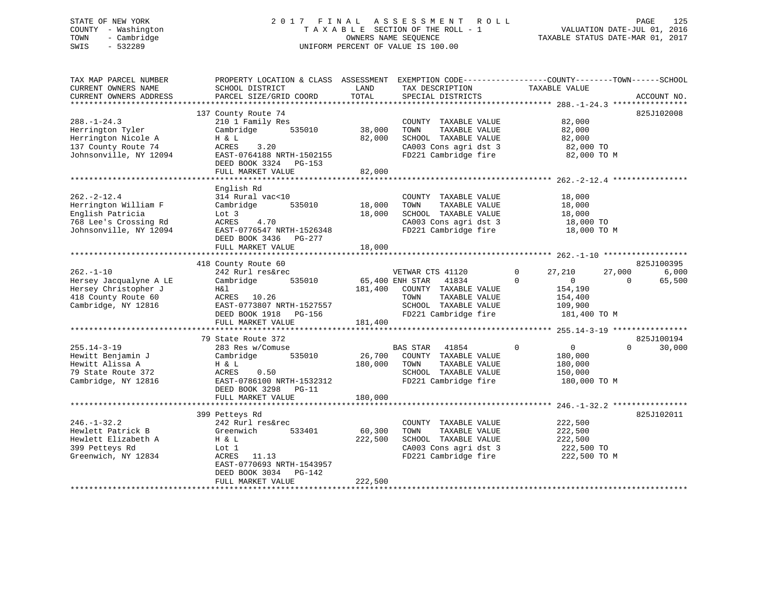# STATE OF NEW YORK 2 0 1 7 F I N A L A S S E S S M E N T R O L L PAGE 125 COUNTY - Washington T A X A B L E SECTION OF THE ROLL - 1 VALUATION DATE-JUL 01, 2016 TOWN - Cambridge OWNERS NAME SEQUENCE TAXABLE STATUS DATE-MAR 01, 2017 SWIS - 532289 UNIFORM PERCENT OF VALUE IS 100.00

| TAX MAP PARCEL NUMBER<br>CURRENT OWNERS NAME<br>CURRENT OWNERS ADDRESS<br>*************************             | PROPERTY LOCATION & CLASS ASSESSMENT<br>SCHOOL DISTRICT<br>PARCEL SIZE/GRID COORD                                                                                           | LAND<br>TOTAL                         | EXEMPTION CODE-----------------COUNTY-------TOWN------SCHOOL<br>TAX DESCRIPTION<br>SPECIAL DISTRICTS                       | TAXABLE VALUE                                                                                   | ACCOUNT NO.                                         |
|-----------------------------------------------------------------------------------------------------------------|-----------------------------------------------------------------------------------------------------------------------------------------------------------------------------|---------------------------------------|----------------------------------------------------------------------------------------------------------------------------|-------------------------------------------------------------------------------------------------|-----------------------------------------------------|
| $288. - 1 - 24.3$<br>Herrington Tyler<br>Herrington Nicole A<br>137 County Route 74<br>Johnsonville, NY 12094   | 137 County Route 74<br>210 1 Family Res<br>Cambridge<br>535010<br>H & L<br>ACRES<br>3.20<br>EAST-0764188 NRTH-1502155<br>DEED BOOK 3324 PG-153<br>FULL MARKET VALUE         | 38,000<br>82,000<br>82,000            | COUNTY TAXABLE VALUE<br>TOWN<br>TAXABLE VALUE<br>SCHOOL TAXABLE VALUE<br>CA003 Cons agri dst 3<br>FD221 Cambridge fire     | 82,000<br>82,000<br>82,000<br>82,000 TO<br>82,000 TO M                                          | 825J102008                                          |
| $262. -2 - 12.4$<br>Herrington William F<br>English Patricia<br>768 Lee's Crossing Rd<br>Johnsonville, NY 12094 | English Rd<br>314 Rural vac<10<br>535010<br>Cambridge<br>Lot 3<br>ACRES<br>4.70<br>EAST-0776547 NRTH-1526348<br>DEED BOOK 3436 PG-277<br>FULL MARKET VALUE                  | 18,000<br>18,000<br>18,000            | COUNTY TAXABLE VALUE<br>TOWN<br>TAXABLE VALUE<br>SCHOOL TAXABLE VALUE<br>CA003 Cons agri dst 3<br>FD221 Cambridge fire     | 18,000<br>18,000<br>18,000<br>18,000 TO<br>18,000 TO M                                          |                                                     |
| $262. - 1 - 10$<br>Hersey Jacqualyne A LE<br>Hersey Christopher J<br>418 County Route 60<br>Cambridge, NY 12816 | 418 County Route 60<br>242 Rurl res&rec<br>535010<br>Cambridge<br>H&l<br>ACRES 10.26<br>EAST-0773807 NRTH-1527557<br>DEED BOOK 1918 PG-156<br>FULL MARKET VALUE             | 65,400 ENH STAR<br>181,400<br>181,400 | VETWAR CTS 41120<br>41834<br>COUNTY TAXABLE VALUE<br>TOWN<br>TAXABLE VALUE<br>SCHOOL TAXABLE VALUE<br>FD221 Cambridge fire | 27,210<br>$\Omega$<br>$\Omega$<br>$\mathbf{0}$<br>154,190<br>154,400<br>109,900<br>181,400 TO M | 825J100395<br>6,000<br>27,000<br>$\Omega$<br>65,500 |
| $255.14 - 3 - 19$<br>Hewitt Benjamin J<br>Hewitt Alissa A<br>79 State Route 372<br>Cambridge, NY 12816          | 79 State Route 372<br>283 Res w/Comuse<br>535010<br>Cambridge<br>H & L<br>ACRES<br>0.50<br>EAST-0786100 NRTH-1532312<br>DEED BOOK 3298<br>$PG-11$                           | 26,700<br>180,000                     | <b>BAS STAR</b><br>41854<br>COUNTY TAXABLE VALUE<br>TOWN<br>TAXABLE VALUE<br>SCHOOL TAXABLE VALUE<br>FD221 Cambridge fire  | $\mathbf{0}$<br>$\overline{0}$<br>180,000<br>180,000<br>150,000<br>180,000 TO M                 | 825J100194<br>$\Omega$<br>30,000                    |
| $246. - 1 - 32.2$<br>Hewlett Patrick B<br>Hewlett Elizabeth A<br>399 Petteys Rd<br>Greenwich, NY 12834          | FULL MARKET VALUE<br>399 Petteys Rd<br>242 Rurl res&rec<br>Greenwich<br>533401<br>H & L<br>Lot 1<br>ACRES<br>11.13<br>EAST-0770693 NRTH-1543957<br>DEED BOOK 3034<br>PG-142 | 180,000<br>60,300<br>222,500          | COUNTY TAXABLE VALUE<br>TAXABLE VALUE<br>TOWN<br>SCHOOL TAXABLE VALUE<br>CA003 Cons agri dst 3<br>FD221 Cambridge fire     | 222,500<br>222,500<br>222,500<br>222,500 TO<br>222,500 TO M                                     | 825J102011                                          |
|                                                                                                                 | FULL MARKET VALUE                                                                                                                                                           | 222,500                               |                                                                                                                            |                                                                                                 |                                                     |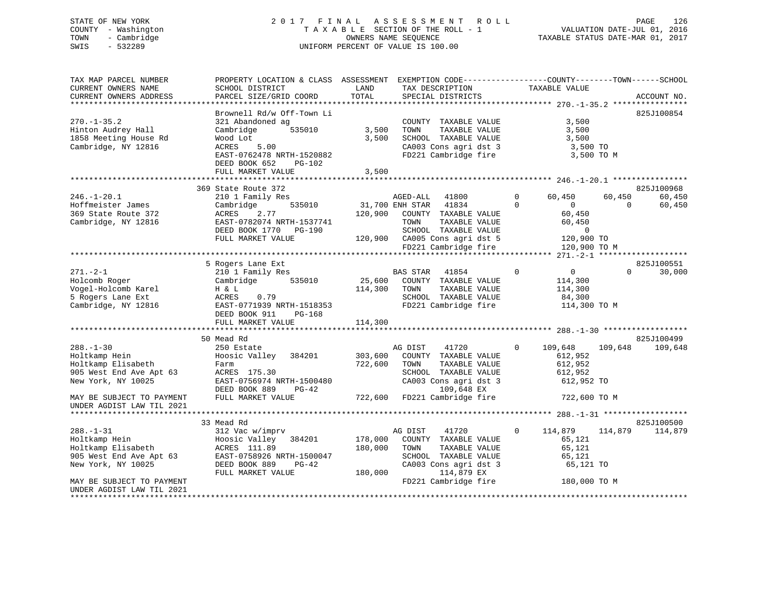# STATE OF NEW YORK 2 0 1 7 F I N A L A S S E S S M E N T R O L L PAGE 126 COUNTY - Washington T A X A B L E SECTION OF THE ROLL - 1 VALUATION DATE-JUL 01, 2016 TOWN - Cambridge OWNERS NAME SEQUENCE TAXABLE STATUS DATE-MAR 01, 2017 SWIS - 532289 UNIFORM PERCENT OF VALUE IS 100.00

| TAX MAP PARCEL NUMBER<br>CURRENT OWNERS NAME<br>CURRENT OWNERS ADDRESS                                                                                                                                        | PROPERTY LOCATION & CLASS ASSESSMENT<br>SCHOOL DISTRICT<br>PARCEL SIZE/GRID COORD                                                                                                                                                                                            | LAND<br>TOTAL                            | EXEMPTION CODE-----------------COUNTY-------TOWN------SCHOOL<br>TAX DESCRIPTION<br>SPECIAL DISTRICTS                                                                                                                                            | TAXABLE VALUE                                                                                                                                           | ACCOUNT NO.                                                          |
|---------------------------------------------------------------------------------------------------------------------------------------------------------------------------------------------------------------|------------------------------------------------------------------------------------------------------------------------------------------------------------------------------------------------------------------------------------------------------------------------------|------------------------------------------|-------------------------------------------------------------------------------------------------------------------------------------------------------------------------------------------------------------------------------------------------|---------------------------------------------------------------------------------------------------------------------------------------------------------|----------------------------------------------------------------------|
| $270. - 1 - 35.2$<br>Hinton Audrey Hall<br>1858 Meeting House Rd<br>Cambridge, NY 12816                                                                                                                       | Brownell Rd/w Off-Town Li<br>321 Abandoned ag<br>535010<br>Cambridge<br>Wood Lot<br>ACRES<br>5.00<br>EAST-0762478 NRTH-1520882<br>DEED BOOK 652<br>PG-102                                                                                                                    | 3,500<br>3,500                           | COUNTY TAXABLE VALUE<br>TOWN<br>TAXABLE VALUE<br>SCHOOL TAXABLE VALUE<br>CA003 Cons agri dst 3<br>FD221 Cambridge fire                                                                                                                          | 3,500<br>3,500<br>3,500<br>3,500 TO<br>3,500 TO M                                                                                                       | 825J100854                                                           |
|                                                                                                                                                                                                               | FULL MARKET VALUE                                                                                                                                                                                                                                                            | 3,500                                    |                                                                                                                                                                                                                                                 |                                                                                                                                                         |                                                                      |
| $246. - 1 - 20.1$<br>Hoffmeister James<br>369 State Route 372<br>Cambridge, NY 12816                                                                                                                          | 369 State Route 372<br>210 1 Family Res<br>535010<br>Cambridge<br>2.77<br>ACRES<br>EAST-0782074 NRTH-1537741<br>DEED BOOK 1770<br>PG-190<br>FULL MARKET VALUE                                                                                                                | 31,700 ENH STAR<br>120,900               | AGED-ALL 41800<br>41834<br>COUNTY TAXABLE VALUE<br>TOWN<br>TAXABLE VALUE<br>SCHOOL TAXABLE VALUE<br>120,900 CA005 Cons agri dst 5                                                                                                               | $\Omega$<br>60,450<br>$\Omega$<br>$\overline{0}$<br>60,450<br>60,450<br>$\Omega$<br>120,900 TO                                                          | 825J100968<br>60,450<br>60,450<br>60,450<br>$\Omega$                 |
|                                                                                                                                                                                                               |                                                                                                                                                                                                                                                                              |                                          | FD221 Cambridge fire                                                                                                                                                                                                                            | 120,900 TO M                                                                                                                                            |                                                                      |
| $271. - 2 - 1$<br>Holcomb Roger<br>Vogel-Holcomb Karel<br>5 Rogers Lane Ext<br>Cambridge, NY 12816<br>$288. - 1 - 30$<br>Holtkamp Hein<br>Holtkamp Elisabeth<br>905 West End Ave Apt 63<br>New York, NY 10025 | 5 Rogers Lane Ext<br>210 1 Family Res<br>535010<br>Cambridge<br>H & L<br>ACRES<br>0.79<br>EAST-0771939 NRTH-1518353<br>DEED BOOK 911<br>PG-168<br>FULL MARKET VALUE<br>50 Mead Rd<br>250 Estate<br>Hoosic Valley 384201<br>Farm<br>ACRES 175.30<br>EAST-0756974 NRTH-1500480 | 114,300<br>114,300<br>303,600<br>722,600 | BAS STAR<br>41854<br>25,600 COUNTY TAXABLE VALUE<br>TAXABLE VALUE<br>TOWN<br>SCHOOL TAXABLE VALUE<br>FD221 Cambridge fire<br>AG DIST<br>41720<br>COUNTY TAXABLE VALUE<br>TAXABLE VALUE<br>TOWN<br>SCHOOL TAXABLE VALUE<br>CA003 Cons agri dst 3 | $\mathbf 0$<br>$\overline{0}$<br>114,300<br>114,300<br>84,300<br>114,300 TO M<br>109,648<br>$\mathbf{0}$<br>612,952<br>612,952<br>612,952<br>612,952 TO | 825J100551<br>30,000<br>$\Omega$<br>825J100499<br>109,648<br>109,648 |
| MAY BE SUBJECT TO PAYMENT<br>UNDER AGDIST LAW TIL 2021                                                                                                                                                        | DEED BOOK 889<br>PG-42<br>FULL MARKET VALUE                                                                                                                                                                                                                                  |                                          | 109,648 EX<br>722,600 FD221 Cambridge fire                                                                                                                                                                                                      | 722,600 TO M                                                                                                                                            |                                                                      |
| $288. - 1 - 31$<br>Holtkamp Hein<br>Holtkamp Elisabeth<br>905 West End Ave Apt 63<br>New York, NY 10025<br>MAY BE SUBJECT TO PAYMENT<br>UNDER AGDIST LAW TIL 2021                                             | 33 Mead Rd<br>312 Vac w/imprv<br>Hoosic Valley 384201<br>ACRES 111.89<br>EAST-0758926 NRTH-1500047<br>DEED BOOK 889<br>$PG-42$<br>FULL MARKET VALUE                                                                                                                          | 178,000<br>180,000<br>180,000            | AG DIST<br>41720<br>COUNTY TAXABLE VALUE<br>TOWN<br>TAXABLE VALUE<br>SCHOOL TAXABLE VALUE<br>CA003 Cons agri dst 3<br>114,879 EX<br>FD221 Cambridge fire                                                                                        | $\mathbf{0}$<br>114,879<br>65,121<br>65,121<br>65,121<br>65,121 TO<br>180,000 TO M                                                                      | 825J100500<br>114,879<br>114,879                                     |
|                                                                                                                                                                                                               |                                                                                                                                                                                                                                                                              |                                          |                                                                                                                                                                                                                                                 |                                                                                                                                                         |                                                                      |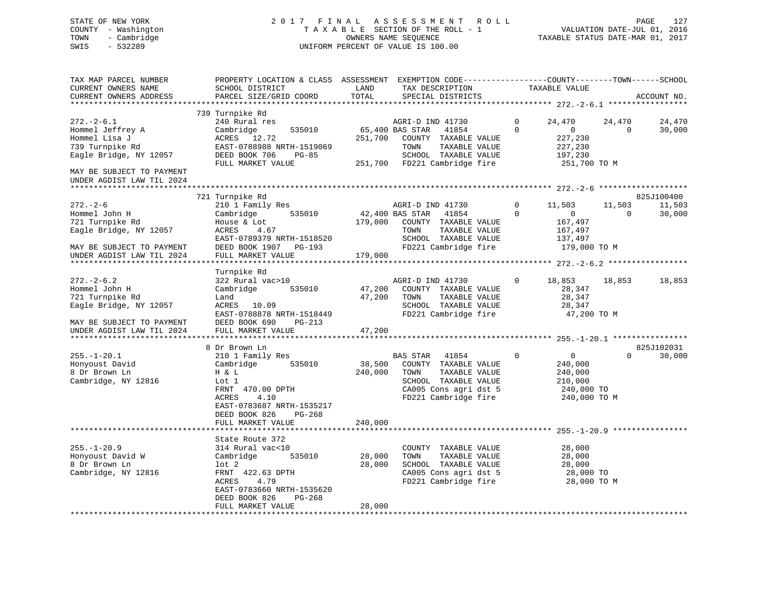# STATE OF NEW YORK 2 0 1 7 F I N A L A S S E S S M E N T R O L L PAGE 127 COUNTY - Washington T A X A B L E SECTION OF THE ROLL - 1 VALUATION DATE-JUL 01, 2016 TOWN - Cambridge OWNERS NAME SEQUENCE TAXABLE STATUS DATE-MAR 01, 2017 SWIS - 532289 UNIFORM PERCENT OF VALUE IS 100.00

| TAX MAP PARCEL NUMBER<br>CURRENT OWNERS NAME<br>CURRENT OWNERS ADDRESS                                    | PROPERTY LOCATION & CLASS ASSESSMENT<br>SCHOOL DISTRICT<br>PARCEL SIZE/GRID COORD                                                                                       | LAND<br>TOTAL              | EXEMPTION CODE-----------------COUNTY-------TOWN------SCHOOL<br>TAX DESCRIPTION<br>SPECIAL DISTRICTS                                                  | TAXABLE VALUE                                                                                     | ACCOUNT NO.                                          |
|-----------------------------------------------------------------------------------------------------------|-------------------------------------------------------------------------------------------------------------------------------------------------------------------------|----------------------------|-------------------------------------------------------------------------------------------------------------------------------------------------------|---------------------------------------------------------------------------------------------------|------------------------------------------------------|
| **********************                                                                                    |                                                                                                                                                                         |                            |                                                                                                                                                       |                                                                                                   |                                                      |
| $272. - 2 - 6.1$<br>Hommel Jeffrey A<br>Hommel Lisa J<br>739 Turnpike Rd<br>Eagle Bridge, NY 12057        | 739 Turnpike Rd<br>240 Rural res<br>Cambridge<br>535010<br>ACRES 12.72<br>EAST-0788988 NRTH-1519069<br>DEED BOOK 706<br>PG-85<br>FULL MARKET VALUE                      | 251,700                    | AGRI-D IND 41730<br>65,400 BAS STAR<br>41854<br>COUNTY TAXABLE VALUE<br>TOWN<br>TAXABLE VALUE<br>SCHOOL TAXABLE VALUE<br>251,700 FD221 Cambridge fire | $\Omega$<br>24,470<br>$\Omega$<br>$\overline{0}$<br>227,230<br>227,230<br>197,230<br>251,700 TO M | 24,470<br>24,470<br>30,000<br>$\Omega$               |
| MAY BE SUBJECT TO PAYMENT<br>UNDER AGDIST LAW TIL 2024                                                    |                                                                                                                                                                         |                            |                                                                                                                                                       |                                                                                                   |                                                      |
| ******************                                                                                        |                                                                                                                                                                         |                            |                                                                                                                                                       |                                                                                                   |                                                      |
| $272. - 2 - 6$<br>Hommel John H<br>721 Turnpike Rd<br>Eagle Bridge, NY 12057<br>MAY BE SUBJECT TO PAYMENT | 721 Turnpike Rd<br>210 1 Family Res<br>Cambridge<br>535010<br>House & Lot<br>ACRES<br>4.67<br>EAST-0789379 NRTH-1518520<br>DEED BOOK 1907 PG-193                        | 179,000                    | AGRI-D IND 41730<br>42,400 BAS STAR<br>41854<br>COUNTY TAXABLE VALUE<br>TOWN<br>TAXABLE VALUE<br>SCHOOL TAXABLE VALUE<br>FD221 Cambridge fire         | 0<br>11,503<br>$\Omega$<br>$\overline{0}$<br>167,497<br>167,497<br>137,497<br>179,000 TO M        | 825J100400<br>11,503<br>11,503<br>$\Omega$<br>30,000 |
| UNDER AGDIST LAW TIL 2024                                                                                 | FULL MARKET VALUE                                                                                                                                                       | 179,000                    |                                                                                                                                                       |                                                                                                   |                                                      |
|                                                                                                           |                                                                                                                                                                         |                            |                                                                                                                                                       |                                                                                                   |                                                      |
| $272 - 2 - 6.2$<br>Hommel John H                                                                          | Turnpike Rd<br>322 Rural vac>10<br>Cambridge<br>535010                                                                                                                  | 47,200                     | AGRI-D IND 41730<br>COUNTY TAXABLE VALUE                                                                                                              | $\Omega$<br>18,853<br>28,347                                                                      | 18,853<br>18,853                                     |
| 721 Turnpike Rd<br>Eagle Bridge, NY 12057<br>MAY BE SUBJECT TO PAYMENT                                    | Land<br>ACRES 10.09<br>EAST-0788878 NRTH-1518449<br>DEED BOOK 690<br>PG-213                                                                                             | 47,200                     | TOWN<br>TAXABLE VALUE<br>SCHOOL TAXABLE VALUE<br>FD221 Cambridge fire                                                                                 | 28,347<br>28,347<br>47,200 TO M                                                                   |                                                      |
| UNDER AGDIST LAW TIL 2024                                                                                 | FULL MARKET VALUE                                                                                                                                                       | 47,200                     |                                                                                                                                                       |                                                                                                   |                                                      |
|                                                                                                           |                                                                                                                                                                         |                            |                                                                                                                                                       |                                                                                                   |                                                      |
|                                                                                                           | 8 Dr Brown Ln                                                                                                                                                           |                            |                                                                                                                                                       |                                                                                                   | 825J102031                                           |
| $255. - 1 - 20.1$<br>Honyoust David<br>8 Dr Brown Ln<br>Cambridge, NY 12816                               | 210 1 Family Res<br>Cambridge<br>535010<br>H & L<br>Lot 1<br>FRNT 470.00 DPTH<br>ACRES<br>4.10<br>EAST-0783687 NRTH-1535217<br>DEED BOOK 826<br>PG-268                  | 38,500<br>240,000          | BAS STAR 41854<br>COUNTY TAXABLE VALUE<br>TAXABLE VALUE<br>TOWN<br>SCHOOL TAXABLE VALUE<br>CA005 Cons agri dst 5<br>FD221 Cambridge fire              | 0<br>$\overline{0}$<br>240,000<br>240,000<br>210,000<br>240,000 TO<br>240,000 TO M                | 30,000<br>$\Omega$                                   |
|                                                                                                           | FULL MARKET VALUE                                                                                                                                                       | 240,000                    |                                                                                                                                                       |                                                                                                   |                                                      |
|                                                                                                           | State Route 372                                                                                                                                                         |                            |                                                                                                                                                       |                                                                                                   |                                                      |
| $255. - 1 - 20.9$<br>Honyoust David W<br>8 Dr Brown Ln<br>Cambridge, NY 12816                             | 314 Rural vac<10<br>Cambridge<br>535010<br>$1$ ot $2$<br>FRNT 422.63 DPTH<br>4.79<br>ACRES<br>EAST-0783660 NRTH-1535620<br>DEED BOOK 826<br>PG-268<br>FULL MARKET VALUE | 28,000<br>28,000<br>28,000 | COUNTY TAXABLE VALUE<br>TOWN<br>TAXABLE VALUE<br>SCHOOL TAXABLE VALUE<br>CA005 Cons agri dst 5<br>FD221 Cambridge fire                                | 28,000<br>28,000<br>28,000<br>28,000 TO<br>28,000 TO M                                            |                                                      |
|                                                                                                           |                                                                                                                                                                         |                            |                                                                                                                                                       |                                                                                                   |                                                      |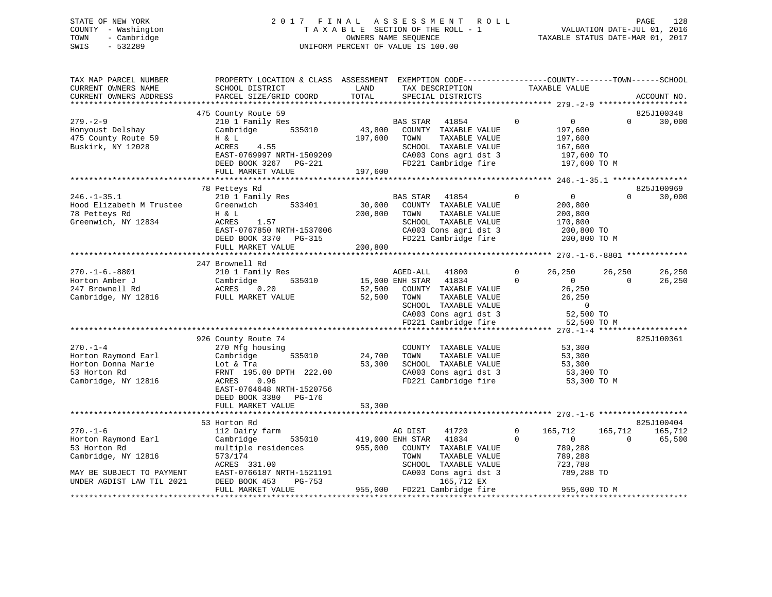# STATE OF NEW YORK 2 0 1 7 F I N A L A S S E S S M E N T R O L L PAGE 128 COUNTY - Washington T A X A B L E SECTION OF THE ROLL - 1 VALUATION DATE-JUL 01, 2016 TOWN - Cambridge OWNERS NAME SEQUENCE TAXABLE STATUS DATE-MAR 01, 2017 SWIS - 532289 UNIFORM PERCENT OF VALUE IS 100.00

| TAX MAP PARCEL NUMBER<br>CURRENT OWNERS NAME<br>CURRENT OWNERS ADDRESS                                                                                                                   | PROPERTY LOCATION & CLASS ASSESSMENT EXEMPTION CODE---------------COUNTY-------TOWN-----SCHOOL<br>SCHOOL DISTRICT<br>PARCEL SIZE/GRID COORD                                                                                                                                                           | LAND<br>TOTAL                                  | TAX DESCRIPTION<br>SPECIAL DISTRICTS                                                                                                                                                                                                                                                              |                          | TAXABLE VALUE                                                                                                                                 |                        | ACCOUNT NO.                     |
|------------------------------------------------------------------------------------------------------------------------------------------------------------------------------------------|-------------------------------------------------------------------------------------------------------------------------------------------------------------------------------------------------------------------------------------------------------------------------------------------------------|------------------------------------------------|---------------------------------------------------------------------------------------------------------------------------------------------------------------------------------------------------------------------------------------------------------------------------------------------------|--------------------------|-----------------------------------------------------------------------------------------------------------------------------------------------|------------------------|---------------------------------|
|                                                                                                                                                                                          | 475 County Route 59                                                                                                                                                                                                                                                                                   |                                                |                                                                                                                                                                                                                                                                                                   |                          |                                                                                                                                               |                        | 825J100348                      |
| $279. - 2 - 9$<br>Honyoust Delshay<br>475 County Route 59<br>Buskirk, NY 12028                                                                                                           | 210 1 Family Res<br>535010<br>Cambridge<br>H & L<br><b>ACRES</b><br>4.55<br>EAST-0769997 NRTH-1509209<br>DEED BOOK 3267 PG-221<br>FULL MARKET VALUE                                                                                                                                                   | 43,800<br>197,600<br>197,600                   | BAS STAR<br>41854<br>COUNTY TAXABLE VALUE<br>TOWN<br>TAXABLE VALUE<br>SCHOOL TAXABLE VALUE<br>CA003 Cons agri dst 3<br>FD221 Cambridge fire                                                                                                                                                       | $\overline{0}$           | $\overline{0}$<br>197,600<br>197,600<br>167,600<br>197,600 TO<br>197,600 TO M                                                                 | $\Omega$               | 30,000                          |
|                                                                                                                                                                                          |                                                                                                                                                                                                                                                                                                       |                                                |                                                                                                                                                                                                                                                                                                   |                          |                                                                                                                                               |                        |                                 |
| $246. - 1 - 35.1$<br>Hood Elizabeth M Trustee<br>78 Petteys Rd<br>Greenwich, NY 12834                                                                                                    | 78 Petteys Rd<br>210 1 Family Res<br>533401<br>Greenwich<br>H & L<br>ACRES<br>1.57<br>EAST-0767850 NRTH-1537006<br>DEED BOOK 3370 PG-315<br>FULL MARKET VALUE                                                                                                                                         | 30,000<br>200,800<br>200,800                   | BAS STAR<br>41854<br>COUNTY TAXABLE VALUE<br>TOWN<br>TAXABLE VALUE<br>SCHOOL TAXABLE VALUE<br>CA003 Cons agri dst 3<br>FD221 Cambridge fire                                                                                                                                                       | $\Omega$                 | $\mathbf{0}$<br>200,800<br>200,800<br>170,800<br>200,800 TO<br>200,800 TO M                                                                   | $\Omega$               | 825J100969<br>30,000            |
|                                                                                                                                                                                          |                                                                                                                                                                                                                                                                                                       |                                                |                                                                                                                                                                                                                                                                                                   |                          |                                                                                                                                               |                        |                                 |
| $270. - 1 - 6. - 8801$<br>Horton Amber J<br>247 Brownell Rd<br>Cambridge, NY 12816<br>$270. - 1 - 4$<br>Horton Raymond Earl<br>Horton Donna Marie<br>53 Horton Rd<br>Cambridge, NY 12816 | 247 Brownell Rd<br>210 1 Family Res<br>Cambridge<br>535010<br>ACRES<br>0.20<br>FULL MARKET VALUE<br>926 County Route 74<br>270 Mfg housing<br>Cambridge<br>535010<br>Lot & Tra<br>FRNT 195.00 DPTH 222.00<br>0.96<br>ACRES<br>EAST-0764648 NRTH-1520756<br>DEED BOOK 3380 PG-176<br>FULL MARKET VALUE | 52,500<br>52,500<br>24,700<br>53,300<br>53,300 | AGED-ALL<br>41800<br>41834<br>15,000 ENH STAR<br>COUNTY TAXABLE VALUE<br>TOWN<br>TAXABLE VALUE<br>SCHOOL TAXABLE VALUE<br>CA003 Cons agri dst 3<br>FD221 Cambridge fire<br>COUNTY TAXABLE VALUE<br>TOWN<br>TAXABLE VALUE<br>SCHOOL TAXABLE VALUE<br>CA003 Cons agri dst 3<br>FD221 Cambridge fire | $\Omega$<br>$\Omega$     | 26,250<br>$\overline{0}$<br>26,250<br>26,250<br>$\circ$<br>52,500 TO<br>52,500 TO M<br>53,300<br>53,300<br>53,300<br>53,300 TO<br>53,300 TO M | 26,250<br>$\mathbf{0}$ | 26,250<br>26,250<br>825J100361  |
|                                                                                                                                                                                          |                                                                                                                                                                                                                                                                                                       |                                                |                                                                                                                                                                                                                                                                                                   |                          |                                                                                                                                               |                        |                                 |
| $270. - 1 - 6$<br>Horton Raymond Earl<br>53 Horton Rd<br>Cambridge, NY 12816<br>MAY BE SUBJECT TO PAYMENT<br>UNDER AGDIST LAW TIL 2021                                                   | 53 Horton Rd<br>112 Dairy farm<br>Cambridge<br>535010<br>multiple residences<br>573/174<br>ACRES 331.00<br>EAST-0766187 NRTH-1521191<br>DEED BOOK 453<br>PG-753                                                                                                                                       | 419,000 ENH STAR<br>955,000                    | AG DIST<br>41720<br>41834<br>COUNTY TAXABLE VALUE<br>TOWN<br>TAXABLE VALUE<br>SCHOOL TAXABLE VALUE<br>CA003 Cons agri dst 3<br>165,712 EX                                                                                                                                                         | $\mathbf{0}$<br>$\Omega$ | 165,712<br>$\overline{0}$<br>789,288<br>789,288<br>723,788<br>789,288 TO                                                                      | 165,712<br>$\Omega$    | 825J100404<br>165,712<br>65,500 |
|                                                                                                                                                                                          | FULL MARKET VALUE                                                                                                                                                                                                                                                                                     |                                                | 955,000 FD221 Cambridge fire                                                                                                                                                                                                                                                                      |                          | 955,000 TO M                                                                                                                                  |                        |                                 |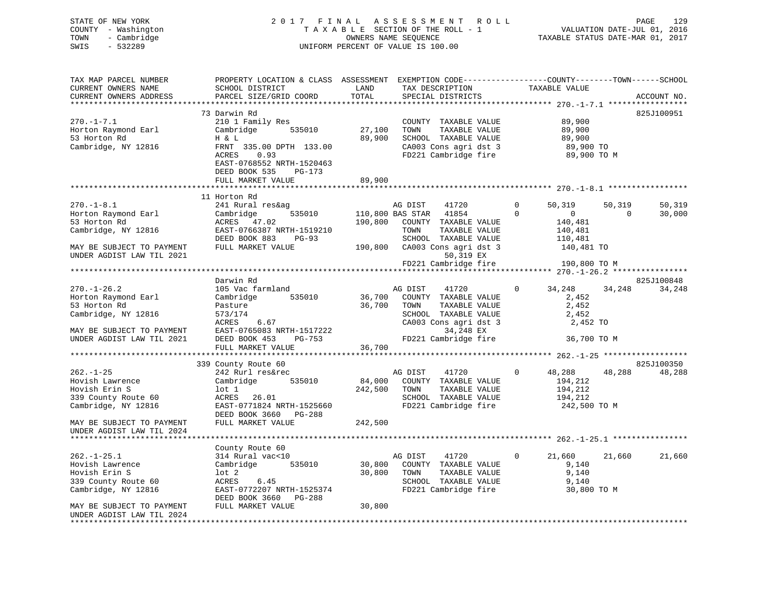# STATE OF NEW YORK 2 0 1 7 F I N A L A S S E S S M E N T R O L L PAGE 129 COUNTY - Washington T A X A B L E SECTION OF THE ROLL - 1 VALUATION DATE-JUL 01, 2016 TOWN - Cambridge OWNERS NAME SEQUENCE TAXABLE STATUS DATE-MAR 01, 2017 SWIS - 532289 UNIFORM PERCENT OF VALUE IS 100.00

| TAX MAP PARCEL NUMBER<br>CURRENT OWNERS NAME            | PROPERTY LOCATION & CLASS ASSESSMENT<br>SCHOOL DISTRICT | LAND       | TAX DESCRIPTION               | TAXABLE VALUE              | EXEMPTION CODE-----------------COUNTY-------TOWN------SCHOOL |
|---------------------------------------------------------|---------------------------------------------------------|------------|-------------------------------|----------------------------|--------------------------------------------------------------|
| CURRENT OWNERS ADDRESS                                  | PARCEL SIZE/GRID COORD                                  | TOTAL      | SPECIAL DISTRICTS             |                            | ACCOUNT NO.                                                  |
|                                                         |                                                         | ********** |                               |                            |                                                              |
|                                                         | 73 Darwin Rd                                            |            |                               |                            | 825J100951                                                   |
| $270. - 1 - 7.1$                                        | 210 1 Family Res                                        |            | COUNTY TAXABLE VALUE          | 89,900                     |                                                              |
| Horton Raymond Earl                                     | Cambridge<br>535010                                     | 27,100     | TOWN<br>TAXABLE VALUE         | 89,900                     |                                                              |
| 53 Horton Rd                                            | H & L                                                   | 89,900     | SCHOOL TAXABLE VALUE          | 89,900                     |                                                              |
| Cambridge, NY 12816                                     | FRNT 335.00 DPTH 133.00                                 |            | CA003 Cons agri dst 3         |                            | 89,900 TO                                                    |
|                                                         | 0.93<br>ACRES                                           |            | FD221 Cambridge fire          |                            | 89,900 TO M                                                  |
|                                                         | EAST-0768552 NRTH-1520463                               |            |                               |                            |                                                              |
|                                                         | DEED BOOK 535<br>PG-173                                 |            |                               |                            |                                                              |
|                                                         | FULL MARKET VALUE                                       | 89,900     |                               |                            |                                                              |
|                                                         |                                                         |            |                               |                            |                                                              |
|                                                         | 11 Horton Rd                                            |            |                               |                            |                                                              |
| $270. - 1 - 8.1$                                        | 241 Rural res&ag                                        |            | AG DIST<br>41720              | 50,319<br>$\Omega$         | 50,319<br>50,319                                             |
| Horton Raymond Earl                                     | 535010<br>Cambridge                                     |            | 110,800 BAS STAR 41854        | $\Omega$<br>$\overline{0}$ | 30,000<br>$\overline{0}$                                     |
| 53 Horton Rd                                            | ACRES 47.02                                             | 190,800    | COUNTY TAXABLE VALUE          | 140,481                    |                                                              |
| Cambridge, NY 12816                                     | EAST-0766387 NRTH-1519210                               |            | TOWN<br>TAXABLE VALUE         | 140,481                    |                                                              |
|                                                         | DEED BOOK 883<br>PG-93                                  |            | SCHOOL TAXABLE VALUE          | 110,481                    |                                                              |
| MAY BE SUBJECT TO PAYMENT                               | FULL MARKET VALUE                                       |            | 190,800 CA003 Cons agri dst 3 |                            | 140,481 TO                                                   |
| UNDER AGDIST LAW TIL 2021                               |                                                         |            | 50,319 EX                     |                            |                                                              |
|                                                         |                                                         |            | FD221 Cambridge fire          |                            | 190,800 TO M                                                 |
|                                                         |                                                         |            |                               |                            |                                                              |
|                                                         | Darwin Rd                                               |            |                               |                            | 825J100848                                                   |
| $270. - 1 - 26.2$                                       | 105 Vac farmland                                        |            | AG DIST<br>41720              | 34,248<br>$\mathbf{0}$     | 34,248<br>34,248                                             |
| Horton Raymond Earl                                     | 535010<br>Cambridge                                     | 36,700     | COUNTY TAXABLE VALUE          |                            | 2,452                                                        |
| 53 Horton Rd                                            | Pasture                                                 | 36,700     | TOWN<br>TAXABLE VALUE         | 2,452                      |                                                              |
| Cambridge, NY 12816                                     | 573/174                                                 |            | SCHOOL TAXABLE VALUE          | 2,452                      |                                                              |
|                                                         | ACRES<br>6.67                                           |            | CA003 Cons agri dst 3         |                            | 2,452 TO                                                     |
| MAY BE SUBJECT TO PAYMENT                               | EAST-0765083 NRTH-1517222                               |            | 34,248 EX                     |                            |                                                              |
| UNDER AGDIST LAW TIL 2021                               | DEED BOOK 453<br>PG-753                                 |            | FD221 Cambridge fire          |                            | 36,700 TO M                                                  |
|                                                         | FULL MARKET VALUE                                       | 36,700     |                               |                            |                                                              |
|                                                         | ************************                                |            |                               |                            |                                                              |
|                                                         | 339 County Route 60                                     |            |                               |                            | 825J100350                                                   |
| $262. - 1 - 25$                                         | 242 Rurl res&rec                                        |            | AG DIST<br>41720              | 48,288<br>$\mathbf 0$      | 48,288<br>48,288                                             |
| Hovish Lawrence                                         | Cambridge<br>535010                                     | 84,000     | COUNTY TAXABLE VALUE          | 194,212                    |                                                              |
| Hovish Erin S                                           | lot 1                                                   | 242,500    | TOWN<br>TAXABLE VALUE         | 194,212                    |                                                              |
| 339 County Route 60                                     | ACRES 26.01                                             |            | SCHOOL TAXABLE VALUE          | 194,212                    |                                                              |
| Cambridge, NY 12816                                     | EAST-0771824 NRTH-1525660                               |            | FD221 Cambridge fire          |                            | 242,500 TO M                                                 |
|                                                         | DEED BOOK 3660<br>PG-288                                |            |                               |                            |                                                              |
| MAY BE SUBJECT TO PAYMENT                               | FULL MARKET VALUE                                       | 242,500    |                               |                            |                                                              |
| UNDER AGDIST LAW TIL 2024<br>************************** |                                                         |            |                               |                            |                                                              |
|                                                         |                                                         |            |                               |                            |                                                              |
|                                                         | County Route 60                                         |            |                               |                            |                                                              |
| $262. -1 - 25.1$                                        | 314 Rural vac<10                                        |            | 41720<br>AG DIST              | 21,660<br>$\mathbf{0}$     | 21,660<br>21,660                                             |
| Hovish Lawrence                                         | 535010<br>Cambridge                                     | 30,800     | COUNTY TAXABLE VALUE          | 9,140                      |                                                              |
| Hovish Erin S                                           | $1$ ot $2$                                              | 30,800     | TOWN<br>TAXABLE VALUE         | 9,140                      |                                                              |
| 339 County Route 60                                     | ACRES<br>6.45                                           |            | SCHOOL TAXABLE VALUE          | 9,140                      |                                                              |
| Cambridge, NY 12816                                     | EAST-0772207 NRTH-1525374                               |            | FD221 Cambridge fire          |                            | 30,800 TO M                                                  |
|                                                         | DEED BOOK 3660 PG-288                                   |            |                               |                            |                                                              |
| MAY BE SUBJECT TO PAYMENT                               | FULL MARKET VALUE                                       | 30,800     |                               |                            |                                                              |
| UNDER AGDIST LAW TIL 2024                               |                                                         |            |                               |                            |                                                              |
|                                                         |                                                         |            |                               |                            |                                                              |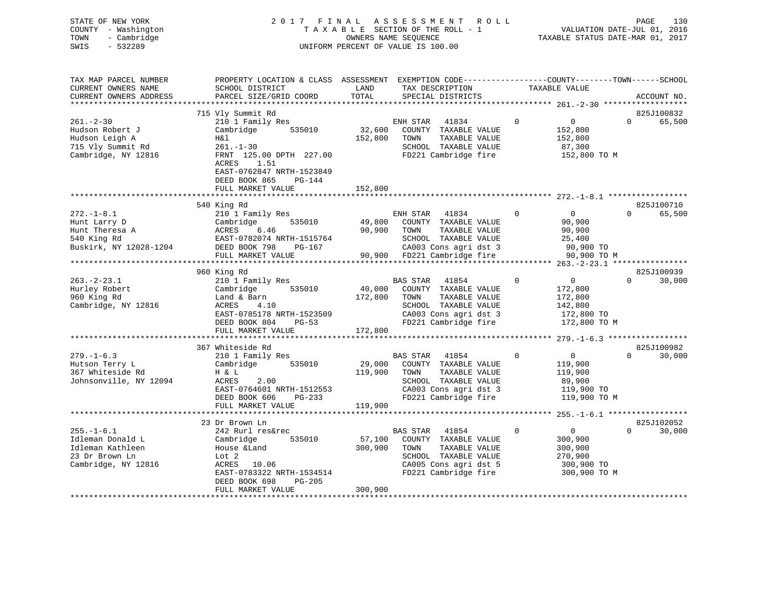| STATE OF NEW YORK<br>COUNTY - Washington<br>- Cambridge<br>TOWN<br>$-532289$<br>SWIS                   | 2 0 1 7                                                                                                                                                                                                | FINAL                   | ASSESSMENT ROLL<br>TAXABLE SECTION OF THE ROLL - 1<br>OWNERS NAME SEQUENCE<br>OWNERS NAME SEQUENCE<br>TAXABLE STATUS DATE-MAR 01, 2017<br>UNIFORM PERCENT OF VALUE IS 100.00                |                                                                                                 | 130<br>PAGE                                      |
|--------------------------------------------------------------------------------------------------------|--------------------------------------------------------------------------------------------------------------------------------------------------------------------------------------------------------|-------------------------|---------------------------------------------------------------------------------------------------------------------------------------------------------------------------------------------|-------------------------------------------------------------------------------------------------|--------------------------------------------------|
| TAX MAP PARCEL NUMBER<br>CURRENT OWNERS NAME<br>CURRENT OWNERS ADDRESS                                 | PROPERTY LOCATION & CLASS ASSESSMENT EXEMPTION CODE---------------COUNTY-------TOWN-----SCHOOL<br>SCHOOL DISTRICT<br>PARCEL SIZE/GRID COORD                                                            | LAND<br>TOTAL           | TAX DESCRIPTION TAXABLE VALUE<br>SPECIAL DISTRICTS                                                                                                                                          |                                                                                                 | ACCOUNT NO.                                      |
| $261. - 2 - 30$<br>Hudson Robert J<br>Hudson Leigh A<br>715 Vly Summit Rd<br>Cambridge, NY 12816       | 715 Vly Summit Rd<br>210 1 Family Res<br>Cambridge<br>H&l<br>$261 - 1 - 30$<br>FRNT 125.00 DPTH 227.00<br>1.51<br>ACRES<br>EAST-0762847 NRTH-1523849<br>DEED BOOK 865<br>$PG-144$<br>FULL MARKET VALUE | 152,800 TOWN<br>152,800 | 41834 0<br>ENH STAR<br>535010 32,600 COUNTY TAXABLE VALUE<br>SCHOOL TAXABLE VALUE 87,300<br>FD221 Cambridge fire                                                                            | $\overline{0}$<br>152,800<br>TAXABLE VALUE 152,800                                              | 825J100832<br>65,500<br>$\Omega$<br>152,800 TO M |
|                                                                                                        |                                                                                                                                                                                                        |                         |                                                                                                                                                                                             |                                                                                                 |                                                  |
| $272. - 1 - 8.1$<br>Hunt Larry D<br>Hunt Theresa A MCRES 6.46<br>540 King Rd<br>Buskirk, NY 12028-1204 | 540 King Rd<br>210 1 Family Res<br>Cambridge<br>EAST-0782074 NRTH-1515764<br>DEED BOOK 798<br>FULL MARKET VALUE                                                                                        | 90,900 TOWN<br>$PG-167$ | ENH STAR 41834 0<br>535010 49,800 COUNTY TAXABLE VALUE 90,900<br>TAXABLE VALUE<br>SCHOOL TAXABLE VALUE 25,400<br>CA003 Cons agri dst 3 90,900 TO<br>90,900 FD221 Cambridge fire 90,900 TO M | $\overline{0}$<br>90,900                                                                        | 825J100710<br>$0 \qquad \qquad$<br>65,500        |
|                                                                                                        |                                                                                                                                                                                                        |                         |                                                                                                                                                                                             |                                                                                                 |                                                  |
| $263. - 2 - 23.1$<br>Hurley Robert<br>960 King Rd<br>Cambridge, NY 12816                               | 960 King Rd<br>210 1 Family Res<br>Cambridge<br>Land & Barn<br>ACRES 4.10<br>EAST-0785178 NRTH-1523509<br>DRED BOOK 804 PG-53<br>$PG-53$<br>DEED BOOK 804                                              | 172,800                 | BAS STAR 41854<br>535010 40,000 COUNTY TAXABLE VALUE<br>TOWN<br>TAXABLE VALUE<br>SCHOOL TAXABLE VALUE<br>CA003 Cons agri dst 3<br>FD221 Cambridge fire                                      | $\overline{0}$<br>$\overline{0}$<br>172,800<br>172,800<br>142,800<br>172,800 TO<br>172,800 TO M | 825J100939<br>$0 \qquad \qquad$<br>30,000        |

|                        | DEED BOOK 804<br>PG-53<br>FULL MARKET VALUE | 172,800 | FD221 Cambridge fire    | 172,800 TO M |                    |
|------------------------|---------------------------------------------|---------|-------------------------|--------------|--------------------|
|                        |                                             |         |                         |              |                    |
|                        | 367 Whiteside Rd                            |         |                         |              | 825J100982         |
| $279. - 1 - 6.3$       | 210 1 Family Res                            |         | 41854<br>BAS STAR       | $\Omega$     | 30,000<br>$\Omega$ |
| Hutson Terry L         | Cambridge<br>535010                         | 29,000  | COUNTY<br>TAXABLE VALUE | 119,900      |                    |
| 367 Whiteside Rd       | H & L                                       | 119,900 | TOWN<br>TAXABLE VALUE   | 119,900      |                    |
| Johnsonville, NY 12094 | ACRES 2.00                                  |         | SCHOOL<br>TAXABLE VALUE | 89,900       |                    |
|                        | EAST-0764601 NRTH-1512553                   |         | CA003 Cons agri dst 3   | 119,900 TO   |                    |
|                        | DEED BOOK 606<br>PG-233                     |         | FD221 Cambridge fire    | 119,900 TO M |                    |
|                        | FULL MARKET VALUE                           | 119,900 |                         |              |                    |
|                        |                                             |         |                         |              |                    |
|                        | 23 Dr Brown Ln                              |         |                         |              | 825J102052         |
| $255. - 1 - 6.1$       | 242 Rurl res&rec                            |         | 41854<br>BAS STAR       |              | 30,000<br>$\Omega$ |
| Idleman Donald L       | Cambridge<br>535010                         | 57,100  | COUNTY<br>TAXABLE VALUE | 300,900      |                    |
| Idleman Kathleen       | House &Land                                 | 300,900 | TOWN<br>TAXABLE VALUE   | 300,900      |                    |
| 23 Dr Brown Ln         | Lot 2                                       |         | TAXABLE VALUE<br>SCHOOL | 270,900      |                    |
| Cambridge, NY 12816    | ACRES 10.06                                 |         | CA005 Cons agri dst 5   | 300,900 TO   |                    |
|                        | EAST-0783322 NRTH-1534514                   |         | FD221 Cambridge fire    | 300,900 TO M |                    |
|                        | DEED BOOK 698<br>PG-205                     |         |                         |              |                    |
|                        |                                             |         |                         |              |                    |
|                        | FULL MARKET VALUE                           | 300,900 |                         |              |                    |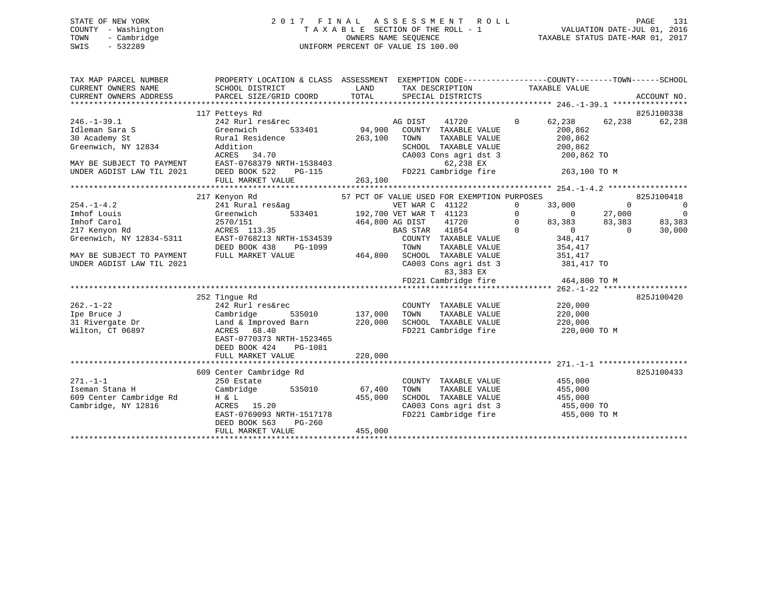STATE OF NEW YORK 2 0 1 7 F I N A L A S S E S S M E N T R O L L PAGE 131 COUNTY - Washington T A X A B L E SECTION OF THE ROLL - 1 VALUATION DATE-JUL 01, 2016 TOWN - Cambridge **OWNERS NAME SEQUENCE TAXABLE STATUS DATE-MAR 01, 2017** SWIS - 532289 UNIFORM PERCENT OF VALUE IS 100.00 TAX MAP PARCEL NUMBER PROPERTY LOCATION & CLASS ASSESSMENT EXEMPTION CODE------------------COUNTY--------TOWN------SCHOOL CURRENT OWNERS NAME SCHOOL DISTRICT THE LAND TAX DESCRIPTION TAXABLE VALUE CURRENT OWNERS ADDRESS PARCEL SIZE/GRID COORD TOTAL SPECIAL DISTRICTS ACCOUNT NO. \*\*\*\*\*\*\*\*\*\*\*\*\*\*\*\*\*\*\*\*\*\*\*\*\*\*\*\*\*\*\*\*\*\*\*\*\*\*\*\*\*\*\*\*\*\*\*\*\*\*\*\*\*\*\*\*\*\*\*\*\*\*\*\*\*\*\*\*\*\*\*\*\*\*\*\*\*\*\*\*\*\*\*\*\*\*\*\*\*\*\*\*\*\*\*\*\*\*\*\*\*\*\* 246.-1-39.1 \*\*\*\*\*\*\*\*\*\*\*\*\*\*\*\* 117 Petteys Rd 825J100338 246.-1-39.1 242 Rurl res&rec AG DIST 41720 0 62,238 62,238 62,238 Idleman Sara S Greenwich 533401 94,900 COUNTY TAXABLE VALUE 200,862 30 Academy St Rural Residence 263,100 TOWN TAXABLE VALUE 200,862 Greenwich, NY 12834 Addition SCHOOL TAXABLE VALUE 200,862 ACRES 34.70 CA003 Cons agri dst 3 200,862 TO MAY BE SUBJECT TO PAYMENT EAST-0768379 NRTH-1538403 62,238 EX UNDER AGDIST LAW TIL 2021 DEED BOOK 522 PG-115 FD221 Cambridge fire 263,100 TO M FULL MARKET VALUE 263,100 \*\*\*\*\*\*\*\*\*\*\*\*\*\*\*\*\*\*\*\*\*\*\*\*\*\*\*\*\*\*\*\*\*\*\*\*\*\*\*\*\*\*\*\*\*\*\*\*\*\*\*\*\*\*\*\*\*\*\*\*\*\*\*\*\*\*\*\*\*\*\*\*\*\*\*\*\*\*\*\*\*\*\*\*\*\*\*\*\*\*\*\*\*\*\*\*\*\*\*\*\*\*\* 254.-1-4.2 \*\*\*\*\*\*\*\*\*\*\*\*\*\*\*\*\* 217 Kenyon Rd 57 PCT OF VALUE USED FOR EXEMPTION PURPOSES 825J100418 254.-1-4.2 241 Rural res&ag VET WAR C 41122 0 33,000 0 0 Imhof Louis Greenwich 533401 192,700 VET WAR T 41123 0 0 27,000 0 Imhof Carol 2570/151 464,800 AG DIST 41720 0 83,383 83,383 83,383 217 Kenyon Rd ACRES 113.35 BAS STAR 41854 0 0 0 30,000 Greenwich, NY 12834-5311 EAST-0768213 NRTH-1534539 COUNTY TAXABLE VALUE 348,417 DEED BOOK 438 PG-1099 TOWN TAXABLE VALUE 354,417 MAY BE SUBJECT TO PAYMENT FULL MARKET VALUE 464,800 SCHOOL TAXABLE VALUE 351,417 UNDER AGDIST LAW TIL 2021 CA003 Cons agri dst 3 381,417 TO 83,383 EX FD221 Cambridge fire 464,800 TO M

|                         |                           |         | TD221 Campliage IIIC    | 101,000 10 M |
|-------------------------|---------------------------|---------|-------------------------|--------------|
|                         |                           |         |                         |              |
|                         | 252 Tinque Rd             |         |                         | 825J100420   |
| $262. - 1 - 22$         | 242 Rurl res&rec          |         | TAXABLE VALUE<br>COUNTY | 220,000      |
| Ipe Bruce J             | Cambridge<br>535010       | 137,000 | TOWN<br>TAXABLE VALUE   | 220,000      |
| 31 Rivergate Dr         | Land & Improved Barn      | 220,000 | SCHOOL<br>TAXABLE VALUE | 220,000      |
| Wilton, CT 06897        | 68.40<br>ACRES            |         | FD221 Cambridge fire    | 220,000 TO M |
|                         | EAST-0770373 NRTH-1523465 |         |                         |              |
|                         | DEED BOOK 424<br>PG-1081  |         |                         |              |
|                         | FULL MARKET VALUE         | 220,000 |                         |              |
|                         |                           |         |                         |              |
|                         | 609 Center Cambridge Rd   |         |                         | 825J100433   |
| $271. - 1 - 1$          | 250 Estate                |         | TAXABLE VALUE<br>COUNTY | 455,000      |
| Iseman Stana H          | Cambridge<br>535010       | 67,400  | TAXABLE VALUE<br>TOWN   | 455,000      |
| 609 Center Cambridge Rd | H & L                     | 455,000 | SCHOOL<br>TAXABLE VALUE | 455,000      |
| Cambridge, NY 12816     | 15.20<br>ACRES            |         | CA003 Cons agri dst 3   | 455,000 TO   |
|                         | EAST-0769093 NRTH-1517178 |         | FD221 Cambridge fire    | 455,000 TO M |
|                         | DEED BOOK 563<br>PG-260   |         |                         |              |
|                         | FULL MARKET VALUE         | 455,000 |                         |              |
|                         |                           |         |                         |              |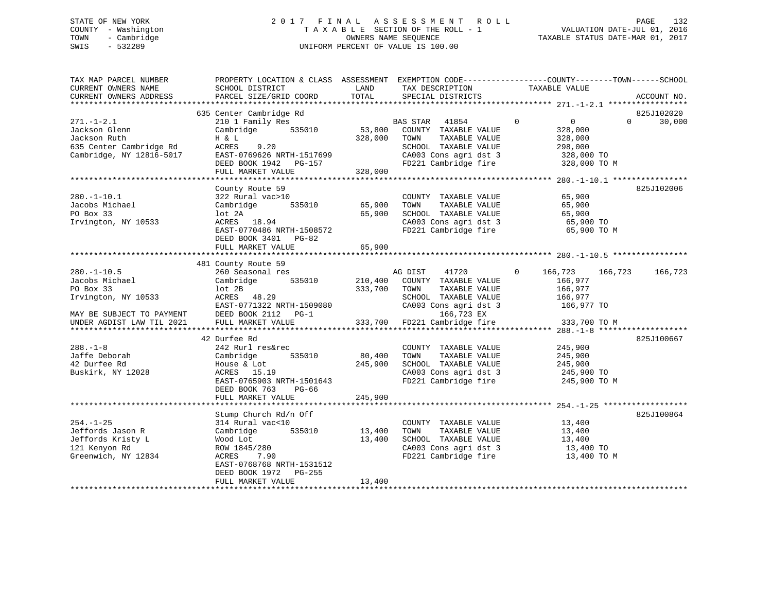# STATE OF NEW YORK 2 0 1 7 F I N A L A S S E S S M E N T R O L L PAGE 132 COUNTY - Washington T A X A B L E SECTION OF THE ROLL - 1 VALUATION DATE-JUL 01, 2016 TOWN - Cambridge OWNERS NAME SEQUENCE TAXABLE STATUS DATE-MAR 01, 2017 SWIS - 532289 UNIFORM PERCENT OF VALUE IS 100.00

| TAX MAP PARCEL NUMBER<br>CURRENT OWNERS NAME<br>CURRENT OWNERS ADDRESS | SCHOOL DISTRICT<br>PARCEL SIZE/GRID COORD        | LAND<br>TOTAL | TAX DESCRIPTION<br>SPECIAL DISTRICTS          | PROPERTY LOCATION & CLASS ASSESSMENT EXEMPTION CODE---------------COUNTY-------TOWN------SCHOOL<br>TAXABLE VALUE | ACCOUNT NO. |
|------------------------------------------------------------------------|--------------------------------------------------|---------------|-----------------------------------------------|------------------------------------------------------------------------------------------------------------------|-------------|
|                                                                        |                                                  |               |                                               |                                                                                                                  |             |
|                                                                        | 635 Center Cambridge Rd                          |               |                                               |                                                                                                                  | 825J102020  |
| $271. - 1 - 2.1$                                                       | 210 1 Family Res                                 |               | 41854<br>BAS STAR                             | $\mathbf 0$<br>$\overline{0}$<br>$\Omega$                                                                        | 30,000      |
| Jackson Glenn                                                          | 535010<br>Cambridge                              | 53,800        | COUNTY TAXABLE VALUE                          | 328,000                                                                                                          |             |
| Jackson Ruth<br>635 Center Cambridge Rd                                | H & L<br>9.20<br>ACRES                           | 328,000       | TOWN<br>TAXABLE VALUE<br>SCHOOL TAXABLE VALUE | 328,000                                                                                                          |             |
| Cambridge, NY 12816-5017                                               | EAST-0769626 NRTH-1517699                        |               | CA003 Cons agri dst 3                         | 298,000<br>328,000 TO                                                                                            |             |
|                                                                        | DEED BOOK 1942 PG-157                            |               | FD221 Cambridge fire                          | 328,000 TO M                                                                                                     |             |
|                                                                        | FULL MARKET VALUE                                | 328,000       |                                               |                                                                                                                  |             |
|                                                                        |                                                  |               |                                               |                                                                                                                  |             |
|                                                                        | County Route 59                                  |               |                                               |                                                                                                                  | 825J102006  |
| $280. - 1 - 10.1$                                                      | 322 Rural vac>10                                 |               | COUNTY TAXABLE VALUE                          | 65,900                                                                                                           |             |
| Jacobs Michael                                                         | Cambridge<br>535010                              | 65,900        | TOWN<br>TAXABLE VALUE                         | 65,900                                                                                                           |             |
| PO Box 33                                                              | lot 2A                                           | 65,900        | SCHOOL TAXABLE VALUE                          | 65,900                                                                                                           |             |
| Irvington, NY 10533                                                    | ACRES 18.94                                      |               | CA003 Cons agri dst 3                         | 65,900 TO                                                                                                        |             |
|                                                                        | EAST-0770486 NRTH-1508572                        |               | FD221 Cambridge fire                          | 65,900 TO M                                                                                                      |             |
|                                                                        | DEED BOOK 3401<br>PG-82                          |               |                                               |                                                                                                                  |             |
|                                                                        | FULL MARKET VALUE                                | 65,900        |                                               |                                                                                                                  |             |
|                                                                        |                                                  |               |                                               |                                                                                                                  |             |
|                                                                        | 481 County Route 59                              |               |                                               |                                                                                                                  |             |
| $280. - 1 - 10.5$                                                      | 260 Seasonal res                                 |               | 41720<br>AG DIST                              | 0<br>166,723<br>166,723                                                                                          | 166,723     |
| Jacobs Michael                                                         | 535010<br>Cambridge                              | 210,400       | COUNTY TAXABLE VALUE                          | 166,977                                                                                                          |             |
| PO Box 33                                                              | lot 2B                                           | 333,700       | TOWN<br>TAXABLE VALUE                         | 166,977                                                                                                          |             |
| Irvington, NY 10533                                                    | ACRES 48.29                                      |               | SCHOOL TAXABLE VALUE                          | 166,977                                                                                                          |             |
|                                                                        | EAST-0771322 NRTH-1509080<br>DEED BOOK 2112 PG-1 |               | CA003 Cons agri dst 3                         | 166,977 TO                                                                                                       |             |
| MAY BE SUBJECT TO PAYMENT<br>UNDER AGDIST LAW TIL 2021                 | FULL MARKET VALUE                                | 333,700       | 166,723 EX<br>FD221 Cambridge fire            | 333,700 TO M                                                                                                     |             |
|                                                                        |                                                  |               |                                               |                                                                                                                  |             |
|                                                                        | 42 Durfee Rd                                     |               |                                               |                                                                                                                  | 825J100667  |
| $288. - 1 - 8$                                                         | 242 Rurl res&rec                                 |               | COUNTY TAXABLE VALUE                          | 245,900                                                                                                          |             |
| Jaffe Deborah                                                          | 535010<br>Cambridge                              | 80,400        | TAXABLE VALUE<br>TOWN                         | 245,900                                                                                                          |             |
| 42 Durfee Rd                                                           | House & Lot                                      | 245,900       | SCHOOL TAXABLE VALUE                          | 245,900                                                                                                          |             |
| Buskirk, NY 12028                                                      | ACRES 15.19                                      |               | CA003 Cons agri dst 3                         | 245,900 TO                                                                                                       |             |
|                                                                        | EAST-0765903 NRTH-1501643                        |               | FD221 Cambridge fire                          | 245,900 TO M                                                                                                     |             |
|                                                                        | DEED BOOK 763<br>$PG-66$                         |               |                                               |                                                                                                                  |             |
|                                                                        | FULL MARKET VALUE                                | 245,900       |                                               |                                                                                                                  |             |
|                                                                        |                                                  |               |                                               |                                                                                                                  |             |
|                                                                        | Stump Church Rd/n Off                            |               |                                               |                                                                                                                  | 825J100864  |
| $254. - 1 - 25$                                                        | 314 Rural vac<10                                 |               | COUNTY TAXABLE VALUE                          | 13,400                                                                                                           |             |
| Jeffords Jason R                                                       | Cambridge<br>535010                              | 13,400        | TOWN<br>TAXABLE VALUE                         | 13,400                                                                                                           |             |
| Jeffords Kristy L                                                      | Wood Lot                                         | 13,400        | SCHOOL TAXABLE VALUE                          | 13,400                                                                                                           |             |
| 121 Kenyon Rd                                                          | ROW 1845/280                                     |               | CA003 Cons agri dst 3                         | 13,400 TO                                                                                                        |             |
| Greenwich, NY 12834                                                    | ACRES<br>7.90                                    |               | FD221 Cambridge fire                          | 13,400 TO M                                                                                                      |             |
|                                                                        | EAST-0768768 NRTH-1531512                        |               |                                               |                                                                                                                  |             |
|                                                                        | DEED BOOK 1972<br>PG-255<br>FULL MARKET VALUE    | 13,400        |                                               |                                                                                                                  |             |
| ***********************                                                |                                                  |               |                                               |                                                                                                                  |             |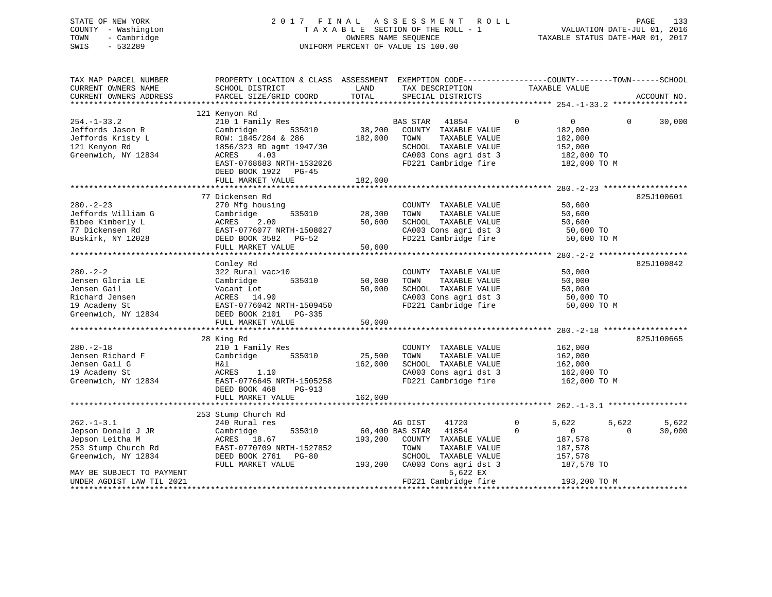| STATE OF NEW YORK<br>- Washington<br>COUNTY<br>- Cambridge<br>TOWN<br>SWIS<br>$-532289$ | 2017 FINAL                                     |         | A S S E S S M E N T R O L L<br>TAXABLE SECTION OF THE ROLL - 1<br>OWNERS NAME SEQUENCE<br>UNIFORM PERCENT OF VALUE IS 100.00 | VALUATION DATE-JUL 01, 2016<br>TAXABLE STATUS DATE-MAR 01, 2017 | 133<br>PAGE        |
|-----------------------------------------------------------------------------------------|------------------------------------------------|---------|------------------------------------------------------------------------------------------------------------------------------|-----------------------------------------------------------------|--------------------|
| TAX MAP PARCEL NUMBER                                                                   | PROPERTY LOCATION & CLASS ASSESSMENT           |         |                                                                                                                              | EXEMPTION CODE-----------------COUNTY-------TOWN------SCHOOL    |                    |
| CURRENT OWNERS NAME                                                                     | SCHOOL DISTRICT                                |         | LAND TAX DESCRIPTION                                                                                                         | TAXABLE VALUE                                                   |                    |
| CURRENT OWNERS ADDRESS                                                                  | PARCEL SIZE/GRID COORD TOTAL SPECIAL DISTRICTS |         |                                                                                                                              |                                                                 | ACCOUNT NO.        |
|                                                                                         |                                                |         |                                                                                                                              |                                                                 |                    |
|                                                                                         | 121 Kenyon Rd                                  |         |                                                                                                                              |                                                                 |                    |
| $254. - 1 - 33.2$                                                                       | 210 1 Family Res                               |         | 41854<br>BAS STAR                                                                                                            | $\overline{0}$<br>$\overline{0}$                                | 30,000<br>$\Omega$ |
| Jeffords Jason R                                                                        | Cambridge 535010 38,200                        |         | COUNTY<br>TAXABLE VALUE                                                                                                      | 182,000                                                         |                    |
| Jeffords Kristy L                                                                       | ROW: 1845/284 & 286                            | 182,000 | TOWN<br>TAXABLE VALUE                                                                                                        | 182,000                                                         |                    |
| 121 Kenyon Rd                                                                           | 1856/323 RD agmt 1947/30                       |         | SCHOOL<br>TAXABLE VALUE                                                                                                      | 152,000                                                         |                    |
| Greenwich, NY 12834                                                                     | 4.03<br>ACRES                                  |         | CA003 Cons agri dst 3                                                                                                        | 182,000 TO                                                      |                    |
|                                                                                         | EAST-0768683 NRTH-1532026                      |         | FD221 Cambridge fire                                                                                                         | 182,000 TO M                                                    |                    |
|                                                                                         | DEED BOOK 1922 PG-45                           |         |                                                                                                                              |                                                                 |                    |
|                                                                                         | FULL MARKET VALUE                              | 182,000 |                                                                                                                              |                                                                 |                    |
|                                                                                         |                                                |         |                                                                                                                              |                                                                 |                    |

|                           | 77 Dickensen Rd           |                 |                              |                                  | 825J100601         |
|---------------------------|---------------------------|-----------------|------------------------------|----------------------------------|--------------------|
| $280 - 2 - 23$            | 270 Mfg housing           |                 | COUNTY TAXABLE VALUE         | 50,600                           |                    |
| Jeffords William G        | Cambridge<br>535010       | 28,300          | TOWN<br>TAXABLE VALUE        | 50,600                           |                    |
| Bibee Kimberly L          | 2.00<br>ACRES             | 50,600          | SCHOOL TAXABLE VALUE         | 50,600                           |                    |
| 77 Dickensen Rd           | EAST-0776077 NRTH-1508027 |                 | CA003 Cons agri dst 3        | 50,600 TO                        |                    |
| Buskirk, NY 12028         | DEED BOOK 3582 PG-52      |                 | FD221 Cambridge fire         | 50,600 TO M                      |                    |
|                           | FULL MARKET VALUE         | 50,600          |                              |                                  |                    |
|                           |                           |                 |                              |                                  |                    |
|                           | Conley Rd                 |                 |                              |                                  | 825J100842         |
| $280 - 2 - 2$             | 322 Rural vac>10          |                 | COUNTY TAXABLE VALUE         | 50,000                           |                    |
| Jensen Gloria LE          | 535010<br>Cambridge       | 50,000          | TOWN<br>TAXABLE VALUE        | 50,000                           |                    |
| Jensen Gail               | Vacant Lot                | 50,000          | SCHOOL TAXABLE VALUE         | 50,000                           |                    |
| Richard Jensen            | ACRES 14.90               |                 | CA003 Cons agri dst 3        | 50,000 TO                        |                    |
| 19 Academy St             | EAST-0776042 NRTH-1509450 |                 | FD221 Cambridge fire         | 50,000 TO M                      |                    |
| Greenwich, NY 12834       | DEED BOOK 2101 PG-335     |                 |                              |                                  |                    |
|                           | FULL MARKET VALUE         | 50,000          |                              |                                  |                    |
|                           |                           |                 |                              |                                  |                    |
|                           | 28 King Rd                |                 |                              |                                  | 825J100665         |
| $280. - 2 - 18$           | 210 1 Family Res          |                 | COUNTY TAXABLE VALUE         | 162,000                          |                    |
| Jensen Richard F          | Cambridge<br>535010       | 25,500          | TAXABLE VALUE<br>TOWN        | 162,000                          |                    |
| Jensen Gail G             | Η&l                       | 162,000         | SCHOOL TAXABLE VALUE         | 162,000                          |                    |
| 19 Academy St             | ACRES 1.10                |                 | CA003 Cons agri dst 3        | 162,000 TO                       |                    |
| Greenwich, NY 12834       | EAST-0776645 NRTH-1505258 |                 | FD221 Cambridge fire         | 162,000 TO M                     |                    |
|                           | DEED BOOK 468<br>PG-913   |                 |                              |                                  |                    |
|                           | FULL MARKET VALUE         | 162,000         |                              |                                  |                    |
|                           |                           |                 |                              |                                  |                    |
|                           | 253 Stump Church Rd       |                 |                              |                                  |                    |
| $262 - 1 - 3.1$           | 240 Rural res             |                 | AG DIST<br>41720             | 5,622<br>$\overline{0}$<br>5,622 | 5,622              |
| Jepson Donald J JR        | Cambridge<br>535010       | 60,400 BAS STAR | 41854                        | $\Omega$<br>$\Omega$             | 30,000<br>$\Omega$ |
| Jepson Leitha M           | ACRES 18.67               |                 | 193,200 COUNTY TAXABLE VALUE | 187,578                          |                    |
| 253 Stump Church Rd       | EAST-0770709 NRTH-1527852 |                 | TOWN<br>TAXABLE VALUE        | 187,578                          |                    |
| Greenwich, NY 12834       | DEED BOOK 2761<br>PG-80   |                 | TAXABLE VALUE<br>SCHOOL      | 157,578                          |                    |
|                           | FULL MARKET VALUE         | 193,200         | CA003 Cons agri dst 3        | 187,578 TO                       |                    |
| MAY BE SUBJECT TO PAYMENT |                           |                 | 5,622 EX                     |                                  |                    |
| UNDER AGDIST LAW TIL 2021 |                           |                 | FD221 Cambridge fire         | 193,200 TO M                     |                    |
|                           |                           |                 |                              |                                  |                    |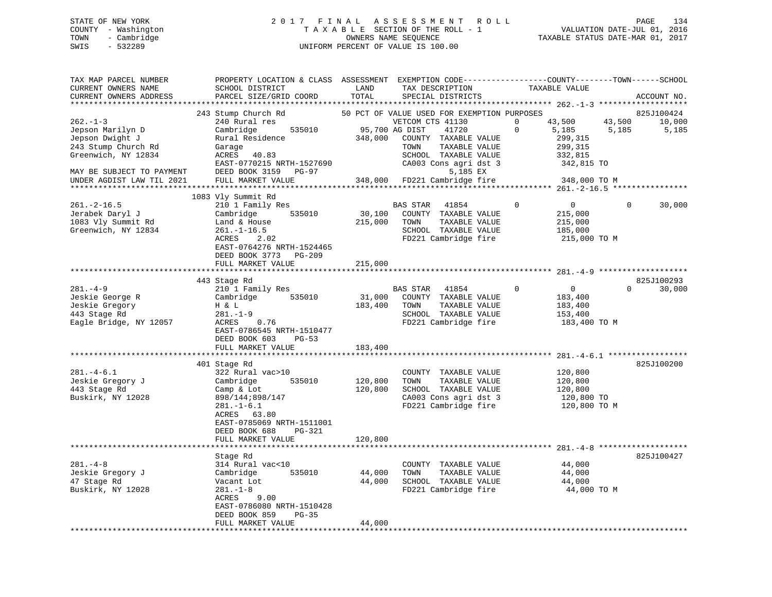# STATE OF NEW YORK 2 0 1 7 F I N A L A S S E S S M E N T R O L L PAGE 134 COUNTY - Washington T A X A B L E SECTION OF THE ROLL - 1 VALUATION DATE-JUL 01, 2016 TOWN - Cambridge OWNERS NAME SEQUENCE TAXABLE STATUS DATE-MAR 01, 2017 SWIS - 532289 UNIFORM PERCENT OF VALUE IS 100.00

| TAX MAP PARCEL NUMBER<br>CURRENT OWNERS NAME<br>CURRENT OWNERS ADDRESS                                                                                       | PROPERTY LOCATION & CLASS ASSESSMENT<br>SCHOOL DISTRICT<br>PARCEL SIZE/GRID COORD                                                                                                          | LAND<br>TOTAL                | EXEMPTION CODE-----------------COUNTY-------TOWN------SCHOOL<br>TAX DESCRIPTION<br>SPECIAL DISTRICTS                                                                                                                             | TAXABLE VALUE                                                                                          | ACCOUNT NO.                                      |
|--------------------------------------------------------------------------------------------------------------------------------------------------------------|--------------------------------------------------------------------------------------------------------------------------------------------------------------------------------------------|------------------------------|----------------------------------------------------------------------------------------------------------------------------------------------------------------------------------------------------------------------------------|--------------------------------------------------------------------------------------------------------|--------------------------------------------------|
| *******************                                                                                                                                          | *************************                                                                                                                                                                  |                              |                                                                                                                                                                                                                                  |                                                                                                        | ******                                           |
| $262 - 1 - 3$<br>Jepson Marilyn D<br>Jepson Dwight J<br>243 Stump Church Rd<br>Greenwich, NY 12834<br>MAY BE SUBJECT TO PAYMENT<br>UNDER AGDIST LAW TIL 2021 | 243 Stump Church Rd<br>240 Rural res<br>Cambridge<br>535010<br>Rural Residence<br>Garage<br>ACRES<br>40.83<br>EAST-0770215 NRTH-1527690<br>DEED BOOK 3159<br>PG-97<br>FULL MARKET VALUE    | 348,000<br>348,000           | 50 PCT OF VALUE USED FOR EXEMPTION PURPOSES<br>VETCOM CTS 41130<br>95,700 AG DIST<br>41720<br>COUNTY TAXABLE VALUE<br>TOWN<br>TAXABLE VALUE<br>SCHOOL TAXABLE VALUE<br>CA003 Cons agri dst 3<br>5,185 EX<br>FD221 Cambridge fire | 43,500<br>$\Omega$<br>$\Omega$<br>5,185<br>299,315<br>299,315<br>332,815<br>342,815 TO<br>348,000 TO M | 825J100424<br>43,500<br>10,000<br>5,185<br>5,185 |
|                                                                                                                                                              |                                                                                                                                                                                            |                              |                                                                                                                                                                                                                                  |                                                                                                        |                                                  |
| $261. -2 - 16.5$<br>Jerabek Daryl J<br>1083 Vly Summit Rd<br>Greenwich, NY 12834                                                                             | 1083 Vly Summit Rd<br>210 1 Family Res<br>535010<br>Cambridge<br>Land & House<br>$261. - 1 - 16.5$<br>ACRES<br>2.02<br>EAST-0764276 NRTH-1524465<br>DEED BOOK 3773 PG-209                  | 30,100<br>215,000            | BAS STAR<br>41854<br>COUNTY TAXABLE VALUE<br>TAXABLE VALUE<br>TOWN<br>SCHOOL TAXABLE VALUE<br>FD221 Cambridge fire                                                                                                               | $\Omega$<br>$\overline{0}$<br>215,000<br>215,000<br>185,000<br>215,000 TO M                            | 0<br>30,000                                      |
|                                                                                                                                                              | FULL MARKET VALUE                                                                                                                                                                          | 215,000                      |                                                                                                                                                                                                                                  |                                                                                                        |                                                  |
| $281. -4 - 9$                                                                                                                                                | 443 Stage Rd<br>210 1 Family Res                                                                                                                                                           |                              | <b>BAS STAR</b><br>41854                                                                                                                                                                                                         | $\mathbf 0$<br>$\mathbf 0$                                                                             | 825J100293<br>$\Omega$<br>30,000                 |
| Jeskie George R<br>Jeskie Gregory<br>443 Stage Rd<br>Eagle Bridge, NY 12057                                                                                  | Cambridge<br>535010<br>H & L<br>$281. - 1 - 9$<br>ACRES<br>0.76<br>EAST-0786545 NRTH-1510477<br>DEED BOOK 603<br>$PG-53$<br>FULL MARKET VALUE                                              | 31,000<br>183,400<br>183,400 | COUNTY TAXABLE VALUE<br>TOWN<br>TAXABLE VALUE<br>SCHOOL TAXABLE VALUE<br>FD221 Cambridge fire                                                                                                                                    | 183,400<br>183,400<br>153,400<br>183,400 TO M                                                          |                                                  |
|                                                                                                                                                              | ************************                                                                                                                                                                   |                              |                                                                                                                                                                                                                                  |                                                                                                        |                                                  |
| $281. -4 - 6.1$<br>Jeskie Gregory J<br>443 Stage Rd<br>Buskirk, NY 12028                                                                                     | 401 Stage Rd<br>322 Rural vac>10<br>Cambridge<br>535010<br>Camp & Lot<br>898/144;898/147<br>$281. - 1 - 6.1$<br>ACRES 63.80<br>EAST-0785069 NRTH-1511001<br>DEED BOOK 688<br><b>PG-321</b> | 120,800<br>120,800           | COUNTY TAXABLE VALUE<br>TAXABLE VALUE<br>TOWN<br>SCHOOL TAXABLE VALUE<br>CA003 Cons agri dst 3<br>FD221 Cambridge fire                                                                                                           | 120,800<br>120,800<br>120,800<br>120,800 TO<br>120,800 TO M                                            | 825J100200                                       |
|                                                                                                                                                              | FULL MARKET VALUE                                                                                                                                                                          | 120,800                      |                                                                                                                                                                                                                                  | ******************************** 281.-4-8                                                              |                                                  |
| $281. -4 - 8$<br>Jeskie Gregory J<br>47 Stage Rd<br>Buskirk, NY 12028                                                                                        | Stage Rd<br>314 Rural vac<10<br>535010<br>Cambridge<br>Vacant Lot<br>$281. - 1 - 8$                                                                                                        | 44,000<br>44,000             | COUNTY TAXABLE VALUE<br>TOWN<br>TAXABLE VALUE<br>SCHOOL TAXABLE VALUE<br>FD221 Cambridge fire                                                                                                                                    | 44,000<br>44,000<br>44,000<br>44,000 TO M                                                              | 825J100427                                       |
| ***********************                                                                                                                                      | ACRES<br>9.00<br>EAST-0786080 NRTH-1510428<br>DEED BOOK 859<br>$PG-35$<br>FULL MARKET VALUE                                                                                                | 44,000<br>********           |                                                                                                                                                                                                                                  |                                                                                                        |                                                  |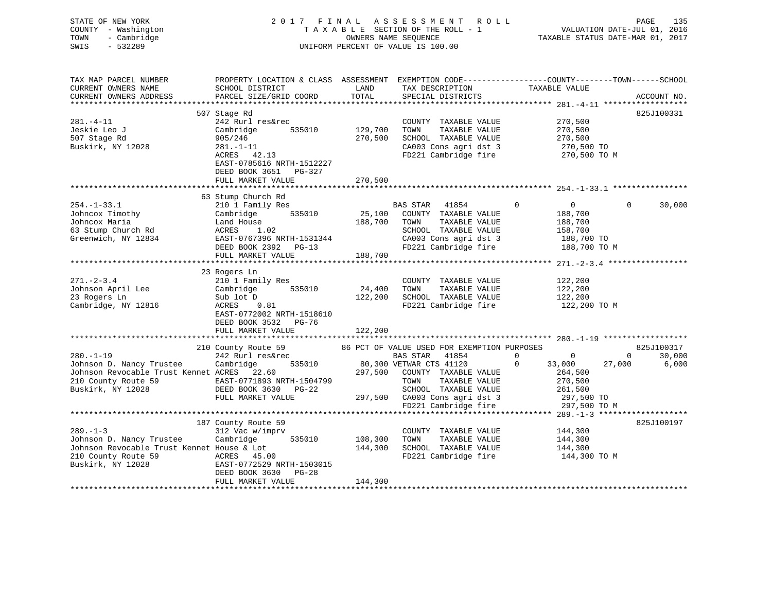| STATE OF NEW YORK<br>COUNTY - Washington<br>TOWN<br>- Cambridge<br>SWIS<br>$-532289$                      |                                                                                                                                             |                   | 2017 FINAL ASSESSMENT ROLL<br>TAXABLE SECTION OF THE ROLL - 1<br>OWNERS NAME SEQUENCE<br>UNIFORM PERCENT OF VALUE IS 100.00 |             | VALUATION DATE-JUL 01, 2016<br>TAXABLE STATUS DATE-MAR 01, 2017 | PAGE         | 135             |
|-----------------------------------------------------------------------------------------------------------|---------------------------------------------------------------------------------------------------------------------------------------------|-------------------|-----------------------------------------------------------------------------------------------------------------------------|-------------|-----------------------------------------------------------------|--------------|-----------------|
| TAX MAP PARCEL NUMBER<br>CURRENT OWNERS NAME<br>CURRENT OWNERS ADDRESS                                    | PROPERTY LOCATION & CLASS ASSESSMENT EXEMPTION CODE---------------COUNTY-------TOWN-----SCHOOL<br>SCHOOL DISTRICT<br>PARCEL SIZE/GRID COORD | LAND<br>TOTAL     | TAX DESCRIPTION<br>SPECIAL DISTRICTS                                                                                        |             | TAXABLE VALUE                                                   |              | ACCOUNT NO.     |
|                                                                                                           | 507 Stage Rd                                                                                                                                |                   |                                                                                                                             |             |                                                                 |              | 825J100331      |
| 281.-4-11<br>Jeskie Leo J                                                                                 | 242 Rurl res&rec<br>Cambridge<br>535010                                                                                                     | 129,700           | COUNTY TAXABLE VALUE<br>TOWN<br>TAXABLE VALUE                                                                               |             | 270,500<br>270,500                                              |              |                 |
| 507 Stage Rd<br>Buskirk, NY 12028                                                                         | 905/246<br>$281. - 1 - 11$<br>ACRES 42.13<br>EAST-0785616 NRTH-1512227<br>DEED BOOK 3651 PG-327                                             | 270,500           | SCHOOL TAXABLE VALUE<br>CA003 Cons agri dst 3<br>FD221 Cambridge fire                                                       |             | 270,500<br>270,500 TO<br>270,500 TO M                           |              |                 |
|                                                                                                           | FULL MARKET VALUE                                                                                                                           | 270,500           |                                                                                                                             |             |                                                                 |              |                 |
|                                                                                                           |                                                                                                                                             |                   |                                                                                                                             |             |                                                                 |              |                 |
| $254. - 1 - 33.1$                                                                                         | 63 Stump Church Rd<br>210 1 Family Res                                                                                                      |                   | BAS STAR 41854                                                                                                              | $\mathbf 0$ | $\overline{0}$                                                  | $\mathbf{0}$ | 30,000          |
| Johncox Timothy                                                                                           | 535010<br>Cambridge                                                                                                                         | 25,100            | COUNTY TAXABLE VALUE                                                                                                        |             | 188,700                                                         |              |                 |
| Johncox Maria<br>63 Stump Church Rd                                                                       | Land House<br>ACRES 1.02                                                                                                                    | 188,700           | TAXABLE VALUE<br>TOWN<br>SCHOOL TAXABLE VALUE                                                                               |             | 188,700<br>158,700                                              |              |                 |
| Greenwich, NY 12834                                                                                       | EAST-0767396 NRTH-1531344                                                                                                                   |                   | CA003 Cons agri dst 3                                                                                                       |             | 188,700 TO                                                      |              |                 |
|                                                                                                           | DEED BOOK 2392 PG-13                                                                                                                        |                   | FD221 Cambridge fire                                                                                                        |             | 188,700 TO M                                                    |              |                 |
|                                                                                                           | FULL MARKET VALUE                                                                                                                           | 188,700           |                                                                                                                             |             |                                                                 |              |                 |
|                                                                                                           |                                                                                                                                             |                   |                                                                                                                             |             |                                                                 |              |                 |
|                                                                                                           | 23 Rogers Ln                                                                                                                                |                   |                                                                                                                             |             |                                                                 |              |                 |
| $271 - 2 - 3.4$                                                                                           | 210 1 Family Res<br>535010                                                                                                                  |                   | COUNTY TAXABLE VALUE                                                                                                        |             | 122,200                                                         |              |                 |
| Johnson April Lee<br>23 Rogers Ln                                                                         | Cambridge<br>Sub lot D                                                                                                                      | 24,400<br>122,200 | TOWN<br>TAXABLE VALUE<br>SCHOOL TAXABLE VALUE                                                                               |             | 122,200<br>122,200                                              |              |                 |
| Cambridge, NY 12816                                                                                       | ACRES<br>0.81                                                                                                                               |                   | FD221 Cambridge fire                                                                                                        |             | 122,200 TO M                                                    |              |                 |
|                                                                                                           | EAST-0772002 NRTH-1518610<br>DEED BOOK 3532 PG-76                                                                                           |                   |                                                                                                                             |             |                                                                 |              |                 |
|                                                                                                           | FULL MARKET VALUE                                                                                                                           | 122,200           |                                                                                                                             |             |                                                                 |              |                 |
|                                                                                                           |                                                                                                                                             |                   |                                                                                                                             |             |                                                                 |              |                 |
| $280. - 1 - 19$                                                                                           | 210 County Route 59                                                                                                                         |                   | 86 PCT OF VALUE USED FOR EXEMPTION PURPOSES<br>BAS STAR 41854 0                                                             |             | $\overline{0}$                                                  | $\mathbf{0}$ | 825J100317      |
| Johnson D. Nancy Trustee                                                                                  | 242 Rurl res&rec<br>535010<br>Cambridge                                                                                                     |                   | 80,300 VETWAR CTS 41120                                                                                                     | $\Omega$    | 33,000                                                          | 27,000       | 30,000<br>6,000 |
| Johnson Revocable Trust Kennet ACRES 22.60                                                                |                                                                                                                                             |                   | 297,500 COUNTY TAXABLE VALUE                                                                                                |             | 264,500                                                         |              |                 |
| Johnson Revocable Ilust Remice Rest-0771893 NRTH-1504799<br>210 County Route 59 EAST-0771893 NRTH-1504799 |                                                                                                                                             |                   | TOWN<br>TAXABLE VALUE                                                                                                       |             | 270,500                                                         |              |                 |
| Buskirk, NY 12028                                                                                         | DEED BOOK 3630 PG-22                                                                                                                        |                   | SCHOOL TAXABLE VALUE                                                                                                        |             | 261,500                                                         |              |                 |
|                                                                                                           | FULL MARKET VALUE                                                                                                                           |                   | 297,500 CA003 Cons agri dst 3                                                                                               |             | 297,500 TO                                                      |              |                 |
|                                                                                                           |                                                                                                                                             |                   | FD221 Cambridge fire                                                                                                        |             | 297,500 TO M                                                    |              |                 |
|                                                                                                           |                                                                                                                                             |                   |                                                                                                                             |             |                                                                 |              |                 |
| $289. - 1 - 3$                                                                                            | 187 County Route 59                                                                                                                         |                   |                                                                                                                             |             |                                                                 |              | 825J100197      |
| Johnson D. Nancy Trustee                                                                                  | 312 Vac w/imprv<br>535010<br>Cambridge                                                                                                      | 108,300           | COUNTY TAXABLE VALUE<br>TOWN<br>TAXABLE VALUE                                                                               |             | 144,300<br>144,300                                              |              |                 |
| Johnson Revocable Trust Kennet House & Lot                                                                |                                                                                                                                             | 144,300           | SCHOOL TAXABLE VALUE                                                                                                        |             | 144,300                                                         |              |                 |
| 210 County Route 59 ACRES 45.00                                                                           |                                                                                                                                             |                   | FD221 Cambridge fire                                                                                                        |             | 144,300 TO M                                                    |              |                 |
| Buskirk, NY 12028                                                                                         | EAST-0772529 NRTH-1503015<br>DEED BOOK 3630 PG-28                                                                                           |                   |                                                                                                                             |             |                                                                 |              |                 |
|                                                                                                           | FULL MARKET VALUE                                                                                                                           | 144,300           |                                                                                                                             |             |                                                                 |              |                 |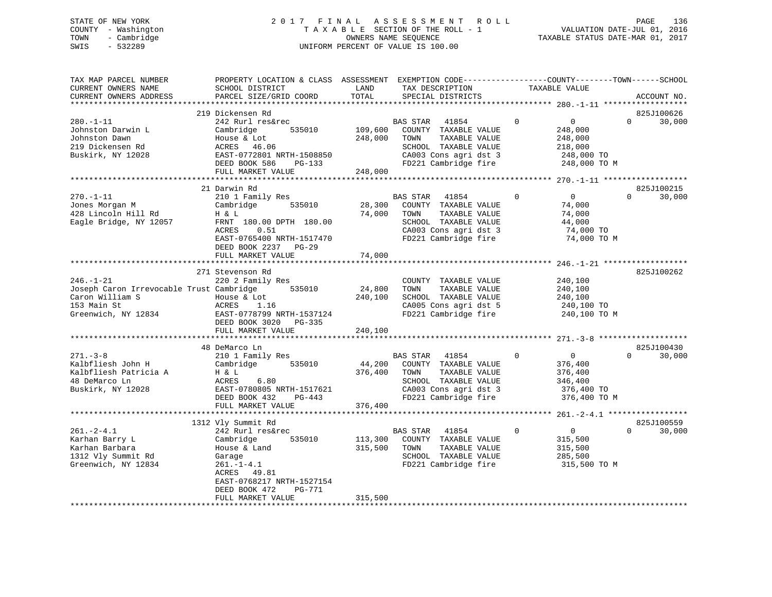# STATE OF NEW YORK 2 0 1 7 F I N A L A S S E S S M E N T R O L L PAGE 136 COUNTY - Washington T A X A B L E SECTION OF THE ROLL - 1 VALUATION DATE-JUL 01, 2016 TOWN - Cambridge OWNERS NAME SEQUENCE TAXABLE STATUS DATE-MAR 01, 2017 SWIS - 532289 UNIFORM PERCENT OF VALUE IS 100.00

| TAX MAP PARCEL NUMBER<br>CURRENT OWNERS NAME<br>CURRENT OWNERS ADDRESS                                               | PROPERTY LOCATION & CLASS ASSESSMENT<br>SCHOOL DISTRICT<br>PARCEL SIZE/GRID COORD                                                                                                                          | LAND<br>TOTAL                 | TAX DESCRIPTION<br>SPECIAL DISTRICTS                                                                                                               | EXEMPTION CODE-----------------COUNTY-------TOWN------SCHOOL<br>TAXABLE VALUE             | ACCOUNT NO.                      |
|----------------------------------------------------------------------------------------------------------------------|------------------------------------------------------------------------------------------------------------------------------------------------------------------------------------------------------------|-------------------------------|----------------------------------------------------------------------------------------------------------------------------------------------------|-------------------------------------------------------------------------------------------|----------------------------------|
| *********************                                                                                                |                                                                                                                                                                                                            |                               |                                                                                                                                                    |                                                                                           |                                  |
| $280. -1 - 11$<br>Johnston Darwin L<br>Johnston Dawn<br>219 Dickensen Rd<br>Buskirk, NY 12028                        | 219 Dickensen Rd<br>242 Rurl res&rec<br>Cambridge<br>535010<br>House & Lot<br>ACRES 46.06<br>EAST-0772801 NRTH-1508850<br>DEED BOOK 586<br>PG-133<br>FULL MARKET VALUE                                     | 109,600<br>248,000<br>248,000 | <b>BAS STAR</b><br>41854<br>COUNTY TAXABLE VALUE<br>TAXABLE VALUE<br>TOWN<br>SCHOOL TAXABLE VALUE<br>CA003 Cons agri dst 3<br>FD221 Cambridge fire | $\Omega$<br>0<br>248,000<br>248,000<br>218,000<br>248,000 TO<br>248,000 TO M              | 825J100626<br>$\Omega$<br>30,000 |
|                                                                                                                      |                                                                                                                                                                                                            |                               |                                                                                                                                                    |                                                                                           |                                  |
| $270. - 1 - 11$<br>Jones Morgan M<br>428 Lincoln Hill Rd<br>Eagle Bridge, NY 12057                                   | 21 Darwin Rd<br>210 1 Family Res<br>535010<br>Cambridge<br>H & L<br>FRNT 180.00 DPTH 180.00<br>ACRES<br>0.51<br>EAST-0765400 NRTH-1517470<br>DEED BOOK 2237 PG-29<br>FULL MARKET VALUE                     | 28,300<br>74,000<br>74,000    | <b>BAS STAR</b><br>41854<br>COUNTY TAXABLE VALUE<br>TOWN<br>TAXABLE VALUE<br>SCHOOL TAXABLE VALUE<br>CA003 Cons agri dst 3<br>FD221 Cambridge fire | $\Omega$<br>$\overline{0}$<br>74,000<br>74,000<br>44,000<br>74,000 TO<br>74,000 TO M      | 825J100215<br>$\Omega$<br>30,000 |
|                                                                                                                      |                                                                                                                                                                                                            |                               |                                                                                                                                                    |                                                                                           |                                  |
| $246. - 1 - 21$<br>Joseph Caron Irrevocable Trust Cambridge<br>Caron William S<br>153 Main St<br>Greenwich, NY 12834 | 271 Stevenson Rd<br>220 2 Family Res<br>535010<br>House & Lot<br>ACRES<br>1.16<br>EAST-0778799 NRTH-1537124<br>DEED BOOK 3020<br>PG-335<br>FULL MARKET VALUE                                               | 24,800<br>240,100<br>240,100  | COUNTY TAXABLE VALUE<br>TOWN<br>TAXABLE VALUE<br>SCHOOL TAXABLE VALUE<br>CA005 Cons agri dst 5<br>FD221 Cambridge fire                             | 240,100<br>240,100<br>240,100<br>240,100 TO<br>240,100 TO M                               | 825J100262                       |
|                                                                                                                      | 48 DeMarco Ln                                                                                                                                                                                              |                               |                                                                                                                                                    |                                                                                           | 825J100430                       |
| $271 - 3 - 8$<br>Kalbfliesh John H<br>Kalbfliesh Patricia A<br>48 DeMarco Ln<br>Buskirk, NY 12028                    | 210 1 Family Res<br>Cambridge<br>535010<br>H & L<br>6.80<br>ACRES<br>EAST-0780805 NRTH-1517621<br>DEED BOOK 432<br>$PG-443$<br>FULL MARKET VALUE                                                           | 44,200<br>376,400<br>376,400  | BAS STAR<br>41854<br>COUNTY TAXABLE VALUE<br>TOWN<br>TAXABLE VALUE<br>SCHOOL TAXABLE VALUE<br>CA003 Cons agri dst 3<br>FD221 Cambridge fire        | $\Omega$<br>$\overline{0}$<br>376,400<br>376,400<br>346,400<br>376,400 TO<br>376,400 TO M | $\Omega$<br>30,000               |
|                                                                                                                      |                                                                                                                                                                                                            |                               |                                                                                                                                                    |                                                                                           |                                  |
| $261 - 2 - 4.1$<br>Karhan Barry L<br>Karhan Barbara<br>1312 Vly Summit Rd<br>Greenwich, NY 12834                     | 1312 Vly Summit Rd<br>242 Rurl res&rec<br>Cambridge<br>535010<br>House & Land<br>Garage<br>$261. - 1 - 4.1$<br>ACRES<br>49.81<br>EAST-0768217 NRTH-1527154<br>PG-771<br>DEED BOOK 472<br>FULL MARKET VALUE | 113,300<br>315,500<br>315,500 | <b>BAS STAR</b><br>41854<br>COUNTY TAXABLE VALUE<br>TOWN<br>TAXABLE VALUE<br>SCHOOL TAXABLE VALUE<br>FD221 Cambridge fire                          | $\Omega$<br>$\mathbf 0$<br>315,500<br>315,500<br>285,500<br>315,500 TO M                  | 825J100559<br>$\Omega$<br>30,000 |
|                                                                                                                      |                                                                                                                                                                                                            |                               |                                                                                                                                                    |                                                                                           |                                  |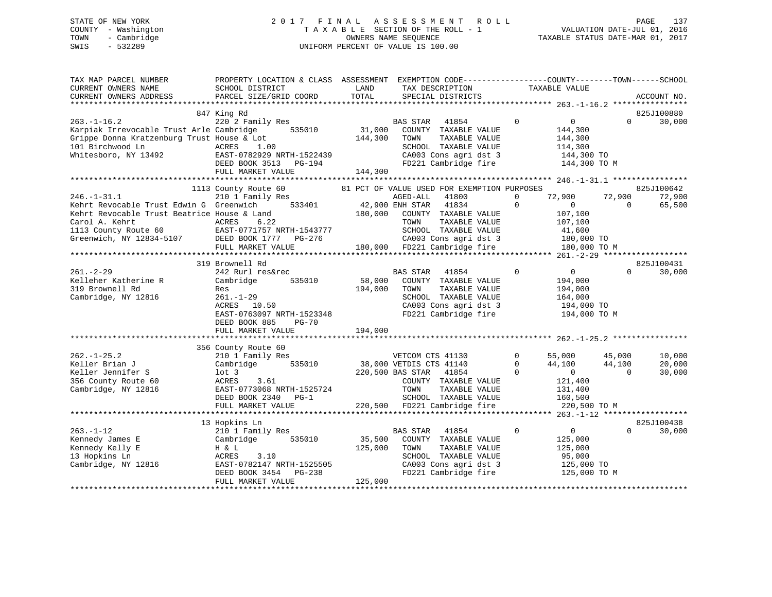# STATE OF NEW YORK 2 0 1 7 F I N A L A S S E S S M E N T R O L L PAGE 137 COUNTY - Washington T A X A B L E SECTION OF THE ROLL - 1 VALUATION DATE-JUL 01, 2016 TOWN - Cambridge OWNERS NAME SEQUENCE TAXABLE STATUS DATE-MAR 01, 2017 SWIS - 532289 UNIFORM PERCENT OF VALUE IS 100.00

| TAX MAP PARCEL NUMBER<br>CURRENT OWNERS NAME<br>CURRENT OWNERS ADDRESS                                                                                                                     | PROPERTY LOCATION & CLASS ASSESSMENT EXEMPTION CODE---------------COUNTY-------TOWN------SCHOOL<br>SCHOOL DISTRICT<br>PARCEL SIZE/GRID COORD                      | LAND<br>TOTAL                | TAX DESCRIPTION<br>SPECIAL DISTRICTS                                                                                                                                                                                           | TAXABLE VALUE                               | ACCOUNT NO.                                                                                                                          |
|--------------------------------------------------------------------------------------------------------------------------------------------------------------------------------------------|-------------------------------------------------------------------------------------------------------------------------------------------------------------------|------------------------------|--------------------------------------------------------------------------------------------------------------------------------------------------------------------------------------------------------------------------------|---------------------------------------------|--------------------------------------------------------------------------------------------------------------------------------------|
|                                                                                                                                                                                            |                                                                                                                                                                   |                              |                                                                                                                                                                                                                                |                                             |                                                                                                                                      |
| $263. - 1 - 16.2$<br>Karpiak Irrevocable Trust Arle Cambridge<br>Grippe Donna Kratzenburg Trust House & Lot<br>101 Birchwood Ln<br>Whitesboro, NY 13492                                    | 847 King Rd<br>220 2 Family Res<br>535010<br>ACRES<br>1.00<br>EAST-0782929 NRTH-1522439<br>DEED BOOK 3513<br>PG-194<br>FULL MARKET VALUE                          | 31,000<br>144,300<br>144,300 | <b>BAS STAR</b><br>41854<br>COUNTY TAXABLE VALUE<br>TOWN<br>TAXABLE VALUE<br>SCHOOL TAXABLE VALUE<br>CA003 Cons agri dst 3<br>FD221 Cambridge fire                                                                             | $\Omega$                                    | 825J100880<br>$\overline{0}$<br>30,000<br>$\Omega$<br>144,300<br>144,300<br>114,300<br>144,300 TO<br>144,300 TO M                    |
|                                                                                                                                                                                            |                                                                                                                                                                   |                              |                                                                                                                                                                                                                                |                                             |                                                                                                                                      |
| $246. - 1 - 31.1$<br>Kehrt Revocable Trust Edwin G Greenwich<br>Kehrt Revocable Trust Beatrice House & Land<br>Carol A. Kehrt<br>$107$<br>1113 County Route 60<br>Greenwich, NY 12834-5107 | 1113 County Route 60<br>210 1 Family Res<br>533401<br>ACRES<br>6.22<br>EAST-0771757 NRTH-1543777<br>DEED BOOK 1777 PG-276<br>FULL MARKET VALUE                    | 180,000                      | 81 PCT OF VALUE USED FOR EXEMPTION PURPOSES<br>AGED-ALL<br>41800<br>42,900 ENH STAR<br>41834<br>COUNTY TAXABLE VALUE<br>TOWN<br>TAXABLE VALUE<br>SCHOOL TAXABLE VALUE<br>CA003 Cons agri dst 3<br>180,000 FD221 Cambridge fire | 72,900<br>$\mathbf 0$<br>$\Omega$           | 825J100642<br>72,900<br>72,900<br>$\overline{0}$<br>$\Omega$<br>65,500<br>107,100<br>107,100<br>41,600<br>180,000 TO<br>180,000 TO M |
|                                                                                                                                                                                            | 319 Brownell Rd                                                                                                                                                   |                              |                                                                                                                                                                                                                                |                                             | 825J100431                                                                                                                           |
| $261. - 2 - 29$<br>Kelleher Katherine R<br>319 Brownell Rd<br>Cambridge, NY 12816                                                                                                          | 242 Rurl res&rec<br>Cambridge<br>535010<br>Res<br>$261. - 1 - 29$<br>ACRES<br>10.50<br>EAST-0763097 NRTH-1523348<br>DEED BOOK 885<br>$PG-70$<br>FULL MARKET VALUE | 58,000<br>194,000<br>194,000 | 41854<br><b>BAS STAR</b><br>COUNTY TAXABLE VALUE<br>TOWN<br>TAXABLE VALUE<br>SCHOOL TAXABLE VALUE<br>CA003 Cons agri dst 3<br>FD221 Cambridge fire                                                                             | $\Omega$                                    | 30,000<br>$\mathbf{0}$<br>$\Omega$<br>194,000<br>194,000<br>164,000<br>194,000 TO<br>194,000 TO M                                    |
|                                                                                                                                                                                            |                                                                                                                                                                   |                              |                                                                                                                                                                                                                                |                                             |                                                                                                                                      |
| $262. - 1 - 25.2$                                                                                                                                                                          | 356 County Route 60                                                                                                                                               |                              |                                                                                                                                                                                                                                | $\Omega$                                    | 45,000<br>10,000                                                                                                                     |
| Keller Brian J<br>Keller Jennifer S<br>356 County Route 60<br>Cambridge, NY 12816                                                                                                          | 210 1 Family Res<br>Cambridge<br>535010<br>$1$ ot 3<br>ACRES<br>3.61<br>EAST-0773068 NRTH-1525724<br>DEED BOOK 2340<br>$PG-1$<br>FULL MARKET VALUE                | 220,500                      | VETCOM CTS 41130<br>38,000 VETDIS CTS 41140<br>220,500 BAS STAR<br>41854<br>COUNTY TAXABLE VALUE<br>TOWN<br>TAXABLE VALUE<br>SCHOOL TAXABLE VALUE<br>FD221 Cambridge fire                                                      | 55,000<br>44,100<br>$\mathbf 0$<br>$\Omega$ | 44,100<br>20,000<br>$\overline{0}$<br>$\Omega$<br>30,000<br>121,400<br>131,400<br>160,500<br>220,500 TO M                            |
|                                                                                                                                                                                            |                                                                                                                                                                   |                              |                                                                                                                                                                                                                                |                                             |                                                                                                                                      |
| $263. -1 - 12$<br>Kennedy James E<br>Kennedy Kelly E<br>13 Hopkins Ln                                                                                                                      | 13 Hopkins Ln<br>210 1 Family Res<br>Cambridge<br>535010<br>H & L<br>ACRES<br>3.10                                                                                | 35,500<br>125,000            | <b>BAS STAR</b><br>41854<br>COUNTY TAXABLE VALUE<br>TOWN<br>TAXABLE VALUE<br>SCHOOL TAXABLE VALUE                                                                                                                              | $\mathbf 0$                                 | 825J100438<br>$\overline{0}$<br>$\Omega$<br>30,000<br>125,000<br>125,000<br>95,000                                                   |
| Cambridge, NY 12816                                                                                                                                                                        | EAST-0782147 NRTH-1525505<br>DEED BOOK 3454<br>PG-238<br>FULL MARKET VALUE                                                                                        | 125,000                      | CA003 Cons agri dst 3<br>FD221 Cambridge fire                                                                                                                                                                                  |                                             | 125,000 TO<br>125,000 TO M                                                                                                           |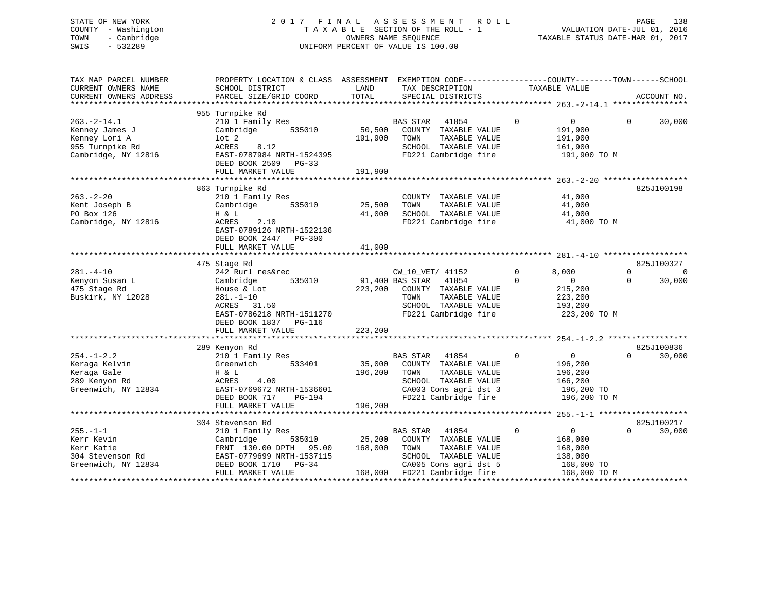# STATE OF NEW YORK 2 0 1 7 F I N A L A S S E S S M E N T R O L L PAGE 138 COUNTY - Washington T A X A B L E SECTION OF THE ROLL - 1 VALUATION DATE-JUL 01, 2016 TOWN - Cambridge OWNERS NAME SEQUENCE TAXABLE STATUS DATE-MAR 01, 2017 SWIS - 532289 UNIFORM PERCENT OF VALUE IS 100.00

| TAX MAP PARCEL NUMBER<br>CURRENT OWNERS NAME<br>CURRENT OWNERS ADDRESS                         | PROPERTY LOCATION & CLASS ASSESSMENT EXEMPTION CODE---------------COUNTY-------TOWN-----SCHOOL<br>SCHOOL DISTRICT<br>PARCEL SIZE/GRID COORD                           | LAND<br>TOTAL                | TAX DESCRIPTION<br>SPECIAL DISTRICTS                                                                                                                       | TAXABLE VALUE                                                                                       |                      | ACCOUNT NO.           |
|------------------------------------------------------------------------------------------------|-----------------------------------------------------------------------------------------------------------------------------------------------------------------------|------------------------------|------------------------------------------------------------------------------------------------------------------------------------------------------------|-----------------------------------------------------------------------------------------------------|----------------------|-----------------------|
|                                                                                                |                                                                                                                                                                       |                              |                                                                                                                                                            |                                                                                                     |                      |                       |
| $263. - 2 - 14.1$<br>Kenney James J<br>Kenney Lori A<br>955 Turnpike Rd<br>Cambridge, NY 12816 | 955 Turnpike Rd<br>210 1 Family Res<br>Cambridge<br>535010<br>$1$ ot $2$<br>ACRES<br>8.12<br>EAST-0787984 NRTH-1524395<br>DEED BOOK 2509 PG-33<br>FULL MARKET VALUE   | 50,500<br>191,900<br>191,900 | <b>BAS STAR</b><br>41854<br>COUNTY TAXABLE VALUE<br>TOWN<br>TAXABLE VALUE<br>SCHOOL TAXABLE VALUE<br>FD221 Cambridge fire                                  | $\mathbf 0$<br>0<br>191,900<br>191,900<br>161,900<br>191,900 TO M                                   | $\Omega$             | 30,000                |
|                                                                                                |                                                                                                                                                                       |                              |                                                                                                                                                            |                                                                                                     |                      |                       |
| $263 - 2 - 20$<br>Kent Joseph B<br>PO Box 126<br>Cambridge, NY 12816                           | 863 Turnpike Rd<br>210 1 Family Res<br>535010<br>Cambridge<br>H & L<br>ACRES<br>2.10<br>EAST-0789126 NRTH-1522136<br>DEED BOOK 2447 PG-300                            | 25,500<br>41,000             | COUNTY TAXABLE VALUE<br>TOWN<br>TAXABLE VALUE<br>SCHOOL TAXABLE VALUE<br>FD221 Cambridge fire                                                              | 41,000<br>41,000<br>41,000<br>41,000 TO M                                                           |                      | 825J100198            |
|                                                                                                | FULL MARKET VALUE                                                                                                                                                     | 41,000                       |                                                                                                                                                            |                                                                                                     |                      |                       |
|                                                                                                | 475 Stage Rd                                                                                                                                                          |                              |                                                                                                                                                            |                                                                                                     |                      | 825J100327            |
| $281. - 4 - 10$<br>Kenyon Susan L<br>475 Stage Rd<br>Buskirk, NY 12028                         | 242 Rurl res&rec<br>535010<br>Cambridge<br>House & Lot<br>$281. - 1 - 10$<br>ACRES 31.50<br>EAST-0786218 NRTH-1511270<br>DEED BOOK 1837 PG-116<br>FULL MARKET VALUE   | 223,200<br>223,200           | CW 10 VET/ 41152<br>91,400 BAS STAR<br>41854<br>COUNTY TAXABLE VALUE<br>TAXABLE VALUE<br>TOWN<br>SCHOOL TAXABLE VALUE<br>FD221 Cambridge fire              | $\mathbf 0$<br>8,000<br>$\Omega$<br>$\overline{0}$<br>215,200<br>223,200<br>193,200<br>223,200 TO M | $\Omega$<br>$\Omega$ | $\mathbf 0$<br>30,000 |
|                                                                                                |                                                                                                                                                                       |                              |                                                                                                                                                            |                                                                                                     |                      |                       |
| $254. - 1 - 2.2$<br>Keraga Kelvin<br>Keraga Gale<br>289 Kenyon Rd<br>Greenwich, NY 12834       | 289 Kenyon Rd<br>210 1 Family Res<br>533401<br>Greenwich<br>H & L<br>ACRES<br>4.00<br>EAST-0769672 NRTH-1536601<br>DEED BOOK 717<br>PG-194<br>FULL MARKET VALUE       | 35,000<br>196,200<br>196,200 | BAS STAR 41854<br>COUNTY TAXABLE VALUE<br>TOWN<br>TAXABLE VALUE<br>SCHOOL TAXABLE VALUE<br>CA003 Cons agri dst 3<br>FD221 Cambridge fire                   | $\mathbf 0$<br>$\overline{0}$<br>196,200<br>196,200<br>166,200<br>196,200 TO<br>196,200 TO M        | $\Omega$             | 825J100836<br>30,000  |
|                                                                                                |                                                                                                                                                                       |                              |                                                                                                                                                            |                                                                                                     |                      |                       |
| $255. -1 - 1$<br>Kerr Kevin<br>Kerr Katie<br>304 Stevenson Rd<br>Greenwich, NY 12834           | 304 Stevenson Rd<br>210 1 Family Res<br>535010<br>Cambridge<br>FRNT 130.00 DPTH<br>95.00<br>EAST-0779699 NRTH-1537115<br>DEED BOOK 1710<br>PG-34<br>FULL MARKET VALUE | 25,200<br>168,000            | <b>BAS STAR</b><br>41854<br>COUNTY TAXABLE VALUE<br>TAXABLE VALUE<br>TOWN<br>SCHOOL TAXABLE VALUE<br>CA005 Cons agri dst 5<br>168,000 FD221 Cambridge fire | $\Omega$<br>$\mathbf{0}$<br>168,000<br>168,000<br>138,000<br>168,000 TO<br>168,000 TO M             | $\Omega$             | 825J100217<br>30,000  |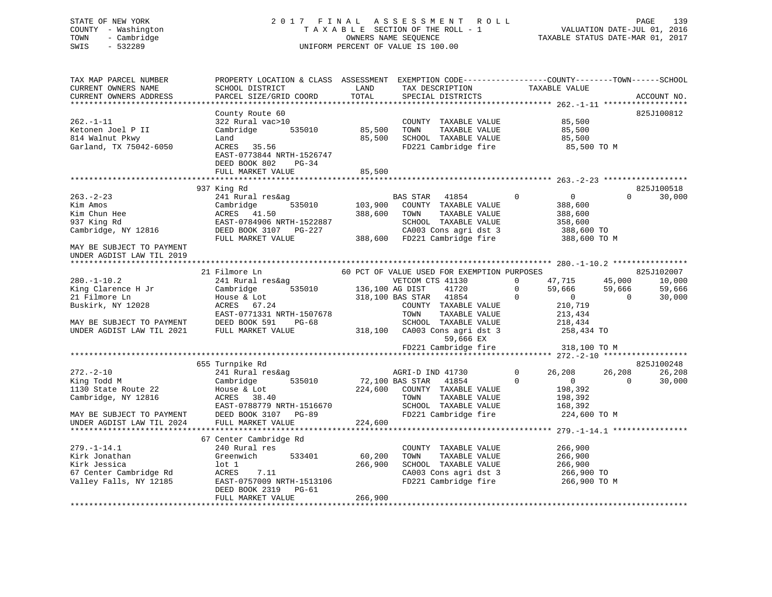# STATE OF NEW YORK 2 0 1 7 F I N A L A S S E S S M E N T R O L L PAGE 139 COUNTY - Washington T A X A B L E SECTION OF THE ROLL - 1 VALUATION DATE-JUL 01, 2016 TOWN - Cambridge OWNERS NAME SEQUENCE TAXABLE STATUS DATE-MAR 01, 2017 SWIS - 532289 UNIFORM PERCENT OF VALUE IS 100.00

| TAX MAP PARCEL NUMBER<br>CURRENT OWNERS NAME<br>CURRENT OWNERS ADDRESS            | PROPERTY LOCATION & CLASS ASSESSMENT<br>SCHOOL DISTRICT<br>PARCEL SIZE/GRID COORD                            | LAND<br>TOTAL      | EXEMPTION CODE-----------------COUNTY-------TOWN------SCHOOL<br>TAX DESCRIPTION<br>SPECIAL DISTRICTS                       | TAXABLE VALUE                                                           | ACCOUNT NO.        |
|-----------------------------------------------------------------------------------|--------------------------------------------------------------------------------------------------------------|--------------------|----------------------------------------------------------------------------------------------------------------------------|-------------------------------------------------------------------------|--------------------|
| $262. -1 - 11$<br>Ketonen Joel P II<br>814 Walnut Pkwy<br>Garland, TX 75042-6050  | County Route 60<br>322 Rural vac>10<br>Cambridge<br>535010<br>Land<br>ACRES 35.56                            | 85,500<br>85,500   | COUNTY TAXABLE VALUE<br>TOWN<br>TAXABLE VALUE<br>SCHOOL TAXABLE VALUE<br>FD221 Cambridge fire                              | 85,500<br>85,500<br>85,500<br>85,500 TO M                               | 825J100812         |
|                                                                                   | EAST-0773844 NRTH-1526747<br>DEED BOOK 802<br>$PG-34$<br>FULL MARKET VALUE                                   | 85,500             |                                                                                                                            |                                                                         |                    |
|                                                                                   |                                                                                                              |                    |                                                                                                                            |                                                                         |                    |
|                                                                                   | 937 King Rd                                                                                                  |                    |                                                                                                                            |                                                                         | 825J100518         |
| $263. - 2 - 23$<br>Kim Amos<br>Kim Chun Hee<br>937 King Rd<br>Cambridge, NY 12816 | 241 Rural res&ag<br>Cambridge<br>535010<br>ACRES 41.50<br>EAST-0784906 NRTH-1522887<br>DEED BOOK 3107 PG-227 | 103,900<br>388,600 | <b>BAS STAR</b><br>41854<br>COUNTY TAXABLE VALUE<br>TOWN<br>TAXABLE VALUE<br>SCHOOL TAXABLE VALUE<br>CA003 Cons agri dst 3 | $\Omega$<br>$\mathbf{0}$<br>388,600<br>388,600<br>358,600<br>388,600 TO | $\Omega$<br>30,000 |
| MAY BE SUBJECT TO PAYMENT<br>UNDER AGDIST LAW TIL 2019                            | FULL MARKET VALUE                                                                                            | 388,600            | FD221 Cambridge fire                                                                                                       | 388,600 TO M                                                            |                    |
|                                                                                   |                                                                                                              |                    |                                                                                                                            |                                                                         |                    |
|                                                                                   | 21 Filmore Ln                                                                                                |                    | 60 PCT OF VALUE USED FOR EXEMPTION PURPOSES                                                                                |                                                                         | 825J102007         |
| $280. - 1 - 10.2$                                                                 | 241 Rural res&ag                                                                                             |                    | VETCOM CTS 41130                                                                                                           | 0<br>47,715                                                             | 45,000<br>10,000   |
| King Clarence H Jr                                                                | 535010<br>Cambridge                                                                                          | 136,100 AG DIST    | 41720                                                                                                                      | 0<br>59,666                                                             | 59,666<br>59,666   |
| 21 Filmore Ln                                                                     | House & Lot                                                                                                  |                    | 318,100 BAS STAR<br>41854                                                                                                  | $\Omega$<br>$\mathbf{0}$                                                | $\Omega$<br>30,000 |
| Buskirk, NY 12028                                                                 | ACRES 67.24                                                                                                  |                    | COUNTY TAXABLE VALUE                                                                                                       | 210,719                                                                 |                    |
|                                                                                   | EAST-0771331 NRTH-1507678                                                                                    |                    | TOWN<br>TAXABLE VALUE                                                                                                      | 213,434                                                                 |                    |
| MAY BE SUBJECT TO PAYMENT                                                         | DEED BOOK 591<br>$PG-68$                                                                                     |                    | SCHOOL TAXABLE VALUE                                                                                                       | 218,434                                                                 |                    |
| UNDER AGDIST LAW TIL 2021                                                         | FULL MARKET VALUE                                                                                            | 318,100            | CA003 Cons agri dst 3<br>59,666 EX                                                                                         | 258,434 TO                                                              |                    |
|                                                                                   |                                                                                                              |                    | FD221 Cambridge fire                                                                                                       | 318,100 TO M<br>**************** 272.-2-10 ******************           |                    |
|                                                                                   | 655 Turnpike Rd                                                                                              |                    |                                                                                                                            |                                                                         | 825J100248         |
| $272 - 2 - 10$                                                                    | 241 Rural res&ag                                                                                             |                    | AGRI-D IND 41730                                                                                                           | $\Omega$<br>26,208                                                      | 26,208<br>26,208   |
| King Todd M<br>1130 State Route 22<br>Cambridge, NY 12816                         | 535010<br>Cambridge<br>House & Lot<br>ACRES<br>38.40<br>EAST-0788779 NRTH-1516670                            | 224,600            | 72,100 BAS STAR<br>41854<br>COUNTY TAXABLE VALUE<br>TOWN<br>TAXABLE VALUE<br>SCHOOL TAXABLE VALUE                          | $\Omega$<br>$\circ$<br>198,392<br>198,392<br>168,392                    | $\Omega$<br>30,000 |
| MAY BE SUBJECT TO PAYMENT                                                         | DEED BOOK 3107 PG-89                                                                                         |                    | FD221 Cambridge fire                                                                                                       | 224,600 TO M                                                            |                    |
| UNDER AGDIST LAW TIL 2024                                                         | FULL MARKET VALUE                                                                                            | 224,600            |                                                                                                                            |                                                                         |                    |
|                                                                                   |                                                                                                              |                    |                                                                                                                            |                                                                         |                    |
|                                                                                   | 67 Center Cambridge Rd                                                                                       |                    |                                                                                                                            |                                                                         |                    |
| $279. - 1 - 14.1$                                                                 | 240 Rural res                                                                                                |                    | COUNTY TAXABLE VALUE                                                                                                       | 266,900                                                                 |                    |
| Kirk Jonathan                                                                     | Greenwich<br>533401                                                                                          | 60,200             | TAXABLE VALUE<br>TOWN                                                                                                      | 266,900                                                                 |                    |
| Kirk Jessica                                                                      | lot 1                                                                                                        | 266,900            | SCHOOL TAXABLE VALUE                                                                                                       | 266,900                                                                 |                    |
| 67 Center Cambridge Rd                                                            | ACRES<br>7.11                                                                                                |                    | CA003 Cons agri dst 3                                                                                                      | 266,900 TO                                                              |                    |
| Valley Falls, NY 12185                                                            | EAST-0757009 NRTH-1513106<br>DEED BOOK 2319<br>PG-61                                                         |                    | FD221 Cambridge fire                                                                                                       | 266,900 TO M                                                            |                    |
|                                                                                   | FULL MARKET VALUE                                                                                            | 266,900            |                                                                                                                            |                                                                         |                    |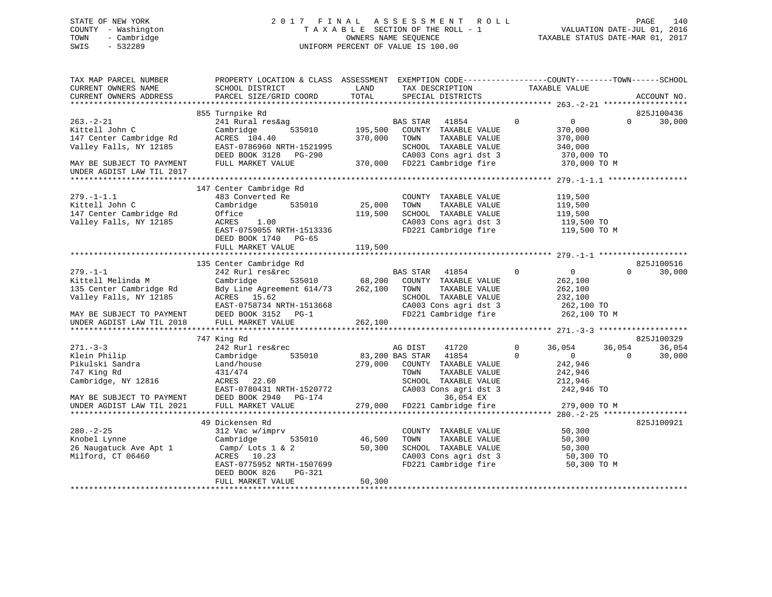# STATE OF NEW YORK 2 0 1 7 F I N A L A S S E S S M E N T R O L L PAGE 140 COUNTY - Washington T A X A B L E SECTION OF THE ROLL - 1 VALUATION DATE-JUL 01, 2016 TOWN - Cambridge OWNERS NAME SEQUENCE TAXABLE STATUS DATE-MAR 01, 2017 SWIS - 532289 UNIFORM PERCENT OF VALUE IS 100.00

| TAX MAP PARCEL NUMBER<br>CURRENT OWNERS NAME<br>CURRENT OWNERS ADDRESS                                                                             | PROPERTY LOCATION & CLASS ASSESSMENT<br>SCHOOL DISTRICT<br>PARCEL SIZE/GRID COORD                                                                            | LAND<br>TOTAL                | EXEMPTION CODE-----------------COUNTY-------TOWN------SCHOOL<br>TAX DESCRIPTION<br>SPECIAL DISTRICTS                                             | TAXABLE VALUE                                                                                      | ACCOUNT NO.                                          |
|----------------------------------------------------------------------------------------------------------------------------------------------------|--------------------------------------------------------------------------------------------------------------------------------------------------------------|------------------------------|--------------------------------------------------------------------------------------------------------------------------------------------------|----------------------------------------------------------------------------------------------------|------------------------------------------------------|
|                                                                                                                                                    |                                                                                                                                                              |                              |                                                                                                                                                  |                                                                                                    |                                                      |
|                                                                                                                                                    | 855 Turnpike Rd                                                                                                                                              |                              |                                                                                                                                                  |                                                                                                    | 825J100436                                           |
| $263 - 2 - 21$<br>Kittell John C<br>147 Center Cambridge Rd<br>Valley Falls, NY 12185<br>MAY BE SUBJECT TO PAYMENT                                 | 241 Rural res&ag<br>535010<br>Cambridge<br>ACRES 104.40<br>EAST-0786960 NRTH-1521995<br>DEED BOOK 3128<br>PG-290<br>FULL MARKET VALUE                        | 195,500<br>370,000           | BAS STAR 41854<br>COUNTY TAXABLE VALUE<br>TOWN<br>TAXABLE VALUE<br>SCHOOL TAXABLE VALUE<br>CA003 Cons agri dst 3<br>370,000 FD221 Cambridge fire | $\mathbf{0}$<br>$\overline{0}$<br>370,000<br>370,000<br>340,000<br>370,000 TO<br>370,000 TO M      | $\Omega$<br>30,000                                   |
| UNDER AGDIST LAW TIL 2017                                                                                                                          |                                                                                                                                                              |                              |                                                                                                                                                  |                                                                                                    |                                                      |
| $279. - 1 - 1.1$<br>Kittell John C<br>147 Center Cambridge Rd<br>Valley Falls, NY 12185                                                            | 147 Center Cambridge Rd<br>483 Converted Re<br>Cambridge<br>535010<br>Office<br>ACRES<br>1.00<br>EAST-0759055 NRTH-1513336<br>DEED BOOK 1740 PG-65           | 25,000<br>119,500            | COUNTY TAXABLE VALUE<br>TOWN<br>TAXABLE VALUE<br>SCHOOL TAXABLE VALUE<br>CA003 Cons agri dst 3<br>FD221 Cambridge fire                           | 119,500<br>119,500<br>119,500<br>119,500 TO<br>119,500 TO M                                        |                                                      |
|                                                                                                                                                    | FULL MARKET VALUE                                                                                                                                            | 119,500                      |                                                                                                                                                  |                                                                                                    |                                                      |
|                                                                                                                                                    | 135 Center Cambridge Rd                                                                                                                                      |                              |                                                                                                                                                  |                                                                                                    | 825J100516                                           |
| $279. - 1 - 1$<br>Kittell Melinda M<br>135 Center Cambridge Rd<br>Valley Falls, NY 12185<br>MAY BE SUBJECT TO PAYMENT<br>UNDER AGDIST LAW TIL 2018 | 242 Rurl res&rec<br>Cambridge<br>535010<br>Bdy Line Agreement 614/73<br>ACRES 15.62<br>EAST-0758734 NRTH-1513668<br>DEED BOOK 3152 PG-1<br>FULL MARKET VALUE | 68,200<br>262,100<br>262,100 | 41854<br>BAS STAR<br>COUNTY TAXABLE VALUE<br>TAXABLE VALUE<br>TOWN<br>SCHOOL TAXABLE VALUE<br>CA003 Cons agri dst 3<br>FD221 Cambridge fire      | $\Omega$<br>$\overline{0}$<br>262,100<br>262,100<br>232,100<br>262,100 TO<br>262,100 TO M          | 30,000<br>$\Omega$                                   |
|                                                                                                                                                    |                                                                                                                                                              |                              |                                                                                                                                                  |                                                                                                    |                                                      |
| $271 - 3 - 3$<br>Klein Philip<br>Pikulski Sandra<br>747 King Rd<br>Cambridge, NY 12816                                                             | 747 King Rd<br>242 Rurl res&rec<br>535010<br>Cambridge<br>Land/house<br>431/474<br>ACRES 22.60<br>EAST-0780431 NRTH-1520772                                  | 279,000                      | 41720<br>AG DIST<br>41854<br>83,200 BAS STAR<br>COUNTY TAXABLE VALUE<br>TOWN<br>TAXABLE VALUE<br>SCHOOL TAXABLE VALUE<br>CA003 Cons agri dst 3   | 36,054<br>$\mathbf 0$<br>$\Omega$<br>$\overline{0}$<br>242,946<br>242,946<br>212,946<br>242,946 TO | 825J100329<br>36,054<br>36,054<br>30,000<br>$\Omega$ |
| MAY BE SUBJECT TO PAYMENT<br>UNDER AGDIST LAW TIL 2021                                                                                             | DEED BOOK 2940<br>PG-174<br>FULL MARKET VALUE                                                                                                                | 279,000                      | 36,054 EX<br>FD221 Cambridge fire                                                                                                                | 279,000 TO M                                                                                       |                                                      |
|                                                                                                                                                    |                                                                                                                                                              |                              |                                                                                                                                                  |                                                                                                    |                                                      |
| $280. - 2 - 25$<br>Knobel Lynne<br>26 Naugatuck Ave Apt 1<br>Milford, CT 06460                                                                     | 49 Dickensen Rd<br>312 Vac w/imprv<br>535010<br>Cambridge<br>Camp/ Lots 1 & 2<br>ACRES<br>10.23<br>EAST-0775952 NRTH-1507699<br>DEED BOOK 826<br>PG-321      | 46,500<br>50,300             | COUNTY TAXABLE VALUE<br>TOWN<br>TAXABLE VALUE<br>SCHOOL TAXABLE VALUE<br>CA003 Cons agri dst 3<br>FD221 Cambridge fire                           | 50,300<br>50,300<br>50,300<br>50,300 TO<br>50,300 TO M                                             | 825J100921                                           |
|                                                                                                                                                    | FULL MARKET VALUE                                                                                                                                            | 50,300                       |                                                                                                                                                  |                                                                                                    |                                                      |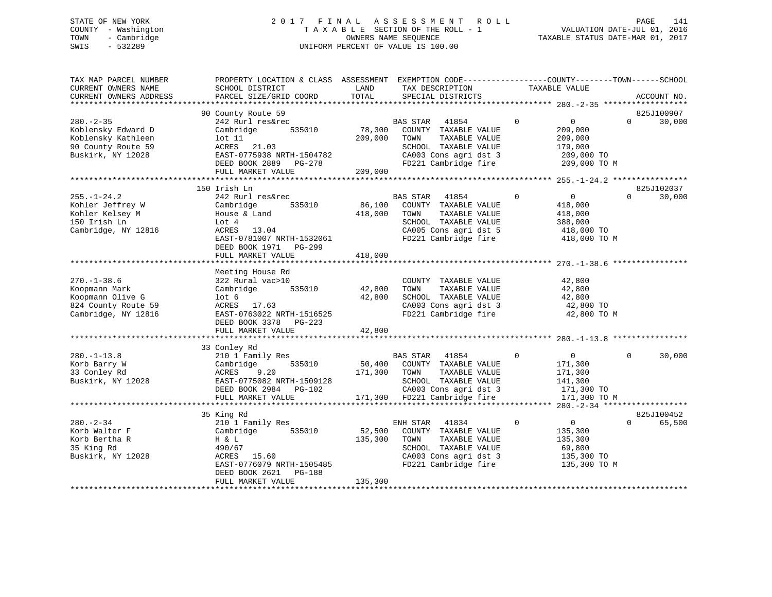# STATE OF NEW YORK 2 0 1 7 F I N A L A S S E S S M E N T R O L L PAGE 141 COUNTY - Washington T A X A B L E SECTION OF THE ROLL - 1 VALUATION DATE-JUL 01, 2016 TOWN - Cambridge OWNERS NAME SEQUENCE TAXABLE STATUS DATE-MAR 01, 2017 SWIS - 532289 UNIFORM PERCENT OF VALUE IS 100.00

| TAX MAP PARCEL NUMBER<br>CURRENT OWNERS NAME<br>CURRENT OWNERS ADDRESS                                | PROPERTY LOCATION & CLASS ASSESSMENT<br>SCHOOL DISTRICT<br>PARCEL SIZE/GRID COORD                                                                                               | LAND<br>TOTAL                | EXEMPTION CODE-----------------COUNTY-------TOWN------SCHOOL<br>TAX DESCRIPTION<br>SPECIAL DISTRICTS                                        |             | TAXABLE VALUE                                                                 |          | ACCOUNT NO.          |
|-------------------------------------------------------------------------------------------------------|---------------------------------------------------------------------------------------------------------------------------------------------------------------------------------|------------------------------|---------------------------------------------------------------------------------------------------------------------------------------------|-------------|-------------------------------------------------------------------------------|----------|----------------------|
| ***************************                                                                           |                                                                                                                                                                                 |                              |                                                                                                                                             |             |                                                                               |          |                      |
| $280 - 2 - 35$<br>Koblensky Edward D<br>Koblensky Kathleen<br>90 County Route 59<br>Buskirk, NY 12028 | 90 County Route 59<br>242 Rurl res&rec<br>535010<br>Cambridge<br>lot 11<br>ACRES<br>21.03<br>EAST-0775938 NRTH-1504782<br>DEED BOOK 2889 PG-278<br>FULL MARKET VALUE            | 78,300<br>209,000<br>209,000 | 41854<br>BAS STAR<br>COUNTY TAXABLE VALUE<br>TOWN<br>TAXABLE VALUE<br>SCHOOL TAXABLE VALUE<br>CA003 Cons agri dst 3<br>FD221 Cambridge fire | $\mathbf 0$ | $\overline{0}$<br>209,000<br>209,000<br>179,000<br>209,000 TO<br>209,000 TO M | $\Omega$ | 825J100907<br>30,000 |
|                                                                                                       |                                                                                                                                                                                 |                              |                                                                                                                                             |             |                                                                               |          |                      |
| $255. - 1 - 24.2$<br>Kohler Jeffrey W<br>Kohler Kelsey M<br>150 Irish Ln<br>Cambridge, NY 12816       | 150 Irish Ln<br>242 Rurl res&rec<br>535010<br>Cambridge<br>House & Land<br>Lot 4<br>ACRES 13.04<br>EAST-0781007 NRTH-1532061<br>DEED BOOK 1971<br>PG-299<br>FULL MARKET VALUE   | 86,100<br>418,000<br>418,000 | BAS STAR<br>41854<br>COUNTY TAXABLE VALUE<br>TOWN<br>TAXABLE VALUE<br>SCHOOL TAXABLE VALUE<br>CA005 Cons agri dst 5<br>FD221 Cambridge fire | $\mathbf 0$ | $\overline{0}$<br>418,000<br>418,000<br>388,000<br>418,000 TO<br>418,000 TO M | $\Omega$ | 825J102037<br>30,000 |
|                                                                                                       |                                                                                                                                                                                 |                              |                                                                                                                                             |             |                                                                               |          |                      |
| $270. - 1 - 38.6$<br>Koopmann Mark<br>Koopmann Olive G<br>824 County Route 59<br>Cambridge, NY 12816  | Meeting House Rd<br>322 Rural vac>10<br>535010<br>Cambridge<br>lot <sub>6</sub><br>17.63<br>ACRES<br>EAST-0763022 NRTH-1516525<br>DEED BOOK 3378<br>PG-223<br>FULL MARKET VALUE | 42,800<br>42,800<br>42,800   | COUNTY TAXABLE VALUE<br>TAXABLE VALUE<br>TOWN<br>SCHOOL TAXABLE VALUE<br>CA003 Cons agri dst 3<br>FD221 Cambridge fire                      |             | 42,800<br>42,800<br>42,800<br>42,800 TO<br>42,800 TO M                        |          |                      |
|                                                                                                       |                                                                                                                                                                                 |                              |                                                                                                                                             |             |                                                                               |          |                      |
| $280. -1 - 13.8$<br>Korb Barry W<br>33 Conley Rd<br>Buskirk, NY 12028                                 | 33 Conley Rd<br>210 1 Family Res<br>535010<br>Cambridge<br>9.20<br>ACRES<br>EAST-0775082 NRTH-1509128<br>DEED BOOK 2984 PG-102                                                  | 50,400<br>171,300            | <b>BAS STAR</b><br>41854<br>COUNTY TAXABLE VALUE<br>TAXABLE VALUE<br>TOWN<br>SCHOOL TAXABLE VALUE<br>CA003 Cons agri dst 3                  | $\mathbf 0$ | $\overline{0}$<br>171,300<br>171,300<br>141,300<br>171,300 TO                 | $\Omega$ | 30,000               |
|                                                                                                       | FULL MARKET VALUE                                                                                                                                                               | 171,300                      | FD221 Cambridge fire                                                                                                                        |             | 171,300 TO M                                                                  |          |                      |
| $280. - 2 - 34$                                                                                       | 35 King Rd<br>210 1 Family Res                                                                                                                                                  |                              | 41834<br>ENH STAR                                                                                                                           | $\Omega$    | $\overline{0}$                                                                | $\Omega$ | 825J100452<br>65,500 |
| Korb Walter F<br>Korb Bertha R<br>35 King Rd<br>Buskirk, NY 12028                                     | 535010<br>Cambridge<br>H & L<br>490/67<br>15.60<br>ACRES<br>EAST-0776079 NRTH-1505485<br>DEED BOOK 2621<br>PG-188<br>FULL MARKET VALUE                                          | 52,500<br>135,300<br>135,300 | COUNTY TAXABLE VALUE<br>TAXABLE VALUE<br>TOWN<br>SCHOOL TAXABLE VALUE<br>CA003 Cons agri dst 3<br>FD221 Cambridge fire                      |             | 135,300<br>135,300<br>69,800<br>135,300 TO<br>135,300 TO M                    |          |                      |
|                                                                                                       |                                                                                                                                                                                 |                              |                                                                                                                                             |             |                                                                               |          |                      |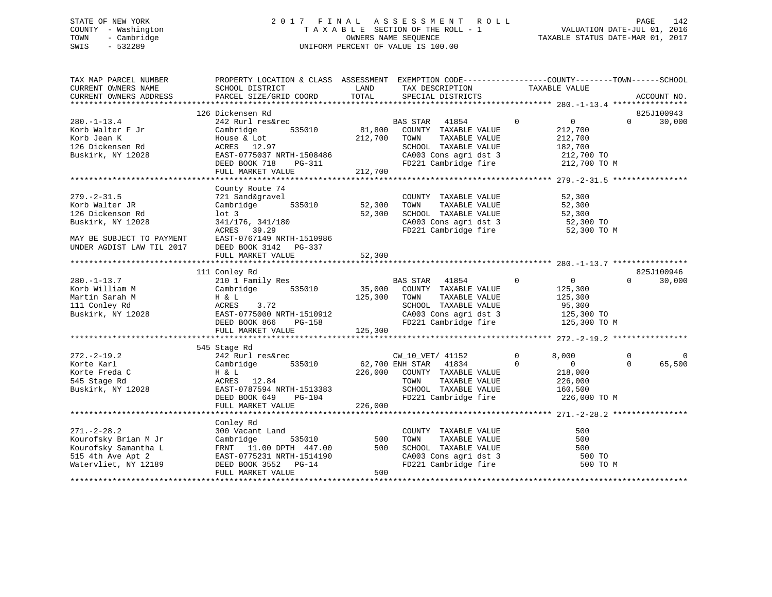# STATE OF NEW YORK 2 0 1 7 F I N A L A S S E S S M E N T R O L L PAGE 142 COUNTY - Washington T A X A B L E SECTION OF THE ROLL - 1 VALUATION DATE-JUL 01, 2016 TOWN - Cambridge OWNERS NAME SEQUENCE TAXABLE STATUS DATE-MAR 01, 2017 SWIS - 532289 UNIFORM PERCENT OF VALUE IS 100.00

| TAX MAP PARCEL NUMBER<br>CURRENT OWNERS NAME<br>CURRENT OWNERS ADDRESS | PROPERTY LOCATION & CLASS ASSESSMENT EXEMPTION CODE----------------COUNTY-------TOWN-----SCHOOL<br>SCHOOL DISTRICT<br>PARCEL SIZE/GRID COORD | LAND<br>TOTAL          | TAX DESCRIPTION<br>SPECIAL DISTRICTS                                       | TAXABLE VALUE                    | ACCOUNT NO.          |
|------------------------------------------------------------------------|----------------------------------------------------------------------------------------------------------------------------------------------|------------------------|----------------------------------------------------------------------------|----------------------------------|----------------------|
|                                                                        |                                                                                                                                              |                        |                                                                            |                                  |                      |
|                                                                        | 126 Dickensen Rd<br>Dickensen ka<br>242 Rurl res&rec                                                                                         |                        |                                                                            |                                  | 825J100943           |
| $280. - 1 - 13.4$                                                      |                                                                                                                                              |                        | BAS STAR 41854 0                                                           | $\overline{0}$                   | $\Omega$<br>30,000   |
| Korb Walter F Jr                                                       | Cambridge                                                                                                                                    |                        | 535010 81,800 COUNTY TAXABLE VALUE                                         | 212,700                          |                      |
| Korb Jean K                                                            | House & Lot                                                                                                                                  | 212,700 TOWN           | TAXABLE VALUE                                                              | 212,700                          |                      |
| 126 Dickensen Rd                                                       | ACRES 12.97                                                                                                                                  |                        | SCHOOL TAXABLE VALUE                                                       | 182,700                          |                      |
| Buskirk, NY 12028                                                      | EAST-0775037 NRTH-1508486                                                                                                                    |                        | CA003 Cons agri dst 3 212,700 TO<br>FD221 Cambridge fire 212,700 TO M      |                                  |                      |
|                                                                        | DEED BOOK 718                                                                                                                                | $PG-311$               |                                                                            |                                  |                      |
|                                                                        | FULL MARKET VALUE                                                                                                                            | 212,700                |                                                                            |                                  |                      |
|                                                                        |                                                                                                                                              |                        |                                                                            |                                  |                      |
|                                                                        | County Route 74                                                                                                                              |                        |                                                                            |                                  |                      |
| $279. - 2 - 31.5$                                                      | 721 Sand&gravel                                                                                                                              |                        | COUNTY TAXABLE VALUE                                                       | 52,300                           |                      |
| Korb Walter JR                                                         | 535010 52,300<br>Cambridge                                                                                                                   |                        | TOWN<br>TAXABLE VALUE<br>TOWN      TAXABLE VALUE<br>SCHOOL   TAXABLE VALUE | 52,300                           |                      |
| 126 Dickenson Rd                                                       | lot <sub>3</sub>                                                                                                                             | 52,300                 |                                                                            | 52,300                           |                      |
| Buskirk, NY 12028                                                      | 341/176, 341/180                                                                                                                             |                        | CA003 Cons agri dst 3 52,300 TO<br>FD221 Cambridge fire 52,300 TO          |                                  |                      |
|                                                                        | ACRES 39.29                                                                                                                                  |                        |                                                                            | 52,300 TO M                      |                      |
| MAY BE SUBJECT TO PAYMENT                                              | EAST-0767149 NRTH-1510986                                                                                                                    |                        |                                                                            |                                  |                      |
| UNDER AGDIST LAW TIL 2017                                              | DEED BOOK 3142 PG-337                                                                                                                        |                        |                                                                            |                                  |                      |
|                                                                        | FULL MARKET VALUE                                                                                                                            | 52,300                 |                                                                            |                                  |                      |
|                                                                        | 111 Conley Rd                                                                                                                                |                        |                                                                            |                                  | 825J100946           |
| $280. - 1 - 13.7$                                                      | 210 1 Family Res                                                                                                                             |                        | BAS STAR 41854                                                             | $\overline{0}$<br>$\overline{0}$ | $\Omega$<br>30,000   |
| Korb William M                                                         | Cambridge 535010 35,000 COUNTY TAXABLE VALUE                                                                                                 |                        |                                                                            | 125,300                          |                      |
| Martin Sarah M                                                         | H & L                                                                                                                                        | 125,300                | TAXABLE VALUE<br>TOWN                                                      | 125,300                          |                      |
| 111 Conley Rd                                                          | ACRES<br>3.72                                                                                                                                |                        | SCHOOL TAXABLE VALUE                                                       | 95,300                           |                      |
| Buskirk, NY 12028                                                      |                                                                                                                                              |                        |                                                                            |                                  |                      |
|                                                                        |                                                                                                                                              |                        | CA003 Cons agri dst 3 125,300 TO<br>FD221 Cambridge fire 125,300 TO M      |                                  |                      |
|                                                                        | EAST-0775000 NRTH-1510912<br>DEED BOOK 866 PG-158<br>FULL MARKET VALUE                                                                       |                        |                                                                            |                                  |                      |
|                                                                        |                                                                                                                                              |                        |                                                                            |                                  |                      |
|                                                                        | 545 Stage Rd                                                                                                                                 |                        |                                                                            |                                  |                      |
| $272. - 2 - 19.2$                                                      | 242 Rurl res&rec                                                                                                                             |                        | CW_10_VET/ 41152                                                           | $\Omega$<br>8,000                | $\Omega$<br>$\Omega$ |
| Korte Karl                                                             | 535010<br>Cambridge                                                                                                                          |                        | 62,700 ENH STAR 41834                                                      | $\Omega$<br>$\overline{0}$       | $\Omega$<br>65,500   |
| Korte Freda C                                                          | H & L                                                                                                                                        |                        | 226,000 COUNTY TAXABLE VALUE                                               | 218,000                          |                      |
| 545 Stage Rd                                                           | ACRES 12.84                                                                                                                                  |                        | TAXABLE VALUE<br>TOWN                                                      |                                  |                      |
| Buskirk, NY 12028                                                      |                                                                                                                                              |                        | SCHOOL TAXABLE VALUE                                                       | 226,000<br>160,500               |                      |
|                                                                        | EAST-0787594 NRTH-1513383<br>DEED BOOK 649<br>DEED BOOK 649                                                                                  |                        | FD221 Cambridge fire 226,000 TO M                                          |                                  |                      |
|                                                                        | FULL MARKET VALUE                                                                                                                            | $PG-104$<br>UE 226,000 |                                                                            |                                  |                      |
|                                                                        |                                                                                                                                              |                        |                                                                            |                                  |                      |
|                                                                        | Conley Rd                                                                                                                                    |                        |                                                                            |                                  |                      |
| $271. - 2 - 28.2$                                                      | 300 Vacant Land                                                                                                                              |                        | COUNTY TAXABLE VALUE                                                       | 500                              |                      |
| Kourofsky Brian M Jr                                                   | Cambridge<br>535010                                                                                                                          | 500                    | TOWN<br>TAXABLE VALUE                                                      | 500                              |                      |
| Kourofsky Samantha L                                                   | FRNT 11.00 DPTH 447.00                                                                                                                       | 500                    | SCHOOL TAXABLE VALUE                                                       | 500                              |                      |
| 515 4th Ave Apt 2                                                      | EAST-0775231 NRTH-1514190                                                                                                                    |                        |                                                                            | 500 TO                           |                      |
| Watervliet, NY 12189                                                   | DEED BOOK 3552 PG-14                                                                                                                         |                        | CA003 Cons agri dst 3<br>FD221 Cambridge fire                              | 500 TO M                         |                      |
|                                                                        | FULL MARKET VALUE                                                                                                                            | 500                    |                                                                            |                                  |                      |
|                                                                        |                                                                                                                                              |                        |                                                                            |                                  |                      |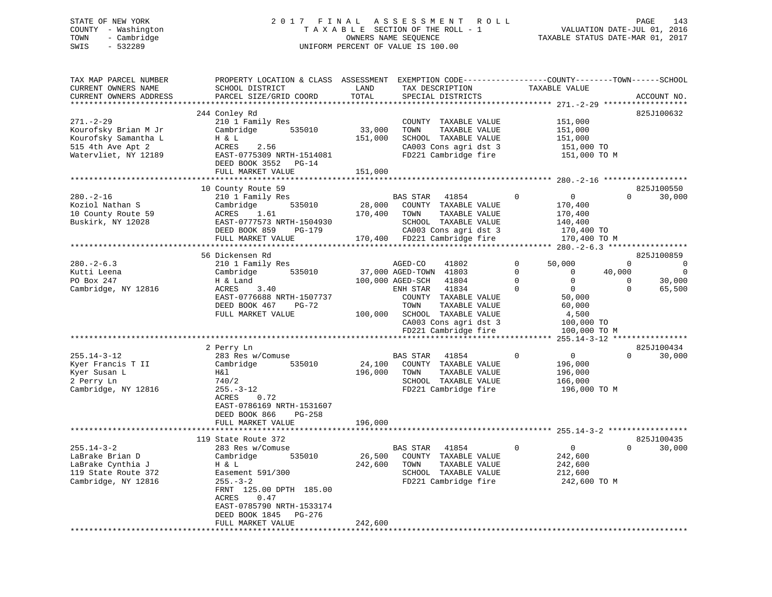# STATE OF NEW YORK 2 0 1 7 F I N A L A S S E S S M E N T R O L L PAGE 143 COUNTY - Washington T A X A B L E SECTION OF THE ROLL - 1 VALUATION DATE-JUL 01, 2016 TOWN - Cambridge OWNERS NAME SEQUENCE TAXABLE STATUS DATE-MAR 01, 2017 SWIS - 532289 UNIFORM PERCENT OF VALUE IS 100.00

| TAX MAP PARCEL NUMBER  | PROPERTY LOCATION & CLASS ASSESSMENT EXEMPTION CODE----------------COUNTY-------TOWN------SCHOOL |         |                              |                               |                                                    |
|------------------------|--------------------------------------------------------------------------------------------------|---------|------------------------------|-------------------------------|----------------------------------------------------|
| CURRENT OWNERS NAME    | SCHOOL DISTRICT                                                                                  | LAND    | TAX DESCRIPTION              | TAXABLE VALUE                 |                                                    |
| CURRENT OWNERS ADDRESS | PARCEL SIZE/GRID COORD                                                                           | TOTAL   | SPECIAL DISTRICTS            |                               | ACCOUNT NO.                                        |
|                        |                                                                                                  |         |                              |                               | ********************* 271.-2-29 ****************** |
|                        | 244 Conley Rd                                                                                    |         |                              |                               | 825J100632                                         |
| $271. - 2 - 29$        | 210 1 Family Res                                                                                 |         | COUNTY TAXABLE VALUE         | 151,000                       |                                                    |
| Kourofsky Brian M Jr   | 535010<br>Cambridge                                                                              | 33,000  | TOWN<br>TAXABLE VALUE        | 151,000                       |                                                    |
| Kourofsky Samantha L   | H & L                                                                                            | 151,000 | SCHOOL TAXABLE VALUE         | 151,000                       |                                                    |
|                        |                                                                                                  |         |                              |                               |                                                    |
| 515 4th Ave Apt 2      | ACRES<br>2.56                                                                                    |         | CA003 Cons agri dst 3        | 151,000 TO                    |                                                    |
| Watervliet, NY 12189   | EAST-0775309 NRTH-1514081                                                                        |         | FD221 Cambridge fire         | 151,000 TO M                  |                                                    |
|                        | DEED BOOK 3552<br>$PG-14$                                                                        |         |                              |                               |                                                    |
|                        | FULL MARKET VALUE                                                                                | 151,000 |                              |                               |                                                    |
|                        |                                                                                                  |         |                              |                               |                                                    |
|                        | 10 County Route 59                                                                               |         |                              |                               | 825J100550                                         |
| $280. - 2 - 16$        | 210 1 Family Res                                                                                 |         | BAS STAR<br>41854            | $\Omega$<br>$\Omega$          | 30,000<br>$\Omega$                                 |
| Koziol Nathan S        | 535010<br>Cambridge                                                                              | 28,000  | COUNTY TAXABLE VALUE         | 170,400                       |                                                    |
| 10 County Route 59     | 1.61<br>ACRES                                                                                    | 170,400 | TOWN<br>TAXABLE VALUE        | 170,400                       |                                                    |
| Buskirk, NY 12028      | EAST-0777573 NRTH-1504930                                                                        |         | SCHOOL TAXABLE VALUE         | 140,400                       |                                                    |
|                        | DEED BOOK 859<br>PG-179                                                                          |         | CA003 Cons agri dst 3        | 170,400 TO                    |                                                    |
|                        | FULL MARKET VALUE                                                                                |         | 170,400 FD221 Cambridge fire | 170,400 TO M                  |                                                    |
|                        |                                                                                                  |         |                              |                               |                                                    |
|                        | 56 Dickensen Rd                                                                                  |         |                              |                               | 825J100859                                         |
| $280 - 2 - 6.3$        | 210 1 Family Res                                                                                 |         | 41802<br>AGED-CO             | 50,000<br>$\Omega$            | $\Omega$<br>$\overline{0}$                         |
| Kutti Leena            | 535010<br>Cambridge                                                                              |         | 37,000 AGED-TOWN 41803       | 0<br>$\overline{0}$           | 40,000<br>$\overline{0}$                           |
| PO Box 247             | H & Land                                                                                         |         | 41804<br>100,000 AGED-SCH    | $\Omega$<br>$\overline{0}$    | 30,000<br>$\Omega$                                 |
| Cambridge, NY 12816    | ACRES<br>3.40                                                                                    |         | ENH STAR<br>41834            | $\mathbf 0$<br>$\overline{0}$ | $\Omega$<br>65,500                                 |
|                        | EAST-0776688 NRTH-1507737                                                                        |         |                              |                               |                                                    |
|                        |                                                                                                  |         | COUNTY TAXABLE VALUE         | 50,000                        |                                                    |
|                        | DEED BOOK 467<br>PG-72                                                                           |         | TOWN<br>TAXABLE VALUE        | 60,000                        |                                                    |
|                        | FULL MARKET VALUE                                                                                | 100,000 | SCHOOL TAXABLE VALUE         | 4,500                         |                                                    |
|                        |                                                                                                  |         | CA003 Cons agri dst 3        | 100,000 TO                    |                                                    |
|                        |                                                                                                  |         | FD221 Cambridge fire         | 100,000 TO M                  |                                                    |
|                        |                                                                                                  |         |                              |                               |                                                    |
|                        | 2 Perry Ln                                                                                       |         |                              |                               | 825J100434                                         |
| $255.14 - 3 - 12$      | 283 Res w/Comuse                                                                                 |         | BAS STAR<br>41854            | $\Omega$<br>$\mathbf{0}$      | 30,000<br>$\Omega$                                 |
| Kyer Francis T II      | 535010<br>Cambridge                                                                              | 24,100  | COUNTY TAXABLE VALUE         | 196,000                       |                                                    |
| Kyer Susan L           | Η&l                                                                                              | 196,000 | TAXABLE VALUE<br>TOWN        | 196,000                       |                                                    |
| 2 Perry Ln             | 740/2                                                                                            |         | SCHOOL TAXABLE VALUE         | 166,000                       |                                                    |
| Cambridge, NY 12816    | $255. - 3 - 12$                                                                                  |         | FD221 Cambridge fire         | 196,000 TO M                  |                                                    |
|                        | 0.72<br>ACRES                                                                                    |         |                              |                               |                                                    |
|                        | EAST-0786169 NRTH-1531607                                                                        |         |                              |                               |                                                    |
|                        | DEED BOOK 866<br>PG-258                                                                          |         |                              |                               |                                                    |
|                        | FULL MARKET VALUE                                                                                | 196,000 |                              |                               |                                                    |
|                        |                                                                                                  |         |                              |                               |                                                    |
|                        | 119 State Route 372                                                                              |         |                              |                               | 825J100435                                         |
| $255.14 - 3 - 2$       | 283 Res w/Comuse                                                                                 |         | BAS STAR<br>41854            | $\Omega$<br>$\overline{0}$    | $\Omega$<br>30,000                                 |
| LaBrake Brian D        | Cambridge<br>535010                                                                              | 26,500  | COUNTY TAXABLE VALUE         | 242,600                       |                                                    |
|                        |                                                                                                  |         |                              |                               |                                                    |
| LaBrake Cynthia J      | H & L                                                                                            | 242,600 | TOWN<br>TAXABLE VALUE        | 242,600                       |                                                    |
| 119 State Route 372    | Easement 591/300                                                                                 |         | SCHOOL TAXABLE VALUE         | 212,600                       |                                                    |
| Cambridge, NY 12816    | $255. - 3 - 2$                                                                                   |         | FD221 Cambridge fire         | 242,600 TO M                  |                                                    |
|                        | FRNT 125.00 DPTH 185.00                                                                          |         |                              |                               |                                                    |
|                        | ACRES<br>0.47                                                                                    |         |                              |                               |                                                    |
|                        | EAST-0785790 NRTH-1533174                                                                        |         |                              |                               |                                                    |
|                        | DEED BOOK 1845<br>PG-276                                                                         |         |                              |                               |                                                    |
|                        | FULL MARKET VALUE                                                                                | 242,600 |                              |                               |                                                    |
|                        |                                                                                                  |         |                              |                               |                                                    |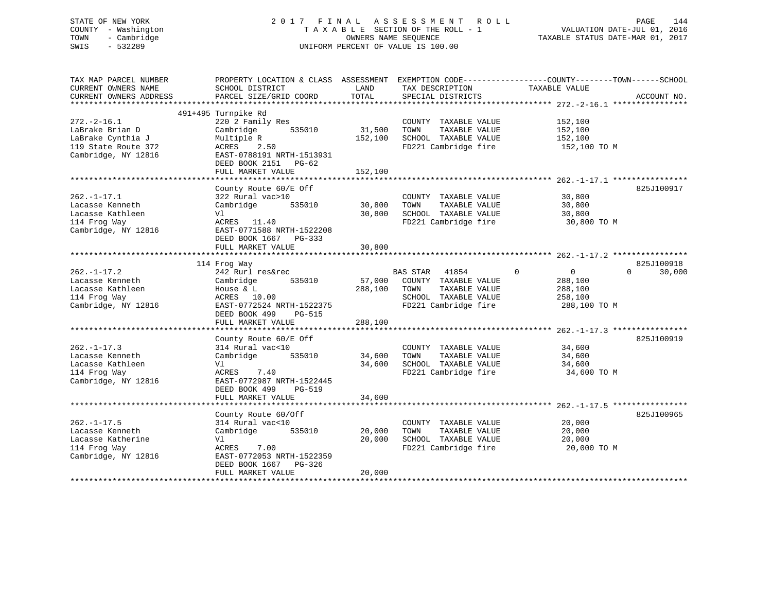# STATE OF NEW YORK 2 0 1 7 F I N A L A S S E S S M E N T R O L L PAGE 144 COUNTY - Washington T A X A B L E SECTION OF THE ROLL - 1 VALUATION DATE-JUL 01, 2016 TOWN - Cambridge OWNERS NAME SEQUENCE TAXABLE STATUS DATE-MAR 01, 2017 SWIS - 532289 UNIFORM PERCENT OF VALUE IS 100.00

| TAX MAP PARCEL NUMBER<br>CURRENT OWNERS NAME<br>CURRENT OWNERS ADDRESS                                  | PROPERTY LOCATION & CLASS ASSESSMENT<br>SCHOOL DISTRICT<br>PARCEL SIZE/GRID COORD                                                                                            | LAND<br>TOTAL                | EXEMPTION CODE-----------------COUNTY-------TOWN------SCHOOL<br>TAX DESCRIPTION<br>SPECIAL DISTRICTS                      | TAXABLE VALUE                                                                | ACCOUNT NO.        |
|---------------------------------------------------------------------------------------------------------|------------------------------------------------------------------------------------------------------------------------------------------------------------------------------|------------------------------|---------------------------------------------------------------------------------------------------------------------------|------------------------------------------------------------------------------|--------------------|
| $272. - 2 - 16.1$<br>LaBrake Brian D<br>LaBrake Cynthia J<br>119 State Route 372<br>Cambridge, NY 12816 | 491+495 Turnpike Rd<br>220 2 Family Res<br>Cambridge<br>535010<br>Multiple R<br>2.50<br>ACRES<br>EAST-0788191 NRTH-1513931<br>DEED BOOK 2151<br>$PG-62$<br>FULL MARKET VALUE | 31,500<br>152,100<br>152,100 | COUNTY TAXABLE VALUE<br>TAXABLE VALUE<br>TOWN<br>SCHOOL TAXABLE VALUE<br>FD221 Cambridge fire                             | 152,100<br>152,100<br>152,100<br>152,100 TO M                                |                    |
| $262. -1 - 17.1$<br>Lacasse Kenneth<br>Lacasse Kathleen<br>114 Frog Way<br>Cambridge, NY 12816          | County Route 60/E Off<br>322 Rural vac>10<br>Cambridge<br>535010<br>Vl<br>ACRES 11.40<br>EAST-0771588 NRTH-1522208<br>DEED BOOK 1667 PG-333<br>FULL MARKET VALUE             | 30,800<br>30,800<br>30,800   | COUNTY TAXABLE VALUE<br>TOWN<br>TAXABLE VALUE<br>SCHOOL TAXABLE VALUE<br>FD221 Cambridge fire                             | 30,800<br>30,800<br>30,800<br>30,800 TO M                                    | 825J100917         |
|                                                                                                         | **********************<br>114 Frog Way                                                                                                                                       | **********                   |                                                                                                                           | ***************************** 262.-1-17.2 ****************                   | 825J100918         |
| $262. - 1 - 17.2$<br>Lacasse Kenneth<br>Lacasse Kathleen<br>114 Frog Way<br>Cambridge, NY 12816         | 242 Rurl res&rec<br>Cambridge<br>535010<br>House $\&$ L<br>ACRES<br>10.00<br>EAST-0772524 NRTH-1522375<br>DEED BOOK 499<br>PG-515<br>FULL MARKET VALUE                       | 57,000<br>288,100<br>288,100 | <b>BAS STAR</b><br>41854<br>COUNTY TAXABLE VALUE<br>TAXABLE VALUE<br>TOWN<br>SCHOOL TAXABLE VALUE<br>FD221 Cambridge fire | $\mathbf 0$<br>$\mathbf{0}$<br>288,100<br>288,100<br>258,100<br>288,100 TO M | $\Omega$<br>30,000 |
|                                                                                                         |                                                                                                                                                                              |                              |                                                                                                                           |                                                                              |                    |
| $262. - 1 - 17.3$<br>Lacasse Kenneth<br>Lacasse Kathleen<br>114 Frog Way<br>Cambridge, NY 12816         | County Route 60/E Off<br>314 Rural vac<10<br>Cambridge<br>535010<br>Vl<br>ACRES<br>7.40<br>EAST-0772987 NRTH-1522445<br>DEED BOOK 499<br><b>PG-519</b>                       | 34,600<br>34,600             | COUNTY TAXABLE VALUE<br>TAXABLE VALUE<br>TOWN<br>SCHOOL TAXABLE VALUE<br>FD221 Cambridge fire                             | 34,600<br>34,600<br>34,600<br>34,600 TO M                                    | 825J100919         |
|                                                                                                         | FULL MARKET VALUE                                                                                                                                                            | 34,600                       |                                                                                                                           |                                                                              |                    |
| $262. - 1 - 17.5$<br>Lacasse Kenneth<br>Lacasse Katherine<br>114 Frog Way<br>Cambridge, NY 12816        | County Route 60/Off<br>314 Rural vac<10<br>Cambridge<br>535010<br>V1<br>ACRES<br>7.00<br>EAST-0772053 NRTH-1522359<br>DEED BOOK 1667<br>$PG-326$<br>FULL MARKET VALUE        | 20,000<br>20,000<br>20,000   | COUNTY TAXABLE VALUE<br>TOWN<br>TAXABLE VALUE<br>SCHOOL TAXABLE VALUE<br>FD221 Cambridge fire                             | 20,000<br>20,000<br>20,000<br>20,000 TO M                                    | 825J100965         |
|                                                                                                         | ****************************                                                                                                                                                 |                              |                                                                                                                           |                                                                              |                    |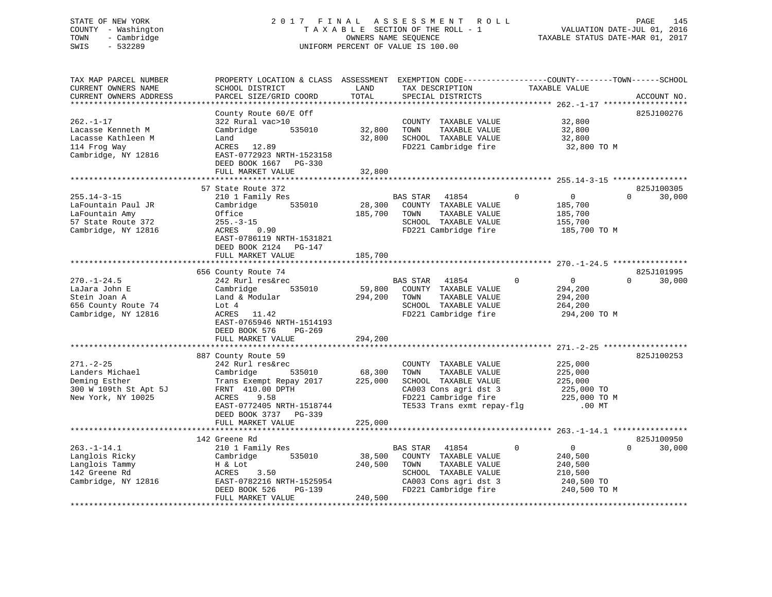## STATE OF NEW YORK 2 0 1 7 F I N A L A S S E S S M E N T R O L L PAGE 145 COUNTY - Washington T A X A B L E SECTION OF THE ROLL - 1 VALUATION DATE-JUL 01, 2016 TOWN - Cambridge OWNERS NAME SEQUENCE TAXABLE STATUS DATE-MAR 01, 2017 SWIS - 532289 UNIFORM PERCENT OF VALUE IS 100.00

| TAX MAP PARCEL NUMBER<br>CURRENT OWNERS NAME<br>CURRENT OWNERS ADDRESS<br>***********************      | PROPERTY LOCATION & CLASS ASSESSMENT EXEMPTION CODE----------------COUNTY-------TOWN-----SCHOOL<br>SCHOOL DISTRICT<br>PARCEL SIZE/GRID COORD<br>**********************                                    | LAND<br>TOTAL                | TAX DESCRIPTION<br>SPECIAL DISTRICTS                                                                                                                 | TAXABLE VALUE                                                                                | ACCOUNT NO.                      |
|--------------------------------------------------------------------------------------------------------|-----------------------------------------------------------------------------------------------------------------------------------------------------------------------------------------------------------|------------------------------|------------------------------------------------------------------------------------------------------------------------------------------------------|----------------------------------------------------------------------------------------------|----------------------------------|
| $262. - 1 - 17$<br>Lacasse Kenneth M<br>Lacasse Kathleen M<br>114 Frog Way<br>Cambridge, NY 12816      | County Route 60/E Off<br>322 Rural vac>10<br>Cambridge<br>535010<br>Land<br>ACRES 12.89<br>EAST-0772923 NRTH-1523158<br>DEED BOOK 1667 PG-330<br>FULL MARKET VALUE                                        | 32,800<br>32,800<br>32,800   | COUNTY TAXABLE VALUE<br>TOWN<br>TAXABLE VALUE<br>SCHOOL TAXABLE VALUE<br>FD221 Cambridge fire                                                        | 32,800<br>32,800<br>32,800<br>32,800 TO M                                                    | 825J100276                       |
|                                                                                                        |                                                                                                                                                                                                           |                              |                                                                                                                                                      |                                                                                              |                                  |
| $255.14 - 3 - 15$<br>LaFountain Paul JR<br>LaFountain Amy<br>57 State Route 372<br>Cambridge, NY 12816 | 57 State Route 372<br>210 1 Family Res<br>Cambridge<br>535010<br>Office<br>$255. - 3 - 15$<br>ACRES<br>0.90<br>EAST-0786119 NRTH-1531821<br>DEED BOOK 2124 PG-147<br>FULL MARKET VALUE                    | 28,300<br>185,700<br>185,700 | <b>BAS STAR</b><br>41854<br>COUNTY TAXABLE VALUE<br>TOWN<br>TAXABLE VALUE<br>SCHOOL TAXABLE VALUE<br>FD221 Cambridge fire                            | $\Omega$<br>$\overline{0}$<br>185,700<br>185,700<br>155,700<br>185,700 TO M                  | 825J100305<br>30,000<br>$\Omega$ |
|                                                                                                        |                                                                                                                                                                                                           |                              |                                                                                                                                                      |                                                                                              |                                  |
| $270. - 1 - 24.5$<br>LaJara John E<br>Stein Joan A<br>656 County Route 74<br>Cambridge, NY 12816       | 656 County Route 74<br>242 Rurl res&rec<br>Cambridge<br>535010<br>Land & Modular<br>Lot 4<br>ACRES<br>11.42<br>EAST-0765946 NRTH-1514193<br>DEED BOOK 576<br>$PG-269$                                     | 59,800<br>294,200            | BAS STAR<br>41854<br>COUNTY TAXABLE VALUE<br>TOWN<br>TAXABLE VALUE<br>SCHOOL TAXABLE VALUE<br>FD221 Cambridge fire                                   | $\mathbf 0$<br>0<br>294,200<br>294,200<br>264,200<br>294,200 TO M                            | 825J101995<br>$\Omega$<br>30,000 |
|                                                                                                        | FULL MARKET VALUE                                                                                                                                                                                         | 294,200                      |                                                                                                                                                      |                                                                                              |                                  |
| $271. - 2 - 25$<br>Landers Michael<br>Deming Esther<br>300 W 109th St Apt 5J<br>New York, NY 10025     | 887 County Route 59<br>242 Rurl res&rec<br>Cambridge<br>535010<br>Trans Exempt Repay 2017<br>FRNT 410.00 DPTH<br>ACRES<br>9.58<br>EAST-0772405 NRTH-1518744<br>DEED BOOK 3737 PG-339<br>FULL MARKET VALUE | 68,300<br>225,000<br>225,000 | COUNTY TAXABLE VALUE<br>TOWN<br>TAXABLE VALUE<br>SCHOOL TAXABLE VALUE<br>CA003 Cons agri dst 3<br>FD221 Cambridge fire<br>TE533 Trans exmt repay-flg | 225,000<br>225,000<br>225,000<br>225,000 TO<br>225,000 TO M<br>$.00$ MT                      | 825J100253                       |
|                                                                                                        | **************************                                                                                                                                                                                |                              |                                                                                                                                                      |                                                                                              |                                  |
| $263. -1 - 14.1$<br>Langlois Ricky<br>Langlois Tammy<br>142 Greene Rd<br>Cambridge, NY 12816           | 142 Greene Rd<br>210 1 Family Res<br>Cambridge<br>535010<br>H & Lot<br>3.50<br>ACRES<br>EAST-0782216 NRTH-1525954<br>DEED BOOK 526<br>PG-139                                                              | 38,500<br>240,500            | BAS STAR<br>41854<br>COUNTY TAXABLE VALUE<br>TOWN<br>TAXABLE VALUE<br>SCHOOL TAXABLE VALUE<br>CA003 Cons agri dst 3<br>FD221 Cambridge fire          | $\mathbf 0$<br>$\overline{0}$<br>240,500<br>240,500<br>210,500<br>240,500 TO<br>240,500 TO M | 825J100950<br>$\Omega$<br>30,000 |
|                                                                                                        | FULL MARKET VALUE                                                                                                                                                                                         | 240,500                      |                                                                                                                                                      |                                                                                              |                                  |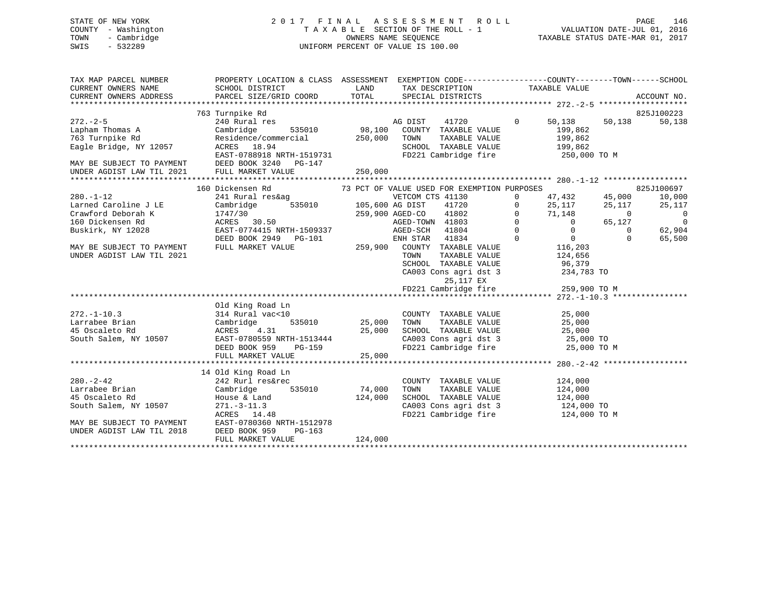## STATE OF NEW YORK 2 0 1 7 F I N A L A S S E S S M E N T R O L L PAGE 146 COUNTY - Washington T A X A B L E SECTION OF THE ROLL - 1 VALUATION DATE-JUL 01, 2016 TOWN - Cambridge OWNERS NAME SEQUENCE TAXABLE STATUS DATE-MAR 01, 2017 SWIS - 532289 UNIFORM PERCENT OF VALUE IS 100.00

| TAX MAP PARCEL NUMBER<br>CURRENT OWNERS NAME<br>CURRENT OWNERS ADDRESS                                                                                                          | PROPERTY LOCATION & CLASS ASSESSMENT EXEMPTION CODE----------------COUNTY-------TOWN------SCHOOL<br>SCHOOL DISTRICT<br>PARCEL SIZE/GRID COORD                                                                                                                                                              | <b>LAND</b>                   | TAX DESCRIPTION TAXABLE VALUE<br>TOTAL SPECIAL DISTRICTS                                                                                                                                                                                                                                                                                                                                                                                                                                                                         |                                                                                                            |                      | ACCOUNT NO.                                                                                      |
|---------------------------------------------------------------------------------------------------------------------------------------------------------------------------------|------------------------------------------------------------------------------------------------------------------------------------------------------------------------------------------------------------------------------------------------------------------------------------------------------------|-------------------------------|----------------------------------------------------------------------------------------------------------------------------------------------------------------------------------------------------------------------------------------------------------------------------------------------------------------------------------------------------------------------------------------------------------------------------------------------------------------------------------------------------------------------------------|------------------------------------------------------------------------------------------------------------|----------------------|--------------------------------------------------------------------------------------------------|
| $272 - 2 - 5$<br>Lapham Thomas A<br>763 Turnpike Rd<br>Eagle Bridge, NY 12057<br>MAY BE SUBJECT TO PAYMENT<br>UNDER AGDIST LAW TIL 2021                                         | 763 Turnpike Rd<br>240 Rural res<br>Cambridge 535010 98,100 COUNTY TAXABLE VALUE<br>Residence/commercial 250,000 TOWN TAXABLE VALUE<br>ACRES 18.94 SCHOOL TAXABLE VALUE<br>EAST-0788918 NRTH-1519731 FD221 Cambridge fire<br>DEED BOOK 3240 PG-147                                                         |                               | AG DIST<br>41720<br>TAXABLE VALUE<br>SCHOOL TAXABLE VALUE 199,862<br>FD221 Cambridge fire 250,000 TO M                                                                                                                                                                                                                                                                                                                                                                                                                           | $\overline{0}$<br>50,138<br>199,862<br>199,862                                                             | 50,138               | 825J100223<br>50,138                                                                             |
|                                                                                                                                                                                 | FULL MARKET VALUE                                                                                                                                                                                                                                                                                          | 250,000                       |                                                                                                                                                                                                                                                                                                                                                                                                                                                                                                                                  |                                                                                                            |                      |                                                                                                  |
| $280. -1 - 12$<br>Larned Caroline J LE<br>$\mathbf{E}$<br>Crawford Deborah K<br>160 Dickensen Rd<br>Buskirk, NY 12028<br>MAY BE SUBJECT TO PAYMENT<br>UNDER AGDIST LAW TIL 2021 | 160 Dickensen Rd<br>241 Rural res&ag<br>Cambridge 535010 105,600 AG DIST 41720<br>1747/20 1747/20<br>$\begin{array}{ccccc} 1747/30 & & & 259,900 & \text{AGED-CO} \\ \text{ACRES} & 30.50 & & & & \text{AGED-TOWN} \end{array}$<br>EAST-0774415 NRTH-1509337<br>DEED BOOK 2949 PG-101<br>FULL MARKET VALUE |                               | 73 PCT OF VALUE USED FOR EXEMPTION PURPOSES<br>AG DIST 41720 0 25,117 25,117<br>AGED-CO 41802 0 71,148 0<br>AGED-TOWN 41803 0 65,127<br>AGED-SCH 41804<br>ENH STAR 41834<br>259,900 COUNTY TAXABLE VALUE<br>TOWN<br>TAXABLE VALUE<br>$\begin{tabular}{lllllllll} \texttt{SCHOOL} & \texttt{TAXABLE} & \texttt{VALUE} & & \texttt{96,379} \\ \texttt{CA003} & \texttt{Cons}\ & \texttt{agri}\ & \texttt{dst}\ & \texttt{3} & & \texttt{234,783} & \texttt{TO} \\ \end{tabular}$<br>25,117 EX<br>FD221 Cambridge fire 259,900 TO M | $0 \t 47,432 \t 45,000$<br>$\begin{matrix} 0& & &0\\ 0& & &0\\ 0& & &0 \end{matrix}$<br>116,203<br>124,656 | $\Omega$<br>$\Omega$ | 825J100697<br>10,000<br>25,117<br>$\overline{0}$<br>$\overline{\phantom{0}}$<br>62,904<br>65,500 |
| $272. - 1 - 10.3$<br>Larrabee Brian<br>45 Oscaleto Rd<br>South Salem, NY 10507                                                                                                  | Old King Road Ln<br>314 Rural vac<10<br>311 Nuture<br>Cambridge<br>ACRES 4<br>10507 EAST-07805<br>ACRES 4.31<br>EAST-0780559 NRTH-1513444<br>DEED BOOK 959                                                                                                                                                 | 25,000<br>H-1513444<br>PG-159 | COUNTY TAXABLE VALUE<br>SCHOOL TAXABLE VALUE $25,000$<br>CA003 Cons agri dst 3 $25,000$ TO<br>FD221 Cambridge fire $25,000$ TO M                                                                                                                                                                                                                                                                                                                                                                                                 | 25,000<br>TAXABLE VALUE 25,000                                                                             |                      |                                                                                                  |
| $280. - 2 - 42$<br>Larrabee Brian<br>45 Oscaleto Rd<br>South Salem, NY 10507<br>MAY BE SUBJECT TO PAYMENT<br>UNDER AGDIST LAW TIL 2018                                          | 14 Old King Road Ln<br>242 Rurl res&rec<br>Cambridge<br>535010<br>House & Land<br>$271 - 3 - 11.3$<br>ACRES 14.48<br>EAST-0780360 NRTH-1512978<br>DEED BOOK 959<br>$PG-163$<br>FULL MARKET VALUE                                                                                                           | 74,000<br>124,000<br>124,000  | COUNTY TAXABLE VALUE<br>TAXABLE VALUE<br>TOWN<br>SCHOOL TAXABLE VALUE 124,000<br>CA003 Cons agri dst 3 124,000 TO<br>FD221 Cambridge fire 124,000 TO M                                                                                                                                                                                                                                                                                                                                                                           | 124,000<br>124,000                                                                                         |                      |                                                                                                  |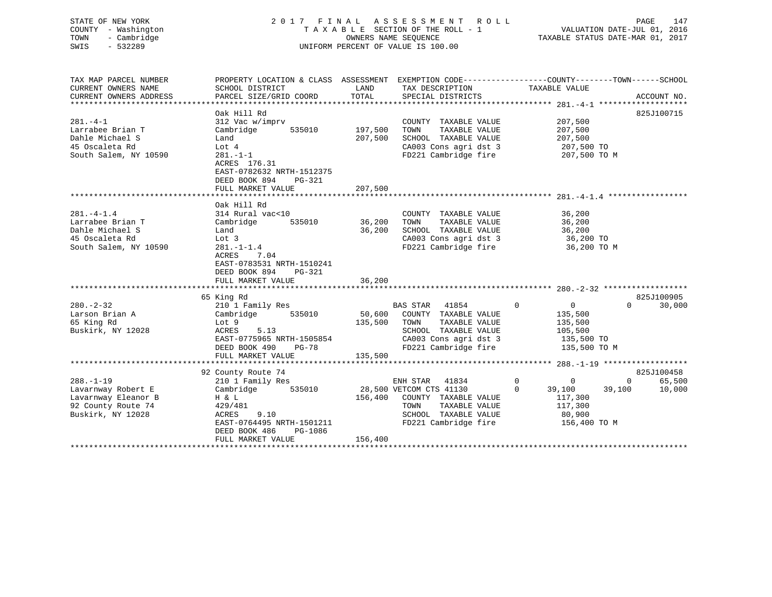| COUNTY - Washington<br>TOWN<br>- Cambridge<br>$-532289$<br>SWIS                                         |                                                                                                                                                                                           |                            | T A X A B L E SECTION OF THE ROLL - 1<br>OWNERS NAME SEQUENCE<br>UNIFORM PERCENT OF VALUE IS 100.00                                                                         |                                                                                              | VALUATION DATE-JUL 01, 2016<br>TAXABLE STATUS DATE-MAR 01, 2017 |
|---------------------------------------------------------------------------------------------------------|-------------------------------------------------------------------------------------------------------------------------------------------------------------------------------------------|----------------------------|-----------------------------------------------------------------------------------------------------------------------------------------------------------------------------|----------------------------------------------------------------------------------------------|-----------------------------------------------------------------|
| TAX MAP PARCEL NUMBER<br>CURRENT OWNERS NAME<br>CURRENT OWNERS ADDRESS                                  | PROPERTY LOCATION & CLASS ASSESSMENT EXEMPTION CODE----------------COUNTY-------TOWN-----SCHOOL<br>SCHOOL DISTRICT<br>PARCEL SIZE/GRID COORD                                              | LAND<br>TOTAL              | TAX DESCRIPTION TAXABLE VALUE<br>SPECIAL DISTRICTS                                                                                                                          |                                                                                              | ACCOUNT NO.                                                     |
| $281 - 4 - 1$<br>Larrabee Brian T<br>Dahle Michael S<br>45 Oscaleta Rd<br>South Salem, NY 10590         | Oak Hill Rd<br>312 Vac w/imprv<br>Cambridge<br>535010<br>Land<br>Lot 4<br>$281. - 1 - 1$<br>ACRES 176.31<br>EAST-0782632 NRTH-1512375<br>DEED BOOK 894<br>PG-321                          | 197,500<br>207,500         | COUNTY TAXABLE VALUE<br>TOWN<br>TAXABLE VALUE<br>SCHOOL TAXABLE VALUE<br>CA003 Cons agri dst 3<br>FD221 Cambridge fire                                                      | 207,500<br>207,500<br>207,500<br>207,500 TO<br>207,500 TO M                                  | 825J100715                                                      |
|                                                                                                         | FULL MARKET VALUE                                                                                                                                                                         | 207,500                    |                                                                                                                                                                             |                                                                                              |                                                                 |
| $281 - 4 - 1.4$<br>Larrabee Brian T<br>Dahle Michael S<br>45 Oscaleta Rd<br>South Salem, NY 10590       | Oak Hill Rd<br>314 Rural vac<10<br>535010<br>Cambridge<br>Land<br>Lot 3<br>$281. - 1 - 1.4$<br>7.04<br>ACRES<br>EAST-0783531 NRTH-1510241<br>DEED BOOK 894<br>PG-321<br>FULL MARKET VALUE | 36,200<br>36,200<br>36,200 | COUNTY TAXABLE VALUE<br>TAXABLE VALUE<br>TOWN<br>SCHOOL TAXABLE VALUE<br>CA003 Cons agri dst 3<br>FD221 Cambridge fire                                                      | 36,200<br>36,200<br>36,200<br>36,200 TO<br>36,200 TO M                                       |                                                                 |
|                                                                                                         | 65 King Rd                                                                                                                                                                                |                            |                                                                                                                                                                             |                                                                                              | 825J100905                                                      |
| $280 - 2 - 32$<br>Larson Brian A<br>65 King Rd<br>Buskirk, NY 12028                                     | 210 1 Family Res<br>Cambridge 535010<br>Lot 9<br>ACRES<br>5.13<br>EAST-0775965 NRTH-1505854<br>DEED BOOK 490 PG-78                                                                        | 135,500 TOWN<br>135,500    | BAS STAR 41854<br>$\sim$ 0<br>50,600 COUNTY TAXABLE VALUE<br>TAXABLE VALUE<br>SCHOOL TAXABLE VALUE<br>CA003 Cons agri dst 3 135,500 TO<br>FD221 Cambridge fire 135,500 TO M | $\overline{0}$<br>135,500<br>135,500<br>105,500                                              | $\Omega$<br>30,000                                              |
|                                                                                                         | FULL MARKET VALUE                                                                                                                                                                         |                            |                                                                                                                                                                             |                                                                                              |                                                                 |
| $288. - 1 - 19$<br>Lavarnway Robert E<br>Lavarnway Eleanor B<br>92 County Route 74<br>Buskirk, NY 12028 | 92 County Route 74<br>210 1 Family Res<br>Cambridge 535010<br>H & L<br>429/481<br>9.10<br>ACRES<br>EAST-0764495 NRTH-1501211<br>DEED BOOK 486<br>PG-1086<br>FULL MARKET VALUE             | 156,400                    | ENH STAR 41834<br>28,500 VETCOM CTS 41130<br>156,400 COUNTY TAXABLE VALUE<br>TOWN<br>TAXABLE VALUE<br>SCHOOL TAXABLE VALUE<br>FD221 Cambridge fire 156,400 TO M             | $\overline{0}$<br>$\overline{0}$<br>$\overline{0}$<br>39,100<br>117,300<br>117,300<br>80,900 | 825J100458<br>$0 \qquad \qquad$<br>65,500<br>39,100<br>10,000   |

\*\*\*\*\*\*\*\*\*\*\*\*\*\*\*\*\*\*\*\*\*\*\*\*\*\*\*\*\*\*\*\*\*\*\*\*\*\*\*\*\*\*\*\*\*\*\*\*\*\*\*\*\*\*\*\*\*\*\*\*\*\*\*\*\*\*\*\*\*\*\*\*\*\*\*\*\*\*\*\*\*\*\*\*\*\*\*\*\*\*\*\*\*\*\*\*\*\*\*\*\*\*\*\*\*\*\*\*\*\*\*\*\*\*\*\*\*\*\*\*\*\*\*\*\*\*\*\*\*\*\*\*

# STATE OF NEW YORK 2 0 1 7 F I N A L A S S E S S M E N T R O L L PAGE 147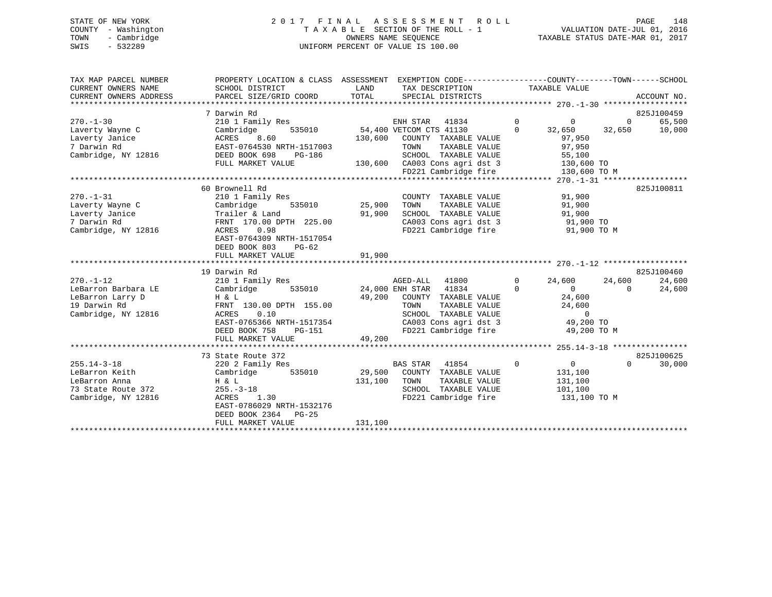## STATE OF NEW YORK 2 0 1 7 F I N A L A S S E S S M E N T R O L L PAGE 148 COUNTY - Washington T A X A B L E SECTION OF THE ROLL - 1 VALUATION DATE-JUL 01, 2016 TOWN - Cambridge OWNERS NAME SEQUENCE TAXABLE STATUS DATE-MAR 01, 2017 SWIS - 532289 UNIFORM PERCENT OF VALUE IS 100.00

| TAX MAP PARCEL NUMBER                        | PROPERTY LOCATION & CLASS ASSESSMENT EXEMPTION CODE---------------COUNTY-------TOWN-----SCHOOL |         |                                                           |                               |                |             |
|----------------------------------------------|------------------------------------------------------------------------------------------------|---------|-----------------------------------------------------------|-------------------------------|----------------|-------------|
| CURRENT OWNERS NAME                          | SCHOOL DISTRICT                                                                                | LAND    | TAX DESCRIPTION                                           | TAXABLE VALUE                 |                |             |
| CURRENT OWNERS ADDRESS                       | PARCEL SIZE/GRID COORD                                                                         | TOTAL   | SPECIAL DISTRICTS                                         |                               |                | ACCOUNT NO. |
|                                              |                                                                                                |         |                                                           |                               |                |             |
|                                              | 7 Darwin Rd                                                                                    |         |                                                           |                               |                | 825J100459  |
| $270. - 1 - 30$                              | 210 1 Family Res                                                                               |         | ENH STAR 41834                                            | $\Omega$<br>$\Omega$          | $\Omega$       | 65,500      |
| Laverty Wayne C                              | Cambridge<br>535010                                                                            |         | 54,400 VETCOM CTS 41130                                   | $\Omega$<br>32,650            | 32,650         | 10,000      |
| Laverty Janice                               | ACRES<br>8.60                                                                                  | 130,600 | COUNTY TAXABLE VALUE                                      | 97,950                        |                |             |
| 7 Darwin Rd                                  | EAST-0764530 NRTH-1517003                                                                      |         | TAXABLE VALUE<br>TOWN                                     | 97,950                        |                |             |
| Cambridge, NY 12816                          | DEED BOOK 698<br>PG-186                                                                        |         | SCHOOL TAXABLE VALUE                                      | 55,100                        |                |             |
|                                              | FULL MARKET VALUE                                                                              |         | 130,600 CA003 Cons agri dst 3                             | 130,600 TO                    |                |             |
|                                              |                                                                                                |         | FD221 Cambridge fire                                      | 130,600 TO M                  |                |             |
|                                              |                                                                                                |         |                                                           |                               |                |             |
|                                              | 60 Brownell Rd                                                                                 |         |                                                           |                               |                | 825J100811  |
| $270. - 1 - 31$                              | 210 1 Family Res                                                                               |         | COUNTY TAXABLE VALUE                                      | 91,900                        |                |             |
| Laverty Wayne C                              | 535010<br>Cambridge                                                                            | 25,900  | TOWN<br>TAXABLE VALUE                                     | 91,900                        |                |             |
| Laverty Janice                               | Trailer & Land                                                                                 | 91,900  | SCHOOL TAXABLE VALUE                                      | 91,900                        |                |             |
| 7 Darwin Rd                                  | FRNT 170.00 DPTH 225.00                                                                        |         | CA003 Cons agri dst 3                                     | 91,900 TO                     |                |             |
| Cambridge, NY 12816                          | 0.98<br>ACRES                                                                                  |         | FD221 Cambridge fire                                      | 91,900 TO M                   |                |             |
|                                              | EAST-0764309 NRTH-1517054                                                                      |         |                                                           |                               |                |             |
|                                              | DEED BOOK 803<br>PG-62                                                                         |         |                                                           |                               |                |             |
|                                              | FULL MARKET VALUE                                                                              | 91,900  |                                                           |                               |                |             |
|                                              | 19 Darwin Rd                                                                                   |         |                                                           |                               |                | 825J100460  |
| $270. - 1 - 12$                              | 210 1 Family Res                                                                               |         | AGED-ALL 41800                                            | $\mathbf{0}$<br>24,600        | 24,600         | 24,600      |
| LeBarron Barbara LE                          | 535010<br>Cambridge                                                                            |         | 24,000 ENH STAR 41834                                     | $\Omega$<br>$\overline{0}$    | $\overline{0}$ | 24,600      |
| LeBarron Larry D                             | H & L                                                                                          |         | 49,200 COUNTY TAXABLE VALUE                               | 24,600                        |                |             |
| 19 Darwin Rd                                 | FRNT 130.00 DPTH 155.00                                                                        |         | TOWN<br>TAXABLE VALUE                                     | 24,600                        |                |             |
| Cambridge, NY 12816                          | 0.10<br>ACRES                                                                                  |         | SCHOOL TAXABLE VALUE                                      | $\overline{0}$                |                |             |
|                                              | EAST-0765366 NRTH-1517354                                                                      |         | SCHOOL TAXABLE VALUE 0<br>CA003 Cons agri dst 3 49,200 TO |                               |                |             |
|                                              | DEED BOOK 758<br>PG-151                                                                        |         | FD221 Cambridge fire                                      | 49,200 TO M                   |                |             |
|                                              | FULL MARKET VALUE                                                                              | 49,200  |                                                           |                               |                |             |
|                                              |                                                                                                |         |                                                           |                               |                |             |
|                                              | 73 State Route 372                                                                             |         |                                                           |                               |                | 825J100625  |
| $255.14 - 3 - 18$                            | 220 2 Family Res                                                                               |         | <b>BAS STAR</b><br>41854                                  | $\mathbf 0$<br>$\overline{0}$ | $\Omega$       | 30,000      |
| LeBarron Keith                               | Cambridge<br>535010                                                                            |         | 29,500 COUNTY TAXABLE VALUE                               | 131,100                       |                |             |
|                                              | H & L                                                                                          | 131,100 | TOWN<br>TAXABLE VALUE                                     | 131,100                       |                |             |
| Antion Anna<br>73 State Route 372<br>Cambrid | $255. - 3 - 18$                                                                                |         | SCHOOL TAXABLE VALUE                                      | 101,100                       |                |             |
| Cambridge, NY 12816                          | 1.30<br>ACRES                                                                                  |         | FD221 Cambridge fire                                      | 131,100 TO M                  |                |             |
|                                              | EAST-0786029 NRTH-1532176                                                                      |         |                                                           |                               |                |             |
|                                              | DEED BOOK 2364 PG-25                                                                           |         |                                                           |                               |                |             |
|                                              | FULL MARKET VALUE                                                                              | 131,100 |                                                           |                               |                |             |
|                                              |                                                                                                |         |                                                           |                               |                |             |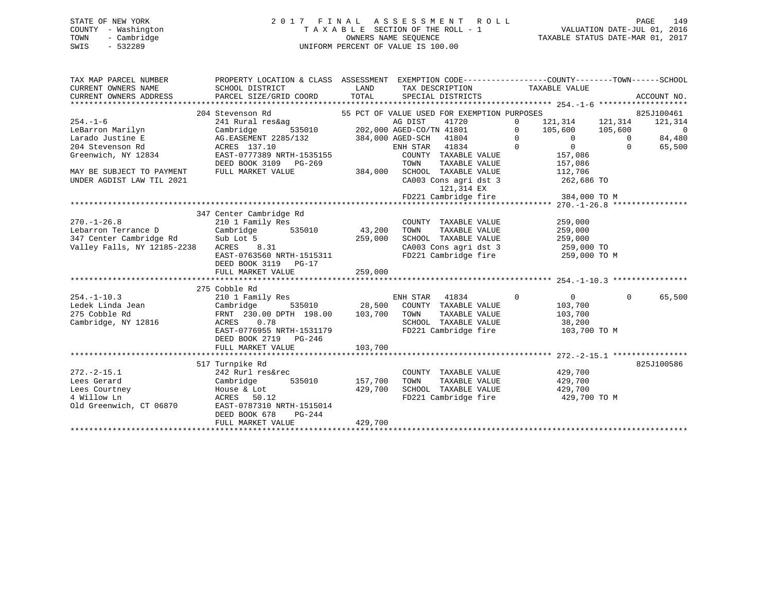## STATE OF NEW YORK 2 0 1 7 F I N A L A S S E S S M E N T R O L L PAGE 149 COUNTY - Washington T A X A B L E SECTION OF THE ROLL - 1 VALUATION DATE-JUL 01, 2016 TOWN - Cambridge OWNERS NAME SEQUENCE TAXABLE STATUS DATE-MAR 01, 2017 SWIS - 532289 UNIFORM PERCENT OF VALUE IS 100.00

| TAX MAP PARCEL NUMBER<br>CURRENT OWNERS NAME | PROPERTY LOCATION & CLASS ASSESSMENT EXEMPTION CODE----------------COUNTY-------TOWN------SCHOOL<br>SCHOOL DISTRICT | LAND          |                | TAX DESCRIPTION                                                       |                | TAXABLE VALUE             |              |                |
|----------------------------------------------|---------------------------------------------------------------------------------------------------------------------|---------------|----------------|-----------------------------------------------------------------------|----------------|---------------------------|--------------|----------------|
| CURRENT OWNERS ADDRESS                       | PARCEL SIZE/GRID COORD                                                                                              | TOTAL         |                | SPECIAL DISTRICTS                                                     |                |                           |              | ACCOUNT NO.    |
|                                              |                                                                                                                     |               |                |                                                                       |                |                           |              |                |
|                                              | 204 Stevenson Rd                                                                                                    |               |                | 55 PCT OF VALUE USED FOR EXEMPTION PURPOSES                           |                |                           |              | 825J100461     |
| $254. - 1 - 6$                               | 241 Rural res&ag                                                                                                    |               | AG DIST        | 41720                                                                 | $\Omega$       | 121,314 121,314           |              | 121,314        |
| LeBarron Marilyn                             | Cambridge                                                                                                           |               |                |                                                                       | $\overline{0}$ | 105,600 105,600           |              | $\overline{0}$ |
| Larado Justine E                             | AG.EASEMENT 2285/132 384,000 AGED-SCH 41804                                                                         |               |                |                                                                       |                | $\overline{0}$ 0          | $\bigcirc$   | 84,480         |
| 204 Stevenson Rd                             | ACRES 137.10                                                                                                        |               | ENH STAR 41834 | $\overline{0}$                                                        |                | $\overline{0}$<br>157,086 | $\mathbf{0}$ | 65,500         |
| Greenwich, NY 12834                          | EAST-0777389 NRTH-1535155                                                                                           |               |                | COUNTY TAXABLE VALUE                                                  |                |                           |              |                |
|                                              | DEED BOOK 3109 PG-269                                                                                               |               | TOWN           | TAXABLE VALUE                                                         |                | 157,086                   |              |                |
| MAY BE SUBJECT TO PAYMENT                    | FULL MARKET VALUE                                                                                                   | 384,000       |                | SCHOOL TAXABLE VALUE                                                  |                | 112,706                   |              |                |
| UNDER AGDIST LAW TIL 2021                    |                                                                                                                     |               |                | CA003 Cons agri dst 3                                                 |                | 262,686 TO                |              |                |
|                                              |                                                                                                                     |               |                | 121,314 EX                                                            |                |                           |              |                |
|                                              |                                                                                                                     |               |                | FD221 Cambridge fire 384,000 TO M                                     |                |                           |              |                |
|                                              |                                                                                                                     |               |                |                                                                       |                |                           |              |                |
|                                              | 347 Center Cambridge Rd                                                                                             |               |                |                                                                       |                |                           |              |                |
| $270. - 1 - 26.8$                            | 210 1 Family Res                                                                                                    |               |                | COUNTY TAXABLE VALUE                                                  |                | 259,000                   |              |                |
| Lebarron Terrance D                          | Cambridge                                                                                                           | 535010 43,200 | TOWN           | TAXABLE VALUE                                                         |                | 259,000                   |              |                |
| 347 Center Cambridge Rd Sub Lot 5            |                                                                                                                     | 259,000       |                | SCHOOL TAXABLE VALUE                                                  |                | 259,000                   |              |                |
| Valley Falls, NY 12185-2238                  | .31<br>ACRES 8.31                                                                                                   |               |                |                                                                       |                |                           |              |                |
|                                              | EAST-0763560 NRTH-1515311                                                                                           |               |                | CA003 Cons agri dst 3 259,000 TO<br>FD221 Cambridge fire 259,000 TO M |                |                           |              |                |
|                                              | DEED BOOK 3119    PG-17                                                                                             |               |                |                                                                       |                |                           |              |                |
|                                              | FULL MARKET VALUE                                                                                                   | 259,000       |                |                                                                       |                |                           |              |                |
|                                              |                                                                                                                     |               |                |                                                                       |                |                           |              |                |
|                                              | 275 Cobble Rd                                                                                                       |               |                |                                                                       |                |                           |              |                |
| $254. - 1 - 10.3$                            | 210 1 Family Res                                                                                                    |               | ENH STAR 41834 |                                                                       | $\overline{0}$ | $\overline{0}$            | $\Omega$     | 65,500         |
|                                              |                                                                                                                     |               |                |                                                                       |                | 103,700                   |              |                |
|                                              | Cambridge 535010 28,500 COUNTY TAXABLE VALUE<br>FRNT 230.00 DPTH 198.00 103,700 TOWN TAXABLE VALUE                  |               |                |                                                                       |                |                           |              |                |
| Cambridge, NY 12816                          | ACRES 0.78                                                                                                          |               |                | TOWN      TAXABLE  VALUE<br>SCHOOL   TAXABLE  VALUE                   |                | 103,700<br>38,200         |              |                |
|                                              | EAST-0776955 NRTH-1531179                                                                                           |               |                | FD221 Cambridge fire                                                  |                | 103,700 TO M              |              |                |
|                                              | DEED BOOK 2719 PG-246                                                                                               |               |                |                                                                       |                |                           |              |                |
|                                              | FULL MARKET VALUE                                                                                                   | 103,700       |                |                                                                       |                |                           |              |                |
|                                              |                                                                                                                     |               |                |                                                                       |                |                           |              |                |
|                                              | 517 Turnpike Rd                                                                                                     |               |                |                                                                       |                |                           |              | 825J100586     |
| $272. - 2 - 15.1$                            | 242 Rurl res&rec                                                                                                    |               |                |                                                                       |                | 429,700                   |              |                |
|                                              |                                                                                                                     |               |                | COUNTY TAXABLE VALUE                                                  |                |                           |              |                |
| Lees Gerard                                  | 535010<br>Cambridge                                                                                                 | 157,700       | TOWN           | TAXABLE VALUE<br>SCHOOL TAXABLE VALUE 429,700                         |                | 429,700                   |              |                |
| Lees Courtney                                | House & Lot                                                                                                         | 429,700       |                |                                                                       |                |                           |              |                |
| 4 Willow Ln                                  | ACRES 50.12                                                                                                         |               |                | FD221 Cambridge fire 429,700 TO M                                     |                |                           |              |                |
| Old Greenwich, CT 06870                      | EAST-0787310 NRTH-1515014                                                                                           |               |                |                                                                       |                |                           |              |                |
|                                              | DEED BOOK 678<br>PG-244                                                                                             |               |                |                                                                       |                |                           |              |                |
|                                              | FULL MARKET VALUE                                                                                                   | 429,700       |                |                                                                       |                |                           |              |                |
|                                              |                                                                                                                     |               |                |                                                                       |                |                           |              |                |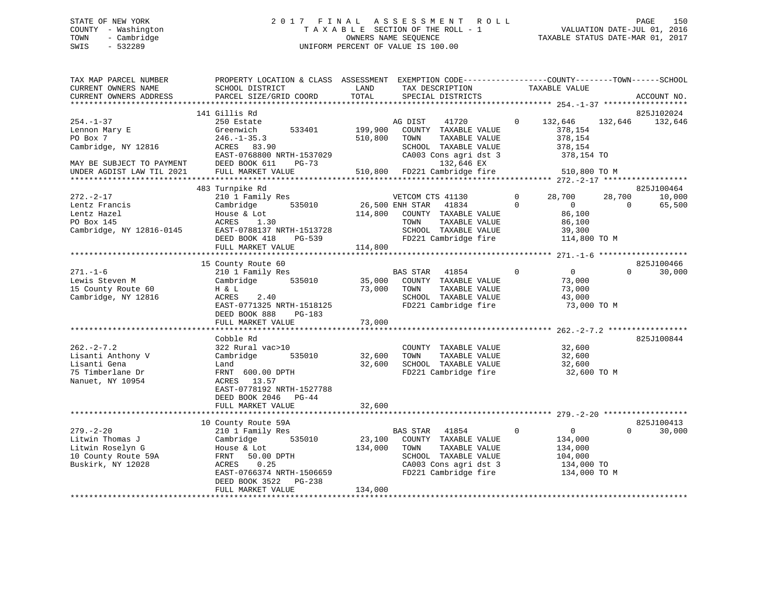## STATE OF NEW YORK 2 0 1 7 F I N A L A S S E S S M E N T R O L L PAGE 150 COUNTY - Washington T A X A B L E SECTION OF THE ROLL - 1 VALUATION DATE-JUL 01, 2016 TOWN - Cambridge OWNERS NAME SEQUENCE TAXABLE STATUS DATE-MAR 01, 2017 SWIS - 532289 UNIFORM PERCENT OF VALUE IS 100.00

| TAX MAP PARCEL NUMBER                   | PROPERTY LOCATION & CLASS ASSESSMENT EXEMPTION CODE----------------COUNTY-------TOWN------SCHOOL |         |                              |                |                            |                 |
|-----------------------------------------|--------------------------------------------------------------------------------------------------|---------|------------------------------|----------------|----------------------------|-----------------|
| CURRENT OWNERS NAME                     | SCHOOL DISTRICT                                                                                  | LAND    | TAX DESCRIPTION              |                | TAXABLE VALUE              |                 |
| CURRENT OWNERS ADDRESS                  | PARCEL SIZE/GRID COORD                                                                           | TOTAL   | SPECIAL DISTRICTS            |                |                            | ACCOUNT NO.     |
|                                         |                                                                                                  |         |                              |                |                            |                 |
|                                         | 141 Gillis Rd                                                                                    |         |                              |                |                            | 825J102024      |
| $254. - 1 - 37$                         | 250 Estate                                                                                       |         | 41720<br>AG DIST             | $\overline{0}$ | 132,646                    | 132,646 132,646 |
| Lennon Mary E                           | 533401<br>Greenwich                                                                              | 199,900 | COUNTY TAXABLE VALUE         |                | 378,154                    |                 |
| PO Box 7                                | $246. - 1 - 35.3$                                                                                | 510,800 | TOWN<br>TAXABLE VALUE        |                | 378,154                    |                 |
| Cambridge, NY 12816                     | ACRES 83.90                                                                                      |         | SCHOOL TAXABLE VALUE         |                | 378,154                    |                 |
|                                         | EAST-0768800 NRTH-1537029                                                                        |         | CA003 Cons agri dst 3        |                | 378,154 TO                 |                 |
| MAY BE SUBJECT TO PAYMENT DEED BOOK 611 | PG-73                                                                                            |         | 132,646 EX                   |                |                            |                 |
| UNDER AGDIST LAW TIL 2021               | FULL MARKET VALUE                                                                                |         | 510,800 FD221 Cambridge fire |                | 510,800 TO M               |                 |
|                                         |                                                                                                  |         |                              |                |                            |                 |
|                                         | 483 Turnpike Rd                                                                                  |         |                              |                |                            | 825J100464      |
| 272.-2-17                               | 210 1 Family Res                                                                                 |         | VETCOM CTS 41130             | $\Omega$       | 28,700<br>28,700           | 10,000          |
| Lentz Francis                           | 535010<br>Cambridge                                                                              |         | 26,500 ENH STAR 41834        | $\Omega$       | $\Omega$<br>$\Omega$       | 65,500          |
| Lentz Hazel                             | House & Lot                                                                                      | 114,800 | COUNTY TAXABLE VALUE         |                | 86,100                     |                 |
| PO Box 145                              | ACRES 1.30                                                                                       |         | TOWN<br>TAXABLE VALUE        |                | 86,100                     |                 |
| Cambridge, NY 12816-0145                | EAST-0788137 NRTH-1513728                                                                        |         | SCHOOL TAXABLE VALUE         |                | 39,300                     |                 |
|                                         | DEED BOOK 418<br>PG-539                                                                          |         | FD221 Cambridge fire         |                | 114,800 TO M               |                 |
|                                         | FULL MARKET VALUE                                                                                | 114,800 |                              |                |                            |                 |
|                                         |                                                                                                  |         |                              |                |                            |                 |
|                                         | 15 County Route 60                                                                               |         |                              |                |                            | 825J100466      |
| $271. - 1 - 6$                          | 210 1 Family Res                                                                                 |         | BAS STAR 41854               | $\overline{0}$ | $\overline{0}$<br>$\Omega$ | 30,000          |
| Lewis Steven M                          | 535010<br>Cambridge                                                                              | 35,000  | COUNTY TAXABLE VALUE         |                | 73,000                     |                 |
| 15 County Route 60                      | H & L                                                                                            | 73,000  | TAXABLE VALUE<br>TOWN        |                | 73,000                     |                 |
| Cambridge, NY 12816                     | ACRES<br>2.40                                                                                    |         | SCHOOL TAXABLE VALUE         |                | 43,000                     |                 |
|                                         | EAST-0771325 NRTH-1518125                                                                        |         | FD221 Cambridge fire         |                | 73,000 TO M                |                 |
|                                         | DEED BOOK 888<br>PG-183                                                                          |         |                              |                |                            |                 |
|                                         | FULL MARKET VALUE                                                                                | 73,000  |                              |                |                            |                 |
|                                         |                                                                                                  |         |                              |                |                            |                 |
|                                         | Cobble Rd                                                                                        |         |                              |                |                            | 825J100844      |
| $262 - 2 - 7.2$                         | 322 Rural vac>10                                                                                 |         | COUNTY TAXABLE VALUE         |                | 32,600                     |                 |
| Lisanti Anthony V                       | 535010<br>Cambridge                                                                              | 32,600  | TAXABLE VALUE<br>TOWN        |                | 32,600                     |                 |
| Lisanti Gena                            | Land                                                                                             | 32,600  | SCHOOL TAXABLE VALUE         |                | 32,600                     |                 |
| 75 Timberlane Dr                        | FRNT 600.00 DPTH                                                                                 |         | FD221 Cambridge fire         |                | 32,600 TO M                |                 |
| Nanuet, NY 10954                        | ACRES 13.57                                                                                      |         |                              |                |                            |                 |
|                                         | EAST-0778192 NRTH-1527788                                                                        |         |                              |                |                            |                 |
|                                         | DEED BOOK 2046 PG-44                                                                             |         |                              |                |                            |                 |
|                                         | FULL MARKET VALUE                                                                                | 32,600  |                              |                |                            |                 |
|                                         |                                                                                                  |         |                              |                |                            |                 |
|                                         | 10 County Route 59A                                                                              |         |                              |                |                            | 825J100413      |
| $279. - 2 - 20$                         |                                                                                                  |         | BAS STAR 41854               | $\mathbf 0$    | $\Omega$<br>$\overline{0}$ |                 |
|                                         | 210 1 Family Res                                                                                 |         |                              |                |                            | 30,000          |
| Litwin Thomas J                         | 535010<br>Cambridge                                                                              | 23,100  | COUNTY TAXABLE VALUE         |                | 134,000                    |                 |
| Litwin Roselyn G                        | House & Lot                                                                                      | 134,000 | TOWN<br>TAXABLE VALUE        |                | 134,000                    |                 |
| 10 County Route 59A                     | FRNT 50.00 DPTH                                                                                  |         | SCHOOL TAXABLE VALUE         |                | 104,000                    |                 |
| Buskirk, NY 12028                       | ACRES<br>0.25                                                                                    |         | CA003 Cons agri dst 3        |                | 134,000 TO                 |                 |
|                                         | EAST-0766374 NRTH-1506659                                                                        |         | FD221 Cambridge fire         |                | 134,000 TO M               |                 |
|                                         | PG-238<br>DEED BOOK 3522                                                                         |         |                              |                |                            |                 |
|                                         | FULL MARKET VALUE                                                                                | 134,000 |                              |                |                            |                 |
|                                         |                                                                                                  |         |                              |                |                            |                 |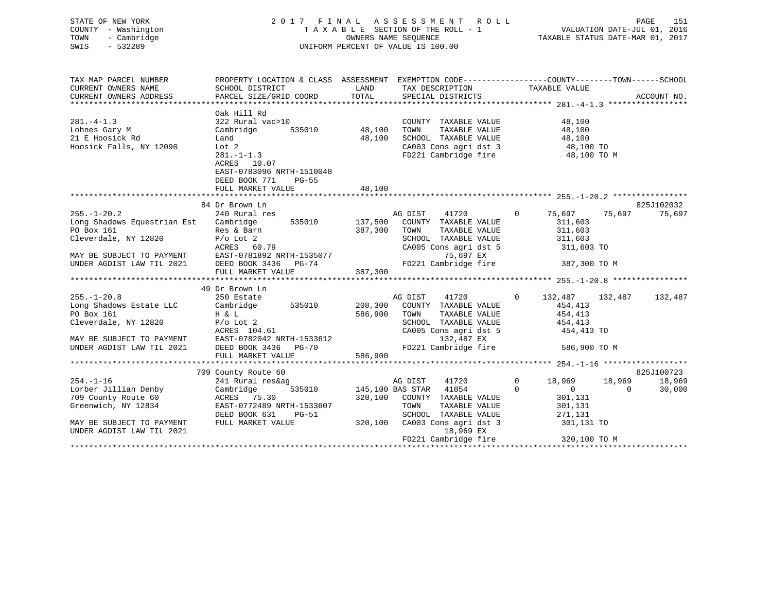|      | STATE OF NEW YORK   | 2017 FINAL ASSESSMENT ROLL         | 151<br>PAGE                      |
|------|---------------------|------------------------------------|----------------------------------|
|      | COUNTY - Washington | TAXABLE SECTION OF THE ROLL - 1    | VALUATION DATE-JUL 01, 2016      |
| TOWN | - Cambridge         | OWNERS NAME SEOUENCE               | TAXABLE STATUS DATE-MAR 01, 2017 |
| SWIS | - 532289            | UNIFORM PERCENT OF VALUE IS 100.00 |                                  |

| TAX MAP PARCEL NUMBER                                                                                                         | PROPERTY LOCATION & CLASS ASSESSMENT EXEMPTION CODE----------------COUNTY-------TOWN------SCHOOL |         |                                                                            |                                    |                          |
|-------------------------------------------------------------------------------------------------------------------------------|--------------------------------------------------------------------------------------------------|---------|----------------------------------------------------------------------------|------------------------------------|--------------------------|
| CURRENT OWNERS NAME                                                                                                           | SCHOOL DISTRICT                                                                                  | LAND    | TAX DESCRIPTION                                                            | TAXABLE VALUE                      |                          |
| CURRENT OWNERS ADDRESS                                                                                                        | PARCEL SIZE/GRID COORD                                                                           | TOTAL   | SPECIAL DISTRICTS                                                          |                                    | ACCOUNT NO.              |
|                                                                                                                               |                                                                                                  |         |                                                                            |                                    |                          |
|                                                                                                                               | Oak Hill Rd                                                                                      |         |                                                                            |                                    |                          |
| $281 - 4 - 1.3$                                                                                                               | 322 Rural vac>10                                                                                 |         | COUNTY TAXABLE VALUE                                                       | 48,100                             |                          |
| Lohnes Gary M                                                                                                                 | Cambridge<br>535010 48,100                                                                       |         | TOWN      TAXABLE  VALUE<br>SCHOOL   TAXABLE  VALUE                        | 48,100                             |                          |
| 21 E Hoosick Rd                                                                                                               | Land                                                                                             | 48,100  |                                                                            | 48,100                             |                          |
| Hoosick Falls, NY 12090                                                                                                       | Lot 2                                                                                            |         | CA003 Cons agri dst 3 48,100 TO                                            |                                    |                          |
|                                                                                                                               | $281 - 1 - 1.3$                                                                                  |         | FD221 Cambridge fire                                                       | 48,100 TO M                        |                          |
|                                                                                                                               | ACRES 10.07                                                                                      |         |                                                                            |                                    |                          |
|                                                                                                                               | EAST-0783096 NRTH-1510048                                                                        |         |                                                                            |                                    |                          |
|                                                                                                                               | DEED BOOK 771<br><b>PG-55</b>                                                                    |         |                                                                            |                                    |                          |
|                                                                                                                               | FULL MARKET VALUE                                                                                | 48,100  |                                                                            |                                    |                          |
|                                                                                                                               | 84 Dr Brown Ln                                                                                   |         |                                                                            |                                    | 825J102032               |
| $255. - 1 - 20.2$                                                                                                             | 240 Rural res                                                                                    |         | AG DIST<br>41720                                                           | 75,697 75,697<br>$0 \qquad \qquad$ | 75,697                   |
| Long Shadows Equestrian Est Cambridge                                                                                         | 535010 137,500                                                                                   |         | COUNTY TAXABLE VALUE                                                       | 311,603                            |                          |
| PO Box 161                                                                                                                    |                                                                                                  | 387,300 | TOWN<br>TAXABLE VALUE                                                      | 311,603                            |                          |
| Cleverdale, NY 12820 P/o Lot 2                                                                                                | Res & Barn<br>D'e Let 2                                                                          |         | SCHOOL TAXABLE VALUE                                                       | 311,603                            |                          |
|                                                                                                                               |                                                                                                  |         | CA005 Cons agri dst 5 311,603 TO                                           |                                    |                          |
|                                                                                                                               |                                                                                                  |         | 75,697 EX                                                                  |                                    |                          |
| MAY BE SUBJECT TO PAYMENT<br>MAY BE SUBJECT TO PAYMENT<br>UNDER AGDIST LAW TIL 2021 DEED BOOK 3436 PG-74                      |                                                                                                  |         | FD221 Cambridge fire 387,300 TO M                                          |                                    |                          |
|                                                                                                                               | FULL MARKET VALUE                                                                                | 387,300 |                                                                            |                                    |                          |
|                                                                                                                               |                                                                                                  |         |                                                                            |                                    |                          |
|                                                                                                                               | 49 Dr Brown Ln                                                                                   |         |                                                                            |                                    |                          |
|                                                                                                                               |                                                                                                  |         | AG DIST                                                                    | 41720 0 132,487 132,487            | 132,487                  |
|                                                                                                                               |                                                                                                  |         |                                                                            |                                    |                          |
| 250.-1-20.8<br>Long Shadows Estate LLC (250 Estate<br>PO Box 161 H & L                                                        |                                                                                                  |         | 208,300 COUNTY TAXABLE VALUE 454,413<br>586,900 TOWN TAXABLE VALUE 454,413 |                                    |                          |
| Cleverdale, NY 12820 P/o Lot 2                                                                                                |                                                                                                  |         | SCHOOL TAXABLE VALUE 454,413                                               |                                    |                          |
|                                                                                                                               | ACRES 104.61                                                                                     |         | CA005 Cons agri dst 5                                                      | 454,413 TO                         |                          |
|                                                                                                                               |                                                                                                  |         | 132,487 EX                                                                 |                                    |                          |
| MAY BE SUBJECT TO PAYMENT<br>UNDER AGDIST LAW TIL 2021 DEED BOOK 3436 PG-70<br>UNDER AGDIST LAW TIL 2021 DEED BOOK 3436 PG-70 |                                                                                                  |         | FD221 Cambridge fire                                                       | 586,900 TO M                       |                          |
|                                                                                                                               | FULL MARKET VALUE                                                                                | 586,900 |                                                                            |                                    |                          |
|                                                                                                                               |                                                                                                  |         |                                                                            |                                    |                          |
|                                                                                                                               | 709 County Route 60                                                                              |         |                                                                            |                                    | 825J100723               |
| $254. - 1 - 16$                                                                                                               | 241 Rural res&ag                                                                                 |         | 41720<br>AG DIST                                                           | $0 \qquad \qquad$<br>18,969 18,969 | 18,969                   |
| Lorber Jillian Denby                                                                                                          | Cambridge                                                                                        |         | 535010 145,100 BAS STAR 41854                                              | $\Omega$<br>$\overline{0}$         | $\overline{0}$<br>30,000 |
| 709 County Route 60                                                                                                           | ACRES 75.30                                                                                      |         | 320,100 COUNTY TAXABLE VALUE                                               | 301,131                            |                          |
| Greenwich, NY 12834                                                                                                           | EAST-0772489 NRTH-1533607                                                                        |         | TOWN      TAXABLE  VALUE<br>SCHOOL   TAXABLE  VALUE                        | 301,131                            |                          |
|                                                                                                                               | DEED BOOK 631<br>$PG-51$                                                                         |         |                                                                            | 271,131                            |                          |
| MAY BE SUBJECT TO PAYMENT                                                                                                     | FULL MARKET VALUE                                                                                |         | 320,100 CA003 Cons agri dst 3 301,131 TO                                   |                                    |                          |
| UNDER AGDIST LAW TIL 2021                                                                                                     |                                                                                                  |         | 18,969 EX                                                                  |                                    |                          |
|                                                                                                                               |                                                                                                  |         |                                                                            |                                    |                          |
|                                                                                                                               |                                                                                                  |         |                                                                            |                                    |                          |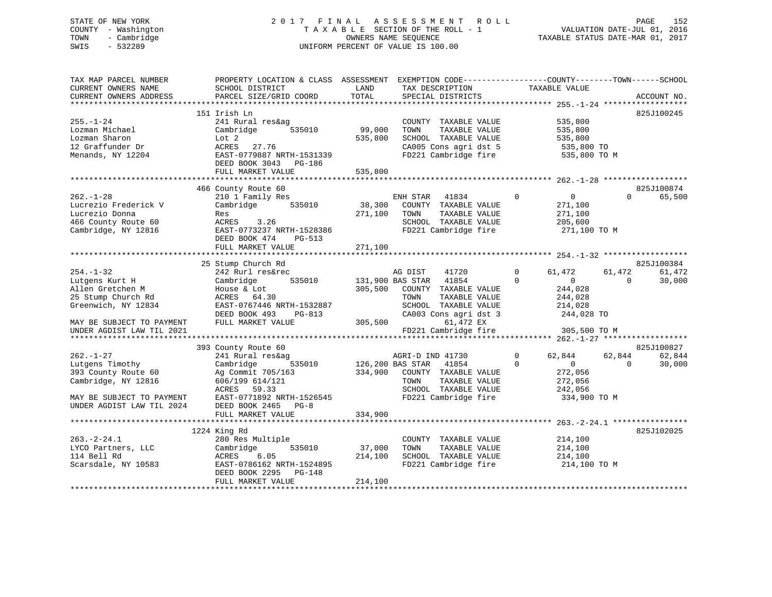## STATE OF NEW YORK 2 0 1 7 F I N A L A S S E S S M E N T R O L L PAGE 152 COUNTY - Washington T A X A B L E SECTION OF THE ROLL - 1 VALUATION DATE-JUL 01, 2016 TOWN - Cambridge OWNERS NAME SEQUENCE TAXABLE STATUS DATE-MAR 01, 2017 SWIS - 532289 UNIFORM PERCENT OF VALUE IS 100.00

| TAX MAP PARCEL NUMBER<br>CURRENT OWNERS NAME<br>CURRENT OWNERS ADDRESS | PROPERTY LOCATION & CLASS ASSESSMENT<br>SCHOOL DISTRICT<br>PARCEL SIZE/GRID COORD | LAND<br>TOTAL | EXEMPTION CODE-----------------COUNTY-------TOWN------SCHOOL<br>TAX DESCRIPTION<br>SPECIAL DISTRICTS | TAXABLE VALUE                  |          | ACCOUNT NO. |
|------------------------------------------------------------------------|-----------------------------------------------------------------------------------|---------------|------------------------------------------------------------------------------------------------------|--------------------------------|----------|-------------|
|                                                                        |                                                                                   |               |                                                                                                      |                                |          |             |
|                                                                        | 151 Irish Ln                                                                      |               |                                                                                                      |                                |          | 825J100245  |
| $255. - 1 - 24$                                                        | 241 Rural res&ag                                                                  |               | COUNTY TAXABLE VALUE                                                                                 | 535,800                        |          |             |
| Lozman Michael                                                         | Cambridge<br>535010                                                               | 99,000        | TOWN<br>TAXABLE VALUE                                                                                | 535,800                        |          |             |
| Lozman Sharon                                                          | Lot 2                                                                             | 535,800       | SCHOOL TAXABLE VALUE                                                                                 | 535,800                        |          |             |
| 12 Graffunder Dr<br>Menands, NY 12204                                  | ACRES<br>27.76<br>EAST-0779887 NRTH-1531339                                       |               | CA005 Cons agri dst 5<br>FD221 Cambridge fire                                                        | 535,800 TO                     |          |             |
|                                                                        | DEED BOOK 3043 PG-186                                                             |               |                                                                                                      | 535,800 TO M                   |          |             |
|                                                                        | FULL MARKET VALUE                                                                 | 535,800       |                                                                                                      |                                |          |             |
|                                                                        |                                                                                   |               |                                                                                                      |                                |          |             |
|                                                                        | 466 County Route 60                                                               |               |                                                                                                      |                                |          | 825J100874  |
| $262. - 1 - 28$                                                        | 210 1 Family Res                                                                  |               | ENH STAR<br>41834                                                                                    | $\mathbf{0}$<br>$\overline{0}$ | $\Omega$ | 65,500      |
| Lucrezio Frederick V                                                   | 535010<br>Cambridge                                                               | 38,300        | COUNTY TAXABLE VALUE                                                                                 | 271,100                        |          |             |
| Lucrezio Donna                                                         | Res                                                                               | 271,100       | TOWN<br>TAXABLE VALUE                                                                                | 271,100                        |          |             |
| 466 County Route 60                                                    | ACRES 3.26                                                                        |               | SCHOOL TAXABLE VALUE                                                                                 | 205,600                        |          |             |
| Cambridge, NY 12816                                                    | EAST-0773237 NRTH-1528386                                                         |               | FD221 Cambridge fire                                                                                 | 271,100 TO M                   |          |             |
|                                                                        | DEED BOOK 474<br>PG-513                                                           |               |                                                                                                      |                                |          |             |
|                                                                        | FULL MARKET VALUE                                                                 | 271,100       |                                                                                                      |                                |          |             |
|                                                                        |                                                                                   |               |                                                                                                      |                                |          |             |
|                                                                        | 25 Stump Church Rd                                                                |               |                                                                                                      |                                |          | 825J100384  |
| $254. - 1 - 32$                                                        | 242 Rurl res&rec                                                                  |               | AG DIST<br>41720                                                                                     | $\Omega$<br>61,472             | 61,472   | 61,472      |
| Lutgens Kurt H                                                         | 535010<br>Cambridge                                                               |               | 131,900 BAS STAR<br>41854                                                                            | $\Omega$<br>$\Omega$           | $\Omega$ | 30,000      |
| Allen Gretchen M                                                       | House & Lot                                                                       | 305,500       | COUNTY TAXABLE VALUE                                                                                 | 244,028                        |          |             |
| 25 Stump Church Rd                                                     | ACRES 64.30                                                                       |               | TOWN<br>TAXABLE VALUE                                                                                | 244,028                        |          |             |
| Greenwich, NY 12834                                                    | EAST-0767446 NRTH-1532887                                                         |               | SCHOOL TAXABLE VALUE                                                                                 | 214,028                        |          |             |
|                                                                        | DEED BOOK 493<br>PG-813                                                           |               | CA003 Cons agri dst 3                                                                                | 244,028 TO                     |          |             |
| MAY BE SUBJECT TO PAYMENT                                              | FULL MARKET VALUE                                                                 | 305,500       | 61,472 EX                                                                                            |                                |          |             |
| UNDER AGDIST LAW TIL 2021                                              |                                                                                   |               | FD221 Cambridge fire                                                                                 | 305,500 TO M                   |          |             |
|                                                                        |                                                                                   |               |                                                                                                      |                                |          |             |
|                                                                        | 393 County Route 60                                                               |               |                                                                                                      |                                |          | 825J100827  |
| $262. - 1 - 27$                                                        | 241 Rural res&ag                                                                  |               | AGRI-D IND 41730                                                                                     | $\mathbf 0$<br>62,844          | 62,844   | 62,844      |
| Lutgens Timothy                                                        | Cambridge<br>535010                                                               |               | 126,200 BAS STAR<br>41854                                                                            | $\Omega$<br>$\overline{0}$     | $\Omega$ | 30,000      |
| 393 County Route 60                                                    | Ag Commit 705/163                                                                 | 334,900       | COUNTY TAXABLE VALUE                                                                                 | 272,056                        |          |             |
| Cambridge, NY 12816                                                    | 606/199 614/121                                                                   |               | TOWN<br>TAXABLE VALUE                                                                                | 272,056                        |          |             |
|                                                                        | 59.33<br>ACRES                                                                    |               | SCHOOL TAXABLE VALUE                                                                                 | 242,056                        |          |             |
| MAY BE SUBJECT TO PAYMENT                                              | EAST-0771892 NRTH-1526545                                                         |               | FD221 Cambridge fire                                                                                 | 334,900 TO M                   |          |             |
| UNDER AGDIST LAW TIL 2024                                              | DEED BOOK 2465 PG-8                                                               |               |                                                                                                      |                                |          |             |
|                                                                        | FULL MARKET VALUE                                                                 | 334,900       |                                                                                                      |                                |          |             |
|                                                                        |                                                                                   |               |                                                                                                      |                                |          |             |
|                                                                        | 1224 King Rd                                                                      |               |                                                                                                      |                                |          | 825J102025  |
| $263. - 2 - 24.1$                                                      | 280 Res Multiple                                                                  |               | COUNTY TAXABLE VALUE                                                                                 | 214,100                        |          |             |
| LYCO Partners, LLC                                                     | Cambridge<br>535010                                                               | 37,000        | TAXABLE VALUE<br>TOWN                                                                                | 214,100                        |          |             |
| 114 Bell Rd                                                            | ACRES<br>6.05                                                                     | 214,100       | SCHOOL TAXABLE VALUE                                                                                 | 214,100                        |          |             |
| Scarsdale, NY 10583                                                    | EAST-0786162 NRTH-1524895                                                         |               | FD221 Cambridge fire                                                                                 | 214,100 TO M                   |          |             |
|                                                                        | DEED BOOK 2295<br>PG-148                                                          |               |                                                                                                      |                                |          |             |
|                                                                        | FULL MARKET VALUE                                                                 | 214,100       |                                                                                                      |                                |          |             |
|                                                                        |                                                                                   |               |                                                                                                      |                                |          |             |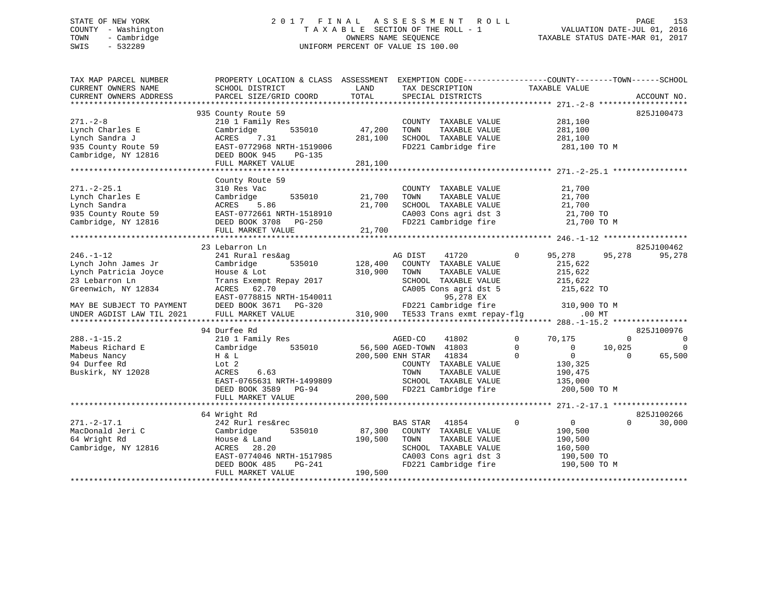## STATE OF NEW YORK 2 0 1 7 F I N A L A S S E S S M E N T R O L L PAGE 153 COUNTY - Washington T A X A B L E SECTION OF THE ROLL - 1 VALUATION DATE-JUL 01, 2016 TOWN - Cambridge OWNERS NAME SEQUENCE TAXABLE STATUS DATE-MAR 01, 2017 SWIS - 532289 UNIFORM PERCENT OF VALUE IS 100.00

| TAX MAP PARCEL NUMBER<br>CURRENT OWNERS NAME         | PROPERTY LOCATION & CLASS ASSESSMENT<br>SCHOOL DISTRICT                   | LAND             | TAX DESCRIPTION                                                       | EXEMPTION CODE-----------------COUNTY-------TOWN------SCHOOL<br>TAXABLE VALUE |                |
|------------------------------------------------------|---------------------------------------------------------------------------|------------------|-----------------------------------------------------------------------|-------------------------------------------------------------------------------|----------------|
| CURRENT OWNERS ADDRESS                               | PARCEL SIZE/GRID COORD                                                    | TOTAL            | SPECIAL DISTRICTS                                                     |                                                                               | ACCOUNT NO.    |
| $271. - 2 - 8$                                       | 935 County Route 59<br>210 1 Family Res                                   |                  | COUNTY TAXABLE VALUE                                                  | 281,100                                                                       | 825J100473     |
| Lynch Charles E                                      | Cambridge<br>535010                                                       | 47,200           | TOWN<br>TAXABLE VALUE                                                 | 281,100                                                                       |                |
| Lynch Sandra J                                       | ACRES<br>7.31                                                             | 281,100          | SCHOOL TAXABLE VALUE                                                  | 281,100                                                                       |                |
| 935 County Route 59<br>Cambridge, NY 12816           | EAST-0772968 NRTH-1519006<br>DEED BOOK 945<br>PG-135<br>FULL MARKET VALUE | 281,100          | FD221 Cambridge fire                                                  | 281,100 TO M                                                                  |                |
|                                                      |                                                                           |                  |                                                                       |                                                                               |                |
| $271. - 2 - 25.1$<br>Lynch Charles E<br>Lynch Sandra | County Route 59<br>310 Res Vac<br>535010<br>Cambridge<br>5.86<br>ACRES    | 21,700<br>21,700 | COUNTY TAXABLE VALUE<br>TAXABLE VALUE<br>TOWN<br>SCHOOL TAXABLE VALUE | 21,700<br>21,700<br>21,700                                                    |                |
| 935 County Route 59                                  | EAST-0772661 NRTH-1518910                                                 |                  | CA003 Cons agri dst 3                                                 | 21,700 TO                                                                     |                |
| Cambridge, NY 12816                                  | DEED BOOK 3708 PG-250                                                     |                  | FD221 Cambridge fire                                                  | 21,700 TO M                                                                   |                |
|                                                      | FULL MARKET VALUE                                                         | 21,700           |                                                                       |                                                                               |                |
|                                                      |                                                                           |                  |                                                                       |                                                                               |                |
|                                                      | 23 Lebarron Ln                                                            |                  |                                                                       |                                                                               | 825J100462     |
| $246. - 1 - 12$                                      | 241 Rural res&ag                                                          |                  | AG DIST<br>41720                                                      | 95,278<br>95,278<br>$\mathbf 0$                                               | 95,278         |
| Lynch John James Jr                                  | Cambridge<br>535010                                                       | 128,400          | COUNTY TAXABLE VALUE                                                  | 215,622                                                                       |                |
| Lynch Patricia Joyce<br>23 Lebarron Ln               | House & Lot                                                               | 310,900          | TAXABLE VALUE<br>TOWN<br>SCHOOL TAXABLE VALUE                         | 215,622<br>215,622                                                            |                |
| Greenwich, NY 12834                                  | Trans Exempt Repay 2017<br>62.70<br>ACRES                                 |                  | CA005 Cons agri dst 5                                                 | 215,622 TO                                                                    |                |
|                                                      | EAST-0778815 NRTH-1540011                                                 |                  | 95,278 EX                                                             |                                                                               |                |
| MAY BE SUBJECT TO PAYMENT                            | DEED BOOK 3671 PG-320                                                     |                  | FD221 Cambridge fire                                                  | 310,900 TO M                                                                  |                |
| UNDER AGDIST LAW TIL 2021                            | FULL MARKET VALUE                                                         |                  | 310,900 TE533 Trans exmt repay-flg                                    | $.00$ MT                                                                      |                |
|                                                      |                                                                           |                  |                                                                       |                                                                               |                |
|                                                      | 94 Durfee Rd                                                              |                  |                                                                       |                                                                               | 825J100976     |
| $288. - 1 - 15.2$                                    | 210 1 Family Res                                                          |                  | 41802<br>AGED-CO                                                      | $\mathbf 0$<br>70,175<br>$\mathbf{0}$                                         | $\overline{0}$ |
| Mabeus Richard E                                     | 535010<br>Cambridge                                                       |                  | 56,500 AGED-TOWN 41803                                                | $\Omega$<br>10,025<br>$\overline{0}$                                          | $\Omega$       |
| Mabeus Nancy                                         | H & L                                                                     |                  | 200,500 ENH STAR<br>41834                                             | $\Omega$<br>$\Omega$<br>$\Omega$                                              | 65,500         |
| 94 Durfee Rd                                         | Lot 2                                                                     |                  | COUNTY TAXABLE VALUE                                                  | 130,325                                                                       |                |
| Buskirk, NY 12028                                    | ACRES<br>6.63                                                             |                  | TOWN<br>TAXABLE VALUE                                                 | 190,475                                                                       |                |
|                                                      | EAST-0765631 NRTH-1499809                                                 |                  | SCHOOL TAXABLE VALUE                                                  | 135,000                                                                       |                |
|                                                      | DEED BOOK 3589 PG-94<br>FULL MARKET VALUE                                 | 200,500          | FD221 Cambridge fire                                                  | 200,500 TO M                                                                  |                |
|                                                      |                                                                           |                  |                                                                       |                                                                               |                |
|                                                      | 64 Wright Rd                                                              |                  |                                                                       |                                                                               | 825J100266     |
| $271. - 2 - 17.1$                                    | 242 Rurl res&rec                                                          |                  | BAS STAR<br>41854                                                     | $\mathbf{0}$<br>$\overline{0}$<br>$\Omega$                                    | 30,000         |
| MacDonald Jeri C                                     | Cambridge<br>535010                                                       | 87,300           | COUNTY TAXABLE VALUE                                                  | 190,500                                                                       |                |
| 64 Wright Rd                                         | House & Land                                                              | 190,500          | TAXABLE VALUE<br>TOWN                                                 | 190,500                                                                       |                |
| Cambridge, NY 12816                                  | ACRES<br>28.20                                                            |                  | SCHOOL TAXABLE VALUE                                                  | 160,500                                                                       |                |
|                                                      | EAST-0774046 NRTH-1517985                                                 |                  | CA003 Cons agri dst 3                                                 | 190,500 TO                                                                    |                |
|                                                      | PG-241<br>DEED BOOK 485                                                   |                  | FD221 Cambridge fire                                                  | 190,500 TO M                                                                  |                |
|                                                      | FULL MARKET VALUE                                                         | 190,500          |                                                                       |                                                                               |                |
|                                                      |                                                                           |                  |                                                                       |                                                                               |                |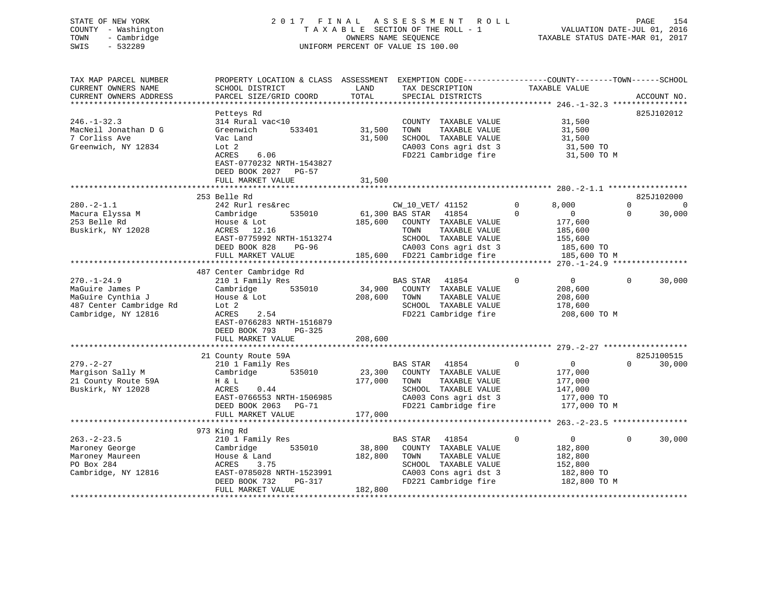## STATE OF NEW YORK 2 0 1 7 F I N A L A S S E S S M E N T R O L L PAGE 154 COUNTY - Washington T A X A B L E SECTION OF THE ROLL - 1 VALUATION DATE-JUL 01, 2016 TOWN - Cambridge OWNERS NAME SEQUENCE TAXABLE STATUS DATE-MAR 01, 2017 SWIS - 532289 UNIFORM PERCENT OF VALUE IS 100.00

| TAX MAP PARCEL NUMBER<br>CURRENT OWNERS NAME<br>CURRENT OWNERS ADDRESS                                      | PROPERTY LOCATION & CLASS ASSESSMENT<br>SCHOOL DISTRICT<br>PARCEL SIZE/GRID COORD                                                                                      | LAND<br>TOTAL                | EXEMPTION CODE-----------------COUNTY-------TOWN------SCHOOL<br>TAX DESCRIPTION<br>SPECIAL DISTRICTS                                        | TAXABLE VALUE                                                                                | ACCOUNT NO.                                              |
|-------------------------------------------------------------------------------------------------------------|------------------------------------------------------------------------------------------------------------------------------------------------------------------------|------------------------------|---------------------------------------------------------------------------------------------------------------------------------------------|----------------------------------------------------------------------------------------------|----------------------------------------------------------|
| *********************                                                                                       |                                                                                                                                                                        |                              |                                                                                                                                             |                                                                                              |                                                          |
| $246. - 1 - 32.3$<br>MacNeil Jonathan D G<br>7 Corliss Ave<br>Greenwich, NY 12834                           | Petteys Rd<br>314 Rural vac<10<br>533401<br>Greenwich<br>Vac Land<br>Lot <sub>2</sub><br>ACRES<br>6.06<br>EAST-0770232 NRTH-1543827<br>DEED BOOK 2027 PG-57            | 31,500<br>31,500             | COUNTY TAXABLE VALUE<br>TOWN<br>TAXABLE VALUE<br>SCHOOL TAXABLE VALUE<br>CA003 Cons agri dst 3<br>FD221 Cambridge fire                      | 31,500<br>31,500<br>31,500<br>31,500 TO<br>31,500 TO M                                       | 825J102012                                               |
|                                                                                                             | FULL MARKET VALUE                                                                                                                                                      | 31,500                       |                                                                                                                                             |                                                                                              |                                                          |
| $280. -2 - 1.1$<br>Macura Elyssa M<br>253 Belle Rd<br>Buskirk, NY 12028                                     | 253 Belle Rd<br>242 Rurl res&rec<br>535010<br>Cambridge<br>House & Lot<br>ACRES 12.16<br>EAST-0775992 NRTH-1513274                                                     | 185,600                      | CW_10_VET/ 41152<br>61,300 BAS STAR<br>41854<br>COUNTY TAXABLE VALUE<br>TOWN<br>TAXABLE VALUE<br>SCHOOL TAXABLE VALUE                       | 8,000<br>0<br>$\mathbf{0}$<br>$\Omega$<br>177,600<br>185,600<br>155,600                      | 825J102000<br>$\Omega$<br>$\Omega$<br>30,000<br>$\Omega$ |
|                                                                                                             | DEED BOOK 828<br>$PG-96$<br>FULL MARKET VALUE                                                                                                                          |                              | CA003 Cons agri dst 3<br>185,600 FD221 Cambridge fire                                                                                       | 185,600 TO<br>185,600 TO M                                                                   |                                                          |
|                                                                                                             | 487 Center Cambridge Rd                                                                                                                                                |                              |                                                                                                                                             |                                                                                              |                                                          |
| $270. - 1 - 24.9$<br>MaGuire James P<br>MaGuire Cynthia J<br>487 Center Cambridge Rd<br>Cambridge, NY 12816 | 210 1 Family Res<br>535010<br>Cambridge<br>House & Lot<br>Lot 2<br>ACRES<br>2.54<br>EAST-0766283 NRTH-1516879<br>DEED BOOK 793<br>PG-325                               | 34,900<br>208,600            | BAS STAR<br>41854<br>COUNTY TAXABLE VALUE<br>TOWN<br>TAXABLE VALUE<br>SCHOOL TAXABLE VALUE<br>FD221 Cambridge fire                          | $\mathbf 0$<br>$\mathbf 0$<br>208,600<br>208,600<br>178,600<br>208,600 TO M                  | 30,000<br>$\mathbf 0$                                    |
|                                                                                                             | FULL MARKET VALUE                                                                                                                                                      | 208,600                      |                                                                                                                                             |                                                                                              |                                                          |
|                                                                                                             | 21 County Route 59A                                                                                                                                                    |                              |                                                                                                                                             |                                                                                              | 825J100515                                               |
| $279. - 2 - 27$<br>Margison Sally M<br>21 County Route 59A<br>Buskirk, NY 12028                             | 210 1 Family Res<br>Cambridge<br>535010<br>H & L<br>ACRES<br>0.44<br>EAST-0766553 NRTH-1506985<br>DEED BOOK 2063 PG-71<br>FULL MARKET VALUE                            | 23,300<br>177,000<br>177,000 | BAS STAR<br>41854<br>COUNTY TAXABLE VALUE<br>TOWN<br>TAXABLE VALUE<br>SCHOOL TAXABLE VALUE<br>CA003 Cons agri dst 3<br>FD221 Cambridge fire | 0<br>$\overline{0}$<br>177,000<br>177,000<br>147,000<br>177,000 TO<br>177,000 TO M           | 30,000<br>$\Omega$                                       |
|                                                                                                             | ************************                                                                                                                                               |                              |                                                                                                                                             |                                                                                              |                                                          |
| $263 - 2 - 23.5$<br>Maroney George<br>Maroney Maureen<br>PO Box 284<br>Cambridge, NY 12816                  | 973 King Rd<br>210 1 Family Res<br>535010<br>Cambridge<br>House & Land<br>3.75<br>ACRES<br>EAST-0785028 NRTH-1523991<br>DEED BOOK 732<br>$PG-317$<br>FULL MARKET VALUE | 38,800<br>182,800<br>182,800 | BAS STAR<br>41854<br>COUNTY TAXABLE VALUE<br>TAXABLE VALUE<br>TOWN<br>SCHOOL TAXABLE VALUE<br>CA003 Cons agri dst 3<br>FD221 Cambridge fire | $\mathbf 0$<br>$\overline{0}$<br>182,800<br>182,800<br>152,800<br>182,800 TO<br>182,800 TO M | 30,000<br>$\mathbf 0$                                    |
|                                                                                                             |                                                                                                                                                                        |                              |                                                                                                                                             |                                                                                              |                                                          |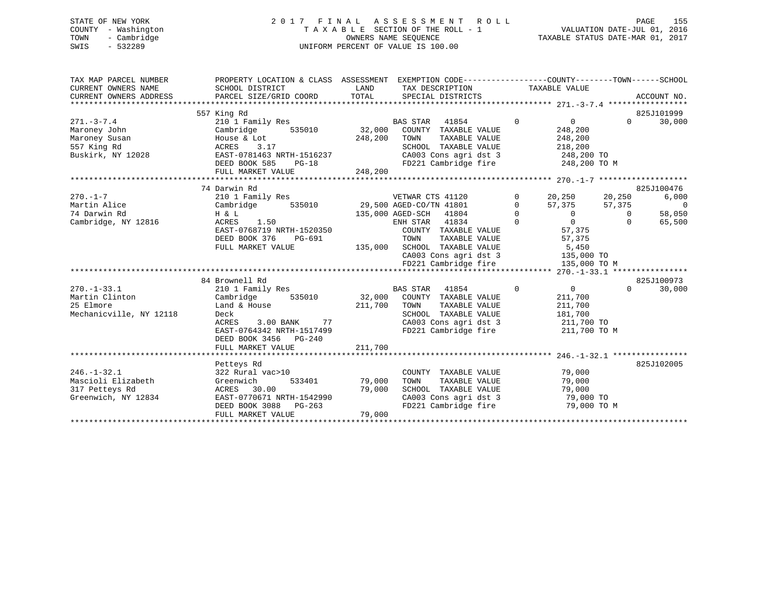## STATE OF NEW YORK 2 0 1 7 F I N A L A S S E S S M E N T R O L L PAGE 155 COUNTY - Washington T A X A B L E SECTION OF THE ROLL - 1 VALUATION DATE-JUL 01, 2016 TOWN - Cambridge OWNERS NAME SEQUENCE TAXABLE STATUS DATE-MAR 01, 2017 SWIS - 532289 UNIFORM PERCENT OF VALUE IS 100.00

| TAX MAP PARCEL NUMBER<br>CURRENT OWNERS NAME<br>CURRENT OWNERS ADDRESS                                                                              | PROPERTY LOCATION & CLASS ASSESSMENT<br>SCHOOL DISTRICT<br>PARCEL SIZE/GRID COORD                                                                                                                                                                                                                             | LAND                              | EXEMPTION CODE-----------------COUNTY-------TOWN------SCHOOL<br>TAX DESCRIPTION TAXABLE VALUE<br>TOTAL SPECIAL DISTRICTS                                                                                                                                                                                      |                                                                                                                                                                                                                                                                            |                                                                    |                                                                                   |
|-----------------------------------------------------------------------------------------------------------------------------------------------------|---------------------------------------------------------------------------------------------------------------------------------------------------------------------------------------------------------------------------------------------------------------------------------------------------------------|-----------------------------------|---------------------------------------------------------------------------------------------------------------------------------------------------------------------------------------------------------------------------------------------------------------------------------------------------------------|----------------------------------------------------------------------------------------------------------------------------------------------------------------------------------------------------------------------------------------------------------------------------|--------------------------------------------------------------------|-----------------------------------------------------------------------------------|
| $271. - 3 - 7.4$<br>Maroney John<br>Maroney Susan<br>557 King Rd<br>Buskirk, NY 12028                                                               | 557 King Rd<br>210 1 Family Res<br>Cambridge 535010<br>House & Lot<br>3.17<br>ACRES<br>EAST-0781463 NRTH-1516237<br>DEED BOOK 585<br>$PG-18$<br>FULL MARKET VALUE                                                                                                                                             | 248,200<br>248,200                | BAS STAR 41854<br>32,000 COUNTY TAXABLE VALUE<br>TAXABLE VALUE<br>TOWN<br>SCHOOL TAXABLE VALUE 218,200<br>CA003 Cons agri dst 3 248,200 TO<br>FD221 Cambridge fire 248,200 TO M                                                                                                                               | $\overline{0}$<br>$\overline{0}$<br>248,200<br>248,200                                                                                                                                                                                                                     | $\Omega$                                                           | 825J101999<br>30,000                                                              |
|                                                                                                                                                     |                                                                                                                                                                                                                                                                                                               |                                   |                                                                                                                                                                                                                                                                                                               |                                                                                                                                                                                                                                                                            |                                                                    |                                                                                   |
| $270. -1 - 7$<br>Martin Alice<br>74 Darwin Rd<br>Cambridge, NY 12816<br>$270. - 1 - 33.1$<br>Martin Clinton<br>25 Elmore<br>Mechanicville, NY 12118 | 74 Darwin Rd<br>H & L<br>ACRES 1.50<br>EAST-0768719 NRTH-1520350<br>DEED BOOK 376<br>PG-691<br>FULL MARKET VALUE<br>84 Brownell Rd<br>210 1 Family Res<br>Cambridge 535010 32,000 COUNTY TAXABLE VALUE<br>Land & House<br>Deck<br>3.00 BANK 77<br>ACRES<br>EAST-0764342 NRTH-1517499<br>DEED BOOK 3456 PG-240 | 211,700                           | ENH STAR 41834<br>COUNTY TAXABLE VALUE<br>TOWN<br>TAXABLE VALUE<br>135,000 SCHOOL TAXABLE VALUE<br>SCHOOL TAXABLE VALUE 5,450<br>CA003 Cons agri dst 3 135,000 TO<br>FD221 Cambridge fire<br>BAS STAR 41854<br>TAXABLE VALUE<br>TOWN<br>SCHOOL TAXABLE VALUE<br>CA003 Cons agri dst 3<br>FD221 Cambridge fire | 0<br>20,250 20,250<br>$\overline{0}$<br>57,375<br>$\overline{0}$<br>$\begin{matrix} 0 \\ 0 \end{matrix}$<br>$\overline{0}$<br>57,375<br>57,375<br>5,450<br>135,000 TO M<br>$\overline{0}$<br>$\overline{0}$<br>211,700<br>211,700<br>181,700<br>211,700 TO<br>211,700 TO M | 57,375<br>$\begin{array}{c} 0 \end{array}$<br>$\Omega$<br>$\Omega$ | 825J100476<br>6,000<br>$\overline{0}$<br>58,050<br>65,500<br>825J100973<br>30,000 |
|                                                                                                                                                     | FULL MARKET VALUE                                                                                                                                                                                                                                                                                             | 211,700                           |                                                                                                                                                                                                                                                                                                               |                                                                                                                                                                                                                                                                            |                                                                    |                                                                                   |
| $246. - 1 - 32.1$<br>Mascioli Elizabeth<br>317 Petteys Rd<br>Greenwich, NY 12834                                                                    | Petteys Rd<br>322 Rural vac>10<br>Greenwich<br>30.00<br>ACRES<br>EAST-0770671 NRTH-1542990<br>DEED BOOK 3088 PG-263<br>FULL MARKET VALUE                                                                                                                                                                      | 533401 79,000<br>79,000<br>79,000 | COUNTY TAXABLE VALUE<br>TOWN<br>TAXABLE VALUE<br>SCHOOL TAXABLE VALUE<br>CA003 Cons agri dst 3 79,000 TO<br>FD221 Cambridge fire                                                                                                                                                                              | 79,000<br>79,000<br>79,000<br>79,000 TO M                                                                                                                                                                                                                                  |                                                                    | 825J102005                                                                        |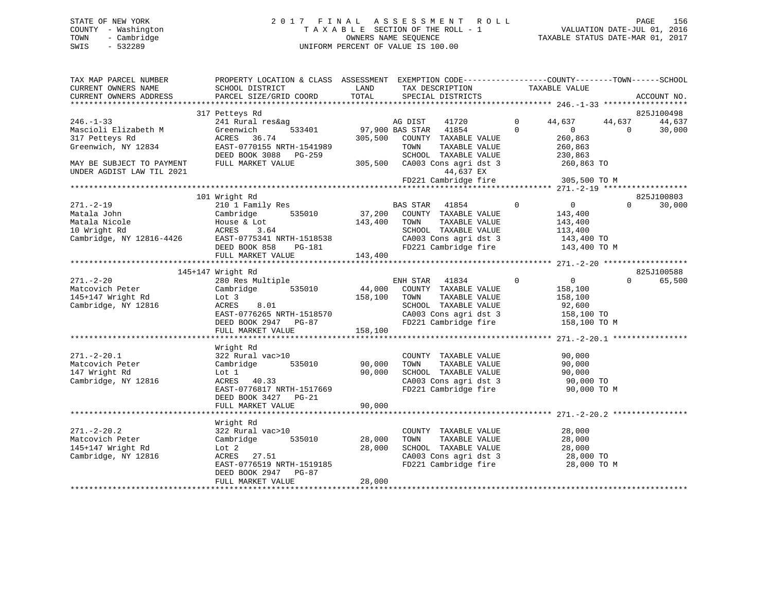## STATE OF NEW YORK 2 0 1 7 F I N A L A S S E S S M E N T R O L L PAGE 156 COUNTY - Washington T A X A B L E SECTION OF THE ROLL - 1 VALUATION DATE-JUL 01, 2016 TOWN - Cambridge OWNERS NAME SEQUENCE TAXABLE STATUS DATE-MAR 01, 2017 SWIS - 532289 UNIFORM PERCENT OF VALUE IS 100.00

| TOTAL<br>PARCEL SIZE/GRID COORD<br>CURRENT OWNERS ADDRESS<br>SPECIAL DISTRICTS<br>ACCOUNT NO.<br>825J100498<br>317 Petteys Rd<br>AG DIST<br>$\Omega$<br>$246. - 1 - 33$<br>241 Rural res&ag<br>44,637<br>44,637<br>41720<br>97,900 BAS STAR 41854<br>$\Omega$<br>Mascioli Elizabeth M<br>533401<br>$\overline{0}$<br>Greenwich<br>$\Omega$ | 44,637<br>30,000 |
|--------------------------------------------------------------------------------------------------------------------------------------------------------------------------------------------------------------------------------------------------------------------------------------------------------------------------------------------|------------------|
|                                                                                                                                                                                                                                                                                                                                            |                  |
|                                                                                                                                                                                                                                                                                                                                            |                  |
|                                                                                                                                                                                                                                                                                                                                            |                  |
|                                                                                                                                                                                                                                                                                                                                            |                  |
| 317 Petteys Rd<br>305,500 COUNTY TAXABLE VALUE<br>260,863<br>ACRES 36.74                                                                                                                                                                                                                                                                   |                  |
| Greenwich, NY 12834<br>EAST-0770155 NRTH-1541989<br>TAXABLE VALUE<br>260,863<br>TOWN<br>DEED BOOK 3088 PG-259<br>SCHOOL TAXABLE VALUE                                                                                                                                                                                                      |                  |
| 230,863<br>FULL MARKET VALUE<br>305,500 CA003 Cons agri dst 3<br>MAY BE SUBJECT TO PAYMENT<br>260,863 TO                                                                                                                                                                                                                                   |                  |
| 44,637 EX<br>UNDER AGDIST LAW TIL 2021                                                                                                                                                                                                                                                                                                     |                  |
| FD221 Cambridge fire<br>305,500 TO M                                                                                                                                                                                                                                                                                                       |                  |
| 101 Wright Rd                                                                                                                                                                                                                                                                                                                              |                  |
| 825J100803<br>$\Omega$<br>$271. - 2 - 19$<br>210 1 Family Res<br>BAS STAR 41854<br>$\overline{0}$<br>$\Omega$                                                                                                                                                                                                                              | 30,000           |
| 37,200<br>535010<br>Cambridge<br>Matala John<br>COUNTY TAXABLE VALUE<br>143,400                                                                                                                                                                                                                                                            |                  |
| TAXABLE VALUE<br>Matala Nicole<br>143,400<br>TOWN<br>143,400                                                                                                                                                                                                                                                                               |                  |
| House & Lot<br>ACRES 3.64<br>10 Wright Rd<br>SCHOOL TAXABLE VALUE<br>113,400                                                                                                                                                                                                                                                               |                  |
| Lu wrignt Rd<br>Cambridge, NY 12816-4426<br>EAST-0775341 NRTH-1518538<br>CA003 Cons agri dst 3<br>143,400 TO                                                                                                                                                                                                                               |                  |
| FD221 Cambridge fire<br>PG-181<br>DEED BOOK 858<br>143,400 TO M                                                                                                                                                                                                                                                                            |                  |
|                                                                                                                                                                                                                                                                                                                                            |                  |
|                                                                                                                                                                                                                                                                                                                                            |                  |
| 145+147 Wright Rd<br>825J100588                                                                                                                                                                                                                                                                                                            |                  |
| $271. - 2 - 20$<br>$\mathbf 0$<br>$\overline{0}$<br>280 Res Multiple<br>ENH STAR 41834<br>$\Omega$                                                                                                                                                                                                                                         | 65,500           |
| 44,000<br>Matcovich Peter<br>Cambridge 535010<br>COUNTY TAXABLE VALUE<br>158,100                                                                                                                                                                                                                                                           |                  |
| 145+147 Wright Rd<br>158,100<br>Lot 3<br>TOWN<br>TAXABLE VALUE<br>158,100                                                                                                                                                                                                                                                                  |                  |
| Cambridge, NY 12816<br>ACRES<br>8.01<br>SCHOOL TAXABLE VALUE<br>92,600<br>CA003 Cons agri dst 3<br>EAST-0776265 NRTH-1518570                                                                                                                                                                                                               |                  |
| 158,100 TO<br>150,100 TO M<br>FD221 Cambridge fire<br>DEED BOOK 2947 PG-87                                                                                                                                                                                                                                                                 |                  |
| 158,100<br>FULL MARKET VALUE                                                                                                                                                                                                                                                                                                               |                  |
|                                                                                                                                                                                                                                                                                                                                            |                  |
| Wright Rd                                                                                                                                                                                                                                                                                                                                  |                  |
| $271. - 2 - 20.1$<br>322 Rural vac>10<br>COUNTY TAXABLE VALUE<br>90,000                                                                                                                                                                                                                                                                    |                  |
| 535010<br>90,000<br>Matcovich Peter<br>Cambridge<br>TOWN<br>TAXABLE VALUE<br>90,000                                                                                                                                                                                                                                                        |                  |
| 147 Wright Rd<br>90,000<br>SCHOOL TAXABLE VALUE<br>90,000<br>Lot 1                                                                                                                                                                                                                                                                         |                  |
| CA003 Cons agri dst 3<br>Cambridge, NY 12816<br>ACRES 40.33<br>90,000 TO                                                                                                                                                                                                                                                                   |                  |
| EAST-0776817 NRTH-1517669<br>FD221 Cambridge fire<br>90,000 TO M                                                                                                                                                                                                                                                                           |                  |
| DEED BOOK 3427 PG-21                                                                                                                                                                                                                                                                                                                       |                  |
| FULL MARKET VALUE<br>90,000                                                                                                                                                                                                                                                                                                                |                  |
| Wright Rd                                                                                                                                                                                                                                                                                                                                  |                  |
| $271. - 2 - 20.2$<br>322 Rural vac>10<br>28,000<br>COUNTY TAXABLE VALUE                                                                                                                                                                                                                                                                    |                  |
| Matcovich Peter<br>Cambridge 535010<br>28,000<br>TOWN<br>TAXABLE VALUE<br>28,000                                                                                                                                                                                                                                                           |                  |
| 145+147 Wright Rd<br>28,000<br>SCHOOL TAXABLE VALUE<br>28,000<br>Lot 2                                                                                                                                                                                                                                                                     |                  |
| Cambridge, NY 12816<br>ACRES 27.51<br>CA003 Cons agri dst 3<br>28,000 TO                                                                                                                                                                                                                                                                   |                  |
| FD221 Cambridge fire<br>EAST-0776519 NRTH-1519185<br>28,000 TO M                                                                                                                                                                                                                                                                           |                  |
| DEED BOOK 2947 PG-87                                                                                                                                                                                                                                                                                                                       |                  |
| FULL MARKET VALUE<br>28,000                                                                                                                                                                                                                                                                                                                |                  |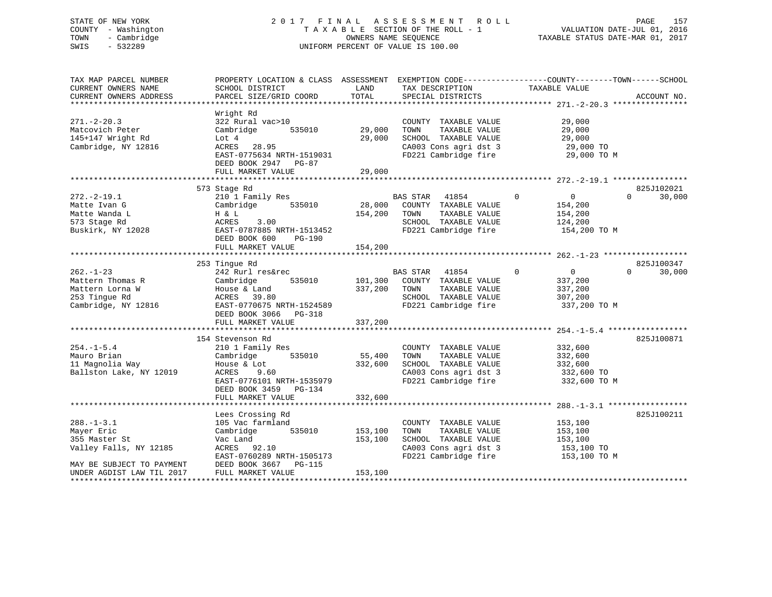## STATE OF NEW YORK 2 0 1 7 F I N A L A S S E S S M E N T R O L L PAGE 157 COUNTY - Washington T A X A B L E SECTION OF THE ROLL - 1 VALUATION DATE-JUL 01, 2016 TOWN - Cambridge OWNERS NAME SEQUENCE TAXABLE STATUS DATE-MAR 01, 2017 SWIS - 532289 UNIFORM PERCENT OF VALUE IS 100.00

| TAX MAP PARCEL NUMBER<br>CURRENT OWNERS NAME<br>CURRENT OWNERS ADDRESS                         | PROPERTY LOCATION & CLASS ASSESSMENT EXEMPTION CODE---------------COUNTY-------TOWN------SCHOOL<br>SCHOOL DISTRICT<br>PARCEL SIZE/GRID COORD                   | LAND<br>TOTAL                | TAX DESCRIPTION<br>SPECIAL DISTRICTS                                                                                   | TAXABLE VALUE                                                               | ACCOUNT NO.        |
|------------------------------------------------------------------------------------------------|----------------------------------------------------------------------------------------------------------------------------------------------------------------|------------------------------|------------------------------------------------------------------------------------------------------------------------|-----------------------------------------------------------------------------|--------------------|
| $271. - 2 - 20.3$<br>Matcovich Peter<br>145+147 Wright Rd<br>Cambridge, NY 12816               | Wright Rd<br>322 Rural vac>10<br>Cambridge<br>535010<br>Lot 4<br>28.95<br>ACRES<br>EAST-0775634 NRTH-1519031<br>DEED BOOK 2947 PG-87<br>FULL MARKET VALUE      | 29,000<br>29,000<br>29,000   | COUNTY TAXABLE VALUE<br>TAXABLE VALUE<br>TOWN<br>SCHOOL TAXABLE VALUE<br>CA003 Cons agri dst 3<br>FD221 Cambridge fire | 29,000<br>29,000<br>29,000<br>29,000 TO<br>29,000 TO M                      |                    |
|                                                                                                |                                                                                                                                                                |                              |                                                                                                                        |                                                                             | 825J102021         |
| $272. - 2 - 19.1$<br>Matte Ivan G<br>Matte Wanda L<br>573 Stage Rd<br>Buskirk, NY 12028        | 573 Stage Rd<br>210 1 Family Res<br>535010<br>Cambridge<br>H & L<br>3.00<br>ACRES<br>EAST-0787885 NRTH-1513452<br>DEED BOOK 600<br>PG-190<br>FULL MARKET VALUE | 28,000<br>154,200<br>154,200 | BAS STAR<br>41854<br>COUNTY TAXABLE VALUE<br>TAXABLE VALUE<br>TOWN<br>SCHOOL TAXABLE VALUE<br>FD221 Cambridge fire     | $\Omega$<br>$\Omega$<br>154,200<br>154,200<br>124,200<br>154,200 TO M       | 30,000<br>$\Omega$ |
|                                                                                                |                                                                                                                                                                |                              |                                                                                                                        |                                                                             |                    |
|                                                                                                | 253 Tingue Rd                                                                                                                                                  |                              |                                                                                                                        |                                                                             | 825J100347         |
| $262. - 1 - 23$<br>Mattern Thomas R<br>Mattern Lorna W<br>253 Tingue Rd<br>Cambridge, NY 12816 | 242 Rurl res&rec<br>535010<br>Cambridge<br>House & Land<br>ACRES 39.80<br>EAST-0770675 NRTH-1524589<br>DEED BOOK 3066 PG-318                                   | 101,300<br>337,200           | BAS STAR 41854<br>COUNTY TAXABLE VALUE<br>TOWN<br>TAXABLE VALUE<br>SCHOOL TAXABLE VALUE<br>FD221 Cambridge fire        | $\Omega$<br>$\overline{0}$<br>337,200<br>337,200<br>307,200<br>337,200 TO M | 30,000<br>$\Omega$ |
|                                                                                                | FULL MARKET VALUE                                                                                                                                              | 337,200                      |                                                                                                                        |                                                                             |                    |
| $254. -1 - 5.4$<br>Mauro Brian                                                                 | 154 Stevenson Rd<br>210 1 Family Res<br>535010<br>Cambridge                                                                                                    | 55,400                       | COUNTY TAXABLE VALUE<br>TAXABLE VALUE<br>TOWN                                                                          | 332,600<br>332,600                                                          | 825J100871         |
| 11 Magnolia Way<br>Ballston Lake, NY 12019                                                     | House & Lot<br>ACRES<br>9.60<br>EAST-0776101 NRTH-1535979<br>DEED BOOK 3459 PG-134<br>FULL MARKET VALUE                                                        | 332,600<br>332,600           | SCHOOL TAXABLE VALUE<br>CA003 Cons agri dst 3<br>FD221 Cambridge fire                                                  | 332,600<br>332,600 TO<br>332,600 TO M                                       |                    |
|                                                                                                |                                                                                                                                                                |                              |                                                                                                                        |                                                                             |                    |
| $288. - 1 - 3.1$                                                                               | Lees Crossing Rd<br>105 Vac farmland                                                                                                                           |                              | COUNTY TAXABLE VALUE                                                                                                   | 153,100                                                                     | 825J100211         |
| Mayer Eric<br>355 Master St<br>Valley Falls, NY 12185                                          | 535010<br>Cambridge<br>Vac Land<br>ACRES 92.10<br>EAST-0760289 NRTH-1505173                                                                                    | 153,100<br>153,100           | TAXABLE VALUE<br>TOWN<br>SCHOOL TAXABLE VALUE<br>CA003 Cons agri dst 3<br>FD221 Cambridge fire                         | 153,100<br>153,100<br>153,100 TO<br>153,100 TO M                            |                    |
| MAY BE SUBJECT TO PAYMENT<br>UNDER AGDIST LAW TIL 2017                                         | DEED BOOK 3667 PG-115<br>FULL MARKET VALUE                                                                                                                     | 153,100                      |                                                                                                                        |                                                                             |                    |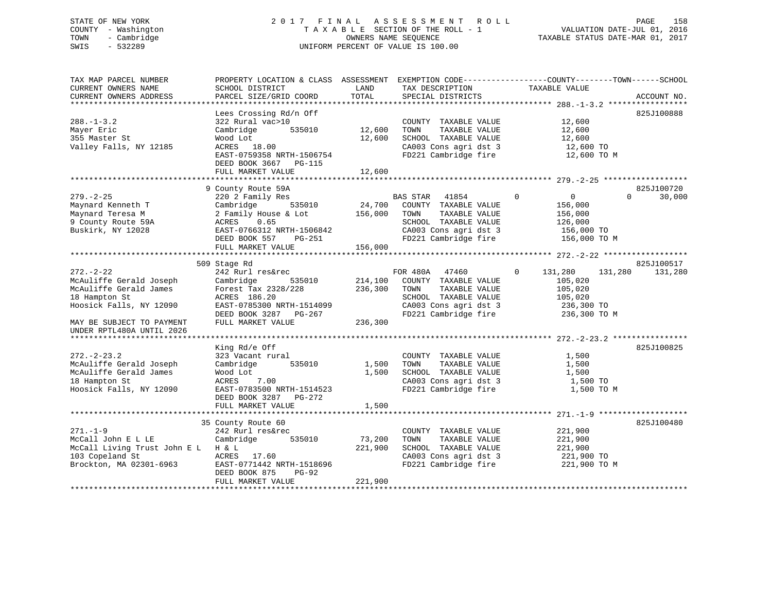## STATE OF NEW YORK 2 0 1 7 F I N A L A S S E S S M E N T R O L L PAGE 158 COUNTY - Washington T A X A B L E SECTION OF THE ROLL - 1 VALUATION DATE-JUL 01, 2016 TOWN - Cambridge OWNERS NAME SEQUENCE TAXABLE STATUS DATE-MAR 01, 2017 SWIS - 532289 UNIFORM PERCENT OF VALUE IS 100.00

| TAX MAP PARCEL NUMBER<br>CURRENT OWNERS NAME<br>CURRENT OWNERS ADDRESS                                                                                                     | SCHOOL DISTRICT<br>PARCEL SIZE/GRID COORD                                                                                                                                                  | LAND<br>TOTAL                 | TAX DESCRIPTION<br>SPECIAL DISTRICTS                                                                                                        | PROPERTY LOCATION & CLASS ASSESSMENT EXEMPTION CODE---------------COUNTY-------TOWN------SCHOOL<br>TAXABLE VALUE | ACCOUNT NO.                         |
|----------------------------------------------------------------------------------------------------------------------------------------------------------------------------|--------------------------------------------------------------------------------------------------------------------------------------------------------------------------------------------|-------------------------------|---------------------------------------------------------------------------------------------------------------------------------------------|------------------------------------------------------------------------------------------------------------------|-------------------------------------|
| $288. - 1 - 3.2$<br>Mayer Eric<br>355 Master St<br>Valley Falls, NY 12185                                                                                                  | Lees Crossing Rd/n Off<br>322 Rural vac>10<br>535010<br>Cambridge<br>Wood Lot<br>ACRES<br>18.00<br>EAST-0759358 NRTH-1506754<br>DEED BOOK 3667 PG-115<br>FULL MARKET VALUE                 | 12,600<br>12,600<br>12,600    | COUNTY TAXABLE VALUE<br>TAXABLE VALUE<br>TOWN<br>SCHOOL TAXABLE VALUE<br>CA003 Cons agri dst 3<br>FD221 Cambridge fire                      | 12,600<br>12,600<br>12,600<br>12,600 TO<br>12,600 TO M                                                           | 825J100888                          |
|                                                                                                                                                                            | 9 County Route 59A                                                                                                                                                                         |                               |                                                                                                                                             |                                                                                                                  | 825J100720                          |
| $279. - 2 - 25$<br>Maynard Kenneth T<br>Maynard Teresa M<br>9 County Route 59A<br>Buskirk, NY 12028                                                                        | 220 2 Family Res<br>535010<br>Cambridge<br>2 Family House & Lot<br>ACRES<br>0.65<br>EAST-0766312 NRTH-1506842<br>DEED BOOK 557<br>PG-251                                                   | 24,700<br>156,000             | BAS STAR<br>41854<br>COUNTY TAXABLE VALUE<br>TOWN<br>TAXABLE VALUE<br>SCHOOL TAXABLE VALUE<br>CA003 Cons agri dst 3<br>FD221 Cambridge fire | $\circ$<br>$\overline{0}$<br>$\Omega$<br>156,000<br>156,000<br>126,000<br>156,000 TO<br>156,000 TO M             | 30,000                              |
|                                                                                                                                                                            | FULL MARKET VALUE                                                                                                                                                                          | 156,000                       |                                                                                                                                             |                                                                                                                  |                                     |
| $272. - 2 - 22$<br>McAuliffe Gerald Joseph<br>McAuliffe Gerald James<br>18 Hampton St<br>Hoosick Falls, NY 12090<br>MAY BE SUBJECT TO PAYMENT<br>UNDER RPTL480A UNTIL 2026 | 509 Stage Rd<br>242 Rurl res&rec<br>Cambridge<br>535010<br>Forest Tax 2328/228<br>ACRES 186.20<br>EAST-0785300 NRTH-1514099<br>DEED BOOK 3287 PG-267<br>FULL MARKET VALUE<br>King Rd/e Off | 214,100<br>236,300<br>236,300 | FOR 480A 47460<br>COUNTY TAXABLE VALUE<br>TOWN<br>TAXABLE VALUE<br>SCHOOL TAXABLE VALUE<br>CA003 Cons agri dst 3<br>FD221 Cambridge fire    | $\Omega$<br>131,280<br>131,280<br>105,020<br>105,020<br>105,020<br>236,300 TO<br>236,300 TO M                    | 825J100517<br>131,280<br>825J100825 |
| $272 - 2 - 23.2$<br>McAuliffe Gerald Joseph<br>McAuliffe Gerald James<br>18 Hampton St<br>Hoosick Falls, NY 12090                                                          | 323 Vacant rural<br>535010<br>Cambridge<br>Wood Lot<br>ACRES<br>7.00<br>EAST-0783500 NRTH-1514523<br>DEED BOOK 3287<br>PG-272<br>FULL MARKET VALUE                                         | 1,500<br>1,500<br>1,500       | COUNTY TAXABLE VALUE<br>TOWN<br>TAXABLE VALUE<br>SCHOOL TAXABLE VALUE<br>CA003 Cons agri dst 3<br>FD221 Cambridge fire                      | 1,500<br>1,500<br>1,500<br>1,500 TO<br>1,500 TO M                                                                |                                     |
|                                                                                                                                                                            |                                                                                                                                                                                            |                               |                                                                                                                                             |                                                                                                                  |                                     |
| $271. - 1 - 9$<br>McCall John E L LE<br>McCall Living Trust John E L H & L<br>103 Copeland St<br>Brockton, MA 02301-6963                                                   | 35 County Route 60<br>242 Rurl res&rec<br>Cambridge<br>535010<br>ACRES<br>17.60<br>EAST-0771442 NRTH-1518696<br>DEED BOOK 875<br>$PG-92$<br>FULL MARKET VALUE                              | 73,200<br>221,900<br>221,900  | COUNTY TAXABLE VALUE<br>TOWN<br>TAXABLE VALUE<br>SCHOOL TAXABLE VALUE<br>CA003 Cons agri dst 3<br>FD221 Cambridge fire                      | 221,900<br>221,900<br>221,900<br>221,900 TO<br>221,900 TO M                                                      | 825J100480                          |
|                                                                                                                                                                            |                                                                                                                                                                                            |                               |                                                                                                                                             |                                                                                                                  |                                     |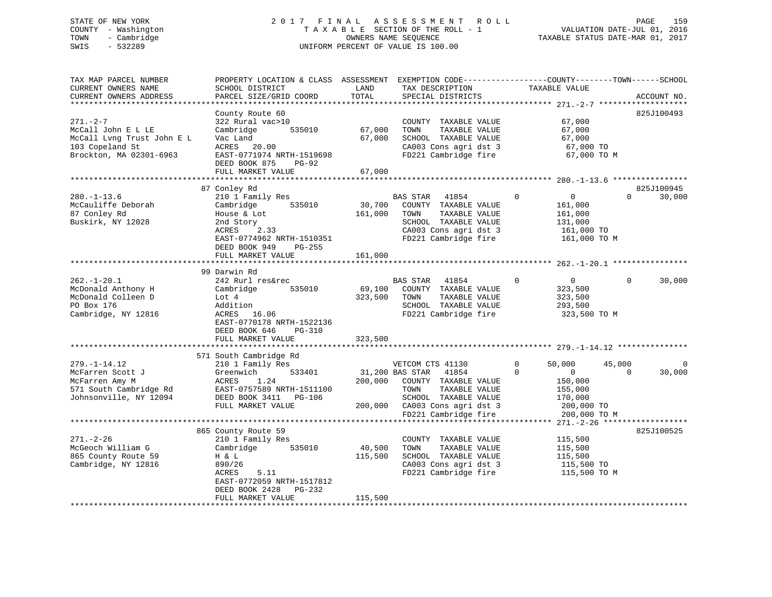## STATE OF NEW YORK 2 0 1 7 F I N A L A S S E S S M E N T R O L L PAGE 159 COUNTY - Washington T A X A B L E SECTION OF THE ROLL - 1 VALUATION DATE-JUL 01, 2016 TOWN - Cambridge OWNERS NAME SEQUENCE TAXABLE STATUS DATE-MAR 01, 2017 SWIS - 532289 UNIFORM PERCENT OF VALUE IS 100.00

| 825J100493<br>County Route 60<br>$271. - 2 - 7$<br>322 Rural vac>10<br>67,000<br>COUNTY TAXABLE VALUE<br>McCall John E L LE<br>535010<br>67,000<br>TOWN<br>TAXABLE VALUE<br>67,000<br>Cambridge<br>McCall Lvng Trust John E L<br>Vac Land<br>67,000<br>SCHOOL TAXABLE VALUE<br>67,000<br>103 Copeland St<br>ACRES 20.00<br>CA003 Cons agri dst 3<br>67,000 TO<br>Brockton, MA 02301-6963<br>EAST-0771974 NRTH-1519698<br>FD221 Cambridge fire<br>67,000 TO M<br>DEED BOOK 875 PG-92<br>FULL MARKET VALUE<br>67,000<br>87 Conley Rd<br>825J100945<br>$280. -1 - 13.6$<br>210 1 Family Res<br><b>BAS STAR</b><br>$\Omega$<br>$\overline{0}$<br>30,000<br>41854<br>$\Omega$<br>McCauliffe Deborah<br>Cambridge<br>535010<br>30,700<br>COUNTY TAXABLE VALUE<br>161,000<br>87 Conley Rd<br>161,000<br>House & Lot<br>TOWN<br>TAXABLE VALUE<br>161,000<br>Buskirk, NY 12028<br>SCHOOL TAXABLE VALUE<br>2nd Story<br>131,000<br>ACRES 2.33<br>CA003 Cons agri dst 3<br>161,000 TO<br>FD221 Cambridge fire<br>EAST-0774962 NRTH-1510351<br>161,000 TO M<br>DEED BOOK 949<br>PG-255<br>FULL MARKET VALUE<br>161,000<br>99 Darwin Rd<br>$262. - 1 - 20.1$<br>242 Rurl res&rec<br>BAS STAR 41854<br>$\Omega$<br>$\overline{0}$<br>$\Omega$<br>30,000<br>McDonald Anthony H<br>535010<br>69,100<br>COUNTY TAXABLE VALUE<br>Cambridge<br>323,500<br>McDonald Colleen D<br>323,500<br>TAXABLE VALUE<br>Lot 4<br>TOWN<br>323,500<br>PO Box 176<br>SCHOOL TAXABLE VALUE<br>293,500<br>Addition<br>FD221 Cambridge fire<br>Cambridge, NY 12816<br>ACRES<br>16.06<br>323,500 TO M |
|-----------------------------------------------------------------------------------------------------------------------------------------------------------------------------------------------------------------------------------------------------------------------------------------------------------------------------------------------------------------------------------------------------------------------------------------------------------------------------------------------------------------------------------------------------------------------------------------------------------------------------------------------------------------------------------------------------------------------------------------------------------------------------------------------------------------------------------------------------------------------------------------------------------------------------------------------------------------------------------------------------------------------------------------------------------------------------------------------------------------------------------------------------------------------------------------------------------------------------------------------------------------------------------------------------------------------------------------------------------------------------------------------------------------------------------------------------------------------------------------------------------------------------------------------------------------|
|                                                                                                                                                                                                                                                                                                                                                                                                                                                                                                                                                                                                                                                                                                                                                                                                                                                                                                                                                                                                                                                                                                                                                                                                                                                                                                                                                                                                                                                                                                                                                                 |
|                                                                                                                                                                                                                                                                                                                                                                                                                                                                                                                                                                                                                                                                                                                                                                                                                                                                                                                                                                                                                                                                                                                                                                                                                                                                                                                                                                                                                                                                                                                                                                 |
|                                                                                                                                                                                                                                                                                                                                                                                                                                                                                                                                                                                                                                                                                                                                                                                                                                                                                                                                                                                                                                                                                                                                                                                                                                                                                                                                                                                                                                                                                                                                                                 |
|                                                                                                                                                                                                                                                                                                                                                                                                                                                                                                                                                                                                                                                                                                                                                                                                                                                                                                                                                                                                                                                                                                                                                                                                                                                                                                                                                                                                                                                                                                                                                                 |
|                                                                                                                                                                                                                                                                                                                                                                                                                                                                                                                                                                                                                                                                                                                                                                                                                                                                                                                                                                                                                                                                                                                                                                                                                                                                                                                                                                                                                                                                                                                                                                 |
| EAST-0770178 NRTH-1522136<br>DEED BOOK 646<br>$PG-310$<br>323,500<br>FULL MARKET VALUE                                                                                                                                                                                                                                                                                                                                                                                                                                                                                                                                                                                                                                                                                                                                                                                                                                                                                                                                                                                                                                                                                                                                                                                                                                                                                                                                                                                                                                                                          |
| **********************<br>* * * * * * * * * * * *                                                                                                                                                                                                                                                                                                                                                                                                                                                                                                                                                                                                                                                                                                                                                                                                                                                                                                                                                                                                                                                                                                                                                                                                                                                                                                                                                                                                                                                                                                               |
| 571 South Cambridge Rd<br>$279. - 1 - 14.12$<br>210 1 Family Res<br>50,000<br>45,000<br>VETCOM CTS 41130<br>$\mathbf{0}$<br>$\Omega$<br>533401<br>31,200 BAS STAR<br>41854<br>$\Omega$<br>$\overline{0}$<br>$\Omega$<br>30,000<br>McFarren Scott J<br>Greenwich<br>ACRES<br>1.24<br>200,000<br>150,000<br>McFarren Amy M<br>COUNTY TAXABLE VALUE<br>571 South Cambridge Rd<br>TAXABLE VALUE<br>EAST-0757589 NRTH-1511100<br>TOWN<br>155,000<br>Johnsonville, NY 12094<br>SCHOOL TAXABLE VALUE<br>DEED BOOK 3411 PG-106<br>170,000<br>FULL MARKET VALUE<br>200,000 CA003 Cons agri dst 3<br>200,000 TO<br>FD221 Cambridge fire<br>200,000 TO M                                                                                                                                                                                                                                                                                                                                                                                                                                                                                                                                                                                                                                                                                                                                                                                                                                                                                                                   |
|                                                                                                                                                                                                                                                                                                                                                                                                                                                                                                                                                                                                                                                                                                                                                                                                                                                                                                                                                                                                                                                                                                                                                                                                                                                                                                                                                                                                                                                                                                                                                                 |
| 865 County Route 59<br>825J100525<br>$271. - 2 - 26$<br>115,500<br>210 1 Family Res<br>COUNTY TAXABLE VALUE<br>McGeoch William G<br>535010<br>40,500<br>TAXABLE VALUE<br>Cambridge<br>TOWN<br>115,500<br>SCHOOL TAXABLE VALUE<br>865 County Route 59<br>H & L<br>115,500<br>115,500<br>CA003 Cons agri dst 3<br>Cambridge, NY 12816<br>890/26<br>115,500 TO<br>5.11<br>FD221 Cambridge fire<br>115,500 TO M<br>ACRES<br>EAST-0772059 NRTH-1517812<br>DEED BOOK 2428 PG-232                                                                                                                                                                                                                                                                                                                                                                                                                                                                                                                                                                                                                                                                                                                                                                                                                                                                                                                                                                                                                                                                                      |
| FULL MARKET VALUE<br>115,500                                                                                                                                                                                                                                                                                                                                                                                                                                                                                                                                                                                                                                                                                                                                                                                                                                                                                                                                                                                                                                                                                                                                                                                                                                                                                                                                                                                                                                                                                                                                    |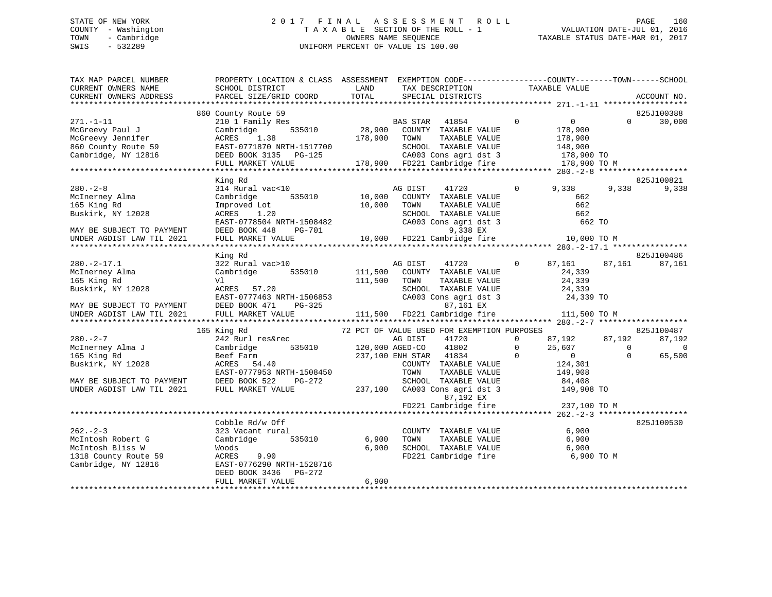## STATE OF NEW YORK 2 0 1 7 F I N A L A S S E S S M E N T R O L L PAGE 160 COUNTY - Washington T A X A B L E SECTION OF THE ROLL - 1 VALUATION DATE-JUL 01, 2016 TOWN - Cambridge OWNERS NAME SEQUENCE TAXABLE STATUS DATE-MAR 01, 2017 SWIS - 532289 UNIFORM PERCENT OF VALUE IS 100.00

| TAX MAP PARCEL NUMBER     | PROPERTY LOCATION & CLASS ASSESSMENT EXEMPTION CODE----------------COUNTY-------TOWN------SCHOOL                                    |         |                                             |                |               |                |             |
|---------------------------|-------------------------------------------------------------------------------------------------------------------------------------|---------|---------------------------------------------|----------------|---------------|----------------|-------------|
| CURRENT OWNERS NAME       | SCHOOL DISTRICT                                                                                                                     | LAND    | TAX DESCRIPTION                             |                | TAXABLE VALUE |                |             |
| CURRENT OWNERS ADDRESS    | PARCEL SIZE/GRID COORD                                                                                                              | TOTAL   | SPECIAL DISTRICTS                           |                |               |                | ACCOUNT NO. |
|                           |                                                                                                                                     |         |                                             |                |               |                |             |
|                           | 860 County Route 59                                                                                                                 |         |                                             |                |               |                | 825J100388  |
| $271. - 1 - 11$           | 210 1 Family Res                                                                                                                    |         | BAS STAR 41854                              | $\overline{0}$ | 0             | $\Omega$       | 30,000      |
| McGreevy Paul J           | Cambridge<br>535010                                                                                                                 | 28,900  | COUNTY TAXABLE VALUE                        |                | 178,900       |                |             |
| McGreevy Jennifer         | ACRES<br>1.38                                                                                                                       | 178,900 | TOWN<br>TAXABLE VALUE                       |                | 178,900       |                |             |
| 860 County Route 59       | EAST-0771870 NRTH-1517700                                                                                                           |         | SCHOOL TAXABLE VALUE                        |                | 148,900       |                |             |
| Cambridge, NY 12816       | DEED BOOK 3135<br>PG-125                                                                                                            |         | CA003 Cons agri dst 3 178,900 TO            |                |               |                |             |
|                           | FULL MARKET VALUE                                                                                                                   |         | 178,900 FD221 Cambridge fire                |                | 178,900 TO M  |                |             |
|                           |                                                                                                                                     |         |                                             |                |               |                |             |
|                           | King Rd                                                                                                                             |         |                                             |                |               |                | 825J100821  |
| $280 - 2 - 8$             | 314 Rural vac<10                                                                                                                    |         | 41720<br>AG DIST                            | $\mathbf 0$    | 9,338         | 9,338          | 9,338       |
| McInerney Alma            | 535010<br>Cambridge                                                                                                                 | 10,000  | COUNTY TAXABLE VALUE                        |                | 662           |                |             |
| 165 King Rd               | Improved Lot                                                                                                                        | 10,000  | TOWN<br>TAXABLE VALUE                       |                | 662           |                |             |
| Buskirk, NY 12028         | ACRES 1.20                                                                                                                          |         | SCHOOL TAXABLE VALUE                        |                | 662           |                |             |
|                           | EAST-0778504 NRTH-1508482                                                                                                           |         | CA003 Cons agri dst 3                       |                | 662 TO        |                |             |
| MAY BE SUBJECT TO PAYMENT | DEED BOOK 448<br>PG-701                                                                                                             |         | 9,338 EX                                    |                |               |                |             |
| UNDER AGDIST LAW TIL 2021 | FULL MARKET VALUE                                                                                                                   |         | 10,000 FD221 Cambridge fire 10,000 TO M     |                |               |                |             |
|                           |                                                                                                                                     |         |                                             |                |               |                |             |
|                           | King Rd                                                                                                                             |         |                                             |                |               |                | 825J100486  |
| $280. -2 - 17.1$          | 322 Rural vac>10                                                                                                                    |         | AG DIST<br>41720                            | $\overline{0}$ | 87,161        | 87,161         | 87,161      |
| McInerney Alma            | Cambridge<br>535010                                                                                                                 | 111,500 | COUNTY TAXABLE VALUE                        |                | 24,339        |                |             |
| 165 King Rd               | Vl                                                                                                                                  | 111,500 | TOWN<br>TAXABLE VALUE                       |                | 24,339        |                |             |
| Buskirk, NY 12028         | ACRES 57.20                                                                                                                         |         | SCHOOL TAXABLE VALUE                        |                | 24,339        |                |             |
|                           |                                                                                                                                     |         |                                             |                | 24,339 TO     |                |             |
| MAY BE SUBJECT TO PAYMENT |                                                                                                                                     |         |                                             |                |               |                |             |
| UNDER AGDIST LAW TIL 2021 | EAST-0777463 NRTH-1506853 CA003 Cons agri dst 3<br>DEED BOOK 471 PG-325 87,161 EX<br>FULL MARKET VALUE 111,500 FD221 Cambridge fire |         |                                             |                | 111,500 TO M  |                |             |
|                           |                                                                                                                                     |         |                                             |                |               |                |             |
|                           | 165 King Rd                                                                                                                         |         | 72 PCT OF VALUE USED FOR EXEMPTION PURPOSES |                |               |                | 825J100487  |
| $280 - 2 - 7$             | 242 Rurl res&rec                                                                                                                    |         | AG DIST<br>41720                            | $\Omega$       | 87,192        | 87,192         | 87,192      |
| McInerney Alma J          | 535010<br>Cambridge                                                                                                                 |         | 41802<br>120,000 AGED-CO                    | $\mathbf{0}$   |               | $\overline{0}$ | $\bigcirc$  |
| 165 King Rd               | Beef Farm                                                                                                                           |         | 237,100 ENH STAR 41834                      | $\overline{0}$ | $25,607$<br>0 | $\Omega$       | 65,500      |
| Buskirk, NY 12028         | ACRES 54.40                                                                                                                         |         | COUNTY TAXABLE VALUE                        |                | 124,301       |                |             |
|                           | EAST-0777953 NRTH-1508450                                                                                                           |         | TOWN<br>TAXABLE VALUE                       |                | 149,908       |                |             |
| MAY BE SUBJECT TO PAYMENT | DEED BOOK 522<br>PG-272                                                                                                             |         | SCHOOL TAXABLE VALUE                        |                | 84,408        |                |             |
| UNDER AGDIST LAW TIL 2021 | FULL MARKET VALUE                                                                                                                   | 237,100 | CA003 Cons agri dst 3                       |                | 149,908 TO    |                |             |
|                           |                                                                                                                                     |         | 87,192 EX                                   |                |               |                |             |
|                           |                                                                                                                                     |         | FD221 Cambridge fire                        |                | 237,100 TO M  |                |             |
|                           |                                                                                                                                     |         |                                             |                |               |                |             |
|                           | Cobble Rd/w Off                                                                                                                     |         |                                             |                |               |                | 825J100530  |
| $262 - 2 - 3$             | 323 Vacant rural                                                                                                                    |         | COUNTY TAXABLE VALUE                        |                | 6,900         |                |             |
| McIntosh Robert G         | Cambridge<br>535010                                                                                                                 | 6,900   | TAXABLE VALUE<br>TOWN                       |                | 6,900         |                |             |
| McIntosh Bliss W          | Woods                                                                                                                               | 6,900   | SCHOOL TAXABLE VALUE                        |                | 6,900         |                |             |
| 1318 County Route 59      | ACRES<br>9.90                                                                                                                       |         | FD221 Cambridge fire                        |                | 6,900 TO M    |                |             |
| Cambridge, NY 12816       | EAST-0776290 NRTH-1528716                                                                                                           |         |                                             |                |               |                |             |
|                           | DEED BOOK 3436<br>PG-272                                                                                                            |         |                                             |                |               |                |             |
|                           | FULL MARKET VALUE                                                                                                                   | 6,900   |                                             |                |               |                |             |
|                           |                                                                                                                                     |         |                                             |                |               |                |             |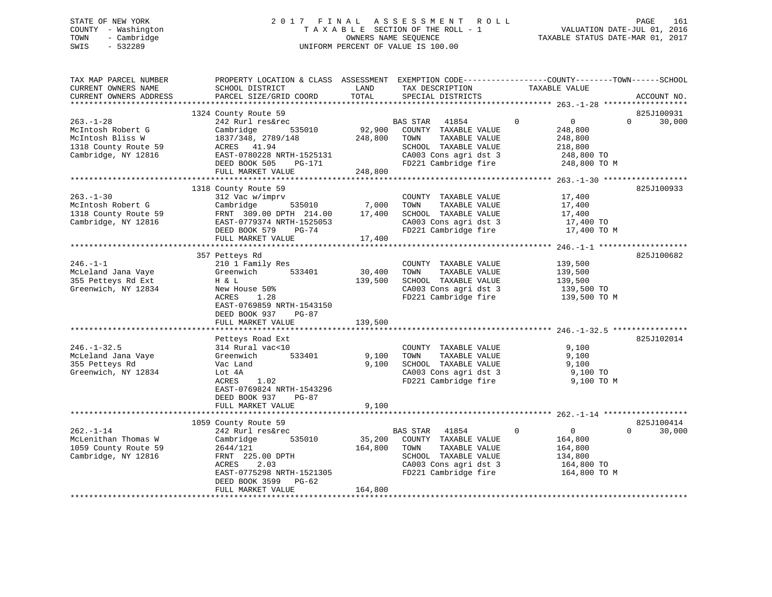## STATE OF NEW YORK 2 0 1 7 F I N A L A S S E S S M E N T R O L L PAGE 161 COUNTY - Washington T A X A B L E SECTION OF THE ROLL - 1 VALUATION DATE-JUL 01, 2016 TOWN - Cambridge OWNERS NAME SEQUENCE TAXABLE STATUS DATE-MAR 01, 2017 SWIS - 532289 UNIFORM PERCENT OF VALUE IS 100.00

| TAX MAP PARCEL NUMBER<br>CURRENT OWNERS NAME<br>CURRENT OWNERS ADDRESS           | PROPERTY LOCATION & CLASS ASSESSMENT EXEMPTION CODE----------------COUNTY-------TOWN------SCHOOL<br>SCHOOL DISTRICT<br>PARCEL SIZE/GRID COORD | LAND<br>TOTAL   | TAX DESCRIPTION<br>SPECIAL DISTRICTS                                                           | TAXABLE VALUE                            | ACCOUNT NO.                      |
|----------------------------------------------------------------------------------|-----------------------------------------------------------------------------------------------------------------------------------------------|-----------------|------------------------------------------------------------------------------------------------|------------------------------------------|----------------------------------|
|                                                                                  |                                                                                                                                               |                 |                                                                                                |                                          |                                  |
| $263. - 1 - 28$<br>McIntosh Robert G                                             | 1324 County Route 59<br>242 Rurl res&rec<br>535010<br>Cambridge                                                                               | 92,900          | BAS STAR 41854<br>COUNTY TAXABLE VALUE                                                         | $\Omega$<br>$\overline{0}$<br>248,800    | 825J100931<br>$\Omega$<br>30,000 |
| McIntosh Bliss W<br>1318 County Route 59<br>Cambridge, NY 12816                  | 1837/348, 2789/148<br>ACRES 41.94<br>EAST-0780228 NRTH-1525131                                                                                | 248,800         | TAXABLE VALUE<br>TOWN<br>SCHOOL TAXABLE VALUE<br>CA003 Cons agri dst 3                         | 248,800<br>218,800<br>248,800 TO         |                                  |
|                                                                                  | DEED BOOK 505<br>PG-171<br>FULL MARKET VALUE                                                                                                  | 248,800         | FD221 Cambridge fire                                                                           | 248,800 TO M                             |                                  |
|                                                                                  |                                                                                                                                               |                 |                                                                                                |                                          |                                  |
|                                                                                  | 1318 County Route 59                                                                                                                          |                 |                                                                                                |                                          | 825J100933                       |
| $263. - 1 - 30$<br>McIntosh Robert G<br>1318 County Route 59                     | 312 Vac w/imprv<br>535010<br>Cambridge<br>FRNT 309.00 DPTH 214.00                                                                             | 7,000<br>17,400 | COUNTY TAXABLE VALUE<br>TAXABLE VALUE<br>TOWN<br>SCHOOL TAXABLE VALUE                          | 17,400<br>17,400<br>17,400               |                                  |
| Cambridge, NY 12816                                                              | EAST-0779374 NRTH-1525053<br>DEED BOOK 579 PG-74                                                                                              |                 | CA003 Cons agri dst 3<br>FD221 Cambridge fire                                                  | 17,400 TO<br>17,400 TO M                 |                                  |
|                                                                                  | FULL MARKET VALUE                                                                                                                             | 17,400          |                                                                                                |                                          |                                  |
|                                                                                  |                                                                                                                                               |                 |                                                                                                |                                          |                                  |
| $246. - 1 - 1$                                                                   | 357 Petteys Rd<br>210 1 Family Res                                                                                                            |                 | COUNTY TAXABLE VALUE                                                                           | 139,500                                  | 825J100682                       |
| McLeland Jana Vaye                                                               | 533401<br>Greenwich                                                                                                                           | 30,400          | TAXABLE VALUE<br>TOWN                                                                          | 139,500                                  |                                  |
| 355 Petteys Rd Ext                                                               | H & L                                                                                                                                         | 139,500         | SCHOOL TAXABLE VALUE                                                                           | 139,500                                  |                                  |
| Greenwich, NY 12834                                                              | New House 50%                                                                                                                                 |                 | CA003 Cons agri dst 3                                                                          | 139,500 TO                               |                                  |
|                                                                                  | ACRES<br>1.28<br>EAST-0769859 NRTH-1543150<br>DEED BOOK 937<br>$PG-87$                                                                        |                 | FD221 Cambridge fire                                                                           | 139,500 TO M                             |                                  |
|                                                                                  | FULL MARKET VALUE                                                                                                                             | 139,500         |                                                                                                |                                          |                                  |
|                                                                                  | Petteys Road Ext                                                                                                                              |                 |                                                                                                |                                          | 825J102014                       |
| $246. - 1 - 32.5$<br>McLeland Jana Vaye<br>355 Petteys Rd<br>Greenwich, NY 12834 | 314 Rural vac<10<br>Greenwich<br>533401<br>Vac Land<br>Lot 4A                                                                                 | 9,100<br>9,100  | COUNTY TAXABLE VALUE<br>TAXABLE VALUE<br>TOWN<br>SCHOOL TAXABLE VALUE<br>CA003 Cons agri dst 3 | 9,100<br>9,100<br>9,100<br>9,100 TO      |                                  |
|                                                                                  | ACRES<br>1.02<br>EAST-0769824 NRTH-1543296<br>DEED BOOK 937<br>$PG-87$                                                                        |                 | FD221 Cambridge fire                                                                           | 9,100 TO M                               |                                  |
|                                                                                  | FULL MARKET VALUE                                                                                                                             | 9,100           |                                                                                                |                                          |                                  |
|                                                                                  | 1059 County Route 59                                                                                                                          |                 |                                                                                                |                                          | 825J100414                       |
| $262. - 1 - 14$<br>McLenithan Thomas W                                           | 242 Rurl res&rec<br>535010<br>Cambridge                                                                                                       | 35,200          | BAS STAR 41854<br>COUNTY TAXABLE VALUE                                                         | $\mathbf 0$<br>$\overline{0}$<br>164,800 | 30,000<br>$\Omega$               |
| 1059 County Route 59<br>Cambridge, NY 12816                                      | 2644/121<br>FRNT 225.00 DPTH<br>2.03<br>ACRES                                                                                                 | 164,800         | TAXABLE VALUE<br>TOWN<br>SCHOOL TAXABLE VALUE<br>CA003 Cons agri dst 3                         | 164,800<br>134,800<br>164,800 TO         |                                  |
|                                                                                  | EAST-0775298 NRTH-1521305<br>DEED BOOK 3599 PG-62<br>FULL MARKET VALUE                                                                        | 164,800         | FD221 Cambridge fire                                                                           | 164,800 TO M                             |                                  |
|                                                                                  |                                                                                                                                               |                 |                                                                                                |                                          |                                  |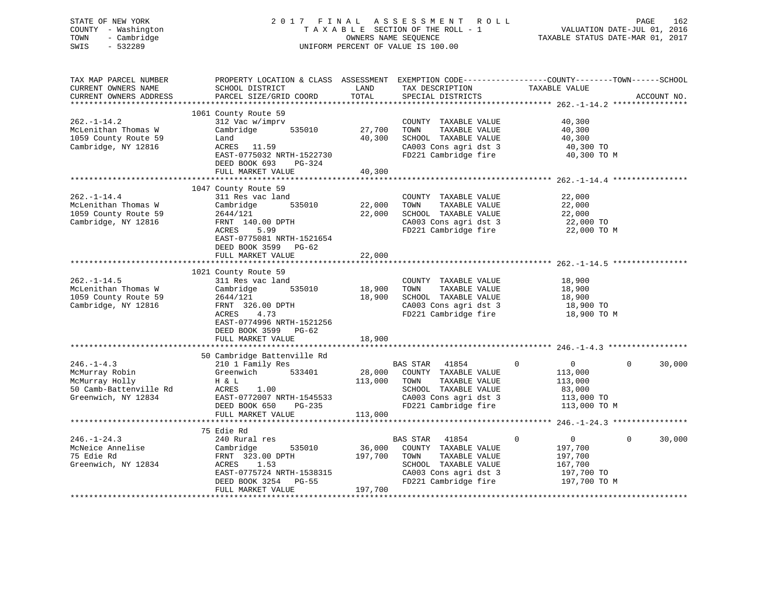## STATE OF NEW YORK 2 0 1 7 F I N A L A S S E S S M E N T R O L L PAGE 162 COUNTY - Washington T A X A B L E SECTION OF THE ROLL - 1 VALUATION DATE-JUL 01, 2016 TOWN - Cambridge OWNERS NAME SEQUENCE TAXABLE STATUS DATE-MAR 01, 2017 SWIS - 532289 UNIFORM PERCENT OF VALUE IS 100.00

| TAX MAP PARCEL NUMBER<br>CURRENT OWNERS NAME<br>CURRENT OWNERS ADDRESS                               | PROPERTY LOCATION & CLASS ASSESSMENT EXEMPTION CODE----------------COUNTY-------TOWN------SCHOOL<br>SCHOOL DISTRICT<br>PARCEL SIZE/GRID COORD                   | LAND<br>TOTAL                | TAX DESCRIPTION<br>SPECIAL DISTRICTS                                                                                                                | TAXABLE VALUE                                                                                 | ACCOUNT NO.        |
|------------------------------------------------------------------------------------------------------|-----------------------------------------------------------------------------------------------------------------------------------------------------------------|------------------------------|-----------------------------------------------------------------------------------------------------------------------------------------------------|-----------------------------------------------------------------------------------------------|--------------------|
|                                                                                                      |                                                                                                                                                                 |                              |                                                                                                                                                     |                                                                                               |                    |
| $262. - 1 - 14.2$<br>McLenithan Thomas W<br>1059 County Route 59<br>Cambridge, NY 12816              | 1061 County Route 59<br>312 Vac w/imprv<br>535010<br>Cambridge<br>Land<br>ACRES 11.59<br>EAST-0775032 NRTH-1522730                                              | 27,700<br>40,300             | COUNTY TAXABLE VALUE<br>TAXABLE VALUE<br>TOWN<br>SCHOOL TAXABLE VALUE<br>CA003 Cons agri dst 3<br>FD221 Cambridge fire 40,300 TO M                  | 40,300<br>40,300<br>10,300 TO<br>10,300 TO                                                    |                    |
|                                                                                                      | DEED BOOK 693 PG-324                                                                                                                                            |                              |                                                                                                                                                     |                                                                                               |                    |
|                                                                                                      | FULL MARKET VALUE                                                                                                                                               | 40,300                       |                                                                                                                                                     |                                                                                               |                    |
|                                                                                                      |                                                                                                                                                                 |                              |                                                                                                                                                     |                                                                                               |                    |
| $262. - 1 - 14.4$<br>McLenithan Thomas W<br>1059 County Route 59<br>Cambridge, NY 12816              | 1047 County Route 59<br>311 Res vac land<br>535010<br>Cambridge<br>2644/121<br>FRNT 140.00 DPTH<br>ACRES<br>5.99<br>EAST-0775081 NRTH-1521654                   | 22,000<br>22,000             | COUNTY TAXABLE VALUE<br>TAXABLE VALUE<br>TOWN<br>SCHOOL TAXABLE VALUE<br>CA003 Cons agri dst 3<br>FD221 Cambridge fire                              | 22,000<br>22,000<br>22,000<br>22,000 TO<br>22,000 TO M                                        |                    |
|                                                                                                      | DEED BOOK 3599 PG-62<br>FULL MARKET VALUE                                                                                                                       | 22,000                       |                                                                                                                                                     |                                                                                               |                    |
|                                                                                                      | *********************************                                                                                                                               | *************                |                                                                                                                                                     |                                                                                               |                    |
| $262. - 1 - 14.5$<br>McLenithan Thomas W<br>1059 County Route 59<br>Cambridge, NY 12816              | 1021 County Route 59<br>311 Res vac land<br>Cambridge 535010<br>2644/121<br>FRNT 326.00 DPTH<br>ACRES 4.73<br>EAST-0774996 NRTH-1521256<br>DEED BOOK 3599 PG-62 | 18,900<br>18,900             | COUNTY TAXABLE VALUE<br>TAXABLE VALUE<br>TOWN<br>SCHOOL TAXABLE VALUE<br>CA003 Cons agri dst 3<br>FD221 Cambridge fire                              | 18,900<br>18,900<br>18,900<br>18,900 TO<br>18,900 TO M                                        |                    |
|                                                                                                      | FULL MARKET VALUE                                                                                                                                               | 18,900                       |                                                                                                                                                     |                                                                                               |                    |
|                                                                                                      | 50 Cambridge Battenville Rd                                                                                                                                     |                              |                                                                                                                                                     |                                                                                               |                    |
| $246. -1 - 4.3$<br>McMurray Robin<br>McMurray Holly<br>50 Camb-Battenville Rd<br>Greenwich, NY 12834 | 210 1 Family Res<br>Greenwich 533401<br>H & L<br>1.00<br>ACRES<br>EAST-0772007 NRTH-1545533<br>DEED BOOK 650<br>PG-235                                          | 113,000 TOWN                 | $\sim$ 0<br>BAS STAR 41854<br>28,000 COUNTY TAXABLE VALUE<br>TAXABLE VALUE<br>SCHOOL TAXABLE VALUE<br>CA003 Cons agri dst 3<br>FD221 Cambridge fire | $\overline{0}$<br>113,000<br>113,000<br>83,000<br>113,000 TO<br>113,000 TO M                  | $\Omega$<br>30,000 |
|                                                                                                      | FULL MARKET VALUE                                                                                                                                               | 113,000                      |                                                                                                                                                     |                                                                                               |                    |
|                                                                                                      | 75 Edie Rd                                                                                                                                                      |                              |                                                                                                                                                     |                                                                                               |                    |
| $246. - 1 - 24.3$<br>McNeice Annelise<br>75 Edie Rd<br>Greenwich, NY 12834                           | 240 Rural res<br>Cambridge<br>535010<br>FRNT 323.00 DPTH<br>ACRES 1.53<br>EAST-0775724 NRTH-1538315<br>DEED BOOK 3254 PG-55<br>FULL MARKET VALUE                | 36,000<br>197,700<br>197,700 | BAS STAR 41854<br>COUNTY TAXABLE VALUE<br>TAXABLE VALUE<br>TOWN<br>SCHOOL TAXABLE VALUE<br>CA003 Cons agri dst 3<br>FD221 Cambridge fire            | $\overline{0}$<br>$\mathbf{0}$<br>197,700<br>197,700<br>167,700<br>197,700 TO<br>197,700 TO M | $\Omega$<br>30,000 |
|                                                                                                      |                                                                                                                                                                 |                              |                                                                                                                                                     |                                                                                               |                    |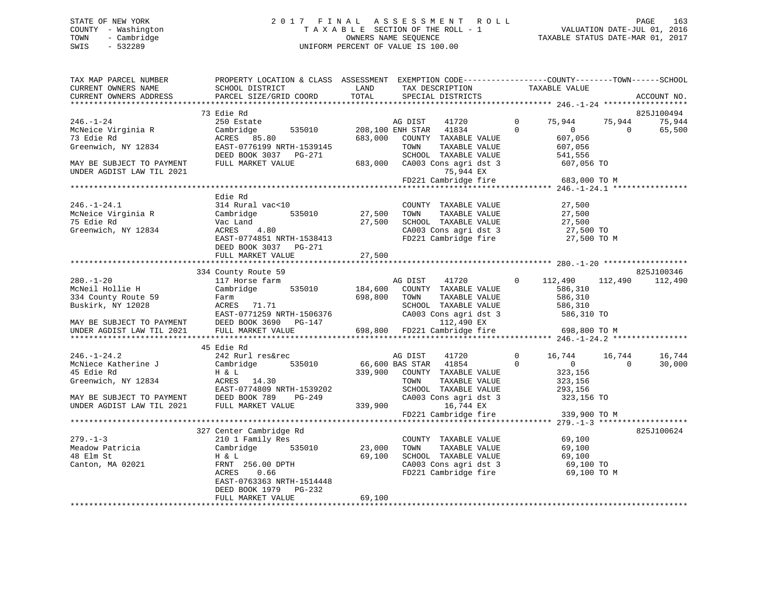## STATE OF NEW YORK 2 0 1 7 F I N A L A S S E S S M E N T R O L L PAGE 163 COUNTY - Washington T A X A B L E SECTION OF THE ROLL - 1 VALUATION DATE-JUL 01, 2016 TOWN - Cambridge OWNERS NAME SEQUENCE TAXABLE STATUS DATE-MAR 01, 2017 SWIS - 532289 UNIFORM PERCENT OF VALUE IS 100.00

| TAX MAP PARCEL NUMBER<br>CURRENT OWNERS NAME<br>CURRENT OWNERS ADDRESS                                                     | PROPERTY LOCATION & CLASS ASSESSMENT EXEMPTION CODE----------------COUNTY-------TOWN-----SCHOOL<br>SCHOOL DISTRICT<br>PARCEL SIZE/GRID COORD                       | LAND<br>TOTAL                   | TAX DESCRIPTION<br>SPECIAL DISTRICTS                                                                                                                           |                | TAXABLE VALUE                        |                | ACCOUNT NO.     |
|----------------------------------------------------------------------------------------------------------------------------|--------------------------------------------------------------------------------------------------------------------------------------------------------------------|---------------------------------|----------------------------------------------------------------------------------------------------------------------------------------------------------------|----------------|--------------------------------------|----------------|-----------------|
|                                                                                                                            |                                                                                                                                                                    |                                 |                                                                                                                                                                |                |                                      |                |                 |
|                                                                                                                            | 73 Edie Rd                                                                                                                                                         |                                 |                                                                                                                                                                |                |                                      |                | 825J100494      |
| $246. - 1 - 24$                                                                                                            | 250 Estate                                                                                                                                                         |                                 | AG DIST 41720 0                                                                                                                                                |                | 75,944                               | 75,944         | 75,944          |
| McNeice Virginia R                                                                                                         | Cambridge                                                                                                                                                          |                                 | 535010 208,100 ENH STAR 41834<br>$\overline{0}$                                                                                                                |                | 0<br>$607,056$<br>$607,056$<br>$556$ | $\overline{0}$ | 65,500          |
| 73 Edie Rd                                                                                                                 | ACRES 85.80                                                                                                                                                        |                                 | 683,000 COUNTY TAXABLE VALUE                                                                                                                                   |                |                                      |                |                 |
| Greenwich, NY 12834                                                                                                        | EAST-0776199 NRTH-1539145                                                                                                                                          |                                 | TOWN<br>TAXABLE VALUE                                                                                                                                          |                |                                      |                |                 |
|                                                                                                                            |                                                                                                                                                                    |                                 |                                                                                                                                                                |                |                                      |                |                 |
| MAY BE SUBJECT TO PAYMENT                                                                                                  |                                                                                                                                                                    |                                 |                                                                                                                                                                |                |                                      |                |                 |
| UNDER AGDIST LAW TIL 2021                                                                                                  | DEED BOOK 3037 PG-271 SCHOOL TAXABLE VALUE 541,556<br>FULL MARKET VALUE 683,000 CA003 Cons agri dst 3 607,056 TO<br>75,944 EX<br>FD221 Cambridge fire 683,000 TO M |                                 |                                                                                                                                                                |                |                                      |                |                 |
|                                                                                                                            |                                                                                                                                                                    |                                 |                                                                                                                                                                |                |                                      |                |                 |
|                                                                                                                            |                                                                                                                                                                    |                                 |                                                                                                                                                                |                |                                      |                |                 |
|                                                                                                                            | Edie Rd                                                                                                                                                            |                                 |                                                                                                                                                                |                |                                      |                |                 |
| $246. - 1 - 24.1$                                                                                                          | 314 Rural vac<10                                                                                                                                                   |                                 | COUNTY TAXABLE VALUE                                                                                                                                           |                | 27,500                               |                |                 |
| McNeice Virginia R                                                                                                         | 535010 27,500 TOWN<br>Cambridge                                                                                                                                    |                                 |                                                                                                                                                                |                |                                      |                |                 |
| 75 Edie Rd                                                                                                                 |                                                                                                                                                                    |                                 | TOWN TAXABLE VALUE 27,500<br>SCHOOL TAXABLE VALUE 27,500<br>CA003 Cons agri dst 3 27,500 TO<br>FD221 Cambridge fire 27,500 TO M<br>27,500 SCHOOL TAXABLE VALUE |                |                                      |                |                 |
| Greenwich, NY 12834                                                                                                        |                                                                                                                                                                    |                                 |                                                                                                                                                                |                |                                      |                |                 |
|                                                                                                                            | EAST-0774851 NRTH-1538413                                                                                                                                          |                                 |                                                                                                                                                                |                |                                      |                |                 |
|                                                                                                                            | DEED BOOK 3037 PG-271<br>FULL MARKET VALUE                                                                                                                         | 27,500                          |                                                                                                                                                                |                |                                      |                |                 |
|                                                                                                                            |                                                                                                                                                                    |                                 |                                                                                                                                                                |                |                                      |                |                 |
|                                                                                                                            | 334 County Route 59                                                                                                                                                |                                 |                                                                                                                                                                |                |                                      |                | 825J100346      |
| $280. - 1 - 20$                                                                                                            | 117 Horse farm                                                                                                                                                     |                                 | AG DIST 41720                                                                                                                                                  |                | $0 \t 112,490$                       |                | 112,490 112,490 |
| McNeil Hollie H                                                                                                            | Cambridge 535010                                                                                                                                                   |                                 | 184,600 COUNTY TAXABLE VALUE                                                                                                                                   |                | 586,310                              |                |                 |
| 334 County Route 59                                                                                                        |                                                                                                                                                                    |                                 | 698,800 TOWN<br>TAXABLE VALUE                                                                                                                                  |                | 586,310                              |                |                 |
| Buskirk, NY 12028                                                                                                          | Farm<br>ACRES       71.71                                                                                                                                          |                                 |                                                                                                                                                                |                |                                      |                |                 |
|                                                                                                                            |                                                                                                                                                                    |                                 |                                                                                                                                                                |                |                                      |                |                 |
| MAY BE SUBJECT TO PAYMENT                                                                                                  |                                                                                                                                                                    |                                 |                                                                                                                                                                |                |                                      |                |                 |
| UNDER AGDIST LAW TIL 2021                                                                                                  | FULL MARKET VALUE                                                                                                                                                  |                                 | 5<br>698,800 FD221 Cambridge fire 698,800 TO M                                                                                                                 |                |                                      |                |                 |
|                                                                                                                            |                                                                                                                                                                    |                                 |                                                                                                                                                                |                |                                      |                |                 |
|                                                                                                                            | 45 Edie Rd                                                                                                                                                         |                                 |                                                                                                                                                                |                |                                      |                |                 |
| $246. - 1 - 24.2$                                                                                                          | 242 Rurl res&rec                                                                                                                                                   |                                 | AG DIST 41720                                                                                                                                                  | $\overline{0}$ | 16,744   16,744   16,744             |                |                 |
| McNiece Katherine J                                                                                                        | Cambridge 535010                                                                                                                                                   |                                 |                                                                                                                                                                |                | $\overline{0}$                       | $\overline{0}$ | 30,000          |
| 45 Edie Rd                                                                                                                 | $ACRES$ 14.30                                                                                                                                                      |                                 | 66,600 BAS STAR 41854 0<br>339,900 COUNTY TAXABLE VALUE                                                                                                        |                | 323,156                              |                |                 |
|                                                                                                                            |                                                                                                                                                                    |                                 |                                                                                                                                                                |                | 323,156                              |                |                 |
| Greenwich, $NY$ 12834                                                                                                      | EAST-0774809 NRTH-1539202                                                                                                                                          |                                 | TOWN       TAXABLE  VALUE<br>SCHOOL    TAXABLE  VALUE                                                                                                          |                | 293,156                              |                |                 |
|                                                                                                                            |                                                                                                                                                                    |                                 |                                                                                                                                                                |                |                                      |                |                 |
| EAST-0774809 NRTH-1539202<br>MAY BE SUBJECT TO PAYMENT DEED BOOK 789 PG-249<br>UNDER AGDIST LAW TIL 2021 FULL MARKET VALUE |                                                                                                                                                                    | $249$<br>$339,900$<br>$339,900$ | CA003 Cons agri dst 3 323,156 TO<br>16,744 EX<br>FD221 Cambridge fire 339,900 TO M                                                                             |                |                                      |                |                 |
|                                                                                                                            |                                                                                                                                                                    |                                 |                                                                                                                                                                |                |                                      |                |                 |
|                                                                                                                            |                                                                                                                                                                    |                                 |                                                                                                                                                                |                |                                      |                |                 |
|                                                                                                                            | 327 Center Cambridge Rd                                                                                                                                            |                                 |                                                                                                                                                                |                |                                      |                | 825J100624      |
| $279. - 1 - 3$                                                                                                             | 210 1 Family Res                                                                                                                                                   |                                 | COUNTY TAXABLE VALUE 69,100<br>TOWN TAXABLE VALUE 69,100                                                                                                       |                |                                      |                |                 |
| Meadow Patricia Cambridge                                                                                                  | 535010                                                                                                                                                             | 23,000                          |                                                                                                                                                                |                |                                      |                |                 |
| 48 Elm St                                                                                                                  | H & L                                                                                                                                                              | 69,100                          | SCHOOL TAXABLE VALUE 69,100<br>CA003 Cons agri dst 3 69,100 TO                                                                                                 |                |                                      |                |                 |
| Canton, MA 02021                                                                                                           | $\text{FRNT}$ 256.00 DPTH                                                                                                                                          |                                 |                                                                                                                                                                |                |                                      |                |                 |
|                                                                                                                            | 0.66<br>ACRES                                                                                                                                                      |                                 | FD221 Cambridge fire                                                                                                                                           |                | 69,100 TO M                          |                |                 |
|                                                                                                                            | EAST-0763363 NRTH-1514448                                                                                                                                          |                                 |                                                                                                                                                                |                |                                      |                |                 |
|                                                                                                                            | DEED BOOK 1979 PG-232                                                                                                                                              |                                 |                                                                                                                                                                |                |                                      |                |                 |
|                                                                                                                            | FULL MARKET VALUE                                                                                                                                                  | 69,100                          |                                                                                                                                                                |                |                                      |                |                 |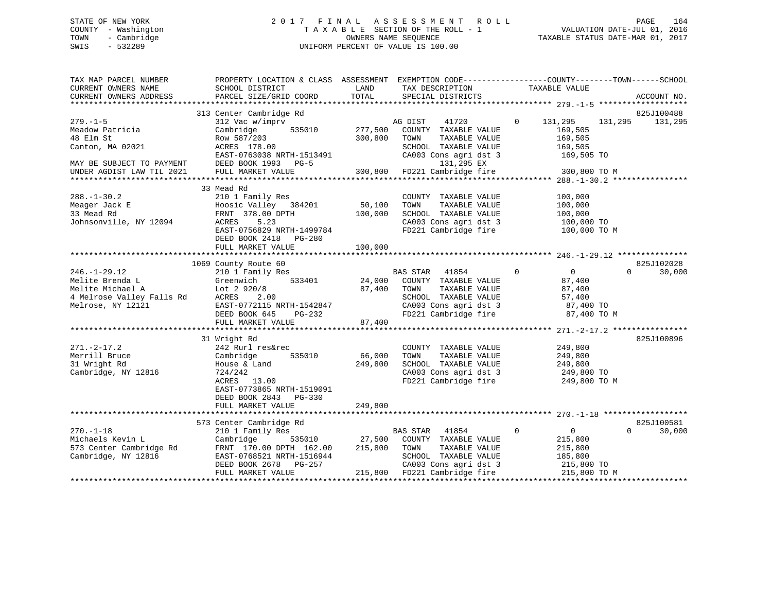## STATE OF NEW YORK 2 0 1 7 F I N A L A S S E S S M E N T R O L L PAGE 164 COUNTY - Washington T A X A B L E SECTION OF THE ROLL - 1 VALUATION DATE-JUL 01, 2016 TOWN - Cambridge OWNERS NAME SEQUENCE TAXABLE STATUS DATE-MAR 01, 2017 SWIS - 532289 UNIFORM PERCENT OF VALUE IS 100.00

| TAX MAP PARCEL NUMBER<br>CURRENT OWNERS NAME<br>CURRENT OWNERS ADDRESS                                     | PROPERTY LOCATION & CLASS ASSESSMENT EXEMPTION CODE---------------COUNTY-------TOWN-----SCHOOL<br>SCHOOL DISTRICT<br>PARCEL SIZE/GRID COORD                                 | LAND<br>TOTAL      | TAX DESCRIPTION<br>SPECIAL DISTRICTS                                                                                                                |                | TAXABLE VALUE                                                                 | ACCOUNT NO.                      |
|------------------------------------------------------------------------------------------------------------|-----------------------------------------------------------------------------------------------------------------------------------------------------------------------------|--------------------|-----------------------------------------------------------------------------------------------------------------------------------------------------|----------------|-------------------------------------------------------------------------------|----------------------------------|
|                                                                                                            |                                                                                                                                                                             |                    |                                                                                                                                                     |                |                                                                               |                                  |
|                                                                                                            | 313 Center Cambridge Rd                                                                                                                                                     |                    |                                                                                                                                                     |                |                                                                               | 825J100488                       |
| $279. - 1 - 5$<br>Meadow Patricia<br>48 Elm St<br>Canton, MA 02021                                         | 312 Vac w/imprv<br>Cambridge<br>535010<br>Row 587/203<br>ACRES 178.00<br>EAST-0763038 NRTH-1513491                                                                          | 277,500<br>300,800 | AG DIST<br>41720<br>COUNTY TAXABLE VALUE<br>TOWN<br>TAXABLE VALUE<br>SCHOOL TAXABLE VALUE<br>CA003 Cons agri dst 3                                  | $\overline{0}$ | 131,295<br>131,295<br>169,505<br>169,505<br>169,505<br>169,505 TO             | 131,295                          |
| MAY BE SUBJECT TO PAYMENT<br>UNDER AGDIST LAW TIL 2021                                                     | DEED BOOK 1993 PG-5<br>FULL MARKET VALUE                                                                                                                                    | 300,800            | 131,295 EX<br>FD221 Cambridge fire                                                                                                                  |                | 300,800 TO M                                                                  |                                  |
|                                                                                                            |                                                                                                                                                                             |                    |                                                                                                                                                     |                |                                                                               |                                  |
|                                                                                                            | 33 Mead Rd                                                                                                                                                                  |                    |                                                                                                                                                     |                |                                                                               |                                  |
| $288. - 1 - 30.2$<br>Meager Jack E<br>33 Mead Rd<br>Johnsonville, NY 12094                                 | 210 1 Family Res<br>Hoosic Valley 384201<br>FRNT 378.00 DPTH<br>ACRES<br>5.23<br>EAST-0756829 NRTH-1499784                                                                  | 50,100<br>100,000  | COUNTY TAXABLE VALUE<br>TOWN<br>TAXABLE VALUE<br>SCHOOL TAXABLE VALUE<br>CA003 Cons agri dst 3<br>FD221 Cambridge fire                              |                | 100,000<br>100,000<br>100,000<br>100,000 TO<br>100,000 TO M                   |                                  |
|                                                                                                            | DEED BOOK 2418<br>PG-280<br>FULL MARKET VALUE                                                                                                                               | 100,000            |                                                                                                                                                     |                |                                                                               |                                  |
|                                                                                                            |                                                                                                                                                                             |                    |                                                                                                                                                     |                |                                                                               |                                  |
|                                                                                                            | 1069 County Route 60                                                                                                                                                        |                    |                                                                                                                                                     |                |                                                                               | 825J102028                       |
| $246. -1 - 29.12$<br>Melite Brenda L<br>Melite Michael A<br>4 Melrose Valley Falls Rd<br>Melrose, NY 12121 | 210 1 Family Res<br>533401<br>Greenwich<br>Lot $2920/8$<br>2.00<br>ACRES<br>EAST-0772115 NRTH-1542847<br>DEED BOOK 645<br>PG-232<br>FULL MARKET VALUE                       | 87,400<br>87,400   | BAS STAR<br>41854<br>24,000 COUNTY TAXABLE VALUE<br>TOWN<br>TAXABLE VALUE<br>SCHOOL TAXABLE VALUE<br>CA003 Cons agri dst 3<br>FD221 Cambridge fire  | $\overline{0}$ | $\overline{0}$<br>87,400<br>87,400<br>57,400<br>87,400 TO<br>87,400 TO M      | 30,000<br>$\Omega$               |
|                                                                                                            |                                                                                                                                                                             |                    |                                                                                                                                                     |                |                                                                               |                                  |
| $271. - 2 - 17.2$<br>Merrill Bruce<br>31 Wright Rd<br>Cambridge, NY 12816                                  | 31 Wright Rd<br>242 Rurl res&rec<br>535010<br>Cambridge<br>House & Land<br>724/242<br>ACRES 13.00<br>EAST-0773865 NRTH-1519091<br>DEED BOOK 2843 PG-330                     | 66,000<br>249,800  | COUNTY TAXABLE VALUE<br>TOWN<br>TAXABLE VALUE<br>SCHOOL TAXABLE VALUE<br>CA003 Cons agri dst 3<br>FD221 Cambridge fire                              |                | 249,800<br>249,800<br>249,800<br>249,800 TO<br>249,800 TO M                   | 825J100896                       |
|                                                                                                            | FULL MARKET VALUE                                                                                                                                                           | 249,800            |                                                                                                                                                     |                |                                                                               |                                  |
|                                                                                                            |                                                                                                                                                                             |                    |                                                                                                                                                     |                |                                                                               |                                  |
| $270. - 1 - 18$<br>Michaels Kevin L<br>573 Center Cambridge Rd<br>Cambridge, NY 12816                      | 573 Center Cambridge Rd<br>210 1 Family Res<br>535010<br>Cambridge<br>FRNT 170.00 DPTH 162.00<br>EAST-0768521 NRTH-1516944<br>DEED BOOK 2678<br>PG-257<br>FULL MARKET VALUE | 27,500<br>215,800  | 41854<br>BAS STAR<br>COUNTY TAXABLE VALUE<br>TAXABLE VALUE<br>TOWN<br>SCHOOL TAXABLE VALUE<br>CA003 Cons agri dst 3<br>215,800 FD221 Cambridge fire | $\mathbf 0$    | $\overline{0}$<br>215,800<br>215,800<br>185,800<br>215,800 TO<br>215,800 TO M | 825J100581<br>30,000<br>$\Omega$ |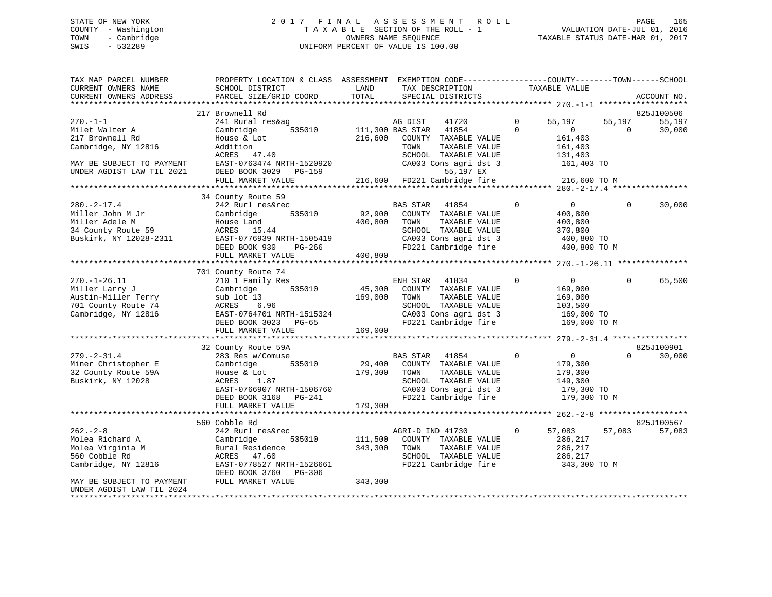## STATE OF NEW YORK 2 0 1 7 F I N A L A S S E S S M E N T R O L L PAGE 165 COUNTY - Washington T A X A B L E SECTION OF THE ROLL - 1 VALUATION DATE-JUL 01, 2016 TOWN - Cambridge OWNERS NAME SEQUENCE TAXABLE STATUS DATE-MAR 01, 2017 SWIS - 532289 UNIFORM PERCENT OF VALUE IS 100.00

| TAX MAP PARCEL NUMBER<br>CURRENT OWNERS NAME<br>CURRENT OWNERS ADDRESS | PROPERTY LOCATION & CLASS ASSESSMENT EXEMPTION CODE---------------COUNTY-------TOWN-----SCHOOL<br>SCHOOL DISTRICT<br>PARCEL SIZE/GRID COORD | LAND<br>TOTAL | TAX DESCRIPTION<br>SPECIAL DISTRICTS          |              | TAXABLE VALUE      |          | ACCOUNT NO. |
|------------------------------------------------------------------------|---------------------------------------------------------------------------------------------------------------------------------------------|---------------|-----------------------------------------------|--------------|--------------------|----------|-------------|
|                                                                        | 217 Brownell Rd                                                                                                                             |               |                                               |              |                    |          | 825J100506  |
| $270. - 1 - 1$                                                         | 241 Rural res&ag                                                                                                                            |               | AG DIST<br>41720                              | $\Omega$     | 55,197             | 55,197   | 55,197      |
| Milet Walter A                                                         | Cambridge<br>535010                                                                                                                         |               | 111,300 BAS STAR<br>41854                     | $\Omega$     | $\mathbf{0}$       | $\Omega$ | 30,000      |
| 217 Brownell Rd                                                        | House & Lot                                                                                                                                 | 216,600       | COUNTY TAXABLE VALUE                          |              | 161,403            |          |             |
| Cambridge, NY 12816                                                    | Addition                                                                                                                                    |               | TOWN<br>TAXABLE VALUE                         |              | 161,403            |          |             |
|                                                                        | ACRES 47.40                                                                                                                                 |               | SCHOOL TAXABLE VALUE                          |              | 131,403            |          |             |
| MAY BE SUBJECT TO PAYMENT                                              | EAST-0763474 NRTH-1520920                                                                                                                   |               | CA003 Cons agri dst 3                         |              | 161,403 TO         |          |             |
| UNDER AGDIST LAW TIL 2021                                              | DEED BOOK 3029 PG-159                                                                                                                       |               | 55,197 EX                                     |              |                    |          |             |
|                                                                        | FULL MARKET VALUE                                                                                                                           |               | 216,600 FD221 Cambridge fire                  |              | 216,600 TO M       |          |             |
|                                                                        |                                                                                                                                             |               |                                               |              |                    |          |             |
|                                                                        | 34 County Route 59                                                                                                                          |               |                                               |              |                    |          |             |
| $280. -2 - 17.4$                                                       | 242 Rurl res&rec                                                                                                                            |               | BAS STAR<br>41854                             | $\Omega$     | $\mathbf{0}$       | $\Omega$ | 30,000      |
| Miller John M Jr                                                       | Cambridge<br>535010                                                                                                                         | 92,900        | COUNTY TAXABLE VALUE                          |              | 400,800            |          |             |
| Miller Adele M                                                         | House Land                                                                                                                                  | 400,800       | TOWN<br>TAXABLE VALUE                         |              | 400,800            |          |             |
| 34 County Route 59                                                     | ACRES 15.44                                                                                                                                 |               | SCHOOL TAXABLE VALUE                          |              | 370,800            |          |             |
| Buskirk, NY 12028-2311                                                 | EAST-0776939 NRTH-1505419                                                                                                                   |               | CA003 Cons agri dst 3                         |              | 400,800 TO         |          |             |
|                                                                        | DEED BOOK 930<br>PG-266                                                                                                                     |               | FD221 Cambridge fire                          |              | 400,800 TO M       |          |             |
|                                                                        | FULL MARKET VALUE                                                                                                                           | 400,800       |                                               |              |                    |          |             |
|                                                                        |                                                                                                                                             |               |                                               |              |                    |          |             |
|                                                                        | 701 County Route 74                                                                                                                         |               |                                               |              |                    |          |             |
| $270. - 1 - 26.11$                                                     | 210 1 Family Res                                                                                                                            |               | ENH STAR<br>41834                             | $\mathbf 0$  | $\overline{0}$     | $\Omega$ | 65,500      |
| Miller Larry J                                                         | 535010<br>Cambridge                                                                                                                         |               | 45,300 COUNTY TAXABLE VALUE                   |              | 169,000            |          |             |
| Austin-Miller Terry                                                    | sub lot 13                                                                                                                                  | 169,000       | TOWN<br>TAXABLE VALUE                         |              | 169,000            |          |             |
| 701 County Route 74                                                    | 6.96<br>ACRES                                                                                                                               |               | SCHOOL TAXABLE VALUE                          |              | 103,500            |          |             |
| Cambridge, NY 12816                                                    | EAST-0764701 NRTH-1515324                                                                                                                   |               | CA003 Cons agri dst 3                         |              | 169,000 TO         |          |             |
|                                                                        | DEED BOOK 3023 PG-65                                                                                                                        |               | FD221 Cambridge fire                          |              | 169,000 TO M       |          |             |
|                                                                        | FULL MARKET VALUE                                                                                                                           | 169,000       |                                               |              |                    |          |             |
|                                                                        |                                                                                                                                             |               |                                               |              |                    |          |             |
|                                                                        | 32 County Route 59A                                                                                                                         |               |                                               |              |                    | $\Omega$ | 825J100901  |
| $279. - 2 - 31.4$                                                      | 283 Res w/Comuse                                                                                                                            |               | BAS STAR 41854                                | $\mathbf 0$  | $\overline{0}$     |          | 30,000      |
| Miner Christopher E                                                    | 535010<br>Cambridge                                                                                                                         | 29,400        | COUNTY TAXABLE VALUE<br>TAXABLE VALUE<br>TOWN |              | 179,300            |          |             |
| 32 County Route 59A<br>Buskirk, NY 12028                               | House & Lot<br>ACRES<br>1.87                                                                                                                | 179,300       | SCHOOL TAXABLE VALUE                          |              | 179,300<br>149,300 |          |             |
|                                                                        | EAST-0766907 NRTH-1506760                                                                                                                   |               | CA003 Cons agri dst 3                         |              | 179,300 TO         |          |             |
|                                                                        | DEED BOOK 3168 PG-241                                                                                                                       |               | FD221 Cambridge fire                          |              | 179,300 TO M       |          |             |
|                                                                        | FULL MARKET VALUE                                                                                                                           | 179,300       |                                               |              |                    |          |             |
|                                                                        |                                                                                                                                             |               |                                               |              |                    |          |             |
|                                                                        | 560 Cobble Rd                                                                                                                               |               |                                               |              |                    |          | 825J100567  |
| $262 - 2 - 8$                                                          | 242 Rurl res&rec                                                                                                                            |               | AGRI-D IND 41730                              | $\mathbf{0}$ | 57,083             | 57,083   | 57,083      |
| Molea Richard A                                                        | 535010<br>Cambridge                                                                                                                         | 111,500       | COUNTY TAXABLE VALUE                          |              | 286,217            |          |             |
| Molea Virginia M                                                       | Rural Residence                                                                                                                             | 343,300       | TOWN<br>TAXABLE VALUE                         |              | 286,217            |          |             |
| 560 Cobble Rd                                                          | ACRES 47.60                                                                                                                                 |               | SCHOOL TAXABLE VALUE                          |              | 286,217            |          |             |
| Cambridge, NY 12816                                                    | EAST-0778527 NRTH-1526661                                                                                                                   |               | FD221 Cambridge fire                          |              | 343,300 TO M       |          |             |
|                                                                        | DEED BOOK 3760 PG-306                                                                                                                       |               |                                               |              |                    |          |             |
| MAY BE SUBJECT TO PAYMENT                                              | FULL MARKET VALUE                                                                                                                           | 343,300       |                                               |              |                    |          |             |
| UNDER AGDIST LAW TIL 2024                                              |                                                                                                                                             |               |                                               |              |                    |          |             |
|                                                                        |                                                                                                                                             |               |                                               |              |                    |          |             |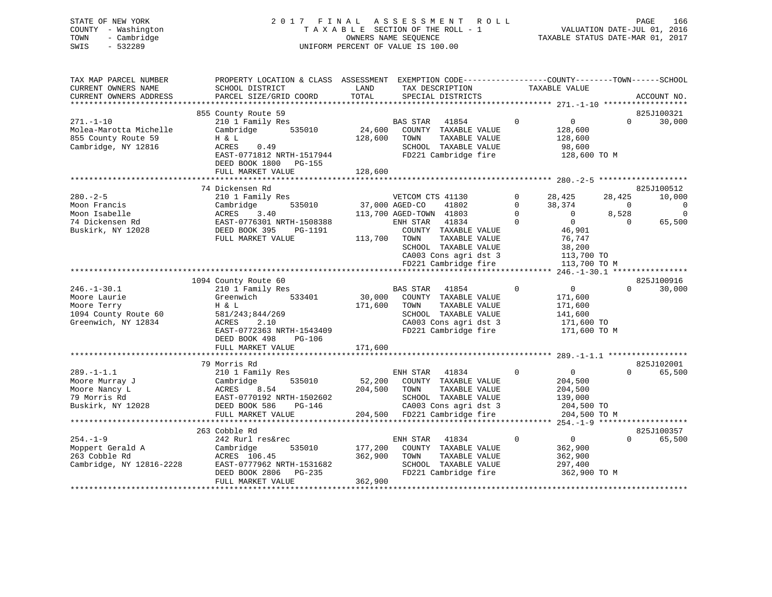## STATE OF NEW YORK 2 0 1 7 F I N A L A S S E S S M E N T R O L L PAGE 166 COUNTY - Washington T A X A B L E SECTION OF THE ROLL - 1 VALUATION DATE-JUL 01, 2016 TOWN - Cambridge OWNERS NAME SEQUENCE TAXABLE STATUS DATE-MAR 01, 2017 SWIS - 532289 UNIFORM PERCENT OF VALUE IS 100.00

| TAX MAP PARCEL NUMBER<br>CURRENT OWNERS NAME                                                    | PROPERTY LOCATION & CLASS ASSESSMENT EXEMPTION CODE----------------COUNTY-------TOWN------SCHOOL<br>SCHOOL DISTRICT                                    | LAND                          | TAX DESCRIPTION                                                                                                                                                                                  | TAXABLE VALUE                                                                                                                                                        |                                                                                               |
|-------------------------------------------------------------------------------------------------|--------------------------------------------------------------------------------------------------------------------------------------------------------|-------------------------------|--------------------------------------------------------------------------------------------------------------------------------------------------------------------------------------------------|----------------------------------------------------------------------------------------------------------------------------------------------------------------------|-----------------------------------------------------------------------------------------------|
| CURRENT OWNERS ADDRESS                                                                          | PARCEL SIZE/GRID COORD                                                                                                                                 | TOTAL                         | SPECIAL DISTRICTS                                                                                                                                                                                |                                                                                                                                                                      | ACCOUNT NO.                                                                                   |
|                                                                                                 |                                                                                                                                                        |                               |                                                                                                                                                                                                  |                                                                                                                                                                      |                                                                                               |
|                                                                                                 | 855 County Route 59                                                                                                                                    |                               |                                                                                                                                                                                                  |                                                                                                                                                                      | 825J100321                                                                                    |
| $271. - 1 - 10$<br>Molea-Marotta Michelle<br>855 County Route 59<br>Cambridge, NY 12816         | 210 1 Family Res<br>535010<br>Cambridge<br>H & L<br>0.49<br>ACRES<br>EAST-0771812 NRTH-1517944<br>DEED BOOK 1800 PG-155                                | 24,600<br>128,600             | BAS STAR<br>41854<br>COUNTY TAXABLE VALUE<br>TAXABLE VALUE<br>TOWN<br>SCHOOL TAXABLE VALUE<br>FD221 Cambridge fire                                                                               | $\Omega$<br>$\overline{0}$<br>128,600<br>128,600<br>98,600<br>128,600 TO M                                                                                           | $\Omega$<br>30,000                                                                            |
|                                                                                                 | FULL MARKET VALUE                                                                                                                                      | 128,600                       |                                                                                                                                                                                                  |                                                                                                                                                                      |                                                                                               |
|                                                                                                 |                                                                                                                                                        |                               |                                                                                                                                                                                                  |                                                                                                                                                                      |                                                                                               |
|                                                                                                 | 74 Dickensen Rd                                                                                                                                        |                               |                                                                                                                                                                                                  |                                                                                                                                                                      | 825J100512                                                                                    |
| $280 - 2 - 5$<br>Moon Francis<br>Moon Isabelle<br>74 Dickensen Rd<br>Buskirk, NY 12028          | 210 1 Family Res<br>535010<br>Cambridge<br>ACRES<br>3.40<br>EAST-0776301 NRTH-1508388<br>DEED BOOK 395<br>PG-1191<br>FULL MARKET VALUE                 | 37,000 AGED-CO<br>113,700     | VETCOM CTS 41130<br>41802<br>113,700 AGED-TOWN 41803<br>ENH STAR 41834<br>COUNTY TAXABLE VALUE<br>TAXABLE VALUE<br>TOWN<br>SCHOOL TAXABLE VALUE<br>CA003 Cons agri dst 3<br>FD221 Cambridge fire | 28,425<br>$\Omega$<br>$\Omega$<br>38,374<br>$\mathbf{0}$<br>$\overline{0}$<br>$\overline{0}$<br>$\Omega$<br>46,901<br>76,747<br>38,200<br>113,700 TO<br>113,700 TO M | 10,000<br>28,425<br>$\Omega$<br>$\overline{0}$<br>$\mathbf{0}$<br>8,528<br>$\Omega$<br>65,500 |
|                                                                                                 |                                                                                                                                                        |                               |                                                                                                                                                                                                  |                                                                                                                                                                      |                                                                                               |
|                                                                                                 | 1094 County Route 60                                                                                                                                   |                               |                                                                                                                                                                                                  |                                                                                                                                                                      | 825J100916                                                                                    |
| $246. - 1 - 30.1$<br>Moore Laurie<br>Moore Terry<br>1094 County Route 60<br>Greenwich, NY 12834 | 210 1 Family Res<br>533401<br>Greenwich<br>H & L<br>581/243;844/269<br>2.10<br>ACRES<br>EAST-0772363 NRTH-1543409<br>DEED BOOK 498<br>PG-106           | 30,000<br>171,600             | BAS STAR 41854<br>COUNTY TAXABLE VALUE<br>TOWN<br>TAXABLE VALUE<br>SCHOOL TAXABLE VALUE<br>CA003 Cons agri dst 3<br>FD221 Cambridge fire                                                         | $\mathbf 0$<br>$\overline{0}$<br>171,600<br>171,600<br>141,600<br>171,600 TO<br>171,600 TO M                                                                         | $\Omega$<br>30,000                                                                            |
|                                                                                                 | FULL MARKET VALUE                                                                                                                                      | 171,600                       |                                                                                                                                                                                                  |                                                                                                                                                                      |                                                                                               |
|                                                                                                 |                                                                                                                                                        |                               |                                                                                                                                                                                                  |                                                                                                                                                                      |                                                                                               |
| $289. - 1 - 1.1$<br>Moore Murray J<br>Moore Nancy L<br>79 Morris Rd<br>Buskirk, NY 12028        | 79 Morris Rd<br>210 1 Family Res<br>Cambridge<br>535010<br>ACRES<br>8.54<br>EAST-0770192 NRTH-1502602<br>DEED BOOK 586<br>PG-146<br>FULL MARKET VALUE  | 52,200<br>204,500             | ENH STAR 41834<br>COUNTY TAXABLE VALUE<br>TOWN<br>TAXABLE VALUE<br>SCHOOL TAXABLE VALUE<br>CA003 Cons agri dst 3<br>204,500 FD221 Cambridge fire                                                 | $\overline{0}$<br>$\Omega$<br>204,500<br>204,500<br>139,000<br>204,500 TO<br>204,500 TO M                                                                            | 825J102001<br>65,500<br>$\Omega$                                                              |
|                                                                                                 |                                                                                                                                                        |                               |                                                                                                                                                                                                  |                                                                                                                                                                      |                                                                                               |
| $254. - 1 - 9$<br>Moppert Gerald A<br>263 Cobble Rd<br>Cambridge, NY 12816-2228                 | 263 Cobble Rd<br>242 Rurl res&rec<br>Cambridge<br>535010<br>ACRES 106.45<br>EAST-0777962 NRTH-1531682<br>DEED BOOK 2806<br>PG-235<br>FULL MARKET VALUE | 177,200<br>362,900<br>362,900 | ENH STAR<br>41834<br>COUNTY TAXABLE VALUE<br>TAXABLE VALUE<br>TOWN<br>SCHOOL TAXABLE VALUE<br>FD221 Cambridge fire                                                                               | $\mathbf{0}$<br>$\overline{0}$<br>362,900<br>362,900<br>297,400<br>362,900 TO M                                                                                      | 825J100357<br>$\Omega$<br>65,500                                                              |
|                                                                                                 |                                                                                                                                                        |                               |                                                                                                                                                                                                  |                                                                                                                                                                      |                                                                                               |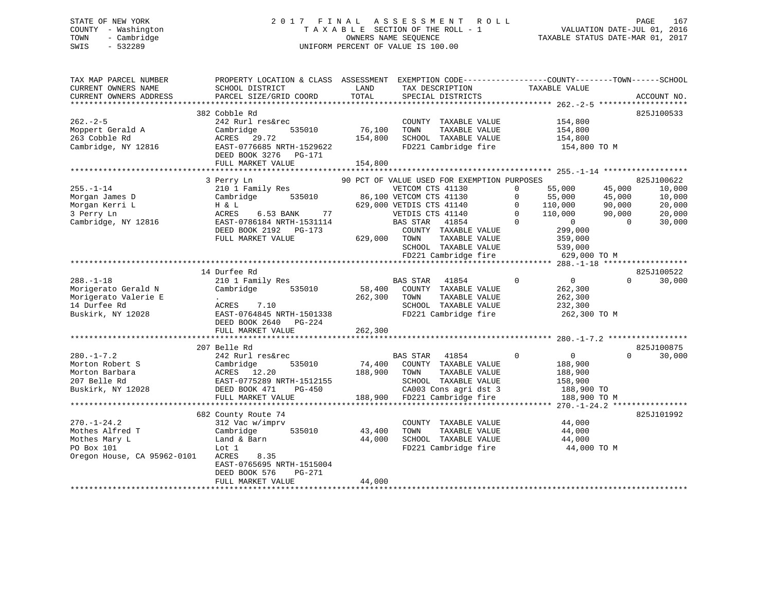## STATE OF NEW YORK 2 0 1 7 F I N A L A S S E S S M E N T R O L L PAGE 167 COUNTY - Washington T A X A B L E SECTION OF THE ROLL - 1 VALUATION DATE-JUL 01, 2016 TOWN - Cambridge OWNERS NAME SEQUENCE TAXABLE STATUS DATE-MAR 01, 2017 SWIS - 532289 UNIFORM PERCENT OF VALUE IS 100.00

| TAX MAP PARCEL NUMBER       | PROPERTY LOCATION & CLASS ASSESSMENT                  |         | EXEMPTION CODE-----------------COUNTY-------TOWN------SCHOOL |                               |                    |
|-----------------------------|-------------------------------------------------------|---------|--------------------------------------------------------------|-------------------------------|--------------------|
| CURRENT OWNERS NAME         | SCHOOL DISTRICT                                       | LAND    | TAX DESCRIPTION                                              | TAXABLE VALUE                 |                    |
| CURRENT OWNERS ADDRESS      | PARCEL SIZE/GRID COORD                                | TOTAL   | SPECIAL DISTRICTS                                            |                               | ACCOUNT NO.        |
|                             |                                                       |         |                                                              |                               |                    |
|                             | 382 Cobble Rd                                         |         |                                                              |                               | 825J100533         |
| $262 - 2 - 5$               | 242 Rurl res&rec                                      |         | COUNTY TAXABLE VALUE                                         | 154,800                       |                    |
| Moppert Gerald A            | Cambridge<br>535010                                   | 76,100  | TAXABLE VALUE<br>TOWN                                        | 154,800                       |                    |
| 263 Cobble Rd               | ACRES<br>29.72                                        | 154,800 | SCHOOL TAXABLE VALUE                                         | 154,800                       |                    |
| Cambridge, NY 12816         | EAST-0776685 NRTH-1529622<br>DEED BOOK 3276<br>PG-171 |         | FD221 Cambridge fire                                         | 154,800 TO M                  |                    |
|                             | FULL MARKET VALUE                                     | 154,800 |                                                              |                               |                    |
|                             |                                                       |         |                                                              |                               |                    |
|                             | 3 Perry Ln                                            |         | 90 PCT OF VALUE USED FOR EXEMPTION PURPOSES                  |                               | 825J100622         |
| $255. - 1 - 14$             | 210 1 Family Res                                      |         | VETCOM CTS 41130                                             | 55,000<br>$\Omega$            | 45,000<br>10,000   |
| Morgan James D              | 535010<br>Cambridge                                   |         | 86,100 VETCOM CTS 41130                                      | 55,000<br>$\Omega$            | 45,000<br>10,000   |
| Morgan Kerri L              | H & L                                                 |         | 629,000 VETDIS CTS 41140                                     | $\Omega$<br>110,000           | 90,000<br>20,000   |
| 3 Perry Ln                  | 77<br>ACRES<br>6.53 BANK                              |         | VETDIS CTS 41140                                             | $\Omega$<br>110,000           | 20,000<br>90,000   |
| Cambridge, NY 12816         | EAST-0786184 NRTH-1531114                             |         | 41854<br>BAS STAR                                            | $\cap$<br>$\Omega$            | $\Omega$<br>30,000 |
|                             | DEED BOOK 2192 PG-173                                 |         | COUNTY TAXABLE VALUE                                         | 299,000                       |                    |
|                             | FULL MARKET VALUE                                     | 629,000 | TAXABLE VALUE<br>TOWN                                        | 359,000                       |                    |
|                             |                                                       |         | SCHOOL TAXABLE VALUE                                         | 539,000                       |                    |
|                             |                                                       |         | FD221 Cambridge fire                                         | 629,000 TO M                  |                    |
|                             |                                                       |         |                                                              |                               |                    |
|                             | 14 Durfee Rd                                          |         |                                                              |                               | 825J100522         |
| $288. - 1 - 18$             | 210 1 Family Res                                      |         | BAS STAR<br>41854                                            | $\mathbf 0$<br>$\overline{0}$ | $\Omega$<br>30,000 |
| Morigerato Gerald N         | Cambridge<br>535010                                   | 58,400  | COUNTY TAXABLE VALUE                                         | 262,300                       |                    |
| Morigerato Valerie E        | $\sim$                                                | 262,300 | TAXABLE VALUE<br>TOWN                                        | 262,300                       |                    |
| 14 Durfee Rd                | ACRES<br>7.10                                         |         | SCHOOL TAXABLE VALUE                                         | 232,300                       |                    |
| Buskirk, NY 12028           | EAST-0764845 NRTH-1501338                             |         | FD221 Cambridge fire                                         | 262,300 TO M                  |                    |
|                             | DEED BOOK 2640<br>$PG-224$                            |         |                                                              |                               |                    |
|                             | FULL MARKET VALUE                                     | 262,300 |                                                              |                               |                    |
|                             |                                                       |         |                                                              |                               |                    |
|                             | 207 Belle Rd                                          |         |                                                              |                               | 825J100875         |
| $280. -1 - 7.2$             | 242 Rurl res&rec                                      |         | BAS STAR<br>41854                                            | $\Omega$<br>$\overline{0}$    | $\Omega$<br>30,000 |
| Morton Robert S             | Cambridge<br>535010                                   |         | 74,400 COUNTY TAXABLE VALUE                                  | 188,900                       |                    |
| Morton Barbara              | ACRES 12.20                                           | 188,900 | TOWN<br>TAXABLE VALUE                                        | 188,900                       |                    |
| 207 Belle Rd                | EAST-0775289 NRTH-1512155                             |         | SCHOOL TAXABLE VALUE                                         | 158,900                       |                    |
| Buskirk, NY 12028           | DEED BOOK 471<br><b>PG-450</b>                        |         | CA003 Cons agri dst 3                                        | 188,900 TO                    |                    |
|                             | FULL MARKET VALUE                                     | 188,900 | FD221 Cambridge fire                                         | 188,900 TO M                  |                    |
|                             |                                                       |         |                                                              |                               |                    |
|                             | 682 County Route 74                                   |         |                                                              |                               | 825J101992         |
| $270. - 1 - 24.2$           | 312 Vac w/imprv                                       |         | COUNTY TAXABLE VALUE                                         | 44,000                        |                    |
| Mothes Alfred T             | Cambridge<br>535010                                   | 43,400  | TOWN<br>TAXABLE VALUE                                        | 44,000                        |                    |
| Mothes Mary L               | Land & Barn                                           | 44,000  | SCHOOL TAXABLE VALUE                                         | 44,000                        |                    |
| PO Box 101                  | Lot 1                                                 |         | FD221 Cambridge fire                                         | 44,000 TO M                   |                    |
| Oregon House, CA 95962-0101 | ACRES<br>8.35                                         |         |                                                              |                               |                    |
|                             | EAST-0765695 NRTH-1515004                             |         |                                                              |                               |                    |
|                             | DEED BOOK 576<br>$PG-271$                             | 44,000  |                                                              |                               |                    |
|                             | FULL MARKET VALUE                                     |         |                                                              |                               |                    |
|                             |                                                       |         |                                                              |                               |                    |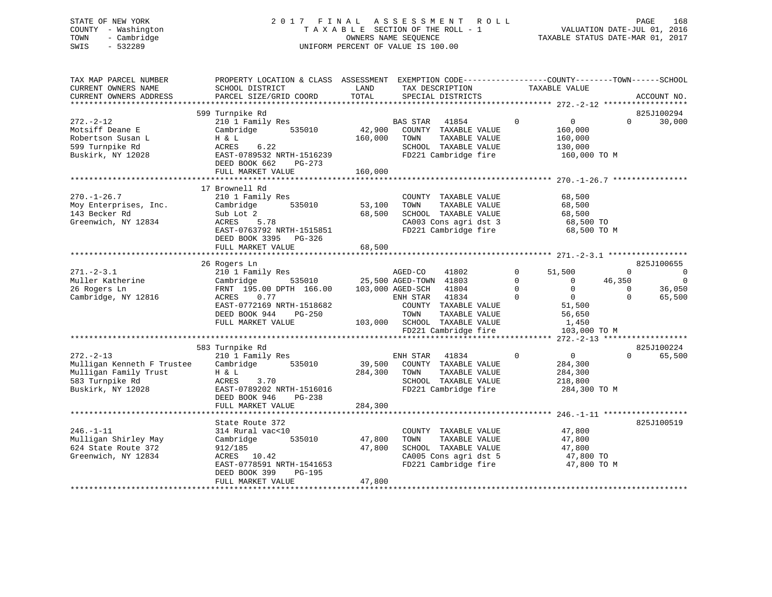## STATE OF NEW YORK 2 0 1 7 F I N A L A S S E S S M E N T R O L L PAGE 168 COUNTY - Washington T A X A B L E SECTION OF THE ROLL - 1 VALUATION DATE-JUL 01, 2016 TOWN - Cambridge OWNERS NAME SEQUENCE TAXABLE STATUS DATE-MAR 01, 2017 SWIS - 532289 UNIFORM PERCENT OF VALUE IS 100.00

| TAX MAP PARCEL NUMBER<br>CURRENT OWNERS NAME<br>CURRENT OWNERS ADDRESS                                        | PROPERTY LOCATION & CLASS ASSESSMENT<br>SCHOOL DISTRICT<br>PARCEL SIZE/GRID COORD                                                                                 | LAND<br>TOTAL                | EXEMPTION CODE-----------------COUNTY-------TOWN------SCHOOL<br>TAX DESCRIPTION<br>SPECIAL DISTRICTS                                                                              | TAXABLE VALUE                                                                                                                                | ACCOUNT NO.                                                                            |
|---------------------------------------------------------------------------------------------------------------|-------------------------------------------------------------------------------------------------------------------------------------------------------------------|------------------------------|-----------------------------------------------------------------------------------------------------------------------------------------------------------------------------------|----------------------------------------------------------------------------------------------------------------------------------------------|----------------------------------------------------------------------------------------|
|                                                                                                               |                                                                                                                                                                   |                              |                                                                                                                                                                                   |                                                                                                                                              |                                                                                        |
| $272. - 2 - 12$<br>Motsiff Deane E<br>Robertson Susan L<br>599 Turnpike Rd<br>Buskirk, NY 12028               | 599 Turnpike Rd<br>210 1 Family Res<br>Cambridge<br>535010<br>H & L<br>6.22<br>ACRES<br>EAST-0789532 NRTH-1516239<br>DEED BOOK 662<br>PG-273<br>FULL MARKET VALUE | 42,900<br>160,000<br>160,000 | <b>BAS STAR</b><br>41854<br>COUNTY TAXABLE VALUE<br>TOWN<br>TAXABLE VALUE<br>SCHOOL TAXABLE VALUE<br>FD221 Cambridge fire                                                         | $\mathbf 0$<br>$\overline{0}$<br>160,000<br>160,000<br>130,000<br>160,000 TO M                                                               | 825J100294<br>$\Omega$<br>30,000                                                       |
|                                                                                                               |                                                                                                                                                                   |                              |                                                                                                                                                                                   |                                                                                                                                              |                                                                                        |
| $270. - 1 - 26.7$<br>Moy Enterprises, Inc.<br>143 Becker Rd<br>Greenwich, NY 12834                            | 17 Brownell Rd<br>210 1 Family Res<br>Cambridge<br>535010<br>Sub Lot 2<br>ACRES 5.78<br>EAST-0763792 NRTH-1515851<br>DEED BOOK 3395 PG-326                        | 53,100<br>68,500             | COUNTY TAXABLE VALUE<br>TOWN<br>TAXABLE VALUE<br>SCHOOL TAXABLE VALUE<br>CA003 Cons agri dst 3<br>FD221 Cambridge fire                                                            | 68,500<br>68,500<br>68,500<br>68,500 TO<br>68,500 TO M                                                                                       |                                                                                        |
|                                                                                                               | FULL MARKET VALUE                                                                                                                                                 | 68,500                       |                                                                                                                                                                                   |                                                                                                                                              |                                                                                        |
|                                                                                                               |                                                                                                                                                                   |                              |                                                                                                                                                                                   |                                                                                                                                              |                                                                                        |
|                                                                                                               | 26 Rogers Ln                                                                                                                                                      |                              |                                                                                                                                                                                   |                                                                                                                                              | 825J100655                                                                             |
| $271 - 2 - 3.1$<br>Muller Katherine<br>26 Rogers Ln<br>Cambridge, NY 12816                                    | 210 1 Family Res<br>Cambridge<br>FRNT 195.00 DPTH 166.00<br>ACRES<br>0.77<br>EAST-0772169 NRTH-1518682<br>DEED BOOK 944<br>PG-250<br>FULL MARKET VALUE            |                              | AGED-CO<br>41802<br>535010 25,500 AGED-TOWN 41803<br>103,000 AGED-SCH 41804<br>ENH STAR<br>41834<br>COUNTY TAXABLE VALUE<br>TOWN<br>TAXABLE VALUE<br>103,000 SCHOOL TAXABLE VALUE | $\Omega$<br>51,500<br>$\Omega$<br>$\overline{0}$<br>$\mathbf 0$<br>$\overline{0}$<br>$\Omega$<br>$\overline{0}$<br>51,500<br>56,650<br>1,450 | $\Omega$<br>$\Omega$<br>46,350<br>$\Omega$<br>$\Omega$<br>36,050<br>$\Omega$<br>65,500 |
|                                                                                                               |                                                                                                                                                                   |                              | FD221 Cambridge fire                                                                                                                                                              | 103,000 TO M                                                                                                                                 |                                                                                        |
|                                                                                                               | 583 Turnpike Rd                                                                                                                                                   |                              |                                                                                                                                                                                   |                                                                                                                                              |                                                                                        |
| $272 - 2 - 13$<br>Mulligan Kenneth F Trustee<br>Mulligan Family Trust<br>583 Turnpike Rd<br>Buskirk, NY 12028 | 210 1 Family Res<br>535010<br>Cambridge<br>H & L<br>ACRES<br>3.70<br>EAST-0789202 NRTH-1516016<br>DEED BOOK 946<br>$PG-238$                                       | 39,500<br>284,300            | ENH STAR 41834<br>COUNTY TAXABLE VALUE<br>TOWN<br>TAXABLE VALUE<br>SCHOOL TAXABLE VALUE<br>FD221 Cambridge fire                                                                   | $\mathbf 0$<br>$\overline{0}$<br>284,300<br>284,300<br>218,800<br>284,300 TO M                                                               | 825J100224<br>65,500<br>$\Omega$                                                       |
|                                                                                                               | FULL MARKET VALUE                                                                                                                                                 | 284,300                      |                                                                                                                                                                                   |                                                                                                                                              |                                                                                        |
| $246. - 1 - 11$<br>Mulligan Shirley May<br>624 State Route 372<br>Greenwich, NY 12834                         | State Route 372<br>314 Rural vac<10<br>Cambridge<br>535010<br>912/185<br>ACRES 10.42<br>EAST-0778591 NRTH-1541653<br>DEED BOOK 399<br>PG-195                      | 47,800<br>47,800             | COUNTY TAXABLE VALUE<br>TOWN<br>TAXABLE VALUE<br>SCHOOL TAXABLE VALUE<br>CA005 Cons agri dst 5<br>FD221 Cambridge fire                                                            | 47,800<br>47,800<br>47,800<br>47,800 TO<br>47,800 TO M                                                                                       | 825J100519                                                                             |
|                                                                                                               | FULL MARKET VALUE                                                                                                                                                 | 47,800                       |                                                                                                                                                                                   |                                                                                                                                              |                                                                                        |
|                                                                                                               |                                                                                                                                                                   |                              |                                                                                                                                                                                   |                                                                                                                                              |                                                                                        |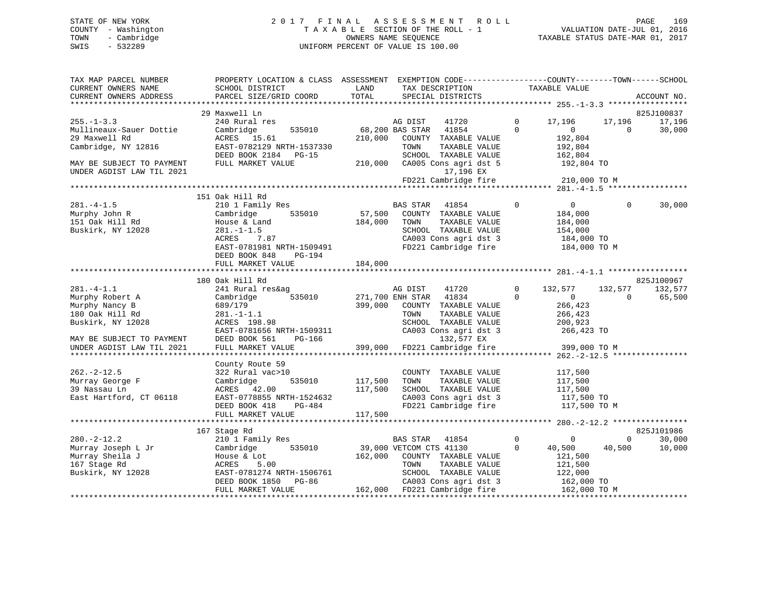## STATE OF NEW YORK 2 0 1 7 F I N A L A S S E S S M E N T R O L L PAGE 169 COUNTY - Washington T A X A B L E SECTION OF THE ROLL - 1 VALUATION DATE-JUL 01, 2016 TOWN - Cambridge OWNERS NAME SEQUENCE TAXABLE STATUS DATE-MAR 01, 2017 SWIS - 532289 UNIFORM PERCENT OF VALUE IS 100.00

| TAX MAP PARCEL NUMBER     | PROPERTY LOCATION & CLASS ASSESSMENT EXEMPTION CODE----------------COUNTY-------TOWN------SCHOOL                                                                                                                                |               |                                                     |                                  |                 |             |
|---------------------------|---------------------------------------------------------------------------------------------------------------------------------------------------------------------------------------------------------------------------------|---------------|-----------------------------------------------------|----------------------------------|-----------------|-------------|
| CURRENT OWNERS NAME       | SCHOOL DISTRICT                                                                                                                                                                                                                 | LAND          | TAX DESCRIPTION                                     | TAXABLE VALUE                    |                 |             |
| CURRENT OWNERS ADDRESS    | PARCEL SIZE/GRID COORD                                                                                                                                                                                                          | LAND<br>TOTAL | SPECIAL DISTRICTS                                   |                                  |                 | ACCOUNT NO. |
|                           |                                                                                                                                                                                                                                 |               |                                                     |                                  |                 |             |
|                           | 29 Maxwell Ln                                                                                                                                                                                                                   |               |                                                     |                                  |                 | 825J100837  |
| $255. - 1 - 3.3$          | 240 Rural res                                                                                                                                                                                                                   |               | AG DIST<br>41720                                    | 17,196<br>$\overline{0}$         | 17,196          | 17,196      |
| Mullineaux-Sauer Dottie   | 535010<br>Cambridge                                                                                                                                                                                                             |               | 68,200 BAS STAR 41854<br>$\overline{0}$             | $\sim$ 0                         | $\bigcirc$      | 30,000      |
| 29 Maxwell Rd             | ACRES 15.61                                                                                                                                                                                                                     | 210,000       | COUNTY TAXABLE VALUE                                | 192,804                          |                 |             |
| Cambridge, NY 12816       | EAST-0782129 NRTH-1537330                                                                                                                                                                                                       |               | TOWN<br>TAXABLE VALUE                               | 192,804                          |                 |             |
|                           | DEED BOOK 2184 PG-15                                                                                                                                                                                                            |               | SCHOOL TAXABLE VALUE                                | 162,804                          |                 |             |
| MAY BE SUBJECT TO PAYMENT | FULL MARKET VALUE                                                                                                                                                                                                               |               |                                                     |                                  |                 |             |
| UNDER AGDIST LAW TIL 2021 |                                                                                                                                                                                                                                 |               | 17,196 EX                                           |                                  |                 |             |
|                           |                                                                                                                                                                                                                                 |               | $FD221$ Cambridge fire 210,000 TO M                 |                                  |                 |             |
|                           |                                                                                                                                                                                                                                 |               |                                                     |                                  |                 |             |
|                           | 151 Oak Hill Rd                                                                                                                                                                                                                 |               |                                                     |                                  |                 |             |
| $281. -4 - 1.5$           |                                                                                                                                                                                                                                 |               | BAS STAR 41854                                      | $\overline{0}$<br>$\overline{0}$ | $\Omega$        | 30,000      |
|                           | 210 1 Family Res                                                                                                                                                                                                                |               |                                                     |                                  |                 |             |
| Murphy John R             | Cambridge 535010                                                                                                                                                                                                                |               | 57,500 COUNTY TAXABLE VALUE                         | 184,000                          |                 |             |
| 151 Oak Hill Rd           | House & Land                                                                                                                                                                                                                    | 184,000 TOWN  | TAXABLE VALUE                                       | 184,000                          |                 |             |
| Buskirk, NY 12028         | $281. - 1 - 1.5$<br>$-1.5$<br>7.87                                                                                                                                                                                              |               | SCHOOL TAXABLE VALUE                                | 154,000<br>184,000 TO            |                 |             |
|                           | ACRES                                                                                                                                                                                                                           |               | CA003 Cons agri dst 3                               |                                  |                 |             |
|                           | EAST-0781981 NRTH-1509491                                                                                                                                                                                                       |               | FD221 Cambridge fire 184,000 TO M                   |                                  |                 |             |
|                           | DEED BOOK 848 PG-194                                                                                                                                                                                                            |               |                                                     |                                  |                 |             |
|                           | FULL MARKET VALUE                                                                                                                                                                                                               | 184,000       |                                                     |                                  |                 |             |
|                           |                                                                                                                                                                                                                                 |               |                                                     |                                  |                 |             |
|                           | 180 Oak Hill Rd                                                                                                                                                                                                                 |               |                                                     |                                  |                 | 825J100967  |
| $281 - 4 - 1.1$           | 241 Rural res&ag                                                                                                                                                                                                                |               | 41720<br>AG DIST                                    | $\mathbf{0}$<br>132,577          | 132,577 132,577 |             |
| Murphy Robert A           | 535010<br>Cambridge                                                                                                                                                                                                             |               | 271,700 ENH STAR 41834                              | $\Omega$<br>$\overline{0}$       | $\overline{0}$  | 65,500      |
| Murphy Nancy B            | 689/179                                                                                                                                                                                                                         | 399,000       | COUNTY TAXABLE VALUE                                | 266,423                          |                 |             |
| 180 Oak Hill Rd           | $281. - 1 - 1.1$                                                                                                                                                                                                                |               |                                                     | 266,423                          |                 |             |
| Buskirk, NY 12028         | ACRES 198.98                                                                                                                                                                                                                    |               | TOWN      TAXABLE  VALUE<br>SCHOOL   TAXABLE  VALUE | 200,923                          |                 |             |
|                           |                                                                                                                                                                                                                                 |               |                                                     |                                  |                 |             |
| MAY BE SUBJECT TO PAYMENT |                                                                                                                                                                                                                                 |               | CA003 Cons agri dst 3 266,423 TO 132,577 EX         |                                  |                 |             |
| UNDER AGDIST LAW TIL 2021 | EAST-0781656 NRTH-1509311<br>DEED BOOK 561 PG-166 132,577 EX<br>FIILT. MARKET VALUE 399,000 FD221 Cambridge fire                                                                                                                |               |                                                     | 399,000 TO M                     |                 |             |
|                           |                                                                                                                                                                                                                                 |               |                                                     |                                  |                 |             |
|                           | County Route 59                                                                                                                                                                                                                 |               |                                                     |                                  |                 |             |
| $262. -2 - 12.5$          | 322 Rural vac>10                                                                                                                                                                                                                |               | COUNTY TAXABLE VALUE                                | 117,500                          |                 |             |
| Murray George F           | Cambridge<br>535010                                                                                                                                                                                                             | 117,500       | TOWN<br>TAXABLE VALUE                               | 117,500                          |                 |             |
| 39 Nassau Ln              |                                                                                                                                                                                                                                 | 117,500       |                                                     |                                  |                 |             |
|                           | ACRES 42.00                                                                                                                                                                                                                     |               | SCHOOL TAXABLE VALUE                                | 117,500<br>117,500 TO            |                 |             |
| East Hartford, CT 06118   | EAST-0778855 NRTH-1524632                                                                                                                                                                                                       |               | CA003 Cons agri dst 3                               |                                  |                 |             |
|                           | PG-484<br>DEED BOOK 418                                                                                                                                                                                                         |               | FD221 Cambridge fire                                | 117,500 TO M                     |                 |             |
|                           | FULL MARKET VALUE                                                                                                                                                                                                               | 117,500       |                                                     |                                  |                 |             |
|                           |                                                                                                                                                                                                                                 |               |                                                     |                                  |                 |             |
|                           | 167 Stage Rd                                                                                                                                                                                                                    |               |                                                     |                                  |                 | 825J101986  |
| $280. - 2 - 12.2$         | 210 1 Family Res                                                                                                                                                                                                                |               | BAS STAR 41854                                      | $\overline{0}$<br>$\sim$ 0       | $\Omega$        | 30,000      |
| Murray Joseph L Jr        | Cambridge 535010                                                                                                                                                                                                                |               | 39,000 VETCOM CTS 41130                             | $\Omega$<br>40,500               | 40,500          | 10,000      |
| Murray Sheila J           | House & Lot                                                                                                                                                                                                                     |               | 162,000 COUNTY TAXABLE VALUE                        | 121,500                          |                 |             |
| 167 Stage Rd              |                                                                                                                                                                                                                                 |               | TAXABLE VALUE                                       | 121,500                          |                 |             |
| Buskirk, NY 12028         |                                                                                                                                                                                                                                 |               |                                                     |                                  |                 |             |
|                           |                                                                                                                                                                                                                                 |               |                                                     |                                  |                 |             |
|                           | ACRES 5.00 TOWN TAXABLE VALUE 121,500<br>EAST-0781274 NRTH-1506761 SCHOOL TAXABLE VALUE 122,000<br>DEED BOOK 1850 PG-86 162,000 CA003 Cons agri dst 3 162,000 TO<br>FULL MARKET VALUE 162,000 FD221 Cambridge fire 162,000 TO M |               |                                                     |                                  |                 |             |
|                           |                                                                                                                                                                                                                                 |               |                                                     |                                  |                 |             |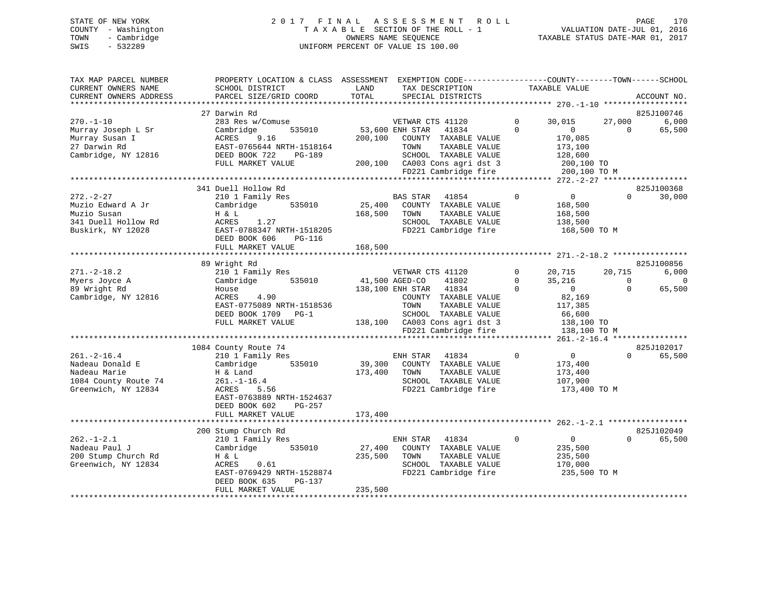## STATE OF NEW YORK 2 0 1 7 F I N A L A S S E S S M E N T R O L L PAGE 170 COUNTY - Washington T A X A B L E SECTION OF THE ROLL - 1 VALUATION DATE-JUL 01, 2016 TOWN - Cambridge OWNERS NAME SEQUENCE TAXABLE STATUS DATE-MAR 01, 2017 SWIS - 532289 UNIFORM PERCENT OF VALUE IS 100.00

| TAX MAP PARCEL NUMBER  | PROPERTY LOCATION & CLASS ASSESSMENT EXEMPTION CODE---------------COUNTY-------TOWN------SCHOOL |              |                                              |               |                         |                            |                |
|------------------------|-------------------------------------------------------------------------------------------------|--------------|----------------------------------------------|---------------|-------------------------|----------------------------|----------------|
| CURRENT OWNERS NAME    | SCHOOL DISTRICT                                                                                 | LAND         | TAX DESCRIPTION                              | TAXABLE VALUE |                         |                            |                |
| CURRENT OWNERS ADDRESS | PARCEL SIZE/GRID COORD                                                                          | TOTAL        | SPECIAL DISTRICTS                            |               |                         |                            | ACCOUNT NO.    |
|                        |                                                                                                 |              |                                              |               |                         |                            |                |
|                        | 27 Darwin Rd                                                                                    |              |                                              |               |                         |                            | 825J100746     |
| $270. - 1 - 10$        | 283 Res w/Comuse                                                                                |              | VETWAR CTS 41120                             | $\Omega$      | 30,015                  |                            | 27,000 6,000   |
| Murray Joseph L Sr     | 535010<br>Cambridge                                                                             |              | 53,600 ENH STAR 41834                        | $\Omega$      | $\sim$ 0                | $\Omega$                   | 65,500         |
| Murray Susan I         | ACRES<br>9.16                                                                                   | 200,100      | COUNTY TAXABLE VALUE                         |               | 170,085                 |                            |                |
| 27 Darwin Rd           | EAST-0765644 NRTH-1518164                                                                       |              | TOWN<br>TAXABLE VALUE                        |               | 173,100                 |                            |                |
| Cambridge, NY 12816    | DEED BOOK 722<br>PG-189                                                                         |              | SCHOOL TAXABLE VALUE                         |               | 128,600                 |                            |                |
|                        | FULL MARKET VALUE                                                                               |              | 200,100 CA003 Cons agri dst 3                |               | $200, 100$ TO           |                            |                |
|                        |                                                                                                 |              | FD221 Cambridge fire                         |               | 200,100 TO M            |                            |                |
|                        |                                                                                                 |              |                                              |               |                         |                            |                |
|                        | 341 Duell Hollow Rd                                                                             |              |                                              |               |                         |                            | 825J100368     |
| $272. - 2 - 27$        | 210 1 Family Res                                                                                |              | BAS STAR 41854                               | $\Omega$      | $\overline{0}$          | $\Omega$                   | 30,000         |
| Muzio Edward A Jr      | Cambridge 535010                                                                                |              | 25,400 COUNTY TAXABLE VALUE                  |               | 168,500                 |                            |                |
| Muzio Susan            | H & L                                                                                           | 168,500 TOWN | TAXABLE VALUE                                |               | 168,500                 |                            |                |
| 341 Duell Hollow Rd    | ACRES 1.27                                                                                      |              | SCHOOL TAXABLE VALUE                         |               | 138,500                 |                            |                |
| Buskirk, NY 12028      | EAST-0788347 NRTH-1518205                                                                       |              | FD221 Cambridge fire 168,500 TO M            |               |                         |                            |                |
|                        | DEED BOOK 606<br>$PG-116$                                                                       |              |                                              |               |                         |                            |                |
|                        | FULL MARKET VALUE                                                                               | 168,500      |                                              |               |                         |                            |                |
|                        |                                                                                                 |              |                                              |               |                         |                            |                |
|                        | 89 Wright Rd                                                                                    |              |                                              |               |                         |                            | 825J100856     |
| $271. - 2 - 18.2$      | 210 1 Family Res                                                                                |              | VETWAR CTS 41120                             |               | $0 \t 20,715 \t 20,715$ |                            | 6,000          |
|                        | Cambridge 535010                                                                                |              | 41,500 AGED-CO<br>41802                      | $\Omega$      |                         |                            |                |
| Myers Joyce A          |                                                                                                 |              | 138,100 ENH STAR 41834                       | $\Omega$      | $35,216$<br>0           | $\overline{0}$<br>$\Omega$ | $\overline{0}$ |
| 89 Wright Rd           | House                                                                                           |              |                                              |               |                         |                            | 65,500         |
| Cambridge, NY 12816    | ACRES<br>4.90                                                                                   |              | COUNTY TAXABLE VALUE                         |               | 82,169                  |                            |                |
|                        | EAST-0775089 NRTH-1518536                                                                       |              | TOWN<br>TAXABLE VALUE                        |               | 117,385                 |                            |                |
|                        | DEED BOOK 1709 PG-1                                                                             |              | SCHOOL TAXABLE VALUE                         |               | 66,600                  |                            |                |
|                        | FULL MARKET VALUE                                                                               |              | $138,100$ CA003 Cons agri dst 3 $138,100$ TO |               |                         |                            |                |
|                        |                                                                                                 |              | FD221 Cambridge fire                         |               | 138,100 TO M            |                            |                |
|                        |                                                                                                 |              |                                              |               |                         |                            |                |
|                        | 1084 County Route 74                                                                            |              |                                              |               |                         |                            | 825J102017     |
| $261. -2 - 16.4$       | 210 1 Family Res                                                                                |              | $\sim$ 0<br>ENH STAR<br>41834                |               | $\overline{0}$          | $\Omega$                   | 65,500         |
| Nadeau Donald E        | Cambridge 535010                                                                                |              | 39,300 COUNTY TAXABLE VALUE                  |               | 173,400                 |                            |                |
| Nadeau Marie           |                                                                                                 | 173,400 TOWN | TAXABLE VALUE                                |               | 173,400                 |                            |                |
| 1084 County Route 74   | H & Land<br>261.-1-16.4<br>ACRES 5.56                                                           |              | SCHOOL TAXABLE VALUE                         |               | 107,900                 |                            |                |
| Greenwich, NY 12834    | ACRES<br>5.56                                                                                   |              | FD221 Cambridge fire                         |               | 173,400 TO M            |                            |                |
|                        | EAST-0763889 NRTH-1524637                                                                       |              |                                              |               |                         |                            |                |
|                        | DEED BOOK 602<br>PG-257                                                                         |              |                                              |               |                         |                            |                |
|                        | FULL MARKET VALUE                                                                               | 173,400      |                                              |               |                         |                            |                |
|                        |                                                                                                 |              |                                              |               |                         |                            |                |
|                        | 200 Stump Church Rd                                                                             |              |                                              |               |                         |                            | 825J102049     |
| $262. - 1 - 2.1$       | 210 1 Family Res                                                                                |              | ENH STAR 41834                               | $\mathbf{0}$  | $\overline{0}$          | $\Omega$                   | 65,500         |
| Nadeau Paul J          | 535010<br>Cambridge                                                                             | 27,400       | COUNTY TAXABLE VALUE                         |               | 235,500                 |                            |                |
| 200 Stump Church Rd    | H & L                                                                                           | 235,500      | TAXABLE VALUE<br>TOWN                        |               | 235,500                 |                            |                |
| Greenwich, NY 12834    | ACRES<br>0.61                                                                                   |              | SCHOOL TAXABLE VALUE                         |               | 170,000                 |                            |                |
|                        | EAST-0769429 NRTH-1528874                                                                       |              | FD221 Cambridge fire                         |               | 235,500 TO M            |                            |                |
|                        | DEED BOOK 635<br>PG-137                                                                         |              |                                              |               |                         |                            |                |
|                        | FULL MARKET VALUE                                                                               | 235,500      |                                              |               |                         |                            |                |
|                        |                                                                                                 |              |                                              |               |                         |                            |                |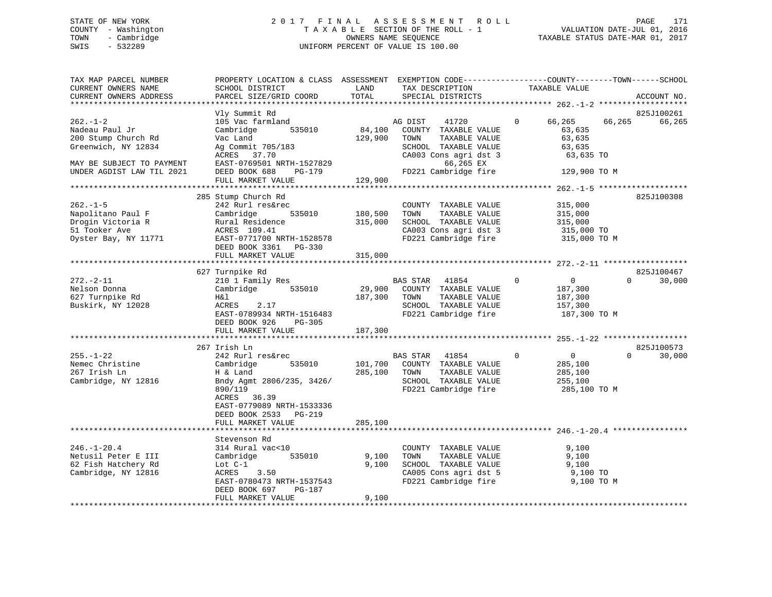## STATE OF NEW YORK 2 0 1 7 F I N A L A S S E S S M E N T R O L L PAGE 171 COUNTY - Washington T A X A B L E SECTION OF THE ROLL - 1 VALUATION DATE-JUL 01, 2016 TOWN - Cambridge OWNERS NAME SEQUENCE TAXABLE STATUS DATE-MAR 01, 2017 SWIS - 532289 UNIFORM PERCENT OF VALUE IS 100.00

| SCHOOL DISTRICT<br>PARCEL SIZE/GRID COORD                                                                                                                          | LAND<br>TOTAL                                                                                                                                  | TAX DESCRIPTION<br>SPECIAL DISTRICTS                                                                                 | TAXABLE VALUE                                                                                                       | ACCOUNT NO.                                                                                                                                                                                                                                                        |
|--------------------------------------------------------------------------------------------------------------------------------------------------------------------|------------------------------------------------------------------------------------------------------------------------------------------------|----------------------------------------------------------------------------------------------------------------------|---------------------------------------------------------------------------------------------------------------------|--------------------------------------------------------------------------------------------------------------------------------------------------------------------------------------------------------------------------------------------------------------------|
|                                                                                                                                                                    |                                                                                                                                                |                                                                                                                      |                                                                                                                     |                                                                                                                                                                                                                                                                    |
| 105 Vac farmland<br>Cambridge<br>535010<br>Vac Land<br>Ag Commit 705/183<br>ACRES 37.70<br>EAST-0769501 NRTH-1527829                                               | 129,900                                                                                                                                        | 41720<br>COUNTY TAXABLE VALUE<br>TAXABLE VALUE<br>TOWN<br>SCHOOL TAXABLE VALUE<br>CA003 Cons agri dst 3<br>66,265 EX | $\Omega$<br>66,265<br>63,635<br>63,635<br>63,635<br>63,635 TO                                                       | 825J100261<br>66,265<br>66,265                                                                                                                                                                                                                                     |
|                                                                                                                                                                    |                                                                                                                                                |                                                                                                                      |                                                                                                                     |                                                                                                                                                                                                                                                                    |
|                                                                                                                                                                    |                                                                                                                                                |                                                                                                                      |                                                                                                                     |                                                                                                                                                                                                                                                                    |
| 242 Rurl res&rec<br>Cambridge<br>535010<br>Rural Residence<br>ACRES 109.41<br>EAST-0771700 NRTH-1528578<br>DEED BOOK 3361 PG-330<br>FULL MARKET VALUE              | 315,000<br>315,000                                                                                                                             | COUNTY TAXABLE VALUE<br>TOWN<br>TAXABLE VALUE<br>SCHOOL TAXABLE VALUE                                                | 315,000<br>315,000<br>315,000<br>315,000 TO<br>315,000 TO M                                                         | 825J100308                                                                                                                                                                                                                                                         |
|                                                                                                                                                                    |                                                                                                                                                |                                                                                                                      |                                                                                                                     |                                                                                                                                                                                                                                                                    |
| 210 1 Family Res<br>535010<br>Cambridge<br>H&l<br>ACRES<br>2.17<br>EAST-0789934 NRTH-1516483<br>DEED BOOK 926<br>$PG-305$<br>FULL MARKET VALUE                     | 29,900<br>187,300<br>187,300                                                                                                                   | BAS STAR 41854<br>COUNTY TAXABLE VALUE<br>TOWN<br>TAXABLE VALUE<br>SCHOOL TAXABLE VALUE                              | $\Omega$<br>$\overline{0}$<br>187,300<br>187,300<br>157,300<br>187,300 TO M                                         | 825J100467<br>30,000<br>$\Omega$                                                                                                                                                                                                                                   |
|                                                                                                                                                                    |                                                                                                                                                |                                                                                                                      |                                                                                                                     | 825J100573                                                                                                                                                                                                                                                         |
| 242 Rurl res&rec<br>Cambridge<br>535010<br>H & Land<br>Bndy Agmt 2806/235, 3426/<br>890/119<br>ACRES 36.39<br>EAST-0779089 NRTH-1533336<br>DEED BOOK 2533 PG-219   |                                                                                                                                                | BAS STAR 41854<br>TOWN<br>TAXABLE VALUE<br>SCHOOL TAXABLE VALUE                                                      | $\mathbf 0$<br>$\overline{0}$<br>285,100<br>285,100<br>255,100<br>285,100 TO M                                      | 30,000<br>$\Omega$                                                                                                                                                                                                                                                 |
|                                                                                                                                                                    |                                                                                                                                                |                                                                                                                      |                                                                                                                     |                                                                                                                                                                                                                                                                    |
| Stevenson Rd<br>314 Rural vac<10<br>535010<br>Cambridge<br>Lot $C-1$<br>3.50<br>ACRES<br>EAST-0780473 NRTH-1537543<br>DEED BOOK 697<br>PG-187<br>FULL MARKET VALUE | 9,100<br>9,100                                                                                                                                 | COUNTY TAXABLE VALUE<br>TOWN<br>TAXABLE VALUE<br>SCHOOL TAXABLE VALUE                                                | 9,100<br>9,100<br>9,100<br>9,100 TO<br>9,100 TO M                                                                   |                                                                                                                                                                                                                                                                    |
|                                                                                                                                                                    | Vly Summit Rd<br>DEED BOOK 688<br>$PG-179$<br>FULL MARKET VALUE<br>285 Stump Church Rd<br>627 Turnpike Rd<br>267 Irish Ln<br>FULL MARKET VALUE | 285,100                                                                                                              | AG DIST<br>84,100<br>FD221 Cambridge fire<br>129,900<br>180,500<br>101,700 COUNTY TAXABLE VALUE<br>285,100<br>9,100 | PROPERTY LOCATION & CLASS ASSESSMENT EXEMPTION CODE----------------COUNTY-------TOWN------SCHOOL<br>129,900 TO M<br>CA003 Cons agri dst 3<br>FD221 Cambridge fire<br>FD221 Cambridge fire<br>FD221 Cambridge fire<br>CA005 Cons agri dst 5<br>FD221 Cambridge fire |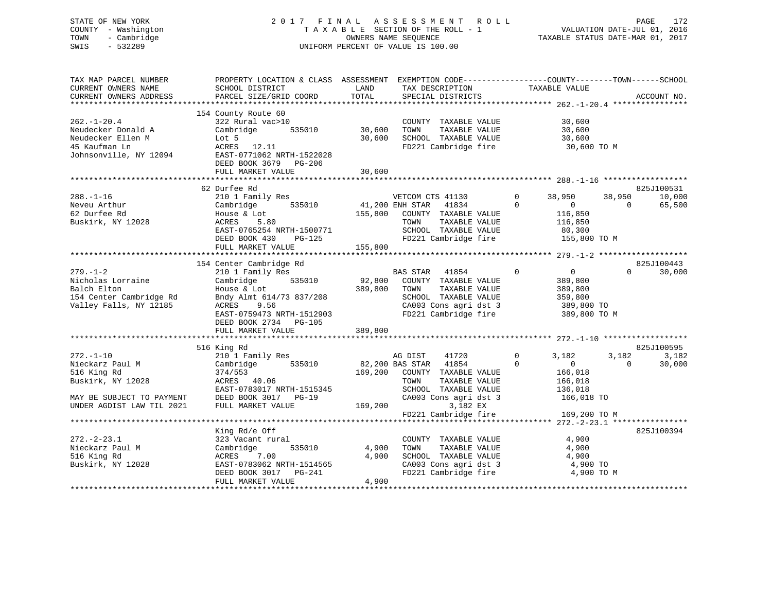## STATE OF NEW YORK 2 0 1 7 F I N A L A S S E S S M E N T R O L L PAGE 172 COUNTY - Washington T A X A B L E SECTION OF THE ROLL - 1 VALUATION DATE-JUL 01, 2016 TOWN - Cambridge OWNERS NAME SEQUENCE TAXABLE STATUS DATE-MAR 01, 2017 SWIS - 532289 UNIFORM PERCENT OF VALUE IS 100.00

| TAX MAP PARCEL NUMBER<br>CURRENT OWNERS NAME<br>CURRENT OWNERS ADDRESS                                  | PROPERTY LOCATION & CLASS ASSESSMENT EXEMPTION CODE----------------COUNTY-------TOWN------SCHOOL<br>SCHOOL DISTRICT<br>PARCEL SIZE/GRID COORD                     | LAND<br>TOTAL              | TAX DESCRIPTION<br>SPECIAL DISTRICTS                                                                                                       | TAXABLE VALUE                                                                                    | ACCOUNT NO.                                        |
|---------------------------------------------------------------------------------------------------------|-------------------------------------------------------------------------------------------------------------------------------------------------------------------|----------------------------|--------------------------------------------------------------------------------------------------------------------------------------------|--------------------------------------------------------------------------------------------------|----------------------------------------------------|
| $262. - 1 - 20.4$<br>Neudecker Donald A<br>Neudecker Ellen M<br>45 Kaufman Ln<br>Johnsonville, NY 12094 | 154 County Route 60<br>322 Rural vac>10<br>Cambridge<br>535010<br>Lot 5<br>ACRES 12.11<br>EAST-0771062 NRTH-1522028<br>DEED BOOK 3679 PG-206<br>FULL MARKET VALUE | 30,600<br>30,600<br>30,600 | COUNTY TAXABLE VALUE<br>TAXABLE VALUE<br>TOWN<br>SCHOOL TAXABLE VALUE<br>FD221 Cambridge fire 30,600 TO M                                  | 30,600<br>30,600<br>30,600                                                                       |                                                    |
|                                                                                                         | 62 Durfee Rd                                                                                                                                                      |                            |                                                                                                                                            |                                                                                                  | 825J100531                                         |
| $288. - 1 - 16$<br>Neveu Arthur<br>62 Durfee Rd<br>Buskirk, NY 12028                                    | 210 1 Family Res<br>535010<br>Cambridge<br>House & Lot<br>ACRES<br>5.80<br>EAST-0765254 NRTH-1500771<br>DEED BOOK 430<br>PG-125                                   | 155,800                    | VETCOM CTS 41130<br>41,200 ENH STAR 41834<br>COUNTY TAXABLE VALUE<br>TAXABLE VALUE<br>TOWN<br>SCHOOL TAXABLE VALUE<br>FD221 Cambridge fire | $\Omega$<br>38,950<br>$\Omega$<br>$\overline{0}$<br>116,850<br>116,850<br>80,300<br>155,800 TO M | 38,950<br>10,000<br>$\Omega$<br>65,500             |
|                                                                                                         | FULL MARKET VALUE                                                                                                                                                 | 155,800                    |                                                                                                                                            |                                                                                                  |                                                    |
|                                                                                                         | 154 Center Cambridge Rd                                                                                                                                           |                            |                                                                                                                                            |                                                                                                  | 825J100443                                         |
| $279. - 1 - 2$<br>Nicholas Lorraine<br>Balch Elton<br>154 Center Cambridge Rd<br>Valley Falls, NY 12185 | 210 1 Family Res<br>535010<br>Cambridge<br>House & Lot<br>Bndy Almt 614/73 837/208<br>ACRES 9.56<br>EAST-0759473 NRTH-1512903<br>DEED BOOK 2734 PG-105            | 92,800<br>389,800          | BAS STAR 41854<br>COUNTY TAXABLE VALUE<br>TOWN<br>TAXABLE VALUE<br>SCHOOL TAXABLE VALUE<br>CA003 Cons agri dst 3<br>FD221 Cambridge fire   | $\Omega$<br>$\overline{0}$<br>389,800<br>389,800<br>359,800<br>389,800 TO<br>389,800 TO M        | $\Omega$<br>30,000                                 |
|                                                                                                         | FULL MARKET VALUE                                                                                                                                                 | 389,800                    |                                                                                                                                            |                                                                                                  |                                                    |
|                                                                                                         |                                                                                                                                                                   |                            |                                                                                                                                            |                                                                                                  |                                                    |
| $272. - 1 - 10$<br>Nieckarz Paul M<br>516 King Rd<br>Buskirk, NY 12028                                  | 516 King Rd<br>210 1 Family Res<br>Cambridge 535010<br>374/553<br>ACRES 40.06<br>EAST-0783017 NRTH-1515345                                                        |                            | AG DIST<br>41720<br>82,200 BAS STAR 41854<br>169,200 COUNTY TAXABLE VALUE<br>TAXABLE VALUE<br>TOWN<br>SCHOOL TAXABLE VALUE                 | $\mathbf 0$<br>3,182<br>$\Omega$<br>$\overline{0}$<br>166,018<br>166,018<br>136,018              | 825J100595<br>3,182<br>3,182<br>30,000<br>$\Omega$ |
| MAY BE SUBJECT TO PAYMENT DEED BOOK 3017 PG-19<br>UNDER AGDIST LAW TIL 2021 FULL MARKET VALUE           |                                                                                                                                                                   | 169,200                    | CA003 Cons agri dst 3<br>3,182 EX<br>FD221 Cambridge fire                                                                                  | 166,018 TO<br>169,200 TO M                                                                       |                                                    |
|                                                                                                         |                                                                                                                                                                   |                            |                                                                                                                                            |                                                                                                  |                                                    |
| $272 - 2 - 23.1$<br>Nieckarz Paul M<br>516 King Rd<br>Buskirk, NY 12028                                 | King Rd/e Off<br>323 Vacant rural<br>Cambridge<br>535010<br>ACRES<br>7.00<br>EAST-0783062 NRTH-1514565<br>DEED BOOK 3017 PG-241                                   | 4,900<br>4,900             | COUNTY TAXABLE VALUE<br>TOWN<br>TAXABLE VALUE<br>SCHOOL TAXABLE VALUE<br>CA003 Cons agri dst 3<br>FD221 Cambridge fire                     | 4,900<br>4,900<br>4,900<br>4,900 TO<br>4,900 TO M                                                | 825J100394                                         |
|                                                                                                         | FULL MARKET VALUE                                                                                                                                                 | 4,900                      |                                                                                                                                            |                                                                                                  |                                                    |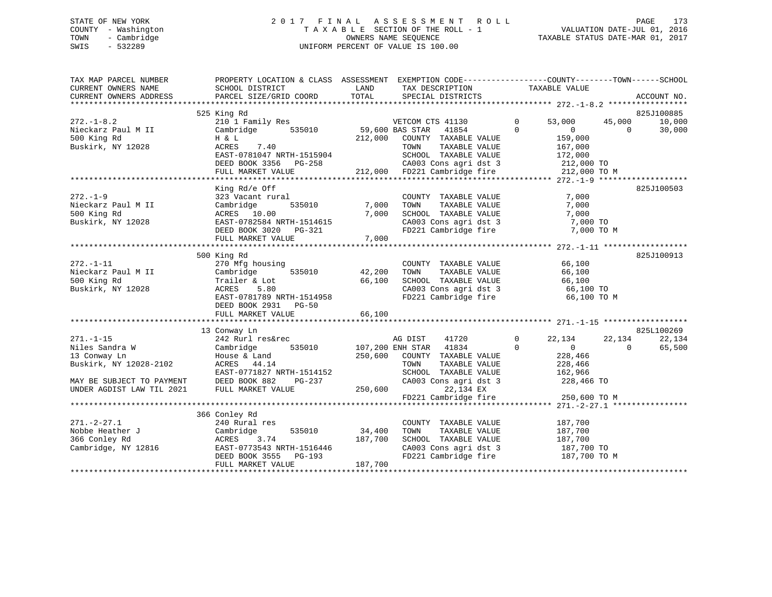## STATE OF NEW YORK 2 0 1 7 F I N A L A S S E S S M E N T R O L L PAGE 173 COUNTY - Washington T A X A B L E SECTION OF THE ROLL - 1 VALUATION DATE-JUL 01, 2016 TOWN - Cambridge OWNERS NAME SEQUENCE TAXABLE STATUS DATE-MAR 01, 2017 SWIS - 532289 UNIFORM PERCENT OF VALUE IS 100.00

| TAX MAP PARCEL NUMBER<br>CURRENT OWNERS NAME                                 | PROPERTY LOCATION & CLASS ASSESSMENT EXEMPTION CODE-----------------COUNTY--------TOWN------SCHOOL<br>SCHOOL DISTRICT                              | LAND                         | TAX DESCRIPTION                                                                                                                                                        |                          | TAXABLE VALUE                                                  |                    |                  |
|------------------------------------------------------------------------------|----------------------------------------------------------------------------------------------------------------------------------------------------|------------------------------|------------------------------------------------------------------------------------------------------------------------------------------------------------------------|--------------------------|----------------------------------------------------------------|--------------------|------------------|
| CURRENT OWNERS ADDRESS                                                       | PARCEL SIZE/GRID COORD                                                                                                                             | TOTAL                        | SPECIAL DISTRICTS                                                                                                                                                      |                          |                                                                |                    | ACCOUNT NO.      |
|                                                                              | 525 King Rd                                                                                                                                        |                              |                                                                                                                                                                        |                          |                                                                |                    | 825J100885       |
| $272. - 1 - 8.2$<br>Nieckarz Paul M II<br>500 King Rd<br>Buskirk, NY 12028   | 210 1 Family Res<br>Cambridge<br>H & L<br>ACRES<br>7.40<br>EAST-0781047 NRTH-1515904<br>DEED BOOK 3356 PG-258<br>FULL MARKET VALUE                 | 535010 59,600 BAS STAR       | VETCOM CTS 41130 0<br>41854<br>59,600 BAS SIAR (1998)<br>212,000 COUNTY TAXABLE VALUE                                                                                  | $\Omega$                 | 53,000<br>$\overline{0}$<br>159,000<br>167,000<br>212,000 TO M | 45,000<br>$\Omega$ | 10,000<br>30,000 |
|                                                                              | King Rd/e Off                                                                                                                                      |                              |                                                                                                                                                                        |                          |                                                                |                    | 825J100503       |
| $272 - 1 - 9$<br>Nieckarz Paul M II<br>500 King Rd<br>Buskirk, NY 12028      | 323 Vacant rural                                                                                                                                   |                              | COUNTY TAXABLE VALUE<br>TAXABLE VALUE<br>TOWN<br>SCHOOL TAXABLE VALUE 7,000<br>CA003 Cons agri dst 3 7,000 TO<br>FD221 Cambridge fire 7,000 TO M                       |                          | 7,000<br>7,000                                                 |                    |                  |
|                                                                              | 500 King Rd                                                                                                                                        |                              |                                                                                                                                                                        |                          |                                                                |                    | 825J100913       |
| $272. - 1 - 11$<br>Nieckarz Paul M II<br>500 King Rd<br>Buskirk, NY 12028    | 270 Mfg housing<br>Cambridge<br>535010<br>Trailer & Lot<br>5.80<br>ACRES<br>EAST-0781789 NRTH-1514958<br>DEED BOOK 2931 PG-50<br>FULL MARKET VALUE | 42,200<br>66,100<br>66,100   | COUNTY TAXABLE VALUE<br>TAXABLE VALUE<br>TOWN<br>SCHOOL TAXABLE VALUE<br>CA003 Cons agri dst 3<br>FD221 Cambridge fire                                                 |                          | 66,100<br>66,100<br>66,100<br>66,100 TO<br>66,100 TO M         |                    |                  |
|                                                                              | 13 Conway Ln                                                                                                                                       |                              |                                                                                                                                                                        |                          |                                                                |                    | 825L100269       |
| $271. - 1 - 15$<br>Niles Sandra W<br>13 Conway Ln<br>Buskirk, NY 12028-2102  | 242 Rurl res&rec<br>535010 107,200 ENH STAR<br>Cambridge<br>House & Land<br>ACRES 44.14<br>EAST-0771827 NRTH-1514152<br>$PG-237$                   | 250,600                      | 41720<br>AG DIST<br>41834<br>COUNTY TAXABLE VALUE<br>TAXABLE VALUE<br>TOWN<br>SCHOOL TAXABLE VALUE<br>SCHOOL TAXABLE VALUE 162,966<br>CA003 Cons agri dst 3 228,466 TO | $\mathbf{0}$<br>$\Omega$ | 22,134<br>$\sim$ 0<br>228,466<br>228,466<br>162,966            | 22,134<br>$\Omega$ | 22,134<br>65,500 |
| MAY BE SUBJECT TO PAYMENT<br>UNDER AGDIST LAW TIL 2021                       | DEED BOOK 882<br>FULL MARKET VALUE                                                                                                                 | 250,600                      | 22,134 EX<br>22,134 EX<br>FD221 Cambridge fire 250,600 TO M                                                                                                            |                          |                                                                |                    |                  |
|                                                                              |                                                                                                                                                    |                              |                                                                                                                                                                        |                          |                                                                |                    |                  |
|                                                                              | 366 Conley Rd                                                                                                                                      |                              |                                                                                                                                                                        |                          |                                                                |                    |                  |
| $271. - 2 - 27.1$<br>Nobbe Heather J<br>366 Conley Rd<br>Cambridge, NY 12816 | 240 Rural res<br>Cambridge<br>535010<br>3.74<br>ACRES<br>nnoi-0773543 NRTH-1516446<br>DEED BOOK 3555 PG-193<br>FULL MARKET VALUE                   | 34,400<br>187,700<br>187,700 | COUNTY TAXABLE VALUE<br>TAXABLE VALUE<br>TOWN<br>SCHOOL TAXABLE VALUE<br>FD221 Cambridge fire                                                                          |                          | 187,700<br>187,700<br>187,700<br>187,700 TO<br>187,700 TO M    |                    |                  |
|                                                                              |                                                                                                                                                    |                              |                                                                                                                                                                        |                          |                                                                |                    |                  |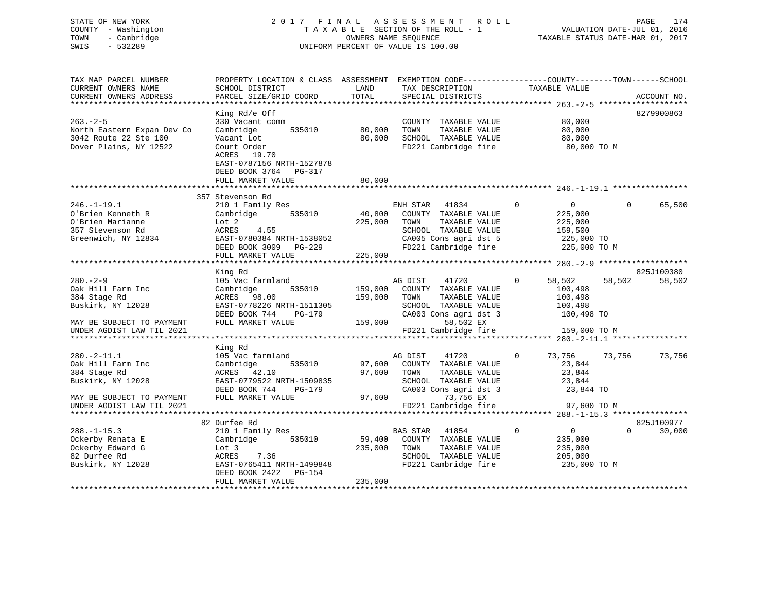## STATE OF NEW YORK 2 0 1 7 F I N A L A S S E S S M E N T R O L L PAGE 174 COUNTY - Washington T A X A B L E SECTION OF THE ROLL - 1 VALUATION DATE-JUL 01, 2016 TOWN - Cambridge OWNERS NAME SEQUENCE TAXABLE STATUS DATE-MAR 01, 2017 SWIS - 532289 UNIFORM PERCENT OF VALUE IS 100.00

| TAX MAP PARCEL NUMBER<br>CURRENT OWNERS NAME<br>CURRENT OWNERS ADDRESS | PROPERTY LOCATION & CLASS ASSESSMENT<br>SCHOOL DISTRICT<br>PARCEL SIZE/GRID COORD                     | LAND<br>TOTAL | EXEMPTION CODE-----------------COUNTY-------TOWN------SCHOOL<br>TAX DESCRIPTION | TAXABLE VALUE                 | ACCOUNT NO.                     |
|------------------------------------------------------------------------|-------------------------------------------------------------------------------------------------------|---------------|---------------------------------------------------------------------------------|-------------------------------|---------------------------------|
|                                                                        |                                                                                                       |               | SPECIAL DISTRICTS                                                               |                               |                                 |
|                                                                        | King Rd/e Off                                                                                         |               |                                                                                 |                               | 8279900863                      |
| $263. - 2 - 5$                                                         | 330 Vacant comm                                                                                       |               | COUNTY TAXABLE VALUE                                                            | 80,000                        |                                 |
| North Eastern Expan Dev Co                                             | Cambridge<br>535010                                                                                   | 80,000        | TOWN<br>TAXABLE VALUE                                                           | 80,000                        |                                 |
| 3042 Route 22 Ste 100                                                  | Vacant Lot                                                                                            | 80,000        | SCHOOL TAXABLE VALUE                                                            | 80,000                        |                                 |
| Dover Plains, NY 12522                                                 | Court Order<br>ACRES 19.70<br>EAST-0787156 NRTH-1527878<br>DEED BOOK 3764 PG-317<br>FULL MARKET VALUE | 80,000        | FD221 Cambridge fire                                                            | 80,000 TO M                   |                                 |
|                                                                        |                                                                                                       |               |                                                                                 |                               |                                 |
|                                                                        | 357 Stevenson Rd                                                                                      |               |                                                                                 |                               |                                 |
| $246. - 1 - 19.1$                                                      | 210 1 Family Res                                                                                      |               | ENH STAR<br>41834                                                               | $\Omega$<br>$\overline{0}$    | $\Omega$<br>65,500              |
| O'Brien Kenneth R                                                      | Cambridge<br>535010                                                                                   | 40,800        | COUNTY TAXABLE VALUE                                                            | 225,000                       |                                 |
| O'Brien Marianne                                                       | Lot 2                                                                                                 | 225,000       | TAXABLE VALUE<br>TOWN                                                           | 225,000                       |                                 |
| 357 Stevenson Rd                                                       | 4.55<br>ACRES                                                                                         |               | SCHOOL TAXABLE VALUE                                                            | 159,500                       |                                 |
| Greenwich, NY 12834                                                    | EAST-0780384 NRTH-1538052<br>DEED BOOK 3009 PG-229                                                    |               | CA005 Cons agri dst 5<br>FD221 Cambridge fire                                   | 225,000 TO<br>225,000 TO M    |                                 |
|                                                                        | FULL MARKET VALUE                                                                                     | 225,000       |                                                                                 |                               |                                 |
|                                                                        |                                                                                                       |               |                                                                                 |                               |                                 |
|                                                                        | King Rd                                                                                               |               |                                                                                 |                               | 825J100380                      |
| $280 - 2 - 9$                                                          | 105 Vac farmland                                                                                      |               | AG DIST<br>41720                                                                | $\Omega$<br>58,502            | 58,502<br>58,502                |
| Oak Hill Farm Inc                                                      | Cambridge<br>535010                                                                                   | 159,000       | COUNTY TAXABLE VALUE                                                            | 100,498                       |                                 |
| 384 Stage Rd                                                           | ACRES<br>98.00                                                                                        | 159,000       | TOWN<br>TAXABLE VALUE                                                           | 100,498                       |                                 |
| Buskirk, NY 12028                                                      | EAST-0778226 NRTH-1511305                                                                             |               | SCHOOL TAXABLE VALUE                                                            | 100,498                       |                                 |
|                                                                        | DEED BOOK 744<br>$PG-179$                                                                             |               | CA003 Cons agri dst 3                                                           | 100,498 TO                    |                                 |
| MAY BE SUBJECT TO PAYMENT<br>UNDER AGDIST LAW TIL 2021                 | FULL MARKET VALUE                                                                                     | 159,000       | 58,502 EX<br>FD221 Cambridge fire                                               | 159,000 TO M                  |                                 |
| **************************                                             |                                                                                                       |               |                                                                                 |                               | ****** 280.-2-11.1 ************ |
|                                                                        | King Rd                                                                                               |               |                                                                                 |                               |                                 |
| $280. -2 - 11.1$                                                       | 105 Vac farmland                                                                                      |               | AG DIST<br>41720                                                                | $\Omega$<br>73,756            | 73,756<br>73,756                |
| Oak Hill Farm Inc                                                      | Cambridge<br>535010                                                                                   | 97,600        | COUNTY TAXABLE VALUE                                                            | 23,844                        |                                 |
| 384 Stage Rd                                                           | ACRES 42.10                                                                                           | 97,600        | TOWN<br>TAXABLE VALUE                                                           | 23,844                        |                                 |
| Buskirk, NY 12028                                                      | EAST-0779522 NRTH-1509835                                                                             |               | SCHOOL TAXABLE VALUE                                                            | 23,844                        |                                 |
|                                                                        | DEED BOOK 744<br>$PG-179$                                                                             |               | CA003 Cons agri dst 3                                                           | 23,844 TO                     |                                 |
| MAY BE SUBJECT TO PAYMENT                                              | FULL MARKET VALUE                                                                                     | 97,600        | 73,756 EX                                                                       |                               |                                 |
| UNDER AGDIST LAW TIL 2021                                              |                                                                                                       |               | FD221 Cambridge fire                                                            | 97,600 TO M                   |                                 |
|                                                                        | 82 Durfee Rd                                                                                          |               |                                                                                 |                               | 825J100977                      |
| $288. - 1 - 15.3$                                                      | 210 1 Family Res                                                                                      |               | <b>BAS STAR</b><br>41854                                                        | $\mathbf 0$<br>$\overline{0}$ | $\Omega$<br>30,000              |
| Ockerby Renata E                                                       | Cambridge<br>535010                                                                                   | 59,400        | COUNTY TAXABLE VALUE                                                            | 235,000                       |                                 |
| Ockerby Edward G                                                       | Lot 3                                                                                                 | 235,000       | TAXABLE VALUE<br>TOWN                                                           | 235,000                       |                                 |
| 82 Durfee Rd                                                           | 7.36<br>ACRES                                                                                         |               | SCHOOL TAXABLE VALUE                                                            | 205,000                       |                                 |
| Buskirk, NY 12028                                                      | EAST-0765411 NRTH-1499848                                                                             |               | FD221 Cambridge fire                                                            | 235,000 TO M                  |                                 |
|                                                                        | DEED BOOK 2422<br>PG-154                                                                              |               |                                                                                 |                               |                                 |
|                                                                        | FULL MARKET VALUE                                                                                     | 235,000       |                                                                                 |                               |                                 |
|                                                                        |                                                                                                       |               |                                                                                 |                               |                                 |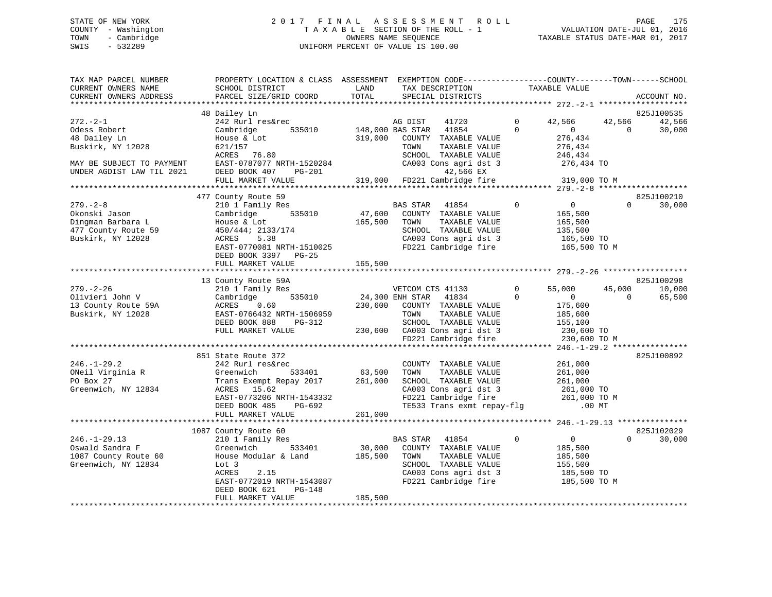## STATE OF NEW YORK 2 0 1 7 F I N A L A S S E S S M E N T R O L L PAGE 175 COUNTY - Washington T A X A B L E SECTION OF THE ROLL - 1 VALUATION DATE-JUL 01, 2016 TOWN - Cambridge OWNERS NAME SEQUENCE TAXABLE STATUS DATE-MAR 01, 2017 SWIS - 532289 UNIFORM PERCENT OF VALUE IS 100.00

| TAX MAP PARCEL NUMBER<br>CURRENT OWNERS NAME                                                     | PROPERTY LOCATION & CLASS ASSESSMENT EXEMPTION CODE----------------COUNTY-------TOWN-----SCHOOL<br>SCHOOL DISTRICT                                | LAND              | TAX DESCRIPTION                                                                                                                                                               | TAXABLE VALUE                                                                                |                    |                                |
|--------------------------------------------------------------------------------------------------|---------------------------------------------------------------------------------------------------------------------------------------------------|-------------------|-------------------------------------------------------------------------------------------------------------------------------------------------------------------------------|----------------------------------------------------------------------------------------------|--------------------|--------------------------------|
| CURRENT OWNERS ADDRESS                                                                           | PARCEL SIZE/GRID COORD                                                                                                                            | TOTAL             | SPECIAL DISTRICTS                                                                                                                                                             |                                                                                              |                    | ACCOUNT NO.                    |
|                                                                                                  |                                                                                                                                                   |                   |                                                                                                                                                                               |                                                                                              |                    |                                |
| $272 - 2 - 1$<br>Odess Robert                                                                    | 48 Dailey Ln<br>242 Rurl res&rec<br>535010<br>Cambridge                                                                                           | 148,000 BAS STAR  | AG DIST<br>41720<br>41854                                                                                                                                                     | $\Omega$<br>42,566<br>$\Omega$<br>$\overline{0}$                                             | 42,566<br>$\Omega$ | 825J100535<br>42,566<br>30,000 |
| 48 Dailey Ln<br>Buskirk, NY 12028                                                                | House & Lot<br>621/157<br>ACRES 76.80                                                                                                             | 319,000           | COUNTY TAXABLE VALUE<br>TOWN<br>TAXABLE VALUE<br>SCHOOL TAXABLE VALUE                                                                                                         | 276,434<br>276,434<br>246,434                                                                |                    |                                |
| MAY BE SUBJECT TO PAYMENT<br>UNDER AGDIST LAW TIL 2021                                           | EAST-0787077 NRTH-1520284<br>DEED BOOK 407<br>PG-201<br>FULL MARKET VALUE                                                                         |                   | CA003 Cons agri dst 3<br>42,566 EX<br>319,000 FD221 Cambridge fire                                                                                                            | 276,434 TO<br>319,000 TO M                                                                   |                    |                                |
|                                                                                                  |                                                                                                                                                   |                   |                                                                                                                                                                               |                                                                                              |                    |                                |
|                                                                                                  | 477 County Route 59                                                                                                                               |                   |                                                                                                                                                                               |                                                                                              |                    | 825J100210                     |
| $279. - 2 - 8$<br>Okonski Jason<br>Dingman Barbara L<br>477 County Route 59<br>Buskirk, NY 12028 | 210 1 Family Res<br>535010<br>Cambridge<br>House & Lot<br>450/444; 2133/174<br>ACRES<br>5.38<br>EAST-0770081 NRTH-1510025<br>DEED BOOK 3397 PG-25 | 47,600<br>165,500 | BAS STAR<br>41854<br>COUNTY TAXABLE VALUE<br>TOWN<br>TAXABLE VALUE<br>SCHOOL TAXABLE VALUE<br>CA003 Cons agri dst 3<br>FD221 Cambridge fire                                   | $\mathbf 0$<br>$\overline{0}$<br>165,500<br>165,500<br>135,500<br>165,500 TO<br>165,500 TO M | $\Omega$           | 30,000                         |
|                                                                                                  | FULL MARKET VALUE                                                                                                                                 | 165,500           |                                                                                                                                                                               |                                                                                              |                    |                                |
|                                                                                                  |                                                                                                                                                   |                   |                                                                                                                                                                               |                                                                                              |                    |                                |
|                                                                                                  | 13 County Route 59A                                                                                                                               |                   |                                                                                                                                                                               |                                                                                              |                    | 825J100298                     |
| $279. - 2 - 26$<br>Olivieri John V                                                               | 210 1 Family Res<br>535010                                                                                                                        | 24,300 ENH STAR   | VETCOM CTS 41130                                                                                                                                                              | $\mathbf{0}$<br>55,000<br>$\Omega$<br>$\overline{0}$                                         | 45,000<br>$\Omega$ | 10,000<br>65,500               |
| 13 County Route 59A<br>Buskirk, NY 12028                                                         | Cambridge<br>0.60<br>ACRES<br>EAST-0766432 NRTH-1506959<br>DEED BOOK 888<br>PG-312<br>FULL MARKET VALUE                                           | 230,600           | 41834<br>COUNTY TAXABLE VALUE<br>TOWN<br>TAXABLE VALUE<br>SCHOOL TAXABLE VALUE<br>230,600 CA003 Cons agri dst 3                                                               | 175,600<br>185,600<br>155,100<br>230,600 TO                                                  |                    |                                |
|                                                                                                  |                                                                                                                                                   |                   | FD221 Cambridge fire                                                                                                                                                          | 230,600 TO M                                                                                 |                    |                                |
|                                                                                                  |                                                                                                                                                   |                   |                                                                                                                                                                               |                                                                                              |                    | 825J100892                     |
| $246. - 1 - 29.2$<br>ONeil Virginia R<br>PO Box 27<br>Greenwich, NY 12834                        | 851 State Route 372<br>242 Rurl res&rec<br>533401<br>Greenwich<br>Trans Exempt Repay 2017<br>ACRES 15.62<br>EAST-0773206 NRTH-1543332             | 63,500<br>261,000 | COUNTY TAXABLE VALUE<br>TOWN<br>TAXABLE VALUE<br>SCHOOL TAXABLE VALUE<br>CA003 Cons agri dst 3<br>CA003 Cons agri dst 3<br>FD221 Cambridge fire<br>TE533 Trans exmt repay-flg | 261,000<br>261,000<br>261,000<br>261,000 TO<br>261,000 TO M                                  |                    |                                |
|                                                                                                  | DEED BOOK 485<br>PG-692                                                                                                                           |                   |                                                                                                                                                                               | $.00$ MT                                                                                     |                    |                                |
|                                                                                                  | FULL MARKET VALUE                                                                                                                                 | 261,000           |                                                                                                                                                                               |                                                                                              |                    |                                |
|                                                                                                  |                                                                                                                                                   |                   |                                                                                                                                                                               |                                                                                              |                    |                                |
|                                                                                                  | 1087 County Route 60                                                                                                                              |                   |                                                                                                                                                                               |                                                                                              |                    | 825J102029                     |
| $246. - 1 - 29.13$<br>Oswald Sandra F<br>1087 County Route 60<br>Greenwich, NY 12834             | 210 1 Family Res<br>Greenwich<br>533401<br>House Modular & Land<br>Lot 3<br>ACRES<br>2.15<br>EAST-0772019 NRTH-1543087<br>DEED BOOK 621<br>PG-148 | 30,000<br>185,500 | BAS STAR 41854<br>COUNTY TAXABLE VALUE<br>TOWN<br>TAXABLE VALUE<br>SCHOOL TAXABLE VALUE<br>CA003 Cons agri dst 3<br>FD221 Cambridge fire                                      | $\Omega$<br>$\overline{0}$<br>185,500<br>185,500<br>155,500<br>$185,500$ TO<br>185,500 TO M  | $\Omega$           | 30,000                         |
|                                                                                                  | FULL MARKET VALUE                                                                                                                                 | 185,500           |                                                                                                                                                                               |                                                                                              |                    |                                |
|                                                                                                  |                                                                                                                                                   |                   |                                                                                                                                                                               |                                                                                              |                    |                                |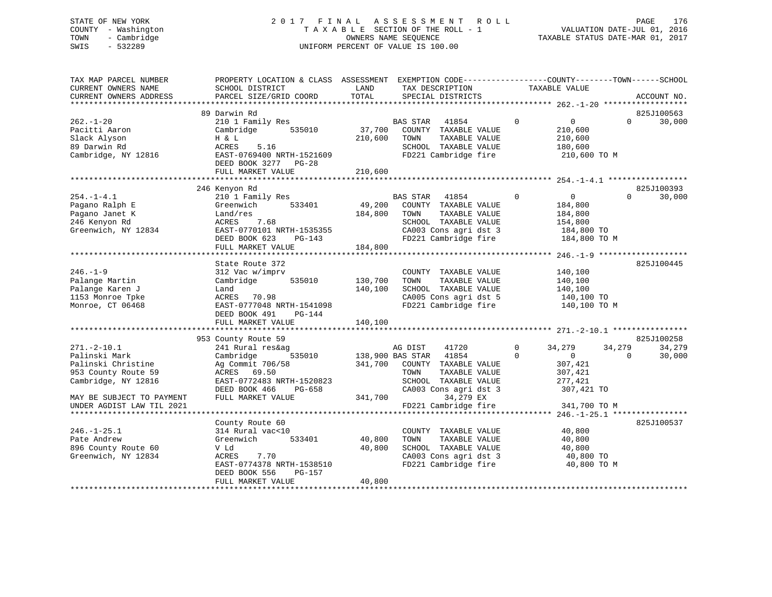## STATE OF NEW YORK 2 0 1 7 F I N A L A S S E S S M E N T R O L L PAGE 176 COUNTY - Washington T A X A B L E SECTION OF THE ROLL - 1 VALUATION DATE-JUL 01, 2016 TOWN - Cambridge OWNERS NAME SEQUENCE TAXABLE STATUS DATE-MAR 01, 2017 SWIS - 532289 UNIFORM PERCENT OF VALUE IS 100.00

| TAX MAP PARCEL NUMBER<br>CURRENT OWNERS NAME<br>CURRENT OWNERS ADDRESS<br>************************                                                               | PROPERTY LOCATION & CLASS ASSESSMENT<br>SCHOOL DISTRICT<br>PARCEL SIZE/GRID COORD                                                                                              | LAND<br>TOTAL                 | EXEMPTION CODE-----------------COUNTY-------TOWN------SCHOOL<br>TAX DESCRIPTION<br>SPECIAL DISTRICTS                                                                                 | TAXABLE VALUE                                                                                            | ACCOUNT NO.                                          |
|------------------------------------------------------------------------------------------------------------------------------------------------------------------|--------------------------------------------------------------------------------------------------------------------------------------------------------------------------------|-------------------------------|--------------------------------------------------------------------------------------------------------------------------------------------------------------------------------------|----------------------------------------------------------------------------------------------------------|------------------------------------------------------|
|                                                                                                                                                                  |                                                                                                                                                                                |                               |                                                                                                                                                                                      |                                                                                                          |                                                      |
| $262. - 1 - 20$<br>Pacitti Aaron<br>Slack Alyson<br>89 Darwin Rd<br>Cambridge, NY 12816                                                                          | 89 Darwin Rd<br>210 1 Family Res<br>Cambridge<br>535010<br>H & L<br>ACRES<br>5.16<br>EAST-0769400 NRTH-1521609<br>DEED BOOK 3277 PG-28<br>FULL MARKET VALUE                    | 37,700<br>210,600<br>210,600  | BAS STAR<br>41854<br>COUNTY TAXABLE VALUE<br>TOWN<br>TAXABLE VALUE<br>SCHOOL TAXABLE VALUE<br>FD221 Cambridge fire                                                                   | $\mathbf 0$<br>$\overline{0}$<br>210,600<br>210,600<br>180,600<br>210,600 TO M                           | 825J100563<br>$\Omega$<br>30,000                     |
|                                                                                                                                                                  |                                                                                                                                                                                |                               |                                                                                                                                                                                      |                                                                                                          |                                                      |
| $254. -1 - 4.1$<br>Pagano Ralph E<br>Pagano Janet K<br>246 Kenyon Rd<br>Greenwich, NY 12834                                                                      | 246 Kenyon Rd<br>210 1 Family Res<br>Greenwich<br>533401<br>Land/res<br>ACRES<br>7.68<br>EAST-0770101 NRTH-1535355<br>DEED BOOK 623<br>PG-143<br>FULL MARKET VALUE             | 49,200<br>184,800<br>184,800  | <b>BAS STAR</b><br>41854<br>COUNTY TAXABLE VALUE<br>TAXABLE VALUE<br>TOWN<br>SCHOOL TAXABLE VALUE<br>CA003 Cons agri dst 3<br>FD221 Cambridge fire                                   | $\mathbf 0$<br>$\overline{0}$<br>184,800<br>184,800<br>154,800<br>184,800 TO<br>184,800 TO M             | 825J100393<br>$\Omega$<br>30,000                     |
|                                                                                                                                                                  |                                                                                                                                                                                |                               |                                                                                                                                                                                      |                                                                                                          |                                                      |
| $246. - 1 - 9$<br>Palange Martin<br>Palange Karen J<br>1153 Monroe Tpke<br>Monroe, CT 06468                                                                      | State Route 372<br>312 Vac w/imprv<br>Cambridge<br>535010<br>Land<br>ACRES 70.98<br>EAST-0777048 NRTH-1541098<br>DEED BOOK 491<br>PG-144<br>FULL MARKET VALUE                  | 130,700<br>140,100<br>140,100 | COUNTY TAXABLE VALUE<br>TAXABLE VALUE<br>TOWN<br>SCHOOL TAXABLE VALUE<br>CA005 Cons agri dst 5<br>FD221 Cambridge fire                                                               | 140,100<br>140,100<br>140,100<br>140,100 TO<br>140,100 TO M                                              | 825J100445                                           |
|                                                                                                                                                                  |                                                                                                                                                                                |                               |                                                                                                                                                                                      |                                                                                                          |                                                      |
| $271. - 2 - 10.1$<br>Palinski Mark<br>Palinski Christine<br>953 County Route 59<br>Cambridge, NY 12816<br>MAY BE SUBJECT TO PAYMENT<br>UNDER AGDIST LAW TIL 2021 | 953 County Route 59<br>241 Rural res&ag<br>535010<br>Cambridge<br>Ag Commit 706/58<br>ACRES 69.50<br>EAST-0772483 NRTH-1520823<br>DEED BOOK 466<br>PG-658<br>FULL MARKET VALUE | 341,700<br>341,700            | AG DIST<br>41720<br>41854<br>138,900 BAS STAR<br>COUNTY TAXABLE VALUE<br>TOWN<br>TAXABLE VALUE<br>SCHOOL TAXABLE VALUE<br>CA003 Cons agri dst 3<br>34,279 EX<br>FD221 Cambridge fire | 34,279<br>0<br>$\Omega$<br>$\overline{0}$<br>307,421<br>307,421<br>277,421<br>307,421 TO<br>341,700 TO M | 825J100258<br>34,279<br>34,279<br>$\Omega$<br>30,000 |
|                                                                                                                                                                  |                                                                                                                                                                                |                               |                                                                                                                                                                                      |                                                                                                          |                                                      |
| $246. - 1 - 25.1$<br>Pate Andrew<br>896 County Route 60<br>Greenwich, NY 12834                                                                                   | County Route 60<br>314 Rural vac<10<br>Greenwich<br>533401<br>V Ld<br>7.70<br>ACRES<br>EAST-0774378 NRTH-1538510<br>DEED BOOK 556<br>PG-157<br>FULL MARKET VALUE               | 40,800<br>40,800<br>40,800    | COUNTY TAXABLE VALUE<br>TAXABLE VALUE<br>TOWN<br>SCHOOL TAXABLE VALUE<br>CA003 Cons agri dst 3<br>FD221 Cambridge fire                                                               | 40,800<br>40,800<br>40,800<br>40,800 TO<br>40,800 TO M                                                   | 825J100537                                           |
| **********************                                                                                                                                           | **************************************                                                                                                                                         |                               |                                                                                                                                                                                      |                                                                                                          |                                                      |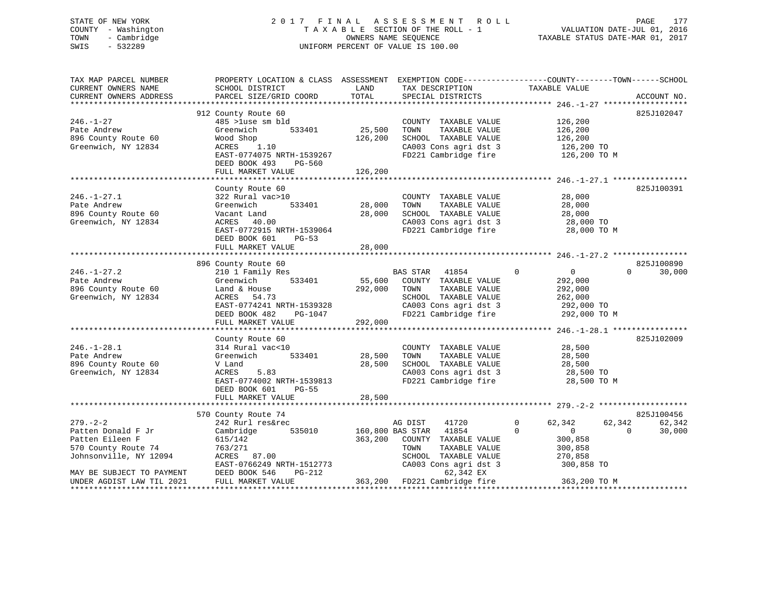## STATE OF NEW YORK 2 0 1 7 F I N A L A S S E S S M E N T R O L L PAGE 177 COUNTY - Washington T A X A B L E SECTION OF THE ROLL - 1 VALUATION DATE-JUL 01, 2016 TOWN - Cambridge OWNERS NAME SEQUENCE TAXABLE STATUS DATE-MAR 01, 2017 SWIS - 532289 UNIFORM PERCENT OF VALUE IS 100.00

| TAX MAP PARCEL NUMBER<br>CURRENT OWNERS NAME<br>CURRENT OWNERS ADDRESS | PROPERTY LOCATION & CLASS ASSESSMENT EXEMPTION CODE----------------COUNTY-------TOWN-----SCHOOL<br>SCHOOL DISTRICT<br>PARCEL SIZE/GRID COORD | LAND<br>TOTAL            | TAX DESCRIPTION<br>SPECIAL DISTRICTS | TAXABLE VALUE                                                         | ACCOUNT NO.        |
|------------------------------------------------------------------------|----------------------------------------------------------------------------------------------------------------------------------------------|--------------------------|--------------------------------------|-----------------------------------------------------------------------|--------------------|
|                                                                        |                                                                                                                                              |                          |                                      |                                                                       |                    |
|                                                                        | 912 County Route 60                                                                                                                          |                          |                                      |                                                                       | 825J102047         |
| $246. - 1 - 27$                                                        | 485 >luse sm bld                                                                                                                             |                          | COUNTY TAXABLE VALUE                 | 126,200                                                               |                    |
| Pate Andrew                                                            | Greenwich<br>533401                                                                                                                          | 25,500                   | TAXABLE VALUE<br>TOWN                | 126,200                                                               |                    |
| 896 County Route 60                                                    | Wood Shop                                                                                                                                    | 126,200                  | SCHOOL TAXABLE VALUE                 | 126,200                                                               |                    |
| Greenwich, NY 12834                                                    | ACRES 1.10                                                                                                                                   |                          | CA003 Cons agri dst 3                | 126,200 TO                                                            |                    |
|                                                                        | EAST-0774075 NRTH-1539267                                                                                                                    |                          | FD221 Cambridge fire                 | 126,200 TO M                                                          |                    |
|                                                                        | DEED BOOK 493<br>PG-560                                                                                                                      |                          |                                      |                                                                       |                    |
|                                                                        | FULL MARKET VALUE                                                                                                                            | 126,200                  |                                      |                                                                       |                    |
|                                                                        | County Route 60                                                                                                                              |                          |                                      |                                                                       | 825J100391         |
| $246. - 1 - 27.1$                                                      | 322 Rural vac>10                                                                                                                             |                          | COUNTY TAXABLE VALUE                 | 28,000                                                                |                    |
| Pate Andrew                                                            | ,<br>533401<br>Greenwich                                                                                                                     | 28,000                   | TOWN<br>TAXABLE VALUE                | 28,000                                                                |                    |
| 896 County Route 60                                                    | Vacant Land                                                                                                                                  | 28,000                   | SCHOOL TAXABLE VALUE                 | $28,000$ TO<br>$28,000$ TO                                            |                    |
| Greenwich, NY 12834                                                    | ACRES 40.00                                                                                                                                  |                          | CA003 Cons agri dst 3                |                                                                       |                    |
|                                                                        | EAST-0772915 NRTH-1539064                                                                                                                    |                          | FD221 Cambridge fire                 | 28,000 TO M                                                           |                    |
|                                                                        | DEED BOOK 601 PG-53                                                                                                                          |                          |                                      |                                                                       |                    |
|                                                                        | FULL MARKET VALUE                                                                                                                            | 28,000                   |                                      |                                                                       |                    |
|                                                                        |                                                                                                                                              |                          |                                      |                                                                       |                    |
|                                                                        | 896 County Route 60                                                                                                                          |                          |                                      |                                                                       | 825J100890         |
| $246. - 1 - 27.2$                                                      | 210 1 Family Res                                                                                                                             |                          | BAS STAR 41854                       | $\Omega$<br>$\overline{0}$                                            | 30,000<br>$\Omega$ |
| Pate Andrew                                                            | Greenwich<br>533401                                                                                                                          | 55,600                   | COUNTY TAXABLE VALUE                 | 292,000                                                               |                    |
| 896 County Route 60                                                    | Land & House                                                                                                                                 | 292,000                  | TOWN<br>TAXABLE VALUE                | 292,000                                                               |                    |
| Greenwich, NY 12834                                                    | ACRES 54.73                                                                                                                                  |                          | SCHOOL TAXABLE VALUE                 | 262,000                                                               |                    |
|                                                                        | EAST-0774241 NRTH-1539328                                                                                                                    |                          |                                      |                                                                       |                    |
|                                                                        | DEED BOOK 482                                                                                                                                |                          |                                      | CA003 Cons agri dst 3 292,000 TO<br>FD221 Cambridge fire 292,000 TO M |                    |
|                                                                        | FULL MARKET VALUE                                                                                                                            | $PG-1047$<br>JUE 292,000 |                                      |                                                                       |                    |
|                                                                        |                                                                                                                                              |                          |                                      |                                                                       |                    |
|                                                                        | County Route 60                                                                                                                              |                          |                                      |                                                                       | 825J102009         |
| $246. - 1 - 28.1$                                                      | 314 Rural vac<10                                                                                                                             |                          | COUNTY TAXABLE VALUE                 | 28,500                                                                |                    |
| Pate Andrew                                                            | 533401<br>Greenwich                                                                                                                          | 28,500                   | TAXABLE VALUE<br>TOWN                | 28,500                                                                |                    |
| 896 County Route 60                                                    | V Land                                                                                                                                       | 28,500                   | SCHOOL TAXABLE VALUE                 | 28,500                                                                |                    |
| Greenwich, NY 12834                                                    | 5.83<br>ACRES                                                                                                                                |                          | CA003 Cons agri dst 3                | 28,500 TO                                                             |                    |
|                                                                        | EAST-0774002 NRTH-1539813                                                                                                                    |                          | FD221 Cambridge fire                 | 28,500 TO M                                                           |                    |
|                                                                        | DEED BOOK 601 PG-55                                                                                                                          |                          |                                      |                                                                       |                    |
|                                                                        | FULL MARKET VALUE                                                                                                                            | 28,500                   |                                      |                                                                       |                    |
|                                                                        |                                                                                                                                              |                          |                                      |                                                                       |                    |
|                                                                        | 570 County Route 74                                                                                                                          |                          |                                      |                                                                       | 825J100456         |
| $279. - 2 - 2$                                                         | 242 Rurl res&rec                                                                                                                             |                          | AG DIST<br>41720                     | $\Omega$<br>62,342                                                    | 62,342<br>62,342   |
| Patten Donald F Jr                                                     | Cambridge                                                                                                                                    |                          | 535010 160,800 BAS STAR 41854        | $\Omega$<br>$\overline{0}$                                            | 30,000<br>$\Omega$ |
| Patten Eileen F                                                        | 615/142                                                                                                                                      |                          | 363,200 COUNTY TAXABLE VALUE         | 300,858                                                               |                    |
| 570 County Route 74                                                    | 763/271                                                                                                                                      |                          | TOWN<br>TAXABLE VALUE                | 300,858                                                               |                    |
| Johnsonville, NY 12094                                                 | ACRES 87.00                                                                                                                                  |                          | SCHOOL TAXABLE VALUE                 | 270,858                                                               |                    |
|                                                                        | EAST-0766249 NRTH-1512773                                                                                                                    |                          | CA003 Cons agri dst 3                | 300,858 TO                                                            |                    |
| MAY BE SUBJECT TO PAYMENT                                              | DEED BOOK 546<br>PG-212                                                                                                                      |                          | 62,342 EX                            |                                                                       |                    |
| UNDER AGDIST LAW TIL 2021                                              | FULL MARKET VALUE                                                                                                                            |                          | 363,200 FD221 Cambridge fire         | 363,200 TO M                                                          |                    |
|                                                                        |                                                                                                                                              |                          |                                      |                                                                       |                    |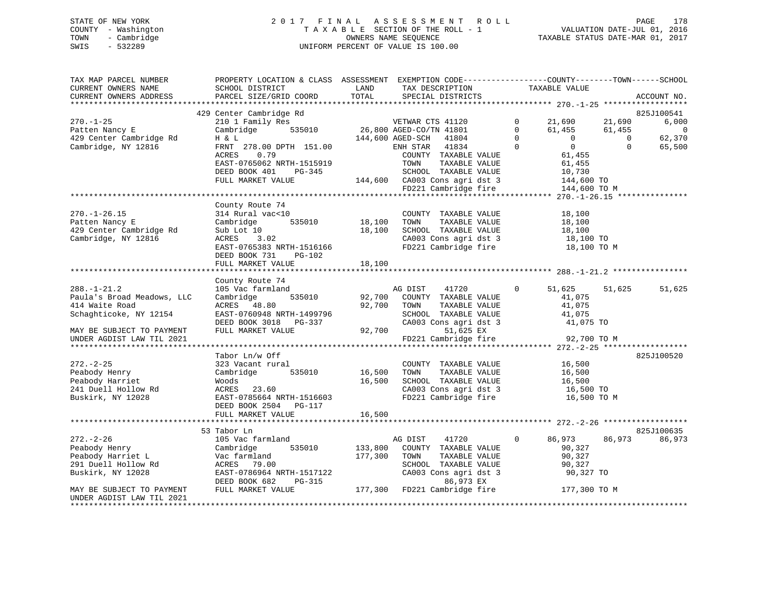## STATE OF NEW YORK 2 0 1 7 F I N A L A S S E S S M E N T R O L L PAGE 178 COUNTY - Washington T A X A B L E SECTION OF THE ROLL - 1 VALUATION DATE-JUL 01, 2016 TOWN - Cambridge OWNERS NAME SEQUENCE TAXABLE STATUS DATE-MAR 01, 2017 SWIS - 532289 UNIFORM PERCENT OF VALUE IS 100.00

| TAX MAP PARCEL NUMBER<br>CURRENT OWNERS NAME<br>CURRENT OWNERS ADDRESS                          | PROPERTY LOCATION & CLASS ASSESSMENT EXEMPTION CODE----------------COUNTY-------TOWN------SCHOOL<br>SCHOOL DISTRICT<br>PARCEL SIZE/GRID COORD     | LAND<br>TOTAL      | TAX DESCRIPTION<br>SPECIAL DISTRICTS                                                                                                                  |                                          | TAXABLE VALUE                                              |                              | ACCOUNT NO.                           |
|-------------------------------------------------------------------------------------------------|---------------------------------------------------------------------------------------------------------------------------------------------------|--------------------|-------------------------------------------------------------------------------------------------------------------------------------------------------|------------------------------------------|------------------------------------------------------------|------------------------------|---------------------------------------|
|                                                                                                 |                                                                                                                                                   |                    |                                                                                                                                                       |                                          |                                                            |                              |                                       |
| $270. - 1 - 25$<br>Patten Nancy E                                                               | 429 Center Cambridge Rd<br>210 1 Family Res<br>Cambridge<br>535010                                                                                |                    | VETWAR CTS 41120<br>26,800 AGED-CO/TN 41801                                                                                                           | $\mathbf{0}$<br>$\mathbf{0}$<br>$\Omega$ | 21,690<br>61,455<br>$\overline{0}$                         | 21,690<br>61,455<br>$\Omega$ | 825J100541<br>6,000<br>$\overline{0}$ |
| 429 Center Cambridge Rd<br>Cambridge, NY 12816                                                  | H & L<br>FRNT 278.00 DPTH 151.00<br>0.79<br>ACRES<br>EAST-0765062 NRTH-1515919<br>DEED BOOK 401 PG-345<br>FULL MARKET VALUE                       |                    | 144,600 AGED-SCH<br>41804<br>ENH STAR 41834<br>COUNTY TAXABLE VALUE<br>TOWN<br>TAXABLE VALUE<br>SCHOOL TAXABLE VALUE<br>144,600 CA003 Cons agri dst 3 | $\Omega$                                 | $\overline{0}$<br>61,455<br>61,455<br>10,730<br>144,600 TO | $\Omega$                     | 62,370<br>65,500                      |
|                                                                                                 |                                                                                                                                                   |                    | FD221 Cambridge fire                                                                                                                                  |                                          | 144,600 TO M                                               |                              |                                       |
| $270. - 1 - 26.15$<br>Patten Nancy E<br>429 Center Cambridge Rd<br>Cambridge, NY 12816          | County Route 74<br>314 Rural vac<10<br>535010<br>Cambridge<br>Sub Lot 10<br>ACRES<br>3.02<br>EAST-0765383 NRTH-1516166<br>DEED BOOK 731<br>PG-102 | 18,100<br>18,100   | COUNTY TAXABLE VALUE<br>TOWN<br>TAXABLE VALUE<br>SCHOOL TAXABLE VALUE<br>CA003 Cons agri dst 3<br>FD221 Cambridge fire                                |                                          | 18,100<br>18,100<br>18,100<br>18,100 TO<br>18,100 TO M     |                              |                                       |
|                                                                                                 | FULL MARKET VALUE                                                                                                                                 | 18,100             |                                                                                                                                                       |                                          |                                                            |                              |                                       |
|                                                                                                 | County Route 74                                                                                                                                   |                    |                                                                                                                                                       |                                          |                                                            |                              |                                       |
| $288. - 1 - 21.2$<br>Paula's Broad Meadows, LLC<br>414 Waite Road<br>Schaghticoke, NY 12154     | 105 Vac farmland<br>Cambridge<br>535010<br>ACRES 48.80<br>EAST-0760948 NRTH-1499796<br>DEED BOOK 3018 PG-337                                      | 92,700<br>92,700   | AG DIST<br>41720<br>COUNTY TAXABLE VALUE<br>TOWN<br>TAXABLE VALUE<br>SCHOOL TAXABLE VALUE<br>CA003 Cons agri dst 3                                    | $\mathbf{0}$                             | 51,625<br>41,075<br>41,075<br>41,075<br>41,075 TO          | 51,625                       | 51,625                                |
| MAY BE SUBJECT TO PAYMENT<br>UNDER AGDIST LAW TIL 2021                                          | FULL MARKET VALUE                                                                                                                                 |                    | 92,700<br>51,625 EX<br>FD221 Cambridge fire                                                                                                           |                                          | 92,700 TO M                                                |                              |                                       |
|                                                                                                 |                                                                                                                                                   |                    |                                                                                                                                                       |                                          |                                                            |                              |                                       |
| $272. - 2 - 25$<br>Peabody Henry<br>Peabody Harriet<br>241 Duell Hollow Rd<br>Buskirk, NY 12028 | Tabor Ln/w Off<br>323 Vacant rural<br>Cambridge<br>535010<br>Woods<br>ACRES 23.60<br>EAST-0785664 NRTH-1516603                                    | 16,500<br>16,500   | COUNTY TAXABLE VALUE<br>TAXABLE VALUE<br>TOWN<br>SCHOOL TAXABLE VALUE<br>CA003 Cons agri dst 3<br>FD221 Cambridge fire                                |                                          | 16,500<br>16,500<br>16,500<br>16,500 TO<br>16,500 TO M     |                              | 825J100520                            |
|                                                                                                 | DEED BOOK 2504 PG-117                                                                                                                             |                    |                                                                                                                                                       |                                          |                                                            |                              |                                       |
|                                                                                                 | FULL MARKET VALUE                                                                                                                                 | 16,500             |                                                                                                                                                       |                                          |                                                            |                              |                                       |
|                                                                                                 | 53 Tabor Ln                                                                                                                                       |                    |                                                                                                                                                       |                                          |                                                            |                              | 825J100635                            |
| $272. - 2 - 26$                                                                                 | 105 Vac farmland                                                                                                                                  |                    | AG DIST<br>41720                                                                                                                                      | $\circ$                                  | 86,973                                                     | 86,973                       | 86,973                                |
| Peabody Henry<br>Peabody Harriet L<br>291 Duell Hollow Rd<br>Buskirk, NY 12028                  | 535010<br>Cambridge<br>Vac farmland<br>ACRES 79.00<br>EAST-0786964 NRTH-1517122<br>DEED BOOK 682<br>PG-315                                        | 133,800<br>177,300 | COUNTY TAXABLE VALUE<br>TOWN<br>TAXABLE VALUE<br>SCHOOL TAXABLE VALUE<br>CA003 Cons agri dst 3<br>86,973 EX                                           |                                          | 90,327<br>90,327<br>90,327<br>90,327 TO                    |                              |                                       |
| MAY BE SUBJECT TO PAYMENT<br>UNDER AGDIST LAW TIL 2021                                          | FULL MARKET VALUE                                                                                                                                 |                    | 177,300 FD221 Cambridge fire                                                                                                                          |                                          | 177,300 TO M                                               |                              |                                       |
|                                                                                                 |                                                                                                                                                   |                    |                                                                                                                                                       |                                          |                                                            |                              |                                       |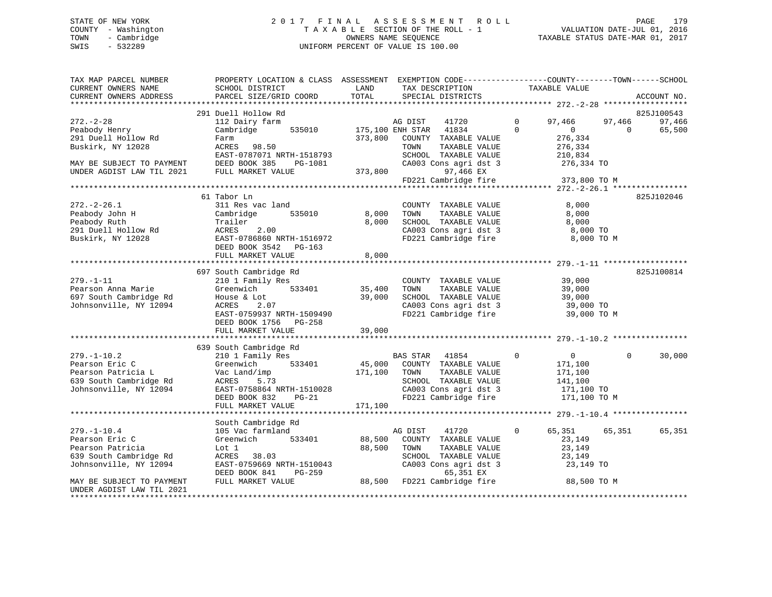#### STATE OF NEW YORK 2017 FINAL ASSESSMENT ROLL PAGE 179 COUNTY - Washington T A X A B L E SECTION OF THE ROLL - 1 VALUATION DATE-JUL 01, 2016 TOWN - Cambridge OWNERS NAME SEQUENCE TAXABLE STATUS DATE-MAR 01, 2017 SWIS - 532289 UNIFORM PERCENT OF VALUE IS 100.00

| TAX MAP PARCEL NUMBER<br>CURRENT OWNERS NAME                                       | PROPERTY LOCATION & CLASS ASSESSMENT EXEMPTION CODE-----------------COUNTY-------TOWN------SCHOOL<br>SCHOOL DISTRICT | LAND    | TAX DESCRIPTION                                                                                                                                                                                                                                                                                                                                                                                                                                                                       | TAXABLE VALUE              |            |             |
|------------------------------------------------------------------------------------|----------------------------------------------------------------------------------------------------------------------|---------|---------------------------------------------------------------------------------------------------------------------------------------------------------------------------------------------------------------------------------------------------------------------------------------------------------------------------------------------------------------------------------------------------------------------------------------------------------------------------------------|----------------------------|------------|-------------|
| CURRENT OWNERS ADDRESS                                                             | PARCEL SIZE/GRID COORD                                                                                               | TOTAL   | SPECIAL DISTRICTS                                                                                                                                                                                                                                                                                                                                                                                                                                                                     |                            |            | ACCOUNT NO. |
|                                                                                    |                                                                                                                      |         |                                                                                                                                                                                                                                                                                                                                                                                                                                                                                       |                            |            |             |
|                                                                                    | 291 Duell Hollow Rd                                                                                                  |         |                                                                                                                                                                                                                                                                                                                                                                                                                                                                                       |                            |            | 825J100543  |
| $272 - 2 - 28$                                                                     | 112 Dairy farm                                                                                                       |         |                                                                                                                                                                                                                                                                                                                                                                                                                                                                                       | $\mathbf{0}$<br>97,466     | 97,466     | 97,466      |
| Peabody Henry                                                                      | Cambridge 535010                                                                                                     |         | AG DIST 41720<br>175,100 ENH STAR 41834                                                                                                                                                                                                                                                                                                                                                                                                                                               | $\Omega$<br>$\overline{0}$ | $\bigcirc$ | 65,500      |
| 291 Duell Hollow Rd                                                                | Farm                                                                                                                 | 373,800 | COUNTY TAXABLE VALUE                                                                                                                                                                                                                                                                                                                                                                                                                                                                  | 276,334                    |            |             |
| Buskirk, NY 12028                                                                  | ACRES 98.50                                                                                                          |         | TOWN<br>TAXABLE VALUE                                                                                                                                                                                                                                                                                                                                                                                                                                                                 | 276,334                    |            |             |
|                                                                                    | EAST-0787071 NRTH-1518793                                                                                            |         | SCHOOL TAXABLE VALUE<br>SCHOOL TAXABLE VALUE<br>CA003 Cons agri dst 3                                                                                                                                                                                                                                                                                                                                                                                                                 | 210,834<br>276,334 TO      |            |             |
| MAY BE SUBJECT TO PAYMENT<br>UNDER AGDIST LAW TIL 2021 FULL MARKET VALUE           | PG-1081                                                                                                              |         |                                                                                                                                                                                                                                                                                                                                                                                                                                                                                       |                            |            |             |
|                                                                                    |                                                                                                                      | 373,800 | 97,466 EX<br>FD221 Cambridge fire 373,800 TO M                                                                                                                                                                                                                                                                                                                                                                                                                                        |                            |            |             |
|                                                                                    |                                                                                                                      |         |                                                                                                                                                                                                                                                                                                                                                                                                                                                                                       |                            |            |             |
|                                                                                    | 61 Tabor Ln                                                                                                          |         |                                                                                                                                                                                                                                                                                                                                                                                                                                                                                       |                            |            | 825J102046  |
| $272. - 2 - 26.1$                                                                  | 311 Res vac land                                                                                                     |         | COUNTY TAXABLE VALUE                                                                                                                                                                                                                                                                                                                                                                                                                                                                  | 8,000                      |            |             |
| Peabody John H                                                                     | 535010<br>Cambridge                                                                                                  | 8,000   | TAXABLE VALUE<br>TOWN                                                                                                                                                                                                                                                                                                                                                                                                                                                                 | 8,000                      |            |             |
| Peabody Ruth                                                                       | Trailer                                                                                                              | 8,000   |                                                                                                                                                                                                                                                                                                                                                                                                                                                                                       | 8,000                      |            |             |
|                                                                                    | 2.00                                                                                                                 |         | SCHOOL TAXABLE VALUE<br>CA003 Cons agri dst 3                                                                                                                                                                                                                                                                                                                                                                                                                                         | 8,000 TO                   |            |             |
| Peabody Ruch<br>291 Duell Hollow Rd<br>Buskirk, NY 12028<br>BEED BORED BORED BORED | EAST-0786860 NRTH-1516972                                                                                            |         | FD221 Cambridge fire                                                                                                                                                                                                                                                                                                                                                                                                                                                                  | 8,000 TO M                 |            |             |
|                                                                                    | DEED BOOK 3542 PG-163                                                                                                |         |                                                                                                                                                                                                                                                                                                                                                                                                                                                                                       |                            |            |             |
|                                                                                    | FULL MARKET VALUE                                                                                                    | 8,000   |                                                                                                                                                                                                                                                                                                                                                                                                                                                                                       |                            |            |             |
|                                                                                    |                                                                                                                      |         |                                                                                                                                                                                                                                                                                                                                                                                                                                                                                       |                            |            |             |
|                                                                                    | 697 South Cambridge Rd                                                                                               |         |                                                                                                                                                                                                                                                                                                                                                                                                                                                                                       |                            |            | 825J100814  |
| $279. - 1 - 11$                                                                    | 210 1 Family Res<br>Greenwich 533401 35,400                                                                          |         | COUNTY TAXABLE VALUE 39,000<br>TOWN TAXABLE VALUE 39,000                                                                                                                                                                                                                                                                                                                                                                                                                              |                            |            |             |
| Pearson Anna Marie                                                                 |                                                                                                                      |         |                                                                                                                                                                                                                                                                                                                                                                                                                                                                                       |                            |            |             |
| 697 South Cambridge Rd                                                             | House & Lot                                                                                                          | 39,000  | SCHOOL TAXABLE VALUE                                                                                                                                                                                                                                                                                                                                                                                                                                                                  | 39,000<br>39,000 TO        |            |             |
| Johnsonville, NY 12094                                                             | 2.07<br>ACRES                                                                                                        |         | CA003 Cons agri dst 3<br>FD221 Cambridge fire                                                                                                                                                                                                                                                                                                                                                                                                                                         |                            |            |             |
|                                                                                    | EAST-0759937 NRTH-1509490                                                                                            |         |                                                                                                                                                                                                                                                                                                                                                                                                                                                                                       | 39,000 TO M                |            |             |
|                                                                                    | DEED BOOK 1756 PG-258<br>FULL MARKET VALUE                                                                           | 39,000  |                                                                                                                                                                                                                                                                                                                                                                                                                                                                                       |                            |            |             |
|                                                                                    |                                                                                                                      |         |                                                                                                                                                                                                                                                                                                                                                                                                                                                                                       |                            |            |             |
|                                                                                    | 639 South Cambridge Rd                                                                                               |         |                                                                                                                                                                                                                                                                                                                                                                                                                                                                                       |                            |            |             |
| $279. - 1 - 10.2$                                                                  | 210 1 Family Res                                                                                                     |         | BAS STAR 41854                                                                                                                                                                                                                                                                                                                                                                                                                                                                        | $\sim$ 0<br>$\mathbf{0}$   | $\Omega$   | 30,000      |
| Pearson Eric C                                                                     | Greenwich                                                                                                            |         |                                                                                                                                                                                                                                                                                                                                                                                                                                                                                       | 171,100                    |            |             |
| Pearson Patricia L                                                                 | Vac Land/imp                                                                                                         |         | $\begin{tabular}{lcccc} 533401 & & 45,000 & \multicolumn{3}{c}{} & \multicolumn{3}{c}{} & \multicolumn{3}{c}{} & \multicolumn{3}{c}{} & \multicolumn{3}{c}{} & \multicolumn{3}{c}{} & \multicolumn{3}{c}{} & \multicolumn{3}{c}{} & \multicolumn{3}{c}{} & \multicolumn{3}{c}{} & \multicolumn{3}{c}{} & \multicolumn{3}{c}{} & \multicolumn{3}{c}{} & \multicolumn{3}{c}{} & \multicolumn{3}{c}{} & \multicolumn{3}{c}{} & \multicolumn{3}{c}{} & \multicolumn{3}{$<br>TAXABLE VALUE | 171,100                    |            |             |
| 639 South Cambridge Rd                                                             | ACRES 5.73                                                                                                           |         | SCHOOL TAXABLE VALUE                                                                                                                                                                                                                                                                                                                                                                                                                                                                  | 141,100                    |            |             |
| Johnsonville, NY 12094                                                             | ACRES 5.73<br>EAST-0758864 NRTH-1510028<br>DEED BOOK 832 PG-21                                                       |         | SCHOOL TAXABLE VALUE<br>CA003 Cons agri dst 3                                                                                                                                                                                                                                                                                                                                                                                                                                         | $171,100$ TO               |            |             |
|                                                                                    | DEED BOOK 832<br>$PG-21$                                                                                             |         | FD221 Cambridge fire 171,100 TO M                                                                                                                                                                                                                                                                                                                                                                                                                                                     |                            |            |             |
|                                                                                    | FULL MARKET VALUE                                                                                                    | 171,100 |                                                                                                                                                                                                                                                                                                                                                                                                                                                                                       |                            |            |             |
|                                                                                    |                                                                                                                      |         |                                                                                                                                                                                                                                                                                                                                                                                                                                                                                       |                            |            |             |
|                                                                                    | South Cambridge Rd                                                                                                   |         |                                                                                                                                                                                                                                                                                                                                                                                                                                                                                       |                            |            |             |
| $279. - 1 - 10.4$                                                                  | 105 Vac farmland                                                                                                     |         | AG DIST<br>41720                                                                                                                                                                                                                                                                                                                                                                                                                                                                      | $\mathbf{0}$<br>65,351     | 65,351     | 65,351      |
| Pearson Eric C                                                                     | Greenwich                                                                                                            |         | 533401 88,500 COUNTY TAXABLE VALUE                                                                                                                                                                                                                                                                                                                                                                                                                                                    | 23,149                     |            |             |
| Pearson Patricia                                                                   | Lot 1                                                                                                                | 88,500  | TOWN<br>TAXABLE VALUE                                                                                                                                                                                                                                                                                                                                                                                                                                                                 | 23,149                     |            |             |
| 639 South Cambridge Rd<br>Johnsonville, NY 12094                                   | ACRES 38.03                                                                                                          |         | SCHOOL TAXABLE VALUE                                                                                                                                                                                                                                                                                                                                                                                                                                                                  | 23,149<br>23,149 TO        |            |             |
|                                                                                    |                                                                                                                      |         |                                                                                                                                                                                                                                                                                                                                                                                                                                                                                       |                            |            |             |
| MAY BE SUBJECT TO PAYMENT                                                          | EAST-0759669 NRTH-1510043<br>DEED BOOK 841 PG-259 65,351 EX<br>FIILL MARKET VALUE 88,500 FD221 Cambridge fire        |         |                                                                                                                                                                                                                                                                                                                                                                                                                                                                                       | 88,500 TO M                |            |             |
| UNDER AGDIST LAW TIL 2021                                                          |                                                                                                                      |         |                                                                                                                                                                                                                                                                                                                                                                                                                                                                                       |                            |            |             |
|                                                                                    |                                                                                                                      |         |                                                                                                                                                                                                                                                                                                                                                                                                                                                                                       |                            |            |             |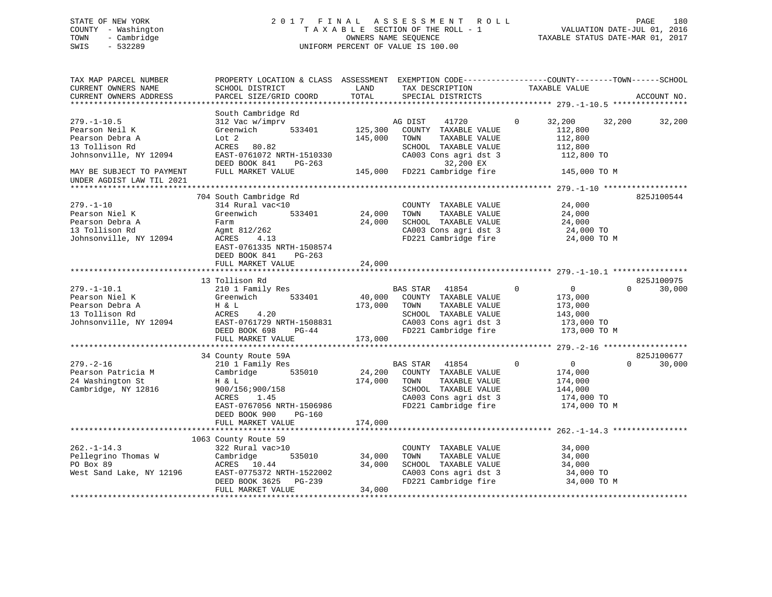## STATE OF NEW YORK 2 0 1 7 F I N A L A S S E S S M E N T R O L L PAGE 180 COUNTY - Washington T A X A B L E SECTION OF THE ROLL - 1 VALUATION DATE-JUL 01, 2016 TOWN - Cambridge OWNERS NAME SEQUENCE TAXABLE STATUS DATE-MAR 01, 2017 SWIS - 532289 UNIFORM PERCENT OF VALUE IS 100.00

| TAX MAP PARCEL NUMBER<br>CURRENT OWNERS NAME<br>CURRENT OWNERS ADDRESS                             | PROPERTY LOCATION & CLASS ASSESSMENT EXEMPTION CODE----------------COUNTY-------TOWN------SCHOOL<br>SCHOOL DISTRICT<br>PARCEL SIZE/GRID COORD                       | LAND<br>TOTAL                | TAX DESCRIPTION<br>SPECIAL DISTRICTS                                                                                                               | TAXABLE VALUE                                                                                | ACCOUNT NO.                      |
|----------------------------------------------------------------------------------------------------|---------------------------------------------------------------------------------------------------------------------------------------------------------------------|------------------------------|----------------------------------------------------------------------------------------------------------------------------------------------------|----------------------------------------------------------------------------------------------|----------------------------------|
|                                                                                                    |                                                                                                                                                                     |                              |                                                                                                                                                    |                                                                                              |                                  |
| $279. - 1 - 10.5$<br>Pearson Neil K<br>Pearson Debra A<br>13 Tollison Rd<br>Johnsonville, NY 12094 | South Cambridge Rd<br>312 Vac w/imprv<br>533401<br>Greenwich<br>Lot 2<br>ACRES 80.82<br>EAST-0761072 NRTH-1510330<br>DEED BOOK 841<br>PG-263                        | 125,300<br>145,000           | AG DIST<br>41720<br>COUNTY TAXABLE VALUE<br>TAXABLE VALUE<br>TOWN<br>SCHOOL TAXABLE VALUE<br>CA003 Cons agri dst 3<br>32,200 EX                    | $\Omega$<br>32,200<br>112,800<br>112,800<br>112,800<br>112,800 TO                            | 32,200<br>32,200                 |
| MAY BE SUBJECT TO PAYMENT                                                                          | FULL MARKET VALUE                                                                                                                                                   |                              | 145,000 FD221 Cambridge fire                                                                                                                       | 145,000 TO M                                                                                 |                                  |
| UNDER AGDIST LAW TIL 2021                                                                          |                                                                                                                                                                     |                              |                                                                                                                                                    |                                                                                              |                                  |
| $279. - 1 - 10$<br>Pearson Niel K<br>Pearson Debra A<br>13 Tollison Rd<br>Johnsonville, NY 12094   | 704 South Cambridge Rd<br>314 Rural vac<10<br>Greenwich<br>533401<br>Farm<br>Agmt 812/262<br>ACRES<br>4.13<br>EAST-0761335 NRTH-1508574<br>DEED BOOK 841<br>PG-263  | 24,000<br>24,000             | COUNTY TAXABLE VALUE<br>TAXABLE VALUE<br>TOWN<br>SCHOOL TAXABLE VALUE<br>CA003 Cons agri dst 3<br>FD221 Cambridge fire                             | 24,000<br>24,000<br>24,000<br>24,000 TO<br>24,000 TO M                                       | 825J100544                       |
|                                                                                                    | FULL MARKET VALUE                                                                                                                                                   | 24,000                       |                                                                                                                                                    |                                                                                              |                                  |
|                                                                                                    |                                                                                                                                                                     |                              |                                                                                                                                                    |                                                                                              |                                  |
| $279. - 1 - 10.1$<br>Pearson Niel K<br>Pearson Debra A<br>13 Tollison Rd<br>Johnsonville, NY 12094 | 13 Tollison Rd<br>210 1 Family Res<br>Greenwich<br>533401<br>H & L<br>ACRES<br>4.20<br>EAST-0761729 NRTH-1508831<br>DEED BOOK 698<br>$PG-44$<br>FULL MARKET VALUE   | 40,000<br>173,000<br>173,000 | BAS STAR<br>41854<br>COUNTY TAXABLE VALUE<br>TAXABLE VALUE<br>TOWN<br>SCHOOL TAXABLE VALUE<br>CA003 Cons agri dst 3<br>FD221 Cambridge fire        | $\mathbf 0$<br>$\overline{0}$<br>173,000<br>173,000<br>143,000<br>173,000 TO<br>173,000 TO M | 825J100975<br>$\Omega$<br>30,000 |
|                                                                                                    |                                                                                                                                                                     |                              |                                                                                                                                                    |                                                                                              |                                  |
| $279. - 2 - 16$<br>Pearson Patricia M<br>24 Washington St<br>Cambridge, NY 12816                   | 34 County Route 59A<br>210 1 Family Res<br>Cambridge<br>535010<br>H & L<br>900/156;900/158<br>ACRES<br>1.45<br>EAST-0767056 NRTH-1506986<br>DEED BOOK 900<br>PG-160 | 24,200<br>174,000            | <b>BAS STAR</b><br>41854<br>COUNTY TAXABLE VALUE<br>TOWN<br>TAXABLE VALUE<br>SCHOOL TAXABLE VALUE<br>CA003 Cons agri dst 3<br>FD221 Cambridge fire | $\mathbf 0$<br>$\overline{0}$<br>174,000<br>174,000<br>144,000<br>174,000 TO<br>174,000 TO M | 825J100677<br>$\Omega$<br>30,000 |
|                                                                                                    | FULL MARKET VALUE                                                                                                                                                   | 174,000                      |                                                                                                                                                    |                                                                                              |                                  |
| $262. -1 - 14.3$<br>Pellegrino Thomas W                                                            | 1063 County Route 59<br>322 Rural vac>10<br>Cambridge<br>535010                                                                                                     | 34,000                       | COUNTY TAXABLE VALUE<br>TAXABLE VALUE<br>TOWN                                                                                                      | 34,000<br>34,000                                                                             |                                  |
| PO Box 89<br>West Sand Lake, NY 12196                                                              | ACRES 10.44<br>EAST-0775372 NRTH-1522002<br>DEED BOOK 3625<br>PG-239<br>FULL MARKET VALUE                                                                           | 34,000<br>34,000             | SCHOOL TAXABLE VALUE<br>CA003 Cons agri dst 3<br>FD221 Cambridge fire                                                                              | 34,000<br>34,000 TO<br>34,000 TO M                                                           |                                  |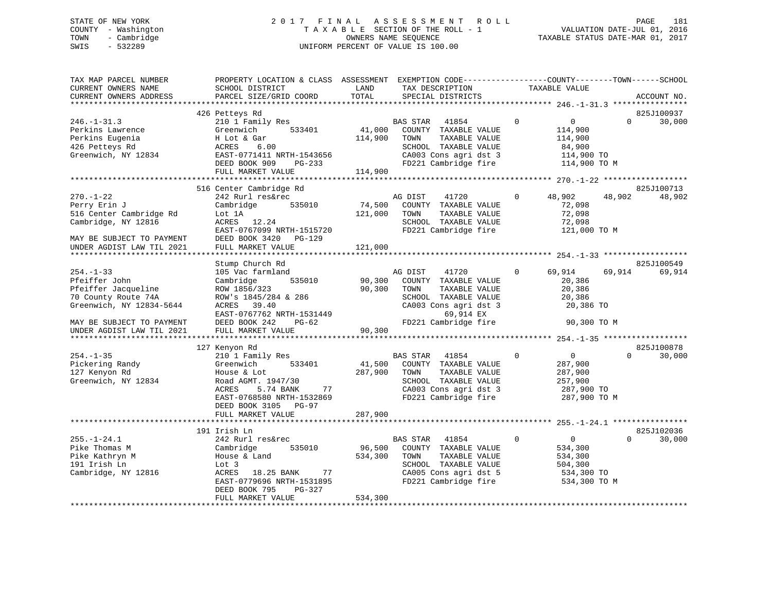# STATE OF NEW YORK 2 0 1 7 F I N A L A S S E S S M E N T R O L L PAGE 181 COUNTY - Washington T A X A B L E SECTION OF THE ROLL - 1 VALUATION DATE-JUL 01, 2016 TOWN - Cambridge OWNERS NAME SEQUENCE TAXABLE STATUS DATE-MAR 01, 2017 SWIS - 532289 UNIFORM PERCENT OF VALUE IS 100.00

| TAX MAP PARCEL NUMBER<br>CURRENT OWNERS NAME<br>CURRENT OWNERS ADDRESS                                                                                               | PROPERTY LOCATION & CLASS ASSESSMENT EXEMPTION CODE----------------COUNTY-------TOWN------SCHOOL<br>SCHOOL DISTRICT<br>PARCEL SIZE/GRID COORD                                                       | LAND<br>TOTAL                | TAX DESCRIPTION<br>SPECIAL DISTRICTS                                                                                                                    |              | TAXABLE VALUE                                                                    |          | ACCOUNT NO.          |
|----------------------------------------------------------------------------------------------------------------------------------------------------------------------|-----------------------------------------------------------------------------------------------------------------------------------------------------------------------------------------------------|------------------------------|---------------------------------------------------------------------------------------------------------------------------------------------------------|--------------|----------------------------------------------------------------------------------|----------|----------------------|
|                                                                                                                                                                      |                                                                                                                                                                                                     |                              |                                                                                                                                                         |              |                                                                                  |          |                      |
| $246. - 1 - 31.3$<br>Perkins Lawrence<br>Perkins Eugenia<br>426 Petteys Rd<br>Greenwich, NY 12834                                                                    | 426 Petteys Rd<br>210 1 Family Res<br>533401<br>Greenwich<br>H Lot & Gar<br>ACRES<br>6.00<br>EAST-0771411 NRTH-1543656<br>DEED BOOK 909 PG-233<br>FULL MARKET VALUE                                 | 41,000<br>114,900<br>114,900 | BAS STAR<br>41854<br>COUNTY TAXABLE VALUE<br>TAXABLE VALUE<br>TOWN<br>SCHOOL TAXABLE VALUE<br>CA003 Cons agri dst 3<br>FD221 Cambridge fire             | $\Omega$     | $\overline{0}$<br>114,900<br>114,900<br>84,900<br>114,900 TO<br>114,900 TO M     | $\Omega$ | 825J100937<br>30,000 |
|                                                                                                                                                                      |                                                                                                                                                                                                     |                              |                                                                                                                                                         |              |                                                                                  |          |                      |
| $270. - 1 - 22$<br>Perry Erin J<br>516 Center Cambridge Rd<br>Cambridge, NY 12816<br>MAY BE SUBJECT TO PAYMENT<br>UNDER AGDIST LAW TIL 2021                          | 516 Center Cambridge Rd<br>242 Rurl res&rec<br>535010<br>Cambridge<br>Lot 1A<br>ACRES 12.24<br>EAST-0767099 NRTH-1515720<br>DEED BOOK 3420 PG-129<br>FULL MARKET VALUE                              | 74,500<br>121,000<br>121,000 | AG DIST<br>41720<br>COUNTY TAXABLE VALUE<br>TOWN<br>TAXABLE VALUE<br>SCHOOL TAXABLE VALUE<br>FD221 Cambridge fire                                       | $\Omega$     | 48,902<br>72,098<br>72,098<br>72,098<br>121,000 TO M                             | 48,902   | 825J100713<br>48,902 |
|                                                                                                                                                                      |                                                                                                                                                                                                     |                              |                                                                                                                                                         |              |                                                                                  |          |                      |
|                                                                                                                                                                      | Stump Church Rd                                                                                                                                                                                     |                              |                                                                                                                                                         |              |                                                                                  |          | 825J100549           |
| $254. - 1 - 33$<br>Pfeiffer John<br>Pfeiffer Jacqueline<br>70 County Route 74A<br>Greenwich, NY 12834-5644<br>MAY BE SUBJECT TO PAYMENT<br>UNDER AGDIST LAW TIL 2021 | 105 Vac farmland<br>535010<br>Cambridge<br>ROW 1856/323<br>ROW's 1845/284 & 286<br>ACRES 39.40<br>EAST-0767762 NRTH-1531449<br>DEED BOOK 242<br>$PG-62$<br>FULL MARKET VALUE                        | 90,300<br>90,300<br>90,300   | AG DIST<br>41720<br>COUNTY TAXABLE VALUE<br>TOWN<br>TAXABLE VALUE<br>SCHOOL TAXABLE VALUE<br>CA003 Cons agri dst 3<br>69,914 EX<br>FD221 Cambridge fire | $\Omega$     | 69,914<br>20,386<br>20,386<br>20,386<br>20,386 TO<br>90,300 TO M                 | 69,914   | 69,914               |
|                                                                                                                                                                      |                                                                                                                                                                                                     |                              |                                                                                                                                                         |              |                                                                                  |          |                      |
| $254. - 1 - 35$<br>Pickering Randy<br>127 Kenyon Rd<br>Greenwich, NY 12834                                                                                           | 127 Kenyon Rd<br>210 1 Family Res<br>533401<br>Greenwich<br>House & Lot<br>Road AGMT. 1947/30<br>5.74 BANK<br>ACRES<br>77<br>EAST-0768580 NRTH-1532869<br>DEED BOOK 3105 PG-97<br>FULL MARKET VALUE | 287,900<br>287,900           | BAS STAR 41854<br>41,500 COUNTY TAXABLE VALUE<br>TAXABLE VALUE<br>TOWN<br>SCHOOL TAXABLE VALUE<br>CA003 Cons agri dst 3<br>FD221 Cambridge fire         | $\mathbf{0}$ | $\overline{0}$<br>287,900<br>287,900<br>257,900<br>287,900 TO<br>287,900 TO M    | $\Omega$ | 825J100878<br>30,000 |
|                                                                                                                                                                      |                                                                                                                                                                                                     |                              |                                                                                                                                                         |              |                                                                                  |          |                      |
| $255. - 1 - 24.1$<br>Pike Thomas M<br>Pike Kathryn M<br>191 Irish Ln<br>Cambridge, NY 12816                                                                          | 191 Irish Ln<br>242 Rurl res&rec<br>535010<br>Cambridge<br>House & Land<br>Lot 3<br>ACRES<br>18.25 BANK<br>77<br>EAST-0779696 NRTH-1531895<br>DEED BOOK 795<br>PG-327<br>FULL MARKET VALUE          | 96,500<br>534,300<br>534,300 | BAS STAR 41854<br>COUNTY TAXABLE VALUE<br>TOWN<br>TAXABLE VALUE<br>SCHOOL TAXABLE VALUE<br>CA005 Cons agri dst 5<br>FD221 Cambridge fire                | $\mathbf 0$  | $0 \qquad \qquad$<br>534,300<br>534,300<br>504,300<br>534,300 TO<br>534,300 TO M | $\Omega$ | 825J102036<br>30,000 |
|                                                                                                                                                                      |                                                                                                                                                                                                     |                              |                                                                                                                                                         |              |                                                                                  |          |                      |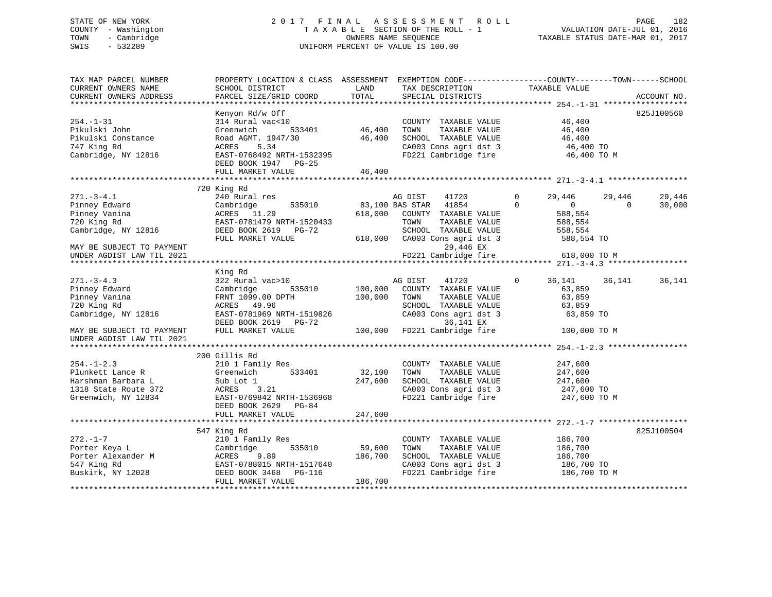## STATE OF NEW YORK 2017 FINAL ASSESSMENT ROLL PAGE 182 COUNTY - Washington  $T A X A B L E$  SECTION OF THE ROLL - 1<br>TOWN - Cambridge  $\qquad$  OWNERS NAME SEQUENCE TOWN - Cambridge OWNERS NAME SEQUENCE TAXABLE STATUS DATE-MAR 01, 2017 SWIS - 532289 UNIFORM PERCENT OF VALUE IS 100.00

| TAX MAP PARCEL NUMBER<br>CURRENT OWNERS NAME<br>CURRENT OWNERS ADDRESS                                                                             | PROPERTY LOCATION & CLASS ASSESSMENT<br>SCHOOL DISTRICT<br>PARCEL SIZE/GRID COORD                                                                                                                         | LAND<br>TOTAL                                           | TAX DESCRIPTION<br>SPECIAL DISTRICTS                                                                                                                                                | EXEMPTION CODE-----------------COUNTY-------TOWN------SCHOOL<br>TAXABLE VALUE                                             | ACCOUNT NO.                  |
|----------------------------------------------------------------------------------------------------------------------------------------------------|-----------------------------------------------------------------------------------------------------------------------------------------------------------------------------------------------------------|---------------------------------------------------------|-------------------------------------------------------------------------------------------------------------------------------------------------------------------------------------|---------------------------------------------------------------------------------------------------------------------------|------------------------------|
| $254. - 1 - 31$<br>Pikulski John<br>Pikulski Constance<br>747 King Rd<br>Cambridge, NY 12816                                                       | Kenyon Rd/w Off<br>314 Rural vac<10<br>533401<br>Greenwich<br>Road AGMT. 1947/30<br>ACRES<br>5.34<br>EAST-0768492 NRTH-1532395<br>DEED BOOK 1947 PG-25<br>FULL MARKET VALUE<br>************************** | 46,400<br>46,400<br>46,400<br>* * * * * * * * * * * * * | COUNTY TAXABLE VALUE<br>TOWN<br>TAXABLE VALUE<br>SCHOOL TAXABLE VALUE<br>CA003 Cons agri dst 3<br>FD221 Cambridge fire                                                              | 46,400<br>46,400<br>46,400<br>46,400 TO<br>46,400 TO M<br>$************************************* 271. -3-4.1$ **          | 825J100560                   |
| $271. - 3 - 4.1$<br>Pinney Edward<br>Pinney Vanina<br>720 King Rd<br>Cambridge, NY 12816<br>MAY BE SUBJECT TO PAYMENT<br>UNDER AGDIST LAW TIL 2021 | 720 King Rd<br>240 Rural res<br>Cambridge<br>535010<br>ACRES 11.29<br>EAST-0781479 NRTH-1520433<br>DEED BOOK 2619 PG-72<br>FULL MARKET VALUE                                                              | 618,000<br>618,000                                      | AG DIST<br>41720<br>83,100 BAS STAR<br>41854<br>COUNTY TAXABLE VALUE<br>TOWN<br>TAXABLE VALUE<br>SCHOOL TAXABLE VALUE<br>CA003 Cons agri dst 3<br>29,446 EX<br>FD221 Cambridge fire | 29,446<br>29,446<br>$\Omega$<br>$\Omega$<br>$\overline{0}$<br>588,554<br>588,554<br>558,554<br>588,554 TO<br>618,000 TO M | 29,446<br>$\Omega$<br>30,000 |
| $271. - 3 - 4.3$<br>Pinney Edward<br>Pinney Vanina<br>720 King Rd<br>Cambridge, NY 12816<br>MAY BE SUBJECT TO PAYMENT<br>UNDER AGDIST LAW TIL 2021 | King Rd<br>322 Rural vac>10<br>Cambridge<br>535010<br>FRNT 1099.00 DPTH<br>ACRES 49.96<br>EAST-0781969 NRTH-1519826<br>DEED BOOK 2619 PG-72<br>FULL MARKET VALUE                                          | 100,000<br>100,000<br>100,000                           | AG DIST<br>41720<br>COUNTY TAXABLE VALUE<br>TOWN<br>TAXABLE VALUE<br>SCHOOL TAXABLE VALUE<br>CA003 Cons agri dst 3<br>36,141 EX<br>FD221 Cambridge fire                             | $\mathbf 0$<br>36,141<br>36,141<br>63,859<br>63,859<br>63,859<br>63,859 TO<br>100,000 TO M                                | 36,141                       |
| $254. - 1 - 2.3$<br>Plunkett Lance R<br>Harshman Barbara L<br>1318 State Route 372<br>Greenwich, NY 12834                                          | 200 Gillis Rd<br>210 1 Family Res<br>Greenwich<br>533401<br>Sub Lot 1<br>ACRES<br>3.21<br>EAST-0769842 NRTH-1536968<br>DEED BOOK 2629 PG-84<br>FULL MARKET VALUE                                          | 32,100<br>247,600<br>247,600                            | COUNTY TAXABLE VALUE<br>TAXABLE VALUE<br>TOWN<br>SCHOOL TAXABLE VALUE<br>CA003 Cons agri dst 3<br>FD221 Cambridge fire                                                              | 247,600<br>247,600<br>247,600<br>247,600 TO<br>247,600 TO M                                                               |                              |
| $272. - 1 - 7$<br>Porter Keya L<br>Porter Alexander M<br>547 King Rd<br>Buskirk, NY 12028                                                          | 547 King Rd<br>210 1 Family Res<br>535010<br>Cambridge<br>ACRES<br>9.89<br>EAST-0788015 NRTH-1517640<br>DEED BOOK 3468<br>PG-116<br>FULL MARKET VALUE                                                     | 59,600<br>186,700<br>186,700                            | COUNTY TAXABLE VALUE<br>TOWN<br>TAXABLE VALUE<br>SCHOOL TAXABLE VALUE<br>CA003 Cons agri dst 3<br>FD221 Cambridge fire                                                              | 186,700<br>186,700<br>186,700<br>186,700 TO<br>186,700 TO M                                                               | 825J100504                   |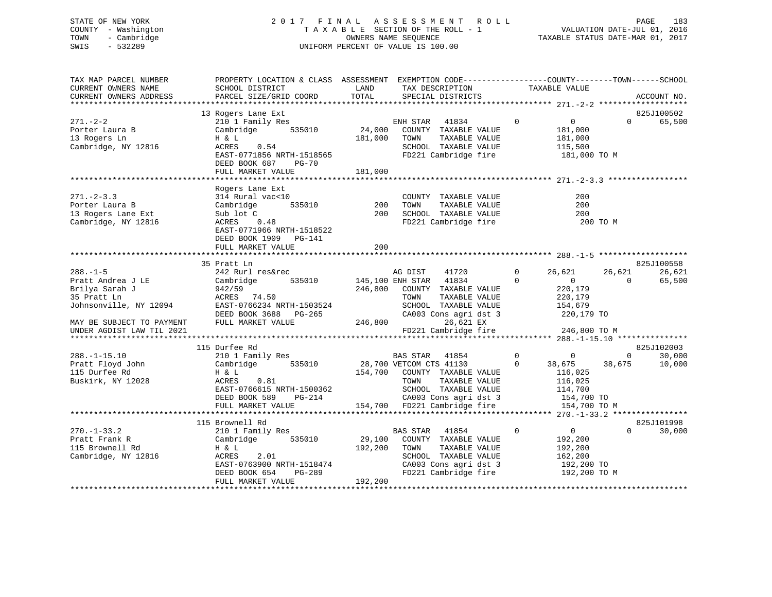# STATE OF NEW YORK 2 0 1 7 F I N A L A S S E S S M E N T R O L L PAGE 183 COUNTY - Washington T A X A B L E SECTION OF THE ROLL - 1 VALUATION DATE-JUL 01, 2016 TOWN - Cambridge OWNERS NAME SEQUENCE TAXABLE STATUS DATE-MAR 01, 2017 SWIS - 532289 UNIFORM PERCENT OF VALUE IS 100.00

| LAND<br>TAX DESCRIPTION<br>TAXABLE VALUE<br>CURRENT OWNERS NAME<br>SCHOOL DISTRICT<br>TOTAL<br>PARCEL SIZE/GRID COORD<br>SPECIAL DISTRICTS<br>CURRENT OWNERS ADDRESS<br>ACCOUNT NO.<br>*************************<br>13 Rogers Lane Ext<br>825J100502<br>$271. - 2 - 2$<br>210 1 Family Res<br>41834<br>$\mathbf 0$<br>$\overline{0}$<br>$\Omega$<br>ENH STAR<br>535010<br>24,000<br>Cambridge<br>COUNTY TAXABLE VALUE<br>181,000<br>Porter Laura B<br>181,000<br>13 Rogers Ln<br>H & L<br>TOWN<br>TAXABLE VALUE<br>181,000<br>Cambridge, NY 12816<br>0.54<br>SCHOOL TAXABLE VALUE<br>ACRES<br>115,500 | 65,500 |
|-------------------------------------------------------------------------------------------------------------------------------------------------------------------------------------------------------------------------------------------------------------------------------------------------------------------------------------------------------------------------------------------------------------------------------------------------------------------------------------------------------------------------------------------------------------------------------------------------------|--------|
|                                                                                                                                                                                                                                                                                                                                                                                                                                                                                                                                                                                                       |        |
|                                                                                                                                                                                                                                                                                                                                                                                                                                                                                                                                                                                                       |        |
|                                                                                                                                                                                                                                                                                                                                                                                                                                                                                                                                                                                                       |        |
|                                                                                                                                                                                                                                                                                                                                                                                                                                                                                                                                                                                                       |        |
|                                                                                                                                                                                                                                                                                                                                                                                                                                                                                                                                                                                                       |        |
|                                                                                                                                                                                                                                                                                                                                                                                                                                                                                                                                                                                                       |        |
|                                                                                                                                                                                                                                                                                                                                                                                                                                                                                                                                                                                                       |        |
| EAST-0771856 NRTH-1518565<br>FD221 Cambridge fire<br>181,000 TO M                                                                                                                                                                                                                                                                                                                                                                                                                                                                                                                                     |        |
| DEED BOOK 687<br>PG-70                                                                                                                                                                                                                                                                                                                                                                                                                                                                                                                                                                                |        |
| 181,000<br>FULL MARKET VALUE                                                                                                                                                                                                                                                                                                                                                                                                                                                                                                                                                                          |        |
|                                                                                                                                                                                                                                                                                                                                                                                                                                                                                                                                                                                                       |        |
| Rogers Lane Ext<br>$271 - 2 - 3.3$<br>314 Rural vac<10<br>COUNTY TAXABLE VALUE<br>200                                                                                                                                                                                                                                                                                                                                                                                                                                                                                                                 |        |
| 535010<br>200<br>TOWN<br>TAXABLE VALUE<br>200<br>Porter Laura B<br>Cambridge                                                                                                                                                                                                                                                                                                                                                                                                                                                                                                                          |        |
| 13 Rogers Lane Ext<br>200<br>SCHOOL TAXABLE VALUE<br>200<br>Sub lot C                                                                                                                                                                                                                                                                                                                                                                                                                                                                                                                                 |        |
| Cambridge, NY 12816<br>ACRES<br>FD221 Cambridge fire<br>200 TO M<br>0.48                                                                                                                                                                                                                                                                                                                                                                                                                                                                                                                              |        |
| EAST-0771966 NRTH-1518522                                                                                                                                                                                                                                                                                                                                                                                                                                                                                                                                                                             |        |
| DEED BOOK 1909 PG-141                                                                                                                                                                                                                                                                                                                                                                                                                                                                                                                                                                                 |        |
| 200<br>FULL MARKET VALUE                                                                                                                                                                                                                                                                                                                                                                                                                                                                                                                                                                              |        |
|                                                                                                                                                                                                                                                                                                                                                                                                                                                                                                                                                                                                       |        |
| 825J100558<br>35 Pratt Ln                                                                                                                                                                                                                                                                                                                                                                                                                                                                                                                                                                             |        |
| $288. - 1 - 5$<br>242 Rurl res&rec<br>41720<br>$\Omega$<br>26,621<br>AG DIST<br>26,621                                                                                                                                                                                                                                                                                                                                                                                                                                                                                                                | 26,621 |
| 535010<br>145,100 ENH STAR<br>41834<br>$\Omega$<br>Pratt Andrea J LE<br>Cambridge<br>$\mathbf{0}$<br>$\Omega$                                                                                                                                                                                                                                                                                                                                                                                                                                                                                         | 65,500 |
| 246,800<br>220,179<br>Brilya Sarah J<br>942/59<br>COUNTY TAXABLE VALUE                                                                                                                                                                                                                                                                                                                                                                                                                                                                                                                                |        |
| 35 Pratt Ln<br>ACRES 74.50<br>TOWN<br>TAXABLE VALUE<br>220,179                                                                                                                                                                                                                                                                                                                                                                                                                                                                                                                                        |        |
| Johnsonville, NY 12094<br>EAST-0766234 NRTH-1503524<br>SCHOOL TAXABLE VALUE<br>154,679                                                                                                                                                                                                                                                                                                                                                                                                                                                                                                                |        |
| DEED BOOK 3688 PG-265<br>CA003 Cons agri dst 3<br>220,179 TO                                                                                                                                                                                                                                                                                                                                                                                                                                                                                                                                          |        |
| FULL MARKET VALUE<br>246,800<br>26,621 EX<br>MAY BE SUBJECT TO PAYMENT                                                                                                                                                                                                                                                                                                                                                                                                                                                                                                                                |        |
| FD221 Cambridge fire<br>UNDER AGDIST LAW TIL 2021<br>246,800 TO M                                                                                                                                                                                                                                                                                                                                                                                                                                                                                                                                     |        |
|                                                                                                                                                                                                                                                                                                                                                                                                                                                                                                                                                                                                       |        |
| 115 Durfee Rd<br>825J102003                                                                                                                                                                                                                                                                                                                                                                                                                                                                                                                                                                           |        |
| $\mathbf 0$<br>$288. - 1 - 15.10$<br>210 1 Family Res<br>BAS STAR<br>41854<br>$\mathbf{0}$<br>$\overline{0}$                                                                                                                                                                                                                                                                                                                                                                                                                                                                                          | 30,000 |
| Pratt Floyd John<br>535010<br>38,675<br>Cambridge<br>28,700 VETCOM CTS 41130<br>$\mathbf 0$<br>38,675<br>115 Durfee Rd<br>H & L<br>116,025                                                                                                                                                                                                                                                                                                                                                                                                                                                            | 10,000 |
| 154,700 COUNTY TAXABLE VALUE<br>Buskirk, NY 12028<br>ACRES<br>0.81<br>TOWN<br>TAXABLE VALUE<br>116,025                                                                                                                                                                                                                                                                                                                                                                                                                                                                                                |        |
| EAST-0766615 NRTH-1500362<br>SCHOOL TAXABLE VALUE<br>114,700                                                                                                                                                                                                                                                                                                                                                                                                                                                                                                                                          |        |
| DEED BOOK 589<br>PG-214<br>CA003 Cons agri dst 3<br>154,700 TO                                                                                                                                                                                                                                                                                                                                                                                                                                                                                                                                        |        |
| FULL MARKET VALUE<br>154,700<br>FD221 Cambridge fire<br>154,700 TO M                                                                                                                                                                                                                                                                                                                                                                                                                                                                                                                                  |        |
|                                                                                                                                                                                                                                                                                                                                                                                                                                                                                                                                                                                                       |        |
| 825J101998<br>115 Brownell Rd                                                                                                                                                                                                                                                                                                                                                                                                                                                                                                                                                                         |        |
| $270. - 1 - 33.2$<br>210 1 Family Res<br>BAS STAR<br>41854<br>$\mathbf 0$<br>$\overline{0}$<br>$\Omega$                                                                                                                                                                                                                                                                                                                                                                                                                                                                                               | 30,000 |
| 535010<br>29,100<br>Pratt Frank R<br>Cambridge<br>COUNTY TAXABLE VALUE<br>192,200                                                                                                                                                                                                                                                                                                                                                                                                                                                                                                                     |        |
| 192,200<br>TAXABLE VALUE<br>115 Brownell Rd<br>H & L<br>TOWN<br>192,200                                                                                                                                                                                                                                                                                                                                                                                                                                                                                                                               |        |
| 2.01<br>Cambridge, NY 12816<br>ACRES<br>SCHOOL TAXABLE VALUE<br>162,200                                                                                                                                                                                                                                                                                                                                                                                                                                                                                                                               |        |
| EAST-0763900 NRTH-1518474<br>CA003 Cons agri dst 3<br>192,200 TO                                                                                                                                                                                                                                                                                                                                                                                                                                                                                                                                      |        |
| FD221 Cambridge fire<br>DEED BOOK 654<br>PG-289<br>192,200 TO M                                                                                                                                                                                                                                                                                                                                                                                                                                                                                                                                       |        |
| FULL MARKET VALUE<br>192,200                                                                                                                                                                                                                                                                                                                                                                                                                                                                                                                                                                          |        |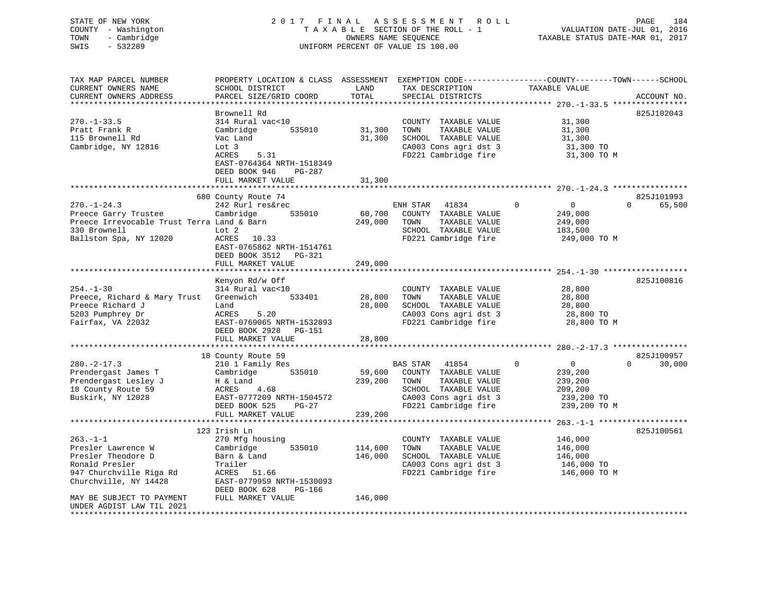# STATE OF NEW YORK 2 0 1 7 F I N A L A S S E S S M E N T R O L L PAGE 184 COUNTY - Washington T A X A B L E SECTION OF THE ROLL - 1 VALUATION DATE-JUL 01, 2016 TOWN - Cambridge OWNERS NAME SEQUENCE TAXABLE STATUS DATE-MAR 01, 2017 SWIS - 532289 UNIFORM PERCENT OF VALUE IS 100.00

| TAX MAP PARCEL NUMBER<br>CURRENT OWNERS NAME<br>CURRENT OWNERS ADDRESS                                                                                                                                              | PROPERTY LOCATION & CLASS ASSESSMENT<br>SCHOOL DISTRICT<br>PARCEL SIZE/GRID COORD                                                                                                                         | LAND<br>TOTAL                                  | TAX DESCRIPTION<br>SPECIAL DISTRICTS                                                                                                        | EXEMPTION CODE-----------------COUNTY-------TOWN------SCHOOL<br>TAXABLE VALUE                                                             | ACCOUNT NO.                      |
|---------------------------------------------------------------------------------------------------------------------------------------------------------------------------------------------------------------------|-----------------------------------------------------------------------------------------------------------------------------------------------------------------------------------------------------------|------------------------------------------------|---------------------------------------------------------------------------------------------------------------------------------------------|-------------------------------------------------------------------------------------------------------------------------------------------|----------------------------------|
| $270. - 1 - 33.5$<br>Pratt Frank R<br>115 Brownell Rd<br>Cambridge, NY 12816                                                                                                                                        | Brownell Rd<br>314 Rural vac<10<br>Cambridge<br>535010<br>Vac Land<br>Lot 3<br>ACRES<br>5.31<br>EAST-0764364 NRTH-1518349<br>DEED BOOK 946<br>PG-287<br>FULL MARKET VALUE<br>**************************** | 31,300<br>31,300<br>31,300                     | COUNTY TAXABLE VALUE<br>TOWN<br>TAXABLE VALUE<br>SCHOOL TAXABLE VALUE<br>CA003 Cons agri dst 3<br>FD221 Cambridge fire                      | 31,300<br>31,300<br>31,300<br>31,300 TO<br>31,300 TO M                                                                                    | 825J102043                       |
| $270. - 1 - 24.3$<br>Preece Garry Trustee<br>Preece Irrevocable Trust Terra Land & Barn<br>330 Brownell<br>Ballston Spa, NY 12020                                                                                   | 680 County Route 74<br>242 Rurl res&rec<br>535010<br>Cambridge<br>Lot 2<br>ACRES<br>10.33<br>EAST-0765862 NRTH-1514761<br>DEED BOOK 3512<br><b>PG-321</b><br>FULL MARKET VALUE                            | 60,700<br>249,000<br>249,000<br>************** | ENH STAR<br>41834<br>COUNTY TAXABLE VALUE<br>TAXABLE VALUE<br>TOWN<br>SCHOOL TAXABLE VALUE<br>FD221 Cambridge fire                          | 0<br>$\mathbf{0}$<br>249,000<br>249,000<br>183,500<br>249,000 TO M                                                                        | 825J101993<br>$\Omega$<br>65,500 |
| $254. - 1 - 30$<br>Preece, Richard & Mary Trust<br>Preece Richard J<br>5203 Pumphrey Dr<br>Fairfax, VA 22032                                                                                                        | Kenyon Rd/w Off<br>314 Rural vac<10<br>Greenwich<br>533401<br>Land<br>ACRES<br>5.20<br>EAST-0769065 NRTH-1532893<br>DEED BOOK 2928<br>PG-151<br>FULL MARKET VALUE                                         | 28,800<br>28,800<br>28,800                     | COUNTY TAXABLE VALUE<br>TOWN<br>TAXABLE VALUE<br>SCHOOL TAXABLE VALUE<br>CA003 Cons agri dst 3<br>FD221 Cambridge fire                      | 28,800<br>28,800<br>28,800<br>28,800 TO<br>28,800 TO M                                                                                    | 825J100816                       |
| $280. -2 - 17.3$<br>Prendergast James T<br>Prendergast Lesley J<br>18 County Route 59<br>Buskirk, NY 12028                                                                                                          | *****************<br>18 County Route 59<br>210 1 Family Res<br>Cambridge<br>535010<br>H & Land<br>4.68<br>ACRES<br>EAST-0777209 NRTH-1504572<br>DEED BOOK 525<br>PG-27<br>FULL MARKET VALUE               | 59,600<br>239,200<br>239,200                   | BAS STAR<br>41854<br>COUNTY TAXABLE VALUE<br>TAXABLE VALUE<br>TOWN<br>SCHOOL TAXABLE VALUE<br>CA003 Cons agri dst 3<br>FD221 Cambridge fire | ********** 280. - 2 - 17.3 *****************<br>$\Omega$<br>$\overline{0}$<br>239,200<br>239,200<br>209,200<br>239,200 TO<br>239,200 TO M | 825J100957<br>30,000<br>$\Omega$ |
| $263. -1 - 1$<br>Presler Lawrence W<br>Presler Theodore D<br>Ronald Presler<br>947 Churchville Riga Rd<br>Churchville, NY 14428<br>MAY BE SUBJECT TO PAYMENT<br>UNDER AGDIST LAW TIL 2021<br>********************** | 123 Irish Ln<br>270 Mfg housing<br>Cambridge<br>535010<br>Barn & Land<br>Trailer<br>ACRES<br>51.66<br>EAST-0779959 NRTH-1530093<br>DEED BOOK 628<br>PG-166<br>FULL MARKET VALUE                           | 114,600<br>146,000<br>146,000                  | COUNTY TAXABLE VALUE<br>TAXABLE VALUE<br>TOWN<br>SCHOOL TAXABLE VALUE<br>CA003 Cons agri dst 3<br>FD221 Cambridge fire                      | 146,000<br>146,000<br>146,000<br>146,000 TO<br>146,000 TO M                                                                               | 825J100561                       |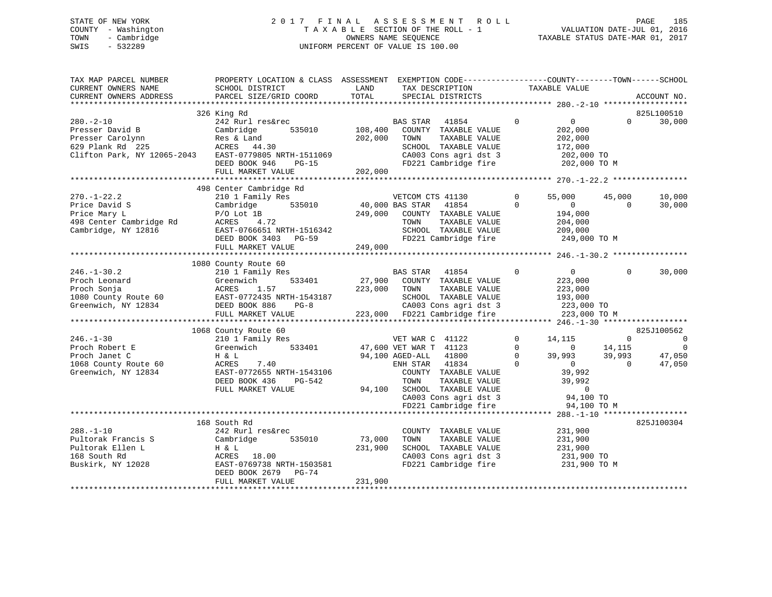# STATE OF NEW YORK 2 0 1 7 F I N A L A S S E S S M E N T R O L L PAGE 185 COUNTY - Washington T A X A B L E SECTION OF THE ROLL - 1 VALUATION DATE-JUL 01, 2016 TOWN - Cambridge OWNERS NAME SEQUENCE TAXABLE STATUS DATE-MAR 01, 2017 SWIS - 532289 UNIFORM PERCENT OF VALUE IS 100.00

| TAX MAP PARCEL NUMBER<br>CURRENT OWNERS NAME<br>CURRENT OWNERS ADDRESS                                    | PROPERTY LOCATION & CLASS ASSESSMENT EXEMPTION CODE---------------COUNTY-------TOWN-----SCHOOL<br>SCHOOL DISTRICT<br>PARCEL SIZE/GRID COORD                                  | LAND<br>TOTAL                           | TAX DESCRIPTION<br>SPECIAL DISTRICTS                                                                                                                                                                                     |                                              | TAXABLE VALUE                                                                                                          |                                          | ACCOUNT NO.                                                     |
|-----------------------------------------------------------------------------------------------------------|------------------------------------------------------------------------------------------------------------------------------------------------------------------------------|-----------------------------------------|--------------------------------------------------------------------------------------------------------------------------------------------------------------------------------------------------------------------------|----------------------------------------------|------------------------------------------------------------------------------------------------------------------------|------------------------------------------|-----------------------------------------------------------------|
|                                                                                                           |                                                                                                                                                                              |                                         |                                                                                                                                                                                                                          |                                              |                                                                                                                        |                                          |                                                                 |
| $280. - 2 - 10$<br>Presser David B<br>Presser Carolynn<br>629 Plank Rd 225<br>Clifton Park, NY 12065-2043 | 326 King Rd<br>242 Rurl res&rec<br>535010<br>Cambridge<br>Res & Land<br>ACRES 44.30<br>EAST-0779805 NRTH-1511069<br>DEED BOOK 946<br>$PG-15$<br>FULL MARKET VALUE            | 108,400<br>202,000<br>202,000           | BAS STAR 41854<br>COUNTY TAXABLE VALUE<br>TOWN<br>TAXABLE VALUE<br>SCHOOL TAXABLE VALUE<br>CA003 Cons agri dst 3<br>FD221 Cambridge fire                                                                                 | $\Omega$                                     | $\overline{0}$<br>202,000<br>202,000<br>172,000<br>202,000 TO<br>202,000 TO M                                          | $\Omega$                                 | 825L100510<br>30,000                                            |
|                                                                                                           |                                                                                                                                                                              |                                         |                                                                                                                                                                                                                          |                                              |                                                                                                                        |                                          |                                                                 |
| $270. - 1 - 22.2$<br>Price David S<br>Price Mary L<br>498 Center Cambridge Rd<br>Cambridge, NY 12816      | 498 Center Cambridge Rd<br>210 1 Family Res<br>535010<br>Cambridge<br>$P/O$ Lot $1B$<br>ACRES 4.72<br>EAST-0766651 NRTH-1516342<br>DEED BOOK 3403 PG-59<br>FULL MARKET VALUE | $40,000$ BAS STAR<br>249,000<br>249,000 | VETCOM CTS 41130<br>41854<br>COUNTY TAXABLE VALUE<br>TAXABLE VALUE<br>TOWN<br>SCHOOL TAXABLE VALUE<br>FD221 Cambridge fire                                                                                               | $\mathbf{0}$<br>$\Omega$                     | 55,000<br>$\overline{0}$<br>194,000<br>204,000<br>209,000<br>249,000 TO M                                              | 45,000<br>$\Omega$                       | 10,000<br>30,000                                                |
|                                                                                                           |                                                                                                                                                                              |                                         |                                                                                                                                                                                                                          |                                              |                                                                                                                        |                                          |                                                                 |
| $246. - 1 - 30.2$<br>Proch Leonard<br>Proch Sonja<br>1080 County Route 60<br>Greenwich, NY 12834          | 1080 County Route 60<br>210 1 Family Res<br>Greenwich<br>533401<br>ACRES<br>1.57<br>EAST-0772435 NRTH-1543187<br>DEED BOOK 886<br>$PG-8$<br>FULL MARKET VALUE                | 27,900<br>223,000                       | BAS STAR 41854<br>COUNTY TAXABLE VALUE<br>TOWN<br>TAXABLE VALUE<br>SCHOOL TAXABLE VALUE<br>CA003 Cons agri dst 3<br>223,000 FD221 Cambridge fire                                                                         | $\Omega$                                     | $\overline{0}$<br>223,000<br>223,000<br>193,000<br>223,000 TO<br>223,000 TO M                                          | $\Omega$                                 | 30,000                                                          |
|                                                                                                           |                                                                                                                                                                              |                                         |                                                                                                                                                                                                                          |                                              |                                                                                                                        |                                          |                                                                 |
| $246. - 1 - 30$<br>Proch Robert E<br>Proch Janet C<br>1068 County Route 60<br>Greenwich, NY 12834         | 1068 County Route 60<br>210 1 Family Res<br>533401<br>Greenwich<br>H & L<br>ACRES<br>7.40<br>EAST-0772655 NRTH-1543106<br>DEED BOOK 436<br>PG-542<br>FULL MARKET VALUE       |                                         | VET WAR C 41122<br>47,600 VET WAR T 41123<br>94,100 AGED-ALL<br>41800<br>ENH STAR 41834<br>COUNTY TAXABLE VALUE<br>TAXABLE VALUE<br>TOWN<br>94,100 SCHOOL TAXABLE VALUE<br>CA003 Cons agri dst 3<br>FD221 Cambridge fire | $\Omega$<br>$\Omega$<br>$\Omega$<br>$\Omega$ | 14,115<br>$\overline{0}$<br>39,993<br>$\overline{0}$<br>39,992<br>39,992<br>$\overline{0}$<br>94,100 TO<br>94,100 TO M | $\Omega$<br>14,115<br>39,993<br>$\Omega$ | 825J100562<br>$\overline{0}$<br>$\mathbf 0$<br>47,050<br>47,050 |
|                                                                                                           |                                                                                                                                                                              |                                         |                                                                                                                                                                                                                          |                                              |                                                                                                                        |                                          |                                                                 |
| $288. - 1 - 10$<br>Pultorak Francis S<br>Pultorak Ellen L<br>168 South Rd<br>Buskirk, NY 12028            | 168 South Rd<br>242 Rurl res&rec<br>Cambridge<br>535010<br>H & L<br>ACRES 18.00<br>EAST-0769738 NRTH-1503581<br>DEED BOOK 2679 PG-74                                         | 73,000<br>231,900                       | COUNTY TAXABLE VALUE<br>TOWN<br>TAXABLE VALUE<br>SCHOOL TAXABLE VALUE<br>CA003 Cons agri dst 3<br>FD221 Cambridge fire                                                                                                   |                                              | 231,900<br>231,900<br>231,900<br>231,900 TO<br>231,900 TO M                                                            |                                          | 825J100304                                                      |
|                                                                                                           | FULL MARKET VALUE                                                                                                                                                            | 231,900                                 |                                                                                                                                                                                                                          |                                              |                                                                                                                        |                                          |                                                                 |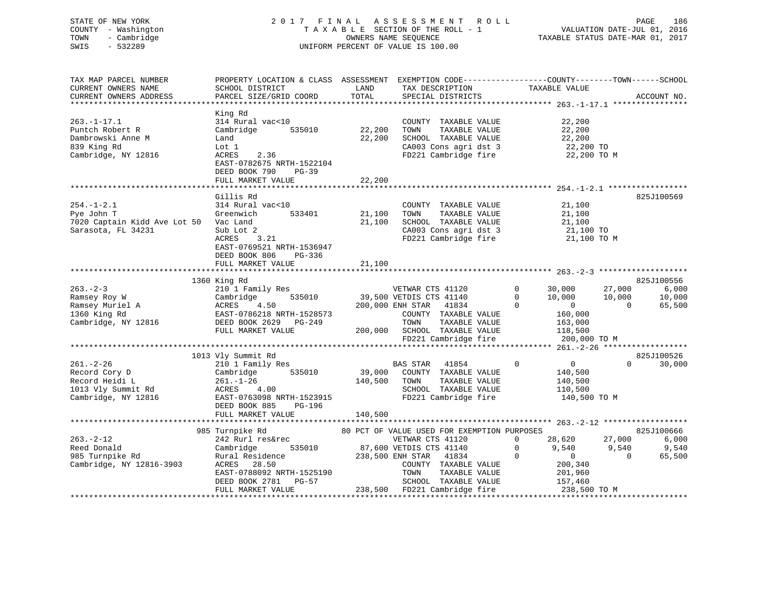# STATE OF NEW YORK 2 0 1 7 F I N A L A S S E S S M E N T R O L L PAGE 186 COUNTY - Washington T A X A B L E SECTION OF THE ROLL - 1 VALUATION DATE-JUL 01, 2016 TOWN - Cambridge OWNERS NAME SEQUENCE TAXABLE STATUS DATE-MAR 01, 2017 SWIS - 532289 UNIFORM PERCENT OF VALUE IS 100.00

| TAX MAP PARCEL NUMBER<br>CURRENT OWNERS NAME<br>CURRENT OWNERS ADDRESS                          | SCHOOL DISTRICT<br>PARCEL SIZE/GRID COORD                                                                                                            | LAND<br>TOTAL     | TAX DESCRIPTION<br>SPECIAL DISTRICTS                                                                                                                                                          | PROPERTY LOCATION & CLASS ASSESSMENT EXEMPTION CODE----------------COUNTY-------TOWN------SCHOOL<br>TAXABLE VALUE                        | ACCOUNT NO.                            |
|-------------------------------------------------------------------------------------------------|------------------------------------------------------------------------------------------------------------------------------------------------------|-------------------|-----------------------------------------------------------------------------------------------------------------------------------------------------------------------------------------------|------------------------------------------------------------------------------------------------------------------------------------------|----------------------------------------|
|                                                                                                 |                                                                                                                                                      |                   |                                                                                                                                                                                               |                                                                                                                                          |                                        |
| $263. - 1 - 17.1$<br>Puntch Robert R<br>Dambrowski Anne M<br>839 King Rd<br>Cambridge, NY 12816 | King Rd<br>314 Rural vac<10<br>Cambridge<br>535010<br>Land<br>Lot 1<br>2.36<br>ACRES                                                                 | 22,200<br>22,200  | COUNTY TAXABLE VALUE<br>TOWN<br>TAXABLE VALUE<br>SCHOOL TAXABLE VALUE<br>CA003 Cons agri dst 3<br>FD221 Cambridge fire                                                                        | 22,200<br>22,200<br>22,200<br>$^{22,200}$ TO<br>22,200 TO<br>22,200 TO M                                                                 |                                        |
|                                                                                                 | EAST-0782675 NRTH-1522104<br>DEED BOOK 790<br>$PG-39$<br>FULL MARKET VALUE                                                                           | 22,200            |                                                                                                                                                                                               |                                                                                                                                          |                                        |
|                                                                                                 |                                                                                                                                                      |                   |                                                                                                                                                                                               |                                                                                                                                          |                                        |
| $254. - 1 - 2.1$<br>Pye John T<br>7020 Captain Kidd Ave Lot 50 Vac Land<br>Sarasota, FL 34231   | Gillis Rd<br>314 Rural vac<10<br>Greenwich<br>533401<br>Sub Lot 2<br>ACRES<br>3.21<br>EAST-0769521 NRTH-1536947<br>DEED BOOK 806<br>PG-336           | 21,100<br>21,100  | COUNTY TAXABLE VALUE<br>TOWN<br>TAXABLE VALUE<br>SCHOOL TAXABLE VALUE<br>CA003 Cons agri dst 3<br>FD221 Cambridge fire                                                                        | 21,100<br>21,100<br>21,100<br>21,100 TO<br>21,100 TO M                                                                                   | 825J100569                             |
|                                                                                                 | FULL MARKET VALUE                                                                                                                                    | 21,100            |                                                                                                                                                                                               |                                                                                                                                          |                                        |
|                                                                                                 |                                                                                                                                                      |                   |                                                                                                                                                                                               |                                                                                                                                          |                                        |
|                                                                                                 | 1360 King Rd                                                                                                                                         |                   |                                                                                                                                                                                               |                                                                                                                                          | 825J100556                             |
| $263 - 2 - 3$                                                                                   | 210 1 Family Res                                                                                                                                     |                   | VETWAR CTS 41120                                                                                                                                                                              | $\mathbf 0$<br>30,000<br>27,000                                                                                                          | 6,000                                  |
| Ramsey Roy W<br>Ramsey Muriel A<br>1360 King Rd<br>Cambridge, NY 12816                          | 535010<br>Cambridge<br>ACRES<br>4.50<br>EAST-0786218 NRTH-1528573<br>DEED BOOK 2629 PG-249<br>FULL MARKET VALUE                                      | 200,000           | 39,500 VETDIS CTS 41140<br>200,000 ENH STAR<br>41834<br>COUNTY TAXABLE VALUE<br>TOWN<br>TAXABLE VALUE<br>SCHOOL TAXABLE VALUE                                                                 | $\mathbf{0}$<br>10,000<br>10,000<br>$\Omega$<br>$\overline{0}$<br>$\Omega$<br>160,000<br>163,000<br>118,500                              | 10,000<br>65,500                       |
|                                                                                                 |                                                                                                                                                      |                   | FD221 Cambridge fire                                                                                                                                                                          | 200,000 TO M                                                                                                                             |                                        |
|                                                                                                 |                                                                                                                                                      |                   |                                                                                                                                                                                               |                                                                                                                                          |                                        |
| $261. - 2 - 26$<br>Record Cory D<br>Record Heidi L<br>1013 Vly Summit Rd<br>Cambridge, NY 12816 | 1013 Vly Summit Rd<br>210 1 Family Res<br>Cambridge<br>535010<br>$261. - 1 - 26$<br>4.00<br>ACRES<br>EAST-0763098 NRTH-1523915                       | 39,000<br>140,500 | BAS STAR 41854<br>COUNTY TAXABLE VALUE<br>TOWN<br>TAXABLE VALUE<br>SCHOOL TAXABLE VALUE<br>FD221 Cambridge fire                                                                               | $\overline{0}$<br>$\mathbf 0$<br>$\Omega$<br>140,500<br>140,500<br>110,500<br>140,500 TO M                                               | 825J100526<br>30,000                   |
|                                                                                                 | DEED BOOK 885<br>PG-196<br>FULL MARKET VALUE                                                                                                         | 140,500           |                                                                                                                                                                                               |                                                                                                                                          |                                        |
|                                                                                                 |                                                                                                                                                      |                   |                                                                                                                                                                                               |                                                                                                                                          |                                        |
| $263 - 2 - 12$<br>Reed Donald<br>985 Turnpike Rd<br>Cambridge, NY 12816-3903                    | 985 Turnpike Rd<br>242 Rurl res&rec<br>535010<br>Cambridge<br>Rural Residence<br>ACRES<br>28.50<br>EAST-0788092 NRTH-1525190<br>DEED BOOK 2781 PG-57 |                   | 80 PCT OF VALUE USED FOR EXEMPTION PURPOSES<br>VETWAR CTS 41120<br>87,600 VETDIS CTS 41140<br>238,500 ENH STAR 41834<br>COUNTY TAXABLE VALUE<br>TOWN<br>TAXABLE VALUE<br>SCHOOL TAXABLE VALUE | $\Omega$<br>28,620<br>27,000<br>$\mathbf 0$<br>9,540<br>9,540<br>$\overline{0}$<br>$\Omega$<br>$\Omega$<br>200,340<br>201,960<br>157,460 | 825J100666<br>6,000<br>9,540<br>65,500 |
|                                                                                                 | FULL MARKET VALUE                                                                                                                                    |                   | SCHOOL TAXABLE VALUE<br>238,500 FD221 Cambridge fire                                                                                                                                          | 238,500 TO M                                                                                                                             |                                        |
|                                                                                                 |                                                                                                                                                      |                   |                                                                                                                                                                                               |                                                                                                                                          |                                        |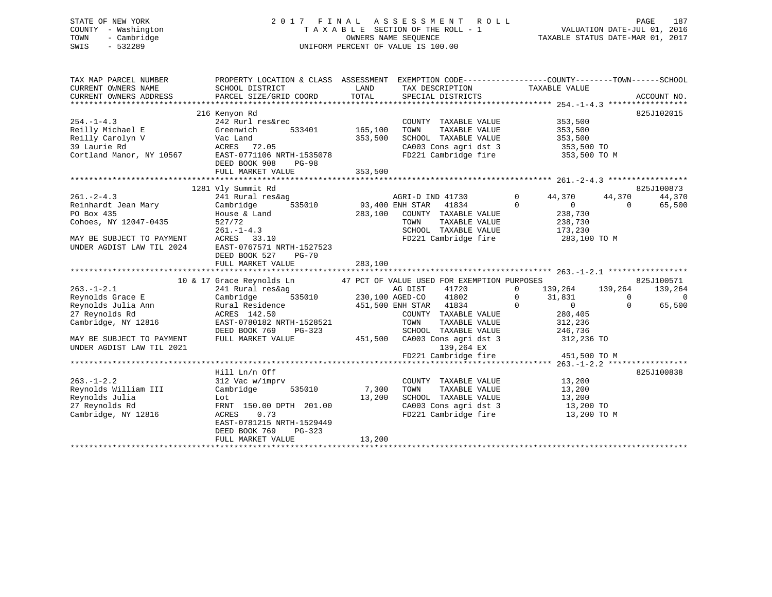# STATE OF NEW YORK 2 0 1 7 F I N A L A S S E S S M E N T R O L L PAGE 187 COUNTY - Washington T A X A B L E SECTION OF THE ROLL - 1 VALUATION DATE-JUL 01, 2016 TOWN - Cambridge OWNERS NAME SEQUENCE TAXABLE STATUS DATE-MAR 01, 2017 SWIS - 532289 UNIFORM PERCENT OF VALUE IS 100.00

| TAX MAP PARCEL NUMBER<br>CURRENT OWNERS NAME<br>CURRENT OWNERS ADDRESS                                                                   | PROPERTY LOCATION & CLASS ASSESSMENT EXEMPTION CODE----------------COUNTY-------TOWN-----SCHOOL<br>SCHOOL DISTRICT<br>PARCEL SIZE/GRID COORD                                      | LAND<br>TOTAL                 | TAX DESCRIPTION TAXABLE VALUE<br>SPECIAL DISTRICTS                                                                                  |                                                                                                   | ACCOUNT NO.                                          |             |
|------------------------------------------------------------------------------------------------------------------------------------------|-----------------------------------------------------------------------------------------------------------------------------------------------------------------------------------|-------------------------------|-------------------------------------------------------------------------------------------------------------------------------------|---------------------------------------------------------------------------------------------------|------------------------------------------------------|-------------|
| $254. -1 - 4.3$<br>Reilly Michael E<br>Reilly Carolyn V<br>39 Laurie Rd<br>Cortland Manor, NY 10567                                      | 216 Kenyon Rd<br>242 Rurl res&rec<br>Greenwich<br>533401<br>Vac Land<br>ACRES 72.05<br>EAST-0771106 NRTH-1535078<br>DEED BOOK 908<br>PG-98<br>FULL MARKET VALUE                   | 165,100<br>353,500<br>353,500 | COUNTY TAXABLE VALUE<br>TOWN<br>TAXABLE VALUE<br>SCHOOL TAXABLE VALUE<br>CA003 Cons agri dst 3<br>FD221 Cambridge fire 353,500 TO M | 353,500<br>353,500<br>353,500<br>353,500 TO                                                       | 825J102015                                           |             |
| $261. - 2 - 4.3$<br>Reinhardt Jean Mary<br>PO Box 435<br>Cohoes, NY 12047-0435<br>MAY BE SUBJECT TO PAYMENT<br>UNDER AGDIST LAW TIL 2024 | 1281 Vly Summit Rd<br>241 Rural res&ag<br>535010<br>Cambridge<br>House & Land<br>527/72<br>$261. - 1 - 4.3$<br>ACRES 33.10<br>EAST-0767571 NRTH-1527523<br>DEED BOOK 527<br>PG-70 | 93,400 ENH STAR<br>283,100    | AGRI-D IND 41730<br>41834<br>COUNTY TAXABLE VALUE<br>TAXABLE VALUE<br>TOWN<br>SCHOOL TAXABLE VALUE<br>FD221 Cambridge fire          | $\Omega$<br>44,370<br>$\Omega$<br>$\overline{0}$<br>238,730<br>238,730<br>173,230<br>283,100 TO M | 825J100873<br>44,370<br>44,370<br>$\Omega$<br>65,500 |             |
|                                                                                                                                          | FULL MARKET VALUE                                                                                                                                                                 | 283,100                       |                                                                                                                                     |                                                                                                   |                                                      |             |
|                                                                                                                                          | 10 & 17 Grace Reynolds Ln                                                                                                                                                         |                               | 47 PCT OF VALUE USED FOR EXEMPTION PURPOSES                                                                                         |                                                                                                   | 825J100571                                           |             |
| $263. - 1 - 2.1$                                                                                                                         | 241 Rural res&ag                                                                                                                                                                  |                               | AG DIST<br>41720                                                                                                                    | $\Omega$<br>139,264 139,264                                                                       | 139,264                                              |             |
| Reynolds Grace E<br>Reynolds Julia Ann                                                                                                   | 535010<br>Cambridge<br>Rural Residence                                                                                                                                            |                               | 230,100 AGED-CO 41802<br>451,500 ENH STAR 41834                                                                                     | $\mathbf 0$<br>31,831<br>$\Omega$<br>$\overline{0}$                                               | $\Omega$<br>65,500<br>$\Omega$                       | $\mathbf 0$ |
| 27 Reynolds Rd<br>Cambridge, NY 12816                                                                                                    | ACRES 142.50<br>EAST-0780182 NRTH-1528521<br>DEED BOOK 769<br>PG-323                                                                                                              |                               | COUNTY TAXABLE VALUE<br>TOWN<br>TAXABLE VALUE<br>SCHOOL TAXABLE VALUE                                                               | 280,405<br>312,236<br>246,736                                                                     |                                                      |             |
| MAY BE SUBJECT TO PAYMENT<br>UNDER AGDIST LAW TIL 2021                                                                                   | FULL MARKET VALUE                                                                                                                                                                 |                               | 451,500 CA003 Cons agri dst 3<br>139,264 EX<br>FD221 Cambridge fire                                                                 | 312,236 TO<br>451,500 TO M                                                                        |                                                      |             |
|                                                                                                                                          |                                                                                                                                                                                   |                               |                                                                                                                                     |                                                                                                   |                                                      |             |
| $263. - 1 - 2.2$<br>Reynolds William III<br>Reynolds Julia<br>27 Reynolds Rd<br>Cambridge, NY 12816                                      | Hill Ln/n Off<br>312 Vac w/imprv<br>535010<br>Cambridge<br>Lot<br>FRNT 150.00 DPTH 201.00<br>0.73<br>ACRES<br>EAST-0781215 NRTH-1529449                                           | 7,300<br>13,200               | COUNTY TAXABLE VALUE<br>TOWN<br>TAXABLE VALUE<br>SCHOOL TAXABLE VALUE<br>CA003 Cons agri dst 3<br>FD221 Cambridge fire              | 13,200<br>13,200<br>13,200<br>13,200 TO<br>13,200 TO M                                            | 825J100838                                           |             |
|                                                                                                                                          | DEED BOOK 769<br>$PG-323$<br>FULL MARKET VALUE                                                                                                                                    | 13,200                        |                                                                                                                                     |                                                                                                   |                                                      |             |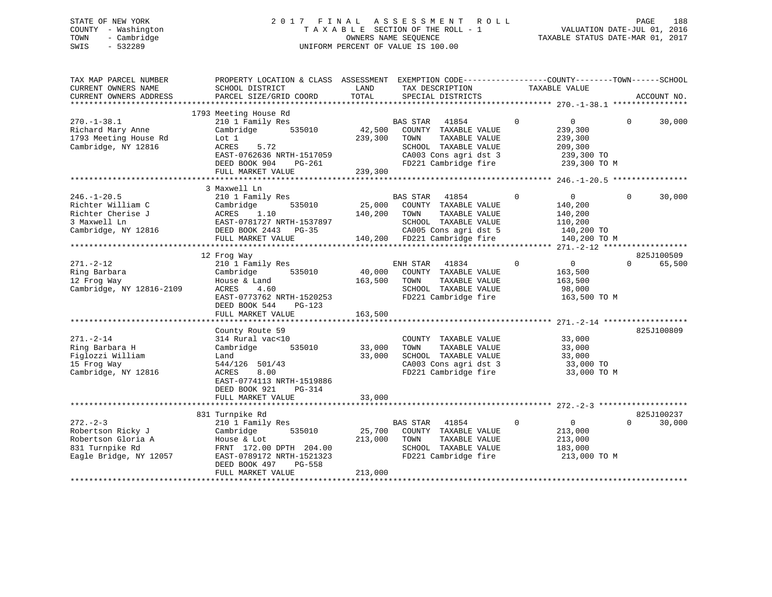# STATE OF NEW YORK 2 0 1 7 F I N A L A S S E S S M E N T R O L L PAGE 188 COUNTY - Washington T A X A B L E SECTION OF THE ROLL - 1 VALUATION DATE-JUL 01, 2016 TOWN - Cambridge OWNERS NAME SEQUENCE TAXABLE STATUS DATE-MAR 01, 2017 SWIS - 532289 UNIFORM PERCENT OF VALUE IS 100.00

| TAX MAP PARCEL NUMBER<br>CURRENT OWNERS NAME<br>CURRENT OWNERS ADDRESS<br>************************    | PROPERTY LOCATION & CLASS ASSESSMENT<br>SCHOOL DISTRICT<br>PARCEL SIZE/GRID COORD                                                                                         | LAND<br>TOTAL                | EXEMPTION CODE-----------------COUNTY-------TOWN------SCHOOL<br>TAX DESCRIPTION<br>SPECIAL DISTRICTS                                                | TAXABLE VALUE                                                                                | ACCOUNT NO.                      |
|-------------------------------------------------------------------------------------------------------|---------------------------------------------------------------------------------------------------------------------------------------------------------------------------|------------------------------|-----------------------------------------------------------------------------------------------------------------------------------------------------|----------------------------------------------------------------------------------------------|----------------------------------|
| $270. - 1 - 38.1$<br>Richard Mary Anne<br>1793 Meeting House Rd<br>Cambridge, NY 12816                | 1793 Meeting House Rd<br>210 1 Family Res<br>Cambridge<br>535010<br>Lot 1<br>ACRES<br>5.72<br>EAST-0762636 NRTH-1517059<br>DEED BOOK 904<br>$PG-261$<br>FULL MARKET VALUE | 42,500<br>239,300<br>239,300 | <b>BAS STAR</b><br>41854<br>COUNTY TAXABLE VALUE<br>TAXABLE VALUE<br>TOWN<br>SCHOOL TAXABLE VALUE<br>CA003 Cons agri dst 3<br>FD221 Cambridge fire  | $\Omega$<br>$\overline{0}$<br>239,300<br>239,300<br>209,300<br>239,300 TO<br>239,300 TO M    | $\Omega$<br>30,000               |
|                                                                                                       | 3 Maxwell Ln                                                                                                                                                              |                              |                                                                                                                                                     |                                                                                              |                                  |
| $246. - 1 - 20.5$<br>Richter William C<br>Richter Cherise J<br>3 Maxwell Ln<br>Cambridge, NY 12816    | 210 1 Family Res<br>535010<br>Cambridge<br>1.10<br>ACRES<br>EAST-0781727 NRTH-1537897<br>DEED BOOK 2443<br>$PG-35$<br>FULL MARKET VALUE                                   | 25,000<br>140,200            | BAS STAR<br>41854<br>COUNTY TAXABLE VALUE<br>TAXABLE VALUE<br>TOWN<br>SCHOOL TAXABLE VALUE<br>CA005 Cons agri dst 5<br>140,200 FD221 Cambridge fire | $\mathbf 0$<br>$\overline{0}$<br>140,200<br>140,200<br>110,200<br>140,200 TO<br>140,200 TO M | $\Omega$<br>30,000               |
|                                                                                                       |                                                                                                                                                                           |                              |                                                                                                                                                     |                                                                                              |                                  |
| $271. - 2 - 12$<br>Ring Barbara<br>12 Frog Way<br>Cambridge, NY 12816-2109                            | 12 Frog Way<br>210 1 Family Res<br>Cambridge<br>535010<br>House & Land<br>ACRES<br>4.60<br>EAST-0773762 NRTH-1520253<br>DEED BOOK 544<br>$PG-123$<br>FULL MARKET VALUE    | 40,000<br>163,500<br>163,500 | ENH STAR<br>41834<br>COUNTY TAXABLE VALUE<br>TAXABLE VALUE<br>TOWN<br>SCHOOL TAXABLE VALUE<br>FD221 Cambridge fire                                  | $\mathbf 0$<br>$\overline{0}$<br>163,500<br>163,500<br>98,000<br>163,500 TO M                | 825J100509<br>$\Omega$<br>65,500 |
|                                                                                                       | County Route 59                                                                                                                                                           |                              |                                                                                                                                                     |                                                                                              | 825J100809                       |
| $271. - 2 - 14$<br>Ring Barbara H<br>Figlozzi William<br>15 Frog Way<br>Cambridge, NY 12816           | 314 Rural vac<10<br>535010<br>Cambridge<br>Land<br>544/126 501/43<br>8.00<br><b>ACRES</b><br>EAST-0774113 NRTH-1519886<br>DEED BOOK 921<br>$PG-314$                       | 33,000<br>33,000             | COUNTY TAXABLE VALUE<br>TAXABLE VALUE<br>TOWN<br>SCHOOL TAXABLE VALUE<br>CA003 Cons agri dst 3<br>FD221 Cambridge fire                              | 33,000<br>33,000<br>33,000<br>33,000 TO<br>33,000 TO M                                       |                                  |
|                                                                                                       | FULL MARKET VALUE                                                                                                                                                         | 33,000                       |                                                                                                                                                     |                                                                                              |                                  |
|                                                                                                       | 831 Turnpike Rd                                                                                                                                                           |                              |                                                                                                                                                     |                                                                                              | 825J100237                       |
| $272 - 2 - 3$<br>Robertson Ricky J<br>Robertson Gloria A<br>831 Turnpike Rd<br>Eagle Bridge, NY 12057 | 210 1 Family Res<br>Cambridge<br>535010<br>House & Lot<br>FRNT 172.00 DPTH 204.00<br>EAST-0789172 NRTH-1521323<br>DEED BOOK 497<br>PG-558<br>FULL MARKET VALUE            | 25,700<br>213,000<br>213,000 | BAS STAR<br>41854<br>COUNTY TAXABLE VALUE<br>TAXABLE VALUE<br>TOWN<br>SCHOOL TAXABLE VALUE<br>FD221 Cambridge fire                                  | $\mathbf 0$<br>$\overline{0}$<br>213,000<br>213,000<br>183,000<br>213,000 TO M               | $\Omega$<br>30,000               |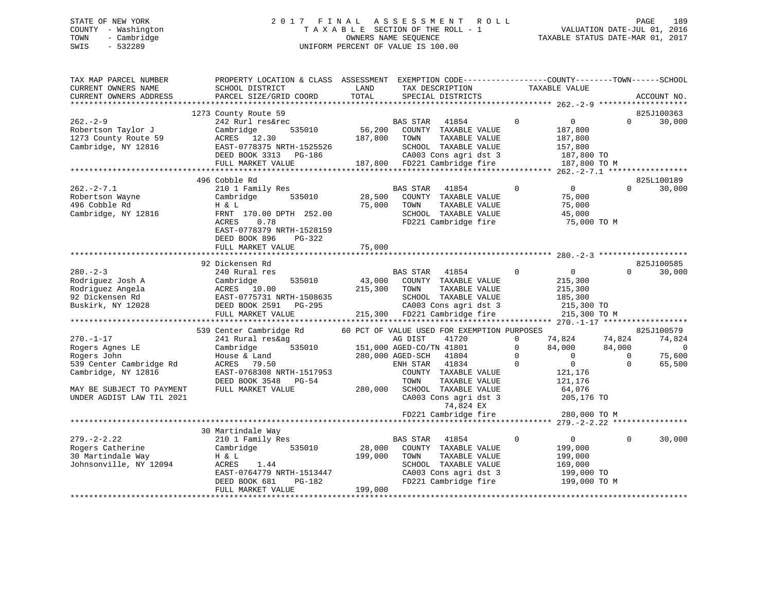# STATE OF NEW YORK 2 0 1 7 F I N A L A S S E S S M E N T R O L L PAGE 189 COUNTY - Washington T A X A B L E SECTION OF THE ROLL - 1 VALUATION DATE-JUL 01, 2016 TOWN - Cambridge OWNERS NAME SEQUENCE TAXABLE STATUS DATE-MAR 01, 2017 SWIS - 532289 UNIFORM PERCENT OF VALUE IS 100.00

| TAX MAP PARCEL NUMBER<br>CURRENT OWNERS NAME<br>CURRENT OWNERS ADDRESS                              | PROPERTY LOCATION & CLASS ASSESSMENT<br>SCHOOL DISTRICT<br>PARCEL SIZE/GRID COORD                                                                    | LAND<br>TOTAL                | TAX DESCRIPTION<br>SPECIAL DISTRICTS                                                                                                               | EXEMPTION CODE-----------------COUNTY-------TOWN------SCHOOL<br>TAXABLE VALUE                       |                                          | ACCOUNT NO.                     |
|-----------------------------------------------------------------------------------------------------|------------------------------------------------------------------------------------------------------------------------------------------------------|------------------------------|----------------------------------------------------------------------------------------------------------------------------------------------------|-----------------------------------------------------------------------------------------------------|------------------------------------------|---------------------------------|
|                                                                                                     |                                                                                                                                                      |                              |                                                                                                                                                    |                                                                                                     |                                          |                                 |
|                                                                                                     | 1273 County Route 59                                                                                                                                 |                              |                                                                                                                                                    |                                                                                                     |                                          | 825J100363                      |
| $262 - 2 - 9$<br>Robertson Taylor J<br>1273 County Route 59<br>Cambridge, NY 12816                  | 242 Rurl res&rec<br>535010<br>Cambridge<br>ACRES<br>12.30<br>EAST-0778375 NRTH-1525526<br>DEED BOOK 3313<br>PG-186<br>FULL MARKET VALUE              | 56,200<br>187,800<br>187,800 | <b>BAS STAR</b><br>41854<br>COUNTY TAXABLE VALUE<br>TOWN<br>TAXABLE VALUE<br>SCHOOL TAXABLE VALUE<br>CA003 Cons agri dst 3<br>FD221 Cambridge fire | $\mathbf{0}$<br>$\overline{0}$<br>187,800<br>187,800<br>157,800<br>187,800 TO<br>187,800 TO M       | $\Omega$                                 | 30,000                          |
|                                                                                                     |                                                                                                                                                      |                              |                                                                                                                                                    |                                                                                                     |                                          |                                 |
|                                                                                                     | 496 Cobble Rd                                                                                                                                        |                              |                                                                                                                                                    |                                                                                                     |                                          | 825L100189                      |
| $262 - 2 - 7.1$<br>Robertson Wayne<br>496 Cobble Rd<br>Cambridge, NY 12816                          | 210 1 Family Res<br>Cambridge<br>535010<br>H & L<br>FRNT 170.00 DPTH 252.00<br>0.78<br>ACRES<br>EAST-0778379 NRTH-1528159<br>DEED BOOK 896<br>PG-322 | 28,500<br>75,000             | <b>BAS STAR</b><br>41854<br>COUNTY TAXABLE VALUE<br>TOWN<br>TAXABLE VALUE<br>SCHOOL TAXABLE VALUE<br>FD221 Cambridge fire                          | $\mathbf{0}$<br>$\mathbf 0$<br>75,000<br>75,000<br>45,000<br>75,000 TO M                            | $\Omega$                                 | 30,000                          |
|                                                                                                     | FULL MARKET VALUE                                                                                                                                    | 75,000                       |                                                                                                                                                    |                                                                                                     |                                          |                                 |
|                                                                                                     |                                                                                                                                                      |                              |                                                                                                                                                    |                                                                                                     |                                          |                                 |
| $280 - 2 - 3$<br>Rodriguez Josh A<br>Rodriguez Angela<br>92 Dickensen Rd<br>Buskirk, NY 12028       | 92 Dickensen Rd<br>240 Rural res<br>Cambridge<br>535010<br>ACRES 10.00<br>EAST-0775731 NRTH-1508635<br>DEED BOOK 2591<br>PG-295                      | 43,000<br>215,300            | <b>BAS STAR</b><br>41854<br>COUNTY TAXABLE VALUE<br>TOWN<br>TAXABLE VALUE<br>SCHOOL TAXABLE VALUE<br>CA003 Cons agri dst 3                         | $\overline{0}$<br>$\mathbf 0$<br>215,300<br>215,300<br>185,300<br>215,300 TO                        | $\Omega$                                 | 825J100585<br>30,000            |
|                                                                                                     | FULL MARKET VALUE                                                                                                                                    | 215,300                      | FD221 Cambridge fire<br>*****************************                                                                                              | 215,300 TO M<br>*** 270.-1-17 *******************                                                   |                                          |                                 |
|                                                                                                     | 539 Center Cambridge Rd                                                                                                                              |                              | 60 PCT OF VALUE USED FOR EXEMPTION PURPOSES                                                                                                        |                                                                                                     |                                          | 825J100579                      |
| $270. - 1 - 17$<br>Rogers Agnes LE<br>Rogers John<br>539 Center Cambridge Rd<br>Cambridge, NY 12816 | 241 Rural res&ag<br>535010<br>Cambridge<br>House & Land<br>ACRES 79.50<br>EAST-0768308 NRTH-1517953                                                  |                              | AG DIST<br>41720<br>151,000 AGED-CO/TN 41801<br>280,000 AGED-SCH<br>41804<br>41834<br>ENH STAR<br>COUNTY TAXABLE VALUE                             | $\Omega$<br>74,824<br>$\Omega$<br>84,000<br>$\Omega$<br>$\Omega$<br>$\Omega$<br>$\Omega$<br>121,176 | 74,824<br>84,000<br>$\Omega$<br>$\Omega$ | 74,824<br>0<br>75,600<br>65,500 |
| MAY BE SUBJECT TO PAYMENT<br>UNDER AGDIST LAW TIL 2021                                              | DEED BOOK 3548<br>$PG-54$<br>FULL MARKET VALUE                                                                                                       | 280,000                      | TOWN<br>TAXABLE VALUE<br>SCHOOL TAXABLE VALUE<br>CA003 Cons agri dst 3<br>74,824 EX<br>FD221 Cambridge fire                                        | 121,176<br>64,076<br>205,176 TO<br>280,000 TO M                                                     |                                          |                                 |
|                                                                                                     |                                                                                                                                                      |                              |                                                                                                                                                    |                                                                                                     |                                          |                                 |
| $279. - 2 - 2.22$<br>Rogers Catherine                                                               | 30 Martindale Way<br>210 1 Family Res<br>Cambridge<br>535010                                                                                         | 28,000                       | BAS STAR<br>41854<br>COUNTY TAXABLE VALUE                                                                                                          | $\mathbf 0$<br>$\mathbf 0$<br>199,000                                                               | $\mathbf 0$                              | 30,000                          |
| 30 Martindale Way<br>Johnsonville, NY 12094                                                         | H & L<br>ACRES<br>1.44<br>EAST-0764779 NRTH-1513447<br>DEED BOOK 681<br>PG-182<br>FULL MARKET VALUE                                                  | 199,000<br>199,000           | TOWN<br>TAXABLE VALUE<br>SCHOOL TAXABLE VALUE<br>CA003 Cons agri dst 3<br>FD221 Cambridge fire                                                     | 199,000<br>169,000<br>199,000 TO<br>199,000 TO M                                                    |                                          |                                 |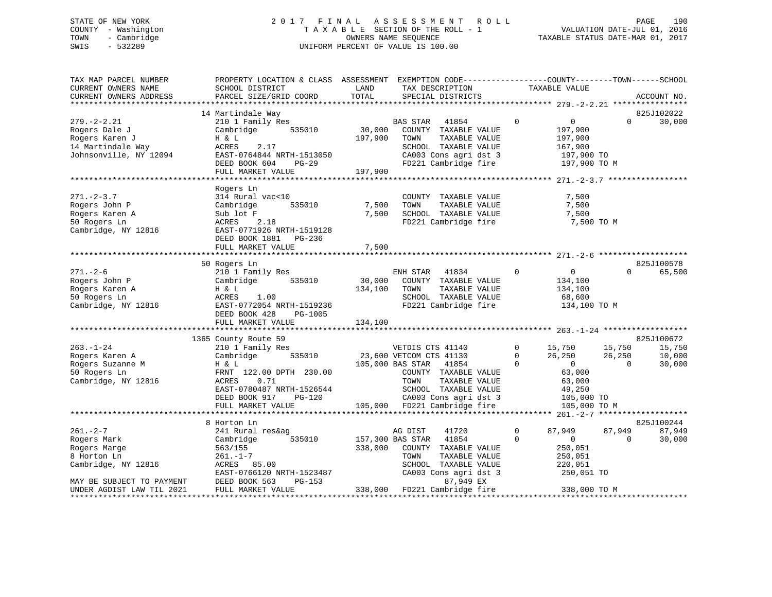# STATE OF NEW YORK 2 0 1 7 F I N A L A S S E S S M E N T R O L L PAGE 190 COUNTY - Washington T A X A B L E SECTION OF THE ROLL - 1 VALUATION DATE-JUL 01, 2016 TOWN - Cambridge OWNERS NAME SEQUENCE TAXABLE STATUS DATE-MAR 01, 2017 SWIS - 532289 UNIFORM PERCENT OF VALUE IS 100.00

| TAX MAP PARCEL NUMBER<br>CURRENT OWNERS NAME                                                                    | PROPERTY LOCATION & CLASS ASSESSMENT EXEMPTION CODE----------------COUNTY-------TOWN------SCHOOL<br>SCHOOL DISTRICT                                                                                                    | LAND                                                  | TAX DESCRIPTION                                                                                                                                          |                                        | TAXABLE VALUE                                                                                            |                                    |                                          |
|-----------------------------------------------------------------------------------------------------------------|------------------------------------------------------------------------------------------------------------------------------------------------------------------------------------------------------------------------|-------------------------------------------------------|----------------------------------------------------------------------------------------------------------------------------------------------------------|----------------------------------------|----------------------------------------------------------------------------------------------------------|------------------------------------|------------------------------------------|
| CURRENT OWNERS ADDRESS                                                                                          | PARCEL SIZE/GRID COORD                                                                                                                                                                                                 | TOTAL                                                 | SPECIAL DISTRICTS                                                                                                                                        |                                        |                                                                                                          |                                    | ACCOUNT NO.                              |
|                                                                                                                 | 14 Martindale Way                                                                                                                                                                                                      |                                                       |                                                                                                                                                          |                                        |                                                                                                          |                                    | 825J102022                               |
| $279. - 2 - 2.21$<br>Rogers Dale J<br>Rogers Karen J<br>14 Martindale Way<br>Johnsonville, NY 12094             | 210 1 Family Res<br>Cambridge 535010<br>H & L<br>ACRES<br>2.17<br>EAST-0764844 NRTH-1513050<br>DEED BOOK 604 PG-29<br>FULL MARKET VALUE                                                                                | $\overline{30,000}^{\text{B}2}$<br>197,900<br>197,900 | BAS STAR<br>41854<br>COUNTY TAXABLE VALUE<br>TAXABLE VALUE<br>TOWN<br>SCHOOL TAXABLE VALUE<br>CA003 Cons agri dst 3<br>FD221 Cambridge fire              | $\Omega$                               | $\overline{0}$<br>197,900<br>197,900<br>167,900<br>197,900 TO<br>197,900 TO M                            | $\Omega$                           | 30,000                                   |
|                                                                                                                 |                                                                                                                                                                                                                        |                                                       |                                                                                                                                                          |                                        |                                                                                                          |                                    |                                          |
| $271 - 2 - 3.7$<br>Rogers John P<br>Rogers Karen A<br>50 Rogers Ln<br>Cambridge, NY 12816                       | Rogers Ln<br>314 Rural vac<10<br>535010<br>Cambridge<br>Sub lot F<br>2.18<br>ACRES<br>EAST-0771926 NRTH-1519128<br>DEED BOOK 1881 PG-236<br>FULL MARKET VALUE                                                          | 7,500<br>7,500<br>7,500                               | COUNTY TAXABLE VALUE<br>TOWN<br>TAXABLE VALUE<br>SCHOOL TAXABLE VALUE<br>FD221 Cambridge fire                                                            |                                        | 7,500<br>7,500<br>7,500<br>7,500 TO M                                                                    |                                    |                                          |
|                                                                                                                 |                                                                                                                                                                                                                        |                                                       |                                                                                                                                                          |                                        |                                                                                                          |                                    |                                          |
| $271. - 2 - 6$<br>Rogers John P<br>Rogers Karen A<br>50 Rogers Ln<br>Cambridge, NY 12816                        | 50 Rogers Ln<br>210 1 Family Res<br>535010<br>Cambridge<br>H & L<br>ACRES<br>1.00<br>EAST-0772054 NRTH-1519236<br>DEED BOOK 428<br>PG-1005<br>FULL MARKET VALUE                                                        | 30,000<br>134,100<br>134,100                          | ENH STAR<br>41834<br>COUNTY TAXABLE VALUE<br>TOWN<br>TAXABLE VALUE<br>SCHOOL TAXABLE VALUE<br>FD221 Cambridge fire                                       | $\Omega$                               | $\overline{0}$<br>134,100<br>134,100<br>68,600<br>134,100 TO M                                           | $\Omega$                           | 825J100578<br>65,500                     |
|                                                                                                                 |                                                                                                                                                                                                                        |                                                       |                                                                                                                                                          |                                        |                                                                                                          |                                    |                                          |
| $263. - 1 - 24$<br>Rogers Karen A<br>Rogers Suzanne M<br>50 Rogers Ln<br>Cambridge, NY 12816                    | 1365 County Route 59<br>210 1 Family Res<br>Cambridge 535010 23,600 VETCOM CTS 41130<br>H & L<br>FRNT 122.00 DPTH 230.00<br>ACRES<br>0.71<br>EAST-0780487 NRTH-1526544<br>DEED BOOK 917<br>PG-120<br>FULL MARKET VALUE |                                                       | 105,000 BAS STAR 41854<br>COUNTY TAXABLE VALUE<br>TOWN<br>TAXABLE VALUE<br>SCHOOL TAXABLE VALUE<br>CA003 Cons agri dst 3<br>105,000 FD221 Cambridge fire | $\overline{0}$<br>$\Omega$<br>$\Omega$ | 15,750<br>26.250<br>26,250<br>$\overline{0}$<br>63,000<br>63,000<br>49,250<br>105,000 TO<br>105,000 TO M | 15,750<br>26,250<br>$\overline{0}$ | 825J100672<br>15,750<br>10,000<br>30,000 |
|                                                                                                                 |                                                                                                                                                                                                                        |                                                       |                                                                                                                                                          |                                        |                                                                                                          |                                    |                                          |
|                                                                                                                 | 8 Horton Ln                                                                                                                                                                                                            |                                                       |                                                                                                                                                          |                                        |                                                                                                          |                                    | 825J100244                               |
| $261 - 2 - 7$<br>Rogers Mark<br>Rogers Marge<br>8 Horton Ln<br>Cambridge, NY 12816<br>MAY BE SUBJECT TO PAYMENT | 241 Rural res&ag<br>535010<br>Cambridge<br>563/155<br>$261. - 1 - 7$<br>ACRES 85.00<br>EAST-0766120 NRTH-1523487<br>DEED BOOK 563<br>PG-153                                                                            | 157,300 BAS STAR<br>338,000                           | AG DIST<br>41720<br>41854<br>COUNTY TAXABLE VALUE<br>TOWN<br>TAXABLE VALUE<br>SCHOOL TAXABLE VALUE<br>CA003 Cons agri dst 3<br>87,949 EX                 | $\mathbf{0}$<br>$\Omega$               | 87,949<br>$\overline{0}$<br>250,051<br>250,051<br>220,051<br>250,051 TO                                  | 87,949<br>$\Omega$                 | 87,949<br>30,000                         |
| UNDER AGDIST LAW TIL 2021                                                                                       | FULL MARKET VALUE                                                                                                                                                                                                      |                                                       | 338,000 FD221 Cambridge fire                                                                                                                             |                                        | 338,000 TO M                                                                                             |                                    |                                          |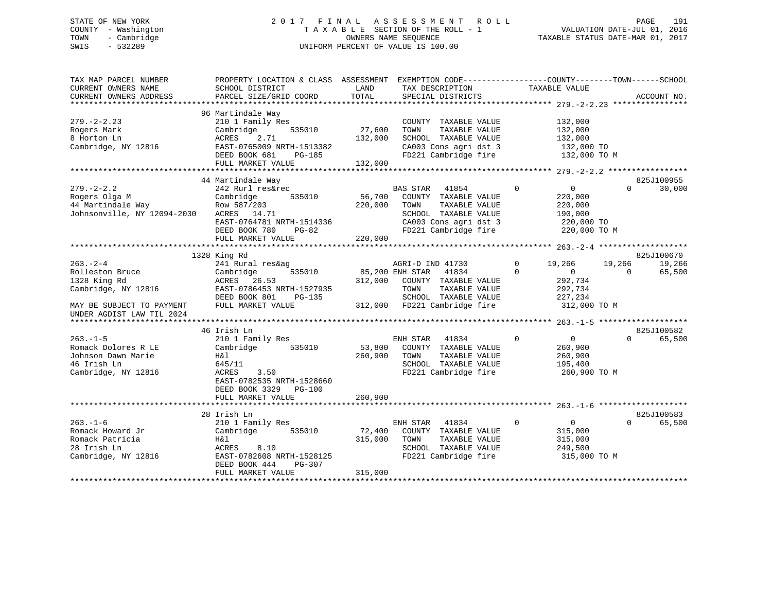# STATE OF NEW YORK 2 0 1 7 F I N A L A S S E S S M E N T R O L L PAGE 191 COUNTY - Washington T A X A B L E SECTION OF THE ROLL - 1 VALUATION DATE-JUL 01, 2016 TOWN - Cambridge OWNERS NAME SEQUENCE TAXABLE STATUS DATE-MAR 01, 2017 SWIS - 532289 UNIFORM PERCENT OF VALUE IS 100.00

| TAX MAP PARCEL NUMBER<br>CURRENT OWNERS NAME<br>CURRENT OWNERS ADDRESS                                                            | PROPERTY LOCATION & CLASS ASSESSMENT<br>SCHOOL DISTRICT<br>PARCEL SIZE/GRID COORD                                                                                      | LAND<br>TOTAL                | EXEMPTION CODE-----------------COUNTY-------TOWN------SCHOOL<br>TAX DESCRIPTION<br>SPECIAL DISTRICTS                                               | TAXABLE VALUE                                                                                     | ACCOUNT NO.                            |
|-----------------------------------------------------------------------------------------------------------------------------------|------------------------------------------------------------------------------------------------------------------------------------------------------------------------|------------------------------|----------------------------------------------------------------------------------------------------------------------------------------------------|---------------------------------------------------------------------------------------------------|----------------------------------------|
| $279. - 2 - 2.23$<br>Rogers Mark<br>8 Horton Ln<br>Cambridge, NY 12816                                                            | 96 Martindale Way<br>210 1 Family Res<br>Cambridge<br>535010<br>2.71<br>ACRES<br>EAST-0765009 NRTH-1513382<br>DEED BOOK 681<br>PG-185<br>FULL MARKET VALUE             | 27,600<br>132,000<br>132,000 | COUNTY TAXABLE VALUE<br>TAXABLE VALUE<br>TOWN<br>SCHOOL TAXABLE VALUE<br>CA003 Cons agri dst 3<br>FD221 Cambridge fire                             | 132,000<br>132,000<br>132,000<br>132,000 TO<br>132,000 TO M                                       |                                        |
|                                                                                                                                   |                                                                                                                                                                        |                              |                                                                                                                                                    |                                                                                                   |                                        |
| $279. - 2 - 2.2$<br>Rogers Olga M<br>44 Martindale Way<br>Johnsonville, NY 12094-2030                                             | 44 Martindale Way<br>242 Rurl res&rec<br>Cambridge<br>535010<br>Row 587/203<br>ACRES 14.71<br>EAST-0764781 NRTH-1514336<br>DEED BOOK 780<br>PG-82<br>FULL MARKET VALUE | 56,700<br>220,000<br>220,000 | <b>BAS STAR</b><br>41854<br>COUNTY TAXABLE VALUE<br>TAXABLE VALUE<br>TOWN<br>SCHOOL TAXABLE VALUE<br>CA003 Cons agri dst 3<br>FD221 Cambridge fire | $\Omega$<br>$\overline{0}$<br>220,000<br>220,000<br>190,000<br>220,000 TO<br>220,000 TO M         | 825J100955<br>$\Omega$<br>30,000       |
|                                                                                                                                   |                                                                                                                                                                        |                              |                                                                                                                                                    |                                                                                                   | 825J100670                             |
| $263 - 2 - 4$<br>Rolleston Bruce<br>1328 King Rd<br>Cambridge, NY 12816<br>MAY BE SUBJECT TO PAYMENT<br>UNDER AGDIST LAW TIL 2024 | 1328 King Rd<br>241 Rural res&ag<br>Cambridge<br>535010<br>ACRES 26.53<br>EAST-0786453 NRTH-1527935<br>DEED BOOK 801<br>PG-135<br>FULL MARKET VALUE                    | 85,200 ENH STAR<br>312,000   | AGRI-D IND 41730<br>41834<br>COUNTY TAXABLE VALUE<br>TOWN<br>TAXABLE VALUE<br>SCHOOL TAXABLE VALUE<br>312,000 FD221 Cambridge fire                 | $\Omega$<br>19,266<br>$\overline{0}$<br>$\Omega$<br>292,734<br>292,734<br>227,234<br>312,000 TO M | 19,266<br>19,266<br>$\Omega$<br>65,500 |
|                                                                                                                                   | 46 Irish Ln                                                                                                                                                            |                              |                                                                                                                                                    |                                                                                                   | 825J100582                             |
| $263. -1 - 5$<br>Romack Dolores R LE<br>Johnson Dawn Marie<br>46 Irish Ln<br>Cambridge, NY 12816                                  | 210 1 Family Res<br>Cambridge<br>535010<br>H&l<br>645/11<br>ACRES<br>3.50<br>EAST-0782535 NRTH-1528660<br>DEED BOOK 3329 PG-100                                        | 53,800<br>260,900            | ENH STAR<br>41834<br>COUNTY TAXABLE VALUE<br>TAXABLE VALUE<br>TOWN<br>SCHOOL TAXABLE VALUE<br>FD221 Cambridge fire                                 | $\mathbf 0$<br>$\overline{0}$<br>260,900<br>260,900<br>195,400<br>260,900 TO M                    | $\Omega$<br>65,500                     |
|                                                                                                                                   | FULL MARKET VALUE                                                                                                                                                      | 260,900                      |                                                                                                                                                    |                                                                                                   |                                        |
| $263. - 1 - 6$<br>Romack Howard Jr                                                                                                | 28 Irish Ln<br>210 1 Family Res<br>Cambridge<br>535010                                                                                                                 | 72,400                       | ENH STAR<br>41834<br>COUNTY TAXABLE VALUE                                                                                                          | $\mathbf 0$<br>$\overline{0}$<br>315,000                                                          | 825J100583<br>$\Omega$<br>65,500       |
| Romack Patricia<br>28 Irish Ln<br>Cambridge, NY 12816                                                                             | H&l<br>ACRES<br>8.10<br>EAST-0782608 NRTH-1528125<br>DEED BOOK 444<br>PG-307<br>FULL MARKET VALUE                                                                      | 315,000<br>315,000           | TAXABLE VALUE<br>TOWN<br>SCHOOL TAXABLE VALUE<br>FD221 Cambridge fire                                                                              | 315,000<br>249,500<br>315,000 TO M                                                                |                                        |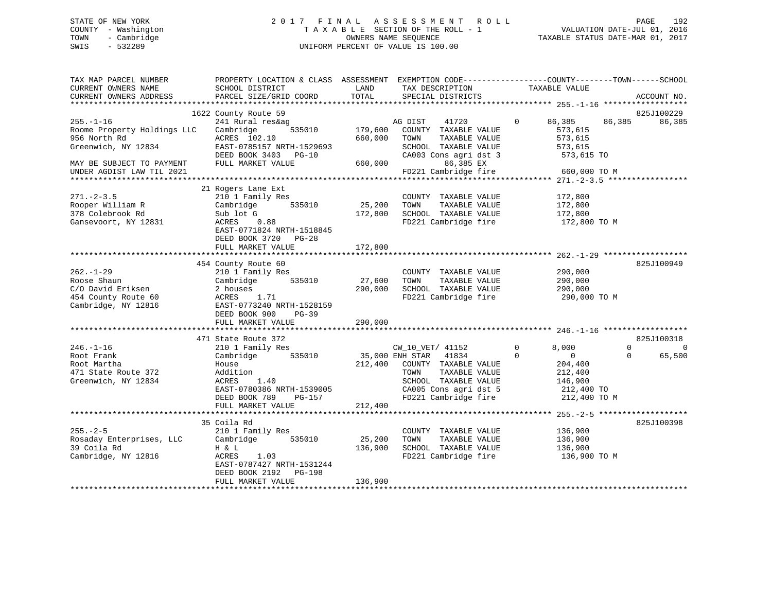# STATE OF NEW YORK 2 0 1 7 F I N A L A S S E S S M E N T R O L L PAGE 192 COUNTY - Washington T A X A B L E SECTION OF THE ROLL - 1 VALUATION DATE-JUL 01, 2016 TOWN - Cambridge OWNERS NAME SEQUENCE TAXABLE STATUS DATE-MAR 01, 2017 SWIS - 532289 UNIFORM PERCENT OF VALUE IS 100.00

| TAX MAP PARCEL NUMBER<br>CURRENT OWNERS NAME<br>CURRENT OWNERS ADDRESS                                                                          | PROPERTY LOCATION & CLASS ASSESSMENT<br>SCHOOL DISTRICT<br>PARCEL SIZE/GRID COORD                                                                                         | LAND<br>TOTAL                 | TAX DESCRIPTION<br>SPECIAL DISTRICTS                                                                                                                                   | EXEMPTION CODE-----------------COUNTY-------TOWN------SCHOOL<br>TAXABLE VALUE                                     | ACCOUNT NO.                                                 |
|-------------------------------------------------------------------------------------------------------------------------------------------------|---------------------------------------------------------------------------------------------------------------------------------------------------------------------------|-------------------------------|------------------------------------------------------------------------------------------------------------------------------------------------------------------------|-------------------------------------------------------------------------------------------------------------------|-------------------------------------------------------------|
|                                                                                                                                                 |                                                                                                                                                                           |                               |                                                                                                                                                                        |                                                                                                                   |                                                             |
| $255. - 1 - 16$<br>Roome Property Holdings LLC<br>956 North Rd<br>Greenwich, NY 12834<br>MAY BE SUBJECT TO PAYMENT<br>UNDER AGDIST LAW TIL 2021 | 1622 County Route 59<br>241 Rural res&ag<br>Cambridge<br>535010<br>ACRES 102.10<br>EAST-0785157 NRTH-1529693<br>DEED BOOK 3403 PG-10<br>FULL MARKET VALUE                 | 179,600<br>660,000<br>660,000 | 41720<br>AG DIST<br>COUNTY TAXABLE VALUE<br>TAXABLE VALUE<br>TOWN<br>SCHOOL TAXABLE VALUE<br>CA003 Cons agri dst 3<br>86,385 EX<br>FD221 Cambridge fire                | 86,385<br>$\Omega$<br>86,385<br>573,615<br>573,615<br>573,615<br>573,615 TO<br>660,000 TO M                       | 825J100229<br>86,385                                        |
| $271 - 2 - 3.5$<br>Rooper William R<br>378 Colebrook Rd<br>Gansevoort, NY 12831                                                                 | 21 Rogers Lane Ext<br>210 1 Family Res<br>535010<br>Cambridge<br>Sub lot G<br>ACRES<br>0.88<br>EAST-0771824 NRTH-1518845<br>DEED BOOK 3720 PG-28<br>FULL MARKET VALUE     | 25,200<br>172,800<br>172,800  | COUNTY TAXABLE VALUE<br>TOWN<br>TAXABLE VALUE<br>SCHOOL TAXABLE VALUE<br>FD221 Cambridge fire                                                                          | 172,800<br>172,800<br>172,800<br>172,800 TO M                                                                     |                                                             |
| $262. - 1 - 29$<br>Roose Shaun<br>C/O David Eriksen<br>454 County Route 60<br>Cambridge, NY 12816                                               | 454 County Route 60<br>210 1 Family Res<br>Cambridge<br>535010<br>2 houses<br>ACRES<br>1.71<br>EAST-0773240 NRTH-1528159<br>DEED BOOK 900<br>$PG-39$<br>FULL MARKET VALUE | 27,600<br>290,000<br>290,000  | COUNTY TAXABLE VALUE<br>TAXABLE VALUE<br>TOWN<br>SCHOOL TAXABLE VALUE<br>FD221 Cambridge fire                                                                          | 290,000<br>290,000<br>290,000<br>290,000 TO M                                                                     | 825J100949                                                  |
|                                                                                                                                                 |                                                                                                                                                                           |                               |                                                                                                                                                                        |                                                                                                                   |                                                             |
| $246. - 1 - 16$<br>Root Frank<br>Root Martha<br>471 State Route 372<br>Greenwich, NY 12834                                                      | 471 State Route 372<br>210 1 Family Res<br>535010<br>Cambridge<br>House<br>Addition<br>ACRES<br>1.40<br>EAST-0780386 NRTH-1539005<br>DEED BOOK 789<br>PG-157              | 212,400                       | CW_10_VET/ 41152<br>35,000 ENH STAR<br>41834<br>COUNTY TAXABLE VALUE<br>TAXABLE VALUE<br>TOWN<br>SCHOOL TAXABLE VALUE<br>CA005 Cons agri dst 5<br>FD221 Cambridge fire | $\mathbf 0$<br>8,000<br>$\Omega$<br>$\overline{0}$<br>204,400<br>212,400<br>146,900<br>212,400 TO<br>212,400 TO M | 825J100318<br>$\Omega$<br>$\mathbf 0$<br>65,500<br>$\Omega$ |
|                                                                                                                                                 | FULL MARKET VALUE                                                                                                                                                         | 212,400                       |                                                                                                                                                                        |                                                                                                                   |                                                             |
| $255. - 2 - 5$<br>Rosaday Enterprises, LLC<br>39 Coila Rd<br>Cambridge, NY 12816                                                                | 35 Coila Rd<br>210 1 Family Res<br>535010<br>Cambridge<br>H & L<br>ACRES<br>1.03<br>EAST-0787427 NRTH-1531244<br>DEED BOOK 2192<br>PG-198<br>FULL MARKET VALUE            | 25,200<br>136,900<br>136,900  | COUNTY TAXABLE VALUE<br>TOWN<br>TAXABLE VALUE<br>SCHOOL TAXABLE VALUE<br>FD221 Cambridge fire                                                                          | 136,900<br>136,900<br>136,900<br>136,900 TO M                                                                     | 825J100398                                                  |
|                                                                                                                                                 |                                                                                                                                                                           |                               |                                                                                                                                                                        |                                                                                                                   |                                                             |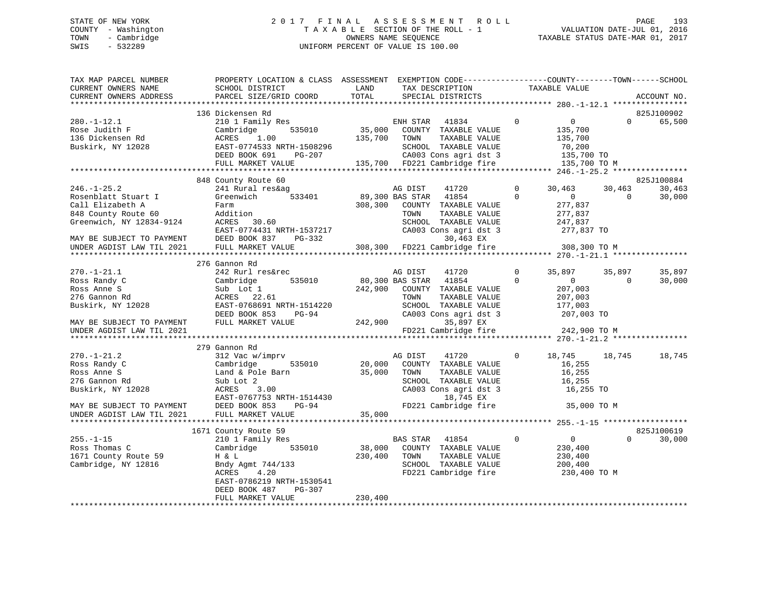# STATE OF NEW YORK 2 0 1 7 F I N A L A S S E S S M E N T R O L L PAGE 193 COUNTY - Washington T A X A B L E SECTION OF THE ROLL - 1 VALUATION DATE-JUL 01, 2016 TOWN - Cambridge OWNERS NAME SEQUENCE TAXABLE STATUS DATE-MAR 01, 2017 SWIS - 532289 UNIFORM PERCENT OF VALUE IS 100.00

| TAX MAP PARCEL NUMBER                       | PROPERTY LOCATION & CLASS ASSESSMENT EXEMPTION CODE---------------COUNTY-------TOWN-----SCHOOL                                                                                                          |         |                                              |                |                       |                   |             |
|---------------------------------------------|---------------------------------------------------------------------------------------------------------------------------------------------------------------------------------------------------------|---------|----------------------------------------------|----------------|-----------------------|-------------------|-------------|
| CURRENT OWNERS NAME                         | SCHOOL DISTRICT                                                                                                                                                                                         | LAND    | TAX DESCRIPTION                              | TAXABLE VALUE  |                       |                   |             |
| CURRENT OWNERS ADDRESS                      | PARCEL SIZE/GRID COORD                                                                                                                                                                                  | TOTAL   | SPECIAL DISTRICTS                            |                |                       |                   | ACCOUNT NO. |
|                                             |                                                                                                                                                                                                         |         |                                              |                |                       |                   |             |
|                                             | 136 Dickensen Rd                                                                                                                                                                                        |         |                                              |                |                       |                   | 825J100902  |
| $280. - 1 - 12.1$                           | 210 1 Family Res                                                                                                                                                                                        |         | ENH STAR 41834                               | $\mathbf 0$    | $\overline{0}$        | $0 \qquad \qquad$ | 65,500      |
| Rose Judith F                               | 535010<br>Cambridge                                                                                                                                                                                     | 35,000  | COUNTY TAXABLE VALUE                         |                | 135,700               |                   |             |
| 136 Dickensen Rd                            | Cambri<br>ACRES<br>1.00                                                                                                                                                                                 | 135,700 | TAXABLE VALUE<br>TOWN                        |                | 135,700               |                   |             |
| Buskirk, NY 12028                           |                                                                                                                                                                                                         |         |                                              |                | 70,200                |                   |             |
|                                             | EAST-0774533 NRTH-1508296<br>DEED BOOK 691 PG-207 CA003 Cons agri dst 3<br>FULL MARKET VALUE 135,700 FD221 Cambridge fire                                                                               |         | CA003 Cons agri dst 3 135,700 TO             |                |                       |                   |             |
|                                             |                                                                                                                                                                                                         |         |                                              |                |                       |                   |             |
|                                             |                                                                                                                                                                                                         |         |                                              |                | 135,700 TO M          |                   |             |
|                                             |                                                                                                                                                                                                         |         |                                              |                |                       |                   |             |
|                                             | 848 County Route 60                                                                                                                                                                                     |         |                                              |                |                       |                   | 825J100884  |
| $246. - 1 - 25.2$                           | 241 Rural res&ag                                                                                                                                                                                        |         | 41720<br>AG DIST                             | $\overline{0}$ | 30,463                | 30,463            | 30,463      |
| Rosenblatt Stuart I                         | Greenwich<br>533401                                                                                                                                                                                     |         | 89,300 BAS STAR 41854                        | $\mathbf 0$    | $\sim$ 0              | $\mathbf{0}$      | 30,000      |
| Call Elizabeth A                            | Farm                                                                                                                                                                                                    | 308,300 | COUNTY TAXABLE VALUE                         |                | 277,837               |                   |             |
|                                             |                                                                                                                                                                                                         |         | TOWN<br>TAXABLE VALUE                        |                | 277,837               |                   |             |
|                                             |                                                                                                                                                                                                         |         | SCHOOL TAXABLE VALUE                         |                |                       |                   |             |
|                                             |                                                                                                                                                                                                         |         | CA003 Cons agri dst 3                        |                | 247,837<br>277,837 TO |                   |             |
|                                             |                                                                                                                                                                                                         |         | 30,463 EX                                    |                |                       |                   |             |
|                                             | Call Elizabeth A<br>848 County Route 60<br>Greenwich, NY 12834-9124<br>MAY BE SUBJECT TO PAYMENT<br>MAY BE SUBJECT TO PAYMENT<br>DEED BOOK 837 PG-332<br>UNDER AGDIST LAW TIL 2021<br>FULL MARKET VALUE |         | 308,300 FD221 Cambridge fire 308,300 TO M    |                |                       |                   |             |
|                                             |                                                                                                                                                                                                         |         |                                              |                |                       |                   |             |
|                                             | 276 Gannon Rd                                                                                                                                                                                           |         |                                              |                |                       |                   |             |
| $270. - 1 - 21.1$                           | 242 Rurl res&rec                                                                                                                                                                                        |         | AG DIST<br>41720                             | $\mathbf 0$    | 35,897                | 35,897            | 35,897      |
| Ross Randy C                                | 535010<br>Cambridge                                                                                                                                                                                     |         | 80,300 BAS STAR 41854                        | $\Omega$       | $\overline{0}$        | $\overline{0}$    | 30,000      |
|                                             |                                                                                                                                                                                                         |         |                                              |                |                       |                   |             |
| Ross Anne S                                 | Sub Lot 1                                                                                                                                                                                               | 242,900 | COUNTY TAXABLE VALUE                         |                | 207,003               |                   |             |
| 276 Gannon Rd                               | ACRES 22.61<br>EAST-0768691 NRTH-1514220                                                                                                                                                                |         | TOWN<br>TAXABLE VALUE                        |                | 207,003<br>177,003    |                   |             |
| Buskirk, NY 12028                           |                                                                                                                                                                                                         |         | SCHOOL TAXABLE VALUE                         |                |                       |                   |             |
|                                             | DEED BOOK 853<br>PG-94                                                                                                                                                                                  |         | CA003 Cons agri dst 3                        |                | 207,003 TO            |                   |             |
| MAY BE SUBJECT TO PAYMENT FULL MARKET VALUE |                                                                                                                                                                                                         | 242,900 | 35,897 EX                                    |                |                       |                   |             |
| UNDER AGDIST LAW TIL 2021                   |                                                                                                                                                                                                         |         | FD221 Cambridge fire                         |                | 242,900 TO M          |                   |             |
|                                             |                                                                                                                                                                                                         |         |                                              |                |                       |                   |             |
|                                             | 279 Gannon Rd                                                                                                                                                                                           |         |                                              |                |                       |                   |             |
| $270. - 1 - 21.2$                           | 312 Vac w/imprv                                                                                                                                                                                         |         | AG DIST<br>41720                             | $\mathbf{0}$   | 18,745                | 18,745            | 18,745      |
| Ross Randy C                                | 535010<br>Cambridge                                                                                                                                                                                     | 20,000  | COUNTY TAXABLE VALUE                         |                | 16,255                |                   |             |
| Ross Anne S                                 | Land & Pole Barn                                                                                                                                                                                        | 35,000  | TOWN<br>TAXABLE VALUE                        |                | 16,255                |                   |             |
| 276 Gannon Rd                               | Sub Lot 2                                                                                                                                                                                               |         | SCHOOL TAXABLE VALUE                         |                | 16,255                |                   |             |
|                                             |                                                                                                                                                                                                         |         | CA003 Cons agri dst 3                        |                | 16,255 TO             |                   |             |
|                                             |                                                                                                                                                                                                         |         | 18,745 EX                                    |                |                       |                   |             |
|                                             |                                                                                                                                                                                                         |         | FD221 Cambridge fire                         |                | 35,000 TO M           |                   |             |
|                                             |                                                                                                                                                                                                         | 35,000  |                                              |                |                       |                   |             |
|                                             |                                                                                                                                                                                                         |         |                                              |                |                       |                   |             |
|                                             | 1671 County Route 59                                                                                                                                                                                    |         |                                              |                |                       |                   | 825J100619  |
| $255. - 1 - 15$                             |                                                                                                                                                                                                         |         | BAS STAR 41854                               | $\overline{0}$ | $\overline{0}$        | $\Omega$          | 30,000      |
|                                             | 210 1 Family Res                                                                                                                                                                                        |         |                                              |                |                       |                   |             |
| Ross Thomas C                               | 535010<br>Cambridge<br>H & L                                                                                                                                                                            | 38,000  | COUNTY TAXABLE VALUE                         |                | 230,400               |                   |             |
| 1671 County Route 59                        |                                                                                                                                                                                                         | 230,400 | TOWN<br>TAXABLE VALUE                        |                | 230,400               |                   |             |
| Cambridge, NY 12816                         | Bndy Agmt 744/133                                                                                                                                                                                       |         |                                              |                | 200,400               |                   |             |
|                                             | 4.20<br>ACRES                                                                                                                                                                                           |         | DONOOD TAXABLE VALUE<br>FD221 Cambridge fire |                | 230,400 TO M          |                   |             |
|                                             | EAST-0786219 NRTH-1530541                                                                                                                                                                               |         |                                              |                |                       |                   |             |
|                                             | DEED BOOK 487<br>PG-307                                                                                                                                                                                 |         |                                              |                |                       |                   |             |
|                                             | FULL MARKET VALUE                                                                                                                                                                                       | 230,400 |                                              |                |                       |                   |             |
|                                             |                                                                                                                                                                                                         |         |                                              |                |                       |                   |             |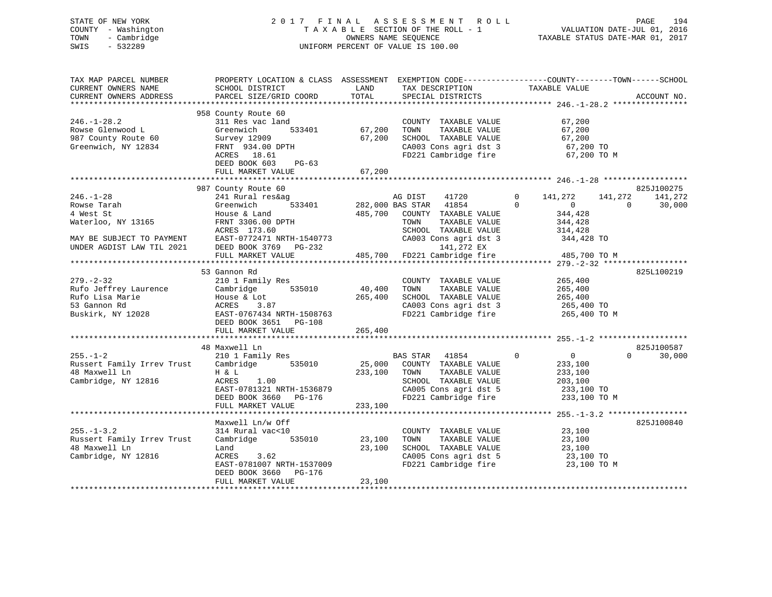# STATE OF NEW YORK 2 0 1 7 F I N A L A S S E S S M E N T R O L L PAGE 194 COUNTY - Washington T A X A B L E SECTION OF THE ROLL - 1 VALUATION DATE-JUL 01, 2016 TOWN - Cambridge OWNERS NAME SEQUENCE TAXABLE STATUS DATE-MAR 01, 2017 SWIS - 532289 UNIFORM PERCENT OF VALUE IS 100.00

| TAX MAP PARCEL NUMBER<br>CURRENT OWNERS NAME<br>CURRENT OWNERS ADDRESS                                                      | PROPERTY LOCATION & CLASS ASSESSMENT EXEMPTION CODE----------------COUNTY-------TOWN------SCHOOL<br>SCHOOL DISTRICT<br>PARCEL SIZE/GRID COORD                      | LAND<br>TOTAL                | TAX DESCRIPTION<br>SPECIAL DISTRICTS                                                                                                                       | TAXABLE VALUE                                                                                    | ACCOUNT NO.                              |
|-----------------------------------------------------------------------------------------------------------------------------|--------------------------------------------------------------------------------------------------------------------------------------------------------------------|------------------------------|------------------------------------------------------------------------------------------------------------------------------------------------------------|--------------------------------------------------------------------------------------------------|------------------------------------------|
| $246. - 1 - 28.2$<br>Rowse Glenwood L<br>987 County Route 60<br>Greenwich, NY 12834                                         | 958 County Route 60<br>311 Res vac land<br>533401<br>Greenwich<br>Survey 12909<br>FRNT 934.00 DPTH<br>ACRES 18.61<br>DEED BOOK 603<br>PG-63<br>FULL MARKET VALUE   | 67,200<br>67,200<br>67,200   | COUNTY TAXABLE VALUE<br>TAXABLE VALUE<br>TOWN<br>SCHOOL TAXABLE VALUE<br>CA003 Cons agri dst 3<br>FD221 Cambridge fire                                     | 67,200<br>67,200<br>67,200<br>67,200 TO<br>67,200 TO M                                           |                                          |
|                                                                                                                             | 987 County Route 60                                                                                                                                                |                              |                                                                                                                                                            |                                                                                                  | 825J100275                               |
| $246. - 1 - 28$<br>Rowse Tarah<br>4 West St<br>Waterloo, NY 13165<br>MAY BE SUBJECT TO PAYMENT<br>UNDER AGDIST LAW TIL 2021 | 241 Rural res&ag<br>Greenwich<br>533401<br>House & Land<br>FRNT 3306.00 DPTH<br>ACRES 173.60<br>EAST-0772471 NRTH-1540773<br>DEED BOOK 3769 PG-232                 | 485,700                      | AG DIST<br>41720<br>282,000 BAS STAR 41854<br>COUNTY TAXABLE VALUE<br>TOWN<br>TAXABLE VALUE<br>SCHOOL TAXABLE VALUE<br>CA003 Cons agri dst 3<br>141,272 EX | 141,272<br>$\Omega$<br>$\Omega$<br>$\overline{0}$<br>344,428<br>344,428<br>314,428<br>344,428 TO | 141,272<br>141,272<br>$\Omega$<br>30,000 |
|                                                                                                                             | FULL MARKET VALUE                                                                                                                                                  |                              | 485,700 FD221 Cambridge fire                                                                                                                               | 485,700 TO M                                                                                     |                                          |
|                                                                                                                             |                                                                                                                                                                    |                              |                                                                                                                                                            |                                                                                                  |                                          |
| $279. - 2 - 32$<br>Rufo Jeffrey Laurence<br>Rufo Lisa Marie<br>53 Gannon Rd<br>Buskirk, NY 12028                            | 53 Gannon Rd<br>210 1 Family Res<br>Cambridge<br>535010<br>House & Lot<br>ACRES<br>3.87<br>EAST-0767434 NRTH-1508763<br>DEED BOOK 3651 PG-108<br>FULL MARKET VALUE | 40,400<br>265,400<br>265,400 | COUNTY TAXABLE VALUE<br>TOWN<br>TAXABLE VALUE<br>SCHOOL TAXABLE VALUE<br>CA003 Cons agri dst 3<br>FD221 Cambridge fire                                     | 265,400<br>265,400<br>265,400<br>265,400 TO<br>265,400 TO M                                      | 825L100219                               |
|                                                                                                                             |                                                                                                                                                                    |                              |                                                                                                                                                            |                                                                                                  |                                          |
| $255. - 1 - 2$<br>Russert Family Irrev Trust<br>48 Maxwell Ln<br>Cambridge, NY 12816                                        | 48 Maxwell Ln<br>210 1 Family Res<br>Cambridge<br>535010<br>H & L<br>ACRES<br>1.00<br>EAST-0781321 NRTH-1536879<br>DEED BOOK 3660 PG-176<br>FULL MARKET VALUE      | 233,100                      | BAS STAR 41854<br>25,000 COUNTY TAXABLE VALUE<br>233,100 TOWN<br>TAXABLE VALUE<br>SCHOOL TAXABLE VALUE<br>CA005 Cons agri dst 5<br>FD221 Cambridge fire    | $\mathbf 0$<br>$\overline{0}$<br>233,100<br>233,100<br>203,100<br>233,100 TO<br>233,100 TO M     | 825J100587<br>30,000<br>$\Omega$         |
|                                                                                                                             |                                                                                                                                                                    |                              |                                                                                                                                                            |                                                                                                  |                                          |
| $255. - 1 - 3.2$<br>Russert Family Irrev Trust<br>48 Maxwell Ln<br>Cambridge, NY 12816                                      | Maxwell Ln/w Off<br>314 Rural vac<10<br>Cambridge<br>535010<br>Land<br>ACRES<br>3.62<br>EAST-0781007 NRTH-1537009<br>DEED BOOK 3660 PG-176                         | 23,100<br>23,100             | COUNTY TAXABLE VALUE<br>TOWN<br>TAXABLE VALUE<br>SCHOOL TAXABLE VALUE<br>CA005 Cons agri dst 5<br>FD221 Cambridge fire                                     | 23,100<br>23,100<br>23,100<br>23,100 TO<br>23,100 TO M                                           | 825J100840                               |
|                                                                                                                             | FULL MARKET VALUE                                                                                                                                                  | 23,100                       |                                                                                                                                                            |                                                                                                  |                                          |
|                                                                                                                             |                                                                                                                                                                    |                              |                                                                                                                                                            |                                                                                                  |                                          |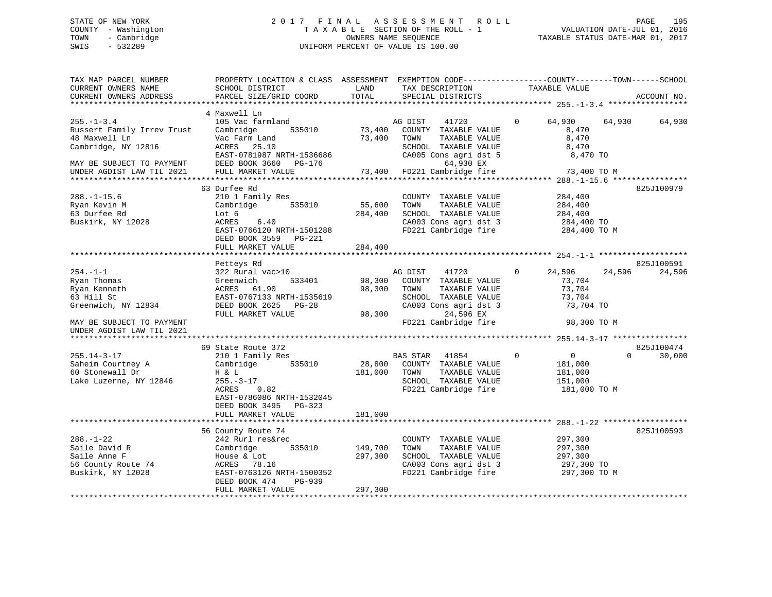# STATE OF NEW YORK 2 0 1 7 F I N A L A S S E S S M E N T R O L L PAGE 195 COUNTY - Washington T A X A B L E SECTION OF THE ROLL - 1 VALUATION DATE-JUL 01, 2016 TOWN - Cambridge OWNERS NAME SEQUENCE TAXABLE STATUS DATE-MAR 01, 2017 SWIS - 532289 UNIFORM PERCENT OF VALUE IS 100.00

| TAX MAP PARCEL NUMBER<br>CURRENT OWNERS NAME<br>CURRENT OWNERS ADDRESS                                                                           | PROPERTY LOCATION & CLASS ASSESSMENT EXEMPTION CODE-----------------COUNTY-------TOWN------SCHOOL<br>SCHOOL DISTRICT<br>PARCEL SIZE/GRID COORD                              | LAND<br>TOTAL                 | TAX DESCRIPTION<br>SPECIAL DISTRICTS                                                                                                                    | TAXABLE VALUE                                                                | ACCOUNT NO.                      |
|--------------------------------------------------------------------------------------------------------------------------------------------------|-----------------------------------------------------------------------------------------------------------------------------------------------------------------------------|-------------------------------|---------------------------------------------------------------------------------------------------------------------------------------------------------|------------------------------------------------------------------------------|----------------------------------|
| ****************************                                                                                                                     |                                                                                                                                                                             |                               |                                                                                                                                                         |                                                                              |                                  |
| $255. - 1 - 3.4$<br>Russert Family Irrev Trust<br>48 Maxwell Ln<br>Cambridge, NY 12816<br>MAY BE SUBJECT TO PAYMENT<br>UNDER AGDIST LAW TIL 2021 | 4 Maxwell Ln<br>105 Vac farmland<br>Cambridge<br>535010<br>Vac Farm Land<br>ACRES 25.10<br>EAST-0781987 NRTH-1536686<br>DEED BOOK 3660 PG-176<br>FULL MARKET VALUE          | 73,400<br>73,400<br>73,400    | 41720<br>AG DIST<br>COUNTY TAXABLE VALUE<br>TAXABLE VALUE<br>TOWN<br>SCHOOL TAXABLE VALUE<br>CA005 Cons agri dst 5<br>64,930 EX<br>FD221 Cambridge fire | $\Omega$<br>64,930<br>8,470<br>8,470<br>8,470<br>8,470 TO<br>73,400 TO M     | 64,930<br>64,930                 |
|                                                                                                                                                  |                                                                                                                                                                             |                               |                                                                                                                                                         |                                                                              |                                  |
| $288. - 1 - 15.6$<br>Ryan Kevin M<br>63 Durfee Rd<br>Buskirk, NY 12028                                                                           | 63 Durfee Rd<br>210 1 Family Res<br>535010<br>Cambridge<br>Lot 6<br>6.40<br>ACRES<br>EAST-0766120 NRTH-1501288<br>DEED BOOK 3559 PG-221<br>FULL MARKET VALUE                | 55,600<br>284,400<br>284,400  | COUNTY TAXABLE VALUE<br>TAXABLE VALUE<br>TOWN<br>SCHOOL TAXABLE VALUE<br>CA003 Cons agri dst 3<br>FD221 Cambridge fire                                  | 284,400<br>284,400<br>284,400<br>284,400 TO<br>284,400 TO M                  | 825J100979                       |
|                                                                                                                                                  |                                                                                                                                                                             |                               |                                                                                                                                                         |                                                                              | 825J100591                       |
| $254. - 1 - 1$<br>Ryan Thomas<br>Ryan Kenneth<br>63 Hill St<br>Greenwich, NY 12834<br>MAY BE SUBJECT TO PAYMENT                                  | Petteys Rd<br>322 Rural vac>10<br>533401<br>Greenwich<br>ACRES 61.90<br>EAST-0767133 NRTH-1535619<br>DEED BOOK 2625 PG-28<br>FULL MARKET VALUE                              | 98,300<br>98,300<br>98,300    | AG DIST<br>41720<br>COUNTY TAXABLE VALUE<br>TOWN<br>TAXABLE VALUE<br>SCHOOL TAXABLE VALUE<br>CA003 Cons agri dst 3<br>24,596 EX<br>FD221 Cambridge fire | 24,596<br>$\Omega$<br>73,704<br>73,704<br>73,704<br>73,704 TO<br>98,300 TO M | 24,596<br>24,596                 |
| UNDER AGDIST LAW TIL 2021                                                                                                                        |                                                                                                                                                                             |                               |                                                                                                                                                         |                                                                              |                                  |
| $255.14 - 3 - 17$<br>Saheim Courtney A<br>60 Stonewall Dr<br>Lake Luzerne, NY 12846                                                              | 69 State Route 372<br>210 1 Family Res<br>535010<br>Cambridge<br>H & L<br>$255. - 3 - 17$<br>ACRES<br>0.82<br>EAST-0786086 NRTH-1532045                                     | 28,800<br>181,000             | <b>BAS STAR</b><br>41854<br>COUNTY TAXABLE VALUE<br>TAXABLE VALUE<br>TOWN<br>SCHOOL TAXABLE VALUE<br>FD221 Cambridge fire                               | 0<br>$\mathbf 0$<br>181,000<br>181,000<br>151,000<br>181,000 TO M            | 825J100474<br>$\Omega$<br>30,000 |
|                                                                                                                                                  | DEED BOOK 3495 PG-323<br>FULL MARKET VALUE                                                                                                                                  | 181,000                       |                                                                                                                                                         |                                                                              |                                  |
|                                                                                                                                                  |                                                                                                                                                                             |                               |                                                                                                                                                         |                                                                              | 825J100593                       |
| $288. - 1 - 22$<br>Saile David R<br>Saile Anne F<br>56 County Route 74<br>Buskirk, NY 12028                                                      | 56 County Route 74<br>242 Rurl res&rec<br>Cambridge<br>535010<br>House & Lot<br>ACRES<br>78.16<br>EAST-0763126 NRTH-1500352<br>DEED BOOK 474<br>PG-939<br>FULL MARKET VALUE | 149,700<br>297,300<br>297,300 | COUNTY TAXABLE VALUE<br>TAXABLE VALUE<br>TOWN<br>SCHOOL TAXABLE VALUE<br>CA003 Cons agri dst 3<br>FD221 Cambridge fire                                  | 297,300<br>297,300<br>297,300<br>297,300 TO<br>297,300 TO M                  |                                  |
|                                                                                                                                                  |                                                                                                                                                                             |                               |                                                                                                                                                         |                                                                              |                                  |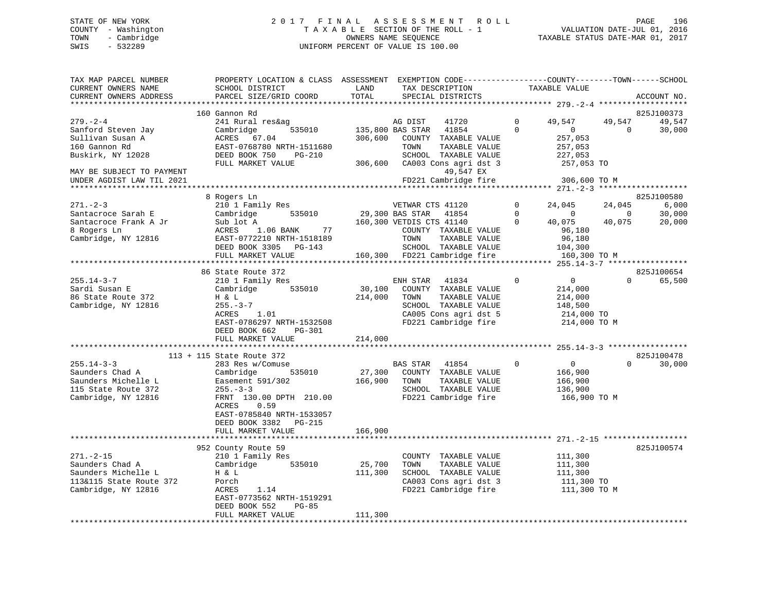# STATE OF NEW YORK 2 0 1 7 F I N A L A S S E S S M E N T R O L L PAGE 196 COUNTY - Washington T A X A B L E SECTION OF THE ROLL - 1 VALUATION DATE-JUL 01, 2016 TOWN - Cambridge OWNERS NAME SEQUENCE TAXABLE STATUS DATE-MAR 01, 2017 SWIS - 532289 UNIFORM PERCENT OF VALUE IS 100.00

| TAX MAP PARCEL NUMBER<br>CURRENT OWNERS NAME | PROPERTY LOCATION & CLASS ASSESSMENT EXEMPTION CODE---------------COUNTY-------TOWN-----SCHOOL<br>SCHOOL DISTRICT | LAND             | TAX DESCRIPTION                                                             |             | TAXABLE VALUE  |                |             |
|----------------------------------------------|-------------------------------------------------------------------------------------------------------------------|------------------|-----------------------------------------------------------------------------|-------------|----------------|----------------|-------------|
| CURRENT OWNERS ADDRESS                       | PARCEL SIZE/GRID COORD                                                                                            | TOTAL            | SPECIAL DISTRICTS                                                           |             |                |                | ACCOUNT NO. |
|                                              |                                                                                                                   |                  |                                                                             |             |                |                |             |
|                                              | 160 Gannon Rd                                                                                                     |                  |                                                                             |             |                |                | 825J100373  |
| $279. - 2 - 4$                               | 241 Rural res&ag                                                                                                  |                  | AG DIST<br>41720                                                            | $\mathbf 0$ | 49,547         | 49,547         | 49,547      |
| Sanford Steven Jay                           | 535010<br>Cambridge                                                                                               | 135,800 BAS STAR | 41854                                                                       | $\Omega$    | $\overline{0}$ | $\overline{0}$ | 30,000      |
| Sullivan Susan A                             | ACRES 67.04                                                                                                       | 306,600          | COUNTY TAXABLE VALUE                                                        |             | 257,053        |                |             |
| 160 Gannon Rd                                | EAST-0768780 NRTH-1511680                                                                                         |                  | TOWN<br>TAXABLE VALUE                                                       |             | 257,053        |                |             |
| Buskirk, NY 12028                            | DEED BOOK 750<br>PG-210                                                                                           |                  |                                                                             |             | 227,053        |                |             |
|                                              | FULL MARKET VALUE                                                                                                 |                  | TOWN TAXABLE VALUE<br>SCHOOL TAXABLE VALUE<br>306,600 CA003 Cons agri dst 3 |             | 257,053 TO     |                |             |
| MAY BE SUBJECT TO PAYMENT                    |                                                                                                                   |                  | 49,547 EX                                                                   |             |                |                |             |
| UNDER AGDIST LAW TIL 2021                    |                                                                                                                   |                  | FD221 Cambridge fire                                                        |             | 306,600 TO M   |                |             |
|                                              |                                                                                                                   |                  |                                                                             |             |                |                |             |
|                                              | 8 Rogers Ln                                                                                                       |                  |                                                                             |             |                |                | 825J100580  |
| $271. - 2 - 3$                               | 210 1 Family Res                                                                                                  |                  | VETWAR CTS 41120                                                            | $\Omega$    | 24,045         | 24,045         | 6,000       |
| Santacroce Sarah E                           | 535010<br>Cambridge                                                                                               | 29,300 BAS STAR  | 41854                                                                       | $\Omega$    | $\sim$ 0       | $\overline{0}$ | 30,000      |
| Santacroce Frank A Jr                        | Sub lot A                                                                                                         |                  | 160,300 VETDIS CTS 41140                                                    | $\Omega$    | 40,075         | 40,075         | 20,000      |
| 8 Rogers Ln                                  | 77<br>ACRES 1.06 BANK                                                                                             |                  | COUNTY TAXABLE VALUE                                                        |             | 96,180         |                |             |
| Cambridge, NY 12816                          | EAST-0772210 NRTH-1518189                                                                                         |                  | TOWN<br>TAXABLE VALUE                                                       |             | 96,180         |                |             |
|                                              | DEED BOOK 3305 PG-143                                                                                             |                  | SCHOOL TAXABLE VALUE                                                        |             | 104,300        |                |             |
|                                              | FULL MARKET VALUE                                                                                                 |                  | 160,300 FD221 Cambridge fire                                                |             | 160,300 TO M   |                |             |
|                                              |                                                                                                                   |                  |                                                                             |             |                |                |             |
|                                              | 86 State Route 372                                                                                                |                  |                                                                             |             |                |                | 825J100654  |
| $255.14 - 3 - 7$                             | 210 1 Family Res                                                                                                  |                  | ENH STAR<br>41834                                                           | $\mathbf 0$ | $\overline{0}$ | $\Omega$       | 65,500      |
| Sardi Susan E                                | Cambridge 535010                                                                                                  |                  | 30,100 COUNTY TAXABLE VALUE                                                 |             | 214,000        |                |             |
| 86 State Route 372                           | H & L                                                                                                             | 214,000          | TAXABLE VALUE<br>TOWN                                                       |             | 214,000        |                |             |
| Cambridge, NY 12816                          | $255. - 3 - 7$                                                                                                    |                  | SCHOOL TAXABLE VALUE                                                        |             | 148,500        |                |             |
|                                              | 1.01<br>ACRES                                                                                                     |                  | CA005 Cons agri dst 5                                                       |             | 214,000 TO     |                |             |
|                                              | EAST-0786297 NRTH-1532508                                                                                         |                  | FD221 Cambridge fire                                                        |             | 214,000 TO M   |                |             |
|                                              | DEED BOOK 662<br>PG-301                                                                                           |                  |                                                                             |             |                |                |             |
|                                              | FULL MARKET VALUE                                                                                                 | 214,000          |                                                                             |             |                |                |             |
|                                              |                                                                                                                   |                  |                                                                             |             |                |                |             |
|                                              | 113 + 115 State Route 372                                                                                         |                  |                                                                             |             |                |                | 825J100478  |
| $255.14 - 3 - 3$                             | 283 Res w/Comuse                                                                                                  |                  | BAS STAR 41854                                                              | $\Omega$    | $\overline{0}$ | $\Omega$       | 30,000      |
| Saunders Chad A                              | Cambridge<br>535010                                                                                               | 27,300           | COUNTY TAXABLE VALUE                                                        |             | 166,900        |                |             |
| Saunders Michelle L                          | Easement 591/302                                                                                                  | 166,900          | TOWN<br>TAXABLE VALUE                                                       |             | 166,900        |                |             |
| 115 State Route 372                          | $255. - 3 - 3$                                                                                                    |                  | SCHOOL TAXABLE VALUE                                                        |             | 136,900        |                |             |
| Cambridge, NY 12816                          | FRNT 130.00 DPTH 210.00                                                                                           |                  | FD221 Cambridge fire                                                        |             | 166,900 ТО М   |                |             |
|                                              | 0.59<br>ACRES                                                                                                     |                  |                                                                             |             |                |                |             |
|                                              | EAST-0785840 NRTH-1533057                                                                                         |                  |                                                                             |             |                |                |             |
|                                              | DEED BOOK 3382 PG-215                                                                                             |                  |                                                                             |             |                |                |             |
|                                              | FULL MARKET VALUE                                                                                                 | 166,900          |                                                                             |             |                |                |             |
|                                              |                                                                                                                   |                  |                                                                             |             |                |                |             |
|                                              | 952 County Route 59                                                                                               |                  |                                                                             |             |                |                | 825J100574  |
| $271. - 2 - 15$                              | 210 1 Family Res                                                                                                  |                  | COUNTY TAXABLE VALUE                                                        |             | 111,300        |                |             |
| Saunders Chad A                              | 535010<br>Cambridge                                                                                               | 25,700           | TOWN<br>TAXABLE VALUE                                                       |             | 111,300        |                |             |
| Saunders Michelle L                          | H & L                                                                                                             | 111,300          | SCHOOL TAXABLE VALUE                                                        |             | 111,300        |                |             |
| 113&115 State Route 372                      | Porch                                                                                                             |                  | CA003 Cons agri dst 3                                                       |             | 111,300 TO     |                |             |
| Cambridge, NY 12816                          | 1.14<br>ACRES                                                                                                     |                  | FD221 Cambridge fire                                                        |             | 111,300 TO M   |                |             |
|                                              | EAST-0773562 NRTH-1519291                                                                                         |                  |                                                                             |             |                |                |             |
|                                              | DEED BOOK 552<br>$PG-85$                                                                                          |                  |                                                                             |             |                |                |             |
|                                              | FULL MARKET VALUE                                                                                                 | 111,300          |                                                                             |             |                |                |             |
|                                              |                                                                                                                   |                  |                                                                             |             |                |                |             |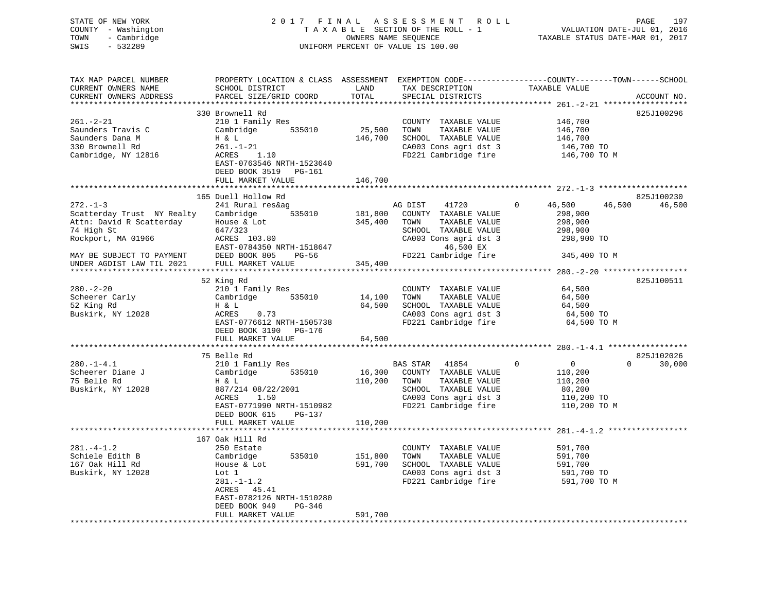| COUNTY - Washington<br>TOWN<br>- Cambridge<br>$-532289$<br>SWIS        |                                                                                                                                                    |             | UNIFORM PERCENT OF VALUE IS 100.00                        |                                                                                                                                                                                                                                                                                                                                                  |
|------------------------------------------------------------------------|----------------------------------------------------------------------------------------------------------------------------------------------------|-------------|-----------------------------------------------------------|--------------------------------------------------------------------------------------------------------------------------------------------------------------------------------------------------------------------------------------------------------------------------------------------------------------------------------------------------|
| TAX MAP PARCEL NUMBER<br>CURRENT OWNERS NAME<br>CURRENT OWNERS ADDRESS | ENGENII BUCALION WAS CHINE AND THE TAX DESCRIPTION TAXABLE VALUE<br>SCHOOL DISTRICT TO THE TAX DESCRIPTION TAXABLE VALUE<br>PARCEL SIZE/GRID COORD | TOTAL       | SPECIAL DISTRICTS                                         | PROPERTY LOCATION & CLASS ASSESSMENT EXEMPTION CODE----------------COUNTY-------TOWN------SCHOOL<br>ACCOUNT NO.                                                                                                                                                                                                                                  |
|                                                                        |                                                                                                                                                    |             |                                                           |                                                                                                                                                                                                                                                                                                                                                  |
|                                                                        | 330 Brownell Rd                                                                                                                                    |             |                                                           | 825J100296                                                                                                                                                                                                                                                                                                                                       |
| $261. -2 - 21$                                                         | 210 1 Family Res                                                                                                                                   |             | COUNTY TAXABLE VALUE                                      | 146,700<br>146,700                                                                                                                                                                                                                                                                                                                               |
| Saunders Travis C                                                      | Cambridge 535010<br>Cambridge $535010$<br>H & L<br>$261. -1-21$                                                                                    |             | 25,500 TOWN TAXABLE VALUE<br>146,700 SCHOOL TAXABLE VALUE |                                                                                                                                                                                                                                                                                                                                                  |
| Saunders Dana M<br>330 Brownell Rd                                     |                                                                                                                                                    |             |                                                           | 146,700<br>146,700 TO<br>146,700 TO M                                                                                                                                                                                                                                                                                                            |
|                                                                        |                                                                                                                                                    |             | CA003 Cons agri dst 3                                     |                                                                                                                                                                                                                                                                                                                                                  |
| Cambridge, NY 12816                                                    | ACRES 1.10                                                                                                                                         |             | FD221 Cambridge fire                                      |                                                                                                                                                                                                                                                                                                                                                  |
|                                                                        | EAST-0763546 NRTH-1523640                                                                                                                          |             |                                                           |                                                                                                                                                                                                                                                                                                                                                  |
|                                                                        | DEED BOOK 3519 PG-161                                                                                                                              |             |                                                           |                                                                                                                                                                                                                                                                                                                                                  |
|                                                                        | FULL MARKET VALUE                                                                                                                                  | 146,700     |                                                           |                                                                                                                                                                                                                                                                                                                                                  |
|                                                                        |                                                                                                                                                    |             |                                                           |                                                                                                                                                                                                                                                                                                                                                  |
|                                                                        | 165 Duell Hollow Rd                                                                                                                                |             |                                                           | 825J100230                                                                                                                                                                                                                                                                                                                                       |
| $272. - 1 - 3$                                                         | 241 Rural res&ag                                                                                                                                   |             | AG DIST 41720                                             | 46,500<br>46,500 46,500<br>$\overline{0}$                                                                                                                                                                                                                                                                                                        |
| Scatterday Trust NY Realty                                             |                                                                                                                                                    |             |                                                           | 298,900                                                                                                                                                                                                                                                                                                                                          |
| Attn: David R Scatterday                                               | House & Lot<br>647/323<br>ACRES 103.80                                                                                                             |             |                                                           | 298,900                                                                                                                                                                                                                                                                                                                                          |
| 74 High St                                                             |                                                                                                                                                    |             | SCHOOL TAXABLE VALUE                                      | 298,900<br>298,900 TO                                                                                                                                                                                                                                                                                                                            |
| Rockport, MA 01966                                                     |                                                                                                                                                    |             | CA003 Cons agri dst 3                                     |                                                                                                                                                                                                                                                                                                                                                  |
|                                                                        | EAST-0784350 NRTH-1518647                                                                                                                          |             | FD221 Cam<br>46,500 EX                                    |                                                                                                                                                                                                                                                                                                                                                  |
| MAY BE SUBJECT TO PAYMENT                                              | DEED BOOK 805 PG-56                                                                                                                                |             |                                                           | FD221 Cambridge fire 345,400 TO M                                                                                                                                                                                                                                                                                                                |
| UNDER AGDIST LAW TIL 2021                                              | FULL MARKET VALUE                                                                                                                                  | 345,400     |                                                           |                                                                                                                                                                                                                                                                                                                                                  |
|                                                                        |                                                                                                                                                    |             |                                                           |                                                                                                                                                                                                                                                                                                                                                  |
|                                                                        | 52 King Rd                                                                                                                                         |             |                                                           | 825J100511                                                                                                                                                                                                                                                                                                                                       |
| $280 - 2 - 20$                                                         | 210 1 Family Res                                                                                                                                   |             | COUNTY TAXABLE VALUE                                      | 64,500                                                                                                                                                                                                                                                                                                                                           |
| Scheerer Carly                                                         | Cambridge 535010                                                                                                                                   | 14,100 TOWN | TAXABLE VALUE                                             |                                                                                                                                                                                                                                                                                                                                                  |
| 52 King Rd                                                             | 0.73<br>Η & L                                                                                                                                      |             | 64,500 SCHOOL TAXABLE VALUE                               | 64,500<br>64,500                                                                                                                                                                                                                                                                                                                                 |
| Buskirk, NY 12028                                                      | ACRES                                                                                                                                              |             |                                                           |                                                                                                                                                                                                                                                                                                                                                  |
|                                                                        | EAST-0776612 NRTH-1505738                                                                                                                          |             |                                                           | CA003 Cons agri dst 3 64,500<br>FD221 Cambridge fire 64,500 TO FD221 Cambridge fire 64,500 TO M                                                                                                                                                                                                                                                  |
|                                                                        | DEED BOOK 3190 PG-176                                                                                                                              |             |                                                           |                                                                                                                                                                                                                                                                                                                                                  |
|                                                                        | FULL MARKET VALUE                                                                                                                                  | 64,500      |                                                           |                                                                                                                                                                                                                                                                                                                                                  |
|                                                                        |                                                                                                                                                    |             |                                                           |                                                                                                                                                                                                                                                                                                                                                  |
|                                                                        | 75 Belle Rd                                                                                                                                        |             |                                                           | 825J102026                                                                                                                                                                                                                                                                                                                                       |
| $280. -1 - 4.1$                                                        | 210 1 Family Res                                                                                                                                   |             | BAS STAR 41854                                            | $\begin{matrix} 0 & 0 & 0 \\ 0 & 0 & 0 \\ 0 & 0 & 0 \\ 0 & 0 & 0 \\ 0 & 0 & 0 \\ 0 & 0 & 0 \\ 0 & 0 & 0 \\ 0 & 0 & 0 \\ 0 & 0 & 0 & 0 \\ 0 & 0 & 0 & 0 \\ 0 & 0 & 0 & 0 \\ 0 & 0 & 0 & 0 \\ 0 & 0 & 0 & 0 & 0 \\ 0 & 0 & 0 & 0 & 0 \\ 0 & 0 & 0 & 0 & 0 \\ 0 & 0 & 0 & 0 & 0 & 0 \\ 0 & 0 & 0 & 0 & 0 & 0 \\ 0 & 0 & 0 & 0 & 0$<br>$0 \t 30,000$ |
| Scheerer Diane J                                                       | Cambridge 535010                                                                                                                                   |             | 16,300 COUNTY TAXABLE VALUE                               | 110,200                                                                                                                                                                                                                                                                                                                                          |
| 75 Belle Rd                                                            | $\begin{array}{c} \text{Cam.} \\ \text{H} & \& \ \text{L} \\ \text{207/2} \end{array}$                                                             |             |                                                           | 110,200 TOWN TAXABLE VALUE<br>SCHOOL TAXABLE VALUE<br>CA003 CONS agrid st 3 110,200 TO<br>FD221 Cambridge fire 110,200 TO M                                                                                                                                                                                                                      |
| Buskirk, NY 12028                                                      | 887/214 08/22/2001<br>ACRES 1.50                                                                                                                   |             |                                                           |                                                                                                                                                                                                                                                                                                                                                  |
|                                                                        | ACRES<br>1.50                                                                                                                                      |             |                                                           |                                                                                                                                                                                                                                                                                                                                                  |
|                                                                        | EAST-0771990 NRTH-1510982                                                                                                                          |             |                                                           |                                                                                                                                                                                                                                                                                                                                                  |
|                                                                        | DEED BOOK 615 PG-137                                                                                                                               |             |                                                           |                                                                                                                                                                                                                                                                                                                                                  |
|                                                                        | FULL MARKET VALUE                                                                                                                                  | 110,200     |                                                           |                                                                                                                                                                                                                                                                                                                                                  |
|                                                                        |                                                                                                                                                    |             |                                                           |                                                                                                                                                                                                                                                                                                                                                  |
|                                                                        | 167 Oak Hill Rd                                                                                                                                    |             |                                                           |                                                                                                                                                                                                                                                                                                                                                  |
| $281. -4 - 1.2$                                                        | 250 Estate                                                                                                                                         |             | COUNTY TAXABLE VALUE 591,700                              |                                                                                                                                                                                                                                                                                                                                                  |
| Schiele Edith B                                                        | Cambridge 535010<br>House & Lot                                                                                                                    | 151,800     | TOWN TAXABLE VALUE                                        | 591,700                                                                                                                                                                                                                                                                                                                                          |
| 167 Oak Hill Rd                                                        | House & Lot                                                                                                                                        | 591,700     | SCHOOL TAXABLE VALUE                                      | 591,700                                                                                                                                                                                                                                                                                                                                          |
| Buskirk, NY 12028                                                      | Lot 1<br>281.-1-1.2<br>ACRES 45.41<br>BLCE 145.41                                                                                                  |             |                                                           | CA003 Cons agri dst 3<br>FD221 Cambridge fire 591,700 TO FD221 Cambridge fire 591,700 TO M                                                                                                                                                                                                                                                       |
|                                                                        |                                                                                                                                                    |             |                                                           |                                                                                                                                                                                                                                                                                                                                                  |
|                                                                        |                                                                                                                                                    |             |                                                           |                                                                                                                                                                                                                                                                                                                                                  |
|                                                                        | EAST-0782126 NRTH-1510280                                                                                                                          |             |                                                           |                                                                                                                                                                                                                                                                                                                                                  |
|                                                                        | DEED BOOK 949<br>PG-346                                                                                                                            |             |                                                           |                                                                                                                                                                                                                                                                                                                                                  |
|                                                                        | FIILL MARKET VALUE                                                                                                                                 | 591 700     |                                                           |                                                                                                                                                                                                                                                                                                                                                  |

STATE OF NEW YORK 2 0 1 7 F I N A L A S S E S S M E N T R O L L PAGE 197

197

FULL MARKET VALUE 591,700 \*\*\*\*\*\*\*\*\*\*\*\*\*\*\*\*\*\*\*\*\*\*\*\*\*\*\*\*\*\*\*\*\*\*\*\*\*\*\*\*\*\*\*\*\*\*\*\*\*\*\*\*\*\*\*\*\*\*\*\*\*\*\*\*\*\*\*\*\*\*\*\*\*\*\*\*\*\*\*\*\*\*\*\*\*\*\*\*\*\*\*\*\*\*\*\*\*\*\*\*\*\*\*\*\*\*\*\*\*\*\*\*\*\*\*\*\*\*\*\*\*\*\*\*\*\*\*\*\*\*\*\*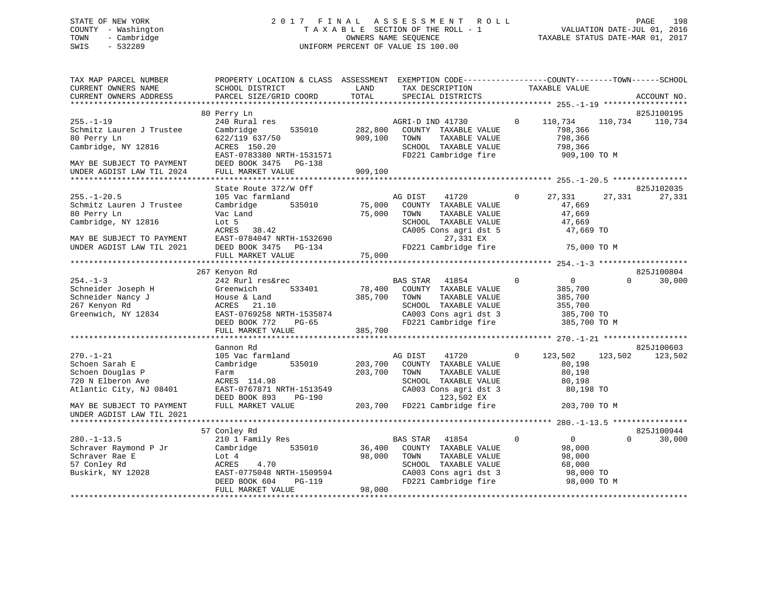# STATE OF NEW YORK 2 0 1 7 F I N A L A S S E S S M E N T R O L L PAGE 198 COUNTY - Washington T A X A B L E SECTION OF THE ROLL - 1 VALUATION DATE-JUL 01, 2016 TOWN - Cambridge OWNERS NAME SEQUENCE TAXABLE STATUS DATE-MAR 01, 2017 SWIS - 532289 UNIFORM PERCENT OF VALUE IS 100.00

| TAX MAP PARCEL NUMBER<br>CURRENT OWNERS NAME           | PROPERTY LOCATION & CLASS ASSESSMENT EXEMPTION CODE----------------COUNTY-------TOWN-----SCHOOL<br>SCHOOL DISTRICT | LAND    | TAX DESCRIPTION                               |             | TAXABLE VALUE      |          |                       |
|--------------------------------------------------------|--------------------------------------------------------------------------------------------------------------------|---------|-----------------------------------------------|-------------|--------------------|----------|-----------------------|
| CURRENT OWNERS ADDRESS                                 | PARCEL SIZE/GRID COORD                                                                                             | TOTAL   | SPECIAL DISTRICTS                             |             |                    |          | ACCOUNT NO.           |
|                                                        |                                                                                                                    |         |                                               |             |                    |          |                       |
| $255. - 1 - 19$<br>Schmitz Lauren J Trustee            | 80 Perry Ln<br>240 Rural res<br>Cambridge<br>535010                                                                | 282,800 | AGRI-D IND 41730<br>COUNTY TAXABLE VALUE      | $\Omega$    | 110,734<br>798,366 | 110,734  | 825J100195<br>110,734 |
| 80 Perry Ln<br>Cambridge, NY 12816                     | 622/119 637/50<br>ACRES 150.20                                                                                     | 909,100 | TOWN<br>TAXABLE VALUE<br>SCHOOL TAXABLE VALUE |             | 798,366<br>798,366 |          |                       |
| MAY BE SUBJECT TO PAYMENT                              | EAST-0783380 NRTH-1531571<br>DEED BOOK 3475 PG-138                                                                 |         | FD221 Cambridge fire                          |             | 909,100 ТО М       |          |                       |
| UNDER AGDIST LAW TIL 2024                              | FULL MARKET VALUE                                                                                                  | 909,100 |                                               |             |                    |          |                       |
|                                                        |                                                                                                                    |         |                                               |             |                    |          |                       |
|                                                        | State Route 372/W Off                                                                                              |         |                                               |             |                    |          | 825J102035            |
| $255. - 1 - 20.5$                                      | 105 Vac farmland                                                                                                   |         | AG DIST<br>41720                              | $\Omega$    | 27,331             | 27,331   | 27,331                |
| Schmitz Lauren J Trustee                               | 535010<br>Cambridge                                                                                                | 75,000  | COUNTY TAXABLE VALUE                          |             | 47,669             |          |                       |
| 80 Perry Ln                                            | Vac Land                                                                                                           | 75,000  | TOWN<br>TAXABLE VALUE                         |             | 47,669             |          |                       |
| Cambridge, NY 12816                                    | Lot 5                                                                                                              |         | SCHOOL TAXABLE VALUE<br>CA005 Cons agri dst 5 |             | 47,669             |          |                       |
|                                                        | ACRES<br>38.42                                                                                                     |         |                                               |             | 47,669 TO          |          |                       |
| MAY BE SUBJECT TO PAYMENT<br>UNDER AGDIST LAW TIL 2021 | EAST-0784047 NRTH-1532690<br>DEED BOOK 3475 PG-134                                                                 |         | 27,331 EX<br>FD221 Cambridge fire             |             | 75,000 TO M        |          |                       |
|                                                        | FULL MARKET VALUE                                                                                                  | 75,000  |                                               |             |                    |          |                       |
|                                                        |                                                                                                                    |         |                                               |             |                    |          |                       |
|                                                        | 267 Kenyon Rd                                                                                                      |         |                                               |             |                    |          | 825J100804            |
| $254. - 1 - 3$                                         | 242 Rurl res&rec                                                                                                   |         | <b>BAS STAR</b><br>41854                      | $\mathbf 0$ | $\overline{0}$     | $\Omega$ | 30,000                |
| Schneider Joseph H                                     | Greenwich<br>533401                                                                                                | 78,400  | COUNTY TAXABLE VALUE                          |             | 385,700            |          |                       |
| Schneider Nancy J                                      | House & Land                                                                                                       | 385,700 | TOWN<br>TAXABLE VALUE                         |             | 385,700            |          |                       |
| 267 Kenyon Rd                                          | ACRES<br>21.10                                                                                                     |         | SCHOOL TAXABLE VALUE                          |             | 355,700            |          |                       |
| Greenwich, NY 12834                                    | EAST-0769258 NRTH-1535874                                                                                          |         | CA003 Cons agri dst 3                         |             | 385,700 TO         |          |                       |
|                                                        | $PG-65$<br>DEED BOOK 772                                                                                           |         | FD221 Cambridge fire                          |             | 385,700 TO M       |          |                       |
|                                                        | FULL MARKET VALUE                                                                                                  | 385,700 |                                               |             |                    |          |                       |
|                                                        |                                                                                                                    |         |                                               |             |                    |          |                       |
|                                                        | Gannon Rd                                                                                                          |         |                                               |             |                    |          | 825J100603            |
| $270. - 1 - 21$                                        | 105 Vac farmland                                                                                                   |         | 41720<br>AG DIST                              | $\Omega$    | 123,502            | 123,502  | 123,502               |
| Schoen Sarah E                                         | Cambridge<br>535010                                                                                                | 203,700 | COUNTY TAXABLE VALUE                          |             | 80,198             |          |                       |
| Schoen Douglas P                                       | Farm                                                                                                               | 203,700 | TOWN<br>TAXABLE VALUE                         |             | 80,198             |          |                       |
| 720 N Elberon Ave                                      | ACRES 114.98                                                                                                       |         | SCHOOL TAXABLE VALUE                          |             | 80,198             |          |                       |
| Atlantic City, NJ 08401                                | EAST-0767871 NRTH-1513549                                                                                          |         | CA003 Cons agri dst 3                         |             | 80,198 TO          |          |                       |
|                                                        | DEED BOOK 893<br>PG-190                                                                                            |         | 123,502 EX                                    |             |                    |          |                       |
| MAY BE SUBJECT TO PAYMENT<br>UNDER AGDIST LAW TIL 2021 | FULL MARKET VALUE                                                                                                  |         | 203,700 FD221 Cambridge fire                  |             | 203,700 TO M       |          |                       |
|                                                        |                                                                                                                    |         |                                               |             |                    |          |                       |
|                                                        | 57 Conley Rd                                                                                                       |         |                                               |             |                    |          | 825J100944            |
| $280. - 1 - 13.5$                                      | 210 1 Family Res                                                                                                   |         | <b>BAS STAR</b><br>41854                      | $\mathbf 0$ | $\overline{0}$     | $\Omega$ | 30,000                |
| Schraver Raymond P Jr                                  | Cambridge<br>535010                                                                                                | 36,400  | COUNTY TAXABLE VALUE                          |             | 98,000             |          |                       |
| Schraver Rae E                                         | Lot 4                                                                                                              | 98,000  | TOWN<br>TAXABLE VALUE                         |             | 98,000             |          |                       |
| 57 Conley Rd                                           | 4.70<br>ACRES                                                                                                      |         | SCHOOL TAXABLE VALUE                          |             | 68,000             |          |                       |
| Buskirk, NY 12028                                      | EAST-0775048 NRTH-1509594                                                                                          |         | CA003 Cons agri dst 3                         |             | 98,000 TO          |          |                       |
|                                                        | $PG-119$<br>DEED BOOK 604                                                                                          |         | FD221 Cambridge fire                          |             | 98,000 TO M        |          |                       |
|                                                        | FULL MARKET VALUE                                                                                                  | 98,000  |                                               |             |                    |          |                       |
|                                                        |                                                                                                                    |         |                                               |             |                    |          |                       |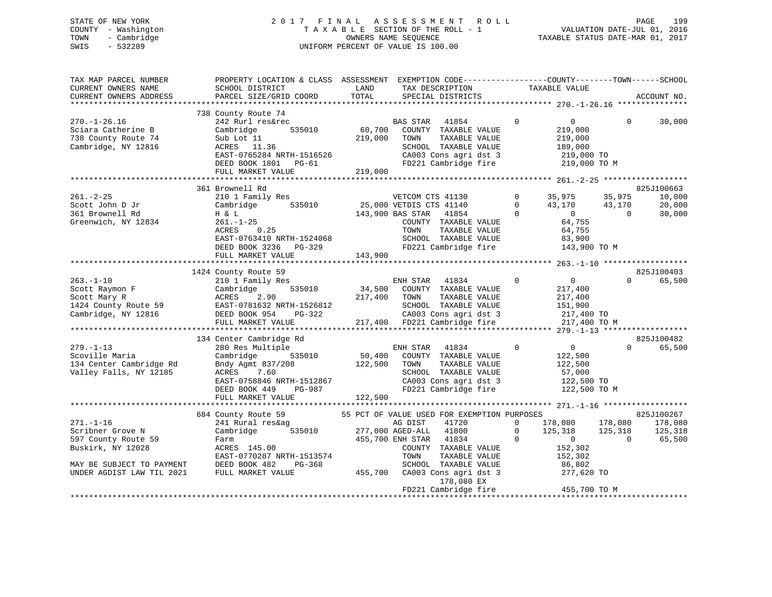# STATE OF NEW YORK 2 0 1 7 F I N A L A S S E S S M E N T R O L L PAGE 199 COUNTY - Washington T A X A B L E SECTION OF THE ROLL - 1 VALUATION DATE-JUL 01, 2016 TOWN - Cambridge OWNERS NAME SEQUENCE TAXABLE STATUS DATE-MAR 01, 2017 SWIS - 532289 UNIFORM PERCENT OF VALUE IS 100.00

| TAX MAP PARCEL NUMBER<br>CURRENT OWNERS NAME<br>CURRENT OWNERS ADDRESS                                                                    | PROPERTY LOCATION & CLASS ASSESSMENT EXEMPTION CODE----------------COUNTY-------TOWN------SCHOOL<br>SCHOOL DISTRICT<br>PARCEL SIZE/GRID COORD                                         | LAND<br>TOTAL                | TAX DESCRIPTION<br>SPECIAL DISTRICTS                                                                                                                                                                               | TAXABLE VALUE                                                                                                                                                                |                                | ACCOUNT NO.                              |
|-------------------------------------------------------------------------------------------------------------------------------------------|---------------------------------------------------------------------------------------------------------------------------------------------------------------------------------------|------------------------------|--------------------------------------------------------------------------------------------------------------------------------------------------------------------------------------------------------------------|------------------------------------------------------------------------------------------------------------------------------------------------------------------------------|--------------------------------|------------------------------------------|
|                                                                                                                                           |                                                                                                                                                                                       |                              |                                                                                                                                                                                                                    |                                                                                                                                                                              |                                |                                          |
| $270. - 1 - 26.16$<br>Sciara Catherine B<br>738 County Route 74<br>Cambridge, NY 12816                                                    | 738 County Route 74<br>242 Rurl res&rec<br>Cambridge<br>535010<br>Sub Lot 11<br>ACRES 11.36<br>EAST-0765284 NRTH-1516526<br>DEED BOOK 1801 PG-61<br>FULL MARKET VALUE                 | 60,700<br>219,000<br>219,000 | <b>BAS STAR</b><br>41854<br>COUNTY TAXABLE VALUE<br>TOWN<br>TAXABLE VALUE<br>SCHOOL TAXABLE VALUE<br>CA003 Cons agri dst 3<br>FD221 Cambridge fire                                                                 | $\Omega$<br>$\overline{0}$<br>219,000<br>219,000<br>189,000<br>219,000 TO<br>219,000 TO M                                                                                    | $\Omega$                       | 30,000                                   |
|                                                                                                                                           |                                                                                                                                                                                       |                              |                                                                                                                                                                                                                    |                                                                                                                                                                              |                                |                                          |
| $261. - 2 - 25$<br>Scott John D Jr<br>361 Brownell Rd<br>Greenwich, NY 12834                                                              | 361 Brownell Rd<br>210 1 Family Res<br>535010<br>Cambridge<br>H & L<br>$261. - 1 - 25$<br>0.25<br>ACRES<br>EAST-0763410 NRTH-1524068<br>DEED BOOK 3236<br>PG-329<br>FULL MARKET VALUE | 143,900                      | VETCOM CTS 41130<br>25,000 VETDIS CTS 41140<br>143,900 BAS STAR<br>41854<br>COUNTY TAXABLE VALUE<br>TAXABLE VALUE<br>TOWN<br>SCHOOL TAXABLE VALUE<br>FD221 Cambridge fire                                          | $\mathbf{0}$<br>35,975<br>$\mathbf 0$<br>43,170<br>$\Omega$<br>$\overline{0}$<br>64,755<br>64,755<br>83,900<br>143,900 TO M<br>*************** 263.-1-10 ******************* | 35,975<br>43,170<br>$\Omega$   | 825J100663<br>10,000<br>20,000<br>30,000 |
|                                                                                                                                           | 1424 County Route 59                                                                                                                                                                  |                              |                                                                                                                                                                                                                    |                                                                                                                                                                              |                                | 825J100403                               |
| $263. - 1 - 10$<br>Scott Raymon F<br>Scott Mary R<br>1424 County Route 59<br>Cambridge, NY 12816                                          | 210 1 Family Res<br>535010<br>Cambridge<br>ACRES<br>2.90<br>EAST-0781632 NRTH-1526812<br>DEED BOOK 954<br>PG-322<br>FULL MARKET VALUE                                                 | 34,500<br>217,400            | ENH STAR<br>41834<br>COUNTY TAXABLE VALUE<br>TAXABLE VALUE<br>TOWN<br>SCHOOL TAXABLE VALUE<br>CA003 Cons agri dst 3<br>217,400 FD221 Cambridge fire                                                                | $\overline{0}$<br>0<br>217,400<br>217,400<br>151,900<br>217,400 TO<br>217,400 TO M                                                                                           | $\Omega$                       | 65,500                                   |
|                                                                                                                                           | 134 Center Cambridge Rd                                                                                                                                                               |                              |                                                                                                                                                                                                                    |                                                                                                                                                                              |                                | 825J100482                               |
| $279. - 1 - 13$<br>Scoville Maria<br>134 Center Cambridge Rd<br>Valley Falls, NY 12185                                                    | 280 Res Multiple<br>Cambridge<br>535010<br>Bndy Agmt 837/208<br>7.60<br>ACRES<br>EAST-0758846 NRTH-1512867<br>PG-987<br>DEED BOOK 449<br>FULL MARKET VALUE                            | 50,400<br>122,500<br>122,500 | ENH STAR<br>41834<br>COUNTY TAXABLE VALUE<br>TAXABLE VALUE<br>TOWN<br>SCHOOL TAXABLE VALUE<br>CA003 Cons agri dst 3<br>FD221 Cambridge fire                                                                        | $\mathbf 0$<br>$\overline{0}$<br>122,500<br>122,500<br>57,000<br>122,500 TO<br>122,500 TO M                                                                                  | $\Omega$                       | 65,500                                   |
|                                                                                                                                           | 684 County Route 59                                                                                                                                                                   |                              | 55 PCT OF VALUE USED FOR EXEMPTION PURPOSES                                                                                                                                                                        |                                                                                                                                                                              |                                | 825J100267                               |
| $271. - 1 - 16$<br>Scribner Grove N<br>597 County Route 59<br>Buskirk, NY 12028<br>MAY BE SUBJECT TO PAYMENT<br>UNDER AGDIST LAW TIL 2021 | 241 Rural res&ag<br>Cambridge<br>535010<br>Farm<br>ACRES 145.00<br>EAST-0770287 NRTH-1513574<br>DEED BOOK 482<br>PG-368<br>FULL MARKET VALUE                                          | 455,700                      | AG DIST<br>41720<br>277,000 AGED-ALL<br>41800<br>455,700 ENH STAR<br>41834<br>COUNTY TAXABLE VALUE<br>TOWN<br>TAXABLE VALUE<br>SCHOOL TAXABLE VALUE<br>CA003 Cons agri dst 3<br>178,080 EX<br>FD221 Cambridge fire | $\Omega$<br>178,080<br>$\Omega$<br>125,318<br>$\Omega$<br>$\mathbf 0$<br>152,302<br>152,302<br>86,802<br>277,620 TO<br>455,700 TO M                                          | 178,080<br>125,318<br>$\Omega$ | 178,080<br>125,318<br>65,500             |
|                                                                                                                                           |                                                                                                                                                                                       |                              |                                                                                                                                                                                                                    |                                                                                                                                                                              |                                |                                          |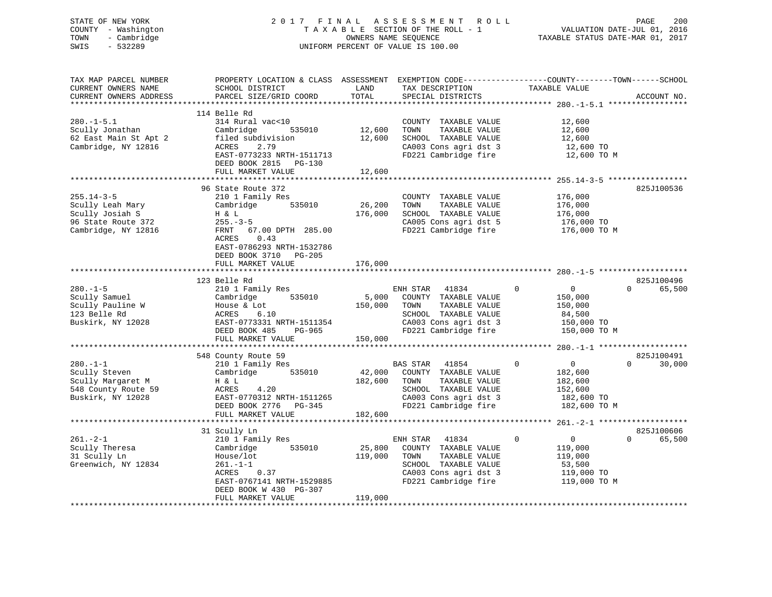| STATE OF NEW YORK<br>COUNTY - Washington<br>- Cambridge<br>TOWN<br>SWIS<br>$-532289$                     |                                                                                                                                                                  |                         | 2017 FINAL ASSESSMENT<br>R O L L<br>TAXABLE SECTION OF THE ROLL - 1<br>OWNERS NAME SEQUENCE<br>UNIFORM PERCENT OF VALUE IS 100.00                  |                                                                                              | PAGE<br>200<br>VALUATION DATE-JUL 01, 2016<br>TAXABLE STATUS DATE-MAR 01, 2017 |
|----------------------------------------------------------------------------------------------------------|------------------------------------------------------------------------------------------------------------------------------------------------------------------|-------------------------|----------------------------------------------------------------------------------------------------------------------------------------------------|----------------------------------------------------------------------------------------------|--------------------------------------------------------------------------------|
| TAX MAP PARCEL NUMBER<br>CURRENT OWNERS NAME<br>CURRENT OWNERS ADDRESS                                   | PROPERTY LOCATION & CLASS ASSESSMENT EXEMPTION CODE----------------COUNTY-------TOWN------SCHOOL<br>SCHOOL DISTRICT<br>PARCEL SIZE/GRID COORD                    | LAND<br>TOTAL           | TAX DESCRIPTION<br>SPECIAL DISTRICTS                                                                                                               | TAXABLE VALUE                                                                                | ACCOUNT NO.                                                                    |
|                                                                                                          | 114 Belle Rd                                                                                                                                                     |                         |                                                                                                                                                    |                                                                                              |                                                                                |
| $280. -1 - 5.1$<br>Scully Jonathan<br>Scully Jonathan<br>62 East Main St Apt 2<br>Cambridge, NY 12816    | 314 Rural vac<10<br>Cambridge<br>535010<br>ACRES<br>EAST-0773233 NRTH-1511713<br>DEED BOOK 2815 PG-130                                                           | COUNTY<br>12,600 TOWN   | COUNTY TAXABLE VALUE<br>TAXABLE VALUE<br>12,600 SCHOOL TAXABLE VALUE<br>CA003 Cons agri dst 3<br>FD221 Cambridge fire                              | 12,600<br>12,600<br>12,600<br>12,600 TO<br>12,600 TO M                                       |                                                                                |
|                                                                                                          | FULL MARKET VALUE                                                                                                                                                | 12,600                  |                                                                                                                                                    |                                                                                              |                                                                                |
| $255.14 - 3 - 5$<br>Scully Leah Mary<br>Scully Josiah S<br>96 State Route 372<br>Cambridge, NY 12816     | 96 State Route 372<br>210 1 Family Res<br>Cambridge 535010<br>H & L<br>$255. - 3 - 5$<br>67.00 DPTH 285.00<br>FRNT<br>0.43<br>ACRES<br>EAST-0786293 NRTH-1532786 | 26,200<br>176,000       | COUNTY TAXABLE VALUE<br>TOWN<br>TAXABLE VALUE<br>SCHOOL TAXABLE VALUE<br>CA005 Cons agri dst 5<br>FD221 Cambridge fire 176,000 TO M                | 176,000<br>176,000<br>176,000<br>176,000 TO                                                  | 825J100536                                                                     |
|                                                                                                          | DEED BOOK 3710 PG-205<br>FULL MARKET VALUE                                                                                                                       | 176,000                 |                                                                                                                                                    |                                                                                              |                                                                                |
|                                                                                                          | 123 Belle Rd                                                                                                                                                     |                         |                                                                                                                                                    |                                                                                              | 825J100496                                                                     |
| $280. - 1 - 5$<br>Scully Samuel<br>Scully Pauline W<br>123 Belle Rd<br>123 Belle Rd<br>Buskirk, NY 12028 | 210 1 Family Res<br>Cambridge 535010<br>House & Lot<br>ACRES<br>6.10<br>EAST-0773331 NRTH-1511354<br>DEED BOOK 485<br>PG-965<br>FULL MARKET VALUE                | 150,000 TOWN<br>150,000 | ENH STAR 41834<br>5,000 COUNTY TAXABLE VALUE<br>TAXABLE VALUE<br>SCHOOL TAXABLE VALUE<br>CA003 Cons agri dst 3<br>FD221 Cambridge fire             | $\Omega$<br>$\overline{0}$<br>150,000<br>150,000<br>84,500<br>150,000 TO<br>150,000 TO M     | $\Omega$ and $\Omega$<br>65,500                                                |
|                                                                                                          |                                                                                                                                                                  |                         |                                                                                                                                                    |                                                                                              |                                                                                |
| $280. -1 - 1$<br>Scully Steven<br>Scully Margaret M<br>548 County Route 59<br>Buskirk, NY 12028          | 548 County Route 59<br>210 1 Family Res<br>Cambridge 535010<br>H & L<br>4.20<br>ACRES<br>EAST-0770312 NRTH-1511265<br>DEED BOOK 2776 PG-345                      | 182,600                 | BAS STAR<br>41854<br>42,000 COUNTY TAXABLE VALUE<br>TOWN<br>TAXABLE VALUE<br>SCHOOL TAXABLE VALUE<br>CA003 Cons agri dst 3<br>FD221 Cambridge fire | $\mathbf 0$<br>$\overline{0}$<br>182,600<br>182,600<br>152,600<br>182,600 TO<br>182,600 TO M | 825J100491<br>$\Omega$<br>30,000                                               |
|                                                                                                          | FULL MARKET VALUE                                                                                                                                                | 182,600                 |                                                                                                                                                    |                                                                                              |                                                                                |
|                                                                                                          | 31 Scully Ln                                                                                                                                                     |                         |                                                                                                                                                    |                                                                                              | 825J100606                                                                     |
| $261 - 2 - 1$<br>Scully Theresa<br>31 Scully Ln<br>Greenwich, NY 12834                                   | 210 1 Family Res<br>535010<br>Cambridge<br>House/lot<br>$261. - 1 - 1$<br>ACRES<br>0.37<br>EAST-0767141 NRTH-1529885<br>DEED BOOK W 430 PG-307                   | 25,800<br>119,000       | ENH STAR<br>41834<br>COUNTY TAXABLE VALUE<br>TOWN<br>TAXABLE VALUE<br>SCHOOL TAXABLE VALUE<br>CA003 Cons agri dst 3<br>FD221 Cambridge fire        | $\Omega$<br>$\overline{0}$<br>119,000<br>119,000<br>53,500<br>119,000 TO<br>119,000 TO M     | $\Omega$<br>65,500                                                             |

FULL MARKET VALUE 119,000 \*\*\*\*\*\*\*\*\*\*\*\*\*\*\*\*\*\*\*\*\*\*\*\*\*\*\*\*\*\*\*\*\*\*\*\*\*\*\*\*\*\*\*\*\*\*\*\*\*\*\*\*\*\*\*\*\*\*\*\*\*\*\*\*\*\*\*\*\*\*\*\*\*\*\*\*\*\*\*\*\*\*\*\*\*\*\*\*\*\*\*\*\*\*\*\*\*\*\*\*\*\*\*\*\*\*\*\*\*\*\*\*\*\*\*\*\*\*\*\*\*\*\*\*\*\*\*\*\*\*\*\*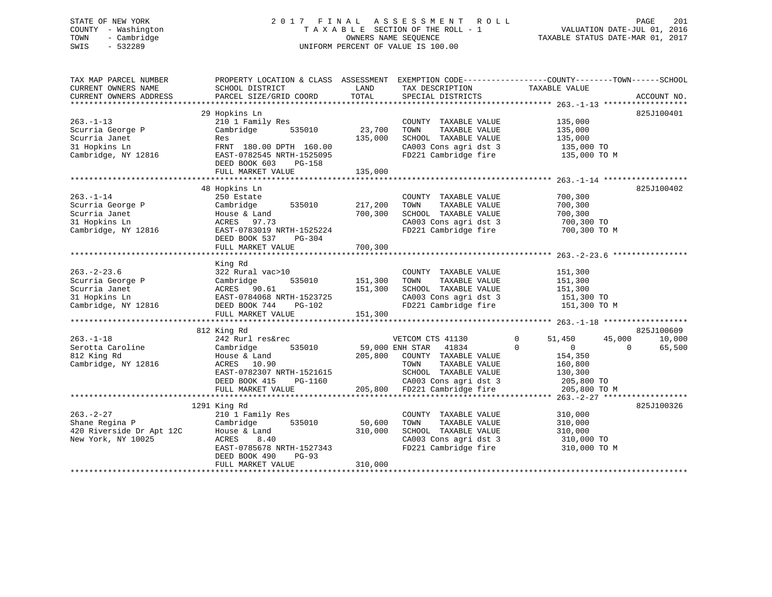# STATE OF NEW YORK 2 0 1 7 F I N A L A S S E S S M E N T R O L L PAGE 201 COUNTY - Washington T A X A B L E SECTION OF THE ROLL - 1 VALUATION DATE-JUL 01, 2016 TOWN - Cambridge OWNERS NAME SEQUENCE TAXABLE STATUS DATE-MAR 01, 2017 SWIS - 532289 UNIFORM PERCENT OF VALUE IS 100.00

| TAX MAP PARCEL NUMBER<br>CURRENT OWNERS NAME                                                   | SCHOOL DISTRICT                                                                                                                                                        | LAND                                | TAX DESCRIPTION                                                                                                                                             | PROPERTY LOCATION & CLASS ASSESSMENT EXEMPTION CODE---------------COUNTY-------TOWN-----SCHOOL<br>TAXABLE VALUE                           |                                |
|------------------------------------------------------------------------------------------------|------------------------------------------------------------------------------------------------------------------------------------------------------------------------|-------------------------------------|-------------------------------------------------------------------------------------------------------------------------------------------------------------|-------------------------------------------------------------------------------------------------------------------------------------------|--------------------------------|
| CURRENT OWNERS ADDRESS                                                                         | PARCEL SIZE/GRID COORD                                                                                                                                                 | TOTAL                               | SPECIAL DISTRICTS                                                                                                                                           |                                                                                                                                           | ACCOUNT NO.                    |
|                                                                                                | 29 Hopkins Ln                                                                                                                                                          |                                     |                                                                                                                                                             |                                                                                                                                           | 825J100401                     |
| $263. -1 - 13$<br>Scurria George P<br>Scurria Janet<br>31 Hopkins Ln                           | 210 1 Family Res<br>Cambridge<br>535010<br>Res<br>FRNT 180.00 DPTH 160.00                                                                                              | 23,700<br>135,000                   | COUNTY TAXABLE VALUE<br>TOWN<br>TAXABLE VALUE<br>SCHOOL TAXABLE VALUE                                                                                       | 135,000<br>135,000<br>135,000<br>CA003 Cons agri dst 3 135,000 TO<br>FD221 Cambridge fire 135,000 TO M                                    |                                |
| Cambridge, NY 12816                                                                            | EAST-0782545 NRTH-1525095<br>DEED BOOK 603<br><b>PG-158</b><br>FULL MARKET VALUE                                                                                       | 135,000                             |                                                                                                                                                             |                                                                                                                                           |                                |
|                                                                                                |                                                                                                                                                                        |                                     |                                                                                                                                                             |                                                                                                                                           |                                |
| $263. - 1 - 14$<br>Scurria George P<br>Scurria Janet<br>31 Hopkins Ln<br>Cambridge, NY 12816   | 48 Hopkins Ln<br>250 Estate<br>Cambridge 535010<br>House & Land<br>ACRES 97.73<br>EAST-0783019 NRTH-1525224<br>DEED BOOK 537<br>PG-304                                 | 217,200<br>700,300                  | COUNTY TAXABLE VALUE<br>TAXABLE VALUE<br>TOWN<br>SCHOOL TAXABLE VALUE<br>CA003 Cons agri dst 3<br>FD221 Cambridge fire                                      | 700,300<br>700,300<br>700,300<br>700,300 TO<br>700,300 TO M                                                                               | 825J100402                     |
|                                                                                                | FULL MARKET VALUE                                                                                                                                                      | 700,300                             |                                                                                                                                                             |                                                                                                                                           |                                |
|                                                                                                |                                                                                                                                                                        |                                     |                                                                                                                                                             |                                                                                                                                           |                                |
| $263. - 2 - 23.6$<br>Scurria George P<br>Scurria Janet<br>31 Hopkins Ln<br>Cambridge, NY 12816 | King Rd<br>322 Rural vac>10<br>Cambridge<br>535010<br>ACRES 90.61<br>EAST-0784068 NRTH-1523725<br>DEED BOOK 744 PG-102<br>FULL MARKET VALUE                            | 151,300<br>151,300<br>25<br>151,300 | COUNTY TAXABLE VALUE<br>TAXABLE VALUE<br>TOWN<br>SCHOOL TAXABLE VALUE                                                                                       | 151,300<br>151,300<br>151,300<br>CA003 Cons agri dst 3 151,300 TO<br>FD221 Cambridge fire 151,300 TO M                                    |                                |
|                                                                                                |                                                                                                                                                                        |                                     |                                                                                                                                                             |                                                                                                                                           |                                |
| $263. -1 - 18$<br>Serotta Caroline<br>812 King Rd<br>Cambridge, NY 12816                       | 812 King Rd<br>242 Rurl res&rec<br>535010<br>Cambridge<br>House & Land<br>ACRES 10.90<br>EAST-0782307 NRTH-1521615<br>PG-1160<br>DEED BOOK 415<br>FULL MARKET VALUE    | 59,000 ENH STAR<br>205,800          | VETCOM CTS 41130<br>41834<br>COUNTY TAXABLE VALUE<br>TAXABLE VALUE<br>TOWN<br>SCHOOL TAXABLE VALUE<br>CA003 Cons agri dst 3<br>205,800 FD221 Cambridge fire | $\mathbf{0}$<br>51,450<br>45,000<br>$\Omega$<br>$\Omega$<br>$\overline{0}$<br>154,350<br>160,800<br>130,300<br>205,800 TO<br>205,800 TO M | 825J100609<br>10,000<br>65,500 |
|                                                                                                |                                                                                                                                                                        |                                     |                                                                                                                                                             |                                                                                                                                           |                                |
| $263. - 2 - 27$<br>Shane Regina P<br>420 Riverside Dr Apt 12C<br>New York, NY 10025            | 1291 King Rd<br>210 1 Family Res<br>535010<br>Cambridge<br>House & Land<br>8.40<br>ACRES<br>EAST-0785678 NRTH-1527343<br>DEED BOOK 490<br>$PG-93$<br>FULL MARKET VALUE | 50,600<br>310,000<br>310,000        | COUNTY TAXABLE VALUE<br>TOWN<br>TAXABLE VALUE<br>SCHOOL TAXABLE VALUE<br>CA003 Cons agri dst 3<br>FD221 Cambridge fire                                      | 310,000<br>310,000<br>310,000<br>310,000 TO<br>310,000 TO M                                                                               | 825J100326                     |
|                                                                                                |                                                                                                                                                                        |                                     |                                                                                                                                                             |                                                                                                                                           |                                |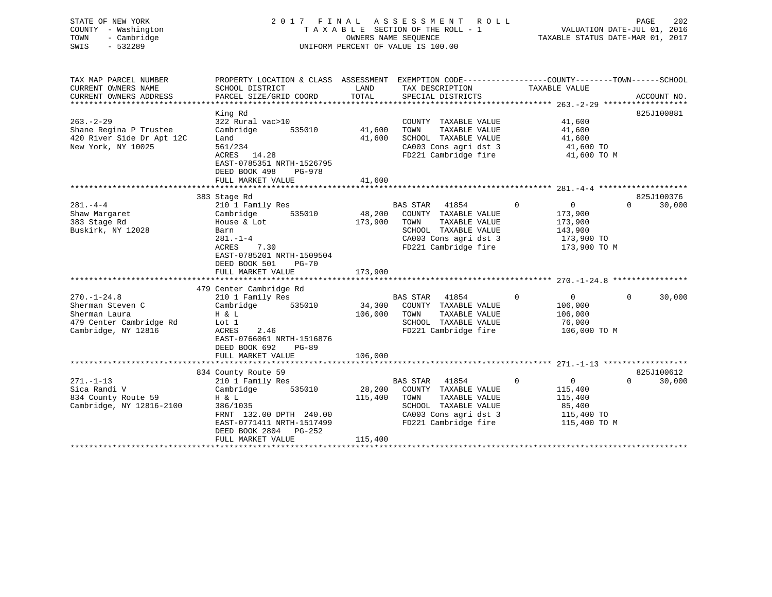| STATE OF NEW YORK<br>COUNTY - Washington<br>- Cambridge<br>TOWN<br>$-532289$<br>SWIS | 2017 FINAL ASSESSMENT<br>TAXABLE SECTION OF THE ROLL - 1<br>UNIFORM PERCENT OF VALUE IS 100.00   | ROLL          | VALUATION DATE-JUL 01, 2016<br>TAXABLE STATUS DATE-MAR 01, 2017 | PAGE        | 202                      |          |             |
|--------------------------------------------------------------------------------------|--------------------------------------------------------------------------------------------------|---------------|-----------------------------------------------------------------|-------------|--------------------------|----------|-------------|
| TAX MAP PARCEL NUMBER                                                                | PROPERTY LOCATION & CLASS ASSESSMENT EXEMPTION CODE----------------COUNTY-------TOWN------SCHOOL |               |                                                                 |             |                          |          |             |
| CURRENT OWNERS NAME<br>CURRENT OWNERS ADDRESS                                        | SCHOOL DISTRICT<br>PARCEL SIZE/GRID COORD                                                        | LAND<br>TOTAL | TAX DESCRIPTION<br>SPECIAL DISTRICTS                            |             | TAXABLE VALUE            |          | ACCOUNT NO. |
| **********************                                                               |                                                                                                  |               |                                                                 |             |                          |          |             |
|                                                                                      | King Rd                                                                                          |               |                                                                 |             |                          |          | 825J100881  |
| $263. - 2 - 29$                                                                      | 322 Rural vac>10                                                                                 |               | COUNTY TAXABLE VALUE                                            |             | 41,600                   |          |             |
| Shane Regina P Trustee                                                               | Cambridge<br>535010                                                                              | 41,600        | TAXABLE VALUE<br>TOWN                                           |             | 41,600                   |          |             |
| 420 River Side Dr Apt 12C                                                            | Land                                                                                             | 41,600        | SCHOOL TAXABLE VALUE                                            |             | 41,600                   |          |             |
| New York, NY 10025                                                                   | 561/234<br>ACRES 14.28                                                                           |               | CA003 Cons agri dst 3<br>FD221 Cambridge fire                   |             | 41,600 TO<br>41,600 TO M |          |             |
|                                                                                      | EAST-0785351 NRTH-1526795<br>DEED BOOK 498<br>PG-978<br>FULL MARKET VALUE                        | 41,600        |                                                                 |             |                          |          |             |
|                                                                                      |                                                                                                  |               |                                                                 |             |                          |          |             |
|                                                                                      | 383 Stage Rd                                                                                     |               |                                                                 |             |                          |          | 825J100376  |
| $281. -4 -4$                                                                         | 210 1 Family Res                                                                                 |               | BAS STAR 41854                                                  | $\mathbf 0$ | $\overline{0}$           | $\Omega$ | 30,000      |
| Shaw Margaret                                                                        | 535010<br>Cambridge                                                                              | 48,200        | COUNTY TAXABLE VALUE                                            |             | 173,900                  |          |             |
| 383 Stage Rd                                                                         | House & Lot                                                                                      | 173,900       | TAXABLE VALUE<br>TOWN                                           |             | 173,900                  |          |             |
| Buskirk, NY 12028                                                                    | Barn                                                                                             |               | SCHOOL TAXABLE VALUE                                            |             | 143,900                  |          |             |
|                                                                                      | $281. - 1 - 4$                                                                                   |               | CA003 Cons agri dst 3                                           |             | 173,900 TO               |          |             |
|                                                                                      | ACRES<br>7.30                                                                                    |               | FD221 Cambridge fire                                            |             | 173,900 TO M             |          |             |
|                                                                                      | EAST-0785201 NRTH-1509504                                                                        |               |                                                                 |             |                          |          |             |
|                                                                                      | DEED BOOK 501<br>$PG-70$                                                                         |               |                                                                 |             |                          |          |             |
|                                                                                      | FULL MARKET VALUE                                                                                | 173,900       |                                                                 |             |                          |          |             |
|                                                                                      | 479 Center Cambridge Rd                                                                          |               |                                                                 |             |                          |          |             |
| $270. - 1 - 24.8$                                                                    | 210 1 Family Res                                                                                 |               | BAS STAR<br>41854                                               | $\mathbf 0$ | $\overline{0}$           | $\Omega$ | 30,000      |
| Sherman Steven C                                                                     | Cambridge 535010                                                                                 | 34,300        | COUNTY TAXABLE VALUE                                            |             | 106,000                  |          |             |
| Sherman Laura                                                                        | H & L                                                                                            | 106,000       | TAXABLE VALUE<br>TOWN                                           |             | 106,000                  |          |             |
| 479 Center Cambridge Rd                                                              | Lot 1                                                                                            |               | SCHOOL TAXABLE VALUE                                            |             | 76,000                   |          |             |
| Cambridge, NY 12816                                                                  | ACRES<br>2.46                                                                                    |               | FD221 Cambridge fire                                            |             | 106,000 TO M             |          |             |
|                                                                                      | EAST-0766061 NRTH-1516876                                                                        |               |                                                                 |             |                          |          |             |
|                                                                                      | DEED BOOK 692<br>$PG-89$                                                                         |               |                                                                 |             |                          |          |             |
|                                                                                      | FULL MARKET VALUE                                                                                | 106,000       |                                                                 |             |                          |          |             |
|                                                                                      |                                                                                                  |               |                                                                 |             |                          |          |             |
|                                                                                      | 834 County Route 59                                                                              |               |                                                                 |             |                          |          | 825J100612  |
| $271. - 1 - 13$                                                                      | 210 1 Family Res                                                                                 |               | BAS STAR 41854                                                  | $\Omega$    | $\overline{0}$           | $\Omega$ | 30,000      |
| Sica Randi V                                                                         | Cambridge<br>535010                                                                              | 28,200        | COUNTY TAXABLE VALUE                                            |             | 115,400                  |          |             |
| 834 County Route 59                                                                  | H & L                                                                                            | 115,400       | TOWN<br>TAXABLE VALUE                                           |             | 115,400                  |          |             |
| Cambridge, NY 12816-2100                                                             | 386/1035                                                                                         |               | SCHOOL TAXABLE VALUE                                            |             | 85,400                   |          |             |
|                                                                                      | FRNT 132.00 DPTH 240.00                                                                          |               | CA003 Cons agri dst 3                                           |             | 115,400 TO               |          |             |
|                                                                                      | EAST-0771411 NRTH-1517499<br>DEED BOOK 2804<br>$PG-252$                                          |               | FD221 Cambridge fire                                            |             | 115,400 TO M             |          |             |
|                                                                                      | FULL MARKET VALUE                                                                                | 115,400       |                                                                 |             |                          |          |             |
|                                                                                      |                                                                                                  |               |                                                                 |             |                          |          |             |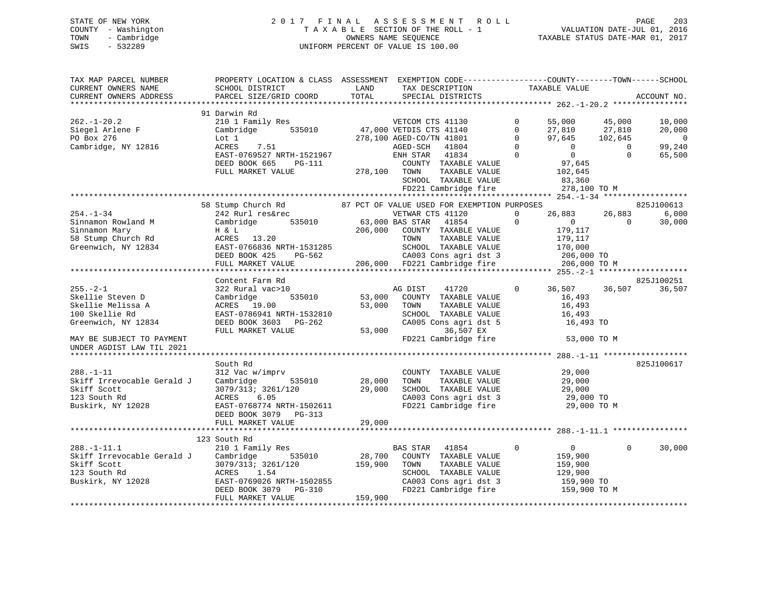STATE OF NEW YORK 2 0 1 7 F I N A L A S S E S S M E N T R O L L PAGE 203 COUNTY - Washington T A X A B L E SECTION OF THE ROLL - 1 VALUATION DATE-JUL 01, 2016 TOWN - Cambridge OWNERS NAME SEQUENCE TAXABLE STATUS DATE-MAR 01, 2017 SWIS - 532289 UNIFORM PERCENT OF VALUE IS 100.00

| TAX MAP PARCEL NUMBER                                                                                                                                                                                                                                            | PROPERTY LOCATION & CLASS ASSESSMENT EXEMPTION CODE---------------COUNTY-------TOWN------SCHOOL                                                            |              |                                                                                      |                                             |                |             |
|------------------------------------------------------------------------------------------------------------------------------------------------------------------------------------------------------------------------------------------------------------------|------------------------------------------------------------------------------------------------------------------------------------------------------------|--------------|--------------------------------------------------------------------------------------|---------------------------------------------|----------------|-------------|
| CURRENT OWNERS NAME                                                                                                                                                                                                                                              | SCHOOL DISTRICT                                                                                                                                            | LAND         | TAX DESCRIPTION                                                                      | TAXABLE VALUE                               |                |             |
| CURRENT OWNERS ADDRESS                                                                                                                                                                                                                                           | PARCEL SIZE/GRID COORD                                                                                                                                     | TOTAL        | SPECIAL DISTRICTS                                                                    |                                             |                | ACCOUNT NO. |
|                                                                                                                                                                                                                                                                  |                                                                                                                                                            |              |                                                                                      |                                             |                |             |
|                                                                                                                                                                                                                                                                  | 91 Darwin Rd                                                                                                                                               |              |                                                                                      |                                             |                |             |
| $262. - 1 - 20.2$                                                                                                                                                                                                                                                | 210 1 Family Res                                                                                                                                           |              | VETCOM CTS 41130                                                                     | $0 \qquad \qquad$<br>55,000                 | 45,000         | 10,000      |
|                                                                                                                                                                                                                                                                  |                                                                                                                                                            |              |                                                                                      |                                             |                | 20,000      |
| Siegel Arlene F<br>PO Box 276                                                                                                                                                                                                                                    |                                                                                                                                                            |              |                                                                                      |                                             |                | $\sim$ 0    |
|                                                                                                                                                                                                                                                                  |                                                                                                                                                            |              |                                                                                      |                                             |                |             |
| Cambridge, NY 12816                                                                                                                                                                                                                                              |                                                                                                                                                            |              |                                                                                      |                                             |                | 99,240      |
|                                                                                                                                                                                                                                                                  |                                                                                                                                                            |              |                                                                                      |                                             |                | 65,500      |
|                                                                                                                                                                                                                                                                  |                                                                                                                                                            |              |                                                                                      |                                             |                |             |
|                                                                                                                                                                                                                                                                  | FULL MARKET VALUE                                                                                                                                          | 278,100 TOWN | TAXABLE VALUE                                                                        | 102,645                                     |                |             |
|                                                                                                                                                                                                                                                                  |                                                                                                                                                            |              | SCHOOL TAXABLE VALUE                                                                 | 83,360                                      |                |             |
|                                                                                                                                                                                                                                                                  |                                                                                                                                                            |              | FD221 Cambridge fire                                                                 | 278,100 TO M                                |                |             |
|                                                                                                                                                                                                                                                                  |                                                                                                                                                            |              |                                                                                      |                                             |                |             |
|                                                                                                                                                                                                                                                                  | 58 Stump Church Rd                                                                                                                                         |              | 87 PCT OF VALUE USED FOR EXEMPTION PURPOSES                                          |                                             |                | 825J100613  |
| $254. - 1 - 34$                                                                                                                                                                                                                                                  | 242 Rurl res&rec                                                                                                                                           |              | VETWAR CTS 41120                                                                     | 26,883<br>$\overline{0}$                    | 26,883         | 6,000       |
| 254.-1-34<br>Sinnamon Rowland M<br>Sinnamon Mary<br>58 Stump Church Rd<br>58 Stump Church Rd<br>65 Stump Church Rd<br>67 ACRES<br>206,000<br>58 Stump Church Rd<br>87 ACRES<br>206,000<br>206,000<br>206,000<br>206,000<br>206,000<br>206,000<br>206,000<br>206, |                                                                                                                                                            |              | 538110 63,000 BAS STAR 41854 0<br>535010 63,000 COUNTY TAXABLE VALUE                 | $\begin{array}{c} 0 \\ 179,117 \end{array}$ | $\overline{0}$ | 30,000      |
|                                                                                                                                                                                                                                                                  |                                                                                                                                                            |              |                                                                                      |                                             |                |             |
|                                                                                                                                                                                                                                                                  |                                                                                                                                                            |              |                                                                                      |                                             |                |             |
|                                                                                                                                                                                                                                                                  |                                                                                                                                                            |              |                                                                                      |                                             |                |             |
|                                                                                                                                                                                                                                                                  |                                                                                                                                                            |              | TOWN TAXABLE VALUE<br>SCHOOL TAXABLE VALUE 170,000<br>Act 3 206,000 TO<br>206,000 TO |                                             |                |             |
|                                                                                                                                                                                                                                                                  |                                                                                                                                                            |              | 562 CA003 Cons agri dst 3<br>206,000 FD221 Cambridge fire                            |                                             |                |             |
|                                                                                                                                                                                                                                                                  | FULL MARKET VALUE                                                                                                                                          |              |                                                                                      | 206,000 TO M                                |                |             |
|                                                                                                                                                                                                                                                                  |                                                                                                                                                            |              |                                                                                      |                                             |                |             |
|                                                                                                                                                                                                                                                                  | Content Farm Rd                                                                                                                                            |              |                                                                                      |                                             |                | 825J100251  |
| $255. - 2 - 1$                                                                                                                                                                                                                                                   | 322 Rural vac>10                                                                                                                                           |              | AG DIST 41720                                                                        | 0 36,507 36,507                             |                | 36,507      |
| Skellie Steven D                                                                                                                                                                                                                                                 | Cambridge                                                                                                                                                  |              | 535010 53,000 COUNTY TAXABLE VALUE                                                   | 16,493                                      |                |             |
| Skellie Melissa A                                                                                                                                                                                                                                                | ACRES 19.00                                                                                                                                                |              | 53,000 TOWN<br>TAXABLE VALUE                                                         | 16,493                                      |                |             |
| 100 Skellie Rd                                                                                                                                                                                                                                                   | EAST-0786941 NRTH-1532810                                                                                                                                  |              | SCHOOL TAXABLE VALUE                                                                 | 16,493                                      |                |             |
| Greenwich, NY 12834                                                                                                                                                                                                                                              |                                                                                                                                                            |              | SCHOOL TAXABLE VALUE 16,493<br>CA005 Cons agri dst 5 16,493 TO                       |                                             |                |             |
|                                                                                                                                                                                                                                                                  |                                                                                                                                                            |              | 53,000<br>36,507 EX                                                                  |                                             |                |             |
| MAY BE SUBJECT TO PAYMENT                                                                                                                                                                                                                                        |                                                                                                                                                            |              | FD221 Cambridge fire 53,000 TO M                                                     |                                             |                |             |
| UNDER AGDIST LAW TIL 2021                                                                                                                                                                                                                                        |                                                                                                                                                            |              |                                                                                      |                                             |                |             |
|                                                                                                                                                                                                                                                                  |                                                                                                                                                            |              |                                                                                      |                                             |                |             |
|                                                                                                                                                                                                                                                                  | South Rd                                                                                                                                                   |              |                                                                                      |                                             |                | 825J100617  |
| $288. - 1 - 11$                                                                                                                                                                                                                                                  | 312 Vac w/imprv                                                                                                                                            |              | COUNTY TAXABLE VALUE                                                                 | 29,000                                      |                |             |
|                                                                                                                                                                                                                                                                  |                                                                                                                                                            |              |                                                                                      |                                             |                |             |
| Skiff Irrevocable Gerald J Cambridge 535010 28,000                                                                                                                                                                                                               |                                                                                                                                                            |              | TOWN<br>TAXABLE VALUE                                                                | 29,000                                      |                |             |
| Skiff Scott                                                                                                                                                                                                                                                      |                                                                                                                                                            | 29,000       | SCHOOL TAXABLE VALUE                                                                 | 29,000                                      |                |             |
| 123 South Rd                                                                                                                                                                                                                                                     | 3079/313; 3261/120 29,000<br>ACRES 6.05<br>D28 EAST-0768774 NRTH-1502611                                                                                   |              | CA003 Cons agri dst 3                                                                | 29,000 TO                                   |                |             |
| Buskirk, NY 12028                                                                                                                                                                                                                                                |                                                                                                                                                            |              | FD221 Cambridge fire                                                                 | 29,000 TO M                                 |                |             |
|                                                                                                                                                                                                                                                                  | DEED BOOK 3079 PG-313                                                                                                                                      |              |                                                                                      |                                             |                |             |
|                                                                                                                                                                                                                                                                  | FULL MARKET VALUE                                                                                                                                          | 29,000       |                                                                                      |                                             |                |             |
|                                                                                                                                                                                                                                                                  |                                                                                                                                                            |              |                                                                                      |                                             |                |             |
|                                                                                                                                                                                                                                                                  | 123 South Rd                                                                                                                                               |              |                                                                                      |                                             |                |             |
| $288. - 1 - 11.1$                                                                                                                                                                                                                                                | 210 1 Family Res                                                                                                                                           |              | BAS STAR 41854                                                                       | $\overline{0}$<br>$\overline{0}$            | $\Omega$       | 30,000      |
| Skiff Irrevocable Gerald J Cambridge 535010                                                                                                                                                                                                                      |                                                                                                                                                            |              | 28,700 COUNTY TAXABLE VALUE                                                          | 159,900                                     |                |             |
| Skiff Scott                                                                                                                                                                                                                                                      |                                                                                                                                                            | 159,900 TOWN | TAXABLE VALUE                                                                        | 159,900                                     |                |             |
| 123 South Rd                                                                                                                                                                                                                                                     |                                                                                                                                                            |              | SCHOOL TAXABLE VALUE                                                                 | 129,900                                     |                |             |
| Buskirk, NY 12028                                                                                                                                                                                                                                                |                                                                                                                                                            |              |                                                                                      |                                             |                |             |
|                                                                                                                                                                                                                                                                  |                                                                                                                                                            |              | CA003 Cons agri dst 3 159,900 TO<br>FD221 Cambridge fire 159,900 TO M                |                                             |                |             |
|                                                                                                                                                                                                                                                                  | Able Gerald J Cambridge<br>3079/313; 3261/120 159,900<br>ACRES 1.54<br>2028 EAST-0769026 NRTH-1502855<br>DEED BOOK 3079 PG-310<br>THE MARKET VALUE 159,900 |              |                                                                                      |                                             |                |             |
|                                                                                                                                                                                                                                                                  |                                                                                                                                                            |              |                                                                                      |                                             |                |             |
|                                                                                                                                                                                                                                                                  |                                                                                                                                                            |              |                                                                                      |                                             |                |             |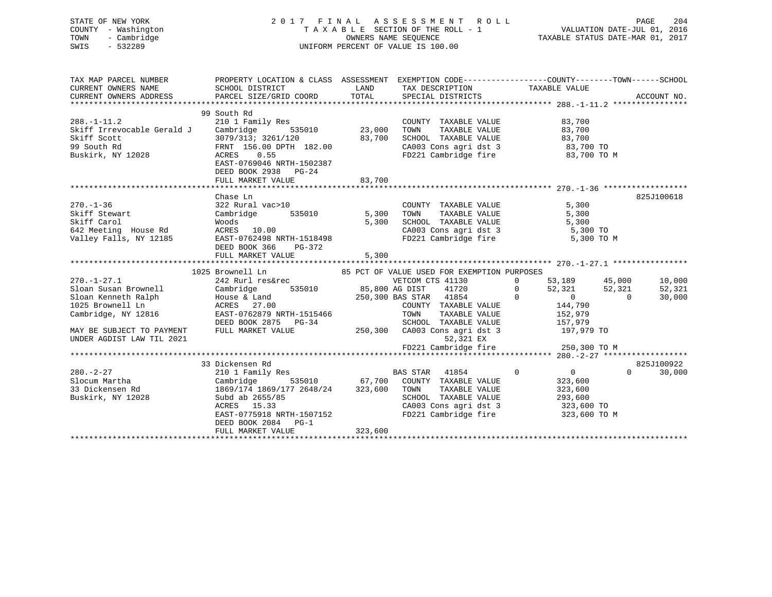| STATE OF NEW YORK<br>COUNTY - Washington<br>- Cambridge<br>TOWN<br>$-532289$<br>SWIS                                                                                  | 2017 FINAL ASSESSMENT ROLL<br>PAGE 204 ו-PAGE 204 באורים ו-PAGE 204<br>TAXABLE SECTION OF THE ROLL - 1<br>OWNERS NAME SEQUENCE<br>UNIFORM PERCENT OF VALUE IS 100.00                                                              |                       |                                                                                                                                                                                                                |                | PAGE<br>204<br>TAXABLE STATUS DATE-MAR 01, 2017                                                      |  |                                               |
|-----------------------------------------------------------------------------------------------------------------------------------------------------------------------|-----------------------------------------------------------------------------------------------------------------------------------------------------------------------------------------------------------------------------------|-----------------------|----------------------------------------------------------------------------------------------------------------------------------------------------------------------------------------------------------------|----------------|------------------------------------------------------------------------------------------------------|--|-----------------------------------------------|
| TAX MAP PARCEL NUMBER<br>CURRENT OWNERS NAME<br>CURRENT OWNERS ADDRESS                                                                                                | PROPERTY LOCATION & CLASS ASSESSMENT EXEMPTION CODE----------------COUNTY-------TOWN------SCHOOL<br>SCHOOL DISTRICT<br>PARCEL SIZE/GRID COORD                                                                                     | TOTAL                 | LAND TAX DESCRIPTION TAXABLE VALUE<br>SPECIAL DISTRICTS                                                                                                                                                        |                |                                                                                                      |  | ACCOUNT NO.                                   |
| $288. - 1 - 11.2$<br>Skiff Irrevocable Gerald J<br>Skiff Scott<br>99 South Rd<br>Buskirk, NY 12028                                                                    | 99 South Rd<br>210 1 Family Res<br>535010<br>Cambridge<br>3079/313; 3261/120<br>FRNT 156.00 DPTH 182.00<br>ACRES 0.55<br>EAST-0769046 NRTH-1502387<br>DEED BOOK 2938 PG-24<br>FULL MARKET VALUE                                   | 23,000 TOWN<br>83,700 | COUNTY TAXABLE VALUE<br>TAXABLE VALUE<br>83,700 SCHOOL TAXABLE VALUE<br>CA003 Cons agri dst 3 83,700 TO<br>FD221 Cambridge fire 83,700 TO M                                                                    |                | 83,700<br>83,700<br>83,700                                                                           |  |                                               |
| $270. - 1 - 36$<br>Skiff Stewart<br>Skiff Carol<br>642 Meeting House Rd<br>Valley Falls, NY 12185                                                                     | Chase Ln<br>322 Rural vac>10<br>Cambridge<br>EAST-0762498 NRTH-1518498<br>DEED BOOK 366 PG-372<br>FULL MARKET VALUE                                                                                                               | 5,300                 | COUNTY TAXABLE VALUE<br>TAXABLE VALUE<br>5,300 SCHOOL TAXABLE VALUE<br>CA003 Cons agri dst 3<br>CA003 Cons agri dst 3 5,300 TO<br>FD221 Cambridge fire                                                         |                | 5,300<br>5,300<br>5,300<br>5,300 TO M                                                                |  | 825J100618                                    |
| $270. - 1 - 27.1$<br>Sloan Susan Brownell<br>Sloan Kenneth Ralph<br>1025 Brownell Ln<br>Cambridge, NY 12816<br>MAY BE SUBJECT TO PAYMENT<br>UNDER AGDIST LAW TIL 2021 | 1025 Brownell Ln<br>242 Rurl res&rec<br>Cambridge 535010 85,800 AG DIST 41720 0<br>House & Land 250,300 BAS STAR 41854 0<br>House & Land<br>ACRES 27.00<br>EAST-0762879 NRTH-1515466<br>DEED BOOK 2875 PG-34<br>FULL MARKET VALUE |                       | 85 PCT OF VALUE USED FOR EXEMPTION PURPOSES<br>VETCOM CTS 41130<br>COUNTY TAXABLE VALUE<br>TOWN<br>TAXABLE VALUE<br>SCHOOL TAXABLE VALUE<br>250,300 CA003 Cons agri dst 3<br>52,321 EX<br>FD221 Cambridge fire | $\overline{0}$ | 53,189 45,000<br>52,321 52,321<br>0 0<br>144,790<br>152,979<br>157,979<br>197,979 TO<br>250,300 TO M |  | 10,000<br>52,321<br>30,000                    |
| $280. - 2 - 27$<br>Slocum Martha<br>33 Dickensen Rd<br>Buskirk, NY 12028                                                                                              | 33 Dickensen Rd<br>210 1 Family Res<br>Cambridge<br>1869/174 1869/177 2648/24 323,600 TOWN TAXABLE VALUE<br>Subd ab 2655/85<br>ACRES 15.33<br>EAST-0775918 NRTH-1507152<br>DEED BOOK 2084 PG-1<br>FULL MARKET VALUE               | 323,600               | BAS STAR 41854<br>$535010$ 67,700 COUNTY TAXABLE VALUE<br>SCHOOL TAXABLE VALUE<br>CA003 Cons agri dst 3<br>FD221 Cambridge fire 323,600 TO M                                                                   | $\overline{0}$ | $\overline{0}$<br>323,600<br>323,600<br>293,600<br>323,600 TO                                        |  | 825J100922<br>30,000<br>$\Omega$ and $\Omega$ |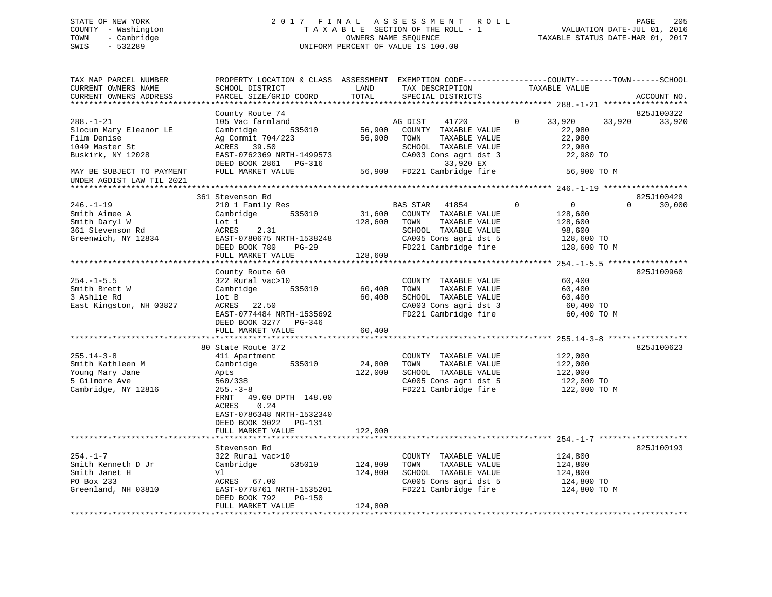# STATE OF NEW YORK 2 0 1 7 F I N A L A S S E S S M E N T R O L L PAGE 205 COUNTY - Washington T A X A B L E SECTION OF THE ROLL - 1 VALUATION DATE-JUL 01, 2016 TOWN - Cambridge OWNERS NAME SEQUENCE TAXABLE STATUS DATE-MAR 01, 2017 SWIS - 532289 UNIFORM PERCENT OF VALUE IS 100.00

| TAX MAP PARCEL NUMBER<br>CURRENT OWNERS NAME<br>CURRENT OWNERS ADDRESS                                                       | SCHOOL DISTRICT<br>PARCEL SIZE/GRID COORD                                                                                                                                                              | LAND<br>TOTAL                 | TAX DESCRIPTION<br>SPECIAL DISTRICTS                                                                                                                    | PROPERTY LOCATION & CLASS ASSESSMENT EXEMPTION CODE----------------COUNTY-------TOWN------SCHOOL<br>TAXABLE VALUE | ACCOUNT NO.          |
|------------------------------------------------------------------------------------------------------------------------------|--------------------------------------------------------------------------------------------------------------------------------------------------------------------------------------------------------|-------------------------------|---------------------------------------------------------------------------------------------------------------------------------------------------------|-------------------------------------------------------------------------------------------------------------------|----------------------|
| ***********************                                                                                                      |                                                                                                                                                                                                        |                               |                                                                                                                                                         |                                                                                                                   |                      |
| $288. - 1 - 21$<br>Slocum Mary Eleanor LE<br>Film Denise<br>1049 Master St<br>Buskirk, NY 12028<br>MAY BE SUBJECT TO PAYMENT | County Route 74<br>105 Vac farmland<br>Cambridge<br>535010<br>Ag Commit 704/223<br>ACRES 39.50<br>EAST-0762369 NRTH-1499573<br>DEED BOOK 2861 PG-316<br>FULL MARKET VALUE                              | 56,900<br>56,900<br>56,900    | AG DIST<br>41720<br>COUNTY TAXABLE VALUE<br>TOWN<br>TAXABLE VALUE<br>SCHOOL TAXABLE VALUE<br>CA003 Cons agri dst 3<br>33,920 EX<br>FD221 Cambridge fire | $\mathbf 0$<br>33,920<br>33,920<br>22,980<br>22,980<br>22,980<br>22,980 TO<br>56,900 TO M                         | 825J100322<br>33,920 |
| UNDER AGDIST LAW TIL 2021<br>*******************                                                                             |                                                                                                                                                                                                        |                               |                                                                                                                                                         |                                                                                                                   |                      |
| $246. - 1 - 19$<br>Smith Aimee A<br>Smith Daryl W<br>361 Stevenson Rd<br>Greenwich, NY 12834                                 | 361 Stevenson Rd<br>210 1 Family Res<br>Cambridge<br>535010<br>Lot 1<br>ACRES<br>2.31<br>EAST-0780675 NRTH-1538248<br>DEED BOOK 780<br><b>PG-29</b><br>FULL MARKET VALUE                               | 31,600<br>128,600<br>128,600  | BAS STAR<br>41854<br>COUNTY TAXABLE VALUE<br>TAXABLE VALUE<br>TOWN<br>SCHOOL TAXABLE VALUE<br>CA005 Cons agri dst 5<br>FD221 Cambridge fire             | $\mathbf 0$<br>0<br>0<br>128,600<br>128,600<br>98,600<br>128,600 TO<br>128,600 TO M                               | 825J100429<br>30,000 |
|                                                                                                                              |                                                                                                                                                                                                        |                               |                                                                                                                                                         |                                                                                                                   |                      |
| $254. -1 - 5.5$<br>Smith Brett W<br>3 Ashlie Rd<br>East Kingston, NH 03827                                                   | County Route 60<br>322 Rural vac>10<br>535010<br>Cambridge<br>lot B<br>ACRES 22.50<br>EAST-0774484 NRTH-1535692<br>DEED BOOK 3277 PG-346<br>FULL MARKET VALUE                                          | 60,400<br>60,400<br>60,400    | COUNTY TAXABLE VALUE<br>TAXABLE VALUE<br>TOWN<br>SCHOOL TAXABLE VALUE<br>CA003 Cons agri dst 3<br>FD221 Cambridge fire                                  | 60,400<br>60,400<br>60,400<br>60,400 TO<br>60,400 TO M                                                            | 825J100960           |
|                                                                                                                              |                                                                                                                                                                                                        |                               |                                                                                                                                                         |                                                                                                                   |                      |
| $255.14 - 3 - 8$<br>Smith Kathleen M<br>Young Mary Jane<br>5 Gilmore Ave<br>Cambridge, NY 12816                              | 80 State Route 372<br>411 Apartment<br>Cambridge<br>535010<br>Apts<br>560/338<br>$255. - 3 - 8$<br>FRNT<br>49.00 DPTH 148.00<br>0.24<br>ACRES<br>EAST-0786348 NRTH-1532340<br>DEED BOOK 3022<br>PG-131 | 24,800<br>122,000             | COUNTY TAXABLE VALUE<br>TOWN<br>TAXABLE VALUE<br>SCHOOL TAXABLE VALUE<br>CA005 Cons agri dst 5<br>FD221 Cambridge fire                                  | 122,000<br>122,000<br>122,000<br>122,000 TO<br>122,000 TO M                                                       | 825J100623           |
|                                                                                                                              | FULL MARKET VALUE                                                                                                                                                                                      | 122,000                       |                                                                                                                                                         |                                                                                                                   |                      |
| $254. - 1 - 7$<br>Smith Kenneth D Jr<br>Smith Janet H<br>PO Box 233<br>Greenland, NH 03810                                   | Stevenson Rd<br>322 Rural vac>10<br>Cambridge<br>535010<br>Vl<br>ACRES 67.00<br>EAST-0778761 NRTH-1535201<br>DEED BOOK 792<br>$PG-150$<br>FULL MARKET VALUE                                            | 124,800<br>124,800<br>124,800 | COUNTY TAXABLE VALUE<br>TOWN<br>TAXABLE VALUE<br>SCHOOL TAXABLE VALUE<br>CA005 Cons agri dst 5<br>FD221 Cambridge fire                                  | 124,800<br>124,800<br>124,800<br>124,800 TO<br>124,800 TO M                                                       | 825J100193           |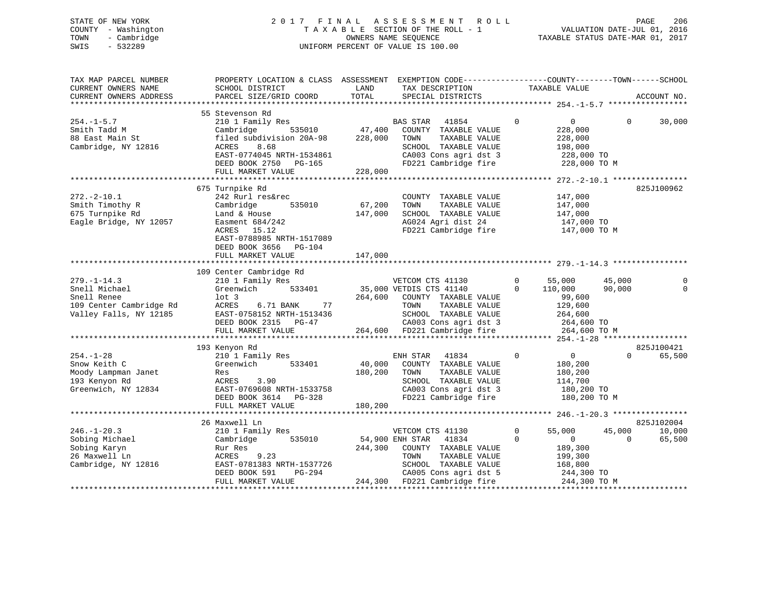# STATE OF NEW YORK 2 0 1 7 F I N A L A S S E S S M E N T R O L L PAGE 206 COUNTY - Washington T A X A B L E SECTION OF THE ROLL - 1 VALUATION DATE-JUL 01, 2016 TOWN - Cambridge OWNERS NAME SEQUENCE TAXABLE STATUS DATE-MAR 01, 2017 SWIS - 532289 UNIFORM PERCENT OF VALUE IS 100.00

| TAX MAP PARCEL NUMBER<br>CURRENT OWNERS NAME<br>CURRENT OWNERS ADDRESS                                 | PROPERTY LOCATION & CLASS ASSESSMENT EXEMPTION CODE----------------COUNTY-------TOWN------SCHOOL<br>SCHOOL DISTRICT<br>PARCEL SIZE/GRID COORD                                             | LAND<br>TOTAL                | TAX DESCRIPTION<br>SPECIAL DISTRICTS                                                                                                                                           | TAXABLE VALUE                                                                                                    |                    | ACCOUNT NO.          |
|--------------------------------------------------------------------------------------------------------|-------------------------------------------------------------------------------------------------------------------------------------------------------------------------------------------|------------------------------|--------------------------------------------------------------------------------------------------------------------------------------------------------------------------------|------------------------------------------------------------------------------------------------------------------|--------------------|----------------------|
|                                                                                                        |                                                                                                                                                                                           |                              |                                                                                                                                                                                |                                                                                                                  |                    |                      |
| $254. - 1 - 5.7$<br>Smith Tadd M<br>88 East Main St<br>Cambridge, NY 12816                             | 55 Stevenson Rd<br>210 1 Family Res<br>535010<br>Cambridge<br>filed subdivision 20A-98<br>ACRES<br>8.68<br>EAST-0774045 NRTH-1534861<br>DEED BOOK 2750 PG-165<br>FULL MARKET VALUE        | 47,400<br>228,000<br>228,000 | BAS STAR<br>41854<br>COUNTY TAXABLE VALUE<br>TAXABLE VALUE<br>TOWN<br>SCHOOL TAXABLE VALUE<br>CA003 Cons agri dst 3<br>FD221 Cambridge fire                                    | $\Omega$<br>$\overline{0}$<br>228,000<br>228,000<br>198,000<br>228,000 TO<br>228,000 TO M                        | $\Omega$           | 30,000               |
|                                                                                                        |                                                                                                                                                                                           |                              |                                                                                                                                                                                |                                                                                                                  |                    |                      |
| $272. - 2 - 10.1$<br>Smith Timothy R<br>675 Turnpike Rd<br>Eagle Bridge, NY 12057                      | 675 Turnpike Rd<br>242 Rurl res&rec<br>535010<br>Cambridge<br>Land & House<br>Easment $684/242$<br>ACRES 15.12<br>EAST-0788985 NRTH-1517089<br>DEED BOOK 3656 PG-104<br>FULL MARKET VALUE | 67,200<br>147,000<br>147,000 | COUNTY TAXABLE VALUE<br>TOWN<br>TAXABLE VALUE<br>SCHOOL TAXABLE VALUE<br>AG024 Agri dist 24<br>FD221 Cambridge fire                                                            | 147,000<br>147,000<br>147,000<br>147,000 TO<br>147,000 TO M                                                      |                    | 825J100962           |
|                                                                                                        |                                                                                                                                                                                           |                              |                                                                                                                                                                                |                                                                                                                  |                    |                      |
| $279. - 1 - 14.3$<br>Snell Michael<br>Snell Renee<br>109 Center Cambridge Rd<br>Valley Falls, NY 12185 | 109 Center Cambridge Rd<br>210 1 Family Res<br>Greenwich<br>533401<br>$1$ ot $3$<br>77<br>ACRES<br>6.71 BANK<br>EAST-0758152 NRTH-1513436<br>DEED BOOK 2315 PG-47<br>FULL MARKET VALUE    | 264,600                      | VETCOM CTS 41130<br>35,000 VETDIS CTS 41140<br>COUNTY TAXABLE VALUE<br>TOWN<br>TAXABLE VALUE<br>SCHOOL TAXABLE VALUE<br>CA003 Cons agri dst 3<br>264,600 FD221 Cambridge fire  | 55,000<br>0<br>$\Omega$<br>110,000<br>99,600<br>129,600<br>264,600<br>264,600 TO<br>264,600 TO M                 | 45,000<br>90,000   | $\mathbf 0$          |
|                                                                                                        |                                                                                                                                                                                           |                              |                                                                                                                                                                                |                                                                                                                  |                    |                      |
| $254. - 1 - 28$<br>Snow Keith C<br>Moody Lampman Janet<br>193 Kenyon Rd<br>Greenwich, NY 12834         | 193 Kenyon Rd<br>210 1 Family Res<br>533401<br>Greenwich<br>Res<br>ACRES<br>3.90<br>EAST-0769608 NRTH-1533758<br>DEED BOOK 3614 PG-328<br>FULL MARKET VALUE                               | 40,000<br>180,200<br>180,200 | ENH STAR<br>41834<br>COUNTY TAXABLE VALUE<br>TOWN<br>TAXABLE VALUE<br>SCHOOL TAXABLE VALUE<br>CA003 Cons agri dst 3<br>FD221 Cambridge fire                                    | $\mathbf 0$<br>$\overline{0}$<br>180,200<br>180,200<br>114,700<br>180,200 TO<br>180,200 TO M                     | $\Omega$           | 825J100421<br>65,500 |
|                                                                                                        |                                                                                                                                                                                           |                              |                                                                                                                                                                                |                                                                                                                  |                    |                      |
|                                                                                                        | 26 Maxwell Ln                                                                                                                                                                             |                              |                                                                                                                                                                                |                                                                                                                  |                    | 825J102004           |
| $246. - 1 - 20.3$<br>Sobing Michael<br>Sobing Karyn<br>26 Maxwell Ln<br>Cambridge, NY 12816            | 210 1 Family Res<br>535010<br>Cambridge<br>Rur Res<br>9.23<br>ACRES<br>EAST-0781383 NRTH-1537726<br>DEED BOOK 591<br>PG-294<br>FULL MARKET VALUE                                          | 244,300                      | VETCOM CTS 41130<br>54,900 ENH STAR<br>41834<br>COUNTY TAXABLE VALUE<br>TOWN<br>TAXABLE VALUE<br>SCHOOL TAXABLE VALUE<br>CA005 Cons agri dst 5<br>244,300 FD221 Cambridge fire | $\mathbf 0$<br>55,000<br>$\Omega$<br>$\mathbf{0}$<br>189,300<br>199,300<br>168,800<br>244,300 TO<br>244,300 TO M | 45,000<br>$\Omega$ | 10,000<br>65,500     |
|                                                                                                        |                                                                                                                                                                                           |                              |                                                                                                                                                                                |                                                                                                                  |                    |                      |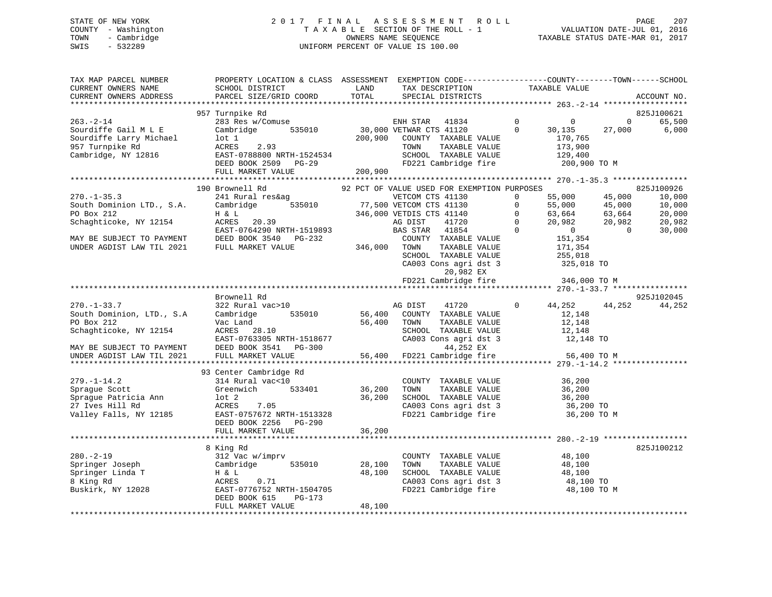# STATE OF NEW YORK 2 0 1 7 F I N A L A S S E S S M E N T R O L L PAGE 207 COUNTY - Washington T A X A B L E SECTION OF THE ROLL - 1 VALUATION DATE-JUL 01, 2016 TOWN - Cambridge OWNERS NAME SEQUENCE TAXABLE STATUS DATE-MAR 01, 2017 SWIS - 532289 UNIFORM PERCENT OF VALUE IS 100.00

| TAX MAP PARCEL NUMBER<br>CURRENT OWNERS NAME<br>CURRENT OWNERS ADDRESS                                              | PROPERTY LOCATION & CLASS ASSESSMENT EXEMPTION CODE---------------COUNTY-------TOWN-----SCHOOL<br>SCHOOL DISTRICT<br>PARCEL SIZE/GRID COORD                                 | LAND<br>TOTAL              | TAX DESCRIPTION<br>SPECIAL DISTRICTS                                                                                                          |                                                 | TAXABLE VALUE                                                                                  | ACCOUNT NO.                                                |
|---------------------------------------------------------------------------------------------------------------------|-----------------------------------------------------------------------------------------------------------------------------------------------------------------------------|----------------------------|-----------------------------------------------------------------------------------------------------------------------------------------------|-------------------------------------------------|------------------------------------------------------------------------------------------------|------------------------------------------------------------|
| **********************                                                                                              |                                                                                                                                                                             |                            |                                                                                                                                               |                                                 |                                                                                                |                                                            |
| $263 - 2 - 14$<br>Sourdiffe Gail M L E<br>Sourdiffe Larry Michael<br>957 Turnpike Rd<br>Cambridge, NY 12816         | 957 Turnpike Rd<br>283 Res w/Comuse<br>Cambridge<br>535010<br>$1$ ot $1$<br>ACRES<br>2.93<br>EAST-0788800 NRTH-1524534<br>DEED BOOK 2509 PG-29                              | 200,900                    | ENH STAR<br>41834<br>30,000 VETWAR CTS 41120<br>COUNTY TAXABLE VALUE<br>TOWN<br>TAXABLE VALUE<br>SCHOOL TAXABLE VALUE<br>FD221 Cambridge fire | $\mathbf 0$<br>$\Omega$                         | 0<br>30,135<br>27,000<br>170,765<br>173,900<br>129,400<br>200,900 TO M                         | 825J100621<br>65,500<br>0<br>6,000                         |
|                                                                                                                     | FULL MARKET VALUE                                                                                                                                                           | 200,900                    |                                                                                                                                               |                                                 |                                                                                                |                                                            |
|                                                                                                                     | ****************************                                                                                                                                                |                            |                                                                                                                                               |                                                 |                                                                                                |                                                            |
|                                                                                                                     | 190 Brownell Rd                                                                                                                                                             |                            | 92 PCT OF VALUE USED FOR EXEMPTION PURPOSES                                                                                                   |                                                 |                                                                                                | 825J100926                                                 |
| $270. - 1 - 35.3$<br>South Dominion LTD., S.A.<br>PO Box 212<br>Schaghticoke, NY 12154                              | 241 Rural res&ag<br>535010<br>Cambridge<br>H & L<br>ACRES 20.39<br>EAST-0764290 NRTH-1519893                                                                                |                            | VETCOM CTS 41130<br>77,500 VETCOM CTS 41130<br>346,000 VETDIS CTS 41140<br>AG DIST<br>41720<br>BAS STAR<br>41854                              | $\mathbf 0$<br>$\Omega$<br>$\Omega$<br>$\Omega$ | 55,000<br>45,000<br>55,000<br>45,000<br>63,664<br>63,664<br>20,982<br>20,982<br>$\overline{0}$ | 10,000<br>10,000<br>20,000<br>20,982<br>$\Omega$<br>30,000 |
| MAY BE SUBJECT TO PAYMENT<br>UNDER AGDIST LAW TIL 2021                                                              | DEED BOOK 3540 PG-232<br>FULL MARKET VALUE                                                                                                                                  | 346,000                    | COUNTY TAXABLE VALUE<br>TOWN<br>TAXABLE VALUE<br>SCHOOL TAXABLE VALUE<br>CA003 Cons agri dst 3<br>20,982 EX<br>FD221 Cambridge fire           |                                                 | 151,354<br>171,354<br>255,018<br>325,018 TO<br>346,000 TO M                                    |                                                            |
|                                                                                                                     | *******************************                                                                                                                                             |                            |                                                                                                                                               |                                                 |                                                                                                |                                                            |
|                                                                                                                     | Brownell Rd                                                                                                                                                                 |                            |                                                                                                                                               |                                                 |                                                                                                | 925J102045                                                 |
| $270. - 1 - 33.7$<br>South Dominion, LTD., S.A<br>PO Box 212<br>Schaghticoke, NY 12154<br>MAY BE SUBJECT TO PAYMENT | 322 Rural vac>10<br>Cambridge<br>535010<br>Vac Land<br>ACRES 28.10<br>EAST-0763305 NRTH-1518677<br>DEED BOOK 3541<br>PG-300                                                 | 56,400<br>56,400           | AG DIST<br>41720<br>COUNTY TAXABLE VALUE<br>TOWN<br>TAXABLE VALUE<br>SCHOOL TAXABLE VALUE<br>CA003 Cons agri dst 3<br>44,252 EX               | $\Omega$                                        | 44,252<br>44,252<br>12,148<br>12,148<br>12,148<br>12,148 TO                                    | 44,252                                                     |
| UNDER AGDIST LAW TIL 2021                                                                                           | FULL MARKET VALUE                                                                                                                                                           | 56,400                     | FD221 Cambridge fire                                                                                                                          |                                                 | 56,400 TO M                                                                                    |                                                            |
| $279. - 1 - 14.2$<br>Sprague Scott<br>Sprague Patricia Ann<br>27 Ives Hill Rd<br>Valley Falls, NY 12185             | 93 Center Cambridge Rd<br>314 Rural vac<10<br>Greenwich<br>533401<br>$1$ ot $2$<br>ACRES<br>7.05<br>EAST-0757672 NRTH-1513328<br>DEED BOOK 2256 PG-290<br>FULL MARKET VALUE | 36,200<br>36,200<br>36,200 | COUNTY TAXABLE VALUE<br>TOWN<br>TAXABLE VALUE<br>SCHOOL TAXABLE VALUE<br>CA003 Cons agri dst 3<br>FD221 Cambridge fire                        |                                                 | 36,200<br>36,200<br>36,200<br>36,200 TO<br>36,200 TO M                                         |                                                            |
|                                                                                                                     |                                                                                                                                                                             |                            |                                                                                                                                               |                                                 |                                                                                                |                                                            |
| $280. - 2 - 19$<br>Springer Joseph<br>Springer Linda T<br>8 King Rd<br>Buskirk, NY 12028                            | 8 King Rd<br>312 Vac w/imprv<br>535010<br>Cambridge<br>H & L<br>ACRES<br>0.71<br>EAST-0776752 NRTH-1504705<br>DEED BOOK 615<br>$PG-173$<br>FULL MARKET VALUE                | 28,100<br>48,100<br>48,100 | COUNTY TAXABLE VALUE<br>TOWN<br>TAXABLE VALUE<br>SCHOOL TAXABLE VALUE<br>CA003 Cons agri dst 3<br>FD221 Cambridge fire                        |                                                 | 48,100<br>48,100<br>48,100<br>48,100 TO<br>48,100 TO M                                         | 825J100212                                                 |
|                                                                                                                     |                                                                                                                                                                             |                            |                                                                                                                                               |                                                 |                                                                                                |                                                            |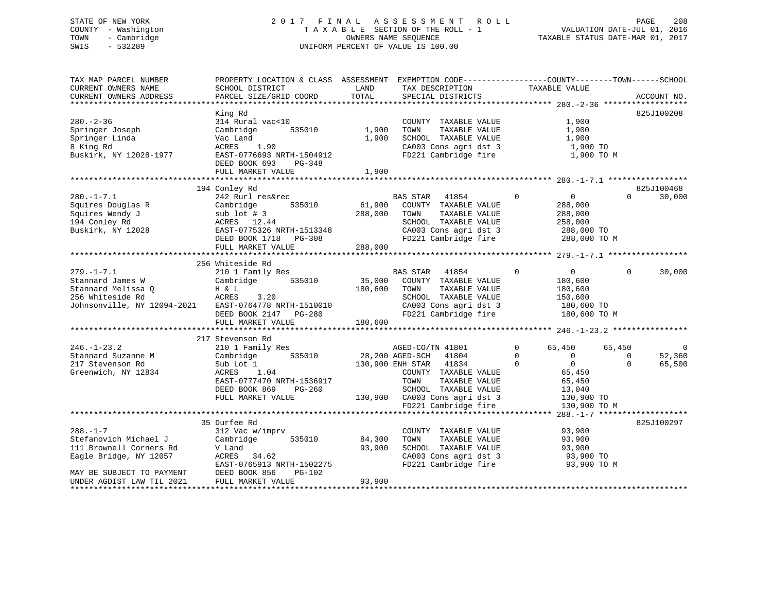# STATE OF NEW YORK 2 0 1 7 F I N A L A S S E S S M E N T R O L L PAGE 208 COUNTY - Washington T A X A B L E SECTION OF THE ROLL - 1 VALUATION DATE-JUL 01, 2016 TOWN - Cambridge OWNERS NAME SEQUENCE TAXABLE STATUS DATE-MAR 01, 2017 SWIS - 532289 UNIFORM PERCENT OF VALUE IS 100.00

| TAX MAP PARCEL NUMBER<br>CURRENT OWNERS NAME<br>CURRENT OWNERS ADDRESS                                                                                 | PROPERTY LOCATION & CLASS ASSESSMENT EXEMPTION CODE---------------COUNTY-------TOWN------SCHOOL<br>SCHOOL DISTRICT<br>PARCEL SIZE/GRID COORD                      | LAND<br>TOTAL                | TAX DESCRIPTION<br>SPECIAL DISTRICTS                                                                                                                                                                     | TAXABLE VALUE                                                                                                                              | ACCOUNT NO.                                                    |
|--------------------------------------------------------------------------------------------------------------------------------------------------------|-------------------------------------------------------------------------------------------------------------------------------------------------------------------|------------------------------|----------------------------------------------------------------------------------------------------------------------------------------------------------------------------------------------------------|--------------------------------------------------------------------------------------------------------------------------------------------|----------------------------------------------------------------|
| $280. - 2 - 36$<br>Springer Joseph<br>Springer Linda<br>8 King Rd<br>Buskirk, NY 12028-1977                                                            | King Rd<br>314 Rural vac<10<br>Cambridge<br>535010<br>Vac Land<br>ACRES<br>1.90<br>EAST-0776693 NRTH-1504912<br>DEED BOOK 693<br>PG-348<br>FULL MARKET VALUE      | 1,900<br>1,900<br>1,900      | COUNTY TAXABLE VALUE<br>TOWN<br>TAXABLE VALUE<br>SCHOOL TAXABLE VALUE<br>CA003 Cons agri dst 3<br>FD221 Cambridge fire                                                                                   | 1,900<br>1,900<br>1,900<br>1,900 TO<br>1,900 TO M                                                                                          | 825J100208                                                     |
|                                                                                                                                                        |                                                                                                                                                                   |                              |                                                                                                                                                                                                          |                                                                                                                                            |                                                                |
| $280. -1 - 7.1$<br>Squires Douglas R<br>Squires Wendy J<br>194 Conley Rd<br>Buskirk, NY 12028                                                          | 194 Conley Rd<br>242 Rurl res&rec<br>535010<br>Cambridge<br>sub lot # 3<br>ACRES 12.44<br>EAST-0775326 NRTH-1513348<br>DEED BOOK 1718 PG-308<br>FULL MARKET VALUE | 61,900<br>288,000<br>288,000 | BAS STAR<br>41854<br>COUNTY TAXABLE VALUE<br>TAXABLE VALUE<br>TOWN<br>SCHOOL TAXABLE VALUE<br>CA003 Cons agri dst 3<br>FD221 Cambridge fire                                                              | $\mathbf{0}$<br>0<br>288,000<br>288,000<br>258,000<br>288,000 TO<br>288,000 TO M                                                           | 825J100468<br>$\Omega$<br>30,000                               |
|                                                                                                                                                        |                                                                                                                                                                   |                              |                                                                                                                                                                                                          |                                                                                                                                            |                                                                |
| $279. - 1 - 7.1$<br>Stannard James W<br>Stannard Melissa O<br>256 Whiteside Rd<br>Johnsonville, NY 12094-2021                                          | 256 Whiteside Rd<br>210 1 Family Res<br>535010<br>Cambridge<br>H & L<br>ACRES<br>3.20<br>EAST-0764778 NRTH-1510010<br>DEED BOOK 2147 PG-280<br>FULL MARKET VALUE  | 35,000<br>180,600<br>180,600 | BAS STAR 41854<br>COUNTY TAXABLE VALUE<br>TOWN<br>TAXABLE VALUE<br>SCHOOL TAXABLE VALUE<br>CA003 Cons agri dst 3<br>FD221 Cambridge fire                                                                 | $\Omega$<br>$\overline{0}$<br>180,600<br>180,600<br>150,600<br>180,600 TO<br>180,600 TO M                                                  | $\Omega$<br>30,000                                             |
|                                                                                                                                                        | 217 Stevenson Rd                                                                                                                                                  |                              |                                                                                                                                                                                                          |                                                                                                                                            |                                                                |
| $246. - 1 - 23.2$<br>Stannard Suzanne M<br>217 Stevenson Rd<br>Greenwich, NY 12834                                                                     | 210 1 Family Res<br>Cambridge<br>535010<br>Sub Lot 1<br>ACRES<br>1.04<br>EAST-0777470 NRTH-1536917<br>DEED BOOK 869<br>$PG-260$<br>FULL MARKET VALUE              |                              | AGED-CO/TN 41801<br>28,200 AGED-SCH<br>41804<br>130,900 ENH STAR 41834<br>COUNTY TAXABLE VALUE<br>TAXABLE VALUE<br>TOWN<br>SCHOOL TAXABLE VALUE<br>130,900 CA003 Cons agri dst 3<br>FD221 Cambridge fire | $\Omega$<br>65,450<br>$\Omega$<br>$\overline{0}$<br>$\overline{0}$<br>$\Omega$<br>65,450<br>65,450<br>13,040<br>130,900 TO<br>130,900 TO M | 65,450<br>$\Omega$<br>52,360<br>$\Omega$<br>$\Omega$<br>65,500 |
|                                                                                                                                                        |                                                                                                                                                                   |                              |                                                                                                                                                                                                          |                                                                                                                                            |                                                                |
| $288. - 1 - 7$<br>Stefanovich Michael J<br>111 Brownell Corners Rd<br>Eagle Bridge, NY 12057<br>MAY BE SUBJECT TO PAYMENT<br>UNDER AGDIST LAW TIL 2021 | 35 Durfee Rd<br>312 Vac w/imprv<br>Cambridge<br>535010<br>V Land<br>ACRES 34.62<br>EAST-0765913 NRTH-1502275<br>DEED BOOK 856<br>$PG-102$<br>FULL MARKET VALUE    | 84,300<br>93,900<br>93,900   | COUNTY TAXABLE VALUE<br>TOWN<br>TAXABLE VALUE<br>SCHOOL TAXABLE VALUE<br>CA003 Cons agri dst 3<br>FD221 Cambridge fire                                                                                   | 93,900<br>93,900<br>93,900<br>93,900 TO<br>93,900 TO M                                                                                     | 825J100297                                                     |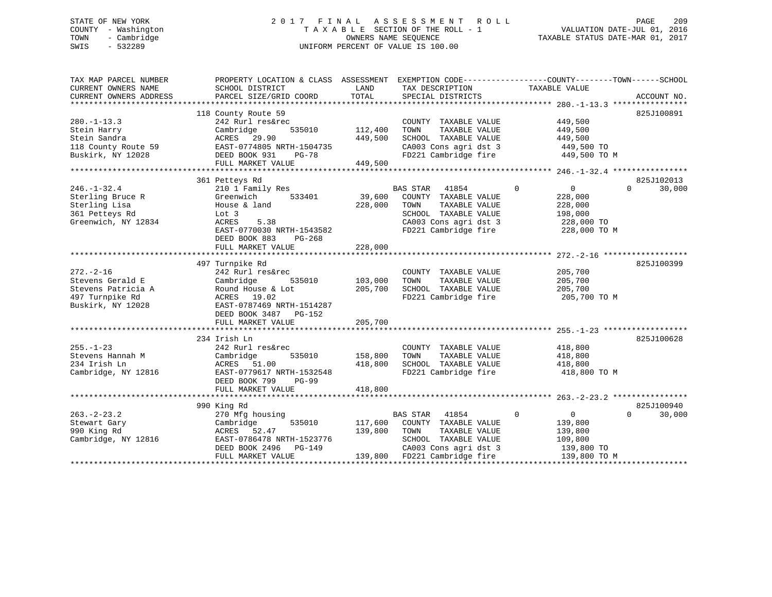# STATE OF NEW YORK 2 0 1 7 F I N A L A S S E S S M E N T R O L L PAGE 209 COUNTY - Washington T A X A B L E SECTION OF THE ROLL - 1 VALUATION DATE-JUL 01, 2016 TOWN - Cambridge OWNERS NAME SEQUENCE TAXABLE STATUS DATE-MAR 01, 2017 SWIS - 532289 UNIFORM PERCENT OF VALUE IS 100.00

| TAX MAP PARCEL NUMBER<br>CURRENT OWNERS NAME<br>CURRENT OWNERS ADDRESS | PROPERTY LOCATION & CLASS ASSESSMENT EXEMPTION CODE----------------COUNTY-------TOWN-----SCHOOL<br>SCHOOL DISTRICT<br>PARCEL SIZE/GRID COORD | LAND<br>TOTAL | TAX DESCRIPTION<br>SPECIAL DISTRICTS | TAXABLE VALUE                 | ACCOUNT NO.        |
|------------------------------------------------------------------------|----------------------------------------------------------------------------------------------------------------------------------------------|---------------|--------------------------------------|-------------------------------|--------------------|
|                                                                        | 118 County Route 59                                                                                                                          |               |                                      |                               | 825J100891         |
| $280. -1 - 13.3$                                                       | 242 Rurl res&rec                                                                                                                             |               | COUNTY TAXABLE VALUE                 | 449,500                       |                    |
| Stein Harry                                                            | 535010<br>Cambridge                                                                                                                          | 112,400       | TAXABLE VALUE<br>TOWN                | 449,500                       |                    |
| Stein Sandra                                                           | ACRES 29.90                                                                                                                                  | 449,500       | SCHOOL TAXABLE VALUE                 | 449,500                       |                    |
| 118 County Route 59                                                    | EAST-0774805 NRTH-1504735                                                                                                                    |               | CA003 Cons agri dst 3                | 449,500 TO                    |                    |
| Buskirk, NY 12028                                                      | DEED BOOK 931<br>PG-78                                                                                                                       |               | FD221 Cambridge fire                 | 449,500 TO M                  |                    |
|                                                                        | FULL MARKET VALUE                                                                                                                            | 449,500       |                                      |                               |                    |
|                                                                        |                                                                                                                                              |               |                                      |                               |                    |
|                                                                        | 361 Petteys Rd                                                                                                                               |               |                                      |                               | 825J102013         |
| $246. - 1 - 32.4$                                                      | 210 1 Family Res                                                                                                                             |               | BAS STAR<br>41854                    | 0<br>$\mathbf 0$              | 30,000<br>$\Omega$ |
| Sterling Bruce R                                                       | 533401<br>Greenwich                                                                                                                          | 39,600        | COUNTY TAXABLE VALUE                 | 228,000                       |                    |
| Sterling Lisa                                                          | House & land                                                                                                                                 | 228,000       | TOWN<br>TAXABLE VALUE                | 228,000                       |                    |
| 361 Petteys Rd                                                         | Lot 3                                                                                                                                        |               | SCHOOL TAXABLE VALUE                 | 198,000                       |                    |
| Greenwich, NY 12834                                                    | ACRES<br>5.38                                                                                                                                |               | CA003 Cons agri dst 3                | 228,000 TO                    |                    |
|                                                                        | EAST-0770030 NRTH-1543582                                                                                                                    |               | FD221 Cambridge fire                 | 228,000 TO M                  |                    |
|                                                                        | DEED BOOK 883 PG-268                                                                                                                         |               |                                      |                               |                    |
|                                                                        | FULL MARKET VALUE                                                                                                                            | 228,000       |                                      |                               |                    |
|                                                                        |                                                                                                                                              |               |                                      |                               |                    |
|                                                                        | 497 Turnpike Rd                                                                                                                              |               |                                      |                               | 825J100399         |
| $272. - 2 - 16$                                                        | 242 Rurl res&rec                                                                                                                             |               | COUNTY TAXABLE VALUE                 | 205,700                       |                    |
| Stevens Gerald E                                                       | Cambridge<br>535010                                                                                                                          | 103,000       | TAXABLE VALUE<br>TOWN                | 205,700                       |                    |
| Stevens Patricia A                                                     | Round House & Lot                                                                                                                            | 205,700       | SCHOOL TAXABLE VALUE                 | 205,700                       |                    |
| 497 Turnpike Rd                                                        | ACRES 19.02                                                                                                                                  |               | FD221 Cambridge fire                 | 205,700 TO M                  |                    |
| Buskirk, NY 12028                                                      | EAST-0787469 NRTH-1514287                                                                                                                    |               |                                      |                               |                    |
|                                                                        | DEED BOOK 3487 PG-152                                                                                                                        |               |                                      |                               |                    |
|                                                                        | FULL MARKET VALUE                                                                                                                            | 205,700       |                                      |                               |                    |
|                                                                        |                                                                                                                                              |               |                                      |                               |                    |
|                                                                        | 234 Irish Ln                                                                                                                                 |               |                                      |                               | 825J100628         |
| $255. - 1 - 23$                                                        | 242 Rurl res&rec                                                                                                                             |               | COUNTY TAXABLE VALUE                 | 418,800                       |                    |
| Stevens Hannah M                                                       | 535010<br>Cambridge                                                                                                                          | 158,800       | TOWN<br>TAXABLE VALUE                | 418,800                       |                    |
| 234 Irish Ln                                                           | ACRES 51.00                                                                                                                                  | 418,800       | SCHOOL TAXABLE VALUE                 | 418,800                       |                    |
| Cambridge, NY 12816                                                    | EAST-0779617 NRTH-1532548                                                                                                                    |               | FD221 Cambridge fire                 | 418,800 TO M                  |                    |
|                                                                        | DEED BOOK 799<br>$PG-99$                                                                                                                     |               |                                      |                               |                    |
|                                                                        | FULL MARKET VALUE                                                                                                                            | 418,800       |                                      |                               |                    |
|                                                                        |                                                                                                                                              |               |                                      |                               |                    |
|                                                                        | 990 King Rd                                                                                                                                  |               |                                      |                               | 825J100940         |
| $263 - 2 - 23.2$                                                       | 270 Mfg housing                                                                                                                              |               | BAS STAR 41854                       | $\mathbf 0$<br>$\overline{0}$ | $\Omega$<br>30,000 |
| Stewart Gary                                                           | 535010<br>Cambridge                                                                                                                          | 117,600       | COUNTY TAXABLE VALUE                 | 139,800                       |                    |
| 990 King Rd                                                            | ACRES 52.47                                                                                                                                  | 139,800       | TAXABLE VALUE<br>TOWN                | 139,800                       |                    |
| Cambridge, NY 12816                                                    | EAST-0786478 NRTH-1523776                                                                                                                    |               | SCHOOL TAXABLE VALUE                 | 109,800                       |                    |
|                                                                        | DEED BOOK 2496<br>PG-149                                                                                                                     |               | CA003 Cons agri dst 3                | 139,800 TO                    |                    |
|                                                                        | FULL MARKET VALUE                                                                                                                            |               | 139,800 FD221 Cambridge fire         | 139,800 TO M                  |                    |
|                                                                        |                                                                                                                                              |               |                                      |                               |                    |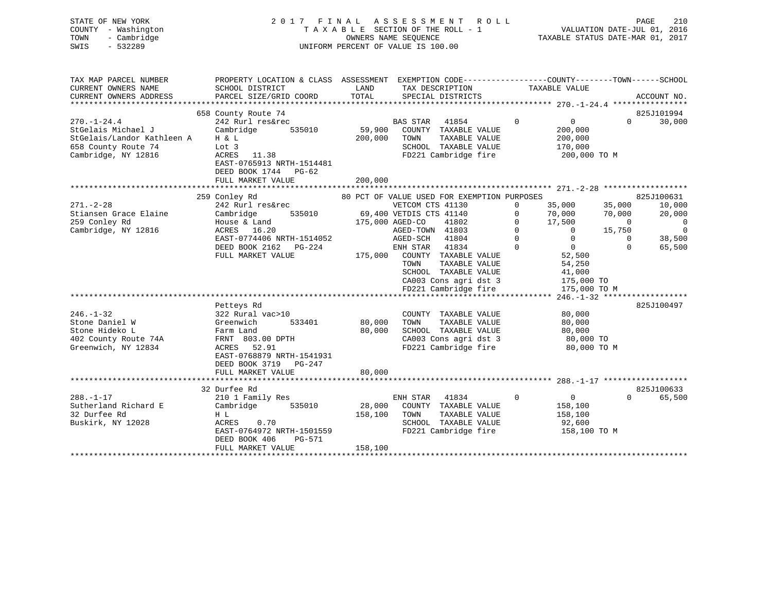| COUNTY - Washington<br>- Cambridge<br>TOWN<br>SWIS<br>$-532289$ | TAXABLE SECTION OF THE ROLL - 1<br>VALUATION DATE-JUL 01, 2016<br>TAXABLE STATUS DATE-MAR 01, 2017<br>OWNERS NAME SEQUENCE<br>UNIFORM PERCENT OF VALUE IS 100.00 |               |                         |                                               |             |                          |                                     |                |  |
|-----------------------------------------------------------------|------------------------------------------------------------------------------------------------------------------------------------------------------------------|---------------|-------------------------|-----------------------------------------------|-------------|--------------------------|-------------------------------------|----------------|--|
|                                                                 |                                                                                                                                                                  |               |                         |                                               |             |                          |                                     |                |  |
| TAX MAP PARCEL NUMBER                                           | PROPERTY LOCATION & CLASS ASSESSMENT EXEMPTION CODE----------------COUNTY-------TOWN------SCHOOL                                                                 |               |                         |                                               |             |                          |                                     |                |  |
| CURRENT OWNERS NAME                                             | SCHOOL DISTRICT                                                                                                                                                  | LAND<br>TOTAL | TAX DESCRIPTION         |                                               |             | TAXABLE VALUE            |                                     |                |  |
| CURRENT OWNERS ADDRESS                                          | PARCEL SIZE/GRID COORD                                                                                                                                           |               |                         | SPECIAL DISTRICTS                             |             |                          |                                     | ACCOUNT NO.    |  |
|                                                                 | 658 County Route 74                                                                                                                                              |               |                         |                                               |             |                          |                                     | 825J101994     |  |
| $270. - 1 - 24.4$                                               | 242 Rurl res&rec                                                                                                                                                 |               | BAS STAR                | 41854                                         | $\Omega$    | $\overline{0}$           | $\Omega$                            | 30,000         |  |
| StGelais Michael J                                              | Cambridge<br>535010                                                                                                                                              | 59,900        |                         | COUNTY TAXABLE VALUE                          |             | 200,000                  |                                     |                |  |
| StGelais/Landor Kathleen A                                      | H & L                                                                                                                                                            | 200,000       | TOWN                    | TAXABLE VALUE                                 |             | 200,000                  |                                     |                |  |
| 658 County Route 74                                             | Lot 3                                                                                                                                                            |               |                         | SCHOOL TAXABLE VALUE                          |             | 170,000                  |                                     |                |  |
| Cambridge, NY 12816                                             | ACRES 11.38                                                                                                                                                      |               |                         | FD221 Cambridge fire                          |             | 200,000 TO M             |                                     |                |  |
|                                                                 | EAST-0765913 NRTH-1514481                                                                                                                                        |               |                         |                                               |             |                          |                                     |                |  |
|                                                                 | DEED BOOK 1744 PG-62<br>FULL MARKET VALUE                                                                                                                        | 200,000       |                         |                                               |             |                          |                                     |                |  |
|                                                                 |                                                                                                                                                                  |               |                         |                                               |             |                          |                                     |                |  |
|                                                                 | 259 Conley Rd                                                                                                                                                    |               |                         | 80 PCT OF VALUE USED FOR EXEMPTION PURPOSES   |             |                          |                                     | 825J100631     |  |
| $271. - 2 - 28$                                                 | 242 Rurl res&rec                                                                                                                                                 |               | VETCOM CTS 41130        |                                               | $\Omega$    | 35,000                   | 35,000                              | 10,000         |  |
| Stiansen Grace Elaine                                           | Cambridge<br>535010                                                                                                                                              |               | 69,400 VETDIS CTS 41140 |                                               | $\mathbf 0$ | 70,000                   | 70,000                              | 20,000         |  |
| 259 Conley Rd                                                   | House & Land                                                                                                                                                     |               | 175,000 AGED-CO         | 41802                                         | $\mathbf 0$ | 17,500                   | $\overline{0}$                      | $\overline{0}$ |  |
| Cambridge, NY 12816                                             | ACRES 16.20                                                                                                                                                      |               | AGED-TOWN 41803         |                                               | $\mathbf 0$ | $\Omega$                 | 15,750                              | $\overline{0}$ |  |
|                                                                 | EAST-0774406 NRTH-1514052                                                                                                                                        |               | AGED-SCH 41804          |                                               | $\Omega$    | $\overline{0}$           | $\Omega$                            | 38,500         |  |
|                                                                 | DEED BOOK 2162 PG-224                                                                                                                                            |               | ENH STAR                | 41834                                         | $\Omega$    | $\overline{0}$           | $\Omega$                            | 65,500         |  |
|                                                                 | FULL MARKET VALUE                                                                                                                                                | 175,000       | TOWN                    | COUNTY TAXABLE VALUE<br>TAXABLE VALUE         |             | 52,500                   |                                     |                |  |
|                                                                 |                                                                                                                                                                  |               |                         | SCHOOL TAXABLE VALUE                          |             | 54,250<br>41,000         |                                     |                |  |
|                                                                 |                                                                                                                                                                  |               |                         | CA003 Cons agri dst 3                         |             | 175,000 TO               |                                     |                |  |
|                                                                 |                                                                                                                                                                  |               |                         | FD221 Cambridge fire                          |             | 175,000 TO M             |                                     |                |  |
|                                                                 |                                                                                                                                                                  |               |                         |                                               |             |                          | $246. - 1 - 32$ ******************* |                |  |
|                                                                 | Petteys Rd                                                                                                                                                       |               |                         |                                               |             |                          |                                     | 825J100497     |  |
| $246. - 1 - 32$                                                 | 322 Rural vac>10                                                                                                                                                 |               |                         | COUNTY TAXABLE VALUE                          |             | 80,000                   |                                     |                |  |
| Stone Daniel W                                                  | Greenwich<br>533401                                                                                                                                              | 80,000        | TOWN                    | TAXABLE VALUE                                 |             | 80,000                   |                                     |                |  |
| Stone Hideko L                                                  | Farm Land                                                                                                                                                        | 80,000        |                         | SCHOOL TAXABLE VALUE                          |             | 80,000                   |                                     |                |  |
| 402 County Route 74A<br>Greenwich, NY 12834                     | FRNT 803.00 DPTH<br>ACRES 52.91                                                                                                                                  |               |                         | CA003 Cons agri dst 3<br>FD221 Cambridge fire |             | 80,000 TO<br>80,000 TO M |                                     |                |  |
|                                                                 | EAST-0768879 NRTH-1541931                                                                                                                                        |               |                         |                                               |             |                          |                                     |                |  |
|                                                                 | DEED BOOK 3719 PG-247                                                                                                                                            |               |                         |                                               |             |                          |                                     |                |  |
|                                                                 | FULL MARKET VALUE                                                                                                                                                | 80,000        |                         |                                               |             |                          |                                     |                |  |
|                                                                 |                                                                                                                                                                  |               |                         |                                               |             |                          |                                     |                |  |
|                                                                 | 32 Durfee Rd                                                                                                                                                     |               |                         |                                               |             |                          |                                     | 825J100633     |  |
| $288. - 1 - 17$                                                 | 210 1 Family Res                                                                                                                                                 |               | ENH STAR 41834          |                                               | $\Omega$    | $\overline{0}$           | $\Omega$                            | 65,500         |  |
| Sutherland Richard E                                            | 535010<br>Cambridge                                                                                                                                              | 28,000        |                         | COUNTY TAXABLE VALUE                          |             | 158,100                  |                                     |                |  |
| 32 Durfee Rd                                                    | H L                                                                                                                                                              | 158,100       | TOWN                    | TAXABLE VALUE                                 |             | 158,100                  |                                     |                |  |
| Buskirk, NY 12028                                               | 0.70<br>ACRES                                                                                                                                                    |               |                         | SCHOOL TAXABLE VALUE<br>FD221 Cambridge fire  |             | 92,600                   |                                     |                |  |
|                                                                 | EAST-0764972 NRTH-1501559<br>DEED BOOK 406<br>PG-571                                                                                                             |               |                         |                                               |             | 158,100 TO M             |                                     |                |  |
|                                                                 | FULL MARKET VALUE                                                                                                                                                | 158,100       |                         |                                               |             |                          |                                     |                |  |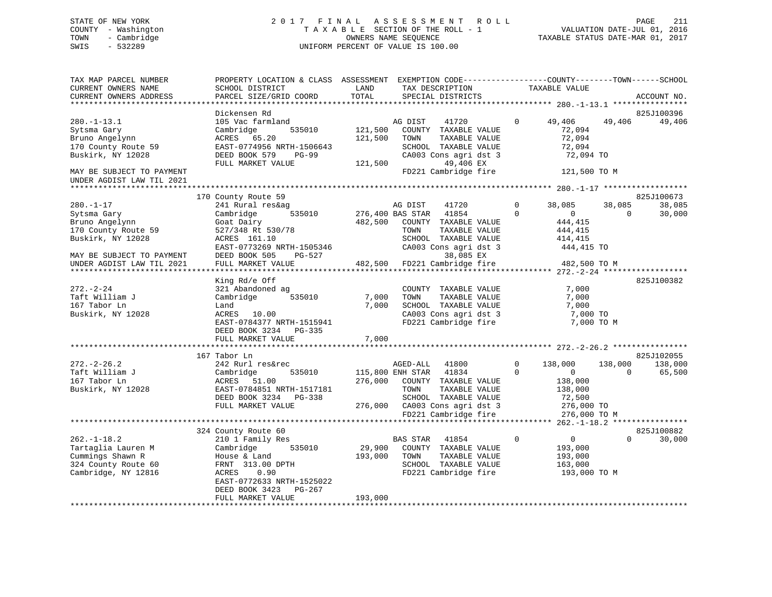# STATE OF NEW YORK 2 0 1 7 F I N A L A S S E S S M E N T R O L L PAGE 211 COUNTY - Washington T A X A B L E SECTION OF THE ROLL - 1 VALUATION DATE-JUL 01, 2016 TOWN - Cambridge OWNERS NAME SEQUENCE TAXABLE STATUS DATE-MAR 01, 2017 SWIS - 532289 UNIFORM PERCENT OF VALUE IS 100.00

| TAX MAP PARCEL NUMBER<br>CURRENT OWNERS NAME<br>CURRENT OWNERS ADDRESS                                    | PROPERTY LOCATION & CLASS ASSESSMENT EXEMPTION CODE----------------COUNTY-------TOWN------SCHOOL<br>SCHOOL DISTRICT<br>PARCEL SIZE/GRID COORD                             | LAND<br>TOTAL               | TAX DESCRIPTION<br>SPECIAL DISTRICTS                                                                                                                          |                         | TAXABLE VALUE                                                           |                     | ACCOUNT NO.                     |
|-----------------------------------------------------------------------------------------------------------|---------------------------------------------------------------------------------------------------------------------------------------------------------------------------|-----------------------------|---------------------------------------------------------------------------------------------------------------------------------------------------------------|-------------------------|-------------------------------------------------------------------------|---------------------|---------------------------------|
| ***********************                                                                                   |                                                                                                                                                                           |                             |                                                                                                                                                               |                         |                                                                         |                     |                                 |
| $280. -1 - 13.1$<br>Sytsma Gary<br>Bruno Angelynn<br>170 County Route 59<br>Buskirk, NY 12028             | Dickensen Rd<br>105 Vac farmland<br>Cambridge<br>535010<br>ACRES 65.20<br>EAST-0774956 NRTH-1506643<br>PG-99<br>DEED BOOK 579                                             | 121,500<br>121,500          | AG DIST<br>41720<br>COUNTY TAXABLE VALUE<br>TAXABLE VALUE<br>TOWN<br>SCHOOL TAXABLE VALUE<br>CA003 Cons agri dst 3                                            | $\Omega$                | 49,406<br>72,094<br>72,094<br>72,094<br>72,094 TO                       | 49,406              | 825J100396<br>49,406            |
| MAY BE SUBJECT TO PAYMENT<br>UNDER AGDIST LAW TIL 2021                                                    | FULL MARKET VALUE                                                                                                                                                         | 121,500                     | 49,406 EX<br>FD221 Cambridge fire                                                                                                                             |                         | 121,500 TO M                                                            |                     |                                 |
|                                                                                                           |                                                                                                                                                                           |                             |                                                                                                                                                               |                         |                                                                         |                     |                                 |
| $280. - 1 - 17$<br>Sytsma Gary<br>Bruno Angelynn<br>170 County Route 59<br>Buskirk, NY 12028              | 170 County Route 59<br>241 Rural res&ag<br>Cambridge<br>535010<br>Goat Dairy<br>527/348 Rt 530/78<br>ACRES 161.10<br>EAST-0773269 NRTH-1505346                            | 276,400 BAS STAR<br>482,500 | AG DIST<br>41720<br>41854<br>COUNTY TAXABLE VALUE<br>TAXABLE VALUE<br>TOWN<br>SCHOOL TAXABLE VALUE<br>CA003 Cons agri dst 3                                   | $\Omega$<br>$\Omega$    | 38,085<br>$\overline{0}$<br>444,415<br>444,415<br>414,415<br>444,415 TO | 38,085<br>$\Omega$  | 825J100673<br>38,085<br>30,000  |
| MAY BE SUBJECT TO PAYMENT                                                                                 | DEED BOOK 505<br>PG-527                                                                                                                                                   |                             | 38,085 EX                                                                                                                                                     |                         |                                                                         |                     |                                 |
| UNDER AGDIST LAW TIL 2021                                                                                 | FULL MARKET VALUE                                                                                                                                                         |                             | 482,500 FD221 Cambridge fire                                                                                                                                  |                         | 482,500 TO M                                                            |                     |                                 |
| $272. - 2 - 24$<br>Taft William J<br>167 Tabor Ln<br>Buskirk, NY 12028                                    | King Rd/e Off<br>321 Abandoned ag<br>535010<br>Cambridge<br>Land<br>ACRES 10.00<br>EAST-0784377 NRTH-1515941<br>DEED BOOK 3234 PG-335                                     | 7,000<br>7,000              | COUNTY TAXABLE VALUE<br>TAXABLE VALUE<br>TOWN<br>SCHOOL TAXABLE VALUE<br>CA003 Cons agri dst 3<br>FD221 Cambridge fire                                        |                         | 7,000<br>7,000<br>7,000<br>7,000 TO<br>7,000 TO M                       |                     | 825J100382                      |
|                                                                                                           | FULL MARKET VALUE                                                                                                                                                         | 7,000                       |                                                                                                                                                               |                         |                                                                         |                     |                                 |
|                                                                                                           |                                                                                                                                                                           |                             |                                                                                                                                                               |                         |                                                                         |                     |                                 |
| $272 - 2 - 26.2$<br>Taft William J<br>167 Tabor Ln<br>Buskirk, NY 12028                                   | 167 Tabor Ln<br>242 Rurl res&rec<br>535010<br>Cambridge<br>ACRES 51.00<br>EAST-0784851 NRTH-1517181<br>DEED BOOK 3234 PG-338<br>FULL MARKET VALUE                         |                             | AGED-ALL<br>41800<br>115,800 ENH STAR 41834<br>276,000 COUNTY TAXABLE VALUE<br>TOWN<br>TAXABLE VALUE<br>SCHOOL TAXABLE VALUE<br>276,000 CA003 Cons agri dst 3 | $\mathbf 0$<br>$\Omega$ | 138,000<br>$\overline{0}$<br>138,000<br>138,000<br>72,500<br>276,000 TO | 138,000<br>$\Omega$ | 825J102055<br>138,000<br>65,500 |
|                                                                                                           |                                                                                                                                                                           |                             | FD221 Cambridge fire                                                                                                                                          |                         | 276,000 TO M                                                            |                     |                                 |
| $262. - 1 - 18.2$<br>Tartaglia Lauren M<br>Cummings Shawn R<br>324 County Route 60<br>Cambridge, NY 12816 | 324 County Route 60<br>210 1 Family Res<br>Cambridge<br>535010<br>House & Land<br>FRNT 313.00 DPTH<br>ACRES<br>0.90<br>EAST-0772633 NRTH-1525022<br>DEED BOOK 3423 PG-267 | 29,900<br>193,000           | BAS STAR<br>41854<br>COUNTY TAXABLE VALUE<br>TAXABLE VALUE<br>TOWN<br>SCHOOL TAXABLE VALUE<br>FD221 Cambridge fire                                            | $\mathbf{0}$            | $\overline{0}$<br>193,000<br>193,000<br>163,000<br>193,000 TO M         | $\Omega$            | 825J100882<br>30,000            |
|                                                                                                           | FULL MARKET VALUE                                                                                                                                                         | 193,000                     |                                                                                                                                                               |                         |                                                                         |                     |                                 |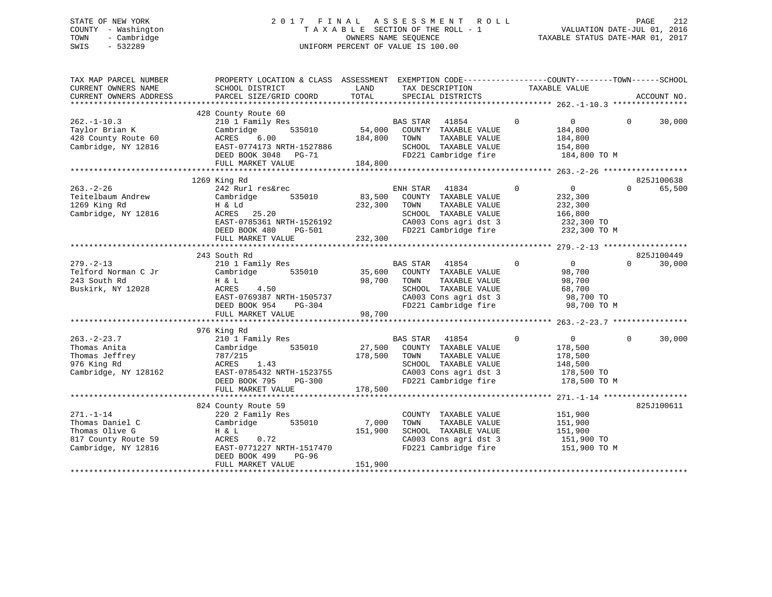# STATE OF NEW YORK 2 0 1 7 F I N A L A S S E S S M E N T R O L L PAGE 212 COUNTY - Washington T A X A B L E SECTION OF THE ROLL - 1 VALUATION DATE-JUL 01, 2016 TOWN - Cambridge OWNERS NAME SEQUENCE TAXABLE STATUS DATE-MAR 01, 2017 SWIS - 532289 UNIFORM PERCENT OF VALUE IS 100.00

| TAX MAP PARCEL NUMBER<br>CURRENT OWNERS NAME<br>CURRENT OWNERS ADDRESS                             | PROPERTY LOCATION & CLASS ASSESSMENT<br>SCHOOL DISTRICT<br>PARCEL SIZE/GRID COORD                                                                                    | LAND<br>TOTAL                | TAX DESCRIPTION<br>SPECIAL DISTRICTS                                                                                                               | EXEMPTION CODE-----------------COUNTY--------TOWN------SCHOOL<br>TAXABLE VALUE            | ACCOUNT NO.                      |
|----------------------------------------------------------------------------------------------------|----------------------------------------------------------------------------------------------------------------------------------------------------------------------|------------------------------|----------------------------------------------------------------------------------------------------------------------------------------------------|-------------------------------------------------------------------------------------------|----------------------------------|
| $262 - 1 - 10.3$<br>Taylor Brian K<br>428 County Route 60<br>Cambridge, NY 12816                   | 428 County Route 60<br>210 1 Family Res<br>Cambridge<br>535010<br>6.00<br>ACRES<br>EAST-0774173 NRTH-1527886<br>DEED BOOK 3048 PG-71<br>FULL MARKET VALUE            | 54,000<br>184,800<br>184,800 | BAS STAR<br>41854<br>COUNTY TAXABLE VALUE<br>TOWN<br>TAXABLE VALUE<br>SCHOOL TAXABLE VALUE<br>FD221 Cambridge fire                                 | $\mathbf 0$<br>$\overline{0}$<br>184,800<br>184,800<br>154,800<br>184,800 TO M            | $\Omega$<br>30,000               |
| $263. - 2 - 26$<br>Teitelbaum Andrew<br>1269 King Rd<br>Cambridge, NY 12816                        | 1269 King Rd<br>242 Rurl res&rec<br>Cambridge<br>535010<br>H & Ld<br>ACRES 25.20<br>EAST-0785361 NRTH-1526192<br>DEED BOOK 480<br>PG-501<br>FULL MARKET VALUE        | 83,500<br>232,300<br>232,300 | ENH STAR<br>41834<br>COUNTY TAXABLE VALUE<br>TAXABLE VALUE<br>TOWN<br>SCHOOL TAXABLE VALUE<br>CA003 Cons agri dst 3<br>FD221 Cambridge fire        | $\Omega$<br>0<br>232,300<br>232,300<br>166,800<br>232,300 TO<br>232,300 TO M              | 825J100638<br>$\Omega$<br>65,500 |
| $279. - 2 - 13$<br>Telford Norman C Jr<br>243 South Rd<br>Buskirk, NY 12028                        | 243 South Rd<br>210 1 Family Res<br>Cambridge<br>535010<br>H & L<br>4.50<br>ACRES<br>EAST-0769387 NRTH-1505737<br>DEED BOOK 954<br>PG-304<br>FULL MARKET VALUE       | 35,600<br>98,700<br>98,700   | <b>BAS STAR</b><br>41854<br>COUNTY TAXABLE VALUE<br>TAXABLE VALUE<br>TOWN<br>SCHOOL TAXABLE VALUE<br>CA003 Cons agri dst 3<br>FD221 Cambridge fire | $\Omega$<br>$\overline{0}$<br>98,700<br>98,700<br>68,700<br>98,700 TO<br>98,700 TO M      | 825J100449<br>30,000<br>$\Omega$ |
| $263. - 2 - 23.7$<br>Thomas Anita<br>Thomas Jeffrey<br>976 King Rd<br>Cambridge, NY 128162         | 976 King Rd<br>210 1 Family Res<br>Cambridge<br>535010<br>787/215<br>ACRES<br>1.43<br>EAST-0785432 NRTH-1523755<br>DEED BOOK 795<br>PG-300<br>FULL MARKET VALUE      | 27,500<br>178,500<br>178,500 | <b>BAS STAR</b><br>41854<br>COUNTY TAXABLE VALUE<br>TAXABLE VALUE<br>TOWN<br>SCHOOL TAXABLE VALUE<br>CA003 Cons agri dst 3<br>FD221 Cambridge fire | $\overline{0}$<br>$\Omega$<br>178,500<br>178,500<br>148,500<br>178,500 TO<br>178,500 TO M | $\Omega$<br>30,000               |
| $271. - 1 - 14$<br>Thomas Daniel C<br>Thomas Olive G<br>817 County Route 59<br>Cambridge, NY 12816 | 824 County Route 59<br>220 2 Family Res<br>535010<br>Cambridge<br>H & L<br>ACRES<br>0.72<br>EAST-0771227 NRTH-1517470<br>DEED BOOK 499<br>PG-96<br>FULL MARKET VALUE | 7,000<br>151,900<br>151,900  | COUNTY TAXABLE VALUE<br>TAXABLE VALUE<br>TOWN<br>SCHOOL TAXABLE VALUE<br>CA003 Cons agri dst 3<br>FD221 Cambridge fire                             | 151,900<br>151,900<br>151,900<br>151,900 TO<br>151,900 TO M                               | 825J100611                       |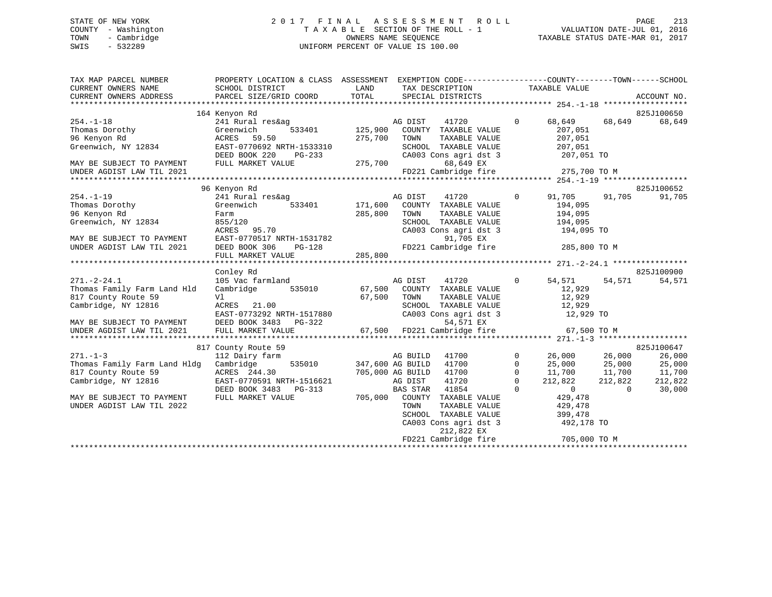# STATE OF NEW YORK 2 0 1 7 F I N A L A S S E S S M E N T R O L L PAGE 213 COUNTY - Washington T A X A B L E SECTION OF THE ROLL - 1 VALUATION DATE-JUL 01, 2016 TOWN - Cambridge OWNERS NAME SEQUENCE TAXABLE STATUS DATE-MAR 01, 2017 SWIS - 532289 UNIFORM PERCENT OF VALUE IS 100.00

| TAX MAP PARCEL NUMBER<br>CURRENT OWNERS NAME<br>CURRENT OWNERS ADDRESS | PROPERTY LOCATION & CLASS ASSESSMENT EXEMPTION CODE---------------COUNTY-------TOWN-----SCHOOL<br>SCHOOL DISTRICT<br>PARCEL SIZE/GRID COORD | LAND<br>TOTAL    | TAX DESCRIPTION<br>SPECIAL DISTRICTS                               |              | TAXABLE VALUE                  |                | ACCOUNT NO. |
|------------------------------------------------------------------------|---------------------------------------------------------------------------------------------------------------------------------------------|------------------|--------------------------------------------------------------------|--------------|--------------------------------|----------------|-------------|
|                                                                        | 164 Kenyon Rd                                                                                                                               |                  |                                                                    |              |                                |                | 825J100650  |
| $254. -1 - 18$                                                         | 241 Rural res&ag                                                                                                                            |                  | 41720<br>AG DIST                                                   | $\mathbf{0}$ | 68,649                         | 68,649         | 68,649      |
| Thomas Dorothy                                                         | Greenwich                                                                                                                                   | 533401 125,900   | COUNTY TAXABLE VALUE                                               |              | 207,051                        |                |             |
| 96 Kenyon Rd                                                           | 59.50<br>ACRES                                                                                                                              | 275,700          | TOWN<br>TAXABLE VALUE                                              |              | 207,051                        |                |             |
| Greenwich, NY 12834                                                    | EAST-0770692 NRTH-1533310                                                                                                                   |                  | SCHOOL TAXABLE VALUE                                               |              | 207,051                        |                |             |
|                                                                        | DEED BOOK 220<br>PG-233                                                                                                                     |                  | CA003 Cons agri dst 3                                              |              |                                |                |             |
| MAY BE SUBJECT TO PAYMENT                                              | FULL MARKET VALUE                                                                                                                           | 275,700          | 68,649 EX                                                          |              | 207,051 TO                     |                |             |
| UNDER AGDIST LAW TIL 2021                                              |                                                                                                                                             |                  | FD221 Cambridge fire                                               |              | 275,700 TO M                   |                |             |
|                                                                        |                                                                                                                                             |                  |                                                                    |              |                                |                |             |
|                                                                        | 96 Kenyon Rd                                                                                                                                |                  |                                                                    |              |                                |                | 825J100652  |
| $254. -1 - 19$                                                         | 241 Rural res&ag                                                                                                                            |                  | 41720                                                              | $\mathbf{0}$ | 91,705                         | 91,705         | 91,705      |
|                                                                        | 533401<br>Greenwich                                                                                                                         |                  | AG DIST                                                            |              |                                |                |             |
| Thomas Dorothy<br>96 Kenyon Rd                                         |                                                                                                                                             |                  | 171,600 COUNTY TAXABLE VALUE                                       |              | 194,095                        |                |             |
|                                                                        | Farm                                                                                                                                        | 285,800          | TAXABLE VALUE<br>TOWN                                              |              | 194,095<br>194,095             |                |             |
| Greenwich, NY 12834                                                    | 855/120                                                                                                                                     |                  | SCHOOL TAXABLE VALUE                                               |              |                                |                |             |
|                                                                        | ACRES 95.70                                                                                                                                 |                  | CA003 Cons agri dst 3                                              |              | 194,095 TO                     |                |             |
| MAY BE SUBJECT TO PAYMENT                                              | EAST-0770517 NRTH-1531782                                                                                                                   |                  | 91,705 EX                                                          |              |                                |                |             |
| UNDER AGDIST LAW TIL 2021                                              | DEED BOOK 306<br>PG-128                                                                                                                     |                  | FD221 Cambridge fire                                               |              | 285,800 TO M                   |                |             |
|                                                                        | FULL MARKET VALUE                                                                                                                           | 285,800          |                                                                    |              |                                |                |             |
|                                                                        |                                                                                                                                             |                  |                                                                    |              |                                |                |             |
|                                                                        | Conley Rd                                                                                                                                   |                  |                                                                    |              |                                |                | 825J100900  |
| $271. - 2 - 24.1$                                                      | 105 Vac farmland                                                                                                                            |                  | AG DIST<br>41720                                                   | $\mathbf{0}$ | 54,571                         | 54,571         | 54,571      |
| Thomas Family Farm Land Hld                                            | Cambridge<br>535010                                                                                                                         |                  | 67,500 COUNTY TAXABLE VALUE                                        |              | 12,929                         |                |             |
| 817 County Route 59                                                    | Vl                                                                                                                                          | 67,500           | TOWN<br>TAXABLE VALUE                                              |              | 12,929                         |                |             |
| Cambridge, NY 12816                                                    | ACRES 21.00<br>EAST-0773292 NRTH-1517880                                                                                                    |                  | SCHOOL TAXABLE VALUE $12,929$<br>CA003 Cons agri dst 3 $12,929$ TO |              |                                |                |             |
|                                                                        |                                                                                                                                             |                  |                                                                    |              |                                |                |             |
| MAY BE SUBJECT TO PAYMENT                                              | DEED BOOK 3483 PG-322<br>FULL MARKET VALUE 67,500 FD221 Cambridge fire                                                                      |                  |                                                                    |              |                                |                |             |
| UNDER AGDIST LAW TIL 2021                                              |                                                                                                                                             |                  |                                                                    |              | 67,500 TO M                    |                |             |
|                                                                        |                                                                                                                                             |                  |                                                                    |              |                                |                |             |
|                                                                        | 817 County Route 59                                                                                                                         |                  |                                                                    |              |                                |                | 825J100647  |
| $271. - 1 - 3$                                                         | 112 Dairy farm                                                                                                                              |                  | AG BUILD<br>41700                                                  | $\mathbf{0}$ | 26,000 26,000<br>25,000 25,000 |                | 26,000      |
| Thomas Family Farm Land Hldg Cambridge                                 | 535010                                                                                                                                      | 347,600 AG BUILD | 41700                                                              | $\Omega$     |                                |                | 25,000      |
| 817 County Route 59                                                    | ACRES 244.30                                                                                                                                |                  | 705,000 AG BUILD<br>41700                                          | $\mathbf{0}$ | 11,700                         | 11,700         | 11,700      |
| Cambridge, NY 12816                                                    | EAST-0770591 NRTH-1516621                                                                                                                   |                  | 41720<br>AG DIST                                                   | $\mathbf{0}$ | 212,822                        | 212,822        | 212,822     |
|                                                                        | DEED BOOK 3483 PG-313                                                                                                                       |                  | <b>BAS STAR</b><br>41854                                           | $\Omega$     | $\overline{0}$                 | $\overline{0}$ | 30,000      |
| MAY BE SUBJECT TO PAYMENT                                              | FULL MARKET VALUE                                                                                                                           |                  | 705,000 COUNTY TAXABLE VALUE                                       |              | 429,478                        |                |             |
| UNDER AGDIST LAW TIL 2022                                              |                                                                                                                                             |                  | TOWN<br>TAXABLE VALUE                                              |              | 429,478<br>399,478             |                |             |
|                                                                        |                                                                                                                                             |                  | SCHOOL TAXABLE VALUE                                               |              |                                |                |             |
|                                                                        |                                                                                                                                             |                  | CA003 Cons agri dst 3                                              |              | 492,178 TO                     |                |             |
|                                                                        |                                                                                                                                             |                  | 212,822 EX                                                         |              |                                |                |             |
|                                                                        |                                                                                                                                             |                  | FD221 Cambridge fire                                               |              | 705,000 TO M                   |                |             |
|                                                                        |                                                                                                                                             |                  |                                                                    |              |                                |                |             |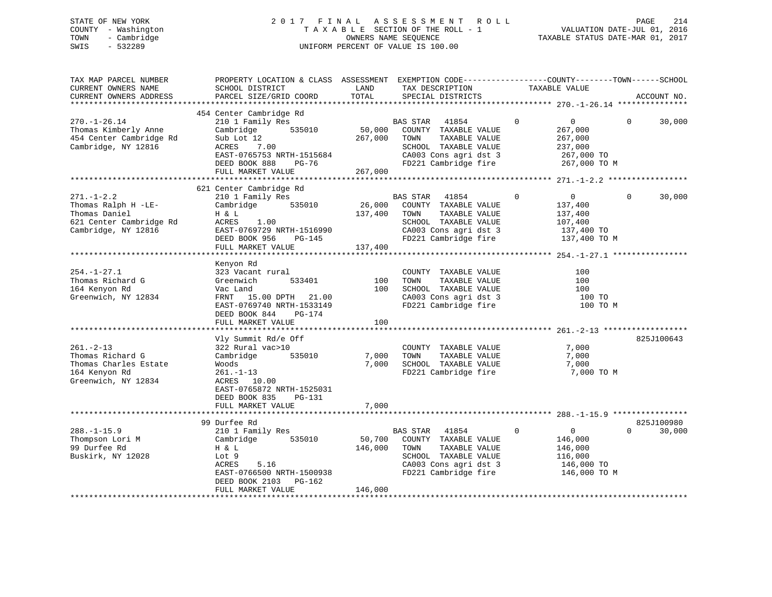# STATE OF NEW YORK 2 0 1 7 F I N A L A S S E S S M E N T R O L L PAGE 214 COUNTY - Washington T A X A B L E SECTION OF THE ROLL - 1 VALUATION DATE-JUL 01, 2016 TOWN - Cambridge OWNERS NAME SEQUENCE TAXABLE STATUS DATE-MAR 01, 2017 SWIS - 532289 UNIFORM PERCENT OF VALUE IS 100.00

| TAX MAP PARCEL NUMBER<br>CURRENT OWNERS NAME<br>CURRENT OWNERS ADDRESS                                     | PROPERTY LOCATION & CLASS ASSESSMENT EXEMPTION CODE----------------COUNTY-------TOWN------SCHOOL<br>SCHOOL DISTRICT<br>PARCEL SIZE/GRID COORD                                 | LAND<br>TOTAL                | TAX DESCRIPTION<br>SPECIAL DISTRICTS                                                                                                        | TAXABLE VALUE                                                                                | ACCOUNT NO.                      |
|------------------------------------------------------------------------------------------------------------|-------------------------------------------------------------------------------------------------------------------------------------------------------------------------------|------------------------------|---------------------------------------------------------------------------------------------------------------------------------------------|----------------------------------------------------------------------------------------------|----------------------------------|
|                                                                                                            |                                                                                                                                                                               |                              |                                                                                                                                             |                                                                                              |                                  |
| $270. - 1 - 26.14$<br>Thomas Kimberly Anne<br>454 Center Cambridge Rd<br>Cambridge, NY 12816               | 454 Center Cambridge Rd<br>210 1 Family Res<br>Cambridge<br>535010<br>Sub Lot 12<br>7.00<br>ACRES<br>EAST-0765753 NRTH-1515684<br>DEED BOOK 888<br>PG-76<br>FULL MARKET VALUE | 50,000<br>267,000<br>267,000 | 41854<br>BAS STAR<br>COUNTY TAXABLE VALUE<br>TOWN<br>TAXABLE VALUE<br>SCHOOL TAXABLE VALUE<br>CA003 Cons agri dst 3<br>FD221 Cambridge fire | $\mathbf 0$<br>$\overline{0}$<br>267,000<br>267,000<br>237,000<br>267,000 TO<br>267,000 TO M | $\Omega$<br>30,000               |
|                                                                                                            |                                                                                                                                                                               |                              |                                                                                                                                             |                                                                                              |                                  |
| $271. - 1 - 2.2$<br>Thomas Ralph H -LE-<br>Thomas Daniel<br>621 Center Cambridge Rd<br>Cambridge, NY 12816 | 621 Center Cambridge Rd<br>210 1 Family Res<br>Cambridge<br>535010<br>H & L<br>1.00<br>ACRES<br>EAST-0769729 NRTH-1516990<br>DEED BOOK 956<br>PG-145<br>FULL MARKET VALUE     | 26,000<br>137,400<br>137,400 | BAS STAR 41854<br>COUNTY TAXABLE VALUE<br>TOWN<br>TAXABLE VALUE<br>SCHOOL TAXABLE VALUE<br>CA003 Cons agri dst 3<br>FD221 Cambridge fire    | $\overline{0}$<br>0<br>137,400<br>137,400<br>107,400<br>137,400 TO<br>137,400 TO M           | $\Omega$<br>30,000               |
|                                                                                                            |                                                                                                                                                                               |                              |                                                                                                                                             |                                                                                              |                                  |
| $254. - 1 - 27.1$<br>Thomas Richard G<br>164 Kenyon Rd<br>Greenwich, NY 12834                              | Kenyon Rd<br>323 Vacant rural<br>533401<br>Greenwich<br>Vac Land<br>FRNT 15.00 DPTH 21.00<br>EAST-0769740 NRTH-1533149<br>DEED BOOK 844<br>PG-174<br>FULL MARKET VALUE        | 100<br>100<br>100            | COUNTY TAXABLE VALUE<br>TAXABLE VALUE<br>TOWN<br>SCHOOL TAXABLE VALUE<br>CA003 Cons agri dst 3<br>FD221 Cambridge fire                      | 100<br>100<br>100<br>100 TO<br>100 TO M                                                      |                                  |
|                                                                                                            |                                                                                                                                                                               |                              |                                                                                                                                             |                                                                                              |                                  |
| $261. - 2 - 13$<br>Thomas Richard G<br>Thomas Charles Estate<br>164 Kenyon Rd<br>Greenwich, NY 12834       | Vly Summit Rd/e Off<br>322 Rural vac>10<br>Cambridge<br>535010<br>Woods<br>$261. - 1 - 13$<br>ACRES 10.00<br>EAST-0765872 NRTH-1525031<br>DEED BOOK 835<br>PG-131             | 7,000<br>7,000               | COUNTY TAXABLE VALUE<br>TOWN<br>TAXABLE VALUE<br>SCHOOL TAXABLE VALUE<br>FD221 Cambridge fire                                               | 7,000<br>7,000<br>7,000<br>7,000 TO M                                                        | 825J100643                       |
|                                                                                                            | FULL MARKET VALUE                                                                                                                                                             | 7,000                        |                                                                                                                                             |                                                                                              |                                  |
|                                                                                                            |                                                                                                                                                                               |                              |                                                                                                                                             |                                                                                              |                                  |
| $288. - 1 - 15.9$<br>Thompson Lori M<br>99 Durfee Rd<br>Buskirk, NY 12028                                  | 99 Durfee Rd<br>210 1 Family Res<br>Cambridge<br>535010<br>H & L<br>Lot 9<br>5.16<br>ACRES<br>EAST-0766500 NRTH-1500938<br>DEED BOOK 2103<br>PG-162<br>FULL MARKET VALUE      | 50,700<br>146,000<br>146,000 | BAS STAR 41854<br>COUNTY TAXABLE VALUE<br>TOWN<br>TAXABLE VALUE<br>SCHOOL TAXABLE VALUE<br>CA003 Cons agri dst 3<br>FD221 Cambridge fire    | $\mathbf 0$<br>$\overline{0}$<br>146,000<br>146,000<br>116,000<br>146,000 TO<br>146,000 TO M | 825J100980<br>$\Omega$<br>30,000 |
|                                                                                                            |                                                                                                                                                                               |                              |                                                                                                                                             |                                                                                              |                                  |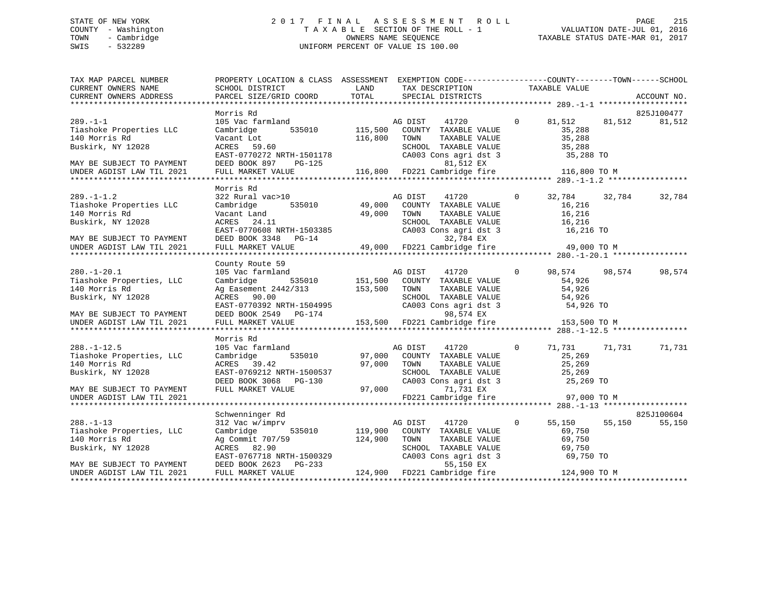# STATE OF NEW YORK 2 0 1 7 F I N A L A S S E S S M E N T R O L L PAGE 215 COUNTY - Washington T A X A B L E SECTION OF THE ROLL - 1 VALUATION DATE-JUL 01, 2016 TOWN - Cambridge OWNERS NAME SEQUENCE TAXABLE STATUS DATE-MAR 01, 2017 SWIS - 532289 UNIFORM PERCENT OF VALUE IS 100.00

| TAX MAP PARCEL NUMBER                         | PROPERTY LOCATION & CLASS ASSESSMENT EXEMPTION CODE----------------COUNTY-------TOWN------SCHOOL |               |                                      |                              |                |              |        |             |
|-----------------------------------------------|--------------------------------------------------------------------------------------------------|---------------|--------------------------------------|------------------------------|----------------|--------------|--------|-------------|
| CURRENT OWNERS NAME<br>CURRENT OWNERS ADDRESS | SCHOOL DISTRICT<br>PARCEL SIZE/GRID COORD                                                        | LAND<br>TOTAL | TAX DESCRIPTION<br>SPECIAL DISTRICTS |                              | TAXABLE VALUE  |              |        | ACCOUNT NO. |
|                                               |                                                                                                  |               |                                      |                              |                |              |        |             |
|                                               | Morris Rd                                                                                        |               |                                      |                              |                |              |        | 825J100477  |
| $289. -1 - 1$                                 | 105 Vac farmland                                                                                 |               | AG DIST                              | 41720                        | $\overline{0}$ | 81,512       | 81,512 | 81,512      |
| Tiashoke Properties LLC                       | 535010<br>Cambridge                                                                              | 115,500       |                                      | COUNTY TAXABLE VALUE         |                | 35,288       |        |             |
| 140 Morris Rd                                 | Vacant Lot                                                                                       | 116,800       | TOWN                                 | TAXABLE VALUE                |                | 35,288       |        |             |
| Buskirk, NY 12028                             | ACRES 59.60                                                                                      |               |                                      | SCHOOL TAXABLE VALUE         |                | 35,288       |        |             |
|                                               | EAST-0770272 NRTH-1501178                                                                        |               |                                      | CA003 Cons agri dst 3        |                | 35,288 TO    |        |             |
| MAY BE SUBJECT TO PAYMENT                     | DEED BOOK 897<br>PG-125                                                                          |               |                                      | 81,512 EX                    |                |              |        |             |
| UNDER AGDIST LAW TIL 2021                     | FULL MARKET VALUE                                                                                |               |                                      | 116,800 FD221 Cambridge fire |                | 116,800 TO M |        |             |
|                                               |                                                                                                  |               |                                      |                              |                |              |        |             |
|                                               | Morris Rd                                                                                        |               |                                      |                              |                |              |        |             |
| $289. -1 - 1.2$                               | 322 Rural vac>10                                                                                 |               | AG DIST                              | 41720                        | $\Omega$       | 32,784       | 32,784 | 32,784      |
| Tiashoke Properties LLC                       | 535010<br>Cambridge                                                                              | 49,000        |                                      | COUNTY TAXABLE VALUE         |                | 16,216       |        |             |
| 140 Morris Rd                                 | Vacant Land                                                                                      | 49,000        | TOWN                                 | TAXABLE VALUE                |                | 16,216       |        |             |
| Buskirk, NY 12028                             | ACRES 24.11                                                                                      |               |                                      | SCHOOL TAXABLE VALUE         |                | 16,216       |        |             |
|                                               | EAST-0770608 NRTH-1503385                                                                        |               |                                      | CA003 Cons agri dst 3        |                | 16,216 TO    |        |             |
| MAY BE SUBJECT TO PAYMENT                     | DEED BOOK 3348 PG-14                                                                             |               |                                      | 32,784 EX                    |                |              |        |             |
| UNDER AGDIST LAW TIL 2021                     | FULL MARKET VALUE                                                                                |               |                                      | 49,000 FD221 Cambridge fire  |                | 49,000 TO M  |        |             |
|                                               |                                                                                                  |               |                                      |                              |                |              |        |             |
|                                               | County Route 59                                                                                  |               |                                      |                              |                |              |        |             |
| $280. - 1 - 20.1$                             | 105 Vac farmland                                                                                 |               | AG DIST                              | 41720                        | $\overline{0}$ | 98,574       | 98,574 | 98,574      |
| Tiashoke Properties, LLC                      | 535010<br>Cambridge                                                                              | 151,500       |                                      | COUNTY TAXABLE VALUE         |                | 54,926       |        |             |
| 140 Morris Rd                                 | Ag Easement 2442/313                                                                             | 153,500       | TOWN                                 | TAXABLE VALUE                |                | 54,926       |        |             |
| Buskirk, NY 12028                             | ACRES 90.00                                                                                      |               |                                      | SCHOOL TAXABLE VALUE         |                | 54,926       |        |             |
|                                               | EAST-0770392 NRTH-1504995                                                                        |               |                                      | CA003 Cons agri dst 3        |                | 54,926 TO    |        |             |
| MAY BE SUBJECT TO PAYMENT                     | DEED BOOK 2549 PG-174                                                                            |               |                                      | 98,574 EX                    |                |              |        |             |
| UNDER AGDIST LAW TIL 2021                     | FULL MARKET VALUE                                                                                |               |                                      | 153,500 FD221 Cambridge fire |                | 153,500 TO M |        |             |
|                                               |                                                                                                  |               |                                      |                              |                |              |        |             |
|                                               | Morris Rd                                                                                        |               |                                      |                              |                |              |        |             |
| $288. - 1 - 12.5$                             | 105 Vac farmland                                                                                 |               | AG DIST                              | 41720                        | $\Omega$       | 71,731       | 71,731 | 71,731      |
| Tiashoke Properties, LLC                      | Cambridge<br>535010                                                                              | 97,000        |                                      | COUNTY TAXABLE VALUE         |                | 25,269       |        |             |
| 140 Morris Rd                                 | ACRES 39.42                                                                                      | 97,000        | TOWN                                 | TAXABLE VALUE                |                | 25,269       |        |             |
| Buskirk, NY 12028                             | EAST-0769212 NRTH-1500537                                                                        |               |                                      | SCHOOL TAXABLE VALUE         |                | 25,269       |        |             |
|                                               | DEED BOOK 3068<br>PG-130                                                                         |               |                                      | CA003 Cons agri dst 3        |                | 25,269 TO    |        |             |
| MAY BE SUBJECT TO PAYMENT                     | FULL MARKET VALUE                                                                                | 97,000        |                                      | 71,731 EX                    |                |              |        |             |
| UNDER AGDIST LAW TIL 2021                     |                                                                                                  |               |                                      | FD221 Cambridge fire         |                | 97,000 TO M  |        |             |
|                                               |                                                                                                  |               |                                      |                              |                |              |        |             |
|                                               | Schwenninger Rd                                                                                  |               |                                      |                              |                |              |        | 825J100604  |
| $288. - 1 - 13$                               | 312 Vac w/imprv                                                                                  |               | AG DIST                              | 41720                        | $\mathbf{0}$   | 55,150       | 55,150 | 55,150      |
| Tiashoke Properties, LLC                      | 535010<br>Cambridge                                                                              | 119,900       |                                      | COUNTY TAXABLE VALUE         |                | 69,750       |        |             |
| 140 Morris Rd                                 | Ag Commit 707/59                                                                                 | 124,900       | TOWN                                 | TAXABLE VALUE                |                | 69,750       |        |             |
| Buskirk, NY 12028                             | ACRES 82.90                                                                                      |               |                                      | SCHOOL TAXABLE VALUE         |                | 69,750       |        |             |
|                                               | EAST-0767718 NRTH-1500329                                                                        |               |                                      | CA003 Cons agri dst 3        |                | 69,750 TO    |        |             |
| MAY BE SUBJECT TO PAYMENT                     | DEED BOOK 2623 PG-233                                                                            |               |                                      | 55,150 EX                    |                |              |        |             |
| UNDER AGDIST LAW TIL 2021                     | FULL MARKET VALUE                                                                                |               |                                      | 124,900 FD221 Cambridge fire |                | 124,900 TO M |        |             |
|                                               |                                                                                                  |               |                                      |                              |                |              |        |             |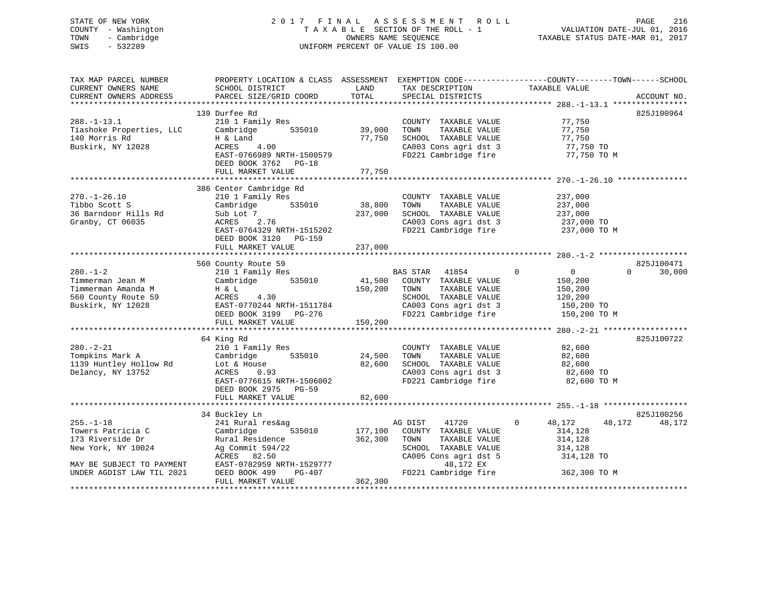# STATE OF NEW YORK 2 0 1 7 F I N A L A S S E S S M E N T R O L L PAGE 216 COUNTY - Washington T A X A B L E SECTION OF THE ROLL - 1 VALUATION DATE-JUL 01, 2016 TOWN - Cambridge OWNERS NAME SEQUENCE TAXABLE STATUS DATE-MAR 01, 2017 SWIS - 532289 UNIFORM PERCENT OF VALUE IS 100.00

| TAX MAP PARCEL NUMBER<br>CURRENT OWNERS NAME<br>CURRENT OWNERS ADDRESS | PROPERTY LOCATION & CLASS ASSESSMENT<br>SCHOOL DISTRICT<br>PARCEL SIZE/GRID COORD | LAND<br>TOTAL | TAX DESCRIPTION<br>SPECIAL DISTRICTS                    | EXEMPTION CODE-----------------COUNTY-------TOWN------SCHOOL<br>TAXABLE VALUE | ACCOUNT NO.        |
|------------------------------------------------------------------------|-----------------------------------------------------------------------------------|---------------|---------------------------------------------------------|-------------------------------------------------------------------------------|--------------------|
|                                                                        |                                                                                   |               |                                                         |                                                                               |                    |
|                                                                        | 139 Durfee Rd                                                                     |               |                                                         |                                                                               | 825J100964         |
| $288. - 1 - 13.1$                                                      | 210 1 Family Res                                                                  |               | COUNTY TAXABLE VALUE                                    | 77,750                                                                        |                    |
| Tiashoke Properties, LLC<br>140 Morris Rd                              | 535010<br>Cambridge                                                               | 39,000        | TAXABLE VALUE<br>TOWN                                   | 77,750                                                                        |                    |
| Buskirk, NY 12028                                                      | H & Land<br>4.00<br>ACRES                                                         | 77,750        | SCHOOL TAXABLE VALUE                                    | 77,750                                                                        |                    |
|                                                                        | EAST-0766989 NRTH-1500579                                                         |               | CA003 Cons agri dst 3 77,750 TO<br>FD221 Cambridge fire | 77,750 TO M                                                                   |                    |
|                                                                        | DEED BOOK 3762 PG-18                                                              |               |                                                         |                                                                               |                    |
|                                                                        | FULL MARKET VALUE                                                                 | 77,750        |                                                         |                                                                               |                    |
|                                                                        |                                                                                   |               |                                                         |                                                                               |                    |
|                                                                        | 386 Center Cambridge Rd                                                           |               |                                                         |                                                                               |                    |
| $270. - 1 - 26.10$                                                     | 210 1 Family Res                                                                  |               | COUNTY TAXABLE VALUE                                    | 237,000                                                                       |                    |
| Tibbo Scott S                                                          | Cambridge 535010                                                                  | 38,800        | TOWN<br>TAXABLE VALUE                                   | 237,000                                                                       |                    |
| 36 Barndoor Hills Rd                                                   | Sub Lot 7                                                                         | 237,000       | SCHOOL TAXABLE VALUE                                    |                                                                               |                    |
| Granby, CT 06035                                                       | ACRES 2.76                                                                        |               | CA003 Cons agri dst 3                                   | 237,000<br>237,000 TO                                                         |                    |
|                                                                        | EAST-0764329 NRTH-1515202                                                         |               |                                                         | FD221 Cambridge fire 237,000 TO M                                             |                    |
|                                                                        | DEED BOOK 3120 PG-159                                                             |               |                                                         |                                                                               |                    |
|                                                                        | FULL MARKET VALUE                                                                 | 237,000       |                                                         |                                                                               |                    |
|                                                                        |                                                                                   |               |                                                         |                                                                               |                    |
|                                                                        | 560 County Route 59                                                               |               |                                                         |                                                                               | 825J100471         |
| $280 - 1 - 2$                                                          | 210 1 Family Res                                                                  |               | BAS STAR 41854                                          | $\mathbf 0$<br>$\overline{0}$                                                 | 30,000<br>$\Omega$ |
| Timmerman Jean M                                                       | Cambridge 535010                                                                  | 41,500        | COUNTY TAXABLE VALUE                                    | 150,200                                                                       |                    |
| Timmerman Amanda M                                                     | H & L                                                                             | 150,200       | TAXABLE VALUE<br>TOWN                                   | 150,200                                                                       |                    |
| 560 County Route 59                                                    | 4.30<br>ACRES                                                                     |               | SCHOOL TAXABLE VALUE                                    | 120,200                                                                       |                    |
| Buskirk, NY 12028                                                      | EAST-0770244 NRTH-1511784                                                         |               |                                                         |                                                                               |                    |
|                                                                        |                                                                                   |               |                                                         | CA003 Cons agri dst 3 150,200 TO<br>FD221 Cambridge fire 150,200 TO M         |                    |
|                                                                        |                                                                                   |               |                                                         |                                                                               |                    |
|                                                                        |                                                                                   |               |                                                         |                                                                               |                    |
|                                                                        | 64 King Rd                                                                        |               |                                                         |                                                                               | 825J100722         |
| $280. - 2 - 21$                                                        | 210 1 Family Res                                                                  |               | COUNTY TAXABLE VALUE                                    | 82,600                                                                        |                    |
| Tompkins Mark A                                                        | $210 + r$ and $r$ and $r$ $535010$                                                | 24,500        | TOWN<br>TAXABLE VALUE                                   | 82,600                                                                        |                    |
| 1139 Huntley Hollow Rd                                                 | Lot & House                                                                       | 82,600        | SCHOOL TAXABLE VALUE                                    | 82,600                                                                        |                    |
| Delancy, NY 13752                                                      | ACRES<br>0.93                                                                     |               |                                                         |                                                                               |                    |
|                                                                        | EAST-0776615 NRTH-1506002                                                         |               |                                                         | CA003 Cons agri dst 3 82,600 TO<br>FD221 Cambridge fire 82,600 TO M           |                    |
|                                                                        | DEED BOOK 2975 PG-59                                                              |               |                                                         |                                                                               |                    |
|                                                                        | FULL MARKET VALUE                                                                 | 82,600        |                                                         |                                                                               |                    |
|                                                                        |                                                                                   |               |                                                         |                                                                               |                    |
|                                                                        | 34 Buckley Ln                                                                     |               |                                                         |                                                                               | 825J100256         |
| $255. - 1 - 18$                                                        | 241 Rural res&ag                                                                  |               | AG DIST 41720                                           | $\Omega$<br>48,172<br>48,172                                                  | 48,172             |
| Towers Patricia C                                                      | 535010 177,100<br>Cambridge                                                       |               | COUNTY TAXABLE VALUE                                    | 314,128                                                                       |                    |
| 173 Riverside Dr                                                       | Rural Residence                                                                   | 362,300       | TOWN<br>TAXABLE VALUE                                   | 314,128                                                                       |                    |
| New York, NY 10024                                                     | Ag Commit 594/22                                                                  |               | SCHOOL TAXABLE VALUE                                    | 314,128                                                                       |                    |
|                                                                        | ACRES 82.50                                                                       |               | CA005 Cons agri dst 5                                   | 314,128 TO                                                                    |                    |
| MAY BE SUBJECT TO PAYMENT                                              | ACRES 02.00<br>EAST-0782959 NRTH-1529777                                          |               | 48,172 EX                                               |                                                                               |                    |
| UNDER AGDIST LAW TIL 2021                                              |                                                                                   |               | FD221 Cambridge fire                                    | 362,300 TO M                                                                  |                    |
|                                                                        | FULL MARKET VALUE                                                                 | 362,300       |                                                         |                                                                               |                    |
|                                                                        |                                                                                   |               |                                                         |                                                                               |                    |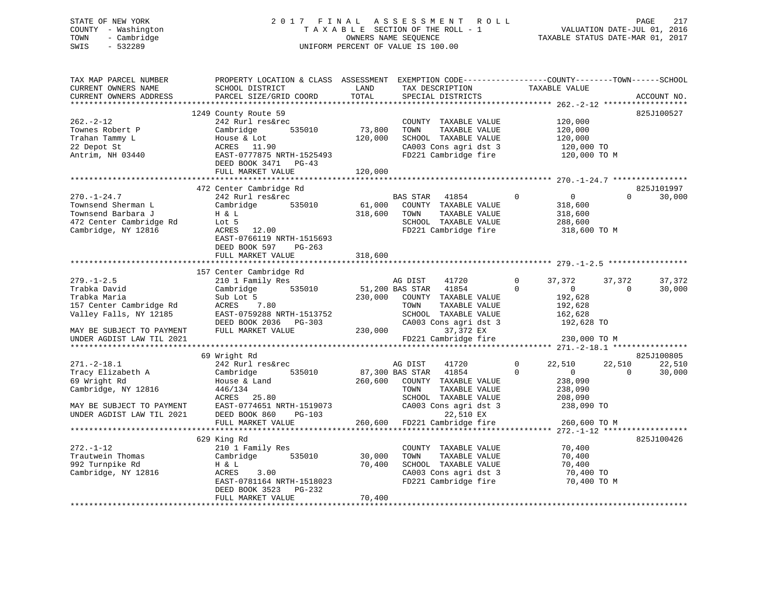# STATE OF NEW YORK 2 0 1 7 F I N A L A S S E S S M E N T R O L L PAGE 217 COUNTY - Washington T A X A B L E SECTION OF THE ROLL - 1 VALUATION DATE-JUL 01, 2016 TOWN - Cambridge OWNERS NAME SEQUENCE TAXABLE STATUS DATE-MAR 01, 2017 SWIS - 532289 UNIFORM PERCENT OF VALUE IS 100.00

| TAX MAP PARCEL NUMBER<br>CURRENT OWNERS NAME<br>CURRENT OWNERS ADDRESS                                          | PROPERTY LOCATION & CLASS ASSESSMENT EXEMPTION CODE----------------COUNTY-------TOWN------SCHOOL<br>SCHOOL DISTRICT<br>PARCEL SIZE/GRID COORD                                    | LAND<br>TOTAL                | TAX DESCRIPTION<br>SPECIAL DISTRICTS                                                                                                        | TAXABLE VALUE                                                                                 | ACCOUNT NO.                            |
|-----------------------------------------------------------------------------------------------------------------|----------------------------------------------------------------------------------------------------------------------------------------------------------------------------------|------------------------------|---------------------------------------------------------------------------------------------------------------------------------------------|-----------------------------------------------------------------------------------------------|----------------------------------------|
|                                                                                                                 |                                                                                                                                                                                  |                              |                                                                                                                                             |                                                                                               |                                        |
| $262 - 2 - 12$<br>Townes Robert P<br>Trahan Tammy L<br>22 Depot St<br>Antrim, NH 03440                          | 1249 County Route 59<br>242 Rurl res&rec<br>535010<br>Cambridge<br>House & Lot<br>ACRES 11.90<br>EAST-0777875 NRTH-1525493<br>DEED BOOK 3471 PG-43<br>FULL MARKET VALUE          | 73,800<br>120,000<br>120,000 | COUNTY TAXABLE VALUE<br>TOWN<br>TAXABLE VALUE<br>SCHOOL TAXABLE VALUE<br>CA003 Cons agri dst 3<br>FD221 Cambridge fire                      | 120,000<br>120,000<br>120,000<br>120,000 TO<br>120,000 TO M                                   | 825J100527                             |
|                                                                                                                 |                                                                                                                                                                                  |                              |                                                                                                                                             |                                                                                               |                                        |
| $270. - 1 - 24.7$<br>Townsend Sherman L<br>Townsend Barbara J<br>472 Center Cambridge Rd<br>Cambridge, NY 12816 | 472 Center Cambridge Rd<br>242 Rurl res&rec<br>Cambridge<br>535010<br>H & L<br>Lot 5<br>ACRES 12.00<br>EAST-0766119 NRTH-1515693<br>DEED BOOK 597<br>PG-263<br>FULL MARKET VALUE | 61,000<br>318,600<br>318,600 | <b>BAS STAR</b><br>41854<br>COUNTY TAXABLE VALUE<br>TOWN<br>TAXABLE VALUE<br>SCHOOL TAXABLE VALUE<br>FD221 Cambridge fire                   | $\Omega$<br>$\overline{0}$<br>318,600<br>318,600<br>288,600<br>318,600 TO M                   | 825J101997<br>$\Omega$<br>30,000       |
|                                                                                                                 |                                                                                                                                                                                  |                              |                                                                                                                                             |                                                                                               |                                        |
| $279. - 1 - 2.5$<br>Trabka David<br>Trabka Maria<br>157 Center Cambridge Rd<br>Valley Falls, NY 12185           | 157 Center Cambridge Rd<br>210 1 Family Res<br>535010<br>Cambridge<br>Sub Lot 5<br>ACRES 7.80<br>EAST-0759288 NRTH-1513752<br>DEED BOOK 2036 PG-303                              | 230,000                      | 41720<br>AG DIST<br>51,200 BAS STAR 41854<br>COUNTY TAXABLE VALUE<br>TAXABLE VALUE<br>TOWN<br>SCHOOL TAXABLE VALUE<br>CA003 Cons agri dst 3 | 37,372<br>$\mathbf{0}$<br>$\Omega$<br>$\sim$ 0<br>192,628<br>192,628<br>162,628<br>192,628 TO | 37,372<br>37,372<br>$\Omega$<br>30,000 |
| MAY BE SUBJECT TO PAYMENT                                                                                       | FULL MARKET VALUE                                                                                                                                                                |                              | 230,000<br>37,372 EX                                                                                                                        |                                                                                               |                                        |
| UNDER AGDIST LAW TIL 2021                                                                                       |                                                                                                                                                                                  |                              | FD221 Cambridge fire                                                                                                                        | 230,000 TO M                                                                                  |                                        |
|                                                                                                                 | 69 Wright Rd                                                                                                                                                                     |                              |                                                                                                                                             |                                                                                               | 825J100805                             |
| $271. - 2 - 18.1$<br>Tracy Elizabeth A<br>69 Wright Rd<br>Cambridge, NY 12816                                   | 242 Rurl res&rec<br>535010<br>Cambridge<br>House & Land<br>446/134<br>ACRES<br>25.80                                                                                             | 260,600                      | AG DIST<br>41720<br>87,300 BAS STAR<br>41854<br>COUNTY TAXABLE VALUE<br>TAXABLE VALUE<br>TOWN<br>SCHOOL TAXABLE VALUE                       | $\mathbf{0}$<br>22,510<br>$\Omega$<br>$\overline{0}$<br>238,090<br>238,090<br>208,090         | 22,510<br>22,510<br>30,000<br>$\Omega$ |
| MAY BE SUBJECT TO PAYMENT<br>UNDER AGDIST LAW TIL 2021                                                          | EAST-0774651 NRTH-1519073<br>DEED BOOK 860<br>PG-103<br>FULL MARKET VALUE                                                                                                        | 260,600                      | CA003 Cons agri dst 3<br>22,510 EX<br>FD221 Cambridge fire                                                                                  | 238,090 TO<br>260,600 TO M                                                                    |                                        |
|                                                                                                                 |                                                                                                                                                                                  |                              |                                                                                                                                             |                                                                                               |                                        |
| $272. - 1 - 12$<br>Trautwein Thomas<br>992 Turnpike Rd<br>Cambridge, NY 12816                                   | 629 King Rd<br>210 1 Family Res<br>Cambridge<br>535010<br>H & L<br>ACRES<br>3.00<br>EAST-0781164 NRTH-1518023<br>DEED BOOK 3523 PG-232<br>FULL MARKET VALUE                      | 30,000<br>70,400<br>70,400   | COUNTY TAXABLE VALUE<br>TOWN<br>TAXABLE VALUE<br>SCHOOL TAXABLE VALUE<br>CA003 Cons agri dst 3<br>FD221 Cambridge fire                      | 70,400<br>70,400<br>70,400<br>70,400 TO<br>70,400 TO M                                        | 825J100426                             |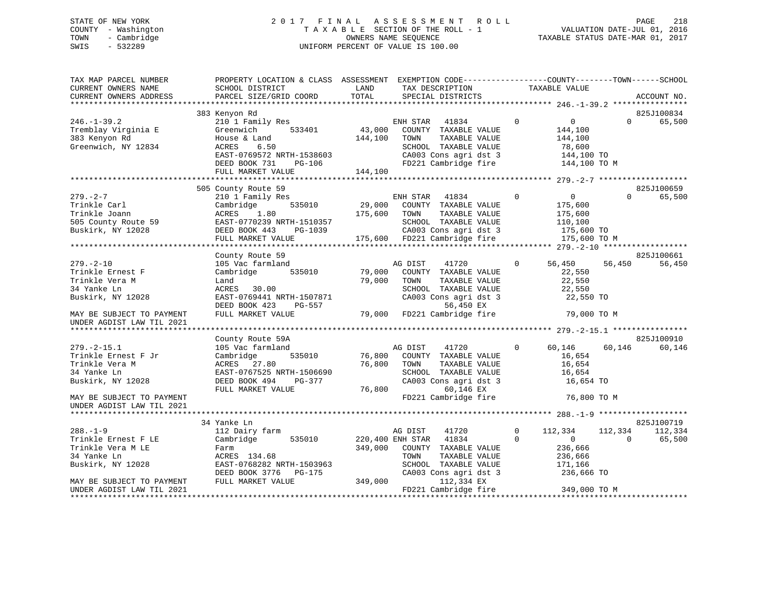# STATE OF NEW YORK 2 0 1 7 F I N A L A S S E S S M E N T R O L L PAGE 218 COUNTY - Washington T A X A B L E SECTION OF THE ROLL - 1 VALUATION DATE-JUL 01, 2016 TOWN - Cambridge OWNERS NAME SEQUENCE TAXABLE STATUS DATE-MAR 01, 2017 SWIS - 532289 UNIFORM PERCENT OF VALUE IS 100.00

| TAX MAP PARCEL NUMBER                    | PROPERTY LOCATION & CLASS ASSESSMENT EXEMPTION CODE----------------COUNTY-------TOWN------SCHOOL |                  |                              |              |                   |          |             |
|------------------------------------------|--------------------------------------------------------------------------------------------------|------------------|------------------------------|--------------|-------------------|----------|-------------|
| CURRENT OWNERS NAME                      | SCHOOL DISTRICT                                                                                  | LAND             | TAX DESCRIPTION              |              | TAXABLE VALUE     |          |             |
| CURRENT OWNERS ADDRESS                   | PARCEL SIZE/GRID COORD                                                                           | TOTAL            | SPECIAL DISTRICTS            |              |                   |          | ACCOUNT NO. |
|                                          |                                                                                                  |                  |                              |              |                   |          |             |
|                                          | 383 Kenyon Rd                                                                                    |                  |                              |              |                   |          | 825J100834  |
| $246. - 1 - 39.2$                        | 210 1 Family Res                                                                                 |                  | ENH STAR<br>41834            | $\mathbf 0$  | 0                 | $\Omega$ | 65,500      |
| Tremblay Virginia E                      | Greenwich<br>533401                                                                              | 43,000           | COUNTY TAXABLE VALUE         |              | 144,100           |          |             |
| 383 Kenyon Rd                            | House & Land                                                                                     | 144,100          | TOWN<br>TAXABLE VALUE        |              | 144,100           |          |             |
| Greenwich, NY 12834                      | ACRES<br>6.50                                                                                    |                  | SCHOOL TAXABLE VALUE         |              | 78,600            |          |             |
|                                          | EAST-0769572 NRTH-1538603<br>RTH-1538603<br>PG-106                                               |                  | CA003 Cons agri dst 3        |              | 144,100 TO        |          |             |
|                                          | DEED BOOK 731                                                                                    |                  | FD221 Cambridge fire         |              | 144,100 TO M      |          |             |
|                                          | FULL MARKET VALUE                                                                                | 144,100          |                              |              |                   |          |             |
|                                          |                                                                                                  |                  |                              |              |                   |          |             |
|                                          | 505 County Route 59                                                                              |                  |                              |              |                   |          | 825J100659  |
| $279. - 2 - 7$                           | 210 1 Family Res                                                                                 |                  | ENH STAR<br>41834            | $\Omega$     | $\overline{0}$    | $\Omega$ | 65,500      |
| Trinkle Carl                             | 535010<br>Cambridge                                                                              | 29,000           | COUNTY TAXABLE VALUE         |              | 175,600           |          |             |
| Trinkle Joann                            | ACRES<br>1.80                                                                                    | 175,600          | TOWN<br>TAXABLE VALUE        |              | 175,600           |          |             |
| 505 County Route 59<br>Buskirk, NY 12028 | EAST-0770239 NRTH-1510357                                                                        |                  | SCHOOL TAXABLE VALUE         |              | 110,100           |          |             |
|                                          | DEED BOOK 443                                                                                    | $PG-1039$        | CA003 Cons agri dst 3        |              | 175,600 TO        |          |             |
|                                          | FULL MARKET VALUE                                                                                |                  | 175,600 FD221 Cambridge fire |              | 175,600 TO M      |          |             |
|                                          |                                                                                                  |                  |                              |              |                   |          |             |
|                                          | County Route 59                                                                                  |                  |                              |              |                   |          | 825J100661  |
| $279. - 2 - 10$                          | 105 Vac farmland                                                                                 |                  | AG DIST<br>41720             | $\Omega$     | 56,450            | 56,450   | 56,450      |
| Trinkle Ernest F                         | 535010<br>Cambridge                                                                              | 79,000           | COUNTY TAXABLE VALUE         |              | 22,550            |          |             |
| Trinkle Vera M                           | Land                                                                                             | 79,000           | TOWN<br>TAXABLE VALUE        |              | 22,550            |          |             |
| 34 Yanke Ln                              | ACRES 30.00                                                                                      |                  | SCHOOL TAXABLE VALUE         |              | 22,550            |          |             |
| Buskirk, NY 12028                        | EAST-0769441 NRTH-1507871                                                                        |                  | CA003 Cons agri dst 3        |              | 22,550 TO         |          |             |
|                                          | DEED BOOK 423<br>PG-557                                                                          |                  | 56,450 EX                    |              |                   |          |             |
| MAY BE SUBJECT TO PAYMENT                | FULL MARKET VALUE                                                                                |                  | 79,000 FD221 Cambridge fire  |              | 79,000 TO M       |          |             |
| UNDER AGDIST LAW TIL 2021                |                                                                                                  |                  |                              |              |                   |          |             |
|                                          |                                                                                                  |                  |                              |              |                   |          |             |
|                                          | County Route 59A                                                                                 |                  |                              |              |                   |          | 825J100910  |
| $279. - 2 - 15.1$                        | 105 Vac farmland                                                                                 |                  | 41720<br>AG DIST             | $\mathbf{0}$ | 60,146            | 60,146   | 60,146      |
| Trinkle Ernest F Jr                      | 535010<br>Cambridge                                                                              | 76,800           | COUNTY TAXABLE VALUE         |              | 16,654            |          |             |
| Trinkle Vera M                           | ACRES 27.80                                                                                      | 76,800           | TOWN<br>TAXABLE VALUE        |              | 16,654            |          |             |
| 34 Yanke Ln                              | EAST-0767525 NRTH-1506690                                                                        |                  | SCHOOL TAXABLE VALUE         |              | 16,654            |          |             |
| Buskirk, NY 12028                        | DEED BOOK 494<br>PG-377                                                                          |                  | CA003 Cons agri dst 3        |              | 16,654 TO         |          |             |
|                                          | FULL MARKET VALUE                                                                                | 76,800           | 60,146 EX                    |              |                   |          |             |
| MAY BE SUBJECT TO PAYMENT                |                                                                                                  |                  | FD221 Cambridge fire         |              | 76,800 TO M       |          |             |
| UNDER AGDIST LAW TIL 2021                |                                                                                                  |                  |                              |              |                   |          |             |
|                                          |                                                                                                  |                  |                              |              |                   |          |             |
|                                          | 34 Yanke Ln                                                                                      |                  |                              |              |                   |          | 825J100719  |
| $288. - 1 - 9$                           | 112 Dairy farm                                                                                   |                  | AG DIST<br>41720             | $\mathbf 0$  | 112,334           | 112,334  | 112,334     |
| Trinkle Ernest F LE                      | Cambridge<br>535010                                                                              | 220,400 ENH STAR | 41834                        | $\Omega$     | $0 \qquad \qquad$ | $\Omega$ | 65,500      |
| Trinkle Vera M LE                        | Farm                                                                                             |                  | 349,000 COUNTY TAXABLE VALUE |              | 236,666           |          |             |
| 34 Yanke Ln                              | ACRES 134.68                                                                                     |                  | TOWN<br>TAXABLE VALUE        |              | 236,666           |          |             |
| Buskirk, NY 12028                        | EAST-0768282 NRTH-1503963                                                                        |                  | SCHOOL TAXABLE VALUE         |              | 171,166           |          |             |
|                                          | DEED BOOK 3776 PG-175                                                                            |                  | CA003 Cons agri dst 3        |              | 236,666 TO        |          |             |
| MAY BE SUBJECT TO PAYMENT                | FULL MARKET VALUE                                                                                | 349,000          | 112,334 EX                   |              |                   |          |             |
| UNDER AGDIST LAW TIL 2021                |                                                                                                  |                  | FD221 Cambridge fire         |              | 349,000 TO M      |          |             |
|                                          |                                                                                                  |                  |                              |              |                   |          |             |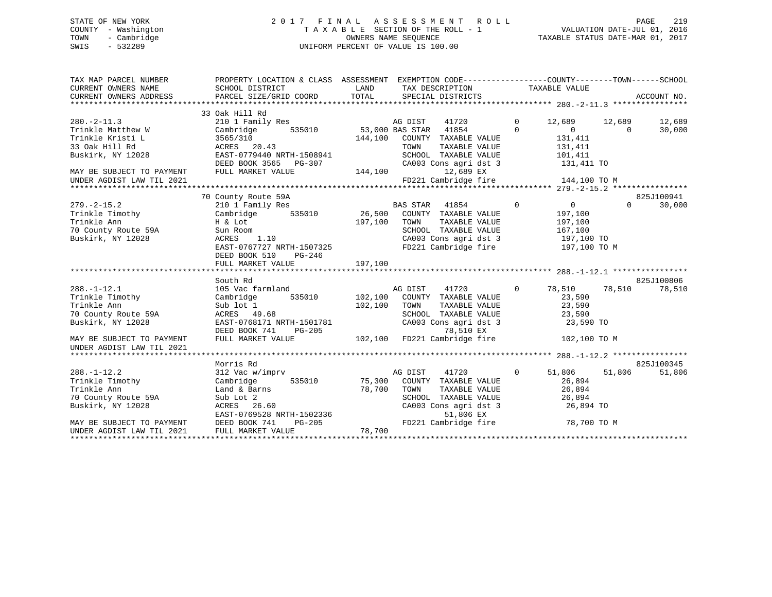### STATE OF NEW YORK 2 0 1 7 F I N A L A S S E S S M E N T R O L L PAGE 219COUNTY - Washington  $T A X A B L E$  SECTION OF THE ROLL - 1<br>TOWN - Cambridge  $\sim$  000NERS NAME SEQUENCE TOWN - Cambridge OWNERS NAME SEQUENCE TAXABLE STATUS DATE-MAR 01, 2017 SWIS - 532289 UNIFORM PERCENT OF VALUE IS 100.00

| TAX MAP PARCEL NUMBER<br>CURRENT OWNERS NAME           | PROPERTY LOCATION & CLASS ASSESSMENT EXEMPTION CODE---------------COUNTY-------TOWN-----SCHOOL           |         |                                                                                                                               |                |                            |                    |
|--------------------------------------------------------|----------------------------------------------------------------------------------------------------------|---------|-------------------------------------------------------------------------------------------------------------------------------|----------------|----------------------------|--------------------|
|                                                        |                                                                                                          |         |                                                                                                                               |                |                            |                    |
|                                                        | 33 Oak Hill Rd                                                                                           |         |                                                                                                                               |                |                            |                    |
| $280 - 2 - 11.3$                                       | 210 1 Family Res                                                                                         |         |                                                                                                                               |                | 12,689 12,689              | 12,689             |
| Trinkle Matthew W                                      | Cambridge                                                                                                |         |                                                                                                                               |                | $\overline{0}$<br>$\Omega$ | 30,000             |
| Trinkle Kristi L                                       | 3565/310<br>ACRES 20.43                                                                                  | 144,100 | COUNTY TAXABLE VALUE                                                                                                          |                | 131,411                    |                    |
| 33 Oak Hill Rd                                         |                                                                                                          |         | TOWN<br>TAXABLE VALUE                                                                                                         |                | 131,411<br>101,411         |                    |
| Buskirk, NY 12028                                      | EAST-0779440 NRTH-1508941                                                                                |         | SCHOOL TAXABLE VALUE                                                                                                          |                |                            |                    |
|                                                        | DEED BOOK 3565 PG-307                                                                                    |         | CA003 Cons agri dst 3                                                                                                         | 131,411 TO     |                            |                    |
| MAY BE SUBJECT TO PAYMENT                              | FULL MARKET VALUE                                                                                        | 144,100 | 12,689 EX                                                                                                                     |                |                            |                    |
| UNDER AGDIST LAW TIL 2021                              |                                                                                                          |         | FD221 Cambridge fire                                                                                                          |                | 144,100 TO M               |                    |
|                                                        |                                                                                                          |         |                                                                                                                               |                |                            |                    |
|                                                        | 70 County Route 59A                                                                                      |         |                                                                                                                               |                |                            | 825J100941         |
| $279. - 2 - 15.2$                                      |                                                                                                          |         |                                                                                                                               |                | $\overline{0}$             | $\Omega$<br>30,000 |
| Trinkle Timothy                                        |                                                                                                          |         |                                                                                                                               |                | 197,100                    |                    |
| Trinkle Ann                                            |                                                                                                          | 197,100 | TOWN<br>TAXABLE VALUE                                                                                                         |                | 197,100                    |                    |
| 70 County Route 59A<br>Buskirk NY 12028                | H & Lot<br>Sun Room<br>ACRES 1.10                                                                        |         | SCHOOL TAXABLE VALUE<br>SCHOOL TAXABLE VALUE 167,100<br>CA003 Cons agri dst 3 197,100 TO<br>FD221 Cambridge fire 197,100 TO M |                | 167,100                    |                    |
| Buskirk, NY 12028                                      |                                                                                                          |         |                                                                                                                               |                |                            |                    |
|                                                        | EAST-0767727 NRTH-1507325                                                                                |         |                                                                                                                               |                |                            |                    |
|                                                        | DEED BOOK 510<br>PG-246                                                                                  |         |                                                                                                                               |                |                            |                    |
|                                                        |                                                                                                          |         |                                                                                                                               |                |                            |                    |
|                                                        |                                                                                                          |         |                                                                                                                               |                |                            |                    |
|                                                        | South Rd                                                                                                 |         |                                                                                                                               |                |                            | 825J100806         |
| $288. - 1 - 12.1$                                      | 105 Vac farmland                                                                                         |         |                                                                                                                               | $\overline{0}$ | 78,510 78,510              | 78,510             |
| Trinkle Timothy                                        | Cambridge                                                                                                |         |                                                                                                                               |                | 23,590                     |                    |
| Trinkle Ann                                            | Sub lot 1                                                                                                | 102,100 | TOWN<br>TAXABLE VALUE                                                                                                         |                | 23,590                     |                    |
| 70 County Route 59A                                    | ACRES 49.68                                                                                              |         | SCHOOL TAXABLE VALUE 23,590<br>CA003 Cons agri dst 3 23,590 TO                                                                |                |                            |                    |
| Buskirk, NY 12028                                      | EAST-0768171 NRTH-1501781                                                                                |         |                                                                                                                               |                |                            |                    |
|                                                        | DEED BOOK 741<br>PG-205                                                                                  |         | 78,510 EX                                                                                                                     |                |                            |                    |
| MAY BE SUBJECT TO PAYMENT<br>UNDER AGDIST LAW TIL 2021 | FULL MARKET VALUE                                                                                        |         | 102,100 FD221 Cambridge fire 102,100 TO M                                                                                     |                |                            |                    |
|                                                        |                                                                                                          |         |                                                                                                                               |                |                            |                    |
|                                                        | Morris Rd                                                                                                |         |                                                                                                                               |                |                            | 825J100345         |
| $288. - 1 - 12.2$                                      | 312 Vac w/imprv                                                                                          |         | AG DIST 41720                                                                                                                 | $\overline{0}$ | 51,806<br>51,806           | 51,806             |
| 200.-1-12.2<br>Trinkle Timothy<br>Trinkle Ann          | Cambridge                                                                                                |         | 535010 75,300 COUNTY TAXABLE VALUE                                                                                            |                | 26,894                     |                    |
|                                                        | Land & Barns $78,700$                                                                                    |         | TOWN<br>TAXABLE VALUE                                                                                                         |                | 26,894                     |                    |
| 70 County Route 59A                                    | Sub Lot 2                                                                                                |         |                                                                                                                               |                |                            |                    |
| Buskirk, NY 12028                                      | 26.60<br>ACRES                                                                                           |         | SCHOOL TAXABLE VALUE<br>CA003 Cons agri dst 3                                                                                 |                | 26,894<br>26,894 TO        |                    |
|                                                        |                                                                                                          |         | 51,806 EX                                                                                                                     |                |                            |                    |
| MAY BE SUBJECT TO PAYMENT<br>UNDER AGDIST LAW TIL 2021 | ACRES 26.60<br>EAST-0769528 NRTH-1502336<br>DEED BOOK 741 PG-205 78,700 FD22<br>FULL MARKET VALUE 78,700 |         | FD221 Cambridge fire 78,700 TO M                                                                                              |                |                            |                    |
| UNDER AGDIST LAW TIL 2021                              |                                                                                                          |         |                                                                                                                               |                |                            |                    |
|                                                        |                                                                                                          |         |                                                                                                                               |                |                            |                    |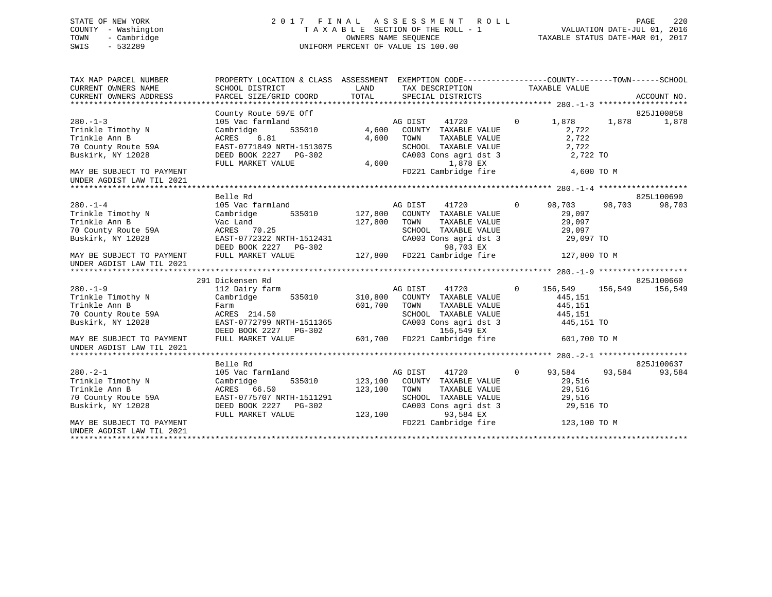# STATE OF NEW YORK 2 0 1 7 F I N A L A S S E S S M E N T R O L L PAGE 220 COUNTY - Washington T A X A B L E SECTION OF THE ROLL - 1 VALUATION DATE-JUL 01, 2016 TOWN - Cambridge OWNERS NAME SEQUENCE TAXABLE STATUS DATE-MAR 01, 2017 SWIS - 532289 UNIFORM PERCENT OF VALUE IS 100.00

| TAX MAP PARCEL NUMBER<br>CURRENT OWNERS NAME           | PROPERTY LOCATION & CLASS ASSESSMENT EXEMPTION CODE----------------COUNTY-------TOWN------SCHOOL<br>SCHOOL DISTRICT | LAND         | TAX DESCRIPTION                                                       | TAXABLE VALUE             |         |             |
|--------------------------------------------------------|---------------------------------------------------------------------------------------------------------------------|--------------|-----------------------------------------------------------------------|---------------------------|---------|-------------|
| CURRENT OWNERS ADDRESS                                 | PARCEL SIZE/GRID COORD                                                                                              | TOTAL        | SPECIAL DISTRICTS                                                     |                           |         | ACCOUNT NO. |
|                                                        |                                                                                                                     |              |                                                                       |                           |         |             |
|                                                        | County Route 59/E Off                                                                                               |              |                                                                       |                           |         | 825J100858  |
| $280 - 1 - 3$                                          | 105 Vac farmland                                                                                                    |              | AG DIST<br>41720                                                      | 1,878<br>$\circ$          | 1,878   | 1,878       |
| Trinkle Timothy N                                      | Cambridge                                                                                                           | 535010 4,600 | COUNTY TAXABLE VALUE                                                  | 2,722                     |         |             |
| Trinkle Ann B                                          | ACRES<br>6.81                                                                                                       | 4,600        | TOWN<br>TAXABLE VALUE                                                 | 2,722                     |         |             |
| 70 County Route 59A                                    | EAST-0771849 NRTH-1513075<br>DEED BOOK 2227 PG-302                                                                  |              | SCHOOL TAXABLE VALUE<br>CA003 Cons agri dst 3                         | 2,722<br>2,722 TO         |         |             |
| Buskirk, NY 12028                                      | FULL MARKET VALUE                                                                                                   | 4,600        | 1,878 EX                                                              |                           |         |             |
| MAY BE SUBJECT TO PAYMENT                              |                                                                                                                     |              | FD221 Cambridge fire                                                  | 4,600 TO M                |         |             |
| UNDER AGDIST LAW TIL 2021                              |                                                                                                                     |              |                                                                       |                           |         |             |
|                                                        |                                                                                                                     |              |                                                                       |                           |         |             |
|                                                        | Belle Rd                                                                                                            |              |                                                                       |                           |         | 825L100690  |
| $280. - 1 - 4$                                         | 105 Vac farmland                                                                                                    |              | AG DIST<br>41720                                                      | $\overline{0}$<br>98,703  | 98,703  | 98,703      |
| Trinkle Timothy N                                      | Cambridge                                                                                                           |              | 535010 127,800 COUNTY TAXABLE VALUE                                   | 29,097                    |         |             |
| Trinkle Ann B                                          | Vac Land                                                                                                            | 127,800      | TOWN<br>TAXABLE VALUE                                                 | 29,097                    |         |             |
| 70 County Route 59A                                    | ACRES 70.25                                                                                                         |              | SCHOOL TAXABLE VALUE<br>CA003 Cons agri dst 3                         | 29,097                    |         |             |
| Buskirk, NY 12028                                      | EAST-0772322 NRTH-1512431                                                                                           |              |                                                                       | 29,097 TO                 |         |             |
|                                                        |                                                                                                                     |              |                                                                       |                           |         |             |
| MAY BE SUBJECT TO PAYMENT<br>UNDER AGDIST LAW TIL 2021 | אש 127,800 FD221 Cambridge fire<br>FIILL MARKET VALUE 127,800 FD221 Cambridge fire                                  |              |                                                                       | 127,800 TO M              |         |             |
|                                                        |                                                                                                                     |              |                                                                       |                           |         |             |
|                                                        | 291 Dickensen Rd                                                                                                    |              |                                                                       |                           |         | 825J100660  |
| $280. - 1 - 9$                                         | 112 Dairy farm                                                                                                      |              | AG DIST<br>41720                                                      | $\overline{0}$<br>156,549 | 156,549 | 156,549     |
| Trinkle Timothy N                                      | Cambridge 535010 310,800 COUNTY TAXABLE VALUE                                                                       |              |                                                                       | 445,151                   |         |             |
| Trinkle Ann B                                          | Farm                                                                                                                | 601,700      | TOWN<br>TAXABLE VALUE                                                 | 445,151                   |         |             |
| 70 County Route 59A                                    | ACRES 214.50                                                                                                        |              | SCHOOL TAXABLE VALUE<br>SCHOOL TAXABLE VALUE<br>CA003 Cons agri dst 3 | 445,151                   |         |             |
| Buskirk, NY 12028                                      | EAST-0772799 NRTH-1511365                                                                                           |              |                                                                       | 445,151 TO                |         |             |
|                                                        | DEED BOOK 2227 PG-302                                                                                               |              | 156,549 EX                                                            |                           |         |             |
| MAY BE SUBJECT TO PAYMENT<br>UNDER AGDIST LAW TIL 2021 | FULL MARKET VALUE                                                                                                   |              | 601,700 FD221 Cambridge fire                                          | 601,700 TO M              |         |             |
|                                                        |                                                                                                                     |              |                                                                       |                           |         |             |
|                                                        | Belle Rd                                                                                                            |              |                                                                       |                           |         | 825J100637  |
| $280. - 2 - 1$                                         | 105 Vac farmland                                                                                                    |              | AG DIST<br>41720                                                      | $\overline{0}$<br>93,584  | 93,584  | 93,584      |
| Trinkle Timothy N                                      | 535010<br>Cambridge                                                                                                 | 123,100      | COUNTY TAXABLE VALUE                                                  | 29,516                    |         |             |
| Trinkle Ann B                                          | ACRES 66.50                                                                                                         | 123,100      | TOWN<br>TAXABLE VALUE<br>SCHOOL TAXABLE VALUE                         | 29,516                    |         |             |
| 70 County Route 59A                                    | EAST-0775707 NRTH-1511291                                                                                           |              |                                                                       | 29,516                    |         |             |
| Buskirk, NY 12028                                      | DEED BOOK 2227 PG-302<br>FULL MARKET VALUE                                                                          | 123,100      | CA003 Cons agri dst 3<br>93 584 FX<br>93,584 EX                       | 29,516 TO                 |         |             |
| MAY BE SUBJECT TO PAYMENT                              |                                                                                                                     |              | FD221 Cambridge fire                                                  | 123,100 TO M              |         |             |
| UNDER AGDIST LAW TIL 2021                              |                                                                                                                     |              |                                                                       |                           |         |             |
|                                                        |                                                                                                                     |              |                                                                       |                           |         |             |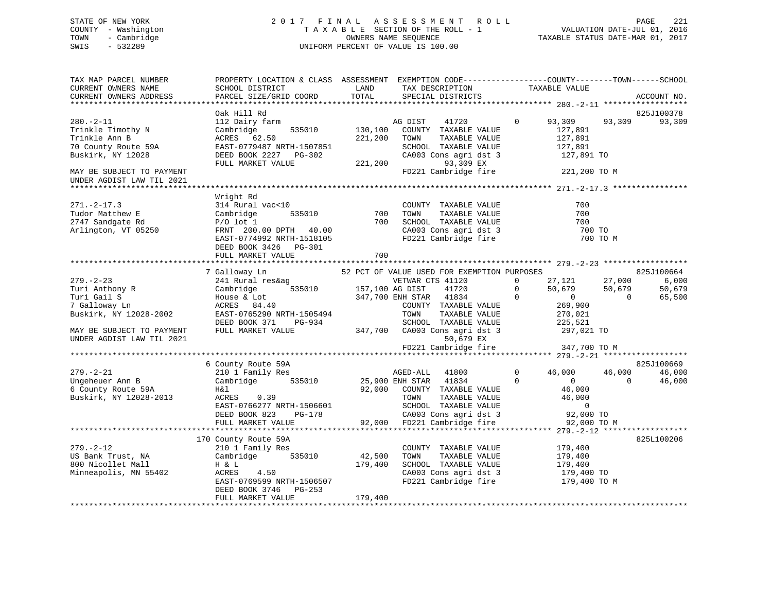# STATE OF NEW YORK 2 0 1 7 F I N A L A S S E S S M E N T R O L L PAGE 221 COUNTY - Washington T A X A B L E SECTION OF THE ROLL - 1 VALUATION DATE-JUL 01, 2016 TOWN - Cambridge OWNERS NAME SEQUENCE TAXABLE STATUS DATE-MAR 01, 2017 SWIS - 532289 UNIFORM PERCENT OF VALUE IS 100.00

| TAX MAP PARCEL NUMBER<br>CURRENT OWNERS NAME<br>CURRENT OWNERS ADDRESS                            | PROPERTY LOCATION & CLASS ASSESSMENT EXEMPTION CODE---------------COUNTY-------TOWN------SCHOOL<br>SCHOOL DISTRICT<br>PARCEL SIZE/GRID COORD        | LAND<br>TOTAL                 | TAX DESCRIPTION<br>SPECIAL DISTRICTS                                                                                                                                        | TAXABLE VALUE                                                                     |                                                                                                        | ACCOUNT NO.               |
|---------------------------------------------------------------------------------------------------|-----------------------------------------------------------------------------------------------------------------------------------------------------|-------------------------------|-----------------------------------------------------------------------------------------------------------------------------------------------------------------------------|-----------------------------------------------------------------------------------|--------------------------------------------------------------------------------------------------------|---------------------------|
|                                                                                                   |                                                                                                                                                     |                               |                                                                                                                                                                             |                                                                                   |                                                                                                        |                           |
| $280. - 2 - 11$<br>Trinkle Timothy N<br>Trinkle Ann B<br>70 County Route 59A<br>Buskirk, NY 12028 | Oak Hill Rd<br>112 Dairy farm<br>Cambridge<br>535010<br>ACRES 62.50<br>EAST-0779487 NRTH-1507851<br>DEED BOOK 2227 PG-302<br>FULL MARKET VALUE      | 130,100<br>221,200<br>221,200 | AG DIST<br>41720<br>COUNTY TAXABLE VALUE<br>TAXABLE VALUE<br>TOWN<br>SCHOOL TAXABLE VALUE<br>CA003 Cons agri dst 3<br>93,309 EX                                             | $\circ$<br>93,309<br>127,891                                                      | 93,309<br>127,891<br>127,891<br>127,891 TO                                                             | 825J100378<br>93,309      |
| MAY BE SUBJECT TO PAYMENT<br>UNDER AGDIST LAW TIL 2021                                            |                                                                                                                                                     |                               | FD221 Cambridge fire                                                                                                                                                        | 221,200 TO M                                                                      |                                                                                                        |                           |
|                                                                                                   |                                                                                                                                                     |                               |                                                                                                                                                                             |                                                                                   |                                                                                                        |                           |
| $271. - 2 - 17.3$<br>Tudor Matthew E<br>2747 Sandgate Rd<br>Arlington, VT 05250                   | Wright Rd<br>314 Rural vac<10<br>Cambridge<br>535010<br>$P/O$ lot 1<br>FRNT 200.00 DPTH 40.00<br>EAST-0774992 NRTH-1518105<br>DEED BOOK 3426 PG-301 | 700<br>700                    | COUNTY TAXABLE VALUE<br>TAXABLE VALUE<br>TOWN<br>SCHOOL TAXABLE VALUE<br>CA003 Cons agri dst 3<br>FD221 Cambridge fire                                                      |                                                                                   | 700<br>700<br>700<br>700 TO<br>700 TO M                                                                |                           |
|                                                                                                   | FULL MARKET VALUE                                                                                                                                   | 700                           |                                                                                                                                                                             |                                                                                   |                                                                                                        |                           |
|                                                                                                   | 7 Galloway Ln                                                                                                                                       |                               |                                                                                                                                                                             |                                                                                   |                                                                                                        | 825J100664                |
| $279. - 2 - 23$<br>Turi Anthony R<br>Turi Gail S<br>7 Galloway Ln<br>Buskirk, NY 12028-2002       | 241 Rural res&ag<br>535010<br>Cambridge<br>House & Lot<br>ACRES 84.40<br>EAST-0765290 NRTH-1505494                                                  | 157,100 AG DIST               | 52 PCT OF VALUE USED FOR EXEMPTION PURPOSES<br>VETWAR CTS 41120<br>41720<br>347,700 ENH STAR 41834<br>COUNTY TAXABLE VALUE<br>TOWN<br>TAXABLE VALUE                         | 27,121<br>$\Omega$<br>$\mathbf{0}$<br>$\overline{0}$<br>$\overline{0}$<br>270,021 | 27,000<br>50,679<br>50,679<br>$\overline{0}$<br>269,900                                                | 6,000<br>50,679<br>65,500 |
| MAY BE SUBJECT TO PAYMENT<br>UNDER AGDIST LAW TIL 2021                                            | DEED BOOK 371<br>PG-934<br>FULL MARKET VALUE                                                                                                        |                               | SCHOOL TAXABLE VALUE<br>347,700 CA003 Cons agri dst 3<br>50,679 EX<br>FD221 Cambridge fire                                                                                  | 347,700 TO M                                                                      | 225,521<br>297,021 TO                                                                                  |                           |
|                                                                                                   |                                                                                                                                                     |                               |                                                                                                                                                                             |                                                                                   |                                                                                                        |                           |
|                                                                                                   | 6 County Route 59A                                                                                                                                  |                               |                                                                                                                                                                             |                                                                                   |                                                                                                        | 825J100669                |
| $279. - 2 - 21$<br>Ungeheuer Ann B<br>6 County Route 59A<br>Buskirk, NY 12028-2013                | 210 1 Family Res<br>535010<br>Cambridge<br>H&l<br>ACRES 0.39<br>EAST-0766277 NRTH-1506601<br>DEED BOOK 823<br>PG-178<br>FULL MARKET VALUE           | 92,000                        | AGED-ALL 41800<br>25,900 ENH STAR<br>41834<br>COUNTY TAXABLE VALUE<br>TOWN<br>TAXABLE VALUE<br>SCHOOL TAXABLE VALUE<br>CA003 Cons agri dst 3<br>92,000 FD221 Cambridge fire | $\mathbf 0$<br>46,000<br>$\Omega$                                                 | 46,000<br>$\Omega$<br>$\overline{0}$<br>46,000<br>46,000<br>$\overline{0}$<br>92,000 TO<br>92,000 TO M | 46,000<br>46,000          |
|                                                                                                   |                                                                                                                                                     |                               |                                                                                                                                                                             |                                                                                   |                                                                                                        |                           |
| $279. - 2 - 12$                                                                                   | 170 County Route 59A<br>210 1 Family Res                                                                                                            |                               | COUNTY TAXABLE VALUE                                                                                                                                                        | 179,400                                                                           |                                                                                                        | 825L100206                |
| US Bank Trust, NA<br>800 Nicollet Mall<br>Minneapolis, MN 55402                                   | Cambridge 535010<br>H & L<br>ACRES<br>4.50<br>EAST-0769599 NRTH-1506507<br>DEED BOOK 3746 PG-253<br>FULL MARKET VALUE                               | 42,500<br>179,400<br>179,400  | TAXABLE VALUE<br>TOWN<br>SCHOOL TAXABLE VALUE<br>CA003 Cons agri dst 3<br>FD221 Cambridge fire                                                                              | 179,400<br>179,400                                                                | 179,400 TO<br>179,400 TO M                                                                             |                           |
|                                                                                                   |                                                                                                                                                     |                               |                                                                                                                                                                             |                                                                                   |                                                                                                        |                           |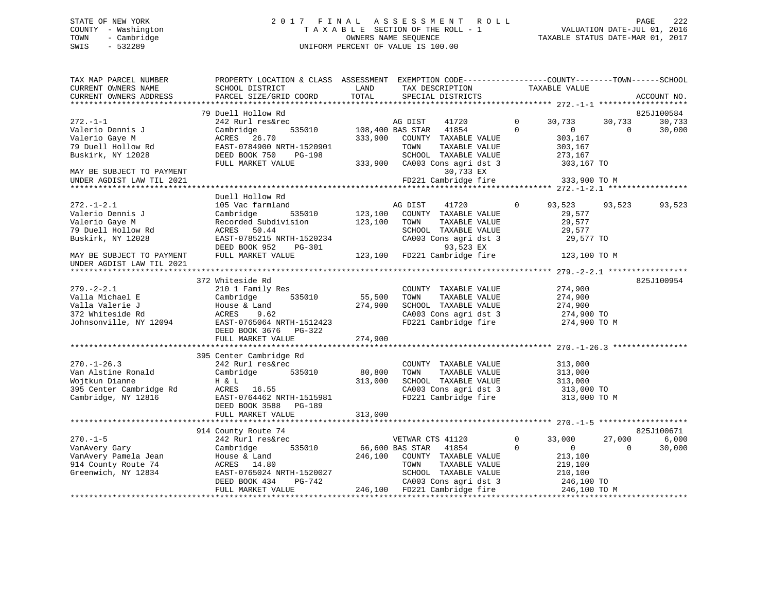# STATE OF NEW YORK 2 0 1 7 F I N A L A S S E S S M E N T R O L L PAGE 222 COUNTY - Washington T A X A B L E SECTION OF THE ROLL - 1 VALUATION DATE-JUL 01, 2016 TOWN - Cambridge OWNERS NAME SEQUENCE TAXABLE STATUS DATE-MAR 01, 2017 SWIS - 532289 UNIFORM PERCENT OF VALUE IS 100.00

| TAX MAP PARCEL NUMBER<br>CURRENT OWNERS NAME<br>CURRENT OWNERS ADDRESS | PROPERTY LOCATION & CLASS ASSESSMENT EXEMPTION CODE----------------COUNTY-------TOWN------SCHOOL<br>SCHOOL DISTRICT<br>PARCEL SIZE/GRID COORD | LAND<br>TOTAL     | TAX DESCRIPTION<br>SPECIAL DISTRICTS                               | TAXABLE VALUE                                                | ACCOUNT NO.                            |
|------------------------------------------------------------------------|-----------------------------------------------------------------------------------------------------------------------------------------------|-------------------|--------------------------------------------------------------------|--------------------------------------------------------------|----------------------------------------|
|                                                                        |                                                                                                                                               |                   |                                                                    |                                                              |                                        |
|                                                                        | 79 Duell Hollow Rd                                                                                                                            |                   |                                                                    |                                                              | 825J100584                             |
| $272. - 1 - 1$<br>Valerio Dennis J<br>Valerio Gaye M                   | 242 Rurl res&rec<br>Cambridge<br>535010<br>ACRES 26.70                                                                                        | 333,900           | 41720<br>AG DIST<br>108,400 BAS STAR 41854<br>COUNTY TAXABLE VALUE | $\mathbf 0$<br>30,733<br>$\Omega$<br>$\mathbf{0}$<br>303,167 | 30,733<br>30,733<br>$\Omega$<br>30,000 |
| 79 Duell Hollow Rd<br>Buskirk, NY 12028                                | EAST-0784900 NRTH-1520901<br>DEED BOOK 750<br>PG-198                                                                                          |                   | TOWN<br>TAXABLE VALUE<br>SCHOOL TAXABLE VALUE                      | 303,167<br>273,167                                           |                                        |
| MAY BE SUBJECT TO PAYMENT<br>UNDER AGDIST LAW TIL 2021                 | FULL MARKET VALUE                                                                                                                             | 333,900           | CA003 Cons agri dst 3<br>30,733 EX<br>FD221 Cambridge fire         | 303,167 TO<br>333,900 TO M                                   |                                        |
|                                                                        |                                                                                                                                               |                   |                                                                    |                                                              |                                        |
| $272. - 1 - 2.1$                                                       | Duell Hollow Rd<br>105 Vac farmland                                                                                                           |                   | AG DIST<br>41720                                                   | $\Omega$<br>93,523                                           | 93,523<br>93,523                       |
| Valerio Dennis J                                                       | Cambridge<br>535010                                                                                                                           | 123,100           | COUNTY TAXABLE VALUE                                               | 29,577                                                       |                                        |
| Valerio Gaye M                                                         | Recorded Subdivision                                                                                                                          | 123,100           | TOWN<br>TAXABLE VALUE                                              | 29,577                                                       |                                        |
| 79 Duell Hollow Rd                                                     | ACRES 50.44                                                                                                                                   |                   | SCHOOL TAXABLE VALUE                                               | 29,577                                                       |                                        |
| Buskirk, NY 12028                                                      | EAST-0785215 NRTH-1520234<br>DEED BOOK 952<br>PG-301                                                                                          |                   | CA003 Cons agri dst 3<br>93,523 EX                                 | 29,577 TO                                                    |                                        |
| MAY BE SUBJECT TO PAYMENT<br>UNDER AGDIST LAW TIL 2021                 | FULL MARKET VALUE                                                                                                                             |                   | 123,100 FD221 Cambridge fire                                       | 123,100 TO M                                                 |                                        |
|                                                                        |                                                                                                                                               |                   |                                                                    |                                                              |                                        |
|                                                                        | 372 Whiteside Rd                                                                                                                              |                   |                                                                    |                                                              | 825J100954                             |
| $279. - 2 - 2.1$                                                       | 210 1 Family Res                                                                                                                              |                   | COUNTY TAXABLE VALUE                                               | 274,900                                                      |                                        |
| Valla Michael E<br>Valla Valerie J                                     | Cambridge<br>535010<br>House & Land                                                                                                           | 55,500<br>274,900 | TOWN<br>TAXABLE VALUE<br>SCHOOL TAXABLE VALUE                      | 274,900<br>274,900                                           |                                        |
| 372 Whiteside Rd                                                       | ACRES<br>9.62                                                                                                                                 |                   | CA003 Cons agri dst 3                                              | 274,900 TO                                                   |                                        |
| Johnsonville, NY 12094                                                 | EAST-0765064 NRTH-1512423<br>DEED BOOK 3676<br>PG-322                                                                                         |                   | FD221 Cambridge fire                                               | 274,900 TO M                                                 |                                        |
|                                                                        | FULL MARKET VALUE                                                                                                                             | 274,900           |                                                                    |                                                              |                                        |
|                                                                        | 395 Center Cambridge Rd                                                                                                                       |                   |                                                                    |                                                              |                                        |
| $270. - 1 - 26.3$                                                      | 242 Rurl res&rec                                                                                                                              |                   | COUNTY TAXABLE VALUE                                               | 313,000                                                      |                                        |
| Van Alstine Ronald                                                     | Cambridge<br>535010                                                                                                                           | 80,800            | TOWN<br>TAXABLE VALUE                                              | 313,000                                                      |                                        |
| Wojtkun Dianne                                                         | H & L                                                                                                                                         | 313,000           | SCHOOL TAXABLE VALUE                                               | 313,000                                                      |                                        |
| 395 Center Cambridge Rd                                                | ACRES 16.55                                                                                                                                   |                   | CA003 Cons agri dst 3                                              | 313,000 TO                                                   |                                        |
| Cambridge, NY 12816                                                    | EAST-0764462 NRTH-1515981<br>DEED BOOK 3588<br>PG-189<br>FULL MARKET VALUE                                                                    | 313,000           | FD221 Cambridge fire                                               | 313,000 TO M                                                 |                                        |
|                                                                        |                                                                                                                                               |                   |                                                                    |                                                              |                                        |
|                                                                        | 914 County Route 74                                                                                                                           |                   |                                                                    |                                                              | 825J100671                             |
| $270. - 1 - 5$                                                         | 242 Rurl res&rec                                                                                                                              |                   | VETWAR CTS 41120                                                   | $\mathbf 0$<br>33,000                                        | 27,000<br>6,000                        |
| VanAvery Gary                                                          | Cambridge<br>535010                                                                                                                           |                   | 66,600 BAS STAR<br>41854                                           | $\Omega$<br>$\mathbf{0}$                                     | $\Omega$<br>30,000                     |
| VanAvery Pamela Jean                                                   | House & Land                                                                                                                                  | 246,100           | COUNTY TAXABLE VALUE                                               | 213,100                                                      |                                        |
| 914 County Route 74                                                    | ACRES 14.80                                                                                                                                   |                   | TOWN<br>TAXABLE VALUE                                              | 219,100                                                      |                                        |
| Greenwich, NY 12834                                                    | EAST-0765024 NRTH-1520027                                                                                                                     |                   | SCHOOL TAXABLE VALUE                                               | 210,100                                                      |                                        |
|                                                                        | DEED BOOK 434<br>PG-742<br>FULL MARKET VALUE                                                                                                  |                   | CA003 Cons agri dst 3<br>246,100 FD221 Cambridge fire              | 246,100 TO<br>246,100 TO M                                   |                                        |
|                                                                        |                                                                                                                                               |                   |                                                                    |                                                              |                                        |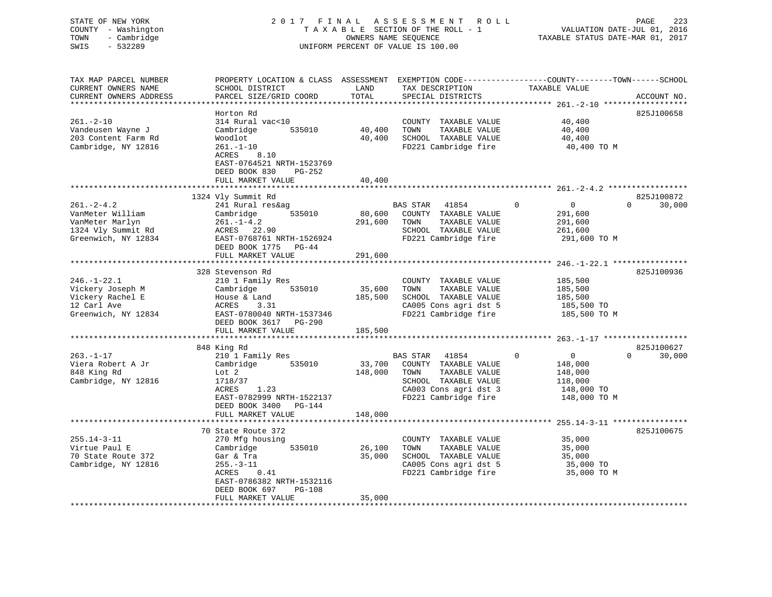| STATE OF NEW YORK<br>COUNTY - Washington<br>- Cambridge<br>TOWN<br>SWIS<br>$-532289$                 |                                                                                                                                                                         |                              | 2017 FINAL ASSESSMENT<br><b>ROLL</b><br>TAXABLE SECTION OF THE ROLL - 1<br>OWNERS NAME SEQUENCE<br>UNIFORM PERCENT OF VALUE IS 100.00       |                                                                                              | PAGE<br>223<br>VALUATION DATE-JUL 01, 2016<br>TAXABLE STATUS DATE-MAR 01, 2017 |
|------------------------------------------------------------------------------------------------------|-------------------------------------------------------------------------------------------------------------------------------------------------------------------------|------------------------------|---------------------------------------------------------------------------------------------------------------------------------------------|----------------------------------------------------------------------------------------------|--------------------------------------------------------------------------------|
| TAX MAP PARCEL NUMBER<br>CURRENT OWNERS NAME<br>CURRENT OWNERS ADDRESS                               | PROPERTY LOCATION & CLASS ASSESSMENT EXEMPTION CODE---------------COUNTY-------TOWN-----SCHOOL<br>SCHOOL DISTRICT<br>PARCEL SIZE/GRID COORD                             | LAND<br>TOTAL                | TAX DESCRIPTION<br>SPECIAL DISTRICTS                                                                                                        | TAXABLE VALUE                                                                                | ACCOUNT NO.                                                                    |
| $261. - 2 - 10$<br>Vandeusen Wayne J<br>203 Content Farm Rd<br>Cambridge, NY 12816                   | Horton Rd<br>314 Rural vac<10<br>535010<br>Cambridge<br>Woodlot<br>$261. - 1 - 10$<br>ACRES<br>8.10<br>EAST-0764521 NRTH-1523769<br>DEED BOOK 830<br>PG-252             | 40,400<br>40,400             | COUNTY TAXABLE VALUE<br>TOWN<br>TAXABLE VALUE<br>SCHOOL TAXABLE VALUE<br>FD221 Cambridge fire                                               | 40,400<br>40,400<br>40,400<br>40,400 TO M                                                    | 825J100658                                                                     |
|                                                                                                      | FULL MARKET VALUE<br>************************                                                                                                                           | 40,400<br>*************      |                                                                                                                                             | ******************************* 261.-2-4.2 *****************                                 |                                                                                |
|                                                                                                      | 1324 Vly Summit Rd                                                                                                                                                      |                              |                                                                                                                                             |                                                                                              | 825J100872                                                                     |
| $261. - 2 - 4.2$<br>VanMeter William<br>VanMeter Marlyn<br>1324 Vly Summit Rd<br>Greenwich, NY 12834 | 241 Rural res&ag<br>Cambridge<br>535010<br>$261. - 1 - 4.2$<br>ACRES 22.90<br>EAST-0768761 NRTH-1526924<br>DEED BOOK 1775 PG-44                                         | 80,600<br>291,600            | <b>BAS STAR</b><br>41854<br>COUNTY TAXABLE VALUE<br>TOWN<br>TAXABLE VALUE<br>SCHOOL TAXABLE VALUE<br>FD221 Cambridge fire                   | $\overline{0}$<br>$\mathbf 0$<br>291,600<br>291,600<br>261,600<br>291,600 TO M               | 30,000<br>$\Omega$                                                             |
|                                                                                                      | FULL MARKET VALUE                                                                                                                                                       | 291,600                      |                                                                                                                                             |                                                                                              |                                                                                |
|                                                                                                      | *******************************                                                                                                                                         | *************                |                                                                                                                                             |                                                                                              |                                                                                |
| $246. - 1 - 22.1$<br>Vickery Joseph M<br>Vickery Rachel E<br>12 Carl Ave<br>Greenwich, NY 12834      | 328 Stevenson Rd<br>210 1 Family Res<br>Cambridge<br>535010<br>House & Land<br>ACRES<br>3.31<br>EAST-0780040 NRTH-1537346<br>DEED BOOK 3617 PG-290<br>FULL MARKET VALUE | 35,600<br>185,500<br>185,500 | COUNTY TAXABLE VALUE<br>TOWN<br>TAXABLE VALUE<br>SCHOOL TAXABLE VALUE<br>CA005 Cons agri dst 5<br>FD221 Cambridge fire                      | 185,500<br>185,500<br>185,500<br>185,500 TO<br>185,500 TO M                                  | 825J100936                                                                     |
|                                                                                                      |                                                                                                                                                                         |                              |                                                                                                                                             |                                                                                              |                                                                                |
| $263. - 1 - 17$<br>Viera Robert A Jr<br>848 King Rd<br>Cambridge, NY 12816                           | 848 King Rd<br>210 1 Family Res<br>Cambridge<br>535010<br>Lot 2<br>1718/37<br>ACRES<br>1.23<br>EAST-0782999 NRTH-1522137                                                | 33,700<br>148,000            | BAS STAR<br>41854<br>COUNTY TAXABLE VALUE<br>TAXABLE VALUE<br>TOWN<br>SCHOOL TAXABLE VALUE<br>CA003 Cons agri dst 3<br>FD221 Cambridge fire | $\mathbf 0$<br>$\overline{0}$<br>148,000<br>148,000<br>118,000<br>148,000 TO<br>148,000 TO M | 825J100627<br>30,000<br>$\Omega$                                               |
|                                                                                                      | DEED BOOK 3400<br>PG-144<br>FULL MARKET VALUE                                                                                                                           | 148,000                      |                                                                                                                                             |                                                                                              |                                                                                |
| $255.14 - 3 - 11$<br>Virtue Paul E<br>70 State Route 372<br>Cambridge, NY 12816                      | 70 State Route 372<br>270 Mfg housing<br>Cambridge<br>535010<br>Gar & Tra<br>$255. - 3 - 11$<br>ACRES<br>0.41<br>EAST-0786382 NRTH-1532116                              | 26,100<br>35,000             | COUNTY TAXABLE VALUE<br>TOWN<br>TAXABLE VALUE<br>SCHOOL TAXABLE VALUE<br>CA005 Cons agri dst 5<br>FD221 Cambridge fire                      | 35,000<br>35,000<br>35,000<br>35,000 TO<br>35,000 TO M                                       | 825J100675                                                                     |

\*\*\*\*\*\*\*\*\*\*\*\*\*\*\*\*\*\*\*\*\*\*\*\*\*\*\*\*\*\*\*\*\*\*\*\*\*\*\*\*\*\*\*\*\*\*\*\*\*\*\*\*\*\*\*\*\*\*\*\*\*\*\*\*\*\*\*\*\*\*\*\*\*\*\*\*\*\*\*\*\*\*\*\*\*\*\*\*\*\*\*\*\*\*\*\*\*\*\*\*\*\*\*\*\*\*\*\*\*\*\*\*\*\*\*\*\*\*\*\*\*\*\*\*\*\*\*\*\*\*\*\*

DEED BOOK 697 PG-108

FULL MARKET VALUE 35,000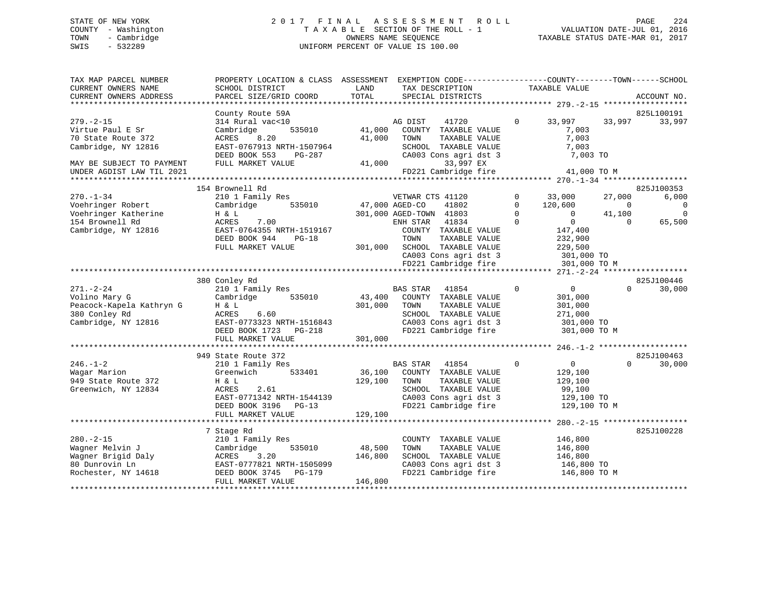# STATE OF NEW YORK 2 0 1 7 F I N A L A S S E S S M E N T R O L L PAGE 224 COUNTY - Washington T A X A B L E SECTION OF THE ROLL - 1 VALUATION DATE-JUL 01, 2016 TOWN - Cambridge OWNERS NAME SEQUENCE TAXABLE STATUS DATE-MAR 01, 2017 SWIS - 532289 UNIFORM PERCENT OF VALUE IS 100.00

| TAX MAP PARCEL NUMBER<br>CURRENT OWNERS NAME<br>CURRENT OWNERS ADDRESS | PROPERTY LOCATION & CLASS ASSESSMENT EXEMPTION CODE----------------COUNTY-------TOWN------SCHOOL<br>SCHOOL DISTRICT<br>PARCEL SIZE/GRID COORD | LAND<br>TOTAL | TAX DESCRIPTION<br>SPECIAL DISTRICTS     | TAXABLE VALUE                 | ACCOUNT NO.        |             |
|------------------------------------------------------------------------|-----------------------------------------------------------------------------------------------------------------------------------------------|---------------|------------------------------------------|-------------------------------|--------------------|-------------|
|                                                                        |                                                                                                                                               |               |                                          |                               |                    |             |
|                                                                        | County Route 59A                                                                                                                              |               |                                          |                               | 825L100191         |             |
| $279. - 2 - 15$<br>Virtue Paul E Sr                                    | 314 Rural vac<10<br>535010<br>Cambridge                                                                                                       | 41,000        | AG DIST<br>41720<br>COUNTY TAXABLE VALUE | 33,997<br>$\Omega$<br>7,003   | 33,997<br>33,997   |             |
| 70 State Route 372                                                     | 8.20<br>ACRES                                                                                                                                 | 41,000        | TOWN<br>TAXABLE VALUE                    | 7,003                         |                    |             |
| Cambridge, NY 12816                                                    | EAST-0767913 NRTH-1507964                                                                                                                     |               | SCHOOL TAXABLE VALUE                     | 7,003                         |                    |             |
|                                                                        | DEED BOOK 553<br>PG-287                                                                                                                       |               | CA003 Cons agri dst 3                    | 7,003 TO                      |                    |             |
| MAY BE SUBJECT TO PAYMENT                                              | FULL MARKET VALUE                                                                                                                             | 41,000        | 33,997 EX                                |                               |                    |             |
| UNDER AGDIST LAW TIL 2021                                              |                                                                                                                                               |               | FD221 Cambridge fire                     | 41,000 TO M                   |                    |             |
|                                                                        |                                                                                                                                               |               |                                          |                               |                    |             |
|                                                                        | 154 Brownell Rd                                                                                                                               |               |                                          |                               | 825J100353         |             |
| $270. - 1 - 34$                                                        | 210 1 Family Res                                                                                                                              |               | VETWAR CTS 41120                         | 33,000<br>$\mathbf 0$         | 6,000<br>27,000    |             |
| Voehringer Robert                                                      | 535010<br>Cambridge                                                                                                                           |               | 47,000 AGED-CO<br>41802                  | $\Omega$<br>120,600           | $\Omega$           | $\mathbf 0$ |
| Voehringer Katherine                                                   | H & L                                                                                                                                         |               | 301,000 AGED-TOWN 41803                  | $\Omega$<br>$\Omega$          | 41,100             | $\Omega$    |
| 154 Brownell Rd                                                        | 7.00<br>ACRES                                                                                                                                 |               | 41834<br>ENH STAR                        | $\overline{0}$<br>$\Omega$    | $\Omega$<br>65,500 |             |
| Cambridge, NY 12816                                                    | EAST-0764355 NRTH-1519167                                                                                                                     |               | COUNTY TAXABLE VALUE                     | 147,400                       |                    |             |
|                                                                        | DEED BOOK 944<br>$PG-18$                                                                                                                      |               | TOWN<br>TAXABLE VALUE                    | 232,900                       |                    |             |
|                                                                        | FULL MARKET VALUE                                                                                                                             | 301,000       | SCHOOL TAXABLE VALUE                     | 229,500                       |                    |             |
|                                                                        |                                                                                                                                               |               | CA003 Cons agri dst 3                    | 301,000 TO                    |                    |             |
|                                                                        |                                                                                                                                               |               | FD221 Cambridge fire                     | 301,000 TO M                  |                    |             |
|                                                                        | 380 Conley Rd                                                                                                                                 |               |                                          |                               | 825J100446         |             |
| $271. - 2 - 24$                                                        | 210 1 Family Res                                                                                                                              |               | BAS STAR<br>41854                        | $\mathbf 0$<br>$\overline{0}$ | $\Omega$<br>30,000 |             |
| Volino Mary G                                                          | 535010<br>Cambridge                                                                                                                           | 43,400        | COUNTY TAXABLE VALUE                     | 301,000                       |                    |             |
| Peacock-Kapela Kathryn G                                               | H & L                                                                                                                                         | 301,000       | TOWN<br>TAXABLE VALUE                    | 301,000                       |                    |             |
| 380 Conley Rd                                                          | ACRES<br>6.60                                                                                                                                 |               | SCHOOL TAXABLE VALUE                     | 271,000                       |                    |             |
| Cambridge, NY 12816                                                    | EAST-0773323 NRTH-1516843                                                                                                                     |               | CA003 Cons agri dst 3                    | 301,000 TO                    |                    |             |
|                                                                        | DEED BOOK 1723<br>PG-218                                                                                                                      |               | FD221 Cambridge fire                     | 301,000 TO M                  |                    |             |
|                                                                        | FULL MARKET VALUE                                                                                                                             | 301,000       |                                          |                               |                    |             |
|                                                                        |                                                                                                                                               |               |                                          |                               |                    |             |
|                                                                        | 949 State Route 372                                                                                                                           |               |                                          |                               | 825J100463         |             |
| $246. - 1 - 2$                                                         | 210 1 Family Res                                                                                                                              |               | <b>BAS STAR</b><br>41854                 | $\mathbf 0$<br>$\overline{0}$ | $\Omega$<br>30,000 |             |
| Wagar Marion                                                           | Greenwich<br>533401                                                                                                                           | 36,100        | COUNTY TAXABLE VALUE                     | 129,100                       |                    |             |
| 949 State Route 372                                                    | H & L                                                                                                                                         | 129,100       | TAXABLE VALUE<br>TOWN                    | 129,100                       |                    |             |
| Greenwich, NY 12834                                                    | 2.61<br>ACRES                                                                                                                                 |               | SCHOOL TAXABLE VALUE                     | 99,100                        |                    |             |
|                                                                        | EAST-0771342 NRTH-1544139                                                                                                                     |               | CA003 Cons agri dst 3                    | 129,100 TO                    |                    |             |
|                                                                        | DEED BOOK 3196 PG-13                                                                                                                          |               | FD221 Cambridge fire                     | 129,100 TO M                  |                    |             |
|                                                                        | FULL MARKET VALUE                                                                                                                             | 129,100       |                                          |                               |                    |             |
|                                                                        |                                                                                                                                               |               |                                          | ************** 280.-2-15 **   |                    |             |
|                                                                        | 7 Stage Rd                                                                                                                                    |               |                                          |                               | 825J100228         |             |
| $280. -2 - 15$                                                         | 210 1 Family Res                                                                                                                              |               | COUNTY TAXABLE VALUE                     | 146,800                       |                    |             |
| Wagner Melvin J                                                        | Cambridge<br>535010                                                                                                                           | 48,500        | TAXABLE VALUE<br>TOWN                    | 146,800                       |                    |             |
| Wagner Brigid Daly                                                     | ACRES<br>3.20                                                                                                                                 | 146,800       | SCHOOL TAXABLE VALUE                     | 146,800                       |                    |             |
| 80 Dunrovin Ln                                                         | EAST-0777821 NRTH-1505099                                                                                                                     |               | CA003 Cons agri dst 3                    | 146,800 TO                    |                    |             |
| Rochester, NY 14618                                                    | DEED BOOK 3745<br><b>PG-179</b>                                                                                                               |               | FD221 Cambridge fire                     | 146,800 TO M                  |                    |             |
|                                                                        | FULL MARKET VALUE                                                                                                                             | 146,800       |                                          |                               |                    |             |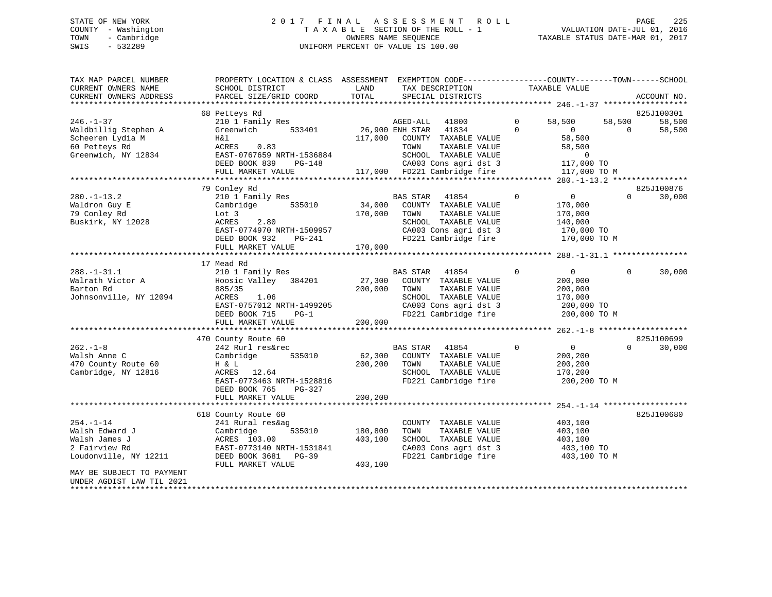# STATE OF NEW YORK 2 0 1 7 F I N A L A S S E S S M E N T R O L L PAGE 225 COUNTY - Washington T A X A B L E SECTION OF THE ROLL - 1 VALUATION DATE-JUL 01, 2016 TOWN - Cambridge OWNERS NAME SEQUENCE TAXABLE STATUS DATE-MAR 01, 2017 SWIS - 532289 UNIFORM PERCENT OF VALUE IS 100.00

| TAX MAP PARCEL NUMBER     | PROPERTY LOCATION & CLASS ASSESSMENT EXEMPTION CODE----------------COUNTY-------TOWN------SCHOOL |         |                       |                                       |                |                         |                   |             |
|---------------------------|--------------------------------------------------------------------------------------------------|---------|-----------------------|---------------------------------------|----------------|-------------------------|-------------------|-------------|
| CURRENT OWNERS NAME       | SCHOOL DISTRICT                                                                                  | LAND    |                       | TAX DESCRIPTION                       |                | TAXABLE VALUE           |                   |             |
| CURRENT OWNERS ADDRESS    | PARCEL SIZE/GRID COORD                                                                           | TOTAL   |                       | SPECIAL DISTRICTS                     |                |                         |                   | ACCOUNT NO. |
|                           |                                                                                                  |         |                       |                                       |                |                         |                   |             |
|                           | 68 Petteys Rd                                                                                    |         |                       |                                       |                |                         |                   | 825J100301  |
| $246. - 1 - 37$           | 210 1 Family Res                                                                                 |         | AGED-ALL 41800        |                                       | $\mathbf{0}$   | 58,500                  | 58,500            | 58,500      |
| Waldbillig Stephen A      | Greenwich 533401                                                                                 |         | 26,900 ENH STAR 41834 |                                       | $\Omega$       | $\overline{0}$          | $\Omega$          | 58,500      |
| Scheeren Lydia M          | H&l                                                                                              | 117,000 |                       | COUNTY TAXABLE VALUE                  |                | 58,500                  |                   |             |
| 60 Petteys Rd             | ACRES 0.83                                                                                       |         | TOWN                  | TAXABLE VALUE                         |                | 58,500                  |                   |             |
| Greenwich, NY 12834       | EAST-0767659 NRTH-1536884                                                                        |         |                       | SCHOOL TAXABLE VALUE                  |                | $\mathbf 0$             |                   |             |
|                           | DEED BOOK 839<br>PG-148                                                                          |         |                       | CA003 Cons agri dst 3                 |                | 117,000 TO              |                   |             |
|                           | FULL MARKET VALUE                                                                                |         |                       | 117,000 FD221 Cambridge fire          |                | 117,000 TO M            |                   |             |
|                           |                                                                                                  |         |                       |                                       |                |                         |                   |             |
|                           | 79 Conley Rd                                                                                     |         |                       |                                       |                |                         |                   | 825J100876  |
| $280. - 1 - 13.2$         | 210 1 Family Res                                                                                 |         | BAS STAR 41854        |                                       | $\mathbf{0}$   | $0 \qquad \qquad$       | $0 \qquad \qquad$ | 30,000      |
| Waldron Guy E             | 535010<br>Cambridge                                                                              | 34,000  |                       | COUNTY TAXABLE VALUE                  |                | 170,000                 |                   |             |
| 79 Conley Rd              | Lot 3                                                                                            | 170,000 | TOWN                  | TAXABLE VALUE                         |                | 170,000                 |                   |             |
| Buskirk, NY 12028         | ACRES<br>2.80                                                                                    |         |                       | SCHOOL TAXABLE VALUE                  |                | 140,000                 |                   |             |
|                           | EAST-0774970 NRTH-1509957                                                                        |         |                       | CA003 Cons agri dst 3                 |                | 170,000 TO              |                   |             |
|                           | DEED BOOK 932<br>PG-241                                                                          |         |                       | FD221 Cambridge fire                  |                | 170,000 TO M            |                   |             |
|                           | FULL MARKET VALUE                                                                                | 170,000 |                       |                                       |                |                         |                   |             |
|                           |                                                                                                  |         |                       |                                       |                |                         |                   |             |
|                           | 17 Mead Rd                                                                                       |         |                       |                                       |                |                         |                   |             |
| $288. - 1 - 31.1$         | 210 1 Family Res                                                                                 |         | BAS STAR 41854        |                                       | $\Omega$       | 0                       | $\Omega$          | 30,000      |
| Walrath Victor A          | Hoosic Valley 384201                                                                             | 27,300  |                       | COUNTY TAXABLE VALUE                  |                | 200,000                 |                   |             |
| Barton Rd                 | 885/35                                                                                           | 200,000 | TOWN                  | TAXABLE VALUE                         |                | 200,000                 |                   |             |
| Johnsonville, NY 12094    | ACRES<br>1.06                                                                                    |         |                       | SCHOOL TAXABLE VALUE                  |                | 170,000                 |                   |             |
|                           | EAST-0757012 NRTH-1499205                                                                        |         |                       | CA003 Cons agri dst 3                 |                | 200,000 TO              |                   |             |
|                           | DEED BOOK 715<br>$PG-1$                                                                          |         |                       | FD221 Cambridge fire                  |                | 200,000 TO M            |                   |             |
|                           | FULL MARKET VALUE                                                                                | 200,000 |                       |                                       |                |                         |                   |             |
|                           |                                                                                                  |         |                       |                                       |                |                         |                   |             |
|                           | 470 County Route 60                                                                              |         |                       |                                       | $\overline{0}$ | $\overline{0}$          | $\Omega$          | 825J100699  |
| $262 - 1 - 8$             | 242 Rurl res&rec                                                                                 |         | BAS STAR 41854        |                                       |                |                         |                   | 30,000      |
| Walsh Anne C              | 535010<br>Cambridge                                                                              | 62,300  | TOWN                  | COUNTY TAXABLE VALUE                  |                | 200,200                 |                   |             |
| 470 County Route 60       | H & L<br>ACRES 12.64                                                                             | 200,200 |                       | TAXABLE VALUE<br>SCHOOL TAXABLE VALUE |                | 200,200                 |                   |             |
| Cambridge, NY 12816       | EAST-0773463 NRTH-1528816                                                                        |         |                       | FD221 Cambridge fire                  |                | 170,200<br>200,200 TO M |                   |             |
|                           | DEED BOOK 765<br>PG-327                                                                          |         |                       |                                       |                |                         |                   |             |
|                           | FULL MARKET VALUE                                                                                | 200,200 |                       |                                       |                |                         |                   |             |
|                           |                                                                                                  |         |                       |                                       |                |                         |                   |             |
|                           | 618 County Route 60                                                                              |         |                       |                                       |                |                         |                   | 825J100680  |
| $254. - 1 - 14$           | 241 Rural res&ag                                                                                 |         |                       | COUNTY TAXABLE VALUE                  |                | 403,100                 |                   |             |
| Walsh Edward J            | 535010<br>Cambridge                                                                              | 180,800 | TOWN                  | TAXABLE VALUE                         |                | 403,100                 |                   |             |
| Walsh James J             | ACRES 103.00                                                                                     | 403,100 |                       | SCHOOL TAXABLE VALUE                  |                | 403,100                 |                   |             |
| 2 Fairview Rd             | EAST-0773140 NRTH-1531841                                                                        |         |                       | CA003 Cons agri dst 3                 |                | 403,100 TO              |                   |             |
| Loudonville, NY 12211     | DEED BOOK 3681 PG-39                                                                             |         |                       | FD221 Cambridge fire 403,100 TO M     |                |                         |                   |             |
|                           | FULL MARKET VALUE                                                                                | 403,100 |                       |                                       |                |                         |                   |             |
| MAY BE SUBJECT TO PAYMENT |                                                                                                  |         |                       |                                       |                |                         |                   |             |
| UNDER AGDIST LAW TIL 2021 |                                                                                                  |         |                       |                                       |                |                         |                   |             |
|                           |                                                                                                  |         |                       |                                       |                |                         |                   |             |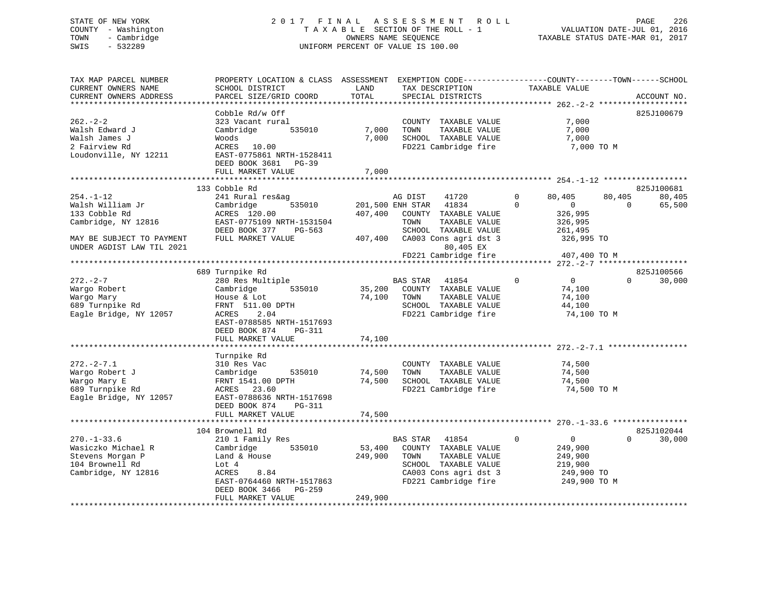# STATE OF NEW YORK 2 0 1 7 F I N A L A S S E S S M E N T R O L L PAGE 226 COUNTY - Washington T A X A B L E SECTION OF THE ROLL - 1 VALUATION DATE-JUL 01, 2016 TOWN - Cambridge OWNERS NAME SEQUENCE TAXABLE STATUS DATE-MAR 01, 2017 SWIS - 532289 UNIFORM PERCENT OF VALUE IS 100.00

| TAX MAP PARCEL NUMBER<br>CURRENT OWNERS NAME<br>CURRENT OWNERS ADDRESS                                | PROPERTY LOCATION & CLASS ASSESSMENT<br>SCHOOL DISTRICT<br>PARCEL SIZE/GRID COORD                                                                                                           | LAND<br>TOTAL                | EXEMPTION CODE-----------------COUNTY-------TOWN------SCHOOL<br>TAX DESCRIPTION<br>SPECIAL DISTRICTS                                        | TAXABLE VALUE                                                                             | ACCOUNT NO.                                   |
|-------------------------------------------------------------------------------------------------------|---------------------------------------------------------------------------------------------------------------------------------------------------------------------------------------------|------------------------------|---------------------------------------------------------------------------------------------------------------------------------------------|-------------------------------------------------------------------------------------------|-----------------------------------------------|
|                                                                                                       |                                                                                                                                                                                             |                              |                                                                                                                                             |                                                                                           |                                               |
| $262 - 2 - 2$<br>Walsh Edward J<br>Walsh James J<br>2 Fairview Rd<br>Loudonville, NY 12211            | Cobble Rd/w Off<br>323 Vacant rural<br>Cambridge<br>535010<br>Woods<br>ACRES<br>10.00<br>EAST-0775861 NRTH-1528411<br>DEED BOOK 3681<br>PG-39<br>FULL MARKET VALUE                          | 7,000<br>7,000<br>7,000      | COUNTY TAXABLE VALUE<br>TOWN<br>TAXABLE VALUE<br>SCHOOL TAXABLE VALUE<br>FD221 Cambridge fire                                               | 7,000<br>7,000<br>7,000<br>7,000 TO M                                                     | 825J100679                                    |
|                                                                                                       |                                                                                                                                                                                             |                              |                                                                                                                                             |                                                                                           |                                               |
| $254. - 1 - 12$<br>Walsh William Jr<br>133 Cobble Rd<br>Cambridge, NY 12816                           | 133 Cobble Rd<br>241 Rural res&ag<br>Cambridge<br>535010<br>ACRES 120.00<br>EAST-0775109 NRTH-1531504                                                                                       | 407,400                      | 41720<br>AG DIST<br>41834<br>201,500 ENH STAR<br>COUNTY TAXABLE VALUE<br>TOWN<br>TAXABLE VALUE                                              | $\Omega$<br>80,405<br>$\mathbf 0$<br>0<br>326,995<br>326,995                              | 825J100681<br>80,405<br>80,405<br>65,500<br>0 |
| MAY BE SUBJECT TO PAYMENT<br>UNDER AGDIST LAW TIL 2021                                                | DEED BOOK 377<br>$PG-563$<br>FULL MARKET VALUE                                                                                                                                              | 407,400                      | SCHOOL TAXABLE VALUE<br>CA003 Cons agri dst 3<br>80,405 EX<br>FD221 Cambridge fire                                                          | 261,495<br>326,995 TO<br>407,400 TO M                                                     |                                               |
|                                                                                                       |                                                                                                                                                                                             |                              |                                                                                                                                             |                                                                                           |                                               |
| $272 - 2 - 7$<br>Wargo Robert<br>Wargo Mary<br>689 Turnpike Rd<br>Eagle Bridge, NY 12057              | 689 Turnpike Rd<br>280 Res Multiple<br>535010<br>Cambridge<br>House & Lot<br>FRNT 511.00 DPTH<br>2.04<br>ACRES<br>EAST-0788585 NRTH-1517693<br>DEED BOOK 874<br>PG-311<br>FULL MARKET VALUE | 35,200<br>74,100<br>74,100   | <b>BAS STAR</b><br>41854<br>COUNTY TAXABLE VALUE<br>TOWN<br>TAXABLE VALUE<br>SCHOOL TAXABLE VALUE<br>FD221 Cambridge fire                   | $\Omega$<br>$\mathbf 0$<br>74,100<br>74,100<br>44,100<br>74,100 TO M                      | 825J100566<br>$\Omega$<br>30,000              |
|                                                                                                       |                                                                                                                                                                                             |                              |                                                                                                                                             |                                                                                           |                                               |
| $272. - 2 - 7.1$<br>Wargo Robert J<br>Wargo Mary E<br>689 Turnpike Rd<br>Eagle Bridge, NY 12057       | Turnpike Rd<br>310 Res Vac<br>Cambridge<br>535010<br>FRNT 1541.00 DPTH<br>ACRES 23.60<br>EAST-0788636 NRTH-1517698<br>DEED BOOK 874<br>PG-311                                               | 74,500<br>74,500             | COUNTY TAXABLE VALUE<br>TAXABLE VALUE<br>TOWN<br>SCHOOL TAXABLE VALUE<br>FD221 Cambridge fire                                               | 74,500<br>74,500<br>74,500<br>74,500 TO M                                                 |                                               |
|                                                                                                       | FULL MARKET VALUE                                                                                                                                                                           | 74,500                       |                                                                                                                                             |                                                                                           |                                               |
|                                                                                                       |                                                                                                                                                                                             |                              |                                                                                                                                             |                                                                                           |                                               |
| $270. - 1 - 33.6$<br>Wasiczko Michael R<br>Stevens Morgan P<br>104 Brownell Rd<br>Cambridge, NY 12816 | 104 Brownell Rd<br>210 1 Family Res<br>Cambridge<br>535010<br>Land & House<br>Lot 4<br>8.84<br>ACRES<br>EAST-0764460 NRTH-1517863<br>DEED BOOK 3466<br>PG-259<br>FULL MARKET VALUE          | 53,400<br>249,900<br>249,900 | BAS STAR<br>41854<br>COUNTY TAXABLE VALUE<br>TAXABLE VALUE<br>TOWN<br>SCHOOL TAXABLE VALUE<br>CA003 Cons agri dst 3<br>FD221 Cambridge fire | $\Omega$<br>$\overline{0}$<br>249,900<br>249,900<br>219,900<br>249,900 TO<br>249,900 TO M | 825J102044<br>$\Omega$<br>30,000              |
|                                                                                                       |                                                                                                                                                                                             |                              |                                                                                                                                             |                                                                                           |                                               |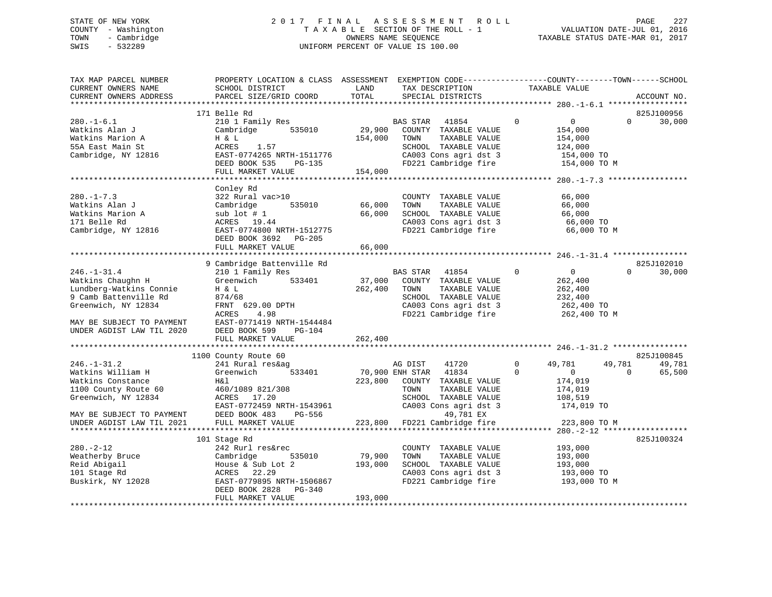# STATE OF NEW YORK 2 0 1 7 F I N A L A S S E S S M E N T R O L L PAGE 227 COUNTY - Washington T A X A B L E SECTION OF THE ROLL - 1 VALUATION DATE-JUL 01, 2016 TOWN - Cambridge OWNERS NAME SEQUENCE TAXABLE STATUS DATE-MAR 01, 2017 SWIS - 532289 UNIFORM PERCENT OF VALUE IS 100.00

| TAX MAP PARCEL NUMBER<br>CURRENT OWNERS NAME<br>CURRENT OWNERS ADDRESS                                                                                                      | PROPERTY LOCATION & CLASS ASSESSMENT<br>SCHOOL DISTRICT<br>PARCEL SIZE/GRID COORD                                                                                            | LAND<br>TOTAL                | EXEMPTION CODE-----------------COUNTY-------TOWN------SCHOOL<br>TAX DESCRIPTION<br>SPECIAL DISTRICTS                                                                                                     | TAXABLE VALUE                                                                 | ACCOUNT NO.                                          |
|-----------------------------------------------------------------------------------------------------------------------------------------------------------------------------|------------------------------------------------------------------------------------------------------------------------------------------------------------------------------|------------------------------|----------------------------------------------------------------------------------------------------------------------------------------------------------------------------------------------------------|-------------------------------------------------------------------------------|------------------------------------------------------|
|                                                                                                                                                                             |                                                                                                                                                                              |                              |                                                                                                                                                                                                          |                                                                               |                                                      |
|                                                                                                                                                                             | 171 Belle Rd                                                                                                                                                                 |                              |                                                                                                                                                                                                          |                                                                               | 825J100956                                           |
| $280. - 1 - 6.1$<br>Watkins Alan J<br>Watkins Marion A<br>55A East Main St<br>Cambridge, NY 12816                                                                           | 210 1 Family Res<br>Cambridge 535010<br>H & L<br>ACRES 1.57<br>EAST-0774265 NRTH-1511776                                                                                     | 154,000                      | BAS STAR<br>41854<br>29,900 COUNTY TAXABLE VALUE<br>TOWN<br>TAXABLE VALUE<br>SCHOOL TAXABLE VALUE<br>CA003 Cons agri dst 3                                                                               | $\overline{0}$<br>$\overline{0}$<br>154,000<br>154,000<br>124,000             | $\Omega$<br>30,000                                   |
|                                                                                                                                                                             | DEED BOOK 535 PG-135                                                                                                                                                         |                              | FD221 Cambridge fire                                                                                                                                                                                     | 154,000 TO<br>154,000 TO M                                                    |                                                      |
|                                                                                                                                                                             | FULL MARKET VALUE                                                                                                                                                            | 154,000                      |                                                                                                                                                                                                          |                                                                               |                                                      |
|                                                                                                                                                                             |                                                                                                                                                                              |                              |                                                                                                                                                                                                          |                                                                               |                                                      |
| $280. -1 - 7.3$<br>Watkins Alan J<br>Watkins Marion A<br>171 Belle Rd<br>Cambridge, NY 12816                                                                                | Conley Rd<br>322 Rural vac>10<br>535010<br>Cambridge<br>sub lot # 1<br>ACRES 19.44<br>ACRES 19.44<br>EAST-0774800 NRTH-1512775<br>DEED BOOK 3692 PG-205<br>FULL MARKET VALUE | 66,000<br>66,000<br>66,000   | COUNTY TAXABLE VALUE<br>TOWN<br>TAXABLE VALUE<br>SCHOOL TAXABLE VALUE<br>CA003 Cons agri dst 3 66,000 TO<br>FD221 Cambridge fire 66,000 TO M                                                             | 66,000<br>66,000<br>66,000                                                    |                                                      |
|                                                                                                                                                                             |                                                                                                                                                                              |                              |                                                                                                                                                                                                          |                                                                               |                                                      |
|                                                                                                                                                                             | 9 Cambridge Battenville Rd                                                                                                                                                   |                              |                                                                                                                                                                                                          |                                                                               | 825J102010                                           |
| $246. - 1 - 31.4$<br>Watkins Chaughn H<br>Lundberg-Watkins Connie<br>9 Camb Battenville Rd<br>Greenwich, NY 12834<br>MAY BE SUBJECT TO PAYMENT<br>UNDER AGDIST LAW TIL 2020 | 210 1 Family Res<br>Greenwich 533401<br>H & L<br>874/68<br>FRNT 629.00 DPTH<br>ACRES<br>4.98<br>EAST-0771419 NRTH-1544484<br>DEED BOOK 599<br>PG-104                         | 262,400                      | 41854 0<br><b>BAS STAR</b><br>$37,000$ COUNTY TAXABLE VALUE<br>$\frac{54.7}{100}$ COUNTY TAXABLE VALUE<br>TOWN<br>TAXABLE VALUE<br>SCHOOL TAXABLE VALUE<br>CA003 Cons agri dst 3<br>FD221 Cambridge fire | $\overline{0}$<br>262,400<br>262,400<br>232,400<br>262,400 TO<br>262,400 TO M | $\Omega$<br>30,000                                   |
|                                                                                                                                                                             | FULL MARKET VALUE                                                                                                                                                            | 262,400                      |                                                                                                                                                                                                          |                                                                               |                                                      |
|                                                                                                                                                                             |                                                                                                                                                                              |                              |                                                                                                                                                                                                          |                                                                               |                                                      |
| $246. - 1 - 31.2$<br>Watkins William H                                                                                                                                      | 1100 County Route 60<br>241 Rural res&ag<br>Greenwich 533401                                                                                                                 |                              | AG DIST<br>41720<br>70,900 ENH STAR 41834                                                                                                                                                                | $\overline{0}$<br>49,781<br>$\Omega$<br>$\overline{0}$                        | 825J100845<br>49,781<br>49,781<br>$\Omega$<br>65,500 |
| Watkins Constance<br>1100 County Route 60<br>Greenwich, NY 12834<br>MAY BE SUBJECT TO PAYMENT                                                                               | H&l<br>460/1089 821/308<br>ACRES 17.20<br>EAST-0772459 NRTH-1543961<br>DEED BOOK 483<br>PG-556                                                                               | 223,800                      | COUNTY TAXABLE VALUE<br>TOWN<br>TAXABLE VALUE<br>SCHOOL TAXABLE VALUE<br>CA003 Cons agri dst 3<br>49,781 EX                                                                                              | 174,019<br>174,019<br>108,519<br>174,019 TO                                   |                                                      |
| UNDER AGDIST LAW TIL 2021                                                                                                                                                   | FULL MARKET VALUE                                                                                                                                                            |                              | 223,800 FD221 Cambridge fire                                                                                                                                                                             | 223,800 TO M                                                                  |                                                      |
|                                                                                                                                                                             |                                                                                                                                                                              |                              |                                                                                                                                                                                                          |                                                                               |                                                      |
| $280. - 2 - 12$<br>Weatherby Bruce<br>Reid Abigail<br>101 Stage Rd<br>Buskirk, NY 12028                                                                                     | 101 Stage Rd<br>242 Rurl res&rec<br>535010<br>Cambridge<br>House & Sub Lot 2<br>ACRES 22.29<br>EAST-0779895 NRTH-1506867<br>DEED BOOK 2828 PG-340<br>FULL MARKET VALUE       | 79,900<br>193,000<br>193,000 | COUNTY TAXABLE VALUE<br>TOWN<br>TAXABLE VALUE<br>SCHOOL TAXABLE VALUE<br>CA003 Cons agri dst 3<br>FD221 Cambridge fire 193,000 TO M                                                                      | 193,000<br>193,000<br>193,000<br>193,000 TO                                   | 825J100324                                           |
|                                                                                                                                                                             |                                                                                                                                                                              |                              |                                                                                                                                                                                                          |                                                                               |                                                      |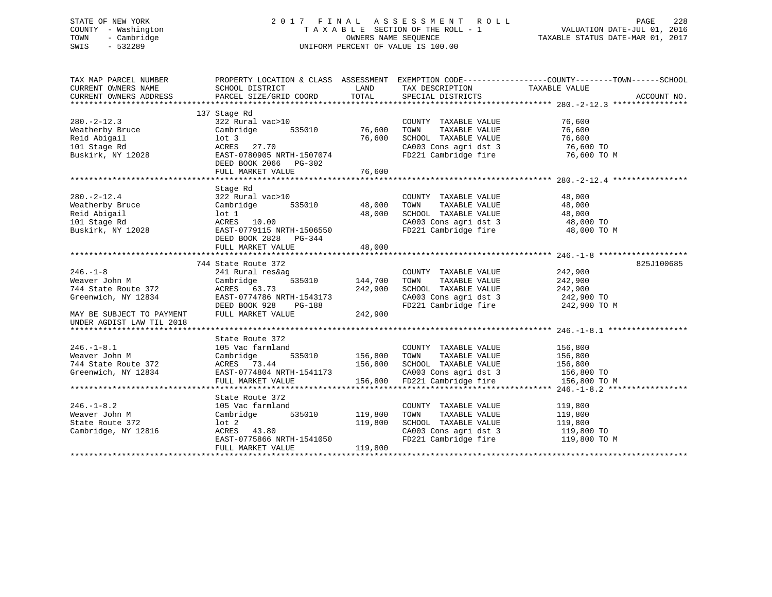# STATE OF NEW YORK 2 0 1 7 F I N A L A S S E S S M E N T R O L L PAGE 228 COUNTY - Washington T A X A B L E SECTION OF THE ROLL - 1 VALUATION DATE-JUL 01, 2016 TOWN - Cambridge OWNERS NAME SEQUENCE TAXABLE STATUS DATE-MAR 01, 2017 SWIS - 532289 UNIFORM PERCENT OF VALUE IS 100.00

| SCHOOL DISTRICT<br>LAND<br>TAXABLE VALUE<br>TAX DESCRIPTION<br>137 Stage Rd<br>76,600<br>$280. -2 - 12.3$<br>322 Rural vac>10<br>COUNTY TAXABLE VALUE<br>535010<br>76,600<br>Cambridge<br>TOWN<br>TAXABLE VALUE<br>76,600<br>Weatherby Bruce<br>76,600<br>76,600<br>Reid Abigail<br>$1$ ot 3<br>SCHOOL TAXABLE VALUE<br>CA003 Cons agri dst 3<br>ACRES 27.70<br>76,600 TO<br>101 Stage Rd<br>FD221 Cambridge fire<br>Buskirk, NY 12028<br>EAST-0780905 NRTH-1507074<br>76,600 TO M<br>DEED BOOK 2066 PG-302<br>76,600<br>FULL MARKET VALUE<br>Stage Rd<br>$280. - 2 - 12.4$<br>322 Rural vac>10<br>COUNTY TAXABLE VALUE<br>48,000<br>535010<br>48,000<br>48,000<br>Weatherby Bruce<br>Cambridge<br>TOWN<br>TAXABLE VALUE<br>Reid Abigail<br>$1$ ot $1$<br>48,000<br>SCHOOL TAXABLE VALUE<br>48,000<br>CA003 Cons agri dst 3<br>101 Stage Rd<br>ACRES 10.00<br>48,000 TO<br>FD221 Cambridge fire<br>Buskirk, NY 12028<br>EAST-0779115 NRTH-1506550<br>48,000 TO M<br>DEED BOOK 2828 PG-344<br>48,000<br>FULL MARKET VALUE<br>825J100685<br>744 State Route 372<br>242,900<br>241 Rural res&ag<br>COUNTY TAXABLE VALUE<br>144,700<br>242,900<br>535010<br>Cambridge<br>TOWN<br>TAXABLE VALUE<br>242,900<br>SCHOOL TAXABLE VALUE<br>242,900<br>ACRES 63.73<br>242,900 TO<br>EAST-0774786 NRTH-1543173<br>CA003 Cons agri dst 3<br>FD221 Cambridge fire<br>242,900 TO M<br>DEED BOOK 928<br>PG-188<br>MAY BE SUBJECT TO PAYMENT<br>242,900<br>FULL MARKET VALUE<br>UNDER AGDIST LAW TIL 2018<br>State Route 372<br>$246. - 1 - 8.1$<br>105 Vac farmland<br>COUNTY TAXABLE VALUE<br>156,800<br>Weaver John M<br>535010 156,800<br>TAXABLE VALUE<br>156,800<br>Cambridge<br>TOWN<br>156,800<br>SCHOOL TAXABLE VALUE<br>CA003 Cons agri dst 3<br>744 State Route 372<br>156,800<br>ACRES 73.44<br>$156,800$ TO<br>Greenwich, NY 12834<br>EAST-0774804 NRTH-1541173<br>FD221 Cambridge fire<br>156,800<br>156,800 TO M<br>FULL MARKET VALUE<br>State Route 372<br>$246. - 1 - 8.2$<br>119,800<br>105 Vac farmland<br>COUNTY TAXABLE VALUE<br>Weaver John M<br>535010<br>119,800<br>TOWN<br>TAXABLE VALUE<br>119,800<br>Cambridge<br>SCHOOL TAXABLE VALUE 119,800<br>$1$ ot $2$<br>119,800<br>State Route 372<br>Cambridge, NY 12816<br>ACRES 43.80<br>CA003 Cons agri dst 3<br>119,800 TO<br>FD221 Cambridge fire<br>EAST-0775866 NRTH-1541050<br>119,800 TO M<br>FULL MARKET VALUE<br>119,800 | TAX MAP PARCEL NUMBER |  | PROPERTY LOCATION & CLASS ASSESSMENT EXEMPTION CODE---------------COUNTY-------TOWN------SCHOOL |  |
|----------------------------------------------------------------------------------------------------------------------------------------------------------------------------------------------------------------------------------------------------------------------------------------------------------------------------------------------------------------------------------------------------------------------------------------------------------------------------------------------------------------------------------------------------------------------------------------------------------------------------------------------------------------------------------------------------------------------------------------------------------------------------------------------------------------------------------------------------------------------------------------------------------------------------------------------------------------------------------------------------------------------------------------------------------------------------------------------------------------------------------------------------------------------------------------------------------------------------------------------------------------------------------------------------------------------------------------------------------------------------------------------------------------------------------------------------------------------------------------------------------------------------------------------------------------------------------------------------------------------------------------------------------------------------------------------------------------------------------------------------------------------------------------------------------------------------------------------------------------------------------------------------------------------------------------------------------------------------------------------------------------------------------------------------------------------------------------------------------------------------------------------------------------------------------------------------------------------------------------------------------------------------------------------------------------------------------------------------------------------------------------|-----------------------|--|-------------------------------------------------------------------------------------------------|--|
|                                                                                                                                                                                                                                                                                                                                                                                                                                                                                                                                                                                                                                                                                                                                                                                                                                                                                                                                                                                                                                                                                                                                                                                                                                                                                                                                                                                                                                                                                                                                                                                                                                                                                                                                                                                                                                                                                                                                                                                                                                                                                                                                                                                                                                                                                                                                                                                        | CURRENT OWNERS NAME   |  |                                                                                                 |  |
|                                                                                                                                                                                                                                                                                                                                                                                                                                                                                                                                                                                                                                                                                                                                                                                                                                                                                                                                                                                                                                                                                                                                                                                                                                                                                                                                                                                                                                                                                                                                                                                                                                                                                                                                                                                                                                                                                                                                                                                                                                                                                                                                                                                                                                                                                                                                                                                        |                       |  |                                                                                                 |  |
|                                                                                                                                                                                                                                                                                                                                                                                                                                                                                                                                                                                                                                                                                                                                                                                                                                                                                                                                                                                                                                                                                                                                                                                                                                                                                                                                                                                                                                                                                                                                                                                                                                                                                                                                                                                                                                                                                                                                                                                                                                                                                                                                                                                                                                                                                                                                                                                        |                       |  |                                                                                                 |  |
|                                                                                                                                                                                                                                                                                                                                                                                                                                                                                                                                                                                                                                                                                                                                                                                                                                                                                                                                                                                                                                                                                                                                                                                                                                                                                                                                                                                                                                                                                                                                                                                                                                                                                                                                                                                                                                                                                                                                                                                                                                                                                                                                                                                                                                                                                                                                                                                        |                       |  |                                                                                                 |  |
|                                                                                                                                                                                                                                                                                                                                                                                                                                                                                                                                                                                                                                                                                                                                                                                                                                                                                                                                                                                                                                                                                                                                                                                                                                                                                                                                                                                                                                                                                                                                                                                                                                                                                                                                                                                                                                                                                                                                                                                                                                                                                                                                                                                                                                                                                                                                                                                        |                       |  |                                                                                                 |  |
|                                                                                                                                                                                                                                                                                                                                                                                                                                                                                                                                                                                                                                                                                                                                                                                                                                                                                                                                                                                                                                                                                                                                                                                                                                                                                                                                                                                                                                                                                                                                                                                                                                                                                                                                                                                                                                                                                                                                                                                                                                                                                                                                                                                                                                                                                                                                                                                        |                       |  |                                                                                                 |  |
|                                                                                                                                                                                                                                                                                                                                                                                                                                                                                                                                                                                                                                                                                                                                                                                                                                                                                                                                                                                                                                                                                                                                                                                                                                                                                                                                                                                                                                                                                                                                                                                                                                                                                                                                                                                                                                                                                                                                                                                                                                                                                                                                                                                                                                                                                                                                                                                        |                       |  |                                                                                                 |  |
|                                                                                                                                                                                                                                                                                                                                                                                                                                                                                                                                                                                                                                                                                                                                                                                                                                                                                                                                                                                                                                                                                                                                                                                                                                                                                                                                                                                                                                                                                                                                                                                                                                                                                                                                                                                                                                                                                                                                                                                                                                                                                                                                                                                                                                                                                                                                                                                        |                       |  |                                                                                                 |  |
|                                                                                                                                                                                                                                                                                                                                                                                                                                                                                                                                                                                                                                                                                                                                                                                                                                                                                                                                                                                                                                                                                                                                                                                                                                                                                                                                                                                                                                                                                                                                                                                                                                                                                                                                                                                                                                                                                                                                                                                                                                                                                                                                                                                                                                                                                                                                                                                        |                       |  |                                                                                                 |  |
|                                                                                                                                                                                                                                                                                                                                                                                                                                                                                                                                                                                                                                                                                                                                                                                                                                                                                                                                                                                                                                                                                                                                                                                                                                                                                                                                                                                                                                                                                                                                                                                                                                                                                                                                                                                                                                                                                                                                                                                                                                                                                                                                                                                                                                                                                                                                                                                        |                       |  |                                                                                                 |  |
|                                                                                                                                                                                                                                                                                                                                                                                                                                                                                                                                                                                                                                                                                                                                                                                                                                                                                                                                                                                                                                                                                                                                                                                                                                                                                                                                                                                                                                                                                                                                                                                                                                                                                                                                                                                                                                                                                                                                                                                                                                                                                                                                                                                                                                                                                                                                                                                        |                       |  |                                                                                                 |  |
|                                                                                                                                                                                                                                                                                                                                                                                                                                                                                                                                                                                                                                                                                                                                                                                                                                                                                                                                                                                                                                                                                                                                                                                                                                                                                                                                                                                                                                                                                                                                                                                                                                                                                                                                                                                                                                                                                                                                                                                                                                                                                                                                                                                                                                                                                                                                                                                        |                       |  |                                                                                                 |  |
|                                                                                                                                                                                                                                                                                                                                                                                                                                                                                                                                                                                                                                                                                                                                                                                                                                                                                                                                                                                                                                                                                                                                                                                                                                                                                                                                                                                                                                                                                                                                                                                                                                                                                                                                                                                                                                                                                                                                                                                                                                                                                                                                                                                                                                                                                                                                                                                        |                       |  |                                                                                                 |  |
|                                                                                                                                                                                                                                                                                                                                                                                                                                                                                                                                                                                                                                                                                                                                                                                                                                                                                                                                                                                                                                                                                                                                                                                                                                                                                                                                                                                                                                                                                                                                                                                                                                                                                                                                                                                                                                                                                                                                                                                                                                                                                                                                                                                                                                                                                                                                                                                        |                       |  |                                                                                                 |  |
|                                                                                                                                                                                                                                                                                                                                                                                                                                                                                                                                                                                                                                                                                                                                                                                                                                                                                                                                                                                                                                                                                                                                                                                                                                                                                                                                                                                                                                                                                                                                                                                                                                                                                                                                                                                                                                                                                                                                                                                                                                                                                                                                                                                                                                                                                                                                                                                        |                       |  |                                                                                                 |  |
|                                                                                                                                                                                                                                                                                                                                                                                                                                                                                                                                                                                                                                                                                                                                                                                                                                                                                                                                                                                                                                                                                                                                                                                                                                                                                                                                                                                                                                                                                                                                                                                                                                                                                                                                                                                                                                                                                                                                                                                                                                                                                                                                                                                                                                                                                                                                                                                        |                       |  |                                                                                                 |  |
|                                                                                                                                                                                                                                                                                                                                                                                                                                                                                                                                                                                                                                                                                                                                                                                                                                                                                                                                                                                                                                                                                                                                                                                                                                                                                                                                                                                                                                                                                                                                                                                                                                                                                                                                                                                                                                                                                                                                                                                                                                                                                                                                                                                                                                                                                                                                                                                        |                       |  |                                                                                                 |  |
|                                                                                                                                                                                                                                                                                                                                                                                                                                                                                                                                                                                                                                                                                                                                                                                                                                                                                                                                                                                                                                                                                                                                                                                                                                                                                                                                                                                                                                                                                                                                                                                                                                                                                                                                                                                                                                                                                                                                                                                                                                                                                                                                                                                                                                                                                                                                                                                        |                       |  |                                                                                                 |  |
|                                                                                                                                                                                                                                                                                                                                                                                                                                                                                                                                                                                                                                                                                                                                                                                                                                                                                                                                                                                                                                                                                                                                                                                                                                                                                                                                                                                                                                                                                                                                                                                                                                                                                                                                                                                                                                                                                                                                                                                                                                                                                                                                                                                                                                                                                                                                                                                        |                       |  |                                                                                                 |  |
|                                                                                                                                                                                                                                                                                                                                                                                                                                                                                                                                                                                                                                                                                                                                                                                                                                                                                                                                                                                                                                                                                                                                                                                                                                                                                                                                                                                                                                                                                                                                                                                                                                                                                                                                                                                                                                                                                                                                                                                                                                                                                                                                                                                                                                                                                                                                                                                        |                       |  |                                                                                                 |  |
|                                                                                                                                                                                                                                                                                                                                                                                                                                                                                                                                                                                                                                                                                                                                                                                                                                                                                                                                                                                                                                                                                                                                                                                                                                                                                                                                                                                                                                                                                                                                                                                                                                                                                                                                                                                                                                                                                                                                                                                                                                                                                                                                                                                                                                                                                                                                                                                        |                       |  |                                                                                                 |  |
|                                                                                                                                                                                                                                                                                                                                                                                                                                                                                                                                                                                                                                                                                                                                                                                                                                                                                                                                                                                                                                                                                                                                                                                                                                                                                                                                                                                                                                                                                                                                                                                                                                                                                                                                                                                                                                                                                                                                                                                                                                                                                                                                                                                                                                                                                                                                                                                        |                       |  |                                                                                                 |  |
|                                                                                                                                                                                                                                                                                                                                                                                                                                                                                                                                                                                                                                                                                                                                                                                                                                                                                                                                                                                                                                                                                                                                                                                                                                                                                                                                                                                                                                                                                                                                                                                                                                                                                                                                                                                                                                                                                                                                                                                                                                                                                                                                                                                                                                                                                                                                                                                        |                       |  |                                                                                                 |  |
|                                                                                                                                                                                                                                                                                                                                                                                                                                                                                                                                                                                                                                                                                                                                                                                                                                                                                                                                                                                                                                                                                                                                                                                                                                                                                                                                                                                                                                                                                                                                                                                                                                                                                                                                                                                                                                                                                                                                                                                                                                                                                                                                                                                                                                                                                                                                                                                        | $246. - 1 - 8$        |  |                                                                                                 |  |
|                                                                                                                                                                                                                                                                                                                                                                                                                                                                                                                                                                                                                                                                                                                                                                                                                                                                                                                                                                                                                                                                                                                                                                                                                                                                                                                                                                                                                                                                                                                                                                                                                                                                                                                                                                                                                                                                                                                                                                                                                                                                                                                                                                                                                                                                                                                                                                                        | Weaver John M         |  |                                                                                                 |  |
|                                                                                                                                                                                                                                                                                                                                                                                                                                                                                                                                                                                                                                                                                                                                                                                                                                                                                                                                                                                                                                                                                                                                                                                                                                                                                                                                                                                                                                                                                                                                                                                                                                                                                                                                                                                                                                                                                                                                                                                                                                                                                                                                                                                                                                                                                                                                                                                        | 744 State Route 372   |  |                                                                                                 |  |
|                                                                                                                                                                                                                                                                                                                                                                                                                                                                                                                                                                                                                                                                                                                                                                                                                                                                                                                                                                                                                                                                                                                                                                                                                                                                                                                                                                                                                                                                                                                                                                                                                                                                                                                                                                                                                                                                                                                                                                                                                                                                                                                                                                                                                                                                                                                                                                                        | Greenwich, NY 12834   |  |                                                                                                 |  |
|                                                                                                                                                                                                                                                                                                                                                                                                                                                                                                                                                                                                                                                                                                                                                                                                                                                                                                                                                                                                                                                                                                                                                                                                                                                                                                                                                                                                                                                                                                                                                                                                                                                                                                                                                                                                                                                                                                                                                                                                                                                                                                                                                                                                                                                                                                                                                                                        |                       |  |                                                                                                 |  |
|                                                                                                                                                                                                                                                                                                                                                                                                                                                                                                                                                                                                                                                                                                                                                                                                                                                                                                                                                                                                                                                                                                                                                                                                                                                                                                                                                                                                                                                                                                                                                                                                                                                                                                                                                                                                                                                                                                                                                                                                                                                                                                                                                                                                                                                                                                                                                                                        |                       |  |                                                                                                 |  |
|                                                                                                                                                                                                                                                                                                                                                                                                                                                                                                                                                                                                                                                                                                                                                                                                                                                                                                                                                                                                                                                                                                                                                                                                                                                                                                                                                                                                                                                                                                                                                                                                                                                                                                                                                                                                                                                                                                                                                                                                                                                                                                                                                                                                                                                                                                                                                                                        |                       |  |                                                                                                 |  |
|                                                                                                                                                                                                                                                                                                                                                                                                                                                                                                                                                                                                                                                                                                                                                                                                                                                                                                                                                                                                                                                                                                                                                                                                                                                                                                                                                                                                                                                                                                                                                                                                                                                                                                                                                                                                                                                                                                                                                                                                                                                                                                                                                                                                                                                                                                                                                                                        |                       |  |                                                                                                 |  |
|                                                                                                                                                                                                                                                                                                                                                                                                                                                                                                                                                                                                                                                                                                                                                                                                                                                                                                                                                                                                                                                                                                                                                                                                                                                                                                                                                                                                                                                                                                                                                                                                                                                                                                                                                                                                                                                                                                                                                                                                                                                                                                                                                                                                                                                                                                                                                                                        |                       |  |                                                                                                 |  |
|                                                                                                                                                                                                                                                                                                                                                                                                                                                                                                                                                                                                                                                                                                                                                                                                                                                                                                                                                                                                                                                                                                                                                                                                                                                                                                                                                                                                                                                                                                                                                                                                                                                                                                                                                                                                                                                                                                                                                                                                                                                                                                                                                                                                                                                                                                                                                                                        |                       |  |                                                                                                 |  |
|                                                                                                                                                                                                                                                                                                                                                                                                                                                                                                                                                                                                                                                                                                                                                                                                                                                                                                                                                                                                                                                                                                                                                                                                                                                                                                                                                                                                                                                                                                                                                                                                                                                                                                                                                                                                                                                                                                                                                                                                                                                                                                                                                                                                                                                                                                                                                                                        |                       |  |                                                                                                 |  |
|                                                                                                                                                                                                                                                                                                                                                                                                                                                                                                                                                                                                                                                                                                                                                                                                                                                                                                                                                                                                                                                                                                                                                                                                                                                                                                                                                                                                                                                                                                                                                                                                                                                                                                                                                                                                                                                                                                                                                                                                                                                                                                                                                                                                                                                                                                                                                                                        |                       |  |                                                                                                 |  |
|                                                                                                                                                                                                                                                                                                                                                                                                                                                                                                                                                                                                                                                                                                                                                                                                                                                                                                                                                                                                                                                                                                                                                                                                                                                                                                                                                                                                                                                                                                                                                                                                                                                                                                                                                                                                                                                                                                                                                                                                                                                                                                                                                                                                                                                                                                                                                                                        |                       |  |                                                                                                 |  |
|                                                                                                                                                                                                                                                                                                                                                                                                                                                                                                                                                                                                                                                                                                                                                                                                                                                                                                                                                                                                                                                                                                                                                                                                                                                                                                                                                                                                                                                                                                                                                                                                                                                                                                                                                                                                                                                                                                                                                                                                                                                                                                                                                                                                                                                                                                                                                                                        |                       |  |                                                                                                 |  |
|                                                                                                                                                                                                                                                                                                                                                                                                                                                                                                                                                                                                                                                                                                                                                                                                                                                                                                                                                                                                                                                                                                                                                                                                                                                                                                                                                                                                                                                                                                                                                                                                                                                                                                                                                                                                                                                                                                                                                                                                                                                                                                                                                                                                                                                                                                                                                                                        |                       |  |                                                                                                 |  |
|                                                                                                                                                                                                                                                                                                                                                                                                                                                                                                                                                                                                                                                                                                                                                                                                                                                                                                                                                                                                                                                                                                                                                                                                                                                                                                                                                                                                                                                                                                                                                                                                                                                                                                                                                                                                                                                                                                                                                                                                                                                                                                                                                                                                                                                                                                                                                                                        |                       |  |                                                                                                 |  |
|                                                                                                                                                                                                                                                                                                                                                                                                                                                                                                                                                                                                                                                                                                                                                                                                                                                                                                                                                                                                                                                                                                                                                                                                                                                                                                                                                                                                                                                                                                                                                                                                                                                                                                                                                                                                                                                                                                                                                                                                                                                                                                                                                                                                                                                                                                                                                                                        |                       |  |                                                                                                 |  |
|                                                                                                                                                                                                                                                                                                                                                                                                                                                                                                                                                                                                                                                                                                                                                                                                                                                                                                                                                                                                                                                                                                                                                                                                                                                                                                                                                                                                                                                                                                                                                                                                                                                                                                                                                                                                                                                                                                                                                                                                                                                                                                                                                                                                                                                                                                                                                                                        |                       |  |                                                                                                 |  |
|                                                                                                                                                                                                                                                                                                                                                                                                                                                                                                                                                                                                                                                                                                                                                                                                                                                                                                                                                                                                                                                                                                                                                                                                                                                                                                                                                                                                                                                                                                                                                                                                                                                                                                                                                                                                                                                                                                                                                                                                                                                                                                                                                                                                                                                                                                                                                                                        |                       |  |                                                                                                 |  |
|                                                                                                                                                                                                                                                                                                                                                                                                                                                                                                                                                                                                                                                                                                                                                                                                                                                                                                                                                                                                                                                                                                                                                                                                                                                                                                                                                                                                                                                                                                                                                                                                                                                                                                                                                                                                                                                                                                                                                                                                                                                                                                                                                                                                                                                                                                                                                                                        |                       |  |                                                                                                 |  |
|                                                                                                                                                                                                                                                                                                                                                                                                                                                                                                                                                                                                                                                                                                                                                                                                                                                                                                                                                                                                                                                                                                                                                                                                                                                                                                                                                                                                                                                                                                                                                                                                                                                                                                                                                                                                                                                                                                                                                                                                                                                                                                                                                                                                                                                                                                                                                                                        |                       |  |                                                                                                 |  |
|                                                                                                                                                                                                                                                                                                                                                                                                                                                                                                                                                                                                                                                                                                                                                                                                                                                                                                                                                                                                                                                                                                                                                                                                                                                                                                                                                                                                                                                                                                                                                                                                                                                                                                                                                                                                                                                                                                                                                                                                                                                                                                                                                                                                                                                                                                                                                                                        |                       |  |                                                                                                 |  |
|                                                                                                                                                                                                                                                                                                                                                                                                                                                                                                                                                                                                                                                                                                                                                                                                                                                                                                                                                                                                                                                                                                                                                                                                                                                                                                                                                                                                                                                                                                                                                                                                                                                                                                                                                                                                                                                                                                                                                                                                                                                                                                                                                                                                                                                                                                                                                                                        |                       |  |                                                                                                 |  |
|                                                                                                                                                                                                                                                                                                                                                                                                                                                                                                                                                                                                                                                                                                                                                                                                                                                                                                                                                                                                                                                                                                                                                                                                                                                                                                                                                                                                                                                                                                                                                                                                                                                                                                                                                                                                                                                                                                                                                                                                                                                                                                                                                                                                                                                                                                                                                                                        |                       |  |                                                                                                 |  |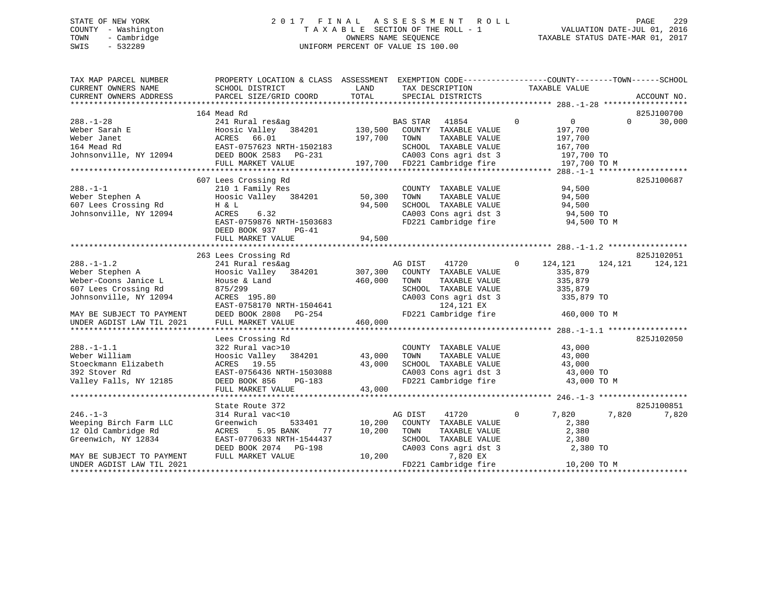# STATE OF NEW YORK 2 0 1 7 F I N A L A S S E S S M E N T R O L L PAGE 229 COUNTY - Washington T A X A B L E SECTION OF THE ROLL - 1 VALUATION DATE-JUL 01, 2016 TOWN - Cambridge OWNERS NAME SEQUENCE TAXABLE STATUS DATE-MAR 01, 2017 SWIS - 532289 UNIFORM PERCENT OF VALUE IS 100.00

| TAX MAP PARCEL NUMBER<br>CURRENT OWNERS NAME | PROPERTY LOCATION & CLASS ASSESSMENT EXEMPTION CODE----------------COUNTY-------TOWN------SCHOOL<br>SCHOOL DISTRICT | LAND    | TAX DESCRIPTION                                                                                               | TAXABLE VALUE                    |                    |
|----------------------------------------------|---------------------------------------------------------------------------------------------------------------------|---------|---------------------------------------------------------------------------------------------------------------|----------------------------------|--------------------|
| CURRENT OWNERS ADDRESS                       | PARCEL SIZE/GRID COORD                                                                                              | TOTAL   | SPECIAL DISTRICTS                                                                                             |                                  | ACCOUNT NO.        |
|                                              |                                                                                                                     |         |                                                                                                               |                                  |                    |
|                                              | 164 Mead Rd                                                                                                         |         |                                                                                                               |                                  | 825J100700         |
| $288. - 1 - 28$                              | 241 Rural res&ag                                                                                                    |         | BAS STAR<br>41854                                                                                             | $\overline{0}$<br>$\overline{0}$ | 30,000<br>$\Omega$ |
| Weber Sarah E                                | Hoosic Valley 384201<br>ACRES 66.01<br>EAST-0757623 NRTH-1502183                                                    | 130,500 | COUNTY TAXABLE VALUE                                                                                          | 197,700                          |                    |
| Weber Janet                                  |                                                                                                                     | 197,700 | TAXABLE VALUE<br>TOWN                                                                                         | 197,700                          |                    |
|                                              |                                                                                                                     |         | SCHOOL TAXABLE VALUE                                                                                          | 167,700                          |                    |
|                                              |                                                                                                                     |         |                                                                                                               |                                  |                    |
|                                              | FULL MARKET VALUE                                                                                                   |         | SCHOOL TAXABLE VALUE 167,700<br>CA003 Cons agri dst 3 197,700 TO<br>197,700 FD221 Cambridge fire 197,700 TO M |                                  |                    |
|                                              |                                                                                                                     |         |                                                                                                               |                                  |                    |
|                                              | 607 Lees Crossing Rd                                                                                                |         |                                                                                                               |                                  | 825J100687         |
| $288. - 1 - 1$                               | 210 1 Family Res                                                                                                    |         | COUNTY TAXABLE VALUE                                                                                          | 94,500                           |                    |
| Weber Stephen A                              | Hoosic Valley 384201                                                                                                | 50,300  | TAXABLE VALUE<br>TOWN                                                                                         | 94,500                           |                    |
| 607 Lees Crossing Rd                         | H & L                                                                                                               | 94,500  | SCHOOL TAXABLE VALUE                                                                                          | 94,500                           |                    |
| Johnsonville, NY 12094                       | ACRES<br>6.32                                                                                                       |         | CA003 Cons agri dst 3                                                                                         | 94,500 TO                        |                    |
|                                              | EAST-0759876 NRTH-1503683                                                                                           |         | FD221 Cambridge fire                                                                                          | 94,500 TO M                      |                    |
|                                              | DEED BOOK 937<br>$PG-41$                                                                                            |         |                                                                                                               |                                  |                    |
|                                              | FULL MARKET VALUE                                                                                                   | 94,500  |                                                                                                               |                                  |                    |
|                                              |                                                                                                                     |         |                                                                                                               |                                  |                    |
|                                              | 263 Lees Crossing Rd                                                                                                |         |                                                                                                               |                                  | 825J102051         |
| $288. - 1 - 1.2$                             | 241 Rural res&ag                                                                                                    |         | AG DIST<br>41720                                                                                              | $\overline{0}$<br>124,121        | 124,121<br>124,121 |
| Weber Stephen A                              | Hoosic Valley 384201 307,300                                                                                        |         | COUNTY TAXABLE VALUE                                                                                          | 335,879                          |                    |
| Weber-Coons Janice L                         | House & Land                                                                                                        | 460,000 | TOWN<br>TAXABLE VALUE                                                                                         | 335,879                          |                    |
| 607 Lees Crossing Rd                         |                                                                                                                     |         | SCHOOL TAXABLE VALUE                                                                                          |                                  |                    |
|                                              | 875/299                                                                                                             |         |                                                                                                               | 335,879                          |                    |
| Johnsonville, NY 12094                       | ACRES 195.80                                                                                                        |         | CA003 Cons agri dst 3                                                                                         | 335,879 TO                       |                    |
|                                              | EAST-0758170 NRTH-1504641<br>DEED BOOK 2808 PG-254                                                                  |         | 124,121 EX                                                                                                    |                                  |                    |
| MAY BE SUBJECT TO PAYMENT                    |                                                                                                                     |         | FD221 Cambridge fire                                                                                          | 460,000 TO M                     |                    |
| UNDER AGDIST LAW TIL 2021                    | FULL MARKET VALUE                                                                                                   | 460,000 |                                                                                                               |                                  |                    |
|                                              |                                                                                                                     |         |                                                                                                               |                                  |                    |
|                                              | Lees Crossing Rd                                                                                                    |         |                                                                                                               |                                  | 825J102050         |
| $288. - 1 - 1.1$                             | 322 Rural vac>10                                                                                                    |         | COUNTY TAXABLE VALUE                                                                                          | 43,000                           |                    |
| Weber William                                | Hoosic Valley 384201                                                                                                | 43,000  | TAXABLE VALUE<br>TOWN                                                                                         | 43,000                           |                    |
| Stoeckmann Elizabeth                         | ACRES 19.55                                                                                                         | 43,000  | SCHOOL TAXABLE VALUE                                                                                          | 43,000                           |                    |
| 392 Stover Rd                                | EAST-0756436 NRTH-1503088                                                                                           |         |                                                                                                               | 43,000 TO                        |                    |
| Valley Falls, NY 12185                       | DEED BOOK 856<br>PG-183                                                                                             |         | CA003 Cons agri dst 3<br>FD221 Cambridge fire                                                                 | 43,000 TO M                      |                    |
|                                              | FULL MARKET VALUE                                                                                                   | 43,000  |                                                                                                               |                                  |                    |
|                                              |                                                                                                                     |         |                                                                                                               |                                  |                    |
|                                              | State Route 372                                                                                                     |         |                                                                                                               |                                  | 825J100851         |
| $246. - 1 - 3$                               | 314 Rural vac<10                                                                                                    |         | AG DIST<br>41720                                                                                              | $\overline{0}$<br>7,820          | 7,820<br>7,820     |
| Weeping Birch Farm LLC                       | 533401<br>Greenwich                                                                                                 | 10,200  | COUNTY TAXABLE VALUE                                                                                          | 2,380                            |                    |
| 12 Old Cambridge Rd                          | 5.95 BANK<br>ACRES<br>77                                                                                            | 10,200  | TOWN<br>TAXABLE VALUE                                                                                         | 2,380                            |                    |
| Greenwich, NY 12834                          | EAST-0770633 NRTH-1544437                                                                                           |         | SCHOOL TAXABLE VALUE                                                                                          | 2,380                            |                    |
|                                              | DEED BOOK 2074 PG-198                                                                                               |         | CA003 Cons agri dst 3                                                                                         | 2,380 TO                         |                    |
| MAY BE SUBJECT TO PAYMENT                    | FULL MARKET VALUE                                                                                                   | 10,200  | 7,820 EX                                                                                                      |                                  |                    |
|                                              |                                                                                                                     |         |                                                                                                               |                                  |                    |
| UNDER AGDIST LAW TIL 2021                    |                                                                                                                     |         | FD221 Cambridge fire                                                                                          | 10,200 TO M                      |                    |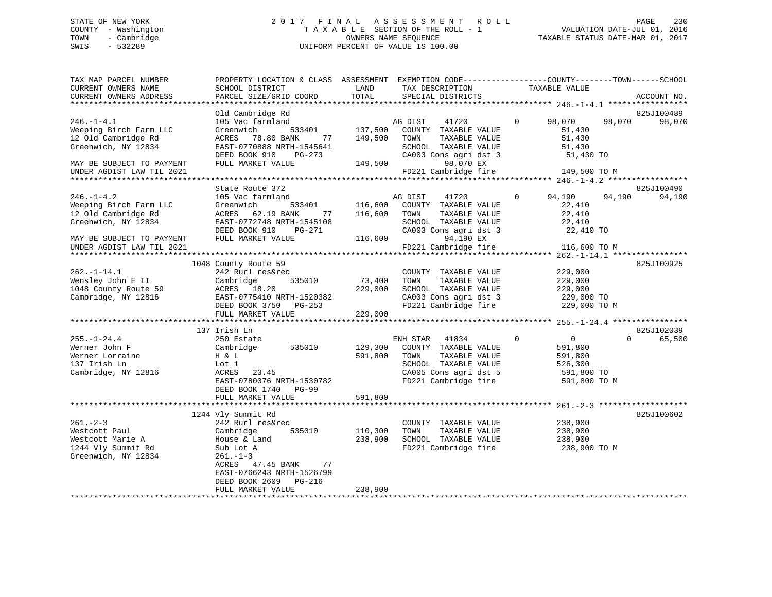# STATE OF NEW YORK 2 0 1 7 F I N A L A S S E S S M E N T R O L L PAGE 230 COUNTY - Washington T A X A B L E SECTION OF THE ROLL - 1 VALUATION DATE-JUL 01, 2016 TOWN - Cambridge OWNERS NAME SEQUENCE TAXABLE STATUS DATE-MAR 01, 2017 SWIS - 532289 UNIFORM PERCENT OF VALUE IS 100.00

| TAX MAP PARCEL NUMBER     | PROPERTY LOCATION & CLASS ASSESSMENT EXEMPTION CODE---------------COUNTY-------TOWN------SCHOOL |         |                       |               |                            |             |
|---------------------------|-------------------------------------------------------------------------------------------------|---------|-----------------------|---------------|----------------------------|-------------|
| CURRENT OWNERS NAME       | SCHOOL DISTRICT                                                                                 | LAND    | TAX DESCRIPTION       | TAXABLE VALUE |                            |             |
| CURRENT OWNERS ADDRESS    | PARCEL SIZE/GRID COORD                                                                          | TOTAL   | SPECIAL DISTRICTS     |               |                            | ACCOUNT NO. |
| *********************     | ***********************                                                                         |         |                       |               |                            |             |
|                           | Old Cambridge Rd                                                                                |         |                       |               |                            | 825J100489  |
| $246. - 1 - 4.1$          | 105 Vac farmland                                                                                |         | AG DIST<br>41720      | $\Omega$      | 98,070<br>98,070           | 98,070      |
| Weeping Birch Farm LLC    | Greenwich<br>533401                                                                             | 137,500 | COUNTY TAXABLE VALUE  |               | 51,430                     |             |
| 12 Old Cambridge Rd       | 78.80 BANK<br>77<br>ACRES                                                                       | 149,500 | TOWN<br>TAXABLE VALUE |               | 51,430                     |             |
| Greenwich, NY 12834       | EAST-0770888 NRTH-1545641                                                                       |         | SCHOOL TAXABLE VALUE  |               | 51,430                     |             |
|                           | DEED BOOK 910<br>PG-273                                                                         |         | CA003 Cons agri dst 3 |               | 51,430 TO                  |             |
| MAY BE SUBJECT TO PAYMENT | FULL MARKET VALUE                                                                               | 149,500 | 98,070 EX             |               |                            |             |
| UNDER AGDIST LAW TIL 2021 |                                                                                                 |         | FD221 Cambridge fire  |               | 149,500 TO M               |             |
|                           |                                                                                                 |         |                       |               |                            |             |
|                           | State Route 372                                                                                 |         |                       |               |                            | 825J100490  |
| $246. - 1 - 4.2$          | 105 Vac farmland                                                                                |         | AG DIST<br>41720      | $\Omega$      | 94,190<br>94,190           | 94,190      |
| Weeping Birch Farm LLC    | 533401<br>Greenwich                                                                             | 116,600 | COUNTY TAXABLE VALUE  |               | 22,410                     |             |
| 12 Old Cambridge Rd       | ACRES<br>62.19 BANK<br>77                                                                       | 116,600 | TOWN<br>TAXABLE VALUE |               | 22,410                     |             |
| Greenwich, NY 12834       | EAST-0772748 NRTH-1545108                                                                       |         | SCHOOL TAXABLE VALUE  |               | 22,410                     |             |
|                           | DEED BOOK 910<br>PG-271                                                                         |         | CA003 Cons agri dst 3 |               | 22,410 TO                  |             |
| MAY BE SUBJECT TO PAYMENT | FULL MARKET VALUE                                                                               | 116,600 | 94,190 EX             |               |                            |             |
| UNDER AGDIST LAW TIL 2021 |                                                                                                 |         | FD221 Cambridge fire  |               | 116,600 TO M               |             |
|                           |                                                                                                 |         |                       |               |                            |             |
|                           | 1048 County Route 59                                                                            |         |                       |               |                            | 825J100925  |
| $262. -1 - 14.1$          | 242 Rurl res&rec                                                                                |         | COUNTY TAXABLE VALUE  |               | 229,000                    |             |
| Wensley John E II         | 535010<br>Cambridge                                                                             | 73,400  | TOWN<br>TAXABLE VALUE |               | 229,000                    |             |
| 1048 County Route 59      | ACRES 18.20                                                                                     | 229,000 | SCHOOL TAXABLE VALUE  |               | 229,000                    |             |
| Cambridge, NY 12816       | EAST-0775410 NRTH-1520382                                                                       |         | CA003 Cons agri dst 3 |               | 229,000 TO                 |             |
|                           | DEED BOOK 3750<br>$PG-253$                                                                      |         | FD221 Cambridge fire  |               | 229,000 TO M               |             |
|                           | FULL MARKET VALUE                                                                               | 229,000 |                       |               |                            |             |
|                           |                                                                                                 |         |                       |               |                            |             |
|                           | 137 Irish Ln                                                                                    |         |                       |               |                            | 825J102039  |
| $255. - 1 - 24.4$         | 250 Estate                                                                                      |         | ENH STAR<br>41834     | $\Omega$      | $\Omega$<br>$\overline{0}$ | 65,500      |
| Werner John F             | 535010<br>Cambridge                                                                             | 129,300 | COUNTY TAXABLE VALUE  |               | 591,800                    |             |
| Werner Lorraine           | H & L                                                                                           | 591,800 | TAXABLE VALUE<br>TOWN |               | 591,800                    |             |
| 137 Irish Ln              | Lot 1                                                                                           |         | SCHOOL TAXABLE VALUE  |               | 526,300                    |             |
| Cambridge, NY 12816       | ACRES<br>23.45                                                                                  |         | CA005 Cons agri dst 5 |               | 591,800 TO                 |             |
|                           | EAST-0780076 NRTH-1530782                                                                       |         | FD221 Cambridge fire  |               | 591,800 TO M               |             |
|                           | DEED BOOK 1740<br><b>PG-99</b>                                                                  |         |                       |               |                            |             |
|                           | FULL MARKET VALUE                                                                               | 591,800 |                       |               |                            |             |
|                           | ************************                                                                        |         |                       |               |                            |             |
|                           | 1244 Vly Summit Rd                                                                              |         |                       |               |                            | 825J100602  |
| $261 - 2 - 3$             | 242 Rurl res&rec                                                                                |         | COUNTY TAXABLE VALUE  |               | 238,900                    |             |
| Westcott Paul             | 535010<br>Cambridge                                                                             | 110,300 | TOWN<br>TAXABLE VALUE |               | 238,900                    |             |
| Westcott Marie A          | House & Land                                                                                    | 238,900 | SCHOOL TAXABLE VALUE  |               | 238,900                    |             |
| 1244 Vly Summit Rd        | Sub Lot A                                                                                       |         | FD221 Cambridge fire  |               | 238,900 TO M               |             |
| Greenwich, NY 12834       | $261. - 1 - 3$                                                                                  |         |                       |               |                            |             |
|                           | 47.45 BANK<br>77<br>ACRES                                                                       |         |                       |               |                            |             |
|                           | EAST-0766243 NRTH-1526799                                                                       |         |                       |               |                            |             |
|                           | DEED BOOK 2609<br>$PG-216$                                                                      |         |                       |               |                            |             |
|                           | FULL MARKET VALUE                                                                               | 238,900 |                       |               |                            |             |
|                           |                                                                                                 |         |                       |               |                            |             |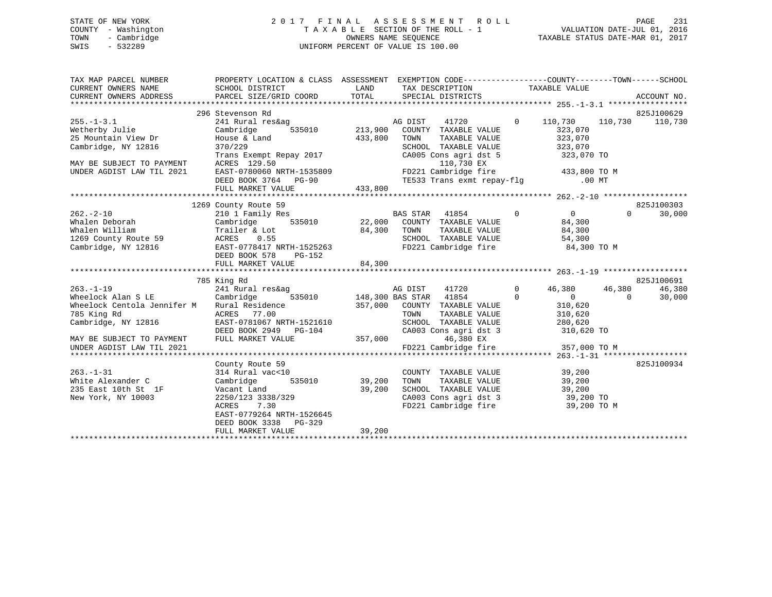# STATE OF NEW YORK 2 0 1 7 F I N A L A S S E S S M E N T R O L L PAGE 231 COUNTY - Washington T A X A B L E SECTION OF THE ROLL - 1 VALUATION DATE-JUL 01, 2016 TOWN - Cambridge OWNERS NAME SEQUENCE TAXABLE STATUS DATE-MAR 01, 2017 SWIS - 532289 UNIFORM PERCENT OF VALUE IS 100.00

| TAX MAP PARCEL NUMBER<br>CURRENT OWNERS NAME<br>CURRENT OWNERS NAME<br>CURRENT OWNERS ADDRESS                                                                                                                                                | PROPERTY LOCATION & CLASS ASSESSMENT EXEMPTION CODE----------------COUNTY-------TOWN-----SCHOOL                                                                                                                                        |      |                                                                                                      |                                                        |                 |
|----------------------------------------------------------------------------------------------------------------------------------------------------------------------------------------------------------------------------------------------|----------------------------------------------------------------------------------------------------------------------------------------------------------------------------------------------------------------------------------------|------|------------------------------------------------------------------------------------------------------|--------------------------------------------------------|-----------------|
|                                                                                                                                                                                                                                              |                                                                                                                                                                                                                                        |      |                                                                                                      |                                                        |                 |
|                                                                                                                                                                                                                                              | 296 Stevenson Rd                                                                                                                                                                                                                       |      |                                                                                                      |                                                        | 825J100629      |
| $255 - 1 - 3.1$                                                                                                                                                                                                                              |                                                                                                                                                                                                                                        |      |                                                                                                      |                                                        | 110,730 110,730 |
| Wetherby Julie                                                                                                                                                                                                                               |                                                                                                                                                                                                                                        |      |                                                                                                      |                                                        |                 |
| 25 Mountain View Dr                                                                                                                                                                                                                          |                                                                                                                                                                                                                                        |      |                                                                                                      |                                                        |                 |
| Cambridge, NY 12816                                                                                                                                                                                                                          |                                                                                                                                                                                                                                        |      |                                                                                                      |                                                        |                 |
|                                                                                                                                                                                                                                              |                                                                                                                                                                                                                                        |      |                                                                                                      |                                                        |                 |
| MAY BE SUBJECT TO PAYMENT                                                                                                                                                                                                                    | EXERCISE A Land a 33,800 COWNI TAXABLE VALUE<br>House & Land 433,800 TOWN TAXABLE VALUE<br>370/229 SCHOOL TAXABLE VALUE<br>Trans Exempt Repay 2017 CA005 Cons agri dst 5 323,070<br>Trans Exempt Repay 2017 CA005 Cons agri dst 5 323, |      |                                                                                                      |                                                        |                 |
| UNDER AGDIST LAW TIL 2021                                                                                                                                                                                                                    |                                                                                                                                                                                                                                        |      |                                                                                                      |                                                        |                 |
|                                                                                                                                                                                                                                              |                                                                                                                                                                                                                                        |      |                                                                                                      |                                                        |                 |
|                                                                                                                                                                                                                                              |                                                                                                                                                                                                                                        |      |                                                                                                      |                                                        |                 |
|                                                                                                                                                                                                                                              |                                                                                                                                                                                                                                        |      |                                                                                                      |                                                        |                 |
|                                                                                                                                                                                                                                              | 1269 County Route 59                                                                                                                                                                                                                   |      |                                                                                                      |                                                        | 825J100303      |
|                                                                                                                                                                                                                                              |                                                                                                                                                                                                                                        |      |                                                                                                      |                                                        | 30,000          |
|                                                                                                                                                                                                                                              |                                                                                                                                                                                                                                        |      |                                                                                                      |                                                        |                 |
|                                                                                                                                                                                                                                              |                                                                                                                                                                                                                                        |      |                                                                                                      |                                                        |                 |
|                                                                                                                                                                                                                                              |                                                                                                                                                                                                                                        |      |                                                                                                      |                                                        |                 |
| 262.-2-10<br>Whalen Deborah 210 1 Family Res<br>Whalen Whalen William Cambridge 535010<br>22,000 COUNTY TAXABLE VALUE 84,300<br>Trailer & Lot<br>22,000 COUNTY TAXABLE VALUE 84,300<br>TAXABLE VALUE 84,300<br>22,000 COUNTY TAXABLE VALUE 8 |                                                                                                                                                                                                                                        |      |                                                                                                      |                                                        |                 |
|                                                                                                                                                                                                                                              | DEED BOOK 578 PG-152                                                                                                                                                                                                                   |      |                                                                                                      |                                                        |                 |
|                                                                                                                                                                                                                                              |                                                                                                                                                                                                                                        |      |                                                                                                      |                                                        |                 |
|                                                                                                                                                                                                                                              |                                                                                                                                                                                                                                        |      |                                                                                                      |                                                        |                 |
|                                                                                                                                                                                                                                              | 785 King Rd                                                                                                                                                                                                                            |      |                                                                                                      |                                                        | 825J100691      |
| $263. - 1 - 19$                                                                                                                                                                                                                              |                                                                                                                                                                                                                                        |      | AG DIST 41720 0                                                                                      | 46,380 46,380                                          | 46,380          |
| Wheelock Alan S LE                                                                                                                                                                                                                           |                                                                                                                                                                                                                                        |      |                                                                                                      | $\begin{array}{ccc} & & & 0 & \quad & & 0 \end{array}$ | 30,000          |
|                                                                                                                                                                                                                                              |                                                                                                                                                                                                                                        |      |                                                                                                      |                                                        |                 |
|                                                                                                                                                                                                                                              |                                                                                                                                                                                                                                        |      |                                                                                                      |                                                        |                 |
| Cambridge, NY 12816                                                                                                                                                                                                                          | EAST-0781067 NRTH-1521610                                                                                                                                                                                                              |      | SCHOOL TAXABLE VALUE 280,620                                                                         |                                                        |                 |
|                                                                                                                                                                                                                                              |                                                                                                                                                                                                                                        |      |                                                                                                      |                                                        |                 |
|                                                                                                                                                                                                                                              |                                                                                                                                                                                                                                        |      |                                                                                                      |                                                        |                 |
|                                                                                                                                                                                                                                              |                                                                                                                                                                                                                                        |      |                                                                                                      |                                                        |                 |
|                                                                                                                                                                                                                                              |                                                                                                                                                                                                                                        |      |                                                                                                      |                                                        |                 |
|                                                                                                                                                                                                                                              | County Route 59                                                                                                                                                                                                                        |      |                                                                                                      |                                                        | 825J100934      |
| $263. - 1 - 31$                                                                                                                                                                                                                              | 314 Rural vac<10                                                                                                                                                                                                                       |      | COUNTY TAXABLE VALUE 39,200                                                                          |                                                        |                 |
| White Alexander C                                                                                                                                                                                                                            | Cambridge 535010 39,200                                                                                                                                                                                                                | TOWN | TAXABLE VALUE 39,200                                                                                 |                                                        |                 |
| 235 East 10th St 1F                                                                                                                                                                                                                          | Vacant Land 39,200<br>2250/123 3338/329<br>ACRES 7.30                                                                                                                                                                                  |      | SCHOOL TAXABLE VALUE $39,200$<br>CA003 Cons agri dst 3 39,200 TO<br>FD221 Cambridge fire 39,200 TO M |                                                        |                 |
| New York, NY 10003                                                                                                                                                                                                                           |                                                                                                                                                                                                                                        |      |                                                                                                      |                                                        |                 |
|                                                                                                                                                                                                                                              |                                                                                                                                                                                                                                        |      |                                                                                                      |                                                        |                 |
|                                                                                                                                                                                                                                              | EAST-0779264 NRTH-1526645                                                                                                                                                                                                              |      |                                                                                                      |                                                        |                 |
|                                                                                                                                                                                                                                              | DEED BOOK 3338 PG-329                                                                                                                                                                                                                  |      |                                                                                                      |                                                        |                 |
|                                                                                                                                                                                                                                              |                                                                                                                                                                                                                                        |      |                                                                                                      |                                                        |                 |
|                                                                                                                                                                                                                                              |                                                                                                                                                                                                                                        |      |                                                                                                      |                                                        |                 |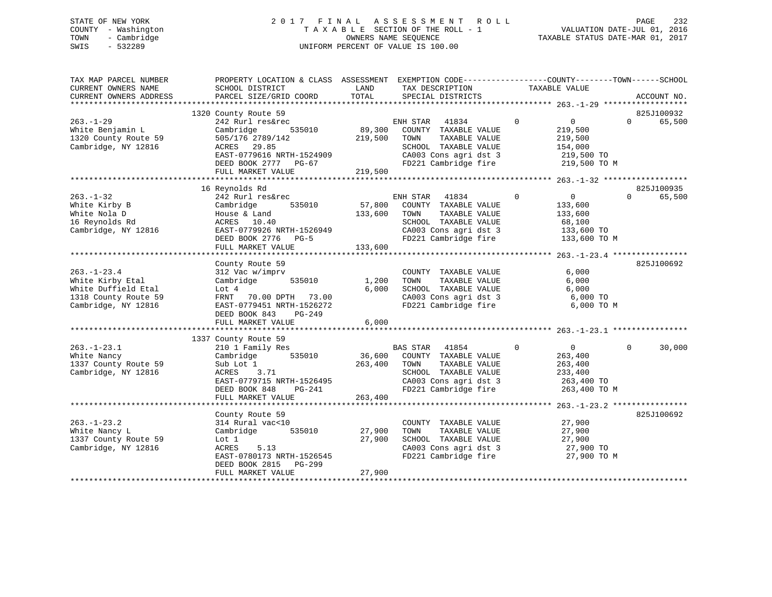# STATE OF NEW YORK 2 0 1 7 F I N A L A S S E S S M E N T R O L L PAGE 232 COUNTY - Washington T A X A B L E SECTION OF THE ROLL - 1 VALUATION DATE-JUL 01, 2016 TOWN - Cambridge OWNERS NAME SEQUENCE TAXABLE STATUS DATE-MAR 01, 2017 SWIS - 532289 UNIFORM PERCENT OF VALUE IS 100.00

| TAX MAP PARCEL NUMBER<br>CURRENT OWNERS NAME | PROPERTY LOCATION & CLASS ASSESSMENT EXEMPTION CODE---------------COUNTY-------TOWN-----SCHOOL<br>SCHOOL DISTRICT | LAND    | TAX DESCRIPTION             | TAXABLE VALUE                    |                |             |
|----------------------------------------------|-------------------------------------------------------------------------------------------------------------------|---------|-----------------------------|----------------------------------|----------------|-------------|
| CURRENT OWNERS ADDRESS                       | PARCEL SIZE/GRID COORD                                                                                            | TOTAL   | SPECIAL DISTRICTS           |                                  |                | ACCOUNT NO. |
|                                              |                                                                                                                   |         |                             |                                  |                |             |
|                                              | 1320 County Route 59                                                                                              |         |                             |                                  |                | 825J100932  |
| $263. - 1 - 29$                              | 242 Rurl res&rec                                                                                                  |         | ENH STAR 41834              | $\overline{0}$<br>$\overline{0}$ | $\Omega$       | 65,500      |
| White Benjamin L                             | 535010<br>Cambridge                                                                                               |         | 89,300 COUNTY TAXABLE VALUE | 219,500                          |                |             |
| 1320 County Route 59                         | 505/176 2789/142                                                                                                  | 219,500 | TOWN<br>TAXABLE VALUE       | 219,500                          |                |             |
| Cambridge, NY 12816                          | ACRES 29.85                                                                                                       |         | SCHOOL TAXABLE VALUE        | 154,000                          |                |             |
|                                              | EAST-0779616 NRTH-1524909                                                                                         |         | CA003 Cons agri dst 3       | 219,500 TO                       |                |             |
|                                              | DEED BOOK 2777 PG-67                                                                                              |         | FD221 Cambridge fire        | 219,500 TO M                     |                |             |
|                                              | FULL MARKET VALUE                                                                                                 | 219,500 |                             |                                  |                |             |
|                                              | ******************************                                                                                    |         |                             |                                  |                |             |
|                                              | 16 Reynolds Rd                                                                                                    |         |                             |                                  |                | 825J100935  |
| $263. - 1 - 32$                              | 242 Rurl res&rec                                                                                                  |         | ENH STAR<br>41834           | $\overline{0}$<br>$\mathbf 0$    | $\Omega$       | 65,500      |
| White Kirby B                                | Cambridge<br>535010                                                                                               |         | 57,800 COUNTY TAXABLE VALUE | 133,600                          |                |             |
| White Nola D                                 | House & Land                                                                                                      | 133,600 | TOWN<br>TAXABLE VALUE       | 133,600                          |                |             |
| 16 Reynolds Rd                               | ACRES 10.40                                                                                                       |         | SCHOOL TAXABLE VALUE        | 68,100                           |                |             |
| Cambridge, NY 12816                          | EAST-0779926 NRTH-1526949                                                                                         |         | CA003 Cons agri dst 3       | 133,600 TO                       |                |             |
|                                              | DEED BOOK 2776 PG-5                                                                                               |         | FD221 Cambridge fire        | 133,600 TO M                     |                |             |
|                                              | FULL MARKET VALUE                                                                                                 | 133,600 |                             |                                  |                |             |
|                                              |                                                                                                                   |         |                             |                                  |                |             |
|                                              | County Route 59                                                                                                   |         |                             |                                  |                | 825J100692  |
| $263. - 1 - 23.4$                            | 312 Vac w/imprv                                                                                                   |         | COUNTY TAXABLE VALUE        | 6,000                            |                |             |
| White Kirby Etal                             | Cambridge<br>535010                                                                                               | 1,200   | TOWN<br>TAXABLE VALUE       | 6,000                            |                |             |
| White Duffield Etal                          | Lot 4                                                                                                             | 6,000   | SCHOOL TAXABLE VALUE        | 6,000                            |                |             |
| 1318 County Route 59                         | FRNT 70.00 DPTH 73.00                                                                                             |         | CA003 Cons agri dst 3       | 6,000 TO                         |                |             |
| Cambridge, NY 12816                          | EAST-0779451 NRTH-1526272                                                                                         |         | FD221 Cambridge fire        | 6,000 TO M                       |                |             |
|                                              | DEED BOOK 843<br>PG-249                                                                                           |         |                             |                                  |                |             |
|                                              | FULL MARKET VALUE                                                                                                 | 6,000   |                             |                                  |                |             |
|                                              |                                                                                                                   |         |                             |                                  |                |             |
|                                              | 1337 County Route 59                                                                                              |         |                             |                                  |                |             |
| $263. - 1 - 23.1$                            | 210 1 Family Res                                                                                                  |         | BAS STAR 41854              | $\overline{0}$<br>$\overline{0}$ | $\overline{0}$ | 30,000      |
| White Nancy                                  | Cambridge<br>535010                                                                                               | 36,600  | COUNTY TAXABLE VALUE        | 263,400                          |                |             |
| 1337 County Route 59                         | Sub Lot 1                                                                                                         | 263,400 | TAXABLE VALUE<br>TOWN       | 263,400                          |                |             |
| Cambridge, NY 12816                          | ACRES 3.71                                                                                                        |         | SCHOOL TAXABLE VALUE        | 233,400                          |                |             |
|                                              | EAST-0779715 NRTH-1526495                                                                                         |         | CA003 Cons agri dst 3       | 263,400 TO                       |                |             |
|                                              | DEED BOOK 848<br>PG-241                                                                                           |         | FD221 Cambridge fire        | 263,400 TO M                     |                |             |
|                                              | FULL MARKET VALUE                                                                                                 | 263,400 |                             |                                  |                |             |
|                                              |                                                                                                                   |         |                             |                                  |                |             |
|                                              | County Route 59                                                                                                   |         |                             |                                  |                | 825J100692  |
| $263. - 1 - 23.2$                            | 314 Rural vac<10                                                                                                  |         | COUNTY TAXABLE VALUE        | 27,900                           |                |             |
| White Nancy L                                | Cambridge 535010                                                                                                  | 27,900  | TOWN<br>TAXABLE VALUE       | 27,900                           |                |             |
| 1337 County Route 59                         | Lot 1                                                                                                             | 27,900  | SCHOOL TAXABLE VALUE        | 27,900                           |                |             |
| Cambridge, NY 12816                          | ACRES<br>5.13                                                                                                     |         | CA003 Cons agri dst 3       | 27,900 TO                        |                |             |
|                                              | EAST-0780173 NRTH-1526545                                                                                         |         | FD221 Cambridge fire        | 27,900 TO M                      |                |             |
|                                              | DEED BOOK 2815<br>PG-299                                                                                          |         |                             |                                  |                |             |
|                                              | FULL MARKET VALUE                                                                                                 | 27,900  |                             |                                  |                |             |
|                                              |                                                                                                                   |         |                             |                                  |                |             |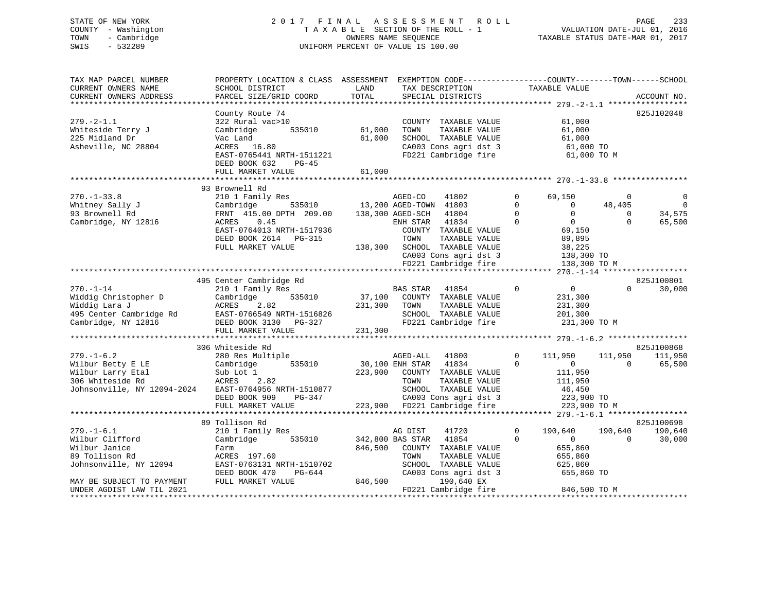# STATE OF NEW YORK 2 0 1 7 F I N A L A S S E S S M E N T R O L L PAGE 233 COUNTY - Washington T A X A B L E SECTION OF THE ROLL - 1 VALUATION DATE-JUL 01, 2016 TOWN - Cambridge OWNERS NAME SEQUENCE TAXABLE STATUS DATE-MAR 01, 2017 SWIS - 532289 UNIFORM PERCENT OF VALUE IS 100.00

| 825J102048<br>County Route 74<br>$279. - 2 - 1.1$<br>322 Rural vac>10<br>COUNTY TAXABLE VALUE<br>61,000<br>Whiteside Terry J<br>535010<br>61,000<br>Cambridge<br>TOWN<br>TAXABLE VALUE<br>61,000<br>225 Midland Dr<br>Vac Land<br>61,000<br>SCHOOL TAXABLE VALUE<br>61,000<br>Asheville, NC 28804<br>ACRES 16.80<br>CA003 Cons agri dst 3<br>61,000 TO<br>FD221 Cambridge fire<br>EAST-0765441 NRTH-1511221<br>61,000 TO M<br>DEED BOOK 632<br>PG-45<br>61,000<br>FULL MARKET VALUE<br>93 Brownell Rd<br>$270. - 1 - 33.8$<br>210 1 Family Res<br>AGED-CO<br>41802<br>69,150<br>$\mathbf 0$<br>$\Omega$<br>$\Omega$<br>$3535010$ $13,200$ $\overline{AGED-TOWN}$ $41803$<br>$\overline{0}$<br>Whitney Sally J<br>Cambridge<br>$\Omega$<br>$\overline{0}$<br>48,405<br>$\Omega$<br>$\Omega$<br>34,575<br>93 Brownell Rd<br>FRNT 415.00 DPTH 209.00<br>138,300 AGED-SCH 41804<br>$\Omega$<br>$\overline{0}$<br>41834<br>$\Omega$<br>$\Omega$<br>65,500<br>Cambridge, NY 12816<br>ACRES<br>0.45<br>ENH STAR<br>EAST-0764013 NRTH-1517936<br>COUNTY TAXABLE VALUE<br>69,150<br>DEED BOOK 2614 PG-315<br>TOWN<br>TAXABLE VALUE<br>89,895<br>FULL MARKET VALUE<br>138,300 SCHOOL TAXABLE VALUE<br>38,225<br>CA003 Cons agri dst 3<br>138,300 TO<br>FD221 Cambridge fire<br>138,300 TO M<br>825J100801<br>495 Center Cambridge Rd<br>$270. - 1 - 14$<br>$\overline{0}$<br>210 1 Family Res<br>$\mathbf 0$<br>$\Omega$<br>30,000<br>BAS STAR 41854<br>37,100 COUNTY TAXABLE VALUE<br>Widdig Christopher D<br>535010<br>Cambridge<br>231,300<br>Widdig Lara J<br>ACRES 2.82<br>231,300<br>TOWN<br>TAXABLE VALUE<br>231,300<br>EAST-0766549 NRTH-1516826<br>495 Center Cambridge Rd<br>SCHOOL TAXABLE VALUE<br>201,300<br>FD221 Cambridge fire<br>Cambridge, NY 12816<br>DEED BOOK 3130 PG-327<br>231,300 TO M<br>FULL MARKET VALUE<br>231,300<br>825J100868<br>306 Whiteside Rd<br>$279. - 1 - 6.2$<br>280 Res Multiple<br>$\Omega$<br>111,950<br>111,950<br>AGED-ALL 41800<br>111,950<br>30,100 ENH STAR 41834<br>Wilbur Betty E LE<br>Cambridge<br>535010<br>$\Omega$<br>$\overline{0}$<br>65,500<br>$\Omega$<br>Wilbur Larry Etal<br>223,900 COUNTY TAXABLE VALUE<br>Sub Lot 1<br>111,950<br>306 Whiteside Rd<br>ACRES<br>2.82<br>TOWN<br>TAXABLE VALUE<br>111,950<br>Johnsonville, NY 12094-2024 EAST-0764956 NRTH-1510877<br>SCHOOL TAXABLE VALUE<br>46,450<br>CA003 Cons agri dst 3 223,900 TO<br>223,900 FD221 Cambridge fire 223,900 TO<br>DEED BOOK 909<br>PG-347<br>FULL MARKET VALUE<br>223,900 TO M<br>89 Tollison Rd<br>825J100698<br>190,640<br>$279. - 1 - 6.1$<br>210 1 Family Res<br>AG DIST<br>190,640<br>190,640<br>41720<br>$\mathbf{0}$<br>Wilbur Clifford<br>$\Omega$<br>$\overline{0}$<br>30,000<br>Cambridge<br>535010<br>342,800 BAS STAR<br>41854<br>$\Omega$<br>Wilbur Janice<br>846,500<br>COUNTY TAXABLE VALUE<br>655,860<br>Farm<br>89 Tollison Rd<br>ACRES 197.60<br>TOWN<br>TAXABLE VALUE<br>655,860<br>Johnsonville, NY 12094<br>EAST-0763131 NRTH-1510702<br>SCHOOL TAXABLE VALUE<br>625,860<br>655,860 TO<br>CA003 Cons agri dst 3<br>DEED BOOK 470<br>PG-644<br>846,500<br>FULL MARKET VALUE<br>190,640 EX<br>MAY BE SUBJECT TO PAYMENT<br>846,500 TO M<br>FD221 Cambridge fire<br>UNDER AGDIST LAW TIL 2021 | TAX MAP PARCEL NUMBER<br>CURRENT OWNERS NAME<br>CURRENT OWNERS ADDRESS | PROPERTY LOCATION & CLASS ASSESSMENT EXEMPTION CODE----------------COUNTY-------TOWN------SCHOOL<br>SCHOOL DISTRICT<br>PARCEL SIZE/GRID COORD | LAND<br>TOTAL | TAX DESCRIPTION TAXABLE VALUE<br>SPECIAL DISTRICTS | ACCOUNT NO. |
|-----------------------------------------------------------------------------------------------------------------------------------------------------------------------------------------------------------------------------------------------------------------------------------------------------------------------------------------------------------------------------------------------------------------------------------------------------------------------------------------------------------------------------------------------------------------------------------------------------------------------------------------------------------------------------------------------------------------------------------------------------------------------------------------------------------------------------------------------------------------------------------------------------------------------------------------------------------------------------------------------------------------------------------------------------------------------------------------------------------------------------------------------------------------------------------------------------------------------------------------------------------------------------------------------------------------------------------------------------------------------------------------------------------------------------------------------------------------------------------------------------------------------------------------------------------------------------------------------------------------------------------------------------------------------------------------------------------------------------------------------------------------------------------------------------------------------------------------------------------------------------------------------------------------------------------------------------------------------------------------------------------------------------------------------------------------------------------------------------------------------------------------------------------------------------------------------------------------------------------------------------------------------------------------------------------------------------------------------------------------------------------------------------------------------------------------------------------------------------------------------------------------------------------------------------------------------------------------------------------------------------------------------------------------------------------------------------------------------------------------------------------------------------------------------------------------------------------------------------------------------------------------------------------------------------------------------------------------------------------------------------------------------------------------------------------------------------------------------------------------------------------------------------------------------------------------------------------------------------------------|------------------------------------------------------------------------|-----------------------------------------------------------------------------------------------------------------------------------------------|---------------|----------------------------------------------------|-------------|
|                                                                                                                                                                                                                                                                                                                                                                                                                                                                                                                                                                                                                                                                                                                                                                                                                                                                                                                                                                                                                                                                                                                                                                                                                                                                                                                                                                                                                                                                                                                                                                                                                                                                                                                                                                                                                                                                                                                                                                                                                                                                                                                                                                                                                                                                                                                                                                                                                                                                                                                                                                                                                                                                                                                                                                                                                                                                                                                                                                                                                                                                                                                                                                                                                                         |                                                                        |                                                                                                                                               |               |                                                    |             |
|                                                                                                                                                                                                                                                                                                                                                                                                                                                                                                                                                                                                                                                                                                                                                                                                                                                                                                                                                                                                                                                                                                                                                                                                                                                                                                                                                                                                                                                                                                                                                                                                                                                                                                                                                                                                                                                                                                                                                                                                                                                                                                                                                                                                                                                                                                                                                                                                                                                                                                                                                                                                                                                                                                                                                                                                                                                                                                                                                                                                                                                                                                                                                                                                                                         |                                                                        |                                                                                                                                               |               |                                                    |             |
|                                                                                                                                                                                                                                                                                                                                                                                                                                                                                                                                                                                                                                                                                                                                                                                                                                                                                                                                                                                                                                                                                                                                                                                                                                                                                                                                                                                                                                                                                                                                                                                                                                                                                                                                                                                                                                                                                                                                                                                                                                                                                                                                                                                                                                                                                                                                                                                                                                                                                                                                                                                                                                                                                                                                                                                                                                                                                                                                                                                                                                                                                                                                                                                                                                         |                                                                        |                                                                                                                                               |               |                                                    |             |
|                                                                                                                                                                                                                                                                                                                                                                                                                                                                                                                                                                                                                                                                                                                                                                                                                                                                                                                                                                                                                                                                                                                                                                                                                                                                                                                                                                                                                                                                                                                                                                                                                                                                                                                                                                                                                                                                                                                                                                                                                                                                                                                                                                                                                                                                                                                                                                                                                                                                                                                                                                                                                                                                                                                                                                                                                                                                                                                                                                                                                                                                                                                                                                                                                                         |                                                                        |                                                                                                                                               |               |                                                    |             |
|                                                                                                                                                                                                                                                                                                                                                                                                                                                                                                                                                                                                                                                                                                                                                                                                                                                                                                                                                                                                                                                                                                                                                                                                                                                                                                                                                                                                                                                                                                                                                                                                                                                                                                                                                                                                                                                                                                                                                                                                                                                                                                                                                                                                                                                                                                                                                                                                                                                                                                                                                                                                                                                                                                                                                                                                                                                                                                                                                                                                                                                                                                                                                                                                                                         |                                                                        |                                                                                                                                               |               |                                                    |             |
|                                                                                                                                                                                                                                                                                                                                                                                                                                                                                                                                                                                                                                                                                                                                                                                                                                                                                                                                                                                                                                                                                                                                                                                                                                                                                                                                                                                                                                                                                                                                                                                                                                                                                                                                                                                                                                                                                                                                                                                                                                                                                                                                                                                                                                                                                                                                                                                                                                                                                                                                                                                                                                                                                                                                                                                                                                                                                                                                                                                                                                                                                                                                                                                                                                         |                                                                        |                                                                                                                                               |               |                                                    |             |
|                                                                                                                                                                                                                                                                                                                                                                                                                                                                                                                                                                                                                                                                                                                                                                                                                                                                                                                                                                                                                                                                                                                                                                                                                                                                                                                                                                                                                                                                                                                                                                                                                                                                                                                                                                                                                                                                                                                                                                                                                                                                                                                                                                                                                                                                                                                                                                                                                                                                                                                                                                                                                                                                                                                                                                                                                                                                                                                                                                                                                                                                                                                                                                                                                                         |                                                                        |                                                                                                                                               |               |                                                    |             |
|                                                                                                                                                                                                                                                                                                                                                                                                                                                                                                                                                                                                                                                                                                                                                                                                                                                                                                                                                                                                                                                                                                                                                                                                                                                                                                                                                                                                                                                                                                                                                                                                                                                                                                                                                                                                                                                                                                                                                                                                                                                                                                                                                                                                                                                                                                                                                                                                                                                                                                                                                                                                                                                                                                                                                                                                                                                                                                                                                                                                                                                                                                                                                                                                                                         |                                                                        |                                                                                                                                               |               |                                                    |             |
|                                                                                                                                                                                                                                                                                                                                                                                                                                                                                                                                                                                                                                                                                                                                                                                                                                                                                                                                                                                                                                                                                                                                                                                                                                                                                                                                                                                                                                                                                                                                                                                                                                                                                                                                                                                                                                                                                                                                                                                                                                                                                                                                                                                                                                                                                                                                                                                                                                                                                                                                                                                                                                                                                                                                                                                                                                                                                                                                                                                                                                                                                                                                                                                                                                         |                                                                        |                                                                                                                                               |               |                                                    |             |
|                                                                                                                                                                                                                                                                                                                                                                                                                                                                                                                                                                                                                                                                                                                                                                                                                                                                                                                                                                                                                                                                                                                                                                                                                                                                                                                                                                                                                                                                                                                                                                                                                                                                                                                                                                                                                                                                                                                                                                                                                                                                                                                                                                                                                                                                                                                                                                                                                                                                                                                                                                                                                                                                                                                                                                                                                                                                                                                                                                                                                                                                                                                                                                                                                                         |                                                                        |                                                                                                                                               |               |                                                    |             |
|                                                                                                                                                                                                                                                                                                                                                                                                                                                                                                                                                                                                                                                                                                                                                                                                                                                                                                                                                                                                                                                                                                                                                                                                                                                                                                                                                                                                                                                                                                                                                                                                                                                                                                                                                                                                                                                                                                                                                                                                                                                                                                                                                                                                                                                                                                                                                                                                                                                                                                                                                                                                                                                                                                                                                                                                                                                                                                                                                                                                                                                                                                                                                                                                                                         |                                                                        |                                                                                                                                               |               |                                                    |             |
|                                                                                                                                                                                                                                                                                                                                                                                                                                                                                                                                                                                                                                                                                                                                                                                                                                                                                                                                                                                                                                                                                                                                                                                                                                                                                                                                                                                                                                                                                                                                                                                                                                                                                                                                                                                                                                                                                                                                                                                                                                                                                                                                                                                                                                                                                                                                                                                                                                                                                                                                                                                                                                                                                                                                                                                                                                                                                                                                                                                                                                                                                                                                                                                                                                         |                                                                        |                                                                                                                                               |               |                                                    |             |
|                                                                                                                                                                                                                                                                                                                                                                                                                                                                                                                                                                                                                                                                                                                                                                                                                                                                                                                                                                                                                                                                                                                                                                                                                                                                                                                                                                                                                                                                                                                                                                                                                                                                                                                                                                                                                                                                                                                                                                                                                                                                                                                                                                                                                                                                                                                                                                                                                                                                                                                                                                                                                                                                                                                                                                                                                                                                                                                                                                                                                                                                                                                                                                                                                                         |                                                                        |                                                                                                                                               |               |                                                    |             |
|                                                                                                                                                                                                                                                                                                                                                                                                                                                                                                                                                                                                                                                                                                                                                                                                                                                                                                                                                                                                                                                                                                                                                                                                                                                                                                                                                                                                                                                                                                                                                                                                                                                                                                                                                                                                                                                                                                                                                                                                                                                                                                                                                                                                                                                                                                                                                                                                                                                                                                                                                                                                                                                                                                                                                                                                                                                                                                                                                                                                                                                                                                                                                                                                                                         |                                                                        |                                                                                                                                               |               |                                                    |             |
|                                                                                                                                                                                                                                                                                                                                                                                                                                                                                                                                                                                                                                                                                                                                                                                                                                                                                                                                                                                                                                                                                                                                                                                                                                                                                                                                                                                                                                                                                                                                                                                                                                                                                                                                                                                                                                                                                                                                                                                                                                                                                                                                                                                                                                                                                                                                                                                                                                                                                                                                                                                                                                                                                                                                                                                                                                                                                                                                                                                                                                                                                                                                                                                                                                         |                                                                        |                                                                                                                                               |               |                                                    |             |
|                                                                                                                                                                                                                                                                                                                                                                                                                                                                                                                                                                                                                                                                                                                                                                                                                                                                                                                                                                                                                                                                                                                                                                                                                                                                                                                                                                                                                                                                                                                                                                                                                                                                                                                                                                                                                                                                                                                                                                                                                                                                                                                                                                                                                                                                                                                                                                                                                                                                                                                                                                                                                                                                                                                                                                                                                                                                                                                                                                                                                                                                                                                                                                                                                                         |                                                                        |                                                                                                                                               |               |                                                    |             |
|                                                                                                                                                                                                                                                                                                                                                                                                                                                                                                                                                                                                                                                                                                                                                                                                                                                                                                                                                                                                                                                                                                                                                                                                                                                                                                                                                                                                                                                                                                                                                                                                                                                                                                                                                                                                                                                                                                                                                                                                                                                                                                                                                                                                                                                                                                                                                                                                                                                                                                                                                                                                                                                                                                                                                                                                                                                                                                                                                                                                                                                                                                                                                                                                                                         |                                                                        |                                                                                                                                               |               |                                                    |             |
|                                                                                                                                                                                                                                                                                                                                                                                                                                                                                                                                                                                                                                                                                                                                                                                                                                                                                                                                                                                                                                                                                                                                                                                                                                                                                                                                                                                                                                                                                                                                                                                                                                                                                                                                                                                                                                                                                                                                                                                                                                                                                                                                                                                                                                                                                                                                                                                                                                                                                                                                                                                                                                                                                                                                                                                                                                                                                                                                                                                                                                                                                                                                                                                                                                         |                                                                        |                                                                                                                                               |               |                                                    |             |
|                                                                                                                                                                                                                                                                                                                                                                                                                                                                                                                                                                                                                                                                                                                                                                                                                                                                                                                                                                                                                                                                                                                                                                                                                                                                                                                                                                                                                                                                                                                                                                                                                                                                                                                                                                                                                                                                                                                                                                                                                                                                                                                                                                                                                                                                                                                                                                                                                                                                                                                                                                                                                                                                                                                                                                                                                                                                                                                                                                                                                                                                                                                                                                                                                                         |                                                                        |                                                                                                                                               |               |                                                    |             |
|                                                                                                                                                                                                                                                                                                                                                                                                                                                                                                                                                                                                                                                                                                                                                                                                                                                                                                                                                                                                                                                                                                                                                                                                                                                                                                                                                                                                                                                                                                                                                                                                                                                                                                                                                                                                                                                                                                                                                                                                                                                                                                                                                                                                                                                                                                                                                                                                                                                                                                                                                                                                                                                                                                                                                                                                                                                                                                                                                                                                                                                                                                                                                                                                                                         |                                                                        |                                                                                                                                               |               |                                                    |             |
|                                                                                                                                                                                                                                                                                                                                                                                                                                                                                                                                                                                                                                                                                                                                                                                                                                                                                                                                                                                                                                                                                                                                                                                                                                                                                                                                                                                                                                                                                                                                                                                                                                                                                                                                                                                                                                                                                                                                                                                                                                                                                                                                                                                                                                                                                                                                                                                                                                                                                                                                                                                                                                                                                                                                                                                                                                                                                                                                                                                                                                                                                                                                                                                                                                         |                                                                        |                                                                                                                                               |               |                                                    |             |
|                                                                                                                                                                                                                                                                                                                                                                                                                                                                                                                                                                                                                                                                                                                                                                                                                                                                                                                                                                                                                                                                                                                                                                                                                                                                                                                                                                                                                                                                                                                                                                                                                                                                                                                                                                                                                                                                                                                                                                                                                                                                                                                                                                                                                                                                                                                                                                                                                                                                                                                                                                                                                                                                                                                                                                                                                                                                                                                                                                                                                                                                                                                                                                                                                                         |                                                                        |                                                                                                                                               |               |                                                    |             |
|                                                                                                                                                                                                                                                                                                                                                                                                                                                                                                                                                                                                                                                                                                                                                                                                                                                                                                                                                                                                                                                                                                                                                                                                                                                                                                                                                                                                                                                                                                                                                                                                                                                                                                                                                                                                                                                                                                                                                                                                                                                                                                                                                                                                                                                                                                                                                                                                                                                                                                                                                                                                                                                                                                                                                                                                                                                                                                                                                                                                                                                                                                                                                                                                                                         |                                                                        |                                                                                                                                               |               |                                                    |             |
|                                                                                                                                                                                                                                                                                                                                                                                                                                                                                                                                                                                                                                                                                                                                                                                                                                                                                                                                                                                                                                                                                                                                                                                                                                                                                                                                                                                                                                                                                                                                                                                                                                                                                                                                                                                                                                                                                                                                                                                                                                                                                                                                                                                                                                                                                                                                                                                                                                                                                                                                                                                                                                                                                                                                                                                                                                                                                                                                                                                                                                                                                                                                                                                                                                         |                                                                        |                                                                                                                                               |               |                                                    |             |
|                                                                                                                                                                                                                                                                                                                                                                                                                                                                                                                                                                                                                                                                                                                                                                                                                                                                                                                                                                                                                                                                                                                                                                                                                                                                                                                                                                                                                                                                                                                                                                                                                                                                                                                                                                                                                                                                                                                                                                                                                                                                                                                                                                                                                                                                                                                                                                                                                                                                                                                                                                                                                                                                                                                                                                                                                                                                                                                                                                                                                                                                                                                                                                                                                                         |                                                                        |                                                                                                                                               |               |                                                    |             |
|                                                                                                                                                                                                                                                                                                                                                                                                                                                                                                                                                                                                                                                                                                                                                                                                                                                                                                                                                                                                                                                                                                                                                                                                                                                                                                                                                                                                                                                                                                                                                                                                                                                                                                                                                                                                                                                                                                                                                                                                                                                                                                                                                                                                                                                                                                                                                                                                                                                                                                                                                                                                                                                                                                                                                                                                                                                                                                                                                                                                                                                                                                                                                                                                                                         |                                                                        |                                                                                                                                               |               |                                                    |             |
|                                                                                                                                                                                                                                                                                                                                                                                                                                                                                                                                                                                                                                                                                                                                                                                                                                                                                                                                                                                                                                                                                                                                                                                                                                                                                                                                                                                                                                                                                                                                                                                                                                                                                                                                                                                                                                                                                                                                                                                                                                                                                                                                                                                                                                                                                                                                                                                                                                                                                                                                                                                                                                                                                                                                                                                                                                                                                                                                                                                                                                                                                                                                                                                                                                         |                                                                        |                                                                                                                                               |               |                                                    |             |
|                                                                                                                                                                                                                                                                                                                                                                                                                                                                                                                                                                                                                                                                                                                                                                                                                                                                                                                                                                                                                                                                                                                                                                                                                                                                                                                                                                                                                                                                                                                                                                                                                                                                                                                                                                                                                                                                                                                                                                                                                                                                                                                                                                                                                                                                                                                                                                                                                                                                                                                                                                                                                                                                                                                                                                                                                                                                                                                                                                                                                                                                                                                                                                                                                                         |                                                                        |                                                                                                                                               |               |                                                    |             |
|                                                                                                                                                                                                                                                                                                                                                                                                                                                                                                                                                                                                                                                                                                                                                                                                                                                                                                                                                                                                                                                                                                                                                                                                                                                                                                                                                                                                                                                                                                                                                                                                                                                                                                                                                                                                                                                                                                                                                                                                                                                                                                                                                                                                                                                                                                                                                                                                                                                                                                                                                                                                                                                                                                                                                                                                                                                                                                                                                                                                                                                                                                                                                                                                                                         |                                                                        |                                                                                                                                               |               |                                                    |             |
|                                                                                                                                                                                                                                                                                                                                                                                                                                                                                                                                                                                                                                                                                                                                                                                                                                                                                                                                                                                                                                                                                                                                                                                                                                                                                                                                                                                                                                                                                                                                                                                                                                                                                                                                                                                                                                                                                                                                                                                                                                                                                                                                                                                                                                                                                                                                                                                                                                                                                                                                                                                                                                                                                                                                                                                                                                                                                                                                                                                                                                                                                                                                                                                                                                         |                                                                        |                                                                                                                                               |               |                                                    |             |
|                                                                                                                                                                                                                                                                                                                                                                                                                                                                                                                                                                                                                                                                                                                                                                                                                                                                                                                                                                                                                                                                                                                                                                                                                                                                                                                                                                                                                                                                                                                                                                                                                                                                                                                                                                                                                                                                                                                                                                                                                                                                                                                                                                                                                                                                                                                                                                                                                                                                                                                                                                                                                                                                                                                                                                                                                                                                                                                                                                                                                                                                                                                                                                                                                                         |                                                                        |                                                                                                                                               |               |                                                    |             |
|                                                                                                                                                                                                                                                                                                                                                                                                                                                                                                                                                                                                                                                                                                                                                                                                                                                                                                                                                                                                                                                                                                                                                                                                                                                                                                                                                                                                                                                                                                                                                                                                                                                                                                                                                                                                                                                                                                                                                                                                                                                                                                                                                                                                                                                                                                                                                                                                                                                                                                                                                                                                                                                                                                                                                                                                                                                                                                                                                                                                                                                                                                                                                                                                                                         |                                                                        |                                                                                                                                               |               |                                                    |             |
|                                                                                                                                                                                                                                                                                                                                                                                                                                                                                                                                                                                                                                                                                                                                                                                                                                                                                                                                                                                                                                                                                                                                                                                                                                                                                                                                                                                                                                                                                                                                                                                                                                                                                                                                                                                                                                                                                                                                                                                                                                                                                                                                                                                                                                                                                                                                                                                                                                                                                                                                                                                                                                                                                                                                                                                                                                                                                                                                                                                                                                                                                                                                                                                                                                         |                                                                        |                                                                                                                                               |               |                                                    |             |
|                                                                                                                                                                                                                                                                                                                                                                                                                                                                                                                                                                                                                                                                                                                                                                                                                                                                                                                                                                                                                                                                                                                                                                                                                                                                                                                                                                                                                                                                                                                                                                                                                                                                                                                                                                                                                                                                                                                                                                                                                                                                                                                                                                                                                                                                                                                                                                                                                                                                                                                                                                                                                                                                                                                                                                                                                                                                                                                                                                                                                                                                                                                                                                                                                                         |                                                                        |                                                                                                                                               |               |                                                    |             |
|                                                                                                                                                                                                                                                                                                                                                                                                                                                                                                                                                                                                                                                                                                                                                                                                                                                                                                                                                                                                                                                                                                                                                                                                                                                                                                                                                                                                                                                                                                                                                                                                                                                                                                                                                                                                                                                                                                                                                                                                                                                                                                                                                                                                                                                                                                                                                                                                                                                                                                                                                                                                                                                                                                                                                                                                                                                                                                                                                                                                                                                                                                                                                                                                                                         |                                                                        |                                                                                                                                               |               |                                                    |             |
|                                                                                                                                                                                                                                                                                                                                                                                                                                                                                                                                                                                                                                                                                                                                                                                                                                                                                                                                                                                                                                                                                                                                                                                                                                                                                                                                                                                                                                                                                                                                                                                                                                                                                                                                                                                                                                                                                                                                                                                                                                                                                                                                                                                                                                                                                                                                                                                                                                                                                                                                                                                                                                                                                                                                                                                                                                                                                                                                                                                                                                                                                                                                                                                                                                         |                                                                        |                                                                                                                                               |               |                                                    |             |
|                                                                                                                                                                                                                                                                                                                                                                                                                                                                                                                                                                                                                                                                                                                                                                                                                                                                                                                                                                                                                                                                                                                                                                                                                                                                                                                                                                                                                                                                                                                                                                                                                                                                                                                                                                                                                                                                                                                                                                                                                                                                                                                                                                                                                                                                                                                                                                                                                                                                                                                                                                                                                                                                                                                                                                                                                                                                                                                                                                                                                                                                                                                                                                                                                                         |                                                                        |                                                                                                                                               |               |                                                    |             |
|                                                                                                                                                                                                                                                                                                                                                                                                                                                                                                                                                                                                                                                                                                                                                                                                                                                                                                                                                                                                                                                                                                                                                                                                                                                                                                                                                                                                                                                                                                                                                                                                                                                                                                                                                                                                                                                                                                                                                                                                                                                                                                                                                                                                                                                                                                                                                                                                                                                                                                                                                                                                                                                                                                                                                                                                                                                                                                                                                                                                                                                                                                                                                                                                                                         |                                                                        |                                                                                                                                               |               |                                                    |             |
|                                                                                                                                                                                                                                                                                                                                                                                                                                                                                                                                                                                                                                                                                                                                                                                                                                                                                                                                                                                                                                                                                                                                                                                                                                                                                                                                                                                                                                                                                                                                                                                                                                                                                                                                                                                                                                                                                                                                                                                                                                                                                                                                                                                                                                                                                                                                                                                                                                                                                                                                                                                                                                                                                                                                                                                                                                                                                                                                                                                                                                                                                                                                                                                                                                         |                                                                        |                                                                                                                                               |               |                                                    |             |
|                                                                                                                                                                                                                                                                                                                                                                                                                                                                                                                                                                                                                                                                                                                                                                                                                                                                                                                                                                                                                                                                                                                                                                                                                                                                                                                                                                                                                                                                                                                                                                                                                                                                                                                                                                                                                                                                                                                                                                                                                                                                                                                                                                                                                                                                                                                                                                                                                                                                                                                                                                                                                                                                                                                                                                                                                                                                                                                                                                                                                                                                                                                                                                                                                                         |                                                                        |                                                                                                                                               |               |                                                    |             |
|                                                                                                                                                                                                                                                                                                                                                                                                                                                                                                                                                                                                                                                                                                                                                                                                                                                                                                                                                                                                                                                                                                                                                                                                                                                                                                                                                                                                                                                                                                                                                                                                                                                                                                                                                                                                                                                                                                                                                                                                                                                                                                                                                                                                                                                                                                                                                                                                                                                                                                                                                                                                                                                                                                                                                                                                                                                                                                                                                                                                                                                                                                                                                                                                                                         |                                                                        |                                                                                                                                               |               |                                                    |             |
|                                                                                                                                                                                                                                                                                                                                                                                                                                                                                                                                                                                                                                                                                                                                                                                                                                                                                                                                                                                                                                                                                                                                                                                                                                                                                                                                                                                                                                                                                                                                                                                                                                                                                                                                                                                                                                                                                                                                                                                                                                                                                                                                                                                                                                                                                                                                                                                                                                                                                                                                                                                                                                                                                                                                                                                                                                                                                                                                                                                                                                                                                                                                                                                                                                         |                                                                        |                                                                                                                                               |               |                                                    |             |
|                                                                                                                                                                                                                                                                                                                                                                                                                                                                                                                                                                                                                                                                                                                                                                                                                                                                                                                                                                                                                                                                                                                                                                                                                                                                                                                                                                                                                                                                                                                                                                                                                                                                                                                                                                                                                                                                                                                                                                                                                                                                                                                                                                                                                                                                                                                                                                                                                                                                                                                                                                                                                                                                                                                                                                                                                                                                                                                                                                                                                                                                                                                                                                                                                                         |                                                                        |                                                                                                                                               |               |                                                    |             |
|                                                                                                                                                                                                                                                                                                                                                                                                                                                                                                                                                                                                                                                                                                                                                                                                                                                                                                                                                                                                                                                                                                                                                                                                                                                                                                                                                                                                                                                                                                                                                                                                                                                                                                                                                                                                                                                                                                                                                                                                                                                                                                                                                                                                                                                                                                                                                                                                                                                                                                                                                                                                                                                                                                                                                                                                                                                                                                                                                                                                                                                                                                                                                                                                                                         |                                                                        |                                                                                                                                               |               |                                                    |             |
|                                                                                                                                                                                                                                                                                                                                                                                                                                                                                                                                                                                                                                                                                                                                                                                                                                                                                                                                                                                                                                                                                                                                                                                                                                                                                                                                                                                                                                                                                                                                                                                                                                                                                                                                                                                                                                                                                                                                                                                                                                                                                                                                                                                                                                                                                                                                                                                                                                                                                                                                                                                                                                                                                                                                                                                                                                                                                                                                                                                                                                                                                                                                                                                                                                         |                                                                        |                                                                                                                                               |               |                                                    |             |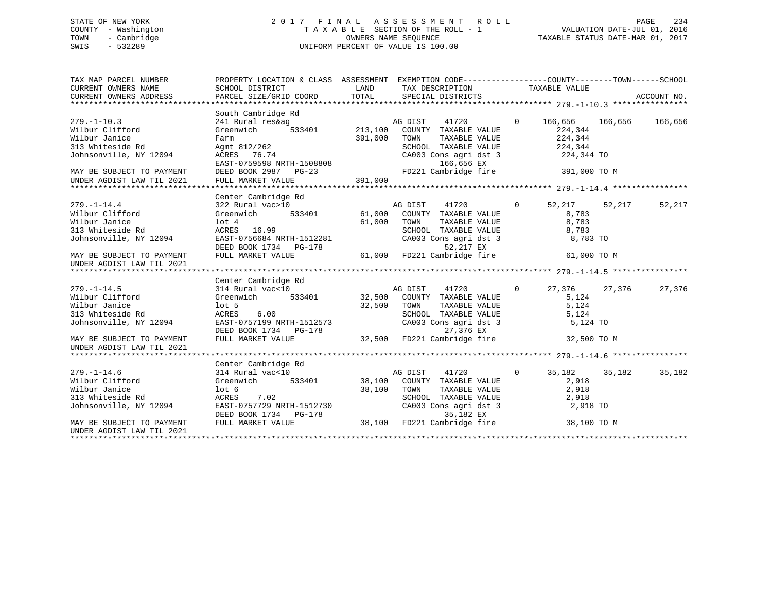# STATE OF NEW YORK 2 0 1 7 F I N A L A S S E S S M E N T R O L L PAGE 234 COUNTY - Washington T A X A B L E SECTION OF THE ROLL - 1 VALUATION DATE-JUL 01, 2016 TOWN - Cambridge OWNERS NAME SEQUENCE TAXABLE STATUS DATE-MAR 01, 2017 SWIS - 532289 UNIFORM PERCENT OF VALUE IS 100.00

| TAX MAP PARCEL NUMBER<br>CURRENT OWNERS NAME | PROPERTY LOCATION & CLASS ASSESSMENT EXEMPTION CODE----------------COUNTY-------TOWN-----SCHOOL<br>SCHOOL DISTRICT | LAND    | TAX DESCRIPTION                                                 |                | TAXABLE VALUE |         |             |
|----------------------------------------------|--------------------------------------------------------------------------------------------------------------------|---------|-----------------------------------------------------------------|----------------|---------------|---------|-------------|
| CURRENT OWNERS ADDRESS                       | PARCEL SIZE/GRID COORD                                                                                             | TOTAL   | SPECIAL DISTRICTS                                               |                |               |         | ACCOUNT NO. |
|                                              |                                                                                                                    |         |                                                                 |                |               |         |             |
|                                              | South Cambridge Rd                                                                                                 |         |                                                                 |                |               |         |             |
| $279. - 1 - 10.3$                            | 241 Rural res&ag                                                                                                   |         | AG DIST<br>41720                                                | $\Omega$       | 166,656       | 166,656 | 166,656     |
| Wilbur Clifford                              | 533401<br>Greenwich                                                                                                |         | 213,100 COUNTY TAXABLE VALUE                                    |                | 224,344       |         |             |
| Wilbur Janice                                | Farm                                                                                                               | 391,000 | TOWN<br>TAXABLE VALUE                                           |                | 224,344       |         |             |
| 313 Whiteside Rd                             | Agmt 812/262                                                                                                       |         | SCHOOL TAXABLE VALUE                                            |                | 224,344       |         |             |
| Johnsonville, NY 12094                       | ACRES 76.74                                                                                                        |         | CA003 Cons agri dst 3                                           |                | 224,344 TO    |         |             |
|                                              | EAST-0759598 NRTH-1508808                                                                                          |         | 166,656 EX                                                      |                |               |         |             |
| MAY BE SUBJECT TO PAYMENT                    | DEED BOOK 2987 PG-23                                                                                               |         | FD221 Cambridge fire                                            |                | 391,000 TO M  |         |             |
| UNDER AGDIST LAW TIL 2021                    | FULL MARKET VALUE                                                                                                  | 391,000 |                                                                 |                |               |         |             |
|                                              |                                                                                                                    |         |                                                                 |                |               |         |             |
|                                              | Center Cambridge Rd                                                                                                |         |                                                                 |                |               |         |             |
| $279. - 1 - 14.4$                            | 322 Rural vac>10                                                                                                   |         |                                                                 | $\overline{0}$ | 52,217 52,217 |         | 52,217      |
| Wilbur Clifford                              | 533401<br>Greenwich                                                                                                |         |                                                                 |                | 8,783         |         |             |
| Wilbur Janice                                | $1$ ot $4$                                                                                                         |         | AG DIST<br>61,000 COUNTY TAXABLE VALUE<br>1000 TAXABLE VALUE    |                | 8,783         |         |             |
| 313 Whiteside Rd                             | ACRES 16.99                                                                                                        |         | SCHOOL TAXABLE VALUE                                            |                | 8,783         |         |             |
| Johnsonville, NY 12094                       | EAST-0756684 NRTH-1512281                                                                                          |         | CA003 Cons agri dst 3                                           |                | 8,783 TO      |         |             |
|                                              | DEED BOOK 1734 PG-178                                                                                              |         | 52,217 EX                                                       |                |               |         |             |
| MAY BE SUBJECT TO PAYMENT                    | FULL MARKET VALUE                                                                                                  |         | 52,217 EX<br>61,000   FD221 Cambridge fire                      |                | 61,000 TO M   |         |             |
| UNDER AGDIST LAW TIL 2021                    |                                                                                                                    |         |                                                                 |                |               |         |             |
|                                              |                                                                                                                    |         |                                                                 |                |               |         |             |
|                                              | Center Cambridge Rd                                                                                                |         |                                                                 |                |               |         |             |
| $279. - 1 - 14.5$                            | 314 Rural vac<10                                                                                                   |         | AG DIST<br>41720                                                | $\mathbf{0}$   | 27,376        | 27,376  | 27,376      |
| Wilbur Clifford                              | Greenwich 533401                                                                                                   |         | 32,500 COUNTY TAXABLE VALUE                                     |                | 5,124         |         |             |
| Wilbur Janice                                | $1$ ot 5                                                                                                           | 32,500  | TOWN<br>TAXABLE VALUE                                           |                | 5,124         |         |             |
| 313 Whiteside Rd                             | ACRES<br>6.00                                                                                                      |         | SCHOOL TAXABLE VALUE                                            |                | 5,124         |         |             |
| Johnsonville, NY 12094                       | EAST-0757199 NRTH-1512573                                                                                          |         | CA003 Cons agri dst 3                                           |                | 5,124 TO      |         |             |
|                                              | DEED BOOK 1734 PG-178                                                                                              |         | 27,376 EX                                                       |                |               |         |             |
| MAY BE SUBJECT TO PAYMENT                    | FULL MARKET VALUE                                                                                                  | 32,500  | FD221 Cambridge fire                                            |                | 32,500 TO M   |         |             |
| UNDER AGDIST LAW TIL 2021                    |                                                                                                                    |         |                                                                 |                |               |         |             |
|                                              |                                                                                                                    |         |                                                                 |                |               |         |             |
|                                              | Center Cambridge Rd                                                                                                |         |                                                                 |                |               |         |             |
| $279. - 1 - 14.6$                            | 314 Rural vac<10                                                                                                   |         | AG DIST<br>41720                                                | $\Omega$       | 35,182        | 35,182  | 35,182      |
| Wilbur Clifford                              | 533401<br>Greenwich                                                                                                |         | 38,100 COUNTY TAXABLE VALUE                                     |                | 2,918         |         |             |
| Wilbur Janice                                | lot <sub>6</sub>                                                                                                   | 38,100  | TOWN<br>TAXABLE VALUE                                           |                | 2,918         |         |             |
| 313 Whiteside Rd                             | ACRES<br>7.02                                                                                                      |         | SCHOOL TAXABLE VALUE                                            |                | 2,918         |         |             |
| Johnsonville, NY 12094                       | EAST-0757729 NRTH-1512730                                                                                          |         | CA003 Cons agri dst 3                                           |                | 2,918 TO      |         |             |
|                                              | DEED BOOK 1734 PG-178                                                                                              |         |                                                                 |                |               |         |             |
| MAY BE SUBJECT TO PAYMENT                    | FULL MARKET VALUE                                                                                                  |         | -178 38,100 FD221 Cambridge fire<br>38,100 FD221 Cambridge fire |                | 38,100 TO M   |         |             |
| UNDER AGDIST LAW TIL 2021                    |                                                                                                                    |         |                                                                 |                |               |         |             |
|                                              |                                                                                                                    |         |                                                                 |                |               |         |             |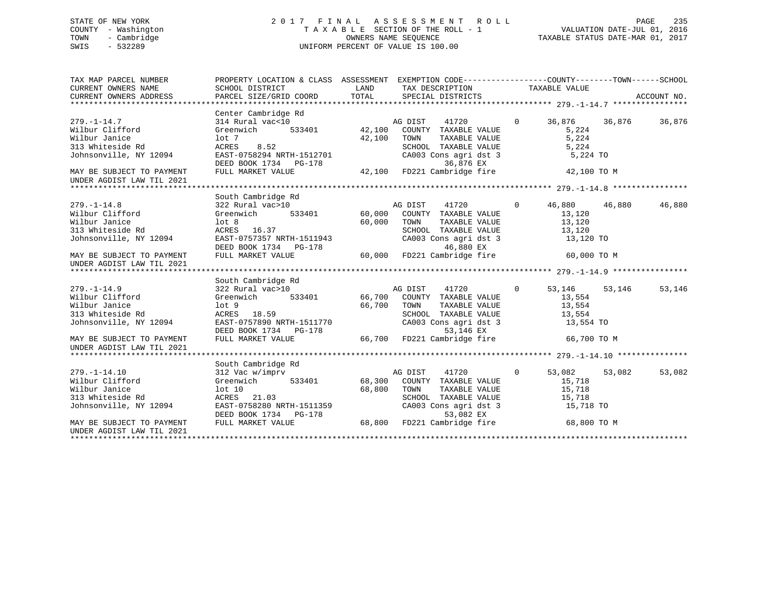# STATE OF NEW YORK 2 0 1 7 F I N A L A S S E S S M E N T R O L L PAGE 235 COUNTY - Washington T A X A B L E SECTION OF THE ROLL - 1 VALUATION DATE-JUL 01, 2016 TOWN - Cambridge OWNERS NAME SEQUENCE TAXABLE STATUS DATE-MAR 01, 2017 SWIS - 532289 UNIFORM PERCENT OF VALUE IS 100.00

| TAX MAP PARCEL NUMBER                                          | PROPERTY LOCATION & CLASS ASSESSMENT EXEMPTION CODE----------------COUNTY-------TOWN------SCHOOL                                                                                       |             |                                               |                |               |        |             |
|----------------------------------------------------------------|----------------------------------------------------------------------------------------------------------------------------------------------------------------------------------------|-------------|-----------------------------------------------|----------------|---------------|--------|-------------|
| CURRENT OWNERS NAME                                            | SCHOOL DISTRICT                                                                                                                                                                        | LAND        | TAX DESCRIPTION TAXABLE VALUE                 |                |               |        |             |
| CURRENT OWNERS ADDRESS                                         | PARCEL SIZE/GRID COORD TOTAL                                                                                                                                                           |             | SPECIAL DISTRICTS                             |                |               |        | ACCOUNT NO. |
|                                                                |                                                                                                                                                                                        |             |                                               |                |               |        |             |
|                                                                | Center Cambridge Rd                                                                                                                                                                    |             |                                               |                |               |        |             |
| $279. - 1 - 14.7$                                              | $\begin{tabular}{lllllllll} 314~Rural&\texttt{vac}<10 & & \texttt{AG DIST} & 41720 \\ \texttt{Greenwich} & 533401 & & 42,100 & \texttt{COUNTY} & \texttt{TAXABLE VALUE} \end{tabular}$ |             |                                               | $\overline{0}$ | 36,876        | 36,876 | 36,876      |
| Wilbur Clifford                                                |                                                                                                                                                                                        |             |                                               |                | 5,224         |        |             |
| Wilbur Janice                                                  | lot 7                                                                                                                                                                                  | 42,100      | TOWN<br>TAXABLE VALUE                         |                | 5,224         |        |             |
| 313 Whiteside Rd<br>313 Whiteside Rd<br>Johnsonville, NY 12094 | ACRES<br>8.52                                                                                                                                                                          |             | SCHOOL TAXABLE VALUE<br>CA003 Cons agri dst 3 |                | 5,224         |        |             |
|                                                                | EAST-0758294 NRTH-1512701                                                                                                                                                              |             |                                               |                | 5,224 TO      |        |             |
|                                                                | DEED BOOK 1734 PG-178                                                                                                                                                                  |             | 36,876 EX                                     |                |               |        |             |
| MAY BE SUBJECT TO PAYMENT                                      | FULL MARKET VALUE                                                                                                                                                                      |             | 42,100 FD221 Cambridge fire                   |                | 42,100 TO M   |        |             |
| UNDER AGDIST LAW TIL 2021                                      |                                                                                                                                                                                        |             |                                               |                |               |        |             |
|                                                                |                                                                                                                                                                                        |             |                                               |                |               |        |             |
|                                                                | South Cambridge Rd                                                                                                                                                                     |             |                                               |                |               |        |             |
| $279. - 1 - 14.8$                                              | 322 Rural vac>10                                                                                                                                                                       |             |                                               |                | 46,880 46,880 |        | 46,880      |
| Wilbur Clifford                                                | Greenwich                                                                                                                                                                              |             |                                               |                | 13,120        |        |             |
| Wilbur Janice                                                  | lot <sub>8</sub>                                                                                                                                                                       | 60,000 TOWN | TAXABLE VALUE                                 |                | 13,120        |        |             |
| 313 Whiteside Rd                                               | ACRES 16.37                                                                                                                                                                            |             |                                               |                | 13,120        |        |             |
| Johnsonville, NY 12094                                         | EAST-0757357 NRTH-1511943                                                                                                                                                              |             | SCHOOL TAXABLE VALUE<br>CA003 Cons agri dst 3 |                | 13,120 TO     |        |             |
|                                                                | DEED BOOK 1734 PG-178 60,000 FD221 Cambridge fire 60,000 TO M<br>FULL MARKET VALUE 60,000 FD221 Cambridge fire 60,000 TO M                                                             |             |                                               |                |               |        |             |
| MAY BE SUBJECT TO PAYMENT                                      |                                                                                                                                                                                        |             |                                               |                |               |        |             |
| UNDER AGDIST LAW TIL 2021                                      |                                                                                                                                                                                        |             |                                               |                |               |        |             |
|                                                                |                                                                                                                                                                                        |             |                                               |                |               |        |             |
|                                                                | South Cambridge Rd                                                                                                                                                                     |             |                                               |                |               |        |             |
| $279. - 1 - 14.9$                                              | $322 \text{ Rural vac}>10 \qquad \qquad \text{AG DIST} \qquad 41720 \qquad \qquad \text{Greenwich} \qquad 533401 \qquad \qquad 66,700 \qquad \text{COUNTY} \qquad \text{TXABLE VALUE}$ |             | 41720                                         | $\overline{0}$ | 53,146        | 53,146 | 53,146      |
| Wilbur Clifford                                                |                                                                                                                                                                                        |             |                                               |                | 13,554        |        |             |
| Wilbur Janice                                                  | lot <sub>9</sub>                                                                                                                                                                       | 66,700 TOWN | TAXABLE VALUE                                 |                | 13,554        |        |             |
| 313 Whiteside Rd                                               | ACRES 18.59                                                                                                                                                                            |             |                                               |                | 13,554        |        |             |
| Johnsonville, NY 12094                                         | EAST-0757890 NRTH-1511770                                                                                                                                                              |             | SCHOOL TAXABLE VALUE<br>CA003 Cons agri dst 3 |                | 13,554 TO     |        |             |
|                                                                | DEED BOOK 1734 PG-178                                                                                                                                                                  |             | 53,146 EX                                     |                |               |        |             |
| MAY BE SUBJECT TO PAYMENT                                      | FULL MARKET VALUE                                                                                                                                                                      |             | 66,700 FD221 Cambridge fire                   |                | 66,700 TO M   |        |             |
| UNDER AGDIST LAW TIL 2021                                      |                                                                                                                                                                                        |             |                                               |                |               |        |             |
|                                                                |                                                                                                                                                                                        |             |                                               |                |               |        |             |
|                                                                | South Cambridge Rd                                                                                                                                                                     |             |                                               |                |               |        |             |
| $279. - 1 - 14.10$                                             | 312 Vac w/imprv                                                                                                                                                                        |             | AG DIST 41720<br>$\overline{0}$               |                | 53,082        | 53,082 | 53,082      |
| Wilbur Clifford                                                | 533401<br>Greenwich                                                                                                                                                                    |             | 68,300 COUNTY TAXABLE VALUE                   |                | 15,718        |        |             |
| Wilbur Janice                                                  | lot 10                                                                                                                                                                                 | 68,800      | TOWN<br>TAXABLE VALUE                         |                | 15,718        |        |             |
| 313 Whiteside Rd                                               | ACRES 21.03                                                                                                                                                                            |             | SCHOOL TAXABLE VALUE                          |                | 15,718        |        |             |
| Johnsonville, NY 12094                                         | AUKES 21.03<br>EAST-0758280 NRTH-1511359                                                                                                                                               |             | $CAO03$ Cons agri dst 3                       |                | 15,718 TO     |        |             |
|                                                                |                                                                                                                                                                                        |             |                                               |                |               |        |             |
| MAY BE SUBJECT TO PAYMENT                                      | DEED BOOK 1734 PG-178 68,800 FD221 Cambridge fire 68,800 TO M<br>FULL MARKET VALUE 68,800 FD221 Cambridge fire 68,800 TO M                                                             |             |                                               |                |               |        |             |
| UNDER AGDIST LAW TIL 2021                                      |                                                                                                                                                                                        |             |                                               |                |               |        |             |
|                                                                |                                                                                                                                                                                        |             |                                               |                |               |        |             |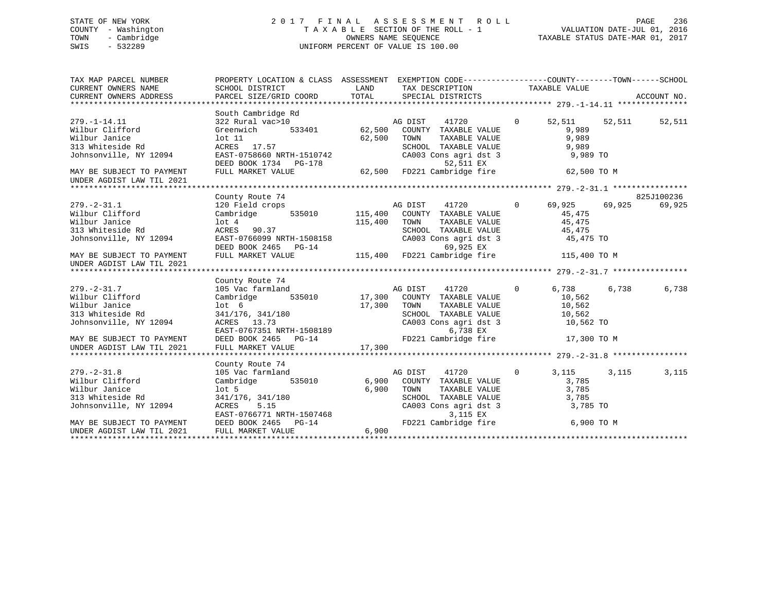### STATE OF NEW YORK 2 0 1 7 F I N A L A S S E S S M E N T R O L L PAGE 236COUNTY - Washington  $T A X A B L E$  SECTION OF THE ROLL - 1<br>TOWN - Cambridge  $\sim$  000NERS NAME SEQUENCE TOWN - Cambridge OWNERS NAME SEQUENCE TAXABLE STATUS DATE-MAR 01, 2017 SWIS - 532289 UNIFORM PERCENT OF VALUE IS 100.00

| TAX MAP PARCEL NUMBER<br>CURRENT OWNERS NAME<br>CURRENT OWNERS NAME<br>CURRENT OWNERS ADDRESS                                                                                                                                                                                     | PROPERTY LOCATION & CLASS ASSESSMENT EXEMPTION CODE---------------COUNTY-------TOWN-----SCHOOL                                      |             |                                                              |               |       |            |
|-----------------------------------------------------------------------------------------------------------------------------------------------------------------------------------------------------------------------------------------------------------------------------------|-------------------------------------------------------------------------------------------------------------------------------------|-------------|--------------------------------------------------------------|---------------|-------|------------|
|                                                                                                                                                                                                                                                                                   | South Cambridge Rd                                                                                                                  |             |                                                              |               |       |            |
| $279. - 1 - 14.11$<br>wilbur Clifford                                                                                                                                                                                                                                             | $322$ Rural vac>10<br>Greenwich 533401 62,500 COUNTY TAXABLE VALUE                                                                  |             |                                                              | 52,511 52,511 |       | 52,511     |
|                                                                                                                                                                                                                                                                                   |                                                                                                                                     |             |                                                              | 9,989         |       |            |
|                                                                                                                                                                                                                                                                                   |                                                                                                                                     |             | TAXABLE VALUE                                                | 9,989         |       |            |
|                                                                                                                                                                                                                                                                                   |                                                                                                                                     |             | SCHOOL TAXABLE VALUE 9,989<br>CA003 Cons agri dst 3 9,989 TO |               |       |            |
|                                                                                                                                                                                                                                                                                   | DEED BOOK 1734 PG-178 $\overline{52,511}$ EX<br>FULL MARKET VALUE $\overline{62,500}$ FD221 Cambridge fire $\overline{62,500}$ TO M |             |                                                              |               |       |            |
| MAY BE SUBJECT TO PAYMENT<br>UNDER AGDIST LAW TIL 2021                                                                                                                                                                                                                            |                                                                                                                                     |             |                                                              |               |       |            |
|                                                                                                                                                                                                                                                                                   |                                                                                                                                     |             |                                                              |               |       |            |
|                                                                                                                                                                                                                                                                                   | County Route 74                                                                                                                     |             |                                                              |               |       | 825J100236 |
| $279. - 2 - 31.1$                                                                                                                                                                                                                                                                 |                                                                                                                                     |             |                                                              |               |       | 69,925     |
| Wilbur Clifford                                                                                                                                                                                                                                                                   |                                                                                                                                     |             |                                                              |               |       |            |
|                                                                                                                                                                                                                                                                                   |                                                                                                                                     |             |                                                              |               |       |            |
|                                                                                                                                                                                                                                                                                   |                                                                                                                                     |             |                                                              |               |       |            |
|                                                                                                                                                                                                                                                                                   |                                                                                                                                     |             |                                                              |               |       |            |
|                                                                                                                                                                                                                                                                                   |                                                                                                                                     |             |                                                              |               |       |            |
| Wilbur Janice<br>Wilbur Janice<br>115,400 TOWN TAXABLE VALUE<br>313 Whiteside Rd<br>313 Whiteside Rd<br>313 Whiteside Rd<br>313 Whiteside Rd<br>313 Whiteside Rd<br>313 Whiteside Rd<br>313 Whiteside Rd<br>323 Whiteside Rd<br>321 Canopsile, NY 12<br>UNDER AGDIST LAW TIL 2021 |                                                                                                                                     |             |                                                              |               |       |            |
|                                                                                                                                                                                                                                                                                   |                                                                                                                                     |             |                                                              |               |       |            |
|                                                                                                                                                                                                                                                                                   | County Route 74                                                                                                                     |             |                                                              |               |       |            |
| $279. - 2 - 31.7$                                                                                                                                                                                                                                                                 |                                                                                                                                     |             |                                                              | 6,738         | 6,738 | 6,738      |
| zıy.-z-31.7<br>Wilbur Clifford                                                                                                                                                                                                                                                    |                                                                                                                                     |             |                                                              | 10,562        |       |            |
| Wilbur Janice                                                                                                                                                                                                                                                                     | lot 6                                                                                                                               | 17,300 TOWN | TAXABLE VALUE 10,562                                         |               |       |            |
|                                                                                                                                                                                                                                                                                   |                                                                                                                                     |             |                                                              |               |       |            |
|                                                                                                                                                                                                                                                                                   |                                                                                                                                     |             |                                                              |               |       |            |
|                                                                                                                                                                                                                                                                                   |                                                                                                                                     |             |                                                              |               |       |            |
|                                                                                                                                                                                                                                                                                   |                                                                                                                                     |             |                                                              |               |       |            |
| 313 Whiteside Rd 341/176, 341/180<br>341/176, 341/180<br>341/176, 341/180<br>341/176, 341/180<br>341/176, 341/180<br>341/176, 341/180<br>341/176, 341/180<br>341/176, 341/180<br>341/176, 341/180<br>341/176, 341/180<br>341/176, 341/180<br>341/176                              |                                                                                                                                     |             |                                                              |               |       |            |
|                                                                                                                                                                                                                                                                                   |                                                                                                                                     |             |                                                              |               |       |            |
|                                                                                                                                                                                                                                                                                   | County Route 74                                                                                                                     |             |                                                              |               |       |            |
| $279. - 2 - 31.8$                                                                                                                                                                                                                                                                 | 105 Vac farmland                                                                                                                    |             | AG DIST 41720                                                | $0 \t 3, 115$ | 3,115 | 3,115      |
| Wilbur Clifford                                                                                                                                                                                                                                                                   | Cambridge 535010 6,900 COUNTY TAXABLE VALUE                                                                                         |             |                                                              | 3,785         |       |            |
|                                                                                                                                                                                                                                                                                   |                                                                                                                                     | 6,900 TOWN  | TAXABLE VALUE                                                | 3,785         |       |            |
|                                                                                                                                                                                                                                                                                   |                                                                                                                                     |             |                                                              | 3,785         |       |            |
| Wilbur Janice<br>Nilbur Janice<br>313 Whiteside Rd<br>341/176, 341/180<br>36,900 TOWN<br>6,900 TOWN<br>8CHO<br>8CHO<br>2465 PG-14<br>2022 FULL MARKET VALUE<br>6,900 CA00<br>7D22                                                                                                 |                                                                                                                                     |             | SCHOOL TAXABLE VALUE<br>CA003 Cons agri dst 3                | 3,785 TO      |       |            |
|                                                                                                                                                                                                                                                                                   |                                                                                                                                     |             | $3,115$ EX                                                   |               |       |            |
|                                                                                                                                                                                                                                                                                   |                                                                                                                                     |             | FD221 Cambridge fire 6,900 TO M                              |               |       |            |
|                                                                                                                                                                                                                                                                                   |                                                                                                                                     |             |                                                              |               |       |            |
|                                                                                                                                                                                                                                                                                   |                                                                                                                                     |             |                                                              |               |       |            |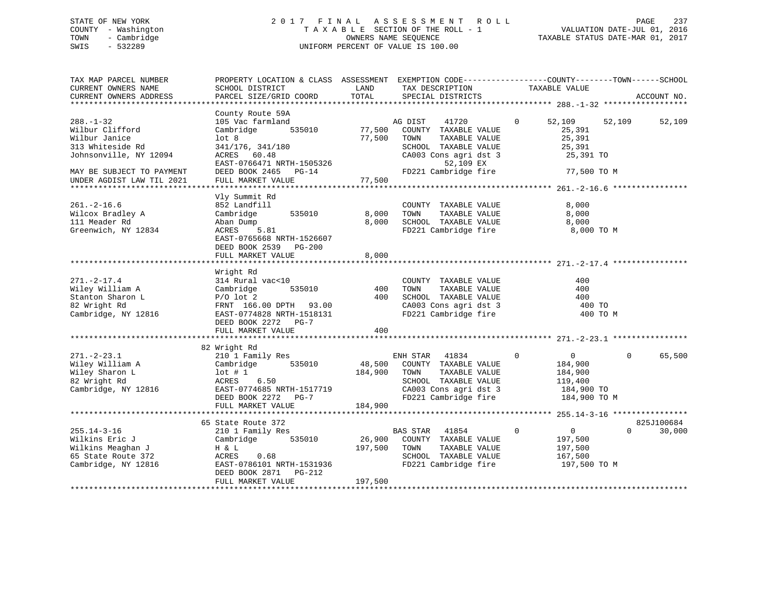# STATE OF NEW YORK 2 0 1 7 F I N A L A S S E S S M E N T R O L L PAGE 237 COUNTY - Washington T A X A B L E SECTION OF THE ROLL - 1 VALUATION DATE-JUL 01, 2016 TOWN - Cambridge OWNERS NAME SEQUENCE TAXABLE STATUS DATE-MAR 01, 2017 SWIS - 532289 UNIFORM PERCENT OF VALUE IS 100.00

| SCHOOL DISTRICT<br>PARCEL SIZE/GRID COORD                                                                                                              | LAND<br>TOTAL                                                                                                                                 | TAX DESCRIPTION<br>SPECIAL DISTRICTS                                                                                                        | TAXABLE VALUE                                                                                                                    | ACCOUNT NO.                                                                                                                                                       |
|--------------------------------------------------------------------------------------------------------------------------------------------------------|-----------------------------------------------------------------------------------------------------------------------------------------------|---------------------------------------------------------------------------------------------------------------------------------------------|----------------------------------------------------------------------------------------------------------------------------------|-------------------------------------------------------------------------------------------------------------------------------------------------------------------|
|                                                                                                                                                        |                                                                                                                                               |                                                                                                                                             |                                                                                                                                  |                                                                                                                                                                   |
| County Route 59A<br>105 Vac farmland<br>535010<br>Cambridge<br>lot <sub>8</sub><br>341/176, 341/180<br>ACRES 60.48<br>EAST-0766471 NRTH-1505326        | 77,500<br>77,500                                                                                                                              | 41720<br>COUNTY TAXABLE VALUE<br>TOWN<br>TAXABLE VALUE<br>SCHOOL TAXABLE VALUE<br>CA003 Cons agri dst 3<br>52,109 EX                        | 52,109<br>$\mathbf 0$<br>25,391<br>25,391<br>25,391<br>25,391 TO                                                                 | 52,109<br>52,109                                                                                                                                                  |
| FULL MARKET VALUE                                                                                                                                      | 77,500                                                                                                                                        |                                                                                                                                             |                                                                                                                                  |                                                                                                                                                                   |
|                                                                                                                                                        |                                                                                                                                               |                                                                                                                                             |                                                                                                                                  |                                                                                                                                                                   |
| 852 Landfill<br>Cambridge<br>535010<br>Aban Dump<br>5.81<br>ACRES<br>EAST-0765668 NRTH-1526607<br>DEED BOOK 2539 PG-200                                | 8,000<br>8,000                                                                                                                                | COUNTY TAXABLE VALUE<br>TAXABLE VALUE<br>TOWN<br>SCHOOL TAXABLE VALUE<br>FD221 Cambridge fire                                               | 8,000<br>8,000<br>8,000<br>8,000 TO M                                                                                            |                                                                                                                                                                   |
|                                                                                                                                                        |                                                                                                                                               |                                                                                                                                             |                                                                                                                                  |                                                                                                                                                                   |
| Wright Rd<br>314 Rural vac<10<br>535010<br>Cambridge<br>$P/O$ lot 2<br>FRNT 166.00 DPTH 93.00<br>EAST-0774828 NRTH-1518131<br>DEED BOOK 2272<br>$PG-7$ | 400<br>400                                                                                                                                    | COUNTY TAXABLE VALUE<br>TOWN<br>TAXABLE VALUE<br>SCHOOL TAXABLE VALUE<br>CA003 Cons agri dst 3<br>FD221 Cambridge fire                      | 400<br>400<br>400<br>400 TO<br>400 TO M                                                                                          |                                                                                                                                                                   |
|                                                                                                                                                        |                                                                                                                                               |                                                                                                                                             |                                                                                                                                  |                                                                                                                                                                   |
|                                                                                                                                                        |                                                                                                                                               |                                                                                                                                             |                                                                                                                                  |                                                                                                                                                                   |
| 210 1 Family Res<br>535010<br>Cambridge<br>$1$ ot # 1<br>6.50<br>ACRES<br>EAST-0774685 NRTH-1517719<br>DEED BOOK 2272<br>PG-7                          | 184,900                                                                                                                                       | ENH STAR<br>41834<br>COUNTY TAXABLE VALUE<br>TOWN<br>TAXABLE VALUE<br>SCHOOL TAXABLE VALUE<br>CA003 Cons agri dst 3<br>FD221 Cambridge fire | $\overline{0}$<br>$\mathbf 0$<br>184,900<br>184,900<br>119,400<br>184,900 TO<br>184,900 TO M                                     | 65,500<br>$\Omega$                                                                                                                                                |
| ***********************                                                                                                                                |                                                                                                                                               |                                                                                                                                             |                                                                                                                                  |                                                                                                                                                                   |
| 65 State Route 372                                                                                                                                     |                                                                                                                                               |                                                                                                                                             |                                                                                                                                  | 825J100684<br>$\Omega$<br>30,000                                                                                                                                  |
| Cambridge<br>535010<br>H & L<br>ACRES<br>0.68<br>EAST-0786101 NRTH-1531936<br>DEED BOOK 2871<br>PG-212<br>FULL MARKET VALUE                            | 26,900<br>197,500<br>197,500                                                                                                                  | COUNTY TAXABLE VALUE<br>TAXABLE VALUE<br>TOWN<br>SCHOOL TAXABLE VALUE<br>FD221 Cambridge fire                                               | 197,500<br>197,500<br>167,500<br>197,500 TO M                                                                                    |                                                                                                                                                                   |
|                                                                                                                                                        | DEED BOOK 2465<br>$PG-14$<br>Vly Summit Rd<br>FULL MARKET VALUE<br>FULL MARKET VALUE<br>82 Wright Rd<br>FULL MARKET VALUE<br>210 1 Family Res | 8,000<br>400<br>184,900                                                                                                                     | PROPERTY LOCATION & CLASS ASSESSMENT<br>AG DIST<br>FD221 Cambridge fire<br>48,500<br>**********************<br>41854<br>BAS STAR | EXEMPTION CODE-----------------COUNTY-------TOWN------SCHOOL<br>77,500 TO M<br>******************** 255.14-3-16 ****************<br>$\mathbf 0$<br>$\overline{0}$ |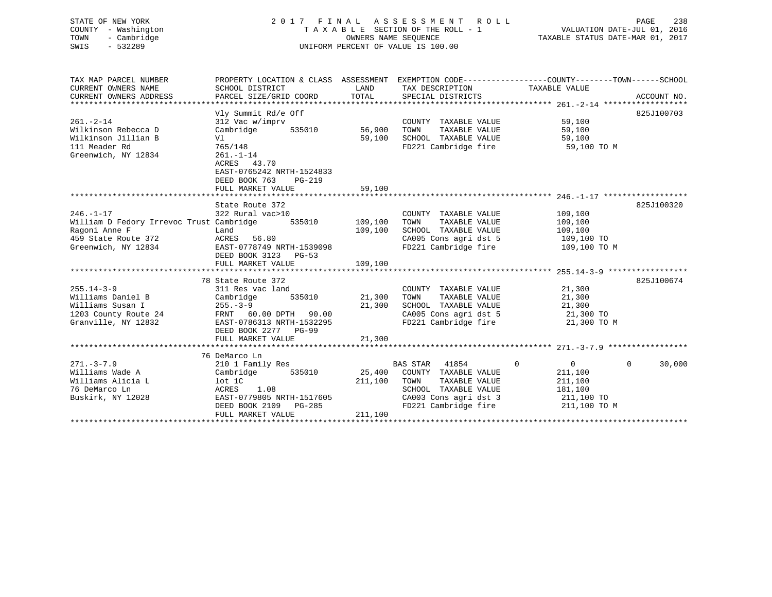| STATE OF NEW YORK   | 2017 FINAL ASSESSMENT ROLL         | 238<br>PAGE                      |
|---------------------|------------------------------------|----------------------------------|
| COUNTY - Washington | TAXABLE SECTION OF THE ROLL - 1    | VALUATION DATE-JUL 01, 2016      |
| - Cambridge<br>TOWN | OWNERS NAME SEOUENCE               | TAXABLE STATUS DATE-MAR 01, 2017 |
| SWIS<br>$-532289$   | UNIFORM PERCENT OF VALUE IS 100.00 |                                  |
|                     |                                    |                                  |
|                     |                                    |                                  |
|                     |                                    |                                  |

| TAX MAP PARCEL NUMBER                                                                                                    | PROPERTY LOCATION & CLASS ASSESSMENT EXEMPTION CODE----------------COUNTY-------TOWN------SCHOOL |             |                                                                                                     |                                                                                                       |                    |
|--------------------------------------------------------------------------------------------------------------------------|--------------------------------------------------------------------------------------------------|-------------|-----------------------------------------------------------------------------------------------------|-------------------------------------------------------------------------------------------------------|--------------------|
| CURRENT OWNERS NAME                                                                                                      | SCHOOL DISTRICT                                                                                  | <b>LAND</b> | TAX DESCRIPTION TAXABLE VALUE                                                                       |                                                                                                       |                    |
| CURRENT OWNERS ADDRESS                                                                                                   | PARCEL SIZE/GRID COORD                                                                           | TOTAL       | SPECIAL DISTRICTS                                                                                   |                                                                                                       | ACCOUNT NO.        |
|                                                                                                                          |                                                                                                  |             |                                                                                                     |                                                                                                       |                    |
|                                                                                                                          | Vly Summit Rd/e Off                                                                              |             |                                                                                                     |                                                                                                       | 825J100703         |
| $261. - 2 - 14$                                                                                                          | 312 Vac w/imprv                                                                                  |             | COUNTY TAXABLE VALUE                                                                                | 59,100                                                                                                |                    |
| Wilkinson Rebecca D                                                                                                      |                                                                                                  |             | TAXABLE VALUE<br>TOWN                                                                               | 59,100                                                                                                |                    |
| Wilkinson Jillian B                                                                                                      | Vl                                                                                               | 59,100      | SCHOOL TAXABLE VALUE 59,100                                                                         |                                                                                                       |                    |
| 111 Meader Rd                                                                                                            | 765/148                                                                                          |             |                                                                                                     | FD221 Cambridge fire 59,100 TO M                                                                      |                    |
| Greenwich, NY 12834                                                                                                      | $261. - 1 - 14$                                                                                  |             |                                                                                                     |                                                                                                       |                    |
|                                                                                                                          | ACRES 43.70                                                                                      |             |                                                                                                     |                                                                                                       |                    |
|                                                                                                                          | EAST-0765242 NRTH-1524833                                                                        |             |                                                                                                     |                                                                                                       |                    |
|                                                                                                                          | DEED BOOK 763<br>$PG-219$                                                                        |             |                                                                                                     |                                                                                                       |                    |
|                                                                                                                          | FULL MARKET VALUE                                                                                | 59,100      |                                                                                                     |                                                                                                       |                    |
|                                                                                                                          |                                                                                                  |             |                                                                                                     |                                                                                                       |                    |
|                                                                                                                          | State Route 372                                                                                  |             |                                                                                                     |                                                                                                       | 825J100320         |
| $246. - 1 - 17$                                                                                                          | 322 Rural vac>10                                                                                 |             | COUNTY TAXABLE VALUE                                                                                | 109, 100                                                                                              |                    |
| William D Fedory Irrevoc Trust Cambridge                                                                                 | 535010 109,100                                                                                   |             | TOWN<br>TAXABLE VALUE                                                                               | 109,100                                                                                               |                    |
|                                                                                                                          |                                                                                                  | 109,100     |                                                                                                     |                                                                                                       |                    |
|                                                                                                                          |                                                                                                  |             | SCHOOL TAXABLE VALUE 109,100<br>CA005 Cons agri dst 5 109,100 TO<br>FD221 Cambridge fire 109,100 TO |                                                                                                       |                    |
| Altantical March 2012<br>Ragoni Anne F 19 March 2012<br>Accres 56.80<br>Greenwich, NY 12834<br>CAST-0778749 NRTH-1539098 |                                                                                                  |             |                                                                                                     | 109,100 TO M                                                                                          |                    |
|                                                                                                                          | DEED BOOK 3123 PG-53                                                                             |             |                                                                                                     |                                                                                                       |                    |
|                                                                                                                          |                                                                                                  |             |                                                                                                     |                                                                                                       |                    |
|                                                                                                                          |                                                                                                  |             |                                                                                                     |                                                                                                       |                    |
|                                                                                                                          | 78 State Route 372                                                                               |             |                                                                                                     |                                                                                                       | 825J100674         |
| $255.14 - 3 - 9$                                                                                                         | 311 Res vac land                                                                                 |             | COUNTY TAXABLE VALUE 21,300                                                                         |                                                                                                       |                    |
| Williams Daniel B                                                                                                        | 535010 21,300<br>Cambridge                                                                       |             | TOWN                                                                                                | TAXABLE VALUE 21,300                                                                                  |                    |
| Williams Susan I                                                                                                         | $255. - 3 - 9$                                                                                   | 21,300      | SCHOOL TAXABLE VALUE 21,300<br>CA005 Cons agri dst 5 21,300 TO<br>ED221 Cambridge fire 21,200 TO    |                                                                                                       |                    |
| n---<br>1203 County Route 24<br>Granville. NY 12832                                                                      | FRNT 60.00 DPTH 90.00<br>EAST-0786313 NRTH-1532295                                               |             | CA005 Cons agri dst 5<br>FD221 Cambridge fire                                                       |                                                                                                       |                    |
|                                                                                                                          |                                                                                                  |             |                                                                                                     | 21,300 TO M                                                                                           |                    |
|                                                                                                                          | DEED BOOK 2277 PG-99                                                                             |             |                                                                                                     |                                                                                                       |                    |
|                                                                                                                          |                                                                                                  |             |                                                                                                     |                                                                                                       |                    |
|                                                                                                                          |                                                                                                  |             |                                                                                                     |                                                                                                       |                    |
|                                                                                                                          | 76 DeMarco Ln                                                                                    |             |                                                                                                     |                                                                                                       |                    |
| $271 - 3 - 7.9$                                                                                                          | 210 1 Family Res                                                                                 |             | BAS STAR 41854<br>$\sim$ 0                                                                          | $\overline{0}$                                                                                        | $\Omega$<br>30,000 |
| Williams Wade A                                                                                                          | Cambridge 535010 25,400 COUNTY TAXABLE VALUE                                                     |             |                                                                                                     | 211,100                                                                                               |                    |
| Williams Alicia L                                                                                                        | lot 1C                                                                                           | 211,100     | TOWN<br>TAXABLE VALUE                                                                               | 211,100                                                                                               |                    |
| 76 DeMarco Ln                                                                                                            | 1.08<br>ACRES                                                                                    |             |                                                                                                     | SCHOOL TAXABLE VALUE 181,100<br>CA003 Cons agri dst 3 211,100 TO<br>FD221 Cambridge fire 211,100 TO M |                    |
| Buskirk, NY 12028                                                                                                        | EAST-0779805 NRTH-1517605                                                                        |             |                                                                                                     |                                                                                                       |                    |
|                                                                                                                          | DEED BOOK 2109 PG-285                                                                            |             |                                                                                                     |                                                                                                       |                    |
|                                                                                                                          | FULL MARKET VALUE                                                                                | 211,100     |                                                                                                     |                                                                                                       |                    |
|                                                                                                                          |                                                                                                  |             |                                                                                                     |                                                                                                       |                    |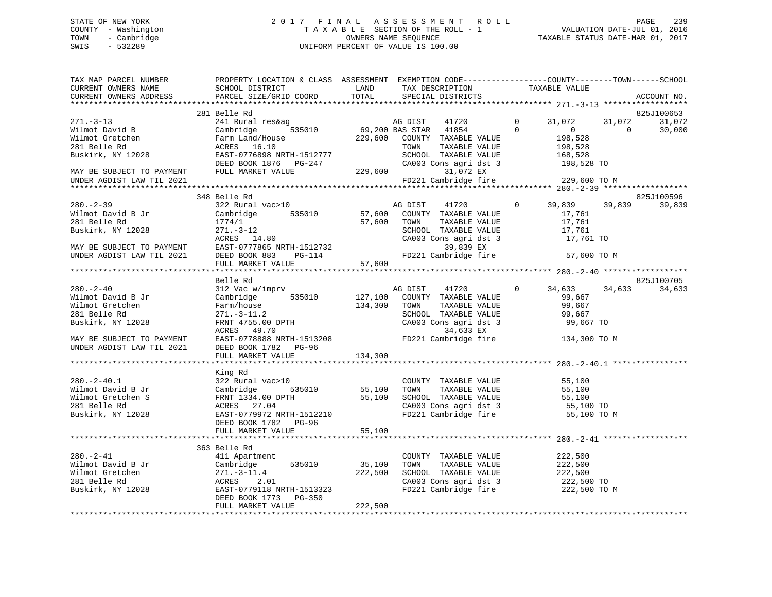# STATE OF NEW YORK 2 0 1 7 F I N A L A S S E S S M E N T R O L L PAGE 239 COUNTY - Washington T A X A B L E SECTION OF THE ROLL - 1 VALUATION DATE-JUL 01, 2016 TOWN - Cambridge OWNERS NAME SEQUENCE TAXABLE STATUS DATE-MAR 01, 2017 SWIS - 532289 UNIFORM PERCENT OF VALUE IS 100.00

| TAX MAP PARCEL NUMBER<br>CURRENT OWNERS NAME                                                     | PROPERTY LOCATION & CLASS ASSESSMENT EXEMPTION CODE---------------COUNTY-------TOWN-----SCHOOL<br>SCHOOL DISTRICT                     | LAND                    | TAX DESCRIPTION                                                                                                                         |                          | TAXABLE VALUE                                                 |          |                      |
|--------------------------------------------------------------------------------------------------|---------------------------------------------------------------------------------------------------------------------------------------|-------------------------|-----------------------------------------------------------------------------------------------------------------------------------------|--------------------------|---------------------------------------------------------------|----------|----------------------|
| CURRENT OWNERS ADDRESS                                                                           | PARCEL SIZE/GRID COORD                                                                                                                | TOTAL                   | SPECIAL DISTRICTS                                                                                                                       |                          |                                                               |          | ACCOUNT NO.          |
|                                                                                                  | 281 Belle Rd                                                                                                                          |                         |                                                                                                                                         |                          |                                                               |          | 825J100653           |
| $271 - 3 - 13$                                                                                   | 241 Rural res&ag                                                                                                                      |                         | AG DIST<br>41720<br>$\frac{1}{535010}$ 69,200 BAS STAR 41854                                                                            | $\mathbf{0}$<br>$\Omega$ | 31,072                                                        | 31,072   | 31,072               |
| Wilmot David B<br>Wilmot Gretchen<br>281 Belle Rd<br>Buskirk, NY 12028                           | Cambridge<br>Farm Land/House<br>ACRES 16.10<br>EAST-0776898 NRTH-1512777<br>DEED BOOK 1876 PG-247                                     | 229,600                 | COUNTY TAXABLE VALUE<br>TAXABLE VALUE<br>TOWN<br>SCHOOL TAXABLE VALUE<br>CA003 Cons agri dst 3                                          |                          | $\overline{0}$<br>198,528<br>198,528<br>168,528<br>198,528 TO | $\Omega$ | 30,000               |
| MAY BE SUBJECT TO PAYMENT<br>UNDER AGDIST LAW TIL 2021                                           | FULL MARKET VALUE                                                                                                                     | 229,600                 | 31,072 EX<br>FD221 Cambridge fire                                                                                                       |                          | 229,600 TO M                                                  |          |                      |
|                                                                                                  |                                                                                                                                       |                         |                                                                                                                                         |                          |                                                               |          |                      |
| $280 - 2 - 39$<br>Wilmot David B Jr<br>281 Belle Rd<br>Buskirk, NY 12028                         | 348 Belle Rd<br>322 Rural vac>10<br>Cambridge<br>535010<br>1774/1<br>$271. - 3 - 12$<br>ACRES 14.80                                   | 57,600<br>57,600        | AG DIST<br>41720<br>COUNTY TAXABLE VALUE<br>TAXABLE VALUE<br>TOWN<br>SCHOOL TAXABLE VALUE<br>CA003 Cons agri dst 3                      | $\overline{0}$           | 39,839<br>17,761<br>17,761<br>17,761<br>17,761 TO             | 39,839   | 825J100596<br>39,839 |
| MAY BE SUBJECT TO PAYMENT<br>UNDER AGDIST LAW TIL 2021                                           | ACRES 14.00<br>EAST-0777865 NRTH-1512732<br>DC-114 FD221 Cambridge fire                                                               |                         |                                                                                                                                         |                          | 57,600 TO M                                                   |          |                      |
|                                                                                                  | FULL MARKET VALUE                                                                                                                     | 57,600                  |                                                                                                                                         |                          |                                                               |          |                      |
|                                                                                                  |                                                                                                                                       |                         |                                                                                                                                         |                          |                                                               |          |                      |
|                                                                                                  | Belle Rd<br>312 Vac w/imprv                                                                                                           |                         |                                                                                                                                         | $\Omega$                 |                                                               |          | 825J100705           |
| $280 - 2 - 40$<br>Wilmot David B Jr<br>Wilmot Gretchen<br>281 Belle Rd<br>Buskirk, NY 12028      | Cambridge 535010<br>Farm/house<br>$271. - 3 - 11.2$<br>FRNT 4755.00 DPTH<br>ACRES 49.70                                               | 134,300                 | AG DIST<br>41720<br>127,100 COUNTY TAXABLE VALUE<br>TAXABLE VALUE<br>TOWN<br>SCHOOL TAXABLE VALUE<br>CA003 Cons agri dst 3<br>34,633 EX |                          | 34,633<br>99,667<br>99,667<br>99,667<br>99,667 TO             | 34,633   | 34,633               |
| MAY BE SUBJECT TO PAYMENT<br>UNDER AGDIST LAW TIL 2021                                           | EAST-0778888 NRTH-1513208<br>DEED BOOK 1782 PG-96<br>FULL MARKET VALUE                                                                | 134,300                 | FD221 Cambridge fire                                                                                                                    |                          | 134,300 TO M                                                  |          |                      |
|                                                                                                  |                                                                                                                                       |                         |                                                                                                                                         |                          |                                                               |          |                      |
|                                                                                                  | King Rd                                                                                                                               |                         |                                                                                                                                         |                          |                                                               |          |                      |
| $280. - 2 - 40.1$<br>Wilmot David B Jr<br>Wilmot Gretchen S<br>281 Belle Rd<br>Buskirk, NY 12028 | 322 Rural vac>10<br>Cambridge<br>FRNT 1334.00 DPTH<br>ACRES 27.04<br>ACRES 27.04<br>EAST-0779972 NRTH-1512210<br>DEED BOOK 1782 PG-96 | 535010 55,100<br>55,100 | COUNTY TAXABLE VALUE<br>TAXABLE VALUE<br>TOWN<br>SCHOOL TAXABLE VALUE<br>CA003 Cons agri dst 3<br>FD221 Cambridge fire                  |                          | 55,100<br>55,100<br>55,100<br>55,100 TO<br>55,100 TO M        |          |                      |
|                                                                                                  | FULL MARKET VALUE                                                                                                                     | 55,100                  |                                                                                                                                         |                          |                                                               |          |                      |
|                                                                                                  | 363 Belle Rd                                                                                                                          |                         |                                                                                                                                         |                          |                                                               |          |                      |
| $280 - 2 - 41$<br>Wilmot David B Jr<br>Wilmot Gretchen<br>281 Belle Rd<br>Buskirk, NY 12028      | 411 Apartment<br>535010<br>Cambridge<br>$271.-3-11.4$<br>ACRES<br>2.01<br>EAST-0779118 NRTH-1513323<br>DEED BOOK 1773 PG-350          | 35,100<br>222,500       | COUNTY TAXABLE VALUE<br>TOWN<br>TAXABLE VALUE<br>SCHOOL TAXABLE VALUE<br>CA003 Cons agri dst 3<br>FD221 Cambridge fire                  |                          | 222,500<br>222,500<br>222,500<br>222,500 TO<br>222,500 TO M   |          |                      |
|                                                                                                  | FULL MARKET VALUE                                                                                                                     | 222,500                 |                                                                                                                                         |                          |                                                               |          |                      |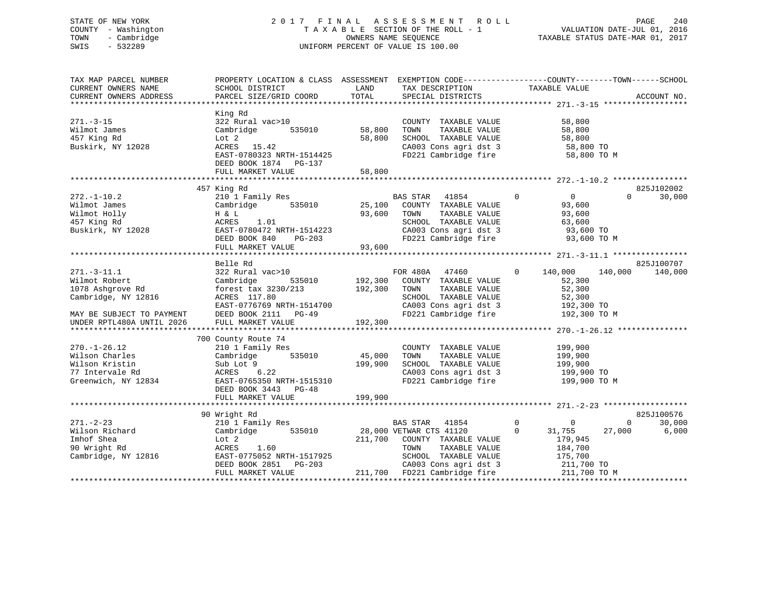# STATE OF NEW YORK 2 0 1 7 F I N A L A S S E S S M E N T R O L L PAGE 240 COUNTY - Washington T A X A B L E SECTION OF THE ROLL - 1 VALUATION DATE-JUL 01, 2016 TOWN - Cambridge OWNERS NAME SEQUENCE TAXABLE STATUS DATE-MAR 01, 2017 SWIS - 532289 UNIFORM PERCENT OF VALUE IS 100.00

| TAX MAP PARCEL NUMBER<br>CURRENT OWNERS NAME<br>CURRENT OWNERS ADDRESS                                                                                               | PROPERTY LOCATION & CLASS ASSESSMENT EXEMPTION CODE----------------COUNTY-------TOWN------SCHOOL<br>SCHOOL DISTRICT<br>PARCEL SIZE/GRID COORD                   | LAND<br>TOTAL                 | TAX DESCRIPTION TAXABLE VALUE<br>SPECIAL DISTRICTS                                                                                                                             |                                                                                                          | ACCOUNT NO.                              |
|----------------------------------------------------------------------------------------------------------------------------------------------------------------------|-----------------------------------------------------------------------------------------------------------------------------------------------------------------|-------------------------------|--------------------------------------------------------------------------------------------------------------------------------------------------------------------------------|----------------------------------------------------------------------------------------------------------|------------------------------------------|
| $271. - 3 - 15$<br>Wilmot James<br>457 King Rd<br>Buskirk, NY 12028                                                                                                  | King Rd<br>322 Rural vac>10<br>Cambridge<br>535010<br>Lot 2<br>ACRES<br>15.42<br>EAST-0780323 NRTH-1514425<br>DEED BOOK 1874 PG-137<br>FULL MARKET VALUE        | 58,800<br>58,800<br>58,800    | COUNTY TAXABLE VALUE<br>TOWN<br>TAXABLE VALUE<br>SCHOOL TAXABLE VALUE<br>CA003 Cons agri dst 3<br>FD221 Cambridge fire                                                         | 58,800<br>58,800<br>58,800<br>58,800 TO<br>58,800 TO M                                                   |                                          |
|                                                                                                                                                                      |                                                                                                                                                                 |                               |                                                                                                                                                                                |                                                                                                          |                                          |
| $272. - 1 - 10.2$<br>Wilmot James<br>Wilmot Holly<br>457 King Rd<br>Buskirk, NY 12028                                                                                | 457 King Rd<br>210 1 Family Res<br>Cambridge<br>535010<br>H & L<br>ACRES<br>1.01<br>EAST-0780472 NRTH-1514223<br>DEED BOOK 840<br>$PG-203$<br>FULL MARKET VALUE | 25,100<br>93,600<br>93,600    | <b>BAS STAR</b><br>41854<br>COUNTY TAXABLE VALUE<br>TAXABLE VALUE<br>TOWN<br>SCHOOL TAXABLE VALUE<br>CA003 Cons agri dst 3<br>FD221 Cambridge fire                             | $\mathbf 0$<br>0<br>93,600<br>93,600<br>63,600<br>93,600 TO<br>93,600 TO M                               | 825J102002<br>30,000<br>$\Omega$         |
|                                                                                                                                                                      | Belle Rd                                                                                                                                                        |                               |                                                                                                                                                                                |                                                                                                          | 825J100707                               |
| $271. - 3 - 11.1$<br>Wilmot Robert<br>1078 Ashgrove Rd<br>Cambridge, NY 12816<br>MAY BE SUBJECT TO PAYMENT<br>UNDER RPTL480A UNTIL 2026<br>************************* | 322 Rural vac>10<br>535010<br>Cambridge<br>forest tax 3230/213<br>ACRES 117.80<br>EAST-0776769 NRTH-1514700<br>DEED BOOK 2111 PG-49<br>FULL MARKET VALUE        | 192,300<br>192,300<br>192,300 | FOR 480A 47460<br>COUNTY TAXABLE VALUE<br>TOWN<br>TAXABLE VALUE<br>SCHOOL TAXABLE VALUE<br>CA003 Cons agri dst 3<br>FD221 Cambridge fire                                       | $\mathbf{0}$<br>140,000<br>52,300<br>52,300<br>52,300<br>192,300 TO<br>192,300 TO M                      | 140,000<br>140,000                       |
|                                                                                                                                                                      | 700 County Route 74                                                                                                                                             |                               |                                                                                                                                                                                |                                                                                                          |                                          |
| $270. - 1 - 26.12$<br>Wilson Charles<br>Wilson Kristin<br>77 Intervale Rd<br>Greenwich, NY 12834                                                                     | 210 1 Family Res<br>535010<br>Cambridge<br>Sub Lot 9<br>ACRES 6.22<br>EAST-0765350 NRTH-1515310<br>DEED BOOK 3443 PG-48                                         | 45,000<br>199,900             | COUNTY TAXABLE VALUE<br>TOWN<br>TAXABLE VALUE<br>SCHOOL TAXABLE VALUE<br>CA003 Cons agri dst 3<br>FD221 Cambridge fire                                                         | 199,900<br>199,900<br>199,900<br>199,900 TO<br>199,900 TO M                                              |                                          |
|                                                                                                                                                                      | FULL MARKET VALUE                                                                                                                                               | 199,900                       |                                                                                                                                                                                |                                                                                                          |                                          |
|                                                                                                                                                                      | 90 Wright Rd                                                                                                                                                    |                               |                                                                                                                                                                                |                                                                                                          | 825J100576                               |
| $271. - 2 - 23$<br>Wilson Richard<br>Imhof Shea<br>90 Wright Rd<br>Cambridge, NY 12816                                                                               | 210 1 Family Res<br>Cambridge<br>535010<br>Lot 2<br>ACRES<br>1.60<br>EAST-0775052 NRTH-1517925<br>DEED BOOK 2851 PG-203<br>FULL MARKET VALUE                    | 211,700                       | BAS STAR<br>41854<br>28,000 VETWAR CTS 41120<br>COUNTY TAXABLE VALUE<br>TOWN<br>TAXABLE VALUE<br>SCHOOL TAXABLE VALUE<br>CA003 Cons agri dst 3<br>211,700 FD221 Cambridge fire | $\mathbf 0$<br>$\mathbf 0$<br>0<br>31,755<br>179,945<br>184,700<br>175,700<br>211,700 TO<br>211,700 TO M | $\mathbf 0$<br>30,000<br>6,000<br>27,000 |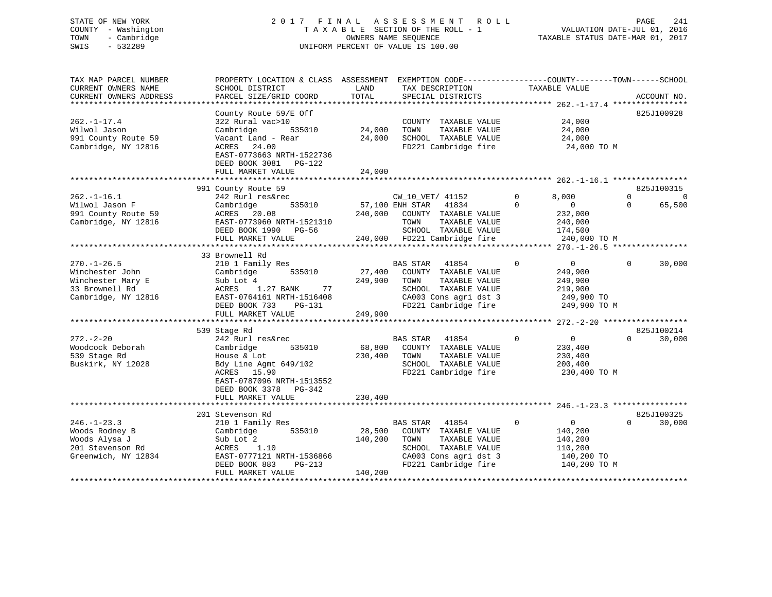# STATE OF NEW YORK 2 0 1 7 F I N A L A S S E S S M E N T R O L L PAGE 241 COUNTY - Washington T A X A B L E SECTION OF THE ROLL - 1 VALUATION DATE-JUL 01, 2016 TOWN - Cambridge OWNERS NAME SEQUENCE TAXABLE STATUS DATE-MAR 01, 2017 SWIS - 532289 UNIFORM PERCENT OF VALUE IS 100.00

| TAX MAP PARCEL NUMBER<br>CURRENT OWNERS NAME<br>CURRENT OWNERS ADDRESS                             | PROPERTY LOCATION & CLASS ASSESSMENT<br>SCHOOL DISTRICT<br>PARCEL SIZE/GRID COORD                                                                               | LAND<br>TOTAL                | EXEMPTION CODE-----------------COUNTY-------TOWN------SCHOOL<br>TAX DESCRIPTION<br>SPECIAL DISTRICTS                                               | TAXABLE VALUE                                                                                    | ACCOUNT NO.                                   |
|----------------------------------------------------------------------------------------------------|-----------------------------------------------------------------------------------------------------------------------------------------------------------------|------------------------------|----------------------------------------------------------------------------------------------------------------------------------------------------|--------------------------------------------------------------------------------------------------|-----------------------------------------------|
| **********************                                                                             | ******************<br>County Route 59/E Off                                                                                                                     |                              |                                                                                                                                                    |                                                                                                  | 825J100928                                    |
| $262. - 1 - 17.4$<br>Wilwol Jason<br>991 County Route 59<br>Cambridge, NY 12816                    | 322 Rural vac>10<br>Cambridge<br>535010<br>Vacant Land - Rear<br>24.00<br>ACRES<br>EAST-0773663 NRTH-1522736<br>DEED BOOK 3081<br>PG-122                        | 24,000<br>24,000             | COUNTY TAXABLE VALUE<br>TAXABLE VALUE<br>TOWN<br>SCHOOL TAXABLE VALUE<br>FD221 Cambridge fire                                                      | 24,000<br>24,000<br>24,000<br>24,000 TO M                                                        |                                               |
|                                                                                                    | FULL MARKET VALUE                                                                                                                                               | 24,000                       |                                                                                                                                                    |                                                                                                  |                                               |
|                                                                                                    | 991 County Route 59                                                                                                                                             |                              |                                                                                                                                                    |                                                                                                  | 825J100315                                    |
| $262. - 1 - 16.1$<br>Wilwol Jason F<br>991 County Route 59<br>Cambridge, NY 12816                  | 242 Rurl res&rec<br>535010<br>Cambridge<br>20.08<br>ACRES<br>EAST-0773960 NRTH-1521310<br>DEED BOOK 1990<br>PG-56<br>FULL MARKET VALUE                          | 240,000<br>240,000           | CW_10_VET/ 41152<br>57,100 ENH STAR<br>41834<br>COUNTY TAXABLE VALUE<br>TOWN<br>TAXABLE VALUE<br>SCHOOL TAXABLE VALUE<br>FD221 Cambridge fire      | 8,000<br>$\Omega$<br>$\Omega$<br>$\overline{0}$<br>232,000<br>240,000<br>174,500<br>240,000 TO M | $\Omega$<br>$\mathbf 0$<br>65,500<br>$\Omega$ |
|                                                                                                    | *************************<br>33 Brownell Rd                                                                                                                     |                              | ************************************                                                                                                               | **** 270.-1-26.5 ****                                                                            |                                               |
| $270. - 1 - 26.5$<br>Winchester John<br>Winchester Mary E<br>33 Brownell Rd<br>Cambridge, NY 12816 | 210 1 Family Res<br>535010<br>Cambridge<br>Sub Lot 4<br>77<br>ACRES<br>1.27 BANK<br>EAST-0764161 NRTH-1516408<br>DEED BOOK 733<br>$PG-131$<br>FULL MARKET VALUE | 27,400<br>249,900<br>249,900 | <b>BAS STAR</b><br>41854<br>COUNTY TAXABLE VALUE<br>TOWN<br>TAXABLE VALUE<br>SCHOOL TAXABLE VALUE<br>CA003 Cons agri dst 3<br>FD221 Cambridge fire | $\Omega$<br>$\mathbf{0}$<br>249,900<br>249,900<br>219,900<br>249,900 TO<br>249,900 TO M          | $\Omega$<br>30,000                            |
|                                                                                                    | ***************************<br>539 Stage Rd                                                                                                                     |                              |                                                                                                                                                    |                                                                                                  | 825J100214                                    |
| $272. - 2 - 20$<br>Woodcock Deborah<br>539 Stage Rd<br>Buskirk, NY 12028                           | 242 Rurl res&rec<br>535010<br>Cambridge<br>House & Lot<br>Bdy Line Agmt 649/102<br>ACRES<br>15.90<br>EAST-0787096 NRTH-1513552<br>DEED BOOK 3378<br>PG-342      | 68,800<br>230,400            | 41854<br>BAS STAR<br>COUNTY TAXABLE VALUE<br>TAXABLE VALUE<br>TOWN<br>SCHOOL TAXABLE VALUE<br>FD221 Cambridge fire                                 | $\mathbf 0$<br>$\overline{0}$<br>230,400<br>230,400<br>200,400<br>230,400 TO M                   | $\Omega$<br>30,000                            |
|                                                                                                    | FULL MARKET VALUE                                                                                                                                               | 230,400                      |                                                                                                                                                    |                                                                                                  |                                               |
| $246. - 1 - 23.3$<br>Woods Rodney B<br>Woods Alysa J<br>201 Stevenson Rd<br>Greenwich, NY 12834    | 201 Stevenson Rd<br>210 1 Family Res<br>535010<br>Cambridge<br>Sub Lot 2<br>ACRES<br>1.10<br>EAST-0777121 NRTH-1536866<br>DEED BOOK 883<br>$PG-213$             | 28,500<br>140,200            | BAS STAR<br>41854<br>COUNTY TAXABLE VALUE<br>TOWN<br>TAXABLE VALUE<br>SCHOOL TAXABLE VALUE<br>CA003 Cons agri dst 3<br>FD221 Cambridge fire        | $\mathbf 0$<br>0<br>140,200<br>140,200<br>110,200<br>140,200 TO<br>140,200 TO M                  | 825J100325<br>$\Omega$<br>30,000              |
|                                                                                                    | FULL MARKET VALUE                                                                                                                                               | 140,200                      |                                                                                                                                                    |                                                                                                  |                                               |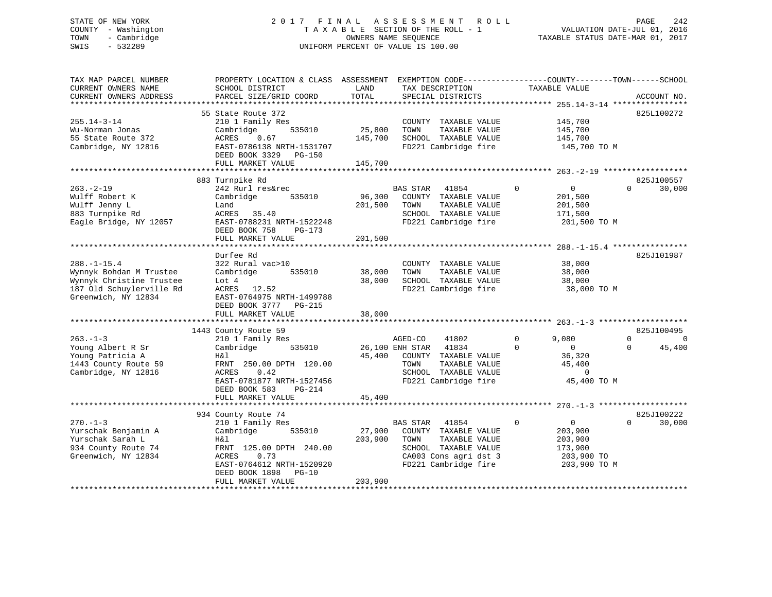# STATE OF NEW YORK 2 0 1 7 F I N A L A S S E S S M E N T R O L L PAGE 242 COUNTY - Washington T A X A B L E SECTION OF THE ROLL - 1 VALUATION DATE-JUL 01, 2016 TOWN - Cambridge OWNERS NAME SEQUENCE TAXABLE STATUS DATE-MAR 01, 2017 SWIS - 532289 UNIFORM PERCENT OF VALUE IS 100.00

| TAX MAP PARCEL NUMBER<br>CURRENT OWNERS NAME<br>CURRENT OWNERS ADDRESS                                                      | PROPERTY LOCATION & CLASS ASSESSMENT<br>SCHOOL DISTRICT<br>PARCEL SIZE/GRID COORD                                                                                                 | LAND<br>TOTAL                | TAX DESCRIPTION<br>SPECIAL DISTRICTS                                                                                                               | EXEMPTION CODE-----------------COUNTY-------TOWN------SCHOOL<br>TAXABLE VALUE               | ACCOUNT NO.                                              |
|-----------------------------------------------------------------------------------------------------------------------------|-----------------------------------------------------------------------------------------------------------------------------------------------------------------------------------|------------------------------|----------------------------------------------------------------------------------------------------------------------------------------------------|---------------------------------------------------------------------------------------------|----------------------------------------------------------|
| $255.14 - 3 - 14$<br>Wu-Norman Jonas<br>55 State Route 372<br>Cambridge, NY 12816                                           | 55 State Route 372<br>210 1 Family Res<br>Cambridge<br>535010<br>ACRES<br>0.67<br>EAST-0786138 NRTH-1531707<br>DEED BOOK 3329<br>PG-150<br>FULL MARKET VALUE                      | 25,800<br>145,700<br>145,700 | COUNTY TAXABLE VALUE<br>TOWN<br>TAXABLE VALUE<br>SCHOOL TAXABLE VALUE<br>FD221 Cambridge fire                                                      | 145,700<br>145,700<br>145,700<br>145,700 TO M                                               | 825L100272                                               |
|                                                                                                                             |                                                                                                                                                                                   |                              |                                                                                                                                                    |                                                                                             |                                                          |
| $263. -2 - 19$<br>Wulff Robert K<br>Wulff Jenny L<br>883 Turnpike Rd<br>Eagle Bridge, NY 12057                              | 883 Turnpike Rd<br>242 Rurl res&rec<br>Cambridge<br>535010<br>Land<br>ACRES<br>35.40<br>EAST-0788231 NRTH-1522248<br>DEED BOOK 758<br>PG-173<br>FULL MARKET VALUE                 | 96,300<br>201,500<br>201,500 | <b>BAS STAR</b><br>41854<br>COUNTY TAXABLE VALUE<br>TOWN<br>TAXABLE VALUE<br>SCHOOL TAXABLE VALUE<br>FD221 Cambridge fire                          | $\mathbf 0$<br>$\overline{0}$<br>201,500<br>201,500<br>171,500<br>201,500 TO M              | 825J100557<br>30,000<br>$\Omega$                         |
|                                                                                                                             |                                                                                                                                                                                   |                              |                                                                                                                                                    |                                                                                             |                                                          |
| $288. - 1 - 15.4$<br>Wynnyk Bohdan M Trustee<br>Wynnyk Christine Trustee<br>187 Old Schuylerville Rd<br>Greenwich, NY 12834 | Durfee Rd<br>322 Rural vac>10<br>Cambridge<br>535010<br>Lot $4$<br>12.52<br>ACRES<br>EAST-0764975 NRTH-1499788<br>DEED BOOK 3777<br>PG-215<br>FULL MARKET VALUE                   | 38,000<br>38,000<br>38,000   | COUNTY TAXABLE VALUE<br>TAXABLE VALUE<br>TOWN<br>SCHOOL TAXABLE VALUE<br>FD221 Cambridge fire                                                      | 38,000<br>38,000<br>38,000<br>38,000 TO M                                                   | 825J101987                                               |
|                                                                                                                             |                                                                                                                                                                                   |                              |                                                                                                                                                    |                                                                                             |                                                          |
| $263. -1 - 3$<br>Young Albert R Sr<br>Young Patricia A<br>1443 County Route 59<br>Cambridge, NY 12816                       | 1443 County Route 59<br>210 1 Family Res<br>535010<br>Cambridge<br>Η&l<br>FRNT 250.00 DPTH 120.00<br>0.42<br>ACRES<br>EAST-0781877 NRTH-1527456<br>DEED BOOK 583<br><b>PG-214</b> | 45,400                       | AGED-CO<br>41802<br>26,100 ENH STAR<br>41834<br>COUNTY TAXABLE VALUE<br>TAXABLE VALUE<br>TOWN<br>SCHOOL TAXABLE VALUE<br>FD221 Cambridge fire      | 9,080<br>$\Omega$<br>$\Omega$<br>$\Omega$<br>36,320<br>45,400<br>$\mathbf 0$<br>45,400 TO M | 825J100495<br>$\Omega$<br>$\Omega$<br>$\Omega$<br>45,400 |
|                                                                                                                             | FULL MARKET VALUE                                                                                                                                                                 | 45,400                       |                                                                                                                                                    |                                                                                             |                                                          |
|                                                                                                                             | 934 County Route 74                                                                                                                                                               |                              |                                                                                                                                                    |                                                                                             | 825J100222                                               |
| $270. - 1 - 3$<br>Yurschak Benjamin A<br>Yurschak Sarah L<br>934 County Route 74<br>Greenwich, NY 12834                     | 210 1 Family Res<br>Cambridge<br>535010<br>Η&l<br>FRNT 125.00 DPTH 240.00<br>ACRES<br>0.73<br>EAST-0764612 NRTH-1520920<br>DEED BOOK 1898<br>$PG-10$<br>FULL MARKET VALUE         | 27,900<br>203,900<br>203,900 | <b>BAS STAR</b><br>41854<br>COUNTY TAXABLE VALUE<br>TAXABLE VALUE<br>TOWN<br>SCHOOL TAXABLE VALUE<br>CA003 Cons agri dst 3<br>FD221 Cambridge fire | $\Omega$<br>$\overline{0}$<br>203,900<br>203,900<br>173,900<br>203,900 TO<br>203,900 TO M   | $\Omega$<br>30,000                                       |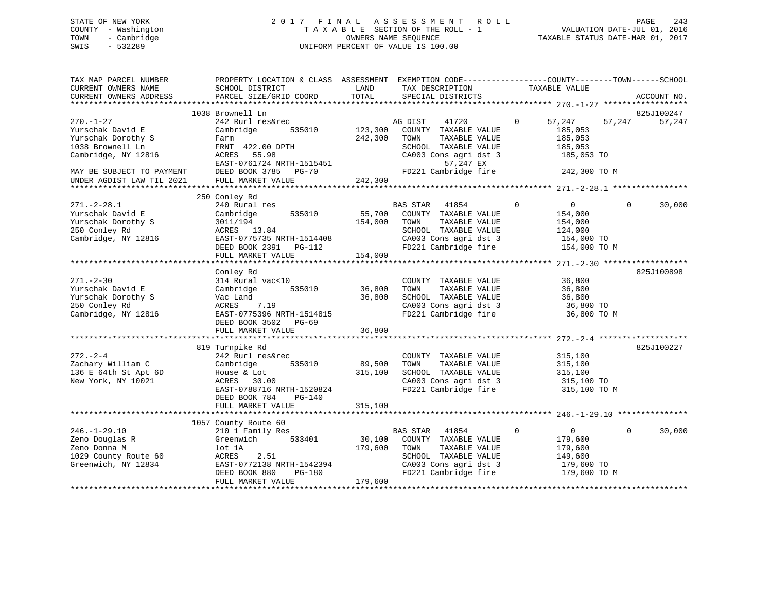# STATE OF NEW YORK 2 0 1 7 F I N A L A S S E S S M E N T R O L L PAGE 243 COUNTY - Washington T A X A B L E SECTION OF THE ROLL - 1 VALUATION DATE-JUL 01, 2016 TOWN - Cambridge OWNERS NAME SEQUENCE TAXABLE STATUS DATE-MAR 01, 2017 SWIS - 532289 UNIFORM PERCENT OF VALUE IS 100.00

| TAX MAP PARCEL NUMBER<br>CURRENT OWNERS NAME<br>CURRENT OWNERS ADDRESS | PROPERTY LOCATION & CLASS ASSESSMENT EXEMPTION CODE----------------COUNTY-------TOWN------SCHOOL<br>SCHOOL DISTRICT<br>PARCEL SIZE/GRID COORD | LAND<br>TOTAL    | TAX DESCRIPTION TAXABLE VALUE<br>SPECIAL DISTRICTS |                                     | ACCOUNT NO.        |
|------------------------------------------------------------------------|-----------------------------------------------------------------------------------------------------------------------------------------------|------------------|----------------------------------------------------|-------------------------------------|--------------------|
|                                                                        | 1038 Brownell Ln                                                                                                                              |                  |                                                    |                                     | 825J100247         |
| $270. - 1 - 27$<br>Yurschak David E                                    | 242 Rurl res&rec<br>Cambridge<br>535010                                                                                                       | 123,300          | AG DIST<br>41720<br>COUNTY TAXABLE VALUE           | $\overline{0}$<br>57,247<br>185,053 | 57,247<br>57,247   |
| Yurschak Dorothy S                                                     | Farm                                                                                                                                          | 242,300          | TOWN<br>TAXABLE VALUE                              | 185,053                             |                    |
| 1038 Brownell Ln                                                       | FRNT 422.00 DPTH                                                                                                                              |                  | SCHOOL TAXABLE VALUE                               | 185,053                             |                    |
| Cambridge, NY 12816                                                    | ACRES<br>55.98                                                                                                                                |                  | CA003 Cons agri dst 3                              | 185,053 TO                          |                    |
|                                                                        | EAST-0761724 NRTH-1515451                                                                                                                     |                  | 57,247 EX                                          |                                     |                    |
| MAY BE SUBJECT TO PAYMENT                                              | DEED BOOK 3785 PG-70                                                                                                                          |                  | FD221 Cambridge fire                               | 242,300 TO M                        |                    |
| UNDER AGDIST LAW TIL 2021                                              | FULL MARKET VALUE                                                                                                                             | 242,300          |                                                    |                                     |                    |
|                                                                        |                                                                                                                                               |                  |                                                    |                                     |                    |
|                                                                        | 250 Conley Rd                                                                                                                                 |                  |                                                    |                                     |                    |
| $271. - 2 - 28.1$                                                      | 240 Rural res                                                                                                                                 |                  | BAS STAR 41854                                     | $\mathbf 0$<br>$\overline{0}$       | $\Omega$<br>30,000 |
| Yurschak David E                                                       | Cambridge<br>535010                                                                                                                           | 55,700           | COUNTY TAXABLE VALUE                               | 154,000                             |                    |
| Yurschak Dorothy S                                                     | 3011/194                                                                                                                                      | 154,000          | TAXABLE VALUE<br>TOWN                              | 154,000                             |                    |
| 250 Conley Rd                                                          | ACRES 13.84                                                                                                                                   |                  | SCHOOL TAXABLE VALUE                               | 124,000                             |                    |
| Cambridge, NY 12816                                                    | EAST-0775735 NRTH-1514408                                                                                                                     |                  | CA003 Cons agri dst 3<br>FD221 Cambridge fire      | 154,000 TO                          |                    |
|                                                                        | DEED BOOK 2391 PG-112                                                                                                                         |                  |                                                    | 154,000 TO M                        |                    |
|                                                                        | FULL MARKET VALUE                                                                                                                             | 154,000          |                                                    |                                     |                    |
|                                                                        |                                                                                                                                               |                  |                                                    |                                     |                    |
| $271. - 2 - 30$                                                        | Conley Rd                                                                                                                                     |                  |                                                    |                                     | 825J100898         |
| Yurschak David E                                                       | 314 Rural vac<10<br>535010                                                                                                                    |                  | COUNTY TAXABLE VALUE<br>TAXABLE VALUE              | 36,800                              |                    |
| Yurschak Dorothy S                                                     | Cambridge<br>Vac Land                                                                                                                         | 36,800<br>36,800 | TOWN<br>SCHOOL TAXABLE VALUE                       | 36,800<br>36,800                    |                    |
| 250 Conley Rd                                                          | ACRES 7.19                                                                                                                                    |                  |                                                    | 36,800 TO                           |                    |
| Cambridge, NY 12816                                                    | EAST-0775396 NRTH-1514815                                                                                                                     |                  | CA003 Cons agri dst 3<br>FD221 Cambridge fire      | 36,800 TO M                         |                    |
|                                                                        | DEED BOOK 3502 PG-69                                                                                                                          |                  |                                                    |                                     |                    |
|                                                                        | FULL MARKET VALUE                                                                                                                             | 36,800           |                                                    |                                     |                    |
|                                                                        |                                                                                                                                               |                  |                                                    |                                     |                    |
|                                                                        | 819 Turnpike Rd                                                                                                                               |                  |                                                    |                                     | 825J100227         |
| $272 - 2 - 4$                                                          | 242 Rurl res&rec                                                                                                                              |                  | COUNTY TAXABLE VALUE                               | 315,100                             |                    |
| Zachary William C                                                      | Cambridge<br>535010                                                                                                                           | 89,500           | TOWN<br>TAXABLE VALUE                              | 315,100                             |                    |
| 136 E 64th St Apt 6D                                                   | House & Lot                                                                                                                                   | 315,100          | SCHOOL TAXABLE VALUE                               | 315,100                             |                    |
| New York, NY 10021                                                     | ACRES<br>30.00                                                                                                                                |                  | CA003 Cons agri dst 3                              | 315,100 TO                          |                    |
|                                                                        | EAST-0788716 NRTH-1520824                                                                                                                     |                  | FD221 Cambridge fire                               | 315,100 TO M                        |                    |
|                                                                        | DEED BOOK 784<br>$PG-140$                                                                                                                     |                  |                                                    |                                     |                    |
|                                                                        | FULL MARKET VALUE                                                                                                                             | 315,100          |                                                    |                                     |                    |
|                                                                        |                                                                                                                                               |                  |                                                    |                                     |                    |
|                                                                        | 1057 County Route 60                                                                                                                          |                  |                                                    |                                     |                    |
| $246. - 1 - 29.10$                                                     | 210 1 Family Res                                                                                                                              |                  | <b>BAS STAR</b><br>41854                           | $\overline{0}$<br>$\overline{0}$    | 30,000<br>$\Omega$ |
| Zeno Douglas R                                                         | Greenwich 533401                                                                                                                              | 30,100           | COUNTY TAXABLE VALUE                               | 179,600                             |                    |
| Zeno Donna M                                                           | lot 1A                                                                                                                                        | 179,600          | TOWN<br>TAXABLE VALUE                              | 179,600                             |                    |
| 1029 County Route 60                                                   | ACRES<br>2.51                                                                                                                                 |                  | SCHOOL TAXABLE VALUE                               | 149,600                             |                    |
| Greenwich, NY 12834                                                    | EAST-0772138 NRTH-1542394                                                                                                                     |                  | CA003 Cons agri dst 3                              | 179,600 TO                          |                    |
|                                                                        | DEED BOOK 880<br>PG-180                                                                                                                       |                  | FD221 Cambridge fire                               | 179,600 TO M                        |                    |
|                                                                        | FULL MARKET VALUE                                                                                                                             | 179,600          |                                                    |                                     |                    |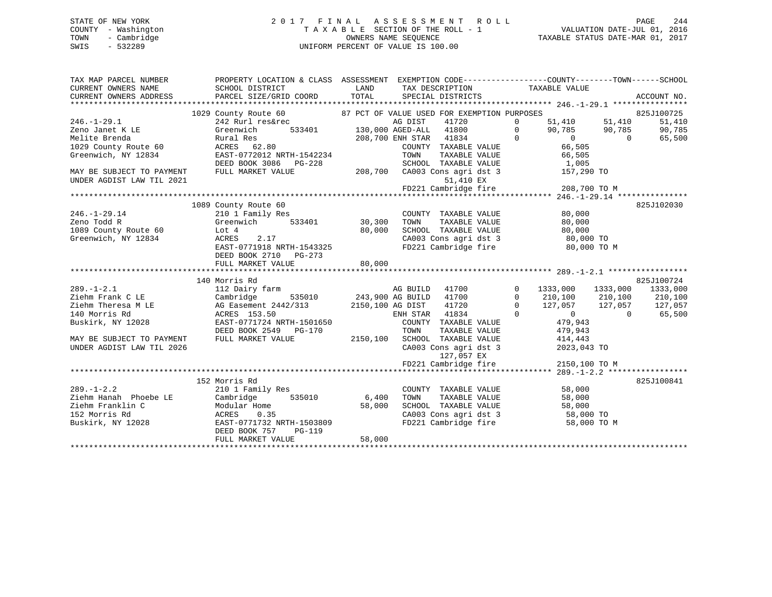# STATE OF NEW YORK 2 0 1 7 F I N A L A S S E S S M E N T R O L L PAGE 244 COUNTY - Washington T A X A B L E SECTION OF THE ROLL - 1 VALUATION DATE-JUL 01, 2016 TOWN - Cambridge OWNERS NAME SEQUENCE TAXABLE STATUS DATE-MAR 01, 2017 SWIS - 532289 UNIFORM PERCENT OF VALUE IS 100.00

| TAX MAP PARCEL NUMBER<br>CURRENT OWNERS NAME | PROPERTY LOCATION & CLASS ASSESSMENT EXEMPTION CODE----------------COUNTY-------TOWN------SCHOOL<br>SCHOOL DISTRICT                                                                                                                                                                                        | <b>Example 12</b> LAND | TAX DESCRIPTION TAXABLE VALUE                                                                                                                                                                       |                                           |                            |
|----------------------------------------------|------------------------------------------------------------------------------------------------------------------------------------------------------------------------------------------------------------------------------------------------------------------------------------------------------------|------------------------|-----------------------------------------------------------------------------------------------------------------------------------------------------------------------------------------------------|-------------------------------------------|----------------------------|
|                                              |                                                                                                                                                                                                                                                                                                            |                        |                                                                                                                                                                                                     |                                           |                            |
| $246. -1 - 29.1$                             | $\begin{array}{cccccccc} \texttt{1029} \text{ County} \text{ Route} & 60 & 87 \text{ PCT} \text{ OF} \text{ VALUE} \text{ USB} \text{ FOR EXEMPTION PURPOSES} & 825 \text{J100725} \\ \texttt{242} \text{ Rurl} \text{ res\&rec} & \texttt{AG DIST} & 41720 & 0 & 51,410 & 51,410 & 51,410 \\ \end{array}$ |                        |                                                                                                                                                                                                     |                                           | 51,410                     |
| Zeno Janet K LE                              | Greenwich                                                                                                                                                                                                                                                                                                  |                        | S&rec   AG DIST   41720<br>533401   130,000   AGED-ALL   41800                                                                                                                                      |                                           | 90,785                     |
| Melite Brenda                                | Rural Res<br>ACRES 62.80<br>ACRES 62.80                                                                                                                                                                                                                                                                    |                        | $\begin{array}{cccc} 130,000 & \text{AGED-ALL} & 41800 & 0 & 90,785 & 90,785 \\ 208,700 & \text{ENH STAR} & 41834 & 0 & 0 & 0 \\ & & & & \text{COUNTY} & \text{TAXABLE VALUE} & 66,505 \end{array}$ |                                           | 65,500                     |
| 1029 County Route 60                         |                                                                                                                                                                                                                                                                                                            |                        |                                                                                                                                                                                                     |                                           |                            |
| Greenwich, NY 12834                          | EAST-0772012 NRTH-1542234                                                                                                                                                                                                                                                                                  |                        |                                                                                                                                                                                                     |                                           |                            |
|                                              | DEED BOOK 3086 PG-228                                                                                                                                                                                                                                                                                      |                        | -1542234 TOWN TAXABLE VALUE 66,505<br>99-228 SCHOOL TAXABLE VALUE 1,005<br>208,700 CA003 Cons agri dst 3 157,290 TO                                                                                 |                                           |                            |
| MAY BE SUBJECT TO PAYMENT                    | FULL MARKET VALUE                                                                                                                                                                                                                                                                                          |                        |                                                                                                                                                                                                     |                                           |                            |
| UNDER AGDIST LAW TIL 2021                    |                                                                                                                                                                                                                                                                                                            |                        | 51,410 EX                                                                                                                                                                                           |                                           |                            |
|                                              |                                                                                                                                                                                                                                                                                                            |                        | 51,410 EX<br>FD221 Cambridge fire 208,700 TO M                                                                                                                                                      |                                           |                            |
|                                              |                                                                                                                                                                                                                                                                                                            |                        |                                                                                                                                                                                                     |                                           |                            |
|                                              | 1089 County Route 60                                                                                                                                                                                                                                                                                       |                        |                                                                                                                                                                                                     |                                           | 825J102030                 |
| $246. - 1 - 29.14$                           |                                                                                                                                                                                                                                                                                                            |                        | COUNTY TAXABLE VALUE                                                                                                                                                                                | 80,000                                    |                            |
| Zeno Todd R                                  |                                                                                                                                                                                                                                                                                                            |                        | TAXABLE VALUE<br>TOWN                                                                                                                                                                               | 80,000                                    |                            |
| 1089 County Route 60                         |                                                                                                                                                                                                                                                                                                            |                        |                                                                                                                                                                                                     |                                           |                            |
| Greenwich, NY 12834                          | Lot 4<br>ACRES<br>80,000<br>ACRES 2.17                                                                                                                                                                                                                                                                     |                        | SCHOOL TAXABLE VALUE 80,000<br>CA003 Cons agri dst 3 80,000 TO<br>FD221 Cambridge fire 80,000 TO                                                                                                    |                                           |                            |
|                                              | EAST-0771918 NRTH-1543325                                                                                                                                                                                                                                                                                  |                        |                                                                                                                                                                                                     | 80,000 TO M                               |                            |
|                                              | DEED BOOK 2710 PG-273                                                                                                                                                                                                                                                                                      |                        |                                                                                                                                                                                                     |                                           |                            |
|                                              | FULL MARKET VALUE                                                                                                                                                                                                                                                                                          | 80,000                 |                                                                                                                                                                                                     |                                           |                            |
|                                              |                                                                                                                                                                                                                                                                                                            |                        |                                                                                                                                                                                                     |                                           |                            |
|                                              | 140 Morris Rd                                                                                                                                                                                                                                                                                              |                        |                                                                                                                                                                                                     |                                           | 825J100724                 |
| $289. - 1 - 2.1$                             | nurris nu<br>112 Dairy farm                                                                                                                                                                                                                                                                                |                        | AG BUILD 41700 0                                                                                                                                                                                    |                                           | 1333,000 1333,000 1333,000 |
| Ziehm Frank C LE                             | Cambridge                                                                                                                                                                                                                                                                                                  |                        | 535010 243,900 AG BUILD 41700                                                                                                                                                                       | $\overline{0}$<br>210,100 210,100         | 210,100                    |
| Ziehm Theresa M LE                           | AG Easement 2442/313 2150,100 AG DIST                                                                                                                                                                                                                                                                      |                        | 41720                                                                                                                                                                                               | 0 127,057 127,057 127,057<br>0 0 0 65,500 |                            |
| 140 Morris Rd                                | ACRES 153.50                                                                                                                                                                                                                                                                                               |                        | ENH STAR 41834                                                                                                                                                                                      |                                           |                            |
| Buskirk, NY 12028                            | EAST-0771724 NRTH-1501650                                                                                                                                                                                                                                                                                  |                        | COUNTY TAXABLE VALUE                                                                                                                                                                                | 479,943                                   |                            |
|                                              | DEED BOOK 2549 PG-170                                                                                                                                                                                                                                                                                      |                        | TOWN<br>TAXABLE VALUE                                                                                                                                                                               | 479,943                                   |                            |
| MAY BE SUBJECT TO PAYMENT                    | FULL MARKET VALUE                                                                                                                                                                                                                                                                                          |                        | 2150,100 SCHOOL TAXABLE VALUE                                                                                                                                                                       | 414,443                                   |                            |
| UNDER AGDIST LAW TIL 2026                    |                                                                                                                                                                                                                                                                                                            |                        | CA003 Cons agri dst 3                                                                                                                                                                               | $2023,043$ TO                             |                            |
|                                              |                                                                                                                                                                                                                                                                                                            |                        | 127,057 EX                                                                                                                                                                                          |                                           |                            |
|                                              |                                                                                                                                                                                                                                                                                                            |                        | 127,057 EX<br>FD221 Cambridge fire                                                                                                                                                                  | 2150,100 TO M                             |                            |
|                                              |                                                                                                                                                                                                                                                                                                            |                        |                                                                                                                                                                                                     |                                           |                            |
|                                              | 152 Morris Rd                                                                                                                                                                                                                                                                                              |                        |                                                                                                                                                                                                     |                                           | 825J100841                 |
| $289. - 1 - 2.2$                             | 210 1 Family Res                                                                                                                                                                                                                                                                                           |                        | COUNTY TAXABLE VALUE                                                                                                                                                                                | 58,000                                    |                            |
| Ziehm Hanah Phoebe LE                        | 535010 6,400<br>Cambridge                                                                                                                                                                                                                                                                                  |                        | TAXABLE VALUE<br>TOWN                                                                                                                                                                               | 58,000                                    |                            |
| Ziehm Franklin C                             | Modular Home                                                                                                                                                                                                                                                                                               |                        |                                                                                                                                                                                                     |                                           |                            |
| 152 Morris Rd                                | 58,000<br>ACRES<br>0.35                                                                                                                                                                                                                                                                                    |                        |                                                                                                                                                                                                     |                                           |                            |
| Buskirk, NY 12028                            | EAST-0771732 NRTH-1503809                                                                                                                                                                                                                                                                                  |                        | SCHOOL TAXABLE VALUE 58,000<br>CA003 Cons agri dst 3 58,000 TO<br>FD221 Cambridge fire 58,000 TO M                                                                                                  |                                           |                            |
|                                              | DEED BOOK 757<br><b>PG-119</b>                                                                                                                                                                                                                                                                             |                        |                                                                                                                                                                                                     |                                           |                            |
|                                              | FULL MARKET VALUE                                                                                                                                                                                                                                                                                          | 58,000                 |                                                                                                                                                                                                     |                                           |                            |
|                                              |                                                                                                                                                                                                                                                                                                            |                        |                                                                                                                                                                                                     |                                           |                            |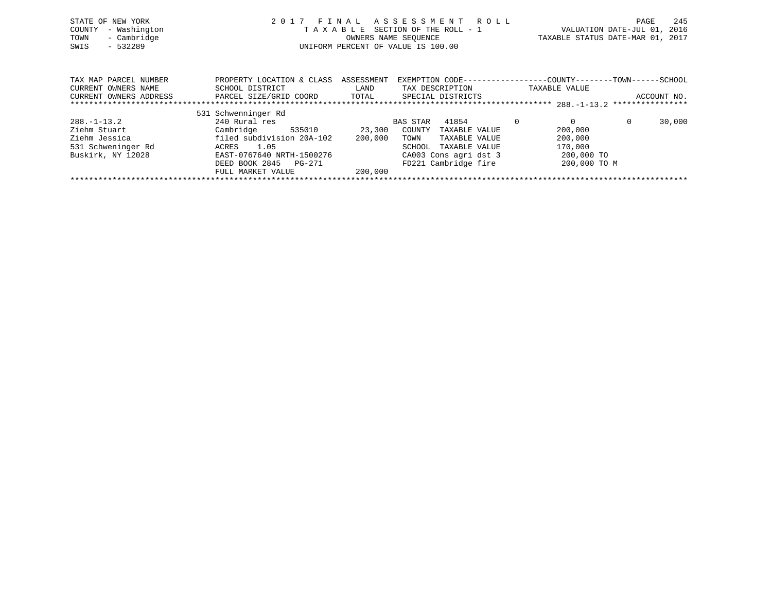| STATE OF NEW YORK      | 2017                      | FINAL      | A S S E S S M E N T<br>R O L L                                |               | 245<br>PAGE                      |
|------------------------|---------------------------|------------|---------------------------------------------------------------|---------------|----------------------------------|
| - Washington<br>COUNTY |                           |            | TAXABLE SECTION OF THE ROLL - 1                               |               | VALUATION DATE-JUL 01, 2016      |
| - Cambridge<br>TOWN    |                           |            | OWNERS NAME SEOUENCE                                          |               | TAXABLE STATUS DATE-MAR 01, 2017 |
| SWIS<br>- 532289       |                           |            | UNIFORM PERCENT OF VALUE IS 100.00                            |               |                                  |
|                        |                           |            |                                                               |               |                                  |
|                        |                           |            |                                                               |               |                                  |
| TAX MAP PARCEL NUMBER  | PROPERTY LOCATION & CLASS | ASSESSMENT | EXEMPTION CODE-----------------COUNTY--------TOWN------SCHOOL |               |                                  |
|                        |                           |            |                                                               |               |                                  |
| CURRENT OWNERS NAME    | SCHOOL DISTRICT           | LAND       | TAX DESCRIPTION                                               | TAXABLE VALUE |                                  |
| CURRENT OWNERS ADDRESS | PARCEL SIZE/GRID COORD    | TOTAL      | SPECIAL DISTRICTS                                             |               | ACCOUNT NO.                      |
|                        |                           |            |                                                               |               |                                  |
|                        | 531 Schwenninger Rd       |            |                                                               |               |                                  |
| $288. - 1 - 13.2$      | 240 Rural res             |            | 41854<br>BAS STAR                                             | $\Omega$      | $\Omega$<br>30,000               |
| Ziehm Stuart           | Cambridge<br>535010       | 23,300     | COUNTY<br>TAXABLE VALUE                                       | 200,000       |                                  |
| Ziehm Jessica          | filed subdivision 20A-102 | 200,000    | TOWN<br>TAXABLE VALUE                                         | 200,000       |                                  |
| 531 Schweninger Rd     | 1.05<br>ACRES             |            | SCHOOL<br>TAXABLE VALUE                                       | 170,000       |                                  |
| Buskirk, NY 12028      | EAST-0767640 NRTH-1500276 |            | CA003 Cons agri dst 3                                         | 200,000 TO    |                                  |
|                        | DEED BOOK 2845<br>PG-271  |            | FD221 Cambridge fire                                          | 200,000 TO M  |                                  |

\*\*\*\*\*\*\*\*\*\*\*\*\*\*\*\*\*\*\*\*\*\*\*\*\*\*\*\*\*\*\*\*\*\*\*\*\*\*\*\*\*\*\*\*\*\*\*\*\*\*\*\*\*\*\*\*\*\*\*\*\*\*\*\*\*\*\*\*\*\*\*\*\*\*\*\*\*\*\*\*\*\*\*\*\*\*\*\*\*\*\*\*\*\*\*\*\*\*\*\*\*\*\*\*\*\*\*\*\*\*\*\*\*\*\*\*\*\*\*\*\*\*\*\*\*\*\*\*\*\*\*\*

DEED BOOK 2845 PG-271<br>FULL MARKET VALUE 200,000

FULL MARKET VALUE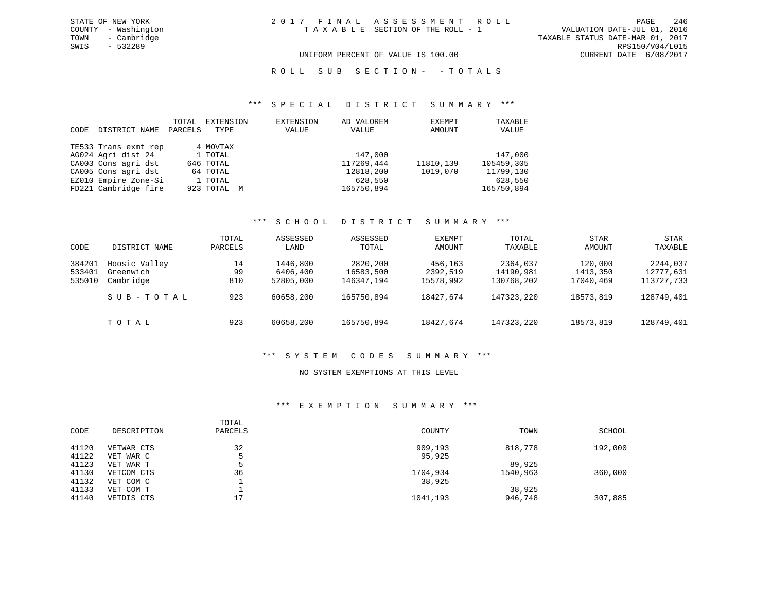UNIFORM PERCENT OF VALUE IS 100.00 CURRENT DATE 6/08/2017

R O L L S U B S E C T I O N - - T O T A L S

### \*\*\* S P E C I A L D I S T R I C T S U M M A R Y \*\*\*

| CODE | DISTRICT NAME        | TOTAL<br>PARCELS | EXTENSION<br>TYPE | EXTENSION<br>VALUE | AD VALOREM<br>VALUE | EXEMPT<br>AMOUNT | TAXABLE<br>VALUE |
|------|----------------------|------------------|-------------------|--------------------|---------------------|------------------|------------------|
|      | TE533 Trans exmt rep |                  | 4 MOVTAX          |                    |                     |                  |                  |
|      | AG024 Agri dist 24   |                  | 1 TOTAL           |                    | 147,000             |                  | 147,000          |
|      | CA003 Cons agri dst  |                  | 646 TOTAL         |                    | 117269,444          | 11810,139        | 105459,305       |
|      | CA005 Cons agri dst  |                  | 64 TOTAL          |                    | 12818,200           | 1019,070         | 11799,130        |
|      | EZ010 Empire Zone-Si |                  | 1 TOTAL           |                    | 628,550             |                  | 628,550          |
|      | FD221 Cambridge fire |                  | 923 TOTAL M       |                    | 165750,894          |                  | 165750,894       |

## \*\*\* S C H O O L D I S T R I C T S U M M A R Y \*\*\*

| CODE                       | DISTRICT NAME                           | TOTAL<br>PARCELS | ASSESSED<br>LAND                  | ASSESSED<br>TOTAL                   | EXEMPT<br>AMOUNT                 | TOTAL<br>TAXABLE                    | STAR<br>AMOUNT                   | STAR<br>TAXABLE                     |
|----------------------------|-----------------------------------------|------------------|-----------------------------------|-------------------------------------|----------------------------------|-------------------------------------|----------------------------------|-------------------------------------|
| 384201<br>533401<br>535010 | Hoosic Valley<br>Greenwich<br>Cambridge | 14<br>99<br>810  | 1446,800<br>6406,400<br>52805,000 | 2820,200<br>16583,500<br>146347,194 | 456,163<br>2392,519<br>15578,992 | 2364,037<br>14190,981<br>130768,202 | 120,000<br>1413,350<br>17040,469 | 2244,037<br>12777,631<br>113727,733 |
|                            | SUB-TOTAL                               | 923              | 60658,200                         | 165750,894                          | 18427,674                        | 147323,220                          | 18573,819                        | 128749,401                          |
|                            | тотаь                                   | 923              | 60658,200                         | 165750,894                          | 18427,674                        | 147323,220                          | 18573,819                        | 128749,401                          |

### \*\*\* S Y S T E M C O D E S S U M M A R Y \*\*\*

### NO SYSTEM EXEMPTIONS AT THIS LEVEL

### \*\*\* E X E M P T I O N S U M M A R Y \*\*\*

| DESCRIPTION | TOTAL<br>PARCELS | COUNTY   | TOWN     | SCHOOL  |
|-------------|------------------|----------|----------|---------|
| VETWAR CTS  | 32               | 909,193  | 818,778  | 192,000 |
| VET WAR C   |                  | 95,925   |          |         |
| VET WAR T   |                  |          | 89,925   |         |
| VETCOM CTS  | 36               | 1704,934 | 1540,963 | 360,000 |
| VET COM C   |                  | 38,925   |          |         |
| VET COM T   |                  |          | 38,925   |         |
| VETDIS CTS  | 17               | 1041,193 | 946,748  | 307,885 |
|             |                  |          |          |         |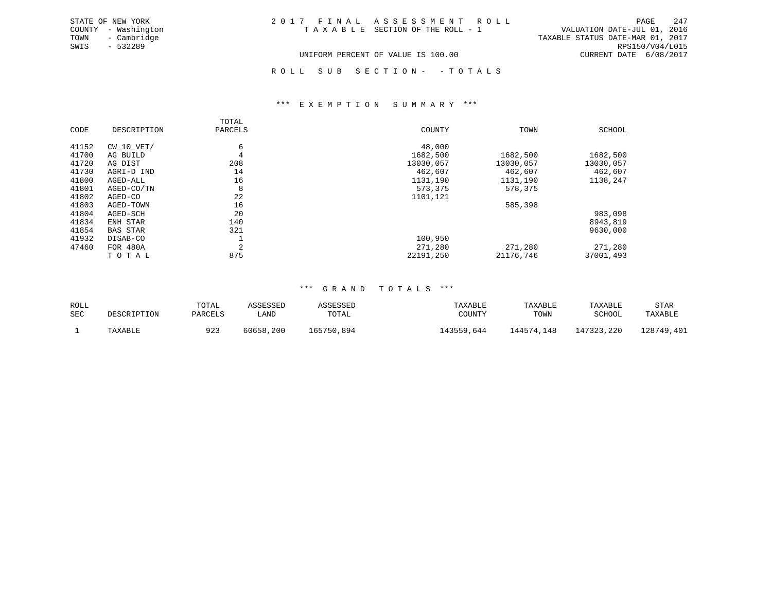| STATE OF NEW YORK   | 2017 FINAL ASSESSMENT ROLL         | 247<br>PAGE                      |
|---------------------|------------------------------------|----------------------------------|
| COUNTY - Washington | TAXABLE SECTION OF THE ROLL - 1    | VALUATION DATE-JUL 01, 2016      |
| - Cambridge<br>TOWN |                                    | TAXABLE STATUS DATE-MAR 01, 2017 |
| SWIS<br>- 532289    |                                    | RPS150/V04/L015                  |
|                     | UNIFORM PERCENT OF VALUE IS 100.00 | CURRENT DATE 6/08/2017           |

ROLL SUB SECTION - - TOTALS

### \*\*\* E X E M P T I O N S U M M A R Y \*\*\*

|       |                 | TOTAL         |           |           |           |
|-------|-----------------|---------------|-----------|-----------|-----------|
| CODE  | DESCRIPTION     | PARCELS       | COUNTY    | TOWN      | SCHOOL    |
| 41152 | CW 10 VET/      | 6             | 48,000    |           |           |
| 41700 | AG BUILD        | 4             | 1682,500  | 1682,500  | 1682,500  |
| 41720 | AG DIST         | 208           | 13030,057 | 13030,057 | 13030,057 |
| 41730 | AGRI-D IND      | 14            | 462,607   | 462,607   | 462,607   |
| 41800 | AGED-ALL        | 16            | 1131,190  | 1131,190  | 1138,247  |
| 41801 | AGED-CO/TN      | 8             | 573,375   | 578,375   |           |
| 41802 | AGED-CO         | 22            | 1101,121  |           |           |
| 41803 | AGED-TOWN       | 16            |           | 585,398   |           |
| 41804 | AGED-SCH        | 20            |           |           | 983,098   |
| 41834 | ENH STAR        | 140           |           |           | 8943,819  |
| 41854 | <b>BAS STAR</b> | 321           |           |           | 9630,000  |
| 41932 | DISAB-CO        |               | 100,950   |           |           |
| 47460 | FOR 480A        | $\Omega$<br>╱ | 271,280   | 271,280   | 271,280   |
|       | TOTAL           | 875           | 22191,250 | 21176,746 | 37001,493 |

### \*\*\* G R A N D T O T A L S \*\*\*

| ROLL |             | TOTAL   |                | SSESSEL    | TAXABLE        | TAXABLE    | TAXABLE    | STAR       |
|------|-------------|---------|----------------|------------|----------------|------------|------------|------------|
| SEC  | DESCRIPTION | PARCELS | LAND           | TOTAL      | COUNTY         | TOWN       | SCHOOL     | TAXABLE    |
|      | TAXABLE     | 923     | , 200<br>60658 | 165750,894 | .43559<br>.644 | 144574,148 | 147323,220 | 128749,401 |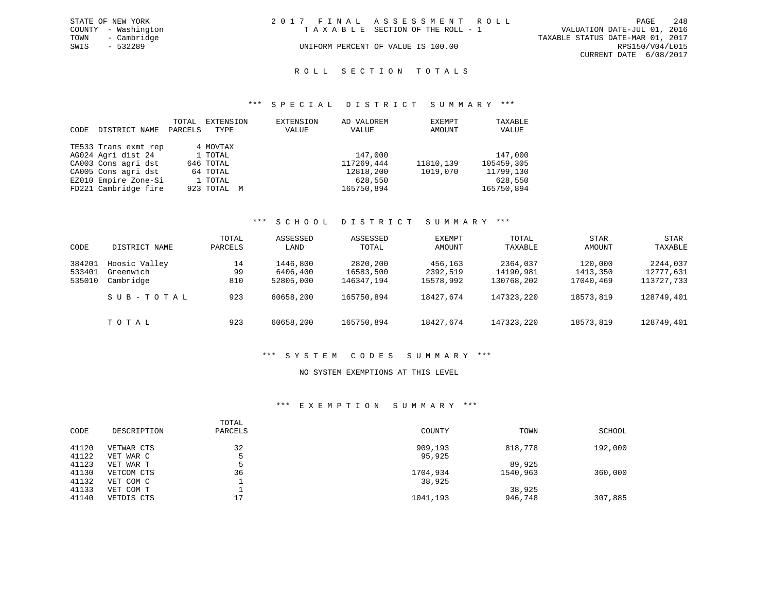| STATE OF NEW YORK   | 2017 FINAL ASSESSMENT ROLL         | 248<br>PAGE                      |
|---------------------|------------------------------------|----------------------------------|
| COUNTY - Washington | TAXABLE SECTION OF THE ROLL - 1    | VALUATION DATE-JUL 01, 2016      |
| TOWN<br>- Cambridge |                                    | TAXABLE STATUS DATE-MAR 01, 2017 |
| - 532289<br>SWIS    | UNIFORM PERCENT OF VALUE IS 100.00 | RPS150/V04/L015                  |
|                     |                                    | CURRENT DATE 6/08/2017           |

### R O L L S E C T I O N T O T A L S

### \*\*\* S P E C I A L D I S T R I C T S U M M A R Y \*\*\*

| CODE | DISTRICT NAME        | TOTAL<br>PARCELS | EXTENSION<br>TYPE | EXTENSION<br>VALUE | AD VALOREM<br>VALUE | EXEMPT<br>AMOUNT | TAXABLE<br>VALUE |
|------|----------------------|------------------|-------------------|--------------------|---------------------|------------------|------------------|
|      | TE533 Trans exmt rep |                  | 4 MOVTAX          |                    |                     |                  |                  |
|      | AG024 Agri dist 24   |                  | 1 TOTAL           |                    | 147,000             |                  | 147,000          |
|      | CA003 Cons agri dst  |                  | 646 TOTAL         |                    | 117269,444          | 11810,139        | 105459,305       |
|      | CA005 Cons agri dst  |                  | 64 TOTAL          |                    | 12818,200           | 1019,070         | 11799,130        |
|      | EZ010 Empire Zone-Si |                  | 1 TOTAL           |                    | 628,550             |                  | 628,550          |
|      | FD221 Cambridge fire |                  | 923 TOTAL M       |                    | 165750,894          |                  | 165750,894       |

## \*\*\* S C H O O L D I S T R I C T S U M M A R Y \*\*\*

| CODE                       | DISTRICT NAME                           | TOTAL<br>PARCELS | ASSESSED<br>LAND                  | ASSESSED<br>TOTAL                   | EXEMPT<br>AMOUNT                 | TOTAL<br>TAXABLE                    | <b>STAR</b><br>AMOUNT            | STAR<br>TAXABLE                     |
|----------------------------|-----------------------------------------|------------------|-----------------------------------|-------------------------------------|----------------------------------|-------------------------------------|----------------------------------|-------------------------------------|
| 384201<br>533401<br>535010 | Hoosic Valley<br>Greenwich<br>Cambridge | 14<br>99<br>810  | 1446,800<br>6406,400<br>52805,000 | 2820,200<br>16583,500<br>146347,194 | 456,163<br>2392,519<br>15578,992 | 2364,037<br>14190,981<br>130768,202 | 120,000<br>1413,350<br>17040,469 | 2244,037<br>12777,631<br>113727,733 |
|                            | SUB-TOTAL                               | 923              | 60658,200                         | 165750,894                          | 18427,674                        | 147323,220                          | 18573,819                        | 128749,401                          |
|                            | TOTAL                                   | 923              | 60658,200                         | 165750,894                          | 18427,674                        | 147323,220                          | 18573,819                        | 128749,401                          |

## \*\*\* S Y S T E M C O D E S S U M M A R Y \*\*\*

#### NO SYSTEM EXEMPTIONS AT THIS LEVEL

### \*\*\* E X E M P T I O N S U M M A R Y \*\*\*

| CODE  | DESCRIPTION | TOTAL<br>PARCELS | COUNTY   | TOWN     | SCHOOL  |
|-------|-------------|------------------|----------|----------|---------|
| 41120 | VETWAR CTS  | 32               | 909,193  | 818,778  | 192,000 |
| 41122 | VET WAR C   |                  | 95,925   |          |         |
| 41123 | VET WAR T   |                  |          | 89,925   |         |
| 41130 | VETCOM CTS  | 36               | 1704,934 | 1540,963 | 360,000 |
| 41132 | VET COM C   |                  | 38,925   |          |         |
| 41133 | VET COM T   |                  |          | 38,925   |         |
| 41140 | VETDIS CTS  | 17<br><u>، ،</u> | 1041,193 | 946,748  | 307,885 |
|       |             |                  |          |          |         |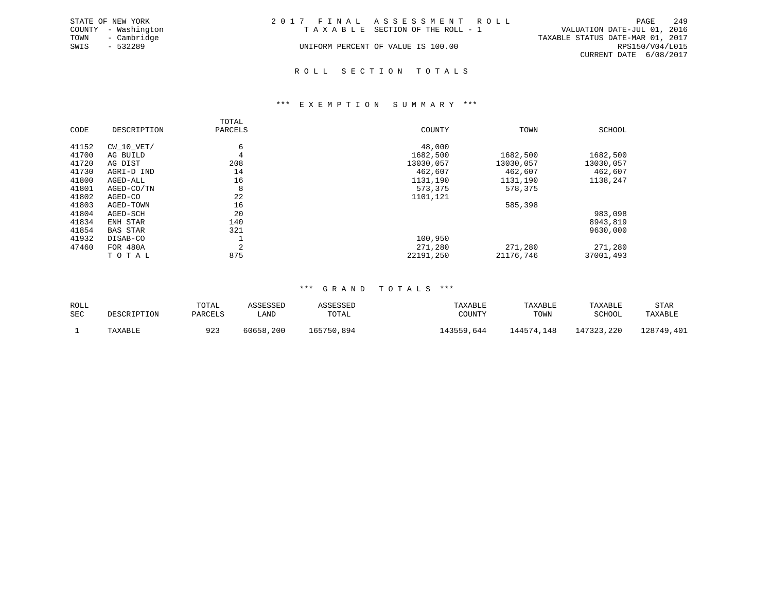|      | STATE OF NEW YORK   | 2017 FINAL ASSESSMENT ROLL |                                    |                                  | PAGE            | 2.4 S |
|------|---------------------|----------------------------|------------------------------------|----------------------------------|-----------------|-------|
|      | COUNTY - Washington |                            | TAXABLE SECTION OF THE ROLL - 1    | VALUATION DATE-JUL 01, 2016      |                 |       |
|      | TOWN - Cambridge    |                            |                                    | TAXABLE STATUS DATE-MAR 01, 2017 |                 |       |
| SWIS | - 532289            |                            | UNIFORM PERCENT OF VALUE IS 100.00 |                                  | RPS150/V04/L015 |       |
|      |                     |                            |                                    | CURRENT DATE 6/08/2017           |                 |       |
|      |                     |                            |                                    |                                  |                 |       |

### R O L L S E C T I O N T O T A L S

### \*\*\* E X E M P T I O N S U M M A R Y \*\*\*

|       |                 | TOTAL   |           |           |           |
|-------|-----------------|---------|-----------|-----------|-----------|
| CODE  | DESCRIPTION     | PARCELS | COUNTY    | TOWN      | SCHOOL    |
| 41152 | $CW$ 10 $VET/$  | 6       | 48,000    |           |           |
| 41700 | AG BUILD        | 4       | 1682,500  | 1682,500  | 1682,500  |
| 41720 | AG DIST         | 208     | 13030,057 | 13030,057 | 13030,057 |
| 41730 | AGRI-D IND      | 14      | 462,607   | 462,607   | 462,607   |
| 41800 | AGED-ALL        | 16      | 1131,190  | 1131,190  | 1138,247  |
| 41801 | AGED-CO/TN      | 8       | 573,375   | 578,375   |           |
| 41802 | AGED-CO         | 22      | 1101,121  |           |           |
| 41803 | AGED-TOWN       | 16      |           | 585,398   |           |
| 41804 | AGED-SCH        | 20      |           |           | 983,098   |
| 41834 | ENH STAR        | 140     |           |           | 8943,819  |
| 41854 | <b>BAS STAR</b> | 321     |           |           | 9630,000  |
| 41932 | DISAB-CO        |         | 100,950   |           |           |
| 47460 | FOR 480A        | 2       | 271,280   | 271,280   | 271,280   |
|       | TOTAL           | 875     | 22191,250 | 21176,746 | 37001,493 |

### \*\*\* G R A N D T O T A L S \*\*\*

| ROLL |             | TOTAL   |                | SSESSEL    | TAXABLE        | TAXABLE    | TAXABLE    | STAR       |
|------|-------------|---------|----------------|------------|----------------|------------|------------|------------|
| SEC  | DESCRIPTION | PARCELS | LAND           | TOTAL      | COUNTY         | TOWN       | SCHOOL     | TAXABLE    |
|      | TAXABLE     | 923     | , 200<br>60658 | 165750,894 | .43559<br>.644 | 144574,148 | 147323,220 | 128749,401 |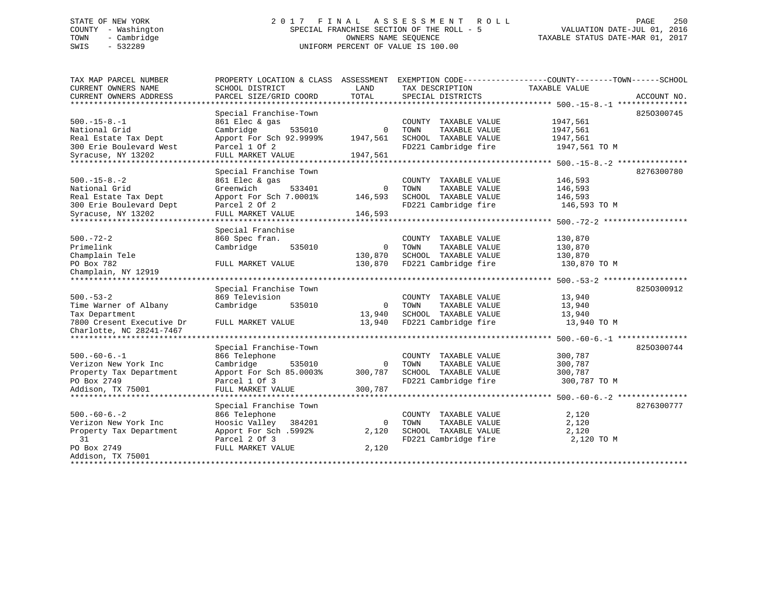# STATE OF NEW YORK 2 0 1 7 F I N A L A S S E S S M E N T R O L L PAGE 250 COUNTY - Washington SPECIAL FRANCHISE SECTION OF THE ROLL - 5 VALUATION DATE-JUL 01, 2016 TOWN - Cambridge OWNERS NAME SEQUENCE TAXABLE STATUS DATE-MAR 01, 2017 SWIS - 532289 UNIFORM PERCENT OF VALUE IS 100.00

| TAX MAP PARCEL NUMBER<br>CURRENT OWNERS NAME | PROPERTY LOCATION & CLASS ASSESSMENT<br>SCHOOL DISTRICT | LAND        | EXEMPTION CODE-----------------COUNTY-------TOWN------SCHOOL | TAXABLE VALUE                                           |                     |
|----------------------------------------------|---------------------------------------------------------|-------------|--------------------------------------------------------------|---------------------------------------------------------|---------------------|
| CURRENT OWNERS ADDRESS                       | PARCEL SIZE/GRID COORD                                  | TOTAL       | TAX DESCRIPTION<br>SPECIAL DISTRICTS                         |                                                         | ACCOUNT NO.         |
| ************************                     |                                                         |             |                                                              |                                                         |                     |
|                                              | Special Franchise-Town                                  |             |                                                              |                                                         | 8250300745          |
| $500. -15 - 8. -1$                           | 861 Elec & gas                                          |             | COUNTY TAXABLE VALUE                                         | 1947,561                                                |                     |
| National Grid                                | Cambridge<br>535010                                     | $\mathbf 0$ | TAXABLE VALUE<br>TOWN                                        | 1947,561                                                |                     |
| Real Estate Tax Dept                         | Apport For Sch 92.9999%                                 | 1947,561    | SCHOOL TAXABLE VALUE                                         | 1947,561                                                |                     |
| 300 Erie Boulevard West                      | Parcel 1 Of 2                                           |             | FD221 Cambridge fire                                         | 1947,561 TO M                                           |                     |
| Syracuse, NY 13202                           | FULL MARKET VALUE                                       | 1947,561    |                                                              |                                                         |                     |
| ***************                              | *****************                                       |             |                                                              | ********** 500.-15-8.-2 *********                       |                     |
|                                              | Special Franchise Town                                  |             |                                                              |                                                         | 8276300780          |
| $500. -15 - 8. -2$                           | 861 Elec & gas                                          |             | COUNTY TAXABLE VALUE                                         | 146,593                                                 |                     |
| National Grid                                | Greenwich<br>533401                                     | $\Omega$    | TOWN<br>TAXABLE VALUE                                        | 146,593                                                 |                     |
| Real Estate Tax Dept                         | Apport For Sch 7.0001%                                  | 146,593     | SCHOOL TAXABLE VALUE                                         | 146,593                                                 |                     |
| 300 Erie Boulevard Dept                      | Parcel 2 Of 2                                           |             | FD221 Cambridge fire                                         | 146,593 TO M                                            |                     |
| Syracuse, NY 13202                           | FULL MARKET VALUE                                       | 146,593     |                                                              |                                                         |                     |
| ******************                           |                                                         |             |                                                              | ************************* 500.-72-2 ******************* |                     |
|                                              | Special Franchise                                       |             |                                                              |                                                         |                     |
| $500. - 72 - 2$                              | 860 Spec fran.                                          |             | COUNTY TAXABLE VALUE                                         | 130,870                                                 |                     |
| Primelink                                    | Cambridge<br>535010                                     | 0           | TOWN<br>TAXABLE VALUE                                        | 130,870                                                 |                     |
| Champlain Tele                               |                                                         | 130,870     | SCHOOL TAXABLE VALUE                                         | 130,870                                                 |                     |
| PO Box 782                                   | FULL MARKET VALUE                                       | 130,870     | FD221 Cambridge fire                                         | 130,870 TO M                                            |                     |
| Champlain, NY 12919                          |                                                         |             |                                                              |                                                         |                     |
|                                              |                                                         |             |                                                              |                                                         |                     |
|                                              | Special Franchise Town                                  |             |                                                              |                                                         | 8250300912          |
| $500 - 53 - 2$                               | 869 Television                                          |             | COUNTY TAXABLE VALUE                                         | 13,940                                                  |                     |
| Time Warner of Albany                        | Cambridge<br>535010                                     | 0           | TOWN<br>TAXABLE VALUE                                        | 13,940                                                  |                     |
| Tax Department                               |                                                         | 13,940      | SCHOOL TAXABLE VALUE                                         | 13,940                                                  |                     |
| 7800 Cresent Executive Dr                    | FULL MARKET VALUE                                       | 13,940      | FD221 Cambridge fire                                         | 13,940 TO M                                             |                     |
| Charlotte, NC 28241-7467                     |                                                         |             |                                                              |                                                         |                     |
| ********************                         | ********************************                        |             |                                                              | ********* 500.-60-6.-1 ***************                  |                     |
|                                              | Special Franchise-Town                                  |             |                                                              |                                                         | 8250300744          |
| $500. -60 - 6. -1$                           | 866 Telephone                                           |             | COUNTY TAXABLE VALUE                                         | 300,787                                                 |                     |
| Verizon New York Inc                         | Cambridge<br>535010                                     | $\Omega$    | TOWN<br>TAXABLE VALUE                                        | 300,787                                                 |                     |
| Property Tax Department                      | Apport For Sch 85.0003%                                 | 300,787     | SCHOOL<br>TAXABLE VALUE                                      | 300,787                                                 |                     |
| PO Box 2749                                  | Parcel 1 Of 3                                           |             | FD221 Cambridge fire                                         | 300,787 TO M                                            |                     |
| Addison, TX 75001                            | FULL MARKET VALUE                                       | 300,787     |                                                              |                                                         |                     |
| *********************                        |                                                         |             |                                                              | $500.-60-6,-2$ **                                       | * * * * * * * * * * |
|                                              | Special Franchise Town                                  |             |                                                              |                                                         | 8276300777          |
| $500. -60 - 6. - 2$                          | 866 Telephone                                           |             | COUNTY TAXABLE VALUE                                         | 2,120                                                   |                     |
| Verizon New York Inc                         | Hoosic Valley<br>384201                                 | $\Omega$    | TOWN<br>TAXABLE VALUE                                        | 2,120                                                   |                     |
| Property Tax Department                      | Apport For Sch .5992%                                   | 2,120       | SCHOOL TAXABLE VALUE                                         | 2,120                                                   |                     |
| 31                                           | Parcel 2 Of 3                                           |             | FD221 Cambridge fire                                         | 2,120 TO M                                              |                     |
| PO Box 2749                                  | FULL MARKET VALUE                                       | 2,120       |                                                              |                                                         |                     |
| Addison, TX 75001                            |                                                         |             |                                                              |                                                         |                     |
| ************************                     |                                                         |             |                                                              |                                                         |                     |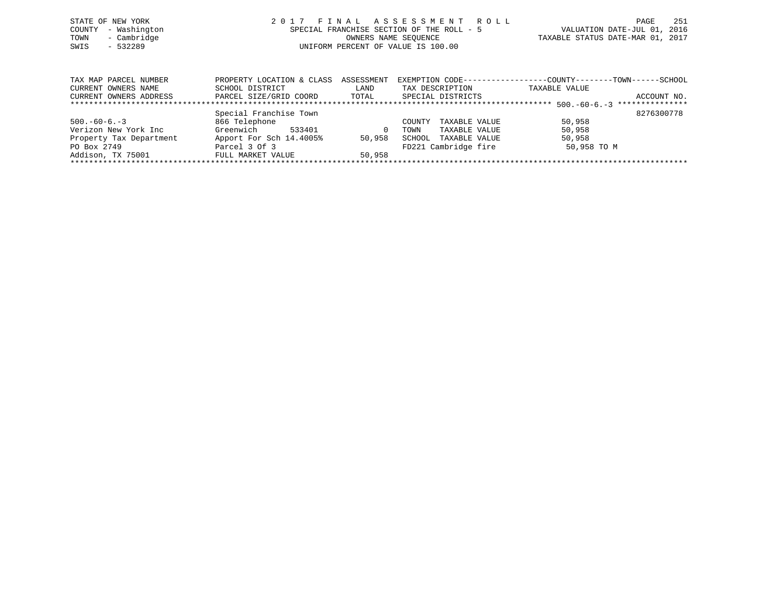|      | STATE OF NEW YORK   | 2017 FINAL ASSESSMENT ROLL                | - 251<br>PAGE                    |
|------|---------------------|-------------------------------------------|----------------------------------|
|      | COUNTY - Washington | SPECIAL FRANCHISE SECTION OF THE ROLL - 5 | VALUATION DATE-JUL 01, 2016      |
| TOWN | - Cambridge         | OWNERS NAME SEOUENCE                      | TAXABLE STATUS DATE-MAR 01, 2017 |
| SWIS | $-532289$           | UNIFORM PERCENT OF VALUE IS 100.00        |                                  |
|      |                     |                                           |                                  |
|      |                     |                                           |                                  |

| TAX MAP PARCEL NUMBER   | PROPERTY LOCATION & CLASS | ASSESSMENT | EXEMPTION CODE-----------------COUNTY-------TOWN------SCHOOL |               |                 |
|-------------------------|---------------------------|------------|--------------------------------------------------------------|---------------|-----------------|
| CURRENT OWNERS NAME     | SCHOOL DISTRICT           | LAND       | TAX DESCRIPTION                                              | TAXABLE VALUE |                 |
| CURRENT OWNERS ADDRESS  | PARCEL SIZE/GRID COORD    | TOTAL      | SPECIAL DISTRICTS                                            |               | ACCOUNT NO.     |
|                         |                           |            |                                                              |               | *************** |
|                         | Special Franchise Town    |            |                                                              |               | 8276300778      |
| $500. -60 - 6. -3$      | 866 Telephone             |            | TAXABLE VALUE<br>COUNTY                                      | 50,958        |                 |
| Verizon New York Inc    | Greenwich<br>533401       | $\Omega$   | TAXABLE VALUE<br>TOWN                                        | 50,958        |                 |
| Property Tax Department | Apport For Sch 14.4005%   | 50,958     | SCHOOL<br>TAXABLE VALUE                                      | 50,958        |                 |
| PO Box 2749             | Parcel 3 Of 3             |            | FD221 Cambridge fire                                         | 50,958 TO M   |                 |
| Addison, TX 75001       | FULL MARKET VALUE         | 50,958     |                                                              |               |                 |
|                         |                           |            |                                                              |               |                 |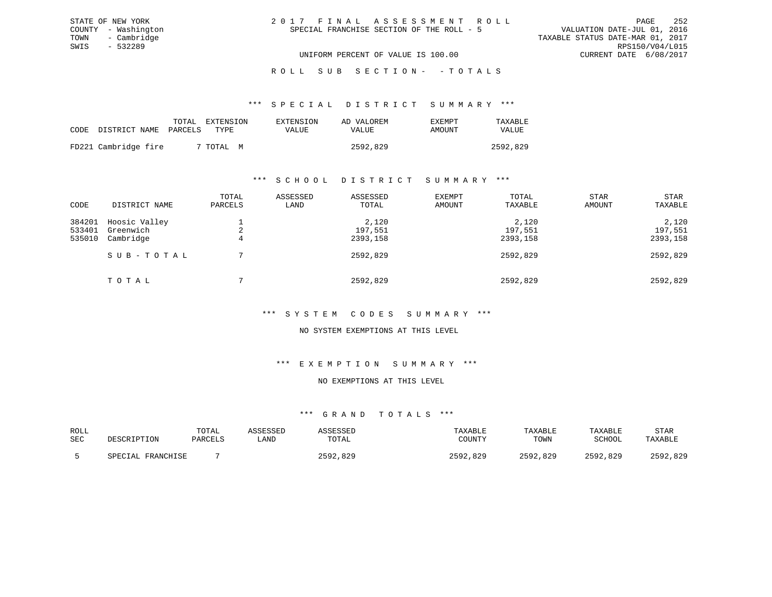| 2017 FINAL ASSESSMENT ROLL                | PAGE                             | 252 |
|-------------------------------------------|----------------------------------|-----|
| SPECIAL FRANCHISE SECTION OF THE ROLL - 5 | VALUATION DATE-JUL 01, 2016      |     |
|                                           | TAXABLE STATUS DATE-MAR 01, 2017 |     |
|                                           | RPS150/V04/L015                  |     |
| UNIFORM PERCENT OF VALUE IS 100.00        | CURRENT DATE 6/08/2017           |     |

#### \*\*\* S P E C I A L D I S T R I C T S U M M A R Y \*\*\*

|                      | TOTAL   | EXTENSION | EXTENSION | AD VALOREM | EXEMPT | TAXABLE  |
|----------------------|---------|-----------|-----------|------------|--------|----------|
| CODE DISTRICT NAME   | PARCELS | TYPE.     | VALUE     | VALUE      | AMOUNT | VALUE    |
|                      |         |           |           |            |        |          |
| FD221 Cambridge fire |         | 7 TOTAL M |           | 2592,829   |        | 2592,829 |

STATE OF NEW YORK COUNTY - Washington TOWN - Cambridge SWIS - 532289

### \*\*\* S C H O O L D I S T R I C T S U M M A R Y \*\*\*

| CODE                       | DISTRICT NAME                           | TOTAL<br>PARCELS | ASSESSED<br>LAND | ASSESSED<br>TOTAL            | EXEMPT<br>AMOUNT | TOTAL<br>TAXABLE             | STAR<br>AMOUNT | STAR<br>TAXABLE              |
|----------------------------|-----------------------------------------|------------------|------------------|------------------------------|------------------|------------------------------|----------------|------------------------------|
| 384201<br>533401<br>535010 | Hoosic Valley<br>Greenwich<br>Cambridge | 4                |                  | 2,120<br>197,551<br>2393,158 |                  | 2,120<br>197,551<br>2393,158 |                | 2,120<br>197,551<br>2393,158 |
|                            | SUB-TOTAL                               |                  |                  | 2592,829                     |                  | 2592,829                     |                | 2592,829                     |
|                            | TOTAL                                   |                  |                  | 2592,829                     |                  | 2592,829                     |                | 2592,829                     |

### \*\*\* S Y S T E M C O D E S S U M M A R Y \*\*\*

### NO SYSTEM EXEMPTIONS AT THIS LEVEL

#### \*\*\* E X E M P T I O N S U M M A R Y \*\*\*

### NO EXEMPTIONS AT THIS LEVEL

## \*\*\* G R A N D T O T A L S \*\*\*

| ROLL       | DESCRIPTION       | TOTAL   | ASSESSED | <b>ASSESSED</b> | TAXABLE  | TAXABLE  | TAXABLE  | STAR     |
|------------|-------------------|---------|----------|-----------------|----------|----------|----------|----------|
| <b>SEC</b> |                   | PARCELS | LAND     | TOTAL           | COUNTY   | TOWN     | SCHOOL   | TAXABLE  |
|            | SPECIAL FRANCHISE |         |          | 2592,829        | 2592,829 | 2592,829 | 2592,829 | 2592,829 |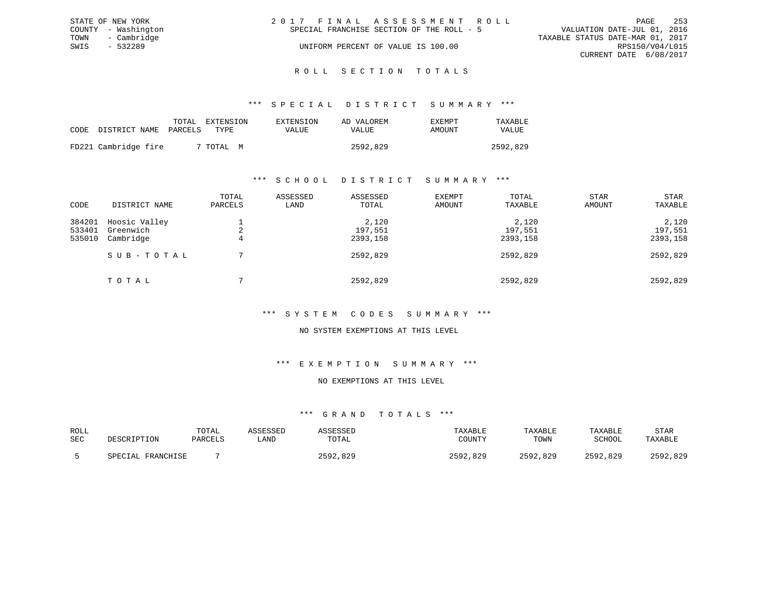|      | STATE OF NEW YORK   | 2017 FINAL ASSESSMENT ROLL                                               | PAGE            | 253 |
|------|---------------------|--------------------------------------------------------------------------|-----------------|-----|
|      | COUNTY - Washington | VALUATION DATE-JUL 01, 2016<br>SPECIAL FRANCHISE SECTION OF THE ROLL - 5 |                 |     |
|      | TOWN - Cambridge    | TAXABLE STATUS DATE-MAR 01, 2017                                         |                 |     |
| SWIS | - 532289            | UNIFORM PERCENT OF VALUE IS 100.00                                       | RPS150/V04/L015 |     |
|      |                     | CURRENT DATE 6/08/2017                                                   |                 |     |
|      |                     |                                                                          |                 |     |

### ROLL SECTION TOTALS

#### \*\*\* S P E C I A L D I S T R I C T S U M M A R Y \*\*\*

|                            | TOTAL | EXTENSION      | EXTENSION | AD VALOREM | EXEMPT | TAXABLE  |
|----------------------------|-------|----------------|-----------|------------|--------|----------|
| CODE DISTRICT NAME PARCELS |       | TYPE.          | VALUE     | VALUE      | AMOUNT | VALUE    |
| FD221 Cambridge fire       |       | 7 TOTAL .<br>M |           | 2592,829   |        | 2592,829 |

### \*\*\* S C H O O L D I S T R I C T S U M M A R Y \*\*\*

| CODE                       | DISTRICT NAME                           | TOTAL<br>PARCELS | ASSESSED<br>LAND | ASSESSED<br>TOTAL            | EXEMPT<br>AMOUNT | TOTAL<br>TAXABLE             | <b>STAR</b><br>AMOUNT | STAR<br>TAXABLE |  |
|----------------------------|-----------------------------------------|------------------|------------------|------------------------------|------------------|------------------------------|-----------------------|-----------------|--|
| 384201<br>533401<br>535010 | Hoosic Valley<br>Greenwich<br>Cambridge | ∠<br>4           |                  | 2,120<br>197,551<br>2393,158 |                  | 2,120<br>197,551<br>2393,158 |                       |                 |  |
|                            | SUB-TOTAL                               |                  |                  | 2592,829                     |                  | 2592,829                     |                       | 2592,829        |  |
|                            | TOTAL                                   |                  |                  | 2592,829                     |                  | 2592,829                     |                       | 2592,829        |  |

### \*\*\* S Y S T E M C O D E S S U M M A R Y \*\*\*

#### NO SYSTEM EXEMPTIONS AT THIS LEVEL

#### \*\*\* E X E M P T I O N S U M M A R Y \*\*\*

### NO EXEMPTIONS AT THIS LEVEL

| ROLL |                       | TOTAL   | ASSESSED | ASSESSED     | TAXABLE  | TAXABLE  | TAXABLE  | STAR     |
|------|-----------------------|---------|----------|--------------|----------|----------|----------|----------|
| SEC  | DESCRIPTION           | PARCELS | LAND     | TOTAL        | COUNTY   | TOWN     | SCHOOL   | TAXABLE  |
|      | FRANCHISE<br>SPECTAL. |         |          | 829.<br>つにQつ | 2592,829 | 2592,829 | 2592,829 | 2592,829 |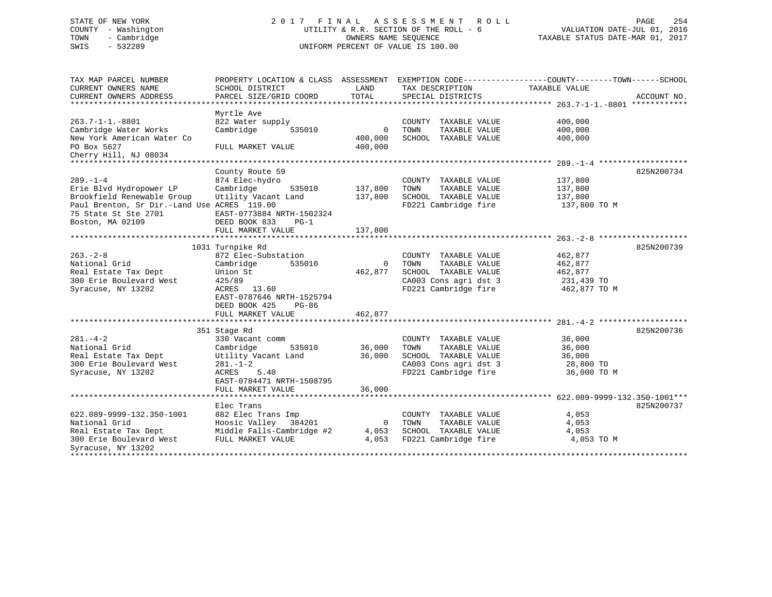### STATE OF NEW YORK 2 0 1 7 F I N A L A S S E S S M E N T R O L L PAGE 254 COUNTY - Washington UTILITY & R.R. SECTION OF THE ROLL - 6 VALUATION DATE-JUL 01, 2016 TOWN - Cambridge OWNERS NAME SEQUENCE TAXABLE STATUS DATE-MAR 01, 2017 SWIS - 532289 UNIFORM PERCENT OF VALUE IS 100.00

| SCHOOL DISTRICT<br>PARCEL SIZE/GRID COORD                                                                                                                                              | LAND<br>TOTAL                                                    | TAX DESCRIPTION<br>SPECIAL DISTRICTS                                                                                   | TAXABLE VALUE                                               | ACCOUNT NO.                                                                                     |
|----------------------------------------------------------------------------------------------------------------------------------------------------------------------------------------|------------------------------------------------------------------|------------------------------------------------------------------------------------------------------------------------|-------------------------------------------------------------|-------------------------------------------------------------------------------------------------|
| Myrtle Ave<br>822 Water supply<br>Cambridge<br>535010<br>FULL MARKET VALUE                                                                                                             | $\mathbf 0$<br>400,000<br>400,000                                | COUNTY TAXABLE VALUE<br>TOWN<br>TAXABLE VALUE<br>SCHOOL TAXABLE VALUE                                                  | 400,000<br>400,000<br>400,000                               |                                                                                                 |
|                                                                                                                                                                                        |                                                                  |                                                                                                                        |                                                             |                                                                                                 |
|                                                                                                                                                                                        |                                                                  |                                                                                                                        |                                                             | 825N200734                                                                                      |
| 874 Elec-hydro<br>Cambridge<br>535010<br>Utility Vacant Land<br>Paul Brenton, Sr Dir.-Land Use ACRES 119.00<br>EAST-0773884 NRTH-1502324<br>DEED BOOK 833<br>PG-1<br>FULL MARKET VALUE | 137,800<br>137,800<br>137,800                                    | COUNTY TAXABLE VALUE<br>TAXABLE VALUE<br>TOWN<br>SCHOOL TAXABLE VALUE<br>FD221 Cambridge fire                          | 137,800<br>137,800<br>137,800<br>137,800 TO M               |                                                                                                 |
|                                                                                                                                                                                        |                                                                  |                                                                                                                        |                                                             |                                                                                                 |
| 872 Elec-Substation<br>Cambridge<br>535010<br>Union St<br>425/89<br>ACRES 13.60<br>EAST-0787646 NRTH-1525794<br>DEED BOOK 425<br>PG-86<br>FULL MARKET VALUE                            | $\mathbf 0$<br>462,877<br>462,877                                | COUNTY TAXABLE VALUE<br>TOWN<br>TAXABLE VALUE<br>SCHOOL TAXABLE VALUE<br>CA003 Cons agri dst 3<br>FD221 Cambridge fire | 462,877<br>462,877<br>462,877<br>231,439 TO<br>462,877 TO M | 825N200739                                                                                      |
|                                                                                                                                                                                        |                                                                  |                                                                                                                        |                                                             |                                                                                                 |
| 351 Stage Rd<br>330 Vacant comm<br>535010<br>Cambridge<br>Utility Vacant Land<br>$281. - 1 - 2$<br>ACRES<br>5.40                                                                       | 36,000<br>36,000                                                 | COUNTY TAXABLE VALUE<br>TOWN<br>TAXABLE VALUE<br>SCHOOL TAXABLE VALUE<br>CA003 Cons agri dst 3<br>FD221 Cambridge fire | 36,000<br>36,000<br>36,000<br>28,800 TO<br>36,000 TO M      | 825N200736                                                                                      |
| FULL MARKET VALUE                                                                                                                                                                      | 36,000                                                           |                                                                                                                        |                                                             |                                                                                                 |
| Elec Trans<br>882 Elec Trans Imp<br>Hoosic Valley 384201<br>Middle Falls-Cambridge #2<br>FULL MARKET VALUE                                                                             | $\mathbf 0$<br>4,053<br>4,053                                    | COUNTY TAXABLE VALUE<br>TOWN<br>TAXABLE VALUE<br>SCHOOL TAXABLE VALUE<br>FD221 Cambridge fire                          | 4,053<br>4,053<br>4,053<br>4,053 TO M                       | 825N200737                                                                                      |
|                                                                                                                                                                                        | County Route 59<br>1031 Turnpike Rd<br>EAST-0784471 NRTH-1508795 |                                                                                                                        |                                                             | PROPERTY LOCATION & CLASS ASSESSMENT EXEMPTION CODE----------------COUNTY-------TOWN-----SCHOOL |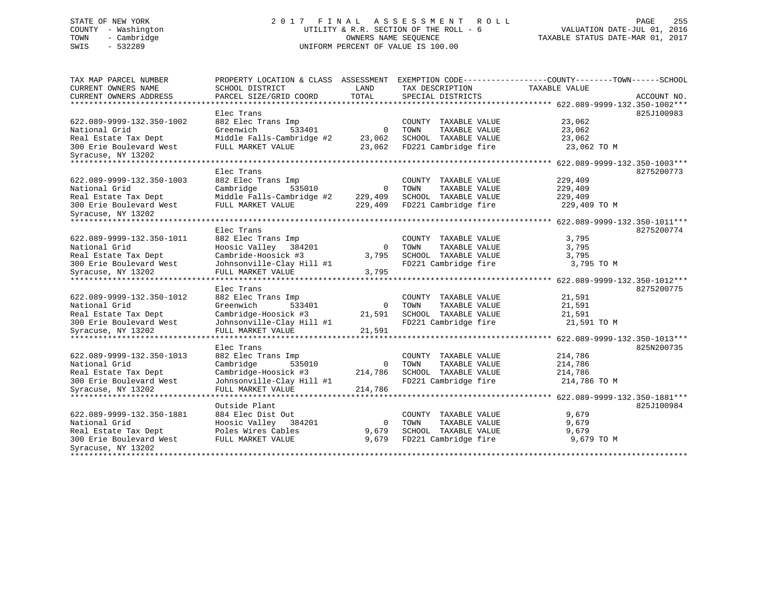### STATE OF NEW YORK 2 0 1 7 F I N A L A S S E S S M E N T R O L L PAGE 255 COUNTY - Washington UTILITY & R.R. SECTION OF THE ROLL - 6 VALUATION DATE-JUL 01, 2016 TOWN - Cambridge OWNERS NAME SEQUENCE TAXABLE STATUS DATE-MAR 01, 2017 SWIS - 532289 UNIFORM PERCENT OF VALUE IS 100.00

| TAX MAP PARCEL NUMBER<br><b>CURRENT OWNERS NAME</b> | PROPERTY LOCATION & CLASS ASSESSMENT<br>SCHOOL DISTRICT | LAND         | TAX DESCRIPTION         | EXEMPTION CODE-----------------COUNTY-------TOWN------SCHOOL<br>TAXABLE VALUE |             |
|-----------------------------------------------------|---------------------------------------------------------|--------------|-------------------------|-------------------------------------------------------------------------------|-------------|
| CURRENT OWNERS ADDRESS                              | PARCEL SIZE/GRID COORD                                  | TOTAL        | SPECIAL DISTRICTS       |                                                                               | ACCOUNT NO. |
|                                                     |                                                         |              |                         |                                                                               |             |
|                                                     | Elec Trans                                              |              |                         |                                                                               | 825J100983  |
| 622.089-9999-132.350-1002                           | 882 Elec Trans Imp                                      |              | COUNTY TAXABLE VALUE    | 23,062                                                                        |             |
| National Grid                                       | Greenwich<br>533401                                     | $\Omega$     | TOWN<br>TAXABLE VALUE   | 23,062                                                                        |             |
| Real Estate Tax Dept                                | Middle Falls-Cambridge #2                               | 23,062       | SCHOOL TAXABLE VALUE    | 23,062                                                                        |             |
| 300 Erie Boulevard West                             | FULL MARKET VALUE                                       | 23,062       | FD221 Cambridge fire    | 23,062 TO M                                                                   |             |
| Syracuse, NY 13202                                  |                                                         |              |                         |                                                                               |             |
| ************************                            |                                                         |              |                         |                                                                               |             |
|                                                     | Elec Trans                                              |              |                         |                                                                               | 8275200773  |
| 622.089-9999-132.350-1003                           | 882 Elec Trans Imp                                      |              | COUNTY TAXABLE VALUE    | 229,409                                                                       |             |
| National Grid                                       | Cambridge<br>535010                                     | $\Omega$     | TOWN<br>TAXABLE VALUE   | 229,409                                                                       |             |
| Real Estate Tax Dept                                | Middle Falls-Cambridge #2                               | 229,409      | SCHOOL TAXABLE VALUE    | 229,409                                                                       |             |
| 300 Erie Boulevard West                             | FULL MARKET VALUE                                       | 229,409      | FD221 Cambridge fire    | 229,409 TO M                                                                  |             |
| Syracuse, NY 13202                                  |                                                         |              |                         |                                                                               |             |
| ********************                                |                                                         |              |                         | ********* 622.089-9999-132.350-1011***                                        |             |
|                                                     | Elec Trans                                              |              |                         |                                                                               | 8275200774  |
| 622.089-9999-132.350-1011                           | 882 Elec Trans Imp                                      |              | TAXABLE VALUE<br>COUNTY | 3,795                                                                         |             |
| National Grid                                       | Hoosic Valley<br>384201                                 | $\mathbf 0$  | TAXABLE VALUE<br>TOWN   | 3,795                                                                         |             |
| Real Estate Tax Dept                                | Cambride-Hoosick #3                                     | 3,795        | SCHOOL TAXABLE VALUE    | 3,795                                                                         |             |
| 300 Erie Boulevard West                             | Johnsonville-Clay Hill #1                               |              | FD221 Cambridge fire    | 3,795 TO M                                                                    |             |
| Syracuse, NY 13202                                  | FULL MARKET VALUE                                       | 3,795        |                         |                                                                               |             |
|                                                     | *****************************                           |              | ***************         | *********************** 622.089-9999-132.350-1012***                          |             |
|                                                     | Elec Trans                                              |              |                         |                                                                               | 8275200775  |
| 622.089-9999-132.350-1012                           | 882 Elec Trans Imp                                      |              | COUNTY TAXABLE VALUE    | 21,591                                                                        |             |
| National Grid                                       | Greenwich<br>533401                                     | $\mathbf 0$  | TOWN<br>TAXABLE VALUE   | 21,591                                                                        |             |
| Real Estate Tax Dept                                | Cambridge-Hoosick #3                                    | 21,591       | SCHOOL TAXABLE VALUE    | 21,591                                                                        |             |
| 300 Erie Boulevard West                             | Johnsonville-Clay Hill #1                               |              | FD221 Cambridge fire    | 21,591 TO M                                                                   |             |
| Syracuse, NY 13202                                  | FULL MARKET VALUE                                       | 21,591       |                         |                                                                               |             |
| ************************                            |                                                         |              |                         |                                                                               |             |
|                                                     | Elec Trans                                              |              |                         |                                                                               | 825N200735  |
| 622.089-9999-132.350-1013                           | 882 Elec Trans Imp                                      |              | COUNTY TAXABLE VALUE    | 214,786                                                                       |             |
| National Grid                                       | Cambridge<br>535010                                     | $\mathbf{0}$ | TOWN<br>TAXABLE VALUE   | 214,786                                                                       |             |
| Real Estate Tax Dept                                | Cambridge-Hoosick #3                                    | 214,786      | SCHOOL TAXABLE VALUE    | 214,786                                                                       |             |
| 300 Erie Boulevard West                             | Johnsonville-Clay Hill #1                               |              | FD221 Cambridge fire    | 214,786 TO M                                                                  |             |
| Syracuse, NY 13202                                  | FULL MARKET VALUE                                       | 214,786      |                         |                                                                               |             |
| *********************                               | ********************                                    |              |                         |                                                                               |             |
|                                                     | Outside Plant                                           |              |                         |                                                                               | 825J100984  |
| 622.089-9999-132.350-1881                           | 884 Elec Dist Out                                       |              | COUNTY TAXABLE VALUE    | 9,679                                                                         |             |
| National Grid                                       | Hoosic Valley 384201                                    | 0            | TOWN<br>TAXABLE VALUE   | 9,679                                                                         |             |
| Real Estate Tax Dept                                | Poles Wires Cables                                      | 9,679        | TAXABLE VALUE<br>SCHOOL | 9,679                                                                         |             |
| 300 Erie Boulevard West                             | FULL MARKET VALUE                                       | 9,679        | FD221 Cambridge fire    | 9,679 TO M                                                                    |             |
| Syracuse, NY 13202                                  |                                                         |              |                         |                                                                               |             |
| ****************************                        |                                                         |              |                         |                                                                               |             |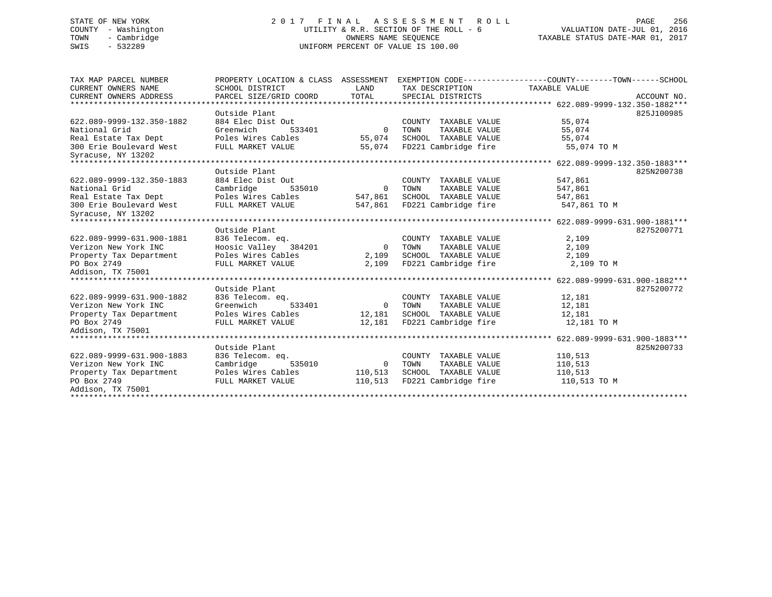### STATE OF NEW YORK 256 256 220 17 FINAL ASSESSMENT ROLL 2012 256 COUNTY - Washington UTILITY & R.R. SECTION OF THE ROLL - 6 VALUATION DATE-JUL 01, 2016 TOWN - Cambridge OWNERS NAME SEQUENCE TAXABLE STATUS DATE-MAR 01, 2017 SWIS - 532289 UNIFORM PERCENT OF VALUE IS 100.00

| TAX MAP PARCEL NUMBER     | PROPERTY LOCATION & CLASS ASSESSMENT |                |                         | EXEMPTION CODE-----------------COUNTY-------TOWN------SCHOOL |             |
|---------------------------|--------------------------------------|----------------|-------------------------|--------------------------------------------------------------|-------------|
| CURRENT OWNERS NAME       | SCHOOL DISTRICT                      | LAND           | TAX DESCRIPTION         | TAXABLE VALUE                                                |             |
| CURRENT OWNERS ADDRESS    | PARCEL SIZE/GRID COORD               | TOTAL          | SPECIAL DISTRICTS       |                                                              | ACCOUNT NO. |
|                           | Outside Plant                        |                |                         |                                                              | 825J100985  |
| 622.089-9999-132.350-1882 | 884 Elec Dist Out                    |                | COUNTY TAXABLE VALUE    | 55,074                                                       |             |
| National Grid             | Greenwich<br>533401                  | $\Omega$       | TOWN<br>TAXABLE VALUE   | 55,074                                                       |             |
| Real Estate Tax Dept      | Poles Wires Cables                   | 55,074         | SCHOOL TAXABLE VALUE    | 55,074                                                       |             |
| 300 Erie Boulevard West   | FULL MARKET VALUE                    | 55,074         | FD221 Cambridge fire    | 55,074 TO M                                                  |             |
| Syracuse, NY 13202        |                                      |                |                         |                                                              |             |
|                           |                                      |                |                         |                                                              |             |
|                           | Outside Plant                        |                |                         |                                                              | 825N200738  |
| 622.089-9999-132.350-1883 | 884 Elec Dist Out                    |                | COUNTY TAXABLE VALUE    | 547,861                                                      |             |
| National Grid             | Cambridge<br>535010                  | $\overline{0}$ | TAXABLE VALUE<br>TOWN   | 547,861                                                      |             |
| Real Estate Tax Dept      | Poles Wires Cables                   | 547,861        | SCHOOL TAXABLE VALUE    | 547,861                                                      |             |
| 300 Erie Boulevard West   | FULL MARKET VALUE                    | 547,861        | FD221 Cambridge fire    | 547,861 TO M                                                 |             |
| Syracuse, NY 13202        |                                      |                |                         |                                                              |             |
|                           |                                      |                |                         |                                                              |             |
|                           | Outside Plant                        |                |                         |                                                              | 8275200771  |
| 622.089-9999-631.900-1881 | 836 Telecom. eg.                     |                | COUNTY<br>TAXABLE VALUE | 2,109                                                        |             |
| Verizon New York INC      | Hoosic Valley 384201                 | $\Omega$       | TAXABLE VALUE<br>TOWN   | 2,109                                                        |             |
| Property Tax Department   | Poles Wires Cables                   | 2,109          | SCHOOL TAXABLE VALUE    | 2,109                                                        |             |
| PO Box 2749               | FULL MARKET VALUE                    | 2,109          | FD221 Cambridge fire    | 2,109 TO M                                                   |             |
| Addison, TX 75001         |                                      |                |                         |                                                              |             |
|                           |                                      |                |                         |                                                              |             |
|                           | Outside Plant                        |                |                         |                                                              | 8275200772  |
| 622.089-9999-631.900-1882 | 836 Telecom. eq.                     |                | COUNTY TAXABLE VALUE    | 12,181                                                       |             |
| Verizon New York INC      | Greenwich<br>533401                  | $\overline{0}$ | TAXABLE VALUE<br>TOWN   | 12,181                                                       |             |
| Property Tax Department   | Poles Wires Cables                   | 12,181         | SCHOOL TAXABLE VALUE    | 12,181                                                       |             |
| PO Box 2749               | FULL MARKET VALUE                    | 12,181         | FD221 Cambridge fire    | 12,181 TO M                                                  |             |
| Addison, TX 75001         |                                      |                |                         |                                                              |             |
|                           |                                      |                |                         |                                                              |             |
|                           | Outside Plant                        |                |                         |                                                              | 825N200733  |
| 622.089-9999-631.900-1883 | 836 Telecom. eq.                     |                | COUNTY TAXABLE VALUE    | 110,513                                                      |             |
| Verizon New York INC      | Cambridge<br>535010                  | $\overline{0}$ | TAXABLE VALUE<br>TOWN   | 110,513                                                      |             |
| Property Tax Department   | Poles Wires Cables                   | 110,513        | SCHOOL TAXABLE VALUE    | 110,513                                                      |             |
| PO Box 2749               | FULL MARKET VALUE                    | 110,513        | FD221 Cambridge fire    | 110,513 TO M                                                 |             |
| Addison, TX 75001         |                                      |                |                         |                                                              |             |
|                           |                                      |                |                         |                                                              |             |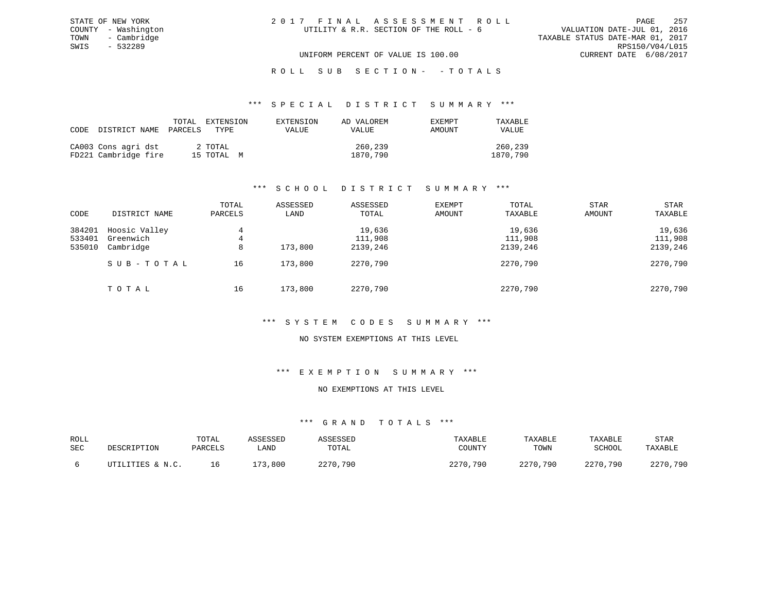## ROLL SUB SECTION - - TOTALS

#### \*\*\* S P E C I A L D I S T R I C T S U M M A R Y \*\*\*

| CODE DISTRICT NAME PARCELS                  | TOTAL | EXTENSION<br>TYPE.    | EXTENSION<br>VALUE | AD VALOREM<br>VALUE | EXEMPT<br>AMOUNT | TAXABLE<br>VALUE    |
|---------------------------------------------|-------|-----------------------|--------------------|---------------------|------------------|---------------------|
| CA003 Cons agri dst<br>FD221 Cambridge fire |       | 2 TOTAL<br>15 TOTAL M |                    | 260,239<br>1870,790 |                  | 260,239<br>1870,790 |

### \*\*\* S C H O O L D I S T R I C T S U M M A R Y \*\*\*

| CODE                       | DISTRICT NAME                           | TOTAL<br>PARCELS | ASSESSED<br>LAND | ASSESSED<br>TOTAL             | <b>EXEMPT</b><br>AMOUNT | TOTAL<br>TAXABLE              | <b>STAR</b><br>AMOUNT | <b>STAR</b><br>TAXABLE        |
|----------------------------|-----------------------------------------|------------------|------------------|-------------------------------|-------------------------|-------------------------------|-----------------------|-------------------------------|
| 384201<br>533401<br>535010 | Hoosic Valley<br>Greenwich<br>Cambridge | 4<br>4<br>8      | 173,800          | 19,636<br>111,908<br>2139,246 |                         | 19,636<br>111,908<br>2139,246 |                       | 19,636<br>111,908<br>2139,246 |
|                            | SUB-TOTAL                               | 16               | 173,800          | 2270,790                      |                         | 2270,790                      |                       | 2270,790                      |
|                            | TOTAL                                   | 16               | 173,800          | 2270,790                      |                         | 2270,790                      |                       | 2270,790                      |

### \*\*\* S Y S T E M C O D E S S U M M A R Y \*\*\*

### NO SYSTEM EXEMPTIONS AT THIS LEVEL

### \*\*\* E X E M P T I O N S U M M A R Y \*\*\*

#### NO EXEMPTIONS AT THIS LEVEL

| ROLL<br>SEC | DESCRIPTION      | TOTAL<br>PARCELS | .ccrccrr<br>∟AND | <i><b>SSESSED</b></i><br>TOTAL | TAXABLE<br>COUNT' | TAXABLE<br>TOWN | TAXABLE<br>SCHOOL | STAR<br>TAXABLE |
|-------------|------------------|------------------|------------------|--------------------------------|-------------------|-----------------|-------------------|-----------------|
|             | ITTILITIES & N C | h                | ,800<br>172      | 2270<br>.790                   | ,790<br>つつワハ      | 2270,790        | 2270,790          | 2270,790        |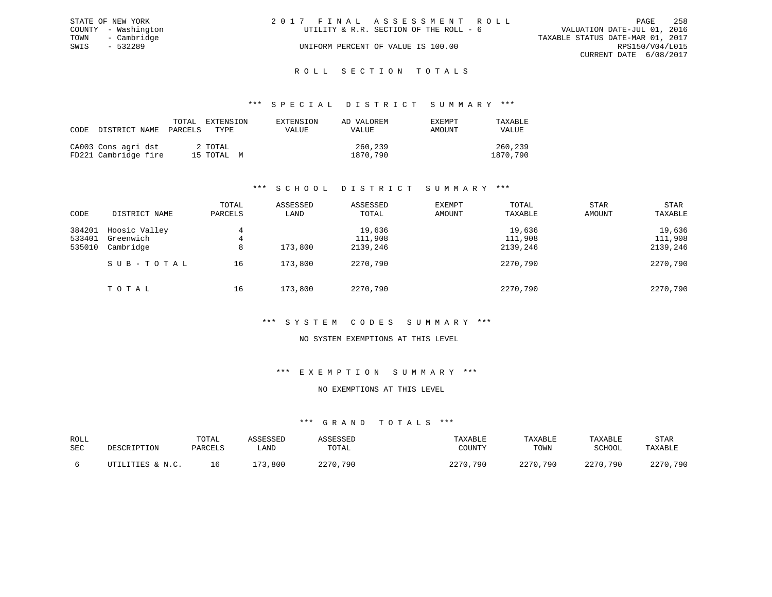|      | STATE OF NEW YORK   | 2017 FINAL ASSESSMENT ROLL             | 258<br>PAGE                      |
|------|---------------------|----------------------------------------|----------------------------------|
|      | COUNTY - Washington | UTILITY & R.R. SECTION OF THE ROLL - 6 | VALUATION DATE-JUL 01, 2016      |
| TOWN | - Cambridge         |                                        | TAXABLE STATUS DATE-MAR 01, 2017 |
| SWIS | - 532289            | UNIFORM PERCENT OF VALUE IS 100.00     | RPS150/V04/L015                  |
|      |                     |                                        | CURRENT DATE 6/08/2017           |
|      |                     |                                        |                                  |

### ROLL SECTION TOTALS

#### \*\*\* S P E C I A L D I S T R I C T S U M M A R Y \*\*\*

| CODE | DISTRICT NAME                               | TOTAL<br>PARCELS | EXTENSION<br>TYPE.    | EXTENSION<br>VALUE | AD VALOREM<br>VALUE | EXEMPT<br>AMOUNT | TAXABLE<br>VALUE    |
|------|---------------------------------------------|------------------|-----------------------|--------------------|---------------------|------------------|---------------------|
|      | CA003 Cons agri dst<br>FD221 Cambridge fire |                  | 2 TOTAL<br>15 TOTAL M |                    | 260,239<br>1870,790 |                  | 260,239<br>1870,790 |

### \*\*\* S C H O O L D I S T R I C T S U M M A R Y \*\*\*

| CODE                       | DISTRICT NAME                           | TOTAL<br>PARCELS | ASSESSED<br>LAND | ASSESSED<br>TOTAL             | <b>EXEMPT</b><br>AMOUNT | TOTAL<br>TAXABLE              | <b>STAR</b><br>AMOUNT | <b>STAR</b><br>TAXABLE        |
|----------------------------|-----------------------------------------|------------------|------------------|-------------------------------|-------------------------|-------------------------------|-----------------------|-------------------------------|
| 384201<br>533401<br>535010 | Hoosic Valley<br>Greenwich<br>Cambridge | 4<br>4<br>8      | 173,800          | 19,636<br>111,908<br>2139,246 |                         | 19,636<br>111,908<br>2139,246 |                       | 19,636<br>111,908<br>2139,246 |
|                            | SUB-TOTAL                               | 16               | 173,800          | 2270,790                      |                         | 2270,790                      |                       | 2270,790                      |
|                            | TOTAL                                   | 16               | 173,800          | 2270,790                      |                         | 2270,790                      |                       | 2270,790                      |

### \*\*\* S Y S T E M C O D E S S U M M A R Y \*\*\*

### NO SYSTEM EXEMPTIONS AT THIS LEVEL

### \*\*\* E X E M P T I O N S U M M A R Y \*\*\*

#### NO EXEMPTIONS AT THIS LEVEL

| ROLL<br>SEC | DESCRIPTION      | TOTAL<br>PARCELS | ASSESSED<br>∟AND | ASSESSED<br>TOTAL | TAXABLE<br>COUNTY | TAXABLE<br>TOWN | TAXABLE<br>SCHOOL | STAR<br>TAXABLE |
|-------------|------------------|------------------|------------------|-------------------|-------------------|-----------------|-------------------|-----------------|
|             | UTILITIES & N.C. | ΤP.              | 173,800          | 2270,790          | 2270,790          | 2270,790        | 2270,790          | 2270,790        |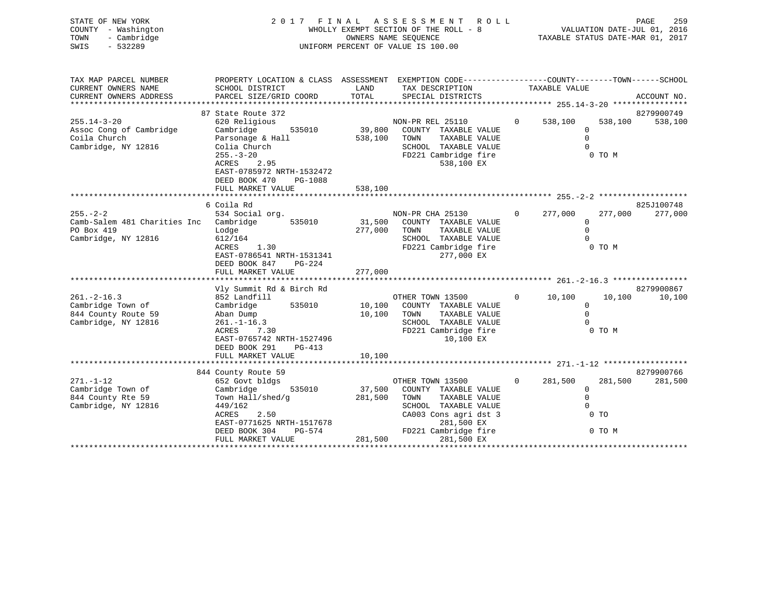| STATE OF NEW YORK<br>COUNTY - Washington<br>TOWN<br>- Cambridge<br>$-532289$<br>SWIS          | FINAL ASSESSMENT<br>2 0 1 7<br>WHOLLY EXEMPT SECTION OF THE ROLL - 8<br>UNIFORM PERCENT OF VALUE IS 100.00                                                                                      | ROLL                       | PAGE<br>259<br>VALUATION DATE-JUL 01, 2016<br>TAXABLE STATUS DATE-MAR 01, 2017                                                         |                   |                                                 |                   |                       |
|-----------------------------------------------------------------------------------------------|-------------------------------------------------------------------------------------------------------------------------------------------------------------------------------------------------|----------------------------|----------------------------------------------------------------------------------------------------------------------------------------|-------------------|-------------------------------------------------|-------------------|-----------------------|
| TAX MAP PARCEL NUMBER<br>CURRENT OWNERS NAME                                                  | PROPERTY LOCATION & CLASS ASSESSMENT EXEMPTION CODE---------------COUNTY-------TOWN-----SCHOOL<br>SCHOOL DISTRICT                                                                               | LAND                       | TAX DESCRIPTION                                                                                                                        |                   | TAXABLE VALUE                                   |                   |                       |
| CURRENT OWNERS ADDRESS                                                                        | PARCEL SIZE/GRID COORD                                                                                                                                                                          | TOTAL                      | SPECIAL DISTRICTS                                                                                                                      |                   |                                                 |                   | ACCOUNT NO.           |
|                                                                                               | 87 State Route 372                                                                                                                                                                              |                            |                                                                                                                                        |                   |                                                 |                   | 8279900749            |
| $255.14 - 3 - 20$<br>Assoc Cong of Cambridge<br>Coila Church<br>Cambridge, NY 12816           | 620 Religious<br>535010<br>Cambridge<br>Parsonage & Hall<br>Colia Church<br>$255. - 3 - 20$<br>ACRES<br>2.95<br>EAST-0785972 NRTH-1532472<br>DEED BOOK 470<br>PG-1088<br>FULL MARKET VALUE      | 538,100<br>538,100         | NON-PR REL 25110<br>39,800 COUNTY TAXABLE VALUE<br>TOWN<br>TAXABLE VALUE<br>SCHOOL TAXABLE VALUE<br>FD221 Cambridge fire<br>538,100 EX | $0 \qquad \qquad$ | 538,100<br>$\Omega$<br>$\mathbf 0$<br>$\Omega$  | 538,100<br>0 TO M | 538,100               |
|                                                                                               | 6 Coila Rd                                                                                                                                                                                      |                            |                                                                                                                                        |                   |                                                 |                   | 825J100748            |
| $255. - 2 - 2$<br>Camb-Salem 481 Charities Inc Cambridge<br>PO Box 419<br>Cambridge, NY 12816 | 534 Social org.<br>535010<br>Lodge<br>612/164<br>ACRES<br>1.30<br>EAST-0786541 NRTH-1531341<br>DEED BOOK 847<br>PG-224                                                                          | 31,500<br>277,000          | NON-PR CHA 25130<br>COUNTY TAXABLE VALUE<br>TOWN<br>TAXABLE VALUE<br>SCHOOL TAXABLE VALUE<br>FD221 Cambridge fire<br>277,000 EX        | $\overline{0}$    | 277,000<br>$\mathbf{0}$<br>$\Omega$<br>$\Omega$ | 277,000<br>0 TO M | 277,000               |
|                                                                                               | FULL MARKET VALUE                                                                                                                                                                               | 277,000                    |                                                                                                                                        |                   |                                                 |                   |                       |
|                                                                                               |                                                                                                                                                                                                 |                            |                                                                                                                                        |                   |                                                 |                   |                       |
| $261 - 2 - 16.3$<br>Cambridge Town of<br>844 County Route 59<br>Cambridge, NY 12816           | Vly Summit Rd & Birch Rd<br>852 Landfill<br>Cambridge<br>535010<br>Aban Dump<br>$261. - 1 - 16.3$<br>ACRES<br>7.30<br>EAST-0765742 NRTH-1527496<br>DEED BOOK 291<br>PG-413<br>FULL MARKET VALUE | 10,100<br>10,100<br>10,100 | OTHER TOWN 13500<br>COUNTY TAXABLE VALUE<br>TOWN<br>TAXABLE VALUE<br>SCHOOL TAXABLE VALUE<br>FD221 Cambridge fire<br>10,100 EX         | $\overline{0}$    | 10,100<br>$\mathbf{0}$<br>$\Omega$<br>$\Omega$  | 10,100<br>0 TO M  | 8279900867<br>10,100  |
|                                                                                               |                                                                                                                                                                                                 |                            |                                                                                                                                        |                   |                                                 |                   |                       |
| $271. - 1 - 12$<br>Cambridge Town of<br>844 County Rte 59                                     | 844 County Route 59<br>652 Govt bldgs<br>Cambridge<br>535010<br>Town Hall/shed/q                                                                                                                | 37,500<br>281,500          | OTHER TOWN 13500<br>COUNTY TAXABLE VALUE<br>TOWN<br>TAXABLE VALUE                                                                      | $\Omega$          | 281,500<br>0<br>$\mathbf 0$                     | 281,500           | 8279900766<br>281,500 |
| Cambridge, NY 12816                                                                           | 449/162                                                                                                                                                                                         |                            | SCHOOL TAXABLE VALUE                                                                                                                   |                   | $\Omega$                                        |                   |                       |

 $\begin{array}{cccccccccccccc} \texttt{GAP} & \texttt{GAP} & \texttt{GAP} & \texttt{GAP} & \texttt{GAP} & \texttt{GAP} & \texttt{GAP} & \texttt{GAP} & \texttt{GAP} & \texttt{GAP} & \texttt{GAP} & \texttt{GAP} & \texttt{GAP} & \texttt{GAP} & \texttt{GAP} & \texttt{GAP} & \texttt{GAP} & \texttt{GAP} & \texttt{GAP} & \texttt{GAP} & \texttt{GAP} & \texttt{GAP} & \texttt{GAP} & \texttt{GAP} & \texttt{GAP} & \texttt{GAP} & \texttt$ 

FULL MARKET VALUE 281,500 281,500 EX

\*\*\*\*\*\*\*\*\*\*\*\*\*\*\*\*\*\*\*\*\*\*\*\*\*\*\*\*\*\*\*\*\*\*\*\*\*\*\*\*\*\*\*\*\*\*\*\*\*\*\*\*\*\*\*\*\*\*\*\*\*\*\*\*\*\*\*\*\*\*\*\*\*\*\*\*\*\*\*\*\*\*\*\*\*\*\*\*\*\*\*\*\*\*\*\*\*\*\*\*\*\*\*\*\*\*\*\*\*\*\*\*\*\*\*\*\*\*\*\*\*\*\*\*\*\*\*\*\*\*\*\*

DEED BOOK 304 PG-574 FD221 Cambridge fire 0 TO M

EAST-0771625 NRTH-1517678

CA003 Cons agri dst 3<br>281,500 EX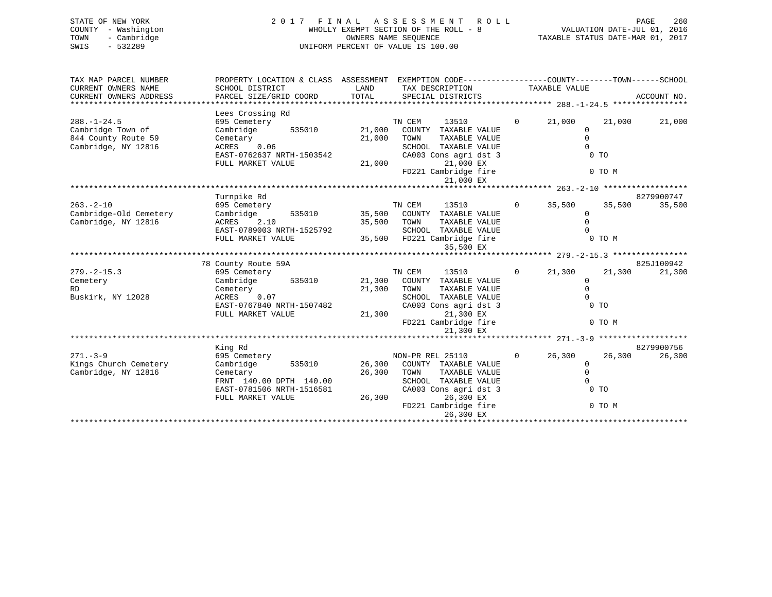| 2017 FINAL ASSESSMENT ROLL            | 260<br>PAGE                      |
|---------------------------------------|----------------------------------|
| WHOLLY EXEMPT SECTION OF THE ROLL - 8 | VALUATION DATE-JUL 01, 2016      |
| OWNERS NAME SEOUENCE                  | TAXABLE STATUS DATE-MAR 01, 2017 |
| UNIFORM PERCENT OF VALUE IS 100.00    |                                  |
|                                       |                                  |
|                                       |                                  |

| TAXABLE VALUE<br>TOTAL<br>CURRENT OWNERS ADDRESS<br>PARCEL SIZE/GRID COORD<br>ACCOUNT NO.<br>SPECIAL DISTRICTS<br>Lees Crossing Rd<br>$288. - 1 - 24.5$<br>TN CEM<br>13510<br>21,000<br>21,000<br>21,000<br>695 Cemetery<br>$\mathbf{0}$<br>Cambridge Town of<br>Cambridge<br>535010 21,000<br>COUNTY TAXABLE VALUE<br>$\Omega$<br>$\mathbf 0$<br>844 County Route 59<br>21,000<br>TOWN<br>TAXABLE VALUE<br>Cemetary<br>$ACRES$ 0.06<br>Cambridge, NY 12816<br>$\Omega$<br>SCHOOL TAXABLE VALUE<br>EAST-0762637 NRTH-1503542<br>$0$ TO<br>CA003 Cons agri dst 3<br>21,000 EX<br>FULL MARKET VALUE<br>21,000<br>FD221 Cambridge fire<br>0 TO M<br>21,000 EX<br>Turnpike Rd<br>8279900747<br>$263. - 2 - 10$<br>TN CEM<br>13510<br>35,500<br>35,500<br>695 Cemetery<br>$\Omega$<br>35,500<br>Cambridge-Old Cemetery<br>Cambridge<br>535010 35,500 COUNTY TAXABLE VALUE<br>$\mathbf{0}$<br>ACRES 2.10<br>Cambridge, NY 12816<br>35,500 TOWN<br>TAXABLE VALUE<br>$\Omega$<br>EAST-0789003 NRTH-1525792<br>SCHOOL TAXABLE VALUE<br>$\cap$<br>35,500 FD221 Cambridge fire<br>0 TO M<br>FULL MARKET VALUE<br>35,500 EX<br>825J100942<br>78 County Route 59A<br>TN CEM<br>13510<br>$279. - 2 - 15.3$<br>695 Cemetery<br>$\Omega$<br>21,300<br>21,300<br>21,300<br>Cambridge 535010 21,300 COUNTY TAXABLE VALUE<br>$\mathbf 0$<br>Cemetery<br>$\Omega$<br>Cemetery<br>21,300 TOWN<br>TAXABLE VALUE<br>RD.<br>Buskirk, NY 12028<br>ACRES 0.07<br>SCHOOL TAXABLE VALUE<br>$\Omega$<br>$0$ TO<br>EAST-0767840 NRTH-1507482<br>CA003 Cons agri dst 3<br>21,300 EX<br>FULL MARKET VALUE<br>21,300<br>FD221 Cambridge fire<br>0 TO M<br>21,300 EX<br>8279900756<br>King Rd<br>$271 - 3 - 9$<br>NON-PR REL 25110<br>$\mathbf{0}$<br>26,300<br>26,300<br>695 Cemetery<br>Cambridge 535010 26,300 COUNTY TAXABLE VALUE<br>Kings Church Cemetery<br>$\mathbf 0$<br>Cambridge, NY 12816<br>$\Omega$<br>26,300<br>TOWN<br>TAXABLE VALUE<br>Cemetary<br>FRNT 140.00 DPTH 140.00<br>$\Omega$<br>SCHOOL TAXABLE VALUE<br>$0$ TO<br>EAST-0781506 NRTH-1516581<br>CA003 Cons agri dst 3<br>26,300<br>26,300 EX<br>FULL MARKET VALUE<br>FD221 Cambridge fire<br>0 TO M<br>26,300 EX | TAX MAP PARCEL NUMBER | PROPERTY LOCATION & CLASS ASSESSMENT EXEMPTION CODE----------------COUNTY-------TOWN------SCHOOL |      |                 |  |        |
|----------------------------------------------------------------------------------------------------------------------------------------------------------------------------------------------------------------------------------------------------------------------------------------------------------------------------------------------------------------------------------------------------------------------------------------------------------------------------------------------------------------------------------------------------------------------------------------------------------------------------------------------------------------------------------------------------------------------------------------------------------------------------------------------------------------------------------------------------------------------------------------------------------------------------------------------------------------------------------------------------------------------------------------------------------------------------------------------------------------------------------------------------------------------------------------------------------------------------------------------------------------------------------------------------------------------------------------------------------------------------------------------------------------------------------------------------------------------------------------------------------------------------------------------------------------------------------------------------------------------------------------------------------------------------------------------------------------------------------------------------------------------------------------------------------------------------------------------------------------------------------------------------------------------------------------------------------------------------------------------------------------------------------------------------------------------------------------------------------------------------------------------------------|-----------------------|--------------------------------------------------------------------------------------------------|------|-----------------|--|--------|
|                                                                                                                                                                                                                                                                                                                                                                                                                                                                                                                                                                                                                                                                                                                                                                                                                                                                                                                                                                                                                                                                                                                                                                                                                                                                                                                                                                                                                                                                                                                                                                                                                                                                                                                                                                                                                                                                                                                                                                                                                                                                                                                                                          | CURRENT OWNERS NAME   | SCHOOL DISTRICT                                                                                  | LAND | TAX DESCRIPTION |  |        |
|                                                                                                                                                                                                                                                                                                                                                                                                                                                                                                                                                                                                                                                                                                                                                                                                                                                                                                                                                                                                                                                                                                                                                                                                                                                                                                                                                                                                                                                                                                                                                                                                                                                                                                                                                                                                                                                                                                                                                                                                                                                                                                                                                          |                       |                                                                                                  |      |                 |  |        |
|                                                                                                                                                                                                                                                                                                                                                                                                                                                                                                                                                                                                                                                                                                                                                                                                                                                                                                                                                                                                                                                                                                                                                                                                                                                                                                                                                                                                                                                                                                                                                                                                                                                                                                                                                                                                                                                                                                                                                                                                                                                                                                                                                          |                       |                                                                                                  |      |                 |  |        |
|                                                                                                                                                                                                                                                                                                                                                                                                                                                                                                                                                                                                                                                                                                                                                                                                                                                                                                                                                                                                                                                                                                                                                                                                                                                                                                                                                                                                                                                                                                                                                                                                                                                                                                                                                                                                                                                                                                                                                                                                                                                                                                                                                          |                       |                                                                                                  |      |                 |  |        |
|                                                                                                                                                                                                                                                                                                                                                                                                                                                                                                                                                                                                                                                                                                                                                                                                                                                                                                                                                                                                                                                                                                                                                                                                                                                                                                                                                                                                                                                                                                                                                                                                                                                                                                                                                                                                                                                                                                                                                                                                                                                                                                                                                          |                       |                                                                                                  |      |                 |  |        |
|                                                                                                                                                                                                                                                                                                                                                                                                                                                                                                                                                                                                                                                                                                                                                                                                                                                                                                                                                                                                                                                                                                                                                                                                                                                                                                                                                                                                                                                                                                                                                                                                                                                                                                                                                                                                                                                                                                                                                                                                                                                                                                                                                          |                       |                                                                                                  |      |                 |  |        |
|                                                                                                                                                                                                                                                                                                                                                                                                                                                                                                                                                                                                                                                                                                                                                                                                                                                                                                                                                                                                                                                                                                                                                                                                                                                                                                                                                                                                                                                                                                                                                                                                                                                                                                                                                                                                                                                                                                                                                                                                                                                                                                                                                          |                       |                                                                                                  |      |                 |  |        |
|                                                                                                                                                                                                                                                                                                                                                                                                                                                                                                                                                                                                                                                                                                                                                                                                                                                                                                                                                                                                                                                                                                                                                                                                                                                                                                                                                                                                                                                                                                                                                                                                                                                                                                                                                                                                                                                                                                                                                                                                                                                                                                                                                          |                       |                                                                                                  |      |                 |  |        |
|                                                                                                                                                                                                                                                                                                                                                                                                                                                                                                                                                                                                                                                                                                                                                                                                                                                                                                                                                                                                                                                                                                                                                                                                                                                                                                                                                                                                                                                                                                                                                                                                                                                                                                                                                                                                                                                                                                                                                                                                                                                                                                                                                          |                       |                                                                                                  |      |                 |  |        |
|                                                                                                                                                                                                                                                                                                                                                                                                                                                                                                                                                                                                                                                                                                                                                                                                                                                                                                                                                                                                                                                                                                                                                                                                                                                                                                                                                                                                                                                                                                                                                                                                                                                                                                                                                                                                                                                                                                                                                                                                                                                                                                                                                          |                       |                                                                                                  |      |                 |  |        |
|                                                                                                                                                                                                                                                                                                                                                                                                                                                                                                                                                                                                                                                                                                                                                                                                                                                                                                                                                                                                                                                                                                                                                                                                                                                                                                                                                                                                                                                                                                                                                                                                                                                                                                                                                                                                                                                                                                                                                                                                                                                                                                                                                          |                       |                                                                                                  |      |                 |  |        |
|                                                                                                                                                                                                                                                                                                                                                                                                                                                                                                                                                                                                                                                                                                                                                                                                                                                                                                                                                                                                                                                                                                                                                                                                                                                                                                                                                                                                                                                                                                                                                                                                                                                                                                                                                                                                                                                                                                                                                                                                                                                                                                                                                          |                       |                                                                                                  |      |                 |  |        |
|                                                                                                                                                                                                                                                                                                                                                                                                                                                                                                                                                                                                                                                                                                                                                                                                                                                                                                                                                                                                                                                                                                                                                                                                                                                                                                                                                                                                                                                                                                                                                                                                                                                                                                                                                                                                                                                                                                                                                                                                                                                                                                                                                          |                       |                                                                                                  |      |                 |  |        |
|                                                                                                                                                                                                                                                                                                                                                                                                                                                                                                                                                                                                                                                                                                                                                                                                                                                                                                                                                                                                                                                                                                                                                                                                                                                                                                                                                                                                                                                                                                                                                                                                                                                                                                                                                                                                                                                                                                                                                                                                                                                                                                                                                          |                       |                                                                                                  |      |                 |  |        |
|                                                                                                                                                                                                                                                                                                                                                                                                                                                                                                                                                                                                                                                                                                                                                                                                                                                                                                                                                                                                                                                                                                                                                                                                                                                                                                                                                                                                                                                                                                                                                                                                                                                                                                                                                                                                                                                                                                                                                                                                                                                                                                                                                          |                       |                                                                                                  |      |                 |  |        |
|                                                                                                                                                                                                                                                                                                                                                                                                                                                                                                                                                                                                                                                                                                                                                                                                                                                                                                                                                                                                                                                                                                                                                                                                                                                                                                                                                                                                                                                                                                                                                                                                                                                                                                                                                                                                                                                                                                                                                                                                                                                                                                                                                          |                       |                                                                                                  |      |                 |  |        |
|                                                                                                                                                                                                                                                                                                                                                                                                                                                                                                                                                                                                                                                                                                                                                                                                                                                                                                                                                                                                                                                                                                                                                                                                                                                                                                                                                                                                                                                                                                                                                                                                                                                                                                                                                                                                                                                                                                                                                                                                                                                                                                                                                          |                       |                                                                                                  |      |                 |  |        |
|                                                                                                                                                                                                                                                                                                                                                                                                                                                                                                                                                                                                                                                                                                                                                                                                                                                                                                                                                                                                                                                                                                                                                                                                                                                                                                                                                                                                                                                                                                                                                                                                                                                                                                                                                                                                                                                                                                                                                                                                                                                                                                                                                          |                       |                                                                                                  |      |                 |  |        |
|                                                                                                                                                                                                                                                                                                                                                                                                                                                                                                                                                                                                                                                                                                                                                                                                                                                                                                                                                                                                                                                                                                                                                                                                                                                                                                                                                                                                                                                                                                                                                                                                                                                                                                                                                                                                                                                                                                                                                                                                                                                                                                                                                          |                       |                                                                                                  |      |                 |  |        |
|                                                                                                                                                                                                                                                                                                                                                                                                                                                                                                                                                                                                                                                                                                                                                                                                                                                                                                                                                                                                                                                                                                                                                                                                                                                                                                                                                                                                                                                                                                                                                                                                                                                                                                                                                                                                                                                                                                                                                                                                                                                                                                                                                          |                       |                                                                                                  |      |                 |  |        |
|                                                                                                                                                                                                                                                                                                                                                                                                                                                                                                                                                                                                                                                                                                                                                                                                                                                                                                                                                                                                                                                                                                                                                                                                                                                                                                                                                                                                                                                                                                                                                                                                                                                                                                                                                                                                                                                                                                                                                                                                                                                                                                                                                          |                       |                                                                                                  |      |                 |  |        |
|                                                                                                                                                                                                                                                                                                                                                                                                                                                                                                                                                                                                                                                                                                                                                                                                                                                                                                                                                                                                                                                                                                                                                                                                                                                                                                                                                                                                                                                                                                                                                                                                                                                                                                                                                                                                                                                                                                                                                                                                                                                                                                                                                          |                       |                                                                                                  |      |                 |  |        |
|                                                                                                                                                                                                                                                                                                                                                                                                                                                                                                                                                                                                                                                                                                                                                                                                                                                                                                                                                                                                                                                                                                                                                                                                                                                                                                                                                                                                                                                                                                                                                                                                                                                                                                                                                                                                                                                                                                                                                                                                                                                                                                                                                          |                       |                                                                                                  |      |                 |  |        |
|                                                                                                                                                                                                                                                                                                                                                                                                                                                                                                                                                                                                                                                                                                                                                                                                                                                                                                                                                                                                                                                                                                                                                                                                                                                                                                                                                                                                                                                                                                                                                                                                                                                                                                                                                                                                                                                                                                                                                                                                                                                                                                                                                          |                       |                                                                                                  |      |                 |  |        |
|                                                                                                                                                                                                                                                                                                                                                                                                                                                                                                                                                                                                                                                                                                                                                                                                                                                                                                                                                                                                                                                                                                                                                                                                                                                                                                                                                                                                                                                                                                                                                                                                                                                                                                                                                                                                                                                                                                                                                                                                                                                                                                                                                          |                       |                                                                                                  |      |                 |  |        |
|                                                                                                                                                                                                                                                                                                                                                                                                                                                                                                                                                                                                                                                                                                                                                                                                                                                                                                                                                                                                                                                                                                                                                                                                                                                                                                                                                                                                                                                                                                                                                                                                                                                                                                                                                                                                                                                                                                                                                                                                                                                                                                                                                          |                       |                                                                                                  |      |                 |  |        |
|                                                                                                                                                                                                                                                                                                                                                                                                                                                                                                                                                                                                                                                                                                                                                                                                                                                                                                                                                                                                                                                                                                                                                                                                                                                                                                                                                                                                                                                                                                                                                                                                                                                                                                                                                                                                                                                                                                                                                                                                                                                                                                                                                          |                       |                                                                                                  |      |                 |  |        |
|                                                                                                                                                                                                                                                                                                                                                                                                                                                                                                                                                                                                                                                                                                                                                                                                                                                                                                                                                                                                                                                                                                                                                                                                                                                                                                                                                                                                                                                                                                                                                                                                                                                                                                                                                                                                                                                                                                                                                                                                                                                                                                                                                          |                       |                                                                                                  |      |                 |  |        |
|                                                                                                                                                                                                                                                                                                                                                                                                                                                                                                                                                                                                                                                                                                                                                                                                                                                                                                                                                                                                                                                                                                                                                                                                                                                                                                                                                                                                                                                                                                                                                                                                                                                                                                                                                                                                                                                                                                                                                                                                                                                                                                                                                          |                       |                                                                                                  |      |                 |  |        |
|                                                                                                                                                                                                                                                                                                                                                                                                                                                                                                                                                                                                                                                                                                                                                                                                                                                                                                                                                                                                                                                                                                                                                                                                                                                                                                                                                                                                                                                                                                                                                                                                                                                                                                                                                                                                                                                                                                                                                                                                                                                                                                                                                          |                       |                                                                                                  |      |                 |  |        |
|                                                                                                                                                                                                                                                                                                                                                                                                                                                                                                                                                                                                                                                                                                                                                                                                                                                                                                                                                                                                                                                                                                                                                                                                                                                                                                                                                                                                                                                                                                                                                                                                                                                                                                                                                                                                                                                                                                                                                                                                                                                                                                                                                          |                       |                                                                                                  |      |                 |  |        |
|                                                                                                                                                                                                                                                                                                                                                                                                                                                                                                                                                                                                                                                                                                                                                                                                                                                                                                                                                                                                                                                                                                                                                                                                                                                                                                                                                                                                                                                                                                                                                                                                                                                                                                                                                                                                                                                                                                                                                                                                                                                                                                                                                          |                       |                                                                                                  |      |                 |  | 26,300 |
|                                                                                                                                                                                                                                                                                                                                                                                                                                                                                                                                                                                                                                                                                                                                                                                                                                                                                                                                                                                                                                                                                                                                                                                                                                                                                                                                                                                                                                                                                                                                                                                                                                                                                                                                                                                                                                                                                                                                                                                                                                                                                                                                                          |                       |                                                                                                  |      |                 |  |        |
|                                                                                                                                                                                                                                                                                                                                                                                                                                                                                                                                                                                                                                                                                                                                                                                                                                                                                                                                                                                                                                                                                                                                                                                                                                                                                                                                                                                                                                                                                                                                                                                                                                                                                                                                                                                                                                                                                                                                                                                                                                                                                                                                                          |                       |                                                                                                  |      |                 |  |        |
|                                                                                                                                                                                                                                                                                                                                                                                                                                                                                                                                                                                                                                                                                                                                                                                                                                                                                                                                                                                                                                                                                                                                                                                                                                                                                                                                                                                                                                                                                                                                                                                                                                                                                                                                                                                                                                                                                                                                                                                                                                                                                                                                                          |                       |                                                                                                  |      |                 |  |        |
|                                                                                                                                                                                                                                                                                                                                                                                                                                                                                                                                                                                                                                                                                                                                                                                                                                                                                                                                                                                                                                                                                                                                                                                                                                                                                                                                                                                                                                                                                                                                                                                                                                                                                                                                                                                                                                                                                                                                                                                                                                                                                                                                                          |                       |                                                                                                  |      |                 |  |        |
|                                                                                                                                                                                                                                                                                                                                                                                                                                                                                                                                                                                                                                                                                                                                                                                                                                                                                                                                                                                                                                                                                                                                                                                                                                                                                                                                                                                                                                                                                                                                                                                                                                                                                                                                                                                                                                                                                                                                                                                                                                                                                                                                                          |                       |                                                                                                  |      |                 |  |        |
|                                                                                                                                                                                                                                                                                                                                                                                                                                                                                                                                                                                                                                                                                                                                                                                                                                                                                                                                                                                                                                                                                                                                                                                                                                                                                                                                                                                                                                                                                                                                                                                                                                                                                                                                                                                                                                                                                                                                                                                                                                                                                                                                                          |                       |                                                                                                  |      |                 |  |        |
|                                                                                                                                                                                                                                                                                                                                                                                                                                                                                                                                                                                                                                                                                                                                                                                                                                                                                                                                                                                                                                                                                                                                                                                                                                                                                                                                                                                                                                                                                                                                                                                                                                                                                                                                                                                                                                                                                                                                                                                                                                                                                                                                                          |                       |                                                                                                  |      |                 |  |        |
|                                                                                                                                                                                                                                                                                                                                                                                                                                                                                                                                                                                                                                                                                                                                                                                                                                                                                                                                                                                                                                                                                                                                                                                                                                                                                                                                                                                                                                                                                                                                                                                                                                                                                                                                                                                                                                                                                                                                                                                                                                                                                                                                                          |                       |                                                                                                  |      |                 |  |        |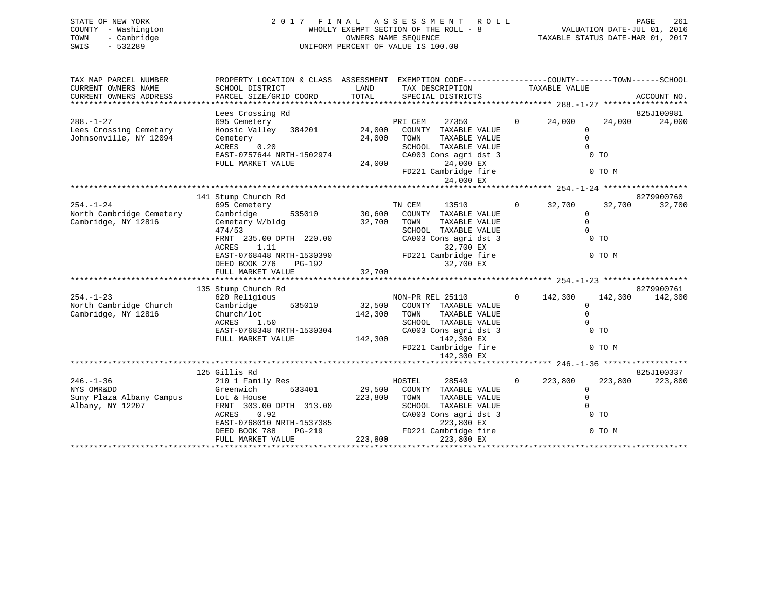| STATE OF NEW YORK   | 2017 FINAL ASSESSMENT ROLL            | 261<br>PAGE                      |
|---------------------|---------------------------------------|----------------------------------|
| COUNTY - Washington | WHOLLY EXEMPT SECTION OF THE ROLL - 8 | VALUATION DATE-JUL 01, 2016      |
| - Cambridge<br>TOWN | OWNERS NAME SEOUENCE                  | TAXABLE STATUS DATE-MAR 01, 2017 |
| SWIS<br>- 532289    | UNIFORM PERCENT OF VALUE IS 100.00    |                                  |
|                     |                                       |                                  |

| TAX MAP PARCEL NUMBER                                                | PROPERTY LOCATION & CLASS ASSESSMENT EXEMPTION CODE----------------COUNTY-------TOWN------SCHOOL                                                    |              |                                                  |                   |                                                                                                                                                                                                                                    |                      |
|----------------------------------------------------------------------|-----------------------------------------------------------------------------------------------------------------------------------------------------|--------------|--------------------------------------------------|-------------------|------------------------------------------------------------------------------------------------------------------------------------------------------------------------------------------------------------------------------------|----------------------|
|                                                                      |                                                                                                                                                     |              |                                                  |                   |                                                                                                                                                                                                                                    |                      |
|                                                                      |                                                                                                                                                     |              |                                                  |                   |                                                                                                                                                                                                                                    |                      |
|                                                                      |                                                                                                                                                     |              |                                                  |                   |                                                                                                                                                                                                                                    | 825J100981           |
| $288. - 1 - 27$                                                      |                                                                                                                                                     |              |                                                  |                   | 24,000                                                                                                                                                                                                                             | 24,000               |
| Lees Crossing Cemetary                                               |                                                                                                                                                     |              |                                                  |                   |                                                                                                                                                                                                                                    |                      |
| Johnsonville, NY 12094                                               | Cemetery                                                                                                                                            | 24,000 TOWN  | TAXABLE VALUE                                    |                   | $\overline{0}$                                                                                                                                                                                                                     |                      |
|                                                                      | ACRES 0.20                                                                                                                                          |              | SCHOOL TAXABLE VALUE                             |                   | $\Omega$                                                                                                                                                                                                                           |                      |
|                                                                      | EAST-0757644 NRTH-1502974 CAO(<br>FULL MARKET VALUE 24,000                                                                                          |              | CA003 Cons agri dst 3                            |                   | <b>CONTROL</b>                                                                                                                                                                                                                     |                      |
|                                                                      |                                                                                                                                                     |              | 24,000 EX                                        |                   |                                                                                                                                                                                                                                    |                      |
|                                                                      |                                                                                                                                                     |              | FD221 Cambridge fire                             |                   | 0 TO M                                                                                                                                                                                                                             |                      |
|                                                                      |                                                                                                                                                     |              | 24,000 EX                                        |                   |                                                                                                                                                                                                                                    |                      |
|                                                                      |                                                                                                                                                     |              |                                                  |                   |                                                                                                                                                                                                                                    |                      |
| $254. - 1 - 24$                                                      | 141 Stump Church Rd<br>695 Cemetery                                                                                                                 |              | TN CEM<br>13510                                  |                   | $0 \t 32,700$<br>32,700                                                                                                                                                                                                            | 8279900760<br>32,700 |
|                                                                      | Cambridge                                                                                                                                           |              | $\frac{1}{2}$ 535010 30,600 COUNTY TAXABLE VALUE |                   | $\overline{0}$                                                                                                                                                                                                                     |                      |
| North Cambridge Cemetery<br>Cambridge, NY 12816                      |                                                                                                                                                     |              | TAXABLE VALUE                                    |                   | $\mathbf 0$                                                                                                                                                                                                                        |                      |
|                                                                      | Cemetary W/bldg 32,700 TOWN<br>474/53                                                                                                               |              | SCHOOL TAXABLE VALUE                             |                   | $\Omega$                                                                                                                                                                                                                           |                      |
|                                                                      | FRNT 235.00 DPTH 220.00                                                                                                                             |              | CA003 Cons agri dst 3                            |                   | <u>Design to</u> the control of the control of the control of the control of the control of the control of the control of the control of the control of the control of the control of the control of the control of the control of |                      |
|                                                                      |                                                                                                                                                     |              | 32,700 EX                                        |                   |                                                                                                                                                                                                                                    |                      |
|                                                                      | ACRES 1.11 32,700 EX<br>EAST-0768448 NRTH-1530390 FD221 Cambridge fire<br>DEED BOOK 276 PG-192                                                      |              |                                                  |                   | $0$ TO M                                                                                                                                                                                                                           |                      |
|                                                                      |                                                                                                                                                     |              |                                                  |                   |                                                                                                                                                                                                                                    |                      |
|                                                                      |                                                                                                                                                     |              |                                                  |                   |                                                                                                                                                                                                                                    |                      |
|                                                                      |                                                                                                                                                     |              |                                                  |                   |                                                                                                                                                                                                                                    |                      |
|                                                                      | 135 Stump Church Rd                                                                                                                                 |              |                                                  |                   |                                                                                                                                                                                                                                    | 8279900761           |
| $254. - 1 - 23$                                                      |                                                                                                                                                     |              |                                                  |                   | $0 \t 142,300$<br>142,300                                                                                                                                                                                                          | 142,300              |
| North Cambridge Church                                               | Stump Church Ku<br>620 Religious MON-PR REL 25110 0 142,300<br>Cambridge 535010 32,500 COUNTY TAXABLE VALUE                                         |              |                                                  |                   | $\Omega$                                                                                                                                                                                                                           |                      |
| Cambridge, NY 12816                                                  |                                                                                                                                                     |              |                                                  |                   | $\overline{0}$                                                                                                                                                                                                                     |                      |
|                                                                      | 1.50<br>ACRES                                                                                                                                       |              | SCHOOL TAXABLE VALUE                             |                   | $\Omega$                                                                                                                                                                                                                           |                      |
|                                                                      | EAST-0768348 NRTH-1530304                                                                                                                           |              | CA003 Cons agri dst 3                            |                   | $0$ TO                                                                                                                                                                                                                             |                      |
|                                                                      | FULL MARKET VALUE                                                                                                                                   |              | 142,300 142,300 EX                               |                   |                                                                                                                                                                                                                                    |                      |
|                                                                      |                                                                                                                                                     |              | FD221 Cambridge fire                             |                   | 0 TO M                                                                                                                                                                                                                             |                      |
|                                                                      |                                                                                                                                                     |              | 142,300 EX                                       |                   |                                                                                                                                                                                                                                    |                      |
|                                                                      |                                                                                                                                                     |              |                                                  |                   |                                                                                                                                                                                                                                    |                      |
|                                                                      | 125 Gillis Rd                                                                                                                                       | HOSTEL       |                                                  |                   |                                                                                                                                                                                                                                    | 825J100337           |
| $246. - 1 - 36$                                                      | 210 1 Family Res<br>STO T Famil<br>Greenwich                                                                                                        |              | 28540                                            | $0 \qquad \qquad$ | 223,800<br>223,800                                                                                                                                                                                                                 | 223,800              |
| NYS OMRⅅ                                                             | 533401                                                                                                                                              |              | 29,500 COUNTY TAXABLE VALUE<br>TAXABLE VALUE     |                   | $\mathbf{0}$<br>$\Omega$                                                                                                                                                                                                           |                      |
| Suny Plaza Albany Campus Lot & House<br>Albany, NY 12207 FRNT 303.00 | LOC & HOUSE<br>FRNT 303.00 DPTH 313.00                                                                                                              | 223,800 TOWN | SCHOOL TAXABLE VALUE                             |                   | $\Omega$                                                                                                                                                                                                                           |                      |
|                                                                      | ACRES 0.92                                                                                                                                          |              | CA003 Cons agri dst 3                            |                   | 0 <sub>T</sub>                                                                                                                                                                                                                     |                      |
|                                                                      |                                                                                                                                                     |              |                                                  |                   |                                                                                                                                                                                                                                    |                      |
|                                                                      |                                                                                                                                                     |              |                                                  |                   |                                                                                                                                                                                                                                    |                      |
|                                                                      | EAST-0768010 NRTH-1537385<br>DEED BOOK 788 PG-219<br>FULL MARKET VALUE 223,800 EX<br>PG-219 PD221 Cambridge fire 0 TO M<br>223,800 EX<br>223,800 EX |              |                                                  |                   |                                                                                                                                                                                                                                    |                      |
|                                                                      |                                                                                                                                                     |              |                                                  |                   |                                                                                                                                                                                                                                    |                      |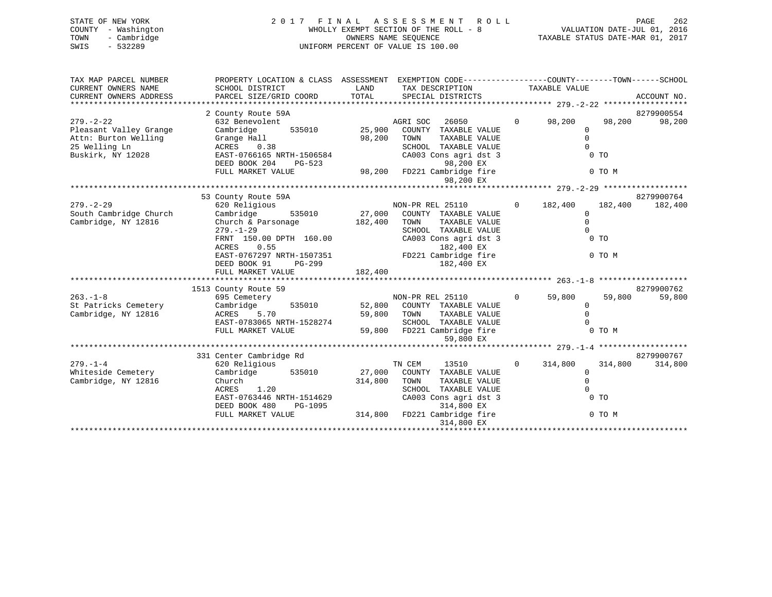|      | STATE OF NEW YORK   | 2017 FINAL ASSESSMENT ROLL                                           | PAGE | -262 |
|------|---------------------|----------------------------------------------------------------------|------|------|
|      | COUNTY - Washington | VALUATION DATE-JUL 01, 2016<br>WHOLLY EXEMPT SECTION OF THE ROLL - 8 |      |      |
| TOWN | - Cambridge         | TAXABLE STATUS DATE-MAR 01, 2017<br>OWNERS NAME SEOUENCE             |      |      |
| SWIS | $-532289$           | UNIFORM PERCENT OF VALUE IS 100.00                                   |      |      |
|      |                     |                                                                      |      |      |
|      |                     |                                                                      |      |      |

| TAX MAP PARCEL NUMBER<br>CURRENT OWNERS NAME<br>CURRENT OWNERS ADDRESS                                  | PROPERTY LOCATION & CLASS ASSESSMENT EXEMPTION CODE---------------COUNTY-------TOWN-----SCHOOL<br>SCHOOL DISTRICT<br>PARCEL SIZE/GRID COORD TOTAL SPECIAL DISTRICTS                                                                                                               | LAND               | TAX DESCRIPTION TAXABLE VALUE                                                                                                                                                                  |                                                           |                                     | ACCOUNT NO.           |
|---------------------------------------------------------------------------------------------------------|-----------------------------------------------------------------------------------------------------------------------------------------------------------------------------------------------------------------------------------------------------------------------------------|--------------------|------------------------------------------------------------------------------------------------------------------------------------------------------------------------------------------------|-----------------------------------------------------------|-------------------------------------|-----------------------|
| $279. - 2 - 22$<br>Pleasant Valley Grange<br>Attn: Burton Welling<br>25 Welling Ln<br>Buskirk, NY 12028 | 2 County Route 59A<br>Grange Hall<br>ACRES 0.38<br>EAST-0766165 NRTH-1506584<br>DEED BOOK 204<br>PG-523<br>FULL MARKET VALUE                                                                                                                                                      | 98,200             | $\overline{0}$<br>TOWN<br>TAXABLE VALUE<br>SCHOOL TAXABLE VALUE<br>CA003 Cons agri dst 3<br>98,200 EX<br>98,200 FD221 Cambridge fire<br>98,200 EX                                              | 98,200<br>$\Omega$<br>$\Omega$<br>$\Omega$                | 98,200<br>0 <sub>T</sub><br>0 TO M  | 8279900554<br>98,200  |
|                                                                                                         |                                                                                                                                                                                                                                                                                   |                    |                                                                                                                                                                                                |                                                           |                                     |                       |
| $279. - 2 - 29$<br>South Cambridge Church<br>Cambridge, NY 12816                                        | 53 County Route 59A<br>620 Religious<br>535010 27,000<br>Cambridge<br>Church & Parsonage<br>$279. - 1 - 29$<br>FRNT 150.00 DPTH 160.00<br>ACRES<br>0.55<br>ACRES 0.55 182,400 EX<br>EAST-0767297 NRTH-1507351 FD221 Cambridge fire<br>PG-299<br>DEED BOOK 91<br>FULL MARKET VALUE | 182,400<br>182,400 | NON-PR REL 25110<br>COUNTY TAXABLE VALUE<br>TAXABLE VALUE<br>TOWN<br>SCHOOL TAXABLE VALUE<br>CA003 Cons agri dst 3<br>182,400 EX<br>182,400 EX                                                 | $0 \t 182,400$<br>$\mathbf 0$<br>$\mathbf 0$<br>$\Omega$  | 182,400<br>0 <sub>T</sub><br>0 TO M | 8279900764<br>182,400 |
|                                                                                                         |                                                                                                                                                                                                                                                                                   |                    |                                                                                                                                                                                                |                                                           |                                     | 8279900762            |
| $263. -1 - 8$<br>St Patricks Cemetery<br>Cambridge, NY 12816                                            | 1513 County Route 59<br>695 Cemetery<br>Cambridge<br>ACRES 5.70<br>EAST-0783065 NRTH-1528274<br>FULL MARKET VALUE 59,800                                                                                                                                                          | 59,800 TOWN        | NON-PR REL 25110 0 59,800<br>535010 52,800 COUNTY TAXABLE VALUE<br>TAXABLE VALUE<br>59,800 TOWN TAXABLE VALUE 0<br>SCHOOL TAXABLE VALUE 0<br>59,800 FD221 Cambridge fire 0 0 TO M<br>59,800 EX | $\Omega$<br>$\mathbf 0$                                   | 59,800                              | 59,800                |
|                                                                                                         | 331 Center Cambridge Rd                                                                                                                                                                                                                                                           |                    |                                                                                                                                                                                                |                                                           |                                     | 8279900767            |
| $279. - 1 - 4$<br>Whiteside Cemetery<br>Cambridge, NY 12816                                             | 620 Religious<br>Cambridge 535010<br>Church<br>1.20<br>ACRES<br>EAST-0763446 NRTH-1514629<br>DEED BOOK 480<br>PG-1095<br>FULL MARKET VALUE                                                                                                                                        | 314,800            | TN CEM<br>13510<br>27,000 COUNTY TAXABLE VALUE<br>TOWN<br>TAXABLE VALUE<br>SCHOOL TAXABLE VALUE<br>CA003 Cons agri dst 3<br>314,800 EX<br>314,800 FD221 Cambridge fire<br>314,800 EX           | $0 \t 314,800$<br>$\mathbf{0}$<br>$\mathbb O$<br>$\Omega$ | 314,800<br>0 <sub>T</sub><br>0 TO M | 314,800               |
|                                                                                                         |                                                                                                                                                                                                                                                                                   |                    |                                                                                                                                                                                                |                                                           |                                     |                       |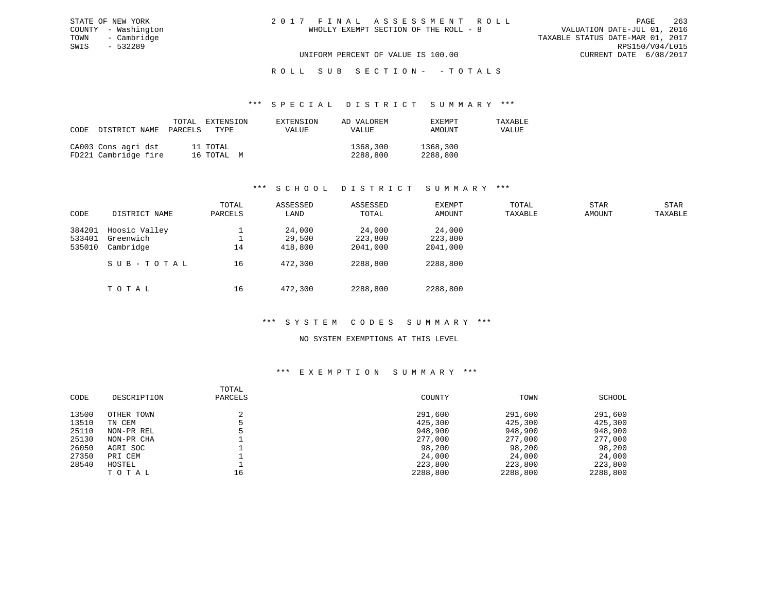VALUATION DATE-JUL 01, 2016 TAXABLE STATUS DATE-MAR 01, 2017<br>RPS150/V04/L015 UNIFORM PERCENT OF VALUE IS 100.00 CURRENT DATE 6/08/2017

### ROLL SUB SECTION - - TOTALS

#### \*\*\* S P E C I A L D I S T R I C T S U M M A R Y \*\*\*

| CODE | DISTRICT NAME                               | TOTAL<br>PARCELS | EXTENSION<br>TYPE      | EXTENSION<br>VALUE | AD VALOREM<br>VALUE  | EXEMPT<br>AMOUNT     | TAXABLE<br>VALUE |
|------|---------------------------------------------|------------------|------------------------|--------------------|----------------------|----------------------|------------------|
|      | CA003 Cons agri dst<br>FD221 Cambridge fire |                  | 11 TOTAL<br>16 TOTAL M |                    | 1368,300<br>2288,800 | 1368,300<br>2288,800 |                  |

### \*\*\* S C H O O L D I S T R I C T S U M M A R Y \*\*\*

| CODE                       | DISTRICT NAME                           | TOTAL<br>PARCELS | ASSESSED<br>LAND            | ASSESSED<br>TOTAL             | EXEMPT<br>AMOUNT              | TOTAL<br>TAXABLE | <b>STAR</b><br>AMOUNT | STAR<br>TAXABLE |
|----------------------------|-----------------------------------------|------------------|-----------------------------|-------------------------------|-------------------------------|------------------|-----------------------|-----------------|
| 384201<br>533401<br>535010 | Hoosic Valley<br>Greenwich<br>Cambridge | 14               | 24,000<br>29,500<br>418,800 | 24,000<br>223,800<br>2041,000 | 24,000<br>223,800<br>2041,000 |                  |                       |                 |
|                            | SUB-TOTAL<br>TOTAL                      | 16<br>16         | 472,300<br>472,300          | 2288,800<br>2288,800          | 2288,800<br>2288,800          |                  |                       |                 |

### \*\*\* S Y S T E M C O D E S S U M M A R Y \*\*\*

### NO SYSTEM EXEMPTIONS AT THIS LEVEL

| CODE  | DESCRIPTION | TOTAL<br>PARCELS | COUNTY   | TOWN     | SCHOOL   |
|-------|-------------|------------------|----------|----------|----------|
| 13500 | OTHER TOWN  |                  | 291,600  | 291,600  | 291,600  |
| 13510 | TN CEM      |                  | 425,300  | 425,300  | 425,300  |
| 25110 | NON-PR REL  |                  | 948,900  | 948,900  | 948,900  |
| 25130 | NON-PR CHA  |                  | 277,000  | 277,000  | 277,000  |
| 26050 | AGRI SOC    |                  | 98,200   | 98,200   | 98,200   |
| 27350 | PRI CEM     |                  | 24,000   | 24,000   | 24,000   |
| 28540 | HOSTEL      |                  | 223,800  | 223,800  | 223,800  |
|       | TOTAL       | 16               | 2288,800 | 2288,800 | 2288,800 |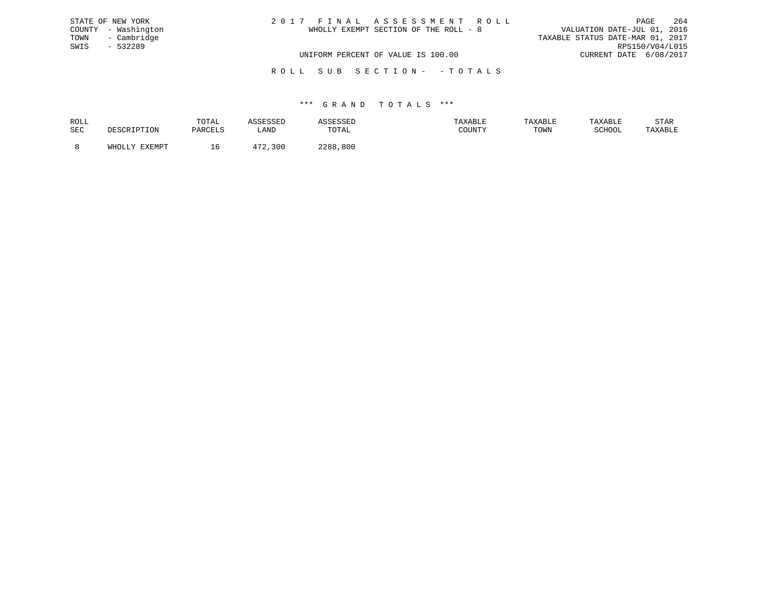| STATE OF NEW YORK   | 2017 FINAL ASSESSMENT ROLL            | 264<br>PAGE                      |
|---------------------|---------------------------------------|----------------------------------|
| COUNTY - Washington | WHOLLY EXEMPT SECTION OF THE ROLL - 8 | VALUATION DATE-JUL 01, 2016      |
| TOWN - Cambridge    |                                       | TAXABLE STATUS DATE-MAR 01, 2017 |
| SWIS<br>- 532289    |                                       | RPS150/V04/L015                  |
|                     | UNIFORM PERCENT OF VALUE IS 100.00    | CURRENT DATE 6/08/2017           |
|                     |                                       |                                  |

R O L L S U B S E C T I O N - - T O T A L S

| ROLL |               | TOTAL     |      |             | AXABLF | <b>TAXABLE</b> |               | STAR    |
|------|---------------|-----------|------|-------------|--------|----------------|---------------|---------|
| SEC  | . ⊥∪⊥∖        | ם דסום מח | LAND | TOTAL       | COUNTY | TOWN           | <b>RCHOOL</b> | 'AXABLE |
|      | <b>EVEMDT</b> |           |      | 0 מר<br>800 |        |                |               |         |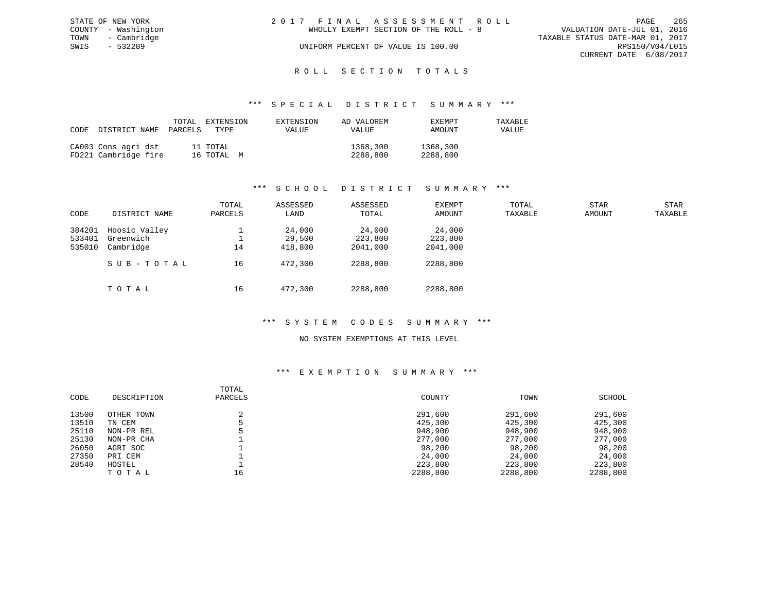|      | STATE OF NEW YORK   | 2017 FINAL ASSESSMENT ROLL |                                       |                                  | PAGE                   | -265 |
|------|---------------------|----------------------------|---------------------------------------|----------------------------------|------------------------|------|
|      | COUNTY - Washington |                            | WHOLLY EXEMPT SECTION OF THE ROLL - 8 | VALUATION DATE-JUL 01, 2016      |                        |      |
| TOWN | - Cambridge         |                            |                                       | TAXABLE STATUS DATE-MAR 01, 2017 |                        |      |
| SWIS | - 532289            |                            | UNIFORM PERCENT OF VALUE IS 100.00    |                                  | RPS150/V04/L015        |      |
|      |                     |                            |                                       |                                  | CURRENT DATE 6/08/2017 |      |
|      |                     |                            |                                       |                                  |                        |      |

### ROLL SECTION TOTALS

#### \*\*\* S P E C I A L D I S T R I C T S U M M A R Y \*\*\*

| CODE | DISTRICT NAME                               | TOTAL<br>PARCELS | EXTENSION<br>TYPE      | EXTENSION<br>VALUE | AD VALOREM<br>VALUE  | EXEMPT<br>AMOUNT     | TAXABLE<br>VALUE |
|------|---------------------------------------------|------------------|------------------------|--------------------|----------------------|----------------------|------------------|
|      | CA003 Cons agri dst<br>FD221 Cambridge fire |                  | 11 TOTAL<br>16 TOTAL M |                    | 1368,300<br>2288,800 | 1368,300<br>2288,800 |                  |

### \*\*\* S C H O O L D I S T R I C T S U M M A R Y \*\*\*

| CODE             | DISTRICT NAME              | TOTAL<br>PARCELS | ASSESSED<br>LAND | ASSESSED<br>TOTAL | EXEMPT<br>AMOUNT  | TOTAL<br>TAXABLE | <b>STAR</b><br>AMOUNT | STAR<br>TAXABLE |
|------------------|----------------------------|------------------|------------------|-------------------|-------------------|------------------|-----------------------|-----------------|
| 384201<br>533401 | Hoosic Valley<br>Greenwich |                  | 24,000<br>29,500 | 24,000<br>223,800 | 24,000<br>223,800 |                  |                       |                 |
| 535010           | Cambridge                  | 14               | 418,800          | 2041,000          | 2041,000          |                  |                       |                 |
|                  | SUB-TOTAL                  | 16               | 472,300          | 2288,800          | 2288,800          |                  |                       |                 |
|                  | TOTAL                      | 16               | 472,300          | 2288,800          | 2288,800          |                  |                       |                 |

### \*\*\* S Y S T E M C O D E S S U M M A R Y \*\*\*

#### NO SYSTEM EXEMPTIONS AT THIS LEVEL

|       |             | TOTAL   |          |          |          |
|-------|-------------|---------|----------|----------|----------|
| CODE  | DESCRIPTION | PARCELS | COUNTY   | TOWN     | SCHOOL   |
| 13500 | OTHER TOWN  |         | 291,600  | 291,600  | 291,600  |
| 13510 | TN CEM      |         | 425,300  | 425,300  | 425,300  |
| 25110 | NON-PR REL  |         | 948,900  | 948,900  | 948,900  |
| 25130 | NON-PR CHA  |         | 277,000  | 277,000  | 277,000  |
| 26050 | AGRI SOC    |         | 98,200   | 98,200   | 98,200   |
| 27350 | PRI CEM     |         | 24,000   | 24,000   | 24,000   |
| 28540 | HOSTEL      |         | 223,800  | 223,800  | 223,800  |
|       | TOTAL       | 16      | 2288,800 | 2288,800 | 2288,800 |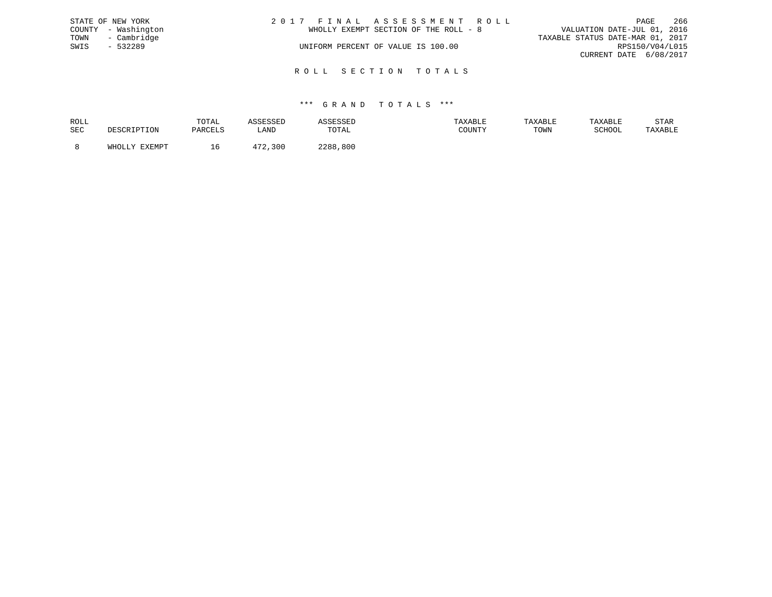|      | STATE OF NEW YORK   | 2017 FINAL ASSESSMENT ROLL            | - 266<br>PAGE                    |
|------|---------------------|---------------------------------------|----------------------------------|
|      | COUNTY - Washington | WHOLLY EXEMPT SECTION OF THE ROLL - 8 | VALUATION DATE-JUL 01, 2016      |
|      | TOWN - Cambridge    |                                       | TAXABLE STATUS DATE-MAR 01, 2017 |
| SWIS | - 532289            | UNIFORM PERCENT OF VALUE IS 100.00    | RPS150/V04/L015                  |
|      |                     |                                       | CURRENT DATE 6/08/2017           |
|      |                     |                                       |                                  |

R O L L S E C T I O N T O T A L S

| ROLL | ד גידו∩יד<br>UIAL |         |               | <b><i>FAXABLE</i></b> | TAXABLE | דם היא היד | STAR    |
|------|-------------------|---------|---------------|-----------------------|---------|------------|---------|
| SEC  | DARCEL'           | LANI    | ™∩ጥ∆<br>TATAT | COUNTY                | TOWN    | COUOOT     | TAXABLE |
|      |                   | $1 - 1$ | 0 ס ר ר       |                       |         |            |         |
|      | ⊥o                |         | 800           |                       |         |            |         |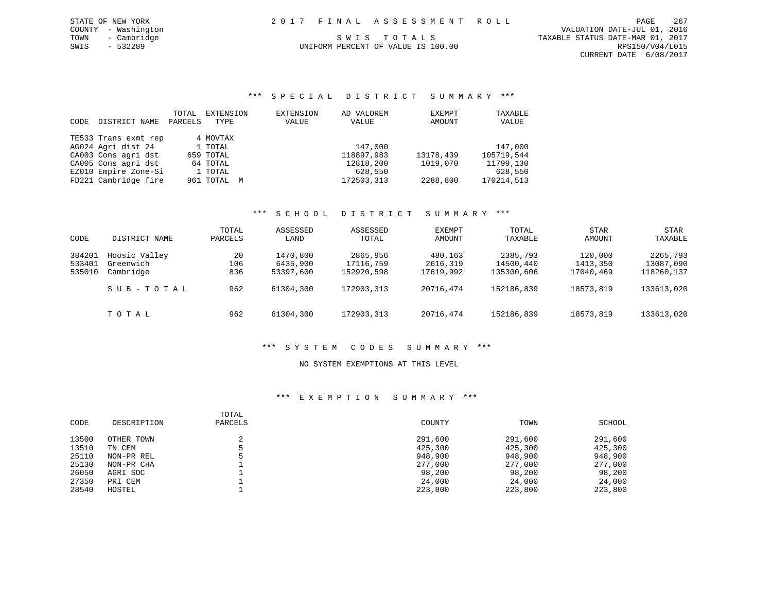COUNTY - Washington VALUATION DATE-JUL 01, 2016 TOWN - Cambridge TOWN - Cambridge S W I S T O T A L S TOO TO TOWN - CAMBLE STATUS DATE-MAR 01, 2017<br>SWIS - 532289 SWIS - 532289 CURRENT DATE 6/08/2017

# UNIFORM PERCENT OF VALUE IS 100.00

\*\*\* S P E C I A L D I S T R I C T S U M M A R Y \*\*\*

| CODE | DISTRICT NAME        | TOTAL<br>PARCELS | EXTENSION<br>TYPE | EXTENSION<br>VALUE | AD VALOREM<br>VALUE | EXEMPT<br>AMOUNT | TAXABLE<br>VALUE |
|------|----------------------|------------------|-------------------|--------------------|---------------------|------------------|------------------|
|      | TE533 Trans exmt rep |                  | 4 MOVTAX          |                    |                     |                  |                  |
|      | AG024 Agri dist 24   |                  | 1 TOTAL           |                    | 147,000             |                  | 147,000          |
|      | CA003 Cons agri dst  |                  | 659 TOTAL         |                    | 118897,983          | 13178,439        | 105719,544       |
|      | CA005 Cons agri dst  |                  | 64 TOTAL          |                    | 12818,200           | 1019,070         | 11799,130        |
|      | EZ010 Empire Zone-Si |                  | 1 TOTAL           |                    | 628,550             |                  | 628,550          |
|      | FD221 Cambridge fire |                  | 961 TOTAL M       |                    | 172503,313          | 2288,800         | 170214,513       |

### \*\*\* S C H O O L D I S T R I C T S U M M A R Y \*\*\*

|        |               | TOTAL   | ASSESSED  | ASSESSED   | EXEMPT    | TOTAL      | STAR      | STAR       |
|--------|---------------|---------|-----------|------------|-----------|------------|-----------|------------|
| CODE   | DISTRICT NAME | PARCELS | LAND      | TOTAL      | AMOUNT    | TAXABLE    | AMOUNT    | TAXABLE    |
| 384201 | Hoosic Valley | 20      | 1470,800  | 2865,956   | 480,163   | 2385,793   | 120,000   | 2265,793   |
| 533401 | Greenwich     | 106     | 6435,900  | 17116,759  | 2616,319  | 14500,440  | 1413,350  | 13087,090  |
| 535010 | Cambridge     | 836     | 53397,600 | 152920,598 | 17619,992 | 135300,606 | 17040,469 | 118260,137 |
|        | SUB-TOTAL     | 962     | 61304,300 | 172903,313 | 20716,474 | 152186,839 | 18573,819 | 133613,020 |
|        | TOTAL         | 962     | 61304,300 | 172903,313 | 20716,474 | 152186,839 | 18573,819 | 133613,020 |

### \*\*\* S Y S T E M C O D E S S U M M A R Y \*\*\*

#### NO SYSTEM EXEMPTIONS AT THIS LEVEL

| CODE  | DESCRIPTION | TOTAL<br>PARCELS | COUNTY  | TOWN    | SCHOOL  |
|-------|-------------|------------------|---------|---------|---------|
| 13500 | OTHER TOWN  | z.               | 291,600 | 291,600 | 291,600 |
| 13510 | TN CEM      |                  | 425,300 | 425,300 | 425,300 |
| 25110 | NON-PR REL  |                  | 948,900 | 948,900 | 948,900 |
| 25130 | NON-PR CHA  |                  | 277,000 | 277,000 | 277,000 |
| 26050 | AGRI SOC    |                  | 98,200  | 98,200  | 98,200  |
| 27350 | PRI CEM     |                  | 24,000  | 24,000  | 24,000  |
| 28540 | HOSTEL      |                  | 223,800 | 223,800 | 223,800 |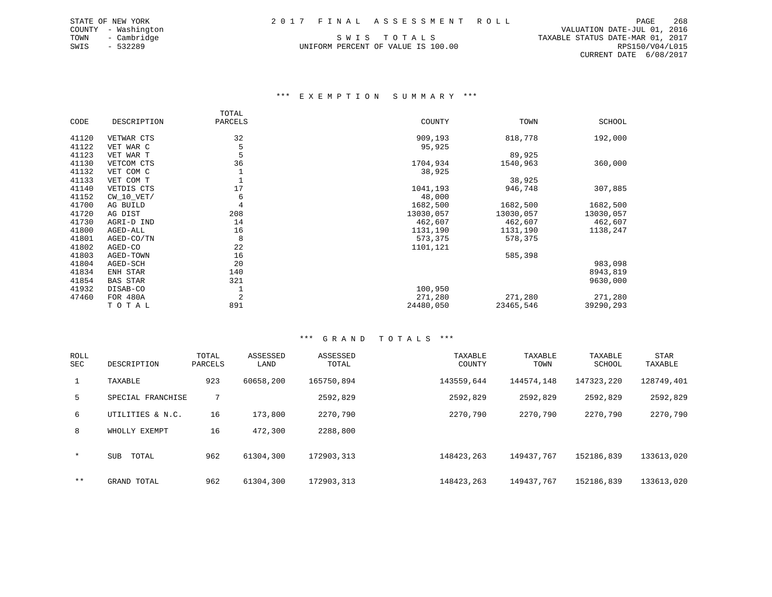UNIFORM PERCENT OF VALUE IS 100.00

 COUNTY - Washington VALUATION DATE-JUL 01, 2016 TOWN - Cambridge S W I S T O T A L S TAXABLE STATUS DATE-MAR 01, 2017 CURRENT DATE 6/08/2017

#### \*\*\* E X E M P T I O N S U M M A R Y \*\*\*

|       |                 | TOTAL   |           |           |           |
|-------|-----------------|---------|-----------|-----------|-----------|
| CODE  | DESCRIPTION     | PARCELS | COUNTY    | TOWN      | SCHOOL    |
| 41120 | VETWAR CTS      | 32      | 909,193   | 818,778   | 192,000   |
| 41122 | VET WAR C       | 5       | 95,925    |           |           |
| 41123 | VET WAR T       | 5       |           | 89,925    |           |
| 41130 | VETCOM CTS      | 36      | 1704,934  | 1540,963  | 360,000   |
| 41132 | VET COM C       | 1       | 38,925    |           |           |
| 41133 | VET COM T       |         |           | 38,925    |           |
| 41140 | VETDIS CTS      | 17      | 1041,193  | 946,748   | 307,885   |
| 41152 | CW 10 VET/      | 6       | 48,000    |           |           |
| 41700 | AG BUILD        | 4       | 1682,500  | 1682,500  | 1682,500  |
| 41720 | AG DIST         | 208     | 13030,057 | 13030,057 | 13030,057 |
| 41730 | AGRI-D IND      | 14      | 462,607   | 462,607   | 462,607   |
| 41800 | AGED-ALL        | 16      | 1131,190  | 1131,190  | 1138,247  |
| 41801 | AGED-CO/TN      | 8       | 573,375   | 578,375   |           |
| 41802 | AGED-CO         | 22      | 1101,121  |           |           |
| 41803 | AGED-TOWN       | 16      |           | 585,398   |           |
| 41804 | AGED-SCH        | 20      |           |           | 983,098   |
| 41834 | ENH STAR        | 140     |           |           | 8943,819  |
| 41854 | <b>BAS STAR</b> | 321     |           |           | 9630,000  |
| 41932 | DISAB-CO        | 1       | 100,950   |           |           |
| 47460 | FOR 480A        | 2       | 271,280   | 271,280   | 271,280   |
|       | TOTAL           | 891     | 24480,050 | 23465,546 | 39290,293 |

| ROLL<br>SEC | DESCRIPTION         | TOTAL<br>PARCELS | ASSESSED<br>LAND | ASSESSED<br>TOTAL | TAXABLE<br>COUNTY | TAXABLE<br>TOWN | TAXABLE<br>SCHOOL | <b>STAR</b><br>TAXABLE |
|-------------|---------------------|------------------|------------------|-------------------|-------------------|-----------------|-------------------|------------------------|
| 1           | TAXABLE             | 923              | 60658,200        | 165750,894        | 143559,644        | 144574,148      | 147323,220        | 128749,401             |
| 5           | SPECIAL FRANCHISE   | 7                |                  | 2592,829          | 2592,829          | 2592,829        | 2592,829          | 2592,829               |
| 6           | UTILITIES & N.C.    | 16               | 173,800          | 2270,790          | 2270,790          | 2270,790        | 2270,790          | 2270,790               |
| 8           | WHOLLY EXEMPT       | 16               | 472,300          | 2288,800          |                   |                 |                   |                        |
| $\star$     | TOTAL<br><b>SUB</b> | 962              | 61304,300        | 172903,313        | 148423,263        | 149437.767      | 152186,839        | 133613,020             |
| $***$       | GRAND TOTAL         | 962              | 61304,300        | 172903,313        | 148423,263        | 149437.767      | 152186,839        | 133613,020             |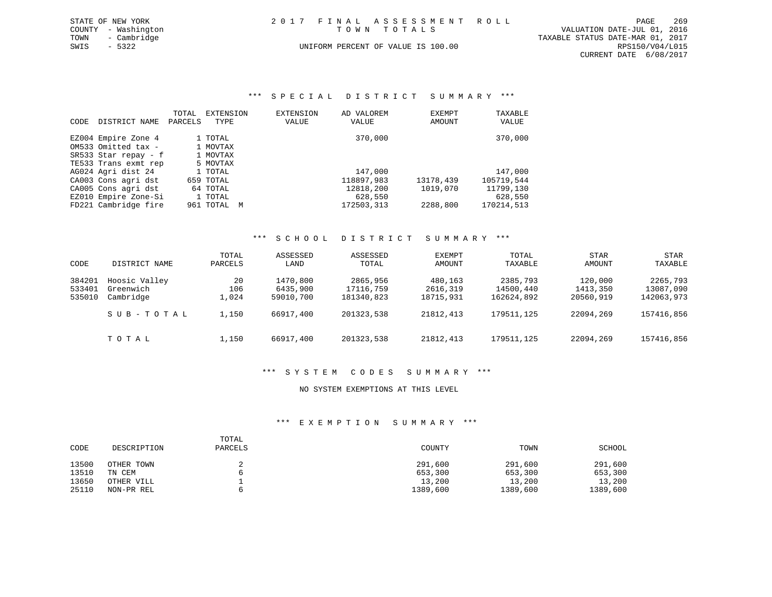| STATE OF NEW YORK   | 2017 FINAL ASSESSMENT ROLL         | 269<br>PAGE                      |
|---------------------|------------------------------------|----------------------------------|
| COUNTY - Washington | TOWN TOTALS                        | VALUATION DATE-JUL 01, 2016      |
| TOWN<br>- Cambridge |                                    | TAXABLE STATUS DATE-MAR 01, 2017 |
| SWIS<br>$-5322$     | UNIFORM PERCENT OF VALUE IS 100.00 | RPS150/V04/L015                  |
|                     |                                    | CURRENT DATE 6/08/2017           |

### \*\*\* S P E C I A L D I S T R I C T S U M M A R Y \*\*\*

| <b>CODE</b> | DISTRICT NAME        | TOTAL<br>PARCELS | EXTENSION<br>TYPE | <b>EXTENSION</b><br>VALUE | AD VALOREM<br>VALUE | EXEMPT<br>AMOUNT | TAXABLE<br>VALUE |
|-------------|----------------------|------------------|-------------------|---------------------------|---------------------|------------------|------------------|
|             | EZ004 Empire Zone 4  |                  | 1 TOTAL           |                           | 370,000             |                  | 370,000          |
|             | OM533 Omitted tax -  |                  | 1 MOVTAX          |                           |                     |                  |                  |
|             | SR533 Star repay - f |                  | 1 MOVTAX          |                           |                     |                  |                  |
|             | TE533 Trans exmt rep |                  | 5 MOVTAX          |                           |                     |                  |                  |
|             | AG024 Agri dist 24   |                  | 1 TOTAL           |                           | 147,000             |                  | 147,000          |
|             | CA003 Cons agri dst  |                  | 659 TOTAL         |                           | 118897,983          | 13178,439        | 105719,544       |
|             | CA005 Cons agri dst  |                  | 64 TOTAL          |                           | 12818,200           | 1019,070         | 11799,130        |
|             | EZ010 Empire Zone-Si |                  | 1 TOTAL           |                           | 628,550             |                  | 628,550          |
|             | FD221 Cambridge fire |                  | 961 ТОТАL         | M                         | 172503,313          | 2288,800         | 170214,513       |

### \*\*\* S C H O O L D I S T R I C T S U M M A R Y \*\*\*

| CODE                       | DISTRICT NAME                           | TOTAL<br>PARCELS   | ASSESSED<br>LAND                  | ASSESSED<br>TOTAL                   | EXEMPT<br>AMOUNT                 | TOTAL<br>TAXABLE                    | <b>STAR</b><br>AMOUNT            | <b>STAR</b><br>TAXABLE              |
|----------------------------|-----------------------------------------|--------------------|-----------------------------------|-------------------------------------|----------------------------------|-------------------------------------|----------------------------------|-------------------------------------|
| 384201<br>533401<br>535010 | Hoosic Valley<br>Greenwich<br>Cambridge | 20<br>106<br>L.024 | 1470,800<br>6435,900<br>59010,700 | 2865,956<br>17116,759<br>181340,823 | 480,163<br>2616,319<br>18715,931 | 2385,793<br>14500,440<br>162624,892 | 120,000<br>1413,350<br>20560,919 | 2265,793<br>13087,090<br>142063,973 |
|                            | SUB-TOTAL                               | 1,150              | 66917,400                         | 201323,538                          | 21812, 413                       | 179511,125                          | 22094,269                        | 157416,856                          |
|                            | TOTAL                                   | l,150              | 66917,400                         | 201323,538                          | 21812, 413                       | 179511,125                          | 22094,269                        | 157416,856                          |

### \*\*\* S Y S T E M C O D E S S U M M A R Y \*\*\*

#### NO SYSTEM EXEMPTIONS AT THIS LEVEL

| CODE           | DESCRIPTION          | TOTAL<br>PARCELS | COUNTY             | TOWN               | SCHOOL             |
|----------------|----------------------|------------------|--------------------|--------------------|--------------------|
| 13500<br>13510 | OTHER TOWN<br>TN CEM |                  | 291,600<br>653,300 | 291,600<br>653,300 | 291,600<br>653,300 |
| 13650          | OTHER VILL           |                  | 13,200             | 13,200             | 13,200             |
| 25110          | NON-PR REL           |                  | 1389,600           | 1389,600           | 1389,600           |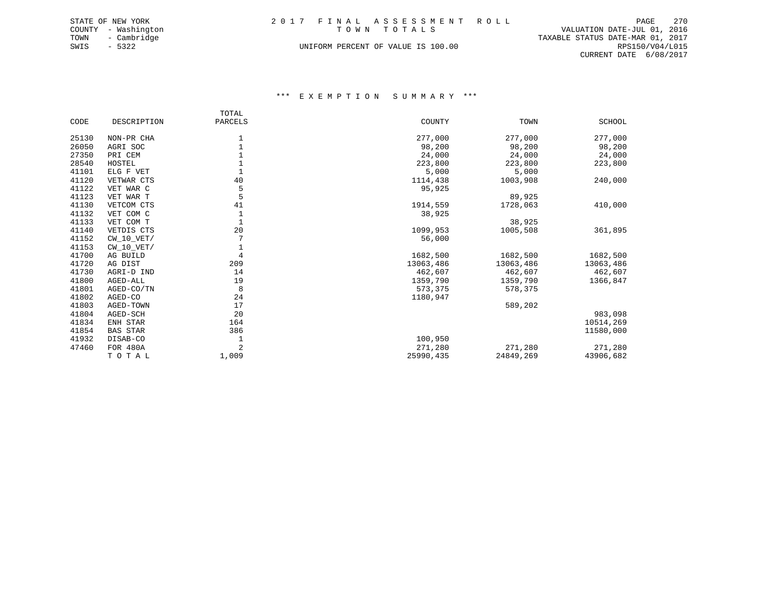| STATE OF NEW YORK |                     |  | 2017 FINAL ASSESSMENT ROLL         |                                  | PAGE            | 2.70 |
|-------------------|---------------------|--|------------------------------------|----------------------------------|-----------------|------|
|                   | COUNTY - Washington |  | TOWN TOTALS                        | VALUATION DATE-JUL 01, 2016      |                 |      |
| TOWN              | - Cambridge         |  |                                    | TAXABLE STATUS DATE-MAR 01, 2017 |                 |      |
| SWIS              | - 5322              |  | UNIFORM PERCENT OF VALUE IS 100.00 |                                  | RPS150/V04/L015 |      |
|                   |                     |  |                                    | CURRENT DATE 6/08/2017           |                 |      |

|       |                 | TOTAL          |           |           |               |
|-------|-----------------|----------------|-----------|-----------|---------------|
| CODE  | DESCRIPTION     | PARCELS        | COUNTY    | TOWN      | <b>SCHOOL</b> |
| 25130 | NON-PR CHA      | 1              | 277,000   | 277,000   | 277,000       |
| 26050 | AGRI SOC        | $1\,$          | 98,200    | 98,200    | 98,200        |
| 27350 | PRI CEM         | $\,1$          | 24,000    | 24,000    | 24,000        |
| 28540 | HOSTEL          |                | 223,800   | 223,800   | 223,800       |
| 41101 | ELG F VET       | $\mathbf{1}$   | 5,000     | 5,000     |               |
| 41120 | VETWAR CTS      | 40             | 1114,438  | 1003,908  | 240,000       |
| 41122 | VET WAR C       | 5              | 95,925    |           |               |
| 41123 | VET WAR T       | 5              |           | 89,925    |               |
| 41130 | VETCOM CTS      | 41             | 1914,559  | 1728,063  | 410,000       |
| 41132 | VET COM C       | $\mathbf 1$    | 38,925    |           |               |
| 41133 | VET COM T       |                |           | 38,925    |               |
| 41140 | VETDIS CTS      | 20             | 1099,953  | 1005,508  | 361,895       |
| 41152 | $CW_10_VET/$    |                | 56,000    |           |               |
| 41153 | CW 10 VET/      | 1              |           |           |               |
| 41700 | AG BUILD        | $\overline{4}$ | 1682,500  | 1682,500  | 1682,500      |
| 41720 | AG DIST         | 209            | 13063,486 | 13063,486 | 13063,486     |
| 41730 | AGRI-D IND      | 14             | 462,607   | 462,607   | 462,607       |
| 41800 | AGED-ALL        | 19             | 1359,790  | 1359,790  | 1366,847      |
| 41801 | AGED-CO/TN      | 8              | 573,375   | 578,375   |               |
| 41802 | AGED-CO         | 24             | 1180,947  |           |               |
| 41803 | AGED-TOWN       | 17             |           | 589,202   |               |
| 41804 | AGED-SCH        | 20             |           |           | 983,098       |
| 41834 | ENH STAR        | 164            |           |           | 10514,269     |
| 41854 | <b>BAS STAR</b> | 386            |           |           | 11580,000     |
| 41932 | DISAB-CO        | 1              | 100,950   |           |               |
| 47460 | FOR 480A        | $\overline{2}$ | 271,280   | 271,280   | 271,280       |
|       | TOTAL           | 1,009          | 25990,435 | 24849,269 | 43906,682     |